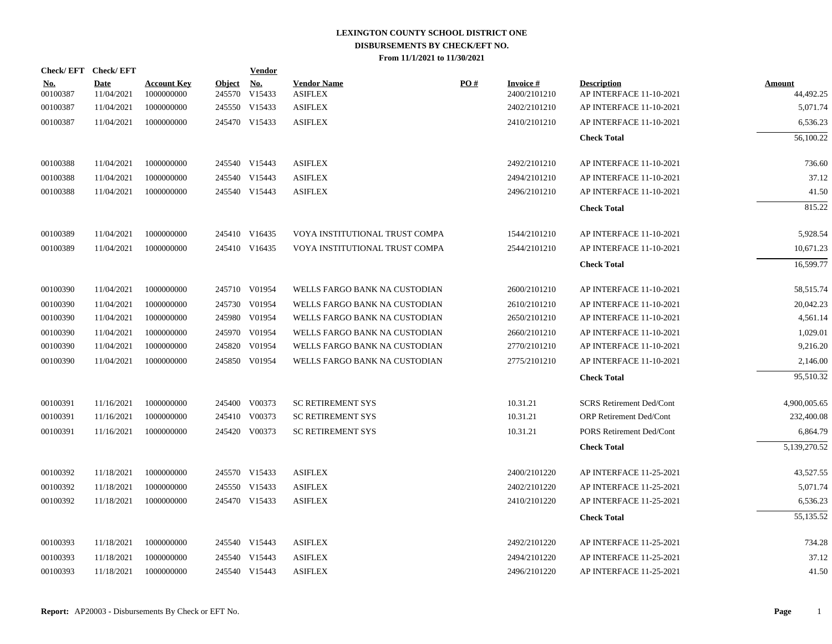| Check/EFT Check/EFT    |                           |                                  |               | <b>Vendor</b>                              |                                      |     |                                 |                                               |                            |
|------------------------|---------------------------|----------------------------------|---------------|--------------------------------------------|--------------------------------------|-----|---------------------------------|-----------------------------------------------|----------------------------|
| <u>No.</u><br>00100387 | <b>Date</b><br>11/04/2021 | <b>Account Key</b><br>1000000000 | <b>Object</b> | $\underline{\mathrm{No}}$<br>245570 V15433 | <b>Vendor Name</b><br><b>ASIFLEX</b> | PO# | <b>Invoice#</b><br>2400/2101210 | <b>Description</b><br>AP INTERFACE 11-10-2021 | <b>Amount</b><br>44,492.25 |
| 00100387               | 11/04/2021                | 1000000000                       |               | 245550 V15433                              | <b>ASIFLEX</b>                       |     | 2402/2101210                    | AP INTERFACE 11-10-2021                       | 5,071.74                   |
| 00100387               | 11/04/2021                | 1000000000                       |               | 245470 V15433                              | <b>ASIFLEX</b>                       |     | 2410/2101210                    | AP INTERFACE 11-10-2021                       | 6,536.23                   |
|                        |                           |                                  |               |                                            |                                      |     |                                 | <b>Check Total</b>                            | 56,100.22                  |
| 00100388               | 11/04/2021                | 1000000000                       |               | 245540 V15443                              | <b>ASIFLEX</b>                       |     | 2492/2101210                    | AP INTERFACE 11-10-2021                       | 736.60                     |
| 00100388               | 11/04/2021                | 1000000000                       |               | 245540 V15443                              | ${\rm ASIFLEX}$                      |     | 2494/2101210                    | AP INTERFACE 11-10-2021                       | 37.12                      |
| 00100388               | 11/04/2021                | 1000000000                       |               | 245540 V15443                              | <b>ASIFLEX</b>                       |     | 2496/2101210                    | AP INTERFACE 11-10-2021                       | 41.50                      |
|                        |                           |                                  |               |                                            |                                      |     |                                 | <b>Check Total</b>                            | 815.22                     |
| 00100389               | 11/04/2021                | 1000000000                       |               | 245410 V16435                              | VOYA INSTITUTIONAL TRUST COMPA       |     | 1544/2101210                    | AP INTERFACE 11-10-2021                       | 5,928.54                   |
| 00100389               | 11/04/2021                | 1000000000                       |               | 245410 V16435                              | VOYA INSTITUTIONAL TRUST COMPA       |     | 2544/2101210                    | AP INTERFACE 11-10-2021                       | 10,671.23                  |
|                        |                           |                                  |               |                                            |                                      |     |                                 | <b>Check Total</b>                            | 16,599.77                  |
| 00100390               | 11/04/2021                | 1000000000                       |               | 245710 V01954                              | WELLS FARGO BANK NA CUSTODIAN        |     | 2600/2101210                    | AP INTERFACE 11-10-2021                       | 58,515.74                  |
| 00100390               | 11/04/2021                | 1000000000                       |               | 245730 V01954                              | WELLS FARGO BANK NA CUSTODIAN        |     | 2610/2101210                    | AP INTERFACE 11-10-2021                       | 20,042.23                  |
| 00100390               | 11/04/2021                | 1000000000                       |               | 245980 V01954                              | WELLS FARGO BANK NA CUSTODIAN        |     | 2650/2101210                    | AP INTERFACE 11-10-2021                       | 4,561.14                   |
| 00100390               | 11/04/2021                | 1000000000                       |               | 245970 V01954                              | WELLS FARGO BANK NA CUSTODIAN        |     | 2660/2101210                    | AP INTERFACE 11-10-2021                       | 1,029.01                   |
| 00100390               | 11/04/2021                | 1000000000                       |               | 245820 V01954                              | WELLS FARGO BANK NA CUSTODIAN        |     | 2770/2101210                    | AP INTERFACE 11-10-2021                       | 9,216.20                   |
| 00100390               | 11/04/2021                | 1000000000                       |               | 245850 V01954                              | WELLS FARGO BANK NA CUSTODIAN        |     | 2775/2101210                    | AP INTERFACE 11-10-2021                       | 2,146.00                   |
|                        |                           |                                  |               |                                            |                                      |     |                                 | <b>Check Total</b>                            | 95,510.32                  |
| 00100391               | 11/16/2021                | 1000000000                       |               | 245400 V00373                              | <b>SC RETIREMENT SYS</b>             |     | 10.31.21                        | <b>SCRS</b> Retirement Ded/Cont               | 4,900,005.65               |
| 00100391               | 11/16/2021                | 1000000000                       |               | 245410 V00373                              | <b>SC RETIREMENT SYS</b>             |     | 10.31.21                        | <b>ORP Retirement Ded/Cont</b>                | 232,400.08                 |
| 00100391               | 11/16/2021                | 1000000000                       |               | 245420 V00373                              | <b>SC RETIREMENT SYS</b>             |     | 10.31.21                        | PORS Retirement Ded/Cont                      | 6,864.79                   |
|                        |                           |                                  |               |                                            |                                      |     |                                 | <b>Check Total</b>                            | 5,139,270.52               |
| 00100392               | 11/18/2021                | 1000000000                       |               | 245570 V15433                              | <b>ASIFLEX</b>                       |     | 2400/2101220                    | AP INTERFACE 11-25-2021                       | 43,527.55                  |
| 00100392               | 11/18/2021                | 1000000000                       |               | 245550 V15433                              | <b>ASIFLEX</b>                       |     | 2402/2101220                    | AP INTERFACE 11-25-2021                       | 5,071.74                   |
| 00100392               | 11/18/2021                | 1000000000                       |               | 245470 V15433                              | <b>ASIFLEX</b>                       |     | 2410/2101220                    | AP INTERFACE 11-25-2021                       | 6,536.23                   |
|                        |                           |                                  |               |                                            |                                      |     |                                 | <b>Check Total</b>                            | 55,135.52                  |
| 00100393               | 11/18/2021                | 1000000000                       |               | 245540 V15443                              | <b>ASIFLEX</b>                       |     | 2492/2101220                    | AP INTERFACE 11-25-2021                       | 734.28                     |
| 00100393               | 11/18/2021                | 1000000000                       |               | 245540 V15443                              | <b>ASIFLEX</b>                       |     | 2494/2101220                    | AP INTERFACE 11-25-2021                       | 37.12                      |
| 00100393               | 11/18/2021                | 1000000000                       |               | 245540 V15443                              | <b>ASIFLEX</b>                       |     | 2496/2101220                    | AP INTERFACE 11-25-2021                       | 41.50                      |
|                        |                           |                                  |               |                                            |                                      |     |                                 |                                               |                            |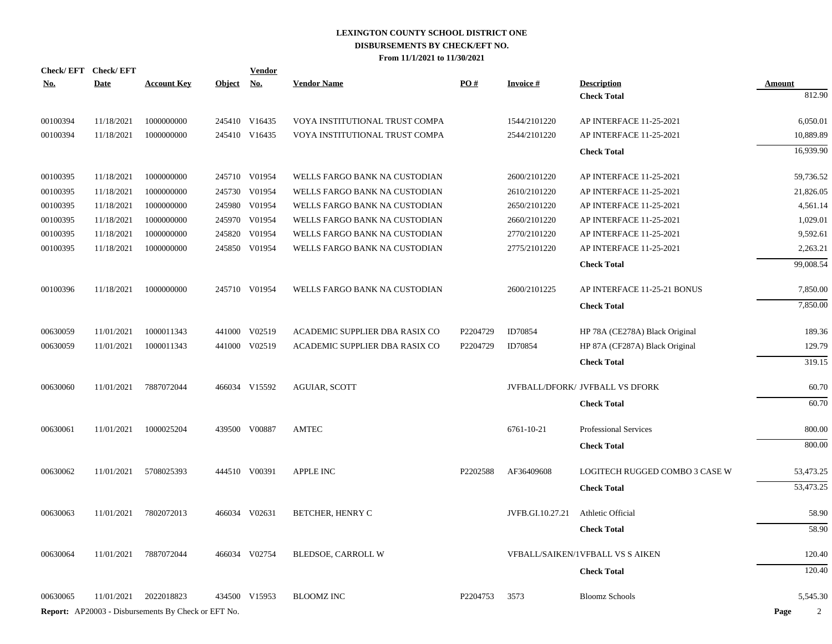|            | Check/EFT Check/EFT |                                                            |            | <b>Vendor</b> |                                |          |                  |                                         |                        |
|------------|---------------------|------------------------------------------------------------|------------|---------------|--------------------------------|----------|------------------|-----------------------------------------|------------------------|
| <b>No.</b> | <b>Date</b>         | <b>Account Key</b>                                         | Object No. |               | <b>Vendor Name</b>             | PO#      | <b>Invoice#</b>  | <b>Description</b>                      | <b>Amount</b>          |
|            |                     |                                                            |            |               |                                |          |                  | <b>Check Total</b>                      | 812.90                 |
| 00100394   | 11/18/2021          | 1000000000                                                 |            | 245410 V16435 | VOYA INSTITUTIONAL TRUST COMPA |          | 1544/2101220     | AP INTERFACE 11-25-2021                 | 6,050.01               |
| 00100394   | 11/18/2021          | 1000000000                                                 |            | 245410 V16435 | VOYA INSTITUTIONAL TRUST COMPA |          | 2544/2101220     | AP INTERFACE 11-25-2021                 | 10,889.89              |
|            |                     |                                                            |            |               |                                |          |                  | <b>Check Total</b>                      | 16,939.90              |
| 00100395   | 11/18/2021          | 1000000000                                                 |            | 245710 V01954 | WELLS FARGO BANK NA CUSTODIAN  |          | 2600/2101220     | AP INTERFACE 11-25-2021                 | 59,736.52              |
| 00100395   | 11/18/2021          | 1000000000                                                 |            | 245730 V01954 | WELLS FARGO BANK NA CUSTODIAN  |          | 2610/2101220     | AP INTERFACE 11-25-2021                 | 21,826.05              |
| 00100395   | 11/18/2021          | 1000000000                                                 |            | 245980 V01954 | WELLS FARGO BANK NA CUSTODIAN  |          | 2650/2101220     | AP INTERFACE 11-25-2021                 | 4,561.14               |
| 00100395   | 11/18/2021          | 1000000000                                                 |            | 245970 V01954 | WELLS FARGO BANK NA CUSTODIAN  |          | 2660/2101220     | AP INTERFACE 11-25-2021                 | 1,029.01               |
| 00100395   | 11/18/2021          | 1000000000                                                 | 245820     | V01954        | WELLS FARGO BANK NA CUSTODIAN  |          | 2770/2101220     | AP INTERFACE 11-25-2021                 | 9,592.61               |
| 00100395   | 11/18/2021          | 1000000000                                                 |            | 245850 V01954 | WELLS FARGO BANK NA CUSTODIAN  |          | 2775/2101220     | AP INTERFACE 11-25-2021                 | 2,263.21               |
|            |                     |                                                            |            |               |                                |          |                  | <b>Check Total</b>                      | 99,008.54              |
| 00100396   | 11/18/2021          | 1000000000                                                 |            | 245710 V01954 | WELLS FARGO BANK NA CUSTODIAN  |          | 2600/2101225     | AP INTERFACE 11-25-21 BONUS             | 7,850.00               |
|            |                     |                                                            |            |               |                                |          |                  | <b>Check Total</b>                      | 7,850.00               |
| 00630059   | 11/01/2021          | 1000011343                                                 |            | 441000 V02519 | ACADEMIC SUPPLIER DBA RASIX CO | P2204729 | ID70854          | HP 78A (CE278A) Black Original          | 189.36                 |
| 00630059   | 11/01/2021          | 1000011343                                                 |            | 441000 V02519 | ACADEMIC SUPPLIER DBA RASIX CO | P2204729 | ID70854          | HP 87A (CF287A) Black Original          | 129.79                 |
|            |                     |                                                            |            |               |                                |          |                  | <b>Check Total</b>                      | 319.15                 |
| 00630060   | 11/01/2021          | 7887072044                                                 |            | 466034 V15592 | <b>AGUIAR, SCOTT</b>           |          |                  | JVFBALL/DFORK/ JVFBALL VS DFORK         | 60.70                  |
|            |                     |                                                            |            |               |                                |          |                  | <b>Check Total</b>                      | 60.70                  |
| 00630061   | 11/01/2021          | 1000025204                                                 |            | 439500 V00887 | <b>AMTEC</b>                   |          | 6761-10-21       | <b>Professional Services</b>            | 800.00                 |
|            |                     |                                                            |            |               |                                |          |                  | <b>Check Total</b>                      | 800.00                 |
| 00630062   | 11/01/2021          | 5708025393                                                 |            | 444510 V00391 | <b>APPLE INC</b>               | P2202588 | AF36409608       | LOGITECH RUGGED COMBO 3 CASE W          | 53,473.25              |
|            |                     |                                                            |            |               |                                |          |                  | <b>Check Total</b>                      | 53,473.25              |
| 00630063   | 11/01/2021          | 7802072013                                                 |            | 466034 V02631 | <b>BETCHER, HENRY C</b>        |          | JVFB.GI.10.27.21 | Athletic Official                       | 58.90                  |
|            |                     |                                                            |            |               |                                |          |                  | <b>Check Total</b>                      | 58.90                  |
| 00630064   | 11/01/2021          | 7887072044                                                 |            | 466034 V02754 | <b>BLEDSOE, CARROLL W</b>      |          |                  | <b>VFBALL/SAIKEN/1VFBALL VS S AIKEN</b> | 120.40                 |
|            |                     |                                                            |            |               |                                |          |                  | <b>Check Total</b>                      | 120.40                 |
| 00630065   | 11/01/2021          | 2022018823                                                 |            | 434500 V15953 | <b>BLOOMZ INC</b>              | P2204753 | 3573             | <b>Bloomz Schools</b>                   | 5,545.30               |
|            |                     | <b>Report:</b> AP20003 - Disbursements By Check or EFT No. |            |               |                                |          |                  |                                         | Page<br>$\mathfrak{D}$ |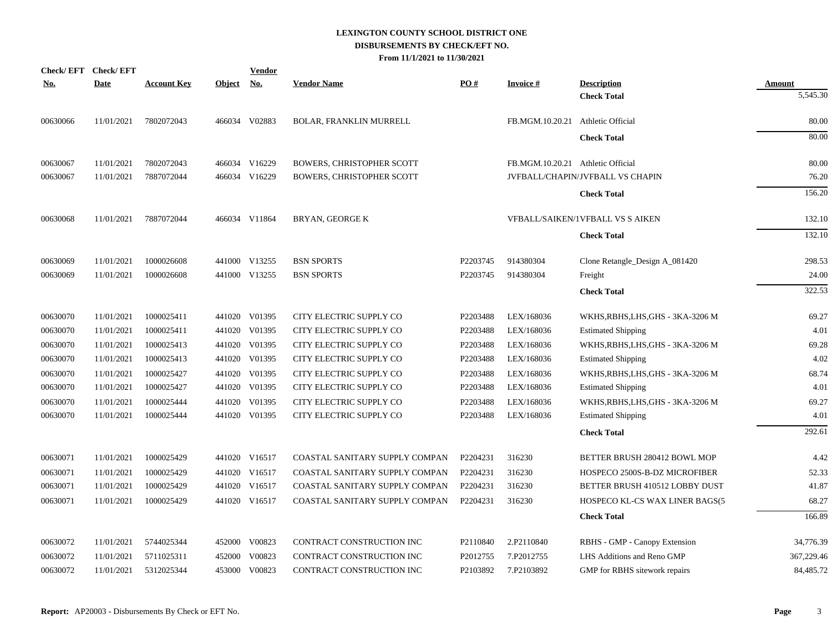| <b>Check/EFT</b> | <b>Check/EFT</b> |                    |               | <b>Vendor</b> |                                  |          |                                   |                                          |                    |
|------------------|------------------|--------------------|---------------|---------------|----------------------------------|----------|-----------------------------------|------------------------------------------|--------------------|
| <u>No.</u>       | <b>Date</b>      | <b>Account Key</b> | <b>Object</b> | <u>No.</u>    | <b>Vendor Name</b>               | PO#      | <b>Invoice#</b>                   | <b>Description</b><br><b>Check Total</b> | Amount<br>5,545.30 |
|                  |                  |                    |               |               |                                  |          |                                   |                                          |                    |
| 00630066         | 11/01/2021       | 7802072043         |               | 466034 V02883 | <b>BOLAR, FRANKLIN MURRELL</b>   |          | FB.MGM.10.20.21 Athletic Official |                                          | 80.00              |
|                  |                  |                    |               |               |                                  |          |                                   | <b>Check Total</b>                       | 80.00              |
| 00630067         | 11/01/2021       | 7802072043         |               | 466034 V16229 | <b>BOWERS, CHRISTOPHER SCOTT</b> |          | FB.MGM.10.20.21 Athletic Official |                                          | 80.00              |
| 00630067         | 11/01/2021       | 7887072044         |               | 466034 V16229 | <b>BOWERS, CHRISTOPHER SCOTT</b> |          |                                   | JVFBALL/CHAPIN/JVFBALL VS CHAPIN         | 76.20              |
|                  |                  |                    |               |               |                                  |          |                                   | <b>Check Total</b>                       | 156.20             |
| 00630068         | 11/01/2021       | 7887072044         |               | 466034 V11864 | <b>BRYAN, GEORGE K</b>           |          |                                   | <b>VFBALL/SAIKEN/1VFBALL VS S AIKEN</b>  | 132.10             |
|                  |                  |                    |               |               |                                  |          |                                   | <b>Check Total</b>                       | 132.10             |
| 00630069         | 11/01/2021       | 1000026608         |               | 441000 V13255 | <b>BSN SPORTS</b>                | P2203745 | 914380304                         | Clone Retangle_Design A_081420           | 298.53             |
| 00630069         | 11/01/2021       | 1000026608         |               | 441000 V13255 | <b>BSN SPORTS</b>                | P2203745 | 914380304                         | Freight                                  | 24.00              |
|                  |                  |                    |               |               |                                  |          |                                   | <b>Check Total</b>                       | 322.53             |
| 00630070         | 11/01/2021       | 1000025411         |               | 441020 V01395 | CITY ELECTRIC SUPPLY CO          | P2203488 | LEX/168036                        | WKHS, RBHS, LHS, GHS - 3KA-3206 M        | 69.27              |
| 00630070         | 11/01/2021       | 1000025411         |               | 441020 V01395 | CITY ELECTRIC SUPPLY CO          | P2203488 | LEX/168036                        | <b>Estimated Shipping</b>                | 4.01               |
| 00630070         | 11/01/2021       | 1000025413         | 441020        | V01395        | CITY ELECTRIC SUPPLY CO          | P2203488 | LEX/168036                        | WKHS, RBHS, LHS, GHS - 3KA-3206 M        | 69.28              |
| 00630070         | 11/01/2021       | 1000025413         |               | 441020 V01395 | CITY ELECTRIC SUPPLY CO          | P2203488 | LEX/168036                        | <b>Estimated Shipping</b>                | 4.02               |
| 00630070         | 11/01/2021       | 1000025427         | 441020        | V01395        | CITY ELECTRIC SUPPLY CO          | P2203488 | LEX/168036                        | WKHS, RBHS, LHS, GHS - 3KA-3206 M        | 68.74              |
| 00630070         | 11/01/2021       | 1000025427         | 441020        | V01395        | CITY ELECTRIC SUPPLY CO          | P2203488 | LEX/168036                        | <b>Estimated Shipping</b>                | 4.01               |
| 00630070         | 11/01/2021       | 1000025444         | 441020        | V01395        | CITY ELECTRIC SUPPLY CO          | P2203488 | LEX/168036                        | WKHS, RBHS, LHS, GHS - 3KA-3206 M        | 69.27              |
| 00630070         | 11/01/2021       | 1000025444         |               | 441020 V01395 | CITY ELECTRIC SUPPLY CO          | P2203488 | LEX/168036                        | <b>Estimated Shipping</b>                | 4.01               |
|                  |                  |                    |               |               |                                  |          |                                   | <b>Check Total</b>                       | 292.61             |
| 00630071         | 11/01/2021       | 1000025429         |               | 441020 V16517 | COASTAL SANITARY SUPPLY COMPAN   | P2204231 | 316230                            | BETTER BRUSH 280412 BOWL MOP             | 4.42               |
| 00630071         | 11/01/2021       | 1000025429         |               | 441020 V16517 | COASTAL SANITARY SUPPLY COMPAN   | P2204231 | 316230                            | HOSPECO 2500S-B-DZ MICROFIBER            | 52.33              |
| 00630071         | 11/01/2021       | 1000025429         |               | 441020 V16517 | COASTAL SANITARY SUPPLY COMPAN   | P2204231 | 316230                            | BETTER BRUSH 410512 LOBBY DUST           | 41.87              |
| 00630071         | 11/01/2021       | 1000025429         |               | 441020 V16517 | COASTAL SANITARY SUPPLY COMPAN   | P2204231 | 316230                            | HOSPECO KL-CS WAX LINER BAGS(5           | 68.27              |
|                  |                  |                    |               |               |                                  |          |                                   | <b>Check Total</b>                       | 166.89             |
| 00630072         | 11/01/2021       | 5744025344         |               | 452000 V00823 | CONTRACT CONSTRUCTION INC        | P2110840 | 2.P2110840                        | RBHS - GMP - Canopy Extension            | 34,776.39          |
| 00630072         | 11/01/2021       | 5711025311         | 452000        | V00823        | CONTRACT CONSTRUCTION INC        | P2012755 | 7.P2012755                        | LHS Additions and Reno GMP               | 367,229.46         |
| 00630072         | 11/01/2021       | 5312025344         |               | 453000 V00823 | CONTRACT CONSTRUCTION INC        | P2103892 | 7.P2103892                        | GMP for RBHS sitework repairs            | 84,485.72          |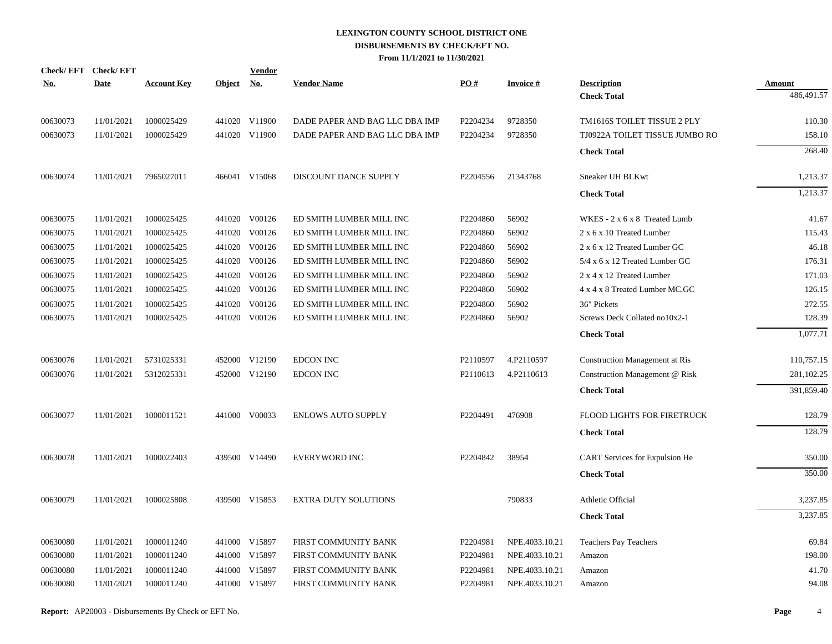| <u>No.</u>           | Check/EFT Check/EFT<br><b>Date</b> | <b>Account Key</b>       | Object No. | <b>Vendor</b>                  | <b>Vendor Name</b>                                               | PO#                  | <b>Invoice#</b>    | <b>Description</b>                                            | Amount           |
|----------------------|------------------------------------|--------------------------|------------|--------------------------------|------------------------------------------------------------------|----------------------|--------------------|---------------------------------------------------------------|------------------|
|                      |                                    |                          |            |                                |                                                                  |                      |                    | <b>Check Total</b>                                            | 486,491.57       |
|                      |                                    |                          |            |                                |                                                                  |                      |                    |                                                               |                  |
| 00630073<br>00630073 | 11/01/2021<br>11/01/2021           | 1000025429<br>1000025429 |            | 441020 V11900<br>441020 V11900 | DADE PAPER AND BAG LLC DBA IMP<br>DADE PAPER AND BAG LLC DBA IMP | P2204234<br>P2204234 | 9728350<br>9728350 | TM1616S TOILET TISSUE 2 PLY<br>TJ0922A TOILET TISSUE JUMBO RO | 110.30<br>158.10 |
|                      |                                    |                          |            |                                |                                                                  |                      |                    |                                                               |                  |
|                      |                                    |                          |            |                                |                                                                  |                      |                    | <b>Check Total</b>                                            | 268.40           |
| 00630074             | 11/01/2021                         | 7965027011               |            | 466041 V15068                  | DISCOUNT DANCE SUPPLY                                            | P2204556             | 21343768           | Sneaker UH BLKwt                                              | 1,213.37         |
|                      |                                    |                          |            |                                |                                                                  |                      |                    | <b>Check Total</b>                                            | 1,213.37         |
| 00630075             | 11/01/2021                         | 1000025425               |            | 441020 V00126                  | ED SMITH LUMBER MILL INC                                         | P2204860             | 56902              | WKES - 2 x 6 x 8 Treated Lumb                                 | 41.67            |
| 00630075             | 11/01/2021                         | 1000025425               |            | 441020 V00126                  | ED SMITH LUMBER MILL INC                                         | P2204860             | 56902              | 2 x 6 x 10 Treated Lumber                                     | 115.43           |
| 00630075             | 11/01/2021                         | 1000025425               |            | 441020 V00126                  | ED SMITH LUMBER MILL INC                                         | P2204860             | 56902              | 2 x 6 x 12 Treated Lumber GC                                  | 46.18            |
| 00630075             | 11/01/2021                         | 1000025425               |            | 441020 V00126                  | ED SMITH LUMBER MILL INC                                         | P2204860             | 56902              | 5/4 x 6 x 12 Treated Lumber GC                                | 176.31           |
| 00630075             | 11/01/2021                         | 1000025425               |            | 441020 V00126                  | ED SMITH LUMBER MILL INC                                         | P2204860             | 56902              | 2 x 4 x 12 Treated Lumber                                     | 171.03           |
| 00630075             | 11/01/2021                         | 1000025425               |            | 441020 V00126                  | ED SMITH LUMBER MILL INC                                         | P2204860             | 56902              | 4 x 4 x 8 Treated Lumber MC.GC                                | 126.15           |
| 00630075             | 11/01/2021                         | 1000025425               | 441020     | V00126                         | ED SMITH LUMBER MILL INC                                         | P2204860             | 56902              | 36" Pickets                                                   | 272.55           |
| 00630075             | 11/01/2021                         | 1000025425               |            | 441020 V00126                  | ED SMITH LUMBER MILL INC                                         | P2204860             | 56902              | Screws Deck Collated no10x2-1                                 | 128.39           |
|                      |                                    |                          |            |                                |                                                                  |                      |                    | <b>Check Total</b>                                            | 1,077.71         |
| 00630076             | 11/01/2021                         | 5731025331               |            | 452000 V12190                  | <b>EDCON INC</b>                                                 | P2110597             | 4.P2110597         | <b>Construction Management at Ris</b>                         | 110,757.15       |
| 00630076             | 11/01/2021                         | 5312025331               |            | 452000 V12190                  | <b>EDCON INC</b>                                                 | P <sub>2110613</sub> | 4.P2110613         | Construction Management @ Risk                                | 281,102.25       |
|                      |                                    |                          |            |                                |                                                                  |                      |                    | <b>Check Total</b>                                            | 391,859.40       |
| 00630077             | 11/01/2021                         | 1000011521               |            | 441000 V00033                  | <b>ENLOWS AUTO SUPPLY</b>                                        | P2204491             | 476908             | FLOOD LIGHTS FOR FIRETRUCK                                    | 128.79           |
|                      |                                    |                          |            |                                |                                                                  |                      |                    |                                                               |                  |
|                      |                                    |                          |            |                                |                                                                  |                      |                    | <b>Check Total</b>                                            | 128.79           |
| 00630078             | 11/01/2021                         | 1000022403               |            | 439500 V14490                  | <b>EVERYWORD INC</b>                                             | P2204842             | 38954              | <b>CART</b> Services for Expulsion He                         | 350.00           |
|                      |                                    |                          |            |                                |                                                                  |                      |                    | <b>Check Total</b>                                            | 350.00           |
| 00630079             | 11/01/2021                         | 1000025808               |            | 439500 V15853                  | <b>EXTRA DUTY SOLUTIONS</b>                                      |                      | 790833             | Athletic Official                                             | 3,237.85         |
|                      |                                    |                          |            |                                |                                                                  |                      |                    | <b>Check Total</b>                                            | 3,237.85         |
| 00630080             | 11/01/2021                         | 1000011240               |            | 441000 V15897                  | FIRST COMMUNITY BANK                                             | P2204981             | NPE.4033.10.21     | Teachers Pay Teachers                                         | 69.84            |
| 00630080             | 11/01/2021                         | 1000011240               |            | 441000 V15897                  | FIRST COMMUNITY BANK                                             | P2204981             | NPE.4033.10.21     | Amazon                                                        | 198.00           |
| 00630080             | 11/01/2021                         | 1000011240               |            | 441000 V15897                  | FIRST COMMUNITY BANK                                             | P2204981             | NPE.4033.10.21     | Amazon                                                        | 41.70            |
| 00630080             | 11/01/2021                         | 1000011240               |            | 441000 V15897                  | FIRST COMMUNITY BANK                                             | P2204981             | NPE.4033.10.21     | Amazon                                                        | 94.08            |
|                      |                                    |                          |            |                                |                                                                  |                      |                    |                                                               |                  |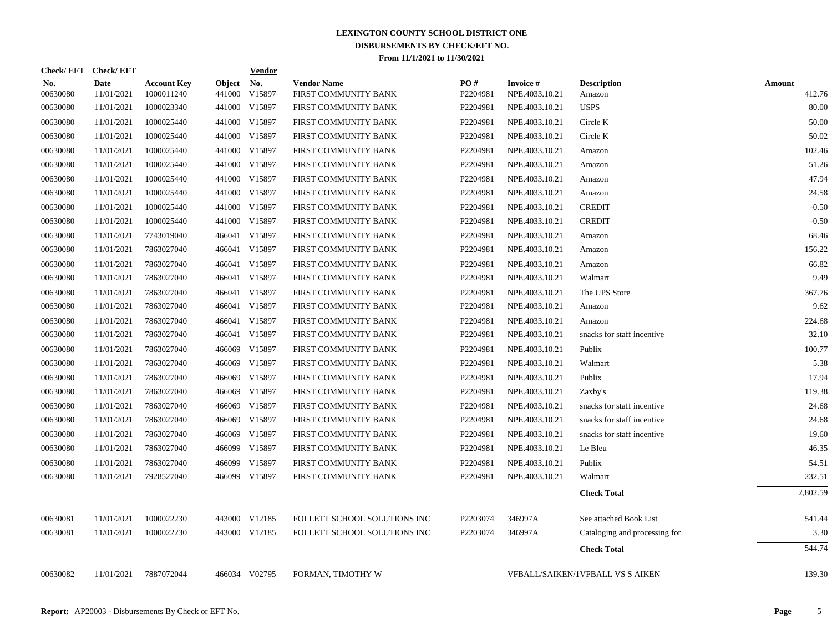| Check/EFT Check/EFT    |                           |                                  |                         | <b>Vendor</b>        |                                            |                 |                                   |                                         |                         |
|------------------------|---------------------------|----------------------------------|-------------------------|----------------------|--------------------------------------------|-----------------|-----------------------------------|-----------------------------------------|-------------------------|
| <u>No.</u><br>00630080 | <b>Date</b><br>11/01/2021 | <b>Account Key</b><br>1000011240 | <b>Object</b><br>441000 | <u>No.</u><br>V15897 | <b>Vendor Name</b><br>FIRST COMMUNITY BANK | PO#<br>P2204981 | <b>Invoice#</b><br>NPE.4033.10.21 | <b>Description</b><br>Amazon            | <b>Amount</b><br>412.76 |
| 00630080               | 11/01/2021                | 1000023340                       | 441000                  | V15897               | FIRST COMMUNITY BANK                       | P2204981        | NPE.4033.10.21                    | <b>USPS</b>                             | 80.00                   |
| 00630080               | 11/01/2021                | 1000025440                       | 441000                  | V15897               | FIRST COMMUNITY BANK                       | P2204981        | NPE.4033.10.21                    | Circle K                                | 50.00                   |
| 00630080               | 11/01/2021                | 1000025440                       | 441000                  | V15897               | FIRST COMMUNITY BANK                       | P2204981        | NPE.4033.10.21                    | Circle K                                | 50.02                   |
| 00630080               | 11/01/2021                | 1000025440                       | 441000                  | V15897               | FIRST COMMUNITY BANK                       | P2204981        | NPE.4033.10.21                    | Amazon                                  | 102.46                  |
| 00630080               | 11/01/2021                | 1000025440                       |                         | 441000 V15897        | FIRST COMMUNITY BANK                       | P2204981        | NPE.4033.10.21                    | Amazon                                  | 51.26                   |
| 00630080               | 11/01/2021                | 1000025440                       |                         | 441000 V15897        | FIRST COMMUNITY BANK                       | P2204981        | NPE.4033.10.21                    | Amazon                                  | 47.94                   |
| 00630080               | 11/01/2021                | 1000025440                       |                         | 441000 V15897        | FIRST COMMUNITY BANK                       | P2204981        | NPE.4033.10.21                    | Amazon                                  | 24.58                   |
| 00630080               | 11/01/2021                | 1000025440                       | 441000                  | V15897               | FIRST COMMUNITY BANK                       | P2204981        | NPE.4033.10.21                    | <b>CREDIT</b>                           | $-0.50$                 |
| 00630080               | 11/01/2021                | 1000025440                       | 441000                  | V15897               | FIRST COMMUNITY BANK                       | P2204981        | NPE.4033.10.21                    | <b>CREDIT</b>                           | $-0.50$                 |
| 00630080               | 11/01/2021                | 7743019040                       | 466041                  | V15897               | FIRST COMMUNITY BANK                       | P2204981        | NPE.4033.10.21                    | Amazon                                  | 68.46                   |
| 00630080               | 11/01/2021                | 7863027040                       | 466041                  | V15897               | FIRST COMMUNITY BANK                       | P2204981        | NPE.4033.10.21                    | Amazon                                  | 156.22                  |
| 00630080               | 11/01/2021                | 7863027040                       | 466041                  | V15897               | FIRST COMMUNITY BANK                       | P2204981        | NPE.4033.10.21                    | Amazon                                  | 66.82                   |
| 00630080               | 11/01/2021                | 7863027040                       | 466041                  | V15897               | FIRST COMMUNITY BANK                       | P2204981        | NPE.4033.10.21                    | Walmart                                 | 9.49                    |
| 00630080               | 11/01/2021                | 7863027040                       | 466041                  | V15897               | FIRST COMMUNITY BANK                       | P2204981        | NPE.4033.10.21                    | The UPS Store                           | 367.76                  |
| 00630080               | 11/01/2021                | 7863027040                       | 466041                  | V15897               | FIRST COMMUNITY BANK                       | P2204981        | NPE.4033.10.21                    | Amazon                                  | 9.62                    |
| 00630080               | 11/01/2021                | 7863027040                       | 466041                  | V15897               | FIRST COMMUNITY BANK                       | P2204981        | NPE.4033.10.21                    | Amazon                                  | 224.68                  |
| 00630080               | 11/01/2021                | 7863027040                       | 466041                  | V15897               | FIRST COMMUNITY BANK                       | P2204981        | NPE.4033.10.21                    | snacks for staff incentive              | 32.10                   |
| 00630080               | 11/01/2021                | 7863027040                       | 466069                  | V15897               | FIRST COMMUNITY BANK                       | P2204981        | NPE.4033.10.21                    | Publix                                  | 100.77                  |
| 00630080               | 11/01/2021                | 7863027040                       | 466069                  | V15897               | FIRST COMMUNITY BANK                       | P2204981        | NPE.4033.10.21                    | Walmart                                 | 5.38                    |
| 00630080               | 11/01/2021                | 7863027040                       |                         | 466069 V15897        | FIRST COMMUNITY BANK                       | P2204981        | NPE.4033.10.21                    | Publix                                  | 17.94                   |
| 00630080               | 11/01/2021                | 7863027040                       | 466069                  | V15897               | FIRST COMMUNITY BANK                       | P2204981        | NPE.4033.10.21                    | Zaxby's                                 | 119.38                  |
| 00630080               | 11/01/2021                | 7863027040                       |                         | 466069 V15897        | FIRST COMMUNITY BANK                       | P2204981        | NPE.4033.10.21                    | snacks for staff incentive              | 24.68                   |
| 00630080               | 11/01/2021                | 7863027040                       |                         | 466069 V15897        | FIRST COMMUNITY BANK                       | P2204981        | NPE.4033.10.21                    | snacks for staff incentive              | 24.68                   |
| 00630080               | 11/01/2021                | 7863027040                       |                         | 466069 V15897        | FIRST COMMUNITY BANK                       | P2204981        | NPE.4033.10.21                    | snacks for staff incentive              | 19.60                   |
| 00630080               | 11/01/2021                | 7863027040                       |                         | 466099 V15897        | FIRST COMMUNITY BANK                       | P2204981        | NPE.4033.10.21                    | Le Bleu                                 | 46.35                   |
| 00630080               | 11/01/2021                | 7863027040                       | 466099                  | V15897               | FIRST COMMUNITY BANK                       | P2204981        | NPE.4033.10.21                    | Publix                                  | 54.51                   |
| 00630080               | 11/01/2021                | 7928527040                       |                         | 466099 V15897        | FIRST COMMUNITY BANK                       | P2204981        | NPE.4033.10.21                    | Walmart                                 | 232.51                  |
|                        |                           |                                  |                         |                      |                                            |                 |                                   | <b>Check Total</b>                      | 2.802.59                |
| 00630081               | 11/01/2021                | 1000022230                       |                         | 443000 V12185        | FOLLETT SCHOOL SOLUTIONS INC               | P2203074        | 346997A                           | See attached Book List                  | 541.44                  |
| 00630081               | 11/01/2021                | 1000022230                       |                         | 443000 V12185        | FOLLETT SCHOOL SOLUTIONS INC               | P2203074        | 346997A                           | Cataloging and processing for           | 3.30                    |
|                        |                           |                                  |                         |                      |                                            |                 |                                   | <b>Check Total</b>                      | 544.74                  |
| 00630082               | 11/01/2021                | 7887072044                       |                         | 466034 V02795        | FORMAN, TIMOTHY W                          |                 |                                   | <b>VFBALL/SAIKEN/1VFBALL VS S AIKEN</b> | 139.30                  |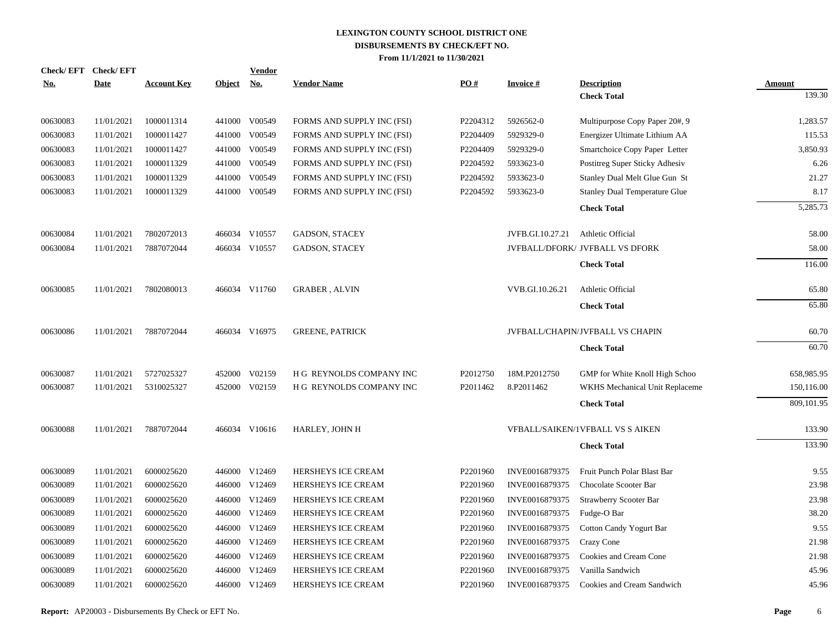| No.      | Check/EFT Check/EFT<br><b>Date</b> | <b>Account Key</b> | Object No. | <b>Vendor</b> | <b>Vendor Name</b>         | PO#      | <b>Invoice#</b>  | <b>Description</b>                   | Amount     |
|----------|------------------------------------|--------------------|------------|---------------|----------------------------|----------|------------------|--------------------------------------|------------|
|          |                                    |                    |            |               |                            |          |                  | <b>Check Total</b>                   | 139.30     |
| 00630083 | 11/01/2021                         | 1000011314         |            | 441000 V00549 | FORMS AND SUPPLY INC (FSI) | P2204312 | 5926562-0        | Multipurpose Copy Paper 20#, 9       | 1,283.57   |
| 00630083 | 11/01/2021                         | 1000011427         |            | 441000 V00549 | FORMS AND SUPPLY INC (FSI) | P2204409 | 5929329-0        | Energizer Ultimate Lithium AA        | 115.53     |
| 00630083 | 11/01/2021                         | 1000011427         |            | 441000 V00549 | FORMS AND SUPPLY INC (FSI) | P2204409 | 5929329-0        | Smartchoice Copy Paper Letter        | 3,850.93   |
| 00630083 | 11/01/2021                         | 1000011329         | 441000     | V00549        | FORMS AND SUPPLY INC (FSI) | P2204592 | 5933623-0        | Postitreg Super Sticky Adhesiv       | 6.26       |
| 00630083 | 11/01/2021                         | 1000011329         | 441000     | V00549        | FORMS AND SUPPLY INC (FSI) | P2204592 | 5933623-0        | Stanley Dual Melt Glue Gun St        | 21.27      |
| 00630083 | 11/01/2021                         | 1000011329         |            | 441000 V00549 | FORMS AND SUPPLY INC (FSI) | P2204592 | 5933623-0        | <b>Stanley Dual Temperature Glue</b> | 8.17       |
|          |                                    |                    |            |               |                            |          |                  | <b>Check Total</b>                   | 5,285.73   |
| 00630084 | 11/01/2021                         | 7802072013         |            | 466034 V10557 | GADSON, STACEY             |          | JVFB.GI.10.27.21 | Athletic Official                    | 58.00      |
| 00630084 | 11/01/2021                         | 7887072044         |            | 466034 V10557 | <b>GADSON, STACEY</b>      |          |                  | JVFBALL/DFORK/ JVFBALL VS DFORK      | 58.00      |
|          |                                    |                    |            |               |                            |          |                  | <b>Check Total</b>                   | 116.00     |
| 00630085 | 11/01/2021                         | 7802080013         |            | 466034 V11760 | <b>GRABER, ALVIN</b>       |          | VVB.GI.10.26.21  | Athletic Official                    | 65.80      |
|          |                                    |                    |            |               |                            |          |                  | <b>Check Total</b>                   | 65.80      |
| 00630086 | 11/01/2021                         | 7887072044         |            | 466034 V16975 | <b>GREENE, PATRICK</b>     |          |                  | JVFBALL/CHAPIN/JVFBALL VS CHAPIN     | 60.70      |
|          |                                    |                    |            |               |                            |          |                  | <b>Check Total</b>                   | 60.70      |
| 00630087 | 11/01/2021                         | 5727025327         | 452000     | V02159        | H G REYNOLDS COMPANY INC   | P2012750 | 18M.P2012750     | GMP for White Knoll High Schoo       | 658,985.95 |
| 00630087 | 11/01/2021                         | 5310025327         | 452000     | V02159        | H G REYNOLDS COMPANY INC   | P2011462 | 8.P2011462       | WKHS Mechanical Unit Replaceme       | 150,116.00 |
|          |                                    |                    |            |               |                            |          |                  | <b>Check Total</b>                   | 809,101.95 |
| 00630088 | 11/01/2021                         | 7887072044         |            | 466034 V10616 | HARLEY, JOHN H             |          |                  | VFBALL/SAIKEN/1VFBALL VS S AIKEN     | 133.90     |
|          |                                    |                    |            |               |                            |          |                  | <b>Check Total</b>                   | 133.90     |
| 00630089 | 11/01/2021                         | 6000025620         |            | 446000 V12469 | HERSHEYS ICE CREAM         | P2201960 | INVE0016879375   | Fruit Punch Polar Blast Bar          | 9.55       |
| 00630089 | 11/01/2021                         | 6000025620         |            | 446000 V12469 | HERSHEYS ICE CREAM         | P2201960 | INVE0016879375   | Chocolate Scooter Bar                | 23.98      |
| 00630089 | 11/01/2021                         | 6000025620         | 446000     | V12469        | HERSHEYS ICE CREAM         | P2201960 | INVE0016879375   | Strawberry Scooter Bar               | 23.98      |
| 00630089 | 11/01/2021                         | 6000025620         |            | 446000 V12469 | HERSHEYS ICE CREAM         | P2201960 | INVE0016879375   | Fudge-O Bar                          | 38.20      |
| 00630089 | 11/01/2021                         | 6000025620         | 446000     | V12469        | HERSHEYS ICE CREAM         | P2201960 | INVE0016879375   | Cotton Candy Yogurt Bar              | 9.55       |
| 00630089 | 11/01/2021                         | 6000025620         | 446000     | V12469        | HERSHEYS ICE CREAM         | P2201960 | INVE0016879375   | <b>Crazy Cone</b>                    | 21.98      |
| 00630089 | 11/01/2021                         | 6000025620         | 446000     | V12469        | HERSHEYS ICE CREAM         | P2201960 | INVE0016879375   | Cookies and Cream Cone               | 21.98      |
| 00630089 | 11/01/2021                         | 6000025620         | 446000     | V12469        | HERSHEYS ICE CREAM         | P2201960 | INVE0016879375   | Vanilla Sandwich                     | 45.96      |
| 00630089 | 11/01/2021                         | 6000025620         |            | 446000 V12469 | <b>HERSHEYS ICE CREAM</b>  | P2201960 | INVE0016879375   | Cookies and Cream Sandwich           | 45.96      |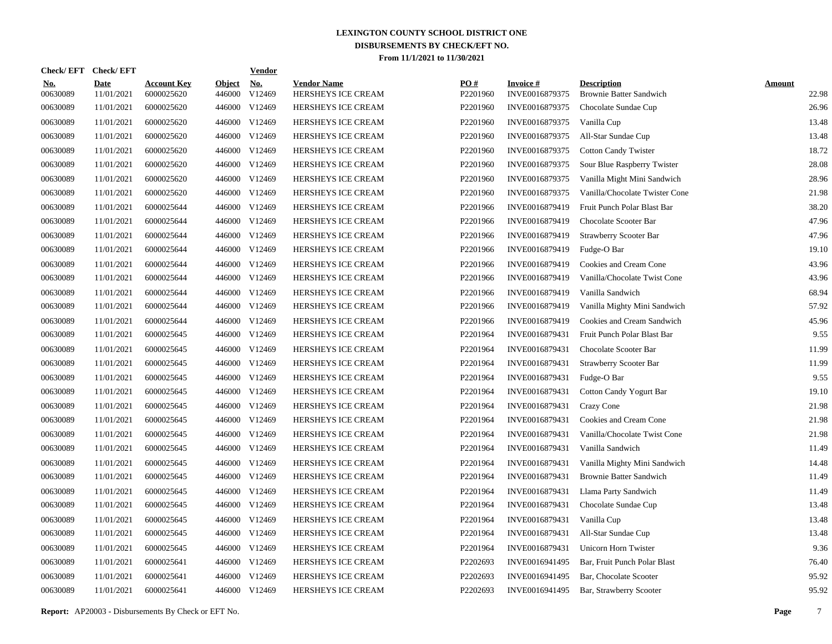| Check/EFT Check/EFT    |                           |                                  |                         | <u>Vendor</u>        |                                          |                 |                                   |                                                      |                        |
|------------------------|---------------------------|----------------------------------|-------------------------|----------------------|------------------------------------------|-----------------|-----------------------------------|------------------------------------------------------|------------------------|
| <u>No.</u><br>00630089 | <b>Date</b><br>11/01/2021 | <b>Account Key</b><br>6000025620 | <b>Object</b><br>446000 | <u>No.</u><br>V12469 | <b>Vendor Name</b><br>HERSHEYS ICE CREAM | PQ#<br>P2201960 | <b>Invoice#</b><br>INVE0016879375 | <b>Description</b><br><b>Brownie Batter Sandwich</b> | <b>Amount</b><br>22.98 |
| 00630089               | 11/01/2021                | 6000025620                       | 446000                  | V12469               | HERSHEYS ICE CREAM                       | P2201960        | INVE0016879375                    | Chocolate Sundae Cup                                 | 26.96                  |
| 00630089               | 11/01/2021                | 6000025620                       | 446000                  | V12469               | HERSHEYS ICE CREAM                       | P2201960        | INVE0016879375                    | Vanilla Cup                                          | 13.48                  |
| 00630089               | 11/01/2021                | 6000025620                       | 446000                  | V12469               | HERSHEYS ICE CREAM                       | P2201960        | INVE0016879375                    | All-Star Sundae Cup                                  | 13.48                  |
| 00630089               | 11/01/2021                | 6000025620                       | 446000                  | V12469               | HERSHEYS ICE CREAM                       | P2201960        | INVE0016879375                    | <b>Cotton Candy Twister</b>                          | 18.72                  |
| 00630089               | 11/01/2021                | 6000025620                       | 446000                  | V12469               | HERSHEYS ICE CREAM                       | P2201960        | INVE0016879375                    | Sour Blue Raspberry Twister                          | 28.08                  |
| 00630089               | 11/01/2021                | 6000025620                       | 446000                  | V12469               | HERSHEYS ICE CREAM                       | P2201960        | INVE0016879375                    | Vanilla Might Mini Sandwich                          | 28.96                  |
| 00630089               | 11/01/2021                | 6000025620                       | 446000                  | V12469               | HERSHEYS ICE CREAM                       | P2201960        | INVE0016879375                    | Vanilla/Chocolate Twister Cone                       | 21.98                  |
| 00630089               | 11/01/2021                | 6000025644                       | 446000                  | V12469               | HERSHEYS ICE CREAM                       | P2201966        | INVE0016879419                    | Fruit Punch Polar Blast Bar                          | 38.20                  |
| 00630089               | 11/01/2021                | 6000025644                       | 446000                  | V12469               | HERSHEYS ICE CREAM                       | P2201966        | INVE0016879419                    | Chocolate Scooter Bar                                | 47.96                  |
| 00630089               | 11/01/2021                | 6000025644                       | 446000                  | V12469               | HERSHEYS ICE CREAM                       | P2201966        | INVE0016879419                    | <b>Strawberry Scooter Bar</b>                        | 47.96                  |
| 00630089               | 11/01/2021                | 6000025644                       | 446000                  | V12469               | HERSHEYS ICE CREAM                       | P2201966        | INVE0016879419                    | Fudge-O Bar                                          | 19.10                  |
| 00630089               | 11/01/2021                | 6000025644                       | 446000                  | V12469               | HERSHEYS ICE CREAM                       | P2201966        | INVE0016879419                    | Cookies and Cream Cone                               | 43.96                  |
| 00630089               | 11/01/2021                | 6000025644                       | 446000                  | V12469               | HERSHEYS ICE CREAM                       | P2201966        | INVE0016879419                    | Vanilla/Chocolate Twist Cone                         | 43.96                  |
| 00630089               | 11/01/2021                | 6000025644                       | 446000                  | V12469               | HERSHEYS ICE CREAM                       | P2201966        | INVE0016879419                    | Vanilla Sandwich                                     | 68.94                  |
| 00630089               | 11/01/2021                | 6000025644                       |                         | 446000 V12469        | HERSHEYS ICE CREAM                       | P2201966        | INVE0016879419                    | Vanilla Mighty Mini Sandwich                         | 57.92                  |
| 00630089               | 11/01/2021                | 6000025644                       | 446000                  | V12469               | HERSHEYS ICE CREAM                       | P2201966        | INVE0016879419                    | Cookies and Cream Sandwich                           | 45.96                  |
| 00630089               | 11/01/2021                | 6000025645                       |                         | 446000 V12469        | HERSHEYS ICE CREAM                       | P2201964        | INVE0016879431                    | Fruit Punch Polar Blast Bar                          | 9.55                   |
| 00630089               | 11/01/2021                | 6000025645                       | 446000                  | V12469               | HERSHEYS ICE CREAM                       | P2201964        | INVE0016879431                    | Chocolate Scooter Bar                                | 11.99                  |
| 00630089               | 11/01/2021                | 6000025645                       | 446000                  | V12469               | HERSHEYS ICE CREAM                       | P2201964        | INVE0016879431                    | Strawberry Scooter Bar                               | 11.99                  |
| 00630089               | 11/01/2021                | 6000025645                       | 446000                  | V12469               | HERSHEYS ICE CREAM                       | P2201964        | INVE0016879431                    | Fudge-O Bar                                          | 9.55                   |
| 00630089               | 11/01/2021                | 6000025645                       | 446000                  | V12469               | HERSHEYS ICE CREAM                       | P2201964        | INVE0016879431                    | Cotton Candy Yogurt Bar                              | 19.10                  |
| 00630089               | 11/01/2021                | 6000025645                       | 446000                  | V12469               | HERSHEYS ICE CREAM                       | P2201964        | INVE0016879431                    | Crazy Cone                                           | 21.98                  |
| 00630089               | 11/01/2021                | 6000025645                       | 446000                  | V12469               | HERSHEYS ICE CREAM                       | P2201964        | INVE0016879431                    | Cookies and Cream Cone                               | 21.98                  |
| 00630089               | 11/01/2021                | 6000025645                       | 446000                  | V12469               | HERSHEYS ICE CREAM                       | P2201964        | INVE0016879431                    | Vanilla/Chocolate Twist Cone                         | 21.98                  |
| 00630089               | 11/01/2021                | 6000025645                       | 446000                  | V12469               | HERSHEYS ICE CREAM                       | P2201964        | INVE0016879431                    | Vanilla Sandwich                                     | 11.49                  |
| 00630089               | 11/01/2021                | 6000025645                       | 446000                  | V12469               | HERSHEYS ICE CREAM                       | P2201964        | INVE0016879431                    | Vanilla Mighty Mini Sandwich                         | 14.48                  |
| 00630089               | 11/01/2021                | 6000025645                       | 446000                  | V12469               | HERSHEYS ICE CREAM                       | P2201964        | INVE0016879431                    | <b>Brownie Batter Sandwich</b>                       | 11.49                  |
| 00630089               | 11/01/2021                | 6000025645                       | 446000                  | V12469               | HERSHEYS ICE CREAM                       | P2201964        | INVE0016879431                    | Llama Party Sandwich                                 | 11.49                  |
| 00630089               | 11/01/2021                | 6000025645                       | 446000                  | V12469               | HERSHEYS ICE CREAM                       | P2201964        | INVE0016879431                    | Chocolate Sundae Cup                                 | 13.48                  |
| 00630089               | 11/01/2021                | 6000025645                       | 446000                  | V12469               | HERSHEYS ICE CREAM                       | P2201964        | INVE0016879431                    | Vanilla Cup                                          | 13.48                  |
| 00630089               | 11/01/2021                | 6000025645                       | 446000                  | V12469               | HERSHEYS ICE CREAM                       | P2201964        | INVE0016879431                    | All-Star Sundae Cup                                  | 13.48                  |
| 00630089               | 11/01/2021                | 6000025645                       | 446000                  | V12469               | HERSHEYS ICE CREAM                       | P2201964        | INVE0016879431                    | Unicorn Horn Twister                                 | 9.36                   |
| 00630089               | 11/01/2021                | 6000025641                       | 446000                  | V12469               | HERSHEYS ICE CREAM                       | P2202693        | INVE0016941495                    | Bar, Fruit Punch Polar Blast                         | 76.40                  |
| 00630089               | 11/01/2021                | 6000025641                       | 446000                  | V12469               | HERSHEYS ICE CREAM                       | P2202693        | INVE0016941495                    | Bar, Chocolate Scooter                               | 95.92                  |
| 00630089               | 11/01/2021                | 6000025641                       |                         | 446000 V12469        | HERSHEYS ICE CREAM                       | P2202693        | INVE0016941495                    | Bar, Strawberry Scooter                              | 95.92                  |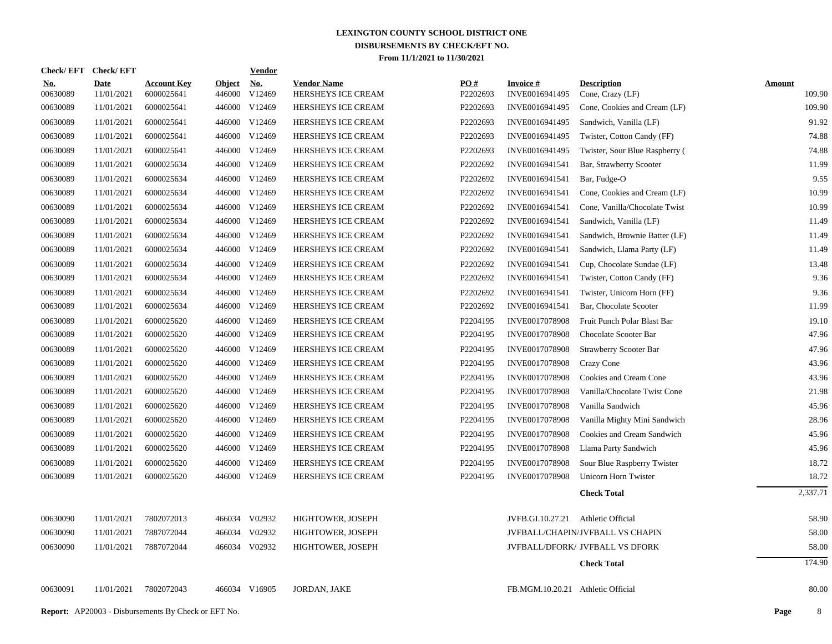| Check/EFT Check/EFT    |                           |                                  |                         | <b>Vendor</b>        |                                          |                               |                                    |                                         |                         |
|------------------------|---------------------------|----------------------------------|-------------------------|----------------------|------------------------------------------|-------------------------------|------------------------------------|-----------------------------------------|-------------------------|
| <u>No.</u><br>00630089 | <b>Date</b><br>11/01/2021 | <b>Account Key</b><br>6000025641 | <b>Object</b><br>446000 | <u>No.</u><br>V12469 | <b>Vendor Name</b><br>HERSHEYS ICE CREAM | $\underline{PO#}$<br>P2202693 | <b>Invoice#</b><br>INVE0016941495  | <b>Description</b><br>Cone, Crazy (LF)  | <b>Amount</b><br>109.90 |
| 00630089               | 11/01/2021                | 6000025641                       |                         | 446000 V12469        | <b>HERSHEYS ICE CREAM</b>                | P2202693                      | INVE0016941495                     | Cone, Cookies and Cream (LF)            | 109.90                  |
| 00630089               | 11/01/2021                | 6000025641                       |                         | 446000 V12469        | HERSHEYS ICE CREAM                       | P2202693                      | INVE0016941495                     | Sandwich, Vanilla (LF)                  | 91.92                   |
| 00630089               | 11/01/2021                | 6000025641                       |                         | 446000 V12469        | HERSHEYS ICE CREAM                       | P2202693                      | INVE0016941495                     | Twister, Cotton Candy (FF)              | 74.88                   |
| 00630089               | 11/01/2021                | 6000025641                       |                         | 446000 V12469        | HERSHEYS ICE CREAM                       | P2202693                      | INVE0016941495                     | Twister, Sour Blue Raspberry (          | 74.88                   |
| 00630089               | 11/01/2021                | 6000025634                       |                         | 446000 V12469        | HERSHEYS ICE CREAM                       | P2202692                      | INVE0016941541                     | Bar, Strawberry Scooter                 | 11.99                   |
| 00630089               | 11/01/2021                | 6000025634                       |                         | 446000 V12469        | HERSHEYS ICE CREAM                       | P2202692                      | INVE0016941541                     | Bar, Fudge-O                            | 9.55                    |
| 00630089               | 11/01/2021                | 6000025634                       |                         | 446000 V12469        | HERSHEYS ICE CREAM                       | P2202692                      | INVE0016941541                     | Cone, Cookies and Cream (LF)            | 10.99                   |
| 00630089               | 11/01/2021                | 6000025634                       |                         | 446000 V12469        | HERSHEYS ICE CREAM                       | P2202692                      | INVE0016941541                     | Cone, Vanilla/Chocolate Twist           | 10.99                   |
| 00630089               | 11/01/2021                | 6000025634                       |                         | 446000 V12469        | HERSHEYS ICE CREAM                       | P2202692                      | INVE0016941541                     | Sandwich, Vanilla (LF)                  | 11.49                   |
| 00630089               | 11/01/2021                | 6000025634                       |                         | 446000 V12469        | HERSHEYS ICE CREAM                       | P2202692                      | INVE0016941541                     | Sandwich, Brownie Batter (LF)           | 11.49                   |
| 00630089               | 11/01/2021                | 6000025634                       |                         | 446000 V12469        | HERSHEYS ICE CREAM                       | P2202692                      | INVE0016941541                     | Sandwich, Llama Party (LF)              | 11.49                   |
| 00630089               | 11/01/2021                | 6000025634                       |                         | 446000 V12469        | HERSHEYS ICE CREAM                       | P2202692                      | INVE0016941541                     | Cup, Chocolate Sundae (LF)              | 13.48                   |
| 00630089               | 11/01/2021                | 6000025634                       |                         | 446000 V12469        | HERSHEYS ICE CREAM                       | P2202692                      | INVE0016941541                     | Twister, Cotton Candy (FF)              | 9.36                    |
| 00630089               | 11/01/2021                | 6000025634                       |                         | 446000 V12469        | HERSHEYS ICE CREAM                       | P2202692                      | INVE0016941541                     | Twister, Unicorn Horn (FF)              | 9.36                    |
| 00630089               | 11/01/2021                | 6000025634                       |                         | 446000 V12469        | HERSHEYS ICE CREAM                       | P2202692                      | INVE0016941541                     | Bar, Chocolate Scooter                  | 11.99                   |
| 00630089               | 11/01/2021                | 6000025620                       |                         | 446000 V12469        | HERSHEYS ICE CREAM                       | P2204195                      | <b>INVE0017078908</b>              | Fruit Punch Polar Blast Bar             | 19.10                   |
| 00630089               | 11/01/2021                | 6000025620                       |                         | 446000 V12469        | HERSHEYS ICE CREAM                       | P2204195                      | INVE0017078908                     | Chocolate Scooter Bar                   | 47.96                   |
| 00630089               | 11/01/2021                | 6000025620                       |                         | 446000 V12469        | HERSHEYS ICE CREAM                       | P2204195                      | INVE0017078908                     | Strawberry Scooter Bar                  | 47.96                   |
| 00630089               | 11/01/2021                | 6000025620                       |                         | 446000 V12469        | HERSHEYS ICE CREAM                       | P2204195                      | INVE0017078908                     | Crazy Cone                              | 43.96                   |
| 00630089               | 11/01/2021                | 6000025620                       |                         | 446000 V12469        | HERSHEYS ICE CREAM                       | P2204195                      | INVE0017078908                     | Cookies and Cream Cone                  | 43.96                   |
| 00630089               | 11/01/2021                | 6000025620                       |                         | 446000 V12469        | HERSHEYS ICE CREAM                       | P2204195                      | INVE0017078908                     | Vanilla/Chocolate Twist Cone            | 21.98                   |
| 00630089               | 11/01/2021                | 6000025620                       |                         | 446000 V12469        | HERSHEYS ICE CREAM                       | P2204195                      | INVE0017078908                     | Vanilla Sandwich                        | 45.96                   |
| 00630089               | 11/01/2021                | 6000025620                       |                         | 446000 V12469        | HERSHEYS ICE CREAM                       | P2204195                      | INVE0017078908                     | Vanilla Mighty Mini Sandwich            | 28.96                   |
| 00630089               | 11/01/2021                | 6000025620                       |                         | 446000 V12469        | HERSHEYS ICE CREAM                       | P2204195                      | INVE0017078908                     | Cookies and Cream Sandwich              | 45.96                   |
| 00630089               | 11/01/2021                | 6000025620                       |                         | 446000 V12469        | HERSHEYS ICE CREAM                       | P2204195                      | INVE0017078908                     | Llama Party Sandwich                    | 45.96                   |
| 00630089               | 11/01/2021                | 6000025620                       | 446000                  | V12469               | HERSHEYS ICE CREAM                       | P2204195                      | INVE0017078908                     | Sour Blue Raspberry Twister             | 18.72                   |
| 00630089               | 11/01/2021                | 6000025620                       |                         | 446000 V12469        | HERSHEYS ICE CREAM                       | P2204195                      | INVE0017078908                     | Unicorn Horn Twister                    | 18.72                   |
|                        |                           |                                  |                         |                      |                                          |                               |                                    | <b>Check Total</b>                      | 2,337.71                |
| 00630090               | 11/01/2021                | 7802072013                       |                         | 466034 V02932        | HIGHTOWER, JOSEPH                        |                               | JVFB.GI.10.27.21 Athletic Official |                                         | 58.90                   |
| 00630090               | 11/01/2021                | 7887072044                       | 466034                  | V02932               | HIGHTOWER, JOSEPH                        |                               |                                    | <b>JVFBALL/CHAPIN/JVFBALL VS CHAPIN</b> | 58.00                   |
| 00630090               | 11/01/2021                | 7887072044                       |                         | 466034 V02932        | HIGHTOWER, JOSEPH                        |                               |                                    | JVFBALL/DFORK/ JVFBALL VS DFORK         | 58.00                   |
|                        |                           |                                  |                         |                      |                                          |                               |                                    | <b>Check Total</b>                      | 174.90                  |
| 00630091               | 11/01/2021                | 7802072043                       |                         | 466034 V16905        | JORDAN, JAKE                             |                               | FB.MGM.10.20.21 Athletic Official  |                                         | 80.00                   |
|                        |                           |                                  |                         |                      |                                          |                               |                                    |                                         |                         |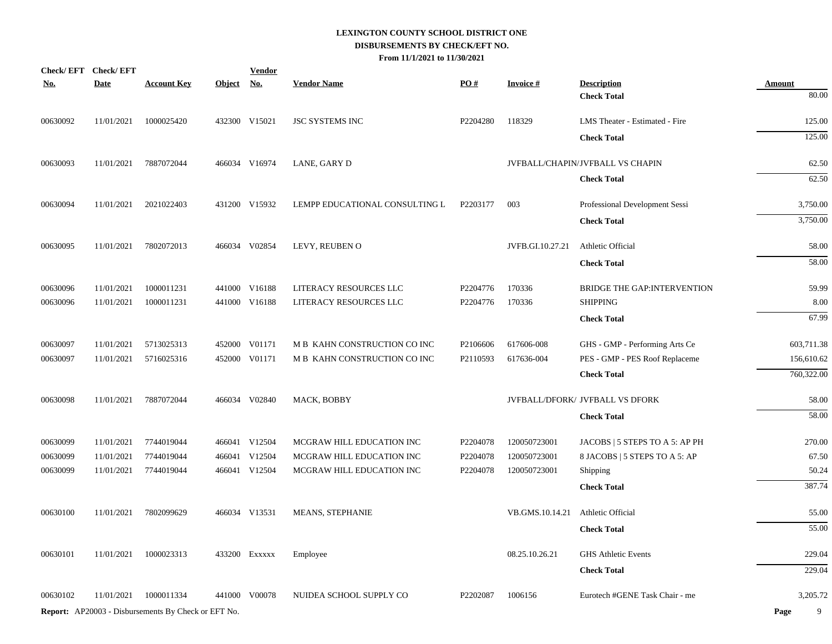| <u>No.</u> | Check/EFT Check/EFT<br><b>Date</b> | <b>Account Key</b>                                  | Object No. | <b>Vendor</b> | <b>Vendor Name</b>             | <u>PO#</u> | <b>Invoice#</b>  | <b>Description</b>               | <b>Amount</b> |
|------------|------------------------------------|-----------------------------------------------------|------------|---------------|--------------------------------|------------|------------------|----------------------------------|---------------|
|            |                                    |                                                     |            |               |                                |            |                  | <b>Check Total</b>               | 80.00         |
| 00630092   | 11/01/2021                         | 1000025420                                          |            | 432300 V15021 | <b>JSC SYSTEMS INC</b>         | P2204280   | 118329           | LMS Theater - Estimated - Fire   | 125.00        |
|            |                                    |                                                     |            |               |                                |            |                  | <b>Check Total</b>               | 125.00        |
| 00630093   | 11/01/2021                         | 7887072044                                          |            | 466034 V16974 | LANE, GARY D                   |            |                  | JVFBALL/CHAPIN/JVFBALL VS CHAPIN | 62.50         |
|            |                                    |                                                     |            |               |                                |            |                  | <b>Check Total</b>               | 62.50         |
| 00630094   | 11/01/2021                         | 2021022403                                          |            | 431200 V15932 | LEMPP EDUCATIONAL CONSULTING L | P2203177   | 003              | Professional Development Sessi   | 3,750.00      |
|            |                                    |                                                     |            |               |                                |            |                  | <b>Check Total</b>               | 3,750.00      |
| 00630095   | 11/01/2021                         | 7802072013                                          |            | 466034 V02854 | LEVY, REUBEN O                 |            | JVFB.GI.10.27.21 | Athletic Official                | 58.00         |
|            |                                    |                                                     |            |               |                                |            |                  | <b>Check Total</b>               | 58.00         |
| 00630096   | 11/01/2021                         | 1000011231                                          |            | 441000 V16188 | LITERACY RESOURCES LLC         | P2204776   | 170336           | BRIDGE THE GAP: INTERVENTION     | 59.99         |
| 00630096   | 11/01/2021                         | 1000011231                                          |            | 441000 V16188 | LITERACY RESOURCES LLC         | P2204776   | 170336           | <b>SHIPPING</b>                  | 8.00          |
|            |                                    |                                                     |            |               |                                |            |                  | <b>Check Total</b>               | 67.99         |
| 00630097   | 11/01/2021                         | 5713025313                                          |            | 452000 V01171 | M B KAHN CONSTRUCTION CO INC   | P2106606   | 617606-008       | GHS - GMP - Performing Arts Ce   | 603,711.38    |
| 00630097   | 11/01/2021                         | 5716025316                                          |            | 452000 V01171 | M B KAHN CONSTRUCTION CO INC   | P2110593   | 617636-004       | PES - GMP - PES Roof Replaceme   | 156,610.62    |
|            |                                    |                                                     |            |               |                                |            |                  | <b>Check Total</b>               | 760,322.00    |
| 00630098   | 11/01/2021                         | 7887072044                                          |            | 466034 V02840 | MACK, BOBBY                    |            |                  | JVFBALL/DFORK/ JVFBALL VS DFORK  | 58.00         |
|            |                                    |                                                     |            |               |                                |            |                  | <b>Check Total</b>               | 58.00         |
| 00630099   | 11/01/2021                         | 7744019044                                          |            | 466041 V12504 | MCGRAW HILL EDUCATION INC      | P2204078   | 120050723001     | JACOBS   5 STEPS TO A 5: AP PH   | 270.00        |
| 00630099   | 11/01/2021                         | 7744019044                                          |            | 466041 V12504 | MCGRAW HILL EDUCATION INC      | P2204078   | 120050723001     | 8 JACOBS   5 STEPS TO A 5: AP    | 67.50         |
| 00630099   | 11/01/2021                         | 7744019044                                          |            | 466041 V12504 | MCGRAW HILL EDUCATION INC      | P2204078   | 120050723001     | Shipping                         | 50.24         |
|            |                                    |                                                     |            |               |                                |            |                  | <b>Check Total</b>               | 387.74        |
| 00630100   | 11/01/2021                         | 7802099629                                          |            | 466034 V13531 | <b>MEANS, STEPHANIE</b>        |            | VB.GMS.10.14.21  | Athletic Official                | 55.00         |
|            |                                    |                                                     |            |               |                                |            |                  | <b>Check Total</b>               | 55.00         |
| 00630101   | 11/01/2021                         | 1000023313                                          |            | 433200 EXXXXX | Employee                       |            | 08.25.10.26.21   | <b>GHS Athletic Events</b>       | 229.04        |
|            |                                    |                                                     |            |               |                                |            |                  | <b>Check Total</b>               | 229.04        |
| 00630102   | 11/01/2021                         | 1000011334                                          |            | 441000 V00078 | NUIDEA SCHOOL SUPPLY CO        | P2202087   | 1006156          | Eurotech #GENE Task Chair - me   | 3,205.72      |
|            |                                    | Report: AP20003 - Disbursements By Check or EFT No. |            |               |                                |            |                  |                                  | 9<br>Page     |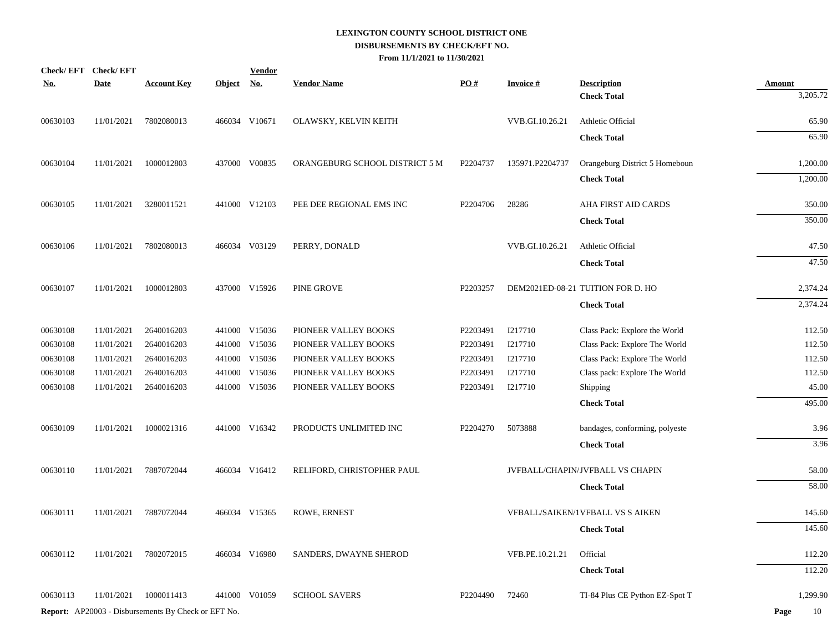| <u>No.</u> | Check/EFT Check/EFT<br><b>Date</b> | <b>Account Key</b>                                  | Object No. | <b>Vendor</b> | <b>Vendor Name</b>             | $\underline{PO#}$ | <b>Invoice#</b> | <b>Description</b>                      | <b>Amount</b> |
|------------|------------------------------------|-----------------------------------------------------|------------|---------------|--------------------------------|-------------------|-----------------|-----------------------------------------|---------------|
|            |                                    |                                                     |            |               |                                |                   |                 | <b>Check Total</b>                      | 3,205.72      |
| 00630103   | 11/01/2021                         | 7802080013                                          |            | 466034 V10671 | OLAWSKY, KELVIN KEITH          |                   | VVB.GI.10.26.21 | Athletic Official                       | 65.90         |
|            |                                    |                                                     |            |               |                                |                   |                 | <b>Check Total</b>                      | 65.90         |
| 00630104   | 11/01/2021                         | 1000012803                                          |            | 437000 V00835 | ORANGEBURG SCHOOL DISTRICT 5 M | P2204737          | 135971.P2204737 | Orangeburg District 5 Homeboun          | 1,200.00      |
|            |                                    |                                                     |            |               |                                |                   |                 | <b>Check Total</b>                      | 1,200.00      |
| 00630105   | 11/01/2021                         | 3280011521                                          |            | 441000 V12103 | PEE DEE REGIONAL EMS INC       | P2204706          | 28286           | <b>AHA FIRST AID CARDS</b>              | 350.00        |
|            |                                    |                                                     |            |               |                                |                   |                 | <b>Check Total</b>                      | 350.00        |
| 00630106   | 11/01/2021                         | 7802080013                                          |            | 466034 V03129 | PERRY, DONALD                  |                   | VVB.GI.10.26.21 | Athletic Official                       | 47.50         |
|            |                                    |                                                     |            |               |                                |                   |                 | <b>Check Total</b>                      | 47.50         |
| 00630107   | 11/01/2021                         | 1000012803                                          |            | 437000 V15926 | PINE GROVE                     | P2203257          |                 | DEM2021ED-08-21 TUITION FOR D. HO       | 2,374.24      |
|            |                                    |                                                     |            |               |                                |                   |                 | <b>Check Total</b>                      | 2,374.24      |
| 00630108   | 11/01/2021                         | 2640016203                                          |            | 441000 V15036 | PIONEER VALLEY BOOKS           | P2203491          | I217710         | Class Pack: Explore the World           | 112.50        |
| 00630108   | 11/01/2021                         | 2640016203                                          |            | 441000 V15036 | PIONEER VALLEY BOOKS           | P2203491          | I217710         | Class Pack: Explore The World           | 112.50        |
| 00630108   | 11/01/2021                         | 2640016203                                          |            | 441000 V15036 | PIONEER VALLEY BOOKS           | P2203491          | I217710         | Class Pack: Explore The World           | 112.50        |
| 00630108   | 11/01/2021                         | 2640016203                                          |            | 441000 V15036 | PIONEER VALLEY BOOKS           | P2203491          | I217710         | Class pack: Explore The World           | 112.50        |
| 00630108   | 11/01/2021                         | 2640016203                                          |            | 441000 V15036 | PIONEER VALLEY BOOKS           | P2203491          | I217710         | Shipping                                | 45.00         |
|            |                                    |                                                     |            |               |                                |                   |                 | <b>Check Total</b>                      | 495.00        |
| 00630109   | 11/01/2021                         | 1000021316                                          |            | 441000 V16342 | PRODUCTS UNLIMITED INC         | P2204270          | 5073888         | bandages, conforming, polyeste          | 3.96          |
|            |                                    |                                                     |            |               |                                |                   |                 | <b>Check Total</b>                      | 3.96          |
| 00630110   | 11/01/2021                         | 7887072044                                          |            | 466034 V16412 | RELIFORD, CHRISTOPHER PAUL     |                   |                 | JVFBALL/CHAPIN/JVFBALL VS CHAPIN        | 58.00         |
|            |                                    |                                                     |            |               |                                |                   |                 | <b>Check Total</b>                      | 58.00         |
| 00630111   | 11/01/2021                         | 7887072044                                          |            | 466034 V15365 | ROWE, ERNEST                   |                   |                 | <b>VFBALL/SAIKEN/1VFBALL VS S AIKEN</b> | 145.60        |
|            |                                    |                                                     |            |               |                                |                   |                 | <b>Check Total</b>                      | 145.60        |
| 00630112   | 11/01/2021                         | 7802072015                                          |            | 466034 V16980 | SANDERS, DWAYNE SHEROD         |                   | VFB.PE.10.21.21 | Official                                | 112.20        |
|            |                                    |                                                     |            |               |                                |                   |                 | <b>Check Total</b>                      | 112.20        |
| 00630113   | 11/01/2021                         | 1000011413                                          |            | 441000 V01059 | <b>SCHOOL SAVERS</b>           | P2204490          | 72460           | TI-84 Plus CE Python EZ-Spot T          | 1,299.90      |
|            |                                    | Report: AP20003 - Disbursements By Check or EFT No. |            |               |                                |                   |                 |                                         | 10<br>Page    |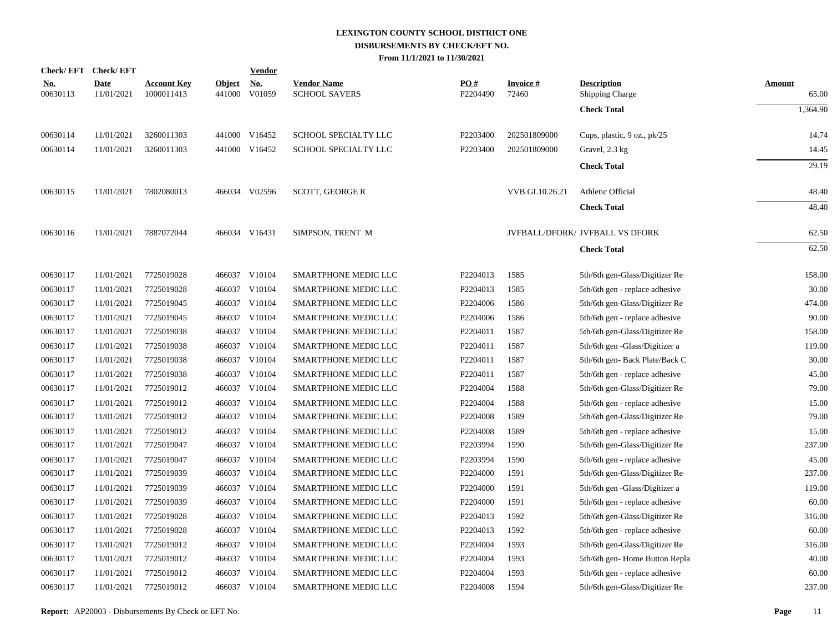| Check/EFT Check/EFT    |                           |                                  |                         | <b>Vendor</b>        |                                            |                 |                          |                                              |                        |
|------------------------|---------------------------|----------------------------------|-------------------------|----------------------|--------------------------------------------|-----------------|--------------------------|----------------------------------------------|------------------------|
| <u>No.</u><br>00630113 | <b>Date</b><br>11/01/2021 | <u>Account Key</u><br>1000011413 | <b>Object</b><br>441000 | <u>No.</u><br>V01059 | <b>Vendor Name</b><br><b>SCHOOL SAVERS</b> | PO#<br>P2204490 | <b>Invoice#</b><br>72460 | <b>Description</b><br><b>Shipping Charge</b> | <b>Amount</b><br>65.00 |
|                        |                           |                                  |                         |                      |                                            |                 |                          | <b>Check Total</b>                           | 1,364.90               |
| 00630114               | 11/01/2021                | 3260011303                       |                         | 441000 V16452        | SCHOOL SPECIALTY LLC                       | P2203400        | 202501809000             | Cups, plastic, 9 oz., pk/25                  | 14.74                  |
| 00630114               | 11/01/2021                | 3260011303                       |                         | 441000 V16452        | SCHOOL SPECIALTY LLC                       | P2203400        | 202501809000             | Gravel, 2.3 kg                               | 14.45                  |
|                        |                           |                                  |                         |                      |                                            |                 |                          | <b>Check Total</b>                           | 29.19                  |
| 00630115               | 11/01/2021                | 7802080013                       |                         | 466034 V02596        | <b>SCOTT, GEORGE R</b>                     |                 | VVB.GI.10.26.21          | Athletic Official                            | 48.40                  |
|                        |                           |                                  |                         |                      |                                            |                 |                          | <b>Check Total</b>                           | 48.40                  |
| 00630116               | 11/01/2021                | 7887072044                       |                         | 466034 V16431        | SIMPSON, TRENT M                           |                 |                          | JVFBALL/DFORK/ JVFBALL VS DFORK              | 62.50                  |
|                        |                           |                                  |                         |                      |                                            |                 |                          | <b>Check Total</b>                           | 62.50                  |
|                        |                           |                                  |                         |                      |                                            |                 |                          |                                              |                        |
| 00630117               | 11/01/2021                | 7725019028                       |                         | 466037 V10104        | SMARTPHONE MEDIC LLC                       | P2204013        | 1585                     | 5th/6th gen-Glass/Digitizer Re               | 158.00                 |
| 00630117               | 11/01/2021                | 7725019028                       | 466037                  | V10104               | SMARTPHONE MEDIC LLC                       | P2204013        | 1585                     | 5th/6th gen - replace adhesive               | 30.00                  |
| 00630117               | 11/01/2021                | 7725019045                       |                         | 466037 V10104        | SMARTPHONE MEDIC LLC                       | P2204006        | 1586                     | 5th/6th gen-Glass/Digitizer Re               | 474.00                 |
| 00630117               | 11/01/2021                | 7725019045                       | 466037                  | V10104               | SMARTPHONE MEDIC LLC                       | P2204006        | 1586                     | 5th/6th gen - replace adhesive               | 90.00                  |
| 00630117               | 11/01/2021                | 7725019038                       |                         | 466037 V10104        | SMARTPHONE MEDIC LLC                       | P2204011        | 1587                     | 5th/6th gen-Glass/Digitizer Re               | 158.00                 |
| 00630117               | 11/01/2021                | 7725019038                       | 466037                  | V10104               | SMARTPHONE MEDIC LLC                       | P2204011        | 1587                     | 5th/6th gen -Glass/Digitizer a               | 119.00                 |
| 00630117               | 11/01/2021                | 7725019038                       |                         | 466037 V10104        | SMARTPHONE MEDIC LLC                       | P2204011        | 1587                     | 5th/6th gen- Back Plate/Back C               | 30.00                  |
| 00630117               | 11/01/2021                | 7725019038                       |                         | 466037 V10104        | SMARTPHONE MEDIC LLC                       | P2204011        | 1587                     | 5th/6th gen - replace adhesive               | 45.00                  |
| 00630117               | 11/01/2021                | 7725019012                       |                         | 466037 V10104        | SMARTPHONE MEDIC LLC                       | P2204004        | 1588                     | 5th/6th gen-Glass/Digitizer Re               | 79.00                  |
| 00630117               | 11/01/2021                | 7725019012                       |                         | 466037 V10104        | SMARTPHONE MEDIC LLC                       | P2204004        | 1588                     | 5th/6th gen - replace adhesive               | 15.00                  |
| 00630117               | 11/01/2021                | 7725019012                       |                         | 466037 V10104        | SMARTPHONE MEDIC LLC                       | P2204008        | 1589                     | 5th/6th gen-Glass/Digitizer Re               | 79.00                  |
| 00630117               | 11/01/2021                | 7725019012                       |                         | 466037 V10104        | <b>SMARTPHONE MEDIC LLC</b>                | P2204008        | 1589                     | 5th/6th gen - replace adhesive               | 15.00                  |
| 00630117               | 11/01/2021                | 7725019047                       |                         | 466037 V10104        | SMARTPHONE MEDIC LLC                       | P2203994        | 1590                     | 5th/6th gen-Glass/Digitizer Re               | 237.00                 |
| 00630117               | 11/01/2021                | 7725019047                       |                         | 466037 V10104        | SMARTPHONE MEDIC LLC                       | P2203994        | 1590                     | 5th/6th gen - replace adhesive               | 45.00                  |
| 00630117               | 11/01/2021                | 7725019039                       |                         | 466037 V10104        | <b>SMARTPHONE MEDIC LLC</b>                | P2204000        | 1591                     | 5th/6th gen-Glass/Digitizer Re               | 237.00                 |
| 00630117               | 11/01/2021                | 7725019039                       |                         | 466037 V10104        | SMARTPHONE MEDIC LLC                       | P2204000        | 1591                     | 5th/6th gen -Glass/Digitizer a               | 119.00                 |
| 00630117               | 11/01/2021                | 7725019039                       |                         | 466037 V10104        | SMARTPHONE MEDIC LLC                       | P2204000        | 1591                     | 5th/6th gen - replace adhesive               | 60.00                  |
| 00630117               | 11/01/2021                | 7725019028                       |                         | 466037 V10104        | <b>SMARTPHONE MEDIC LLC</b>                | P2204013        | 1592                     | 5th/6th gen-Glass/Digitizer Re               | 316.00                 |
| 00630117               | 11/01/2021                | 7725019028                       |                         | 466037 V10104        | SMARTPHONE MEDIC LLC                       | P2204013        | 1592                     | 5th/6th gen - replace adhesive               | 60.00                  |
| 00630117               | 11/01/2021                | 7725019012                       |                         | 466037 V10104        | SMARTPHONE MEDIC LLC                       | P2204004        | 1593                     | 5th/6th gen-Glass/Digitizer Re               | 316.00                 |
| 00630117               | 11/01/2021                | 7725019012                       |                         | 466037 V10104        | <b>SMARTPHONE MEDIC LLC</b>                | P2204004        | 1593                     | 5th/6th gen-Home Button Repla                | 40.00                  |
| 00630117               | 11/01/2021                | 7725019012                       | 466037                  | V10104               | SMARTPHONE MEDIC LLC                       | P2204004        | 1593                     | 5th/6th gen - replace adhesive               | 60.00                  |
| 00630117               | 11/01/2021                | 7725019012                       |                         | 466037 V10104        | SMARTPHONE MEDIC LLC                       | P2204008        | 1594                     | 5th/6th gen-Glass/Digitizer Re               | 237.00                 |
|                        |                           |                                  |                         |                      |                                            |                 |                          |                                              |                        |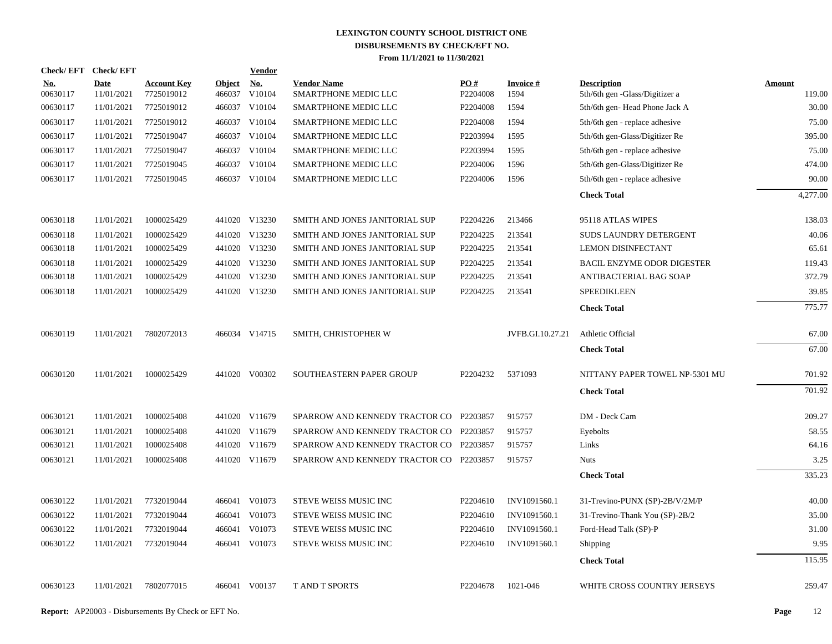|                        | Check/EFT Check/EFT       |                                  |                         | <b>Vendor</b>                         |                                            |                      |                         |                                                      |                  |
|------------------------|---------------------------|----------------------------------|-------------------------|---------------------------------------|--------------------------------------------|----------------------|-------------------------|------------------------------------------------------|------------------|
| <b>No.</b><br>00630117 | <b>Date</b><br>11/01/2021 | <b>Account Key</b><br>7725019012 | <b>Object</b><br>466037 | $\underline{\mathrm{No}}$ .<br>V10104 | <b>Vendor Name</b><br>SMARTPHONE MEDIC LLC | PO#<br>P2204008      | <b>Invoice#</b><br>1594 | <b>Description</b><br>5th/6th gen -Glass/Digitizer a | Amount<br>119.00 |
| 00630117               | 11/01/2021                | 7725019012                       |                         | 466037 V10104                         | SMARTPHONE MEDIC LLC                       | P <sub>2204008</sub> | 1594                    | 5th/6th gen-Head Phone Jack A                        | 30.00            |
| 00630117               | 11/01/2021                | 7725019012                       |                         | 466037 V10104                         | SMARTPHONE MEDIC LLC                       | P2204008             | 1594                    | 5th/6th gen - replace adhesive                       | 75.00            |
| 00630117               | 11/01/2021                | 7725019047                       |                         | 466037 V10104                         | SMARTPHONE MEDIC LLC                       | P2203994             | 1595                    | 5th/6th gen-Glass/Digitizer Re                       | 395.00           |
| 00630117               | 11/01/2021                | 7725019047                       |                         | 466037 V10104                         | SMARTPHONE MEDIC LLC                       | P2203994             | 1595                    | 5th/6th gen - replace adhesive                       | 75.00            |
| 00630117               | 11/01/2021                | 7725019045                       |                         | 466037 V10104                         | SMARTPHONE MEDIC LLC                       | P2204006             | 1596                    | 5th/6th gen-Glass/Digitizer Re                       | 474.00           |
| 00630117               | 11/01/2021                | 7725019045                       |                         | 466037 V10104                         | SMARTPHONE MEDIC LLC                       | P2204006             | 1596                    | 5th/6th gen - replace adhesive                       | 90.00            |
|                        |                           |                                  |                         |                                       |                                            |                      |                         | <b>Check Total</b>                                   | 4,277.00         |
| 00630118               | 11/01/2021                | 1000025429                       |                         | 441020 V13230                         | SMITH AND JONES JANITORIAL SUP             | P2204226             | 213466                  | 95118 ATLAS WIPES                                    | 138.03           |
| 00630118               | 11/01/2021                | 1000025429                       |                         | 441020 V13230                         | SMITH AND JONES JANITORIAL SUP             | P2204225             | 213541                  | SUDS LAUNDRY DETERGENT                               | 40.06            |
| 00630118               | 11/01/2021                | 1000025429                       |                         | 441020 V13230                         | SMITH AND JONES JANITORIAL SUP             | P2204225             | 213541                  | LEMON DISINFECTANT                                   | 65.61            |
| 00630118               | 11/01/2021                | 1000025429                       |                         | 441020 V13230                         | SMITH AND JONES JANITORIAL SUP             | P2204225             | 213541                  | <b>BACIL ENZYME ODOR DIGESTER</b>                    | 119.43           |
| 00630118               | 11/01/2021                | 1000025429                       |                         | 441020 V13230                         | SMITH AND JONES JANITORIAL SUP             | P2204225             | 213541                  | ANTIBACTERIAL BAG SOAP                               | 372.79           |
| 00630118               | 11/01/2021                | 1000025429                       |                         | 441020 V13230                         | SMITH AND JONES JANITORIAL SUP             | P2204225             | 213541                  | SPEEDIKLEEN                                          | 39.85            |
|                        |                           |                                  |                         |                                       |                                            |                      |                         | <b>Check Total</b>                                   | 775.77           |
| 00630119               | 11/01/2021                | 7802072013                       |                         | 466034 V14715                         | SMITH, CHRISTOPHER W                       |                      | JVFB.GI.10.27.21        | Athletic Official                                    | 67.00            |
|                        |                           |                                  |                         |                                       |                                            |                      |                         | <b>Check Total</b>                                   | 67.00            |
| 00630120               | 11/01/2021                | 1000025429                       |                         | 441020 V00302                         | SOUTHEASTERN PAPER GROUP                   | P2204232             | 5371093                 | NITTANY PAPER TOWEL NP-5301 MU                       | 701.92           |
|                        |                           |                                  |                         |                                       |                                            |                      |                         | <b>Check Total</b>                                   | 701.92           |
| 00630121               | 11/01/2021                | 1000025408                       |                         | 441020 V11679                         | SPARROW AND KENNEDY TRACTOR CO P2203857    |                      | 915757                  | DM - Deck Cam                                        | 209.27           |
| 00630121               | 11/01/2021                | 1000025408                       |                         | 441020 V11679                         | SPARROW AND KENNEDY TRACTOR CO             | P2203857             | 915757                  | Eyebolts                                             | 58.55            |
| 00630121               | 11/01/2021                | 1000025408                       |                         | 441020 V11679                         | SPARROW AND KENNEDY TRACTOR CO P2203857    |                      | 915757                  | Links                                                | 64.16            |
| 00630121               | 11/01/2021                | 1000025408                       |                         | 441020 V11679                         | SPARROW AND KENNEDY TRACTOR CO P2203857    |                      | 915757                  | <b>Nuts</b>                                          | 3.25             |
|                        |                           |                                  |                         |                                       |                                            |                      |                         | <b>Check Total</b>                                   | 335.23           |
| 00630122               | 11/01/2021                | 7732019044                       |                         | 466041 V01073                         | STEVE WEISS MUSIC INC                      | P <sub>2204610</sub> | INV1091560.1            | 31-Trevino-PUNX (SP)-2B/V/2M/P                       | 40.00            |
| 00630122               | 11/01/2021                | 7732019044                       |                         | 466041 V01073                         | STEVE WEISS MUSIC INC                      | P2204610             | INV1091560.1            | 31-Trevino-Thank You (SP)-2B/2                       | 35.00            |
| 00630122               | 11/01/2021                | 7732019044                       |                         | 466041 V01073                         | STEVE WEISS MUSIC INC                      | P2204610             | INV1091560.1            | Ford-Head Talk (SP)-P                                | 31.00            |
| 00630122               | 11/01/2021                | 7732019044                       |                         | 466041 V01073                         | STEVE WEISS MUSIC INC                      | P2204610             | INV1091560.1            | Shipping                                             | 9.95             |
|                        |                           |                                  |                         |                                       |                                            |                      |                         | <b>Check Total</b>                                   | 115.95           |
| 00630123               | 11/01/2021                | 7802077015                       |                         | 466041 V00137                         | <b>TAND T SPORTS</b>                       | P2204678             | 1021-046                | WHITE CROSS COUNTRY JERSEYS                          | 259.47           |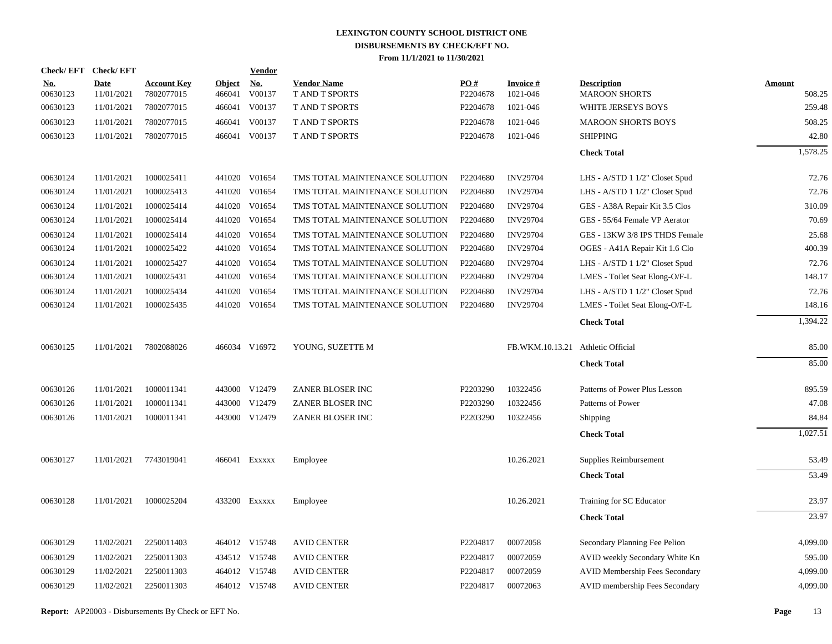| Check/EFT Check/EFT    |                           |                                  |                         | <b>Vendor</b> |                                      |                 |                                   |                                            |                  |
|------------------------|---------------------------|----------------------------------|-------------------------|---------------|--------------------------------------|-----------------|-----------------------------------|--------------------------------------------|------------------|
| <u>No.</u><br>00630123 | <b>Date</b><br>11/01/2021 | <b>Account Key</b><br>7802077015 | <b>Object</b><br>466041 | No.<br>V00137 | <b>Vendor Name</b><br>T AND T SPORTS | PO#<br>P2204678 | <b>Invoice#</b><br>1021-046       | <b>Description</b><br><b>MAROON SHORTS</b> | Amount<br>508.25 |
| 00630123               | 11/01/2021                | 7802077015                       | 466041                  | V00137        | T AND T SPORTS                       | P2204678        | 1021-046                          | WHITE JERSEYS BOYS                         | 259.48           |
| 00630123               | 11/01/2021                | 7802077015                       | 466041                  | V00137        | <b>TAND T SPORTS</b>                 | P2204678        | 1021-046                          | <b>MAROON SHORTS BOYS</b>                  | 508.25           |
| 00630123               | 11/01/2021                | 7802077015                       |                         | 466041 V00137 | <b>T AND T SPORTS</b>                | P2204678        | 1021-046                          | <b>SHIPPING</b>                            | 42.80            |
|                        |                           |                                  |                         |               |                                      |                 |                                   | <b>Check Total</b>                         | 1,578.25         |
| 00630124               | 11/01/2021                | 1000025411                       |                         | 441020 V01654 | TMS TOTAL MAINTENANCE SOLUTION       | P2204680        | <b>INV29704</b>                   | LHS - A/STD 1 1/2" Closet Spud             | 72.76            |
| 00630124               | 11/01/2021                | 1000025413                       |                         | 441020 V01654 | TMS TOTAL MAINTENANCE SOLUTION       | P2204680        | <b>INV29704</b>                   | LHS - A/STD 1 1/2" Closet Spud             | 72.76            |
| 00630124               | 11/01/2021                | 1000025414                       | 441020                  | V01654        | TMS TOTAL MAINTENANCE SOLUTION       | P2204680        | <b>INV29704</b>                   | GES - A38A Repair Kit 3.5 Clos             | 310.09           |
| 00630124               | 11/01/2021                | 1000025414                       |                         | 441020 V01654 | TMS TOTAL MAINTENANCE SOLUTION       | P2204680        | <b>INV29704</b>                   | GES - 55/64 Female VP Aerator              | 70.69            |
| 00630124               | 11/01/2021                | 1000025414                       | 441020                  | V01654        | TMS TOTAL MAINTENANCE SOLUTION       | P2204680        | <b>INV29704</b>                   | GES - 13KW 3/8 IPS THDS Female             | 25.68            |
| 00630124               | 11/01/2021                | 1000025422                       |                         | 441020 V01654 | TMS TOTAL MAINTENANCE SOLUTION       | P2204680        | <b>INV29704</b>                   | OGES - A41A Repair Kit 1.6 Clo             | 400.39           |
| 00630124               | 11/01/2021                | 1000025427                       | 441020                  | V01654        | TMS TOTAL MAINTENANCE SOLUTION       | P2204680        | <b>INV29704</b>                   | LHS - A/STD 1 1/2" Closet Spud             | 72.76            |
| 00630124               | 11/01/2021                | 1000025431                       |                         | 441020 V01654 | TMS TOTAL MAINTENANCE SOLUTION       | P2204680        | <b>INV29704</b>                   | LMES - Toilet Seat Elong-O/F-L             | 148.17           |
| 00630124               | 11/01/2021                | 1000025434                       | 441020                  | V01654        | TMS TOTAL MAINTENANCE SOLUTION       | P2204680        | <b>INV29704</b>                   | LHS - A/STD 1 1/2" Closet Spud             | 72.76            |
| 00630124               | 11/01/2021                | 1000025435                       |                         | 441020 V01654 | TMS TOTAL MAINTENANCE SOLUTION       | P2204680        | <b>INV29704</b>                   | LMES - Toilet Seat Elong-O/F-L             | 148.16           |
|                        |                           |                                  |                         |               |                                      |                 |                                   | <b>Check Total</b>                         | 1,394.22         |
| 00630125               | 11/01/2021                | 7802088026                       |                         | 466034 V16972 | YOUNG, SUZETTE M                     |                 | FB.WKM.10.13.21 Athletic Official |                                            | 85.00            |
|                        |                           |                                  |                         |               |                                      |                 |                                   | <b>Check Total</b>                         | 85.00            |
| 00630126               | 11/01/2021                | 1000011341                       |                         | 443000 V12479 | ZANER BLOSER INC                     | P2203290        | 10322456                          | Patterns of Power Plus Lesson              | 895.59           |
| 00630126               | 11/01/2021                | 1000011341                       |                         | 443000 V12479 | ZANER BLOSER INC                     | P2203290        | 10322456                          | Patterns of Power                          | 47.08            |
| 00630126               | 11/01/2021                | 1000011341                       |                         | 443000 V12479 | ZANER BLOSER INC                     | P2203290        | 10322456                          | Shipping                                   | 84.84            |
|                        |                           |                                  |                         |               |                                      |                 |                                   | <b>Check Total</b>                         | 1,027.51         |
| 00630127               | 11/01/2021                | 7743019041                       |                         | 466041 Exxxxx | Employee                             |                 | 10.26.2021                        | Supplies Reimbursement                     | 53.49            |
|                        |                           |                                  |                         |               |                                      |                 |                                   | <b>Check Total</b>                         | 53.49            |
| 00630128               | 11/01/2021                | 1000025204                       |                         | 433200 Exxxxx | Employee                             |                 | 10.26.2021                        | Training for SC Educator                   | 23.97            |
|                        |                           |                                  |                         |               |                                      |                 |                                   | <b>Check Total</b>                         | 23.97            |
| 00630129               | 11/02/2021                | 2250011403                       |                         | 464012 V15748 | <b>AVID CENTER</b>                   | P2204817        | 00072058                          | Secondary Planning Fee Pelion              | 4,099.00         |
| 00630129               | 11/02/2021                | 2250011303                       |                         | 434512 V15748 | <b>AVID CENTER</b>                   | P2204817        | 00072059                          | AVID weekly Secondary White Kn             | 595.00           |
| 00630129               | 11/02/2021                | 2250011303                       |                         | 464012 V15748 | <b>AVID CENTER</b>                   | P2204817        | 00072059                          | <b>AVID Membership Fees Secondary</b>      | 4,099.00         |
| 00630129               | 11/02/2021                | 2250011303                       |                         | 464012 V15748 | <b>AVID CENTER</b>                   | P2204817        | 00072063                          | AVID membership Fees Secondary             | 4,099.00         |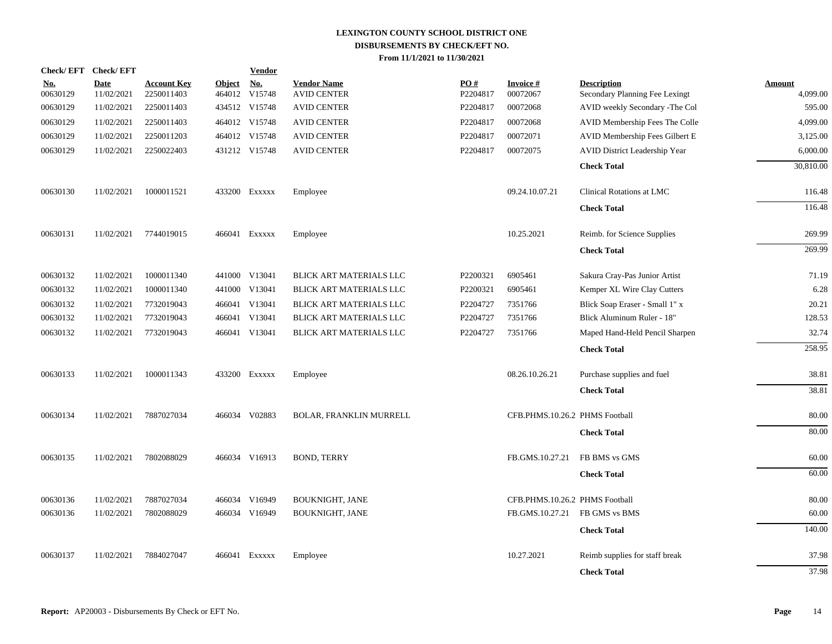| Check/EFT Check/EFT    |                           |                                  |               | <b>Vendor</b>               |                                          |                 |                                |                                                      |                           |
|------------------------|---------------------------|----------------------------------|---------------|-----------------------------|------------------------------------------|-----------------|--------------------------------|------------------------------------------------------|---------------------------|
| <u>No.</u><br>00630129 | <b>Date</b><br>11/02/2021 | <b>Account Key</b><br>2250011403 | <b>Object</b> | <u>No.</u><br>464012 V15748 | <b>Vendor Name</b><br><b>AVID CENTER</b> | PO#<br>P2204817 | <b>Invoice#</b><br>00072067    | <b>Description</b><br>Secondary Planning Fee Lexingt | <b>Amount</b><br>4,099.00 |
| 00630129               | 11/02/2021                | 2250011403                       |               | 434512 V15748               | <b>AVID CENTER</b>                       | P2204817        | 00072068                       | AVID weekly Secondary -The Col                       | 595.00                    |
| 00630129               | 11/02/2021                | 2250011403                       |               | 464012 V15748               | <b>AVID CENTER</b>                       | P2204817        | 00072068                       | AVID Membership Fees The Colle                       | 4,099.00                  |
| 00630129               | 11/02/2021                | 2250011203                       |               | 464012 V15748               | <b>AVID CENTER</b>                       | P2204817        | 00072071                       | AVID Membership Fees Gilbert E                       | 3,125.00                  |
| 00630129               | 11/02/2021                | 2250022403                       |               | 431212 V15748               | <b>AVID CENTER</b>                       | P2204817        | 00072075                       | AVID District Leadership Year                        | 6,000.00                  |
|                        |                           |                                  |               |                             |                                          |                 |                                | <b>Check Total</b>                                   | 30,810.00                 |
| 00630130               | 11/02/2021                | 1000011521                       |               | 433200 Exxxxx               | Employee                                 |                 | 09.24.10.07.21                 | Clinical Rotations at LMC                            | 116.48                    |
|                        |                           |                                  |               |                             |                                          |                 |                                | <b>Check Total</b>                                   | 116.48                    |
| 00630131               | 11/02/2021                | 7744019015                       |               | 466041 Exxxxx               | Employee                                 |                 | 10.25.2021                     | Reimb. for Science Supplies                          | 269.99                    |
|                        |                           |                                  |               |                             |                                          |                 |                                | <b>Check Total</b>                                   | 269.99                    |
| 00630132               | 11/02/2021                | 1000011340                       |               | 441000 V13041               | BLICK ART MATERIALS LLC                  | P2200321        | 6905461                        | Sakura Cray-Pas Junior Artist                        | 71.19                     |
| 00630132               | 11/02/2021                | 1000011340                       | 441000        | V13041                      | BLICK ART MATERIALS LLC                  | P2200321        | 6905461                        | Kemper XL Wire Clay Cutters                          | 6.28                      |
| 00630132               | 11/02/2021                | 7732019043                       |               | 466041 V13041               | BLICK ART MATERIALS LLC                  | P2204727        | 7351766                        | Blick Soap Eraser - Small 1" x                       | 20.21                     |
| 00630132               | 11/02/2021                | 7732019043                       | 466041        | V13041                      | BLICK ART MATERIALS LLC                  | P2204727        | 7351766                        | Blick Aluminum Ruler - 18"                           | 128.53                    |
| 00630132               | 11/02/2021                | 7732019043                       |               | 466041 V13041               | BLICK ART MATERIALS LLC                  | P2204727        | 7351766                        | Maped Hand-Held Pencil Sharpen                       | 32.74                     |
|                        |                           |                                  |               |                             |                                          |                 |                                | <b>Check Total</b>                                   | 258.95                    |
| 00630133               | 11/02/2021                | 1000011343                       |               | 433200 EXXXXX               | Employee                                 |                 | 08.26.10.26.21                 | Purchase supplies and fuel                           | 38.81                     |
|                        |                           |                                  |               |                             |                                          |                 |                                | <b>Check Total</b>                                   | 38.81                     |
| 00630134               | 11/02/2021                | 7887027034                       |               | 466034 V02883               | <b>BOLAR, FRANKLIN MURRELL</b>           |                 | CFB.PHMS.10.26.2 PHMS Football |                                                      | 80.00                     |
|                        |                           |                                  |               |                             |                                          |                 |                                | <b>Check Total</b>                                   | 80.00                     |
| 00630135               | 11/02/2021                | 7802088029                       |               | 466034 V16913               | <b>BOND, TERRY</b>                       |                 | FB.GMS.10.27.21                | FB BMS vs GMS                                        | 60.00                     |
|                        |                           |                                  |               |                             |                                          |                 |                                | <b>Check Total</b>                                   | 60.00                     |
| 00630136               | 11/02/2021                | 7887027034                       |               | 466034 V16949               | <b>BOUKNIGHT, JANE</b>                   |                 | CFB.PHMS.10.26.2 PHMS Football |                                                      | 80.00                     |
| 00630136               | 11/02/2021                | 7802088029                       |               | 466034 V16949               | <b>BOUKNIGHT, JANE</b>                   |                 | FB.GMS.10.27.21                | FB GMS vs BMS                                        | 60.00                     |
|                        |                           |                                  |               |                             |                                          |                 |                                | <b>Check Total</b>                                   | 140.00                    |
| 00630137               | 11/02/2021                | 7884027047                       |               | 466041 EXXXXX               | Employee                                 |                 | 10.27.2021                     | Reimb supplies for staff break                       | 37.98                     |
|                        |                           |                                  |               |                             |                                          |                 |                                | <b>Check Total</b>                                   | 37.98                     |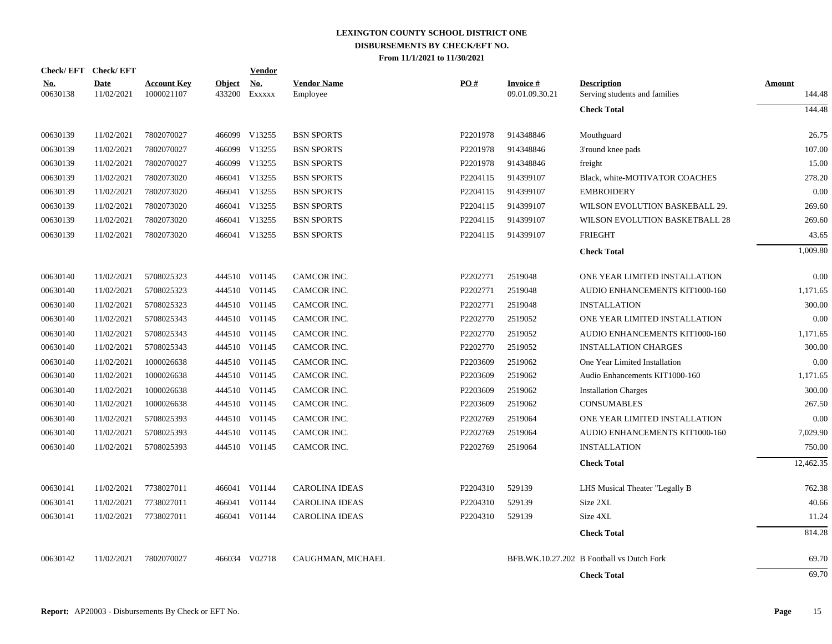| Check/EFT Check/EFT    |                    |                                  |                         | <b>Vendor</b>        |                                |                      |                                   |                                                     |                  |
|------------------------|--------------------|----------------------------------|-------------------------|----------------------|--------------------------------|----------------------|-----------------------------------|-----------------------------------------------------|------------------|
| <u>No.</u><br>00630138 | Date<br>11/02/2021 | <b>Account Key</b><br>1000021107 | <b>Object</b><br>433200 | <u>No.</u><br>EXXXXX | <b>Vendor Name</b><br>Employee | PO#                  | <b>Invoice#</b><br>09.01.09.30.21 | <b>Description</b><br>Serving students and families | Amount<br>144.48 |
|                        |                    |                                  |                         |                      |                                |                      |                                   | <b>Check Total</b>                                  | 144.48           |
| 00630139               | 11/02/2021         | 7802070027                       |                         | 466099 V13255        | <b>BSN SPORTS</b>              | P2201978             | 914348846                         | Mouthguard                                          | 26.75            |
| 00630139               | 11/02/2021         | 7802070027                       | 466099                  | V13255               | <b>BSN SPORTS</b>              | P2201978             | 914348846                         | 3'round knee pads                                   | 107.00           |
| 00630139               | 11/02/2021         | 7802070027                       | 466099                  | V13255               | <b>BSN SPORTS</b>              | P2201978             | 914348846                         | freight                                             | 15.00            |
| 00630139               | 11/02/2021         | 7802073020                       |                         | 466041 V13255        | <b>BSN SPORTS</b>              | P <sub>2204115</sub> | 914399107                         | Black, white-MOTIVATOR COACHES                      | 278.20           |
| 00630139               | 11/02/2021         | 7802073020                       |                         | 466041 V13255        | <b>BSN SPORTS</b>              | P2204115             | 914399107                         | <b>EMBROIDERY</b>                                   | 0.00             |
| 00630139               | 11/02/2021         | 7802073020                       |                         | 466041 V13255        | <b>BSN SPORTS</b>              | P2204115             | 914399107                         | WILSON EVOLUTION BASKEBALL 29.                      | 269.60           |
| 00630139               | 11/02/2021         | 7802073020                       |                         | 466041 V13255        | <b>BSN SPORTS</b>              | P2204115             | 914399107                         | WILSON EVOLUTION BASKETBALL 28                      | 269.60           |
| 00630139               | 11/02/2021         | 7802073020                       |                         | 466041 V13255        | <b>BSN SPORTS</b>              | P2204115             | 914399107                         | <b>FRIEGHT</b>                                      | 43.65            |
|                        |                    |                                  |                         |                      |                                |                      |                                   | <b>Check Total</b>                                  | 1,009.80         |
| 00630140               | 11/02/2021         | 5708025323                       |                         | 444510 V01145        | CAMCOR INC.                    | P2202771             | 2519048                           | ONE YEAR LIMITED INSTALLATION                       | 0.00             |
| 00630140               | 11/02/2021         | 5708025323                       |                         | 444510 V01145        | CAMCOR INC.                    | P2202771             | 2519048                           | AUDIO ENHANCEMENTS KIT1000-160                      | 1,171.65         |
| 00630140               | 11/02/2021         | 5708025323                       |                         | 444510 V01145        | CAMCOR INC.                    | P2202771             | 2519048                           | <b>INSTALLATION</b>                                 | 300.00           |
| 00630140               | 11/02/2021         | 5708025343                       |                         | 444510 V01145        | CAMCOR INC.                    | P2202770             | 2519052                           | ONE YEAR LIMITED INSTALLATION                       | 0.00             |
| 00630140               | 11/02/2021         | 5708025343                       |                         | 444510 V01145        | CAMCOR INC.                    | P2202770             | 2519052                           | AUDIO ENHANCEMENTS KIT1000-160                      | 1,171.65         |
| 00630140               | 11/02/2021         | 5708025343                       |                         | 444510 V01145        | CAMCOR INC.                    | P2202770             | 2519052                           | <b>INSTALLATION CHARGES</b>                         | 300.00           |
| 00630140               | 11/02/2021         | 1000026638                       |                         | 444510 V01145        | CAMCOR INC.                    | P2203609             | 2519062                           | One Year Limited Installation                       | 0.00             |
| 00630140               | 11/02/2021         | 1000026638                       |                         | 444510 V01145        | CAMCOR INC.                    | P2203609             | 2519062                           | Audio Enhancements KIT1000-160                      | 1,171.65         |
| 00630140               | 11/02/2021         | 1000026638                       |                         | 444510 V01145        | CAMCOR INC.                    | P2203609             | 2519062                           | <b>Installation Charges</b>                         | 300.00           |
| 00630140               | 11/02/2021         | 1000026638                       |                         | 444510 V01145        | CAMCOR INC.                    | P2203609             | 2519062                           | <b>CONSUMABLES</b>                                  | 267.50           |
| 00630140               | 11/02/2021         | 5708025393                       |                         | 444510 V01145        | CAMCOR INC.                    | P2202769             | 2519064                           | ONE YEAR LIMITED INSTALLATION                       | 0.00             |
| 00630140               | 11/02/2021         | 5708025393                       |                         | 444510 V01145        | CAMCOR INC.                    | P2202769             | 2519064                           | AUDIO ENHANCEMENTS KIT1000-160                      | 7,029.90         |
| 00630140               | 11/02/2021         | 5708025393                       |                         | 444510 V01145        | CAMCOR INC.                    | P2202769             | 2519064                           | <b>INSTALLATION</b>                                 | 750.00           |
|                        |                    |                                  |                         |                      |                                |                      |                                   | <b>Check Total</b>                                  | 12,462.35        |
| 00630141               | 11/02/2021         | 7738027011                       |                         | 466041 V01144        | <b>CAROLINA IDEAS</b>          | P2204310             | 529139                            | LHS Musical Theater "Legally B                      | 762.38           |
| 00630141               | 11/02/2021         | 7738027011                       | 466041                  | V01144               | <b>CAROLINA IDEAS</b>          | P2204310             | 529139                            | Size 2XL                                            | 40.66            |
| 00630141               | 11/02/2021         | 7738027011                       | 466041                  | V01144               | <b>CAROLINA IDEAS</b>          | P2204310             | 529139                            | Size 4XL                                            | 11.24            |
|                        |                    |                                  |                         |                      |                                |                      |                                   | <b>Check Total</b>                                  | 814.28           |
| 00630142               | 11/02/2021         | 7802070027                       |                         | 466034 V02718        | CAUGHMAN, MICHAEL              |                      |                                   | BFB.WK.10.27.202 B Football vs Dutch Fork           | 69.70            |
|                        |                    |                                  |                         |                      |                                |                      |                                   | <b>Check Total</b>                                  | 69.70            |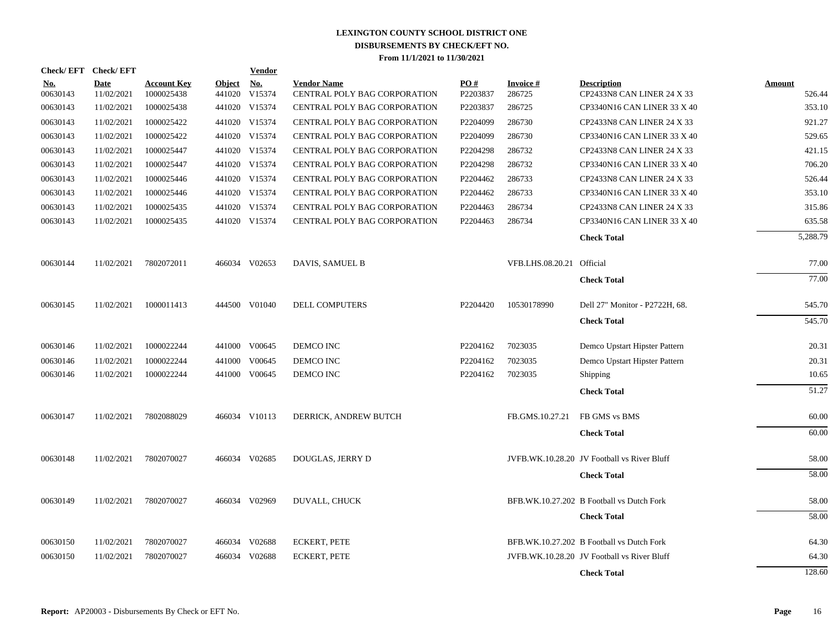| Check/EFT Check/EFT    |                           |                                  |                         | <b>Vendor</b>        |                                                    |                 |                           |                                                  |                  |
|------------------------|---------------------------|----------------------------------|-------------------------|----------------------|----------------------------------------------------|-----------------|---------------------------|--------------------------------------------------|------------------|
| <u>No.</u><br>00630143 | <b>Date</b><br>11/02/2021 | <b>Account Key</b><br>1000025438 | <b>Object</b><br>441020 | <b>No.</b><br>V15374 | <b>Vendor Name</b><br>CENTRAL POLY BAG CORPORATION | PO#<br>P2203837 | Invoice #<br>286725       | <b>Description</b><br>CP2433N8 CAN LINER 24 X 33 | Amount<br>526.44 |
| 00630143               | 11/02/2021                | 1000025438                       |                         | 441020 V15374        | CENTRAL POLY BAG CORPORATION                       | P2203837        | 286725                    | <b>CP3340N16 CAN LINER 33 X 40</b>               | 353.10           |
| 00630143               | 11/02/2021                | 1000025422                       |                         | 441020 V15374        | CENTRAL POLY BAG CORPORATION                       | P2204099        | 286730                    | CP2433N8 CAN LINER 24 X 33                       | 921.27           |
| 00630143               | 11/02/2021                | 1000025422                       |                         | 441020 V15374        | CENTRAL POLY BAG CORPORATION                       | P2204099        | 286730                    | CP3340N16 CAN LINER 33 X 40                      | 529.65           |
| 00630143               | 11/02/2021                | 1000025447                       |                         | 441020 V15374        | CENTRAL POLY BAG CORPORATION                       | P2204298        | 286732                    | CP2433N8 CAN LINER 24 X 33                       | 421.15           |
| 00630143               | 11/02/2021                | 1000025447                       |                         | 441020 V15374        | CENTRAL POLY BAG CORPORATION                       | P2204298        | 286732                    | CP3340N16 CAN LINER 33 X 40                      | 706.20           |
| 00630143               | 11/02/2021                | 1000025446                       |                         | 441020 V15374        | CENTRAL POLY BAG CORPORATION                       | P2204462        | 286733                    | CP2433N8 CAN LINER 24 X 33                       | 526.44           |
| 00630143               | 11/02/2021                | 1000025446                       |                         | 441020 V15374        | CENTRAL POLY BAG CORPORATION                       | P2204462        | 286733                    | <b>CP3340N16 CAN LINER 33 X 40</b>               | 353.10           |
| 00630143               | 11/02/2021                | 1000025435                       |                         | 441020 V15374        | CENTRAL POLY BAG CORPORATION                       | P2204463        | 286734                    | CP2433N8 CAN LINER 24 X 33                       | 315.86           |
| 00630143               | 11/02/2021                | 1000025435                       |                         | 441020 V15374        | <b>CENTRAL POLY BAG CORPORATION</b>                | P2204463        | 286734                    | CP3340N16 CAN LINER 33 X 40                      | 635.58           |
|                        |                           |                                  |                         |                      |                                                    |                 |                           | <b>Check Total</b>                               | 5,288.79         |
| 00630144               | 11/02/2021                | 7802072011                       |                         | 466034 V02653        | DAVIS, SAMUEL B                                    |                 | VFB.LHS.08.20.21 Official |                                                  | 77.00            |
|                        |                           |                                  |                         |                      |                                                    |                 |                           | <b>Check Total</b>                               | 77.00            |
| 00630145               | 11/02/2021                | 1000011413                       |                         | 444500 V01040        | DELL COMPUTERS                                     | P2204420        | 10530178990               | Dell 27" Monitor - P2722H, 68.                   | 545.70           |
|                        |                           |                                  |                         |                      |                                                    |                 |                           | <b>Check Total</b>                               | 545.70           |
| 00630146               | 11/02/2021                | 1000022244                       |                         | 441000 V00645        | DEMCO INC                                          | P2204162        | 7023035                   | Demco Upstart Hipster Pattern                    | 20.31            |
| 00630146               | 11/02/2021                | 1000022244                       | 441000                  | V00645               | DEMCO INC                                          | P2204162        | 7023035                   | Demco Upstart Hipster Pattern                    | 20.31            |
| 00630146               | 11/02/2021                | 1000022244                       |                         | 441000 V00645        | DEMCO INC                                          | P2204162        | 7023035                   | <b>Shipping</b>                                  | 10.65            |
|                        |                           |                                  |                         |                      |                                                    |                 |                           | <b>Check Total</b>                               | 51.27            |
| 00630147               | 11/02/2021                | 7802088029                       |                         | 466034 V10113        | DERRICK, ANDREW BUTCH                              |                 | FB.GMS.10.27.21           | FB GMS vs BMS                                    | 60.00            |
|                        |                           |                                  |                         |                      |                                                    |                 |                           | <b>Check Total</b>                               | 60.00            |
| 00630148               | 11/02/2021                | 7802070027                       |                         | 466034 V02685        | DOUGLAS, JERRY D                                   |                 |                           | JVFB.WK.10.28.20 JV Football vs River Bluff      | 58.00            |
|                        |                           |                                  |                         |                      |                                                    |                 |                           | <b>Check Total</b>                               | 58.00            |
| 00630149               | 11/02/2021                | 7802070027                       |                         | 466034 V02969        | DUVALL, CHUCK                                      |                 |                           | BFB.WK.10.27.202 B Football vs Dutch Fork        | 58.00            |
|                        |                           |                                  |                         |                      |                                                    |                 |                           | <b>Check Total</b>                               | 58.00            |
| 00630150               | 11/02/2021                | 7802070027                       |                         | 466034 V02688        | <b>ECKERT, PETE</b>                                |                 |                           | BFB.WK.10.27.202 B Football vs Dutch Fork        | 64.30            |
| 00630150               | 11/02/2021                | 7802070027                       | 466034                  | V02688               | <b>ECKERT, PETE</b>                                |                 |                           | JVFB.WK.10.28.20 JV Football vs River Bluff      | 64.30            |
|                        |                           |                                  |                         |                      |                                                    |                 |                           | <b>Check Total</b>                               | 128.60           |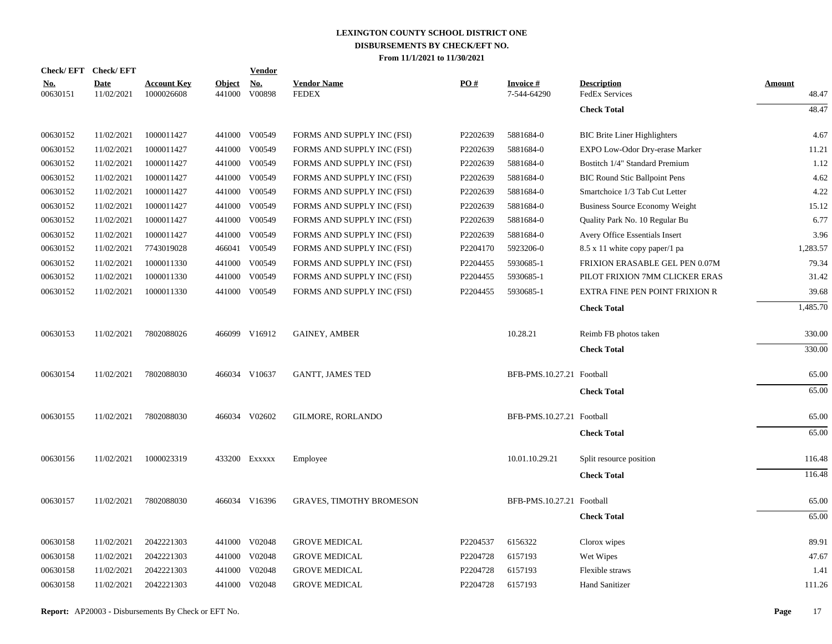| Check/EFT Check/EFT    |                           |                                  |                         | <b>Vendor</b>        |                                    |          |                                |                                             |                        |
|------------------------|---------------------------|----------------------------------|-------------------------|----------------------|------------------------------------|----------|--------------------------------|---------------------------------------------|------------------------|
| <u>No.</u><br>00630151 | <b>Date</b><br>11/02/2021 | <b>Account Key</b><br>1000026608 | <b>Object</b><br>441000 | <u>No.</u><br>V00898 | <b>Vendor Name</b><br><b>FEDEX</b> | PO#      | <b>Invoice#</b><br>7-544-64290 | <b>Description</b><br><b>FedEx Services</b> | <b>Amount</b><br>48.47 |
|                        |                           |                                  |                         |                      |                                    |          |                                | <b>Check Total</b>                          | 48.47                  |
| 00630152               | 11/02/2021                | 1000011427                       |                         | 441000 V00549        | FORMS AND SUPPLY INC (FSI)         | P2202639 | 5881684-0                      | <b>BIC Brite Liner Highlighters</b>         | 4.67                   |
| 00630152               | 11/02/2021                | 1000011427                       |                         | 441000 V00549        | FORMS AND SUPPLY INC (FSI)         | P2202639 | 5881684-0                      | EXPO Low-Odor Dry-erase Marker              | 11.21                  |
| 00630152               | 11/02/2021                | 1000011427                       |                         | 441000 V00549        | FORMS AND SUPPLY INC (FSI)         | P2202639 | 5881684-0                      | Bostitch 1/4" Standard Premium              | 1.12                   |
| 00630152               | 11/02/2021                | 1000011427                       |                         | 441000 V00549        | FORMS AND SUPPLY INC (FSI)         | P2202639 | 5881684-0                      | <b>BIC Round Stic Ballpoint Pens</b>        | 4.62                   |
| 00630152               | 11/02/2021                | 1000011427                       |                         | 441000 V00549        | FORMS AND SUPPLY INC (FSI)         | P2202639 | 5881684-0                      | Smartchoice 1/3 Tab Cut Letter              | 4.22                   |
| 00630152               | 11/02/2021                | 1000011427                       |                         | 441000 V00549        | FORMS AND SUPPLY INC (FSI)         | P2202639 | 5881684-0                      | Business Source Economy Weight              | 15.12                  |
| 00630152               | 11/02/2021                | 1000011427                       |                         | 441000 V00549        | FORMS AND SUPPLY INC (FSI)         | P2202639 | 5881684-0                      | Quality Park No. 10 Regular Bu              | 6.77                   |
| 00630152               | 11/02/2021                | 1000011427                       | 441000                  | V00549               | FORMS AND SUPPLY INC (FSI)         | P2202639 | 5881684-0                      | Avery Office Essentials Insert              | 3.96                   |
| 00630152               | 11/02/2021                | 7743019028                       |                         | 466041 V00549        | FORMS AND SUPPLY INC (FSI)         | P2204170 | 5923206-0                      | 8.5 x 11 white copy paper/1 pa              | 1,283.57               |
| 00630152               | 11/02/2021                | 1000011330                       |                         | 441000 V00549        | FORMS AND SUPPLY INC (FSI)         | P2204455 | 5930685-1                      | FRIXION ERASABLE GEL PEN 0.07M              | 79.34                  |
| 00630152               | 11/02/2021                | 1000011330                       | 441000                  | V00549               | FORMS AND SUPPLY INC (FSI)         | P2204455 | 5930685-1                      | PILOT FRIXION 7MM CLICKER ERAS              | 31.42                  |
| 00630152               | 11/02/2021                | 1000011330                       |                         | 441000 V00549        | FORMS AND SUPPLY INC (FSI)         | P2204455 | 5930685-1                      | EXTRA FINE PEN POINT FRIXION R              | 39.68                  |
|                        |                           |                                  |                         |                      |                                    |          |                                | <b>Check Total</b>                          | 1,485.70               |
| 00630153               | 11/02/2021                | 7802088026                       |                         | 466099 V16912        | <b>GAINEY, AMBER</b>               |          | 10.28.21                       | Reimb FB photos taken                       | 330.00                 |
|                        |                           |                                  |                         |                      |                                    |          |                                | <b>Check Total</b>                          | 330.00                 |
| 00630154               | 11/02/2021                | 7802088030                       |                         | 466034 V10637        | <b>GANTT, JAMES TED</b>            |          | BFB-PMS.10.27.21 Football      |                                             | 65.00                  |
|                        |                           |                                  |                         |                      |                                    |          |                                | <b>Check Total</b>                          | 65.00                  |
| 00630155               | 11/02/2021                | 7802088030                       |                         | 466034 V02602        | <b>GILMORE, RORLANDO</b>           |          | BFB-PMS.10.27.21 Football      |                                             | 65.00                  |
|                        |                           |                                  |                         |                      |                                    |          |                                | <b>Check Total</b>                          | 65.00                  |
| 00630156               | 11/02/2021                | 1000023319                       |                         | 433200 Exxxxx        | Employee                           |          | 10.01.10.29.21                 | Split resource position                     | 116.48                 |
|                        |                           |                                  |                         |                      |                                    |          |                                | <b>Check Total</b>                          | 116.48                 |
|                        |                           |                                  |                         |                      |                                    |          |                                |                                             |                        |
| 00630157               | 11/02/2021                | 7802088030                       |                         | 466034 V16396        | <b>GRAVES, TIMOTHY BROMESON</b>    |          | BFB-PMS.10.27.21 Football      |                                             | 65.00                  |
|                        |                           |                                  |                         |                      |                                    |          |                                | <b>Check Total</b>                          | 65.00                  |
| 00630158               | 11/02/2021                | 2042221303                       |                         | 441000 V02048        | <b>GROVE MEDICAL</b>               | P2204537 | 6156322                        | Clorox wipes                                | 89.91                  |
| 00630158               | 11/02/2021                | 2042221303                       | 441000                  | V02048               | <b>GROVE MEDICAL</b>               | P2204728 | 6157193                        | Wet Wipes                                   | 47.67                  |
| 00630158               | 11/02/2021                | 2042221303                       | 441000                  | V02048               | <b>GROVE MEDICAL</b>               | P2204728 | 6157193                        | Flexible straws                             | 1.41                   |
| 00630158               | 11/02/2021                | 2042221303                       |                         | 441000 V02048        | <b>GROVE MEDICAL</b>               | P2204728 | 6157193                        | <b>Hand Sanitizer</b>                       | 111.26                 |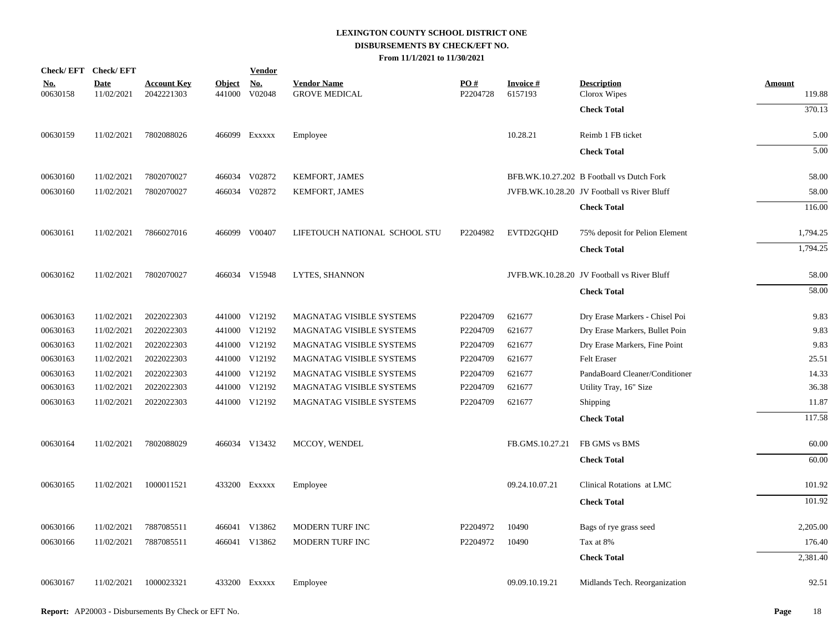|                        | Check/EFT Check/EFT       |                                  |                         | <b>Vendor</b>                         |                                            |                 |                            |                                             |                         |
|------------------------|---------------------------|----------------------------------|-------------------------|---------------------------------------|--------------------------------------------|-----------------|----------------------------|---------------------------------------------|-------------------------|
| <u>No.</u><br>00630158 | <b>Date</b><br>11/02/2021 | <b>Account Key</b><br>2042221303 | <b>Object</b><br>441000 | $\underline{\mathrm{No}}$ .<br>V02048 | <b>Vendor Name</b><br><b>GROVE MEDICAL</b> | PO#<br>P2204728 | <b>Invoice#</b><br>6157193 | <b>Description</b><br>Clorox Wipes          | <b>Amount</b><br>119.88 |
|                        |                           |                                  |                         |                                       |                                            |                 |                            | <b>Check Total</b>                          | 370.13                  |
| 00630159               | 11/02/2021                | 7802088026                       |                         | 466099 Exxxxx                         | Employee                                   |                 | 10.28.21                   | Reimb 1 FB ticket                           | 5.00                    |
|                        |                           |                                  |                         |                                       |                                            |                 |                            | <b>Check Total</b>                          | 5.00                    |
| 00630160               | 11/02/2021                | 7802070027                       |                         | 466034 V02872                         | KEMFORT, JAMES                             |                 |                            | BFB.WK.10.27.202 B Football vs Dutch Fork   | 58.00                   |
| 00630160               | 11/02/2021                | 7802070027                       |                         | 466034 V02872                         | KEMFORT, JAMES                             |                 |                            | JVFB.WK.10.28.20 JV Football vs River Bluff | 58.00                   |
|                        |                           |                                  |                         |                                       |                                            |                 |                            | <b>Check Total</b>                          | 116.00                  |
| 00630161               | 11/02/2021                | 7866027016                       |                         | 466099 V00407                         | LIFETOUCH NATIONAL SCHOOL STU              | P2204982        | EVTD2GOHD                  | 75% deposit for Pelion Element              | 1,794.25                |
|                        |                           |                                  |                         |                                       |                                            |                 |                            | <b>Check Total</b>                          | 1,794.25                |
| 00630162               | 11/02/2021                | 7802070027                       |                         | 466034 V15948                         | <b>LYTES, SHANNON</b>                      |                 |                            | JVFB.WK.10.28.20 JV Football vs River Bluff | 58.00                   |
|                        |                           |                                  |                         |                                       |                                            |                 |                            | <b>Check Total</b>                          | 58.00                   |
| 00630163               | 11/02/2021                | 2022022303                       |                         | 441000 V12192                         | MAGNATAG VISIBLE SYSTEMS                   | P2204709        | 621677                     | Dry Erase Markers - Chisel Poi              | 9.83                    |
| 00630163               | 11/02/2021                | 2022022303                       |                         | 441000 V12192                         | MAGNATAG VISIBLE SYSTEMS                   | P2204709        | 621677                     | Dry Erase Markers, Bullet Poin              | 9.83                    |
| 00630163               | 11/02/2021                | 2022022303                       |                         | 441000 V12192                         | MAGNATAG VISIBLE SYSTEMS                   | P2204709        | 621677                     | Dry Erase Markers, Fine Point               | 9.83                    |
| 00630163               | 11/02/2021                | 2022022303                       |                         | 441000 V12192                         | MAGNATAG VISIBLE SYSTEMS                   | P2204709        | 621677                     | Felt Eraser                                 | 25.51                   |
| 00630163               | 11/02/2021                | 2022022303                       |                         | 441000 V12192                         | MAGNATAG VISIBLE SYSTEMS                   | P2204709        | 621677                     | PandaBoard Cleaner/Conditioner              | 14.33                   |
| 00630163               | 11/02/2021                | 2022022303                       |                         | 441000 V12192                         | MAGNATAG VISIBLE SYSTEMS                   | P2204709        | 621677                     | Utility Tray, 16" Size                      | 36.38                   |
| 00630163               | 11/02/2021                | 2022022303                       |                         | 441000 V12192                         | <b>MAGNATAG VISIBLE SYSTEMS</b>            | P2204709        | 621677                     | Shipping                                    | 11.87                   |
|                        |                           |                                  |                         |                                       |                                            |                 |                            | <b>Check Total</b>                          | 117.58                  |
| 00630164               | 11/02/2021                | 7802088029                       |                         | 466034 V13432                         | MCCOY, WENDEL                              |                 | FB.GMS.10.27.21            | FB GMS vs BMS                               | 60.00                   |
|                        |                           |                                  |                         |                                       |                                            |                 |                            | <b>Check Total</b>                          | 60.00                   |
| 00630165               | 11/02/2021                | 1000011521                       |                         | 433200 EXXXXX                         | Employee                                   |                 | 09.24.10.07.21             | Clinical Rotations at LMC                   | 101.92                  |
|                        |                           |                                  |                         |                                       |                                            |                 |                            | <b>Check Total</b>                          | 101.92                  |
| 00630166               | 11/02/2021                | 7887085511                       |                         | 466041 V13862                         | MODERN TURF INC                            | P2204972        | 10490                      | Bags of rye grass seed                      | 2,205.00                |
| 00630166               | 11/02/2021                | 7887085511                       |                         | 466041 V13862                         | MODERN TURF INC                            | P2204972        | 10490                      | Tax at 8%                                   | 176.40                  |
|                        |                           |                                  |                         |                                       |                                            |                 |                            | <b>Check Total</b>                          | 2,381.40                |
| 00630167               | 11/02/2021                | 1000023321                       |                         | 433200 EXXXXX                         | Employee                                   |                 | 09.09.10.19.21             | Midlands Tech. Reorganization               | 92.51                   |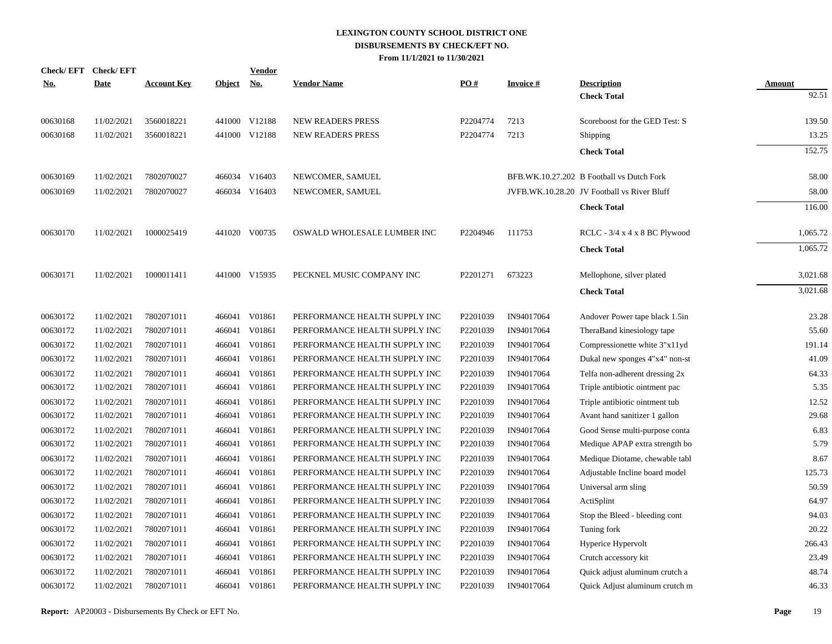|            | Check/EFT Check/EFT |                    |            | <b>Vendor</b> |                               |          |                 |                                             |                        |
|------------|---------------------|--------------------|------------|---------------|-------------------------------|----------|-----------------|---------------------------------------------|------------------------|
| <b>No.</b> | <b>Date</b>         | <b>Account Key</b> | Object No. |               | <b>Vendor Name</b>            | PO#      | <b>Invoice#</b> | <b>Description</b>                          | <b>Amount</b><br>92.51 |
|            |                     |                    |            |               |                               |          |                 | <b>Check Total</b>                          |                        |
| 00630168   | 11/02/2021          | 3560018221         |            | 441000 V12188 | <b>NEW READERS PRESS</b>      | P2204774 | 7213            | Scoreboost for the GED Test: S              | 139.50                 |
| 00630168   | 11/02/2021          | 3560018221         |            | 441000 V12188 | <b>NEW READERS PRESS</b>      | P2204774 | 7213            | Shipping                                    | 13.25                  |
|            |                     |                    |            |               |                               |          |                 | <b>Check Total</b>                          | 152.75                 |
| 00630169   | 11/02/2021          | 7802070027         | 466034     | V16403        | NEWCOMER, SAMUEL              |          |                 | BFB.WK.10.27.202 B Football vs Dutch Fork   | 58.00                  |
| 00630169   | 11/02/2021          | 7802070027         |            | 466034 V16403 | NEWCOMER, SAMUEL              |          |                 | JVFB.WK.10.28.20 JV Football vs River Bluff | 58.00                  |
|            |                     |                    |            |               |                               |          |                 | <b>Check Total</b>                          | 116.00                 |
|            |                     |                    |            |               |                               |          |                 |                                             |                        |
| 00630170   | 11/02/2021          | 1000025419         |            | 441020 V00735 | OSWALD WHOLESALE LUMBER INC   | P2204946 | 111753          | RCLC - 3/4 x 4 x 8 BC Plywood               | 1,065.72               |
|            |                     |                    |            |               |                               |          |                 | <b>Check Total</b>                          | 1,065.72               |
| 00630171   | 11/02/2021          | 1000011411         |            | 441000 V15935 | PECKNEL MUSIC COMPANY INC     | P2201271 | 673223          | Mellophone, silver plated                   | 3,021.68               |
|            |                     |                    |            |               |                               |          |                 | <b>Check Total</b>                          | 3,021.68               |
|            |                     |                    |            |               |                               |          |                 |                                             |                        |
| 00630172   | 11/02/2021          | 7802071011         | 466041     | V01861        | PERFORMANCE HEALTH SUPPLY INC | P2201039 | IN94017064      | Andover Power tape black 1.5in              | 23.28                  |
| 00630172   | 11/02/2021          | 7802071011         | 466041     | V01861        | PERFORMANCE HEALTH SUPPLY INC | P2201039 | IN94017064      | TheraBand kinesiology tape                  | 55.60                  |
| 00630172   | 11/02/2021          | 7802071011         | 466041     | V01861        | PERFORMANCE HEALTH SUPPLY INC | P2201039 | IN94017064      | Compressionette white 3"x11yd               | 191.14                 |
| 00630172   | 11/02/2021          | 7802071011         | 466041     | V01861        | PERFORMANCE HEALTH SUPPLY INC | P2201039 | IN94017064      | Dukal new sponges 4"x4" non-st              | 41.09                  |
| 00630172   | 11/02/2021          | 7802071011         | 466041     | V01861        | PERFORMANCE HEALTH SUPPLY INC | P2201039 | IN94017064      | Telfa non-adherent dressing 2x              | 64.33                  |
| 00630172   | 11/02/2021          | 7802071011         | 466041     | V01861        | PERFORMANCE HEALTH SUPPLY INC | P2201039 | IN94017064      | Triple antibiotic ointment pac              | 5.35                   |
| 00630172   | 11/02/2021          | 7802071011         | 466041     | V01861        | PERFORMANCE HEALTH SUPPLY INC | P2201039 | IN94017064      | Triple antibiotic ointment tub              | 12.52                  |
| 00630172   | 11/02/2021          | 7802071011         | 466041     | V01861        | PERFORMANCE HEALTH SUPPLY INC | P2201039 | IN94017064      | Avant hand sanitizer 1 gallon               | 29.68                  |
| 00630172   | 11/02/2021          | 7802071011         | 466041     | V01861        | PERFORMANCE HEALTH SUPPLY INC | P2201039 | IN94017064      | Good Sense multi-purpose conta              | 6.83                   |
| 00630172   | 11/02/2021          | 7802071011         | 466041     | V01861        | PERFORMANCE HEALTH SUPPLY INC | P2201039 | IN94017064      | Medique APAP extra strength bo              | 5.79                   |
| 00630172   | 11/02/2021          | 7802071011         | 466041     | V01861        | PERFORMANCE HEALTH SUPPLY INC | P2201039 | IN94017064      | Medique Diotame, chewable tabl              | 8.67                   |
| 00630172   | 11/02/2021          | 7802071011         | 466041     | V01861        | PERFORMANCE HEALTH SUPPLY INC | P2201039 | IN94017064      | Adjustable Incline board model              | 125.73                 |
| 00630172   | 11/02/2021          | 7802071011         | 466041     | V01861        | PERFORMANCE HEALTH SUPPLY INC | P2201039 | IN94017064      | Universal arm sling                         | 50.59                  |
| 00630172   | 11/02/2021          | 7802071011         | 466041     | V01861        | PERFORMANCE HEALTH SUPPLY INC | P2201039 | IN94017064      | ActiSplint                                  | 64.97                  |
| 00630172   | 11/02/2021          | 7802071011         | 466041     | V01861        | PERFORMANCE HEALTH SUPPLY INC | P2201039 | IN94017064      | Stop the Bleed - bleeding cont              | 94.03                  |
| 00630172   | 11/02/2021          | 7802071011         | 466041     | V01861        | PERFORMANCE HEALTH SUPPLY INC | P2201039 | IN94017064      | Tuning fork                                 | 20.22                  |
| 00630172   | 11/02/2021          | 7802071011         | 466041     | V01861        | PERFORMANCE HEALTH SUPPLY INC | P2201039 | IN94017064      | Hyperice Hypervolt                          | 266.43                 |
| 00630172   | 11/02/2021          | 7802071011         | 466041     | V01861        | PERFORMANCE HEALTH SUPPLY INC | P2201039 | IN94017064      | Crutch accessory kit                        | 23.49                  |
| 00630172   | 11/02/2021          | 7802071011         | 466041     | V01861        | PERFORMANCE HEALTH SUPPLY INC | P2201039 | IN94017064      | Quick adjust aluminum crutch a              | 48.74                  |
| 00630172   | 11/02/2021          | 7802071011         | 466041     | V01861        | PERFORMANCE HEALTH SUPPLY INC | P2201039 | IN94017064      | Quick Adjust aluminum crutch m              | 46.33                  |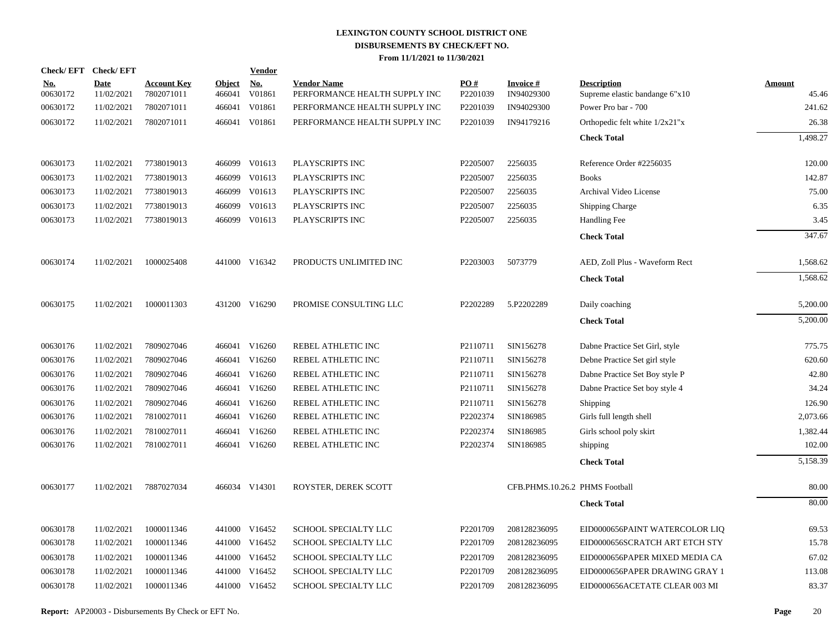|                        | Check/EFT Check/EFT       |                                  |                         | <b>Vendor</b>        |                                                     |                 |                                |                                                      |                 |
|------------------------|---------------------------|----------------------------------|-------------------------|----------------------|-----------------------------------------------------|-----------------|--------------------------------|------------------------------------------------------|-----------------|
| <u>No.</u><br>00630172 | <b>Date</b><br>11/02/2021 | <b>Account Key</b><br>7802071011 | <b>Object</b><br>466041 | <u>No.</u><br>V01861 | <b>Vendor Name</b><br>PERFORMANCE HEALTH SUPPLY INC | PO#<br>P2201039 | <b>Invoice#</b><br>IN94029300  | <b>Description</b><br>Supreme elastic bandange 6"x10 | Amount<br>45.46 |
| 00630172               | 11/02/2021                | 7802071011                       | 466041                  | V01861               | PERFORMANCE HEALTH SUPPLY INC                       | P2201039        | IN94029300                     | Power Pro bar - 700                                  | 241.62          |
| 00630172               | 11/02/2021                | 7802071011                       |                         | 466041 V01861        | PERFORMANCE HEALTH SUPPLY INC                       | P2201039        | IN94179216                     | Orthopedic felt white $1/2x21"x$                     | 26.38           |
|                        |                           |                                  |                         |                      |                                                     |                 |                                | <b>Check Total</b>                                   | 1,498.27        |
| 00630173               | 11/02/2021                | 7738019013                       |                         | 466099 V01613        | PLAYSCRIPTS INC                                     | P2205007        | 2256035                        | Reference Order #2256035                             | 120.00          |
| 00630173               | 11/02/2021                | 7738019013                       | 466099                  | V01613               | PLAYSCRIPTS INC                                     | P2205007        | 2256035                        | <b>Books</b>                                         | 142.87          |
| 00630173               | 11/02/2021                | 7738019013                       | 466099                  | V01613               | PLAYSCRIPTS INC                                     | P2205007        | 2256035                        | Archival Video License                               | 75.00           |
| 00630173               | 11/02/2021                | 7738019013                       | 466099                  | V01613               | PLAYSCRIPTS INC                                     | P2205007        | 2256035                        | Shipping Charge                                      | 6.35            |
| 00630173               | 11/02/2021                | 7738019013                       | 466099                  | V01613               | PLAYSCRIPTS INC                                     | P2205007        | 2256035                        | Handling Fee                                         | 3.45            |
|                        |                           |                                  |                         |                      |                                                     |                 |                                | <b>Check Total</b>                                   | 347.67          |
| 00630174               | 11/02/2021                | 1000025408                       |                         | 441000 V16342        | PRODUCTS UNLIMITED INC                              | P2203003        | 5073779                        | AED, Zoll Plus - Waveform Rect                       | 1,568.62        |
|                        |                           |                                  |                         |                      |                                                     |                 |                                | <b>Check Total</b>                                   | 1,568.62        |
| 00630175               | 11/02/2021                | 1000011303                       |                         | 431200 V16290        | PROMISE CONSULTING LLC                              | P2202289        | 5.P2202289                     | Daily coaching                                       | 5,200.00        |
|                        |                           |                                  |                         |                      |                                                     |                 |                                | <b>Check Total</b>                                   | 5,200.00        |
| 00630176               | 11/02/2021                | 7809027046                       |                         | 466041 V16260        | REBEL ATHLETIC INC                                  | P2110711        | SIN156278                      | Dabne Practice Set Girl, style                       | 775.75          |
| 00630176               | 11/02/2021                | 7809027046                       | 466041                  | V16260               | REBEL ATHLETIC INC                                  | P2110711        | SIN156278                      | Debne Practice Set girl style                        | 620.60          |
| 00630176               | 11/02/2021                | 7809027046                       | 466041                  | V16260               | REBEL ATHLETIC INC                                  | P2110711        | SIN156278                      | Dabne Practice Set Boy style P                       | 42.80           |
| 00630176               | 11/02/2021                | 7809027046                       |                         | 466041 V16260        | REBEL ATHLETIC INC                                  | P2110711        | SIN156278                      | Dabne Practice Set boy style 4                       | 34.24           |
| 00630176               | 11/02/2021                | 7809027046                       | 466041                  | V16260               | REBEL ATHLETIC INC                                  | P2110711        | SIN156278                      | Shipping                                             | 126.90          |
| 00630176               | 11/02/2021                | 7810027011                       |                         | 466041 V16260        | REBEL ATHLETIC INC                                  | P2202374        | SIN186985                      | Girls full length shell                              | 2,073.66        |
| 00630176               | 11/02/2021                | 7810027011                       | 466041                  | V16260               | REBEL ATHLETIC INC                                  | P2202374        | SIN186985                      | Girls school poly skirt                              | 1,382.44        |
| 00630176               | 11/02/2021                | 7810027011                       |                         | 466041 V16260        | REBEL ATHLETIC INC                                  | P2202374        | SIN186985                      | shipping                                             | 102.00          |
|                        |                           |                                  |                         |                      |                                                     |                 |                                | <b>Check Total</b>                                   | 5,158.39        |
| 00630177               | 11/02/2021                | 7887027034                       |                         | 466034 V14301        | ROYSTER, DEREK SCOTT                                |                 | CFB.PHMS.10.26.2 PHMS Football |                                                      | 80.00           |
|                        |                           |                                  |                         |                      |                                                     |                 |                                | <b>Check Total</b>                                   | 80.00           |
| 00630178               | 11/02/2021                | 1000011346                       |                         | 441000 V16452        | SCHOOL SPECIALTY LLC                                | P2201709        | 208128236095                   | EID0000656PAINT WATERCOLOR LIQ                       | 69.53           |
| 00630178               | 11/02/2021                | 1000011346                       |                         | 441000 V16452        | SCHOOL SPECIALTY LLC                                | P2201709        | 208128236095                   | EID0000656SCRATCH ART ETCH STY                       | 15.78           |
| 00630178               | 11/02/2021                | 1000011346                       |                         | 441000 V16452        | SCHOOL SPECIALTY LLC                                | P2201709        | 208128236095                   | EID0000656PAPER MIXED MEDIA CA                       | 67.02           |
| 00630178               | 11/02/2021                | 1000011346                       |                         | 441000 V16452        | SCHOOL SPECIALTY LLC                                | P2201709        | 208128236095                   | EID0000656PAPER DRAWING GRAY 1                       | 113.08          |
| 00630178               | 11/02/2021                | 1000011346                       |                         | 441000 V16452        | SCHOOL SPECIALTY LLC                                | P2201709        | 208128236095                   | EID0000656ACETATE CLEAR 003 MI                       | 83.37           |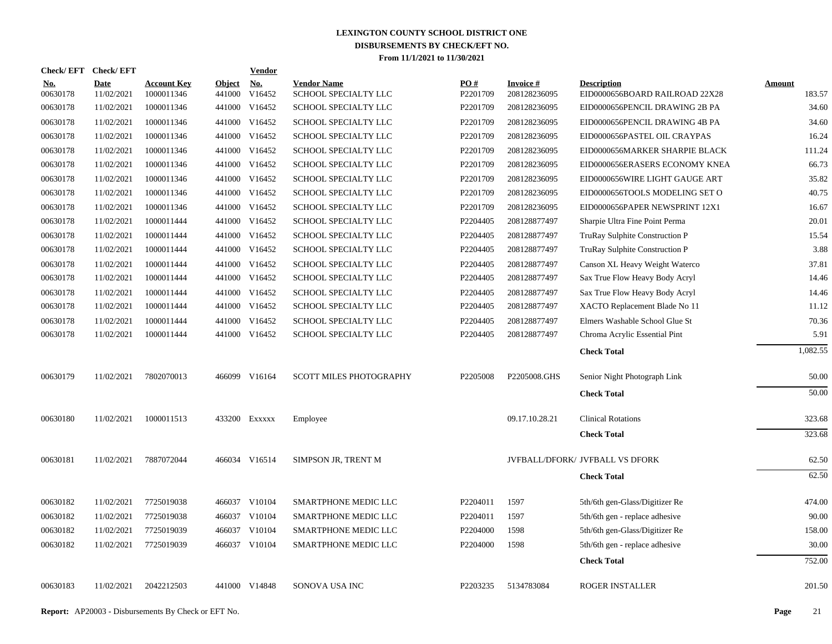| Check/EFT Check/EFT    |                           |                                  |                      | <b>Vendor</b> |                                            |                               |                                 |                                                      |                         |
|------------------------|---------------------------|----------------------------------|----------------------|---------------|--------------------------------------------|-------------------------------|---------------------------------|------------------------------------------------------|-------------------------|
| <u>No.</u><br>00630178 | <b>Date</b><br>11/02/2021 | <b>Account Key</b><br>1000011346 | Object No.<br>441000 | V16452        | <b>Vendor Name</b><br>SCHOOL SPECIALTY LLC | $\underline{PO#}$<br>P2201709 | <b>Invoice#</b><br>208128236095 | <b>Description</b><br>EID0000656BOARD RAILROAD 22X28 | <b>Amount</b><br>183.57 |
| 00630178               | 11/02/2021                | 1000011346                       |                      | 441000 V16452 | SCHOOL SPECIALTY LLC                       | P2201709                      | 208128236095                    | EID0000656PENCIL DRAWING 2B PA                       | 34.60                   |
| 00630178               | 11/02/2021                | 1000011346                       |                      | 441000 V16452 | SCHOOL SPECIALTY LLC                       | P2201709                      | 208128236095                    | EID0000656PENCIL DRAWING 4B PA                       | 34.60                   |
| 00630178               | 11/02/2021                | 1000011346                       |                      | 441000 V16452 | SCHOOL SPECIALTY LLC                       | P2201709                      | 208128236095                    | EID0000656PASTEL OIL CRAYPAS                         | 16.24                   |
| 00630178               | 11/02/2021                | 1000011346                       |                      | 441000 V16452 | SCHOOL SPECIALTY LLC                       | P2201709                      | 208128236095                    | EID0000656MARKER SHARPIE BLACK                       | 111.24                  |
| 00630178               | 11/02/2021                | 1000011346                       |                      | 441000 V16452 | SCHOOL SPECIALTY LLC                       | P2201709                      | 208128236095                    | EID0000656ERASERS ECONOMY KNEA                       | 66.73                   |
| 00630178               | 11/02/2021                | 1000011346                       |                      | 441000 V16452 | SCHOOL SPECIALTY LLC                       | P2201709                      | 208128236095                    | EID0000656WIRE LIGHT GAUGE ART                       | 35.82                   |
| 00630178               | 11/02/2021                | 1000011346                       |                      | 441000 V16452 | SCHOOL SPECIALTY LLC                       | P2201709                      | 208128236095                    | EID0000656TOOLS MODELING SET O                       | 40.75                   |
| 00630178               | 11/02/2021                | 1000011346                       |                      | 441000 V16452 | SCHOOL SPECIALTY LLC                       | P2201709                      | 208128236095                    | EID0000656PAPER NEWSPRINT 12X1                       | 16.67                   |
| 00630178               | 11/02/2021                | 1000011444                       |                      | 441000 V16452 | SCHOOL SPECIALTY LLC                       | P2204405                      | 208128877497                    | Sharpie Ultra Fine Point Perma                       | 20.01                   |
| 00630178               | 11/02/2021                | 1000011444                       |                      | 441000 V16452 | SCHOOL SPECIALTY LLC                       | P2204405                      | 208128877497                    | <b>TruRay Sulphite Construction P</b>                | 15.54                   |
| 00630178               | 11/02/2021                | 1000011444                       |                      | 441000 V16452 | SCHOOL SPECIALTY LLC                       | P2204405                      | 208128877497                    | TruRay Sulphite Construction P                       | 3.88                    |
| 00630178               | 11/02/2021                | 1000011444                       |                      | 441000 V16452 | SCHOOL SPECIALTY LLC                       | P2204405                      | 208128877497                    | Canson XL Heavy Weight Waterco                       | 37.81                   |
| 00630178               | 11/02/2021                | 1000011444                       |                      | 441000 V16452 | SCHOOL SPECIALTY LLC                       | P2204405                      | 208128877497                    | Sax True Flow Heavy Body Acryl                       | 14.46                   |
| 00630178               | 11/02/2021                | 1000011444                       |                      | 441000 V16452 | SCHOOL SPECIALTY LLC                       | P2204405                      | 208128877497                    | Sax True Flow Heavy Body Acryl                       | 14.46                   |
| 00630178               | 11/02/2021                | 1000011444                       |                      | 441000 V16452 | SCHOOL SPECIALTY LLC                       | P2204405                      | 208128877497                    | XACTO Replacement Blade No 11                        | 11.12                   |
| 00630178               | 11/02/2021                | 1000011444                       |                      | 441000 V16452 | SCHOOL SPECIALTY LLC                       | P2204405                      | 208128877497                    | Elmers Washable School Glue St                       | 70.36                   |
| 00630178               | 11/02/2021                | 1000011444                       |                      | 441000 V16452 | SCHOOL SPECIALTY LLC                       | P2204405                      | 208128877497                    | Chroma Acrylic Essential Pint                        | 5.91                    |
|                        |                           |                                  |                      |               |                                            |                               |                                 | <b>Check Total</b>                                   | 1,082.55                |
| 00630179               | 11/02/2021                | 7802070013                       |                      | 466099 V16164 | <b>SCOTT MILES PHOTOGRAPHY</b>             | P2205008                      | P2205008.GHS                    | Senior Night Photograph Link                         | 50.00                   |
|                        |                           |                                  |                      |               |                                            |                               |                                 | <b>Check Total</b>                                   | 50.00                   |
| 00630180               | 11/02/2021                | 1000011513                       |                      | 433200 Exxxxx | Employee                                   |                               | 09.17.10.28.21                  | <b>Clinical Rotations</b>                            | 323.68                  |
|                        |                           |                                  |                      |               |                                            |                               |                                 | <b>Check Total</b>                                   | 323.68                  |
| 00630181               | 11/02/2021                | 7887072044                       |                      | 466034 V16514 | SIMPSON JR, TRENT M                        |                               |                                 | JVFBALL/DFORK/ JVFBALL VS DFORK                      | 62.50                   |
|                        |                           |                                  |                      |               |                                            |                               |                                 | <b>Check Total</b>                                   | 62.50                   |
| 00630182               | 11/02/2021                | 7725019038                       |                      | 466037 V10104 | SMARTPHONE MEDIC LLC                       | P2204011                      | 1597                            | 5th/6th gen-Glass/Digitizer Re                       | 474.00                  |
| 00630182               | 11/02/2021                | 7725019038                       |                      | 466037 V10104 | SMARTPHONE MEDIC LLC                       | P2204011                      | 1597                            | 5th/6th gen - replace adhesive                       | 90.00                   |
| 00630182               | 11/02/2021                | 7725019039                       |                      | 466037 V10104 | SMARTPHONE MEDIC LLC                       | P2204000                      | 1598                            | 5th/6th gen-Glass/Digitizer Re                       | 158.00                  |
| 00630182               | 11/02/2021                | 7725019039                       |                      | 466037 V10104 | SMARTPHONE MEDIC LLC                       | P2204000                      | 1598                            | 5th/6th gen - replace adhesive                       | 30.00                   |
|                        |                           |                                  |                      |               |                                            |                               |                                 | <b>Check Total</b>                                   | 752.00                  |
| 00630183               | 11/02/2021                | 2042212503                       |                      | 441000 V14848 | SONOVA USA INC                             | P2203235                      | 5134783084                      | <b>ROGER INSTALLER</b>                               | 201.50                  |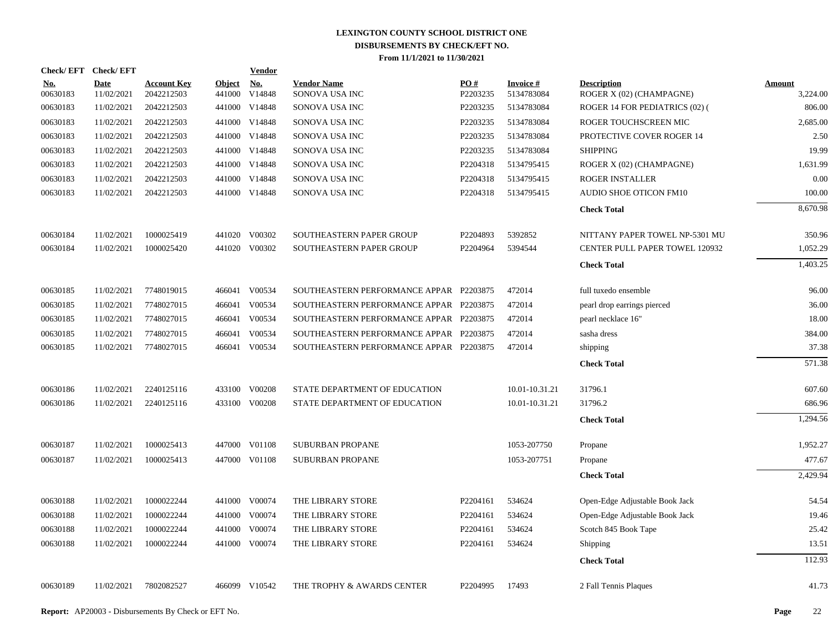| Check/EFT Check/EFT    |                           |                                  |                         | <b>Vendor</b>        |                                         |                 |                               |                                                |                           |
|------------------------|---------------------------|----------------------------------|-------------------------|----------------------|-----------------------------------------|-----------------|-------------------------------|------------------------------------------------|---------------------------|
| <u>No.</u><br>00630183 | <b>Date</b><br>11/02/2021 | <b>Account Key</b><br>2042212503 | <b>Object</b><br>441000 | <b>No.</b><br>V14848 | <b>Vendor Name</b><br>SONOVA USA INC    | PO#<br>P2203235 | <b>Invoice#</b><br>5134783084 | <b>Description</b><br>ROGER X (02) (CHAMPAGNE) | <b>Amount</b><br>3,224.00 |
| 00630183               | 11/02/2021                | 2042212503                       | 441000                  | V14848               | SONOVA USA INC                          | P2203235        | 5134783084                    | ROGER 14 FOR PEDIATRICS (02) (                 | 806.00                    |
| 00630183               | 11/02/2021                | 2042212503                       | 441000                  | V14848               | SONOVA USA INC                          | P2203235        | 5134783084                    | ROGER TOUCHSCREEN MIC                          | 2,685.00                  |
| 00630183               | 11/02/2021                | 2042212503                       | 441000                  | V14848               | SONOVA USA INC                          | P2203235        | 5134783084                    | PROTECTIVE COVER ROGER 14                      | 2.50                      |
| 00630183               | 11/02/2021                | 2042212503                       | 441000                  | V14848               | SONOVA USA INC                          | P2203235        | 5134783084                    | <b>SHIPPING</b>                                | 19.99                     |
| 00630183               | 11/02/2021                | 2042212503                       | 441000                  | V14848               | SONOVA USA INC                          | P2204318        | 5134795415                    | ROGER X (02) (CHAMPAGNE)                       | 1,631.99                  |
| 00630183               | 11/02/2021                | 2042212503                       | 441000                  | V14848               | SONOVA USA INC                          | P2204318        | 5134795415                    | ROGER INSTALLER                                | 0.00                      |
| 00630183               | 11/02/2021                | 2042212503                       |                         | 441000 V14848        | SONOVA USA INC                          | P2204318        | 5134795415                    | AUDIO SHOE OTICON FM10                         | 100.00                    |
|                        |                           |                                  |                         |                      |                                         |                 |                               | <b>Check Total</b>                             | 8,670.98                  |
| 00630184               | 11/02/2021                | 1000025419                       |                         | 441020 V00302        | SOUTHEASTERN PAPER GROUP                | P2204893        | 5392852                       | NITTANY PAPER TOWEL NP-5301 MU                 | 350.96                    |
| 00630184               | 11/02/2021                | 1000025420                       |                         | 441020 V00302        | SOUTHEASTERN PAPER GROUP                | P2204964        | 5394544                       | CENTER PULL PAPER TOWEL 120932                 | 1,052.29                  |
|                        |                           |                                  |                         |                      |                                         |                 |                               | <b>Check Total</b>                             | 1,403.25                  |
| 00630185               | 11/02/2021                | 7748019015                       |                         | 466041 V00534        | SOUTHEASTERN PERFORMANCE APPAR P2203875 |                 | 472014                        | full tuxedo ensemble                           | 96.00                     |
| 00630185               | 11/02/2021                | 7748027015                       | 466041                  | V00534               | SOUTHEASTERN PERFORMANCE APPAR P2203875 |                 | 472014                        | pearl drop earrings pierced                    | 36.00                     |
| 00630185               | 11/02/2021                | 7748027015                       |                         | 466041 V00534        | SOUTHEASTERN PERFORMANCE APPAR P2203875 |                 | 472014                        | pearl necklace 16"                             | 18.00                     |
| 00630185               | 11/02/2021                | 7748027015                       | 466041                  | V00534               | SOUTHEASTERN PERFORMANCE APPAR P2203875 |                 | 472014                        | sasha dress                                    | 384.00                    |
| 00630185               | 11/02/2021                | 7748027015                       |                         | 466041 V00534        | SOUTHEASTERN PERFORMANCE APPAR P2203875 |                 | 472014                        | shipping                                       | 37.38                     |
|                        |                           |                                  |                         |                      |                                         |                 |                               | <b>Check Total</b>                             | 571.38                    |
| 00630186               | 11/02/2021                | 2240125116                       |                         | 433100 V00208        | STATE DEPARTMENT OF EDUCATION           |                 | 10.01-10.31.21                | 31796.1                                        | 607.60                    |
| 00630186               | 11/02/2021                | 2240125116                       |                         | 433100 V00208        | STATE DEPARTMENT OF EDUCATION           |                 | 10.01-10.31.21                | 31796.2                                        | 686.96                    |
|                        |                           |                                  |                         |                      |                                         |                 |                               | <b>Check Total</b>                             | 1,294.56                  |
| 00630187               | 11/02/2021                | 1000025413                       |                         | 447000 V01108        | <b>SUBURBAN PROPANE</b>                 |                 | 1053-207750                   | Propane                                        | 1,952.27                  |
| 00630187               | 11/02/2021                | 1000025413                       |                         | 447000 V01108        | <b>SUBURBAN PROPANE</b>                 |                 | 1053-207751                   | Propane                                        | 477.67                    |
|                        |                           |                                  |                         |                      |                                         |                 |                               | <b>Check Total</b>                             | 2,429.94                  |
| 00630188               | 11/02/2021                | 1000022244                       |                         | 441000 V00074        | THE LIBRARY STORE                       | P2204161        | 534624                        | Open-Edge Adjustable Book Jack                 | 54.54                     |
| 00630188               | 11/02/2021                | 1000022244                       |                         | 441000 V00074        | THE LIBRARY STORE                       | P2204161        | 534624                        | Open-Edge Adjustable Book Jack                 | 19.46                     |
| 00630188               | 11/02/2021                | 1000022244                       | 441000                  | V00074               | THE LIBRARY STORE                       | P2204161        | 534624                        | Scotch 845 Book Tape                           | 25.42                     |
| 00630188               | 11/02/2021                | 1000022244                       |                         | 441000 V00074        | THE LIBRARY STORE                       | P2204161        | 534624                        | Shipping                                       | 13.51                     |
|                        |                           |                                  |                         |                      |                                         |                 |                               | <b>Check Total</b>                             | 112.93                    |
| 00630189               | 11/02/2021                | 7802082527                       |                         | 466099 V10542        | THE TROPHY & AWARDS CENTER              | P2204995        | 17493                         | 2 Fall Tennis Plaques                          | 41.73                     |
|                        |                           |                                  |                         |                      |                                         |                 |                               |                                                |                           |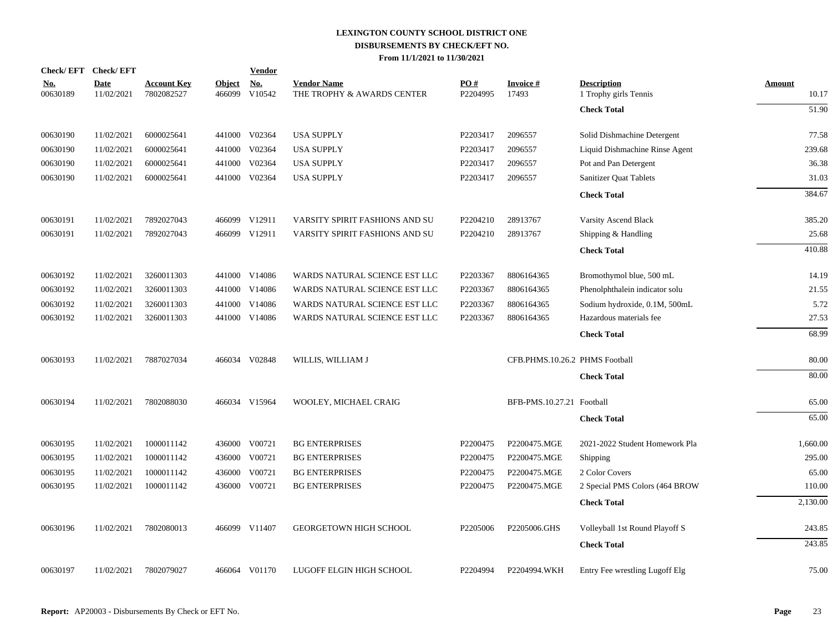| <b>Check/EFT</b>       | <b>Check/EFT</b>          |                                  |               | <b>Vendor</b>               |                                                                                                                                                                                                                                                                                                                                 |                 |                    |                                             |                                                             |
|------------------------|---------------------------|----------------------------------|---------------|-----------------------------|---------------------------------------------------------------------------------------------------------------------------------------------------------------------------------------------------------------------------------------------------------------------------------------------------------------------------------|-----------------|--------------------|---------------------------------------------|-------------------------------------------------------------|
| <u>No.</u><br>00630189 | <b>Date</b><br>11/02/2021 | <u>Account Key</u><br>7802082527 | <b>Object</b> | $\underline{\mathrm{No}}$ . | <b>Vendor Name</b><br>THE TROPHY & AWARDS CENTER                                                                                                                                                                                                                                                                                | PO#<br>P2204995 | Invoice #<br>17493 | <b>Description</b><br>1 Trophy girls Tennis | Amount<br>10.17                                             |
|                        |                           |                                  |               |                             |                                                                                                                                                                                                                                                                                                                                 |                 |                    | <b>Check Total</b>                          | 51.90                                                       |
| 00630190               | 11/02/2021                | 6000025641                       |               |                             | <b>USA SUPPLY</b>                                                                                                                                                                                                                                                                                                               | P2203417        | 2096557            | Solid Dishmachine Detergent                 | 77.58                                                       |
| 00630190               | 11/02/2021                | 6000025641                       |               |                             | <b>USA SUPPLY</b>                                                                                                                                                                                                                                                                                                               | P2203417        | 2096557            | Liquid Dishmachine Rinse Agent              | 239.68                                                      |
| 00630190               | 11/02/2021                | 6000025641                       |               |                             | <b>USA SUPPLY</b>                                                                                                                                                                                                                                                                                                               | P2203417        | 2096557            | Pot and Pan Detergent                       | 36.38                                                       |
| 00630190               | 11/02/2021                | 6000025641                       |               |                             | <b>USA SUPPLY</b>                                                                                                                                                                                                                                                                                                               | P2203417        | 2096557            | Sanitizer Quat Tablets                      | 31.03                                                       |
|                        |                           |                                  |               |                             |                                                                                                                                                                                                                                                                                                                                 |                 |                    | <b>Check Total</b>                          | 384.67                                                      |
| 00630191               | 11/02/2021                | 7892027043                       |               |                             | VARSITY SPIRIT FASHIONS AND SU                                                                                                                                                                                                                                                                                                  | P2204210        | 28913767           | Varsity Ascend Black                        | 385.20                                                      |
| 00630191               | 11/02/2021                | 7892027043                       |               |                             | VARSITY SPIRIT FASHIONS AND SU                                                                                                                                                                                                                                                                                                  | P2204210        | 28913767           | Shipping & Handling                         | 25.68                                                       |
|                        |                           |                                  |               |                             |                                                                                                                                                                                                                                                                                                                                 |                 |                    | <b>Check Total</b>                          | 410.88                                                      |
| 00630192               | 11/02/2021                | 3260011303                       |               |                             | WARDS NATURAL SCIENCE EST LLC                                                                                                                                                                                                                                                                                                   | P2203367        | 8806164365         | Bromothymol blue, 500 mL                    | 14.19                                                       |
| 00630192               | 11/02/2021                | 3260011303                       |               |                             | WARDS NATURAL SCIENCE EST LLC                                                                                                                                                                                                                                                                                                   | P2203367        | 8806164365         | Phenolphthalein indicator solu              | 21.55                                                       |
| 00630192               | 11/02/2021                | 3260011303                       |               |                             | WARDS NATURAL SCIENCE EST LLC                                                                                                                                                                                                                                                                                                   | P2203367        | 8806164365         | Sodium hydroxide, 0.1M, 500mL               | 5.72                                                        |
| 00630192               | 11/02/2021                | 3260011303                       |               |                             | WARDS NATURAL SCIENCE EST LLC                                                                                                                                                                                                                                                                                                   | P2203367        | 8806164365         | Hazardous materials fee                     | 27.53                                                       |
|                        |                           |                                  |               |                             |                                                                                                                                                                                                                                                                                                                                 |                 |                    | <b>Check Total</b>                          | 68.99                                                       |
| 00630193               | 11/02/2021                | 7887027034                       |               |                             | WILLIS, WILLIAM J                                                                                                                                                                                                                                                                                                               |                 |                    |                                             | 80.00                                                       |
|                        |                           |                                  |               |                             |                                                                                                                                                                                                                                                                                                                                 |                 |                    | <b>Check Total</b>                          | 80.00                                                       |
| 00630194               | 11/02/2021                | 7802088030                       |               |                             | WOOLEY, MICHAEL CRAIG                                                                                                                                                                                                                                                                                                           |                 |                    |                                             | 65.00                                                       |
|                        |                           |                                  |               |                             |                                                                                                                                                                                                                                                                                                                                 |                 |                    | <b>Check Total</b>                          | 65.00                                                       |
| 00630195               | 11/02/2021                | 1000011142                       |               |                             | <b>BG ENTERPRISES</b>                                                                                                                                                                                                                                                                                                           | P2200475        | P2200475.MGE       | 2021-2022 Student Homework Pla              | 1,660.00                                                    |
| 00630195               | 11/02/2021                | 1000011142                       |               |                             | <b>BG ENTERPRISES</b>                                                                                                                                                                                                                                                                                                           | P2200475        | P2200475.MGE       | Shipping                                    | 295.00                                                      |
| 00630195               | 11/02/2021                | 1000011142                       |               |                             | <b>BG ENTERPRISES</b>                                                                                                                                                                                                                                                                                                           | P2200475        | P2200475.MGE       | 2 Color Covers                              | 65.00                                                       |
| 00630195               | 11/02/2021                | 1000011142                       |               |                             | <b>BG ENTERPRISES</b>                                                                                                                                                                                                                                                                                                           | P2200475        | P2200475.MGE       | 2 Special PMS Colors (464 BROW              | 110.00                                                      |
|                        |                           |                                  |               |                             |                                                                                                                                                                                                                                                                                                                                 |                 |                    | <b>Check Total</b>                          | 2,130.00                                                    |
| 00630196               | 11/02/2021                | 7802080013                       |               |                             | <b>GEORGETOWN HIGH SCHOOL</b>                                                                                                                                                                                                                                                                                                   | P2205006        | P2205006.GHS       | Volleyball 1st Round Playoff S              | 243.85                                                      |
|                        |                           |                                  |               |                             |                                                                                                                                                                                                                                                                                                                                 |                 |                    | <b>Check Total</b>                          | 243.85                                                      |
| 00630197               | 11/02/2021                | 7802079027                       |               |                             | LUGOFF ELGIN HIGH SCHOOL                                                                                                                                                                                                                                                                                                        | P2204994        | P2204994.WKH       | Entry Fee wrestling Lugoff Elg              | 75.00                                                       |
|                        |                           |                                  |               |                             | 466099 V10542<br>441000 V02364<br>441000 V02364<br>441000 V02364<br>441000 V02364<br>466099 V12911<br>466099 V12911<br>441000 V14086<br>441000 V14086<br>441000 V14086<br>441000 V14086<br>466034 V02848<br>466034 V15964<br>436000 V00721<br>436000 V00721<br>436000 V00721<br>436000 V00721<br>466099 V11407<br>466064 V01170 |                 |                    |                                             | CFB.PHMS.10.26.2 PHMS Football<br>BFB-PMS.10.27.21 Football |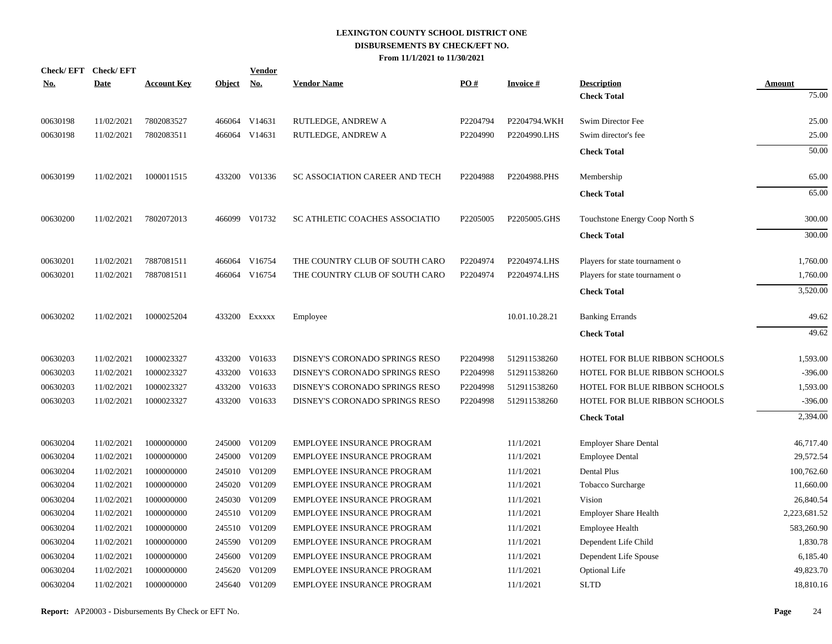| <b>Check/EFT</b> | <b>Check/EFT</b> |                    |               | <b>Vendor</b> |                                   |                      |                 |                                      |              |
|------------------|------------------|--------------------|---------------|---------------|-----------------------------------|----------------------|-----------------|--------------------------------------|--------------|
| <u>No.</u>       | <b>Date</b>      | <b>Account Key</b> | <b>Object</b> | <b>No.</b>    | <b>Vendor Name</b>                | PO#                  | <b>Invoice#</b> | <b>Description</b>                   | Amount       |
|                  |                  |                    |               |               |                                   |                      |                 | <b>Check Total</b>                   | 75.00        |
| 00630198         | 11/02/2021       | 7802083527         |               | 466064 V14631 | RUTLEDGE, ANDREW A                | P2204794             | P2204794.WKH    | Swim Director Fee                    | 25.00        |
| 00630198         | 11/02/2021       | 7802083511         |               | 466064 V14631 | RUTLEDGE, ANDREW A                | P2204990             | P2204990.LHS    | Swim director's fee                  | 25.00        |
|                  |                  |                    |               |               |                                   |                      |                 | <b>Check Total</b>                   | 50.00        |
| 00630199         | 11/02/2021       | 1000011515         |               | 433200 V01336 | SC ASSOCIATION CAREER AND TECH    | P2204988             | P2204988.PHS    | Membership                           | 65.00        |
|                  |                  |                    |               |               |                                   |                      |                 | <b>Check Total</b>                   | 65.00        |
| 00630200         | 11/02/2021       | 7802072013         |               | 466099 V01732 | SC ATHLETIC COACHES ASSOCIATIO    | P <sub>2205005</sub> | P2205005.GHS    | Touchstone Energy Coop North S       | 300.00       |
|                  |                  |                    |               |               |                                   |                      |                 | <b>Check Total</b>                   | 300.00       |
| 00630201         | 11/02/2021       | 7887081511         |               | 466064 V16754 | THE COUNTRY CLUB OF SOUTH CARO    | P2204974             | P2204974.LHS    | Players for state tournament o       | 1,760.00     |
| 00630201         | 11/02/2021       | 7887081511         |               | 466064 V16754 | THE COUNTRY CLUB OF SOUTH CARO    | P2204974             | P2204974.LHS    | Players for state tournament o       | 1,760.00     |
|                  |                  |                    |               |               |                                   |                      |                 | <b>Check Total</b>                   | 3,520.00     |
| 00630202         | 11/02/2021       | 1000025204         |               | 433200 Exxxxx | Employee                          |                      | 10.01.10.28.21  | <b>Banking Errands</b>               | 49.62        |
|                  |                  |                    |               |               |                                   |                      |                 | <b>Check Total</b>                   | 49.62        |
| 00630203         | 11/02/2021       | 1000023327         |               | 433200 V01633 | DISNEY'S CORONADO SPRINGS RESO    | P2204998             | 512911538260    | <b>HOTEL FOR BLUE RIBBON SCHOOLS</b> | 1,593.00     |
| 00630203         | 11/02/2021       | 1000023327         | 433200        | V01633        | DISNEY'S CORONADO SPRINGS RESO    | P2204998             | 512911538260    | HOTEL FOR BLUE RIBBON SCHOOLS        | $-396.00$    |
| 00630203         | 11/02/2021       | 1000023327         | 433200        | V01633        | DISNEY'S CORONADO SPRINGS RESO    | P2204998             | 512911538260    | HOTEL FOR BLUE RIBBON SCHOOLS        | 1,593.00     |
| 00630203         | 11/02/2021       | 1000023327         |               | 433200 V01633 | DISNEY'S CORONADO SPRINGS RESO    | P2204998             | 512911538260    | HOTEL FOR BLUE RIBBON SCHOOLS        | $-396.00$    |
|                  |                  |                    |               |               |                                   |                      |                 | <b>Check Total</b>                   | 2,394.00     |
| 00630204         | 11/02/2021       | 1000000000         |               | 245000 V01209 | EMPLOYEE INSURANCE PROGRAM        |                      | 11/1/2021       | <b>Employer Share Dental</b>         | 46,717.40    |
| 00630204         | 11/02/2021       | 1000000000         |               | 245000 V01209 | EMPLOYEE INSURANCE PROGRAM        |                      | 11/1/2021       | <b>Employee Dental</b>               | 29,572.54    |
| 00630204         | 11/02/2021       | 1000000000         |               | 245010 V01209 | EMPLOYEE INSURANCE PROGRAM        |                      | 11/1/2021       | <b>Dental Plus</b>                   | 100,762.60   |
| 00630204         | 11/02/2021       | 1000000000         |               | 245020 V01209 | EMPLOYEE INSURANCE PROGRAM        |                      | 11/1/2021       | Tobacco Surcharge                    | 11,660.00    |
| 00630204         | 11/02/2021       | 1000000000         | 245030        | V01209        | <b>EMPLOYEE INSURANCE PROGRAM</b> |                      | 11/1/2021       | Vision                               | 26,840.54    |
| 00630204         | 11/02/2021       | 1000000000         |               | 245510 V01209 | EMPLOYEE INSURANCE PROGRAM        |                      | 11/1/2021       | <b>Employer Share Health</b>         | 2,223,681.52 |
| 00630204         | 11/02/2021       | 1000000000         |               | 245510 V01209 | EMPLOYEE INSURANCE PROGRAM        |                      | 11/1/2021       | <b>Employee Health</b>               | 583,260.90   |
| 00630204         | 11/02/2021       | 1000000000         |               | 245590 V01209 | EMPLOYEE INSURANCE PROGRAM        |                      | 11/1/2021       | Dependent Life Child                 | 1,830.78     |
| 00630204         | 11/02/2021       | 1000000000         | 245600        | V01209        | EMPLOYEE INSURANCE PROGRAM        |                      | 11/1/2021       | Dependent Life Spouse                | 6,185.40     |
| 00630204         | 11/02/2021       | 1000000000         | 245620        | V01209        | EMPLOYEE INSURANCE PROGRAM        |                      | 11/1/2021       | Optional Life                        | 49,823.70    |
| 00630204         | 11/02/2021       | 1000000000         |               | 245640 V01209 | EMPLOYEE INSURANCE PROGRAM        |                      | 11/1/2021       | <b>SLTD</b>                          | 18,810.16    |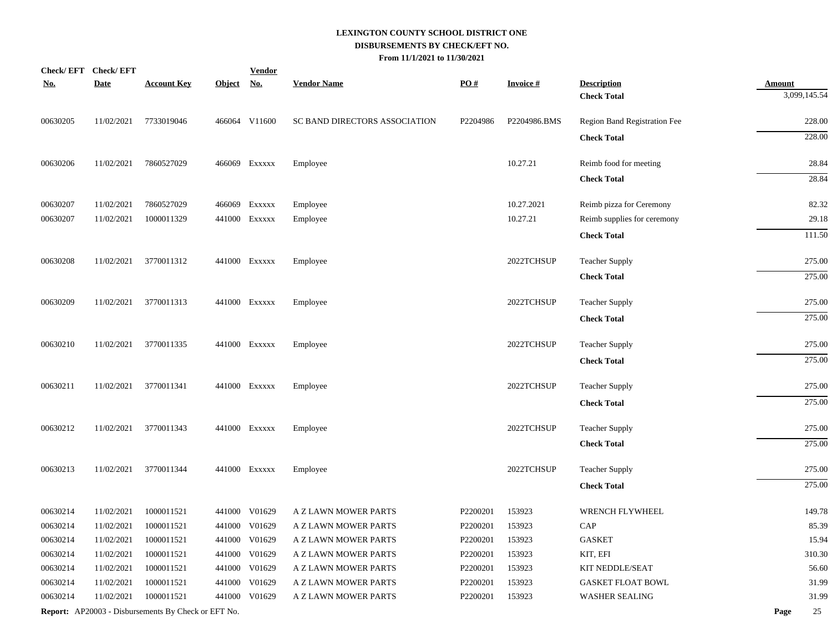|            | Check/EFT Check/EFT |                                                     |               | <b>Vendor</b> |                               |                   |                 |                                          |                               |
|------------|---------------------|-----------------------------------------------------|---------------|---------------|-------------------------------|-------------------|-----------------|------------------------------------------|-------------------------------|
| <u>No.</u> | <b>Date</b>         | <b>Account Key</b>                                  | <u>Object</u> | <u>No.</u>    | <b>Vendor Name</b>            | $\underline{PO#}$ | <b>Invoice#</b> | <b>Description</b><br><b>Check Total</b> | <b>Amount</b><br>3,099,145.54 |
| 00630205   | 11/02/2021          | 7733019046                                          |               | 466064 V11600 | SC BAND DIRECTORS ASSOCIATION | P2204986          | P2204986.BMS    | Region Band Registration Fee             | 228.00                        |
|            |                     |                                                     |               |               |                               |                   |                 | <b>Check Total</b>                       | 228.00                        |
| 00630206   | 11/02/2021          | 7860527029                                          |               | 466069 Exxxxx | Employee                      |                   | 10.27.21        | Reimb food for meeting                   | 28.84                         |
|            |                     |                                                     |               |               |                               |                   |                 | <b>Check Total</b>                       | 28.84                         |
|            |                     |                                                     |               |               |                               |                   |                 |                                          |                               |
| 00630207   | 11/02/2021          | 7860527029                                          |               | 466069 Exxxxx | Employee                      |                   | 10.27.2021      | Reimb pizza for Ceremony                 | 82.32                         |
| 00630207   | 11/02/2021          | 1000011329                                          |               | 441000 Exxxxx | Employee                      |                   | 10.27.21        | Reimb supplies for ceremony              | 29.18                         |
|            |                     |                                                     |               |               |                               |                   |                 | <b>Check Total</b>                       | 111.50                        |
| 00630208   | 11/02/2021          | 3770011312                                          |               | 441000 Exxxxx | Employee                      |                   | 2022TCHSUP      | <b>Teacher Supply</b>                    | 275.00                        |
|            |                     |                                                     |               |               |                               |                   |                 | <b>Check Total</b>                       | 275.00                        |
| 00630209   | 11/02/2021          | 3770011313                                          |               | 441000 EXXXXX | Employee                      |                   | 2022TCHSUP      | <b>Teacher Supply</b>                    | 275.00                        |
|            |                     |                                                     |               |               |                               |                   |                 | <b>Check Total</b>                       | 275.00                        |
| 00630210   | 11/02/2021          | 3770011335                                          |               | 441000 Exxxxx | Employee                      |                   | 2022TCHSUP      | <b>Teacher Supply</b>                    | 275.00                        |
|            |                     |                                                     |               |               |                               |                   |                 | <b>Check Total</b>                       | 275.00                        |
| 00630211   | 11/02/2021          | 3770011341                                          |               | 441000 Exxxxx | Employee                      |                   | 2022TCHSUP      | <b>Teacher Supply</b>                    | 275.00                        |
|            |                     |                                                     |               |               |                               |                   |                 | <b>Check Total</b>                       | 275.00                        |
| 00630212   | 11/02/2021          | 3770011343                                          |               | 441000 Exxxxx | Employee                      |                   | 2022TCHSUP      | <b>Teacher Supply</b>                    | 275.00                        |
|            |                     |                                                     |               |               |                               |                   |                 | <b>Check Total</b>                       | 275.00                        |
| 00630213   | 11/02/2021          | 3770011344                                          |               | 441000 Exxxxx | Employee                      |                   | 2022TCHSUP      | <b>Teacher Supply</b>                    | 275.00                        |
|            |                     |                                                     |               |               |                               |                   |                 | <b>Check Total</b>                       | 275.00                        |
| 00630214   | 11/02/2021          | 1000011521                                          | 441000        | V01629        | A Z LAWN MOWER PARTS          | P2200201          | 153923          | WRENCH FLYWHEEL                          | 149.78                        |
| 00630214   | 11/02/2021          | 1000011521                                          |               | 441000 V01629 | A Z LAWN MOWER PARTS          | P2200201          | 153923          | CAP                                      | 85.39                         |
| 00630214   | 11/02/2021          | 1000011521                                          |               | 441000 V01629 | A Z LAWN MOWER PARTS          | P2200201          | 153923          | <b>GASKET</b>                            | 15.94                         |
| 00630214   | 11/02/2021          | 1000011521                                          |               | 441000 V01629 | A Z LAWN MOWER PARTS          | P2200201          | 153923          | KIT, EFI                                 | 310.30                        |
| 00630214   | 11/02/2021          | 1000011521                                          |               | 441000 V01629 | A Z LAWN MOWER PARTS          | P2200201          | 153923          | KIT NEDDLE/SEAT                          | 56.60                         |
| 00630214   | 11/02/2021          | 1000011521                                          |               | 441000 V01629 | A Z LAWN MOWER PARTS          | P2200201          | 153923          | <b>GASKET FLOAT BOWL</b>                 | 31.99                         |
| 00630214   | 11/02/2021          | 1000011521                                          |               | 441000 V01629 | A Z LAWN MOWER PARTS          | P2200201          | 153923          | <b>WASHER SEALING</b>                    | 31.99                         |
|            |                     | Report: AP20003 - Disbursements By Check or EFT No. |               |               |                               |                   |                 |                                          | 25<br>Page                    |
|            |                     |                                                     |               |               |                               |                   |                 |                                          |                               |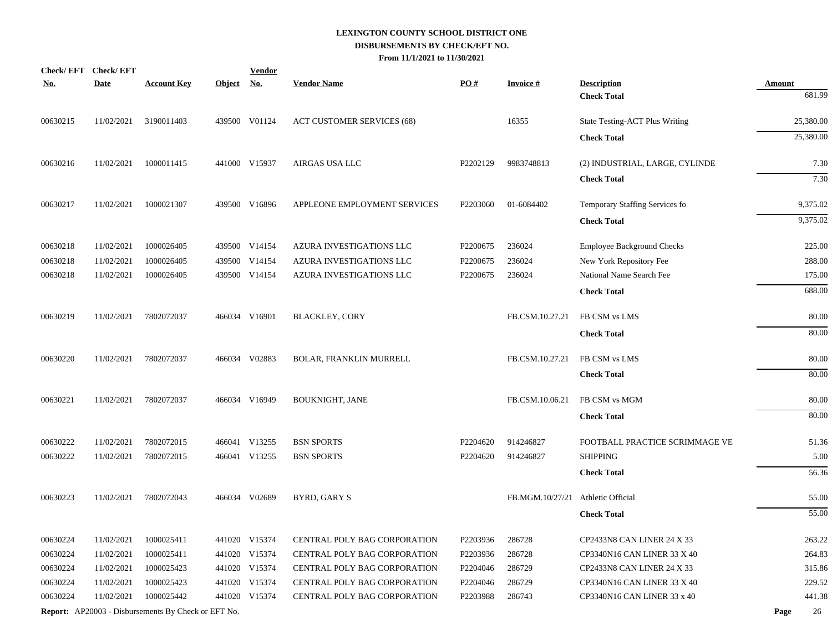| Check/EFT Check/EFT<br><u>No.</u> | <b>Date</b> | <b>Account Key</b>                                         | <b>Object</b> | <b>Vendor</b><br><u>No.</u> | <b>Vendor Name</b>                | $\underline{PO#}$ | <b>Invoice#</b>                   | <b>Description</b>             | <b>Amount</b> |           |
|-----------------------------------|-------------|------------------------------------------------------------|---------------|-----------------------------|-----------------------------------|-------------------|-----------------------------------|--------------------------------|---------------|-----------|
|                                   |             |                                                            |               |                             |                                   |                   |                                   | <b>Check Total</b>             |               | 681.99    |
| 00630215                          | 11/02/2021  | 3190011403                                                 |               | 439500 V01124               | <b>ACT CUSTOMER SERVICES (68)</b> |                   | 16355                             | State Testing-ACT Plus Writing |               | 25,380.00 |
|                                   |             |                                                            |               |                             |                                   |                   |                                   | <b>Check Total</b>             |               | 25,380.00 |
| 00630216                          | 11/02/2021  | 1000011415                                                 |               | 441000 V15937               | AIRGAS USA LLC                    | P2202129          | 9983748813                        | (2) INDUSTRIAL, LARGE, CYLINDE |               | 7.30      |
|                                   |             |                                                            |               |                             |                                   |                   |                                   | <b>Check Total</b>             |               | 7.30      |
| 00630217                          | 11/02/2021  | 1000021307                                                 |               | 439500 V16896               | APPLEONE EMPLOYMENT SERVICES      | P2203060          | 01-6084402                        | Temporary Staffing Services fo |               | 9,375.02  |
|                                   |             |                                                            |               |                             |                                   |                   |                                   | <b>Check Total</b>             |               | 9,375.02  |
| 00630218                          | 11/02/2021  | 1000026405                                                 |               | 439500 V14154               | AZURA INVESTIGATIONS LLC          | P2200675          | 236024                            | Employee Background Checks     |               | 225.00    |
| 00630218                          | 11/02/2021  | 1000026405                                                 |               | 439500 V14154               | AZURA INVESTIGATIONS LLC          | P2200675          | 236024                            | New York Repository Fee        |               | 288.00    |
| 00630218                          | 11/02/2021  | 1000026405                                                 |               | 439500 V14154               | AZURA INVESTIGATIONS LLC          | P2200675          | 236024                            | National Name Search Fee       |               | 175.00    |
|                                   |             |                                                            |               |                             |                                   |                   |                                   | <b>Check Total</b>             |               | 688.00    |
| 00630219                          | 11/02/2021  | 7802072037                                                 |               | 466034 V16901               | <b>BLACKLEY, CORY</b>             |                   | FB.CSM.10.27.21                   | FB CSM vs LMS                  |               | 80.00     |
|                                   |             |                                                            |               |                             |                                   |                   |                                   | <b>Check Total</b>             |               | 80.00     |
| 00630220                          | 11/02/2021  | 7802072037                                                 |               | 466034 V02883               | <b>BOLAR, FRANKLIN MURRELL</b>    |                   | FB.CSM.10.27.21                   | FB CSM vs LMS                  |               | 80.00     |
|                                   |             |                                                            |               |                             |                                   |                   |                                   | <b>Check Total</b>             |               | 80.00     |
| 00630221                          | 11/02/2021  | 7802072037                                                 |               | 466034 V16949               | BOUKNIGHT, JANE                   |                   | FB.CSM.10.06.21                   | FB CSM vs MGM                  |               | 80.00     |
|                                   |             |                                                            |               |                             |                                   |                   |                                   | <b>Check Total</b>             |               | 80.00     |
| 00630222                          | 11/02/2021  | 7802072015                                                 |               | 466041 V13255               | <b>BSN SPORTS</b>                 | P2204620          | 914246827                         | FOOTBALL PRACTICE SCRIMMAGE VE |               | 51.36     |
| 00630222                          | 11/02/2021  | 7802072015                                                 |               | 466041 V13255               | <b>BSN SPORTS</b>                 | P2204620          | 914246827                         | <b>SHIPPING</b>                |               | 5.00      |
|                                   |             |                                                            |               |                             |                                   |                   |                                   | <b>Check Total</b>             |               | 56.36     |
| 00630223                          | 11/02/2021  | 7802072043                                                 |               | 466034 V02689               | BYRD, GARY S                      |                   | FB.MGM.10/27/21 Athletic Official |                                |               | 55.00     |
|                                   |             |                                                            |               |                             |                                   |                   |                                   | <b>Check Total</b>             |               | 55.00     |
| 00630224                          | 11/02/2021  | 1000025411                                                 |               | 441020 V15374               | CENTRAL POLY BAG CORPORATION      | P2203936          | 286728                            | CP2433N8 CAN LINER 24 X 33     |               | 263.22    |
| 00630224                          | 11/02/2021  | 1000025411                                                 |               | 441020 V15374               | CENTRAL POLY BAG CORPORATION      | P2203936          | 286728                            | CP3340N16 CAN LINER 33 X 40    |               | 264.83    |
| 00630224                          | 11/02/2021  | 1000025423                                                 |               | 441020 V15374               | CENTRAL POLY BAG CORPORATION      | P2204046          | 286729                            | CP2433N8 CAN LINER 24 X 33     |               | 315.86    |
| 00630224                          | 11/02/2021  | 1000025423                                                 |               | 441020 V15374               | CENTRAL POLY BAG CORPORATION      | P2204046          | 286729                            | CP3340N16 CAN LINER 33 X 40    |               | 229.52    |
| 00630224                          | 11/02/2021  | 1000025442                                                 |               | 441020 V15374               | CENTRAL POLY BAG CORPORATION      | P2203988          | 286743                            | CP3340N16 CAN LINER 33 x 40    |               | 441.38    |
|                                   |             | <b>Report:</b> AP20003 - Disbursements By Check or EFT No. |               |                             |                                   |                   |                                   |                                | Page          | 26        |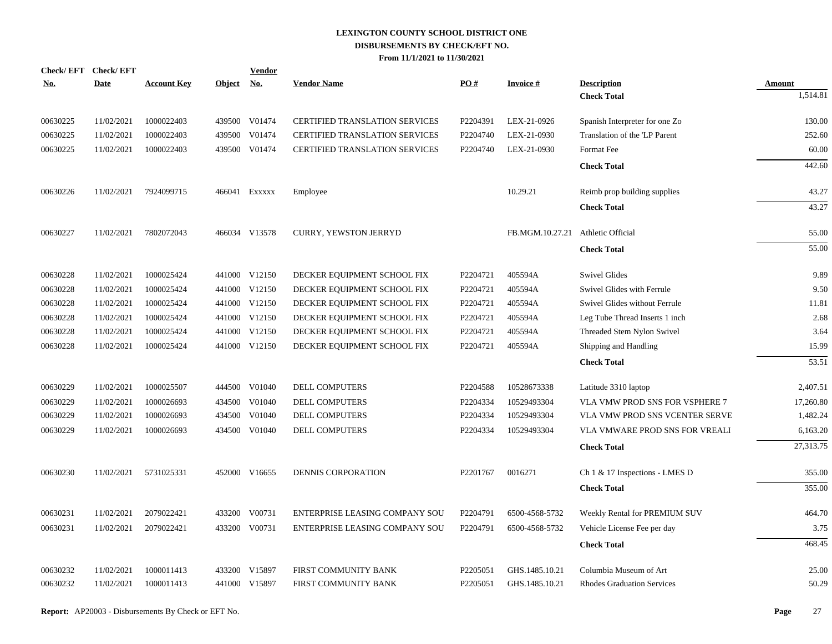| Check/EFT Check/EFT<br><u>No.</u> | <b>Date</b> | <b>Account Key</b> | <b>Object</b> | <b>Vendor</b><br><u>No.</u> | <b>Vendor Name</b>                    | PO#      | <b>Invoice#</b>                   | <b>Description</b>                | <b>Amount</b> |
|-----------------------------------|-------------|--------------------|---------------|-----------------------------|---------------------------------------|----------|-----------------------------------|-----------------------------------|---------------|
|                                   |             |                    |               |                             |                                       |          |                                   | <b>Check Total</b>                | 1,514.81      |
| 00630225                          | 11/02/2021  | 1000022403         |               | 439500 V01474               | <b>CERTIFIED TRANSLATION SERVICES</b> | P2204391 | LEX-21-0926                       | Spanish Interpreter for one Zo    | 130.00        |
| 00630225                          | 11/02/2021  | 1000022403         | 439500        | V01474                      | <b>CERTIFIED TRANSLATION SERVICES</b> | P2204740 | LEX-21-0930                       | Translation of the 'LP Parent     | 252.60        |
| 00630225                          | 11/02/2021  | 1000022403         |               | 439500 V01474               | <b>CERTIFIED TRANSLATION SERVICES</b> | P2204740 | LEX-21-0930                       | Format Fee                        | 60.00         |
|                                   |             |                    |               |                             |                                       |          |                                   | <b>Check Total</b>                | 442.60        |
| 00630226                          | 11/02/2021  | 7924099715         |               | 466041 EXXXXX               | Employee                              |          | 10.29.21                          | Reimb prop building supplies      | 43.27         |
|                                   |             |                    |               |                             |                                       |          |                                   | <b>Check Total</b>                | 43.27         |
| 00630227                          | 11/02/2021  | 7802072043         |               | 466034 V13578               | CURRY, YEWSTON JERRYD                 |          | FB.MGM.10.27.21 Athletic Official |                                   | 55.00         |
|                                   |             |                    |               |                             |                                       |          |                                   | <b>Check Total</b>                | 55.00         |
| 00630228                          | 11/02/2021  | 1000025424         |               | 441000 V12150               | DECKER EQUIPMENT SCHOOL FIX           | P2204721 | 405594A                           | <b>Swivel Glides</b>              | 9.89          |
| 00630228                          | 11/02/2021  | 1000025424         |               | 441000 V12150               | DECKER EQUIPMENT SCHOOL FIX           | P2204721 | 405594A                           | Swivel Glides with Ferrule        | 9.50          |
| 00630228                          | 11/02/2021  | 1000025424         |               | 441000 V12150               | DECKER EQUIPMENT SCHOOL FIX           | P2204721 | 405594A                           | Swivel Glides without Ferrule     | 11.81         |
| 00630228                          | 11/02/2021  | 1000025424         |               | 441000 V12150               | DECKER EQUIPMENT SCHOOL FIX           | P2204721 | 405594A                           | Leg Tube Thread Inserts 1 inch    | 2.68          |
| 00630228                          | 11/02/2021  | 1000025424         |               | 441000 V12150               | DECKER EQUIPMENT SCHOOL FIX           | P2204721 | 405594A                           | Threaded Stem Nylon Swivel        | 3.64          |
| 00630228                          | 11/02/2021  | 1000025424         |               | 441000 V12150               | DECKER EQUIPMENT SCHOOL FIX           | P2204721 | 405594A                           | Shipping and Handling             | 15.99         |
|                                   |             |                    |               |                             |                                       |          |                                   | <b>Check Total</b>                | 53.51         |
| 00630229                          | 11/02/2021  | 1000025507         |               | 444500 V01040               | <b>DELL COMPUTERS</b>                 | P2204588 | 10528673338                       | Latitude 3310 laptop              | 2,407.51      |
| 00630229                          | 11/02/2021  | 1000026693         | 434500        | V01040                      | DELL COMPUTERS                        | P2204334 | 10529493304                       | VLA VMW PROD SNS FOR VSPHERE 7    | 17,260.80     |
| 00630229                          | 11/02/2021  | 1000026693         | 434500        | V01040                      | DELL COMPUTERS                        | P2204334 | 10529493304                       | VLA VMW PROD SNS VCENTER SERVE    | 1,482.24      |
| 00630229                          | 11/02/2021  | 1000026693         |               | 434500 V01040               | DELL COMPUTERS                        | P2204334 | 10529493304                       | VLA VMWARE PROD SNS FOR VREALI    | 6,163.20      |
|                                   |             |                    |               |                             |                                       |          |                                   | <b>Check Total</b>                | 27,313.75     |
| 00630230                          | 11/02/2021  | 5731025331         |               | 452000 V16655               | DENNIS CORPORATION                    | P2201767 | 0016271                           | Ch 1 & 17 Inspections - LMES D    | 355.00        |
|                                   |             |                    |               |                             |                                       |          |                                   | <b>Check Total</b>                | 355.00        |
| 00630231                          | 11/02/2021  | 2079022421         |               | 433200 V00731               | ENTERPRISE LEASING COMPANY SOU        | P2204791 | 6500-4568-5732                    | Weekly Rental for PREMIUM SUV     | 464.70        |
| 00630231                          | 11/02/2021  | 2079022421         |               | 433200 V00731               | ENTERPRISE LEASING COMPANY SOU        | P2204791 | 6500-4568-5732                    | Vehicle License Fee per day       | 3.75          |
|                                   |             |                    |               |                             |                                       |          |                                   | <b>Check Total</b>                | 468.45        |
| 00630232                          | 11/02/2021  | 1000011413         |               | 433200 V15897               | FIRST COMMUNITY BANK                  | P2205051 | GHS.1485.10.21                    | Columbia Museum of Art            | 25.00         |
| 00630232                          | 11/02/2021  | 1000011413         |               | 441000 V15897               | FIRST COMMUNITY BANK                  | P2205051 | GHS.1485.10.21                    | <b>Rhodes Graduation Services</b> | 50.29         |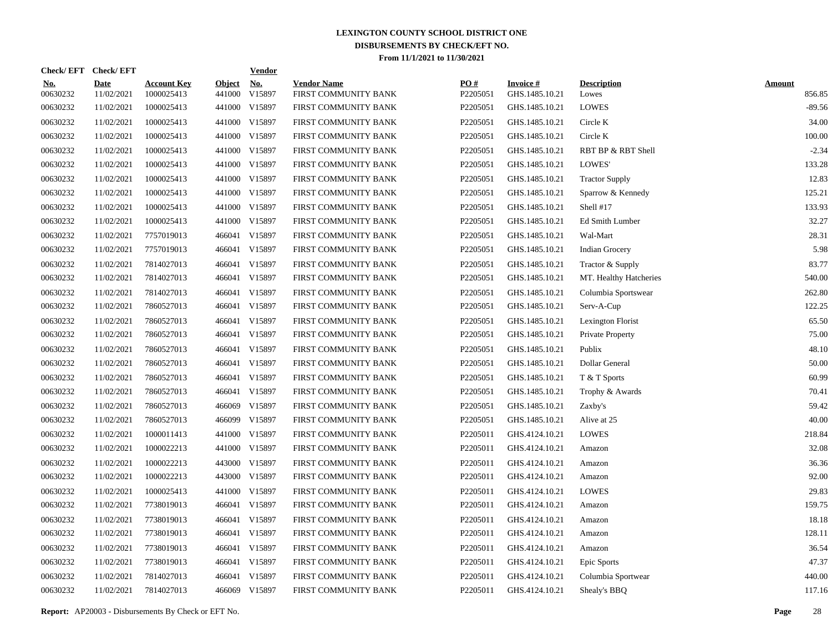|                        | Check/EFT Check/EFT       |                                  |                         | <u>Vendor</u>                         |                                            |                 |                                   |                             |                         |
|------------------------|---------------------------|----------------------------------|-------------------------|---------------------------------------|--------------------------------------------|-----------------|-----------------------------------|-----------------------------|-------------------------|
| <u>No.</u><br>00630232 | <b>Date</b><br>11/02/2021 | <b>Account Key</b><br>1000025413 | <b>Object</b><br>441000 | $\underline{\mathrm{No}}$ .<br>V15897 | <b>Vendor Name</b><br>FIRST COMMUNITY BANK | PQ#<br>P2205051 | <b>Invoice#</b><br>GHS.1485.10.21 | <b>Description</b><br>Lowes | <b>Amount</b><br>856.85 |
| 00630232               | 11/02/2021                | 1000025413                       |                         | 441000 V15897                         | FIRST COMMUNITY BANK                       | P2205051        | GHS.1485.10.21                    | <b>LOWES</b>                | $-89.56$                |
| 00630232               | 11/02/2021                | 1000025413                       |                         | 441000 V15897                         | FIRST COMMUNITY BANK                       | P2205051        | GHS.1485.10.21                    | Circle K                    | 34.00                   |
| 00630232               | 11/02/2021                | 1000025413                       |                         | 441000 V15897                         | FIRST COMMUNITY BANK                       | P2205051        | GHS.1485.10.21                    | Circle K                    | 100.00                  |
| 00630232               | 11/02/2021                | 1000025413                       |                         | 441000 V15897                         | FIRST COMMUNITY BANK                       | P2205051        | GHS.1485.10.21                    | RBT BP & RBT Shell          | $-2.34$                 |
| 00630232               | 11/02/2021                | 1000025413                       |                         | 441000 V15897                         | FIRST COMMUNITY BANK                       | P2205051        | GHS.1485.10.21                    | LOWES'                      | 133.28                  |
| 00630232               | 11/02/2021                | 1000025413                       |                         | 441000 V15897                         | FIRST COMMUNITY BANK                       | P2205051        | GHS.1485.10.21                    | <b>Tractor Supply</b>       | 12.83                   |
| 00630232               | 11/02/2021                | 1000025413                       |                         | 441000 V15897                         | FIRST COMMUNITY BANK                       | P2205051        | GHS.1485.10.21                    | Sparrow & Kennedy           | 125.21                  |
| 00630232               | 11/02/2021                | 1000025413                       |                         | 441000 V15897                         | FIRST COMMUNITY BANK                       | P2205051        | GHS.1485.10.21                    | Shell #17                   | 133.93                  |
| 00630232               | 11/02/2021                | 1000025413                       |                         | 441000 V15897                         | FIRST COMMUNITY BANK                       | P2205051        | GHS.1485.10.21                    | Ed Smith Lumber             | 32.27                   |
| 00630232               | 11/02/2021                | 7757019013                       |                         | 466041 V15897                         | FIRST COMMUNITY BANK                       | P2205051        | GHS.1485.10.21                    | Wal-Mart                    | 28.31                   |
| 00630232               | 11/02/2021                | 7757019013                       | 466041                  | V15897                                | FIRST COMMUNITY BANK                       | P2205051        | GHS.1485.10.21                    | <b>Indian Grocery</b>       | 5.98                    |
| 00630232               | 11/02/2021                | 7814027013                       |                         | 466041 V15897                         | FIRST COMMUNITY BANK                       | P2205051        | GHS.1485.10.21                    | Tractor & Supply            | 83.77                   |
| 00630232               | 11/02/2021                | 7814027013                       |                         | 466041 V15897                         | FIRST COMMUNITY BANK                       | P2205051        | GHS.1485.10.21                    | MT. Healthy Hatcheries      | 540.00                  |
| 00630232               | 11/02/2021                | 7814027013                       | 466041                  | V15897                                | FIRST COMMUNITY BANK                       | P2205051        | GHS.1485.10.21                    | Columbia Sportswear         | 262.80                  |
| 00630232               | 11/02/2021                | 7860527013                       |                         | 466041 V15897                         | FIRST COMMUNITY BANK                       | P2205051        | GHS.1485.10.21                    | Serv-A-Cup                  | 122.25                  |
| 00630232               | 11/02/2021                | 7860527013                       | 466041                  | V15897                                | FIRST COMMUNITY BANK                       | P2205051        | GHS.1485.10.21                    | Lexington Florist           | 65.50                   |
| 00630232               | 11/02/2021                | 7860527013                       |                         | 466041 V15897                         | FIRST COMMUNITY BANK                       | P2205051        | GHS.1485.10.21                    | Private Property            | 75.00                   |
| 00630232               | 11/02/2021                | 7860527013                       | 466041                  | V15897                                | FIRST COMMUNITY BANK                       | P2205051        | GHS.1485.10.21                    | Publix                      | 48.10                   |
| 00630232               | 11/02/2021                | 7860527013                       |                         | 466041 V15897                         | FIRST COMMUNITY BANK                       | P2205051        | GHS.1485.10.21                    | Dollar General              | 50.00                   |
| 00630232               | 11/02/2021                | 7860527013                       | 466041                  | V15897                                | FIRST COMMUNITY BANK                       | P2205051        | GHS.1485.10.21                    | T & T Sports                | 60.99                   |
| 00630232               | 11/02/2021                | 7860527013                       | 466041                  | V15897                                | FIRST COMMUNITY BANK                       | P2205051        | GHS.1485.10.21                    | Trophy & Awards             | 70.41                   |
| 00630232               | 11/02/2021                | 7860527013                       | 466069                  | V15897                                | FIRST COMMUNITY BANK                       | P2205051        | GHS.1485.10.21                    | Zaxby's                     | 59.42                   |
| 00630232               | 11/02/2021                | 7860527013                       | 466099                  | V15897                                | FIRST COMMUNITY BANK                       | P2205051        | GHS.1485.10.21                    | Alive at 25                 | 40.00                   |
| 00630232               | 11/02/2021                | 1000011413                       | 441000                  | V15897                                | FIRST COMMUNITY BANK                       | P2205011        | GHS.4124.10.21                    | <b>LOWES</b>                | 218.84                  |
| 00630232               | 11/02/2021                | 1000022213                       |                         | 441000 V15897                         | FIRST COMMUNITY BANK                       | P2205011        | GHS.4124.10.21                    | Amazon                      | 32.08                   |
| 00630232               | 11/02/2021                | 1000022213                       |                         | 443000 V15897                         | FIRST COMMUNITY BANK                       | P2205011        | GHS.4124.10.21                    | Amazon                      | 36.36                   |
| 00630232               | 11/02/2021                | 1000022213                       |                         | 443000 V15897                         | FIRST COMMUNITY BANK                       | P2205011        | GHS.4124.10.21                    | Amazon                      | 92.00                   |
| 00630232               | 11/02/2021                | 1000025413                       |                         | 441000 V15897                         | FIRST COMMUNITY BANK                       | P2205011        | GHS.4124.10.21                    | <b>LOWES</b>                | 29.83                   |
| 00630232               | 11/02/2021                | 7738019013                       | 466041                  | V15897                                | FIRST COMMUNITY BANK                       | P2205011        | GHS.4124.10.21                    | Amazon                      | 159.75                  |
| 00630232               | 11/02/2021                | 7738019013                       | 466041                  | V15897                                | FIRST COMMUNITY BANK                       | P2205011        | GHS.4124.10.21                    | Amazon                      | 18.18                   |
| 00630232               | 11/02/2021                | 7738019013                       | 466041                  | V15897                                | FIRST COMMUNITY BANK                       | P2205011        | GHS.4124.10.21                    | Amazon                      | 128.11                  |
| 00630232               | 11/02/2021                | 7738019013                       | 466041                  | V15897                                | FIRST COMMUNITY BANK                       | P2205011        | GHS.4124.10.21                    | Amazon                      | 36.54                   |
| 00630232               | 11/02/2021                | 7738019013                       | 466041                  | V15897                                | FIRST COMMUNITY BANK                       | P2205011        | GHS.4124.10.21                    | Epic Sports                 | 47.37                   |
| 00630232               | 11/02/2021                | 7814027013                       | 466041                  | V15897                                | FIRST COMMUNITY BANK                       | P2205011        | GHS.4124.10.21                    | Columbia Sportwear          | 440.00                  |
| 00630232               | 11/02/2021                | 7814027013                       |                         | 466069 V15897                         | FIRST COMMUNITY BANK                       | P2205011        | GHS.4124.10.21                    | Shealy's BBQ                | 117.16                  |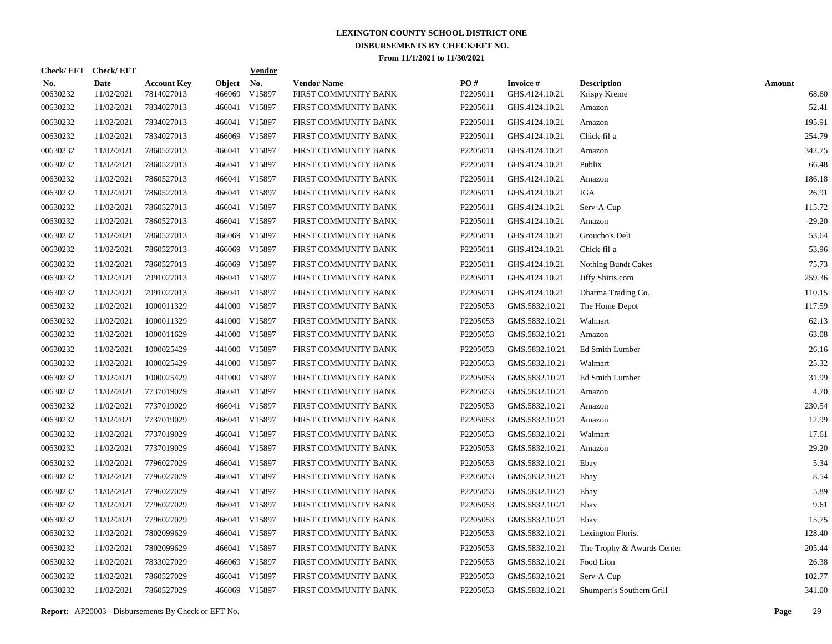|                        | Check/EFT Check/EFT       |                                  |                         | <u>Vendor</u>        |                                            |                 |                                   |                                    |                        |
|------------------------|---------------------------|----------------------------------|-------------------------|----------------------|--------------------------------------------|-----------------|-----------------------------------|------------------------------------|------------------------|
| <u>No.</u><br>00630232 | <b>Date</b><br>11/02/2021 | <b>Account Key</b><br>7814027013 | <b>Object</b><br>466069 | <u>No.</u><br>V15897 | <b>Vendor Name</b><br>FIRST COMMUNITY BANK | PQ#<br>P2205011 | <b>Invoice#</b><br>GHS.4124.10.21 | <b>Description</b><br>Krispy Kreme | <b>Amount</b><br>68.60 |
| 00630232               | 11/02/2021                | 7834027013                       | 466041                  | V15897               | FIRST COMMUNITY BANK                       | P2205011        | GHS.4124.10.21                    | Amazon                             | 52.41                  |
| 00630232               | 11/02/2021                | 7834027013                       | 466041                  | V15897               | FIRST COMMUNITY BANK                       | P2205011        | GHS.4124.10.21                    | Amazon                             | 195.91                 |
| 00630232               | 11/02/2021                | 7834027013                       | 466069                  | V15897               | FIRST COMMUNITY BANK                       | P2205011        | GHS.4124.10.21                    | Chick-fil-a                        | 254.79                 |
| 00630232               | 11/02/2021                | 7860527013                       | 466041                  | V15897               | FIRST COMMUNITY BANK                       | P2205011        | GHS.4124.10.21                    | Amazon                             | 342.75                 |
| 00630232               | 11/02/2021                | 7860527013                       | 466041                  | V15897               | FIRST COMMUNITY BANK                       | P2205011        | GHS.4124.10.21                    | Publix                             | 66.48                  |
| 00630232               | 11/02/2021                | 7860527013                       | 466041                  | V15897               | FIRST COMMUNITY BANK                       | P2205011        | GHS.4124.10.21                    | Amazon                             | 186.18                 |
| 00630232               | 11/02/2021                | 7860527013                       | 466041                  | V15897               | FIRST COMMUNITY BANK                       | P2205011        | GHS.4124.10.21                    | <b>IGA</b>                         | 26.91                  |
| 00630232               | 11/02/2021                | 7860527013                       | 466041                  | V15897               | FIRST COMMUNITY BANK                       | P2205011        | GHS.4124.10.21                    | Serv-A-Cup                         | 115.72                 |
| 00630232               | 11/02/2021                | 7860527013                       | 466041                  | V15897               | FIRST COMMUNITY BANK                       | P2205011        | GHS.4124.10.21                    | Amazon                             | $-29.20$               |
| 00630232               | 11/02/2021                | 7860527013                       | 466069                  | V15897               | FIRST COMMUNITY BANK                       | P2205011        | GHS.4124.10.21                    | Groucho's Deli                     | 53.64                  |
| 00630232               | 11/02/2021                | 7860527013                       | 466069                  | V15897               | FIRST COMMUNITY BANK                       | P2205011        | GHS.4124.10.21                    | Chick-fil-a                        | 53.96                  |
| 00630232               | 11/02/2021                | 7860527013                       | 466069                  | V15897               | FIRST COMMUNITY BANK                       | P2205011        | GHS.4124.10.21                    | <b>Nothing Bundt Cakes</b>         | 75.73                  |
| 00630232               | 11/02/2021                | 7991027013                       | 466041                  | V15897               | FIRST COMMUNITY BANK                       | P2205011        | GHS.4124.10.21                    | Jiffy Shirts.com                   | 259.36                 |
| 00630232               | 11/02/2021                | 7991027013                       | 466041                  | V15897               | FIRST COMMUNITY BANK                       | P2205011        | GHS.4124.10.21                    | Dharma Trading Co.                 | 110.15                 |
| 00630232               | 11/02/2021                | 1000011329                       |                         | 441000 V15897        | FIRST COMMUNITY BANK                       | P2205053        | GMS.5832.10.21                    | The Home Depot                     | 117.59                 |
| 00630232               | 11/02/2021                | 1000011329                       | 441000                  | V15897               | FIRST COMMUNITY BANK                       | P2205053        | GMS.5832.10.21                    | Walmart                            | 62.13                  |
| 00630232               | 11/02/2021                | 1000011629                       | 441000                  | V15897               | FIRST COMMUNITY BANK                       | P2205053        | GMS.5832.10.21                    | Amazon                             | 63.08                  |
| 00630232               | 11/02/2021                | 1000025429                       |                         | 441000 V15897        | FIRST COMMUNITY BANK                       | P2205053        | GMS.5832.10.21                    | Ed Smith Lumber                    | 26.16                  |
| 00630232               | 11/02/2021                | 1000025429                       | 441000                  | V15897               | FIRST COMMUNITY BANK                       | P2205053        | GMS.5832.10.21                    | Walmart                            | 25.32                  |
| 00630232               | 11/02/2021                | 1000025429                       | 441000                  | V15897               | FIRST COMMUNITY BANK                       | P2205053        | GMS.5832.10.21                    | <b>Ed Smith Lumber</b>             | 31.99                  |
| 00630232               | 11/02/2021                | 7737019029                       |                         | 466041 V15897        | FIRST COMMUNITY BANK                       | P2205053        | GMS.5832.10.21                    | Amazon                             | 4.70                   |
| 00630232               | 11/02/2021                | 7737019029                       |                         | 466041 V15897        | FIRST COMMUNITY BANK                       | P2205053        | GMS.5832.10.21                    | Amazon                             | 230.54                 |
| 00630232               | 11/02/2021                | 7737019029                       |                         | 466041 V15897        | FIRST COMMUNITY BANK                       | P2205053        | GMS.5832.10.21                    | Amazon                             | 12.99                  |
| 00630232               | 11/02/2021                | 7737019029                       |                         | 466041 V15897        | FIRST COMMUNITY BANK                       | P2205053        | GMS.5832.10.21                    | Walmart                            | 17.61                  |
| 00630232               | 11/02/2021                | 7737019029                       |                         | 466041 V15897        | FIRST COMMUNITY BANK                       | P2205053        | GMS.5832.10.21                    | Amazon                             | 29.20                  |
| 00630232               | 11/02/2021                | 7796027029                       |                         | 466041 V15897        | FIRST COMMUNITY BANK                       | P2205053        | GMS.5832.10.21                    | Ebay                               | 5.34                   |
| 00630232               | 11/02/2021                | 7796027029                       |                         | 466041 V15897        | FIRST COMMUNITY BANK                       | P2205053        | GMS.5832.10.21                    | Ebay                               | 8.54                   |
| 00630232               | 11/02/2021                | 7796027029                       |                         | 466041 V15897        | FIRST COMMUNITY BANK                       | P2205053        | GMS.5832.10.21                    | Ebay                               | 5.89                   |
| 00630232               | 11/02/2021                | 7796027029                       |                         | 466041 V15897        | FIRST COMMUNITY BANK                       | P2205053        | GMS.5832.10.21                    | Ebay                               | 9.61                   |
| 00630232               | 11/02/2021                | 7796027029                       |                         | 466041 V15897        | FIRST COMMUNITY BANK                       | P2205053        | GMS.5832.10.21                    | Ebay                               | 15.75                  |
| 00630232               | 11/02/2021                | 7802099629                       |                         | 466041 V15897        | FIRST COMMUNITY BANK                       | P2205053        | GMS.5832.10.21                    | Lexington Florist                  | 128.40                 |
| 00630232               | 11/02/2021                | 7802099629                       | 466041                  | V15897               | FIRST COMMUNITY BANK                       | P2205053        | GMS.5832.10.21                    | The Trophy & Awards Center         | 205.44                 |
| 00630232               | 11/02/2021                | 7833027029                       | 466069                  | V15897               | FIRST COMMUNITY BANK                       | P2205053        | GMS.5832.10.21                    | Food Lion                          | 26.38                  |
| 00630232               | 11/02/2021                | 7860527029                       | 466041                  | V15897               | FIRST COMMUNITY BANK                       | P2205053        | GMS.5832.10.21                    | Serv-A-Cup                         | 102.77                 |
| 00630232               | 11/02/2021                | 7860527029                       |                         | 466069 V15897        | FIRST COMMUNITY BANK                       | P2205053        | GMS.5832.10.21                    | Shumpert's Southern Grill          | 341.00                 |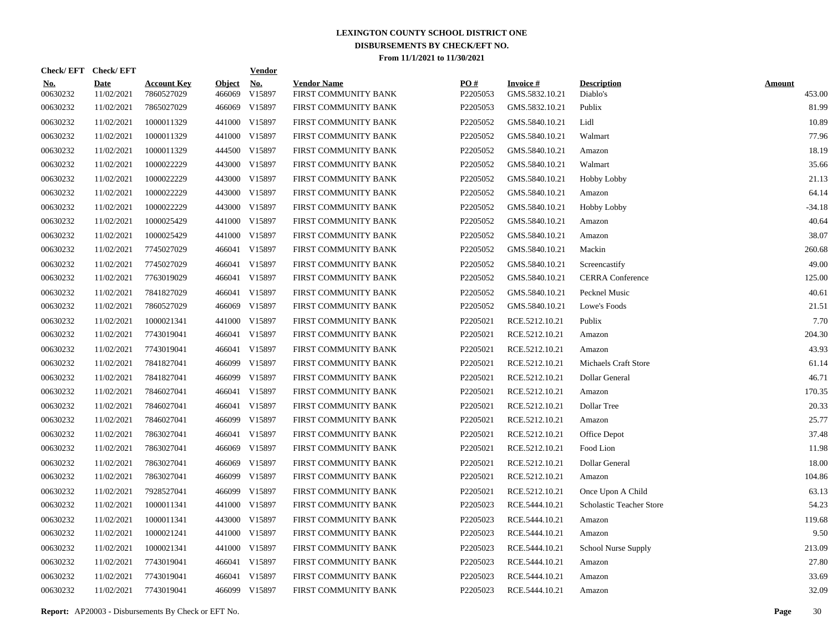|                        | Check/EFT Check/EFT       |                                  |                         | <b>Vendor</b>                         |                                            |                 |                                   |                                |                         |
|------------------------|---------------------------|----------------------------------|-------------------------|---------------------------------------|--------------------------------------------|-----------------|-----------------------------------|--------------------------------|-------------------------|
| <u>No.</u><br>00630232 | <b>Date</b><br>11/02/2021 | <b>Account Key</b><br>7860527029 | <b>Object</b><br>466069 | $\underline{\mathrm{No}}$ .<br>V15897 | <b>Vendor Name</b><br>FIRST COMMUNITY BANK | PO#<br>P2205053 | <b>Invoice#</b><br>GMS.5832.10.21 | <b>Description</b><br>Diablo's | <b>Amount</b><br>453.00 |
| 00630232               | 11/02/2021                | 7865027029                       | 466069                  | V15897                                | FIRST COMMUNITY BANK                       | P2205053        | GMS.5832.10.21                    | Publix                         | 81.99                   |
| 00630232               | 11/02/2021                | 1000011329                       |                         | 441000 V15897                         | FIRST COMMUNITY BANK                       | P2205052        | GMS.5840.10.21                    | Lidl                           | 10.89                   |
| 00630232               | 11/02/2021                | 1000011329                       |                         | 441000 V15897                         | FIRST COMMUNITY BANK                       | P2205052        | GMS.5840.10.21                    | Walmart                        | 77.96                   |
| 00630232               | 11/02/2021                | 1000011329                       |                         | 444500 V15897                         | FIRST COMMUNITY BANK                       | P2205052        | GMS.5840.10.21                    | Amazon                         | 18.19                   |
| 00630232               | 11/02/2021                | 1000022229                       |                         | 443000 V15897                         | FIRST COMMUNITY BANK                       | P2205052        | GMS.5840.10.21                    | Walmart                        | 35.66                   |
| 00630232               | 11/02/2021                | 1000022229                       |                         | 443000 V15897                         | FIRST COMMUNITY BANK                       | P2205052        | GMS.5840.10.21                    | <b>Hobby Lobby</b>             | 21.13                   |
| 00630232               | 11/02/2021                | 1000022229                       |                         | 443000 V15897                         | FIRST COMMUNITY BANK                       | P2205052        | GMS.5840.10.21                    | Amazon                         | 64.14                   |
| 00630232               | 11/02/2021                | 1000022229                       |                         | 443000 V15897                         | FIRST COMMUNITY BANK                       | P2205052        | GMS.5840.10.21                    | <b>Hobby Lobby</b>             | $-34.18$                |
| 00630232               | 11/02/2021                | 1000025429                       |                         | 441000 V15897                         | FIRST COMMUNITY BANK                       | P2205052        | GMS.5840.10.21                    | Amazon                         | 40.64                   |
| 00630232               | 11/02/2021                | 1000025429                       |                         | 441000 V15897                         | FIRST COMMUNITY BANK                       | P2205052        | GMS.5840.10.21                    | Amazon                         | 38.07                   |
| 00630232               | 11/02/2021                | 7745027029                       |                         | 466041 V15897                         | FIRST COMMUNITY BANK                       | P2205052        | GMS.5840.10.21                    | Mackin                         | 260.68                  |
| 00630232               | 11/02/2021                | 7745027029                       |                         | 466041 V15897                         | FIRST COMMUNITY BANK                       | P2205052        | GMS.5840.10.21                    | Screencastify                  | 49.00                   |
| 00630232               | 11/02/2021                | 7763019029                       |                         | 466041 V15897                         | FIRST COMMUNITY BANK                       | P2205052        | GMS.5840.10.21                    | <b>CERRA</b> Conference        | 125.00                  |
| 00630232               | 11/02/2021                | 7841827029                       |                         | 466041 V15897                         | FIRST COMMUNITY BANK                       | P2205052        | GMS.5840.10.21                    | Pecknel Music                  | 40.61                   |
| 00630232               | 11/02/2021                | 7860527029                       | 466069                  | V15897                                | FIRST COMMUNITY BANK                       | P2205052        | GMS.5840.10.21                    | Lowe's Foods                   | 21.51                   |
| 00630232               | 11/02/2021                | 1000021341                       | 441000                  | V15897                                | FIRST COMMUNITY BANK                       | P2205021        | RCE.5212.10.21                    | Publix                         | 7.70                    |
| 00630232               | 11/02/2021                | 7743019041                       |                         | 466041 V15897                         | FIRST COMMUNITY BANK                       | P2205021        | RCE.5212.10.21                    | Amazon                         | 204.30                  |
| 00630232               | 11/02/2021                | 7743019041                       |                         | 466041 V15897                         | FIRST COMMUNITY BANK                       | P2205021        | RCE.5212.10.21                    | Amazon                         | 43.93                   |
| 00630232               | 11/02/2021                | 7841827041                       | 466099                  | V15897                                | FIRST COMMUNITY BANK                       | P2205021        | RCE.5212.10.21                    | Michaels Craft Store           | 61.14                   |
| 00630232               | 11/02/2021                | 7841827041                       | 466099                  | V15897                                | FIRST COMMUNITY BANK                       | P2205021        | RCE.5212.10.21                    | Dollar General                 | 46.71                   |
| 00630232               | 11/02/2021                | 7846027041                       |                         | 466041 V15897                         | FIRST COMMUNITY BANK                       | P2205021        | RCE.5212.10.21                    | Amazon                         | 170.35                  |
| 00630232               | 11/02/2021                | 7846027041                       |                         | 466041 V15897                         | FIRST COMMUNITY BANK                       | P2205021        | RCE.5212.10.21                    | Dollar Tree                    | 20.33                   |
| 00630232               | 11/02/2021                | 7846027041                       |                         | 466099 V15897                         | FIRST COMMUNITY BANK                       | P2205021        | RCE.5212.10.21                    | Amazon                         | 25.77                   |
| 00630232               | 11/02/2021                | 7863027041                       |                         | 466041 V15897                         | FIRST COMMUNITY BANK                       | P2205021        | RCE.5212.10.21                    | Office Depot                   | 37.48                   |
| 00630232               | 11/02/2021                | 7863027041                       | 466069                  | V15897                                | FIRST COMMUNITY BANK                       | P2205021        | RCE.5212.10.21                    | Food Lion                      | 11.98                   |
| 00630232               | 11/02/2021                | 7863027041                       | 466069                  | V15897                                | FIRST COMMUNITY BANK                       | P2205021        | RCE.5212.10.21                    | Dollar General                 | 18.00                   |
| 00630232               | 11/02/2021                | 7863027041                       | 466099                  | V15897                                | FIRST COMMUNITY BANK                       | P2205021        | RCE.5212.10.21                    | Amazon                         | 104.86                  |
| 00630232               | 11/02/2021                | 7928527041                       | 466099                  | V15897                                | FIRST COMMUNITY BANK                       | P2205021        | RCE.5212.10.21                    | Once Upon A Child              | 63.13                   |
| 00630232               | 11/02/2021                | 1000011341                       |                         | 441000 V15897                         | FIRST COMMUNITY BANK                       | P2205023        | RCE.5444.10.21                    | Scholastic Teacher Store       | 54.23                   |
| 00630232               | 11/02/2021                | 1000011341                       |                         | 443000 V15897                         | FIRST COMMUNITY BANK                       | P2205023        | RCE.5444.10.21                    | Amazon                         | 119.68                  |
| 00630232               | 11/02/2021                | 1000021241                       |                         | 441000 V15897                         | FIRST COMMUNITY BANK                       | P2205023        | RCE.5444.10.21                    | Amazon                         | 9.50                    |
| 00630232               | 11/02/2021                | 1000021341                       |                         | 441000 V15897                         | FIRST COMMUNITY BANK                       | P2205023        | RCE.5444.10.21                    | School Nurse Supply            | 213.09                  |
| 00630232               | 11/02/2021                | 7743019041                       |                         | 466041 V15897                         | FIRST COMMUNITY BANK                       | P2205023        | RCE.5444.10.21                    | Amazon                         | 27.80                   |
| 00630232               | 11/02/2021                | 7743019041                       | 466041                  | V15897                                | FIRST COMMUNITY BANK                       | P2205023        | RCE.5444.10.21                    | Amazon                         | 33.69                   |
| 00630232               | 11/02/2021                | 7743019041                       |                         | 466099 V15897                         | FIRST COMMUNITY BANK                       | P2205023        | RCE.5444.10.21                    | Amazon                         | 32.09                   |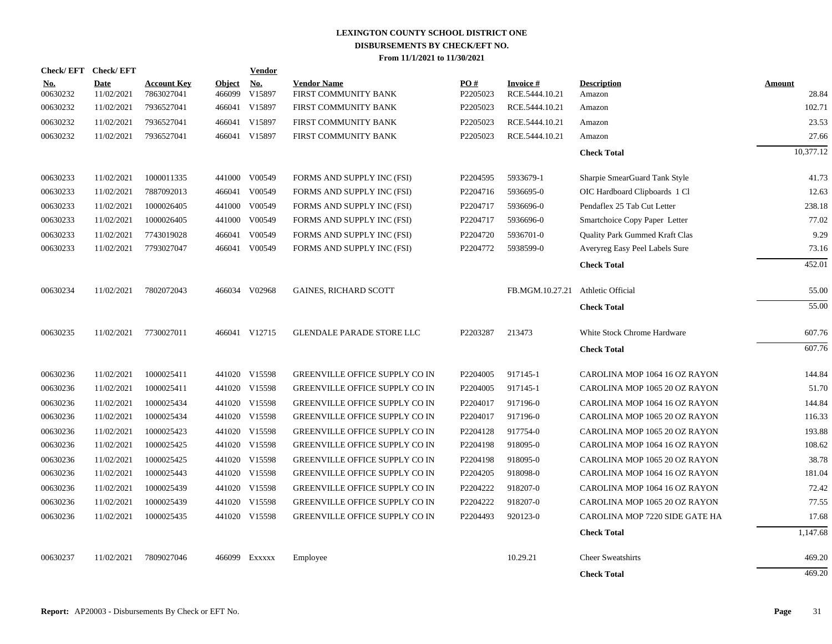| Check/EFT Check/EFT    |                           |                                  |                         | Vendor               |                                            |                 |                                   |                                |                 |
|------------------------|---------------------------|----------------------------------|-------------------------|----------------------|--------------------------------------------|-----------------|-----------------------------------|--------------------------------|-----------------|
| <u>No.</u><br>00630232 | <b>Date</b><br>11/02/2021 | <b>Account Key</b><br>7863027041 | <b>Object</b><br>466099 | <b>No.</b><br>V15897 | <b>Vendor Name</b><br>FIRST COMMUNITY BANK | PO#<br>P2205023 | Invoice #<br>RCE.5444.10.21       | <b>Description</b><br>Amazon   | Amount<br>28.84 |
| 00630232               | 11/02/2021                | 7936527041                       | 466041                  | V15897               | FIRST COMMUNITY BANK                       | P2205023        | RCE.5444.10.21                    | Amazon                         | 102.71          |
| 00630232               | 11/02/2021                | 7936527041                       | 466041                  | V15897               | FIRST COMMUNITY BANK                       | P2205023        | RCE.5444.10.21                    | Amazon                         | 23.53           |
| 00630232               | 11/02/2021                | 7936527041                       |                         | 466041 V15897        | FIRST COMMUNITY BANK                       | P2205023        | RCE.5444.10.21                    | Amazon                         | 27.66           |
|                        |                           |                                  |                         |                      |                                            |                 |                                   | <b>Check Total</b>             | 10,377.12       |
| 00630233               | 11/02/2021                | 1000011335                       | 441000                  | V00549               | FORMS AND SUPPLY INC (FSI)                 | P2204595        | 5933679-1                         | Sharpie SmearGuard Tank Style  | 41.73           |
| 00630233               | 11/02/2021                | 7887092013                       |                         | 466041 V00549        | FORMS AND SUPPLY INC (FSI)                 | P2204716        | 5936695-0                         | OIC Hardboard Clipboards 1 Cl  | 12.63           |
| 00630233               | 11/02/2021                | 1000026405                       | 441000                  | V00549               | FORMS AND SUPPLY INC (FSI)                 | P2204717        | 5936696-0                         | Pendaflex 25 Tab Cut Letter    | 238.18          |
| 00630233               | 11/02/2021                | 1000026405                       | 441000                  | V00549               | FORMS AND SUPPLY INC (FSI)                 | P2204717        | 5936696-0                         | Smartchoice Copy Paper Letter  | 77.02           |
| 00630233               | 11/02/2021                | 7743019028                       | 466041                  | V00549               | FORMS AND SUPPLY INC (FSI)                 | P2204720        | 5936701-0                         | Quality Park Gummed Kraft Clas | 9.29            |
| 00630233               | 11/02/2021                | 7793027047                       | 466041                  | V00549               | FORMS AND SUPPLY INC (FSI)                 | P2204772        | 5938599-0                         | Averyreg Easy Peel Labels Sure | 73.16           |
|                        |                           |                                  |                         |                      |                                            |                 |                                   | <b>Check Total</b>             | 452.01          |
| 00630234               | 11/02/2021                | 7802072043                       |                         | 466034 V02968        | <b>GAINES, RICHARD SCOTT</b>               |                 | FB.MGM.10.27.21 Athletic Official |                                | 55.00           |
|                        |                           |                                  |                         |                      |                                            |                 |                                   | <b>Check Total</b>             | 55.00           |
| 00630235               | 11/02/2021                | 7730027011                       |                         | 466041 V12715        | <b>GLENDALE PARADE STORE LLC</b>           | P2203287        | 213473                            | White Stock Chrome Hardware    | 607.76          |
|                        |                           |                                  |                         |                      |                                            |                 |                                   | <b>Check Total</b>             | 607.76          |
| 00630236               | 11/02/2021                | 1000025411                       |                         | 441020 V15598        | GREENVILLE OFFICE SUPPLY CO IN             | P2204005        | 917145-1                          | CAROLINA MOP 1064 16 OZ RAYON  | 144.84          |
| 00630236               | 11/02/2021                | 1000025411                       |                         | 441020 V15598        | GREENVILLE OFFICE SUPPLY CO IN             | P2204005        | 917145-1                          | CAROLINA MOP 1065 20 OZ RAYON  | 51.70           |
| 00630236               | 11/02/2021                | 1000025434                       |                         | 441020 V15598        | <b>GREENVILLE OFFICE SUPPLY CO IN</b>      | P2204017        | 917196-0                          | CAROLINA MOP 1064 16 OZ RAYON  | 144.84          |
| 00630236               | 11/02/2021                | 1000025434                       |                         | 441020 V15598        | GREENVILLE OFFICE SUPPLY CO IN             | P2204017        | 917196-0                          | CAROLINA MOP 1065 20 OZ RAYON  | 116.33          |
| 00630236               | 11/02/2021                | 1000025423                       |                         | 441020 V15598        | GREENVILLE OFFICE SUPPLY CO IN             | P2204128        | 917754-0                          | CAROLINA MOP 1065 20 OZ RAYON  | 193.88          |
| 00630236               | 11/02/2021                | 1000025425                       |                         | 441020 V15598        | GREENVILLE OFFICE SUPPLY CO IN             | P2204198        | 918095-0                          | CAROLINA MOP 1064 16 OZ RAYON  | 108.62          |
| 00630236               | 11/02/2021                | 1000025425                       |                         | 441020 V15598        | GREENVILLE OFFICE SUPPLY CO IN             | P2204198        | 918095-0                          | CAROLINA MOP 1065 20 OZ RAYON  | 38.78           |
| 00630236               | 11/02/2021                | 1000025443                       |                         | 441020 V15598        | GREENVILLE OFFICE SUPPLY CO IN             | P2204205        | 918098-0                          | CAROLINA MOP 1064 16 OZ RAYON  | 181.04          |
| 00630236               | 11/02/2021                | 1000025439                       |                         | 441020 V15598        | GREENVILLE OFFICE SUPPLY CO IN             | P2204222        | 918207-0                          | CAROLINA MOP 1064 16 OZ RAYON  | 72.42           |
| 00630236               | 11/02/2021                | 1000025439                       |                         | 441020 V15598        | GREENVILLE OFFICE SUPPLY CO IN             | P2204222        | 918207-0                          | CAROLINA MOP 1065 20 OZ RAYON  | 77.55           |
| 00630236               | 11/02/2021                | 1000025435                       |                         | 441020 V15598        | <b>GREENVILLE OFFICE SUPPLY CO IN</b>      | P2204493        | 920123-0                          | CAROLINA MOP 7220 SIDE GATE HA | 17.68           |
|                        |                           |                                  |                         |                      |                                            |                 |                                   | <b>Check Total</b>             | 1,147.68        |
| 00630237               | 11/02/2021                | 7809027046                       |                         | 466099 Exxxxx        | Employee                                   |                 | 10.29.21                          | <b>Cheer Sweatshirts</b>       | 469.20          |
|                        |                           |                                  |                         |                      |                                            |                 |                                   | <b>Check Total</b>             | 469.20          |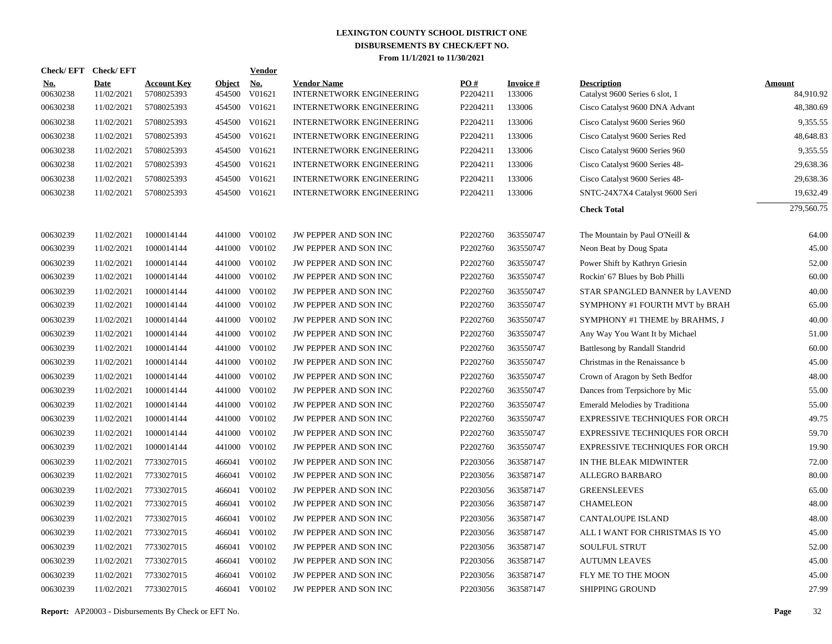| Check/EFT Check/EFT    |                           |                                  |                         | <b>Vendor</b>                       |                                                       |                 |                           |                                                      |                     |
|------------------------|---------------------------|----------------------------------|-------------------------|-------------------------------------|-------------------------------------------------------|-----------------|---------------------------|------------------------------------------------------|---------------------|
| <u>No.</u><br>00630238 | <b>Date</b><br>11/02/2021 | <b>Account Key</b><br>5708025393 | <b>Object</b><br>454500 | $\underline{\textbf{No}}$<br>V01621 | <b>Vendor Name</b><br><b>INTERNETWORK ENGINEERING</b> | PO#<br>P2204211 | <b>Invoice#</b><br>133006 | <b>Description</b><br>Catalyst 9600 Series 6 slot, 1 | Amount<br>84,910.92 |
| 00630238               | 11/02/2021                | 5708025393                       | 454500                  | V01621                              | <b>INTERNETWORK ENGINEERING</b>                       | P2204211        | 133006                    | Cisco Catalyst 9600 DNA Advant                       | 48,380.69           |
| 00630238               | 11/02/2021                | 5708025393                       | 454500 V01621           |                                     | <b>INTERNETWORK ENGINEERING</b>                       | P2204211        | 133006                    | Cisco Catalyst 9600 Series 960                       | 9,355.55            |
| 00630238               | 11/02/2021                | 5708025393                       | 454500 V01621           |                                     | <b>INTERNETWORK ENGINEERING</b>                       | P2204211        | 133006                    | Cisco Catalyst 9600 Series Red                       | 48,648.83           |
| 00630238               | 11/02/2021                | 5708025393                       | 454500 V01621           |                                     | <b>INTERNETWORK ENGINEERING</b>                       | P2204211        | 133006                    | Cisco Catalyst 9600 Series 960                       | 9,355.55            |
| 00630238               | 11/02/2021                | 5708025393                       |                         | 454500 V01621                       | <b>INTERNETWORK ENGINEERING</b>                       | P2204211        | 133006                    | Cisco Catalyst 9600 Series 48-                       | 29,638.36           |
| 00630238               | 11/02/2021                | 5708025393                       | 454500                  | V01621                              | <b>INTERNETWORK ENGINEERING</b>                       | P2204211        | 133006                    | Cisco Catalyst 9600 Series 48-                       | 29,638.36           |
| 00630238               | 11/02/2021                | 5708025393                       |                         | 454500 V01621                       | <b>INTERNETWORK ENGINEERING</b>                       | P2204211        | 133006                    | SNTC-24X7X4 Catalyst 9600 Seri                       | 19,632.49           |
|                        |                           |                                  |                         |                                     |                                                       |                 |                           | <b>Check Total</b>                                   | 279,560.75          |
| 00630239               | 11/02/2021                | 1000014144                       |                         | 441000 V00102                       | JW PEPPER AND SON INC                                 | P2202760        | 363550747                 | The Mountain by Paul O'Neill &                       | 64.00               |
| 00630239               | 11/02/2021                | 1000014144                       | 441000                  | V00102                              | JW PEPPER AND SON INC                                 | P2202760        | 363550747                 | Neon Beat by Doug Spata                              | 45.00               |
| 00630239               | 11/02/2021                | 1000014144                       | 441000                  | V00102                              | JW PEPPER AND SON INC                                 | P2202760        | 363550747                 | Power Shift by Kathryn Griesin                       | 52.00               |
| 00630239               | 11/02/2021                | 1000014144                       | 441000                  | V00102                              | JW PEPPER AND SON INC                                 | P2202760        | 363550747                 | Rockin' 67 Blues by Bob Philli                       | 60.00               |
| 00630239               | 11/02/2021                | 1000014144                       | 441000                  | V00102                              | JW PEPPER AND SON INC                                 | P2202760        | 363550747                 | STAR SPANGLED BANNER by LAVEND                       | 40.00               |
| 00630239               | 11/02/2021                | 1000014144                       | 441000                  | V00102                              | JW PEPPER AND SON INC                                 | P2202760        | 363550747                 | SYMPHONY #1 FOURTH MVT by BRAH                       | 65.00               |
| 00630239               | 11/02/2021                | 1000014144                       | 441000                  | V00102                              | JW PEPPER AND SON INC                                 | P2202760        | 363550747                 | SYMPHONY #1 THEME by BRAHMS, J                       | 40.00               |
| 00630239               | 11/02/2021                | 1000014144                       | 441000                  | V00102                              | JW PEPPER AND SON INC                                 | P2202760        | 363550747                 | Any Way You Want It by Michael                       | 51.00               |
| 00630239               | 11/02/2021                | 1000014144                       | 441000                  | V00102                              | JW PEPPER AND SON INC                                 | P2202760        | 363550747                 | Battlesong by Randall Standrid                       | 60.00               |
| 00630239               | 11/02/2021                | 1000014144                       | 441000                  | V00102                              | JW PEPPER AND SON INC                                 | P2202760        | 363550747                 | Christmas in the Renaissance b                       | 45.00               |
| 00630239               | 11/02/2021                | 1000014144                       | 441000                  | V00102                              | JW PEPPER AND SON INC                                 | P2202760        | 363550747                 | Crown of Aragon by Seth Bedfor                       | 48.00               |
| 00630239               | 11/02/2021                | 1000014144                       | 441000                  | V00102                              | JW PEPPER AND SON INC                                 | P2202760        | 363550747                 | Dances from Terpsichore by Mic                       | 55.00               |
| 00630239               | 11/02/2021                | 1000014144                       | 441000                  | V00102                              | JW PEPPER AND SON INC                                 | P2202760        | 363550747                 | Emerald Melodies by Traditiona                       | 55.00               |
| 00630239               | 11/02/2021                | 1000014144                       | 441000                  | V00102                              | JW PEPPER AND SON INC                                 | P2202760        | 363550747                 | <b>EXPRESSIVE TECHNIQUES FOR ORCH</b>                | 49.75               |
| 00630239               | 11/02/2021                | 1000014144                       | 441000                  | V00102                              | JW PEPPER AND SON INC                                 | P2202760        | 363550747                 | <b>EXPRESSIVE TECHNIQUES FOR ORCH</b>                | 59.70               |
| 00630239               | 11/02/2021                | 1000014144                       | 441000                  | V00102                              | JW PEPPER AND SON INC                                 | P2202760        | 363550747                 | <b>EXPRESSIVE TECHNIQUES FOR ORCH</b>                | 19.90               |
| 00630239               | 11/02/2021                | 7733027015                       | 466041                  | V00102                              | JW PEPPER AND SON INC                                 | P2203056        | 363587147                 | IN THE BLEAK MIDWINTER                               | 72.00               |
| 00630239               | 11/02/2021                | 7733027015                       |                         | 466041 V00102                       | <b>JW PEPPER AND SON INC</b>                          | P2203056        | 363587147                 | <b>ALLEGRO BARBARO</b>                               | 80.00               |
| 00630239               | 11/02/2021                | 7733027015                       | 466041                  | V00102                              | <b>JW PEPPER AND SON INC</b>                          | P2203056        | 363587147                 | <b>GREENSLEEVES</b>                                  | 65.00               |
| 00630239               | 11/02/2021                | 7733027015                       | 466041                  | V00102                              | JW PEPPER AND SON INC                                 | P2203056        | 363587147                 | <b>CHAMELEON</b>                                     | 48.00               |
| 00630239               | 11/02/2021                | 7733027015                       | 466041                  | V00102                              | JW PEPPER AND SON INC                                 | P2203056        | 363587147                 | <b>CANTALOUPE ISLAND</b>                             | 48.00               |
| 00630239               | 11/02/2021                | 7733027015                       | 466041                  | V00102                              | JW PEPPER AND SON INC                                 | P2203056        | 363587147                 | ALL I WANT FOR CHRISTMAS IS YO                       | 45.00               |
| 00630239               | 11/02/2021                | 7733027015                       | 466041                  | V00102                              | JW PEPPER AND SON INC                                 | P2203056        | 363587147                 | <b>SOULFUL STRUT</b>                                 | 52.00               |
| 00630239               | 11/02/2021                | 7733027015                       | 466041                  | V00102                              | JW PEPPER AND SON INC                                 | P2203056        | 363587147                 | <b>AUTUMN LEAVES</b>                                 | 45.00               |
| 00630239               | 11/02/2021                | 7733027015                       | 466041                  | V00102                              | JW PEPPER AND SON INC                                 | P2203056        | 363587147                 | FLY ME TO THE MOON                                   | 45.00               |
| 00630239               | 11/02/2021                | 7733027015                       |                         | 466041 V00102                       | JW PEPPER AND SON INC                                 | P2203056        | 363587147                 | <b>SHIPPING GROUND</b>                               | 27.99               |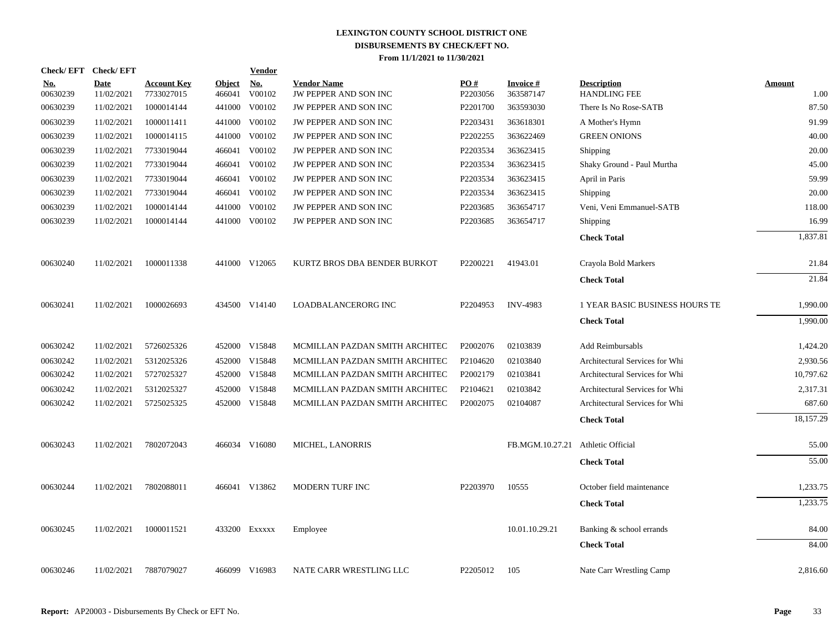| <b>Check/EFT</b>       | <b>Check/EFT</b>          |                                  |                         | <b>Vendor</b>        |                                             |                      |                        |                                           |                |
|------------------------|---------------------------|----------------------------------|-------------------------|----------------------|---------------------------------------------|----------------------|------------------------|-------------------------------------------|----------------|
| <u>No.</u><br>00630239 | <b>Date</b><br>11/02/2021 | <b>Account Key</b><br>7733027015 | <b>Object</b><br>466041 | <b>No.</b><br>V00102 | <b>Vendor Name</b><br>JW PEPPER AND SON INC | PO#<br>P2203056      | Invoice #<br>363587147 | <b>Description</b><br><b>HANDLING FEE</b> | Amount<br>1.00 |
| 00630239               | 11/02/2021                | 1000014144                       | 441000                  | V00102               | JW PEPPER AND SON INC                       | P <sub>2201700</sub> | 363593030              | There Is No Rose-SATB                     | 87.50          |
| 00630239               | 11/02/2021                | 1000011411                       | 441000                  | V00102               | JW PEPPER AND SON INC                       | P2203431             | 363618301              | A Mother's Hymn                           | 91.99          |
| 00630239               | 11/02/2021                | 1000014115                       | 441000                  | V00102               | JW PEPPER AND SON INC                       | P2202255             | 363622469              | <b>GREEN ONIONS</b>                       | 40.00          |
| 00630239               | 11/02/2021                | 7733019044                       | 466041                  | V00102               | JW PEPPER AND SON INC                       | P2203534             | 363623415              | Shipping                                  | 20.00          |
| 00630239               | 11/02/2021                | 7733019044                       | 466041                  | V00102               | JW PEPPER AND SON INC                       | P2203534             | 363623415              | Shaky Ground - Paul Murtha                | 45.00          |
| 00630239               | 11/02/2021                | 7733019044                       | 466041                  | V00102               | JW PEPPER AND SON INC                       | P2203534             | 363623415              | April in Paris                            | 59.99          |
| 00630239               | 11/02/2021                | 7733019044                       |                         | 466041 V00102        | JW PEPPER AND SON INC                       | P2203534             | 363623415              | Shipping                                  | 20.00          |
| 00630239               | 11/02/2021                | 1000014144                       | 441000                  | V00102               | JW PEPPER AND SON INC                       | P2203685             | 363654717              | Veni, Veni Emmanuel-SATB                  | 118.00         |
| 00630239               | 11/02/2021                | 1000014144                       |                         | 441000 V00102        | <b>JW PEPPER AND SON INC</b>                | P2203685             | 363654717              | Shipping                                  | 16.99          |
|                        |                           |                                  |                         |                      |                                             |                      |                        | <b>Check Total</b>                        | 1,837.81       |
| 00630240               | 11/02/2021                | 1000011338                       |                         | 441000 V12065        | KURTZ BROS DBA BENDER BURKOT                | P2200221             | 41943.01               | Crayola Bold Markers                      | 21.84          |
|                        |                           |                                  |                         |                      |                                             |                      |                        | <b>Check Total</b>                        | 21.84          |
| 00630241               | 11/02/2021                | 1000026693                       |                         | 434500 V14140        | LOADBALANCERORG INC                         | P2204953             | <b>INV-4983</b>        | 1 YEAR BASIC BUSINESS HOURS TE            | 1,990.00       |
|                        |                           |                                  |                         |                      |                                             |                      |                        | <b>Check Total</b>                        | 1.990.00       |
| 00630242               | 11/02/2021                | 5726025326                       |                         | 452000 V15848        | MCMILLAN PAZDAN SMITH ARCHITEC              | P2002076             | 02103839               | Add Reimbursabls                          | 1,424.20       |
| 00630242               | 11/02/2021                | 5312025326                       |                         | 452000 V15848        | MCMILLAN PAZDAN SMITH ARCHITEC              | P <sub>2104620</sub> | 02103840               | Architectural Services for Whi            | 2,930.56       |
| 00630242               | 11/02/2021                | 5727025327                       |                         | 452000 V15848        | MCMILLAN PAZDAN SMITH ARCHITEC              | P2002179             | 02103841               | Architectural Services for Whi            | 10,797.62      |
| 00630242               | 11/02/2021                | 5312025327                       |                         | 452000 V15848        | MCMILLAN PAZDAN SMITH ARCHITEC              | P2104621             | 02103842               | Architectural Services for Whi            | 2,317.31       |
| 00630242               | 11/02/2021                | 5725025325                       |                         | 452000 V15848        | MCMILLAN PAZDAN SMITH ARCHITEC              | P2002075             | 02104087               | Architectural Services for Whi            | 687.60         |
|                        |                           |                                  |                         |                      |                                             |                      |                        | <b>Check Total</b>                        | 18,157.29      |
| 00630243               | 11/02/2021                | 7802072043                       |                         | 466034 V16080        | MICHEL, LANORRIS                            |                      | FB.MGM.10.27.21        | Athletic Official                         | 55.00          |
|                        |                           |                                  |                         |                      |                                             |                      |                        | <b>Check Total</b>                        | 55.00          |
| 00630244               | 11/02/2021                | 7802088011                       |                         | 466041 V13862        | MODERN TURF INC                             | P2203970             | 10555                  | October field maintenance                 | 1,233.75       |
|                        |                           |                                  |                         |                      |                                             |                      |                        | <b>Check Total</b>                        | 1,233.75       |
| 00630245               | 11/02/2021                | 1000011521                       |                         | 433200 Exxxxx        | Employee                                    |                      | 10.01.10.29.21         | Banking & school errands                  | 84.00          |
|                        |                           |                                  |                         |                      |                                             |                      |                        | <b>Check Total</b>                        | 84.00          |
| 00630246               | 11/02/2021                | 7887079027                       |                         | 466099 V16983        | NATE CARR WRESTLING LLC                     | P2205012             | 105                    | Nate Carr Wrestling Camp                  | 2,816.60       |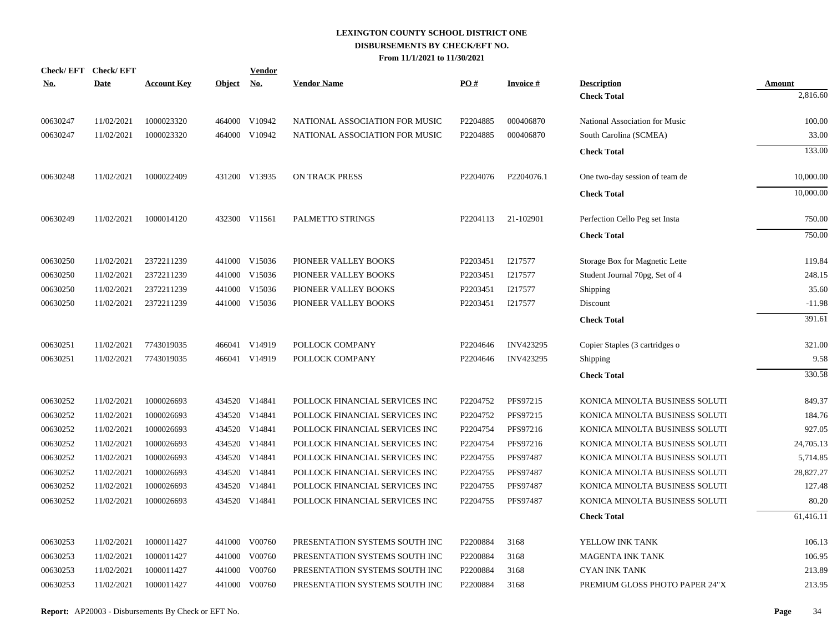| <u>No.</u> | Check/EFT Check/EFT<br>Date | <b>Account Key</b> | Object No. | <b>Vendor</b> | <b>Vendor Name</b>             | PO#      | <b>Invoice#</b> | <b>Description</b>             | Amount    |
|------------|-----------------------------|--------------------|------------|---------------|--------------------------------|----------|-----------------|--------------------------------|-----------|
|            |                             |                    |            |               |                                |          |                 | <b>Check Total</b>             | 2,816.60  |
| 00630247   | 11/02/2021                  | 1000023320         |            | 464000 V10942 | NATIONAL ASSOCIATION FOR MUSIC | P2204885 | 000406870       | National Association for Music | 100.00    |
| 00630247   | 11/02/2021                  | 1000023320         |            | 464000 V10942 | NATIONAL ASSOCIATION FOR MUSIC | P2204885 | 000406870       | South Carolina (SCMEA)         | 33.00     |
|            |                             |                    |            |               |                                |          |                 | <b>Check Total</b>             | 133.00    |
| 00630248   | 11/02/2021                  | 1000022409         |            | 431200 V13935 | ON TRACK PRESS                 | P2204076 | P2204076.1      | One two-day session of team de | 10,000.00 |
|            |                             |                    |            |               |                                |          |                 | <b>Check Total</b>             | 10,000.00 |
| 00630249   | 11/02/2021                  | 1000014120         |            | 432300 V11561 | PALMETTO STRINGS               | P2204113 | 21-102901       | Perfection Cello Peg set Insta | 750.00    |
|            |                             |                    |            |               |                                |          |                 | <b>Check Total</b>             | 750.00    |
| 00630250   | 11/02/2021                  | 2372211239         |            | 441000 V15036 | PIONEER VALLEY BOOKS           | P2203451 | I217577         | Storage Box for Magnetic Lette | 119.84    |
| 00630250   | 11/02/2021                  | 2372211239         |            | 441000 V15036 | PIONEER VALLEY BOOKS           | P2203451 | I217577         | Student Journal 70pg, Set of 4 | 248.15    |
| 00630250   | 11/02/2021                  | 2372211239         |            | 441000 V15036 | PIONEER VALLEY BOOKS           | P2203451 | I217577         | Shipping                       | 35.60     |
| 00630250   | 11/02/2021                  | 2372211239         |            | 441000 V15036 | PIONEER VALLEY BOOKS           | P2203451 | I217577         | Discount                       | $-11.98$  |
|            |                             |                    |            |               |                                |          |                 | <b>Check Total</b>             | 391.61    |
| 00630251   | 11/02/2021                  | 7743019035         |            | 466041 V14919 | POLLOCK COMPANY                | P2204646 | INV423295       | Copier Staples (3 cartridges o | 321.00    |
| 00630251   | 11/02/2021                  | 7743019035         |            | 466041 V14919 | POLLOCK COMPANY                | P2204646 | INV423295       | Shipping                       | 9.58      |
|            |                             |                    |            |               |                                |          |                 | <b>Check Total</b>             | 330.58    |
| 00630252   | 11/02/2021                  | 1000026693         |            | 434520 V14841 | POLLOCK FINANCIAL SERVICES INC | P2204752 | PFS97215        | KONICA MINOLTA BUSINESS SOLUTI | 849.37    |
| 00630252   | 11/02/2021                  | 1000026693         |            | 434520 V14841 | POLLOCK FINANCIAL SERVICES INC | P2204752 | PFS97215        | KONICA MINOLTA BUSINESS SOLUTI | 184.76    |
| 00630252   | 11/02/2021                  | 1000026693         |            | 434520 V14841 | POLLOCK FINANCIAL SERVICES INC | P2204754 | PFS97216        | KONICA MINOLTA BUSINESS SOLUTI | 927.05    |
| 00630252   | 11/02/2021                  | 1000026693         |            | 434520 V14841 | POLLOCK FINANCIAL SERVICES INC | P2204754 | PFS97216        | KONICA MINOLTA BUSINESS SOLUTI | 24,705.13 |
| 00630252   | 11/02/2021                  | 1000026693         |            | 434520 V14841 | POLLOCK FINANCIAL SERVICES INC | P2204755 | PFS97487        | KONICA MINOLTA BUSINESS SOLUTI | 5,714.85  |
| 00630252   | 11/02/2021                  | 1000026693         |            | 434520 V14841 | POLLOCK FINANCIAL SERVICES INC | P2204755 | PFS97487        | KONICA MINOLTA BUSINESS SOLUTI | 28,827.27 |
| 00630252   | 11/02/2021                  | 1000026693         |            | 434520 V14841 | POLLOCK FINANCIAL SERVICES INC | P2204755 | PFS97487        | KONICA MINOLTA BUSINESS SOLUTI | 127.48    |
| 00630252   | 11/02/2021                  | 1000026693         |            | 434520 V14841 | POLLOCK FINANCIAL SERVICES INC | P2204755 | PFS97487        | KONICA MINOLTA BUSINESS SOLUTI | 80.20     |
|            |                             |                    |            |               |                                |          |                 | <b>Check Total</b>             | 61,416.11 |
| 00630253   | 11/02/2021                  | 1000011427         |            | 441000 V00760 | PRESENTATION SYSTEMS SOUTH INC | P2200884 | 3168            | YELLOW INK TANK                | 106.13    |
| 00630253   | 11/02/2021                  | 1000011427         |            | 441000 V00760 | PRESENTATION SYSTEMS SOUTH INC | P2200884 | 3168            | <b>MAGENTA INK TANK</b>        | 106.95    |
| 00630253   | 11/02/2021                  | 1000011427         |            | 441000 V00760 | PRESENTATION SYSTEMS SOUTH INC | P2200884 | 3168            | <b>CYAN INK TANK</b>           | 213.89    |
| 00630253   | 11/02/2021                  | 1000011427         |            | 441000 V00760 | PRESENTATION SYSTEMS SOUTH INC | P2200884 | 3168            | PREMIUM GLOSS PHOTO PAPER 24"X | 213.95    |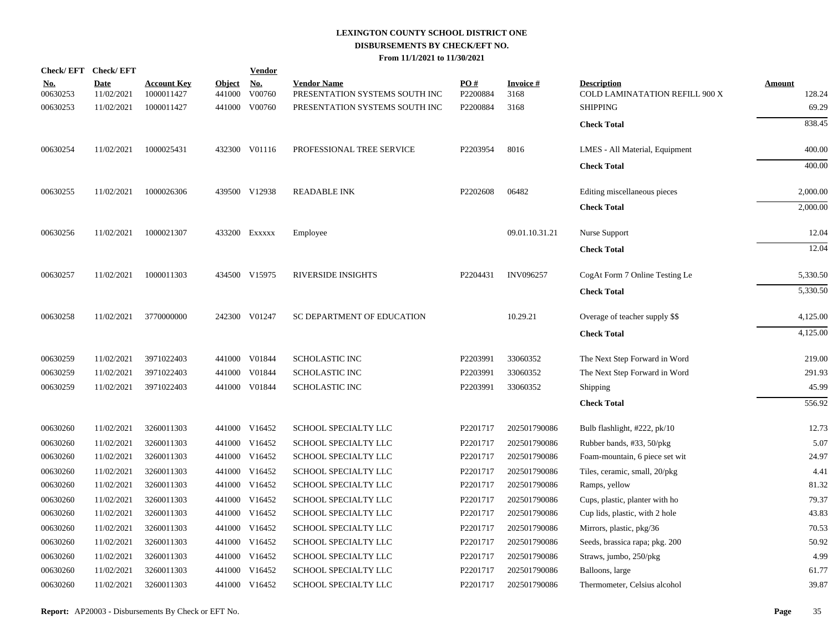|                        | Check/EFT Check/EFT       |                                  |                         | <b>Vendor</b>        |                                                      |                 |                         |                                                      |                         |
|------------------------|---------------------------|----------------------------------|-------------------------|----------------------|------------------------------------------------------|-----------------|-------------------------|------------------------------------------------------|-------------------------|
| <u>No.</u><br>00630253 | <b>Date</b><br>11/02/2021 | <b>Account Key</b><br>1000011427 | <b>Object</b><br>441000 | <u>No.</u><br>V00760 | <b>Vendor Name</b><br>PRESENTATION SYSTEMS SOUTH INC | PO#<br>P2200884 | <b>Invoice#</b><br>3168 | <b>Description</b><br>COLD LAMINATATION REFILL 900 X | <b>Amount</b><br>128.24 |
| 00630253               | 11/02/2021                | 1000011427                       |                         | 441000 V00760        | PRESENTATION SYSTEMS SOUTH INC                       | P2200884        | 3168                    | <b>SHIPPING</b>                                      | 69.29                   |
|                        |                           |                                  |                         |                      |                                                      |                 |                         | <b>Check Total</b>                                   | 838.45                  |
| 00630254               | 11/02/2021                | 1000025431                       |                         | 432300 V01116        | PROFESSIONAL TREE SERVICE                            | P2203954        | 8016                    | LMES - All Material, Equipment                       | 400.00                  |
|                        |                           |                                  |                         |                      |                                                      |                 |                         | <b>Check Total</b>                                   | 400.00                  |
| 00630255               | 11/02/2021                | 1000026306                       |                         | 439500 V12938        | <b>READABLE INK</b>                                  | P2202608        | 06482                   | Editing miscellaneous pieces                         | 2,000.00                |
|                        |                           |                                  |                         |                      |                                                      |                 |                         | <b>Check Total</b>                                   | 2,000.00                |
| 00630256               | 11/02/2021                | 1000021307                       |                         | 433200 Exxxxx        | Employee                                             |                 | 09.01.10.31.21          | Nurse Support                                        | 12.04                   |
|                        |                           |                                  |                         |                      |                                                      |                 |                         | <b>Check Total</b>                                   | 12.04                   |
| 00630257               | 11/02/2021                | 1000011303                       |                         | 434500 V15975        | <b>RIVERSIDE INSIGHTS</b>                            | P2204431        | <b>INV096257</b>        | CogAt Form 7 Online Testing Le                       | 5,330.50                |
|                        |                           |                                  |                         |                      |                                                      |                 |                         | <b>Check Total</b>                                   | 5,330.50                |
| 00630258               | 11/02/2021                | 3770000000                       |                         | 242300 V01247        | SC DEPARTMENT OF EDUCATION                           |                 | 10.29.21                | Overage of teacher supply \$\$                       | 4,125.00                |
|                        |                           |                                  |                         |                      |                                                      |                 |                         | <b>Check Total</b>                                   | 4,125.00                |
| 00630259               | 11/02/2021                | 3971022403                       |                         | 441000 V01844        | <b>SCHOLASTIC INC</b>                                | P2203991        | 33060352                | The Next Step Forward in Word                        | 219.00                  |
| 00630259               | 11/02/2021                | 3971022403                       |                         | 441000 V01844        | <b>SCHOLASTIC INC</b>                                | P2203991        | 33060352                | The Next Step Forward in Word                        | 291.93                  |
| 00630259               | 11/02/2021                | 3971022403                       |                         | 441000 V01844        | <b>SCHOLASTIC INC</b>                                | P2203991        | 33060352                | Shipping                                             | 45.99                   |
|                        |                           |                                  |                         |                      |                                                      |                 |                         | <b>Check Total</b>                                   | 556.92                  |
| 00630260               | 11/02/2021                | 3260011303                       |                         | 441000 V16452        | SCHOOL SPECIALTY LLC                                 | P2201717        | 202501790086            | Bulb flashlight, #222, pk/10                         | 12.73                   |
| 00630260               | 11/02/2021                | 3260011303                       |                         | 441000 V16452        | SCHOOL SPECIALTY LLC                                 | P2201717        | 202501790086            | Rubber bands, #33, 50/pkg                            | 5.07                    |
| 00630260               | 11/02/2021                | 3260011303                       |                         | 441000 V16452        | SCHOOL SPECIALTY LLC                                 | P2201717        | 202501790086            | Foam-mountain, 6 piece set wit                       | 24.97                   |
| 00630260               | 11/02/2021                | 3260011303                       |                         | 441000 V16452        | SCHOOL SPECIALTY LLC                                 | P2201717        | 202501790086            | Tiles, ceramic, small, 20/pkg                        | 4.41                    |
| 00630260               | 11/02/2021                | 3260011303                       |                         | 441000 V16452        | SCHOOL SPECIALTY LLC                                 | P2201717        | 202501790086            | Ramps, yellow                                        | 81.32                   |
| 00630260               | 11/02/2021                | 3260011303                       |                         | 441000 V16452        | SCHOOL SPECIALTY LLC                                 | P2201717        | 202501790086            | Cups, plastic, planter with ho                       | 79.37                   |
| 00630260               | 11/02/2021                | 3260011303                       |                         | 441000 V16452        | SCHOOL SPECIALTY LLC                                 | P2201717        | 202501790086            | Cup lids, plastic, with 2 hole                       | 43.83                   |
| 00630260               | 11/02/2021                | 3260011303                       |                         | 441000 V16452        | SCHOOL SPECIALTY LLC                                 | P2201717        | 202501790086            | Mirrors, plastic, pkg/36                             | 70.53                   |
| 00630260               | 11/02/2021                | 3260011303                       |                         | 441000 V16452        | SCHOOL SPECIALTY LLC                                 | P2201717        | 202501790086            | Seeds, brassica rapa; pkg. 200                       | 50.92                   |
| 00630260               | 11/02/2021                | 3260011303                       |                         | 441000 V16452        | SCHOOL SPECIALTY LLC                                 | P2201717        | 202501790086            | Straws, jumbo, 250/pkg                               | 4.99                    |
| 00630260               | 11/02/2021                | 3260011303                       |                         | 441000 V16452        | SCHOOL SPECIALTY LLC                                 | P2201717        | 202501790086            | Balloons, large                                      | 61.77                   |
| 00630260               | 11/02/2021                | 3260011303                       |                         | 441000 V16452        | SCHOOL SPECIALTY LLC                                 | P2201717        | 202501790086            | Thermometer, Celsius alcohol                         | 39.87                   |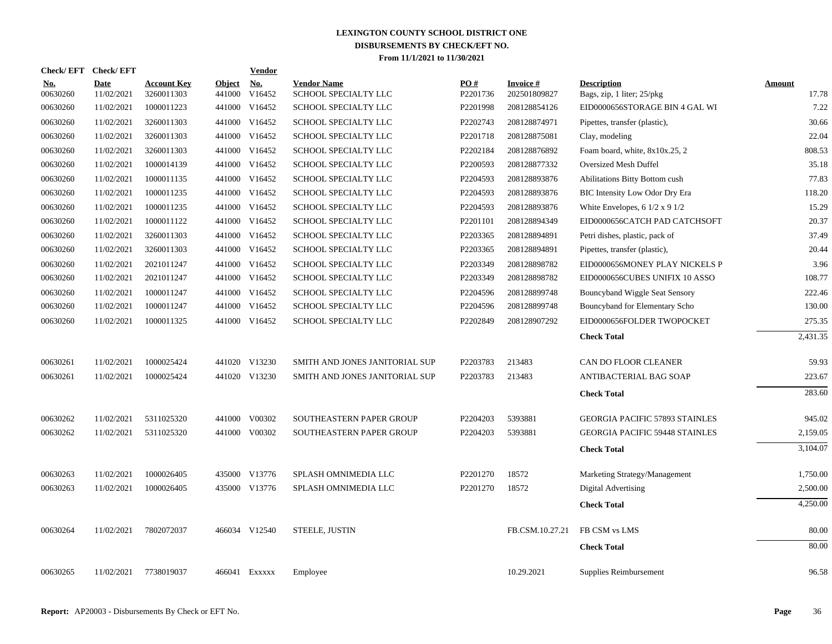| Check/ EFT             | <b>Check/EFT</b>          |                                  |                         | <b>Vendor</b>        |                                            |                 |                                 |                                                       |                        |
|------------------------|---------------------------|----------------------------------|-------------------------|----------------------|--------------------------------------------|-----------------|---------------------------------|-------------------------------------------------------|------------------------|
| <u>No.</u><br>00630260 | <b>Date</b><br>11/02/2021 | <b>Account Key</b><br>3260011303 | <b>Object</b><br>441000 | <b>No.</b><br>V16452 | <b>Vendor Name</b><br>SCHOOL SPECIALTY LLC | PO#<br>P2201736 | <b>Invoice#</b><br>202501809827 | <b>Description</b><br>Bags, zip, 1 liter; 25/pkg      | <b>Amount</b><br>17.78 |
| 00630260               | 11/02/2021                | 1000011223                       |                         | 441000 V16452        | SCHOOL SPECIALTY LLC                       | P2201998        | 208128854126                    | EID0000656STORAGE BIN 4 GAL WI                        | 7.22                   |
| 00630260               | 11/02/2021                | 3260011303                       |                         | 441000 V16452        | SCHOOL SPECIALTY LLC                       | P2202743        | 208128874971                    | Pipettes, transfer (plastic),                         | 30.66                  |
| 00630260               | 11/02/2021                | 3260011303                       |                         | 441000 V16452        | SCHOOL SPECIALTY LLC                       | P2201718        | 208128875081                    | Clay, modeling                                        | 22.04                  |
| 00630260               | 11/02/2021                | 3260011303                       |                         | 441000 V16452        | SCHOOL SPECIALTY LLC                       | P2202184        | 208128876892                    | Foam board, white, 8x10x.25, 2                        | 808.53                 |
| 00630260               | 11/02/2021                | 1000014139                       |                         | 441000 V16452        | SCHOOL SPECIALTY LLC                       | P2200593        | 208128877332                    | <b>Oversized Mesh Duffel</b>                          | 35.18                  |
| 00630260               | 11/02/2021                | 1000011135                       |                         | 441000 V16452        | SCHOOL SPECIALTY LLC                       | P2204593        | 208128893876                    | Abilitations Bitty Bottom cush                        | 77.83                  |
| 00630260               | 11/02/2021                | 1000011235                       |                         | 441000 V16452        | SCHOOL SPECIALTY LLC                       | P2204593        | 208128893876                    | <b>BIC Intensity Low Odor Dry Era</b>                 | 118.20                 |
| 00630260               | 11/02/2021                | 1000011235                       |                         | 441000 V16452        | SCHOOL SPECIALTY LLC                       | P2204593        | 208128893876                    | White Envelopes, $6 \frac{1}{2} \times 9 \frac{1}{2}$ | 15.29                  |
| 00630260               | 11/02/2021                | 1000011122                       |                         | 441000 V16452        | SCHOOL SPECIALTY LLC                       | P2201101        | 208128894349                    | EID0000656CATCH PAD CATCHSOFT                         | 20.37                  |
| 00630260               | 11/02/2021                | 3260011303                       |                         | 441000 V16452        | SCHOOL SPECIALTY LLC                       | P2203365        | 208128894891                    | Petri dishes, plastic, pack of                        | 37.49                  |
| 00630260               | 11/02/2021                | 3260011303                       |                         | 441000 V16452        | SCHOOL SPECIALTY LLC                       | P2203365        | 208128894891                    | Pipettes, transfer (plastic),                         | 20.44                  |
| 00630260               | 11/02/2021                | 2021011247                       |                         | 441000 V16452        | SCHOOL SPECIALTY LLC                       | P2203349        | 208128898782                    | EID0000656MONEY PLAY NICKELS P                        | 3.96                   |
| 00630260               | 11/02/2021                | 2021011247                       |                         | 441000 V16452        | SCHOOL SPECIALTY LLC                       | P2203349        | 208128898782                    | EID0000656CUBES UNIFIX 10 ASSO                        | 108.77                 |
| 00630260               | 11/02/2021                | 1000011247                       |                         | 441000 V16452        | SCHOOL SPECIALTY LLC                       | P2204596        | 208128899748                    | Bouncyband Wiggle Seat Sensory                        | 222.46                 |
| 00630260               | 11/02/2021                | 1000011247                       |                         | 441000 V16452        | SCHOOL SPECIALTY LLC                       | P2204596        | 208128899748                    | Bouncyband for Elementary Scho                        | 130.00                 |
| 00630260               | 11/02/2021                | 1000011325                       |                         | 441000 V16452        | SCHOOL SPECIALTY LLC                       | P2202849        | 208128907292                    | EID0000656FOLDER TWOPOCKET                            | 275.35                 |
|                        |                           |                                  |                         |                      |                                            |                 |                                 | <b>Check Total</b>                                    | 2,431.35               |
| 00630261               | 11/02/2021                | 1000025424                       |                         | 441020 V13230        | SMITH AND JONES JANITORIAL SUP             | P2203783        | 213483                          | CAN DO FLOOR CLEANER                                  | 59.93                  |
| 00630261               | 11/02/2021                | 1000025424                       |                         | 441020 V13230        | SMITH AND JONES JANITORIAL SUP             | P2203783        | 213483                          | ANTIBACTERIAL BAG SOAP                                | 223.67                 |
|                        |                           |                                  |                         |                      |                                            |                 |                                 | <b>Check Total</b>                                    | 283.60                 |
| 00630262               | 11/02/2021                | 5311025320                       |                         | 441000 V00302        | SOUTHEASTERN PAPER GROUP                   | P2204203        | 5393881                         | <b>GEORGIA PACIFIC 57893 STAINLES</b>                 | 945.02                 |
| 00630262               | 11/02/2021                | 5311025320                       |                         | 441000 V00302        | SOUTHEASTERN PAPER GROUP                   | P2204203        | 5393881                         | <b>GEORGIA PACIFIC 59448 STAINLES</b>                 | 2,159.05               |
|                        |                           |                                  |                         |                      |                                            |                 |                                 | <b>Check Total</b>                                    | 3,104.07               |
| 00630263               | 11/02/2021                | 1000026405                       |                         | 435000 V13776        | SPLASH OMNIMEDIA LLC                       | P2201270        | 18572                           | Marketing Strategy/Management                         | 1,750.00               |
| 00630263               | 11/02/2021                | 1000026405                       |                         | 435000 V13776        | SPLASH OMNIMEDIA LLC                       | P2201270        | 18572                           | <b>Digital Advertising</b>                            | 2,500.00               |
|                        |                           |                                  |                         |                      |                                            |                 |                                 | <b>Check Total</b>                                    | 4,250.00               |
| 00630264               | 11/02/2021                | 7802072037                       |                         | 466034 V12540        | STEELE, JUSTIN                             |                 | FB.CSM.10.27.21                 | FB CSM vs LMS                                         | 80.00                  |
|                        |                           |                                  |                         |                      |                                            |                 |                                 | <b>Check Total</b>                                    | 80.00                  |
| 00630265               | 11/02/2021                | 7738019037                       |                         | 466041 Exxxxx        | Employee                                   |                 | 10.29.2021                      | Supplies Reimbursement                                | 96.58                  |
|                        |                           |                                  |                         |                      |                                            |                 |                                 |                                                       |                        |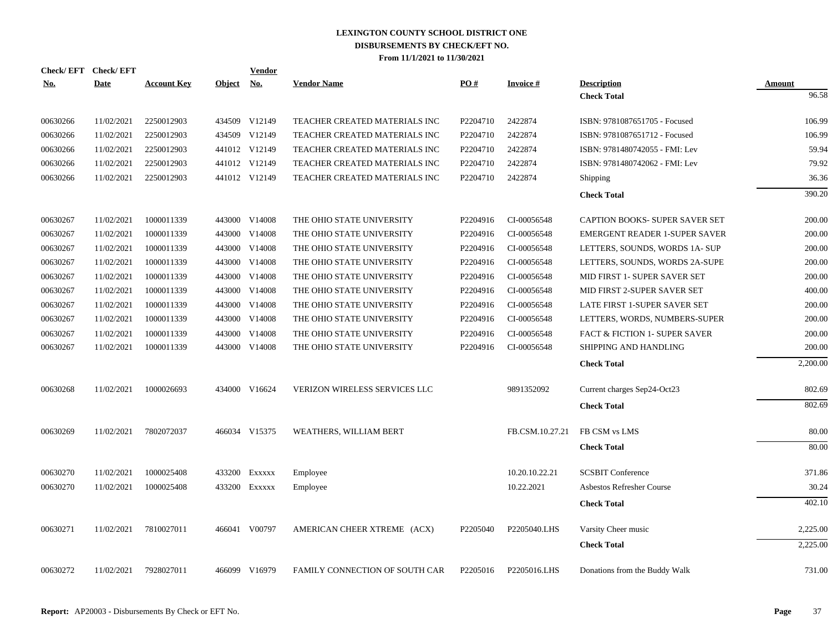| <b>Check/EFT</b> | <b>Check/EFT</b> |                    |        | <b>Vendor</b> |                                       |          |                 |                                      |                 |
|------------------|------------------|--------------------|--------|---------------|---------------------------------------|----------|-----------------|--------------------------------------|-----------------|
| <u>No.</u>       | <b>Date</b>      | <b>Account Key</b> | Object | <b>No.</b>    | <b>Vendor Name</b>                    | PO#      | <b>Invoice#</b> | <b>Description</b>                   | Amount<br>96.58 |
|                  |                  |                    |        |               |                                       |          |                 | <b>Check Total</b>                   |                 |
| 00630266         | 11/02/2021       | 2250012903         |        | 434509 V12149 | TEACHER CREATED MATERIALS INC         | P2204710 | 2422874         | ISBN: 9781087651705 - Focused        | 106.99          |
| 00630266         | 11/02/2021       | 2250012903         |        | 434509 V12149 | TEACHER CREATED MATERIALS INC         | P2204710 | 2422874         | ISBN: 9781087651712 - Focused        | 106.99          |
| 00630266         | 11/02/2021       | 2250012903         |        | 441012 V12149 | TEACHER CREATED MATERIALS INC         | P2204710 | 2422874         | ISBN: 9781480742055 - FMI: Lev       | 59.94           |
| 00630266         | 11/02/2021       | 2250012903         |        | 441012 V12149 | TEACHER CREATED MATERIALS INC         | P2204710 | 2422874         | ISBN: 9781480742062 - FMI: Lev       | 79.92           |
| 00630266         | 11/02/2021       | 2250012903         |        | 441012 V12149 | TEACHER CREATED MATERIALS INC         | P2204710 | 2422874         | Shipping                             | 36.36           |
|                  |                  |                    |        |               |                                       |          |                 | <b>Check Total</b>                   | 390.20          |
| 00630267         | 11/02/2021       | 1000011339         |        | 443000 V14008 | THE OHIO STATE UNIVERSITY             | P2204916 | CI-00056548     | CAPTION BOOKS- SUPER SAVER SET       | 200.00          |
| 00630267         | 11/02/2021       | 1000011339         |        | 443000 V14008 | THE OHIO STATE UNIVERSITY             | P2204916 | CI-00056548     | <b>EMERGENT READER 1-SUPER SAVER</b> | 200.00          |
| 00630267         | 11/02/2021       | 1000011339         |        | 443000 V14008 | THE OHIO STATE UNIVERSITY             | P2204916 | CI-00056548     | LETTERS, SOUNDS, WORDS 1A-SUP        | 200.00          |
| 00630267         | 11/02/2021       | 1000011339         |        | 443000 V14008 | THE OHIO STATE UNIVERSITY             | P2204916 | CI-00056548     | LETTERS, SOUNDS, WORDS 2A-SUPE       | 200.00          |
| 00630267         | 11/02/2021       | 1000011339         |        | 443000 V14008 | THE OHIO STATE UNIVERSITY             | P2204916 | CI-00056548     | MID FIRST 1- SUPER SAVER SET         | 200.00          |
| 00630267         | 11/02/2021       | 1000011339         | 443000 | V14008        | THE OHIO STATE UNIVERSITY             | P2204916 | CI-00056548     | MID FIRST 2-SUPER SAVER SET          | 400.00          |
| 00630267         | 11/02/2021       | 1000011339         |        | 443000 V14008 | THE OHIO STATE UNIVERSITY             | P2204916 | CI-00056548     | LATE FIRST 1-SUPER SAVER SET         | 200.00          |
| 00630267         | 11/02/2021       | 1000011339         |        | 443000 V14008 | THE OHIO STATE UNIVERSITY             | P2204916 | CI-00056548     | LETTERS, WORDS, NUMBERS-SUPER        | 200.00          |
| 00630267         | 11/02/2021       | 1000011339         | 443000 | V14008        | THE OHIO STATE UNIVERSITY             | P2204916 | CI-00056548     | FACT & FICTION 1- SUPER SAVER        | 200.00          |
| 00630267         | 11/02/2021       | 1000011339         |        | 443000 V14008 | THE OHIO STATE UNIVERSITY             | P2204916 | CI-00056548     | SHIPPING AND HANDLING                | 200.00          |
|                  |                  |                    |        |               |                                       |          |                 | <b>Check Total</b>                   | 2,200.00        |
|                  |                  |                    |        |               |                                       |          |                 |                                      |                 |
| 00630268         | 11/02/2021       | 1000026693         |        | 434000 V16624 | VERIZON WIRELESS SERVICES LLC         |          | 9891352092      | Current charges Sep24-Oct23          | 802.69          |
|                  |                  |                    |        |               |                                       |          |                 | <b>Check Total</b>                   | 802.69          |
| 00630269         | 11/02/2021       | 7802072037         |        | 466034 V15375 | WEATHERS, WILLIAM BERT                |          | FB.CSM.10.27.21 | FB CSM vs LMS                        | 80.00           |
|                  |                  |                    |        |               |                                       |          |                 | <b>Check Total</b>                   | 80.00           |
|                  |                  |                    |        |               |                                       |          |                 |                                      |                 |
| 00630270         | 11/02/2021       | 1000025408         |        | 433200 Exxxxx | Employee                              |          | 10.20.10.22.21  | <b>SCSBIT Conference</b>             | 371.86          |
| 00630270         | 11/02/2021       | 1000025408         |        | 433200 EXXXXX | Employee                              |          | 10.22.2021      | <b>Asbestos Refresher Course</b>     | 30.24           |
|                  |                  |                    |        |               |                                       |          |                 | <b>Check Total</b>                   | 402.10          |
| 00630271         | 11/02/2021       | 7810027011         |        | 466041 V00797 | AMERICAN CHEER XTREME (ACX)           | P2205040 | P2205040.LHS    | Varsity Cheer music                  | 2,225.00        |
|                  |                  |                    |        |               |                                       |          |                 | <b>Check Total</b>                   | 2,225.00        |
|                  |                  |                    |        |               |                                       |          |                 |                                      |                 |
| 00630272         | 11/02/2021       | 7928027011         |        | 466099 V16979 | <b>FAMILY CONNECTION OF SOUTH CAR</b> | P2205016 | P2205016.LHS    | Donations from the Buddy Walk        | 731.00          |
|                  |                  |                    |        |               |                                       |          |                 |                                      |                 |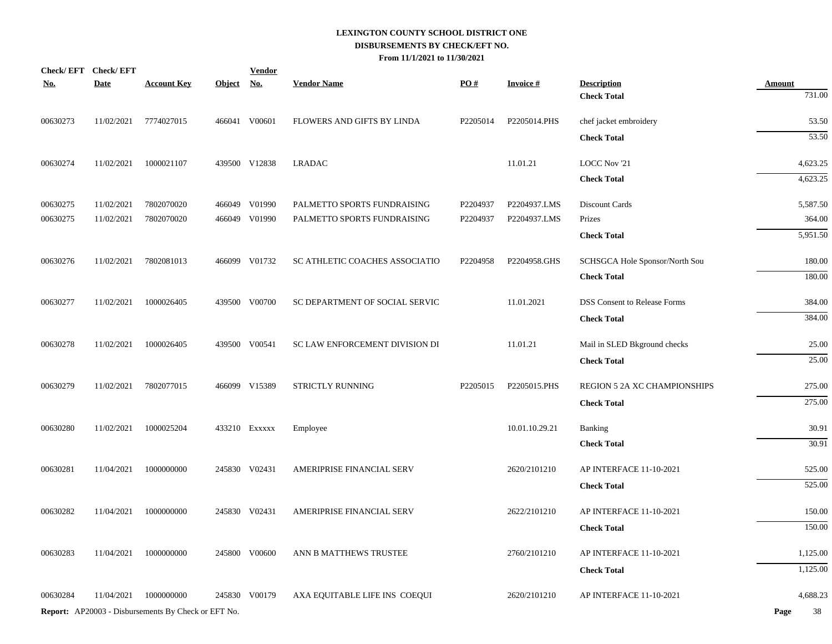| <b>Check Total</b><br>466041 V00601<br>00630273<br>11/02/2021<br>7774027015<br>FLOWERS AND GIFTS BY LINDA<br>P2205014<br>P2205014.PHS<br>chef jacket embroidery<br><b>Check Total</b><br>11.01.21<br>00630274<br>1000021107<br>439500 V12838<br><b>LRADAC</b><br>LOCC Nov '21<br>11/02/2021<br><b>Check Total</b><br>00630275<br>7802070020<br>466049 V01990<br>PALMETTO SPORTS FUNDRAISING<br>P2204937.LMS<br>Discount Cards<br>11/02/2021<br>P2204937<br>00630275<br>11/02/2021<br>7802070020<br>466049 V01990<br>PALMETTO SPORTS FUNDRAISING<br>P2204937<br>P2204937.LMS<br>Prizes<br><b>Check Total</b><br>00630276<br>7802081013<br>466099 V01732<br>11/02/2021<br>SC ATHLETIC COACHES ASSOCIATIO<br>P2204958<br>P2204958.GHS<br>SCHSGCA Hole Sponsor/North Sou<br><b>Check Total</b><br>00630277<br>1000026405<br>439500 V00700<br>11.01.2021<br><b>DSS Consent to Release Forms</b><br>11/02/2021<br>SC DEPARTMENT OF SOCIAL SERVIC<br><b>Check Total</b><br>00630278<br>439500 V00541<br>SC LAW ENFORCEMENT DIVISION DI<br>11.01.21<br>Mail in SLED Bkground checks<br>11/02/2021<br>1000026405<br><b>Check Total</b><br>P2205015.PHS<br>00630279<br>11/02/2021<br>7802077015<br>466099 V15389<br>STRICTLY RUNNING<br>P2205015<br><b>REGION 5 2A XC CHAMPIONSHIPS</b><br><b>Check Total</b><br>00630280<br>1000025204<br>10.01.10.29.21<br>11/02/2021<br>433210 EXXXXX<br>Employee<br>Banking<br><b>Check Total</b><br>00630281<br>11/04/2021<br>1000000000<br>245830 V02431<br>AMERIPRISE FINANCIAL SERV<br>2620/2101210<br>AP INTERFACE 11-10-2021<br><b>Check Total</b><br>245830 V02431<br>AMERIPRISE FINANCIAL SERV<br>00630282<br>11/04/2021<br>1000000000<br>2622/2101210<br>AP INTERFACE 11-10-2021<br><b>Check Total</b><br>00630283<br>11/04/2021<br>1000000000<br>245800 V00600<br>ANN B MATTHEWS TRUSTEE<br>2760/2101210<br>AP INTERFACE 11-10-2021<br><b>Check Total</b><br>00630284<br>11/04/2021<br>1000000000<br>245830 V00179<br>2620/2101210<br>AP INTERFACE 11-10-2021<br>AXA EQUITABLE LIFE INS COEQUI<br>Report: AP20003 - Disbursements By Check or EFT No. | <u>No.</u> | Check/EFT Check/EFT<br><b>Date</b> | <b>Account Key</b> | Object No. | <b>Vendor</b> | <b>Vendor Name</b> | PQ# | <b>Invoice#</b> | <b>Description</b> | <b>Amount</b> |
|-------------------------------------------------------------------------------------------------------------------------------------------------------------------------------------------------------------------------------------------------------------------------------------------------------------------------------------------------------------------------------------------------------------------------------------------------------------------------------------------------------------------------------------------------------------------------------------------------------------------------------------------------------------------------------------------------------------------------------------------------------------------------------------------------------------------------------------------------------------------------------------------------------------------------------------------------------------------------------------------------------------------------------------------------------------------------------------------------------------------------------------------------------------------------------------------------------------------------------------------------------------------------------------------------------------------------------------------------------------------------------------------------------------------------------------------------------------------------------------------------------------------------------------------------------------------------------------------------------------------------------------------------------------------------------------------------------------------------------------------------------------------------------------------------------------------------------------------------------------------------------------------------------------------------------------------------------------------------------------------------------------------------------------------------------------------------------------------|------------|------------------------------------|--------------------|------------|---------------|--------------------|-----|-----------------|--------------------|---------------|
|                                                                                                                                                                                                                                                                                                                                                                                                                                                                                                                                                                                                                                                                                                                                                                                                                                                                                                                                                                                                                                                                                                                                                                                                                                                                                                                                                                                                                                                                                                                                                                                                                                                                                                                                                                                                                                                                                                                                                                                                                                                                                           |            |                                    |                    |            |               |                    |     |                 |                    | 731.00        |
|                                                                                                                                                                                                                                                                                                                                                                                                                                                                                                                                                                                                                                                                                                                                                                                                                                                                                                                                                                                                                                                                                                                                                                                                                                                                                                                                                                                                                                                                                                                                                                                                                                                                                                                                                                                                                                                                                                                                                                                                                                                                                           |            |                                    |                    |            |               |                    |     |                 |                    | 53.50         |
|                                                                                                                                                                                                                                                                                                                                                                                                                                                                                                                                                                                                                                                                                                                                                                                                                                                                                                                                                                                                                                                                                                                                                                                                                                                                                                                                                                                                                                                                                                                                                                                                                                                                                                                                                                                                                                                                                                                                                                                                                                                                                           |            |                                    |                    |            |               |                    |     |                 |                    | 53.50         |
|                                                                                                                                                                                                                                                                                                                                                                                                                                                                                                                                                                                                                                                                                                                                                                                                                                                                                                                                                                                                                                                                                                                                                                                                                                                                                                                                                                                                                                                                                                                                                                                                                                                                                                                                                                                                                                                                                                                                                                                                                                                                                           |            |                                    |                    |            |               |                    |     |                 |                    | 4,623.25      |
|                                                                                                                                                                                                                                                                                                                                                                                                                                                                                                                                                                                                                                                                                                                                                                                                                                                                                                                                                                                                                                                                                                                                                                                                                                                                                                                                                                                                                                                                                                                                                                                                                                                                                                                                                                                                                                                                                                                                                                                                                                                                                           |            |                                    |                    |            |               |                    |     |                 |                    | 4,623.25      |
|                                                                                                                                                                                                                                                                                                                                                                                                                                                                                                                                                                                                                                                                                                                                                                                                                                                                                                                                                                                                                                                                                                                                                                                                                                                                                                                                                                                                                                                                                                                                                                                                                                                                                                                                                                                                                                                                                                                                                                                                                                                                                           |            |                                    |                    |            |               |                    |     |                 |                    | 5,587.50      |
|                                                                                                                                                                                                                                                                                                                                                                                                                                                                                                                                                                                                                                                                                                                                                                                                                                                                                                                                                                                                                                                                                                                                                                                                                                                                                                                                                                                                                                                                                                                                                                                                                                                                                                                                                                                                                                                                                                                                                                                                                                                                                           |            |                                    |                    |            |               |                    |     |                 |                    | 364.00        |
|                                                                                                                                                                                                                                                                                                                                                                                                                                                                                                                                                                                                                                                                                                                                                                                                                                                                                                                                                                                                                                                                                                                                                                                                                                                                                                                                                                                                                                                                                                                                                                                                                                                                                                                                                                                                                                                                                                                                                                                                                                                                                           |            |                                    |                    |            |               |                    |     |                 |                    | 5,951.50      |
|                                                                                                                                                                                                                                                                                                                                                                                                                                                                                                                                                                                                                                                                                                                                                                                                                                                                                                                                                                                                                                                                                                                                                                                                                                                                                                                                                                                                                                                                                                                                                                                                                                                                                                                                                                                                                                                                                                                                                                                                                                                                                           |            |                                    |                    |            |               |                    |     |                 |                    | 180.00        |
|                                                                                                                                                                                                                                                                                                                                                                                                                                                                                                                                                                                                                                                                                                                                                                                                                                                                                                                                                                                                                                                                                                                                                                                                                                                                                                                                                                                                                                                                                                                                                                                                                                                                                                                                                                                                                                                                                                                                                                                                                                                                                           |            |                                    |                    |            |               |                    |     |                 |                    | 180.00        |
|                                                                                                                                                                                                                                                                                                                                                                                                                                                                                                                                                                                                                                                                                                                                                                                                                                                                                                                                                                                                                                                                                                                                                                                                                                                                                                                                                                                                                                                                                                                                                                                                                                                                                                                                                                                                                                                                                                                                                                                                                                                                                           |            |                                    |                    |            |               |                    |     |                 |                    | 384.00        |
|                                                                                                                                                                                                                                                                                                                                                                                                                                                                                                                                                                                                                                                                                                                                                                                                                                                                                                                                                                                                                                                                                                                                                                                                                                                                                                                                                                                                                                                                                                                                                                                                                                                                                                                                                                                                                                                                                                                                                                                                                                                                                           |            |                                    |                    |            |               |                    |     |                 |                    | 384.00        |
|                                                                                                                                                                                                                                                                                                                                                                                                                                                                                                                                                                                                                                                                                                                                                                                                                                                                                                                                                                                                                                                                                                                                                                                                                                                                                                                                                                                                                                                                                                                                                                                                                                                                                                                                                                                                                                                                                                                                                                                                                                                                                           |            |                                    |                    |            |               |                    |     |                 |                    | 25.00         |
|                                                                                                                                                                                                                                                                                                                                                                                                                                                                                                                                                                                                                                                                                                                                                                                                                                                                                                                                                                                                                                                                                                                                                                                                                                                                                                                                                                                                                                                                                                                                                                                                                                                                                                                                                                                                                                                                                                                                                                                                                                                                                           |            |                                    |                    |            |               |                    |     |                 |                    | 25.00         |
|                                                                                                                                                                                                                                                                                                                                                                                                                                                                                                                                                                                                                                                                                                                                                                                                                                                                                                                                                                                                                                                                                                                                                                                                                                                                                                                                                                                                                                                                                                                                                                                                                                                                                                                                                                                                                                                                                                                                                                                                                                                                                           |            |                                    |                    |            |               |                    |     |                 |                    | 275.00        |
|                                                                                                                                                                                                                                                                                                                                                                                                                                                                                                                                                                                                                                                                                                                                                                                                                                                                                                                                                                                                                                                                                                                                                                                                                                                                                                                                                                                                                                                                                                                                                                                                                                                                                                                                                                                                                                                                                                                                                                                                                                                                                           |            |                                    |                    |            |               |                    |     |                 |                    | 275.00        |
|                                                                                                                                                                                                                                                                                                                                                                                                                                                                                                                                                                                                                                                                                                                                                                                                                                                                                                                                                                                                                                                                                                                                                                                                                                                                                                                                                                                                                                                                                                                                                                                                                                                                                                                                                                                                                                                                                                                                                                                                                                                                                           |            |                                    |                    |            |               |                    |     |                 |                    | 30.91         |
|                                                                                                                                                                                                                                                                                                                                                                                                                                                                                                                                                                                                                                                                                                                                                                                                                                                                                                                                                                                                                                                                                                                                                                                                                                                                                                                                                                                                                                                                                                                                                                                                                                                                                                                                                                                                                                                                                                                                                                                                                                                                                           |            |                                    |                    |            |               |                    |     |                 |                    | 30.91         |
|                                                                                                                                                                                                                                                                                                                                                                                                                                                                                                                                                                                                                                                                                                                                                                                                                                                                                                                                                                                                                                                                                                                                                                                                                                                                                                                                                                                                                                                                                                                                                                                                                                                                                                                                                                                                                                                                                                                                                                                                                                                                                           |            |                                    |                    |            |               |                    |     |                 |                    | 525.00        |
|                                                                                                                                                                                                                                                                                                                                                                                                                                                                                                                                                                                                                                                                                                                                                                                                                                                                                                                                                                                                                                                                                                                                                                                                                                                                                                                                                                                                                                                                                                                                                                                                                                                                                                                                                                                                                                                                                                                                                                                                                                                                                           |            |                                    |                    |            |               |                    |     |                 |                    | 525.00        |
|                                                                                                                                                                                                                                                                                                                                                                                                                                                                                                                                                                                                                                                                                                                                                                                                                                                                                                                                                                                                                                                                                                                                                                                                                                                                                                                                                                                                                                                                                                                                                                                                                                                                                                                                                                                                                                                                                                                                                                                                                                                                                           |            |                                    |                    |            |               |                    |     |                 |                    | 150.00        |
|                                                                                                                                                                                                                                                                                                                                                                                                                                                                                                                                                                                                                                                                                                                                                                                                                                                                                                                                                                                                                                                                                                                                                                                                                                                                                                                                                                                                                                                                                                                                                                                                                                                                                                                                                                                                                                                                                                                                                                                                                                                                                           |            |                                    |                    |            |               |                    |     |                 |                    | 150.00        |
|                                                                                                                                                                                                                                                                                                                                                                                                                                                                                                                                                                                                                                                                                                                                                                                                                                                                                                                                                                                                                                                                                                                                                                                                                                                                                                                                                                                                                                                                                                                                                                                                                                                                                                                                                                                                                                                                                                                                                                                                                                                                                           |            |                                    |                    |            |               |                    |     |                 |                    | 1,125.00      |
|                                                                                                                                                                                                                                                                                                                                                                                                                                                                                                                                                                                                                                                                                                                                                                                                                                                                                                                                                                                                                                                                                                                                                                                                                                                                                                                                                                                                                                                                                                                                                                                                                                                                                                                                                                                                                                                                                                                                                                                                                                                                                           |            |                                    |                    |            |               |                    |     |                 |                    | 1,125.00      |
|                                                                                                                                                                                                                                                                                                                                                                                                                                                                                                                                                                                                                                                                                                                                                                                                                                                                                                                                                                                                                                                                                                                                                                                                                                                                                                                                                                                                                                                                                                                                                                                                                                                                                                                                                                                                                                                                                                                                                                                                                                                                                           |            |                                    |                    |            |               |                    |     |                 |                    | 4,688.23      |
|                                                                                                                                                                                                                                                                                                                                                                                                                                                                                                                                                                                                                                                                                                                                                                                                                                                                                                                                                                                                                                                                                                                                                                                                                                                                                                                                                                                                                                                                                                                                                                                                                                                                                                                                                                                                                                                                                                                                                                                                                                                                                           |            |                                    |                    |            |               |                    |     |                 |                    | 38<br>Page    |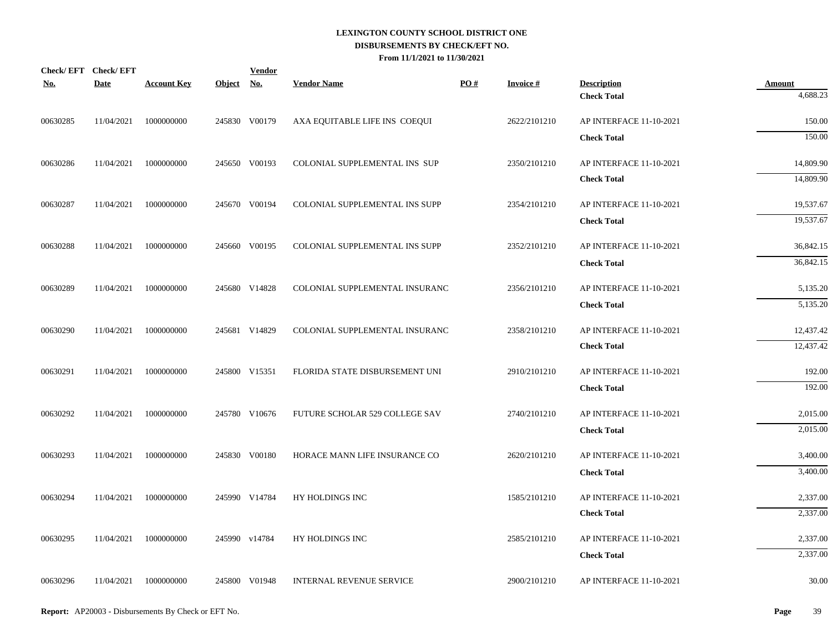| <b>No.</b> | Check/EFT Check/EFT<br><b>Date</b> | <b>Account Key</b> | Object No. | <b>Vendor</b> | <b>Vendor Name</b>             | PO# | <b>Invoice#</b> | <b>Description</b>                            | <b>Amount</b>        |
|------------|------------------------------------|--------------------|------------|---------------|--------------------------------|-----|-----------------|-----------------------------------------------|----------------------|
|            |                                    |                    |            |               |                                |     |                 | <b>Check Total</b>                            | 4,688.23             |
| 00630285   | 11/04/2021                         | 1000000000         |            | 245830 V00179 | AXA EQUITABLE LIFE INS COEQUI  |     | 2622/2101210    | AP INTERFACE 11-10-2021                       | 150.00               |
|            |                                    |                    |            |               |                                |     |                 | <b>Check Total</b>                            | 150.00               |
| 00630286   | 11/04/2021                         | 1000000000         |            | 245650 V00193 | COLONIAL SUPPLEMENTAL INS SUP  |     | 2350/2101210    | AP INTERFACE 11-10-2021                       | 14,809.90            |
|            |                                    |                    |            |               |                                |     |                 | <b>Check Total</b>                            | 14,809.90            |
| 00630287   | 11/04/2021                         | 1000000000         |            | 245670 V00194 | COLONIAL SUPPLEMENTAL INS SUPP |     | 2354/2101210    | AP INTERFACE 11-10-2021                       | 19,537.67            |
|            |                                    |                    |            |               |                                |     |                 | <b>Check Total</b>                            | 19,537.67            |
| 00630288   | 11/04/2021                         | 1000000000         |            | 245660 V00195 | COLONIAL SUPPLEMENTAL INS SUPP |     | 2352/2101210    | AP INTERFACE 11-10-2021                       | 36,842.15            |
|            |                                    |                    |            |               |                                |     |                 | <b>Check Total</b>                            | 36,842.15            |
| 00630289   | 11/04/2021                         | 1000000000         |            | 245680 V14828 | COLONIAL SUPPLEMENTAL INSURANC |     | 2356/2101210    | AP INTERFACE 11-10-2021                       | 5,135.20             |
|            |                                    |                    |            |               |                                |     |                 | <b>Check Total</b>                            | 5,135.20             |
| 00630290   | 11/04/2021                         | 1000000000         |            | 245681 V14829 | COLONIAL SUPPLEMENTAL INSURANC |     | 2358/2101210    | AP INTERFACE 11-10-2021                       | 12,437.42            |
|            |                                    |                    |            |               |                                |     |                 | <b>Check Total</b>                            | 12,437.42            |
|            |                                    |                    |            |               |                                |     |                 |                                               |                      |
| 00630291   | 11/04/2021                         | 1000000000         |            | 245800 V15351 | FLORIDA STATE DISBURSEMENT UNI |     | 2910/2101210    | AP INTERFACE 11-10-2021<br><b>Check Total</b> | 192.00<br>192.00     |
|            |                                    |                    |            |               |                                |     |                 |                                               |                      |
| 00630292   | 11/04/2021                         | 1000000000         |            | 245780 V10676 | FUTURE SCHOLAR 529 COLLEGE SAV |     | 2740/2101210    | AP INTERFACE 11-10-2021                       | 2,015.00<br>2,015.00 |
|            |                                    |                    |            |               |                                |     |                 | <b>Check Total</b>                            |                      |
| 00630293   | 11/04/2021                         | 1000000000         |            | 245830 V00180 | HORACE MANN LIFE INSURANCE CO  |     | 2620/2101210    | AP INTERFACE 11-10-2021                       | 3,400.00             |
|            |                                    |                    |            |               |                                |     |                 | <b>Check Total</b>                            | 3,400.00             |
| 00630294   | 11/04/2021                         | 1000000000         |            | 245990 V14784 | HY HOLDINGS INC                |     | 1585/2101210    | AP INTERFACE 11-10-2021                       | 2,337.00             |
|            |                                    |                    |            |               |                                |     |                 | <b>Check Total</b>                            | 2,337.00             |
| 00630295   | 11/04/2021                         | 1000000000         |            | 245990 v14784 | HY HOLDINGS INC                |     | 2585/2101210    | AP INTERFACE 11-10-2021                       | 2,337.00             |
|            |                                    |                    |            |               |                                |     |                 | <b>Check Total</b>                            | 2,337.00             |
| 00630296   | 11/04/2021                         | 1000000000         |            | 245800 V01948 | INTERNAL REVENUE SERVICE       |     | 2900/2101210    | AP INTERFACE 11-10-2021                       | 30.00                |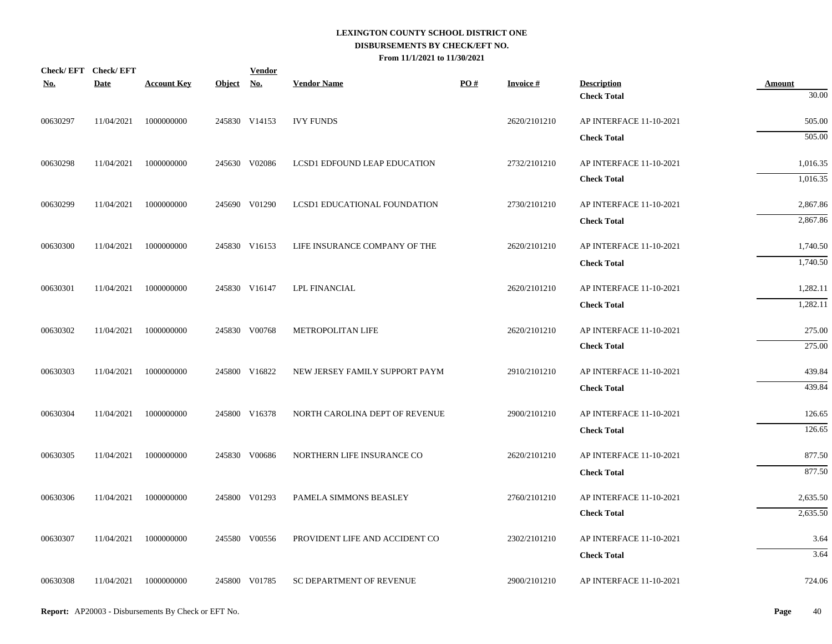| <b>No.</b> | Check/EFT Check/EFT<br><b>Date</b> | <b>Account Key</b> | Object No. | <b>Vendor</b> | <b>Vendor Name</b>             | PO# | <b>Invoice#</b> | <b>Description</b>                            | <b>Amount</b>    |
|------------|------------------------------------|--------------------|------------|---------------|--------------------------------|-----|-----------------|-----------------------------------------------|------------------|
|            |                                    |                    |            |               |                                |     |                 | <b>Check Total</b>                            | 30.00            |
| 00630297   | 11/04/2021                         | 1000000000         |            | 245830 V14153 | <b>IVY FUNDS</b>               |     | 2620/2101210    | AP INTERFACE 11-10-2021                       | 505.00           |
|            |                                    |                    |            |               |                                |     |                 | <b>Check Total</b>                            | 505.00           |
| 00630298   | 11/04/2021                         | 1000000000         |            | 245630 V02086 | LCSD1 EDFOUND LEAP EDUCATION   |     | 2732/2101210    | AP INTERFACE 11-10-2021                       | 1,016.35         |
|            |                                    |                    |            |               |                                |     |                 | <b>Check Total</b>                            | 1,016.35         |
| 00630299   | 11/04/2021                         | 1000000000         |            | 245690 V01290 | LCSD1 EDUCATIONAL FOUNDATION   |     | 2730/2101210    | AP INTERFACE 11-10-2021                       | 2,867.86         |
|            |                                    |                    |            |               |                                |     |                 | <b>Check Total</b>                            | 2,867.86         |
| 00630300   | 11/04/2021                         | 1000000000         |            | 245830 V16153 | LIFE INSURANCE COMPANY OF THE  |     | 2620/2101210    | AP INTERFACE 11-10-2021                       | 1,740.50         |
|            |                                    |                    |            |               |                                |     |                 | <b>Check Total</b>                            | 1,740.50         |
| 00630301   | 11/04/2021                         | 1000000000         |            | 245830 V16147 | LPL FINANCIAL                  |     | 2620/2101210    | AP INTERFACE 11-10-2021                       | 1,282.11         |
|            |                                    |                    |            |               |                                |     |                 | <b>Check Total</b>                            | 1,282.11         |
| 00630302   | 11/04/2021                         | 1000000000         |            | 245830 V00768 | METROPOLITAN LIFE              |     | 2620/2101210    | AP INTERFACE 11-10-2021                       | 275.00           |
|            |                                    |                    |            |               |                                |     |                 | <b>Check Total</b>                            | 275.00           |
|            |                                    |                    |            |               |                                |     |                 |                                               |                  |
| 00630303   | 11/04/2021                         | 1000000000         |            | 245800 V16822 | NEW JERSEY FAMILY SUPPORT PAYM |     | 2910/2101210    | AP INTERFACE 11-10-2021<br><b>Check Total</b> | 439.84<br>439.84 |
|            |                                    |                    |            |               |                                |     |                 |                                               |                  |
| 00630304   | 11/04/2021                         | 1000000000         |            | 245800 V16378 | NORTH CAROLINA DEPT OF REVENUE |     | 2900/2101210    | AP INTERFACE 11-10-2021                       | 126.65<br>126.65 |
|            |                                    |                    |            |               |                                |     |                 | <b>Check Total</b>                            |                  |
| 00630305   | 11/04/2021                         | 1000000000         |            | 245830 V00686 | NORTHERN LIFE INSURANCE CO     |     | 2620/2101210    | AP INTERFACE 11-10-2021                       | 877.50           |
|            |                                    |                    |            |               |                                |     |                 | <b>Check Total</b>                            | 877.50           |
| 00630306   | 11/04/2021                         | 1000000000         |            | 245800 V01293 | PAMELA SIMMONS BEASLEY         |     | 2760/2101210    | AP INTERFACE 11-10-2021                       | 2,635.50         |
|            |                                    |                    |            |               |                                |     |                 | <b>Check Total</b>                            | 2,635.50         |
| 00630307   | 11/04/2021                         | 1000000000         |            | 245580 V00556 | PROVIDENT LIFE AND ACCIDENT CO |     | 2302/2101210    | AP INTERFACE 11-10-2021                       | 3.64             |
|            |                                    |                    |            |               |                                |     |                 | <b>Check Total</b>                            | 3.64             |
| 00630308   | 11/04/2021                         | 1000000000         |            | 245800 V01785 | SC DEPARTMENT OF REVENUE       |     | 2900/2101210    | AP INTERFACE 11-10-2021                       | 724.06           |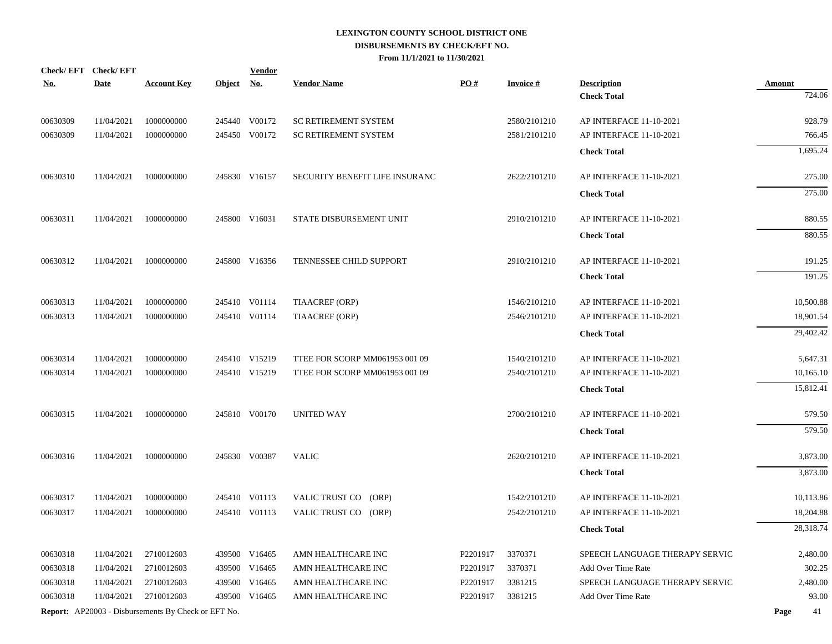| <u>No.</u> | Check/EFT Check/EFT<br><b>Date</b> | <b>Account Key</b>                                         | Object No. | <b>Vendor</b> | <b>Vendor Name</b>             | PO#      | <b>Invoice#</b> | <b>Description</b>             | <b>Amount</b> |
|------------|------------------------------------|------------------------------------------------------------|------------|---------------|--------------------------------|----------|-----------------|--------------------------------|---------------|
|            |                                    |                                                            |            |               |                                |          |                 | <b>Check Total</b>             | 724.06        |
|            |                                    |                                                            |            |               |                                |          |                 |                                |               |
| 00630309   | 11/04/2021                         | 1000000000                                                 |            | 245440 V00172 | <b>SC RETIREMENT SYSTEM</b>    |          | 2580/2101210    | AP INTERFACE 11-10-2021        | 928.79        |
| 00630309   | 11/04/2021                         | 1000000000                                                 |            | 245450 V00172 | <b>SC RETIREMENT SYSTEM</b>    |          | 2581/2101210    | AP INTERFACE 11-10-2021        | 766.45        |
|            |                                    |                                                            |            |               |                                |          |                 | <b>Check Total</b>             | 1,695.24      |
| 00630310   | 11/04/2021                         | 1000000000                                                 |            | 245830 V16157 | SECURITY BENEFIT LIFE INSURANC |          | 2622/2101210    | AP INTERFACE 11-10-2021        | 275.00        |
|            |                                    |                                                            |            |               |                                |          |                 | <b>Check Total</b>             | 275.00        |
| 00630311   | 11/04/2021                         | 1000000000                                                 |            | 245800 V16031 | STATE DISBURSEMENT UNIT        |          | 2910/2101210    | AP INTERFACE 11-10-2021        | 880.55        |
|            |                                    |                                                            |            |               |                                |          |                 | <b>Check Total</b>             | 880.55        |
| 00630312   | 11/04/2021                         | 1000000000                                                 |            | 245800 V16356 | TENNESSEE CHILD SUPPORT        |          | 2910/2101210    | AP INTERFACE 11-10-2021        | 191.25        |
|            |                                    |                                                            |            |               |                                |          |                 | <b>Check Total</b>             | 191.25        |
| 00630313   | 11/04/2021                         | 1000000000                                                 |            | 245410 V01114 | TIAACREF (ORP)                 |          | 1546/2101210    | AP INTERFACE 11-10-2021        | 10,500.88     |
| 00630313   | 11/04/2021                         | 1000000000                                                 |            | 245410 V01114 | TIAACREF (ORP)                 |          | 2546/2101210    | AP INTERFACE 11-10-2021        | 18,901.54     |
|            |                                    |                                                            |            |               |                                |          |                 | <b>Check Total</b>             | 29,402.42     |
| 00630314   | 11/04/2021                         | 1000000000                                                 |            | 245410 V15219 | TTEE FOR SCORP MM061953 001 09 |          | 1540/2101210    | AP INTERFACE 11-10-2021        | 5,647.31      |
| 00630314   | 11/04/2021                         | 1000000000                                                 |            | 245410 V15219 | TTEE FOR SCORP MM061953 001 09 |          | 2540/2101210    | AP INTERFACE 11-10-2021        | 10,165.10     |
|            |                                    |                                                            |            |               |                                |          |                 | <b>Check Total</b>             | 15,812.41     |
|            |                                    |                                                            |            |               |                                |          |                 |                                |               |
| 00630315   | 11/04/2021                         | 1000000000                                                 |            | 245810 V00170 | <b>UNITED WAY</b>              |          | 2700/2101210    | AP INTERFACE 11-10-2021        | 579.50        |
|            |                                    |                                                            |            |               |                                |          |                 | <b>Check Total</b>             | 579.50        |
| 00630316   | 11/04/2021                         | 1000000000                                                 |            | 245830 V00387 | <b>VALIC</b>                   |          | 2620/2101210    | AP INTERFACE 11-10-2021        | 3,873.00      |
|            |                                    |                                                            |            |               |                                |          |                 | <b>Check Total</b>             | 3,873.00      |
| 00630317   | 11/04/2021                         | 1000000000                                                 |            | 245410 V01113 | VALIC TRUST CO (ORP)           |          | 1542/2101210    | AP INTERFACE 11-10-2021        | 10,113.86     |
| 00630317   | 11/04/2021                         | 1000000000                                                 |            | 245410 V01113 | VALIC TRUST CO (ORP)           |          | 2542/2101210    | AP INTERFACE 11-10-2021        | 18,204.88     |
|            |                                    |                                                            |            |               |                                |          |                 | <b>Check Total</b>             | 28,318.74     |
| 00630318   | 11/04/2021                         | 2710012603                                                 |            | 439500 V16465 | AMN HEALTHCARE INC             | P2201917 | 3370371         | SPEECH LANGUAGE THERAPY SERVIC | 2,480.00      |
| 00630318   | 11/04/2021                         | 2710012603                                                 |            | 439500 V16465 | AMN HEALTHCARE INC             | P2201917 | 3370371         | Add Over Time Rate             | 302.25        |
| 00630318   | 11/04/2021                         | 2710012603                                                 |            | 439500 V16465 | AMN HEALTHCARE INC             | P2201917 | 3381215         | SPEECH LANGUAGE THERAPY SERVIC | 2,480.00      |
| 00630318   | 11/04/2021                         | 2710012603                                                 |            | 439500 V16465 | AMN HEALTHCARE INC             | P2201917 | 3381215         | Add Over Time Rate             | 93.00         |
|            |                                    | <b>Report:</b> AP20003 - Disbursements By Check or EFT No. |            |               |                                |          |                 |                                | Page<br>41    |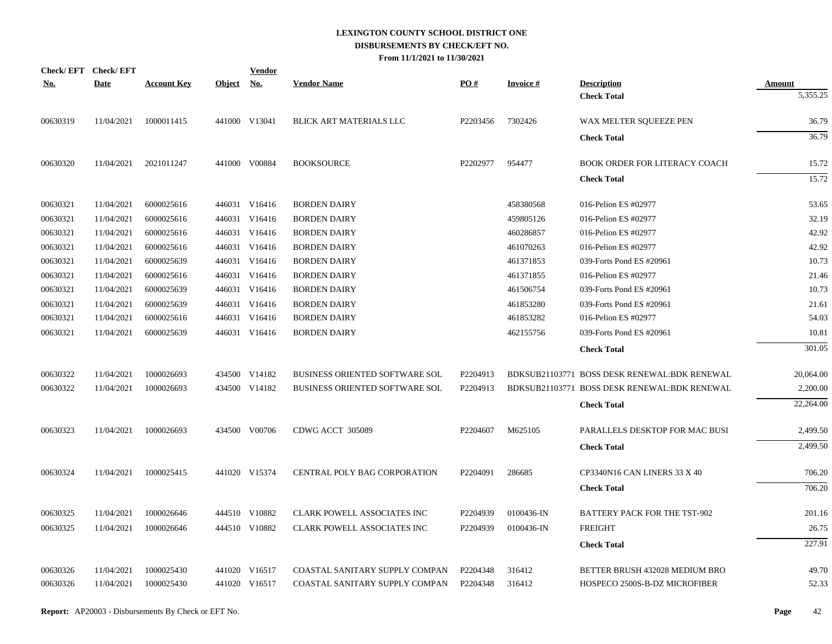| Check/EFT Check/EFT<br><u>No.</u> | <b>Date</b> | <b>Account Key</b> | <b>Object</b> | Vendor<br><u>No.</u> | <b>Vendor Name</b>                    | PO#      | <b>Invoice#</b> | <b>Description</b>                           | <b>Amount</b> |
|-----------------------------------|-------------|--------------------|---------------|----------------------|---------------------------------------|----------|-----------------|----------------------------------------------|---------------|
|                                   |             |                    |               |                      |                                       |          |                 | <b>Check Total</b>                           | 5,355.25      |
| 00630319                          | 11/04/2021  | 1000011415         |               | 441000 V13041        | BLICK ART MATERIALS LLC               | P2203456 | 7302426         | WAX MELTER SQUEEZE PEN                       | 36.79         |
|                                   |             |                    |               |                      |                                       |          |                 | <b>Check Total</b>                           | 36.79         |
| 00630320                          | 11/04/2021  | 2021011247         |               | 441000 V00884        | <b>BOOKSOURCE</b>                     | P2202977 | 954477          | <b>BOOK ORDER FOR LITERACY COACH</b>         | 15.72         |
|                                   |             |                    |               |                      |                                       |          |                 | <b>Check Total</b>                           | 15.72         |
| 00630321                          | 11/04/2021  | 6000025616         |               | 446031 V16416        | <b>BORDEN DAIRY</b>                   |          | 458380568       | 016-Pelion ES #02977                         | 53.65         |
| 00630321                          | 11/04/2021  | 6000025616         |               | 446031 V16416        | <b>BORDEN DAIRY</b>                   |          | 459805126       | 016-Pelion ES #02977                         | 32.19         |
| 00630321                          | 11/04/2021  | 6000025616         |               | 446031 V16416        | <b>BORDEN DAIRY</b>                   |          | 460286857       | 016-Pelion ES #02977                         | 42.92         |
| 00630321                          | 11/04/2021  | 6000025616         |               | 446031 V16416        | <b>BORDEN DAIRY</b>                   |          | 461070263       | 016-Pelion ES #02977                         | 42.92         |
| 00630321                          | 11/04/2021  | 6000025639         |               | 446031 V16416        | <b>BORDEN DAIRY</b>                   |          | 461371853       | 039-Forts Pond ES #20961                     | 10.73         |
| 00630321                          | 11/04/2021  | 6000025616         |               | 446031 V16416        | <b>BORDEN DAIRY</b>                   |          | 461371855       | 016-Pelion ES #02977                         | 21.46         |
| 00630321                          | 11/04/2021  | 6000025639         |               | 446031 V16416        | <b>BORDEN DAIRY</b>                   |          | 461506754       | 039-Forts Pond ES #20961                     | 10.73         |
| 00630321                          | 11/04/2021  | 6000025639         |               | 446031 V16416        | <b>BORDEN DAIRY</b>                   |          | 461853280       | 039-Forts Pond ES #20961                     | 21.61         |
| 00630321                          | 11/04/2021  | 6000025616         |               | 446031 V16416        | <b>BORDEN DAIRY</b>                   |          | 461853282       | 016-Pelion ES #02977                         | 54.03         |
| 00630321                          | 11/04/2021  | 6000025639         |               | 446031 V16416        | <b>BORDEN DAIRY</b>                   |          | 462155756       | 039-Forts Pond ES #20961                     | 10.81         |
|                                   |             |                    |               |                      |                                       |          |                 | <b>Check Total</b>                           | 301.05        |
| 00630322                          | 11/04/2021  | 1000026693         |               | 434500 V14182        | <b>BUSINESS ORIENTED SOFTWARE SOL</b> | P2204913 |                 | BDKSUB21103771 BOSS DESK RENEWAL:BDK RENEWAL | 20,064.00     |
| 00630322                          | 11/04/2021  | 1000026693         |               | 434500 V14182        | <b>BUSINESS ORIENTED SOFTWARE SOL</b> | P2204913 |                 | BDKSUB21103771 BOSS DESK RENEWAL:BDK RENEWAL | 2,200.00      |
|                                   |             |                    |               |                      |                                       |          |                 | <b>Check Total</b>                           | 22,264.00     |
| 00630323                          | 11/04/2021  | 1000026693         |               | 434500 V00706        | CDWG ACCT 305089                      | P2204607 | M625105         | PARALLELS DESKTOP FOR MAC BUSI               | 2,499.50      |
|                                   |             |                    |               |                      |                                       |          |                 | <b>Check Total</b>                           | 2,499.50      |
| 00630324                          | 11/04/2021  | 1000025415         |               | 441020 V15374        | <b>CENTRAL POLY BAG CORPORATION</b>   | P2204091 | 286685          | CP3340N16 CAN LINERS 33 X 40                 | 706.20        |
|                                   |             |                    |               |                      |                                       |          |                 | <b>Check Total</b>                           | 706.20        |
| 00630325                          | 11/04/2021  | 1000026646         |               | 444510 V10882        | CLARK POWELL ASSOCIATES INC           | P2204939 | 0100436-IN      | BATTERY PACK FOR THE TST-902                 | 201.16        |
| 00630325                          | 11/04/2021  | 1000026646         |               | 444510 V10882        | CLARK POWELL ASSOCIATES INC           | P2204939 | 0100436-IN      | <b>FREIGHT</b>                               | 26.75         |
|                                   |             |                    |               |                      |                                       |          |                 | <b>Check Total</b>                           | 227.91        |
| 00630326                          | 11/04/2021  | 1000025430         |               | 441020 V16517        | COASTAL SANITARY SUPPLY COMPAN        | P2204348 | 316412          | BETTER BRUSH 432028 MEDIUM BRO               | 49.70         |
| 00630326                          | 11/04/2021  | 1000025430         |               | 441020 V16517        | COASTAL SANITARY SUPPLY COMPAN        | P2204348 | 316412          | HOSPECO 2500S-B-DZ MICROFIBER                | 52.33         |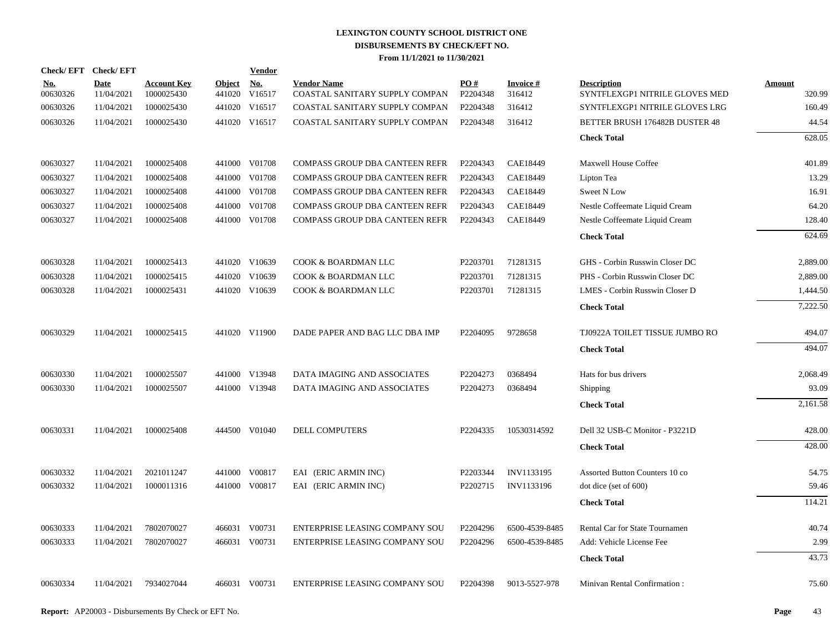| Check/EFT Check/EFT    |                           |                                  |                      | <b>Vendor</b> |                                                      |                 |                           |                                                      |                         |
|------------------------|---------------------------|----------------------------------|----------------------|---------------|------------------------------------------------------|-----------------|---------------------------|------------------------------------------------------|-------------------------|
| <u>No.</u><br>00630326 | <b>Date</b><br>11/04/2021 | <b>Account Key</b><br>1000025430 | Object No.<br>441020 | V16517        | <b>Vendor Name</b><br>COASTAL SANITARY SUPPLY COMPAN | PO#<br>P2204348 | <b>Invoice#</b><br>316412 | <b>Description</b><br>SYNTFLEXGP1 NITRILE GLOVES MED | <b>Amount</b><br>320.99 |
| 00630326               | 11/04/2021                | 1000025430                       |                      | 441020 V16517 | COASTAL SANITARY SUPPLY COMPAN                       | P2204348        | 316412                    | SYNTFLEXGP1 NITRILE GLOVES LRG                       | 160.49                  |
| 00630326               | 11/04/2021                | 1000025430                       |                      | 441020 V16517 | COASTAL SANITARY SUPPLY COMPAN                       | P2204348        | 316412                    | BETTER BRUSH 176482B DUSTER 48                       | 44.54                   |
|                        |                           |                                  |                      |               |                                                      |                 |                           | <b>Check Total</b>                                   | 628.05                  |
| 00630327               | 11/04/2021                | 1000025408                       |                      | 441000 V01708 | COMPASS GROUP DBA CANTEEN REFR                       | P2204343        | CAE18449                  | Maxwell House Coffee                                 | 401.89                  |
| 00630327               | 11/04/2021                | 1000025408                       | 441000               | V01708        | COMPASS GROUP DBA CANTEEN REFR                       | P2204343        | CAE18449                  | Lipton Tea                                           | 13.29                   |
| 00630327               | 11/04/2021                | 1000025408                       |                      | 441000 V01708 | COMPASS GROUP DBA CANTEEN REFR                       | P2204343        | CAE18449                  | Sweet N Low                                          | 16.91                   |
| 00630327               | 11/04/2021                | 1000025408                       | 441000               | V01708        | COMPASS GROUP DBA CANTEEN REFR                       | P2204343        | CAE18449                  | Nestle Coffeemate Liquid Cream                       | 64.20                   |
| 00630327               | 11/04/2021                | 1000025408                       |                      | 441000 V01708 | COMPASS GROUP DBA CANTEEN REFR                       | P2204343        | CAE18449                  | Nestle Coffeemate Liquid Cream                       | 128.40                  |
|                        |                           |                                  |                      |               |                                                      |                 |                           | <b>Check Total</b>                                   | 624.69                  |
| 00630328               | 11/04/2021                | 1000025413                       |                      | 441020 V10639 | COOK & BOARDMAN LLC                                  | P2203701        | 71281315                  | GHS - Corbin Russwin Closer DC                       | 2,889.00                |
| 00630328               | 11/04/2021                | 1000025415                       |                      | 441020 V10639 | COOK & BOARDMAN LLC                                  | P2203701        | 71281315                  | PHS - Corbin Russwin Closer DC                       | 2,889.00                |
| 00630328               | 11/04/2021                | 1000025431                       |                      | 441020 V10639 | COOK & BOARDMAN LLC                                  | P2203701        | 71281315                  | LMES - Corbin Russwin Closer D                       | 1,444.50                |
|                        |                           |                                  |                      |               |                                                      |                 |                           | <b>Check Total</b>                                   | 7,222.50                |
| 00630329               | 11/04/2021                | 1000025415                       |                      | 441020 V11900 | DADE PAPER AND BAG LLC DBA IMP                       | P2204095        | 9728658                   | TJ0922A TOILET TISSUE JUMBO RO                       | 494.07                  |
|                        |                           |                                  |                      |               |                                                      |                 |                           | <b>Check Total</b>                                   | 494.07                  |
| 00630330               | 11/04/2021                | 1000025507                       |                      | 441000 V13948 | DATA IMAGING AND ASSOCIATES                          | P2204273        | 0368494                   | Hats for bus drivers                                 | 2,068.49                |
| 00630330               | 11/04/2021                | 1000025507                       |                      | 441000 V13948 | DATA IMAGING AND ASSOCIATES                          | P2204273        | 0368494                   | Shipping                                             | 93.09                   |
|                        |                           |                                  |                      |               |                                                      |                 |                           | <b>Check Total</b>                                   | 2,161.58                |
| 00630331               | 11/04/2021                | 1000025408                       |                      | 444500 V01040 | <b>DELL COMPUTERS</b>                                | P2204335        | 10530314592               | Dell 32 USB-C Monitor - P3221D                       | 428.00                  |
|                        |                           |                                  |                      |               |                                                      |                 |                           | <b>Check Total</b>                                   | 428.00                  |
| 00630332               | 11/04/2021                | 2021011247                       |                      | 441000 V00817 | EAI (ERIC ARMIN INC)                                 | P2203344        | INV1133195                | Assorted Button Counters 10 co                       | 54.75                   |
| 00630332               | 11/04/2021                | 1000011316                       |                      | 441000 V00817 | EAI (ERIC ARMIN INC)                                 | P2202715        | INV1133196                | dot dice (set of 600)                                | 59.46                   |
|                        |                           |                                  |                      |               |                                                      |                 |                           | <b>Check Total</b>                                   | 114.21                  |
| 00630333               | 11/04/2021                | 7802070027                       |                      | 466031 V00731 | ENTERPRISE LEASING COMPANY SOU                       | P2204296        | 6500-4539-8485            | Rental Car for State Tournamen                       | 40.74                   |
| 00630333               | 11/04/2021                | 7802070027                       |                      | 466031 V00731 | ENTERPRISE LEASING COMPANY SOU                       | P2204296        | 6500-4539-8485            | Add: Vehicle License Fee                             | 2.99                    |
|                        |                           |                                  |                      |               |                                                      |                 |                           | <b>Check Total</b>                                   | 43.73                   |
| 00630334               | 11/04/2021                | 7934027044                       |                      | 466031 V00731 | ENTERPRISE LEASING COMPANY SOU                       | P2204398        | 9013-5527-978             | Minivan Rental Confirmation:                         | 75.60                   |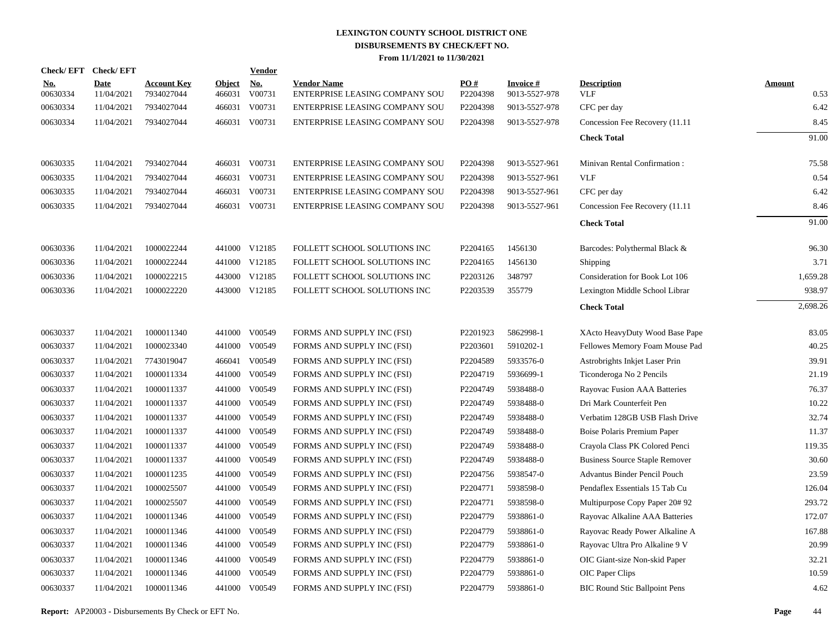| <b>Check/EFT</b>       | <b>Check/EFT</b>          |                                  |                         | Vendor                              |                                                      |                 |                                  |                                       |                       |
|------------------------|---------------------------|----------------------------------|-------------------------|-------------------------------------|------------------------------------------------------|-----------------|----------------------------------|---------------------------------------|-----------------------|
| <u>No.</u><br>00630334 | <b>Date</b><br>11/04/2021 | <b>Account Key</b><br>7934027044 | <b>Object</b><br>466031 | $\underline{\mathrm{No}}$<br>V00731 | <b>Vendor Name</b><br>ENTERPRISE LEASING COMPANY SOU | PQ#<br>P2204398 | <b>Invoice#</b><br>9013-5527-978 | <b>Description</b><br>VLF             | <b>Amount</b><br>0.53 |
| 00630334               | 11/04/2021                | 7934027044                       | 466031                  | V00731                              | <b>ENTERPRISE LEASING COMPANY SOU</b>                | P2204398        | 9013-5527-978                    | CFC per day                           | 6.42                  |
| 00630334               | 11/04/2021                | 7934027044                       | 466031                  | V00731                              | ENTERPRISE LEASING COMPANY SOU                       | P2204398        | 9013-5527-978                    | Concession Fee Recovery (11.11        | 8.45                  |
|                        |                           |                                  |                         |                                     |                                                      |                 |                                  | <b>Check Total</b>                    | 91.00                 |
| 00630335               | 11/04/2021                | 7934027044                       |                         | 466031 V00731                       | ENTERPRISE LEASING COMPANY SOU                       | P2204398        | 9013-5527-961                    | Minivan Rental Confirmation:          | 75.58                 |
| 00630335               | 11/04/2021                | 7934027044                       | 466031                  | V00731                              | <b>ENTERPRISE LEASING COMPANY SOU</b>                | P2204398        | 9013-5527-961                    | <b>VLF</b>                            | 0.54                  |
| 00630335               | 11/04/2021                | 7934027044                       | 466031                  | V00731                              | ENTERPRISE LEASING COMPANY SOU                       | P2204398        | 9013-5527-961                    | CFC per day                           | 6.42                  |
| 00630335               | 11/04/2021                | 7934027044                       | 466031                  | V00731                              | ENTERPRISE LEASING COMPANY SOU                       | P2204398        | 9013-5527-961                    | Concession Fee Recovery (11.11)       | 8.46                  |
|                        |                           |                                  |                         |                                     |                                                      |                 |                                  | <b>Check Total</b>                    | 91.00                 |
| 00630336               | 11/04/2021                | 1000022244                       |                         | 441000 V12185                       | FOLLETT SCHOOL SOLUTIONS INC                         | P2204165        | 1456130                          | Barcodes: Polythermal Black &         | 96.30                 |
| 00630336               | 11/04/2021                | 1000022244                       |                         | 441000 V12185                       | FOLLETT SCHOOL SOLUTIONS INC                         | P2204165        | 1456130                          | Shipping                              | 3.71                  |
| 00630336               | 11/04/2021                | 1000022215                       |                         | 443000 V12185                       | FOLLETT SCHOOL SOLUTIONS INC                         | P2203126        | 348797                           | Consideration for Book Lot 106        | 1,659.28              |
| 00630336               | 11/04/2021                | 1000022220                       |                         | 443000 V12185                       | FOLLETT SCHOOL SOLUTIONS INC                         | P2203539        | 355779                           | Lexington Middle School Librar        | 938.97                |
|                        |                           |                                  |                         |                                     |                                                      |                 |                                  | <b>Check Total</b>                    | 2,698.26              |
| 00630337               | 11/04/2021                | 1000011340                       |                         | 441000 V00549                       | FORMS AND SUPPLY INC (FSI)                           | P2201923        | 5862998-1                        | XActo HeavyDuty Wood Base Pape        | 83.05                 |
| 00630337               | 11/04/2021                | 1000023340                       | 441000                  | V00549                              | FORMS AND SUPPLY INC (FSI)                           | P2203601        | 5910202-1                        | Fellowes Memory Foam Mouse Pad        | 40.25                 |
| 00630337               | 11/04/2021                | 7743019047                       | 466041                  | V00549                              | FORMS AND SUPPLY INC (FSI)                           | P2204589        | 5933576-0                        | Astrobrights Inkjet Laser Prin        | 39.91                 |
| 00630337               | 11/04/2021                | 1000011334                       | 441000                  | V00549                              | FORMS AND SUPPLY INC (FSI)                           | P2204719        | 5936699-1                        | Ticonderoga No 2 Pencils              | 21.19                 |
| 00630337               | 11/04/2021                | 1000011337                       | 441000                  | V00549                              | FORMS AND SUPPLY INC (FSI)                           | P2204749        | 5938488-0                        | Rayovac Fusion AAA Batteries          | 76.37                 |
| 00630337               | 11/04/2021                | 1000011337                       |                         | 441000 V00549                       | FORMS AND SUPPLY INC (FSI)                           | P2204749        | 5938488-0                        | Dri Mark Counterfeit Pen              | 10.22                 |
| 00630337               | 11/04/2021                | 1000011337                       | 441000                  | V00549                              | FORMS AND SUPPLY INC (FSI)                           | P2204749        | 5938488-0                        | Verbatim 128GB USB Flash Drive        | 32.74                 |
| 00630337               | 11/04/2021                | 1000011337                       |                         | 441000 V00549                       | FORMS AND SUPPLY INC (FSI)                           | P2204749        | 5938488-0                        | Boise Polaris Premium Paper           | 11.37                 |
| 00630337               | 11/04/2021                | 1000011337                       | 441000                  | V00549                              | FORMS AND SUPPLY INC (FSI)                           | P2204749        | 5938488-0                        | Crayola Class PK Colored Penci        | 119.35                |
| 00630337               | 11/04/2021                | 1000011337                       |                         | 441000 V00549                       | FORMS AND SUPPLY INC (FSI)                           | P2204749        | 5938488-0                        | <b>Business Source Staple Remover</b> | 30.60                 |
| 00630337               | 11/04/2021                | 1000011235                       | 441000                  | V00549                              | FORMS AND SUPPLY INC (FSI)                           | P2204756        | 5938547-0                        | Advantus Binder Pencil Pouch          | 23.59                 |
| 00630337               | 11/04/2021                | 1000025507                       |                         | 441000 V00549                       | FORMS AND SUPPLY INC (FSI)                           | P2204771        | 5938598-0                        | Pendaflex Essentials 15 Tab Cu        | 126.04                |
| 00630337               | 11/04/2021                | 1000025507                       | 441000                  | V00549                              | FORMS AND SUPPLY INC (FSI)                           | P2204771        | 5938598-0                        | Multipurpose Copy Paper 20#92         | 293.72                |
| 00630337               | 11/04/2021                | 1000011346                       | 441000                  | V00549                              | FORMS AND SUPPLY INC (FSI)                           | P2204779        | 5938861-0                        | Rayovac Alkaline AAA Batteries        | 172.07                |
| 00630337               | 11/04/2021                | 1000011346                       | 441000                  | V00549                              | FORMS AND SUPPLY INC (FSI)                           | P2204779        | 5938861-0                        | Rayovac Ready Power Alkaline A        | 167.88                |
| 00630337               | 11/04/2021                | 1000011346                       | 441000                  | V00549                              | FORMS AND SUPPLY INC (FSI)                           | P2204779        | 5938861-0                        | Rayovac Ultra Pro Alkaline 9 V        | 20.99                 |
| 00630337               | 11/04/2021                | 1000011346                       | 441000                  | V00549                              | FORMS AND SUPPLY INC (FSI)                           | P2204779        | 5938861-0                        | OIC Giant-size Non-skid Paper         | 32.21                 |
| 00630337               | 11/04/2021                | 1000011346                       | 441000                  | V00549                              | FORMS AND SUPPLY INC (FSI)                           | P2204779        | 5938861-0                        | OIC Paper Clips                       | 10.59                 |
| 00630337               | 11/04/2021                | 1000011346                       |                         | 441000 V00549                       | FORMS AND SUPPLY INC (FSI)                           | P2204779        | 5938861-0                        | <b>BIC Round Stic Ballpoint Pens</b>  | 4.62                  |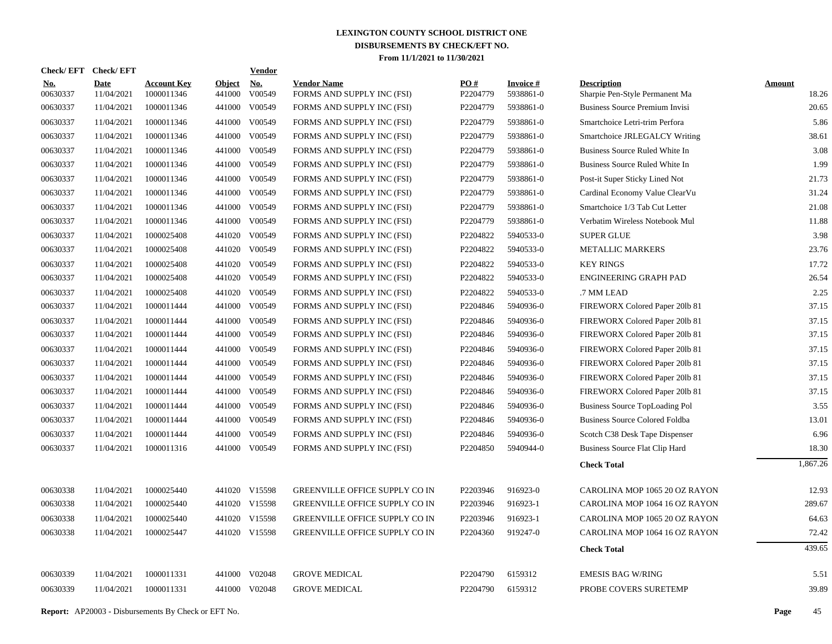| <b>Check/EFT</b>       | <b>Check/EFT</b>          |                                  |                         | <b>Vendor</b>        |                                                  |                               |                              |                                                      |                        |
|------------------------|---------------------------|----------------------------------|-------------------------|----------------------|--------------------------------------------------|-------------------------------|------------------------------|------------------------------------------------------|------------------------|
| <u>No.</u><br>00630337 | <b>Date</b><br>11/04/2021 | <b>Account Key</b><br>1000011346 | <b>Object</b><br>441000 | <u>No.</u><br>V00549 | <b>Vendor Name</b><br>FORMS AND SUPPLY INC (FSI) | $\underline{PO#}$<br>P2204779 | <b>Invoice#</b><br>5938861-0 | <b>Description</b><br>Sharpie Pen-Style Permanent Ma | <b>Amount</b><br>18.26 |
| 00630337               | 11/04/2021                | 1000011346                       | 441000                  | V00549               | FORMS AND SUPPLY INC (FSI)                       | P2204779                      | 5938861-0                    | <b>Business Source Premium Invisi</b>                | 20.65                  |
| 00630337               | 11/04/2021                | 1000011346                       | 441000                  | V00549               | FORMS AND SUPPLY INC (FSI)                       | P2204779                      | 5938861-0                    | Smartchoice Letri-trim Perfora                       | 5.86                   |
| 00630337               | 11/04/2021                | 1000011346                       |                         | 441000 V00549        | FORMS AND SUPPLY INC (FSI)                       | P2204779                      | 5938861-0                    | Smartchoice JRLEGALCY Writing                        | 38.61                  |
| 00630337               | 11/04/2021                | 1000011346                       | 441000                  | V00549               | FORMS AND SUPPLY INC (FSI)                       | P2204779                      | 5938861-0                    | Business Source Ruled White In                       | 3.08                   |
| 00630337               | 11/04/2021                | 1000011346                       |                         | 441000 V00549        | FORMS AND SUPPLY INC (FSI)                       | P2204779                      | 5938861-0                    | Business Source Ruled White In                       | 1.99                   |
| 00630337               | 11/04/2021                | 1000011346                       |                         | 441000 V00549        | FORMS AND SUPPLY INC (FSI)                       | P2204779                      | 5938861-0                    | Post-it Super Sticky Lined Not                       | 21.73                  |
| 00630337               | 11/04/2021                | 1000011346                       |                         | 441000 V00549        | FORMS AND SUPPLY INC (FSI)                       | P2204779                      | 5938861-0                    | Cardinal Economy Value ClearVu                       | 31.24                  |
| 00630337               | 11/04/2021                | 1000011346                       |                         | 441000 V00549        | FORMS AND SUPPLY INC (FSI)                       | P2204779                      | 5938861-0                    | Smartchoice 1/3 Tab Cut Letter                       | 21.08                  |
| 00630337               | 11/04/2021                | 1000011346                       |                         | 441000 V00549        | FORMS AND SUPPLY INC (FSI)                       | P2204779                      | 5938861-0                    | Verbatim Wireless Notebook Mul                       | 11.88                  |
| 00630337               | 11/04/2021                | 1000025408                       |                         | 441020 V00549        | FORMS AND SUPPLY INC (FSI)                       | P2204822                      | 5940533-0                    | <b>SUPER GLUE</b>                                    | 3.98                   |
| 00630337               | 11/04/2021                | 1000025408                       |                         | 441020 V00549        | FORMS AND SUPPLY INC (FSI)                       | P2204822                      | 5940533-0                    | METALLIC MARKERS                                     | 23.76                  |
| 00630337               | 11/04/2021                | 1000025408                       |                         | 441020 V00549        | FORMS AND SUPPLY INC (FSI)                       | P2204822                      | 5940533-0                    | <b>KEY RINGS</b>                                     | 17.72                  |
| 00630337               | 11/04/2021                | 1000025408                       |                         | 441020 V00549        | FORMS AND SUPPLY INC (FSI)                       | P2204822                      | 5940533-0                    | <b>ENGINEERING GRAPH PAD</b>                         | 26.54                  |
| 00630337               | 11/04/2021                | 1000025408                       |                         | 441020 V00549        | FORMS AND SUPPLY INC (FSI)                       | P2204822                      | 5940533-0                    | .7 MM LEAD                                           | 2.25                   |
| 00630337               | 11/04/2021                | 1000011444                       |                         | 441000 V00549        | FORMS AND SUPPLY INC (FSI)                       | P2204846                      | 5940936-0                    | FIREWORX Colored Paper 20lb 81                       | 37.15                  |
| 00630337               | 11/04/2021                | 1000011444                       |                         | 441000 V00549        | FORMS AND SUPPLY INC (FSI)                       | P2204846                      | 5940936-0                    | FIREWORX Colored Paper 201b 81                       | 37.15                  |
| 00630337               | 11/04/2021                | 1000011444                       |                         | 441000 V00549        | FORMS AND SUPPLY INC (FSI)                       | P2204846                      | 5940936-0                    | FIREWORX Colored Paper 201b 81                       | 37.15                  |
| 00630337               | 11/04/2021                | 1000011444                       |                         | 441000 V00549        | FORMS AND SUPPLY INC (FSI)                       | P2204846                      | 5940936-0                    | FIREWORX Colored Paper 20lb 81                       | 37.15                  |
| 00630337               | 11/04/2021                | 1000011444                       |                         | 441000 V00549        | FORMS AND SUPPLY INC (FSI)                       | P2204846                      | 5940936-0                    | FIREWORX Colored Paper 20lb 81                       | 37.15                  |
| 00630337               | 11/04/2021                | 1000011444                       |                         | 441000 V00549        | FORMS AND SUPPLY INC (FSI)                       | P2204846                      | 5940936-0                    | FIREWORX Colored Paper 201b 81                       | 37.15                  |
| 00630337               | 11/04/2021                | 1000011444                       |                         | 441000 V00549        | FORMS AND SUPPLY INC (FSI)                       | P2204846                      | 5940936-0                    | FIREWORX Colored Paper 201b 81                       | 37.15                  |
| 00630337               | 11/04/2021                | 1000011444                       |                         | 441000 V00549        | FORMS AND SUPPLY INC (FSI)                       | P2204846                      | 5940936-0                    | <b>Business Source TopLoading Pol</b>                | 3.55                   |
| 00630337               | 11/04/2021                | 1000011444                       |                         | 441000 V00549        | FORMS AND SUPPLY INC (FSI)                       | P2204846                      | 5940936-0                    | <b>Business Source Colored Foldba</b>                | 13.01                  |
| 00630337               | 11/04/2021                | 1000011444                       | 441000                  | V00549               | FORMS AND SUPPLY INC (FSI)                       | P2204846                      | 5940936-0                    | Scotch C38 Desk Tape Dispenser                       | 6.96                   |
| 00630337               | 11/04/2021                | 1000011316                       |                         | 441000 V00549        | FORMS AND SUPPLY INC (FSI)                       | P2204850                      | 5940944-0                    | Business Source Flat Clip Hard                       | 18.30                  |
|                        |                           |                                  |                         |                      |                                                  |                               |                              | <b>Check Total</b>                                   | 1,867.26               |
| 00630338               | 11/04/2021                | 1000025440                       |                         | 441020 V15598        | <b>GREENVILLE OFFICE SUPPLY CO IN</b>            | P2203946                      | 916923-0                     | CAROLINA MOP 1065 20 OZ RAYON                        | 12.93                  |
| 00630338               | 11/04/2021                | 1000025440                       |                         | 441020 V15598        | <b>GREENVILLE OFFICE SUPPLY CO IN</b>            | P2203946                      | 916923-1                     | CAROLINA MOP 1064 16 OZ RAYON                        | 289.67                 |
| 00630338               | 11/04/2021                | 1000025440                       |                         | 441020 V15598        | GREENVILLE OFFICE SUPPLY CO IN                   | P2203946                      | 916923-1                     | CAROLINA MOP 1065 20 OZ RAYON                        | 64.63                  |
| 00630338               | 11/04/2021                | 1000025447                       |                         | 441020 V15598        | <b>GREENVILLE OFFICE SUPPLY CO IN</b>            | P2204360                      | 919247-0                     | CAROLINA MOP 1064 16 OZ RAYON                        | 72.42                  |
|                        |                           |                                  |                         |                      |                                                  |                               |                              | <b>Check Total</b>                                   | 439.65                 |
| 00630339               | 11/04/2021                | 1000011331                       |                         | 441000 V02048        | <b>GROVE MEDICAL</b>                             | P2204790                      | 6159312                      | <b>EMESIS BAG W/RING</b>                             | 5.51                   |
| 00630339               | 11/04/2021                | 1000011331                       |                         | 441000 V02048        | <b>GROVE MEDICAL</b>                             | P2204790                      | 6159312                      | PROBE COVERS SURETEMP                                | 39.89                  |
|                        |                           |                                  |                         |                      |                                                  |                               |                              |                                                      |                        |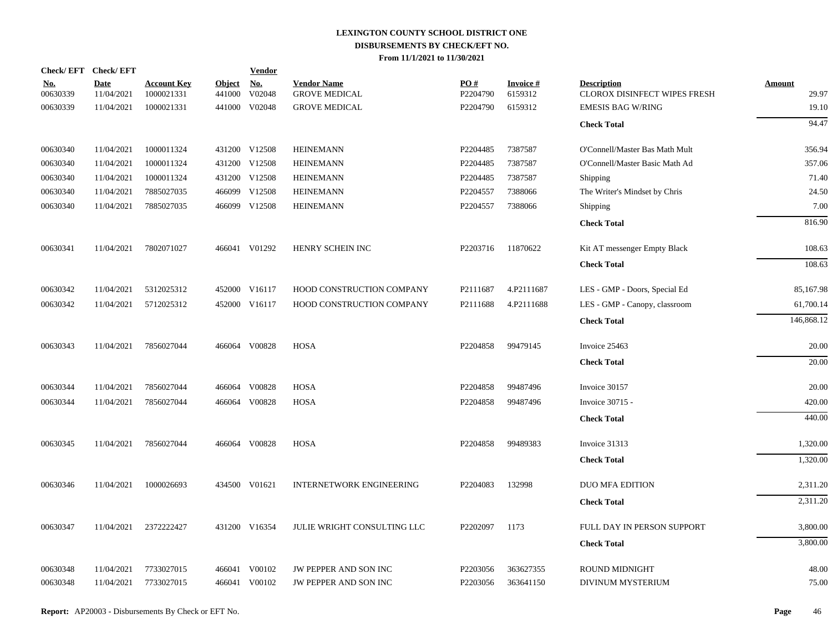| Check/EFT Check/EFT    |                    |                                  |                         | <b>Vendor</b> |                                            |                 |                      |                                                    |                 |
|------------------------|--------------------|----------------------------------|-------------------------|---------------|--------------------------------------------|-----------------|----------------------|----------------------------------------------------|-----------------|
| <u>No.</u><br>00630339 | Date<br>11/04/2021 | <b>Account Key</b><br>1000021331 | <b>Object</b><br>441000 | No.<br>V02048 | <b>Vendor Name</b><br><b>GROVE MEDICAL</b> | PO#<br>P2204790 | Invoice #<br>6159312 | <b>Description</b><br>CLOROX DISINFECT WIPES FRESH | Amount<br>29.97 |
| 00630339               | 11/04/2021         | 1000021331                       |                         | 441000 V02048 | <b>GROVE MEDICAL</b>                       | P2204790        | 6159312              | <b>EMESIS BAG W/RING</b>                           | 19.10           |
|                        |                    |                                  |                         |               |                                            |                 |                      | <b>Check Total</b>                                 | 94.47           |
| 00630340               | 11/04/2021         | 1000011324                       |                         | 431200 V12508 | <b>HEINEMANN</b>                           | P2204485        | 7387587              | O'Connell/Master Bas Math Mult                     | 356.94          |
| 00630340               | 11/04/2021         | 1000011324                       |                         | 431200 V12508 | <b>HEINEMANN</b>                           | P2204485        | 7387587              | O'Connell/Master Basic Math Ad                     | 357.06          |
| 00630340               | 11/04/2021         | 1000011324                       |                         | 431200 V12508 | <b>HEINEMANN</b>                           | P2204485        | 7387587              | Shipping                                           | 71.40           |
| 00630340               | 11/04/2021         | 7885027035                       |                         | 466099 V12508 | <b>HEINEMANN</b>                           | P2204557        | 7388066              | The Writer's Mindset by Chris                      | 24.50           |
| 00630340               | 11/04/2021         | 7885027035                       |                         | 466099 V12508 | <b>HEINEMANN</b>                           | P2204557        | 7388066              | Shipping                                           | 7.00            |
|                        |                    |                                  |                         |               |                                            |                 |                      | <b>Check Total</b>                                 | 816.90          |
| 00630341               | 11/04/2021         | 7802071027                       |                         | 466041 V01292 | HENRY SCHEIN INC                           | P2203716        | 11870622             | Kit AT messenger Empty Black                       | 108.63          |
|                        |                    |                                  |                         |               |                                            |                 |                      | <b>Check Total</b>                                 | 108.63          |
| 00630342               | 11/04/2021         | 5312025312                       |                         | 452000 V16117 | HOOD CONSTRUCTION COMPANY                  | P2111687        | 4.P2111687           | LES - GMP - Doors, Special Ed                      | 85,167.98       |
| 00630342               | 11/04/2021         | 5712025312                       |                         | 452000 V16117 | HOOD CONSTRUCTION COMPANY                  | P2111688        | 4.P2111688           | LES - GMP - Canopy, classroom                      | 61,700.14       |
|                        |                    |                                  |                         |               |                                            |                 |                      | <b>Check Total</b>                                 | 146,868.12      |
| 00630343               | 11/04/2021         | 7856027044                       |                         | 466064 V00828 | HOSA                                       | P2204858        | 99479145             | Invoice 25463                                      | 20.00           |
|                        |                    |                                  |                         |               |                                            |                 |                      | <b>Check Total</b>                                 | 20.00           |
| 00630344               | 11/04/2021         | 7856027044                       |                         | 466064 V00828 | <b>HOSA</b>                                | P2204858        | 99487496             | Invoice 30157                                      | 20.00           |
| 00630344               | 11/04/2021         | 7856027044                       |                         | 466064 V00828 | <b>HOSA</b>                                | P2204858        | 99487496             | Invoice 30715 -                                    | 420.00          |
|                        |                    |                                  |                         |               |                                            |                 |                      | <b>Check Total</b>                                 | 440.00          |
| 00630345               | 11/04/2021         | 7856027044                       |                         | 466064 V00828 | HOSA                                       | P2204858        | 99489383             | Invoice 31313                                      | 1,320.00        |
|                        |                    |                                  |                         |               |                                            |                 |                      | <b>Check Total</b>                                 | 1,320.00        |
| 00630346               | 11/04/2021         | 1000026693                       |                         | 434500 V01621 | <b>INTERNETWORK ENGINEERING</b>            | P2204083        | 132998               | <b>DUO MFA EDITION</b>                             | 2,311.20        |
|                        |                    |                                  |                         |               |                                            |                 |                      | <b>Check Total</b>                                 | 2,311.20        |
| 00630347               | 11/04/2021         | 2372222427                       |                         | 431200 V16354 | JULIE WRIGHT CONSULTING LLC                | P2202097        | 1173                 | FULL DAY IN PERSON SUPPORT                         | 3,800.00        |
|                        |                    |                                  |                         |               |                                            |                 |                      | <b>Check Total</b>                                 | 3,800.00        |
| 00630348               | 11/04/2021         | 7733027015                       | 466041                  | V00102        | <b>JW PEPPER AND SON INC</b>               | P2203056        | 363627355            | <b>ROUND MIDNIGHT</b>                              | 48.00           |
| 00630348               | 11/04/2021         | 7733027015                       |                         | 466041 V00102 | JW PEPPER AND SON INC                      | P2203056        | 363641150            | DIVINUM MYSTERIUM                                  | 75.00           |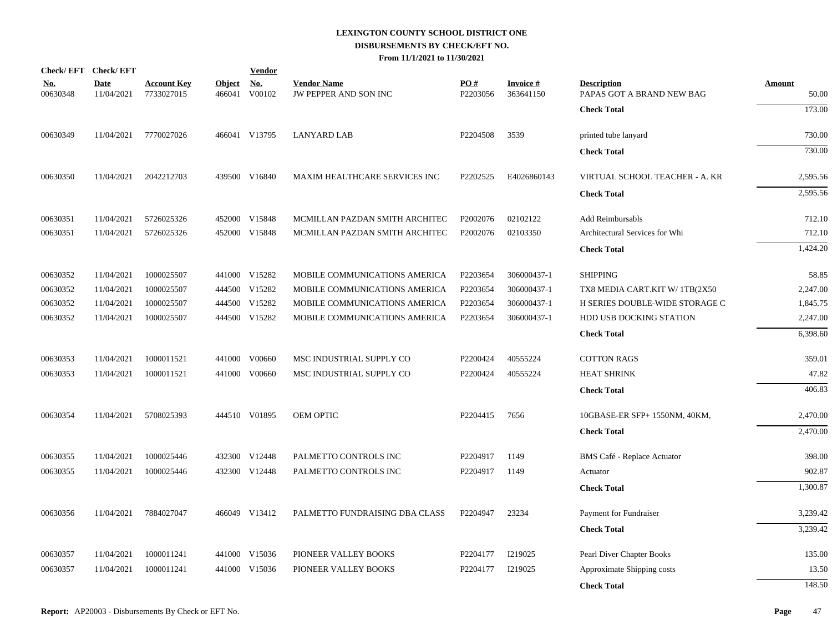| Check/EFT Check/EFT    |                           |                                  |                         | <b>Vendor</b>        |                                             |                 |                              |                                                 |                        |
|------------------------|---------------------------|----------------------------------|-------------------------|----------------------|---------------------------------------------|-----------------|------------------------------|-------------------------------------------------|------------------------|
| <u>No.</u><br>00630348 | <b>Date</b><br>11/04/2021 | <b>Account Key</b><br>7733027015 | <b>Object</b><br>466041 | <b>No.</b><br>V00102 | <b>Vendor Name</b><br>JW PEPPER AND SON INC | PO#<br>P2203056 | <b>Invoice#</b><br>363641150 | <b>Description</b><br>PAPAS GOT A BRAND NEW BAG | <b>Amount</b><br>50.00 |
|                        |                           |                                  |                         |                      |                                             |                 |                              | <b>Check Total</b>                              | 173.00                 |
| 00630349               | 11/04/2021                | 7770027026                       |                         | 466041 V13795        | <b>LANYARD LAB</b>                          | P2204508        | 3539                         | printed tube lanyard                            | 730.00                 |
|                        |                           |                                  |                         |                      |                                             |                 |                              | <b>Check Total</b>                              | 730.00                 |
| 00630350               | 11/04/2021                | 2042212703                       |                         | 439500 V16840        | MAXIM HEALTHCARE SERVICES INC               | P2202525        | E4026860143                  | VIRTUAL SCHOOL TEACHER - A. KR                  | 2,595.56               |
|                        |                           |                                  |                         |                      |                                             |                 |                              | <b>Check Total</b>                              | 2,595.56               |
| 00630351               | 11/04/2021                | 5726025326                       |                         | 452000 V15848        | MCMILLAN PAZDAN SMITH ARCHITEC              | P2002076        | 02102122                     | Add Reimbursabls                                | 712.10                 |
| 00630351               | 11/04/2021                | 5726025326                       |                         | 452000 V15848        | MCMILLAN PAZDAN SMITH ARCHITEC              | P2002076        | 02103350                     | Architectural Services for Whi                  | 712.10                 |
|                        |                           |                                  |                         |                      |                                             |                 |                              | <b>Check Total</b>                              | 1,424.20               |
| 00630352               | 11/04/2021                | 1000025507                       |                         | 441000 V15282        | MOBILE COMMUNICATIONS AMERICA               | P2203654        | 306000437-1                  | <b>SHIPPING</b>                                 | 58.85                  |
| 00630352               | 11/04/2021                | 1000025507                       |                         | 444500 V15282        | MOBILE COMMUNICATIONS AMERICA               | P2203654        | 306000437-1                  | TX8 MEDIA CART.KIT W/1TB(2X50                   | 2,247.00               |
| 00630352               | 11/04/2021                | 1000025507                       |                         | 444500 V15282        | MOBILE COMMUNICATIONS AMERICA               | P2203654        | 306000437-1                  | H SERIES DOUBLE-WIDE STORAGE C                  | 1,845.75               |
| 00630352               | 11/04/2021                | 1000025507                       |                         | 444500 V15282        | MOBILE COMMUNICATIONS AMERICA               | P2203654        | 306000437-1                  | HDD USB DOCKING STATION                         | 2,247.00               |
|                        |                           |                                  |                         |                      |                                             |                 |                              | <b>Check Total</b>                              | 6.398.60               |
| 00630353               | 11/04/2021                | 1000011521                       |                         | 441000 V00660        | MSC INDUSTRIAL SUPPLY CO                    | P2200424        | 40555224                     | <b>COTTON RAGS</b>                              | 359.01                 |
| 00630353               | 11/04/2021                | 1000011521                       |                         | 441000 V00660        | MSC INDUSTRIAL SUPPLY CO                    | P2200424        | 40555224                     | <b>HEAT SHRINK</b>                              | 47.82                  |
|                        |                           |                                  |                         |                      |                                             |                 |                              | <b>Check Total</b>                              | 406.83                 |
| 00630354               | 11/04/2021                | 5708025393                       |                         | 444510 V01895        | <b>OEM OPTIC</b>                            | P2204415        | 7656                         | 10GBASE-ER SFP+ 1550NM, 40KM,                   | 2.470.00               |
|                        |                           |                                  |                         |                      |                                             |                 |                              | <b>Check Total</b>                              | 2,470.00               |
| 00630355               | 11/04/2021                | 1000025446                       |                         | 432300 V12448        | PALMETTO CONTROLS INC                       | P2204917        | 1149                         | BMS Café - Replace Actuator                     | 398.00                 |
| 00630355               | 11/04/2021                | 1000025446                       |                         | 432300 V12448        | PALMETTO CONTROLS INC                       | P2204917        | 1149                         | Actuator                                        | 902.87                 |
|                        |                           |                                  |                         |                      |                                             |                 |                              | <b>Check Total</b>                              | 1,300.87               |
| 00630356               | 11/04/2021                | 7884027047                       |                         | 466049 V13412        | PALMETTO FUNDRAISING DBA CLASS              | P2204947        | 23234                        | Payment for Fundraiser                          | 3,239.42               |
|                        |                           |                                  |                         |                      |                                             |                 |                              | <b>Check Total</b>                              | 3,239.42               |
| 00630357               | 11/04/2021                | 1000011241                       |                         | 441000 V15036        | PIONEER VALLEY BOOKS                        | P2204177        | I219025                      | Pearl Diver Chapter Books                       | 135.00                 |
| 00630357               | 11/04/2021                | 1000011241                       | 441000                  | V15036               | PIONEER VALLEY BOOKS                        | P2204177        | I219025                      | Approximate Shipping costs                      | 13.50                  |
|                        |                           |                                  |                         |                      |                                             |                 |                              | <b>Check Total</b>                              | 148.50                 |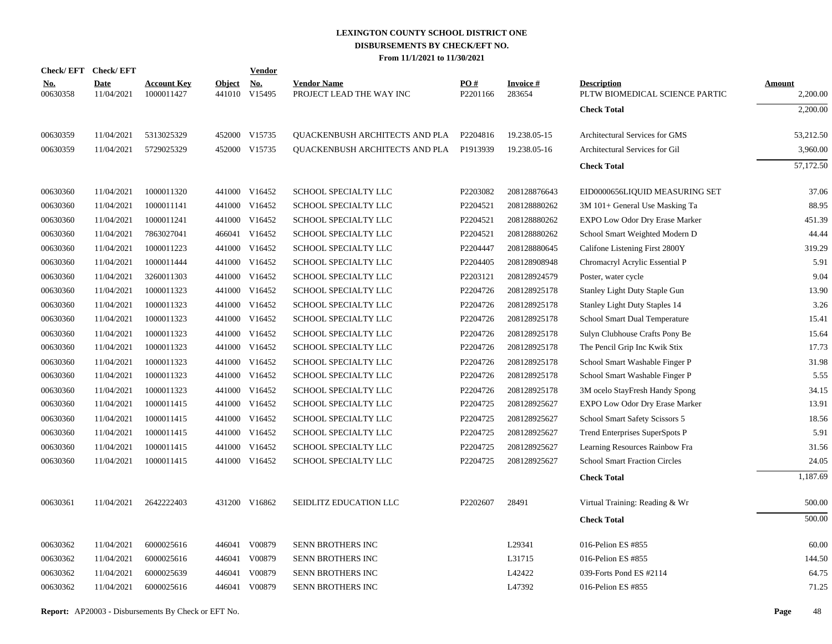|                        | Check/EFT Check/EFT |                                  |               | <b>Vendor</b>        |                                                |                 |                     |                                                      |                    |
|------------------------|---------------------|----------------------------------|---------------|----------------------|------------------------------------------------|-----------------|---------------------|------------------------------------------------------|--------------------|
| <u>No.</u><br>00630358 | Date<br>11/04/2021  | <b>Account Key</b><br>1000011427 | <b>Object</b> | No.<br>441010 V15495 | <b>Vendor Name</b><br>PROJECT LEAD THE WAY INC | PO#<br>P2201166 | Invoice #<br>283654 | <b>Description</b><br>PLTW BIOMEDICAL SCIENCE PARTIC | Amount<br>2,200.00 |
|                        |                     |                                  |               |                      |                                                |                 |                     | <b>Check Total</b>                                   | 2,200.00           |
| 00630359               | 11/04/2021          | 5313025329                       |               | 452000 V15735        | QUACKENBUSH ARCHITECTS AND PLA                 | P2204816        | 19.238.05-15        | Architectural Services for GMS                       | 53,212.50          |
| 00630359               | 11/04/2021          | 5729025329                       |               | 452000 V15735        | <b>QUACKENBUSH ARCHITECTS AND PLA P1913939</b> |                 | 19.238.05-16        | Architectural Services for Gil                       | 3,960.00           |
|                        |                     |                                  |               |                      |                                                |                 |                     | <b>Check Total</b>                                   | 57,172.50          |
| 00630360               | 11/04/2021          | 1000011320                       |               | 441000 V16452        | SCHOOL SPECIALTY LLC                           | P2203082        | 208128876643        | EID0000656LIQUID MEASURING SET                       | 37.06              |
| 00630360               | 11/04/2021          | 1000011141                       |               | 441000 V16452        | SCHOOL SPECIALTY LLC                           | P2204521        | 208128880262        | 3M 101+ General Use Masking Ta                       | 88.95              |
| 00630360               | 11/04/2021          | 1000011241                       |               | 441000 V16452        | SCHOOL SPECIALTY LLC                           | P2204521        | 208128880262        | EXPO Low Odor Dry Erase Marker                       | 451.39             |
| 00630360               | 11/04/2021          | 7863027041                       |               | 466041 V16452        | <b>SCHOOL SPECIALTY LLC</b>                    | P2204521        | 208128880262        | School Smart Weighted Modern D                       | 44.44              |
| 00630360               | 11/04/2021          | 1000011223                       |               | 441000 V16452        | SCHOOL SPECIALTY LLC                           | P2204447        | 208128880645        | Califone Listening First 2800Y                       | 319.29             |
| 00630360               | 11/04/2021          | 1000011444                       |               | 441000 V16452        | SCHOOL SPECIALTY LLC                           | P2204405        | 208128908948        | Chromacryl Acrylic Essential P                       | 5.91               |
| 00630360               | 11/04/2021          | 3260011303                       |               | 441000 V16452        | SCHOOL SPECIALTY LLC                           | P2203121        | 208128924579        | Poster, water cycle                                  | 9.04               |
| 00630360               | 11/04/2021          | 1000011323                       |               | 441000 V16452        | SCHOOL SPECIALTY LLC                           | P2204726        | 208128925178        | Stanley Light Duty Staple Gun                        | 13.90              |
| 00630360               | 11/04/2021          | 1000011323                       |               | 441000 V16452        | SCHOOL SPECIALTY LLC                           | P2204726        | 208128925178        | Stanley Light Duty Staples 14                        | 3.26               |
| 00630360               | 11/04/2021          | 1000011323                       |               | 441000 V16452        | SCHOOL SPECIALTY LLC                           | P2204726        | 208128925178        | School Smart Dual Temperature                        | 15.41              |
| 00630360               | 11/04/2021          | 1000011323                       |               | 441000 V16452        | SCHOOL SPECIALTY LLC                           | P2204726        | 208128925178        | Sulyn Clubhouse Crafts Pony Be                       | 15.64              |
| 00630360               | 11/04/2021          | 1000011323                       |               | 441000 V16452        | SCHOOL SPECIALTY LLC                           | P2204726        | 208128925178        | The Pencil Grip Inc Kwik Stix                        | 17.73              |
| 00630360               | 11/04/2021          | 1000011323                       |               | 441000 V16452        | SCHOOL SPECIALTY LLC                           | P2204726        | 208128925178        | School Smart Washable Finger P                       | 31.98              |
| 00630360               | 11/04/2021          | 1000011323                       |               | 441000 V16452        | SCHOOL SPECIALTY LLC                           | P2204726        | 208128925178        | School Smart Washable Finger P                       | 5.55               |
| 00630360               | 11/04/2021          | 1000011323                       |               | 441000 V16452        | SCHOOL SPECIALTY LLC                           | P2204726        | 208128925178        | 3M ocelo StayFresh Handy Spong                       | 34.15              |
| 00630360               | 11/04/2021          | 1000011415                       |               | 441000 V16452        | SCHOOL SPECIALTY LLC                           | P2204725        | 208128925627        | EXPO Low Odor Dry Erase Marker                       | 13.91              |
| 00630360               | 11/04/2021          | 1000011415                       |               | 441000 V16452        | SCHOOL SPECIALTY LLC                           | P2204725        | 208128925627        | School Smart Safety Scissors 5                       | 18.56              |
| 00630360               | 11/04/2021          | 1000011415                       |               | 441000 V16452        | SCHOOL SPECIALTY LLC                           | P2204725        | 208128925627        | Trend Enterprises SuperSpots P                       | 5.91               |
| 00630360               | 11/04/2021          | 1000011415                       |               | 441000 V16452        | SCHOOL SPECIALTY LLC                           | P2204725        | 208128925627        | Learning Resources Rainbow Fra                       | 31.56              |
| 00630360               | 11/04/2021          | 1000011415                       |               | 441000 V16452        | SCHOOL SPECIALTY LLC                           | P2204725        | 208128925627        | <b>School Smart Fraction Circles</b>                 | 24.05              |
|                        |                     |                                  |               |                      |                                                |                 |                     | <b>Check Total</b>                                   | 1,187.69           |
| 00630361               | 11/04/2021          | 2642222403                       |               | 431200 V16862        | SEIDLITZ EDUCATION LLC                         | P2202607        | 28491               | Virtual Training: Reading & Wr                       | 500.00             |
|                        |                     |                                  |               |                      |                                                |                 |                     | <b>Check Total</b>                                   | 500.00             |
| 00630362               | 11/04/2021          | 6000025616                       |               | 446041 V00879        | <b>SENN BROTHERS INC</b>                       |                 | L29341              | 016-Pelion ES #855                                   | 60.00              |
| 00630362               | 11/04/2021          | 6000025616                       |               | 446041 V00879        | SENN BROTHERS INC                              |                 | L31715              | 016-Pelion ES #855                                   | 144.50             |
| 00630362               | 11/04/2021          | 6000025639                       | 446041        | V00879               | SENN BROTHERS INC                              |                 | L42422              | 039-Forts Pond ES #2114                              | 64.75              |
| 00630362               | 11/04/2021          | 6000025616                       |               | 446041 V00879        | SENN BROTHERS INC                              |                 | L47392              | 016-Pelion ES #855                                   | 71.25              |
|                        |                     |                                  |               |                      |                                                |                 |                     |                                                      |                    |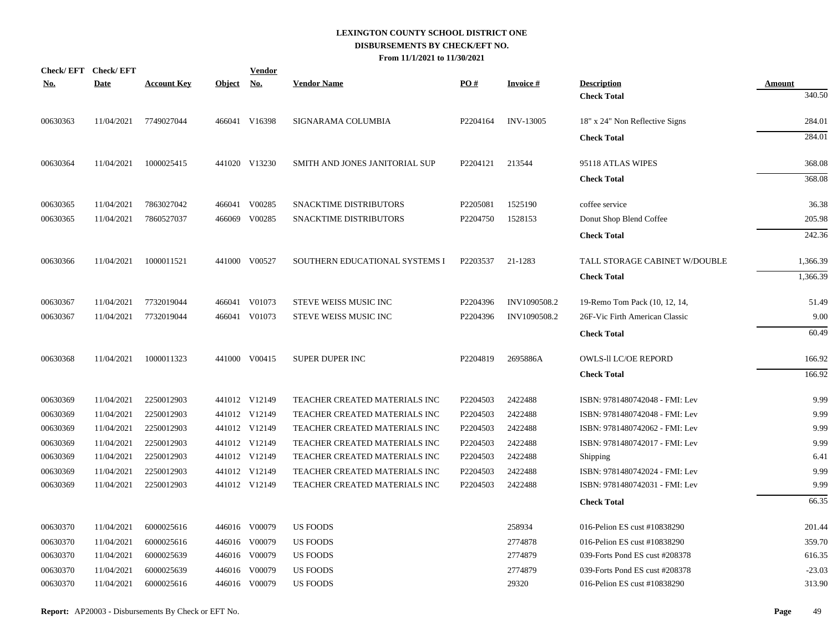| <u>No.</u> | Check/EFT Check/EFT<br><b>Date</b> | <b>Account Key</b> | Object No. | <b>Vendor</b> | <b>Vendor Name</b>             | PO#      | <b>Invoice#</b>  | <b>Description</b>             | Amount   |
|------------|------------------------------------|--------------------|------------|---------------|--------------------------------|----------|------------------|--------------------------------|----------|
|            |                                    |                    |            |               |                                |          |                  | <b>Check Total</b>             | 340.50   |
| 00630363   | 11/04/2021                         | 7749027044         |            | 466041 V16398 | SIGNARAMA COLUMBIA             | P2204164 | <b>INV-13005</b> | 18" x 24" Non Reflective Signs | 284.01   |
|            |                                    |                    |            |               |                                |          |                  | <b>Check Total</b>             | 284.01   |
| 00630364   | 11/04/2021                         | 1000025415         |            | 441020 V13230 | SMITH AND JONES JANITORIAL SUP | P2204121 | 213544           | 95118 ATLAS WIPES              | 368.08   |
|            |                                    |                    |            |               |                                |          |                  | <b>Check Total</b>             | 368.08   |
| 00630365   | 11/04/2021                         | 7863027042         |            | 466041 V00285 | <b>SNACKTIME DISTRIBUTORS</b>  | P2205081 | 1525190          | coffee service                 | 36.38    |
| 00630365   | 11/04/2021                         | 7860527037         |            | 466069 V00285 | SNACKTIME DISTRIBUTORS         | P2204750 | 1528153          | Donut Shop Blend Coffee        | 205.98   |
|            |                                    |                    |            |               |                                |          |                  | <b>Check Total</b>             | 242.36   |
| 00630366   | 11/04/2021                         | 1000011521         |            | 441000 V00527 | SOUTHERN EDUCATIONAL SYSTEMS I | P2203537 | 21-1283          | TALL STORAGE CABINET W/DOUBLE  | 1,366.39 |
|            |                                    |                    |            |               |                                |          |                  | <b>Check Total</b>             | 1,366.39 |
| 00630367   | 11/04/2021                         | 7732019044         |            | 466041 V01073 | STEVE WEISS MUSIC INC          | P2204396 | INV1090508.2     | 19-Remo Tom Pack (10, 12, 14,  | 51.49    |
| 00630367   | 11/04/2021                         | 7732019044         |            | 466041 V01073 | STEVE WEISS MUSIC INC          | P2204396 | INV1090508.2     | 26F-Vic Firth American Classic | 9.00     |
|            |                                    |                    |            |               |                                |          |                  | <b>Check Total</b>             | 60.49    |
| 00630368   | 11/04/2021                         | 1000011323         |            | 441000 V00415 | SUPER DUPER INC                | P2204819 | 2695886A         | <b>OWLS-II LC/OE REPORD</b>    | 166.92   |
|            |                                    |                    |            |               |                                |          |                  | <b>Check Total</b>             | 166.92   |
| 00630369   | 11/04/2021                         | 2250012903         |            | 441012 V12149 | TEACHER CREATED MATERIALS INC  | P2204503 | 2422488          | ISBN: 9781480742048 - FMI: Lev | 9.99     |
| 00630369   | 11/04/2021                         | 2250012903         |            | 441012 V12149 | TEACHER CREATED MATERIALS INC  | P2204503 | 2422488          | ISBN: 9781480742048 - FMI: Lev | 9.99     |
| 00630369   | 11/04/2021                         | 2250012903         |            | 441012 V12149 | TEACHER CREATED MATERIALS INC  | P2204503 | 2422488          | ISBN: 9781480742062 - FMI: Lev | 9.99     |
| 00630369   | 11/04/2021                         | 2250012903         |            | 441012 V12149 | TEACHER CREATED MATERIALS INC  | P2204503 | 2422488          | ISBN: 9781480742017 - FMI: Lev | 9.99     |
| 00630369   | 11/04/2021                         | 2250012903         |            | 441012 V12149 | TEACHER CREATED MATERIALS INC  | P2204503 | 2422488          | Shipping                       | 6.41     |
| 00630369   | 11/04/2021                         | 2250012903         |            | 441012 V12149 | TEACHER CREATED MATERIALS INC  | P2204503 | 2422488          | ISBN: 9781480742024 - FMI: Lev | 9.99     |
| 00630369   | 11/04/2021                         | 2250012903         |            | 441012 V12149 | TEACHER CREATED MATERIALS INC  | P2204503 | 2422488          | ISBN: 9781480742031 - FMI: Lev | 9.99     |
|            |                                    |                    |            |               |                                |          |                  | <b>Check Total</b>             | 66.35    |
| 00630370   | 11/04/2021                         | 6000025616         |            | 446016 V00079 | <b>US FOODS</b>                |          | 258934           | 016-Pelion ES cust #10838290   | 201.44   |
| 00630370   | 11/04/2021                         | 6000025616         |            | 446016 V00079 | <b>US FOODS</b>                |          | 2774878          | 016-Pelion ES cust #10838290   | 359.70   |
| 00630370   | 11/04/2021                         | 6000025639         |            | 446016 V00079 | <b>US FOODS</b>                |          | 2774879          | 039-Forts Pond ES cust #208378 | 616.35   |
| 00630370   | 11/04/2021                         | 6000025639         |            | 446016 V00079 | <b>US FOODS</b>                |          | 2774879          | 039-Forts Pond ES cust #208378 | $-23.03$ |
| 00630370   | 11/04/2021                         | 6000025616         |            | 446016 V00079 | <b>US FOODS</b>                |          | 29320            | 016-Pelion ES cust #10838290   | 313.90   |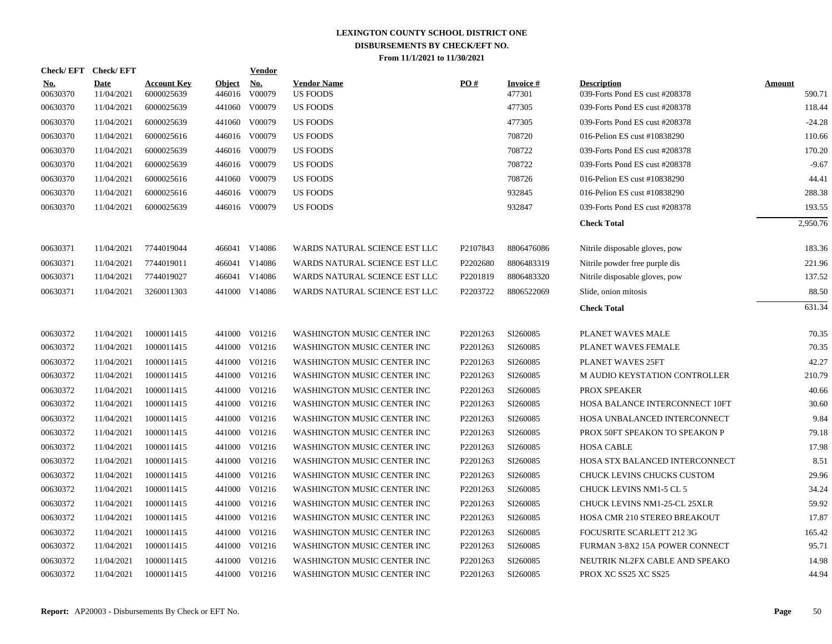| <b>Check/EFT</b>       | <b>Check/EFT</b>   |                                  |                         | <b>Vendor</b>        |                                       |          |                           |                                                      |                  |
|------------------------|--------------------|----------------------------------|-------------------------|----------------------|---------------------------------------|----------|---------------------------|------------------------------------------------------|------------------|
| <u>No.</u><br>00630370 | Date<br>11/04/2021 | <b>Account Key</b><br>6000025639 | <b>Object</b><br>446016 | <u>No.</u><br>V00079 | <b>Vendor Name</b><br><b>US FOODS</b> | PO#      | <b>Invoice#</b><br>477301 | <b>Description</b><br>039-Forts Pond ES cust #208378 | Amount<br>590.71 |
| 00630370               | 11/04/2021         | 6000025639                       | 441060                  | V00079               | <b>US FOODS</b>                       |          | 477305                    | 039-Forts Pond ES cust #208378                       | 118.44           |
| 00630370               | 11/04/2021         | 6000025639                       | 441060                  | V00079               | US FOODS                              |          | 477305                    | 039-Forts Pond ES cust #208378                       | $-24.28$         |
| 00630370               | 11/04/2021         | 6000025616                       |                         | 446016 V00079        | <b>US FOODS</b>                       |          | 708720                    | 016-Pelion ES cust #10838290                         | 110.66           |
| 00630370               | 11/04/2021         | 6000025639                       |                         | 446016 V00079        | <b>US FOODS</b>                       |          | 708722                    | 039-Forts Pond ES cust #208378                       | 170.20           |
| 00630370               | 11/04/2021         | 6000025639                       |                         | 446016 V00079        | <b>US FOODS</b>                       |          | 708722                    | 039-Forts Pond ES cust #208378                       | $-9.67$          |
| 00630370               | 11/04/2021         | 6000025616                       |                         | 441060 V00079        | <b>US FOODS</b>                       |          | 708726                    | 016-Pelion ES cust #10838290                         | 44.41            |
| 00630370               | 11/04/2021         | 6000025616                       |                         | 446016 V00079        | US FOODS                              |          | 932845                    | 016-Pelion ES cust #10838290                         | 288.38           |
| 00630370               | 11/04/2021         | 6000025639                       |                         | 446016 V00079        | US FOODS                              |          | 932847                    | 039-Forts Pond ES cust #208378                       | 193.55           |
|                        |                    |                                  |                         |                      |                                       |          |                           | <b>Check Total</b>                                   | 2,950.76         |
| 00630371               | 11/04/2021         | 7744019044                       |                         | 466041 V14086        | WARDS NATURAL SCIENCE EST LLC         | P2107843 | 8806476086                | Nitrile disposable gloves, pow                       | 183.36           |
| 00630371               | 11/04/2021         | 7744019011                       |                         | 466041 V14086        | WARDS NATURAL SCIENCE EST LLC         | P2202680 | 8806483319                | Nitrile powder free purple dis                       | 221.96           |
| 00630371               | 11/04/2021         | 7744019027                       | 466041                  | V14086               | WARDS NATURAL SCIENCE EST LLC         | P2201819 | 8806483320                | Nitrile disposable gloves, pow                       | 137.52           |
| 00630371               | 11/04/2021         | 3260011303                       |                         | 441000 V14086        | WARDS NATURAL SCIENCE EST LLC         | P2203722 | 8806522069                | Slide, onion mitosis                                 | 88.50            |
|                        |                    |                                  |                         |                      |                                       |          |                           | <b>Check Total</b>                                   | 631.34           |
| 00630372               | 11/04/2021         | 1000011415                       |                         | 441000 V01216        | WASHINGTON MUSIC CENTER INC           | P2201263 | SI260085                  | PLANET WAVES MALE                                    | 70.35            |
| 00630372               | 11/04/2021         | 1000011415                       | 441000                  | V01216               | WASHINGTON MUSIC CENTER INC           | P2201263 | SI260085                  | PLANET WAVES FEMALE                                  | 70.35            |
| 00630372               | 11/04/2021         | 1000011415                       | 441000                  | V01216               | WASHINGTON MUSIC CENTER INC           | P2201263 | SI260085                  | PLANET WAVES 25FT                                    | 42.27            |
| 00630372               | 11/04/2021         | 1000011415                       |                         | 441000 V01216        | WASHINGTON MUSIC CENTER INC           | P2201263 | SI260085                  | M AUDIO KEYSTATION CONTROLLER                        | 210.79           |
| 00630372               | 11/04/2021         | 1000011415                       | 441000                  | V01216               | WASHINGTON MUSIC CENTER INC           | P2201263 | SI260085                  | PROX SPEAKER                                         | 40.66            |
| 00630372               | 11/04/2021         | 1000011415                       |                         | 441000 V01216        | WASHINGTON MUSIC CENTER INC           | P2201263 | SI260085                  | HOSA BALANCE INTERCONNECT 10FT                       | 30.60            |
| 00630372               | 11/04/2021         | 1000011415                       |                         | 441000 V01216        | WASHINGTON MUSIC CENTER INC           | P2201263 | SI260085                  | HOSA UNBALANCED INTERCONNECT                         | 9.84             |
| 00630372               | 11/04/2021         | 1000011415                       |                         | 441000 V01216        | WASHINGTON MUSIC CENTER INC           | P2201263 | SI260085                  | PROX 50FT SPEAKON TO SPEAKON P                       | 79.18            |
| 00630372               | 11/04/2021         | 1000011415                       | 441000                  | V01216               | WASHINGTON MUSIC CENTER INC           | P2201263 | SI260085                  | <b>HOSA CABLE</b>                                    | 17.98            |
| 00630372               | 11/04/2021         | 1000011415                       |                         | 441000 V01216        | WASHINGTON MUSIC CENTER INC           | P2201263 | SI260085                  | HOSA STX BALANCED INTERCONNECT                       | 8.51             |
| 00630372               | 11/04/2021         | 1000011415                       | 441000                  | V01216               | WASHINGTON MUSIC CENTER INC           | P2201263 | SI260085                  | CHUCK LEVINS CHUCKS CUSTOM                           | 29.96            |
| 00630372               | 11/04/2021         | 1000011415                       | 441000                  | V01216               | WASHINGTON MUSIC CENTER INC           | P2201263 | SI260085                  | <b>CHUCK LEVINS NM1-5 CL 5</b>                       | 34.24            |
| 00630372               | 11/04/2021         | 1000011415                       | 441000                  | V01216               | WASHINGTON MUSIC CENTER INC           | P2201263 | SI260085                  | CHUCK LEVINS NM1-25-CL 25XLR                         | 59.92            |
| 00630372               | 11/04/2021         | 1000011415                       |                         | 441000 V01216        | WASHINGTON MUSIC CENTER INC           | P2201263 | SI260085                  | HOSA CMR 210 STEREO BREAKOUT                         | 17.87            |
| 00630372               | 11/04/2021         | 1000011415                       | 441000                  | V01216               | WASHINGTON MUSIC CENTER INC           | P2201263 | SI260085                  | FOCUSRITE SCARLETT 212 3G                            | 165.42           |
| 00630372               | 11/04/2021         | 1000011415                       | 441000                  | V01216               | WASHINGTON MUSIC CENTER INC           | P2201263 | SI260085                  | FURMAN 3-8X2 15A POWER CONNECT                       | 95.71            |
| 00630372               | 11/04/2021         | 1000011415                       | 441000                  | V01216               | WASHINGTON MUSIC CENTER INC           | P2201263 | SI260085                  | NEUTRIK NL2FX CABLE AND SPEAKO                       | 14.98            |
| 00630372               | 11/04/2021         | 1000011415                       |                         | 441000 V01216        | WASHINGTON MUSIC CENTER INC           | P2201263 | SI260085                  | PROX XC SS25 XC SS25                                 | 44.94            |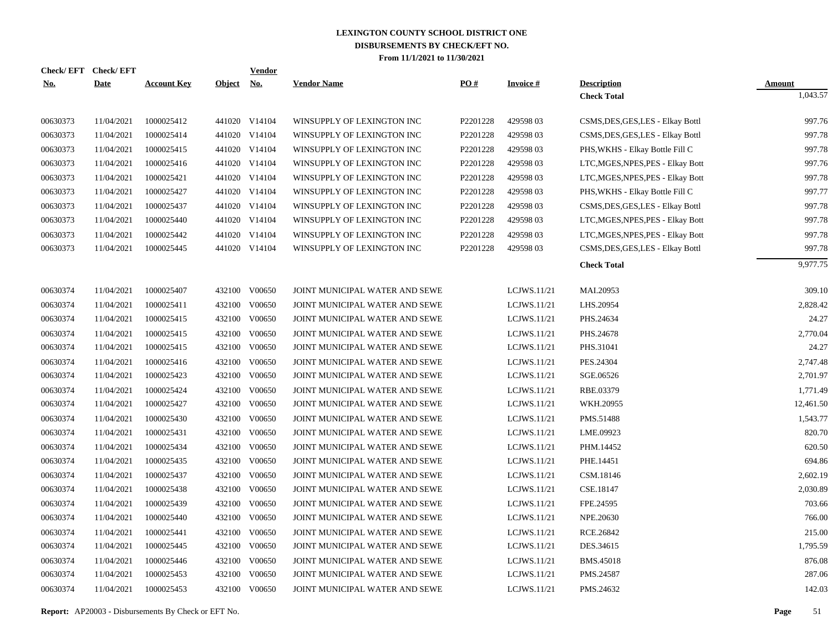|            | Check/EFT Check/EFT |                    |            | <b>Vendor</b> |                                |                    |                 |                                   |               |
|------------|---------------------|--------------------|------------|---------------|--------------------------------|--------------------|-----------------|-----------------------------------|---------------|
| <u>No.</u> | <b>Date</b>         | <b>Account Key</b> | Object No. |               | <b>Vendor Name</b>             | $\underline{PO}$ # | <b>Invoice#</b> | <b>Description</b>                | <b>Amount</b> |
|            |                     |                    |            |               |                                |                    |                 | <b>Check Total</b>                | 1,043.57      |
| 00630373   | 11/04/2021          | 1000025412         |            | 441020 V14104 | WINSUPPLY OF LEXINGTON INC     | P2201228           | 42959803        | CSMS, DES, GES, LES - Elkay Bottl | 997.76        |
| 00630373   | 11/04/2021          | 1000025414         |            | 441020 V14104 | WINSUPPLY OF LEXINGTON INC     | P2201228           | 42959803        | CSMS, DES, GES, LES - Elkay Bottl | 997.78        |
| 00630373   | 11/04/2021          | 1000025415         |            | 441020 V14104 | WINSUPPLY OF LEXINGTON INC     | P2201228           | 42959803        | PHS, WKHS - Elkay Bottle Fill C   | 997.78        |
| 00630373   | 11/04/2021          | 1000025416         |            | 441020 V14104 | WINSUPPLY OF LEXINGTON INC     | P2201228           | 42959803        | LTC, MGES, NPES, PES - Elkay Bott | 997.76        |
| 00630373   | 11/04/2021          | 1000025421         |            | 441020 V14104 | WINSUPPLY OF LEXINGTON INC     | P2201228           | 42959803        | LTC, MGES, NPES, PES - Elkay Bott | 997.78        |
| 00630373   | 11/04/2021          | 1000025427         |            | 441020 V14104 | WINSUPPLY OF LEXINGTON INC     | P2201228           | 42959803        | PHS, WKHS - Elkay Bottle Fill C   | 997.77        |
| 00630373   | 11/04/2021          | 1000025437         |            | 441020 V14104 | WINSUPPLY OF LEXINGTON INC     | P2201228           | 42959803        | CSMS, DES, GES, LES - Elkay Bottl | 997.78        |
| 00630373   | 11/04/2021          | 1000025440         |            | 441020 V14104 | WINSUPPLY OF LEXINGTON INC     | P2201228           | 42959803        | LTC, MGES, NPES, PES - Elkay Bott | 997.78        |
| 00630373   | 11/04/2021          | 1000025442         |            | 441020 V14104 | WINSUPPLY OF LEXINGTON INC     | P2201228           | 42959803        | LTC, MGES, NPES, PES - Elkay Bott | 997.78        |
| 00630373   | 11/04/2021          | 1000025445         |            | 441020 V14104 | WINSUPPLY OF LEXINGTON INC     | P2201228           | 42959803        | CSMS, DES, GES, LES - Elkay Bottl | 997.78        |
|            |                     |                    |            |               |                                |                    |                 | <b>Check Total</b>                | 9,977.75      |
| 00630374   | 11/04/2021          | 1000025407         |            | 432100 V00650 | JOINT MUNICIPAL WATER AND SEWE |                    | LCJWS.11/21     | MAI.20953                         | 309.10        |
| 00630374   | 11/04/2021          | 1000025411         |            | 432100 V00650 | JOINT MUNICIPAL WATER AND SEWE |                    | LCJWS.11/21     | LHS.20954                         | 2,828.42      |
| 00630374   | 11/04/2021          | 1000025415         |            | 432100 V00650 | JOINT MUNICIPAL WATER AND SEWE |                    | LCJWS.11/21     | PHS.24634                         | 24.27         |
| 00630374   | 11/04/2021          | 1000025415         |            | 432100 V00650 | JOINT MUNICIPAL WATER AND SEWE |                    | LCJWS.11/21     | PHS.24678                         | 2,770.04      |
| 00630374   | 11/04/2021          | 1000025415         | 432100     | V00650        | JOINT MUNICIPAL WATER AND SEWE |                    | LCJWS.11/21     | PHS.31041                         | 24.27         |
| 00630374   | 11/04/2021          | 1000025416         |            | 432100 V00650 | JOINT MUNICIPAL WATER AND SEWE |                    | LCJWS.11/21     | PES.24304                         | 2,747.48      |
| 00630374   | 11/04/2021          | 1000025423         |            | 432100 V00650 | JOINT MUNICIPAL WATER AND SEWE |                    | LCJWS.11/21     | SGE.06526                         | 2,701.97      |
| 00630374   | 11/04/2021          | 1000025424         |            | 432100 V00650 | JOINT MUNICIPAL WATER AND SEWE |                    | LCJWS.11/21     | RBE.03379                         | 1,771.49      |
| 00630374   | 11/04/2021          | 1000025427         |            | 432100 V00650 | JOINT MUNICIPAL WATER AND SEWE |                    | LCJWS.11/21     | WKH.20955                         | 12,461.50     |
| 00630374   | 11/04/2021          | 1000025430         | 432100     | V00650        | JOINT MUNICIPAL WATER AND SEWE |                    | LCJWS.11/21     | PMS.51488                         | 1,543.77      |
| 00630374   | 11/04/2021          | 1000025431         |            | 432100 V00650 | JOINT MUNICIPAL WATER AND SEWE |                    | LCJWS.11/21     | LME.09923                         | 820.70        |
| 00630374   | 11/04/2021          | 1000025434         | 432100     | V00650        | JOINT MUNICIPAL WATER AND SEWE |                    | LCJWS.11/21     | PHM.14452                         | 620.50        |
| 00630374   | 11/04/2021          | 1000025435         |            | 432100 V00650 | JOINT MUNICIPAL WATER AND SEWE |                    | LCJWS.11/21     | PHE.14451                         | 694.86        |
| 00630374   | 11/04/2021          | 1000025437         | 432100     | V00650        | JOINT MUNICIPAL WATER AND SEWE |                    | LCJWS.11/21     | CSM.18146                         | 2,602.19      |
| 00630374   | 11/04/2021          | 1000025438         |            | 432100 V00650 | JOINT MUNICIPAL WATER AND SEWE |                    | LCJWS.11/21     | CSE.18147                         | 2,030.89      |
| 00630374   | 11/04/2021          | 1000025439         | 432100     | V00650        | JOINT MUNICIPAL WATER AND SEWE |                    | LCJWS.11/21     | FPE.24595                         | 703.66        |
| 00630374   | 11/04/2021          | 1000025440         |            | 432100 V00650 | JOINT MUNICIPAL WATER AND SEWE |                    | LCJWS.11/21     | NPE.20630                         | 766.00        |
| 00630374   | 11/04/2021          | 1000025441         | 432100     | V00650        | JOINT MUNICIPAL WATER AND SEWE |                    | LCJWS.11/21     | RCE.26842                         | 215.00        |
| 00630374   | 11/04/2021          | 1000025445         |            | 432100 V00650 | JOINT MUNICIPAL WATER AND SEWE |                    | LCJWS.11/21     | DES.34615                         | 1,795.59      |
| 00630374   | 11/04/2021          | 1000025446         |            | 432100 V00650 | JOINT MUNICIPAL WATER AND SEWE |                    | LCJWS.11/21     | BMS.45018                         | 876.08        |
| 00630374   | 11/04/2021          | 1000025453         |            | 432100 V00650 | JOINT MUNICIPAL WATER AND SEWE |                    | LCJWS.11/21     | PMS.24587                         | 287.06        |
| 00630374   | 11/04/2021          | 1000025453         |            | 432100 V00650 | JOINT MUNICIPAL WATER AND SEWE |                    | LCJWS.11/21     | PMS.24632                         | 142.03        |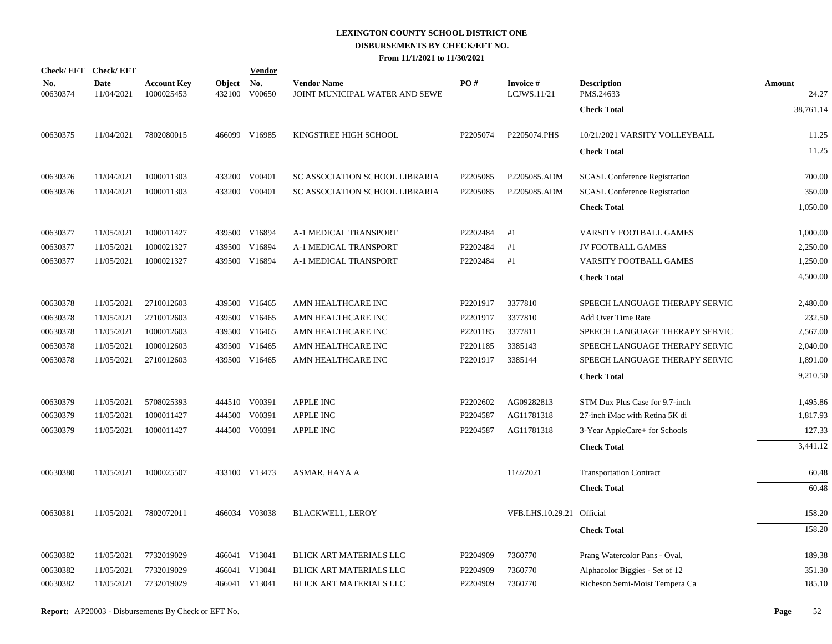| Check/EFT Check/EFT    |                           |                                  |                         | <b>Vendor</b>        |                                                      |          |                                |                                      |                        |
|------------------------|---------------------------|----------------------------------|-------------------------|----------------------|------------------------------------------------------|----------|--------------------------------|--------------------------------------|------------------------|
| <u>No.</u><br>00630374 | <b>Date</b><br>11/04/2021 | <b>Account Key</b><br>1000025453 | <b>Object</b><br>432100 | <u>No.</u><br>V00650 | <b>Vendor Name</b><br>JOINT MUNICIPAL WATER AND SEWE | PO#      | <b>Invoice#</b><br>LCJWS.11/21 | <b>Description</b><br>PMS.24633      | <b>Amount</b><br>24.27 |
|                        |                           |                                  |                         |                      |                                                      |          |                                | <b>Check Total</b>                   | 38,761.14              |
| 00630375               | 11/04/2021                | 7802080015                       |                         | 466099 V16985        | KINGSTREE HIGH SCHOOL                                | P2205074 | P2205074.PHS                   | 10/21/2021 VARSITY VOLLEYBALL        | 11.25                  |
|                        |                           |                                  |                         |                      |                                                      |          |                                | <b>Check Total</b>                   | 11.25                  |
| 00630376               | 11/04/2021                | 1000011303                       |                         | 433200 V00401        | SC ASSOCIATION SCHOOL LIBRARIA                       | P2205085 | P2205085.ADM                   | <b>SCASL Conference Registration</b> | 700.00                 |
| 00630376               | 11/04/2021                | 1000011303                       | 433200                  | V00401               | SC ASSOCIATION SCHOOL LIBRARIA                       | P2205085 | P2205085.ADM                   | <b>SCASL Conference Registration</b> | 350.00                 |
|                        |                           |                                  |                         |                      |                                                      |          |                                | <b>Check Total</b>                   | 1,050.00               |
| 00630377               | 11/05/2021                | 1000011427                       |                         | 439500 V16894        | A-1 MEDICAL TRANSPORT                                | P2202484 | #1                             | VARSITY FOOTBALL GAMES               | 1,000.00               |
| 00630377               | 11/05/2021                | 1000021327                       | 439500                  | V16894               | A-1 MEDICAL TRANSPORT                                | P2202484 | #1                             | <b>JV FOOTBALL GAMES</b>             | 2,250.00               |
| 00630377               | 11/05/2021                | 1000021327                       |                         | 439500 V16894        | A-1 MEDICAL TRANSPORT                                | P2202484 | #1                             | VARSITY FOOTBALL GAMES               | 1,250.00               |
|                        |                           |                                  |                         |                      |                                                      |          |                                | <b>Check Total</b>                   | 4,500.00               |
| 00630378               | 11/05/2021                | 2710012603                       |                         | 439500 V16465        | AMN HEALTHCARE INC                                   | P2201917 | 3377810                        | SPEECH LANGUAGE THERAPY SERVIC       | 2,480.00               |
| 00630378               | 11/05/2021                | 2710012603                       | 439500                  | V16465               | AMN HEALTHCARE INC                                   | P2201917 | 3377810                        | Add Over Time Rate                   | 232.50                 |
| 00630378               | 11/05/2021                | 1000012603                       |                         | 439500 V16465        | AMN HEALTHCARE INC                                   | P2201185 | 3377811                        | SPEECH LANGUAGE THERAPY SERVIC       | 2,567.00               |
| 00630378               | 11/05/2021                | 1000012603                       | 439500                  | V16465               | AMN HEALTHCARE INC                                   | P2201185 | 3385143                        | SPEECH LANGUAGE THERAPY SERVIC       | 2,040.00               |
| 00630378               | 11/05/2021                | 2710012603                       |                         | 439500 V16465        | AMN HEALTHCARE INC                                   | P2201917 | 3385144                        | SPEECH LANGUAGE THERAPY SERVIC       | 1,891.00               |
|                        |                           |                                  |                         |                      |                                                      |          |                                | <b>Check Total</b>                   | 9,210.50               |
| 00630379               | 11/05/2021                | 5708025393                       |                         | 444510 V00391        | <b>APPLE INC</b>                                     | P2202602 | AG09282813                     | STM Dux Plus Case for 9.7-inch       | 1,495.86               |
| 00630379               | 11/05/2021                | 1000011427                       | 444500                  | V00391               | APPLE INC                                            | P2204587 | AG11781318                     | 27-inch iMac with Retina 5K di       | 1,817.93               |
| 00630379               | 11/05/2021                | 1000011427                       |                         | 444500 V00391        | <b>APPLE INC</b>                                     | P2204587 | AG11781318                     | 3-Year AppleCare+ for Schools        | 127.33                 |
|                        |                           |                                  |                         |                      |                                                      |          |                                | <b>Check Total</b>                   | 3,441.12               |
| 00630380               | 11/05/2021                | 1000025507                       |                         | 433100 V13473        | ASMAR, HAYA A                                        |          | 11/2/2021                      | <b>Transportation Contract</b>       | 60.48                  |
|                        |                           |                                  |                         |                      |                                                      |          |                                | <b>Check Total</b>                   | 60.48                  |
| 00630381               | 11/05/2021                | 7802072011                       |                         | 466034 V03038        | <b>BLACKWELL, LEROY</b>                              |          | VFB.LHS.10.29.21 Official      |                                      | 158.20                 |
|                        |                           |                                  |                         |                      |                                                      |          |                                | <b>Check Total</b>                   | 158.20                 |
| 00630382               | 11/05/2021                | 7732019029                       |                         | 466041 V13041        | BLICK ART MATERIALS LLC                              | P2204909 | 7360770                        | Prang Watercolor Pans - Oval,        | 189.38                 |
| 00630382               | 11/05/2021                | 7732019029                       | 466041                  | V13041               | BLICK ART MATERIALS LLC                              | P2204909 | 7360770                        | Alphacolor Biggies - Set of 12       | 351.30                 |
| 00630382               | 11/05/2021                | 7732019029                       |                         | 466041 V13041        | BLICK ART MATERIALS LLC                              | P2204909 | 7360770                        | Richeson Semi-Moist Tempera Ca       | 185.10                 |
|                        |                           |                                  |                         |                      |                                                      |          |                                |                                      |                        |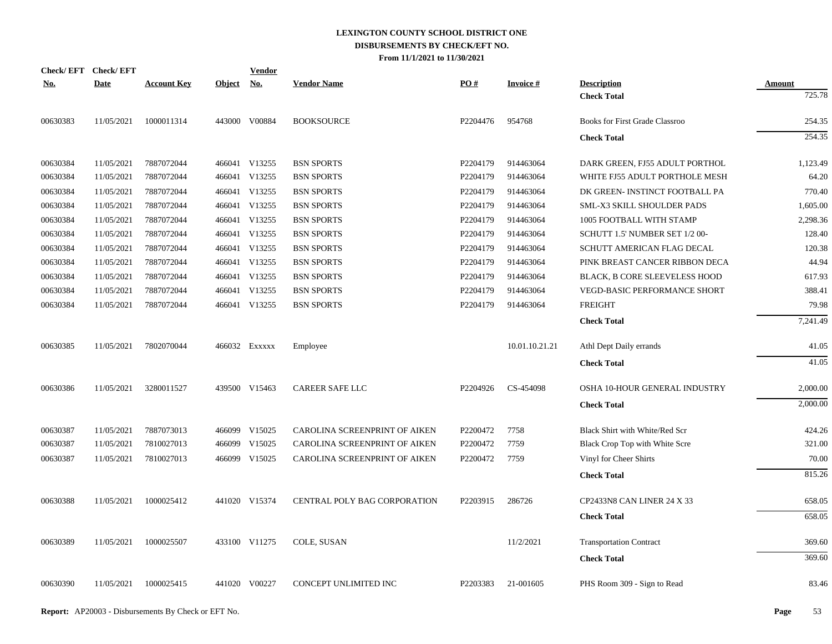| <b>Check/EFT</b> | <b>Check/EFT</b> |                    |               | <b>Vendor</b> |                               |          |                 |                                       |               |
|------------------|------------------|--------------------|---------------|---------------|-------------------------------|----------|-----------------|---------------------------------------|---------------|
| <u>No.</u>       | <b>Date</b>      | <b>Account Key</b> | <b>Object</b> | <u>No.</u>    | <b>Vendor Name</b>            | PO#      | <b>Invoice#</b> | <b>Description</b>                    | <b>Amount</b> |
|                  |                  |                    |               |               |                               |          |                 | <b>Check Total</b>                    | 725.78        |
| 00630383         | 11/05/2021       | 1000011314         |               | 443000 V00884 | <b>BOOKSOURCE</b>             | P2204476 | 954768          | <b>Books for First Grade Classroo</b> | 254.35        |
|                  |                  |                    |               |               |                               |          |                 | <b>Check Total</b>                    | 254.35        |
| 00630384         | 11/05/2021       | 7887072044         |               | 466041 V13255 | <b>BSN SPORTS</b>             | P2204179 | 914463064       | DARK GREEN, FJ55 ADULT PORTHOL        | 1,123.49      |
| 00630384         | 11/05/2021       | 7887072044         | 466041        | V13255        | <b>BSN SPORTS</b>             | P2204179 | 914463064       | WHITE FJ55 ADULT PORTHOLE MESH        | 64.20         |
| 00630384         | 11/05/2021       | 7887072044         |               | 466041 V13255 | <b>BSN SPORTS</b>             | P2204179 | 914463064       | DK GREEN- INSTINCT FOOTBALL PA        | 770.40        |
| 00630384         | 11/05/2021       | 7887072044         |               | 466041 V13255 | <b>BSN SPORTS</b>             | P2204179 | 914463064       | SML-X3 SKILL SHOULDER PADS            | 1,605.00      |
| 00630384         | 11/05/2021       | 7887072044         |               | 466041 V13255 | <b>BSN SPORTS</b>             | P2204179 | 914463064       | 1005 FOOTBALL WITH STAMP              | 2,298.36      |
| 00630384         | 11/05/2021       | 7887072044         |               | 466041 V13255 | <b>BSN SPORTS</b>             | P2204179 | 914463064       | SCHUTT 1.5' NUMBER SET 1/2 00-        | 128.40        |
| 00630384         | 11/05/2021       | 7887072044         |               | 466041 V13255 | <b>BSN SPORTS</b>             | P2204179 | 914463064       | SCHUTT AMERICAN FLAG DECAL            | 120.38        |
| 00630384         | 11/05/2021       | 7887072044         |               | 466041 V13255 | <b>BSN SPORTS</b>             | P2204179 | 914463064       | PINK BREAST CANCER RIBBON DECA        | 44.94         |
| 00630384         | 11/05/2021       | 7887072044         |               | 466041 V13255 | <b>BSN SPORTS</b>             | P2204179 | 914463064       | <b>BLACK, B CORE SLEEVELESS HOOD</b>  | 617.93        |
| 00630384         | 11/05/2021       | 7887072044         |               | 466041 V13255 | <b>BSN SPORTS</b>             | P2204179 | 914463064       | VEGD-BASIC PERFORMANCE SHORT          | 388.41        |
| 00630384         | 11/05/2021       | 7887072044         |               | 466041 V13255 | <b>BSN SPORTS</b>             | P2204179 | 914463064       | <b>FREIGHT</b>                        | 79.98         |
|                  |                  |                    |               |               |                               |          |                 | <b>Check Total</b>                    | 7,241.49      |
| 00630385         | 11/05/2021       | 7802070044         |               | 466032 Exxxxx | Employee                      |          | 10.01.10.21.21  | Athl Dept Daily errands               | 41.05         |
|                  |                  |                    |               |               |                               |          |                 | <b>Check Total</b>                    | 41.05         |
| 00630386         | 11/05/2021       | 3280011527         |               | 439500 V15463 | <b>CAREER SAFE LLC</b>        | P2204926 | CS-454098       | OSHA 10-HOUR GENERAL INDUSTRY         | 2,000.00      |
|                  |                  |                    |               |               |                               |          |                 | <b>Check Total</b>                    | 2,000.00      |
| 00630387         | 11/05/2021       | 7887073013         |               | 466099 V15025 | CAROLINA SCREENPRINT OF AIKEN | P2200472 | 7758            | Black Shirt with White/Red Scr        | 424.26        |
| 00630387         | 11/05/2021       | 7810027013         | 466099        | V15025        | CAROLINA SCREENPRINT OF AIKEN | P2200472 | 7759            | Black Crop Top with White Scre        | 321.00        |
| 00630387         | 11/05/2021       | 7810027013         |               | 466099 V15025 | CAROLINA SCREENPRINT OF AIKEN | P2200472 | 7759            | Vinyl for Cheer Shirts                | 70.00         |
|                  |                  |                    |               |               |                               |          |                 | <b>Check Total</b>                    | 815.26        |
| 00630388         | 11/05/2021       | 1000025412         |               | 441020 V15374 | CENTRAL POLY BAG CORPORATION  | P2203915 | 286726          | CP2433N8 CAN LINER 24 X 33            | 658.05        |
|                  |                  |                    |               |               |                               |          |                 | <b>Check Total</b>                    | 658.05        |
| 00630389         | 11/05/2021       | 1000025507         |               | 433100 V11275 | COLE, SUSAN                   |          | 11/2/2021       | <b>Transportation Contract</b>        | 369.60        |
|                  |                  |                    |               |               |                               |          |                 | <b>Check Total</b>                    | 369.60        |
| 00630390         | 11/05/2021       | 1000025415         |               | 441020 V00227 | CONCEPT UNLIMITED INC         | P2203383 | 21-001605       | PHS Room 309 - Sign to Read           | 83.46         |
|                  |                  |                    |               |               |                               |          |                 |                                       |               |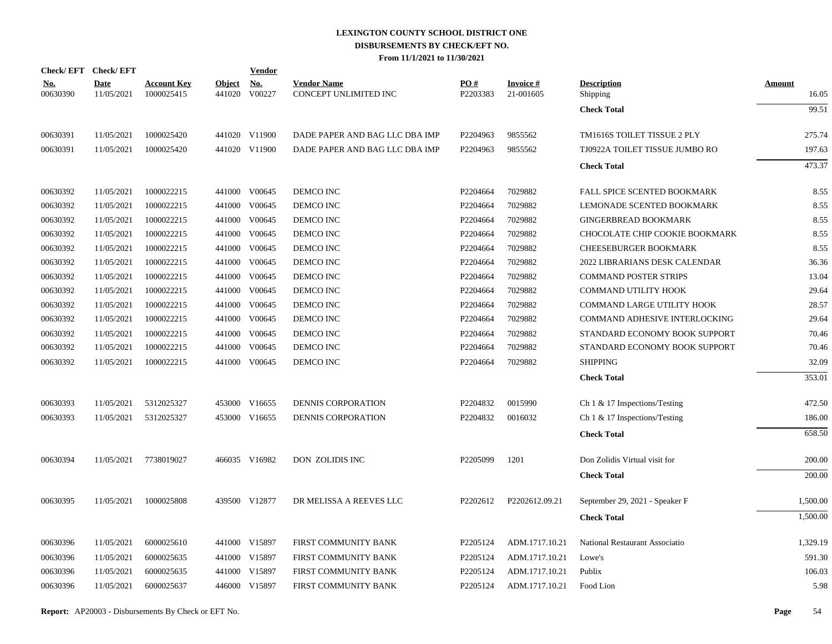|            | <b>Check/EFT</b> | <b>Check/EFT</b>          |                                  |                         | <b>Vendor</b>        |                                             |                 |                                 |                                  |                        |
|------------|------------------|---------------------------|----------------------------------|-------------------------|----------------------|---------------------------------------------|-----------------|---------------------------------|----------------------------------|------------------------|
| <u>No.</u> | 00630390         | <b>Date</b><br>11/05/2021 | <b>Account Key</b><br>1000025415 | <b>Object</b><br>441020 | <u>No.</u><br>V00227 | <b>Vendor Name</b><br>CONCEPT UNLIMITED INC | PO#<br>P2203383 | <b>Invoice</b> $#$<br>21-001605 | <b>Description</b><br>Shipping   | <b>Amount</b><br>16.05 |
|            |                  |                           |                                  |                         |                      |                                             |                 |                                 | <b>Check Total</b>               | 99.51                  |
|            | 00630391         | 11/05/2021                | 1000025420                       |                         | 441020 V11900        | DADE PAPER AND BAG LLC DBA IMP              | P2204963        | 9855562                         | TM1616S TOILET TISSUE 2 PLY      | 275.74                 |
|            | 00630391         | 11/05/2021                | 1000025420                       |                         | 441020 V11900        | DADE PAPER AND BAG LLC DBA IMP              | P2204963        | 9855562                         | TJ0922A TOILET TISSUE JUMBO RO   | 197.63                 |
|            |                  |                           |                                  |                         |                      |                                             |                 |                                 | <b>Check Total</b>               | 473.37                 |
|            | 00630392         | 11/05/2021                | 1000022215                       |                         | 441000 V00645        | DEMCO INC                                   | P2204664        | 7029882                         | FALL SPICE SCENTED BOOKMARK      | 8.55                   |
|            | 00630392         | 11/05/2021                | 1000022215                       |                         | 441000 V00645        | DEMCO INC                                   | P2204664        | 7029882                         | LEMONADE SCENTED BOOKMARK        | 8.55                   |
|            | 00630392         | 11/05/2021                | 1000022215                       |                         | 441000 V00645        | DEMCO INC                                   | P2204664        | 7029882                         | <b>GINGERBREAD BOOKMARK</b>      | 8.55                   |
|            | 00630392         | 11/05/2021                | 1000022215                       |                         | 441000 V00645        | DEMCO INC                                   | P2204664        | 7029882                         | CHOCOLATE CHIP COOKIE BOOKMARK   | 8.55                   |
|            | 00630392         | 11/05/2021                | 1000022215                       |                         | 441000 V00645        | DEMCO INC                                   | P2204664        | 7029882                         | CHEESEBURGER BOOKMARK            | 8.55                   |
|            | 00630392         | 11/05/2021                | 1000022215                       |                         | 441000 V00645        | DEMCO INC                                   | P2204664        | 7029882                         | 2022 LIBRARIANS DESK CALENDAR    | 36.36                  |
|            | 00630392         | 11/05/2021                | 1000022215                       |                         | 441000 V00645        | DEMCO INC                                   | P2204664        | 7029882                         | <b>COMMAND POSTER STRIPS</b>     | 13.04                  |
|            | 00630392         | 11/05/2021                | 1000022215                       |                         | 441000 V00645        | DEMCO INC                                   | P2204664        | 7029882                         | COMMAND UTILITY HOOK             | 29.64                  |
|            | 00630392         | 11/05/2021                | 1000022215                       |                         | 441000 V00645        | DEMCO INC                                   | P2204664        | 7029882                         | COMMAND LARGE UTILITY HOOK       | 28.57                  |
|            | 00630392         | 11/05/2021                | 1000022215                       |                         | 441000 V00645        | DEMCO INC                                   | P2204664        | 7029882                         | COMMAND ADHESIVE INTERLOCKING    | 29.64                  |
|            | 00630392         | 11/05/2021                | 1000022215                       |                         | 441000 V00645        | DEMCO INC                                   | P2204664        | 7029882                         | STANDARD ECONOMY BOOK SUPPORT    | 70.46                  |
|            | 00630392         | 11/05/2021                | 1000022215                       |                         | 441000 V00645        | DEMCO INC                                   | P2204664        | 7029882                         | STANDARD ECONOMY BOOK SUPPORT    | 70.46                  |
|            | 00630392         | 11/05/2021                | 1000022215                       |                         | 441000 V00645        | DEMCO INC                                   | P2204664        | 7029882                         | <b>SHIPPING</b>                  | 32.09                  |
|            |                  |                           |                                  |                         |                      |                                             |                 |                                 | <b>Check Total</b>               | 353.01                 |
|            | 00630393         | 11/05/2021                | 5312025327                       |                         | 453000 V16655        | <b>DENNIS CORPORATION</b>                   | P2204832        | 0015990                         | Ch $1 \& 17$ Inspections/Testing | 472.50                 |
|            | 00630393         | 11/05/2021                | 5312025327                       |                         | 453000 V16655        | DENNIS CORPORATION                          | P2204832        | 0016032                         | Ch 1 & 17 Inspections/Testing    | 186.00                 |
|            |                  |                           |                                  |                         |                      |                                             |                 |                                 | <b>Check Total</b>               | 658.50                 |
|            | 00630394         | 11/05/2021                | 7738019027                       |                         | 466035 V16982        | DON ZOLIDIS INC                             | P2205099        | 1201                            | Don Zolidis Virtual visit for    | 200.00                 |
|            |                  |                           |                                  |                         |                      |                                             |                 |                                 | <b>Check Total</b>               | 200.00                 |
|            | 00630395         | 11/05/2021                | 1000025808                       |                         | 439500 V12877        | DR MELISSA A REEVES LLC                     | P2202612        | P2202612.09.21                  | September 29, 2021 - Speaker F   | 1,500.00               |
|            |                  |                           |                                  |                         |                      |                                             |                 |                                 | <b>Check Total</b>               | 1,500.00               |
|            | 00630396         | 11/05/2021                | 6000025610                       |                         | 441000 V15897        | FIRST COMMUNITY BANK                        | P2205124        | ADM.1717.10.21                  | National Restaurant Associatio   | 1,329.19               |
|            | 00630396         | 11/05/2021                | 6000025635                       |                         | 441000 V15897        | FIRST COMMUNITY BANK                        | P2205124        | ADM.1717.10.21                  | Lowe's                           | 591.30                 |
|            | 00630396         | 11/05/2021                | 6000025635                       |                         | 441000 V15897        | FIRST COMMUNITY BANK                        | P2205124        | ADM.1717.10.21                  | Publix                           | 106.03                 |
|            | 00630396         | 11/05/2021                | 6000025637                       |                         | 446000 V15897        | FIRST COMMUNITY BANK                        | P2205124        | ADM.1717.10.21                  | Food Lion                        | 5.98                   |
|            |                  |                           |                                  |                         |                      |                                             |                 |                                 |                                  |                        |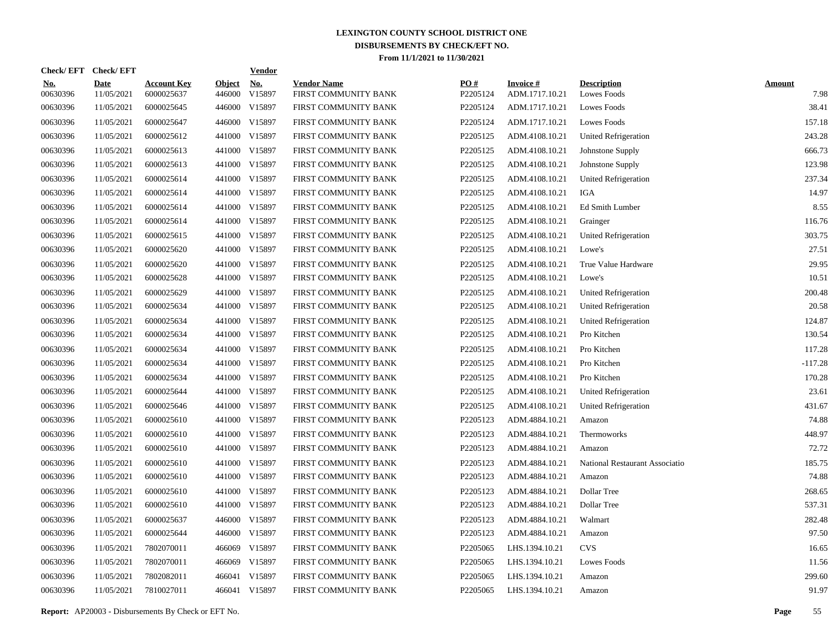| Check/EFT Check/EFT    |                           |                                  |                         | <b>Vendor</b>        |                                            |                 |                                   |                                   |                       |
|------------------------|---------------------------|----------------------------------|-------------------------|----------------------|--------------------------------------------|-----------------|-----------------------------------|-----------------------------------|-----------------------|
| <u>No.</u><br>00630396 | <b>Date</b><br>11/05/2021 | <b>Account Key</b><br>6000025637 | <b>Object</b><br>446000 | <u>No.</u><br>V15897 | <b>Vendor Name</b><br>FIRST COMMUNITY BANK | PO#<br>P2205124 | <b>Invoice#</b><br>ADM.1717.10.21 | <b>Description</b><br>Lowes Foods | <b>Amount</b><br>7.98 |
| 00630396               | 11/05/2021                | 6000025645                       | 446000                  | V15897               | FIRST COMMUNITY BANK                       | P2205124        | ADM.1717.10.21                    | <b>Lowes Foods</b>                | 38.41                 |
| 00630396               | 11/05/2021                | 6000025647                       | 446000                  | V15897               | FIRST COMMUNITY BANK                       | P2205124        | ADM.1717.10.21                    | Lowes Foods                       | 157.18                |
| 00630396               | 11/05/2021                | 6000025612                       | 441000                  | V15897               | FIRST COMMUNITY BANK                       | P2205125        | ADM.4108.10.21                    | <b>United Refrigeration</b>       | 243.28                |
| 00630396               | 11/05/2021                | 6000025613                       | 441000                  | V15897               | FIRST COMMUNITY BANK                       | P2205125        | ADM.4108.10.21                    | Johnstone Supply                  | 666.73                |
| 00630396               | 11/05/2021                | 6000025613                       | 441000                  | V15897               | FIRST COMMUNITY BANK                       | P2205125        | ADM.4108.10.21                    | Johnstone Supply                  | 123.98                |
| 00630396               | 11/05/2021                | 6000025614                       |                         | 441000 V15897        | FIRST COMMUNITY BANK                       | P2205125        | ADM.4108.10.21                    | United Refrigeration              | 237.34                |
| 00630396               | 11/05/2021                | 6000025614                       |                         | 441000 V15897        | FIRST COMMUNITY BANK                       | P2205125        | ADM.4108.10.21                    | IGA                               | 14.97                 |
| 00630396               | 11/05/2021                | 6000025614                       |                         | 441000 V15897        | FIRST COMMUNITY BANK                       | P2205125        | ADM.4108.10.21                    | Ed Smith Lumber                   | 8.55                  |
| 00630396               | 11/05/2021                | 6000025614                       |                         | 441000 V15897        | FIRST COMMUNITY BANK                       | P2205125        | ADM.4108.10.21                    | Grainger                          | 116.76                |
| 00630396               | 11/05/2021                | 6000025615                       | 441000                  | V15897               | FIRST COMMUNITY BANK                       | P2205125        | ADM.4108.10.21                    | United Refrigeration              | 303.75                |
| 00630396               | 11/05/2021                | 6000025620                       |                         | 441000 V15897        | FIRST COMMUNITY BANK                       | P2205125        | ADM.4108.10.21                    | Lowe's                            | 27.51                 |
| 00630396               | 11/05/2021                | 6000025620                       | 441000                  | V15897               | FIRST COMMUNITY BANK                       | P2205125        | ADM.4108.10.21                    | True Value Hardware               | 29.95                 |
| 00630396               | 11/05/2021                | 6000025628                       |                         | 441000 V15897        | FIRST COMMUNITY BANK                       | P2205125        | ADM.4108.10.21                    | Lowe's                            | 10.51                 |
| 00630396               | 11/05/2021                | 6000025629                       | 441000                  | V15897               | FIRST COMMUNITY BANK                       | P2205125        | ADM.4108.10.21                    | United Refrigeration              | 200.48                |
| 00630396               | 11/05/2021                | 6000025634                       | 441000                  | V15897               | FIRST COMMUNITY BANK                       | P2205125        | ADM.4108.10.21                    | <b>United Refrigeration</b>       | 20.58                 |
| 00630396               | 11/05/2021                | 6000025634                       | 441000                  | V15897               | FIRST COMMUNITY BANK                       | P2205125        | ADM.4108.10.21                    | United Refrigeration              | 124.87                |
| 00630396               | 11/05/2021                | 6000025634                       | 441000                  | V15897               | FIRST COMMUNITY BANK                       | P2205125        | ADM.4108.10.21                    | Pro Kitchen                       | 130.54                |
| 00630396               | 11/05/2021                | 6000025634                       | 441000                  | V15897               | FIRST COMMUNITY BANK                       | P2205125        | ADM.4108.10.21                    | Pro Kitchen                       | 117.28                |
| 00630396               | 11/05/2021                | 6000025634                       | 441000                  | V15897               | FIRST COMMUNITY BANK                       | P2205125        | ADM.4108.10.21                    | Pro Kitchen                       | $-117.28$             |
| 00630396               | 11/05/2021                | 6000025634                       | 441000                  | V15897               | FIRST COMMUNITY BANK                       | P2205125        | ADM.4108.10.21                    | Pro Kitchen                       | 170.28                |
| 00630396               | 11/05/2021                | 6000025644                       | 441000                  | V15897               | FIRST COMMUNITY BANK                       | P2205125        | ADM.4108.10.21                    | United Refrigeration              | 23.61                 |
| 00630396               | 11/05/2021                | 6000025646                       | 441000                  | V15897               | FIRST COMMUNITY BANK                       | P2205125        | ADM.4108.10.21                    | United Refrigeration              | 431.67                |
| 00630396               | 11/05/2021                | 6000025610                       | 441000                  | V15897               | FIRST COMMUNITY BANK                       | P2205123        | ADM.4884.10.21                    | Amazon                            | 74.88                 |
| 00630396               | 11/05/2021                | 6000025610                       | 441000                  | V15897               | FIRST COMMUNITY BANK                       | P2205123        | ADM.4884.10.21                    | Thermoworks                       | 448.97                |
| 00630396               | 11/05/2021                | 6000025610                       | 441000                  | V15897               | FIRST COMMUNITY BANK                       | P2205123        | ADM.4884.10.21                    | Amazon                            | 72.72                 |
| 00630396               | 11/05/2021                | 6000025610                       | 441000                  | V15897               | FIRST COMMUNITY BANK                       | P2205123        | ADM.4884.10.21                    | National Restaurant Associatio    | 185.75                |
| 00630396               | 11/05/2021                | 6000025610                       | 441000                  | V15897               | FIRST COMMUNITY BANK                       | P2205123        | ADM.4884.10.21                    | Amazon                            | 74.88                 |
| 00630396               | 11/05/2021                | 6000025610                       | 441000                  | V15897               | FIRST COMMUNITY BANK                       | P2205123        | ADM.4884.10.21                    | Dollar Tree                       | 268.65                |
| 00630396               | 11/05/2021                | 6000025610                       | 441000                  | V15897               | FIRST COMMUNITY BANK                       | P2205123        | ADM.4884.10.21                    | Dollar Tree                       | 537.31                |
| 00630396               | 11/05/2021                | 6000025637                       | 446000                  | V15897               | FIRST COMMUNITY BANK                       | P2205123        | ADM.4884.10.21                    | Walmart                           | 282.48                |
| 00630396               | 11/05/2021                | 6000025644                       | 446000                  | V15897               | FIRST COMMUNITY BANK                       | P2205123        | ADM.4884.10.21                    | Amazon                            | 97.50                 |
| 00630396               | 11/05/2021                | 7802070011                       | 466069                  | V15897               | FIRST COMMUNITY BANK                       | P2205065        | LHS.1394.10.21                    | <b>CVS</b>                        | 16.65                 |
| 00630396               | 11/05/2021                | 7802070011                       | 466069                  | V15897               | FIRST COMMUNITY BANK                       | P2205065        | LHS.1394.10.21                    | Lowes Foods                       | 11.56                 |
| 00630396               | 11/05/2021                | 7802082011                       | 466041                  | V15897               | FIRST COMMUNITY BANK                       | P2205065        | LHS.1394.10.21                    | Amazon                            | 299.60                |
| 00630396               | 11/05/2021                | 7810027011                       |                         | 466041 V15897        | FIRST COMMUNITY BANK                       | P2205065        | LHS.1394.10.21                    | Amazon                            | 91.97                 |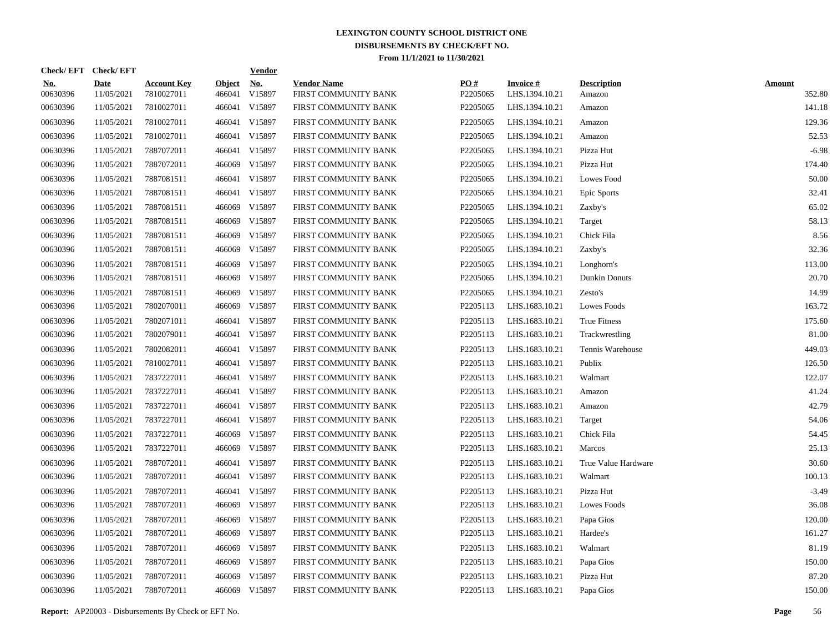|                        | Check/EFT Check/EFT       |                                  |                         | <b>Vendor</b>        |                                            |                 |                                    |                              |                         |
|------------------------|---------------------------|----------------------------------|-------------------------|----------------------|--------------------------------------------|-----------------|------------------------------------|------------------------------|-------------------------|
| <u>No.</u><br>00630396 | <b>Date</b><br>11/05/2021 | <b>Account Key</b><br>7810027011 | <b>Object</b><br>466041 | <b>No.</b><br>V15897 | <b>Vendor Name</b><br>FIRST COMMUNITY BANK | PO#<br>P2205065 | <b>Invoice #</b><br>LHS.1394.10.21 | <b>Description</b><br>Amazon | <b>Amount</b><br>352.80 |
| 00630396               | 11/05/2021                | 7810027011                       | 466041                  | V15897               | FIRST COMMUNITY BANK                       | P2205065        | LHS.1394.10.21                     | Amazon                       | 141.18                  |
| 00630396               | 11/05/2021                | 7810027011                       |                         | 466041 V15897        | FIRST COMMUNITY BANK                       | P2205065        | LHS.1394.10.21                     | Amazon                       | 129.36                  |
| 00630396               | 11/05/2021                | 7810027011                       |                         | 466041 V15897        | FIRST COMMUNITY BANK                       | P2205065        | LHS.1394.10.21                     | Amazon                       | 52.53                   |
| 00630396               | 11/05/2021                | 7887072011                       |                         | 466041 V15897        | FIRST COMMUNITY BANK                       | P2205065        | LHS.1394.10.21                     | Pizza Hut                    | $-6.98$                 |
| 00630396               | 11/05/2021                | 7887072011                       |                         | 466069 V15897        | FIRST COMMUNITY BANK                       | P2205065        | LHS.1394.10.21                     | Pizza Hut                    | 174.40                  |
| 00630396               | 11/05/2021                | 7887081511                       |                         | 466041 V15897        | FIRST COMMUNITY BANK                       | P2205065        | LHS.1394.10.21                     | Lowes Food                   | 50.00                   |
| 00630396               | 11/05/2021                | 7887081511                       |                         | 466041 V15897        | FIRST COMMUNITY BANK                       | P2205065        | LHS.1394.10.21                     | Epic Sports                  | 32.41                   |
| 00630396               | 11/05/2021                | 7887081511                       |                         | 466069 V15897        | FIRST COMMUNITY BANK                       | P2205065        | LHS.1394.10.21                     | Zaxby's                      | 65.02                   |
| 00630396               | 11/05/2021                | 7887081511                       | 466069                  | V15897               | FIRST COMMUNITY BANK                       | P2205065        | LHS.1394.10.21                     | Target                       | 58.13                   |
| 00630396               | 11/05/2021                | 7887081511                       |                         | 466069 V15897        | FIRST COMMUNITY BANK                       | P2205065        | LHS.1394.10.21                     | Chick Fila                   | 8.56                    |
| 00630396               | 11/05/2021                | 7887081511                       | 466069                  | V15897               | FIRST COMMUNITY BANK                       | P2205065        | LHS.1394.10.21                     | Zaxby's                      | 32.36                   |
| 00630396               | 11/05/2021                | 7887081511                       |                         | 466069 V15897        | FIRST COMMUNITY BANK                       | P2205065        | LHS.1394.10.21                     | Longhorn's                   | 113.00                  |
| 00630396               | 11/05/2021                | 7887081511                       |                         | 466069 V15897        | FIRST COMMUNITY BANK                       | P2205065        | LHS.1394.10.21                     | <b>Dunkin Donuts</b>         | 20.70                   |
| 00630396               | 11/05/2021                | 7887081511                       | 466069                  | V15897               | FIRST COMMUNITY BANK                       | P2205065        | LHS.1394.10.21                     | Zesto's                      | 14.99                   |
| 00630396               | 11/05/2021                | 7802070011                       |                         | 466069 V15897        | FIRST COMMUNITY BANK                       | P2205113        | LHS.1683.10.21                     | Lowes Foods                  | 163.72                  |
| 00630396               | 11/05/2021                | 7802071011                       |                         | 466041 V15897        | FIRST COMMUNITY BANK                       | P2205113        | LHS.1683.10.21                     | True Fitness                 | 175.60                  |
| 00630396               | 11/05/2021                | 7802079011                       |                         | 466041 V15897        | FIRST COMMUNITY BANK                       | P2205113        | LHS.1683.10.21                     | Trackwrestling               | 81.00                   |
| 00630396               | 11/05/2021                | 7802082011                       |                         | 466041 V15897        | FIRST COMMUNITY BANK                       | P2205113        | LHS.1683.10.21                     | Tennis Warehouse             | 449.03                  |
| 00630396               | 11/05/2021                | 7810027011                       |                         | 466041 V15897        | FIRST COMMUNITY BANK                       | P2205113        | LHS.1683.10.21                     | Publix                       | 126.50                  |
| 00630396               | 11/05/2021                | 7837227011                       |                         | 466041 V15897        | FIRST COMMUNITY BANK                       | P2205113        | LHS.1683.10.21                     | Walmart                      | 122.07                  |
| 00630396               | 11/05/2021                | 7837227011                       |                         | 466041 V15897        | FIRST COMMUNITY BANK                       | P2205113        | LHS.1683.10.21                     | Amazon                       | 41.24                   |
| 00630396               | 11/05/2021                | 7837227011                       |                         | 466041 V15897        | FIRST COMMUNITY BANK                       | P2205113        | LHS.1683.10.21                     | Amazon                       | 42.79                   |
| 00630396               | 11/05/2021                | 7837227011                       |                         | 466041 V15897        | FIRST COMMUNITY BANK                       | P2205113        | LHS.1683.10.21                     | Target                       | 54.06                   |
| 00630396               | 11/05/2021                | 7837227011                       |                         | 466069 V15897        | FIRST COMMUNITY BANK                       | P2205113        | LHS.1683.10.21                     | Chick Fila                   | 54.45                   |
| 00630396               | 11/05/2021                | 7837227011                       | 466069                  | V15897               | FIRST COMMUNITY BANK                       | P2205113        | LHS.1683.10.21                     | <b>Marcos</b>                | 25.13                   |
| 00630396               | 11/05/2021                | 7887072011                       |                         | 466041 V15897        | FIRST COMMUNITY BANK                       | P2205113        | LHS.1683.10.21                     | True Value Hardware          | 30.60                   |
| 00630396               | 11/05/2021                | 7887072011                       |                         | 466041 V15897        | FIRST COMMUNITY BANK                       | P2205113        | LHS.1683.10.21                     | Walmart                      | 100.13                  |
| 00630396               | 11/05/2021                | 7887072011                       |                         | 466041 V15897        | FIRST COMMUNITY BANK                       | P2205113        | LHS.1683.10.21                     | Pizza Hut                    | $-3.49$                 |
| 00630396               | 11/05/2021                | 7887072011                       | 466069                  | V15897               | FIRST COMMUNITY BANK                       | P2205113        | LHS.1683.10.21                     | Lowes Foods                  | 36.08                   |
| 00630396               | 11/05/2021                | 7887072011                       | 466069                  | V15897               | FIRST COMMUNITY BANK                       | P2205113        | LHS.1683.10.21                     | Papa Gios                    | 120.00                  |
| 00630396               | 11/05/2021                | 7887072011                       | 466069                  | V15897               | FIRST COMMUNITY BANK                       | P2205113        | LHS.1683.10.21                     | Hardee's                     | 161.27                  |
| 00630396               | 11/05/2021                | 7887072011                       | 466069                  | V15897               | FIRST COMMUNITY BANK                       | P2205113        | LHS.1683.10.21                     | Walmart                      | 81.19                   |
| 00630396               | 11/05/2021                | 7887072011                       | 466069                  | V15897               | FIRST COMMUNITY BANK                       | P2205113        | LHS.1683.10.21                     | Papa Gios                    | 150.00                  |
| 00630396               | 11/05/2021                | 7887072011                       | 466069                  | V15897               | FIRST COMMUNITY BANK                       | P2205113        | LHS.1683.10.21                     | Pizza Hut                    | 87.20                   |
| 00630396               | 11/05/2021                | 7887072011                       |                         | 466069 V15897        | FIRST COMMUNITY BANK                       | P2205113        | LHS.1683.10.21                     | Papa Gios                    | 150.00                  |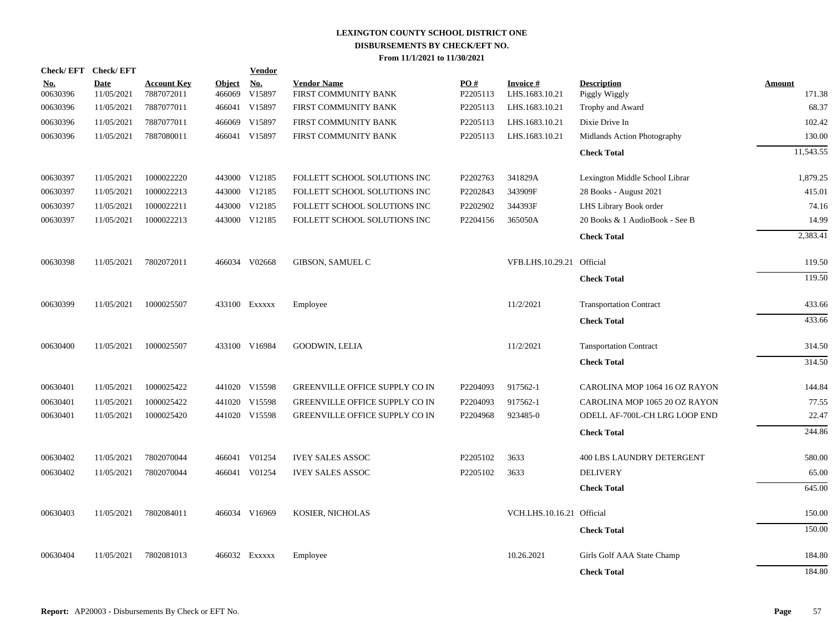| Check/EFT Check/EFT    |                    |                                  |                         | <b>Vendor</b>        |                                            |                 |                             |                                     |                  |
|------------------------|--------------------|----------------------------------|-------------------------|----------------------|--------------------------------------------|-----------------|-----------------------------|-------------------------------------|------------------|
| <u>No.</u><br>00630396 | Date<br>11/05/2021 | <b>Account Key</b><br>7887072011 | <b>Object</b><br>466069 | <u>No.</u><br>V15897 | <b>Vendor Name</b><br>FIRST COMMUNITY BANK | PO#<br>P2205113 | Invoice #<br>LHS.1683.10.21 | <b>Description</b><br>Piggly Wiggly | Amount<br>171.38 |
| 00630396               | 11/05/2021         | 7887077011                       |                         | 466041 V15897        | FIRST COMMUNITY BANK                       | P2205113        | LHS.1683.10.21              | Trophy and Award                    | 68.37            |
| 00630396               | 11/05/2021         | 7887077011                       | 466069                  | V15897               | FIRST COMMUNITY BANK                       | P2205113        | LHS.1683.10.21              | Dixie Drive In                      | 102.42           |
| 00630396               | 11/05/2021         | 7887080011                       |                         | 466041 V15897        | FIRST COMMUNITY BANK                       | P2205113        | LHS.1683.10.21              | Midlands Action Photography         | 130.00           |
|                        |                    |                                  |                         |                      |                                            |                 |                             | <b>Check Total</b>                  | 11,543.55        |
| 00630397               | 11/05/2021         | 1000022220                       |                         | 443000 V12185        | FOLLETT SCHOOL SOLUTIONS INC               | P2202763        | 341829A                     | Lexington Middle School Librar      | 1,879.25         |
| 00630397               | 11/05/2021         | 1000022213                       |                         | 443000 V12185        | FOLLETT SCHOOL SOLUTIONS INC               | P2202843        | 343909F                     | 28 Books - August 2021              | 415.01           |
| 00630397               | 11/05/2021         | 1000022211                       |                         | 443000 V12185        | FOLLETT SCHOOL SOLUTIONS INC               | P2202902        | 344393F                     | LHS Library Book order              | 74.16            |
| 00630397               | 11/05/2021         | 1000022213                       |                         | 443000 V12185        | FOLLETT SCHOOL SOLUTIONS INC               | P2204156        | 365050A                     | 20 Books & 1 AudioBook - See B      | 14.99            |
|                        |                    |                                  |                         |                      |                                            |                 |                             | <b>Check Total</b>                  | 2,383.41         |
| 00630398               | 11/05/2021         | 7802072011                       |                         | 466034 V02668        | <b>GIBSON, SAMUEL C</b>                    |                 | VFB.LHS.10.29.21            | Official                            | 119.50           |
|                        |                    |                                  |                         |                      |                                            |                 |                             | <b>Check Total</b>                  | 119.50           |
| 00630399               | 11/05/2021         | 1000025507                       |                         | 433100 EXXXXX        | Employee                                   |                 | 11/2/2021                   | <b>Transportation Contract</b>      | 433.66           |
|                        |                    |                                  |                         |                      |                                            |                 |                             | <b>Check Total</b>                  | 433.66           |
| 00630400               | 11/05/2021         | 1000025507                       |                         | 433100 V16984        | <b>GOODWIN, LELIA</b>                      |                 | 11/2/2021                   | <b>Tansportation Contract</b>       | 314.50           |
|                        |                    |                                  |                         |                      |                                            |                 |                             | <b>Check Total</b>                  | 314.50           |
| 00630401               | 11/05/2021         | 1000025422                       |                         | 441020 V15598        | GREENVILLE OFFICE SUPPLY CO IN             | P2204093        | 917562-1                    | CAROLINA MOP 1064 16 OZ RAYON       | 144.84           |
| 00630401               | 11/05/2021         | 1000025422                       |                         | 441020 V15598        | <b>GREENVILLE OFFICE SUPPLY CO IN</b>      | P2204093        | 917562-1                    | CAROLINA MOP 1065 20 OZ RAYON       | 77.55            |
| 00630401               | 11/05/2021         | 1000025420                       |                         | 441020 V15598        | GREENVILLE OFFICE SUPPLY CO IN             | P2204968        | 923485-0                    | ODELL AF-700L-CH LRG LOOP END       | 22.47            |
|                        |                    |                                  |                         |                      |                                            |                 |                             | <b>Check Total</b>                  | 244.86           |
| 00630402               | 11/05/2021         | 7802070044                       |                         | 466041 V01254        | <b>IVEY SALES ASSOC</b>                    | P2205102        | 3633                        | <b>400 LBS LAUNDRY DETERGENT</b>    | 580.00           |
| 00630402               | 11/05/2021         | 7802070044                       |                         | 466041 V01254        | <b>IVEY SALES ASSOC</b>                    | P2205102        | 3633                        | <b>DELIVERY</b>                     | 65.00            |
|                        |                    |                                  |                         |                      |                                            |                 |                             | <b>Check Total</b>                  | 645.00           |
| 00630403               | 11/05/2021         | 7802084011                       |                         | 466034 V16969        | KOSIER, NICHOLAS                           |                 | VCH.LHS.10.16.21 Official   |                                     | 150.00           |
|                        |                    |                                  |                         |                      |                                            |                 |                             | <b>Check Total</b>                  | 150.00           |
| 00630404               | 11/05/2021         | 7802081013                       |                         | 466032 Exxxxx        | Employee                                   |                 | 10.26.2021                  | Girls Golf AAA State Champ          | 184.80           |
|                        |                    |                                  |                         |                      |                                            |                 |                             | <b>Check Total</b>                  | 184.80           |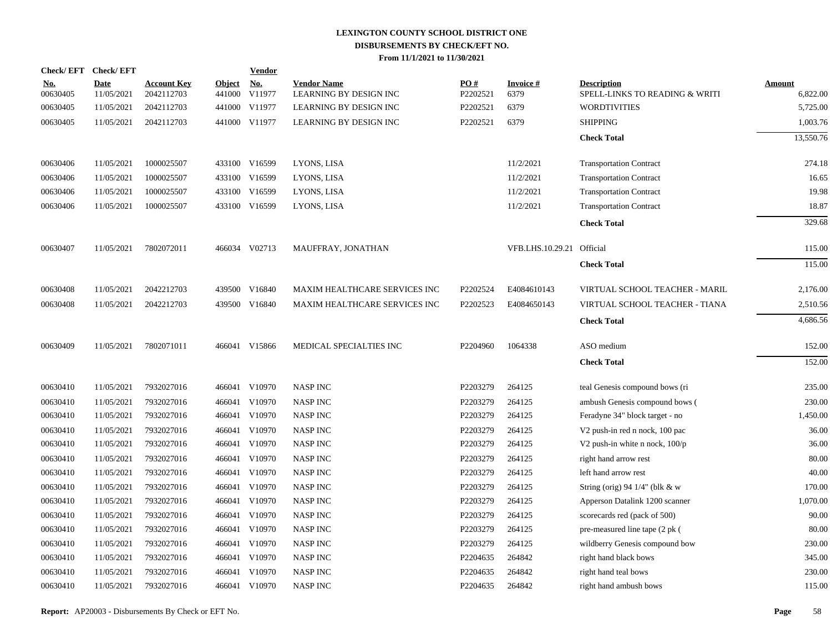|                        | Check/EFT Check/EFT       |                                  |                         | <b>Vendor</b>        |                                              |                 |                           |                                                      |                           |
|------------------------|---------------------------|----------------------------------|-------------------------|----------------------|----------------------------------------------|-----------------|---------------------------|------------------------------------------------------|---------------------------|
| <u>No.</u><br>00630405 | <b>Date</b><br>11/05/2021 | <b>Account Key</b><br>2042112703 | <b>Object</b><br>441000 | <u>No.</u><br>V11977 | <b>Vendor Name</b><br>LEARNING BY DESIGN INC | PO#<br>P2202521 | <b>Invoice#</b><br>6379   | <b>Description</b><br>SPELL-LINKS TO READING & WRITI | <b>Amount</b><br>6,822.00 |
| 00630405               | 11/05/2021                | 2042112703                       |                         | 441000 V11977        | LEARNING BY DESIGN INC                       | P2202521        | 6379                      | <b>WORDTIVITIES</b>                                  | 5,725.00                  |
| 00630405               | 11/05/2021                | 2042112703                       |                         | 441000 V11977        | LEARNING BY DESIGN INC                       | P2202521        | 6379                      | <b>SHIPPING</b>                                      | 1,003.76                  |
|                        |                           |                                  |                         |                      |                                              |                 |                           | <b>Check Total</b>                                   | 13,550.76                 |
| 00630406               | 11/05/2021                | 1000025507                       |                         | 433100 V16599        | LYONS, LISA                                  |                 | 11/2/2021                 | <b>Transportation Contract</b>                       | 274.18                    |
| 00630406               | 11/05/2021                | 1000025507                       | 433100                  | V16599               | LYONS, LISA                                  |                 | 11/2/2021                 | <b>Transportation Contract</b>                       | 16.65                     |
| 00630406               | 11/05/2021                | 1000025507                       |                         | 433100 V16599        | LYONS, LISA                                  |                 | 11/2/2021                 | <b>Transportation Contract</b>                       | 19.98                     |
| 00630406               | 11/05/2021                | 1000025507                       |                         | 433100 V16599        | LYONS, LISA                                  |                 | 11/2/2021                 | <b>Transportation Contract</b>                       | 18.87                     |
|                        |                           |                                  |                         |                      |                                              |                 |                           | <b>Check Total</b>                                   | 329.68                    |
| 00630407               | 11/05/2021                | 7802072011                       |                         | 466034 V02713        | MAUFFRAY, JONATHAN                           |                 | VFB.LHS.10.29.21 Official |                                                      | 115.00                    |
|                        |                           |                                  |                         |                      |                                              |                 |                           | <b>Check Total</b>                                   | 115.00                    |
| 00630408               | 11/05/2021                | 2042212703                       |                         | 439500 V16840        | MAXIM HEALTHCARE SERVICES INC                | P2202524        | E4084610143               | VIRTUAL SCHOOL TEACHER - MARIL                       | 2,176.00                  |
| 00630408               | 11/05/2021                | 2042212703                       |                         | 439500 V16840        | MAXIM HEALTHCARE SERVICES INC                | P2202523        | E4084650143               | VIRTUAL SCHOOL TEACHER - TIANA                       | 2,510.56                  |
|                        |                           |                                  |                         |                      |                                              |                 |                           | <b>Check Total</b>                                   | 4,686.56                  |
| 00630409               | 11/05/2021                | 7802071011                       |                         | 466041 V15866        | MEDICAL SPECIALTIES INC                      | P2204960        | 1064338                   | ASO medium                                           | 152.00                    |
|                        |                           |                                  |                         |                      |                                              |                 |                           | <b>Check Total</b>                                   | 152.00                    |
| 00630410               | 11/05/2021                | 7932027016                       |                         | 466041 V10970        | <b>NASP INC</b>                              | P2203279        | 264125                    | teal Genesis compound bows (ri                       | 235.00                    |
| 00630410               | 11/05/2021                | 7932027016                       | 466041                  | V10970               | <b>NASP INC</b>                              | P2203279        | 264125                    | ambush Genesis compound bows (                       | 230.00                    |
| 00630410               | 11/05/2021                | 7932027016                       |                         | 466041 V10970        | <b>NASP INC</b>                              | P2203279        | 264125                    | Feradyne 34" block target - no                       | 1,450.00                  |
| 00630410               | 11/05/2021                | 7932027016                       |                         | 466041 V10970        | <b>NASP INC</b>                              | P2203279        | 264125                    | V <sub>2</sub> push-in red n nock, 100 pac           | 36.00                     |
| 00630410               | 11/05/2021                | 7932027016                       |                         | 466041 V10970        | <b>NASP INC</b>                              | P2203279        | 264125                    | V2 push-in white n nock, 100/p                       | 36.00                     |
| 00630410               | 11/05/2021                | 7932027016                       |                         | 466041 V10970        | <b>NASP INC</b>                              | P2203279        | 264125                    | right hand arrow rest                                | 80.00                     |
| 00630410               | 11/05/2021                | 7932027016                       |                         | 466041 V10970        | <b>NASP INC</b>                              | P2203279        | 264125                    | left hand arrow rest                                 | 40.00                     |
| 00630410               | 11/05/2021                | 7932027016                       | 466041                  | V10970               | <b>NASP INC</b>                              | P2203279        | 264125                    | String (orig) 94 $1/4$ " (blk & w                    | 170.00                    |
| 00630410               | 11/05/2021                | 7932027016                       |                         | 466041 V10970        | <b>NASP INC</b>                              | P2203279        | 264125                    | Apperson Datalink 1200 scanner                       | 1,070.00                  |
| 00630410               | 11/05/2021                | 7932027016                       | 466041                  | V10970               | <b>NASP INC</b>                              | P2203279        | 264125                    | scorecards red (pack of 500)                         | 90.00                     |
| 00630410               | 11/05/2021                | 7932027016                       |                         | 466041 V10970        | <b>NASP INC</b>                              | P2203279        | 264125                    | pre-measured line tape (2 pk (                       | 80.00                     |
| 00630410               | 11/05/2021                | 7932027016                       |                         | 466041 V10970        | <b>NASP INC</b>                              | P2203279        | 264125                    | wildberry Genesis compound bow                       | 230.00                    |
| 00630410               | 11/05/2021                | 7932027016                       |                         | 466041 V10970        | <b>NASP INC</b>                              | P2204635        | 264842                    | right hand black bows                                | 345.00                    |
| 00630410               | 11/05/2021                | 7932027016                       |                         | 466041 V10970        | <b>NASP INC</b>                              | P2204635        | 264842                    | right hand teal bows                                 | 230.00                    |
| 00630410               | 11/05/2021                | 7932027016                       |                         | 466041 V10970        | <b>NASP INC</b>                              | P2204635        | 264842                    | right hand ambush bows                               | 115.00                    |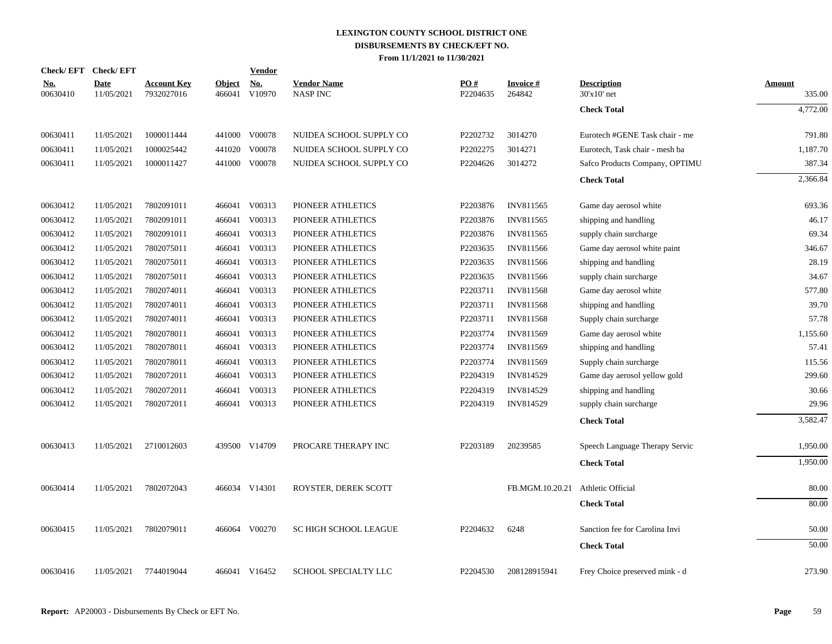| Check/EFT Check/EFT    |                           |                                  |                         | <b>Vendor</b> |                                       |                 |                     |                                   |                  |
|------------------------|---------------------------|----------------------------------|-------------------------|---------------|---------------------------------------|-----------------|---------------------|-----------------------------------|------------------|
| <u>No.</u><br>00630410 | <b>Date</b><br>11/05/2021 | <b>Account Key</b><br>7932027016 | <b>Object</b><br>466041 | No.<br>V10970 | <b>Vendor Name</b><br><b>NASP INC</b> | PO#<br>P2204635 | Invoice #<br>264842 | <b>Description</b><br>30'x10' net | Amount<br>335.00 |
|                        |                           |                                  |                         |               |                                       |                 |                     | <b>Check Total</b>                | 4,772.00         |
| 00630411               | 11/05/2021                | 1000011444                       |                         | 441000 V00078 | NUIDEA SCHOOL SUPPLY CO               | P2202732        | 3014270             | Eurotech #GENE Task chair - me    | 791.80           |
| 00630411               | 11/05/2021                | 1000025442                       |                         | 441020 V00078 | NUIDEA SCHOOL SUPPLY CO               | P2202275        | 3014271             | Eurotech, Task chair - mesh ba    | 1,187.70         |
| 00630411               | 11/05/2021                | 1000011427                       |                         | 441000 V00078 | NUIDEA SCHOOL SUPPLY CO               | P2204626        | 3014272             | Safco Products Company, OPTIMU    | 387.34           |
|                        |                           |                                  |                         |               |                                       |                 |                     | <b>Check Total</b>                | 2,366.84         |
| 00630412               | 11/05/2021                | 7802091011                       | 466041                  | V00313        | PIONEER ATHLETICS                     | P2203876        | INV811565           | Game day aerosol white            | 693.36           |
| 00630412               | 11/05/2021                | 7802091011                       | 466041                  | V00313        | PIONEER ATHLETICS                     | P2203876        | INV811565           | shipping and handling             | 46.17            |
| 00630412               | 11/05/2021                | 7802091011                       | 466041                  | V00313        | PIONEER ATHLETICS                     | P2203876        | INV811565           | supply chain surcharge            | 69.34            |
| 00630412               | 11/05/2021                | 7802075011                       | 466041                  | V00313        | PIONEER ATHLETICS                     | P2203635        | INV811566           | Game day aerosol white paint      | 346.67           |
| 00630412               | 11/05/2021                | 7802075011                       | 466041                  | V00313        | PIONEER ATHLETICS                     | P2203635        | INV811566           | shipping and handling             | 28.19            |
| 00630412               | 11/05/2021                | 7802075011                       | 466041                  | V00313        | PIONEER ATHLETICS                     | P2203635        | INV811566           | supply chain surcharge            | 34.67            |
| 00630412               | 11/05/2021                | 7802074011                       | 466041                  | V00313        | PIONEER ATHLETICS                     | P2203711        | <b>INV811568</b>    | Game day aerosol white            | 577.80           |
| 00630412               | 11/05/2021                | 7802074011                       | 466041                  | V00313        | PIONEER ATHLETICS                     | P2203711        | <b>INV811568</b>    | shipping and handling             | 39.70            |
| 00630412               | 11/05/2021                | 7802074011                       | 466041                  | V00313        | PIONEER ATHLETICS                     | P2203711        | <b>INV811568</b>    | Supply chain surcharge            | 57.78            |
| 00630412               | 11/05/2021                | 7802078011                       |                         | 466041 V00313 | PIONEER ATHLETICS                     | P2203774        | INV811569           | Game day aerosol white            | 1,155.60         |
| 00630412               | 11/05/2021                | 7802078011                       |                         | 466041 V00313 | PIONEER ATHLETICS                     | P2203774        | INV811569           | shipping and handling             | 57.41            |
| 00630412               | 11/05/2021                | 7802078011                       |                         | 466041 V00313 | PIONEER ATHLETICS                     | P2203774        | INV811569           | Supply chain surcharge            | 115.56           |
| 00630412               | 11/05/2021                | 7802072011                       |                         | 466041 V00313 | PIONEER ATHLETICS                     | P2204319        | INV814529           | Game day aerosol yellow gold      | 299.60           |
| 00630412               | 11/05/2021                | 7802072011                       | 466041                  | V00313        | PIONEER ATHLETICS                     | P2204319        | INV814529           | shipping and handling             | 30.66            |
| 00630412               | 11/05/2021                | 7802072011                       |                         | 466041 V00313 | PIONEER ATHLETICS                     | P2204319        | INV814529           | supply chain surcharge            | 29.96            |
|                        |                           |                                  |                         |               |                                       |                 |                     | <b>Check Total</b>                | 3,582.47         |
| 00630413               | 11/05/2021                | 2710012603                       |                         | 439500 V14709 | PROCARE THERAPY INC                   | P2203189        | 20239585            | Speech Language Therapy Servic    | 1,950.00         |
|                        |                           |                                  |                         |               |                                       |                 |                     | <b>Check Total</b>                | 1,950.00         |
| 00630414               | 11/05/2021                | 7802072043                       |                         | 466034 V14301 | ROYSTER, DEREK SCOTT                  |                 | FB.MGM.10.20.21     | Athletic Official                 | 80.00            |
|                        |                           |                                  |                         |               |                                       |                 |                     | <b>Check Total</b>                | 80.00            |
| 00630415               | 11/05/2021                | 7802079011                       |                         | 466064 V00270 | <b>SC HIGH SCHOOL LEAGUE</b>          | P2204632        | 6248                | Sanction fee for Carolina Invi    | 50.00            |
|                        |                           |                                  |                         |               |                                       |                 |                     | <b>Check Total</b>                | 50.00            |
| 00630416               | 11/05/2021                | 7744019044                       |                         | 466041 V16452 | SCHOOL SPECIALTY LLC                  | P2204530        | 208128915941        | Frey Choice preserved mink - d    | 273.90           |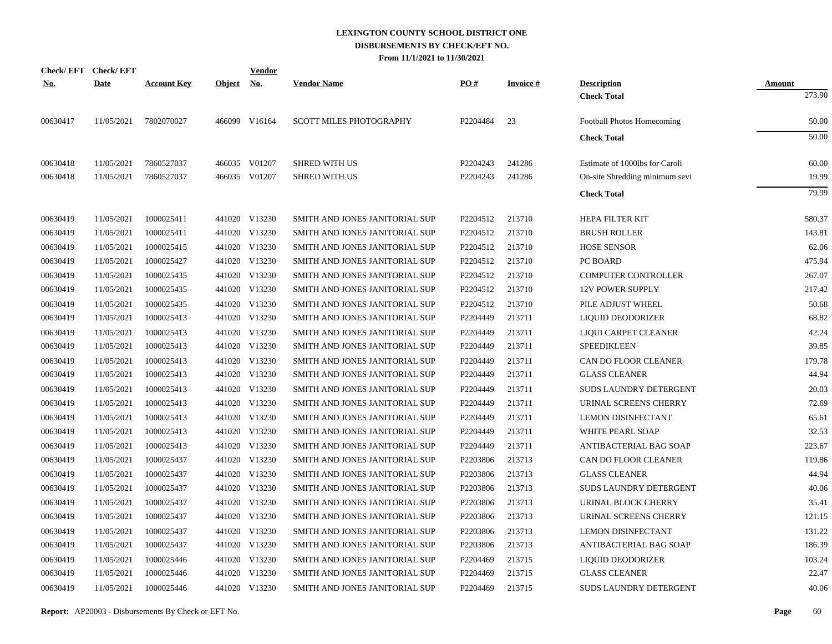|            | Check/EFT Check/EFT |                    |               | <u>Vendor</u> |                                |          |                 |                                |               |
|------------|---------------------|--------------------|---------------|---------------|--------------------------------|----------|-----------------|--------------------------------|---------------|
| <u>No.</u> | <b>Date</b>         | <b>Account Key</b> | <b>Object</b> | <u>No.</u>    | <b>Vendor Name</b>             | PO#      | <b>Invoice#</b> | <b>Description</b>             | <b>Amount</b> |
|            |                     |                    |               |               |                                |          |                 | <b>Check Total</b>             | 273.90        |
| 00630417   | 11/05/2021          | 7802070027         |               | 466099 V16164 | <b>SCOTT MILES PHOTOGRAPHY</b> | P2204484 | 23              | Football Photos Homecoming     | 50.00         |
|            |                     |                    |               |               |                                |          |                 | <b>Check Total</b>             | 50.00         |
| 00630418   | 11/05/2021          | 7860527037         |               | 466035 V01207 | <b>SHRED WITH US</b>           | P2204243 | 241286          | Estimate of 1000lbs for Caroli | 60.00         |
| 00630418   | 11/05/2021          | 7860527037         |               | 466035 V01207 | <b>SHRED WITH US</b>           | P2204243 | 241286          | On-site Shredding minimum sevi | 19.99         |
|            |                     |                    |               |               |                                |          |                 | <b>Check Total</b>             | 79.99         |
| 00630419   | 11/05/2021          | 1000025411         |               | 441020 V13230 | SMITH AND JONES JANITORIAL SUP | P2204512 | 213710          | <b>HEPA FILTER KIT</b>         | 580.37        |
| 00630419   | 11/05/2021          | 1000025411         |               | 441020 V13230 | SMITH AND JONES JANITORIAL SUP | P2204512 | 213710          | <b>BRUSH ROLLER</b>            | 143.81        |
| 00630419   | 11/05/2021          | 1000025415         |               | 441020 V13230 | SMITH AND JONES JANITORIAL SUP | P2204512 | 213710          | <b>HOSE SENSOR</b>             | 62.06         |
| 00630419   | 11/05/2021          | 1000025427         |               | 441020 V13230 | SMITH AND JONES JANITORIAL SUP | P2204512 | 213710          | PC BOARD                       | 475.94        |
| 00630419   | 11/05/2021          | 1000025435         |               | 441020 V13230 | SMITH AND JONES JANITORIAL SUP | P2204512 | 213710          | <b>COMPUTER CONTROLLER</b>     | 267.07        |
| 00630419   | 11/05/2021          | 1000025435         |               | 441020 V13230 | SMITH AND JONES JANITORIAL SUP | P2204512 | 213710          | 12V POWER SUPPLY               | 217.42        |
| 00630419   | 11/05/2021          | 1000025435         |               | 441020 V13230 | SMITH AND JONES JANITORIAL SUP | P2204512 | 213710          | PILE ADJUST WHEEL              | 50.68         |
| 00630419   | 11/05/2021          | 1000025413         |               | 441020 V13230 | SMITH AND JONES JANITORIAL SUP | P2204449 | 213711          | LIQUID DEODORIZER              | 68.82         |
| 00630419   | 11/05/2021          | 1000025413         |               | 441020 V13230 | SMITH AND JONES JANITORIAL SUP | P2204449 | 213711          | LIQUI CARPET CLEANER           | 42.24         |
| 00630419   | 11/05/2021          | 1000025413         |               | 441020 V13230 | SMITH AND JONES JANITORIAL SUP | P2204449 | 213711          | <b>SPEEDIKLEEN</b>             | 39.85         |
| 00630419   | 11/05/2021          | 1000025413         |               | 441020 V13230 | SMITH AND JONES JANITORIAL SUP | P2204449 | 213711          | CAN DO FLOOR CLEANER           | 179.78        |
| 00630419   | 11/05/2021          | 1000025413         |               | 441020 V13230 | SMITH AND JONES JANITORIAL SUP | P2204449 | 213711          | <b>GLASS CLEANER</b>           | 44.94         |
| 00630419   | 11/05/2021          | 1000025413         |               | 441020 V13230 | SMITH AND JONES JANITORIAL SUP | P2204449 | 213711          | SUDS LAUNDRY DETERGENT         | 20.03         |
| 00630419   | 11/05/2021          | 1000025413         |               | 441020 V13230 | SMITH AND JONES JANITORIAL SUP | P2204449 | 213711          | URINAL SCREENS CHERRY          | 72.69         |
| 00630419   | 11/05/2021          | 1000025413         |               | 441020 V13230 | SMITH AND JONES JANITORIAL SUP | P2204449 | 213711          | <b>LEMON DISINFECTANT</b>      | 65.61         |
| 00630419   | 11/05/2021          | 1000025413         |               | 441020 V13230 | SMITH AND JONES JANITORIAL SUP | P2204449 | 213711          | WHITE PEARL SOAP               | 32.53         |
| 00630419   | 11/05/2021          | 1000025413         |               | 441020 V13230 | SMITH AND JONES JANITORIAL SUP | P2204449 | 213711          | ANTIBACTERIAL BAG SOAP         | 223.67        |
| 00630419   | 11/05/2021          | 1000025437         |               | 441020 V13230 | SMITH AND JONES JANITORIAL SUP | P2203806 | 213713          | CAN DO FLOOR CLEANER           | 119.86        |
| 00630419   | 11/05/2021          | 1000025437         |               | 441020 V13230 | SMITH AND JONES JANITORIAL SUP | P2203806 | 213713          | <b>GLASS CLEANER</b>           | 44.94         |
| 00630419   | 11/05/2021          | 1000025437         |               | 441020 V13230 | SMITH AND JONES JANITORIAL SUP | P2203806 | 213713          | SUDS LAUNDRY DETERGENT         | 40.06         |
| 00630419   | 11/05/2021          | 1000025437         |               | 441020 V13230 | SMITH AND JONES JANITORIAL SUP | P2203806 | 213713          | URINAL BLOCK CHERRY            | 35.41         |
| 00630419   | 11/05/2021          | 1000025437         |               | 441020 V13230 | SMITH AND JONES JANITORIAL SUP | P2203806 | 213713          | URINAL SCREENS CHERRY          | 121.15        |
| 00630419   | 11/05/2021          | 1000025437         |               | 441020 V13230 | SMITH AND JONES JANITORIAL SUP | P2203806 | 213713          | <b>LEMON DISINFECTANT</b>      | 131.22        |
| 00630419   | 11/05/2021          | 1000025437         |               | 441020 V13230 | SMITH AND JONES JANITORIAL SUP | P2203806 | 213713          | ANTIBACTERIAL BAG SOAP         | 186.39        |
| 00630419   | 11/05/2021          | 1000025446         |               | 441020 V13230 | SMITH AND JONES JANITORIAL SUP | P2204469 | 213715          | LIQUID DEODORIZER              | 103.24        |
| 00630419   | 11/05/2021          | 1000025446         |               | 441020 V13230 | SMITH AND JONES JANITORIAL SUP | P2204469 | 213715          | <b>GLASS CLEANER</b>           | 22.47         |
| 00630419   | 11/05/2021          | 1000025446         |               | 441020 V13230 | SMITH AND JONES JANITORIAL SUP | P2204469 | 213715          | <b>SUDS LAUNDRY DETERGENT</b>  | 40.06         |

**Report:** AP20003 - Disbursements By Check or EFT No. **Page** 60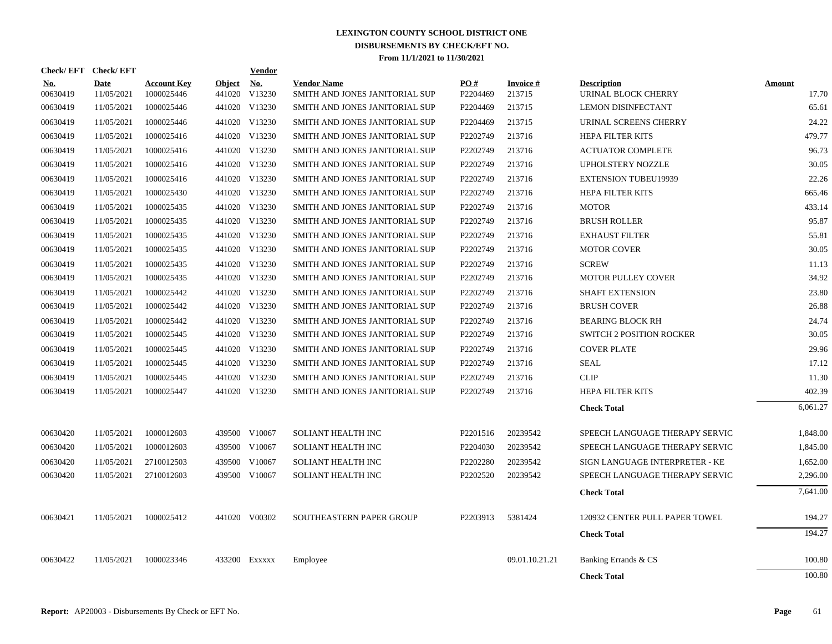| Check/EFT Check/EFT |                    |                                  |                         | Vendor        |                                                      |                 |                           |                                           |                        |
|---------------------|--------------------|----------------------------------|-------------------------|---------------|------------------------------------------------------|-----------------|---------------------------|-------------------------------------------|------------------------|
| No.<br>00630419     | Date<br>11/05/2021 | <b>Account Key</b><br>1000025446 | <b>Object</b><br>441020 | No.<br>V13230 | <b>Vendor Name</b><br>SMITH AND JONES JANITORIAL SUP | PO#<br>P2204469 | <b>Invoice#</b><br>213715 | <b>Description</b><br>URINAL BLOCK CHERRY | <b>Amount</b><br>17.70 |
| 00630419            | 11/05/2021         | 1000025446                       |                         | 441020 V13230 | SMITH AND JONES JANITORIAL SUP                       | P2204469        | 213715                    | <b>LEMON DISINFECTANT</b>                 | 65.61                  |
| 00630419            | 11/05/2021         | 1000025446                       |                         | 441020 V13230 | SMITH AND JONES JANITORIAL SUP                       | P2204469        | 213715                    | URINAL SCREENS CHERRY                     | 24.22                  |
| 00630419            | 11/05/2021         | 1000025416                       |                         | 441020 V13230 | SMITH AND JONES JANITORIAL SUP                       | P2202749        | 213716                    | HEPA FILTER KITS                          | 479.77                 |
| 00630419            | 11/05/2021         | 1000025416                       |                         | 441020 V13230 | SMITH AND JONES JANITORIAL SUP                       | P2202749        | 213716                    | <b>ACTUATOR COMPLETE</b>                  | 96.73                  |
| 00630419            | 11/05/2021         | 1000025416                       |                         | 441020 V13230 | SMITH AND JONES JANITORIAL SUP                       | P2202749        | 213716                    | <b>UPHOLSTERY NOZZLE</b>                  | 30.05                  |
| 00630419            | 11/05/2021         | 1000025416                       |                         | 441020 V13230 | SMITH AND JONES JANITORIAL SUP                       | P2202749        | 213716                    | <b>EXTENSION TUBEU19939</b>               | 22.26                  |
| 00630419            | 11/05/2021         | 1000025430                       |                         | 441020 V13230 | SMITH AND JONES JANITORIAL SUP                       | P2202749        | 213716                    | HEPA FILTER KITS                          | 665.46                 |
| 00630419            | 11/05/2021         | 1000025435                       |                         | 441020 V13230 | SMITH AND JONES JANITORIAL SUP                       | P2202749        | 213716                    | <b>MOTOR</b>                              | 433.14                 |
| 00630419            | 11/05/2021         | 1000025435                       |                         | 441020 V13230 | SMITH AND JONES JANITORIAL SUP                       | P2202749        | 213716                    | <b>BRUSH ROLLER</b>                       | 95.87                  |
| 00630419            | 11/05/2021         | 1000025435                       |                         | 441020 V13230 | SMITH AND JONES JANITORIAL SUP                       | P2202749        | 213716                    | <b>EXHAUST FILTER</b>                     | 55.81                  |
| 00630419            | 11/05/2021         | 1000025435                       |                         | 441020 V13230 | SMITH AND JONES JANITORIAL SUP                       | P2202749        | 213716                    | <b>MOTOR COVER</b>                        | 30.05                  |
| 00630419            | 11/05/2021         | 1000025435                       |                         | 441020 V13230 | SMITH AND JONES JANITORIAL SUP                       | P2202749        | 213716                    | <b>SCREW</b>                              | 11.13                  |
| 00630419            | 11/05/2021         | 1000025435                       |                         | 441020 V13230 | SMITH AND JONES JANITORIAL SUP                       | P2202749        | 213716                    | <b>MOTOR PULLEY COVER</b>                 | 34.92                  |
| 00630419            | 11/05/2021         | 1000025442                       |                         | 441020 V13230 | SMITH AND JONES JANITORIAL SUP                       | P2202749        | 213716                    | <b>SHAFT EXTENSION</b>                    | 23.80                  |
| 00630419            | 11/05/2021         | 1000025442                       |                         | 441020 V13230 | SMITH AND JONES JANITORIAL SUP                       | P2202749        | 213716                    | <b>BRUSH COVER</b>                        | 26.88                  |
| 00630419            | 11/05/2021         | 1000025442                       |                         | 441020 V13230 | SMITH AND JONES JANITORIAL SUP                       | P2202749        | 213716                    | <b>BEARING BLOCK RH</b>                   | 24.74                  |
| 00630419            | 11/05/2021         | 1000025445                       |                         | 441020 V13230 | SMITH AND JONES JANITORIAL SUP                       | P2202749        | 213716                    | <b>SWITCH 2 POSITION ROCKER</b>           | 30.05                  |
| 00630419            | 11/05/2021         | 1000025445                       |                         | 441020 V13230 | SMITH AND JONES JANITORIAL SUP                       | P2202749        | 213716                    | <b>COVER PLATE</b>                        | 29.96                  |
| 00630419            | 11/05/2021         | 1000025445                       |                         | 441020 V13230 | SMITH AND JONES JANITORIAL SUP                       | P2202749        | 213716                    | <b>SEAL</b>                               | 17.12                  |
| 00630419            | 11/05/2021         | 1000025445                       |                         | 441020 V13230 | SMITH AND JONES JANITORIAL SUP                       | P2202749        | 213716                    | <b>CLIP</b>                               | 11.30                  |
| 00630419            | 11/05/2021         | 1000025447                       |                         | 441020 V13230 | SMITH AND JONES JANITORIAL SUP                       | P2202749        | 213716                    | <b>HEPA FILTER KITS</b>                   | 402.39                 |
|                     |                    |                                  |                         |               |                                                      |                 |                           | <b>Check Total</b>                        | 6,061.27               |
| 00630420            | 11/05/2021         | 1000012603                       | 439500                  | V10067        | SOLIANT HEALTH INC                                   | P2201516        | 20239542                  | SPEECH LANGUAGE THERAPY SERVIC            | 1,848.00               |
| 00630420            | 11/05/2021         | 1000012603                       | 439500                  | V10067        | SOLIANT HEALTH INC                                   | P2204030        | 20239542                  | SPEECH LANGUAGE THERAPY SERVIC            | 1,845.00               |
| 00630420            | 11/05/2021         | 2710012503                       | 439500                  | V10067        | SOLIANT HEALTH INC                                   | P2202280        | 20239542                  | SIGN LANGUAGE INTERPRETER - KE            | 1,652.00               |
| 00630420            | 11/05/2021         | 2710012603                       |                         | 439500 V10067 | SOLIANT HEALTH INC                                   | P2202520        | 20239542                  | SPEECH LANGUAGE THERAPY SERVIC            | 2,296.00               |
|                     |                    |                                  |                         |               |                                                      |                 |                           | <b>Check Total</b>                        | 7,641.00               |
| 00630421            | 11/05/2021         | 1000025412                       |                         | 441020 V00302 | SOUTHEASTERN PAPER GROUP                             | P2203913        | 5381424                   | 120932 CENTER PULL PAPER TOWEL            | 194.27                 |
|                     |                    |                                  |                         |               |                                                      |                 |                           | <b>Check Total</b>                        | 194.27                 |
| 00630422            | 11/05/2021         | 1000023346                       |                         | 433200 Exxxxx | Employee                                             |                 | 09.01.10.21.21            | Banking Errands & CS                      | 100.80                 |
|                     |                    |                                  |                         |               |                                                      |                 |                           | <b>Check Total</b>                        | 100.80                 |
|                     |                    |                                  |                         |               |                                                      |                 |                           |                                           |                        |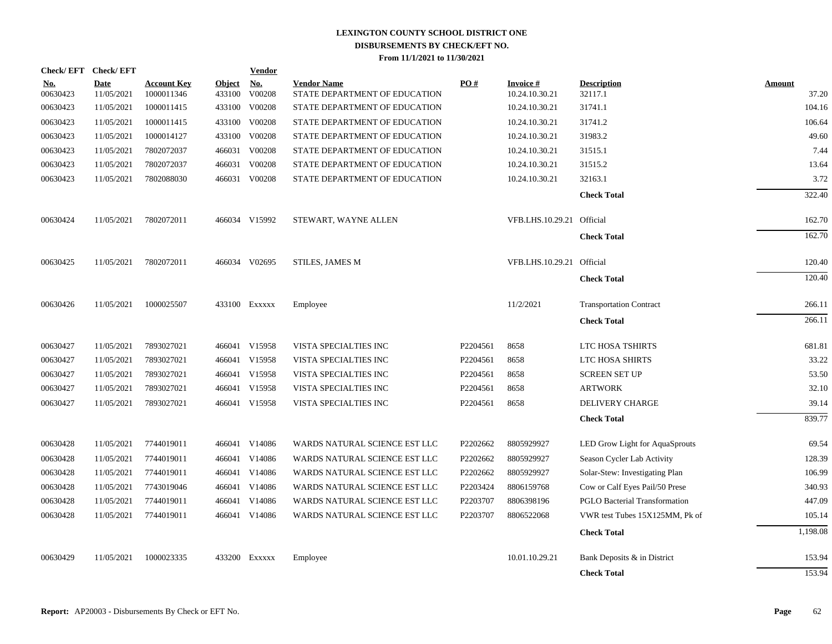|                        |                           |                                  |                         | <b>Vendor</b>                      |                                                                                                                                                                                                                                                                                 |          |                                   |                                      |                                               |
|------------------------|---------------------------|----------------------------------|-------------------------|------------------------------------|---------------------------------------------------------------------------------------------------------------------------------------------------------------------------------------------------------------------------------------------------------------------------------|----------|-----------------------------------|--------------------------------------|-----------------------------------------------|
| <u>No.</u><br>00630423 | <b>Date</b><br>11/05/2021 | <b>Account Key</b><br>1000011346 | <u>Object</u><br>433100 | $\mathbf{N}\mathbf{o}$ .<br>V00208 | <b>Vendor Name</b><br>STATE DEPARTMENT OF EDUCATION                                                                                                                                                                                                                             | PO#      | <b>Invoice#</b><br>10.24.10.30.21 | <b>Description</b><br>32117.1        | <b>Amount</b><br>37.20                        |
| 00630423               | 11/05/2021                | 1000011415                       | 433100                  | V00208                             | STATE DEPARTMENT OF EDUCATION                                                                                                                                                                                                                                                   |          | 10.24.10.30.21                    | 31741.1                              | 104.16                                        |
| 00630423               | 11/05/2021                | 1000011415                       | 433100                  | V00208                             | STATE DEPARTMENT OF EDUCATION                                                                                                                                                                                                                                                   |          | 10.24.10.30.21                    | 31741.2                              | 106.64                                        |
| 00630423               | 11/05/2021                | 1000014127                       | 433100                  | V00208                             | STATE DEPARTMENT OF EDUCATION                                                                                                                                                                                                                                                   |          | 10.24.10.30.21                    | 31983.2                              | 49.60                                         |
| 00630423               | 11/05/2021                | 7802072037                       |                         | V00208                             | STATE DEPARTMENT OF EDUCATION                                                                                                                                                                                                                                                   |          | 10.24.10.30.21                    | 31515.1                              | 7.44                                          |
| 00630423               | 11/05/2021                | 7802072037                       |                         | V00208                             | STATE DEPARTMENT OF EDUCATION                                                                                                                                                                                                                                                   |          | 10.24.10.30.21                    | 31515.2                              | 13.64                                         |
| 00630423               | 11/05/2021                | 7802088030                       |                         |                                    | STATE DEPARTMENT OF EDUCATION                                                                                                                                                                                                                                                   |          | 10.24.10.30.21                    | 32163.1                              | 3.72                                          |
|                        |                           |                                  |                         |                                    |                                                                                                                                                                                                                                                                                 |          |                                   | <b>Check Total</b>                   | 322.40                                        |
| 00630424               | 11/05/2021                | 7802072011                       |                         |                                    | STEWART, WAYNE ALLEN                                                                                                                                                                                                                                                            |          |                                   | Official                             | 162.70                                        |
|                        |                           |                                  |                         |                                    |                                                                                                                                                                                                                                                                                 |          |                                   | <b>Check Total</b>                   | 162.70                                        |
| 00630425               | 11/05/2021                | 7802072011                       |                         |                                    | STILES, JAMES M                                                                                                                                                                                                                                                                 |          |                                   |                                      | 120.40                                        |
|                        |                           |                                  |                         |                                    |                                                                                                                                                                                                                                                                                 |          |                                   | <b>Check Total</b>                   | 120.40                                        |
| 00630426               | 11/05/2021                | 1000025507                       |                         |                                    | Employee                                                                                                                                                                                                                                                                        |          | 11/2/2021                         | <b>Transportation Contract</b>       | 266.11                                        |
|                        |                           |                                  |                         |                                    |                                                                                                                                                                                                                                                                                 |          |                                   | <b>Check Total</b>                   | 266.11                                        |
| 00630427               | 11/05/2021                | 7893027021                       |                         |                                    | VISTA SPECIALTIES INC                                                                                                                                                                                                                                                           | P2204561 | 8658                              | LTC HOSA TSHIRTS                     | 681.81                                        |
| 00630427               | 11/05/2021                | 7893027021                       |                         |                                    | VISTA SPECIALTIES INC                                                                                                                                                                                                                                                           | P2204561 | 8658                              | LTC HOSA SHIRTS                      | 33.22                                         |
| 00630427               | 11/05/2021                | 7893027021                       |                         |                                    | VISTA SPECIALTIES INC                                                                                                                                                                                                                                                           | P2204561 | 8658                              | <b>SCREEN SET UP</b>                 | 53.50                                         |
| 00630427               | 11/05/2021                | 7893027021                       |                         | V15958                             | VISTA SPECIALTIES INC                                                                                                                                                                                                                                                           | P2204561 | 8658                              | <b>ARTWORK</b>                       | 32.10                                         |
| 00630427               | 11/05/2021                | 7893027021                       |                         |                                    | VISTA SPECIALTIES INC                                                                                                                                                                                                                                                           | P2204561 | 8658                              | <b>DELIVERY CHARGE</b>               | 39.14                                         |
|                        |                           |                                  |                         |                                    |                                                                                                                                                                                                                                                                                 |          |                                   | <b>Check Total</b>                   | 839.77                                        |
| 00630428               | 11/05/2021                | 7744019011                       |                         |                                    | WARDS NATURAL SCIENCE EST LLC                                                                                                                                                                                                                                                   | P2202662 | 8805929927                        | LED Grow Light for AquaSprouts       | 69.54                                         |
| 00630428               | 11/05/2021                | 7744019011                       |                         |                                    | WARDS NATURAL SCIENCE EST LLC                                                                                                                                                                                                                                                   | P2202662 | 8805929927                        | Season Cycler Lab Activity           | 128.39                                        |
| 00630428               | 11/05/2021                | 7744019011                       |                         |                                    | WARDS NATURAL SCIENCE EST LLC                                                                                                                                                                                                                                                   | P2202662 | 8805929927                        | Solar-Stew: Investigating Plan       | 106.99                                        |
| 00630428               | 11/05/2021                | 7743019046                       |                         |                                    | WARDS NATURAL SCIENCE EST LLC                                                                                                                                                                                                                                                   | P2203424 | 8806159768                        | Cow or Calf Eyes Pail/50 Prese       | 340.93                                        |
| 00630428               | 11/05/2021                | 7744019011                       |                         |                                    | WARDS NATURAL SCIENCE EST LLC                                                                                                                                                                                                                                                   | P2203707 | 8806398196                        | <b>PGLO Bacterial Transformation</b> | 447.09                                        |
| 00630428               | 11/05/2021                | 7744019011                       |                         |                                    | WARDS NATURAL SCIENCE EST LLC                                                                                                                                                                                                                                                   | P2203707 | 8806522068                        | VWR test Tubes 15X125MM, Pk of       | 105.14                                        |
|                        |                           |                                  |                         |                                    |                                                                                                                                                                                                                                                                                 |          |                                   | <b>Check Total</b>                   | 1,198.08                                      |
| 00630429               | 11/05/2021                | 1000023335                       |                         |                                    | Employee                                                                                                                                                                                                                                                                        |          | 10.01.10.29.21                    | Bank Deposits & in District          | 153.94                                        |
|                        |                           |                                  |                         |                                    |                                                                                                                                                                                                                                                                                 |          |                                   | <b>Check Total</b>                   | 153.94                                        |
|                        |                           | Check/EFT Check/EFT              |                         | 466031                             | 466031<br>466031 V00208<br>466034 V15992<br>466034 V02695<br>433100 Exxxxx<br>466041 V15958<br>466041 V15958<br>466041 V15958<br>466041<br>466041 V15958<br>466041 V14086<br>466041 V14086<br>466041 V14086<br>466041 V14086<br>466041 V14086<br>466041 V14086<br>433200 Exxxxx |          |                                   |                                      | VFB.LHS.10.29.21<br>VFB.LHS.10.29.21 Official |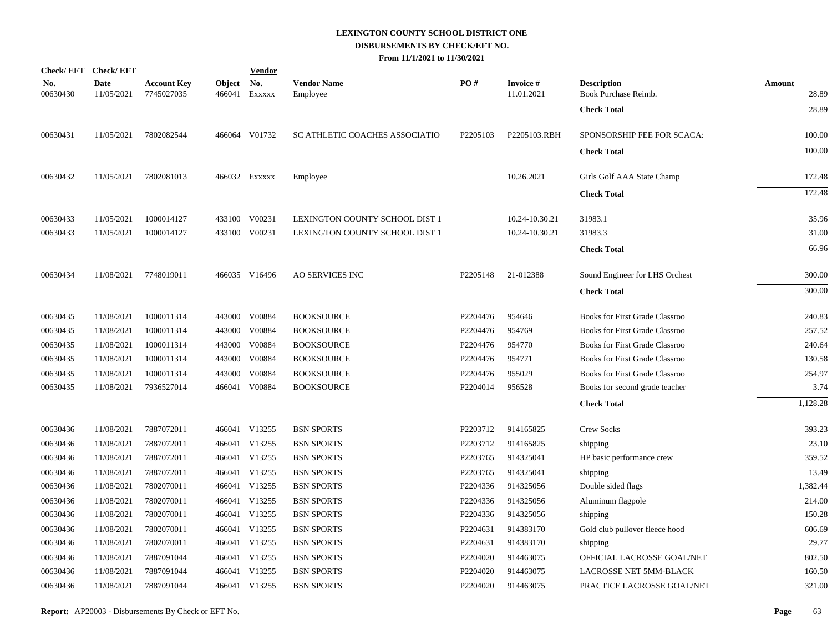|                        | Check/EFT Check/EFT       |                                  |                         | <u>Vendor</u>        |                                |          |                               |                                            |                        |
|------------------------|---------------------------|----------------------------------|-------------------------|----------------------|--------------------------------|----------|-------------------------------|--------------------------------------------|------------------------|
| <u>No.</u><br>00630430 | <b>Date</b><br>11/05/2021 | <b>Account Key</b><br>7745027035 | <b>Object</b><br>466041 | <u>No.</u><br>EXXXXX | <b>Vendor Name</b><br>Employee | PO#      | <b>Invoice#</b><br>11.01.2021 | <b>Description</b><br>Book Purchase Reimb. | <b>Amount</b><br>28.89 |
|                        |                           |                                  |                         |                      |                                |          |                               | <b>Check Total</b>                         | 28.89                  |
| 00630431               | 11/05/2021                | 7802082544                       |                         | 466064 V01732        | SC ATHLETIC COACHES ASSOCIATIO | P2205103 | P2205103.RBH                  | SPONSORSHIP FEE FOR SCACA:                 | 100.00                 |
|                        |                           |                                  |                         |                      |                                |          |                               | <b>Check Total</b>                         | 100.00                 |
| 00630432               | 11/05/2021                | 7802081013                       |                         | 466032 Exxxxx        | Employee                       |          | 10.26.2021                    | Girls Golf AAA State Champ                 | 172.48                 |
|                        |                           |                                  |                         |                      |                                |          |                               | <b>Check Total</b>                         | 172.48                 |
| 00630433               | 11/05/2021                | 1000014127                       |                         | 433100 V00231        | LEXINGTON COUNTY SCHOOL DIST 1 |          | 10.24-10.30.21                | 31983.1                                    | 35.96                  |
| 00630433               | 11/05/2021                | 1000014127                       |                         | 433100 V00231        | LEXINGTON COUNTY SCHOOL DIST 1 |          | 10.24-10.30.21                | 31983.3                                    | 31.00                  |
|                        |                           |                                  |                         |                      |                                |          |                               | <b>Check Total</b>                         | 66.96                  |
| 00630434               | 11/08/2021                | 7748019011                       |                         | 466035 V16496        | <b>AO SERVICES INC</b>         | P2205148 | 21-012388                     | Sound Engineer for LHS Orchest             | 300.00                 |
|                        |                           |                                  |                         |                      |                                |          |                               | <b>Check Total</b>                         | 300.00                 |
| 00630435               | 11/08/2021                | 1000011314                       |                         | 443000 V00884        | <b>BOOKSOURCE</b>              | P2204476 | 954646                        | Books for First Grade Classroo             | 240.83                 |
| 00630435               | 11/08/2021                | 1000011314                       |                         | 443000 V00884        | <b>BOOKSOURCE</b>              | P2204476 | 954769                        | Books for First Grade Classroo             | 257.52                 |
| 00630435               | 11/08/2021                | 1000011314                       | 443000                  | V00884               | <b>BOOKSOURCE</b>              | P2204476 | 954770                        | <b>Books for First Grade Classroo</b>      | 240.64                 |
| 00630435               | 11/08/2021                | 1000011314                       |                         | 443000 V00884        | <b>BOOKSOURCE</b>              | P2204476 | 954771                        | <b>Books for First Grade Classroo</b>      | 130.58                 |
| 00630435               | 11/08/2021                | 1000011314                       | 443000                  | V00884               | <b>BOOKSOURCE</b>              | P2204476 | 955029                        | <b>Books for First Grade Classroo</b>      | 254.97                 |
| 00630435               | 11/08/2021                | 7936527014                       |                         | 466041 V00884        | <b>BOOKSOURCE</b>              | P2204014 | 956528                        | Books for second grade teacher             | 3.74                   |
|                        |                           |                                  |                         |                      |                                |          |                               | <b>Check Total</b>                         | 1,128.28               |
| 00630436               | 11/08/2021                | 7887072011                       |                         | 466041 V13255        | <b>BSN SPORTS</b>              | P2203712 | 914165825                     | <b>Crew Socks</b>                          | 393.23                 |
| 00630436               | 11/08/2021                | 7887072011                       |                         | 466041 V13255        | <b>BSN SPORTS</b>              | P2203712 | 914165825                     | shipping                                   | 23.10                  |
| 00630436               | 11/08/2021                | 7887072011                       |                         | 466041 V13255        | <b>BSN SPORTS</b>              | P2203765 | 914325041                     | HP basic performance crew                  | 359.52                 |
| 00630436               | 11/08/2021                | 7887072011                       |                         | 466041 V13255        | <b>BSN SPORTS</b>              | P2203765 | 914325041                     | shipping                                   | 13.49                  |
| 00630436               | 11/08/2021                | 7802070011                       |                         | 466041 V13255        | <b>BSN SPORTS</b>              | P2204336 | 914325056                     | Double sided flags                         | 1,382.44               |
| 00630436               | 11/08/2021                | 7802070011                       |                         | 466041 V13255        | <b>BSN SPORTS</b>              | P2204336 | 914325056                     | Aluminum flagpole                          | 214.00                 |
| 00630436               | 11/08/2021                | 7802070011                       |                         | 466041 V13255        | <b>BSN SPORTS</b>              | P2204336 | 914325056                     | shipping                                   | 150.28                 |
| 00630436               | 11/08/2021                | 7802070011                       |                         | 466041 V13255        | <b>BSN SPORTS</b>              | P2204631 | 914383170                     | Gold club pullover fleece hood             | 606.69                 |
| 00630436               | 11/08/2021                | 7802070011                       |                         | 466041 V13255        | <b>BSN SPORTS</b>              | P2204631 | 914383170                     | shipping                                   | 29.77                  |
| 00630436               | 11/08/2021                | 7887091044                       |                         | 466041 V13255        | <b>BSN SPORTS</b>              | P2204020 | 914463075                     | OFFICIAL LACROSSE GOAL/NET                 | 802.50                 |
| 00630436               | 11/08/2021                | 7887091044                       |                         | 466041 V13255        | <b>BSN SPORTS</b>              | P2204020 | 914463075                     | LACROSSE NET 5MM-BLACK                     | 160.50                 |
| 00630436               | 11/08/2021                | 7887091044                       |                         | 466041 V13255        | <b>BSN SPORTS</b>              | P2204020 | 914463075                     | PRACTICE LACROSSE GOAL/NET                 | 321.00                 |
|                        |                           |                                  |                         |                      |                                |          |                               |                                            |                        |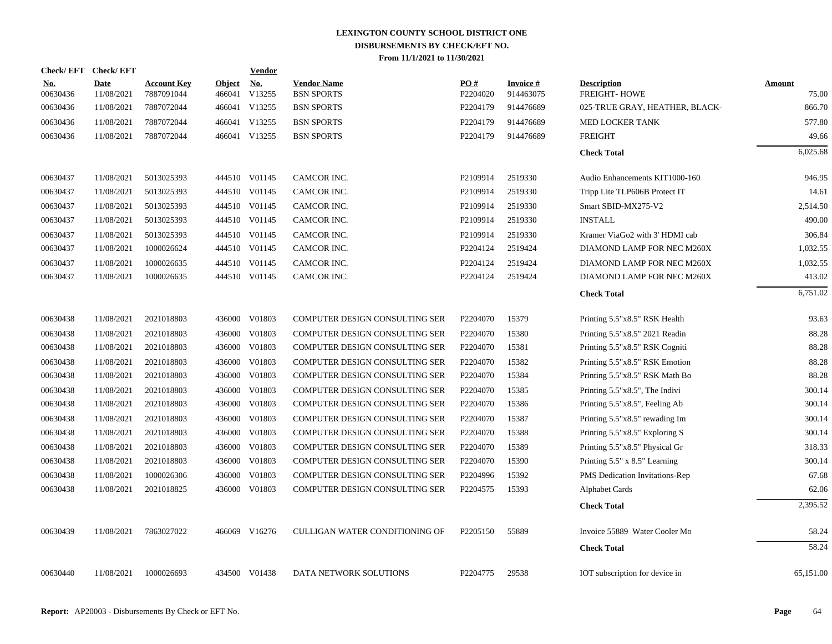| <b>Check/EFT</b>       | <b>Check/EFT</b>          |                                  |                         | <b>Vendor</b>        |                                         |                      |                              |                                           |                        |
|------------------------|---------------------------|----------------------------------|-------------------------|----------------------|-----------------------------------------|----------------------|------------------------------|-------------------------------------------|------------------------|
| <u>No.</u><br>00630436 | <b>Date</b><br>11/08/2021 | <b>Account Key</b><br>7887091044 | <b>Object</b><br>466041 | <b>No.</b><br>V13255 | <b>Vendor Name</b><br><b>BSN SPORTS</b> | PO#<br>P2204020      | <b>Invoice#</b><br>914463075 | <b>Description</b><br><b>FREIGHT-HOWE</b> | <b>Amount</b><br>75.00 |
| 00630436               | 11/08/2021                | 7887072044                       |                         | 466041 V13255        | <b>BSN SPORTS</b>                       | P2204179             | 914476689                    | 025-TRUE GRAY, HEATHER, BLACK-            | 866.70                 |
| 00630436               | 11/08/2021                | 7887072044                       |                         | 466041 V13255        | <b>BSN SPORTS</b>                       | P2204179             | 914476689                    | MED LOCKER TANK                           | 577.80                 |
| 00630436               | 11/08/2021                | 7887072044                       |                         | 466041 V13255        | <b>BSN SPORTS</b>                       | P2204179             | 914476689                    | <b>FREIGHT</b>                            | 49.66                  |
|                        |                           |                                  |                         |                      |                                         |                      |                              | <b>Check Total</b>                        | 6,025.68               |
| 00630437               | 11/08/2021                | 5013025393                       |                         | 444510 V01145        | CAMCOR INC.                             | P2109914             | 2519330                      | Audio Enhancements KIT1000-160            | 946.95                 |
| 00630437               | 11/08/2021                | 5013025393                       |                         | 444510 V01145        | CAMCOR INC.                             | P2109914             | 2519330                      | Tripp Lite TLP606B Protect IT             | 14.61                  |
| 00630437               | 11/08/2021                | 5013025393                       |                         | 444510 V01145        | CAMCOR INC.                             | P2109914             | 2519330                      | Smart SBID-MX275-V2                       | 2,514.50               |
| 00630437               | 11/08/2021                | 5013025393                       |                         | 444510 V01145        | CAMCOR INC.                             | P2109914             | 2519330                      | <b>INSTALL</b>                            | 490.00                 |
| 00630437               | 11/08/2021                | 5013025393                       |                         | 444510 V01145        | CAMCOR INC.                             | P2109914             | 2519330                      | Kramer ViaGo2 with 3' HDMI cab            | 306.84                 |
| 00630437               | 11/08/2021                | 1000026624                       |                         | 444510 V01145        | CAMCOR INC.                             | P2204124             | 2519424                      | DIAMOND LAMP FOR NEC M260X                | 1,032.55               |
| 00630437               | 11/08/2021                | 1000026635                       |                         | 444510 V01145        | CAMCOR INC.                             | P2204124             | 2519424                      | DIAMOND LAMP FOR NEC M260X                | 1,032.55               |
| 00630437               | 11/08/2021                | 1000026635                       |                         | 444510 V01145        | CAMCOR INC.                             | P2204124             | 2519424                      | DIAMOND LAMP FOR NEC M260X                | 413.02                 |
|                        |                           |                                  |                         |                      |                                         |                      |                              | <b>Check Total</b>                        | 6,751.02               |
| 00630438               | 11/08/2021                | 2021018803                       |                         | 436000 V01803        | COMPUTER DESIGN CONSULTING SER          | P2204070             | 15379                        | Printing 5.5"x8.5" RSK Health             | 93.63                  |
| 00630438               | 11/08/2021                | 2021018803                       | 436000                  | V01803               | COMPUTER DESIGN CONSULTING SER          | P2204070             | 15380                        | Printing 5.5"x8.5" 2021 Readin            | 88.28                  |
| 00630438               | 11/08/2021                | 2021018803                       |                         | 436000 V01803        | COMPUTER DESIGN CONSULTING SER          | P2204070             | 15381                        | Printing 5.5"x8.5" RSK Cogniti            | 88.28                  |
| 00630438               | 11/08/2021                | 2021018803                       | 436000                  | V01803               | <b>COMPUTER DESIGN CONSULTING SER</b>   | P2204070             | 15382                        | Printing 5.5"x8.5" RSK Emotion            | 88.28                  |
| 00630438               | 11/08/2021                | 2021018803                       |                         | 436000 V01803        | COMPUTER DESIGN CONSULTING SER          | P2204070             | 15384                        | Printing 5.5"x8.5" RSK Math Bo            | 88.28                  |
| 00630438               | 11/08/2021                | 2021018803                       | 436000                  | V01803               | COMPUTER DESIGN CONSULTING SER          | P2204070             | 15385                        | Printing 5.5"x8.5", The Indivi            | 300.14                 |
| 00630438               | 11/08/2021                | 2021018803                       | 436000                  | V01803               | COMPUTER DESIGN CONSULTING SER          | P2204070             | 15386                        | Printing 5.5"x8.5", Feeling Ab            | 300.14                 |
| 00630438               | 11/08/2021                | 2021018803                       | 436000                  | V01803               | COMPUTER DESIGN CONSULTING SER          | P2204070             | 15387                        | Printing $5.5"x8.5"$ rewading Im          | 300.14                 |
| 00630438               | 11/08/2021                | 2021018803                       | 436000                  | V01803               | <b>COMPUTER DESIGN CONSULTING SER</b>   | P2204070             | 15388                        | Printing $5.5"x8.5"$ Exploring S          | 300.14                 |
| 00630438               | 11/08/2021                | 2021018803                       | 436000                  | V01803               | COMPUTER DESIGN CONSULTING SER          | P2204070             | 15389                        | Printing 5.5"x8.5" Physical Gr            | 318.33                 |
| 00630438               | 11/08/2021                | 2021018803                       | 436000                  | V01803               | COMPUTER DESIGN CONSULTING SER          | P2204070             | 15390                        | Printing $5.5$ " x $8.5$ " Learning       | 300.14                 |
| 00630438               | 11/08/2021                | 1000026306                       | 436000                  | V01803               | <b>COMPUTER DESIGN CONSULTING SER</b>   | P2204996             | 15392                        | PMS Dedication Invitations-Rep            | 67.68                  |
| 00630438               | 11/08/2021                | 2021018825                       | 436000                  | V01803               | COMPUTER DESIGN CONSULTING SER          | P2204575             | 15393                        | <b>Alphabet Cards</b>                     | 62.06                  |
|                        |                           |                                  |                         |                      |                                         |                      |                              | <b>Check Total</b>                        | 2,395.52               |
| 00630439               | 11/08/2021                | 7863027022                       |                         | 466069 V16276        | CULLIGAN WATER CONDITIONING OF          | P2205150             | 55889                        | Invoice 55889 Water Cooler Mo             | 58.24                  |
|                        |                           |                                  |                         |                      |                                         |                      |                              | <b>Check Total</b>                        | 58.24                  |
| 00630440               | 11/08/2021                | 1000026693                       |                         | 434500 V01438        | DATA NETWORK SOLUTIONS                  | P <sub>2204775</sub> | 29538                        | IOT subscription for device in            | 65,151.00              |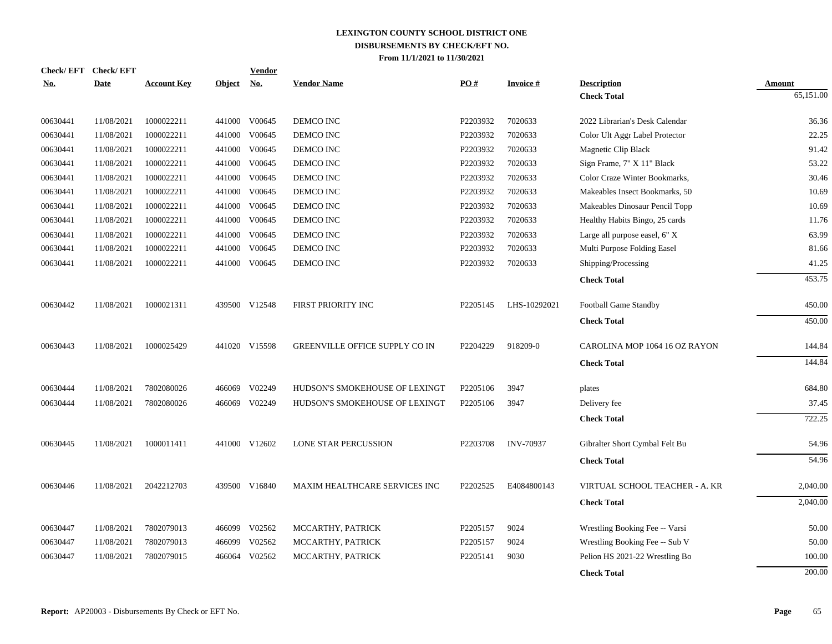| Check/EFT Check/EFT |             |                    |               | <b>Vendor</b>               |                                      |          |                  |                                |               |
|---------------------|-------------|--------------------|---------------|-----------------------------|--------------------------------------|----------|------------------|--------------------------------|---------------|
| No.                 | <b>Date</b> | <b>Account Key</b> | <b>Object</b> | $\underline{\mathrm{No}}$ . | <b>Vendor Name</b>                   | PO#      | <b>Invoice#</b>  | <b>Description</b>             | <b>Amount</b> |
|                     |             |                    |               |                             |                                      |          |                  | <b>Check Total</b>             | 65,151.00     |
| 00630441            | 11/08/2021  | 1000022211         |               | 441000 V00645               | DEMCO INC                            | P2203932 | 7020633          | 2022 Librarian's Desk Calendar | 36.36         |
| 00630441            | 11/08/2021  | 1000022211         |               | 441000 V00645               | DEMCO INC                            | P2203932 | 7020633          | Color Ult Aggr Label Protector | 22.25         |
| 00630441            | 11/08/2021  | 1000022211         | 441000        | V00645                      | DEMCO INC                            | P2203932 | 7020633          | Magnetic Clip Black            | 91.42         |
| 00630441            | 11/08/2021  | 1000022211         | 441000        | V00645                      | DEMCO INC                            | P2203932 | 7020633          | Sign Frame, 7" X 11" Black     | 53.22         |
| 00630441            | 11/08/2021  | 1000022211         | 441000        | V00645                      | DEMCO INC                            | P2203932 | 7020633          | Color Craze Winter Bookmarks,  | 30.46         |
| 00630441            | 11/08/2021  | 1000022211         | 441000        | V00645                      | DEMCO INC                            | P2203932 | 7020633          | Makeables Insect Bookmarks, 50 | 10.69         |
| 00630441            | 11/08/2021  | 1000022211         | 441000        | V00645                      | DEMCO INC                            | P2203932 | 7020633          | Makeables Dinosaur Pencil Topp | 10.69         |
| 00630441            | 11/08/2021  | 1000022211         | 441000        | V00645                      | DEMCO INC                            | P2203932 | 7020633          | Healthy Habits Bingo, 25 cards | 11.76         |
| 00630441            | 11/08/2021  | 1000022211         |               | 441000 V00645               | DEMCO INC                            | P2203932 | 7020633          | Large all purpose easel, 6" X  | 63.99         |
| 00630441            | 11/08/2021  | 1000022211         | 441000        | V00645                      | DEMCO INC                            | P2203932 | 7020633          | Multi Purpose Folding Easel    | 81.66         |
| 00630441            | 11/08/2021  | 1000022211         |               | 441000 V00645               | DEMCO INC                            | P2203932 | 7020633          | Shipping/Processing            | 41.25         |
|                     |             |                    |               |                             |                                      |          |                  | <b>Check Total</b>             | 453.75        |
| 00630442            | 11/08/2021  | 1000021311         |               | 439500 V12548               | <b>FIRST PRIORITY INC</b>            | P2205145 | LHS-10292021     | <b>Football Game Standby</b>   | 450.00        |
|                     |             |                    |               |                             |                                      |          |                  | <b>Check Total</b>             | 450.00        |
|                     |             |                    |               |                             |                                      |          |                  |                                |               |
| 00630443            | 11/08/2021  | 1000025429         |               | 441020 V15598               | GREENVILLE OFFICE SUPPLY CO IN       | P2204229 | 918209-0         | CAROLINA MOP 1064 16 OZ RAYON  | 144.84        |
|                     |             |                    |               |                             |                                      |          |                  | <b>Check Total</b>             | 144.84        |
| 00630444            | 11/08/2021  | 7802080026         |               | 466069 V02249               | HUDSON'S SMOKEHOUSE OF LEXINGT       | P2205106 | 3947             | plates                         | 684.80        |
| 00630444            | 11/08/2021  | 7802080026         |               | 466069 V02249               | HUDSON'S SMOKEHOUSE OF LEXINGT       | P2205106 | 3947             | Delivery fee                   | 37.45         |
|                     |             |                    |               |                             |                                      |          |                  | <b>Check Total</b>             | 722.25        |
| 00630445            | 11/08/2021  | 1000011411         |               | 441000 V12602               | LONE STAR PERCUSSION                 | P2203708 | <b>INV-70937</b> | Gibralter Short Cymbal Felt Bu | 54.96         |
|                     |             |                    |               |                             |                                      |          |                  |                                | 54.96         |
|                     |             |                    |               |                             |                                      |          |                  | <b>Check Total</b>             |               |
| 00630446            | 11/08/2021  | 2042212703         |               | 439500 V16840               | <b>MAXIM HEALTHCARE SERVICES INC</b> | P2202525 | E4084800143      | VIRTUAL SCHOOL TEACHER - A. KR | 2,040.00      |
|                     |             |                    |               |                             |                                      |          |                  | <b>Check Total</b>             | 2,040.00      |
| 00630447            | 11/08/2021  | 7802079013         | 466099        | V02562                      | MCCARTHY, PATRICK                    | P2205157 | 9024             | Wrestling Booking Fee -- Varsi | 50.00         |
| 00630447            | 11/08/2021  | 7802079013         | 466099        | V02562                      | MCCARTHY, PATRICK                    | P2205157 | 9024             | Wrestling Booking Fee -- Sub V | 50.00         |
| 00630447            | 11/08/2021  | 7802079015         | 466064        | V02562                      | MCCARTHY, PATRICK                    | P2205141 | 9030             | Pelion HS 2021-22 Wrestling Bo | 100.00        |
|                     |             |                    |               |                             |                                      |          |                  | <b>Check Total</b>             | 200.00        |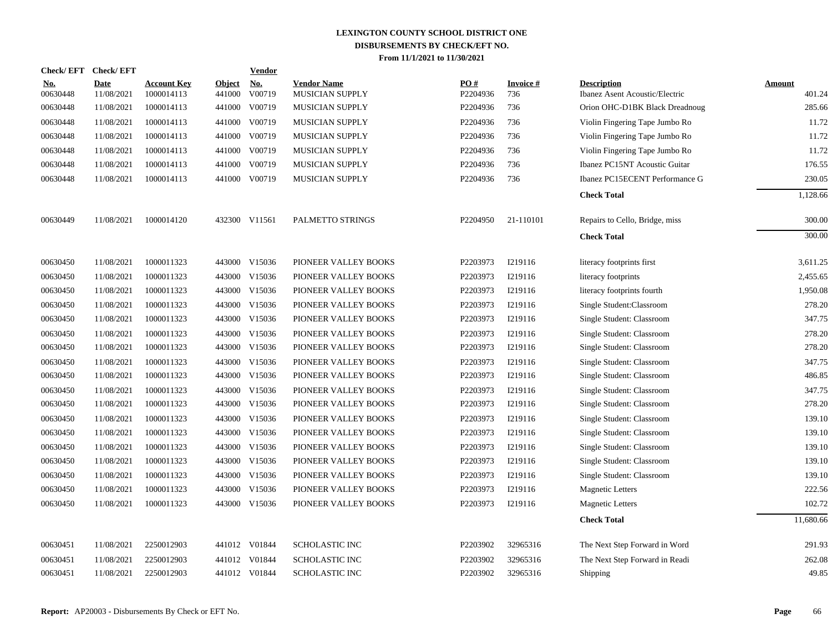|                        | Check/EFT Check/EFT       |                                  |                         | Vendor               |                                       |                 |                  |                                                      |                  |
|------------------------|---------------------------|----------------------------------|-------------------------|----------------------|---------------------------------------|-----------------|------------------|------------------------------------------------------|------------------|
| <b>No.</b><br>00630448 | <b>Date</b><br>11/08/2021 | <b>Account Key</b><br>1000014113 | <b>Object</b><br>441000 | <b>No.</b><br>V00719 | <b>Vendor Name</b><br>MUSICIAN SUPPLY | PO#<br>P2204936 | Invoice #<br>736 | <b>Description</b><br>Ibanez Asent Acoustic/Electric | Amount<br>401.24 |
| 00630448               | 11/08/2021                | 1000014113                       | 441000                  | V00719               | MUSICIAN SUPPLY                       | P2204936        | 736              | Orion OHC-D1BK Black Dreadnoug                       | 285.66           |
| 00630448               | 11/08/2021                | 1000014113                       | 441000                  | V00719               | MUSICIAN SUPPLY                       | P2204936        | 736              | Violin Fingering Tape Jumbo Ro                       | 11.72            |
| 00630448               | 11/08/2021                | 1000014113                       | 441000                  | V00719               | MUSICIAN SUPPLY                       | P2204936        | 736              | Violin Fingering Tape Jumbo Ro                       | 11.72            |
| 00630448               | 11/08/2021                | 1000014113                       | 441000                  | V00719               | MUSICIAN SUPPLY                       | P2204936        | 736              | Violin Fingering Tape Jumbo Ro                       | 11.72            |
| 00630448               | 11/08/2021                | 1000014113                       | 441000                  | V00719               | MUSICIAN SUPPLY                       | P2204936        | 736              | Ibanez PC15NT Acoustic Guitar                        | 176.55           |
| 00630448               | 11/08/2021                | 1000014113                       | 441000                  | V00719               | MUSICIAN SUPPLY                       | P2204936        | 736              | Ibanez PC15ECENT Performance G                       | 230.05           |
|                        |                           |                                  |                         |                      |                                       |                 |                  | <b>Check Total</b>                                   | 1,128.66         |
| 00630449               | 11/08/2021                | 1000014120                       |                         | 432300 V11561        | PALMETTO STRINGS                      | P2204950        | 21-110101        | Repairs to Cello, Bridge, miss                       | 300.00           |
|                        |                           |                                  |                         |                      |                                       |                 |                  | <b>Check Total</b>                                   | 300.00           |
| 00630450               | 11/08/2021                | 1000011323                       | 443000                  | V15036               | PIONEER VALLEY BOOKS                  | P2203973        | I219116          | literacy footprints first                            | 3,611.25         |
| 00630450               | 11/08/2021                | 1000011323                       | 443000                  | V15036               | PIONEER VALLEY BOOKS                  | P2203973        | I219116          | literacy footprints                                  | 2,455.65         |
| 00630450               | 11/08/2021                | 1000011323                       | 443000                  | V15036               | PIONEER VALLEY BOOKS                  | P2203973        | I219116          | literacy footprints fourth                           | 1.950.08         |
| 00630450               | 11/08/2021                | 1000011323                       | 443000                  | V15036               | PIONEER VALLEY BOOKS                  | P2203973        | I219116          | Single Student:Classroom                             | 278.20           |
| 00630450               | 11/08/2021                | 1000011323                       | 443000                  | V15036               | PIONEER VALLEY BOOKS                  | P2203973        | I219116          | Single Student: Classroom                            | 347.75           |
| 00630450               | 11/08/2021                | 1000011323                       | 443000                  | V15036               | PIONEER VALLEY BOOKS                  | P2203973        | I219116          | Single Student: Classroom                            | 278.20           |
| 00630450               | 11/08/2021                | 1000011323                       | 443000                  | V15036               | PIONEER VALLEY BOOKS                  | P2203973        | I219116          | Single Student: Classroom                            | 278.20           |
| 00630450               | 11/08/2021                | 1000011323                       | 443000                  | V15036               | PIONEER VALLEY BOOKS                  | P2203973        | I219116          | Single Student: Classroom                            | 347.75           |
| 00630450               | 11/08/2021                | 1000011323                       | 443000                  | V15036               | PIONEER VALLEY BOOKS                  | P2203973        | I219116          | Single Student: Classroom                            | 486.85           |
| 00630450               | 11/08/2021                | 1000011323                       | 443000                  | V15036               | PIONEER VALLEY BOOKS                  | P2203973        | I219116          | Single Student: Classroom                            | 347.75           |
| 00630450               | 11/08/2021                | 1000011323                       | 443000                  | V15036               | PIONEER VALLEY BOOKS                  | P2203973        | I219116          | Single Student: Classroom                            | 278.20           |
| 00630450               | 11/08/2021                | 1000011323                       | 443000                  | V15036               | PIONEER VALLEY BOOKS                  | P2203973        | I219116          | Single Student: Classroom                            | 139.10           |
| 00630450               | 11/08/2021                | 1000011323                       | 443000                  | V15036               | PIONEER VALLEY BOOKS                  | P2203973        | I219116          | Single Student: Classroom                            | 139.10           |
| 00630450               | 11/08/2021                | 1000011323                       |                         | 443000 V15036        | PIONEER VALLEY BOOKS                  | P2203973        | I219116          | Single Student: Classroom                            | 139.10           |
| 00630450               | 11/08/2021                | 1000011323                       |                         | 443000 V15036        | PIONEER VALLEY BOOKS                  | P2203973        | I219116          | Single Student: Classroom                            | 139.10           |
| 00630450               | 11/08/2021                | 1000011323                       |                         | 443000 V15036        | PIONEER VALLEY BOOKS                  | P2203973        | I219116          | Single Student: Classroom                            | 139.10           |
| 00630450               | 11/08/2021                | 1000011323                       |                         | 443000 V15036        | PIONEER VALLEY BOOKS                  | P2203973        | I219116          | <b>Magnetic Letters</b>                              | 222.56           |
| 00630450               | 11/08/2021                | 1000011323                       |                         | 443000 V15036        | PIONEER VALLEY BOOKS                  | P2203973        | I219116          | <b>Magnetic Letters</b>                              | 102.72           |
|                        |                           |                                  |                         |                      |                                       |                 |                  | <b>Check Total</b>                                   | 11,680.66        |
| 00630451               | 11/08/2021                | 2250012903                       |                         | 441012 V01844        | <b>SCHOLASTIC INC</b>                 | P2203902        | 32965316         | The Next Step Forward in Word                        | 291.93           |
| 00630451               | 11/08/2021                | 2250012903                       |                         | 441012 V01844        | SCHOLASTIC INC                        | P2203902        | 32965316         | The Next Step Forward in Readi                       | 262.08           |
| 00630451               | 11/08/2021                | 2250012903                       |                         | 441012 V01844        | <b>SCHOLASTIC INC</b>                 | P2203902        | 32965316         | <b>Shipping</b>                                      | 49.85            |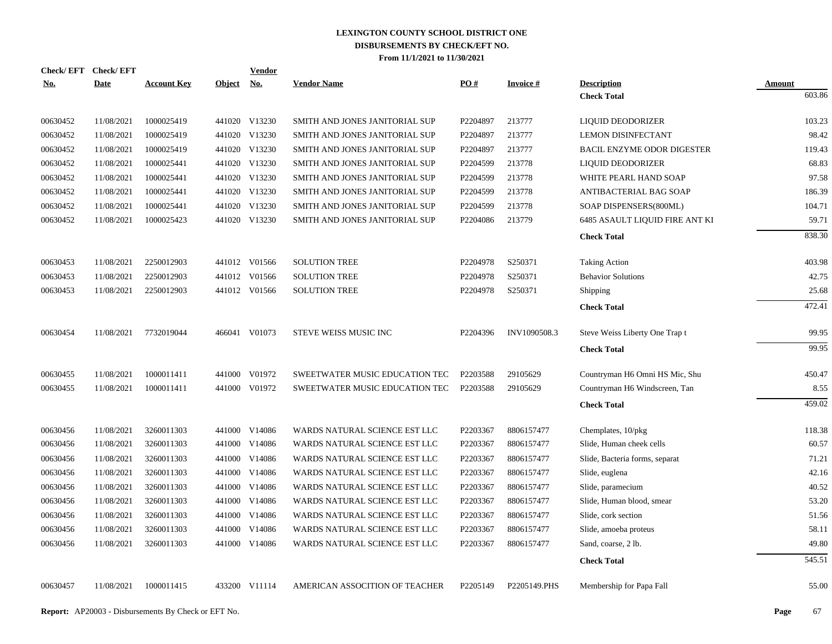|            | Check/EFT Check/EFT |                    |               | <b>Vendor</b> |                                |                   |                 |                                          |                  |
|------------|---------------------|--------------------|---------------|---------------|--------------------------------|-------------------|-----------------|------------------------------------------|------------------|
| <u>No.</u> | Date                | <b>Account Key</b> | <b>Object</b> | <u>No.</u>    | <b>Vendor Name</b>             | $\underline{PO#}$ | <b>Invoice#</b> | <b>Description</b><br><b>Check Total</b> | Amount<br>603.86 |
|            |                     |                    |               |               |                                |                   |                 |                                          |                  |
| 00630452   | 11/08/2021          | 1000025419         |               | 441020 V13230 | SMITH AND JONES JANITORIAL SUP | P2204897          | 213777          | LIQUID DEODORIZER                        | 103.23           |
| 00630452   | 11/08/2021          | 1000025419         |               | 441020 V13230 | SMITH AND JONES JANITORIAL SUP | P2204897          | 213777          | <b>LEMON DISINFECTANT</b>                | 98.42            |
| 00630452   | 11/08/2021          | 1000025419         |               | 441020 V13230 | SMITH AND JONES JANITORIAL SUP | P2204897          | 213777          | BACIL ENZYME ODOR DIGESTER               | 119.43           |
| 00630452   | 11/08/2021          | 1000025441         |               | 441020 V13230 | SMITH AND JONES JANITORIAL SUP | P2204599          | 213778          | LIQUID DEODORIZER                        | 68.83            |
| 00630452   | 11/08/2021          | 1000025441         |               | 441020 V13230 | SMITH AND JONES JANITORIAL SUP | P2204599          | 213778          | WHITE PEARL HAND SOAP                    | 97.58            |
| 00630452   | 11/08/2021          | 1000025441         |               | 441020 V13230 | SMITH AND JONES JANITORIAL SUP | P2204599          | 213778          | ANTIBACTERIAL BAG SOAP                   | 186.39           |
| 00630452   | 11/08/2021          | 1000025441         |               | 441020 V13230 | SMITH AND JONES JANITORIAL SUP | P2204599          | 213778          | SOAP DISPENSERS(800ML)                   | 104.71           |
| 00630452   | 11/08/2021          | 1000025423         |               | 441020 V13230 | SMITH AND JONES JANITORIAL SUP | P2204086          | 213779          | 6485 ASAULT LIQUID FIRE ANT KI           | 59.71            |
|            |                     |                    |               |               |                                |                   |                 | <b>Check Total</b>                       | 838.30           |
| 00630453   | 11/08/2021          | 2250012903         |               | 441012 V01566 | <b>SOLUTION TREE</b>           | P2204978          | S250371         | <b>Taking Action</b>                     | 403.98           |
| 00630453   | 11/08/2021          | 2250012903         |               | 441012 V01566 | <b>SOLUTION TREE</b>           | P2204978          | S250371         | <b>Behavior Solutions</b>                | 42.75            |
| 00630453   | 11/08/2021          | 2250012903         |               | 441012 V01566 | <b>SOLUTION TREE</b>           | P2204978          | S250371         | Shipping                                 | 25.68            |
|            |                     |                    |               |               |                                |                   |                 | <b>Check Total</b>                       | 472.41           |
| 00630454   | 11/08/2021          | 7732019044         |               | 466041 V01073 | STEVE WEISS MUSIC INC          | P2204396          | INV1090508.3    | Steve Weiss Liberty One Trap t           | 99.95            |
|            |                     |                    |               |               |                                |                   |                 | <b>Check Total</b>                       | 99.95            |
| 00630455   | 11/08/2021          | 1000011411         |               | 441000 V01972 | SWEETWATER MUSIC EDUCATION TEC | P2203588          | 29105629        | Countryman H6 Omni HS Mic, Shu           | 450.47           |
| 00630455   | 11/08/2021          | 1000011411         |               | 441000 V01972 | SWEETWATER MUSIC EDUCATION TEC | P2203588          | 29105629        | Countryman H6 Windscreen, Tan            | 8.55             |
|            |                     |                    |               |               |                                |                   |                 | <b>Check Total</b>                       | 459.02           |
|            |                     |                    |               |               |                                |                   |                 |                                          |                  |
| 00630456   | 11/08/2021          | 3260011303         |               | 441000 V14086 | WARDS NATURAL SCIENCE EST LLC  | P2203367          | 8806157477      | Chemplates, 10/pkg                       | 118.38           |
| 00630456   | 11/08/2021          | 3260011303         |               | 441000 V14086 | WARDS NATURAL SCIENCE EST LLC  | P2203367          | 8806157477      | Slide, Human cheek cells                 | 60.57            |
| 00630456   | 11/08/2021          | 3260011303         |               | 441000 V14086 | WARDS NATURAL SCIENCE EST LLC  | P2203367          | 8806157477      | Slide, Bacteria forms, separat           | 71.21            |
| 00630456   | 11/08/2021          | 3260011303         |               | 441000 V14086 | WARDS NATURAL SCIENCE EST LLC  | P2203367          | 8806157477      | Slide, euglena                           | 42.16            |
| 00630456   | 11/08/2021          | 3260011303         |               | 441000 V14086 | WARDS NATURAL SCIENCE EST LLC  | P2203367          | 8806157477      | Slide, paramecium                        | 40.52            |
| 00630456   | 11/08/2021          | 3260011303         |               | 441000 V14086 | WARDS NATURAL SCIENCE EST LLC  | P2203367          | 8806157477      | Slide, Human blood, smear                | 53.20            |
| 00630456   | 11/08/2021          | 3260011303         |               | 441000 V14086 | WARDS NATURAL SCIENCE EST LLC  | P2203367          | 8806157477      | Slide, cork section                      | 51.56            |
| 00630456   | 11/08/2021          | 3260011303         |               | 441000 V14086 | WARDS NATURAL SCIENCE EST LLC  | P2203367          | 8806157477      | Slide, amoeba proteus                    | 58.11            |
| 00630456   | 11/08/2021          | 3260011303         |               | 441000 V14086 | WARDS NATURAL SCIENCE EST LLC  | P2203367          | 8806157477      | Sand, coarse, 2 lb.                      | 49.80            |
|            |                     |                    |               |               |                                |                   |                 | <b>Check Total</b>                       | 545.51           |
| 00630457   | 11/08/2021          | 1000011415         |               | 433200 V11114 | AMERICAN ASSOCITION OF TEACHER | P2205149          | P2205149.PHS    | Membership for Papa Fall                 | 55.00            |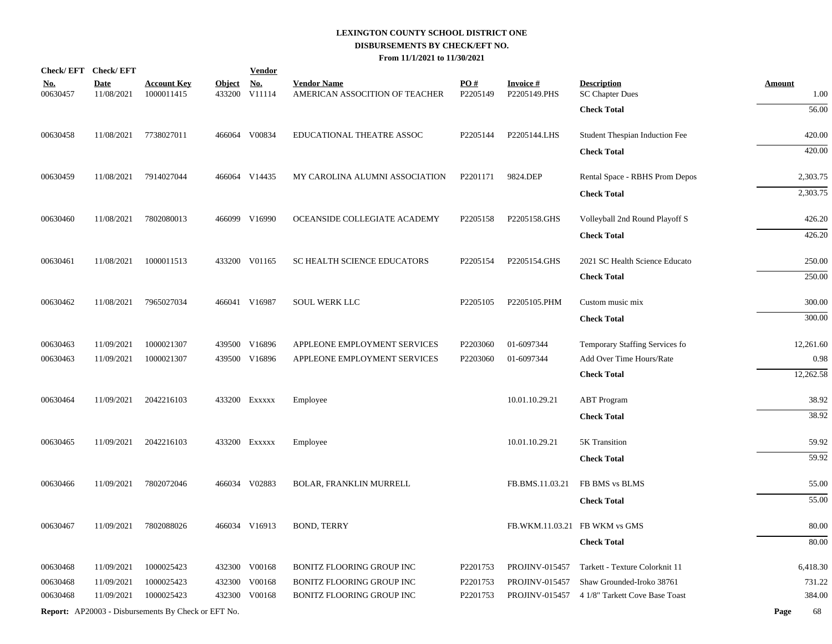| Check/EFT Check/EFT    |                           |                                                            |                         | <b>Vendor</b>                       |                                                      |                 |                                 |                                              |                       |
|------------------------|---------------------------|------------------------------------------------------------|-------------------------|-------------------------------------|------------------------------------------------------|-----------------|---------------------------------|----------------------------------------------|-----------------------|
| <b>No.</b><br>00630457 | <b>Date</b><br>11/08/2021 | <b>Account Key</b><br>1000011415                           | <b>Object</b><br>433200 | $\underline{\mathrm{No}}$<br>V11114 | <b>Vendor Name</b><br>AMERICAN ASSOCITION OF TEACHER | PO#<br>P2205149 | <b>Invoice#</b><br>P2205149.PHS | <b>Description</b><br><b>SC Chapter Dues</b> | <b>Amount</b><br>1.00 |
|                        |                           |                                                            |                         |                                     |                                                      |                 |                                 | <b>Check Total</b>                           | 56.00                 |
|                        |                           |                                                            |                         |                                     |                                                      |                 |                                 |                                              |                       |
| 00630458               | 11/08/2021                | 7738027011                                                 |                         | 466064 V00834                       | EDUCATIONAL THEATRE ASSOC                            | P2205144        | P2205144.LHS                    | Student Thespian Induction Fee               | 420.00                |
|                        |                           |                                                            |                         |                                     |                                                      |                 |                                 | <b>Check Total</b>                           | 420.00                |
| 00630459               | 11/08/2021                | 7914027044                                                 |                         | 466064 V14435                       | MY CAROLINA ALUMNI ASSOCIATION                       | P2201171        | 9824.DEP                        | Rental Space - RBHS Prom Depos               | 2,303.75              |
|                        |                           |                                                            |                         |                                     |                                                      |                 |                                 | <b>Check Total</b>                           | 2,303.75              |
| 00630460               | 11/08/2021                | 7802080013                                                 |                         | 466099 V16990                       | OCEANSIDE COLLEGIATE ACADEMY                         | P2205158        | P2205158.GHS                    | Volleyball 2nd Round Playoff S               | 426.20                |
|                        |                           |                                                            |                         |                                     |                                                      |                 |                                 | <b>Check Total</b>                           | 426.20                |
| 00630461               | 11/08/2021                | 1000011513                                                 |                         | 433200 V01165                       | <b>SC HEALTH SCIENCE EDUCATORS</b>                   | P2205154        | P2205154.GHS                    | 2021 SC Health Science Educato               | 250.00                |
|                        |                           |                                                            |                         |                                     |                                                      |                 |                                 | <b>Check Total</b>                           | 250.00                |
| 00630462               | 11/08/2021                | 7965027034                                                 |                         | 466041 V16987                       | <b>SOUL WERK LLC</b>                                 | P2205105        | P2205105.PHM                    | Custom music mix                             | 300.00                |
|                        |                           |                                                            |                         |                                     |                                                      |                 |                                 | <b>Check Total</b>                           | 300.00                |
| 00630463               | 11/09/2021                | 1000021307                                                 |                         | 439500 V16896                       | APPLEONE EMPLOYMENT SERVICES                         | P2203060        | 01-6097344                      | Temporary Staffing Services fo               | 12,261.60             |
| 00630463               | 11/09/2021                | 1000021307                                                 |                         | 439500 V16896                       | APPLEONE EMPLOYMENT SERVICES                         | P2203060        | 01-6097344                      | Add Over Time Hours/Rate                     | 0.98                  |
|                        |                           |                                                            |                         |                                     |                                                      |                 |                                 | <b>Check Total</b>                           | 12,262.58             |
| 00630464               | 11/09/2021                | 2042216103                                                 |                         | 433200 EXXXXX                       | Employee                                             |                 | 10.01.10.29.21                  | <b>ABT</b> Program                           | 38.92                 |
|                        |                           |                                                            |                         |                                     |                                                      |                 |                                 | <b>Check Total</b>                           | 38.92                 |
| 00630465               | 11/09/2021                | 2042216103                                                 |                         | 433200 EXXXXX                       | Employee                                             |                 | 10.01.10.29.21                  | 5K Transition                                | 59.92                 |
|                        |                           |                                                            |                         |                                     |                                                      |                 |                                 | <b>Check Total</b>                           | 59.92                 |
| 00630466               | 11/09/2021                | 7802072046                                                 |                         | 466034 V02883                       | <b>BOLAR, FRANKLIN MURRELL</b>                       |                 | FB.BMS.11.03.21                 | FB BMS vs BLMS                               | 55.00                 |
|                        |                           |                                                            |                         |                                     |                                                      |                 |                                 | <b>Check Total</b>                           | 55.00                 |
| 00630467               | 11/09/2021                | 7802088026                                                 |                         | 466034 V16913                       | <b>BOND, TERRY</b>                                   |                 | FB.WKM.11.03.21 FB WKM vs GMS   |                                              | 80.00                 |
|                        |                           |                                                            |                         |                                     |                                                      |                 |                                 | <b>Check Total</b>                           | 80.00                 |
| 00630468               | 11/09/2021                | 1000025423                                                 |                         | 432300 V00168                       | BONITZ FLOORING GROUP INC                            | P2201753        | <b>PROJINV-015457</b>           | Tarkett - Texture Colorknit 11               | 6,418.30              |
| 00630468               | 11/09/2021                | 1000025423                                                 |                         | 432300 V00168                       | BONITZ FLOORING GROUP INC                            | P2201753        | PROJINV-015457                  | Shaw Grounded-Iroko 38761                    | 731.22                |
| 00630468               | 11/09/2021                | 1000025423                                                 |                         | 432300 V00168                       | BONITZ FLOORING GROUP INC                            | P2201753        | <b>PROJINV-015457</b>           | 4 1/8" Tarkett Cove Base Toast               | 384.00                |
|                        |                           | <b>Report:</b> AP20003 - Disbursements By Check or EFT No. |                         |                                     |                                                      |                 |                                 |                                              | Page<br>68            |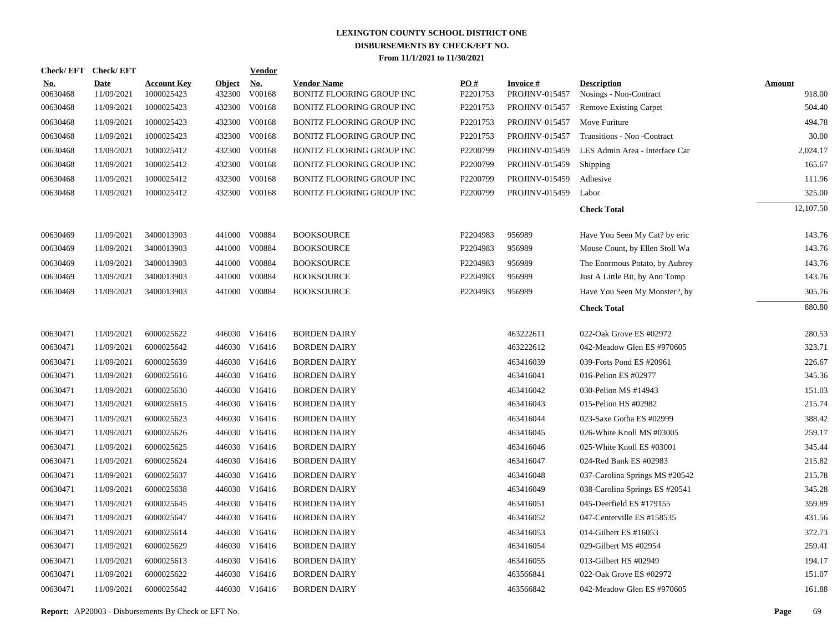| Check/EFT Check/EFT    |                           |                                  |                         | <b>Vendor</b>        |                                                 |                 |                                   |                                              |                         |
|------------------------|---------------------------|----------------------------------|-------------------------|----------------------|-------------------------------------------------|-----------------|-----------------------------------|----------------------------------------------|-------------------------|
| <u>No.</u><br>00630468 | <b>Date</b><br>11/09/2021 | <b>Account Key</b><br>1000025423 | <b>Object</b><br>432300 | <u>No.</u><br>V00168 | <b>Vendor Name</b><br>BONITZ FLOORING GROUP INC | PO#<br>P2201753 | <b>Invoice#</b><br>PROJINV-015457 | <b>Description</b><br>Nosings - Non-Contract | <b>Amount</b><br>918.00 |
| 00630468               | 11/09/2021                | 1000025423                       |                         | 432300 V00168        | BONITZ FLOORING GROUP INC                       | P2201753        | <b>PROJINV-015457</b>             | <b>Remove Existing Carpet</b>                | 504.40                  |
| 00630468               | 11/09/2021                | 1000025423                       |                         | 432300 V00168        | BONITZ FLOORING GROUP INC                       | P2201753        | <b>PROJINV-015457</b>             | Move Furiture                                | 494.78                  |
| 00630468               | 11/09/2021                | 1000025423                       |                         | 432300 V00168        | BONITZ FLOORING GROUP INC                       | P2201753        | PROJINV-015457                    | Transitions - Non - Contract                 | 30.00                   |
| 00630468               | 11/09/2021                | 1000025412                       |                         | 432300 V00168        | BONITZ FLOORING GROUP INC                       | P2200799        | <b>PROJINV-015459</b>             | LES Admin Area - Interface Car               | 2,024.17                |
| 00630468               | 11/09/2021                | 1000025412                       |                         | 432300 V00168        | BONITZ FLOORING GROUP INC                       | P2200799        | PROJINV-015459                    | Shipping                                     | 165.67                  |
| 00630468               | 11/09/2021                | 1000025412                       |                         | 432300 V00168        | BONITZ FLOORING GROUP INC                       | P2200799        | <b>PROJINV-015459</b>             | Adhesive                                     | 111.96                  |
| 00630468               | 11/09/2021                | 1000025412                       |                         | 432300 V00168        | BONITZ FLOORING GROUP INC                       | P2200799        | <b>PROJINV-015459</b>             | Labor                                        | 325.00                  |
|                        |                           |                                  |                         |                      |                                                 |                 |                                   | <b>Check Total</b>                           | 12,107.50               |
| 00630469               | 11/09/2021                | 3400013903                       |                         | 441000 V00884        | <b>BOOKSOURCE</b>                               | P2204983        | 956989                            | Have You Seen My Cat? by eric                | 143.76                  |
| 00630469               | 11/09/2021                | 3400013903                       |                         | 441000 V00884        | <b>BOOKSOURCE</b>                               | P2204983        | 956989                            | Mouse Count, by Ellen Stoll Wa               | 143.76                  |
| 00630469               | 11/09/2021                | 3400013903                       |                         | 441000 V00884        | <b>BOOKSOURCE</b>                               | P2204983        | 956989                            | The Enormous Potato, by Aubrey               | 143.76                  |
| 00630469               | 11/09/2021                | 3400013903                       |                         | 441000 V00884        | <b>BOOKSOURCE</b>                               | P2204983        | 956989                            | Just A Little Bit, by Ann Tomp               | 143.76                  |
| 00630469               | 11/09/2021                | 3400013903                       |                         | 441000 V00884        | <b>BOOKSOURCE</b>                               | P2204983        | 956989                            | Have You Seen My Monster?, by                | 305.76                  |
|                        |                           |                                  |                         |                      |                                                 |                 |                                   | <b>Check Total</b>                           | 880.80                  |
| 00630471               | 11/09/2021                | 6000025622                       |                         | 446030 V16416        | <b>BORDEN DAIRY</b>                             |                 | 463222611                         | 022-Oak Grove ES #02972                      | 280.53                  |
| 00630471               | 11/09/2021                | 6000025642                       |                         | 446030 V16416        | <b>BORDEN DAIRY</b>                             |                 | 463222612                         | 042-Meadow Glen ES #970605                   | 323.71                  |
| 00630471               | 11/09/2021                | 6000025639                       |                         | 446030 V16416        | <b>BORDEN DAIRY</b>                             |                 | 463416039                         | 039-Forts Pond ES #20961                     | 226.67                  |
| 00630471               | 11/09/2021                | 6000025616                       |                         | 446030 V16416        | <b>BORDEN DAIRY</b>                             |                 | 463416041                         | 016-Pelion ES #02977                         | 345.36                  |
| 00630471               | 11/09/2021                | 6000025630                       |                         | 446030 V16416        | <b>BORDEN DAIRY</b>                             |                 | 463416042                         | 030-Pelion MS #14943                         | 151.03                  |
| 00630471               | 11/09/2021                | 6000025615                       |                         | 446030 V16416        | <b>BORDEN DAIRY</b>                             |                 | 463416043                         | 015-Pelion HS #02982                         | 215.74                  |
| 00630471               | 11/09/2021                | 6000025623                       |                         | 446030 V16416        | <b>BORDEN DAIRY</b>                             |                 | 463416044                         | 023-Saxe Gotha ES #02999                     | 388.42                  |
| 00630471               | 11/09/2021                | 6000025626                       |                         | 446030 V16416        | <b>BORDEN DAIRY</b>                             |                 | 463416045                         | 026-White Knoll MS #03005                    | 259.17                  |
| 00630471               | 11/09/2021                | 6000025625                       |                         | 446030 V16416        | <b>BORDEN DAIRY</b>                             |                 | 463416046                         | 025-White Knoll ES #03001                    | 345.44                  |
| 00630471               | 11/09/2021                | 6000025624                       |                         | 446030 V16416        | <b>BORDEN DAIRY</b>                             |                 | 463416047                         | 024-Red Bank ES #02983                       | 215.82                  |
| 00630471               | 11/09/2021                | 6000025637                       |                         | 446030 V16416        | <b>BORDEN DAIRY</b>                             |                 | 463416048                         | 037-Carolina Springs MS #20542               | 215.78                  |
| 00630471               | 11/09/2021                | 6000025638                       |                         | 446030 V16416        | <b>BORDEN DAIRY</b>                             |                 | 463416049                         | 038-Carolina Springs ES #20541               | 345.28                  |
| 00630471               | 11/09/2021                | 6000025645                       |                         | 446030 V16416        | <b>BORDEN DAIRY</b>                             |                 | 463416051                         | 045-Deerfield ES #179155                     | 359.89                  |
| 00630471               | 11/09/2021                | 6000025647                       |                         | 446030 V16416        | <b>BORDEN DAIRY</b>                             |                 | 463416052                         | 047-Centerville ES #158535                   | 431.56                  |
| 00630471               | 11/09/2021                | 6000025614                       |                         | 446030 V16416        | <b>BORDEN DAIRY</b>                             |                 | 463416053                         | 014-Gilbert ES #16053                        | 372.73                  |
| 00630471               | 11/09/2021                | 6000025629                       |                         | 446030 V16416        | <b>BORDEN DAIRY</b>                             |                 | 463416054                         | 029-Gilbert MS #02954                        | 259.41                  |
| 00630471               | 11/09/2021                | 6000025613                       |                         | 446030 V16416        | <b>BORDEN DAIRY</b>                             |                 | 463416055                         | 013-Gilbert HS #02949                        | 194.17                  |
| 00630471               | 11/09/2021                | 6000025622                       |                         | 446030 V16416        | <b>BORDEN DAIRY</b>                             |                 | 463566841                         | 022-Oak Grove ES #02972                      | 151.07                  |
| 00630471               | 11/09/2021                | 6000025642                       |                         | 446030 V16416        | <b>BORDEN DAIRY</b>                             |                 | 463566842                         | 042-Meadow Glen ES #970605                   | 161.88                  |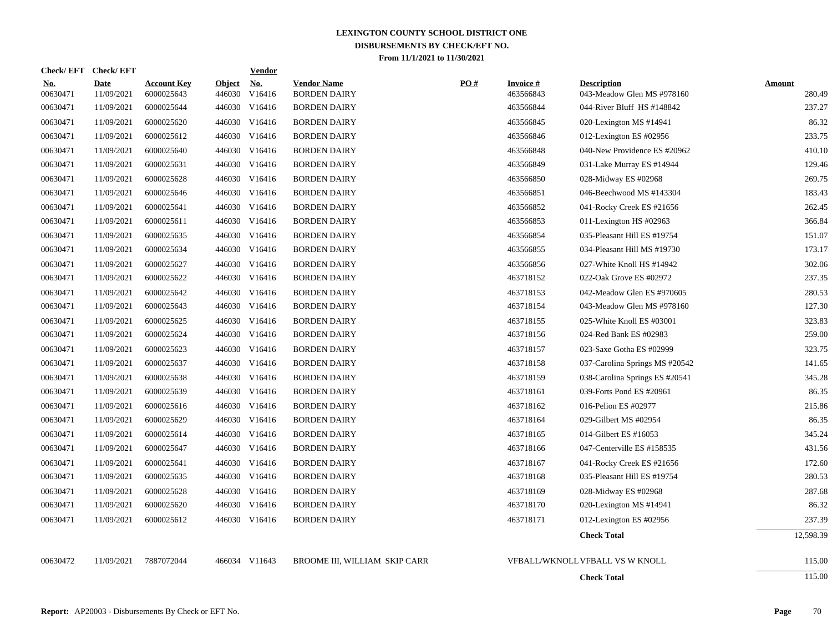|                        | Check/EFT Check/EFT       |                                  |                         | <b>Vendor</b>        |                                           |     |                              |                                                  |                         |
|------------------------|---------------------------|----------------------------------|-------------------------|----------------------|-------------------------------------------|-----|------------------------------|--------------------------------------------------|-------------------------|
| <u>No.</u><br>00630471 | <b>Date</b><br>11/09/2021 | <b>Account Key</b><br>6000025643 | <b>Object</b><br>446030 | <u>No.</u><br>V16416 | <b>Vendor Name</b><br><b>BORDEN DAIRY</b> | PO# | <b>Invoice#</b><br>463566843 | <b>Description</b><br>043-Meadow Glen MS #978160 | <b>Amount</b><br>280.49 |
| 00630471               | 11/09/2021                | 6000025644                       |                         | 446030 V16416        | <b>BORDEN DAIRY</b>                       |     | 463566844                    | 044-River Bluff HS #148842                       | 237.27                  |
| 00630471               | 11/09/2021                | 6000025620                       |                         | 446030 V16416        | <b>BORDEN DAIRY</b>                       |     | 463566845                    | 020-Lexington MS $#14941$                        | 86.32                   |
| 00630471               | 11/09/2021                | 6000025612                       |                         | 446030 V16416        | <b>BORDEN DAIRY</b>                       |     | 463566846                    | 012-Lexington ES #02956                          | 233.75                  |
| 00630471               | 11/09/2021                | 6000025640                       |                         | 446030 V16416        | <b>BORDEN DAIRY</b>                       |     | 463566848                    | 040-New Providence ES #20962                     | 410.10                  |
| 00630471               | 11/09/2021                | 6000025631                       |                         | 446030 V16416        | <b>BORDEN DAIRY</b>                       |     | 463566849                    | 031-Lake Murray ES #14944                        | 129.46                  |
| 00630471               | 11/09/2021                | 6000025628                       |                         | 446030 V16416        | <b>BORDEN DAIRY</b>                       |     | 463566850                    | 028-Midway ES #02968                             | 269.75                  |
| 00630471               | 11/09/2021                | 6000025646                       |                         | 446030 V16416        | <b>BORDEN DAIRY</b>                       |     | 463566851                    | 046-Beechwood MS #143304                         | 183.43                  |
| 00630471               | 11/09/2021                | 6000025641                       |                         | 446030 V16416        | <b>BORDEN DAIRY</b>                       |     | 463566852                    | 041-Rocky Creek ES #21656                        | 262.45                  |
| 00630471               | 11/09/2021                | 6000025611                       |                         | 446030 V16416        | <b>BORDEN DAIRY</b>                       |     | 463566853                    | 011-Lexington HS #02963                          | 366.84                  |
| 00630471               | 11/09/2021                | 6000025635                       |                         | 446030 V16416        | <b>BORDEN DAIRY</b>                       |     | 463566854                    | 035-Pleasant Hill ES #19754                      | 151.07                  |
| 00630471               | 11/09/2021                | 6000025634                       |                         | 446030 V16416        | <b>BORDEN DAIRY</b>                       |     | 463566855                    | 034-Pleasant Hill MS #19730                      | 173.17                  |
| 00630471               | 11/09/2021                | 6000025627                       |                         | 446030 V16416        | <b>BORDEN DAIRY</b>                       |     | 463566856                    | 027-White Knoll HS #14942                        | 302.06                  |
| 00630471               | 11/09/2021                | 6000025622                       |                         | 446030 V16416        | <b>BORDEN DAIRY</b>                       |     | 463718152                    | 022-Oak Grove ES #02972                          | 237.35                  |
| 00630471               | 11/09/2021                | 6000025642                       | 446030                  | V16416               | <b>BORDEN DAIRY</b>                       |     | 463718153                    | 042-Meadow Glen ES #970605                       | 280.53                  |
| 00630471               | 11/09/2021                | 6000025643                       | 446030                  | V16416               | <b>BORDEN DAIRY</b>                       |     | 463718154                    | 043-Meadow Glen MS #978160                       | 127.30                  |
| 00630471               | 11/09/2021                | 6000025625                       |                         | 446030 V16416        | <b>BORDEN DAIRY</b>                       |     | 463718155                    | 025-White Knoll ES #03001                        | 323.83                  |
| 00630471               | 11/09/2021                | 6000025624                       |                         | 446030 V16416        | <b>BORDEN DAIRY</b>                       |     | 463718156                    | 024-Red Bank ES #02983                           | 259.00                  |
| 00630471               | 11/09/2021                | 6000025623                       |                         | 446030 V16416        | <b>BORDEN DAIRY</b>                       |     | 463718157                    | 023-Saxe Gotha ES #02999                         | 323.75                  |
| 00630471               | 11/09/2021                | 6000025637                       |                         | 446030 V16416        | <b>BORDEN DAIRY</b>                       |     | 463718158                    | 037-Carolina Springs MS #20542                   | 141.65                  |
| 00630471               | 11/09/2021                | 6000025638                       |                         | 446030 V16416        | <b>BORDEN DAIRY</b>                       |     | 463718159                    | 038-Carolina Springs ES #20541                   | 345.28                  |
| 00630471               | 11/09/2021                | 6000025639                       |                         | 446030 V16416        | <b>BORDEN DAIRY</b>                       |     | 463718161                    | 039-Forts Pond ES #20961                         | 86.35                   |
| 00630471               | 11/09/2021                | 6000025616                       |                         | 446030 V16416        | <b>BORDEN DAIRY</b>                       |     | 463718162                    | 016-Pelion ES #02977                             | 215.86                  |
| 00630471               | 11/09/2021                | 6000025629                       |                         | 446030 V16416        | <b>BORDEN DAIRY</b>                       |     | 463718164                    | 029-Gilbert MS #02954                            | 86.35                   |
| 00630471               | 11/09/2021                | 6000025614                       |                         | 446030 V16416        | <b>BORDEN DAIRY</b>                       |     | 463718165                    | 014-Gilbert ES #16053                            | 345.24                  |
| 00630471               | 11/09/2021                | 6000025647                       |                         | 446030 V16416        | <b>BORDEN DAIRY</b>                       |     | 463718166                    | 047-Centerville ES #158535                       | 431.56                  |
| 00630471               | 11/09/2021                | 6000025641                       |                         | 446030 V16416        | <b>BORDEN DAIRY</b>                       |     | 463718167                    | 041-Rocky Creek ES #21656                        | 172.60                  |
| 00630471               | 11/09/2021                | 6000025635                       |                         | 446030 V16416        | <b>BORDEN DAIRY</b>                       |     | 463718168                    | 035-Pleasant Hill ES #19754                      | 280.53                  |
| 00630471               | 11/09/2021                | 6000025628                       |                         | 446030 V16416        | <b>BORDEN DAIRY</b>                       |     | 463718169                    | 028-Midway ES #02968                             | 287.68                  |
| 00630471               | 11/09/2021                | 6000025620                       |                         | 446030 V16416        | <b>BORDEN DAIRY</b>                       |     | 463718170                    | 020-Lexington MS #14941                          | 86.32                   |
| 00630471               | 11/09/2021                | 6000025612                       |                         | 446030 V16416        | <b>BORDEN DAIRY</b>                       |     | 463718171                    | 012-Lexington ES #02956                          | 237.39                  |
|                        |                           |                                  |                         |                      |                                           |     |                              | <b>Check Total</b>                               | 12,598.39               |
|                        |                           |                                  |                         |                      |                                           |     |                              |                                                  |                         |
| 00630472               | 11/09/2021                | 7887072044                       |                         | 466034 V11643        | BROOME III. WILLIAM SKIP CARR             |     |                              | VFBALL/WKNOLL VFBALL VS W KNOLL                  | 115.00                  |
|                        |                           |                                  |                         |                      |                                           |     |                              | <b>Check Total</b>                               | 115.00                  |
|                        |                           |                                  |                         |                      |                                           |     |                              |                                                  |                         |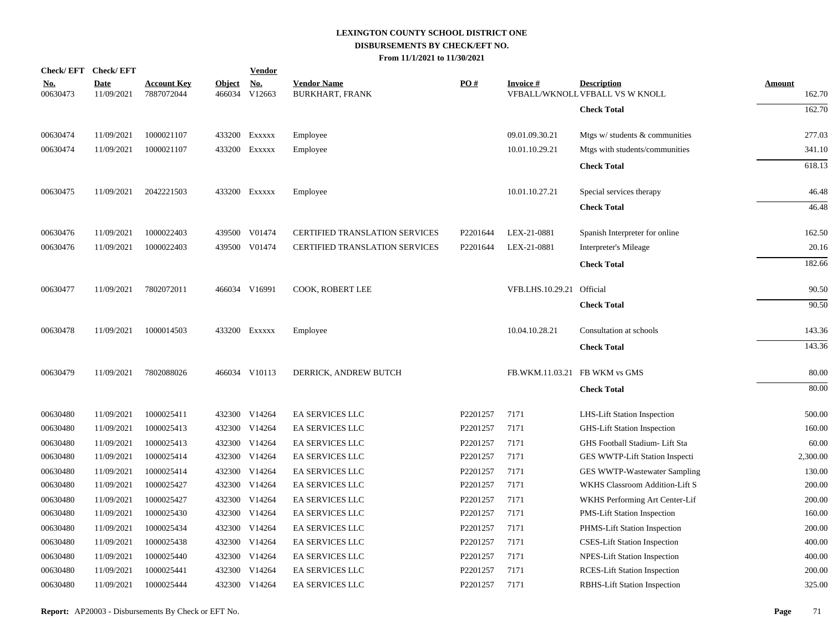| Check/EFT Check/EFT |                           |                                  |                         | <b>Vendor</b>        |                                              |          |                               |                                                       |                  |
|---------------------|---------------------------|----------------------------------|-------------------------|----------------------|----------------------------------------------|----------|-------------------------------|-------------------------------------------------------|------------------|
| $No.$<br>00630473   | <b>Date</b><br>11/09/2021 | <b>Account Key</b><br>7887072044 | <u>Object</u><br>466034 | <u>No.</u><br>V12663 | <b>Vendor Name</b><br><b>BURKHART, FRANK</b> | PO#      | <b>Invoice#</b>               | <b>Description</b><br>VFBALL/WKNOLL VFBALL VS W KNOLL | Amount<br>162.70 |
|                     |                           |                                  |                         |                      |                                              |          |                               | <b>Check Total</b>                                    | 162.70           |
| 00630474            | 11/09/2021                | 1000021107                       |                         | 433200 Exxxxx        | Employee                                     |          | 09.01.09.30.21                | Mtgs $w$ students $\&$ communities                    | 277.03           |
| 00630474            | 11/09/2021                | 1000021107                       |                         | 433200 Exxxxx        | Employee                                     |          | 10.01.10.29.21                | Mtgs with students/communities                        | 341.10           |
|                     |                           |                                  |                         |                      |                                              |          |                               | <b>Check Total</b>                                    | 618.13           |
| 00630475            | 11/09/2021                | 2042221503                       |                         | 433200 Exxxxx        | Employee                                     |          | 10.01.10.27.21                | Special services therapy                              | 46.48            |
|                     |                           |                                  |                         |                      |                                              |          |                               | <b>Check Total</b>                                    | 46.48            |
| 00630476            | 11/09/2021                | 1000022403                       |                         | 439500 V01474        | <b>CERTIFIED TRANSLATION SERVICES</b>        | P2201644 | LEX-21-0881                   | Spanish Interpreter for online                        | 162.50           |
| 00630476            | 11/09/2021                | 1000022403                       |                         | 439500 V01474        | <b>CERTIFIED TRANSLATION SERVICES</b>        | P2201644 | LEX-21-0881                   | Interpreter's Mileage                                 | 20.16            |
|                     |                           |                                  |                         |                      |                                              |          |                               | <b>Check Total</b>                                    | 182.66           |
| 00630477            | 11/09/2021                | 7802072011                       |                         | 466034 V16991        | COOK, ROBERT LEE                             |          | VFB.LHS.10.29.21 Official     |                                                       | 90.50            |
|                     |                           |                                  |                         |                      |                                              |          |                               | <b>Check Total</b>                                    | 90.50            |
| 00630478            | 11/09/2021                | 1000014503                       |                         | 433200 Exxxxx        | Employee                                     |          | 10.04.10.28.21                | Consultation at schools                               | 143.36           |
|                     |                           |                                  |                         |                      |                                              |          |                               | <b>Check Total</b>                                    | 143.36           |
| 00630479            | 11/09/2021                | 7802088026                       |                         | 466034 V10113        | DERRICK, ANDREW BUTCH                        |          | FB.WKM.11.03.21 FB WKM vs GMS |                                                       | 80.00            |
|                     |                           |                                  |                         |                      |                                              |          |                               | <b>Check Total</b>                                    | 80.00            |
| 00630480            | 11/09/2021                | 1000025411                       |                         | 432300 V14264        | EA SERVICES LLC                              | P2201257 | 7171                          | LHS-Lift Station Inspection                           | 500.00           |
| 00630480            | 11/09/2021                | 1000025413                       |                         | 432300 V14264        | <b>EA SERVICES LLC</b>                       | P2201257 | 7171                          | GHS-Lift Station Inspection                           | 160.00           |
| 00630480            | 11/09/2021                | 1000025413                       | 432300                  | V14264               | EA SERVICES LLC                              | P2201257 | 7171                          | GHS Football Stadium- Lift Sta                        | 60.00            |
| 00630480            | 11/09/2021                | 1000025414                       |                         | 432300 V14264        | EA SERVICES LLC                              | P2201257 | 7171                          | GES WWTP-Lift Station Inspecti                        | 2,300.00         |
| 00630480            | 11/09/2021                | 1000025414                       | 432300                  | V14264               | EA SERVICES LLC                              | P2201257 | 7171                          | GES WWTP-Wastewater Sampling                          | 130.00           |
| 00630480            | 11/09/2021                | 1000025427                       |                         | 432300 V14264        | EA SERVICES LLC                              | P2201257 | 7171                          | WKHS Classroom Addition-Lift S                        | 200.00           |
| 00630480            | 11/09/2021                | 1000025427                       | 432300                  | V14264               | EA SERVICES LLC                              | P2201257 | 7171                          | WKHS Performing Art Center-Lif                        | 200.00           |
| 00630480            | 11/09/2021                | 1000025430                       |                         | 432300 V14264        | EA SERVICES LLC                              | P2201257 | 7171                          | PMS-Lift Station Inspection                           | 160.00           |
| 00630480            | 11/09/2021                | 1000025434                       | 432300                  | V14264               | EA SERVICES LLC                              | P2201257 | 7171                          | PHMS-Lift Station Inspection                          | 200.00           |
| 00630480            | 11/09/2021                | 1000025438                       |                         | 432300 V14264        | EA SERVICES LLC                              | P2201257 | 7171                          | <b>CSES-Lift Station Inspection</b>                   | 400.00           |
| 00630480            | 11/09/2021                | 1000025440                       | 432300                  | V14264               | EA SERVICES LLC                              | P2201257 | 7171                          | NPES-Lift Station Inspection                          | 400.00           |
| 00630480            | 11/09/2021                | 1000025441                       | 432300                  | V14264               | <b>EA SERVICES LLC</b>                       | P2201257 | 7171                          | <b>RCES-Lift Station Inspection</b>                   | 200.00           |
| 00630480            | 11/09/2021                | 1000025444                       |                         | 432300 V14264        | <b>EA SERVICES LLC</b>                       | P2201257 | 7171                          | <b>RBHS-Lift Station Inspection</b>                   | 325.00           |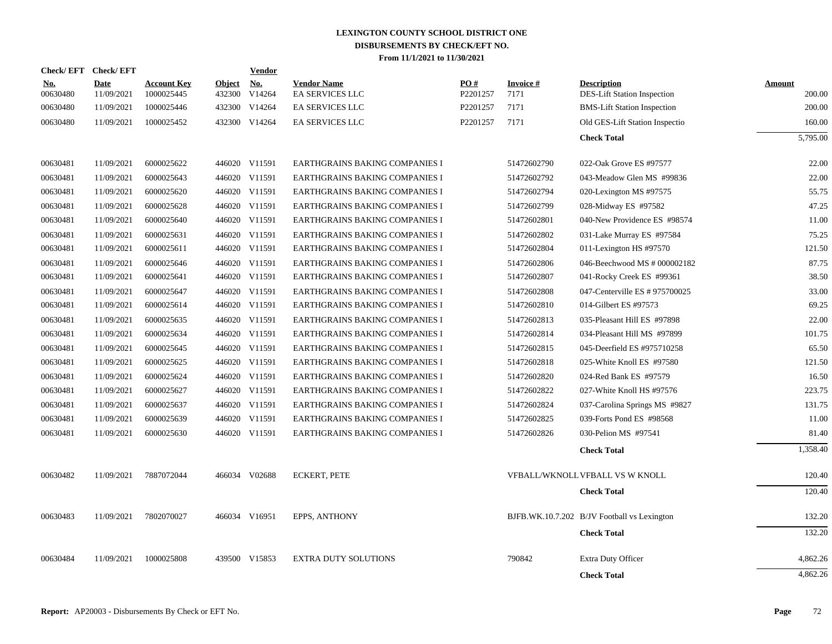| <b>Check/EFT</b>       | <b>Check/EFT</b>   |                                  |                         | <b>Vendor</b>                         |                                              |                 |                   |                                                   |                  |
|------------------------|--------------------|----------------------------------|-------------------------|---------------------------------------|----------------------------------------------|-----------------|-------------------|---------------------------------------------------|------------------|
| <u>No.</u><br>00630480 | Date<br>11/09/2021 | <b>Account Key</b><br>1000025445 | <b>Object</b><br>432300 | $\underline{\mathrm{No}}$ .<br>V14264 | <b>Vendor Name</b><br><b>EA SERVICES LLC</b> | PO#<br>P2201257 | Invoice #<br>7171 | <b>Description</b><br>DES-Lift Station Inspection | Amount<br>200.00 |
| 00630480               | 11/09/2021         | 1000025446                       |                         | 432300 V14264                         | <b>EA SERVICES LLC</b>                       | P2201257        | 7171              | <b>BMS-Lift Station Inspection</b>                | 200.00           |
| 00630480               | 11/09/2021         | 1000025452                       |                         | 432300 V14264                         | <b>EA SERVICES LLC</b>                       | P2201257        | 7171              | Old GES-Lift Station Inspectio                    | 160.00           |
|                        |                    |                                  |                         |                                       |                                              |                 |                   | <b>Check Total</b>                                | 5,795.00         |
| 00630481               | 11/09/2021         | 6000025622                       |                         | 446020 V11591                         | EARTHGRAINS BAKING COMPANIES I               |                 | 51472602790       | 022-Oak Grove ES #97577                           | 22.00            |
| 00630481               | 11/09/2021         | 6000025643                       |                         | 446020 V11591                         | <b>EARTHGRAINS BAKING COMPANIES I</b>        |                 | 51472602792       | 043-Meadow Glen MS #99836                         | 22.00            |
| 00630481               | 11/09/2021         | 6000025620                       |                         | 446020 V11591                         | EARTHGRAINS BAKING COMPANIES I               |                 | 51472602794       | 020-Lexington MS #97575                           | 55.75            |
| 00630481               | 11/09/2021         | 6000025628                       |                         | 446020 V11591                         | EARTHGRAINS BAKING COMPANIES I               |                 | 51472602799       | 028-Midway ES #97582                              | 47.25            |
| 00630481               | 11/09/2021         | 6000025640                       |                         | 446020 V11591                         | <b>EARTHGRAINS BAKING COMPANIES I</b>        |                 | 51472602801       | 040-New Providence ES #98574                      | 11.00            |
| 00630481               | 11/09/2021         | 6000025631                       |                         | 446020 V11591                         | <b>EARTHGRAINS BAKING COMPANIES I</b>        |                 | 51472602802       | 031-Lake Murray ES #97584                         | 75.25            |
| 00630481               | 11/09/2021         | 6000025611                       |                         | 446020 V11591                         | EARTHGRAINS BAKING COMPANIES I               |                 | 51472602804       | 011-Lexington HS #97570                           | 121.50           |
| 00630481               | 11/09/2021         | 6000025646                       |                         | 446020 V11591                         | EARTHGRAINS BAKING COMPANIES I               |                 | 51472602806       | 046-Beechwood MS # 000002182                      | 87.75            |
| 00630481               | 11/09/2021         | 6000025641                       |                         | 446020 V11591                         | EARTHGRAINS BAKING COMPANIES I               |                 | 51472602807       | 041-Rocky Creek ES #99361                         | 38.50            |
| 00630481               | 11/09/2021         | 6000025647                       |                         | 446020 V11591                         | EARTHGRAINS BAKING COMPANIES I               |                 | 51472602808       | 047-Centerville ES # 975700025                    | 33.00            |
| 00630481               | 11/09/2021         | 6000025614                       |                         | 446020 V11591                         | EARTHGRAINS BAKING COMPANIES I               |                 | 51472602810       | 014-Gilbert ES #97573                             | 69.25            |
| 00630481               | 11/09/2021         | 6000025635                       |                         | 446020 V11591                         | <b>EARTHGRAINS BAKING COMPANIES I</b>        |                 | 51472602813       | 035-Pleasant Hill ES #97898                       | 22.00            |
| 00630481               | 11/09/2021         | 6000025634                       |                         | 446020 V11591                         | EARTHGRAINS BAKING COMPANIES I               |                 | 51472602814       | 034-Pleasant Hill MS #97899                       | 101.75           |
| 00630481               | 11/09/2021         | 6000025645                       |                         | 446020 V11591                         | EARTHGRAINS BAKING COMPANIES I               |                 | 51472602815       | 045-Deerfield ES #975710258                       | 65.50            |
| 00630481               | 11/09/2021         | 6000025625                       |                         | 446020 V11591                         | EARTHGRAINS BAKING COMPANIES I               |                 | 51472602818       | 025-White Knoll ES #97580                         | 121.50           |
| 00630481               | 11/09/2021         | 6000025624                       |                         | 446020 V11591                         | <b>EARTHGRAINS BAKING COMPANIES I</b>        |                 | 51472602820       | 024-Red Bank ES #97579                            | 16.50            |
| 00630481               | 11/09/2021         | 6000025627                       |                         | 446020 V11591                         | EARTHGRAINS BAKING COMPANIES I               |                 | 51472602822       | 027-White Knoll HS #97576                         | 223.75           |
| 00630481               | 11/09/2021         | 6000025637                       |                         | 446020 V11591                         | EARTHGRAINS BAKING COMPANIES I               |                 | 51472602824       | 037-Carolina Springs MS #9827                     | 131.75           |
| 00630481               | 11/09/2021         | 6000025639                       |                         | 446020 V11591                         | EARTHGRAINS BAKING COMPANIES I               |                 | 51472602825       | 039-Forts Pond ES #98568                          | 11.00            |
| 00630481               | 11/09/2021         | 6000025630                       |                         | 446020 V11591                         | EARTHGRAINS BAKING COMPANIES I               |                 | 51472602826       | 030-Pelion MS #97541                              | 81.40            |
|                        |                    |                                  |                         |                                       |                                              |                 |                   | <b>Check Total</b>                                | 1,358.40         |
| 00630482               | 11/09/2021         | 7887072044                       |                         | 466034 V02688                         | <b>ECKERT, PETE</b>                          |                 |                   | VFBALL/WKNOLL VFBALL VS W KNOLL                   | 120.40           |
|                        |                    |                                  |                         |                                       |                                              |                 |                   | <b>Check Total</b>                                | 120.40           |
| 00630483               | 11/09/2021         | 7802070027                       |                         | 466034 V16951                         | <b>EPPS, ANTHONY</b>                         |                 |                   | BJFB.WK.10.7.202 B/JV Football vs Lexington       | 132.20           |
|                        |                    |                                  |                         |                                       |                                              |                 |                   | <b>Check Total</b>                                | 132.20           |
| 00630484               | 11/09/2021         | 1000025808                       |                         | 439500 V15853                         | <b>EXTRA DUTY SOLUTIONS</b>                  |                 | 790842            | <b>Extra Duty Officer</b>                         | 4,862.26         |
|                        |                    |                                  |                         |                                       |                                              |                 |                   | <b>Check Total</b>                                | 4,862.26         |
|                        |                    |                                  |                         |                                       |                                              |                 |                   |                                                   |                  |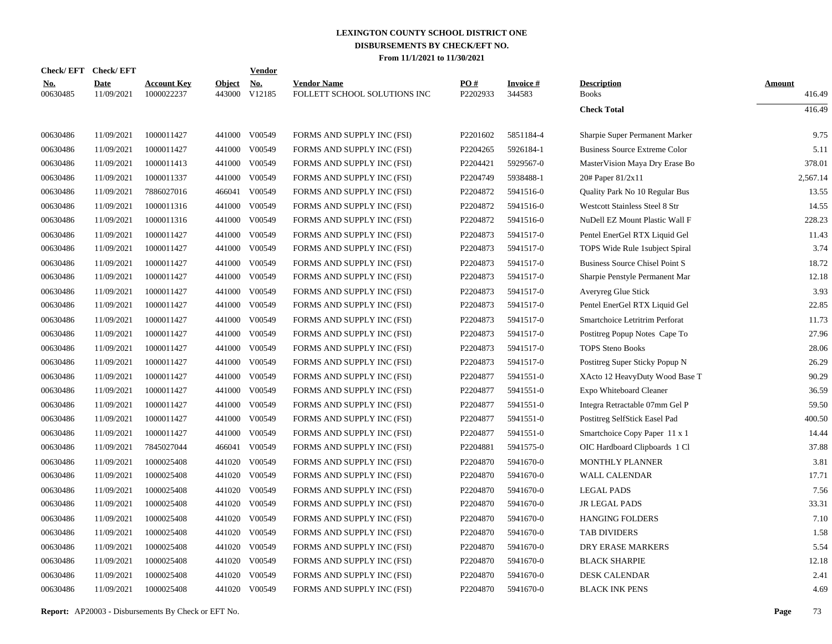|                        | Check/EFT Check/EFT       |                                  |                         | <b>Vendor</b>        |                                                    |                      |                           |                                      |                  |
|------------------------|---------------------------|----------------------------------|-------------------------|----------------------|----------------------------------------------------|----------------------|---------------------------|--------------------------------------|------------------|
| <u>No.</u><br>00630485 | <b>Date</b><br>11/09/2021 | <b>Account Key</b><br>1000022237 | <b>Object</b><br>443000 | <u>No.</u><br>V12185 | <b>Vendor Name</b><br>FOLLETT SCHOOL SOLUTIONS INC | PO#<br>P2202933      | <b>Invoice#</b><br>344583 | <b>Description</b><br><b>Books</b>   | Amount<br>416.49 |
|                        |                           |                                  |                         |                      |                                                    |                      |                           | <b>Check Total</b>                   | 416.49           |
| 00630486               | 11/09/2021                | 1000011427                       | 441000                  | V00549               | FORMS AND SUPPLY INC (FSI)                         | P2201602             | 5851184-4                 | Sharpie Super Permanent Marker       | 9.75             |
| 00630486               | 11/09/2021                | 1000011427                       | 441000                  | V00549               | FORMS AND SUPPLY INC (FSI)                         | P2204265             | 5926184-1                 | <b>Business Source Extreme Color</b> | 5.11             |
| 00630486               | 11/09/2021                | 1000011413                       | 441000                  | V00549               | FORMS AND SUPPLY INC (FSI)                         | P2204421             | 5929567-0                 | MasterVision Maya Dry Erase Bo       | 378.01           |
| 00630486               | 11/09/2021                | 1000011337                       | 441000                  | V00549               | FORMS AND SUPPLY INC (FSI)                         | P2204749             | 5938488-1                 | 20# Paper 81/2x11                    | 2,567.14         |
| 00630486               | 11/09/2021                | 7886027016                       |                         | 466041 V00549        | FORMS AND SUPPLY INC (FSI)                         | P2204872             | 5941516-0                 | Quality Park No 10 Regular Bus       | 13.55            |
| 00630486               | 11/09/2021                | 1000011316                       | 441000                  | V00549               | FORMS AND SUPPLY INC (FSI)                         | P2204872             | 5941516-0                 | Westcott Stainless Steel 8 Str       | 14.55            |
| 00630486               | 11/09/2021                | 1000011316                       | 441000                  | V00549               | FORMS AND SUPPLY INC (FSI)                         | P2204872             | 5941516-0                 | NuDell EZ Mount Plastic Wall F       | 228.23           |
| 00630486               | 11/09/2021                | 1000011427                       | 441000                  | V00549               | FORMS AND SUPPLY INC (FSI)                         | P2204873             | 5941517-0                 | Pentel EnerGel RTX Liquid Gel        | 11.43            |
| 00630486               | 11/09/2021                | 1000011427                       | 441000                  | V00549               | FORMS AND SUPPLY INC (FSI)                         | P2204873             | 5941517-0                 | TOPS Wide Rule 1 subject Spiral      | 3.74             |
| 00630486               | 11/09/2021                | 1000011427                       | 441000                  | V00549               | FORMS AND SUPPLY INC (FSI)                         | P2204873             | 5941517-0                 | Business Source Chisel Point S       | 18.72            |
| 00630486               | 11/09/2021                | 1000011427                       | 441000                  | V00549               | FORMS AND SUPPLY INC (FSI)                         | P2204873             | 5941517-0                 | Sharpie Penstyle Permanent Mar       | 12.18            |
| 00630486               | 11/09/2021                | 1000011427                       | 441000                  | V00549               | FORMS AND SUPPLY INC (FSI)                         | P2204873             | 5941517-0                 | Averyreg Glue Stick                  | 3.93             |
| 00630486               | 11/09/2021                | 1000011427                       | 441000                  | V00549               | FORMS AND SUPPLY INC (FSI)                         | P2204873             | 5941517-0                 | Pentel EnerGel RTX Liquid Gel        | 22.85            |
| 00630486               | 11/09/2021                | 1000011427                       | 441000                  | V00549               | FORMS AND SUPPLY INC (FSI)                         | P2204873             | 5941517-0                 | Smartchoice Letritrim Perforat       | 11.73            |
| 00630486               | 11/09/2021                | 1000011427                       | 441000                  | V00549               | FORMS AND SUPPLY INC (FSI)                         | P2204873             | 5941517-0                 | Postitreg Popup Notes Cape To        | 27.96            |
| 00630486               | 11/09/2021                | 1000011427                       | 441000                  | V00549               | FORMS AND SUPPLY INC (FSI)                         | P2204873             | 5941517-0                 | <b>TOPS Steno Books</b>              | 28.06            |
| 00630486               | 11/09/2021                | 1000011427                       | 441000                  | V00549               | FORMS AND SUPPLY INC (FSI)                         | P2204873             | 5941517-0                 | Postitreg Super Sticky Popup N       | 26.29            |
| 00630486               | 11/09/2021                | 1000011427                       | 441000                  | V00549               | FORMS AND SUPPLY INC (FSI)                         | P2204877             | 5941551-0                 | XActo 12 HeavyDuty Wood Base T       | 90.29            |
| 00630486               | 11/09/2021                | 1000011427                       | 441000                  | V00549               | FORMS AND SUPPLY INC (FSI)                         | P2204877             | 5941551-0                 | Expo Whiteboard Cleaner              | 36.59            |
| 00630486               | 11/09/2021                | 1000011427                       | 441000                  | V00549               | FORMS AND SUPPLY INC (FSI)                         | P2204877             | 5941551-0                 | Integra Retractable 07mm Gel P       | 59.50            |
| 00630486               | 11/09/2021                | 1000011427                       | 441000                  | V00549               | FORMS AND SUPPLY INC (FSI)                         | P2204877             | 5941551-0                 | Postitreg SelfStick Easel Pad        | 400.50           |
| 00630486               | 11/09/2021                | 1000011427                       | 441000                  | V00549               | FORMS AND SUPPLY INC (FSI)                         | P2204877             | 5941551-0                 | Smartchoice Copy Paper 11 x 1        | 14.44            |
| 00630486               | 11/09/2021                | 7845027044                       | 466041                  | V00549               | FORMS AND SUPPLY INC (FSI)                         | P2204881             | 5941575-0                 | OIC Hardboard Clipboards 1 Cl        | 37.88            |
| 00630486               | 11/09/2021                | 1000025408                       | 441020                  | V00549               | FORMS AND SUPPLY INC (FSI)                         | P2204870             | 5941670-0                 | MONTHLY PLANNER                      | 3.81             |
| 00630486               | 11/09/2021                | 1000025408                       | 441020                  | V00549               | FORMS AND SUPPLY INC (FSI)                         | P2204870             | 5941670-0                 | WALL CALENDAR                        | 17.71            |
| 00630486               | 11/09/2021                | 1000025408                       | 441020                  | V00549               | FORMS AND SUPPLY INC (FSI)                         | P <sub>2204870</sub> | 5941670-0                 | <b>LEGAL PADS</b>                    | 7.56             |
| 00630486               | 11/09/2021                | 1000025408                       | 441020                  | V00549               | FORMS AND SUPPLY INC (FSI)                         | P2204870             | 5941670-0                 | <b>JR LEGAL PADS</b>                 | 33.31            |
| 00630486               | 11/09/2021                | 1000025408                       | 441020                  | V00549               | FORMS AND SUPPLY INC (FSI)                         | P2204870             | 5941670-0                 | <b>HANGING FOLDERS</b>               | 7.10             |
| 00630486               | 11/09/2021                | 1000025408                       | 441020                  | V00549               | FORMS AND SUPPLY INC (FSI)                         | P2204870             | 5941670-0                 | <b>TAB DIVIDERS</b>                  | 1.58             |
| 00630486               | 11/09/2021                | 1000025408                       | 441020                  | V00549               | FORMS AND SUPPLY INC (FSI)                         | P2204870             | 5941670-0                 | DRY ERASE MARKERS                    | 5.54             |
| 00630486               | 11/09/2021                | 1000025408                       | 441020                  | V00549               | FORMS AND SUPPLY INC (FSI)                         | P2204870             | 5941670-0                 | <b>BLACK SHARPIE</b>                 | 12.18            |
| 00630486               | 11/09/2021                | 1000025408                       | 441020                  | V00549               | FORMS AND SUPPLY INC (FSI)                         | P2204870             | 5941670-0                 | <b>DESK CALENDAR</b>                 | 2.41             |
| 00630486               | 11/09/2021                | 1000025408                       |                         | 441020 V00549        | FORMS AND SUPPLY INC (FSI)                         | P2204870             | 5941670-0                 | <b>BLACK INK PENS</b>                | 4.69             |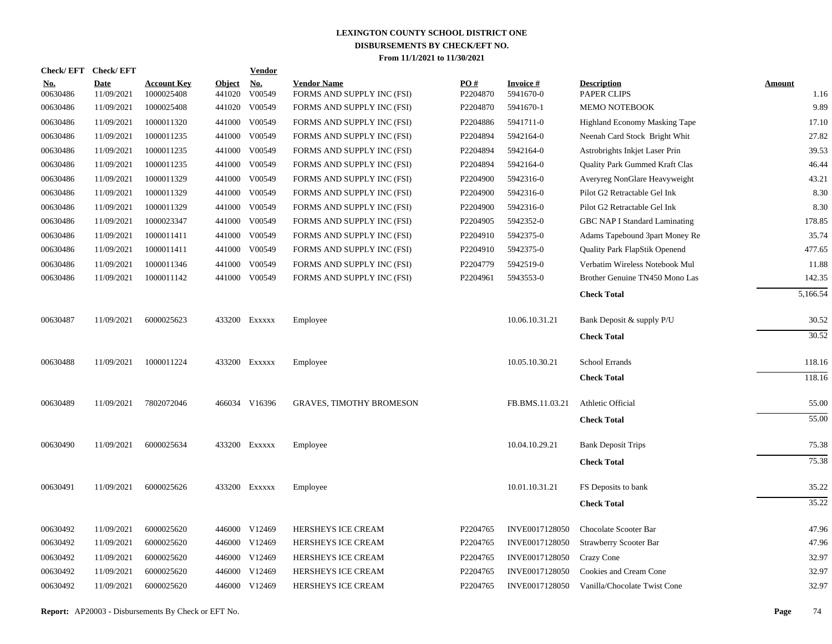| Check/ EFT             | <b>Check/EFT</b>          |                                  |                         | <b>Vendor</b>        |                                                  |                 |                              |                                   |                       |
|------------------------|---------------------------|----------------------------------|-------------------------|----------------------|--------------------------------------------------|-----------------|------------------------------|-----------------------------------|-----------------------|
| <u>No.</u><br>00630486 | <b>Date</b><br>11/09/2021 | <b>Account Key</b><br>1000025408 | <b>Object</b><br>441020 | <u>No.</u><br>V00549 | <b>Vendor Name</b><br>FORMS AND SUPPLY INC (FSI) | PO#<br>P2204870 | <b>Invoice#</b><br>5941670-0 | <b>Description</b><br>PAPER CLIPS | <b>Amount</b><br>1.16 |
| 00630486               | 11/09/2021                | 1000025408                       | 441020                  | V00549               | FORMS AND SUPPLY INC (FSI)                       | P2204870        | 5941670-1                    | <b>MEMO NOTEBOOK</b>              | 9.89                  |
| 00630486               | 11/09/2021                | 1000011320                       | 441000                  | V00549               | FORMS AND SUPPLY INC (FSI)                       | P2204886        | 5941711-0                    | Highland Economy Masking Tape     | 17.10                 |
| 00630486               | 11/09/2021                | 1000011235                       | 441000                  | V00549               | FORMS AND SUPPLY INC (FSI)                       | P2204894        | 5942164-0                    | Neenah Card Stock Bright Whit     | 27.82                 |
| 00630486               | 11/09/2021                | 1000011235                       | 441000                  | V00549               | FORMS AND SUPPLY INC (FSI)                       | P2204894        | 5942164-0                    | Astrobrights Inkjet Laser Prin    | 39.53                 |
| 00630486               | 11/09/2021                | 1000011235                       | 441000                  | V00549               | FORMS AND SUPPLY INC (FSI)                       | P2204894        | 5942164-0                    | Quality Park Gummed Kraft Clas    | 46.44                 |
| 00630486               | 11/09/2021                | 1000011329                       |                         | 441000 V00549        | FORMS AND SUPPLY INC (FSI)                       | P2204900        | 5942316-0                    | Averyreg NonGlare Heavyweight     | 43.21                 |
| 00630486               | 11/09/2021                | 1000011329                       | 441000                  | V00549               | FORMS AND SUPPLY INC (FSI)                       | P2204900        | 5942316-0                    | Pilot G2 Retractable Gel Ink      | 8.30                  |
| 00630486               | 11/09/2021                | 1000011329                       |                         | 441000 V00549        | FORMS AND SUPPLY INC (FSI)                       | P2204900        | 5942316-0                    | Pilot G2 Retractable Gel Ink      | 8.30                  |
| 00630486               | 11/09/2021                | 1000023347                       | 441000                  | V00549               | FORMS AND SUPPLY INC (FSI)                       | P2204905        | 5942352-0                    | GBC NAP I Standard Laminating     | 178.85                |
| 00630486               | 11/09/2021                | 1000011411                       |                         | 441000 V00549        | FORMS AND SUPPLY INC (FSI)                       | P2204910        | 5942375-0                    | Adams Tapebound 3part Money Re    | 35.74                 |
| 00630486               | 11/09/2021                | 1000011411                       |                         | 441000 V00549        | FORMS AND SUPPLY INC (FSI)                       | P2204910        | 5942375-0                    | Quality Park FlapStik Openend     | 477.65                |
| 00630486               | 11/09/2021                | 1000011346                       |                         | 441000 V00549        | FORMS AND SUPPLY INC (FSI)                       | P2204779        | 5942519-0                    | Verbatim Wireless Notebook Mul    | 11.88                 |
| 00630486               | 11/09/2021                | 1000011142                       |                         | 441000 V00549        | FORMS AND SUPPLY INC (FSI)                       | P2204961        | 5943553-0                    | Brother Genuine TN450 Mono Las    | 142.35                |
|                        |                           |                                  |                         |                      |                                                  |                 |                              | <b>Check Total</b>                | 5,166.54              |
| 00630487               | 11/09/2021                | 6000025623                       |                         | 433200 EXXXXX        | Employee                                         |                 | 10.06.10.31.21               | Bank Deposit & supply P/U         | 30.52                 |
|                        |                           |                                  |                         |                      |                                                  |                 |                              | <b>Check Total</b>                | 30.52                 |
| 00630488               | 11/09/2021                | 1000011224                       |                         | 433200 Exxxxx        | Employee                                         |                 | 10.05.10.30.21               | School Errands                    | 118.16                |
|                        |                           |                                  |                         |                      |                                                  |                 |                              | <b>Check Total</b>                | 118.16                |
| 00630489               | 11/09/2021                | 7802072046                       |                         | 466034 V16396        | <b>GRAVES, TIMOTHY BROMESON</b>                  |                 | FB.BMS.11.03.21              | Athletic Official                 | 55.00                 |
|                        |                           |                                  |                         |                      |                                                  |                 |                              | <b>Check Total</b>                | 55.00                 |
| 00630490               | 11/09/2021                | 6000025634                       |                         | 433200 EXXXXX        | Employee                                         |                 | 10.04.10.29.21               | <b>Bank Deposit Trips</b>         | 75.38                 |
|                        |                           |                                  |                         |                      |                                                  |                 |                              | <b>Check Total</b>                | 75.38                 |
| 00630491               | 11/09/2021                | 6000025626                       |                         | 433200 EXXXXX        | Employee                                         |                 | 10.01.10.31.21               | FS Deposits to bank               | 35.22                 |
|                        |                           |                                  |                         |                      |                                                  |                 |                              | <b>Check Total</b>                | 35.22                 |
| 00630492               | 11/09/2021                | 6000025620                       |                         | 446000 V12469        | HERSHEYS ICE CREAM                               | P2204765        | INVE0017128050               | Chocolate Scooter Bar             | 47.96                 |
| 00630492               | 11/09/2021                | 6000025620                       |                         | 446000 V12469        | <b>HERSHEYS ICE CREAM</b>                        | P2204765        | INVE0017128050               | Strawberry Scooter Bar            | 47.96                 |
| 00630492               | 11/09/2021                | 6000025620                       |                         | 446000 V12469        | HERSHEYS ICE CREAM                               | P2204765        | INVE0017128050               | Crazy Cone                        | 32.97                 |
| 00630492               | 11/09/2021                | 6000025620                       |                         | 446000 V12469        | HERSHEYS ICE CREAM                               | P2204765        | INVE0017128050               | Cookies and Cream Cone            | 32.97                 |
| 00630492               | 11/09/2021                | 6000025620                       |                         | 446000 V12469        | HERSHEYS ICE CREAM                               | P2204765        | INVE0017128050               | Vanilla/Chocolate Twist Cone      | 32.97                 |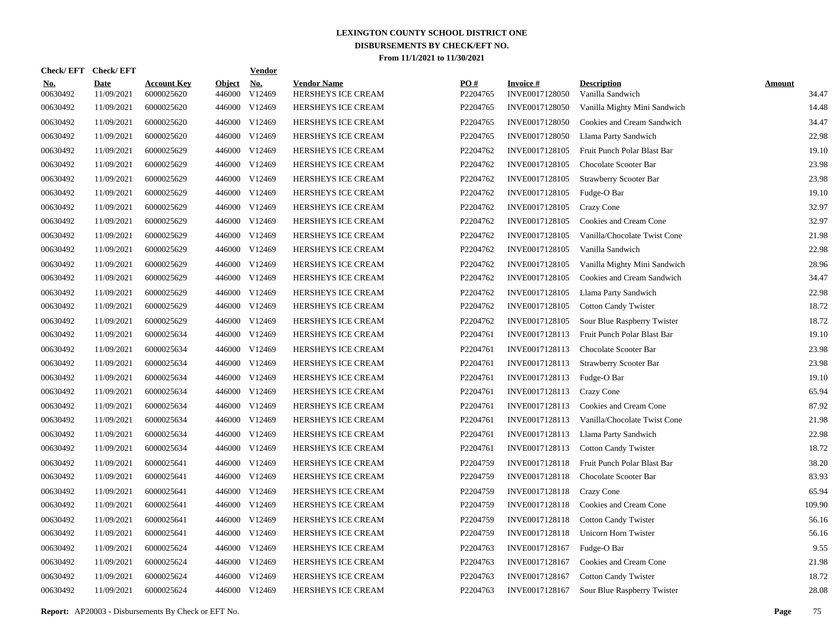| Check/ EFT             | <b>Check/EFT</b>          |                                  |                         | <b>Vendor</b>        |                                          |                 |                                   |                                        |                        |
|------------------------|---------------------------|----------------------------------|-------------------------|----------------------|------------------------------------------|-----------------|-----------------------------------|----------------------------------------|------------------------|
| <u>No.</u><br>00630492 | <b>Date</b><br>11/09/2021 | <b>Account Key</b><br>6000025620 | <b>Object</b><br>446000 | <u>No.</u><br>V12469 | <b>Vendor Name</b><br>HERSHEYS ICE CREAM | PO#<br>P2204765 | <b>Invoice#</b><br>INVE0017128050 | <b>Description</b><br>Vanilla Sandwich | <b>Amount</b><br>34.47 |
| 00630492               | 11/09/2021                | 6000025620                       | 446000                  | V <sub>12469</sub>   | HERSHEYS ICE CREAM                       | P2204765        | INVE0017128050                    | Vanilla Mighty Mini Sandwich           | 14.48                  |
| 00630492               | 11/09/2021                | 6000025620                       | 446000                  | V12469               | HERSHEYS ICE CREAM                       | P2204765        | INVE0017128050                    | Cookies and Cream Sandwich             | 34.47                  |
| 00630492               | 11/09/2021                | 6000025620                       | 446000                  | V12469               | <b>HERSHEYS ICE CREAM</b>                | P2204765        | INVE0017128050                    | Llama Party Sandwich                   | 22.98                  |
| 00630492               | 11/09/2021                | 6000025629                       | 446000                  | V <sub>12469</sub>   | <b>HERSHEYS ICE CREAM</b>                | P2204762        | INVE0017128105                    | Fruit Punch Polar Blast Bar            | 19.10                  |
| 00630492               | 11/09/2021                | 6000025629                       | 446000                  | V12469               | HERSHEYS ICE CREAM                       | P2204762        | INVE0017128105                    | Chocolate Scooter Bar                  | 23.98                  |
| 00630492               | 11/09/2021                | 6000025629                       | 446000                  | V12469               | HERSHEYS ICE CREAM                       | P2204762        | INVE0017128105                    | Strawberry Scooter Bar                 | 23.98                  |
| 00630492               | 11/09/2021                | 6000025629                       | 446000                  | V12469               | HERSHEYS ICE CREAM                       | P2204762        | INVE0017128105                    | Fudge-O Bar                            | 19.10                  |
| 00630492               | 11/09/2021                | 6000025629                       | 446000                  | V12469               | HERSHEYS ICE CREAM                       | P2204762        | INVE0017128105                    | Crazy Cone                             | 32.97                  |
| 00630492               | 11/09/2021                | 6000025629                       | 446000                  | V12469               | HERSHEYS ICE CREAM                       | P2204762        | INVE0017128105                    | Cookies and Cream Cone                 | 32.97                  |
| 00630492               | 11/09/2021                | 6000025629                       | 446000                  | V12469               | HERSHEYS ICE CREAM                       | P2204762        | INVE0017128105                    | Vanilla/Chocolate Twist Cone           | 21.98                  |
| 00630492               | 11/09/2021                | 6000025629                       | 446000                  | V12469               | HERSHEYS ICE CREAM                       | P2204762        | INVE0017128105                    | Vanilla Sandwich                       | 22.98                  |
| 00630492               | 11/09/2021                | 6000025629                       | 446000                  | V12469               | HERSHEYS ICE CREAM                       | P2204762        | INVE0017128105                    | Vanilla Mighty Mini Sandwich           | 28.96                  |
| 00630492               | 11/09/2021                | 6000025629                       | 446000                  | V <sub>12469</sub>   | HERSHEYS ICE CREAM                       | P2204762        | INVE0017128105                    | Cookies and Cream Sandwich             | 34.47                  |
| 00630492               | 11/09/2021                | 6000025629                       | 446000                  | V12469               | HERSHEYS ICE CREAM                       | P2204762        | INVE0017128105                    | Llama Party Sandwich                   | 22.98                  |
| 00630492               | 11/09/2021                | 6000025629                       | 446000                  | V12469               | HERSHEYS ICE CREAM                       | P2204762        | INVE0017128105                    | <b>Cotton Candy Twister</b>            | 18.72                  |
| 00630492               | 11/09/2021                | 6000025629                       | 446000                  | V12469               | HERSHEYS ICE CREAM                       | P2204762        | INVE0017128105                    | Sour Blue Raspberry Twister            | 18.72                  |
| 00630492               | 11/09/2021                | 6000025634                       | 446000                  | V12469               | HERSHEYS ICE CREAM                       | P2204761        | INVE0017128113                    | Fruit Punch Polar Blast Bar            | 19.10                  |
| 00630492               | 11/09/2021                | 6000025634                       | 446000                  | V12469               | HERSHEYS ICE CREAM                       | P2204761        | INVE0017128113                    | Chocolate Scooter Bar                  | 23.98                  |
| 00630492               | 11/09/2021                | 6000025634                       | 446000                  | V12469               | HERSHEYS ICE CREAM                       | P2204761        | INVE0017128113                    | <b>Strawberry Scooter Bar</b>          | 23.98                  |
| 00630492               | 11/09/2021                | 6000025634                       | 446000                  | V12469               | HERSHEYS ICE CREAM                       | P2204761        | INVE0017128113                    | Fudge-O Bar                            | 19.10                  |
| 00630492               | 11/09/2021                | 6000025634                       | 446000                  | V12469               | HERSHEYS ICE CREAM                       | P2204761        | INVE0017128113                    | Crazy Cone                             | 65.94                  |
| 00630492               | 11/09/2021                | 6000025634                       | 446000                  | V12469               | HERSHEYS ICE CREAM                       | P2204761        | INVE0017128113                    | Cookies and Cream Cone                 | 87.92                  |
| 00630492               | 11/09/2021                | 6000025634                       | 446000                  | V12469               | HERSHEYS ICE CREAM                       | P2204761        | INVE0017128113                    | Vanilla/Chocolate Twist Cone           | 21.98                  |
| 00630492               | 11/09/2021                | 6000025634                       | 446000                  | V12469               | HERSHEYS ICE CREAM                       | P2204761        | INVE0017128113                    | Llama Party Sandwich                   | 22.98                  |
| 00630492               | 11/09/2021                | 6000025634                       | 446000                  | V <sub>12469</sub>   | HERSHEYS ICE CREAM                       | P2204761        | INVE0017128113                    | <b>Cotton Candy Twister</b>            | 18.72                  |
| 00630492               | 11/09/2021                | 6000025641                       | 446000                  | V12469               | <b>HERSHEYS ICE CREAM</b>                | P2204759        | INVE0017128118                    | Fruit Punch Polar Blast Bar            | 38.20                  |
| 00630492               | 11/09/2021                | 6000025641                       | 446000                  | V12469               | HERSHEYS ICE CREAM                       | P2204759        | INVE0017128118                    | Chocolate Scooter Bar                  | 83.93                  |
| 00630492               | 11/09/2021                | 6000025641                       | 446000                  | V12469               | HERSHEYS ICE CREAM                       | P2204759        | INVE0017128118                    | Crazy Cone                             | 65.94                  |
| 00630492               | 11/09/2021                | 6000025641                       | 446000                  | V12469               | HERSHEYS ICE CREAM                       | P2204759        | INVE0017128118                    | Cookies and Cream Cone                 | 109.90                 |
| 00630492               | 11/09/2021                | 6000025641                       | 446000                  | V12469               | HERSHEYS ICE CREAM                       | P2204759        | INVE0017128118                    | <b>Cotton Candy Twister</b>            | 56.16                  |
| 00630492               | 11/09/2021                | 6000025641                       | 446000                  | V12469               | HERSHEYS ICE CREAM                       | P2204759        | INVE0017128118                    | Unicorn Horn Twister                   | 56.16                  |
| 00630492               | 11/09/2021                | 6000025624                       | 446000                  | V12469               | HERSHEYS ICE CREAM                       | P2204763        | INVE0017128167                    | Fudge-O Bar                            | 9.55                   |
| 00630492               | 11/09/2021                | 6000025624                       | 446000                  | V12469               | HERSHEYS ICE CREAM                       | P2204763        | INVE0017128167                    | Cookies and Cream Cone                 | 21.98                  |
| 00630492               | 11/09/2021                | 6000025624                       | 446000                  | V12469               | HERSHEYS ICE CREAM                       | P2204763        | INVE0017128167                    | <b>Cotton Candy Twister</b>            | 18.72                  |
| 00630492               | 11/09/2021                | 6000025624                       |                         | 446000 V12469        | HERSHEYS ICE CREAM                       | P2204763        | INVE0017128167                    | Sour Blue Raspberry Twister            | 28.08                  |

**Report:** AP20003 - Disbursements By Check or EFT No. **Page** 75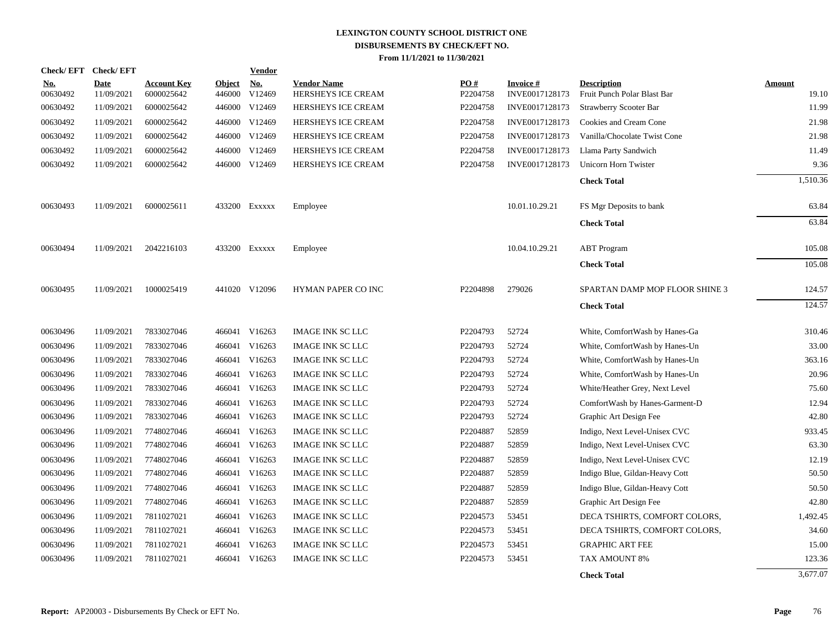| <b>Check/EFT</b>       | <b>Check/EFT</b>          |                                  |                         | <b>Vendor</b>        |                                          |                 |                             |                                                   |                        |
|------------------------|---------------------------|----------------------------------|-------------------------|----------------------|------------------------------------------|-----------------|-----------------------------|---------------------------------------------------|------------------------|
| <u>No.</u><br>00630492 | <b>Date</b><br>11/09/2021 | <b>Account Key</b><br>6000025642 | <b>Object</b><br>446000 | <b>No.</b><br>V12469 | <b>Vendor Name</b><br>HERSHEYS ICE CREAM | PO#<br>P2204758 | Invoice #<br>INVE0017128173 | <b>Description</b><br>Fruit Punch Polar Blast Bar | <b>Amount</b><br>19.10 |
| 00630492               | 11/09/2021                | 6000025642                       | 446000                  | V12469               | HERSHEYS ICE CREAM                       | P2204758        | INVE0017128173              | <b>Strawberry Scooter Bar</b>                     | 11.99                  |
| 00630492               | 11/09/2021                | 6000025642                       | 446000                  | V12469               | HERSHEYS ICE CREAM                       | P2204758        | INVE0017128173              | Cookies and Cream Cone                            | 21.98                  |
| 00630492               | 11/09/2021                | 6000025642                       | 446000                  | V12469               | HERSHEYS ICE CREAM                       | P2204758        | INVE0017128173              | Vanilla/Chocolate Twist Cone                      | 21.98                  |
| 00630492               | 11/09/2021                | 6000025642                       | 446000                  | V12469               | HERSHEYS ICE CREAM                       | P2204758        | INVE0017128173              | Llama Party Sandwich                              | 11.49                  |
| 00630492               | 11/09/2021                | 6000025642                       |                         | 446000 V12469        | HERSHEYS ICE CREAM                       | P2204758        | INVE0017128173              | Unicorn Horn Twister                              | 9.36                   |
|                        |                           |                                  |                         |                      |                                          |                 |                             |                                                   | 1,510.36               |
|                        |                           |                                  |                         |                      |                                          |                 |                             | <b>Check Total</b>                                |                        |
| 00630493               | 11/09/2021                | 6000025611                       |                         | 433200 Exxxxx        | Employee                                 |                 | 10.01.10.29.21              | FS Mgr Deposits to bank                           | 63.84                  |
|                        |                           |                                  |                         |                      |                                          |                 |                             | <b>Check Total</b>                                | 63.84                  |
|                        |                           |                                  |                         |                      |                                          |                 |                             |                                                   |                        |
| 00630494               | 11/09/2021                | 2042216103                       |                         | 433200 Exxxxx        | Employee                                 |                 | 10.04.10.29.21              | <b>ABT</b> Program                                | 105.08                 |
|                        |                           |                                  |                         |                      |                                          |                 |                             | <b>Check Total</b>                                | 105.08                 |
|                        |                           |                                  |                         |                      |                                          |                 |                             |                                                   |                        |
| 00630495               | 11/09/2021                | 1000025419                       |                         | 441020 V12096        | HYMAN PAPER CO INC                       | P2204898        | 279026                      | SPARTAN DAMP MOP FLOOR SHINE 3                    | 124.57                 |
|                        |                           |                                  |                         |                      |                                          |                 |                             | <b>Check Total</b>                                | 124.57                 |
|                        |                           |                                  |                         |                      |                                          |                 |                             |                                                   |                        |
| 00630496               | 11/09/2021                | 7833027046                       |                         | 466041 V16263        | <b>IMAGE INK SC LLC</b>                  | P2204793        | 52724                       | White, ComfortWash by Hanes-Ga                    | 310.46                 |
| 00630496               | 11/09/2021                | 7833027046                       | 466041                  | V16263               | <b>IMAGE INK SC LLC</b>                  | P2204793        | 52724                       | White, ComfortWash by Hanes-Un                    | 33.00                  |
| 00630496               | 11/09/2021                | 7833027046                       | 466041                  | V16263               | <b>IMAGE INK SC LLC</b>                  | P2204793        | 52724                       | White, ComfortWash by Hanes-Un                    | 363.16                 |
| 00630496               | 11/09/2021                | 7833027046                       | 466041                  | V16263               | <b>IMAGE INK SC LLC</b>                  | P2204793        | 52724                       | White, ComfortWash by Hanes-Un                    | 20.96                  |
| 00630496               | 11/09/2021                | 7833027046                       |                         | 466041 V16263        | <b>IMAGE INK SC LLC</b>                  | P2204793        | 52724                       | White/Heather Grey, Next Level                    | 75.60                  |
| 00630496               | 11/09/2021                | 7833027046                       |                         | 466041 V16263        | <b>IMAGE INK SC LLC</b>                  | P2204793        | 52724                       | ComfortWash by Hanes-Garment-D                    | 12.94                  |
| 00630496               | 11/09/2021                | 7833027046                       |                         | 466041 V16263        | <b>IMAGE INK SC LLC</b>                  | P2204793        | 52724                       | Graphic Art Design Fee                            | 42.80                  |
| 00630496               | 11/09/2021                | 7748027046                       |                         | 466041 V16263        | <b>IMAGE INK SC LLC</b>                  | P2204887        | 52859                       | Indigo, Next Level-Unisex CVC                     | 933.45                 |
| 00630496               | 11/09/2021                | 7748027046                       |                         | 466041 V16263        | <b>IMAGE INK SC LLC</b>                  | P2204887        | 52859                       | Indigo, Next Level-Unisex CVC                     | 63.30                  |
| 00630496               | 11/09/2021                | 7748027046                       |                         | 466041 V16263        | <b>IMAGE INK SC LLC</b>                  | P2204887        | 52859                       | Indigo, Next Level-Unisex CVC                     | 12.19                  |
| 00630496               | 11/09/2021                | 7748027046                       |                         | 466041 V16263        | <b>IMAGE INK SC LLC</b>                  | P2204887        | 52859                       | Indigo Blue, Gildan-Heavy Cott                    | 50.50                  |
| 00630496               | 11/09/2021                | 7748027046                       | 466041                  | V16263               | <b>IMAGE INK SC LLC</b>                  | P2204887        | 52859                       | Indigo Blue, Gildan-Heavy Cott                    | 50.50                  |
| 00630496               | 11/09/2021                | 7748027046                       | 466041                  | V16263               | <b>IMAGE INK SC LLC</b>                  | P2204887        | 52859                       | Graphic Art Design Fee                            | 42.80                  |
| 00630496               | 11/09/2021                | 7811027021                       | 466041                  | V16263               | <b>IMAGE INK SC LLC</b>                  | P2204573        | 53451                       | DECA TSHIRTS, COMFORT COLORS,                     | 1,492.45               |
| 00630496               | 11/09/2021                | 7811027021                       |                         | 466041 V16263        | <b>IMAGE INK SC LLC</b>                  | P2204573        | 53451                       | DECA TSHIRTS, COMFORT COLORS,                     | 34.60                  |
| 00630496               | 11/09/2021                | 7811027021                       | 466041                  | V16263               | <b>IMAGE INK SC LLC</b>                  | P2204573        | 53451                       | <b>GRAPHIC ART FEE</b>                            | 15.00                  |
| 00630496               | 11/09/2021                | 7811027021                       | 466041                  | V16263               | <b>IMAGE INK SC LLC</b>                  | P2204573        | 53451                       | TAX AMOUNT 8%                                     | 123.36                 |
|                        |                           |                                  |                         |                      |                                          |                 |                             | <b>Check Total</b>                                | 3,677.07               |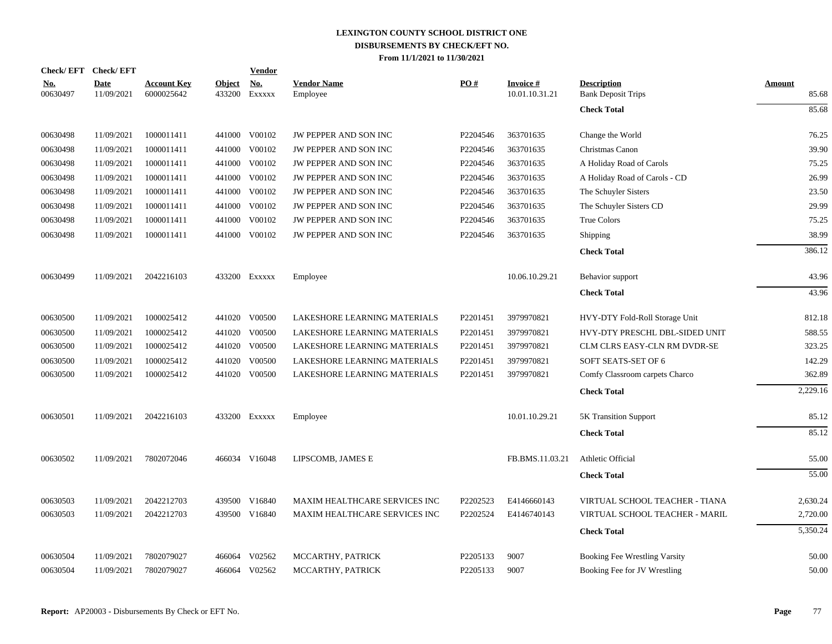| Check/EFT Check/EFT    |                           |                                  |                         | <b>Vendor</b>        |                                |          |                                   |                                                 |                        |
|------------------------|---------------------------|----------------------------------|-------------------------|----------------------|--------------------------------|----------|-----------------------------------|-------------------------------------------------|------------------------|
| <u>No.</u><br>00630497 | <b>Date</b><br>11/09/2021 | <b>Account Key</b><br>6000025642 | <b>Object</b><br>433200 | <u>No.</u><br>EXXXXX | <b>Vendor Name</b><br>Employee | PO#      | <b>Invoice#</b><br>10.01.10.31.21 | <b>Description</b><br><b>Bank Deposit Trips</b> | <b>Amount</b><br>85.68 |
|                        |                           |                                  |                         |                      |                                |          |                                   | <b>Check Total</b>                              | 85.68                  |
| 00630498               | 11/09/2021                | 1000011411                       |                         | 441000 V00102        | JW PEPPER AND SON INC          | P2204546 | 363701635                         | Change the World                                | 76.25                  |
| 00630498               | 11/09/2021                | 1000011411                       | 441000                  | V00102               | JW PEPPER AND SON INC          | P2204546 | 363701635                         | Christmas Canon                                 | 39.90                  |
| 00630498               | 11/09/2021                | 1000011411                       | 441000                  | V00102               | JW PEPPER AND SON INC          | P2204546 | 363701635                         | A Holiday Road of Carols                        | 75.25                  |
| 00630498               | 11/09/2021                | 1000011411                       | 441000                  | V00102               | JW PEPPER AND SON INC          | P2204546 | 363701635                         | A Holiday Road of Carols - CD                   | 26.99                  |
| 00630498               | 11/09/2021                | 1000011411                       | 441000                  | V00102               | JW PEPPER AND SON INC          | P2204546 | 363701635                         | The Schuyler Sisters                            | 23.50                  |
| 00630498               | 11/09/2021                | 1000011411                       | 441000                  | V00102               | JW PEPPER AND SON INC          | P2204546 | 363701635                         | The Schuyler Sisters CD                         | 29.99                  |
| 00630498               | 11/09/2021                | 1000011411                       | 441000                  | V00102               | JW PEPPER AND SON INC          | P2204546 | 363701635                         | <b>True Colors</b>                              | 75.25                  |
| 00630498               | 11/09/2021                | 1000011411                       | 441000                  | V00102               | JW PEPPER AND SON INC          | P2204546 | 363701635                         | Shipping                                        | 38.99                  |
|                        |                           |                                  |                         |                      |                                |          |                                   | <b>Check Total</b>                              | 386.12                 |
| 00630499               | 11/09/2021                | 2042216103                       |                         | 433200 Exxxxx        | Employee                       |          | 10.06.10.29.21                    | Behavior support                                | 43.96                  |
|                        |                           |                                  |                         |                      |                                |          |                                   | <b>Check Total</b>                              | 43.96                  |
| 00630500               | 11/09/2021                | 1000025412                       | 441020                  | V00500               | LAKESHORE LEARNING MATERIALS   | P2201451 | 3979970821                        | HVY-DTY Fold-Roll Storage Unit                  | 812.18                 |
| 00630500               | 11/09/2021                | 1000025412                       | 441020                  | V00500               | LAKESHORE LEARNING MATERIALS   | P2201451 | 3979970821                        | HVY-DTY PRESCHL DBL-SIDED UNIT                  | 588.55                 |
| 00630500               | 11/09/2021                | 1000025412                       | 441020                  | V00500               | LAKESHORE LEARNING MATERIALS   | P2201451 | 3979970821                        | CLM CLRS EASY-CLN RM DVDR-SE                    | 323.25                 |
| 00630500               | 11/09/2021                | 1000025412                       | 441020                  | V00500               | LAKESHORE LEARNING MATERIALS   | P2201451 | 3979970821                        | SOFT SEATS-SET OF 6                             | 142.29                 |
| 00630500               | 11/09/2021                | 1000025412                       |                         | 441020 V00500        | LAKESHORE LEARNING MATERIALS   | P2201451 | 3979970821                        | Comfy Classroom carpets Charco                  | 362.89                 |
|                        |                           |                                  |                         |                      |                                |          |                                   | <b>Check Total</b>                              | 2,229.16               |
| 00630501               | 11/09/2021                | 2042216103                       |                         | 433200 Exxxxx        | Employee                       |          | 10.01.10.29.21                    | <b>5K Transition Support</b>                    | 85.12                  |
|                        |                           |                                  |                         |                      |                                |          |                                   | <b>Check Total</b>                              | 85.12                  |
| 00630502               | 11/09/2021                | 7802072046                       |                         | 466034 V16048        | LIPSCOMB, JAMES E              |          | FB.BMS.11.03.21                   | Athletic Official                               | 55.00                  |
|                        |                           |                                  |                         |                      |                                |          |                                   | <b>Check Total</b>                              | 55.00                  |
| 00630503               | 11/09/2021                | 2042212703                       | 439500                  | V16840               | MAXIM HEALTHCARE SERVICES INC  | P2202523 | E4146660143                       | VIRTUAL SCHOOL TEACHER - TIANA                  | 2,630.24               |
| 00630503               | 11/09/2021                | 2042212703                       | 439500                  | V16840               | MAXIM HEALTHCARE SERVICES INC  | P2202524 | E4146740143                       | VIRTUAL SCHOOL TEACHER - MARIL                  | 2,720.00               |
|                        |                           |                                  |                         |                      |                                |          |                                   | <b>Check Total</b>                              | 5,350.24               |
| 00630504               | 11/09/2021                | 7802079027                       | 466064                  | V02562               | MCCARTHY, PATRICK              | P2205133 | 9007                              | Booking Fee Wrestling Varsity                   | 50.00                  |
| 00630504               | 11/09/2021                | 7802079027                       | 466064                  | V02562               | MCCARTHY, PATRICK              | P2205133 | 9007                              | Booking Fee for JV Wrestling                    | 50.00                  |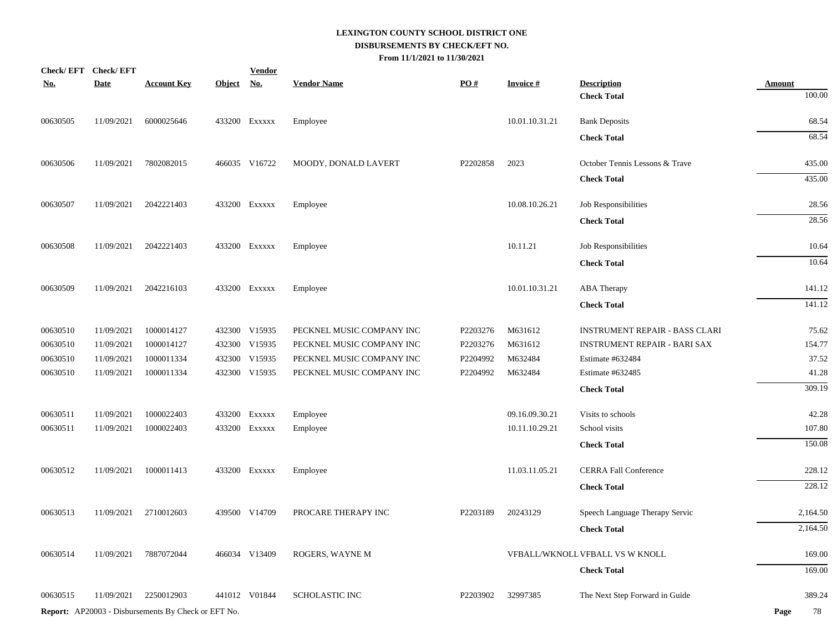|            | Check/EFT Check/EFT |                                                            |            | <b>Vendor</b> |                           |          |                 |                                          |                         |
|------------|---------------------|------------------------------------------------------------|------------|---------------|---------------------------|----------|-----------------|------------------------------------------|-------------------------|
| <u>No.</u> | <b>Date</b>         | <b>Account Key</b>                                         | Object No. |               | <b>Vendor Name</b>        | PO#      | <b>Invoice#</b> | <b>Description</b><br><b>Check Total</b> | <b>Amount</b><br>100.00 |
| 00630505   | 11/09/2021          | 6000025646                                                 |            | 433200 Exxxxx | Employee                  |          | 10.01.10.31.21  | <b>Bank Deposits</b>                     | 68.54                   |
|            |                     |                                                            |            |               |                           |          |                 | <b>Check Total</b>                       | 68.54                   |
| 00630506   | 11/09/2021          | 7802082015                                                 |            | 466035 V16722 | MOODY, DONALD LAVERT      | P2202858 | 2023            | October Tennis Lessons & Trave           | 435.00                  |
|            |                     |                                                            |            |               |                           |          |                 | <b>Check Total</b>                       | 435.00                  |
| 00630507   | 11/09/2021          | 2042221403                                                 |            | 433200 EXXXXX | Employee                  |          | 10.08.10.26.21  | Job Responsibilities                     | 28.56                   |
|            |                     |                                                            |            |               |                           |          |                 | <b>Check Total</b>                       | 28.56                   |
| 00630508   | 11/09/2021          | 2042221403                                                 |            | 433200 EXXXXX | Employee                  |          | 10.11.21        | Job Responsibilities                     | 10.64                   |
|            |                     |                                                            |            |               |                           |          |                 | <b>Check Total</b>                       | 10.64                   |
| 00630509   | 11/09/2021          | 2042216103                                                 |            | 433200 Exxxxx | Employee                  |          | 10.01.10.31.21  | <b>ABA</b> Therapy                       | 141.12                  |
|            |                     |                                                            |            |               |                           |          |                 | <b>Check Total</b>                       | 141.12                  |
| 00630510   | 11/09/2021          | 1000014127                                                 |            | 432300 V15935 | PECKNEL MUSIC COMPANY INC | P2203276 | M631612         | <b>INSTRUMENT REPAIR - BASS CLARI</b>    | 75.62                   |
| 00630510   | 11/09/2021          | 1000014127                                                 |            | 432300 V15935 | PECKNEL MUSIC COMPANY INC | P2203276 | M631612         | <b>INSTRUMENT REPAIR - BARI SAX</b>      | 154.77                  |
| 00630510   | 11/09/2021          | 1000011334                                                 |            | 432300 V15935 | PECKNEL MUSIC COMPANY INC | P2204992 | M632484         | Estimate #632484                         | 37.52                   |
| 00630510   | 11/09/2021          | 1000011334                                                 |            | 432300 V15935 | PECKNEL MUSIC COMPANY INC | P2204992 | M632484         | Estimate #632485                         | 41.28                   |
|            |                     |                                                            |            |               |                           |          |                 | <b>Check Total</b>                       | 309.19                  |
| 00630511   | 11/09/2021          | 1000022403                                                 |            | 433200 EXXXXX | Employee                  |          | 09.16.09.30.21  | Visits to schools                        | 42.28                   |
| 00630511   | 11/09/2021          | 1000022403                                                 |            | 433200 EXXXXX | Employee                  |          | 10.11.10.29.21  | School visits                            | 107.80                  |
|            |                     |                                                            |            |               |                           |          |                 | <b>Check Total</b>                       | 150.08                  |
| 00630512   | 11/09/2021          | 1000011413                                                 |            | 433200 EXXXXX | Employee                  |          | 11.03.11.05.21  | <b>CERRA Fall Conference</b>             | 228.12                  |
|            |                     |                                                            |            |               |                           |          |                 | <b>Check Total</b>                       | 228.12                  |
| 00630513   | 11/09/2021          | 2710012603                                                 |            | 439500 V14709 | PROCARE THERAPY INC       | P2203189 | 20243129        | Speech Language Therapy Servic           | 2,164.50                |
|            |                     |                                                            |            |               |                           |          |                 | <b>Check Total</b>                       | 2,164.50                |
| 00630514   | 11/09/2021          | 7887072044                                                 |            | 466034 V13409 | ROGERS, WAYNE M           |          |                 | VFBALL/WKNOLL VFBALL VS W KNOLL          | 169.00                  |
|            |                     |                                                            |            |               |                           |          |                 | <b>Check Total</b>                       | 169.00                  |
| 00630515   | 11/09/2021          | 2250012903                                                 |            | 441012 V01844 | <b>SCHOLASTIC INC</b>     | P2203902 | 32997385        | The Next Step Forward in Guide           | 389.24                  |
|            |                     | <b>Report:</b> AP20003 - Disbursements By Check or EFT No. |            |               |                           |          |                 |                                          | Page<br>78              |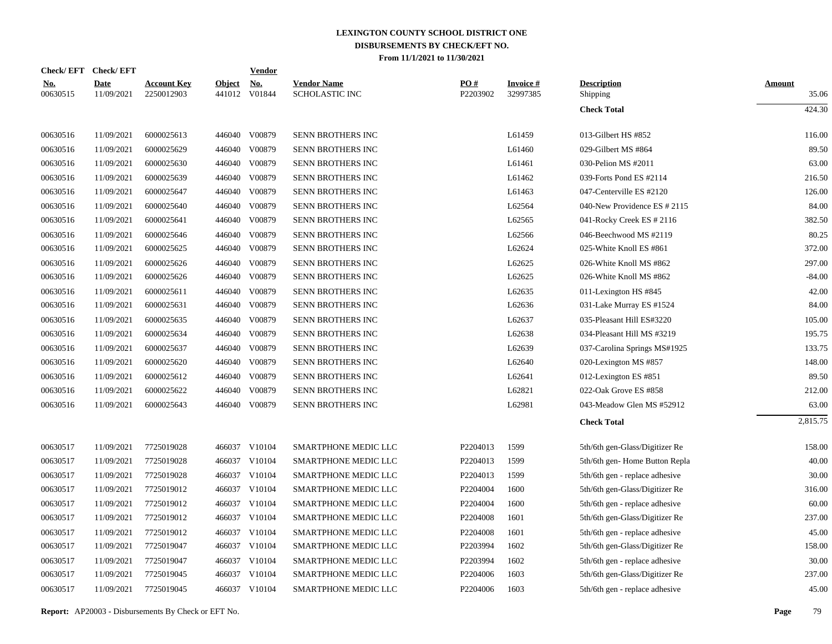|                        | Check/EFT Check/EFT       |                                  |                         | <b>Vendor</b>        |                                             |                 |                             |                                |                        |
|------------------------|---------------------------|----------------------------------|-------------------------|----------------------|---------------------------------------------|-----------------|-----------------------------|--------------------------------|------------------------|
| <u>No.</u><br>00630515 | <b>Date</b><br>11/09/2021 | <b>Account Key</b><br>2250012903 | <b>Object</b><br>441012 | <u>No.</u><br>V01844 | <b>Vendor Name</b><br><b>SCHOLASTIC INC</b> | PO#<br>P2203902 | <b>Invoice#</b><br>32997385 | <b>Description</b><br>Shipping | <b>Amount</b><br>35.06 |
|                        |                           |                                  |                         |                      |                                             |                 |                             | <b>Check Total</b>             | 424.30                 |
| 00630516               | 11/09/2021                | 6000025613                       |                         | 446040 V00879        | SENN BROTHERS INC                           |                 | L61459                      | 013-Gilbert HS #852            | 116.00                 |
| 00630516               | 11/09/2021                | 6000025629                       | 446040                  | V00879               | SENN BROTHERS INC                           |                 | L61460                      | 029-Gilbert MS #864            | 89.50                  |
| 00630516               | 11/09/2021                | 6000025630                       |                         | 446040 V00879        | SENN BROTHERS INC                           |                 | L61461                      | 030-Pelion MS #2011            | 63.00                  |
| 00630516               | 11/09/2021                | 6000025639                       | 446040                  | V00879               | SENN BROTHERS INC                           |                 | L61462                      | 039-Forts Pond ES #2114        | 216.50                 |
| 00630516               | 11/09/2021                | 6000025647                       | 446040                  | V00879               | SENN BROTHERS INC                           |                 | L61463                      | 047-Centerville ES #2120       | 126.00                 |
| 00630516               | 11/09/2021                | 6000025640                       | 446040                  | V00879               | SENN BROTHERS INC                           |                 | L62564                      | 040-New Providence ES # 2115   | 84.00                  |
| 00630516               | 11/09/2021                | 6000025641                       | 446040                  | V00879               | SENN BROTHERS INC                           |                 | L62565                      | 041-Rocky Creek ES # 2116      | 382.50                 |
| 00630516               | 11/09/2021                | 6000025646                       | 446040                  | V00879               | SENN BROTHERS INC                           |                 | L62566                      | 046-Beechwood MS #2119         | 80.25                  |
| 00630516               | 11/09/2021                | 6000025625                       | 446040                  | V00879               | SENN BROTHERS INC                           |                 | L62624                      | 025-White Knoll ES #861        | 372.00                 |
| 00630516               | 11/09/2021                | 6000025626                       | 446040                  | V00879               | SENN BROTHERS INC                           |                 | L62625                      | 026-White Knoll MS #862        | 297.00                 |
| 00630516               | 11/09/2021                | 6000025626                       | 446040                  | V00879               | SENN BROTHERS INC                           |                 | L62625                      | 026-White Knoll MS #862        | $-84.00$               |
| 00630516               | 11/09/2021                | 6000025611                       | 446040                  | V00879               | SENN BROTHERS INC                           |                 | L62635                      | 011-Lexington HS #845          | 42.00                  |
| 00630516               | 11/09/2021                | 6000025631                       | 446040                  | V00879               | <b>SENN BROTHERS INC</b>                    |                 | L62636                      | 031-Lake Murray ES #1524       | 84.00                  |
| 00630516               | 11/09/2021                | 6000025635                       | 446040                  | V00879               | <b>SENN BROTHERS INC</b>                    |                 | L62637                      | 035-Pleasant Hill ES#3220      | 105.00                 |
| 00630516               | 11/09/2021                | 6000025634                       | 446040                  | V00879               | SENN BROTHERS INC                           |                 | L62638                      | 034-Pleasant Hill MS #3219     | 195.75                 |
| 00630516               | 11/09/2021                | 6000025637                       | 446040                  | V00879               | SENN BROTHERS INC                           |                 | L62639                      | 037-Carolina Springs MS#1925   | 133.75                 |
| 00630516               | 11/09/2021                | 6000025620                       | 446040                  | V00879               | SENN BROTHERS INC                           |                 | L62640                      | 020-Lexington MS #857          | 148.00                 |
| 00630516               | 11/09/2021                | 6000025612                       | 446040                  | V00879               | SENN BROTHERS INC                           |                 | L62641                      | 012-Lexington ES #851          | 89.50                  |
| 00630516               | 11/09/2021                | 6000025622                       | 446040                  | V00879               | SENN BROTHERS INC                           |                 | L62821                      | 022-Oak Grove ES #858          | 212.00                 |
| 00630516               | 11/09/2021                | 6000025643                       | 446040                  | V00879               | SENN BROTHERS INC                           |                 | L62981                      | 043-Meadow Glen MS #52912      | 63.00                  |
|                        |                           |                                  |                         |                      |                                             |                 |                             | <b>Check Total</b>             | 2,815.75               |
| 00630517               | 11/09/2021                | 7725019028                       |                         | 466037 V10104        | SMARTPHONE MEDIC LLC                        | P2204013        | 1599                        | 5th/6th gen-Glass/Digitizer Re | 158.00                 |
| 00630517               | 11/09/2021                | 7725019028                       |                         | 466037 V10104        | SMARTPHONE MEDIC LLC                        | P2204013        | 1599                        | 5th/6th gen-Home Button Repla  | 40.00                  |
| 00630517               | 11/09/2021                | 7725019028                       | 466037                  | V10104               | SMARTPHONE MEDIC LLC                        | P2204013        | 1599                        | 5th/6th gen - replace adhesive | 30.00                  |
| 00630517               | 11/09/2021                | 7725019012                       |                         | 466037 V10104        | SMARTPHONE MEDIC LLC                        | P2204004        | 1600                        | 5th/6th gen-Glass/Digitizer Re | 316.00                 |
| 00630517               | 11/09/2021                | 7725019012                       | 466037                  | V10104               | SMARTPHONE MEDIC LLC                        | P2204004        | 1600                        | 5th/6th gen - replace adhesive | 60.00                  |
| 00630517               | 11/09/2021                | 7725019012                       |                         | 466037 V10104        | SMARTPHONE MEDIC LLC                        | P2204008        | 1601                        | 5th/6th gen-Glass/Digitizer Re | 237.00                 |
| 00630517               | 11/09/2021                | 7725019012                       | 466037                  | V10104               | <b>SMARTPHONE MEDIC LLC</b>                 | P2204008        | 1601                        | 5th/6th gen - replace adhesive | 45.00                  |
| 00630517               | 11/09/2021                | 7725019047                       |                         | 466037 V10104        | SMARTPHONE MEDIC LLC                        | P2203994        | 1602                        | 5th/6th gen-Glass/Digitizer Re | 158.00                 |
| 00630517               | 11/09/2021                | 7725019047                       | 466037                  | V10104               | SMARTPHONE MEDIC LLC                        | P2203994        | 1602                        | 5th/6th gen - replace adhesive | 30.00                  |
| 00630517               | 11/09/2021                | 7725019045                       | 466037                  | V10104               | SMARTPHONE MEDIC LLC                        | P2204006        | 1603                        | 5th/6th gen-Glass/Digitizer Re | 237.00                 |
| 00630517               | 11/09/2021                | 7725019045                       |                         | 466037 V10104        | <b>SMARTPHONE MEDIC LLC</b>                 | P2204006        | 1603                        | 5th/6th gen - replace adhesive | 45.00                  |
|                        |                           |                                  |                         |                      |                                             |                 |                             |                                |                        |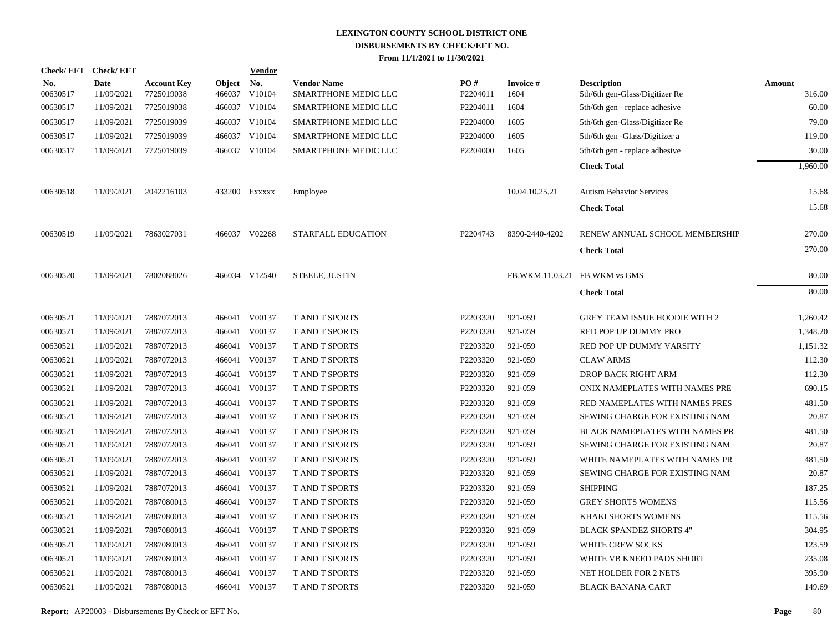| Check/EFT Check/EFT    |                           |                                  |                         | <b>Vendor</b>        |                                            |                 |                         |                                                      |                         |
|------------------------|---------------------------|----------------------------------|-------------------------|----------------------|--------------------------------------------|-----------------|-------------------------|------------------------------------------------------|-------------------------|
| <u>No.</u><br>00630517 | <b>Date</b><br>11/09/2021 | <b>Account Key</b><br>7725019038 | <b>Object</b><br>466037 | <u>No.</u><br>V10104 | <b>Vendor Name</b><br>SMARTPHONE MEDIC LLC | PO#<br>P2204011 | <b>Invoice#</b><br>1604 | <b>Description</b><br>5th/6th gen-Glass/Digitizer Re | <b>Amount</b><br>316.00 |
| 00630517               | 11/09/2021                | 7725019038                       |                         | 466037 V10104        | SMARTPHONE MEDIC LLC                       | P2204011        | 1604                    | 5th/6th gen - replace adhesive                       | 60.00                   |
| 00630517               | 11/09/2021                | 7725019039                       |                         | 466037 V10104        | SMARTPHONE MEDIC LLC                       | P2204000        | 1605                    | 5th/6th gen-Glass/Digitizer Re                       | 79.00                   |
| 00630517               | 11/09/2021                | 7725019039                       |                         | 466037 V10104        | SMARTPHONE MEDIC LLC                       | P2204000        | 1605                    | 5th/6th gen -Glass/Digitizer a                       | 119.00                  |
| 00630517               | 11/09/2021                | 7725019039                       |                         | 466037 V10104        | SMARTPHONE MEDIC LLC                       | P2204000        | 1605                    | 5th/6th gen - replace adhesive                       | 30.00                   |
|                        |                           |                                  |                         |                      |                                            |                 |                         | <b>Check Total</b>                                   | 1,960.00                |
| 00630518               | 11/09/2021                | 2042216103                       |                         | 433200 Exxxxx        | Employee                                   |                 | 10.04.10.25.21          | <b>Autism Behavior Services</b>                      | 15.68                   |
|                        |                           |                                  |                         |                      |                                            |                 |                         | <b>Check Total</b>                                   | 15.68                   |
| 00630519               | 11/09/2021                | 7863027031                       |                         | 466037 V02268        | STARFALL EDUCATION                         | P2204743        | 8390-2440-4202          | RENEW ANNUAL SCHOOL MEMBERSHIP                       | 270.00                  |
|                        |                           |                                  |                         |                      |                                            |                 |                         | <b>Check Total</b>                                   | 270.00                  |
| 00630520               | 11/09/2021                | 7802088026                       |                         | 466034 V12540        | STEELE, JUSTIN                             |                 |                         | FB.WKM.11.03.21 FB WKM vs GMS                        | 80.00                   |
|                        |                           |                                  |                         |                      |                                            |                 |                         | <b>Check Total</b>                                   | 80.00                   |
| 00630521               | 11/09/2021                | 7887072013                       |                         | 466041 V00137        | <b>T AND T SPORTS</b>                      | P2203320        | 921-059                 | <b>GREY TEAM ISSUE HOODIE WITH 2</b>                 | 1,260.42                |
| 00630521               | 11/09/2021                | 7887072013                       | 466041                  | V00137               | <b>T AND T SPORTS</b>                      | P2203320        | 921-059                 | RED POP UP DUMMY PRO                                 | 1,348.20                |
| 00630521               | 11/09/2021                | 7887072013                       |                         | 466041 V00137        | <b>T AND T SPORTS</b>                      | P2203320        | 921-059                 | RED POP UP DUMMY VARSITY                             | 1,151.32                |
| 00630521               | 11/09/2021                | 7887072013                       | 466041                  | V00137               | <b>T AND T SPORTS</b>                      | P2203320        | 921-059                 | <b>CLAW ARMS</b>                                     | 112.30                  |
| 00630521               | 11/09/2021                | 7887072013                       | 466041                  | V00137               | T AND T SPORTS                             | P2203320        | 921-059                 | DROP BACK RIGHT ARM                                  | 112.30                  |
| 00630521               | 11/09/2021                | 7887072013                       | 466041                  | V00137               | <b>T AND T SPORTS</b>                      | P2203320        | 921-059                 | ONIX NAMEPLATES WITH NAMES PRE                       | 690.15                  |
| 00630521               | 11/09/2021                | 7887072013                       | 466041                  | V00137               | T AND T SPORTS                             | P2203320        | 921-059                 | RED NAMEPLATES WITH NAMES PRES                       | 481.50                  |
| 00630521               | 11/09/2021                | 7887072013                       | 466041                  | V00137               | <b>T AND T SPORTS</b>                      | P2203320        | 921-059                 | <b>SEWING CHARGE FOR EXISTING NAM</b>                | 20.87                   |
| 00630521               | 11/09/2021                | 7887072013                       | 466041                  | V00137               | <b>T AND T SPORTS</b>                      | P2203320        | 921-059                 | BLACK NAMEPLATES WITH NAMES PR                       | 481.50                  |
| 00630521               | 11/09/2021                | 7887072013                       | 466041                  | V00137               | T AND T SPORTS                             | P2203320        | 921-059                 | SEWING CHARGE FOR EXISTING NAM                       | 20.87                   |
| 00630521               | 11/09/2021                | 7887072013                       | 466041                  | V00137               | <b>T AND T SPORTS</b>                      | P2203320        | 921-059                 | WHITE NAMEPLATES WITH NAMES PR                       | 481.50                  |
| 00630521               | 11/09/2021                | 7887072013                       | 466041                  | V00137               | <b>T AND T SPORTS</b>                      | P2203320        | 921-059                 | <b>SEWING CHARGE FOR EXISTING NAM</b>                | 20.87                   |
| 00630521               | 11/09/2021                | 7887072013                       | 466041                  | V00137               | <b>T AND T SPORTS</b>                      | P2203320        | 921-059                 | <b>SHIPPING</b>                                      | 187.25                  |
| 00630521               | 11/09/2021                | 7887080013                       | 466041                  | V00137               | <b>T AND T SPORTS</b>                      | P2203320        | 921-059                 | <b>GREY SHORTS WOMENS</b>                            | 115.56                  |
| 00630521               | 11/09/2021                | 7887080013                       | 466041                  | V00137               | <b>T AND T SPORTS</b>                      | P2203320        | 921-059                 | KHAKI SHORTS WOMENS                                  | 115.56                  |
| 00630521               | 11/09/2021                | 7887080013                       | 466041                  | V00137               | <b>T AND T SPORTS</b>                      | P2203320        | 921-059                 | <b>BLACK SPANDEZ SHORTS 4"</b>                       | 304.95                  |
| 00630521               | 11/09/2021                | 7887080013                       | 466041                  | V00137               | <b>T AND T SPORTS</b>                      | P2203320        | 921-059                 | WHITE CREW SOCKS                                     | 123.59                  |
| 00630521               | 11/09/2021                | 7887080013                       | 466041                  | V00137               | <b>T AND T SPORTS</b>                      | P2203320        | 921-059                 | WHITE VB KNEED PADS SHORT                            | 235.08                  |
| 00630521               | 11/09/2021                | 7887080013                       | 466041                  | V00137               | <b>T AND T SPORTS</b>                      | P2203320        | 921-059                 | NET HOLDER FOR 2 NETS                                | 395.90                  |
| 00630521               | 11/09/2021                | 7887080013                       |                         | 466041 V00137        | <b>T AND T SPORTS</b>                      | P2203320        | 921-059                 | <b>BLACK BANANA CART</b>                             | 149.69                  |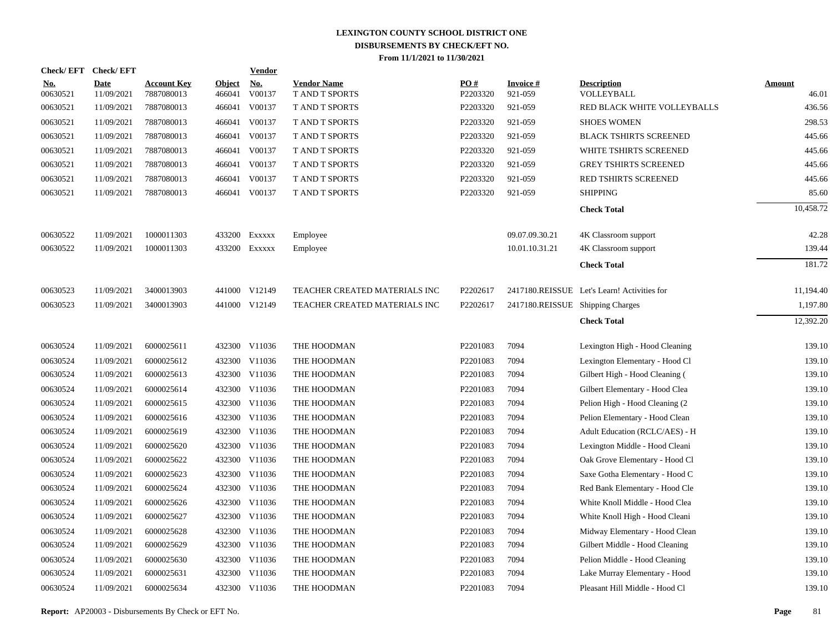|                        | Check/EFT Check/EFT       |                                  |                         | <b>Vendor</b>        |                                             |                      |                                  |                                             |                        |
|------------------------|---------------------------|----------------------------------|-------------------------|----------------------|---------------------------------------------|----------------------|----------------------------------|---------------------------------------------|------------------------|
| <u>No.</u><br>00630521 | <b>Date</b><br>11/09/2021 | <b>Account Key</b><br>7887080013 | <b>Object</b><br>466041 | <b>No.</b><br>V00137 | <b>Vendor Name</b><br><b>T AND T SPORTS</b> | PO#<br>P2203320      | <b>Invoice#</b><br>921-059       | <b>Description</b><br>VOLLEYBALL            | <b>Amount</b><br>46.01 |
| 00630521               | 11/09/2021                | 7887080013                       | 466041                  | V00137               | T AND T SPORTS                              | P2203320             | 921-059                          | RED BLACK WHITE VOLLEYBALLS                 | 436.56                 |
| 00630521               | 11/09/2021                | 7887080013                       |                         | 466041 V00137        | T AND T SPORTS                              | P2203320             | 921-059                          | <b>SHOES WOMEN</b>                          | 298.53                 |
| 00630521               | 11/09/2021                | 7887080013                       |                         | 466041 V00137        | T AND T SPORTS                              | P2203320             | 921-059                          | <b>BLACK TSHIRTS SCREENED</b>               | 445.66                 |
| 00630521               | 11/09/2021                | 7887080013                       |                         | 466041 V00137        | <b>T AND T SPORTS</b>                       | P2203320             | 921-059                          | WHITE TSHIRTS SCREENED                      | 445.66                 |
| 00630521               | 11/09/2021                | 7887080013                       |                         | 466041 V00137        | T AND T SPORTS                              | P2203320             | 921-059                          | <b>GREY TSHIRTS SCREENED</b>                | 445.66                 |
| 00630521               | 11/09/2021                | 7887080013                       |                         | 466041 V00137        | T AND T SPORTS                              | P2203320             | 921-059                          | RED TSHIRTS SCREENED                        | 445.66                 |
| 00630521               | 11/09/2021                | 7887080013                       |                         | 466041 V00137        | T AND T SPORTS                              | P2203320             | 921-059                          | <b>SHIPPING</b>                             | 85.60                  |
|                        |                           |                                  |                         |                      |                                             |                      |                                  | <b>Check Total</b>                          | 10,458.72              |
| 00630522               | 11/09/2021                | 1000011303                       |                         | 433200 Exxxxx        | Employee                                    |                      | 09.07.09.30.21                   | 4K Classroom support                        | 42.28                  |
| 00630522               | 11/09/2021                | 1000011303                       |                         | 433200 EXXXXX        | Employee                                    |                      | 10.01.10.31.21                   | 4K Classroom support                        | 139.44                 |
|                        |                           |                                  |                         |                      |                                             |                      |                                  | <b>Check Total</b>                          | 181.72                 |
| 00630523               | 11/09/2021                | 3400013903                       |                         | 441000 V12149        | TEACHER CREATED MATERIALS INC               | P2202617             |                                  | 2417180.REISSUE Let's Learn! Activities for | 11,194.40              |
| 00630523               | 11/09/2021                | 3400013903                       |                         | 441000 V12149        | TEACHER CREATED MATERIALS INC               | P2202617             | 2417180.REISSUE Shipping Charges |                                             | 1,197.80               |
|                        |                           |                                  |                         |                      |                                             |                      |                                  | <b>Check Total</b>                          | 12,392.20              |
| 00630524               | 11/09/2021                | 6000025611                       |                         | 432300 V11036        | THE HOODMAN                                 | P2201083             | 7094                             | Lexington High - Hood Cleaning              | 139.10                 |
| 00630524               | 11/09/2021                | 6000025612                       |                         | 432300 V11036        | THE HOODMAN                                 | P2201083             | 7094                             | Lexington Elementary - Hood Cl              | 139.10                 |
| 00630524               | 11/09/2021                | 6000025613                       |                         | 432300 V11036        | THE HOODMAN                                 | P2201083             | 7094                             | Gilbert High - Hood Cleaning (              | 139.10                 |
| 00630524               | 11/09/2021                | 6000025614                       |                         | 432300 V11036        | THE HOODMAN                                 | P2201083             | 7094                             | Gilbert Elementary - Hood Clea              | 139.10                 |
| 00630524               | 11/09/2021                | 6000025615                       |                         | 432300 V11036        | THE HOODMAN                                 | P2201083             | 7094                             | Pelion High - Hood Cleaning (2              | 139.10                 |
| 00630524               | 11/09/2021                | 6000025616                       |                         | 432300 V11036        | THE HOODMAN                                 | P2201083             | 7094                             | Pelion Elementary - Hood Clean              | 139.10                 |
| 00630524               | 11/09/2021                | 6000025619                       |                         | 432300 V11036        | THE HOODMAN                                 | P2201083             | 7094                             | Adult Education (RCLC/AES) - H              | 139.10                 |
| 00630524               | 11/09/2021                | 6000025620                       |                         | 432300 V11036        | THE HOODMAN                                 | P2201083             | 7094                             | Lexington Middle - Hood Cleani              | 139.10                 |
| 00630524               | 11/09/2021                | 6000025622                       |                         | 432300 V11036        | THE HOODMAN                                 | P2201083             | 7094                             | Oak Grove Elementary - Hood Cl              | 139.10                 |
| 00630524               | 11/09/2021                | 6000025623                       |                         | 432300 V11036        | THE HOODMAN                                 | P2201083             | 7094                             | Saxe Gotha Elementary - Hood C              | 139.10                 |
| 00630524               | 11/09/2021                | 6000025624                       |                         | 432300 V11036        | THE HOODMAN                                 | P <sub>2201083</sub> | 7094                             | Red Bank Elementary - Hood Cle              | 139.10                 |
| 00630524               | 11/09/2021                | 6000025626                       |                         | 432300 V11036        | THE HOODMAN                                 | P2201083             | 7094                             | White Knoll Middle - Hood Clea              | 139.10                 |
| 00630524               | 11/09/2021                | 6000025627                       |                         | 432300 V11036        | THE HOODMAN                                 | P2201083             | 7094                             | White Knoll High - Hood Cleani              | 139.10                 |
| 00630524               | 11/09/2021                | 6000025628                       |                         | 432300 V11036        | THE HOODMAN                                 | P2201083             | 7094                             | Midway Elementary - Hood Clean              | 139.10                 |
| 00630524               | 11/09/2021                | 6000025629                       |                         | 432300 V11036        | THE HOODMAN                                 | P2201083             | 7094                             | Gilbert Middle - Hood Cleaning              | 139.10                 |
| 00630524               | 11/09/2021                | 6000025630                       |                         | 432300 V11036        | THE HOODMAN                                 | P2201083             | 7094                             | Pelion Middle - Hood Cleaning               | 139.10                 |
| 00630524               | 11/09/2021                | 6000025631                       |                         | 432300 V11036        | THE HOODMAN                                 | P2201083             | 7094                             | Lake Murray Elementary - Hood               | 139.10                 |
| 00630524               | 11/09/2021                | 6000025634                       |                         | 432300 V11036        | THE HOODMAN                                 | P2201083             | 7094                             | Pleasant Hill Middle - Hood Cl              | 139.10                 |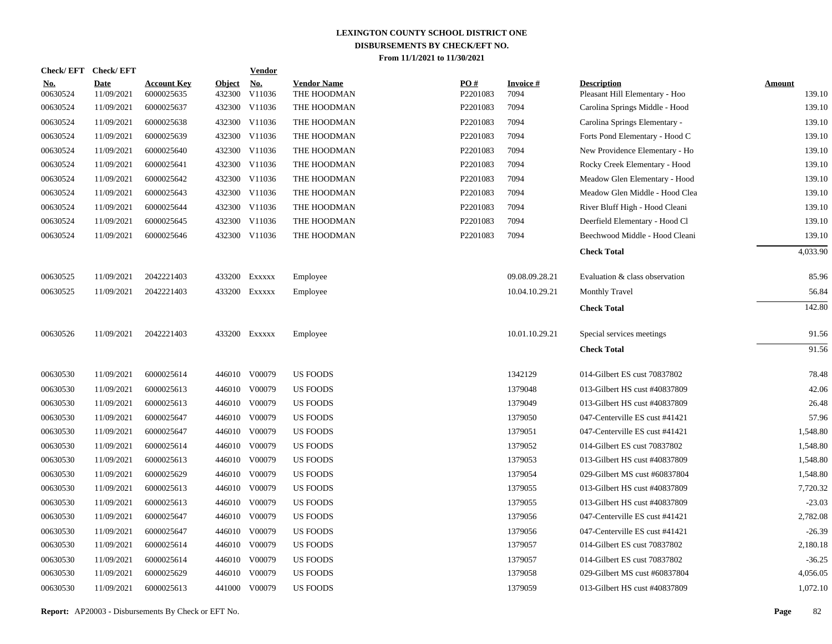|                        | Check/EFT Check/EFT       |                                  |                         | <b>Vendor</b>        |                                   |                 |                         |                                                      |                         |
|------------------------|---------------------------|----------------------------------|-------------------------|----------------------|-----------------------------------|-----------------|-------------------------|------------------------------------------------------|-------------------------|
| <u>No.</u><br>00630524 | <b>Date</b><br>11/09/2021 | <b>Account Key</b><br>6000025635 | <b>Object</b><br>432300 | <u>No.</u><br>V11036 | <b>Vendor Name</b><br>THE HOODMAN | PO#<br>P2201083 | <b>Invoice#</b><br>7094 | <b>Description</b><br>Pleasant Hill Elementary - Hoo | <b>Amount</b><br>139.10 |
| 00630524               | 11/09/2021                | 6000025637                       |                         | 432300 V11036        | THE HOODMAN                       | P2201083        | 7094                    | Carolina Springs Middle - Hood                       | 139.10                  |
| 00630524               | 11/09/2021                | 6000025638                       |                         | 432300 V11036        | THE HOODMAN                       | P2201083        | 7094                    | Carolina Springs Elementary -                        | 139.10                  |
| 00630524               | 11/09/2021                | 6000025639                       |                         | 432300 V11036        | THE HOODMAN                       | P2201083        | 7094                    | Forts Pond Elementary - Hood C                       | 139.10                  |
| 00630524               | 11/09/2021                | 6000025640                       |                         | 432300 V11036        | THE HOODMAN                       | P2201083        | 7094                    | New Providence Elementary - Ho                       | 139.10                  |
| 00630524               | 11/09/2021                | 6000025641                       |                         | 432300 V11036        | THE HOODMAN                       | P2201083        | 7094                    | Rocky Creek Elementary - Hood                        | 139.10                  |
| 00630524               | 11/09/2021                | 6000025642                       |                         | 432300 V11036        | THE HOODMAN                       | P2201083        | 7094                    | Meadow Glen Elementary - Hood                        | 139.10                  |
| 00630524               | 11/09/2021                | 6000025643                       |                         | 432300 V11036        | THE HOODMAN                       | P2201083        | 7094                    | Meadow Glen Middle - Hood Clea                       | 139.10                  |
| 00630524               | 11/09/2021                | 6000025644                       |                         | 432300 V11036        | THE HOODMAN                       | P2201083        | 7094                    | River Bluff High - Hood Cleani                       | 139.10                  |
| 00630524               | 11/09/2021                | 6000025645                       |                         | 432300 V11036        | THE HOODMAN                       | P2201083        | 7094                    | Deerfield Elementary - Hood Cl                       | 139.10                  |
| 00630524               | 11/09/2021                | 6000025646                       |                         | 432300 V11036        | THE HOODMAN                       | P2201083        | 7094                    | Beechwood Middle - Hood Cleani                       | 139.10                  |
|                        |                           |                                  |                         |                      |                                   |                 |                         | <b>Check Total</b>                                   | 4,033.90                |
| 00630525               | 11/09/2021                | 2042221403                       |                         | 433200 Exxxxx        | Employee                          |                 | 09.08.09.28.21          | Evaluation & class observation                       | 85.96                   |
| 00630525               | 11/09/2021                | 2042221403                       | 433200                  | EXXXXX               | Employee                          |                 | 10.04.10.29.21          | <b>Monthly Travel</b>                                | 56.84                   |
|                        |                           |                                  |                         |                      |                                   |                 |                         | <b>Check Total</b>                                   | 142.80                  |
| 00630526               | 11/09/2021                | 2042221403                       |                         | 433200 Exxxxx        | Employee                          |                 | 10.01.10.29.21          | Special services meetings                            | 91.56                   |
|                        |                           |                                  |                         |                      |                                   |                 |                         | <b>Check Total</b>                                   | 91.56                   |
| 00630530               | 11/09/2021                | 6000025614                       |                         | 446010 V00079        | <b>US FOODS</b>                   |                 | 1342129                 | 014-Gilbert ES cust 70837802                         | 78.48                   |
| 00630530               | 11/09/2021                | 6000025613                       |                         | 446010 V00079        | <b>US FOODS</b>                   |                 | 1379048                 | 013-Gilbert HS cust #40837809                        | 42.06                   |
| 00630530               | 11/09/2021                | 6000025613                       |                         | 446010 V00079        | US FOODS                          |                 | 1379049                 | 013-Gilbert HS cust #40837809                        | 26.48                   |
| 00630530               | 11/09/2021                | 6000025647                       |                         | 446010 V00079        | <b>US FOODS</b>                   |                 | 1379050                 | 047-Centerville ES cust #41421                       | 57.96                   |
| 00630530               | 11/09/2021                | 6000025647                       |                         | 446010 V00079        | <b>US FOODS</b>                   |                 | 1379051                 | 047-Centerville ES cust #41421                       | 1,548.80                |
| 00630530               | 11/09/2021                | 6000025614                       |                         | 446010 V00079        | US FOODS                          |                 | 1379052                 | 014-Gilbert ES cust 70837802                         | 1,548.80                |
| 00630530               | 11/09/2021                | 6000025613                       |                         | 446010 V00079        | <b>US FOODS</b>                   |                 | 1379053                 | 013-Gilbert HS cust #40837809                        | 1,548.80                |
| 00630530               | 11/09/2021                | 6000025629                       |                         | 446010 V00079        | <b>US FOODS</b>                   |                 | 1379054                 | 029-Gilbert MS cust #60837804                        | 1,548.80                |
| 00630530               | 11/09/2021                | 6000025613                       |                         | 446010 V00079        | <b>US FOODS</b>                   |                 | 1379055                 | 013-Gilbert HS cust #40837809                        | 7,720.32                |
| 00630530               | 11/09/2021                | 6000025613                       |                         | 446010 V00079        | US FOODS                          |                 | 1379055                 | 013-Gilbert HS cust #40837809                        | $-23.03$                |
| 00630530               | 11/09/2021                | 6000025647                       |                         | 446010 V00079        | <b>US FOODS</b>                   |                 | 1379056                 | 047-Centerville ES cust #41421                       | 2,782.08                |
| 00630530               | 11/09/2021                | 6000025647                       | 446010                  | V00079               | <b>US FOODS</b>                   |                 | 1379056                 | 047-Centerville ES cust #41421                       | $-26.39$                |
| 00630530               | 11/09/2021                | 6000025614                       |                         | 446010 V00079        | US FOODS                          |                 | 1379057                 | 014-Gilbert ES cust 70837802                         | 2,180.18                |
| 00630530               | 11/09/2021                | 6000025614                       |                         | 446010 V00079        | US FOODS                          |                 | 1379057                 | 014-Gilbert ES cust 70837802                         | $-36.25$                |
| 00630530               | 11/09/2021                | 6000025629                       |                         | 446010 V00079        | <b>US FOODS</b>                   |                 | 1379058                 | 029-Gilbert MS cust #60837804                        | 4,056.05                |
| 00630530               | 11/09/2021                | 6000025613                       |                         | 441000 V00079        | <b>US FOODS</b>                   |                 | 1379059                 | 013-Gilbert HS cust #40837809                        | 1,072.10                |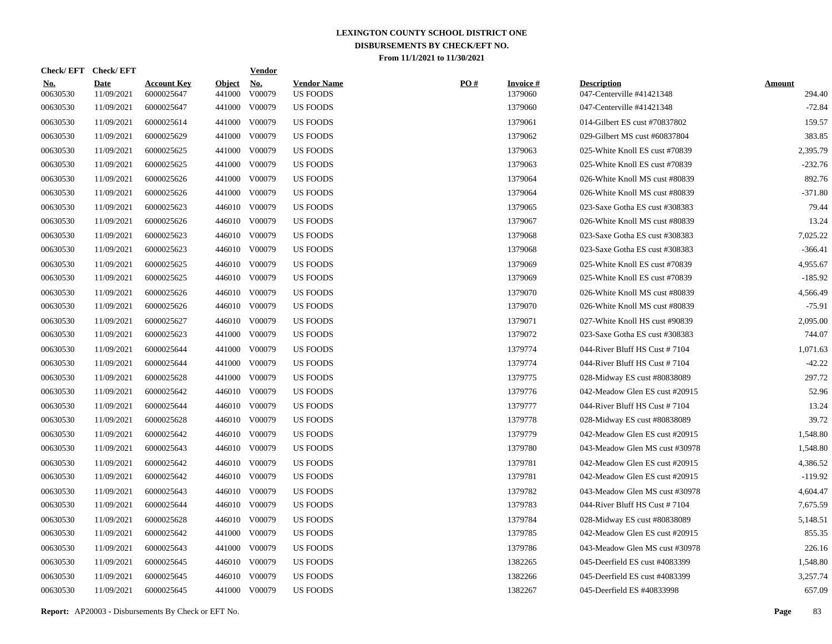|                        | Check/EFT Check/EFT       |                                  |                         | <u>Vendor</u>        |                                       |     |                            |                                                 |                         |
|------------------------|---------------------------|----------------------------------|-------------------------|----------------------|---------------------------------------|-----|----------------------------|-------------------------------------------------|-------------------------|
| <u>No.</u><br>00630530 | <b>Date</b><br>11/09/2021 | <b>Account Key</b><br>6000025647 | <b>Object</b><br>441000 | <u>No.</u><br>V00079 | <b>Vendor Name</b><br><b>US FOODS</b> | PO# | <b>Invoice#</b><br>1379060 | <b>Description</b><br>047-Centerville #41421348 | <b>Amount</b><br>294.40 |
| 00630530               | 11/09/2021                | 6000025647                       | 441000                  | V00079               | <b>US FOODS</b>                       |     | 1379060                    | 047-Centerville #41421348                       | $-72.84$                |
| 00630530               | 11/09/2021                | 6000025614                       | 441000                  | V00079               | US FOODS                              |     | 1379061                    | 014-Gilbert ES cust #70837802                   | 159.57                  |
| 00630530               | 11/09/2021                | 6000025629                       | 441000                  | V00079               | <b>US FOODS</b>                       |     | 1379062                    | 029-Gilbert MS cust #60837804                   | 383.85                  |
| 00630530               | 11/09/2021                | 6000025625                       | 441000                  | V00079               | <b>US FOODS</b>                       |     | 1379063                    | 025-White Knoll ES cust #70839                  | 2,395.79                |
| 00630530               | 11/09/2021                | 6000025625                       | 441000                  | V00079               | <b>US FOODS</b>                       |     | 1379063                    | 025-White Knoll ES cust #70839                  | $-232.76$               |
| 00630530               | 11/09/2021                | 6000025626                       | 441000                  | V00079               | <b>US FOODS</b>                       |     | 1379064                    | 026-White Knoll MS cust #80839                  | 892.76                  |
| 00630530               | 11/09/2021                | 6000025626                       | 441000                  | V00079               | <b>US FOODS</b>                       |     | 1379064                    | 026-White Knoll MS cust #80839                  | $-371.80$               |
| 00630530               | 11/09/2021                | 6000025623                       | 446010                  | V00079               | <b>US FOODS</b>                       |     | 1379065                    | 023-Saxe Gotha ES cust #308383                  | 79.44                   |
| 00630530               | 11/09/2021                | 6000025626                       | 446010                  | V00079               | US FOODS                              |     | 1379067                    | 026-White Knoll MS cust #80839                  | 13.24                   |
| 00630530               | 11/09/2021                | 6000025623                       | 446010                  | V00079               | US FOODS                              |     | 1379068                    | 023-Saxe Gotha ES cust #308383                  | 7,025.22                |
| 00630530               | 11/09/2021                | 6000025623                       | 446010                  | V00079               | <b>US FOODS</b>                       |     | 1379068                    | 023-Saxe Gotha ES cust #308383                  | $-366.41$               |
| 00630530               | 11/09/2021                | 6000025625                       | 446010                  | V00079               | <b>US FOODS</b>                       |     | 1379069                    | 025-White Knoll ES cust #70839                  | 4,955.67                |
| 00630530               | 11/09/2021                | 6000025625                       |                         | 446010 V00079        | <b>US FOODS</b>                       |     | 1379069                    | 025-White Knoll ES cust #70839                  | $-185.92$               |
| 00630530               | 11/09/2021                | 6000025626                       | 446010                  | V00079               | <b>US FOODS</b>                       |     | 1379070                    | 026-White Knoll MS cust #80839                  | 4,566.49                |
| 00630530               | 11/09/2021                | 6000025626                       |                         | 446010 V00079        | US FOODS                              |     | 1379070                    | 026-White Knoll MS cust #80839                  | $-75.91$                |
| 00630530               | 11/09/2021                | 6000025627                       | 446010                  | V00079               | US FOODS                              |     | 1379071                    | 027-White Knoll HS cust #90839                  | 2,095.00                |
| 00630530               | 11/09/2021                | 6000025623                       | 441000                  | V00079               | <b>US FOODS</b>                       |     | 1379072                    | 023-Saxe Gotha ES cust #308383                  | 744.07                  |
| 00630530               | 11/09/2021                | 6000025644                       | 441000                  | V00079               | <b>US FOODS</b>                       |     | 1379774                    | 044-River Bluff HS Cust #7104                   | 1,071.63                |
| 00630530               | 11/09/2021                | 6000025644                       | 441000                  | V00079               | <b>US FOODS</b>                       |     | 1379774                    | 044-River Bluff HS Cust #7104                   | $-42.22$                |
| 00630530               | 11/09/2021                | 6000025628                       | 441000                  | V00079               | <b>US FOODS</b>                       |     | 1379775                    | 028-Midway ES cust #80838089                    | 297.72                  |
| 00630530               | 11/09/2021                | 6000025642                       | 446010                  | V00079               | <b>US FOODS</b>                       |     | 1379776                    | 042-Meadow Glen ES cust #20915                  | 52.96                   |
| 00630530               | 11/09/2021                | 6000025644                       | 446010                  | V00079               | <b>US FOODS</b>                       |     | 1379777                    | 044-River Bluff HS Cust #7104                   | 13.24                   |
| 00630530               | 11/09/2021                | 6000025628                       | 446010                  | V00079               | US FOODS                              |     | 1379778                    | 028-Midway ES cust #80838089                    | 39.72                   |
| 00630530               | 11/09/2021                | 6000025642                       | 446010                  | V00079               | US FOODS                              |     | 1379779                    | 042-Meadow Glen ES cust #20915                  | 1,548.80                |
| 00630530               | 11/09/2021                | 6000025643                       | 446010                  | V00079               | <b>US FOODS</b>                       |     | 1379780                    | 043-Meadow Glen MS cust #30978                  | 1,548.80                |
| 00630530               | 11/09/2021                | 6000025642                       | 446010                  | V00079               | <b>US FOODS</b>                       |     | 1379781                    | 042-Meadow Glen ES cust #20915                  | 4,386.52                |
| 00630530               | 11/09/2021                | 6000025642                       | 446010                  | V00079               | US FOODS                              |     | 1379781                    | 042-Meadow Glen ES cust #20915                  | $-119.92$               |
| 00630530               | 11/09/2021                | 6000025643                       | 446010                  | V00079               | US FOODS                              |     | 1379782                    | 043-Meadow Glen MS cust #30978                  | 4,604.47                |
| 00630530               | 11/09/2021                | 6000025644                       |                         | 446010 V00079        | US FOODS                              |     | 1379783                    | 044-River Bluff HS Cust #7104                   | 7,675.59                |
| 00630530               | 11/09/2021                | 6000025628                       | 446010                  | V00079               | US FOODS                              |     | 1379784                    | 028-Midway ES cust #80838089                    | 5,148.51                |
| 00630530               | 11/09/2021                | 6000025642                       | 441000                  | V00079               | <b>US FOODS</b>                       |     | 1379785                    | 042-Meadow Glen ES cust #20915                  | 855.35                  |
| 00630530               | 11/09/2021                | 6000025643                       | 441000                  | V00079               | <b>US FOODS</b>                       |     | 1379786                    | 043-Meadow Glen MS cust #30978                  | 226.16                  |
| 00630530               | 11/09/2021                | 6000025645                       |                         | 446010 V00079        | <b>US FOODS</b>                       |     | 1382265                    | 045-Deerfield ES cust #4083399                  | 1,548.80                |
| 00630530               | 11/09/2021                | 6000025645                       | 446010                  | V00079               | <b>US FOODS</b>                       |     | 1382266                    | 045-Deerfield ES cust #4083399                  | 3,257.74                |
| 00630530               | 11/09/2021                | 6000025645                       |                         | 441000 V00079        | <b>US FOODS</b>                       |     | 1382267                    | 045-Deerfield ES #40833998                      | 657.09                  |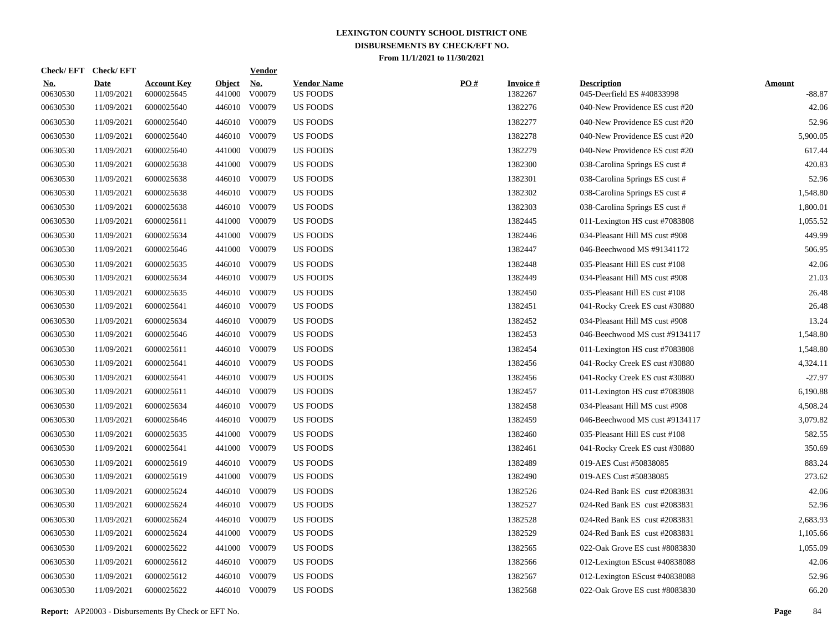|                        | Check/EFT Check/EFT       |                                  |                         | <b>Vendor</b>        |                                       |     |                            |                                                  |                           |
|------------------------|---------------------------|----------------------------------|-------------------------|----------------------|---------------------------------------|-----|----------------------------|--------------------------------------------------|---------------------------|
| <u>No.</u><br>00630530 | <b>Date</b><br>11/09/2021 | <b>Account Key</b><br>6000025645 | <b>Object</b><br>441000 | <u>No.</u><br>V00079 | <b>Vendor Name</b><br><b>US FOODS</b> | PO# | <b>Invoice#</b><br>1382267 | <b>Description</b><br>045-Deerfield ES #40833998 | <b>Amount</b><br>$-88.87$ |
| 00630530               | 11/09/2021                | 6000025640                       | 446010                  | V00079               | <b>US FOODS</b>                       |     | 1382276                    | 040-New Providence ES cust #20                   | 42.06                     |
| 00630530               | 11/09/2021                | 6000025640                       | 446010                  | V00079               | <b>US FOODS</b>                       |     | 1382277                    | 040-New Providence ES cust #20                   | 52.96                     |
| 00630530               | 11/09/2021                | 6000025640                       | 446010                  | V00079               | <b>US FOODS</b>                       |     | 1382278                    | 040-New Providence ES cust #20                   | 5,900.05                  |
| 00630530               | 11/09/2021                | 6000025640                       | 441000                  | V00079               | US FOODS                              |     | 1382279                    | 040-New Providence ES cust #20                   | 617.44                    |
| 00630530               | 11/09/2021                | 6000025638                       | 441000                  | V00079               | <b>US FOODS</b>                       |     | 1382300                    | 038-Carolina Springs ES cust #                   | 420.83                    |
| 00630530               | 11/09/2021                | 6000025638                       | 446010                  | V00079               | <b>US FOODS</b>                       |     | 1382301                    | 038-Carolina Springs ES cust #                   | 52.96                     |
| 00630530               | 11/09/2021                | 6000025638                       | 446010                  | V00079               | <b>US FOODS</b>                       |     | 1382302                    | 038-Carolina Springs ES cust #                   | 1,548.80                  |
| 00630530               | 11/09/2021                | 6000025638                       | 446010                  | V00079               | <b>US FOODS</b>                       |     | 1382303                    | 038-Carolina Springs ES cust #                   | 1,800.01                  |
| 00630530               | 11/09/2021                | 6000025611                       | 441000                  | V00079               | <b>US FOODS</b>                       |     | 1382445                    | 011-Lexington HS cust #7083808                   | 1,055.52                  |
| 00630530               | 11/09/2021                | 6000025634                       | 441000                  | V00079               | <b>US FOODS</b>                       |     | 1382446                    | 034-Pleasant Hill MS cust #908                   | 449.99                    |
| 00630530               | 11/09/2021                | 6000025646                       | 441000                  | V00079               | <b>US FOODS</b>                       |     | 1382447                    | 046-Beechwood MS #91341172                       | 506.95                    |
| 00630530               | 11/09/2021                | 6000025635                       | 446010                  | V00079               | <b>US FOODS</b>                       |     | 1382448                    | 035-Pleasant Hill ES cust #108                   | 42.06                     |
| 00630530               | 11/09/2021                | 6000025634                       | 446010                  | V00079               | US FOODS                              |     | 1382449                    | 034-Pleasant Hill MS cust #908                   | 21.03                     |
| 00630530               | 11/09/2021                | 6000025635                       | 446010                  | V00079               | <b>US FOODS</b>                       |     | 1382450                    | 035-Pleasant Hill ES cust #108                   | 26.48                     |
| 00630530               | 11/09/2021                | 6000025641                       |                         | 446010 V00079        | <b>US FOODS</b>                       |     | 1382451                    | 041-Rocky Creek ES cust #30880                   | 26.48                     |
| 00630530               | 11/09/2021                | 6000025634                       |                         | 446010 V00079        | <b>US FOODS</b>                       |     | 1382452                    | 034-Pleasant Hill MS cust #908                   | 13.24                     |
| 00630530               | 11/09/2021                | 6000025646                       |                         | 446010 V00079        | <b>US FOODS</b>                       |     | 1382453                    | 046-Beechwood MS cust #9134117                   | 1,548.80                  |
| 00630530               | 11/09/2021                | 6000025611                       |                         | 446010 V00079        | <b>US FOODS</b>                       |     | 1382454                    | 011-Lexington HS cust #7083808                   | 1,548.80                  |
| 00630530               | 11/09/2021                | 6000025641                       |                         | 446010 V00079        | <b>US FOODS</b>                       |     | 1382456                    | 041-Rocky Creek ES cust #30880                   | 4,324.11                  |
| 00630530               | 11/09/2021                | 6000025641                       |                         | 446010 V00079        | <b>US FOODS</b>                       |     | 1382456                    | 041-Rocky Creek ES cust #30880                   | $-27.97$                  |
| 00630530               | 11/09/2021                | 6000025611                       |                         | 446010 V00079        | <b>US FOODS</b>                       |     | 1382457                    | 011-Lexington HS cust #7083808                   | 6,190.88                  |
| 00630530               | 11/09/2021                | 6000025634                       |                         | 446010 V00079        | <b>US FOODS</b>                       |     | 1382458                    | 034-Pleasant Hill MS cust #908                   | 4,508.24                  |
| 00630530               | 11/09/2021                | 6000025646                       |                         | 446010 V00079        | US FOODS                              |     | 1382459                    | 046-Beechwood MS cust #9134117                   | 3,079.82                  |
| 00630530               | 11/09/2021                | 6000025635                       | 441000                  | V00079               | <b>US FOODS</b>                       |     | 1382460                    | 035-Pleasant Hill ES cust #108                   | 582.55                    |
| 00630530               | 11/09/2021                | 6000025641                       | 441000                  | V00079               | US FOODS                              |     | 1382461                    | 041-Rocky Creek ES cust #30880                   | 350.69                    |
| 00630530               | 11/09/2021                | 6000025619                       | 446010                  | V00079               | US FOODS                              |     | 1382489                    | 019-AES Cust #50838085                           | 883.24                    |
| 00630530               | 11/09/2021                | 6000025619                       | 441000                  | V00079               | <b>US FOODS</b>                       |     | 1382490                    | 019-AES Cust #50838085                           | 273.62                    |
| 00630530               | 11/09/2021                | 6000025624                       | 446010                  | V00079               | <b>US FOODS</b>                       |     | 1382526                    | 024-Red Bank ES cust #2083831                    | 42.06                     |
| 00630530               | 11/09/2021                | 6000025624                       |                         | 446010 V00079        | <b>US FOODS</b>                       |     | 1382527                    | 024-Red Bank ES cust #2083831                    | 52.96                     |
| 00630530               | 11/09/2021                | 6000025624                       | 446010                  | V00079               | <b>US FOODS</b>                       |     | 1382528                    | 024-Red Bank ES cust #2083831                    | 2,683.93                  |
| 00630530               | 11/09/2021                | 6000025624                       | 441000                  | V00079               | <b>US FOODS</b>                       |     | 1382529                    | 024-Red Bank ES cust #2083831                    | 1,105.66                  |
| 00630530               | 11/09/2021                | 6000025622                       | 441000                  | V00079               | <b>US FOODS</b>                       |     | 1382565                    | 022-Oak Grove ES cust #8083830                   | 1,055.09                  |
| 00630530               | 11/09/2021                | 6000025612                       |                         | 446010 V00079        | <b>US FOODS</b>                       |     | 1382566                    | 012-Lexington EScust #40838088                   | 42.06                     |
| 00630530               | 11/09/2021                | 6000025612                       | 446010                  | V00079               | <b>US FOODS</b>                       |     | 1382567                    | 012-Lexington EScust #40838088                   | 52.96                     |
| 00630530               | 11/09/2021                | 6000025622                       |                         | 446010 V00079        | <b>US FOODS</b>                       |     | 1382568                    | 022-Oak Grove ES cust #8083830                   | 66.20                     |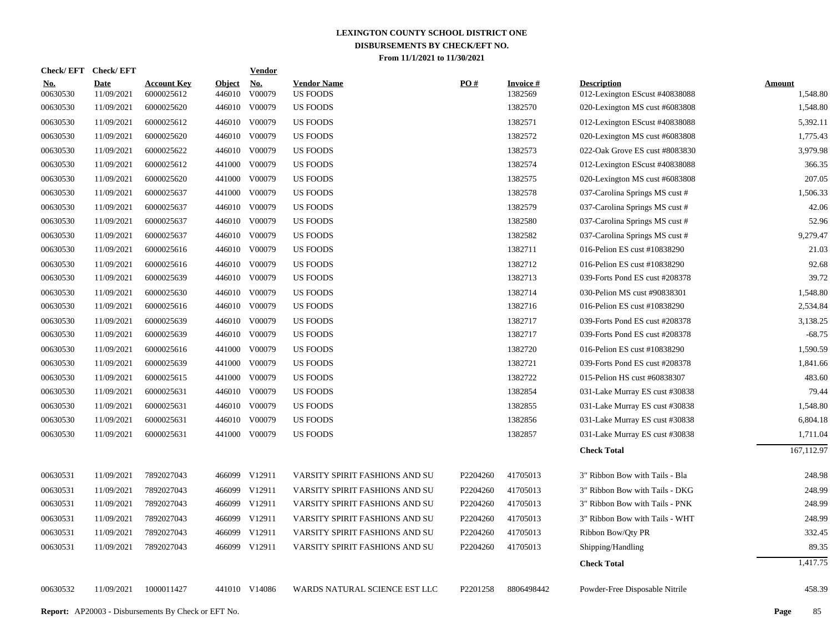| Check/ EFT             | <b>Check/EFT</b>          |                                                            |                      | <b>Vendor</b> |                                       |                      |                            |                                                      |                           |
|------------------------|---------------------------|------------------------------------------------------------|----------------------|---------------|---------------------------------------|----------------------|----------------------------|------------------------------------------------------|---------------------------|
| <u>No.</u><br>00630530 | <b>Date</b><br>11/09/2021 | <b>Account Key</b><br>6000025612                           | Object No.<br>446010 | V00079        | <b>Vendor Name</b><br><b>US FOODS</b> | PO#                  | <b>Invoice#</b><br>1382569 | <b>Description</b><br>012-Lexington EScust #40838088 | <b>Amount</b><br>1,548.80 |
| 00630530               | 11/09/2021                | 6000025620                                                 |                      | 446010 V00079 | <b>US FOODS</b>                       |                      | 1382570                    | 020-Lexington MS cust #6083808                       | 1,548.80                  |
| 00630530               | 11/09/2021                | 6000025612                                                 |                      | 446010 V00079 | <b>US FOODS</b>                       |                      | 1382571                    | 012-Lexington EScust #40838088                       | 5,392.11                  |
| 00630530               | 11/09/2021                | 6000025620                                                 |                      | 446010 V00079 | <b>US FOODS</b>                       |                      | 1382572                    | 020-Lexington MS cust #6083808                       | 1,775.43                  |
| 00630530               | 11/09/2021                | 6000025622                                                 |                      | 446010 V00079 | <b>US FOODS</b>                       |                      | 1382573                    | 022-Oak Grove ES cust #8083830                       | 3,979.98                  |
| 00630530               | 11/09/2021                | 6000025612                                                 |                      | 441000 V00079 | US FOODS                              |                      | 1382574                    | 012-Lexington EScust #40838088                       | 366.35                    |
| 00630530               | 11/09/2021                | 6000025620                                                 |                      | 441000 V00079 | <b>US FOODS</b>                       |                      | 1382575                    | 020-Lexington MS cust #6083808                       | 207.05                    |
| 00630530               | 11/09/2021                | 6000025637                                                 |                      | 441000 V00079 | US FOODS                              |                      | 1382578                    | 037-Carolina Springs MS cust #                       | 1,506.33                  |
| 00630530               | 11/09/2021                | 6000025637                                                 |                      | 446010 V00079 | <b>US FOODS</b>                       |                      | 1382579                    | 037-Carolina Springs MS cust #                       | 42.06                     |
| 00630530               | 11/09/2021                | 6000025637                                                 |                      | 446010 V00079 | US FOODS                              |                      | 1382580                    | 037-Carolina Springs MS cust #                       | 52.96                     |
| 00630530               | 11/09/2021                | 6000025637                                                 |                      | 446010 V00079 | <b>US FOODS</b>                       |                      | 1382582                    | 037-Carolina Springs MS cust #                       | 9,279.47                  |
| 00630530               | 11/09/2021                | 6000025616                                                 |                      | 446010 V00079 | <b>US FOODS</b>                       |                      | 1382711                    | 016-Pelion ES cust #10838290                         | 21.03                     |
| 00630530               | 11/09/2021                | 6000025616                                                 |                      | 446010 V00079 | <b>US FOODS</b>                       |                      | 1382712                    | 016-Pelion ES cust #10838290                         | 92.68                     |
| 00630530               | 11/09/2021                | 6000025639                                                 | 446010               | V00079        | <b>US FOODS</b>                       |                      | 1382713                    | 039-Forts Pond ES cust #208378                       | 39.72                     |
| 00630530               | 11/09/2021                | 6000025630                                                 | 446010               | V00079        | <b>US FOODS</b>                       |                      | 1382714                    | 030-Pelion MS cust #90838301                         | 1,548.80                  |
| 00630530               | 11/09/2021                | 6000025616                                                 |                      | 446010 V00079 | <b>US FOODS</b>                       |                      | 1382716                    | 016-Pelion ES cust #10838290                         | 2,534.84                  |
| 00630530               | 11/09/2021                | 6000025639                                                 |                      | 446010 V00079 | <b>US FOODS</b>                       |                      | 1382717                    | 039-Forts Pond ES cust #208378                       | 3,138.25                  |
| 00630530               | 11/09/2021                | 6000025639                                                 |                      | 446010 V00079 | <b>US FOODS</b>                       |                      | 1382717                    | 039-Forts Pond ES cust #208378                       | $-68.75$                  |
| 00630530               | 11/09/2021                | 6000025616                                                 | 441000               | V00079        | <b>US FOODS</b>                       |                      | 1382720                    | 016-Pelion ES cust #10838290                         | 1,590.59                  |
| 00630530               | 11/09/2021                | 6000025639                                                 |                      | 441000 V00079 | <b>US FOODS</b>                       |                      | 1382721                    | 039-Forts Pond ES cust #208378                       | 1,841.66                  |
| 00630530               | 11/09/2021                | 6000025615                                                 |                      | 441000 V00079 | <b>US FOODS</b>                       |                      | 1382722                    | 015-Pelion HS cust #60838307                         | 483.60                    |
| 00630530               | 11/09/2021                | 6000025631                                                 |                      | 446010 V00079 | US FOODS                              |                      | 1382854                    | 031-Lake Murray ES cust #30838                       | 79.44                     |
| 00630530               | 11/09/2021                | 6000025631                                                 |                      | 446010 V00079 | <b>US FOODS</b>                       |                      | 1382855                    | 031-Lake Murray ES cust #30838                       | 1,548.80                  |
| 00630530               | 11/09/2021                | 6000025631                                                 |                      | 446010 V00079 | <b>US FOODS</b>                       |                      | 1382856                    | 031-Lake Murray ES cust #30838                       | 6,804.18                  |
| 00630530               | 11/09/2021                | 6000025631                                                 |                      | 441000 V00079 | <b>US FOODS</b>                       |                      | 1382857                    | 031-Lake Murray ES cust #30838                       | 1,711.04                  |
|                        |                           |                                                            |                      |               |                                       |                      |                            | <b>Check Total</b>                                   | 167,112.97                |
| 00630531               | 11/09/2021                | 7892027043                                                 |                      | 466099 V12911 | VARSITY SPIRIT FASHIONS AND SU        | P2204260             | 41705013                   | 3" Ribbon Bow with Tails - Bla                       | 248.98                    |
| 00630531               | 11/09/2021                | 7892027043                                                 | 466099               | V12911        | VARSITY SPIRIT FASHIONS AND SU        | P2204260             | 41705013                   | 3" Ribbon Bow with Tails - DKG                       | 248.99                    |
| 00630531               | 11/09/2021                | 7892027043                                                 |                      | 466099 V12911 | VARSITY SPIRIT FASHIONS AND SU        | P2204260             | 41705013                   | 3" Ribbon Bow with Tails - PNK                       | 248.99                    |
| 00630531               | 11/09/2021                | 7892027043                                                 | 466099               | V12911        | VARSITY SPIRIT FASHIONS AND SU        | P2204260             | 41705013                   | 3" Ribbon Bow with Tails - WHT                       | 248.99                    |
| 00630531               | 11/09/2021                | 7892027043                                                 |                      | 466099 V12911 | VARSITY SPIRIT FASHIONS AND SU        | P2204260             | 41705013                   | Ribbon Bow/Qty PR                                    | 332.45                    |
| 00630531               | 11/09/2021                | 7892027043                                                 |                      | 466099 V12911 | VARSITY SPIRIT FASHIONS AND SU        | P2204260             | 41705013                   | Shipping/Handling                                    | 89.35                     |
|                        |                           |                                                            |                      |               |                                       |                      |                            | <b>Check Total</b>                                   | 1,417.75                  |
| 00630532               | 11/09/2021                | 1000011427                                                 |                      | 441010 V14086 | WARDS NATURAL SCIENCE EST LLC         | P <sub>2201258</sub> | 8806498442                 | Powder-Free Disposable Nitrile                       | 458.39                    |
|                        |                           | <b>Report:</b> AP20003 - Disbursements By Check or EFT No. |                      |               |                                       |                      |                            |                                                      | 85<br>Page                |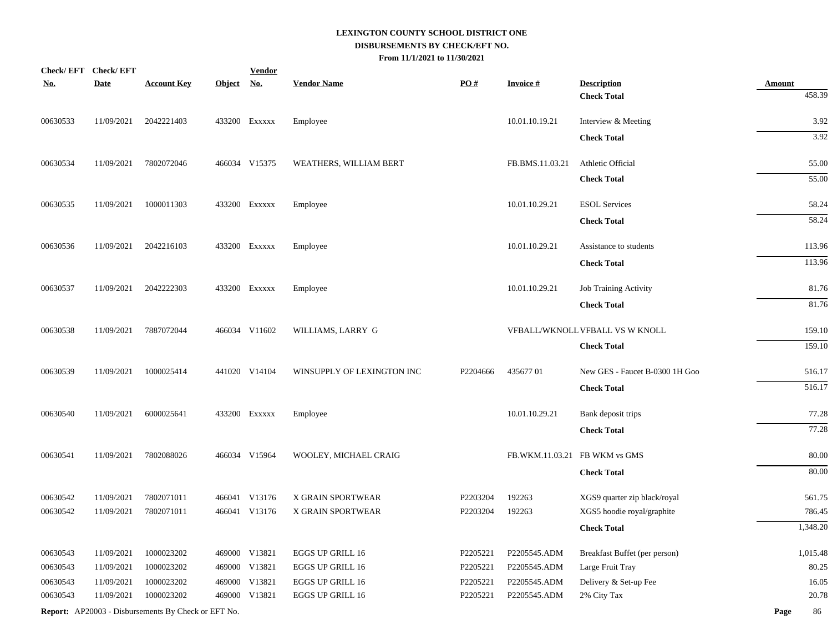| <u>No.</u> | Check/EFT Check/EFT<br><b>Date</b> | <b>Account Key</b>                                  | <b>Object</b> | <b>Vendor</b><br><u>No.</u> | <b>Vendor Name</b>         | PO#      | <b>Invoice#</b>               | <b>Description</b>              | <b>Amount</b> |
|------------|------------------------------------|-----------------------------------------------------|---------------|-----------------------------|----------------------------|----------|-------------------------------|---------------------------------|---------------|
|            |                                    |                                                     |               |                             |                            |          |                               | <b>Check Total</b>              | 458.39        |
| 00630533   | 11/09/2021                         | 2042221403                                          |               | 433200 Exxxxx               | Employee                   |          | 10.01.10.19.21                | Interview & Meeting             | 3.92          |
|            |                                    |                                                     |               |                             |                            |          |                               | <b>Check Total</b>              | 3.92          |
| 00630534   | 11/09/2021                         | 7802072046                                          |               | 466034 V15375               | WEATHERS, WILLIAM BERT     |          | FB.BMS.11.03.21               | Athletic Official               | 55.00         |
|            |                                    |                                                     |               |                             |                            |          |                               | <b>Check Total</b>              | 55.00         |
| 00630535   | 11/09/2021                         | 1000011303                                          |               | 433200 Exxxxx               | Employee                   |          | 10.01.10.29.21                | <b>ESOL</b> Services            | 58.24         |
|            |                                    |                                                     |               |                             |                            |          |                               | <b>Check Total</b>              | 58.24         |
| 00630536   | 11/09/2021                         | 2042216103                                          |               | 433200 Exxxxx               | Employee                   |          | 10.01.10.29.21                | Assistance to students          | 113.96        |
|            |                                    |                                                     |               |                             |                            |          |                               | <b>Check Total</b>              | 113.96        |
| 00630537   | 11/09/2021                         | 2042222303                                          |               | 433200 Exxxxx               | Employee                   |          | 10.01.10.29.21                | Job Training Activity           | 81.76         |
|            |                                    |                                                     |               |                             |                            |          |                               | <b>Check Total</b>              | 81.76         |
| 00630538   | 11/09/2021                         | 7887072044                                          |               | 466034 V11602               | WILLIAMS, LARRY G          |          |                               | VFBALL/WKNOLL VFBALL VS W KNOLL | 159.10        |
|            |                                    |                                                     |               |                             |                            |          |                               | <b>Check Total</b>              | 159.10        |
| 00630539   | 11/09/2021                         | 1000025414                                          |               | 441020 V14104               | WINSUPPLY OF LEXINGTON INC | P2204666 | 43567701                      | New GES - Faucet B-0300 1H Goo  | 516.17        |
|            |                                    |                                                     |               |                             |                            |          |                               | <b>Check Total</b>              | 516.17        |
| 00630540   | 11/09/2021                         | 6000025641                                          |               | 433200 Exxxxx               | Employee                   |          | 10.01.10.29.21                | Bank deposit trips              | 77.28         |
|            |                                    |                                                     |               |                             |                            |          |                               | <b>Check Total</b>              | 77.28         |
| 00630541   | 11/09/2021                         | 7802088026                                          |               | 466034 V15964               | WOOLEY, MICHAEL CRAIG      |          | FB.WKM.11.03.21 FB WKM vs GMS |                                 | 80.00         |
|            |                                    |                                                     |               |                             |                            |          |                               | <b>Check Total</b>              | 80.00         |
| 00630542   | 11/09/2021                         | 7802071011                                          |               | 466041 V13176               | X GRAIN SPORTWEAR          | P2203204 | 192263                        | XGS9 quarter zip black/royal    | 561.75        |
| 00630542   | 11/09/2021                         | 7802071011                                          |               | 466041 V13176               | X GRAIN SPORTWEAR          | P2203204 | 192263                        | XGS5 hoodie royal/graphite      | 786.45        |
|            |                                    |                                                     |               |                             |                            |          |                               | <b>Check Total</b>              | 1,348.20      |
| 00630543   | 11/09/2021                         | 1000023202                                          |               | 469000 V13821               | <b>EGGS UP GRILL 16</b>    | P2205221 | P2205545.ADM                  | Breakfast Buffet (per person)   | 1,015.48      |
| 00630543   | 11/09/2021                         | 1000023202                                          |               | 469000 V13821               | EGGS UP GRILL 16           | P2205221 | P2205545.ADM                  | Large Fruit Tray                | 80.25         |
| 00630543   | 11/09/2021                         | 1000023202                                          |               | 469000 V13821               | EGGS UP GRILL 16           | P2205221 | P2205545.ADM                  | Delivery & Set-up Fee           | 16.05         |
| 00630543   | 11/09/2021                         | 1000023202                                          |               | 469000 V13821               | EGGS UP GRILL 16           | P2205221 | P2205545.ADM                  | 2% City Tax                     | 20.78         |
|            |                                    | Report: AP20003 - Disbursements By Check or EFT No. |               |                             |                            |          |                               |                                 | 86<br>Page    |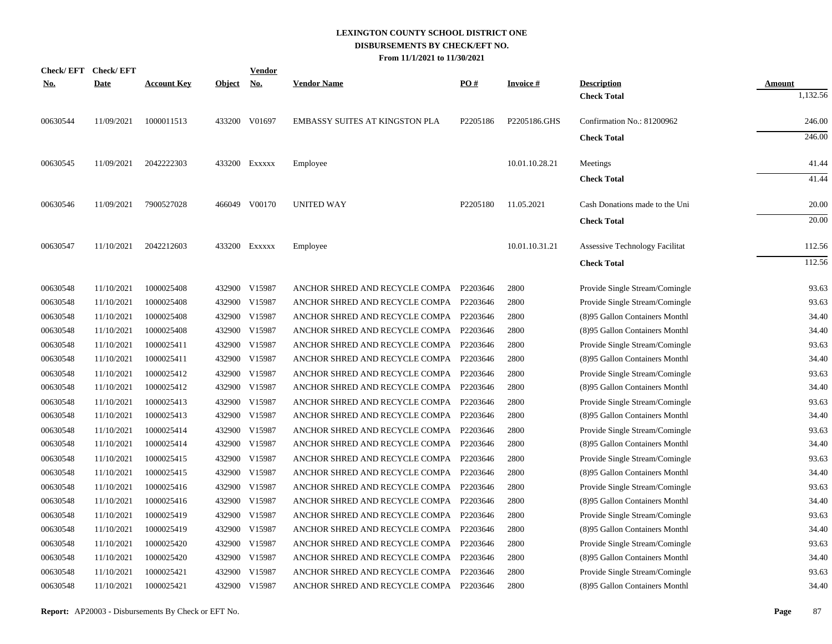| <b>No.</b> | Check/EFT Check/EFT<br><b>Date</b> | <b>Account Key</b> | Object No. | <b>Vendor</b> | <b>Vendor Name</b>                      | PO#      | <b>Invoice#</b> | <b>Description</b>                    | <b>Amount</b> |
|------------|------------------------------------|--------------------|------------|---------------|-----------------------------------------|----------|-----------------|---------------------------------------|---------------|
|            |                                    |                    |            |               |                                         |          |                 | <b>Check Total</b>                    | 1,132.56      |
| 00630544   | 11/09/2021                         | 1000011513         |            | 433200 V01697 | <b>EMBASSY SUITES AT KINGSTON PLA</b>   | P2205186 | P2205186.GHS    | Confirmation No.: 81200962            | 246.00        |
|            |                                    |                    |            |               |                                         |          |                 | <b>Check Total</b>                    | 246.00        |
| 00630545   | 11/09/2021                         | 2042222303         |            | 433200 Exxxxx | Employee                                |          | 10.01.10.28.21  | Meetings                              | 41.44         |
|            |                                    |                    |            |               |                                         |          |                 | <b>Check Total</b>                    | 41.44         |
| 00630546   | 11/09/2021                         | 7900527028         |            | 466049 V00170 | <b>UNITED WAY</b>                       | P2205180 | 11.05.2021      | Cash Donations made to the Uni        | 20.00         |
|            |                                    |                    |            |               |                                         |          |                 | <b>Check Total</b>                    | 20.00         |
| 00630547   | 11/10/2021                         | 2042212603         |            | 433200 Exxxxx | Employee                                |          | 10.01.10.31.21  | <b>Assessive Technology Facilitat</b> | 112.56        |
|            |                                    |                    |            |               |                                         |          |                 | <b>Check Total</b>                    | 112.56        |
| 00630548   | 11/10/2021                         | 1000025408         | 432900     | V15987        | ANCHOR SHRED AND RECYCLE COMPA P2203646 |          | 2800            | Provide Single Stream/Comingle        | 93.63         |
| 00630548   | 11/10/2021                         | 1000025408         | 432900     | V15987        | ANCHOR SHRED AND RECYCLE COMPA P2203646 |          | 2800            | Provide Single Stream/Comingle        | 93.63         |
| 00630548   | 11/10/2021                         | 1000025408         | 432900     | V15987        | ANCHOR SHRED AND RECYCLE COMPA          | P2203646 | 2800            | (8)95 Gallon Containers Monthl        | 34.40         |
| 00630548   | 11/10/2021                         | 1000025408         | 432900     | V15987        | ANCHOR SHRED AND RECYCLE COMPA          | P2203646 | 2800            | (8)95 Gallon Containers Monthl        | 34.40         |
| 00630548   | 11/10/2021                         | 1000025411         | 432900     | V15987        | ANCHOR SHRED AND RECYCLE COMPA          | P2203646 | 2800            | Provide Single Stream/Comingle        | 93.63         |
| 00630548   | 11/10/2021                         | 1000025411         | 432900     | V15987        | ANCHOR SHRED AND RECYCLE COMPA          | P2203646 | 2800            | (8)95 Gallon Containers Monthl        | 34.40         |
| 00630548   | 11/10/2021                         | 1000025412         | 432900     | V15987        | ANCHOR SHRED AND RECYCLE COMPA          | P2203646 | 2800            | Provide Single Stream/Comingle        | 93.63         |
| 00630548   | 11/10/2021                         | 1000025412         | 432900     | V15987        | ANCHOR SHRED AND RECYCLE COMPA P2203646 |          | 2800            | (8)95 Gallon Containers Monthl        | 34.40         |
| 00630548   | 11/10/2021                         | 1000025413         | 432900     | V15987        | ANCHOR SHRED AND RECYCLE COMPA P2203646 |          | 2800            | Provide Single Stream/Comingle        | 93.63         |
| 00630548   | 11/10/2021                         | 1000025413         | 432900     | V15987        | ANCHOR SHRED AND RECYCLE COMPA P2203646 |          | 2800            | (8)95 Gallon Containers Monthl        | 34.40         |
| 00630548   | 11/10/2021                         | 1000025414         | 432900     | V15987        | ANCHOR SHRED AND RECYCLE COMPA P2203646 |          | 2800            | Provide Single Stream/Comingle        | 93.63         |
| 00630548   | 11/10/2021                         | 1000025414         | 432900     | V15987        | ANCHOR SHRED AND RECYCLE COMPA P2203646 |          | 2800            | (8)95 Gallon Containers Monthl        | 34.40         |
| 00630548   | 11/10/2021                         | 1000025415         | 432900     | V15987        | ANCHOR SHRED AND RECYCLE COMPA P2203646 |          | 2800            | Provide Single Stream/Comingle        | 93.63         |
| 00630548   | 11/10/2021                         | 1000025415         | 432900     | V15987        | ANCHOR SHRED AND RECYCLE COMPA P2203646 |          | 2800            | (8)95 Gallon Containers Monthl        | 34.40         |
| 00630548   | 11/10/2021                         | 1000025416         | 432900     | V15987        | ANCHOR SHRED AND RECYCLE COMPA          | P2203646 | 2800            | Provide Single Stream/Comingle        | 93.63         |
| 00630548   | 11/10/2021                         | 1000025416         | 432900     | V15987        | ANCHOR SHRED AND RECYCLE COMPA          | P2203646 | 2800            | (8)95 Gallon Containers Monthl        | 34.40         |
| 00630548   | 11/10/2021                         | 1000025419         | 432900     | V15987        | ANCHOR SHRED AND RECYCLE COMPA          | P2203646 | 2800            | Provide Single Stream/Comingle        | 93.63         |
| 00630548   | 11/10/2021                         | 1000025419         | 432900     | V15987        | ANCHOR SHRED AND RECYCLE COMPA          | P2203646 | 2800            | (8)95 Gallon Containers Monthl        | 34.40         |
| 00630548   | 11/10/2021                         | 1000025420         | 432900     | V15987        | ANCHOR SHRED AND RECYCLE COMPA          | P2203646 | 2800            | Provide Single Stream/Comingle        | 93.63         |
| 00630548   | 11/10/2021                         | 1000025420         | 432900     | V15987        | ANCHOR SHRED AND RECYCLE COMPA          | P2203646 | 2800            | (8)95 Gallon Containers Monthl        | 34.40         |
| 00630548   | 11/10/2021                         | 1000025421         | 432900     | V15987        | ANCHOR SHRED AND RECYCLE COMPA          | P2203646 | 2800            | Provide Single Stream/Comingle        | 93.63         |
| 00630548   | 11/10/2021                         | 1000025421         | 432900     | V15987        | ANCHOR SHRED AND RECYCLE COMPA P2203646 |          | 2800            | (8)95 Gallon Containers Monthl        | 34.40         |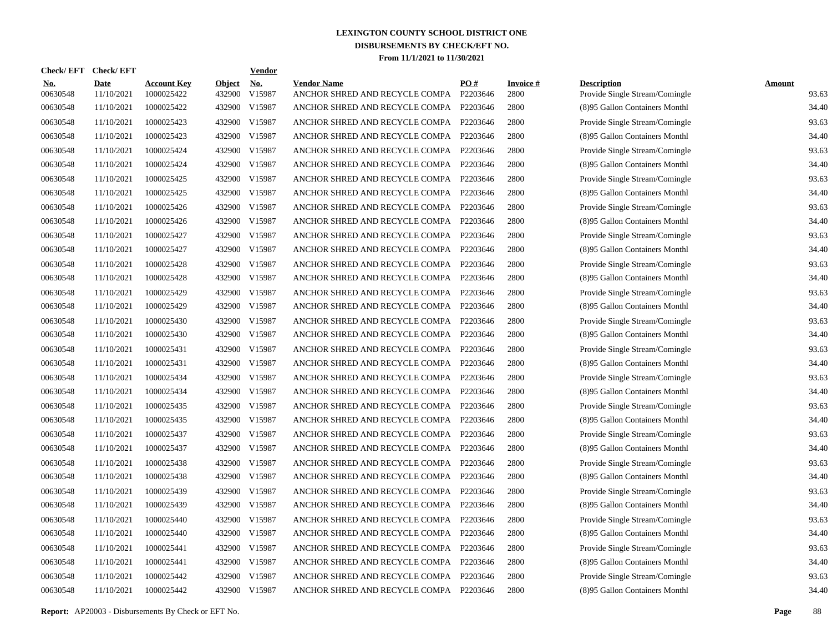| <b>Check/EFT</b>       | <b>Check/EFT</b>          |                                  |                         | <b>Vendor</b> |                                                      |                 |                         |                                                      |                        |
|------------------------|---------------------------|----------------------------------|-------------------------|---------------|------------------------------------------------------|-----------------|-------------------------|------------------------------------------------------|------------------------|
| <u>No.</u><br>00630548 | <b>Date</b><br>11/10/2021 | <b>Account Key</b><br>1000025422 | <b>Object</b><br>432900 | No.<br>V15987 | <b>Vendor Name</b><br>ANCHOR SHRED AND RECYCLE COMPA | PO#<br>P2203646 | <b>Invoice#</b><br>2800 | <b>Description</b><br>Provide Single Stream/Comingle | <b>Amount</b><br>93.63 |
| 00630548               | 11/10/2021                | 1000025422                       | 432900                  | V15987        | ANCHOR SHRED AND RECYCLE COMPA                       | P2203646        | 2800                    | (8)95 Gallon Containers Monthl                       | 34.40                  |
| 00630548               | 11/10/2021                | 1000025423                       | 432900                  | V15987        | ANCHOR SHRED AND RECYCLE COMPA                       | P2203646        | 2800                    | Provide Single Stream/Comingle                       | 93.63                  |
| 00630548               | 11/10/2021                | 1000025423                       | 432900                  | V15987        | ANCHOR SHRED AND RECYCLE COMPA                       | P2203646        | 2800                    | (8)95 Gallon Containers Monthl                       | 34.40                  |
| 00630548               | 11/10/2021                | 1000025424                       | 432900                  | V15987        | ANCHOR SHRED AND RECYCLE COMPA                       | P2203646        | 2800                    | Provide Single Stream/Comingle                       | 93.63                  |
| 00630548               | 11/10/2021                | 1000025424                       | 432900                  | V15987        | ANCHOR SHRED AND RECYCLE COMPA                       | P2203646        | 2800                    | (8)95 Gallon Containers Monthl                       | 34.40                  |
| 00630548               | 11/10/2021                | 1000025425                       | 432900                  | V15987        | ANCHOR SHRED AND RECYCLE COMPA                       | P2203646        | 2800                    | Provide Single Stream/Comingle                       | 93.63                  |
| 00630548               | 11/10/2021                | 1000025425                       | 432900                  | V15987        | ANCHOR SHRED AND RECYCLE COMPA                       | P2203646        | 2800                    | (8)95 Gallon Containers Monthl                       | 34.40                  |
| 00630548               | 11/10/2021                | 1000025426                       |                         | 432900 V15987 | ANCHOR SHRED AND RECYCLE COMPA                       | P2203646        | 2800                    | Provide Single Stream/Comingle                       | 93.63                  |
| 00630548               | 11/10/2021                | 1000025426                       | 432900                  | V15987        | ANCHOR SHRED AND RECYCLE COMPA                       | P2203646        | 2800                    | (8)95 Gallon Containers Monthl                       | 34.40                  |
| 00630548               | 11/10/2021                | 1000025427                       |                         | 432900 V15987 | ANCHOR SHRED AND RECYCLE COMPA                       | P2203646        | 2800                    | Provide Single Stream/Comingle                       | 93.63                  |
| 00630548               | 11/10/2021                | 1000025427                       | 432900                  | V15987        | ANCHOR SHRED AND RECYCLE COMPA                       | P2203646        | 2800                    | (8)95 Gallon Containers Monthl                       | 34.40                  |
| 00630548               | 11/10/2021                | 1000025428                       |                         | 432900 V15987 | ANCHOR SHRED AND RECYCLE COMPA                       | P2203646        | 2800                    | Provide Single Stream/Comingle                       | 93.63                  |
| 00630548               | 11/10/2021                | 1000025428                       | 432900                  | V15987        | ANCHOR SHRED AND RECYCLE COMPA                       | P2203646        | 2800                    | (8)95 Gallon Containers Monthl                       | 34.40                  |
| 00630548               | 11/10/2021                | 1000025429                       |                         | 432900 V15987 | ANCHOR SHRED AND RECYCLE COMPA                       | P2203646        | 2800                    | Provide Single Stream/Comingle                       | 93.63                  |
| 00630548               | 11/10/2021                | 1000025429                       | 432900                  | V15987        | ANCHOR SHRED AND RECYCLE COMPA                       | P2203646        | 2800                    | (8)95 Gallon Containers Monthl                       | 34.40                  |
| 00630548               | 11/10/2021                | 1000025430                       |                         | 432900 V15987 | ANCHOR SHRED AND RECYCLE COMPA                       | P2203646        | 2800                    | Provide Single Stream/Comingle                       | 93.63                  |
| 00630548               | 11/10/2021                | 1000025430                       |                         | 432900 V15987 | ANCHOR SHRED AND RECYCLE COMPA                       | P2203646        | 2800                    | (8)95 Gallon Containers Monthl                       | 34.40                  |
| 00630548               | 11/10/2021                | 1000025431                       |                         | 432900 V15987 | ANCHOR SHRED AND RECYCLE COMPA                       | P2203646        | 2800                    | Provide Single Stream/Comingle                       | 93.63                  |
| 00630548               | 11/10/2021                | 1000025431                       |                         | 432900 V15987 | ANCHOR SHRED AND RECYCLE COMPA                       | P2203646        | 2800                    | (8)95 Gallon Containers Monthl                       | 34.40                  |
| 00630548               | 11/10/2021                | 1000025434                       |                         | 432900 V15987 | ANCHOR SHRED AND RECYCLE COMPA                       | P2203646        | 2800                    | Provide Single Stream/Comingle                       | 93.63                  |
| 00630548               | 11/10/2021                | 1000025434                       |                         | 432900 V15987 | ANCHOR SHRED AND RECYCLE COMPA                       | P2203646        | 2800                    | (8)95 Gallon Containers Monthl                       | 34.40                  |
| 00630548               | 11/10/2021                | 1000025435                       |                         | 432900 V15987 | ANCHOR SHRED AND RECYCLE COMPA                       | P2203646        | 2800                    | Provide Single Stream/Comingle                       | 93.63                  |
| 00630548               | 11/10/2021                | 1000025435                       |                         | 432900 V15987 | ANCHOR SHRED AND RECYCLE COMPA                       | P2203646        | 2800                    | (8)95 Gallon Containers Monthl                       | 34.40                  |
| 00630548               | 11/10/2021                | 1000025437                       |                         | 432900 V15987 | ANCHOR SHRED AND RECYCLE COMPA                       | P2203646        | 2800                    | Provide Single Stream/Comingle                       | 93.63                  |
| 00630548               | 11/10/2021                | 1000025437                       |                         | 432900 V15987 | ANCHOR SHRED AND RECYCLE COMPA                       | P2203646        | 2800                    | (8)95 Gallon Containers Monthl                       | 34.40                  |
| 00630548               | 11/10/2021                | 1000025438                       |                         | 432900 V15987 | ANCHOR SHRED AND RECYCLE COMPA                       | P2203646        | 2800                    | Provide Single Stream/Comingle                       | 93.63                  |
| 00630548               | 11/10/2021                | 1000025438                       |                         | 432900 V15987 | ANCHOR SHRED AND RECYCLE COMPA                       | P2203646        | 2800                    | (8)95 Gallon Containers Monthl                       | 34.40                  |
| 00630548               | 11/10/2021                | 1000025439                       |                         | 432900 V15987 | ANCHOR SHRED AND RECYCLE COMPA                       | P2203646        | 2800                    | Provide Single Stream/Comingle                       | 93.63                  |
| 00630548               | 11/10/2021                | 1000025439                       |                         | 432900 V15987 | ANCHOR SHRED AND RECYCLE COMPA                       | P2203646        | 2800                    | (8)95 Gallon Containers Monthl                       | 34.40                  |
| 00630548               | 11/10/2021                | 1000025440                       |                         | 432900 V15987 | ANCHOR SHRED AND RECYCLE COMPA                       | P2203646        | 2800                    | Provide Single Stream/Comingle                       | 93.63                  |
| 00630548               | 11/10/2021                | 1000025440                       |                         | 432900 V15987 | ANCHOR SHRED AND RECYCLE COMPA                       | P2203646        | 2800                    | (8)95 Gallon Containers Monthl                       | 34.40                  |
| 00630548               | 11/10/2021                | 1000025441                       | 432900                  | V15987        | ANCHOR SHRED AND RECYCLE COMPA                       | P2203646        | 2800                    | Provide Single Stream/Comingle                       | 93.63                  |
| 00630548               | 11/10/2021                | 1000025441                       |                         | 432900 V15987 | ANCHOR SHRED AND RECYCLE COMPA                       | P2203646        | 2800                    | (8)95 Gallon Containers Monthl                       | 34.40                  |
| 00630548               | 11/10/2021                | 1000025442                       | 432900                  | V15987        | ANCHOR SHRED AND RECYCLE COMPA                       | P2203646        | 2800                    | Provide Single Stream/Comingle                       | 93.63                  |
| 00630548               | 11/10/2021                | 1000025442                       |                         | 432900 V15987 | ANCHOR SHRED AND RECYCLE COMPA                       | P2203646        | 2800                    | (8)95 Gallon Containers Monthl                       | 34.40                  |

**Report:** AP20003 - Disbursements By Check or EFT No. **Page** 88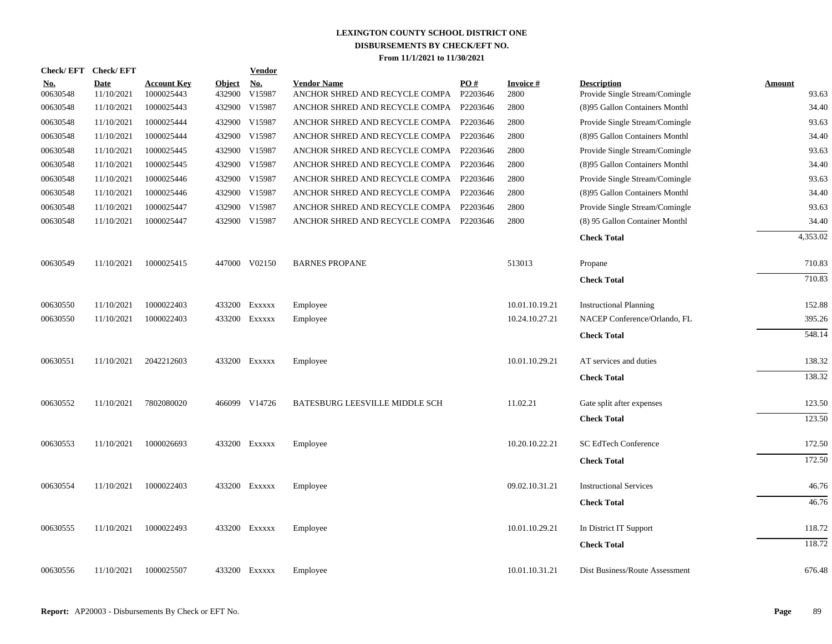| <b>Check/EFT</b>       | <b>Check/EFT</b>          |                                  |                         | <b>Vendor</b>        |                                                      |                 |                         |                                                      |                        |
|------------------------|---------------------------|----------------------------------|-------------------------|----------------------|------------------------------------------------------|-----------------|-------------------------|------------------------------------------------------|------------------------|
| <u>No.</u><br>00630548 | <b>Date</b><br>11/10/2021 | <b>Account Key</b><br>1000025443 | <b>Object</b><br>432900 | <u>No.</u><br>V15987 | <b>Vendor Name</b><br>ANCHOR SHRED AND RECYCLE COMPA | PO#<br>P2203646 | <b>Invoice#</b><br>2800 | <b>Description</b><br>Provide Single Stream/Comingle | <b>Amount</b><br>93.63 |
| 00630548               | 11/10/2021                | 1000025443                       | 432900                  | V15987               | ANCHOR SHRED AND RECYCLE COMPA                       | P2203646        | 2800                    | (8)95 Gallon Containers Monthl                       | 34.40                  |
| 00630548               | 11/10/2021                | 1000025444                       | 432900                  | V15987               | ANCHOR SHRED AND RECYCLE COMPA P2203646              |                 | 2800                    | Provide Single Stream/Comingle                       | 93.63                  |
| 00630548               | 11/10/2021                | 1000025444                       | 432900                  | V15987               | ANCHOR SHRED AND RECYCLE COMPA P2203646              |                 | 2800                    | (8)95 Gallon Containers Monthl                       | 34.40                  |
| 00630548               | 11/10/2021                | 1000025445                       | 432900                  | V15987               | ANCHOR SHRED AND RECYCLE COMPA P2203646              |                 | 2800                    | Provide Single Stream/Comingle                       | 93.63                  |
| 00630548               | 11/10/2021                | 1000025445                       | 432900                  | V15987               | ANCHOR SHRED AND RECYCLE COMPA                       | P2203646        | 2800                    | (8)95 Gallon Containers Monthl                       | 34.40                  |
| 00630548               | 11/10/2021                | 1000025446                       |                         | 432900 V15987        | ANCHOR SHRED AND RECYCLE COMPA P2203646              |                 | 2800                    | Provide Single Stream/Comingle                       | 93.63                  |
| 00630548               | 11/10/2021                | 1000025446                       |                         | 432900 V15987        | ANCHOR SHRED AND RECYCLE COMPA P2203646              |                 | 2800                    | (8)95 Gallon Containers Monthl                       | 34.40                  |
| 00630548               | 11/10/2021                | 1000025447                       | 432900                  | V15987               | ANCHOR SHRED AND RECYCLE COMPA P2203646              |                 | 2800                    | Provide Single Stream/Comingle                       | 93.63                  |
| 00630548               | 11/10/2021                | 1000025447                       |                         | 432900 V15987        | ANCHOR SHRED AND RECYCLE COMPA P2203646              |                 | 2800                    | (8) 95 Gallon Container Monthl                       | 34.40                  |
|                        |                           |                                  |                         |                      |                                                      |                 |                         | <b>Check Total</b>                                   | 4,353.02               |
| 00630549               | 11/10/2021                | 1000025415                       |                         | 447000 V02150        | <b>BARNES PROPANE</b>                                |                 | 513013                  | Propane                                              | 710.83                 |
|                        |                           |                                  |                         |                      |                                                      |                 |                         | <b>Check Total</b>                                   | 710.83                 |
| 00630550               | 11/10/2021                | 1000022403                       | 433200                  | EXXXXX               | Employee                                             |                 | 10.01.10.19.21          | <b>Instructional Planning</b>                        | 152.88                 |
| 00630550               | 11/10/2021                | 1000022403                       | 433200                  | EXXXXX               | Employee                                             |                 | 10.24.10.27.21          | NACEP Conference/Orlando, FL                         | 395.26                 |
|                        |                           |                                  |                         |                      |                                                      |                 |                         | <b>Check Total</b>                                   | 548.14                 |
| 00630551               | 11/10/2021                | 2042212603                       | 433200                  | EXXXXX               | Employee                                             |                 | 10.01.10.29.21          | AT services and duties                               | 138.32                 |
|                        |                           |                                  |                         |                      |                                                      |                 |                         | <b>Check Total</b>                                   | 138.32                 |
| 00630552               | 11/10/2021                | 7802080020                       | 466099                  | V14726               | BATESBURG LEESVILLE MIDDLE SCH                       |                 | 11.02.21                | Gate split after expenses                            | 123.50                 |
|                        |                           |                                  |                         |                      |                                                      |                 |                         | <b>Check Total</b>                                   | 123.50                 |
| 00630553               | 11/10/2021                | 1000026693                       | 433200                  | EXXXXX               | Employee                                             |                 | 10.20.10.22.21          | <b>SC EdTech Conference</b>                          | 172.50                 |
|                        |                           |                                  |                         |                      |                                                      |                 |                         | <b>Check Total</b>                                   | 172.50                 |
| 00630554               | 11/10/2021                | 1000022403                       |                         | 433200 Exxxxx        | Employee                                             |                 | 09.02.10.31.21          | <b>Instructional Services</b>                        | 46.76                  |
|                        |                           |                                  |                         |                      |                                                      |                 |                         | <b>Check Total</b>                                   | 46.76                  |
| 00630555               | 11/10/2021                | 1000022493                       |                         | 433200 Exxxxx        | Employee                                             |                 | 10.01.10.29.21          | In District IT Support                               | 118.72                 |
|                        |                           |                                  |                         |                      |                                                      |                 |                         | <b>Check Total</b>                                   | 118.72                 |
| 00630556               | 11/10/2021                | 1000025507                       |                         | 433200 Exxxxx        | Employee                                             |                 | 10.01.10.31.21          | Dist Business/Route Assessment                       | 676.48                 |
|                        |                           |                                  |                         |                      |                                                      |                 |                         |                                                      |                        |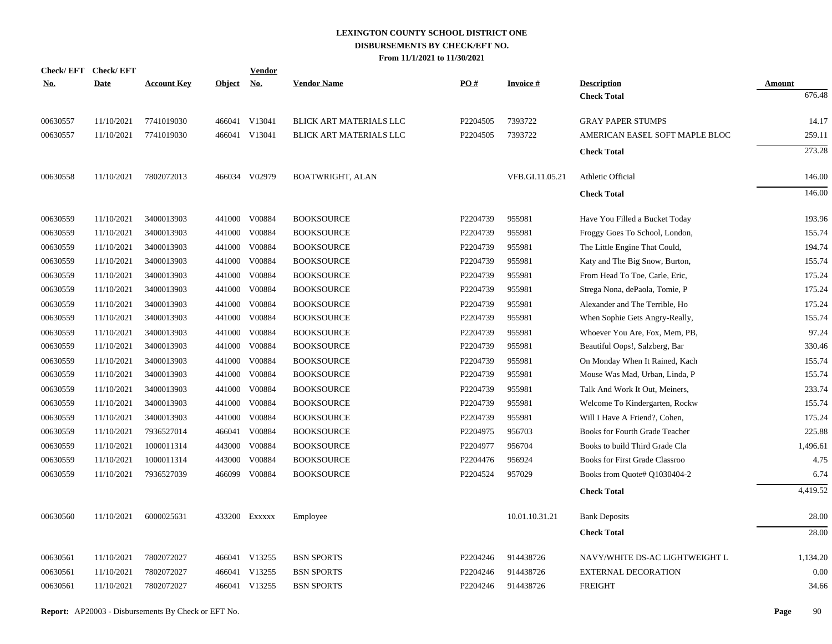| <b>Check/EFT</b> | <b>Check/EFT</b> |                    |               | <b>Vendor</b>             |                         |          |                 |                                       |               |
|------------------|------------------|--------------------|---------------|---------------------------|-------------------------|----------|-----------------|---------------------------------------|---------------|
| <u>No.</u>       | <b>Date</b>      | <b>Account Key</b> | <b>Object</b> | $\underline{\mathrm{No}}$ | <b>Vendor Name</b>      | PO#      | <b>Invoice#</b> | <b>Description</b>                    | <b>Amount</b> |
|                  |                  |                    |               |                           |                         |          |                 | <b>Check Total</b>                    | 676.48        |
| 00630557         | 11/10/2021       | 7741019030         |               | 466041 V13041             | BLICK ART MATERIALS LLC | P2204505 | 7393722         | <b>GRAY PAPER STUMPS</b>              | 14.17         |
| 00630557         | 11/10/2021       | 7741019030         |               | 466041 V13041             | BLICK ART MATERIALS LLC | P2204505 | 7393722         | AMERICAN EASEL SOFT MAPLE BLOC        | 259.11        |
|                  |                  |                    |               |                           |                         |          |                 | <b>Check Total</b>                    | 273.28        |
| 00630558         | 11/10/2021       | 7802072013         |               | 466034 V02979             | BOATWRIGHT, ALAN        |          | VFB.GI.11.05.21 | Athletic Official                     | 146.00        |
|                  |                  |                    |               |                           |                         |          |                 | <b>Check Total</b>                    | 146.00        |
| 00630559         | 11/10/2021       | 3400013903         |               | 441000 V00884             | <b>BOOKSOURCE</b>       | P2204739 | 955981          | Have You Filled a Bucket Today        | 193.96        |
| 00630559         | 11/10/2021       | 3400013903         |               | 441000 V00884             | <b>BOOKSOURCE</b>       | P2204739 | 955981          | Froggy Goes To School, London,        | 155.74        |
| 00630559         | 11/10/2021       | 3400013903         |               | 441000 V00884             | <b>BOOKSOURCE</b>       | P2204739 | 955981          | The Little Engine That Could,         | 194.74        |
| 00630559         | 11/10/2021       | 3400013903         |               | 441000 V00884             | <b>BOOKSOURCE</b>       | P2204739 | 955981          | Katy and The Big Snow, Burton,        | 155.74        |
| 00630559         | 11/10/2021       | 3400013903         | 441000        | V00884                    | <b>BOOKSOURCE</b>       | P2204739 | 955981          | From Head To Toe, Carle, Eric,        | 175.24        |
| 00630559         | 11/10/2021       | 3400013903         |               | 441000 V00884             | <b>BOOKSOURCE</b>       | P2204739 | 955981          | Strega Nona, dePaola, Tomie, P        | 175.24        |
| 00630559         | 11/10/2021       | 3400013903         | 441000        | V00884                    | <b>BOOKSOURCE</b>       | P2204739 | 955981          | Alexander and The Terrible, Ho        | 175.24        |
| 00630559         | 11/10/2021       | 3400013903         |               | 441000 V00884             | <b>BOOKSOURCE</b>       | P2204739 | 955981          | When Sophie Gets Angry-Really,        | 155.74        |
| 00630559         | 11/10/2021       | 3400013903         | 441000        | V00884                    | <b>BOOKSOURCE</b>       | P2204739 | 955981          | Whoever You Are, Fox, Mem, PB,        | 97.24         |
| 00630559         | 11/10/2021       | 3400013903         |               | 441000 V00884             | <b>BOOKSOURCE</b>       | P2204739 | 955981          | Beautiful Oops!, Salzberg, Bar        | 330.46        |
| 00630559         | 11/10/2021       | 3400013903         | 441000        | V00884                    | <b>BOOKSOURCE</b>       | P2204739 | 955981          | On Monday When It Rained, Kach        | 155.74        |
| 00630559         | 11/10/2021       | 3400013903         |               | 441000 V00884             | <b>BOOKSOURCE</b>       | P2204739 | 955981          | Mouse Was Mad, Urban, Linda, P        | 155.74        |
| 00630559         | 11/10/2021       | 3400013903         | 441000        | V00884                    | <b>BOOKSOURCE</b>       | P2204739 | 955981          | Talk And Work It Out, Meiners,        | 233.74        |
| 00630559         | 11/10/2021       | 3400013903         |               | 441000 V00884             | <b>BOOKSOURCE</b>       | P2204739 | 955981          | Welcome To Kindergarten, Rockw        | 155.74        |
| 00630559         | 11/10/2021       | 3400013903         | 441000        | V00884                    | <b>BOOKSOURCE</b>       | P2204739 | 955981          | Will I Have A Friend?, Cohen,         | 175.24        |
| 00630559         | 11/10/2021       | 7936527014         |               | 466041 V00884             | <b>BOOKSOURCE</b>       | P2204975 | 956703          | Books for Fourth Grade Teacher        | 225.88        |
| 00630559         | 11/10/2021       | 1000011314         | 443000        | V00884                    | <b>BOOKSOURCE</b>       | P2204977 | 956704          | Books to build Third Grade Cla        | 1,496.61      |
| 00630559         | 11/10/2021       | 1000011314         |               | 443000 V00884             | <b>BOOKSOURCE</b>       | P2204476 | 956924          | <b>Books for First Grade Classroo</b> | 4.75          |
| 00630559         | 11/10/2021       | 7936527039         |               | 466099 V00884             | <b>BOOKSOURCE</b>       | P2204524 | 957029          | Books from Quote# Q1030404-2          | 6.74          |
|                  |                  |                    |               |                           |                         |          |                 | <b>Check Total</b>                    | 4,419.52      |
| 00630560         | 11/10/2021       | 6000025631         |               | 433200 EXXXXX             | Employee                |          | 10.01.10.31.21  | <b>Bank Deposits</b>                  | 28.00         |
|                  |                  |                    |               |                           |                         |          |                 | <b>Check Total</b>                    | 28.00         |
| 00630561         | 11/10/2021       | 7802072027         |               | 466041 V13255             | <b>BSN SPORTS</b>       | P2204246 | 914438726       | NAVY/WHITE DS-AC LIGHTWEIGHT L        | 1,134.20      |
| 00630561         | 11/10/2021       | 7802072027         |               | 466041 V13255             | <b>BSN SPORTS</b>       | P2204246 | 914438726       | <b>EXTERNAL DECORATION</b>            | 0.00          |
| 00630561         | 11/10/2021       | 7802072027         |               | 466041 V13255             | <b>BSN SPORTS</b>       | P2204246 | 914438726       | <b>FREIGHT</b>                        | 34.66         |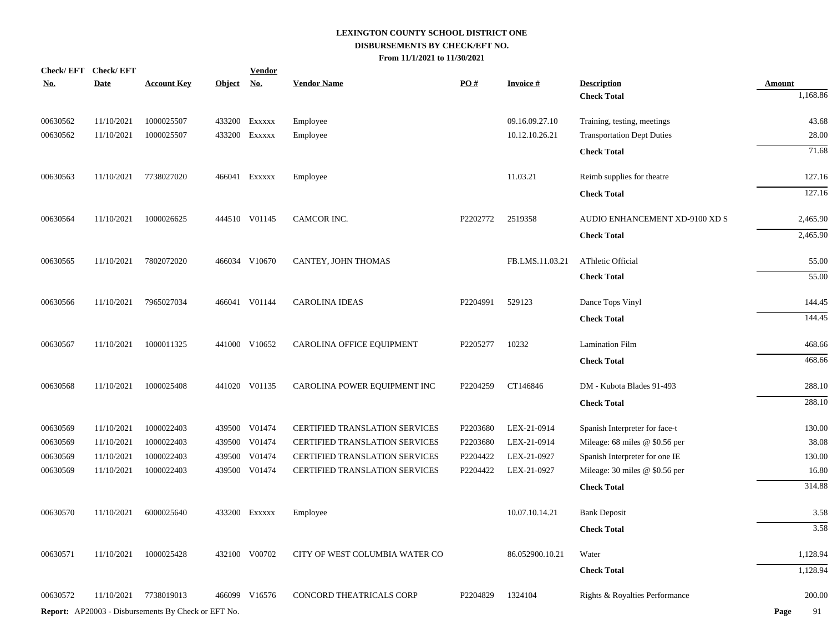|            | Check/EFT Check/EFT |                                                            |            | <b>Vendor</b> |                                |          |                 |                                          |                           |
|------------|---------------------|------------------------------------------------------------|------------|---------------|--------------------------------|----------|-----------------|------------------------------------------|---------------------------|
| <u>No.</u> | <b>Date</b>         | <b>Account Key</b>                                         | Object No. |               | <b>Vendor Name</b>             | PO#      | <b>Invoice#</b> | <b>Description</b><br><b>Check Total</b> | <b>Amount</b><br>1,168.86 |
|            |                     |                                                            |            |               |                                |          |                 |                                          |                           |
| 00630562   | 11/10/2021          | 1000025507                                                 |            | 433200 Exxxxx | Employee                       |          | 09.16.09.27.10  | Training, testing, meetings              | 43.68                     |
| 00630562   | 11/10/2021          | 1000025507                                                 |            | 433200 Exxxxx | Employee                       |          | 10.12.10.26.21  | <b>Transportation Dept Duties</b>        | 28.00                     |
|            |                     |                                                            |            |               |                                |          |                 | <b>Check Total</b>                       | 71.68                     |
| 00630563   | 11/10/2021          | 7738027020                                                 |            | 466041 Exxxxx | Employee                       |          | 11.03.21        | Reimb supplies for theatre               | 127.16                    |
|            |                     |                                                            |            |               |                                |          |                 | <b>Check Total</b>                       | 127.16                    |
| 00630564   | 11/10/2021          | 1000026625                                                 |            | 444510 V01145 | CAMCOR INC.                    | P2202772 | 2519358         | AUDIO ENHANCEMENT XD-9100 XD S           | 2,465.90                  |
|            |                     |                                                            |            |               |                                |          |                 | <b>Check Total</b>                       | 2,465.90                  |
| 00630565   | 11/10/2021          | 7802072020                                                 |            | 466034 V10670 | CANTEY, JOHN THOMAS            |          | FB.LMS.11.03.21 | AThletic Official                        | 55.00                     |
|            |                     |                                                            |            |               |                                |          |                 | <b>Check Total</b>                       | 55.00                     |
| 00630566   | 11/10/2021          | 7965027034                                                 |            | 466041 V01144 | <b>CAROLINA IDEAS</b>          | P2204991 | 529123          | Dance Tops Vinyl                         | 144.45                    |
|            |                     |                                                            |            |               |                                |          |                 | <b>Check Total</b>                       | 144.45                    |
| 00630567   | 11/10/2021          | 1000011325                                                 |            | 441000 V10652 | CAROLINA OFFICE EQUIPMENT      | P2205277 | 10232           | <b>Lamination Film</b>                   | 468.66                    |
|            |                     |                                                            |            |               |                                |          |                 | <b>Check Total</b>                       | 468.66                    |
| 00630568   | 11/10/2021          | 1000025408                                                 |            | 441020 V01135 | CAROLINA POWER EQUIPMENT INC   | P2204259 | CT146846        | DM - Kubota Blades 91-493                | 288.10                    |
|            |                     |                                                            |            |               |                                |          |                 | <b>Check Total</b>                       | 288.10                    |
| 00630569   | 11/10/2021          | 1000022403                                                 |            | 439500 V01474 | CERTIFIED TRANSLATION SERVICES | P2203680 | LEX-21-0914     | Spanish Interpreter for face-t           | 130.00                    |
| 00630569   | 11/10/2021          | 1000022403                                                 |            | 439500 V01474 | CERTIFIED TRANSLATION SERVICES | P2203680 | LEX-21-0914     | Mileage: 68 miles @ \$0.56 per           | 38.08                     |
| 00630569   | 11/10/2021          | 1000022403                                                 | 439500     | V01474        | CERTIFIED TRANSLATION SERVICES | P2204422 | LEX-21-0927     | Spanish Interpreter for one IE           | 130.00                    |
| 00630569   | 11/10/2021          | 1000022403                                                 |            | 439500 V01474 | CERTIFIED TRANSLATION SERVICES | P2204422 | LEX-21-0927     | Mileage: 30 miles @ \$0.56 per           | 16.80                     |
|            |                     |                                                            |            |               |                                |          |                 | <b>Check Total</b>                       | 314.88                    |
| 00630570   | 11/10/2021          | 6000025640                                                 |            | 433200 Exxxxx | Employee                       |          | 10.07.10.14.21  | <b>Bank Deposit</b>                      | 3.58                      |
|            |                     |                                                            |            |               |                                |          |                 | <b>Check Total</b>                       | 3.58                      |
| 00630571   | 11/10/2021          | 1000025428                                                 |            | 432100 V00702 | CITY OF WEST COLUMBIA WATER CO |          | 86.052900.10.21 | Water                                    | 1,128.94                  |
|            |                     |                                                            |            |               |                                |          |                 | <b>Check Total</b>                       | 1,128.94                  |
| 00630572   | 11/10/2021          | 7738019013                                                 |            | 466099 V16576 | CONCORD THEATRICALS CORP       | P2204829 | 1324104         | Rights & Royalties Performance           | 200.00                    |
|            |                     | <b>Report:</b> AP20003 - Disbursements By Check or EFT No. |            |               |                                |          |                 |                                          | Page<br>91                |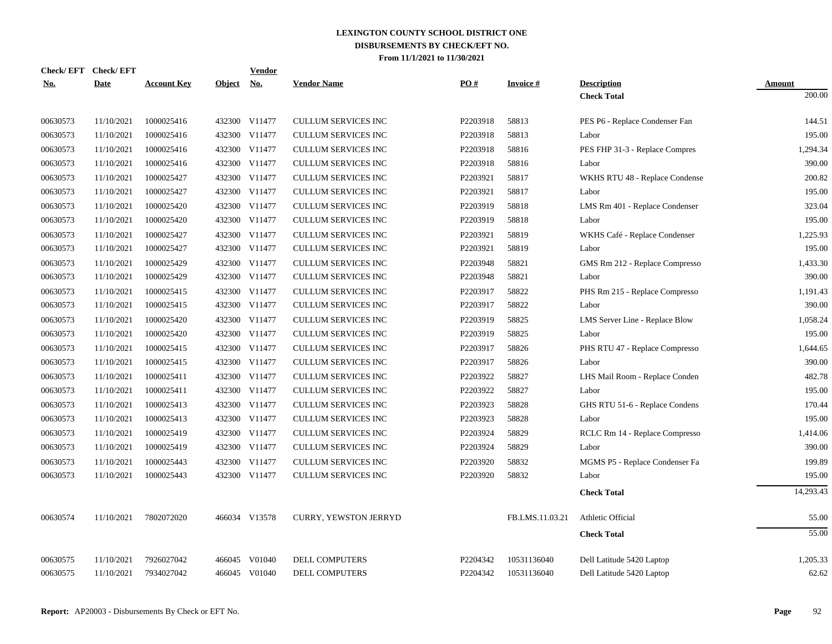|            | Check/EFT Check/EFT |                    |               | Vendor        |                              |          |                 |                                |           |
|------------|---------------------|--------------------|---------------|---------------|------------------------------|----------|-----------------|--------------------------------|-----------|
| <b>No.</b> | <b>Date</b>         | <b>Account Key</b> | <b>Object</b> | <u>No.</u>    | <b>Vendor Name</b>           | PO#      | <b>Invoice#</b> | <b>Description</b>             | Amount    |
|            |                     |                    |               |               |                              |          |                 | <b>Check Total</b>             | 200.00    |
| 00630573   | 11/10/2021          | 1000025416         |               | 432300 V11477 | <b>CULLUM SERVICES INC</b>   | P2203918 | 58813           | PES P6 - Replace Condenser Fan | 144.51    |
| 00630573   | 11/10/2021          | 1000025416         |               | 432300 V11477 | <b>CULLUM SERVICES INC</b>   | P2203918 | 58813           | Labor                          | 195.00    |
| 00630573   | 11/10/2021          | 1000025416         |               | 432300 V11477 | <b>CULLUM SERVICES INC</b>   | P2203918 | 58816           | PES FHP 31-3 - Replace Compres | 1,294.34  |
| 00630573   | 11/10/2021          | 1000025416         |               | 432300 V11477 | <b>CULLUM SERVICES INC</b>   | P2203918 | 58816           | Labor                          | 390.00    |
| 00630573   | 11/10/2021          | 1000025427         |               | 432300 V11477 | CULLUM SERVICES INC          | P2203921 | 58817           | WKHS RTU 48 - Replace Condense | 200.82    |
| 00630573   | 11/10/2021          | 1000025427         |               | 432300 V11477 | <b>CULLUM SERVICES INC</b>   | P2203921 | 58817           | Labor                          | 195.00    |
| 00630573   | 11/10/2021          | 1000025420         |               | 432300 V11477 | <b>CULLUM SERVICES INC</b>   | P2203919 | 58818           | LMS Rm 401 - Replace Condenser | 323.04    |
| 00630573   | 11/10/2021          | 1000025420         |               | 432300 V11477 | <b>CULLUM SERVICES INC</b>   | P2203919 | 58818           | Labor                          | 195.00    |
| 00630573   | 11/10/2021          | 1000025427         |               | 432300 V11477 | <b>CULLUM SERVICES INC</b>   | P2203921 | 58819           | WKHS Café - Replace Condenser  | 1,225.93  |
| 00630573   | 11/10/2021          | 1000025427         |               | 432300 V11477 | <b>CULLUM SERVICES INC</b>   | P2203921 | 58819           | Labor                          | 195.00    |
| 00630573   | 11/10/2021          | 1000025429         |               | 432300 V11477 | <b>CULLUM SERVICES INC</b>   | P2203948 | 58821           | GMS Rm 212 - Replace Compresso | 1,433.30  |
| 00630573   | 11/10/2021          | 1000025429         | 432300        | V11477        | <b>CULLUM SERVICES INC</b>   | P2203948 | 58821           | Labor                          | 390.00    |
| 00630573   | 11/10/2021          | 1000025415         |               | 432300 V11477 | <b>CULLUM SERVICES INC</b>   | P2203917 | 58822           | PHS Rm 215 - Replace Compresso | 1,191.43  |
| 00630573   | 11/10/2021          | 1000025415         |               | 432300 V11477 | CULLUM SERVICES INC          | P2203917 | 58822           | Labor                          | 390.00    |
| 00630573   | 11/10/2021          | 1000025420         |               | 432300 V11477 | CULLUM SERVICES INC          | P2203919 | 58825           | LMS Server Line - Replace Blow | 1,058.24  |
| 00630573   | 11/10/2021          | 1000025420         |               | 432300 V11477 | <b>CULLUM SERVICES INC</b>   | P2203919 | 58825           | Labor                          | 195.00    |
| 00630573   | 11/10/2021          | 1000025415         |               | 432300 V11477 | <b>CULLUM SERVICES INC</b>   | P2203917 | 58826           | PHS RTU 47 - Replace Compresso | 1,644.65  |
| 00630573   | 11/10/2021          | 1000025415         |               | 432300 V11477 | <b>CULLUM SERVICES INC</b>   | P2203917 | 58826           | Labor                          | 390.00    |
| 00630573   | 11/10/2021          | 1000025411         |               | 432300 V11477 | <b>CULLUM SERVICES INC</b>   | P2203922 | 58827           | LHS Mail Room - Replace Conden | 482.78    |
| 00630573   | 11/10/2021          | 1000025411         |               | 432300 V11477 | <b>CULLUM SERVICES INC</b>   | P2203922 | 58827           | Labor                          | 195.00    |
| 00630573   | 11/10/2021          | 1000025413         |               | 432300 V11477 | <b>CULLUM SERVICES INC</b>   | P2203923 | 58828           | GHS RTU 51-6 - Replace Condens | 170.44    |
| 00630573   | 11/10/2021          | 1000025413         |               | 432300 V11477 | CULLUM SERVICES INC          | P2203923 | 58828           | Labor                          | 195.00    |
| 00630573   | 11/10/2021          | 1000025419         |               | 432300 V11477 | <b>CULLUM SERVICES INC</b>   | P2203924 | 58829           | RCLC Rm 14 - Replace Compresso | 1,414.06  |
| 00630573   | 11/10/2021          | 1000025419         |               | 432300 V11477 | <b>CULLUM SERVICES INC</b>   | P2203924 | 58829           | Labor                          | 390.00    |
| 00630573   | 11/10/2021          | 1000025443         |               | 432300 V11477 | CULLUM SERVICES INC          | P2203920 | 58832           | MGMS P5 - Replace Condenser Fa | 199.89    |
| 00630573   | 11/10/2021          | 1000025443         |               | 432300 V11477 | <b>CULLUM SERVICES INC</b>   | P2203920 | 58832           | Labor                          | 195.00    |
|            |                     |                    |               |               |                              |          |                 | <b>Check Total</b>             | 14,293.43 |
| 00630574   | 11/10/2021          | 7802072020         |               | 466034 V13578 | <b>CURRY, YEWSTON JERRYD</b> |          | FB.LMS.11.03.21 | Athletic Official              | 55.00     |
|            |                     |                    |               |               |                              |          |                 | <b>Check Total</b>             | 55.00     |
|            |                     |                    |               |               |                              |          |                 |                                |           |
| 00630575   | 11/10/2021          | 7926027042         | 466045        | V01040        | <b>DELL COMPUTERS</b>        | P2204342 | 10531136040     | Dell Latitude 5420 Laptop      | 1,205.33  |
| 00630575   | 11/10/2021          | 7934027042         |               | 466045 V01040 | <b>DELL COMPUTERS</b>        | P2204342 | 10531136040     | Dell Latitude 5420 Laptop      | 62.62     |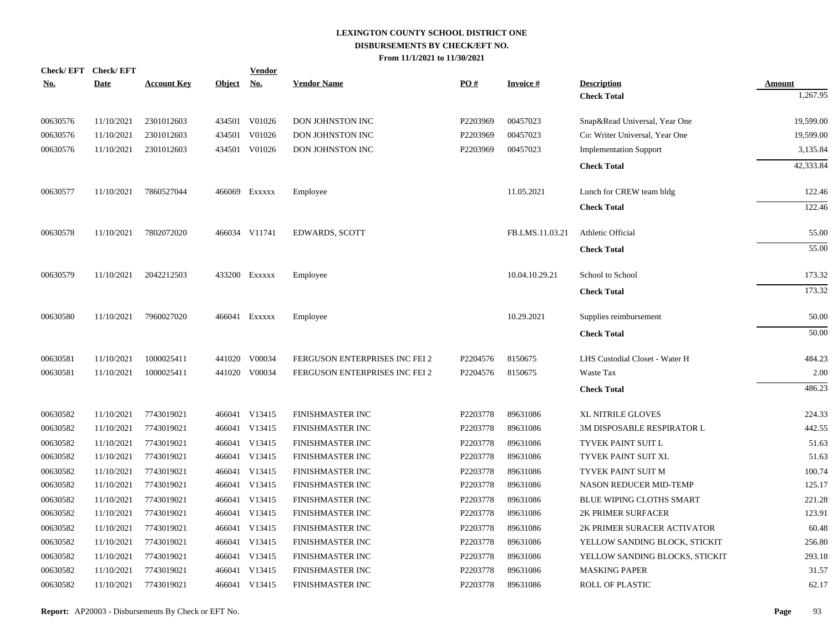| No.      | Check/EFT Check/EFT<br><b>Date</b> | <b>Account Key</b> | Object No. | <b>Vendor</b> | <b>Vendor Name</b>             | PO#      | <b>Invoice#</b> | <b>Description</b>             | <b>Amount</b> |
|----------|------------------------------------|--------------------|------------|---------------|--------------------------------|----------|-----------------|--------------------------------|---------------|
|          |                                    |                    |            |               |                                |          |                 | <b>Check Total</b>             | 1,267.95      |
| 00630576 | 11/10/2021                         | 2301012603         |            | 434501 V01026 | DON JOHNSTON INC               | P2203969 | 00457023        | Snap&Read Universal, Year One  | 19,599.00     |
| 00630576 | 11/10/2021                         | 2301012603         | 434501     | V01026        | DON JOHNSTON INC               | P2203969 | 00457023        | Co: Writer Universal, Year One | 19,599.00     |
| 00630576 | 11/10/2021                         | 2301012603         |            | 434501 V01026 | DON JOHNSTON INC               | P2203969 | 00457023        | <b>Implementation Support</b>  | 3,135.84      |
|          |                                    |                    |            |               |                                |          |                 |                                | 42,333.84     |
|          |                                    |                    |            |               |                                |          |                 | <b>Check Total</b>             |               |
| 00630577 | 11/10/2021                         | 7860527044         |            | 466069 Exxxxx | Employee                       |          | 11.05.2021      | Lunch for CREW team bldg       | 122.46        |
|          |                                    |                    |            |               |                                |          |                 | <b>Check Total</b>             | 122.46        |
| 00630578 | 11/10/2021                         | 7802072020         |            | 466034 V11741 | <b>EDWARDS, SCOTT</b>          |          | FB.LMS.11.03.21 | Athletic Official              | 55.00         |
|          |                                    |                    |            |               |                                |          |                 | <b>Check Total</b>             | 55.00         |
|          |                                    |                    |            |               |                                |          |                 |                                |               |
| 00630579 | 11/10/2021                         | 2042212503         |            | 433200 Exxxxx | Employee                       |          | 10.04.10.29.21  | School to School               | 173.32        |
|          |                                    |                    |            |               |                                |          |                 | <b>Check Total</b>             | 173.32        |
| 00630580 | 11/10/2021                         | 7960027020         |            | 466041 Exxxxx | Employee                       |          | 10.29.2021      | Supplies reimbursement         | 50.00         |
|          |                                    |                    |            |               |                                |          |                 | <b>Check Total</b>             | 50.00         |
|          |                                    |                    |            |               |                                |          |                 |                                |               |
| 00630581 | 11/10/2021                         | 1000025411         | 441020     | V00034        | FERGUSON ENTERPRISES INC FEI 2 | P2204576 | 8150675         | LHS Custodial Closet - Water H | 484.23        |
| 00630581 | 11/10/2021                         | 1000025411         |            | 441020 V00034 | FERGUSON ENTERPRISES INC FEI 2 | P2204576 | 8150675         | Waste Tax                      | 2.00          |
|          |                                    |                    |            |               |                                |          |                 | <b>Check Total</b>             | 486.23        |
| 00630582 | 11/10/2021                         | 7743019021         |            | 466041 V13415 | FINISHMASTER INC               | P2203778 | 89631086        | <b>XL NITRILE GLOVES</b>       | 224.33        |
| 00630582 | 11/10/2021                         | 7743019021         |            | 466041 V13415 | FINISHMASTER INC               | P2203778 | 89631086        | 3M DISPOSABLE RESPIRATOR L     | 442.55        |
| 00630582 | 11/10/2021                         | 7743019021         |            | 466041 V13415 | FINISHMASTER INC               | P2203778 | 89631086        | TYVEK PAINT SUIT L             | 51.63         |
| 00630582 | 11/10/2021                         | 7743019021         |            | 466041 V13415 | FINISHMASTER INC               | P2203778 | 89631086        | TYVEK PAINT SUIT XL            | 51.63         |
| 00630582 | 11/10/2021                         | 7743019021         |            | 466041 V13415 | FINISHMASTER INC               | P2203778 | 89631086        | TYVEK PAINT SUIT M             | 100.74        |
| 00630582 | 11/10/2021                         | 7743019021         |            | 466041 V13415 | FINISHMASTER INC               | P2203778 | 89631086        | NASON REDUCER MID-TEMP         | 125.17        |
| 00630582 | 11/10/2021                         | 7743019021         |            | 466041 V13415 | FINISHMASTER INC               | P2203778 | 89631086        | BLUE WIPING CLOTHS SMART       | 221.28        |
| 00630582 | 11/10/2021                         | 7743019021         |            | 466041 V13415 | FINISHMASTER INC               | P2203778 | 89631086        | 2K PRIMER SURFACER             | 123.91        |
| 00630582 | 11/10/2021                         | 7743019021         |            | 466041 V13415 | FINISHMASTER INC               | P2203778 | 89631086        | 2K PRIMER SURACER ACTIVATOR    | 60.48         |
| 00630582 | 11/10/2021                         | 7743019021         |            | 466041 V13415 | FINISHMASTER INC               | P2203778 | 89631086        | YELLOW SANDING BLOCK, STICKIT  | 256.80        |
| 00630582 | 11/10/2021                         | 7743019021         |            | 466041 V13415 | FINISHMASTER INC               | P2203778 | 89631086        | YELLOW SANDING BLOCKS, STICKIT | 293.18        |
| 00630582 | 11/10/2021                         | 7743019021         |            | 466041 V13415 | FINISHMASTER INC               | P2203778 | 89631086        | <b>MASKING PAPER</b>           | 31.57         |
| 00630582 | 11/10/2021                         | 7743019021         |            | 466041 V13415 | FINISHMASTER INC               | P2203778 | 89631086        | <b>ROLL OF PLASTIC</b>         | 62.17         |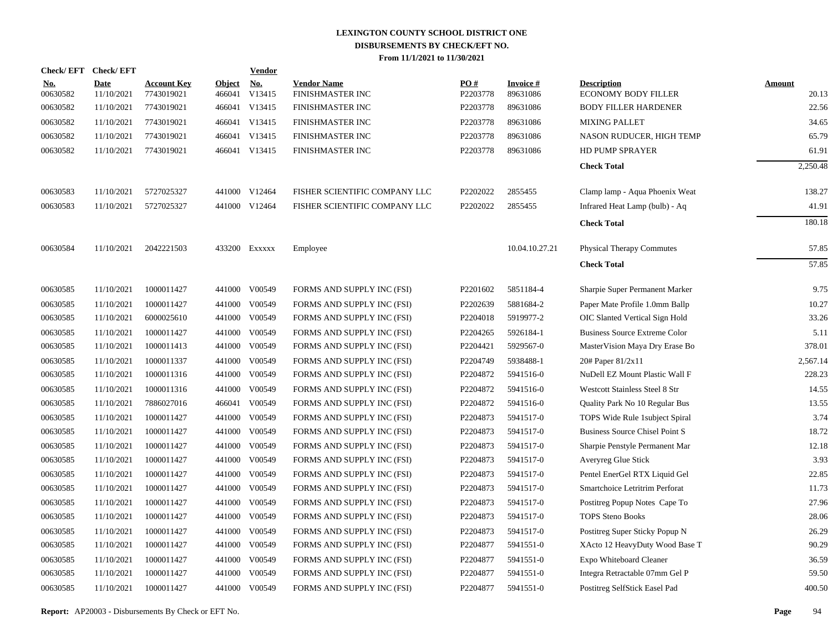| <b>Check/EFT</b>       | <b>Check/EFT</b>          |                                  |                         | <b>Vendor</b>        |                                        |                 |                             |                                                  |                        |
|------------------------|---------------------------|----------------------------------|-------------------------|----------------------|----------------------------------------|-----------------|-----------------------------|--------------------------------------------------|------------------------|
| <u>No.</u><br>00630582 | <b>Date</b><br>11/10/2021 | <b>Account Key</b><br>7743019021 | <b>Object</b><br>466041 | <u>No.</u><br>V13415 | <b>Vendor Name</b><br>FINISHMASTER INC | PQ#<br>P2203778 | <b>Invoice#</b><br>89631086 | <b>Description</b><br><b>ECONOMY BODY FILLER</b> | <b>Amount</b><br>20.13 |
| 00630582               | 11/10/2021                | 7743019021                       |                         | 466041 V13415        | FINISHMASTER INC                       | P2203778        | 89631086                    | <b>BODY FILLER HARDENER</b>                      | 22.56                  |
| 00630582               | 11/10/2021                | 7743019021                       |                         | 466041 V13415        | <b>FINISHMASTER INC</b>                | P2203778        | 89631086                    | <b>MIXING PALLET</b>                             | 34.65                  |
| 00630582               | 11/10/2021                | 7743019021                       |                         | 466041 V13415        | FINISHMASTER INC                       | P2203778        | 89631086                    | NASON RUDUCER, HIGH TEMP                         | 65.79                  |
| 00630582               | 11/10/2021                | 7743019021                       |                         | 466041 V13415        | FINISHMASTER INC                       | P2203778        | 89631086                    | <b>HD PUMP SPRAYER</b>                           | 61.91                  |
|                        |                           |                                  |                         |                      |                                        |                 |                             | <b>Check Total</b>                               | 2,250.48               |
| 00630583               | 11/10/2021                | 5727025327                       |                         | 441000 V12464        | FISHER SCIENTIFIC COMPANY LLC          | P2202022        | 2855455                     | Clamp lamp - Aqua Phoenix Weat                   | 138.27                 |
| 00630583               | 11/10/2021                | 5727025327                       |                         | 441000 V12464        | FISHER SCIENTIFIC COMPANY LLC          | P2202022        | 2855455                     | Infrared Heat Lamp (bulb) - Aq                   | 41.91                  |
|                        |                           |                                  |                         |                      |                                        |                 |                             | <b>Check Total</b>                               | 180.18                 |
| 00630584               | 11/10/2021                | 2042221503                       |                         | 433200 Exxxxx        | Employee                               |                 | 10.04.10.27.21              | <b>Physical Therapy Commutes</b>                 | 57.85                  |
|                        |                           |                                  |                         |                      |                                        |                 |                             | <b>Check Total</b>                               | 57.85                  |
| 00630585               | 11/10/2021                | 1000011427                       |                         | 441000 V00549        | FORMS AND SUPPLY INC (FSI)             | P2201602        | 5851184-4                   | Sharpie Super Permanent Marker                   | 9.75                   |
| 00630585               | 11/10/2021                | 1000011427                       |                         | 441000 V00549        | FORMS AND SUPPLY INC (FSI)             | P2202639        | 5881684-2                   | Paper Mate Profile 1.0mm Ballp                   | 10.27                  |
| 00630585               | 11/10/2021                | 6000025610                       |                         | 441000 V00549        | FORMS AND SUPPLY INC (FSI)             | P2204018        | 5919977-2                   | OIC Slanted Vertical Sign Hold                   | 33.26                  |
| 00630585               | 11/10/2021                | 1000011427                       |                         | 441000 V00549        | FORMS AND SUPPLY INC (FSI)             | P2204265        | 5926184-1                   | <b>Business Source Extreme Color</b>             | 5.11                   |
| 00630585               | 11/10/2021                | 1000011413                       |                         | 441000 V00549        | FORMS AND SUPPLY INC (FSI)             | P2204421        | 5929567-0                   | MasterVision Maya Dry Erase Bo                   | 378.01                 |
| 00630585               | 11/10/2021                | 1000011337                       |                         | 441000 V00549        | FORMS AND SUPPLY INC (FSI)             | P2204749        | 5938488-1                   | 20# Paper 81/2x11                                | 2,567.14               |
| 00630585               | 11/10/2021                | 1000011316                       |                         | 441000 V00549        | FORMS AND SUPPLY INC (FSI)             | P2204872        | 5941516-0                   | NuDell EZ Mount Plastic Wall F                   | 228.23                 |
| 00630585               | 11/10/2021                | 1000011316                       |                         | 441000 V00549        | FORMS AND SUPPLY INC (FSI)             | P2204872        | 5941516-0                   | <b>Westcott Stainless Steel 8 Str</b>            | 14.55                  |
| 00630585               | 11/10/2021                | 7886027016                       |                         | 466041 V00549        | FORMS AND SUPPLY INC (FSI)             | P2204872        | 5941516-0                   | Quality Park No 10 Regular Bus                   | 13.55                  |
| 00630585               | 11/10/2021                | 1000011427                       |                         | 441000 V00549        | FORMS AND SUPPLY INC (FSI)             | P2204873        | 5941517-0                   | TOPS Wide Rule 1subject Spiral                   | 3.74                   |
| 00630585               | 11/10/2021                | 1000011427                       |                         | 441000 V00549        | FORMS AND SUPPLY INC (FSI)             | P2204873        | 5941517-0                   | Business Source Chisel Point S                   | 18.72                  |
| 00630585               | 11/10/2021                | 1000011427                       | 441000                  | V00549               | FORMS AND SUPPLY INC (FSI)             | P2204873        | 5941517-0                   | Sharpie Penstyle Permanent Mar                   | 12.18                  |
| 00630585               | 11/10/2021                | 1000011427                       |                         | 441000 V00549        | FORMS AND SUPPLY INC (FSI)             | P2204873        | 5941517-0                   | Averyreg Glue Stick                              | 3.93                   |
| 00630585               | 11/10/2021                | 1000011427                       | 441000                  | V00549               | FORMS AND SUPPLY INC (FSI)             | P2204873        | 5941517-0                   | Pentel EnerGel RTX Liquid Gel                    | 22.85                  |
| 00630585               | 11/10/2021                | 1000011427                       |                         | 441000 V00549        | FORMS AND SUPPLY INC (FSI)             | P2204873        | 5941517-0                   | Smartchoice Letritrim Perforat                   | 11.73                  |
| 00630585               | 11/10/2021                | 1000011427                       | 441000                  | V00549               | FORMS AND SUPPLY INC (FSI)             | P2204873        | 5941517-0                   | Postitreg Popup Notes Cape To                    | 27.96                  |
| 00630585               | 11/10/2021                | 1000011427                       |                         | 441000 V00549        | FORMS AND SUPPLY INC (FSI)             | P2204873        | 5941517-0                   | <b>TOPS Steno Books</b>                          | 28.06                  |
| 00630585               | 11/10/2021                | 1000011427                       | 441000                  | V00549               | FORMS AND SUPPLY INC (FSI)             | P2204873        | 5941517-0                   | Postitreg Super Sticky Popup N                   | 26.29                  |
| 00630585               | 11/10/2021                | 1000011427                       |                         | 441000 V00549        | FORMS AND SUPPLY INC (FSI)             | P2204877        | 5941551-0                   | XActo 12 HeavyDuty Wood Base T                   | 90.29                  |
| 00630585               | 11/10/2021                | 1000011427                       | 441000                  | V00549               | FORMS AND SUPPLY INC (FSI)             | P2204877        | 5941551-0                   | Expo Whiteboard Cleaner                          | 36.59                  |
| 00630585               | 11/10/2021                | 1000011427                       |                         | 441000 V00549        | FORMS AND SUPPLY INC (FSI)             | P2204877        | 5941551-0                   | Integra Retractable 07mm Gel P                   | 59.50                  |
| 00630585               | 11/10/2021                | 1000011427                       |                         | 441000 V00549        | FORMS AND SUPPLY INC (FSI)             | P2204877        | 5941551-0                   | Postitreg SelfStick Easel Pad                    | 400.50                 |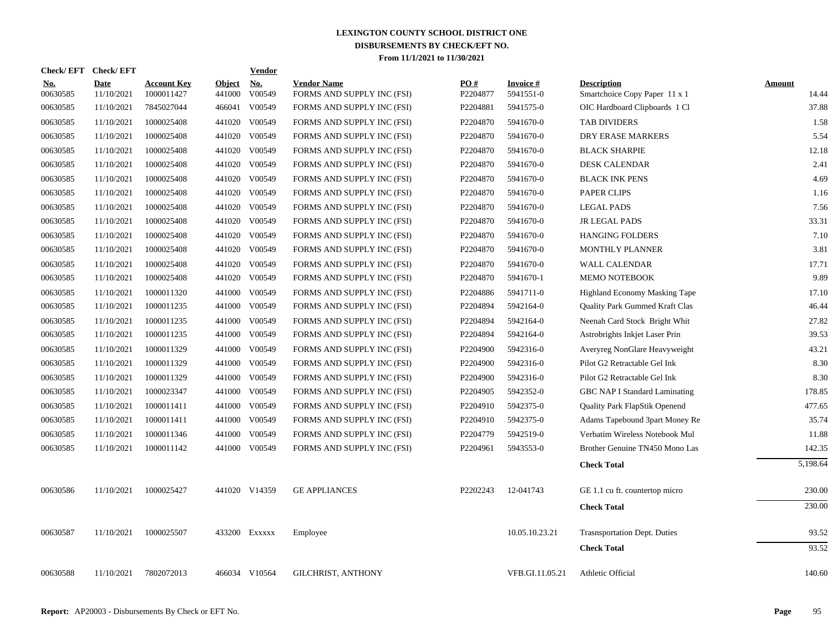| <b>Check/EFT</b>       | <b>Check/EFT</b>          |                                  |                         | <b>Vendor</b>        |                                                  |                 |                               |                                                     |                        |
|------------------------|---------------------------|----------------------------------|-------------------------|----------------------|--------------------------------------------------|-----------------|-------------------------------|-----------------------------------------------------|------------------------|
| <u>No.</u><br>00630585 | <b>Date</b><br>11/10/2021 | <b>Account Key</b><br>1000011427 | <b>Object</b><br>441000 | <u>No.</u><br>V00549 | <b>Vendor Name</b><br>FORMS AND SUPPLY INC (FSI) | PQ#<br>P2204877 | <b>Invoice #</b><br>5941551-0 | <b>Description</b><br>Smartchoice Copy Paper 11 x 1 | <b>Amount</b><br>14.44 |
| 00630585               | 11/10/2021                | 7845027044                       | 466041                  | V00549               | FORMS AND SUPPLY INC (FSI)                       | P2204881        | 5941575-0                     | OIC Hardboard Clipboards 1 Cl                       | 37.88                  |
| 00630585               | 11/10/2021                | 1000025408                       | 441020                  | V00549               | FORMS AND SUPPLY INC (FSI)                       | P2204870        | 5941670-0                     | TAB DIVIDERS                                        | 1.58                   |
| 00630585               | 11/10/2021                | 1000025408                       | 441020                  | V00549               | FORMS AND SUPPLY INC (FSI)                       | P2204870        | 5941670-0                     | DRY ERASE MARKERS                                   | 5.54                   |
| 00630585               | 11/10/2021                | 1000025408                       | 441020                  | V00549               | FORMS AND SUPPLY INC (FSI)                       | P2204870        | 5941670-0                     | <b>BLACK SHARPIE</b>                                | 12.18                  |
| 00630585               | 11/10/2021                | 1000025408                       | 441020                  | V00549               | FORMS AND SUPPLY INC (FSI)                       | P2204870        | 5941670-0                     | <b>DESK CALENDAR</b>                                | 2.41                   |
| 00630585               | 11/10/2021                | 1000025408                       | 441020                  | V00549               | FORMS AND SUPPLY INC (FSI)                       | P2204870        | 5941670-0                     | <b>BLACK INK PENS</b>                               | 4.69                   |
| 00630585               | 11/10/2021                | 1000025408                       | 441020                  | V00549               | FORMS AND SUPPLY INC (FSI)                       | P2204870        | 5941670-0                     | PAPER CLIPS                                         | 1.16                   |
| 00630585               | 11/10/2021                | 1000025408                       | 441020                  | V00549               | FORMS AND SUPPLY INC (FSI)                       | P2204870        | 5941670-0                     | <b>LEGAL PADS</b>                                   | 7.56                   |
| 00630585               | 11/10/2021                | 1000025408                       | 441020                  | V00549               | FORMS AND SUPPLY INC (FSI)                       | P2204870        | 5941670-0                     | <b>JR LEGAL PADS</b>                                | 33.31                  |
| 00630585               | 11/10/2021                | 1000025408                       |                         | 441020 V00549        | FORMS AND SUPPLY INC (FSI)                       | P2204870        | 5941670-0                     | <b>HANGING FOLDERS</b>                              | 7.10                   |
| 00630585               | 11/10/2021                | 1000025408                       |                         | 441020 V00549        | FORMS AND SUPPLY INC (FSI)                       | P2204870        | 5941670-0                     | MONTHLY PLANNER                                     | 3.81                   |
| 00630585               | 11/10/2021                | 1000025408                       | 441020                  | V00549               | FORMS AND SUPPLY INC (FSI)                       | P2204870        | 5941670-0                     | <b>WALL CALENDAR</b>                                | 17.71                  |
| 00630585               | 11/10/2021                | 1000025408                       | 441020                  | V00549               | FORMS AND SUPPLY INC (FSI)                       | P2204870        | 5941670-1                     | MEMO NOTEBOOK                                       | 9.89                   |
| 00630585               | 11/10/2021                | 1000011320                       | 441000                  | V00549               | FORMS AND SUPPLY INC (FSI)                       | P2204886        | 5941711-0                     | <b>Highland Economy Masking Tape</b>                | 17.10                  |
| 00630585               | 11/10/2021                | 1000011235                       | 441000                  | V00549               | FORMS AND SUPPLY INC (FSI)                       | P2204894        | 5942164-0                     | Quality Park Gummed Kraft Clas                      | 46.44                  |
| 00630585               | 11/10/2021                | 1000011235                       | 441000                  | V00549               | FORMS AND SUPPLY INC (FSI)                       | P2204894        | 5942164-0                     | Neenah Card Stock Bright Whit                       | 27.82                  |
| 00630585               | 11/10/2021                | 1000011235                       | 441000                  | V00549               | FORMS AND SUPPLY INC (FSI)                       | P2204894        | 5942164-0                     | Astrobrights Inkjet Laser Prin                      | 39.53                  |
| 00630585               | 11/10/2021                | 1000011329                       | 441000                  | V00549               | FORMS AND SUPPLY INC (FSI)                       | P2204900        | 5942316-0                     | Averyreg NonGlare Heavyweight                       | 43.21                  |
| 00630585               | 11/10/2021                | 1000011329                       | 441000                  | V00549               | FORMS AND SUPPLY INC (FSI)                       | P2204900        | 5942316-0                     | Pilot G2 Retractable Gel Ink                        | 8.30                   |
| 00630585               | 11/10/2021                | 1000011329                       | 441000                  | V00549               | FORMS AND SUPPLY INC (FSI)                       | P2204900        | 5942316-0                     | Pilot G2 Retractable Gel Ink                        | 8.30                   |
| 00630585               | 11/10/2021                | 1000023347                       | 441000                  | V00549               | FORMS AND SUPPLY INC (FSI)                       | P2204905        | 5942352-0                     | GBC NAP I Standard Laminating                       | 178.85                 |
| 00630585               | 11/10/2021                | 1000011411                       |                         | 441000 V00549        | FORMS AND SUPPLY INC (FSI)                       | P2204910        | 5942375-0                     | Quality Park FlapStik Openend                       | 477.65                 |
| 00630585               | 11/10/2021                | 1000011411                       |                         | 441000 V00549        | FORMS AND SUPPLY INC (FSI)                       | P2204910        | 5942375-0                     | Adams Tapebound 3part Money Re                      | 35.74                  |
| 00630585               | 11/10/2021                | 1000011346                       | 441000                  | V00549               | FORMS AND SUPPLY INC (FSI)                       | P2204779        | 5942519-0                     | Verbatim Wireless Notebook Mul                      | 11.88                  |
| 00630585               | 11/10/2021                | 1000011142                       |                         | 441000 V00549        | FORMS AND SUPPLY INC (FSI)                       | P2204961        | 5943553-0                     | Brother Genuine TN450 Mono Las                      | 142.35                 |
|                        |                           |                                  |                         |                      |                                                  |                 |                               | <b>Check Total</b>                                  | 5,198.64               |
| 00630586               | 11/10/2021                | 1000025427                       |                         | 441020 V14359        | <b>GE APPLIANCES</b>                             | P2202243        | 12-041743                     | GE 1.1 cu ft. countertop micro                      | 230.00                 |
|                        |                           |                                  |                         |                      |                                                  |                 |                               | <b>Check Total</b>                                  | 230.00                 |
| 00630587               | 11/10/2021                | 1000025507                       |                         | 433200 Exxxxx        | Employee                                         |                 | 10.05.10.23.21                | <b>Trasnsportation Dept. Duties</b>                 | 93.52                  |
|                        |                           |                                  |                         |                      |                                                  |                 |                               | <b>Check Total</b>                                  | 93.52                  |
| 00630588               | 11/10/2021                | 7802072013                       |                         | 466034 V10564        | <b>GILCHRIST, ANTHONY</b>                        |                 | VFB.GI.11.05.21               | Athletic Official                                   | 140.60                 |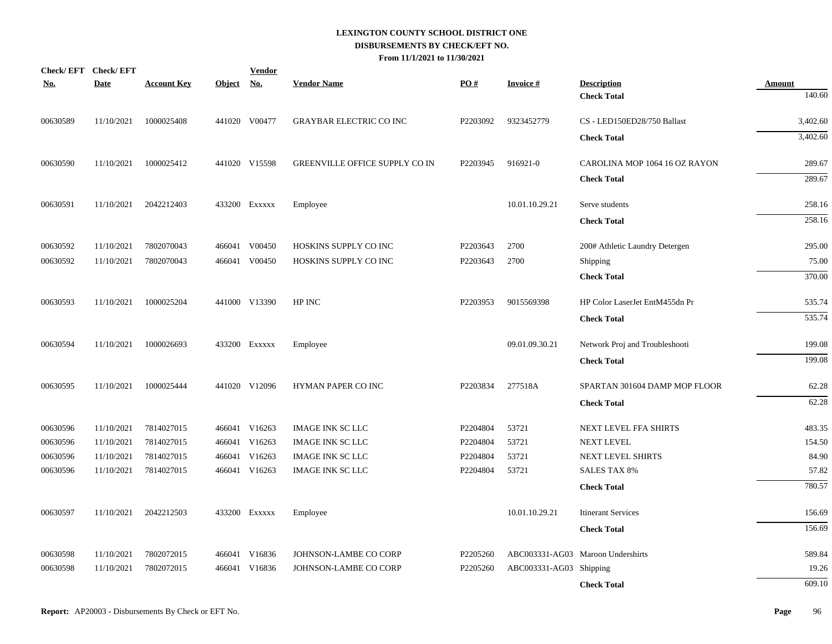| No.      | Check/EFT Check/EFT<br>Date | <b>Account Key</b> | Object No. | <b>Vendor</b> | <b>Vendor Name</b>             | PO#      | <b>Invoice#</b>         | <b>Description</b>                | <b>Amount</b> |
|----------|-----------------------------|--------------------|------------|---------------|--------------------------------|----------|-------------------------|-----------------------------------|---------------|
|          |                             |                    |            |               |                                |          |                         | <b>Check Total</b>                | 140.60        |
| 00630589 | 11/10/2021                  | 1000025408         |            | 441020 V00477 | <b>GRAYBAR ELECTRIC CO INC</b> | P2203092 | 9323452779              | CS - LED150ED28/750 Ballast       | 3,402.60      |
|          |                             |                    |            |               |                                |          |                         | <b>Check Total</b>                | 3,402.60      |
| 00630590 | 11/10/2021                  | 1000025412         |            | 441020 V15598 | GREENVILLE OFFICE SUPPLY CO IN | P2203945 | 916921-0                | CAROLINA MOP 1064 16 OZ RAYON     | 289.67        |
|          |                             |                    |            |               |                                |          |                         | <b>Check Total</b>                | 289.67        |
| 00630591 | 11/10/2021                  | 2042212403         |            | 433200 Exxxxx | Employee                       |          | 10.01.10.29.21          | Serve students                    | 258.16        |
|          |                             |                    |            |               |                                |          |                         | <b>Check Total</b>                | 258.16        |
| 00630592 | 11/10/2021                  | 7802070043         |            | 466041 V00450 | HOSKINS SUPPLY CO INC          | P2203643 | 2700                    | 200# Athletic Laundry Detergen    | 295.00        |
| 00630592 | 11/10/2021                  | 7802070043         |            | 466041 V00450 | HOSKINS SUPPLY CO INC          | P2203643 | 2700                    | Shipping                          | 75.00         |
|          |                             |                    |            |               |                                |          |                         | <b>Check Total</b>                | 370.00        |
| 00630593 | 11/10/2021                  | 1000025204         |            | 441000 V13390 | HP INC                         | P2203953 | 9015569398              | HP Color LaserJet EntM455dn Pr    | 535.74        |
|          |                             |                    |            |               |                                |          |                         | <b>Check Total</b>                | 535.74        |
| 00630594 | 11/10/2021                  | 1000026693         |            | 433200 EXXXXX | Employee                       |          | 09.01.09.30.21          | Network Proj and Troubleshooti    | 199.08        |
|          |                             |                    |            |               |                                |          |                         | <b>Check Total</b>                | 199.08        |
| 00630595 | 11/10/2021                  | 1000025444         |            | 441020 V12096 | HYMAN PAPER CO INC             | P2203834 | 277518A                 | SPARTAN 301604 DAMP MOP FLOOR     | 62.28         |
|          |                             |                    |            |               |                                |          |                         | <b>Check Total</b>                | 62.28         |
| 00630596 | 11/10/2021                  | 7814027015         |            | 466041 V16263 | <b>IMAGE INK SC LLC</b>        | P2204804 | 53721                   | NEXT LEVEL FFA SHIRTS             | 483.35        |
| 00630596 | 11/10/2021                  | 7814027015         |            | 466041 V16263 | <b>IMAGE INK SC LLC</b>        | P2204804 | 53721                   | <b>NEXT LEVEL</b>                 | 154.50        |
| 00630596 | 11/10/2021                  | 7814027015         |            | 466041 V16263 | <b>IMAGE INK SC LLC</b>        | P2204804 | 53721                   | NEXT LEVEL SHIRTS                 | 84.90         |
| 00630596 | 11/10/2021                  | 7814027015         |            | 466041 V16263 | <b>IMAGE INK SC LLC</b>        | P2204804 | 53721                   | <b>SALES TAX 8%</b>               | 57.82         |
|          |                             |                    |            |               |                                |          |                         | <b>Check Total</b>                | 780.57        |
| 00630597 | 11/10/2021                  | 2042212503         |            | 433200 EXXXXX | Employee                       |          | 10.01.10.29.21          | <b>Itinerant Services</b>         | 156.69        |
|          |                             |                    |            |               |                                |          |                         | <b>Check Total</b>                | 156.69        |
| 00630598 | 11/10/2021                  | 7802072015         |            | 466041 V16836 | JOHNSON-LAMBE CO CORP          | P2205260 |                         | ABC003331-AG03 Maroon Undershirts | 589.84        |
| 00630598 | 11/10/2021                  | 7802072015         | 466041     | V16836        | JOHNSON-LAMBE CO CORP          | P2205260 | ABC003331-AG03 Shipping |                                   | 19.26         |
|          |                             |                    |            |               |                                |          |                         | <b>Check Total</b>                | 609.10        |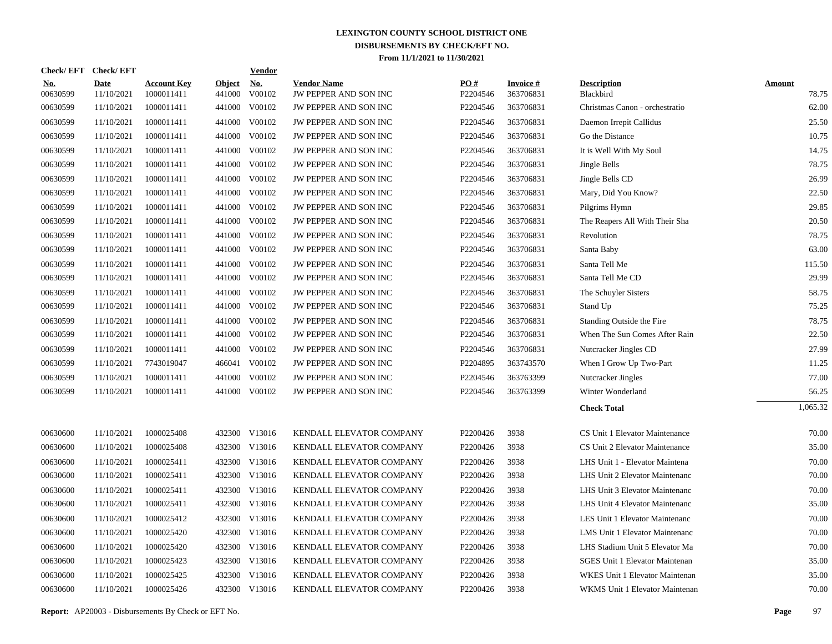|                        | Check/EFT Check/EFT       |                                  |                         | <b>Vendor</b>        |                                             |                 |                              |                                 |                        |
|------------------------|---------------------------|----------------------------------|-------------------------|----------------------|---------------------------------------------|-----------------|------------------------------|---------------------------------|------------------------|
| <u>No.</u><br>00630599 | <b>Date</b><br>11/10/2021 | <b>Account Key</b><br>1000011411 | <b>Object</b><br>441000 | <u>No.</u><br>V00102 | <b>Vendor Name</b><br>JW PEPPER AND SON INC | PQ#<br>P2204546 | <b>Invoice#</b><br>363706831 | <b>Description</b><br>Blackbird | <b>Amount</b><br>78.75 |
| 00630599               | 11/10/2021                | 1000011411                       | 441000                  | V00102               | JW PEPPER AND SON INC                       | P2204546        | 363706831                    | Christmas Canon - orchestratio  | 62.00                  |
| 00630599               | 11/10/2021                | 1000011411                       | 441000                  | V00102               | JW PEPPER AND SON INC                       | P2204546        | 363706831                    | Daemon Irrepit Callidus         | 25.50                  |
| 00630599               | 11/10/2021                | 1000011411                       | 441000                  | V00102               | <b>JW PEPPER AND SON INC</b>                | P2204546        | 363706831                    | Go the Distance                 | 10.75                  |
| 00630599               | 11/10/2021                | 1000011411                       | 441000                  | V00102               | <b>JW PEPPER AND SON INC</b>                | P2204546        | 363706831                    | It is Well With My Soul         | 14.75                  |
| 00630599               | 11/10/2021                | 1000011411                       | 441000                  | V00102               | JW PEPPER AND SON INC                       | P2204546        | 363706831                    | Jingle Bells                    | 78.75                  |
| 00630599               | 11/10/2021                | 1000011411                       | 441000                  | V00102               | JW PEPPER AND SON INC                       | P2204546        | 363706831                    | Jingle Bells CD                 | 26.99                  |
| 00630599               | 11/10/2021                | 1000011411                       | 441000                  | V00102               | JW PEPPER AND SON INC                       | P2204546        | 363706831                    | Mary, Did You Know?             | 22.50                  |
| 00630599               | 11/10/2021                | 1000011411                       | 441000                  | V00102               | JW PEPPER AND SON INC                       | P2204546        | 363706831                    | Pilgrims Hymn                   | 29.85                  |
| 00630599               | 11/10/2021                | 1000011411                       | 441000                  | V00102               | JW PEPPER AND SON INC                       | P2204546        | 363706831                    | The Reapers All With Their Sha  | 20.50                  |
| 00630599               | 11/10/2021                | 1000011411                       | 441000                  | V00102               | JW PEPPER AND SON INC                       | P2204546        | 363706831                    | Revolution                      | 78.75                  |
| 00630599               | 11/10/2021                | 1000011411                       | 441000                  | V00102               | JW PEPPER AND SON INC                       | P2204546        | 363706831                    | Santa Baby                      | 63.00                  |
| 00630599               | 11/10/2021                | 1000011411                       | 441000                  | V00102               | JW PEPPER AND SON INC                       | P2204546        | 363706831                    | Santa Tell Me                   | 115.50                 |
| 00630599               | 11/10/2021                | 1000011411                       | 441000                  | V00102               | JW PEPPER AND SON INC                       | P2204546        | 363706831                    | Santa Tell Me CD                | 29.99                  |
| 00630599               | 11/10/2021                | 1000011411                       | 441000                  | V00102               | JW PEPPER AND SON INC                       | P2204546        | 363706831                    | The Schuyler Sisters            | 58.75                  |
| 00630599               | 11/10/2021                | 1000011411                       | 441000                  | V00102               | JW PEPPER AND SON INC                       | P2204546        | 363706831                    | Stand Up                        | 75.25                  |
| 00630599               | 11/10/2021                | 1000011411                       | 441000                  | V00102               | JW PEPPER AND SON INC                       | P2204546        | 363706831                    | Standing Outside the Fire       | 78.75                  |
| 00630599               | 11/10/2021                | 1000011411                       | 441000                  | V00102               | JW PEPPER AND SON INC                       | P2204546        | 363706831                    | When The Sun Comes After Rain   | 22.50                  |
| 00630599               | 11/10/2021                | 1000011411                       | 441000                  | V00102               | JW PEPPER AND SON INC                       | P2204546        | 363706831                    | Nutcracker Jingles CD           | 27.99                  |
| 00630599               | 11/10/2021                | 7743019047                       | 466041                  | V00102               | JW PEPPER AND SON INC                       | P2204895        | 363743570                    | When I Grow Up Two-Part         | 11.25                  |
| 00630599               | 11/10/2021                | 1000011411                       | 441000                  | V00102               | JW PEPPER AND SON INC                       | P2204546        | 363763399                    | Nutcracker Jingles              | 77.00                  |
| 00630599               | 11/10/2021                | 1000011411                       |                         | 441000 V00102        | JW PEPPER AND SON INC                       | P2204546        | 363763399                    | Winter Wonderland               | 56.25                  |
|                        |                           |                                  |                         |                      |                                             |                 |                              | <b>Check Total</b>              | 1,065.32               |
| 00630600               | 11/10/2021                | 1000025408                       |                         | 432300 V13016        | KENDALL ELEVATOR COMPANY                    | P2200426        | 3938                         | CS Unit 1 Elevator Maintenance  | 70.00                  |
| 00630600               | 11/10/2021                | 1000025408                       | 432300                  | V13016               | KENDALL ELEVATOR COMPANY                    | P2200426        | 3938                         | CS Unit 2 Elevator Maintenance  | 35.00                  |
| 00630600               | 11/10/2021                | 1000025411                       | 432300                  | V13016               | KENDALL ELEVATOR COMPANY                    | P2200426        | 3938                         | LHS Unit 1 - Elevator Maintena  | 70.00                  |
| 00630600               | 11/10/2021                | 1000025411                       |                         | 432300 V13016        | KENDALL ELEVATOR COMPANY                    | P2200426        | 3938                         | LHS Unit 2 Elevator Maintenanc  | 70.00                  |
| 00630600               | 11/10/2021                | 1000025411                       | 432300                  | V13016               | KENDALL ELEVATOR COMPANY                    | P2200426        | 3938                         | LHS Unit 3 Elevator Maintenanc  | 70.00                  |
| 00630600               | 11/10/2021                | 1000025411                       |                         | 432300 V13016        | KENDALL ELEVATOR COMPANY                    | P2200426        | 3938                         | LHS Unit 4 Elevator Maintenanc  | 35.00                  |
| 00630600               | 11/10/2021                | 1000025412                       | 432300                  | V13016               | KENDALL ELEVATOR COMPANY                    | P2200426        | 3938                         | LES Unit 1 Elevator Maintenanc  | 70.00                  |
| 00630600               | 11/10/2021                | 1000025420                       |                         | 432300 V13016        | KENDALL ELEVATOR COMPANY                    | P2200426        | 3938                         | LMS Unit 1 Elevator Maintenanc  | 70.00                  |
| 00630600               | 11/10/2021                | 1000025420                       | 432300                  | V13016               | KENDALL ELEVATOR COMPANY                    | P2200426        | 3938                         | LHS Stadium Unit 5 Elevator Ma  | 70.00                  |
| 00630600               | 11/10/2021                | 1000025423                       |                         | 432300 V13016        | KENDALL ELEVATOR COMPANY                    | P2200426        | 3938                         | SGES Unit 1 Elevator Maintenan  | 35.00                  |
| 00630600               | 11/10/2021                | 1000025425                       | 432300                  | V13016               | KENDALL ELEVATOR COMPANY                    | P2200426        | 3938                         | WKES Unit 1 Elevator Maintenan  | 35.00                  |
| 00630600               | 11/10/2021                | 1000025426                       |                         | 432300 V13016        | KENDALL ELEVATOR COMPANY                    | P2200426        | 3938                         | WKMS Unit 1 Elevator Maintenan  | 70.00                  |
|                        |                           |                                  |                         |                      |                                             |                 |                              |                                 |                        |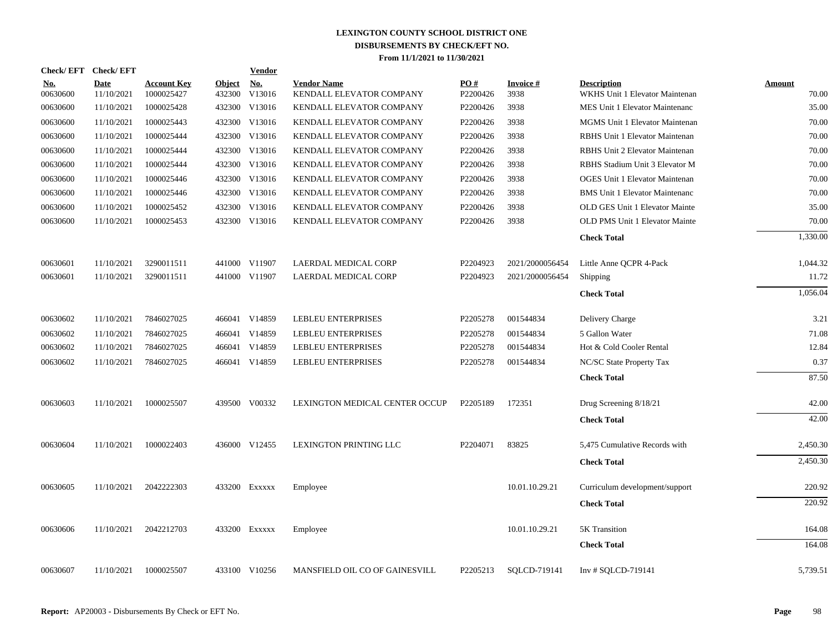|                        | Check/EFT Check/EFT       |                                  |                  | <b>Vendor</b>                         |                                                |                 |                         |                                                      |                        |
|------------------------|---------------------------|----------------------------------|------------------|---------------------------------------|------------------------------------------------|-----------------|-------------------------|------------------------------------------------------|------------------------|
| <b>No.</b><br>00630600 | <b>Date</b><br>11/10/2021 | <b>Account Key</b><br>1000025427 | Object<br>432300 | $\underline{\mathrm{No}}$ .<br>V13016 | <b>Vendor Name</b><br>KENDALL ELEVATOR COMPANY | PO#<br>P2200426 | <b>Invoice#</b><br>3938 | <b>Description</b><br>WKHS Unit 1 Elevator Maintenan | <b>Amount</b><br>70.00 |
| 00630600               | 11/10/2021                | 1000025428                       | 432300           | V13016                                | KENDALL ELEVATOR COMPANY                       | P2200426        | 3938                    | MES Unit 1 Elevator Maintenanc                       | 35.00                  |
| 00630600               | 11/10/2021                | 1000025443                       | 432300           | V13016                                | KENDALL ELEVATOR COMPANY                       | P2200426        | 3938                    | <b>MGMS</b> Unit 1 Elevator Maintenan                | 70.00                  |
| 00630600               | 11/10/2021                | 1000025444                       | 432300           | V13016                                | KENDALL ELEVATOR COMPANY                       | P2200426        | 3938                    | RBHS Unit 1 Elevator Maintenan                       | 70.00                  |
| 00630600               | 11/10/2021                | 1000025444                       | 432300           | V13016                                | KENDALL ELEVATOR COMPANY                       | P2200426        | 3938                    | RBHS Unit 2 Elevator Maintenan                       | 70.00                  |
| 00630600               | 11/10/2021                | 1000025444                       | 432300           | V13016                                | KENDALL ELEVATOR COMPANY                       | P2200426        | 3938                    | RBHS Stadium Unit 3 Elevator M                       | 70.00                  |
| 00630600               | 11/10/2021                | 1000025446                       | 432300           | V13016                                | KENDALL ELEVATOR COMPANY                       | P2200426        | 3938                    | <b>OGES Unit 1 Elevator Maintenan</b>                | 70.00                  |
| 00630600               | 11/10/2021                | 1000025446                       | 432300           | V13016                                | KENDALL ELEVATOR COMPANY                       | P2200426        | 3938                    | <b>BMS</b> Unit 1 Elevator Maintenanc                | 70.00                  |
| 00630600               | 11/10/2021                | 1000025452                       | 432300           | V13016                                | KENDALL ELEVATOR COMPANY                       | P2200426        | 3938                    | OLD GES Unit 1 Elevator Mainte                       | 35.00                  |
| 00630600               | 11/10/2021                | 1000025453                       |                  | 432300 V13016                         | KENDALL ELEVATOR COMPANY                       | P2200426        | 3938                    | OLD PMS Unit 1 Elevator Mainte                       | 70.00                  |
|                        |                           |                                  |                  |                                       |                                                |                 |                         | <b>Check Total</b>                                   | 1,330.00               |
| 00630601               | 11/10/2021                | 3290011511                       |                  | 441000 V11907                         | LAERDAL MEDICAL CORP                           | P2204923        | 2021/2000056454         | Little Anne QCPR 4-Pack                              | 1,044.32               |
| 00630601               | 11/10/2021                | 3290011511                       |                  | 441000 V11907                         | LAERDAL MEDICAL CORP                           | P2204923        | 2021/2000056454         | Shipping                                             | 11.72                  |
|                        |                           |                                  |                  |                                       |                                                |                 |                         | <b>Check Total</b>                                   | 1,056.04               |
| 00630602               | 11/10/2021                | 7846027025                       |                  | 466041 V14859                         | <b>LEBLEU ENTERPRISES</b>                      | P2205278        | 001544834               | Delivery Charge                                      | 3.21                   |
| 00630602               | 11/10/2021                | 7846027025                       |                  | 466041 V14859                         | <b>LEBLEU ENTERPRISES</b>                      | P2205278        | 001544834               | 5 Gallon Water                                       | 71.08                  |
| 00630602               | 11/10/2021                | 7846027025                       |                  | 466041 V14859                         | LEBLEU ENTERPRISES                             | P2205278        | 001544834               | Hot & Cold Cooler Rental                             | 12.84                  |
| 00630602               | 11/10/2021                | 7846027025                       |                  | 466041 V14859                         | LEBLEU ENTERPRISES                             | P2205278        | 001544834               | NC/SC State Property Tax                             | 0.37                   |
|                        |                           |                                  |                  |                                       |                                                |                 |                         | <b>Check Total</b>                                   | 87.50                  |
| 00630603               | 11/10/2021                | 1000025507                       |                  | 439500 V00332                         | LEXINGTON MEDICAL CENTER OCCUP                 | P2205189        | 172351                  | Drug Screening 8/18/21                               | 42.00                  |
|                        |                           |                                  |                  |                                       |                                                |                 |                         | <b>Check Total</b>                                   | 42.00                  |
| 00630604               | 11/10/2021                | 1000022403                       |                  | 436000 V12455                         | LEXINGTON PRINTING LLC                         | P2204071        | 83825                   | 5,475 Cumulative Records with                        | 2,450.30               |
|                        |                           |                                  |                  |                                       |                                                |                 |                         | <b>Check Total</b>                                   | 2,450.30               |
| 00630605               | 11/10/2021                | 2042222303                       |                  | 433200 Exxxxx                         | Employee                                       |                 | 10.01.10.29.21          | Curriculum development/support                       | 220.92                 |
|                        |                           |                                  |                  |                                       |                                                |                 |                         | <b>Check Total</b>                                   | 220.92                 |
| 00630606               | 11/10/2021                | 2042212703                       |                  | 433200 Exxxxx                         | Employee                                       |                 | 10.01.10.29.21          | 5K Transition                                        | 164.08                 |
|                        |                           |                                  |                  |                                       |                                                |                 |                         | <b>Check Total</b>                                   | 164.08                 |
| 00630607               | 11/10/2021                | 1000025507                       |                  | 433100 V10256                         | MANSFIELD OIL CO OF GAINESVILL                 | P2205213        | SOLCD-719141            | Inv # SQLCD-719141                                   | 5,739.51               |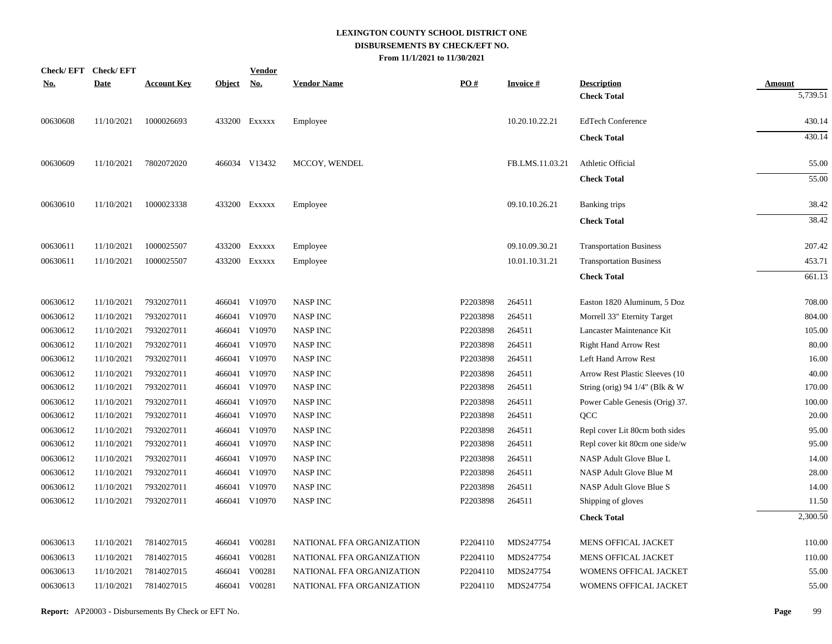|            | <b>Check/EFT</b> | <b>Check/EFT</b> |                    |               | <b>Vendor</b> |                           |          |                 |                                 |               |
|------------|------------------|------------------|--------------------|---------------|---------------|---------------------------|----------|-----------------|---------------------------------|---------------|
| <u>No.</u> |                  | <b>Date</b>      | <b>Account Key</b> | <b>Object</b> | <u>No.</u>    | <b>Vendor Name</b>        | PO#      | <b>Invoice#</b> | <b>Description</b>              | <u>Amount</u> |
|            |                  |                  |                    |               |               |                           |          |                 | <b>Check Total</b>              | 5,739.51      |
|            | 00630608         | 11/10/2021       | 1000026693         |               | 433200 Exxxxx | Employee                  |          | 10.20.10.22.21  | <b>EdTech Conference</b>        | 430.14        |
|            |                  |                  |                    |               |               |                           |          |                 | <b>Check Total</b>              | 430.14        |
|            | 00630609         | 11/10/2021       | 7802072020         |               | 466034 V13432 | MCCOY, WENDEL             |          | FB.LMS.11.03.21 | Athletic Official               | 55.00         |
|            |                  |                  |                    |               |               |                           |          |                 | <b>Check Total</b>              | 55.00         |
|            | 00630610         | 11/10/2021       | 1000023338         |               | 433200 EXXXXX | Employee                  |          | 09.10.10.26.21  | Banking trips                   | 38.42         |
|            |                  |                  |                    |               |               |                           |          |                 | <b>Check Total</b>              | 38.42         |
|            | 00630611         | 11/10/2021       | 1000025507         |               | 433200 EXXXXX | Employee                  |          | 09.10.09.30.21  | <b>Transportation Business</b>  | 207.42        |
|            | 00630611         | 11/10/2021       | 1000025507         |               | 433200 EXXXXX | Employee                  |          | 10.01.10.31.21  | <b>Transportation Business</b>  | 453.71        |
|            |                  |                  |                    |               |               |                           |          |                 | <b>Check Total</b>              | 661.13        |
|            | 00630612         | 11/10/2021       | 7932027011         |               | 466041 V10970 | <b>NASP INC</b>           | P2203898 | 264511          | Easton 1820 Aluminum, 5 Doz     | 708.00        |
|            | 00630612         | 11/10/2021       | 7932027011         |               | 466041 V10970 | <b>NASP INC</b>           | P2203898 | 264511          | Morrell 33" Eternity Target     | 804.00        |
|            | 00630612         | 11/10/2021       | 7932027011         |               | 466041 V10970 | <b>NASP INC</b>           | P2203898 | 264511          | Lancaster Maintenance Kit       | 105.00        |
|            | 00630612         | 11/10/2021       | 7932027011         |               | 466041 V10970 | <b>NASP INC</b>           | P2203898 | 264511          | <b>Right Hand Arrow Rest</b>    | 80.00         |
|            | 00630612         | 11/10/2021       | 7932027011         |               | 466041 V10970 | <b>NASP INC</b>           | P2203898 | 264511          | Left Hand Arrow Rest            | 16.00         |
|            | 00630612         | 11/10/2021       | 7932027011         |               | 466041 V10970 | <b>NASP INC</b>           | P2203898 | 264511          | Arrow Rest Plastic Sleeves (10) | 40.00         |
|            | 00630612         | 11/10/2021       | 7932027011         |               | 466041 V10970 | <b>NASP INC</b>           | P2203898 | 264511          | String (orig) 94 1/4" (Blk & W) | 170.00        |
|            | 00630612         | 11/10/2021       | 7932027011         |               | 466041 V10970 | <b>NASP INC</b>           | P2203898 | 264511          | Power Cable Genesis (Orig) 37.  | 100.00        |
|            | 00630612         | 11/10/2021       | 7932027011         |               | 466041 V10970 | <b>NASP INC</b>           | P2203898 | 264511          | QCC                             | 20.00         |
|            | 00630612         | 11/10/2021       | 7932027011         |               | 466041 V10970 | <b>NASP INC</b>           | P2203898 | 264511          | Repl cover Lit 80cm both sides  | 95.00         |
|            | 00630612         | 11/10/2021       | 7932027011         |               | 466041 V10970 | <b>NASP INC</b>           | P2203898 | 264511          | Repl cover kit 80cm one side/w  | 95.00         |
|            | 00630612         | 11/10/2021       | 7932027011         |               | 466041 V10970 | <b>NASP INC</b>           | P2203898 | 264511          | NASP Adult Glove Blue L         | 14.00         |
|            | 00630612         | 11/10/2021       | 7932027011         | 466041        | V10970        | <b>NASP INC</b>           | P2203898 | 264511          | NASP Adult Glove Blue M         | 28.00         |
|            | 00630612         | 11/10/2021       | 7932027011         |               | 466041 V10970 | <b>NASP INC</b>           | P2203898 | 264511          | NASP Adult Glove Blue S         | 14.00         |
|            | 00630612         | 11/10/2021       | 7932027011         |               | 466041 V10970 | <b>NASP INC</b>           | P2203898 | 264511          | Shipping of gloves              | 11.50         |
|            |                  |                  |                    |               |               |                           |          |                 | <b>Check Total</b>              | 2,300.50      |
|            | 00630613         | 11/10/2021       | 7814027015         |               | 466041 V00281 | NATIONAL FFA ORGANIZATION | P2204110 | MDS247754       | MENS OFFICAL JACKET             | 110.00        |
|            | 00630613         | 11/10/2021       | 7814027015         |               | 466041 V00281 | NATIONAL FFA ORGANIZATION | P2204110 | MDS247754       | MENS OFFICAL JACKET             | 110.00        |
|            | 00630613         | 11/10/2021       | 7814027015         | 466041        | V00281        | NATIONAL FFA ORGANIZATION | P2204110 | MDS247754       | WOMENS OFFICAL JACKET           | 55.00         |
|            | 00630613         | 11/10/2021       | 7814027015         |               | 466041 V00281 | NATIONAL FFA ORGANIZATION | P2204110 | MDS247754       | WOMENS OFFICAL JACKET           | 55.00         |
|            |                  |                  |                    |               |               |                           |          |                 |                                 |               |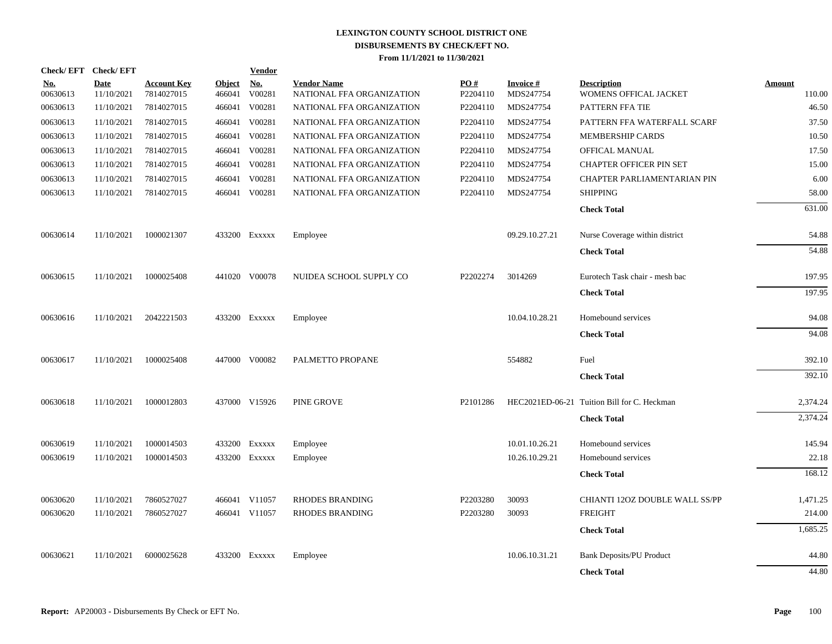| Check/EFT Check/EFT    |                           |                                  |                         | <b>Vendor</b>                         |                                                 |                 |                              |                                             |                         |
|------------------------|---------------------------|----------------------------------|-------------------------|---------------------------------------|-------------------------------------------------|-----------------|------------------------------|---------------------------------------------|-------------------------|
| <u>No.</u><br>00630613 | <b>Date</b><br>11/10/2021 | <b>Account Key</b><br>7814027015 | <b>Object</b><br>466041 | $\underline{\mathrm{No}}$ .<br>V00281 | <b>Vendor Name</b><br>NATIONAL FFA ORGANIZATION | PO#<br>P2204110 | <b>Invoice#</b><br>MDS247754 | <b>Description</b><br>WOMENS OFFICAL JACKET | <b>Amount</b><br>110.00 |
| 00630613               | 11/10/2021                | 7814027015                       | 466041                  | V00281                                | NATIONAL FFA ORGANIZATION                       | P2204110        | MDS247754                    | PATTERN FFA TIE                             | 46.50                   |
| 00630613               | 11/10/2021                | 7814027015                       | 466041                  | V00281                                | NATIONAL FFA ORGANIZATION                       | P2204110        | MDS247754                    | PATTERN FFA WATERFALL SCARF                 | 37.50                   |
| 00630613               | 11/10/2021                | 7814027015                       | 466041                  | V00281                                | NATIONAL FFA ORGANIZATION                       | P2204110        | MDS247754                    | MEMBERSHIP CARDS                            | 10.50                   |
| 00630613               | 11/10/2021                | 7814027015                       | 466041                  | V00281                                | NATIONAL FFA ORGANIZATION                       | P2204110        | MDS247754                    | OFFICAL MANUAL                              | 17.50                   |
| 00630613               | 11/10/2021                | 7814027015                       | 466041                  | V00281                                | NATIONAL FFA ORGANIZATION                       | P2204110        | MDS247754                    | <b>CHAPTER OFFICER PIN SET</b>              | 15.00                   |
| 00630613               | 11/10/2021                | 7814027015                       | 466041                  | V00281                                | NATIONAL FFA ORGANIZATION                       | P2204110        | MDS247754                    | CHAPTER PARLIAMENTARIAN PIN                 | 6.00                    |
| 00630613               | 11/10/2021                | 7814027015                       |                         | 466041 V00281                         | NATIONAL FFA ORGANIZATION                       | P2204110        | MDS247754                    | <b>SHIPPING</b>                             | 58.00                   |
|                        |                           |                                  |                         |                                       |                                                 |                 |                              | <b>Check Total</b>                          | 631.00                  |
| 00630614               | 11/10/2021                | 1000021307                       |                         | 433200 Exxxxx                         | Employee                                        |                 | 09.29.10.27.21               | Nurse Coverage within district              | 54.88                   |
|                        |                           |                                  |                         |                                       |                                                 |                 |                              | <b>Check Total</b>                          | 54.88                   |
| 00630615               | 11/10/2021                | 1000025408                       |                         | 441020 V00078                         | NUIDEA SCHOOL SUPPLY CO                         | P2202274        | 3014269                      | Eurotech Task chair - mesh bac              | 197.95                  |
|                        |                           |                                  |                         |                                       |                                                 |                 |                              | <b>Check Total</b>                          | 197.95                  |
| 00630616               | 11/10/2021                | 2042221503                       |                         | 433200 EXXXXX                         | Employee                                        |                 | 10.04.10.28.21               | Homebound services                          | 94.08                   |
|                        |                           |                                  |                         |                                       |                                                 |                 |                              | <b>Check Total</b>                          | 94.08                   |
| 00630617               | 11/10/2021                | 1000025408                       |                         | 447000 V00082                         | PALMETTO PROPANE                                |                 | 554882                       | Fuel                                        | 392.10                  |
|                        |                           |                                  |                         |                                       |                                                 |                 |                              | <b>Check Total</b>                          | 392.10                  |
| 00630618               | 11/10/2021                | 1000012803                       |                         | 437000 V15926                         | PINE GROVE                                      | P2101286        |                              | HEC2021ED-06-21 Tuition Bill for C. Heckman | 2,374.24                |
|                        |                           |                                  |                         |                                       |                                                 |                 |                              | <b>Check Total</b>                          | 2,374.24                |
| 00630619               | 11/10/2021                | 1000014503                       |                         | 433200 Exxxxx                         | Employee                                        |                 | 10.01.10.26.21               | Homebound services                          | 145.94                  |
| 00630619               | 11/10/2021                | 1000014503                       |                         | 433200 Exxxxx                         | Employee                                        |                 | 10.26.10.29.21               | Homebound services                          | 22.18                   |
|                        |                           |                                  |                         |                                       |                                                 |                 |                              | <b>Check Total</b>                          | 168.12                  |
| 00630620               | 11/10/2021                | 7860527027                       |                         | 466041 V11057                         | <b>RHODES BRANDING</b>                          | P2203280        | 30093                        | CHIANTI 120Z DOUBLE WALL SS/PP              | 1,471.25                |
| 00630620               | 11/10/2021                | 7860527027                       |                         | 466041 V11057                         | RHODES BRANDING                                 | P2203280        | 30093                        | <b>FREIGHT</b>                              | 214.00                  |
|                        |                           |                                  |                         |                                       |                                                 |                 |                              | <b>Check Total</b>                          | 1,685.25                |
| 00630621               | 11/10/2021                | 6000025628                       |                         | 433200 Exxxxx                         | Employee                                        |                 | 10.06.10.31.21               | <b>Bank Deposits/PU Product</b>             | 44.80                   |
|                        |                           |                                  |                         |                                       |                                                 |                 |                              | <b>Check Total</b>                          | 44.80                   |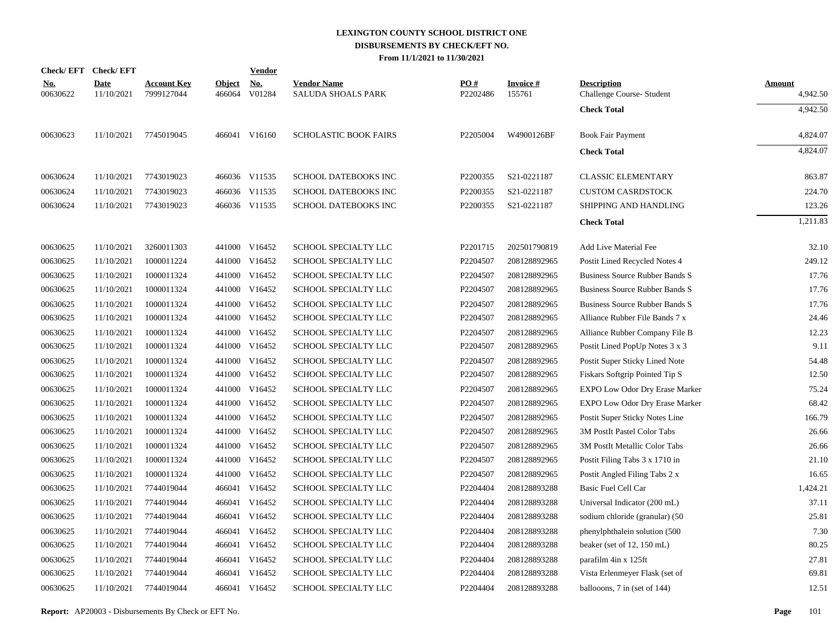|                        | Check/EFT Check/EFT       |                                  |                         | <b>Vendor</b>                         |                                                 |                 |                           |                                                 |                           |
|------------------------|---------------------------|----------------------------------|-------------------------|---------------------------------------|-------------------------------------------------|-----------------|---------------------------|-------------------------------------------------|---------------------------|
| <u>No.</u><br>00630622 | <b>Date</b><br>11/10/2021 | <b>Account Key</b><br>7999127044 | <b>Object</b><br>466064 | $\underline{\mathrm{No}}$ .<br>V01284 | <b>Vendor Name</b><br><b>SALUDA SHOALS PARK</b> | PO#<br>P2202486 | <b>Invoice#</b><br>155761 | <b>Description</b><br>Challenge Course- Student | <b>Amount</b><br>4,942.50 |
|                        |                           |                                  |                         |                                       |                                                 |                 |                           | <b>Check Total</b>                              | 4,942.50                  |
| 00630623               | 11/10/2021                | 7745019045                       |                         | 466041 V16160                         | <b>SCHOLASTIC BOOK FAIRS</b>                    | P2205004        | W4900126BF                | Book Fair Payment                               | 4,824.07                  |
|                        |                           |                                  |                         |                                       |                                                 |                 |                           | <b>Check Total</b>                              | 4,824.07                  |
| 00630624               | 11/10/2021                | 7743019023                       |                         | 466036 V11535                         | SCHOOL DATEBOOKS INC                            | P2200355        | S21-0221187               | <b>CLASSIC ELEMENTARY</b>                       | 863.87                    |
| 00630624               | 11/10/2021                | 7743019023                       |                         | 466036 V11535                         | SCHOOL DATEBOOKS INC                            | P2200355        | S21-0221187               | <b>CUSTOM CASRDSTOCK</b>                        | 224.70                    |
| 00630624               | 11/10/2021                | 7743019023                       |                         | 466036 V11535                         | <b>SCHOOL DATEBOOKS INC</b>                     | P2200355        | S21-0221187               | SHIPPING AND HANDLING                           | 123.26                    |
|                        |                           |                                  |                         |                                       |                                                 |                 |                           | <b>Check Total</b>                              | 1,211.83                  |
| 00630625               | 11/10/2021                | 3260011303                       |                         | 441000 V16452                         | SCHOOL SPECIALTY LLC                            | P2201715        | 202501790819              | Add Live Material Fee                           | 32.10                     |
| 00630625               | 11/10/2021                | 1000011224                       |                         | 441000 V16452                         | SCHOOL SPECIALTY LLC                            | P2204507        | 208128892965              | Postit Lined Recycled Notes 4                   | 249.12                    |
| 00630625               | 11/10/2021                | 1000011324                       |                         | 441000 V16452                         | SCHOOL SPECIALTY LLC                            | P2204507        | 208128892965              | Business Source Rubber Bands S                  | 17.76                     |
| 00630625               | 11/10/2021                | 1000011324                       |                         | 441000 V16452                         | SCHOOL SPECIALTY LLC                            | P2204507        | 208128892965              | Business Source Rubber Bands S                  | 17.76                     |
| 00630625               | 11/10/2021                | 1000011324                       |                         | 441000 V16452                         | SCHOOL SPECIALTY LLC                            | P2204507        | 208128892965              | Business Source Rubber Bands S                  | 17.76                     |
| 00630625               | 11/10/2021                | 1000011324                       |                         | 441000 V16452                         | SCHOOL SPECIALTY LLC                            | P2204507        | 208128892965              | Alliance Rubber File Bands 7 x                  | 24.46                     |
| 00630625               | 11/10/2021                | 1000011324                       |                         | 441000 V16452                         | SCHOOL SPECIALTY LLC                            | P2204507        | 208128892965              | Alliance Rubber Company File B                  | 12.23                     |
| 00630625               | 11/10/2021                | 1000011324                       |                         | 441000 V16452                         | SCHOOL SPECIALTY LLC                            | P2204507        | 208128892965              | Postit Lined PopUp Notes 3 x 3                  | 9.11                      |
| 00630625               | 11/10/2021                | 1000011324                       |                         | 441000 V16452                         | SCHOOL SPECIALTY LLC                            | P2204507        | 208128892965              | Postit Super Sticky Lined Note                  | 54.48                     |
| 00630625               | 11/10/2021                | 1000011324                       |                         | 441000 V16452                         | SCHOOL SPECIALTY LLC                            | P2204507        | 208128892965              | Fiskars Softgrip Pointed Tip S                  | 12.50                     |
| 00630625               | 11/10/2021                | 1000011324                       |                         | 441000 V16452                         | SCHOOL SPECIALTY LLC                            | P2204507        | 208128892965              | EXPO Low Odor Dry Erase Marker                  | 75.24                     |
| 00630625               | 11/10/2021                | 1000011324                       |                         | 441000 V16452                         | SCHOOL SPECIALTY LLC                            | P2204507        | 208128892965              | EXPO Low Odor Dry Erase Marker                  | 68.42                     |
| 00630625               | 11/10/2021                | 1000011324                       |                         | 441000 V16452                         | SCHOOL SPECIALTY LLC                            | P2204507        | 208128892965              | Postit Super Sticky Notes Line                  | 166.79                    |
| 00630625               | 11/10/2021                | 1000011324                       |                         | 441000 V16452                         | SCHOOL SPECIALTY LLC                            | P2204507        | 208128892965              | 3M PostIt Pastel Color Tabs                     | 26.66                     |
| 00630625               | 11/10/2021                | 1000011324                       |                         | 441000 V16452                         | SCHOOL SPECIALTY LLC                            | P2204507        | 208128892965              | 3M PostIt Metallic Color Tabs                   | 26.66                     |
| 00630625               | 11/10/2021                | 1000011324                       |                         | 441000 V16452                         | SCHOOL SPECIALTY LLC                            | P2204507        | 208128892965              | Postit Filing Tabs 3 x 1710 in                  | 21.10                     |
| 00630625               | 11/10/2021                | 1000011324                       |                         | 441000 V16452                         | SCHOOL SPECIALTY LLC                            | P2204507        | 208128892965              | Postit Angled Filing Tabs 2 x                   | 16.65                     |
| 00630625               | 11/10/2021                | 7744019044                       |                         | 466041 V16452                         | SCHOOL SPECIALTY LLC                            | P2204404        | 208128893288              | Basic Fuel Cell Car                             | 1,424.21                  |
| 00630625               | 11/10/2021                | 7744019044                       |                         | 466041 V16452                         | SCHOOL SPECIALTY LLC                            | P2204404        | 208128893288              | Universal Indicator (200 mL)                    | 37.11                     |
| 00630625               | 11/10/2021                | 7744019044                       |                         | 466041 V16452                         | SCHOOL SPECIALTY LLC                            | P2204404        | 208128893288              | sodium chloride (granular) (50                  | 25.81                     |
| 00630625               | 11/10/2021                | 7744019044                       |                         | 466041 V16452                         | SCHOOL SPECIALTY LLC                            | P2204404        | 208128893288              | phenylphthalein solution (500)                  | 7.30                      |
| 00630625               | 11/10/2021                | 7744019044                       |                         | 466041 V16452                         | SCHOOL SPECIALTY LLC                            | P2204404        | 208128893288              | beaker (set of 12, 150 mL)                      | 80.25                     |
| 00630625               | 11/10/2021                | 7744019044                       |                         | 466041 V16452                         | SCHOOL SPECIALTY LLC                            | P2204404        | 208128893288              | parafilm 4in x 125ft                            | 27.81                     |
| 00630625               | 11/10/2021                | 7744019044                       |                         | 466041 V16452                         | SCHOOL SPECIALTY LLC                            | P2204404        | 208128893288              | Vista Erlenmeyer Flask (set of                  | 69.81                     |
| 00630625               | 11/10/2021                | 7744019044                       |                         | 466041 V16452                         | SCHOOL SPECIALTY LLC                            | P2204404        | 208128893288              | ballooons, 7 in (set of 144)                    | 12.51                     |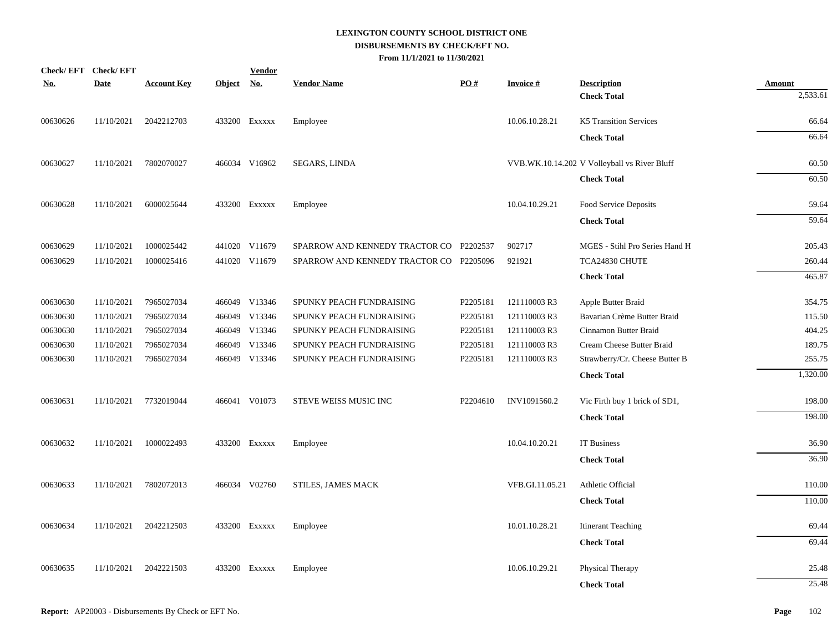| <u>No.</u> | Check/EFT Check/EFT<br><b>Date</b> | <b>Account Key</b> | Object No. | <b>Vendor</b> | <b>Vendor Name</b>                      | PO#      | <b>Invoice#</b> | <b>Description</b>                           | <b>Amount</b> |
|------------|------------------------------------|--------------------|------------|---------------|-----------------------------------------|----------|-----------------|----------------------------------------------|---------------|
|            |                                    |                    |            |               |                                         |          |                 | <b>Check Total</b>                           | 2,533.61      |
| 00630626   | 11/10/2021                         | 2042212703         |            | 433200 Exxxxx | Employee                                |          | 10.06.10.28.21  | K5 Transition Services                       | 66.64         |
|            |                                    |                    |            |               |                                         |          |                 | <b>Check Total</b>                           | 66.64         |
| 00630627   | 11/10/2021                         | 7802070027         |            | 466034 V16962 | SEGARS, LINDA                           |          |                 | VVB.WK.10.14.202 V Volleyball vs River Bluff | 60.50         |
|            |                                    |                    |            |               |                                         |          |                 | <b>Check Total</b>                           | 60.50         |
| 00630628   | 11/10/2021                         | 6000025644         |            | 433200 Exxxxx | Employee                                |          | 10.04.10.29.21  | Food Service Deposits                        | 59.64         |
|            |                                    |                    |            |               |                                         |          |                 | <b>Check Total</b>                           | 59.64         |
| 00630629   | 11/10/2021                         | 1000025442         |            | 441020 V11679 | SPARROW AND KENNEDY TRACTOR CO P2202537 |          | 902717          | MGES - Stihl Pro Series Hand H               | 205.43        |
| 00630629   | 11/10/2021                         | 1000025416         |            | 441020 V11679 | SPARROW AND KENNEDY TRACTOR CO P2205096 |          | 921921          | TCA24830 CHUTE                               | 260.44        |
|            |                                    |                    |            |               |                                         |          |                 | <b>Check Total</b>                           | 465.87        |
| 00630630   | 11/10/2021                         | 7965027034         |            | 466049 V13346 | SPUNKY PEACH FUNDRAISING                | P2205181 | 121110003 R3    | Apple Butter Braid                           | 354.75        |
| 00630630   | 11/10/2021                         | 7965027034         |            | 466049 V13346 | SPUNKY PEACH FUNDRAISING                | P2205181 | 121110003 R3    | Bavarian Crème Butter Braid                  | 115.50        |
| 00630630   | 11/10/2021                         | 7965027034         |            | 466049 V13346 | SPUNKY PEACH FUNDRAISING                | P2205181 | 121110003 R3    | Cinnamon Butter Braid                        | 404.25        |
| 00630630   | 11/10/2021                         | 7965027034         |            | 466049 V13346 | SPUNKY PEACH FUNDRAISING                | P2205181 | 121110003 R3    | Cream Cheese Butter Braid                    | 189.75        |
| 00630630   | 11/10/2021                         | 7965027034         |            | 466049 V13346 | SPUNKY PEACH FUNDRAISING                | P2205181 | 121110003 R3    | Strawberry/Cr. Cheese Butter B               | 255.75        |
|            |                                    |                    |            |               |                                         |          |                 | <b>Check Total</b>                           | 1,320.00      |
| 00630631   | 11/10/2021                         | 7732019044         |            | 466041 V01073 | STEVE WEISS MUSIC INC                   | P2204610 | INV1091560.2    | Vic Firth buy 1 brick of SD1,                | 198.00        |
|            |                                    |                    |            |               |                                         |          |                 | <b>Check Total</b>                           | 198.00        |
| 00630632   | 11/10/2021                         | 1000022493         |            | 433200 EXXXXX | Employee                                |          | 10.04.10.20.21  | IT Business                                  | 36.90         |
|            |                                    |                    |            |               |                                         |          |                 | <b>Check Total</b>                           | 36.90         |
| 00630633   | 11/10/2021                         | 7802072013         |            | 466034 V02760 | STILES, JAMES MACK                      |          | VFB.GI.11.05.21 | Athletic Official                            | 110.00        |
|            |                                    |                    |            |               |                                         |          |                 | <b>Check Total</b>                           | 110.00        |
| 00630634   | 11/10/2021                         | 2042212503         |            | 433200 EXXXXX | Employee                                |          | 10.01.10.28.21  | <b>Itinerant Teaching</b>                    | 69.44         |
|            |                                    |                    |            |               |                                         |          |                 | <b>Check Total</b>                           | 69.44         |
| 00630635   | 11/10/2021                         | 2042221503         |            | 433200 Exxxxx | Employee                                |          | 10.06.10.29.21  | Physical Therapy                             | 25.48         |
|            |                                    |                    |            |               |                                         |          |                 | <b>Check Total</b>                           | 25.48         |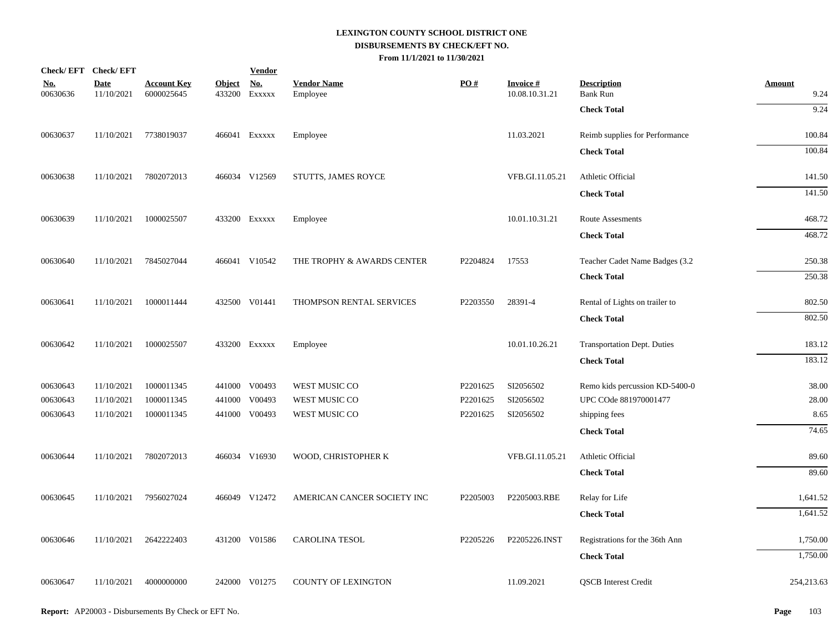|                        | Check/EFT Check/EFT       |                                  |               | <b>Vendor</b>               |                                |          |                             |                                       |                       |
|------------------------|---------------------------|----------------------------------|---------------|-----------------------------|--------------------------------|----------|-----------------------------|---------------------------------------|-----------------------|
| <u>No.</u><br>00630636 | <b>Date</b><br>11/10/2021 | <b>Account Key</b><br>6000025645 | <b>Object</b> | <u>No.</u><br>433200 Exxxxx | <b>Vendor Name</b><br>Employee | PO#      | Invoice #<br>10.08.10.31.21 | <b>Description</b><br><b>Bank Run</b> | <b>Amount</b><br>9.24 |
|                        |                           |                                  |               |                             |                                |          |                             | <b>Check Total</b>                    | 9.24                  |
| 00630637               |                           | 11/10/2021 7738019037            |               | 466041 EXXXXX               | Employee                       |          | 11.03.2021                  | Reimb supplies for Performance        | 100.84                |
|                        |                           |                                  |               |                             |                                |          |                             | <b>Check Total</b>                    | 100.84                |
| 00630638               | 11/10/2021                | 7802072013                       |               | 466034 V12569               | STUTTS, JAMES ROYCE            |          | VFB.GI.11.05.21             | Athletic Official                     | 141.50                |
|                        |                           |                                  |               |                             |                                |          |                             | <b>Check Total</b>                    | 141.50                |
| 00630639               | 11/10/2021                | 1000025507                       |               | 433200 EXXXXX               | Employee                       |          | 10.01.10.31.21              | Route Assesments                      | 468.72                |
|                        |                           |                                  |               |                             |                                |          |                             | <b>Check Total</b>                    | 468.72                |
| 00630640               | 11/10/2021                | 7845027044                       |               | 466041 V10542               | THE TROPHY & AWARDS CENTER     | P2204824 | 17553                       | Teacher Cadet Name Badges (3.2        | 250.38                |
|                        |                           |                                  |               |                             |                                |          |                             | <b>Check Total</b>                    | 250.38                |
| 00630641               | 11/10/2021                | 1000011444                       |               | 432500 V01441               | THOMPSON RENTAL SERVICES       | P2203550 | 28391-4                     | Rental of Lights on trailer to        | 802.50                |
|                        |                           |                                  |               |                             |                                |          |                             | <b>Check Total</b>                    | 802.50                |
| 00630642               | 11/10/2021                | 1000025507                       |               | 433200 EXXXXX               | Employee                       |          | 10.01.10.26.21              | Transportation Dept. Duties           | 183.12                |
|                        |                           |                                  |               |                             |                                |          |                             | <b>Check Total</b>                    | 183.12                |
| 00630643               | 11/10/2021                | 1000011345                       |               | 441000 V00493               | WEST MUSIC CO                  | P2201625 | SI2056502                   | Remo kids percussion KD-5400-0        | 38.00                 |
| 00630643               | 11/10/2021                | 1000011345                       |               | 441000 V00493               | WEST MUSIC CO                  | P2201625 | SI2056502                   | UPC COde 881970001477                 | 28.00                 |
| 00630643               | 11/10/2021                | 1000011345                       |               | 441000 V00493               | WEST MUSIC CO                  | P2201625 | SI2056502                   | shipping fees                         | 8.65                  |
|                        |                           |                                  |               |                             |                                |          |                             | <b>Check Total</b>                    | 74.65                 |
| 00630644               | 11/10/2021                | 7802072013                       |               | 466034 V16930               | WOOD, CHRISTOPHER K            |          | VFB.GI.11.05.21             | Athletic Official                     | 89.60                 |
|                        |                           |                                  |               |                             |                                |          |                             | <b>Check Total</b>                    | 89.60                 |
| 00630645               | 11/10/2021                | 7956027024                       |               | 466049 V12472               | AMERICAN CANCER SOCIETY INC    | P2205003 | P2205003.RBE                | Relay for Life                        | 1,641.52              |
|                        |                           |                                  |               |                             |                                |          |                             | <b>Check Total</b>                    | 1,641.52              |
| 00630646               | 11/10/2021                | 2642222403                       |               | 431200 V01586               | <b>CAROLINA TESOL</b>          | P2205226 | P2205226.INST               | Registrations for the 36th Ann        | 1,750.00              |
|                        |                           |                                  |               |                             |                                |          |                             | <b>Check Total</b>                    | 1,750.00              |
| 00630647               | 11/10/2021                | 4000000000                       |               | 242000 V01275               | <b>COUNTY OF LEXINGTON</b>     |          | 11.09.2021                  | <b>QSCB</b> Interest Credit           | 254,213.63            |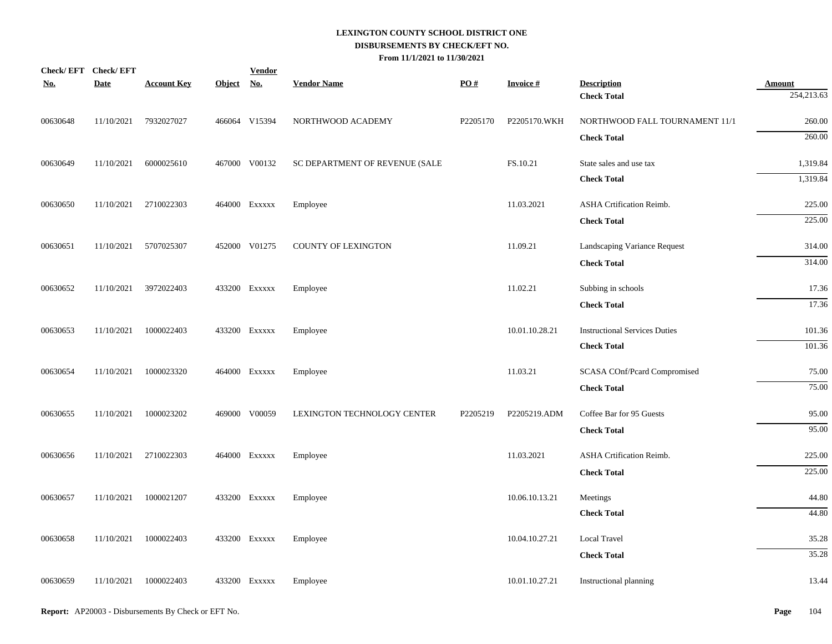| 254,213.63<br>260.00 |
|----------------------|
|                      |
|                      |
| 260.00               |
| 1,319.84             |
| 1,319.84             |
| 225.00               |
| 225.00               |
| 314.00               |
| 314.00               |
| 17.36                |
| 17.36                |
|                      |
| 101.36<br>101.36     |
|                      |
| 75.00                |
| 75.00                |
| 95.00                |
| 95.00                |
| 225.00               |
| 225.00               |
| 44.80                |
| 44.80                |
| 35.28                |
| 35.28                |
| 13.44                |
|                      |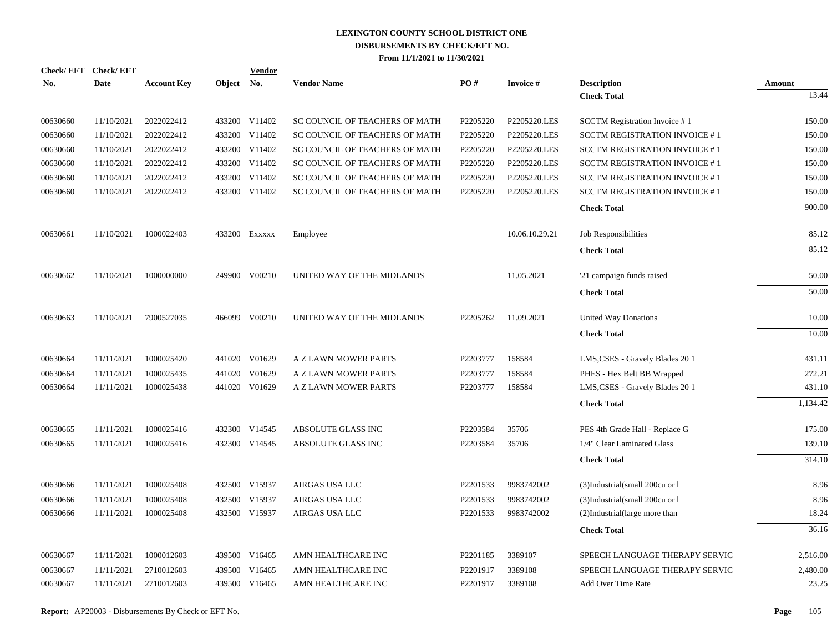| <u>No.</u> | Check/EFT Check/EFT<br><b>Date</b> | <b>Account Key</b> | Object No. | <b>Vendor</b> | <b>Vendor Name</b>             | PO#      | <b>Invoice#</b> | <b>Description</b>                   | Amount   |
|------------|------------------------------------|--------------------|------------|---------------|--------------------------------|----------|-----------------|--------------------------------------|----------|
|            |                                    |                    |            |               |                                |          |                 | <b>Check Total</b>                   | 13.44    |
| 00630660   | 11/10/2021                         | 2022022412         |            | 433200 V11402 | SC COUNCIL OF TEACHERS OF MATH | P2205220 | P2205220.LES    | <b>SCCTM Registration Invoice #1</b> | 150.00   |
| 00630660   | 11/10/2021                         | 2022022412         |            | 433200 V11402 | SC COUNCIL OF TEACHERS OF MATH | P2205220 | P2205220.LES    | <b>SCCTM REGISTRATION INVOICE #1</b> | 150.00   |
| 00630660   | 11/10/2021                         | 2022022412         |            | 433200 V11402 | SC COUNCIL OF TEACHERS OF MATH | P2205220 | P2205220.LES    | <b>SCCTM REGISTRATION INVOICE #1</b> | 150.00   |
| 00630660   | 11/10/2021                         | 2022022412         |            | 433200 V11402 | SC COUNCIL OF TEACHERS OF MATH | P2205220 | P2205220.LES    | <b>SCCTM REGISTRATION INVOICE #1</b> | 150.00   |
| 00630660   | 11/10/2021                         | 2022022412         |            | 433200 V11402 | SC COUNCIL OF TEACHERS OF MATH | P2205220 | P2205220.LES    | <b>SCCTM REGISTRATION INVOICE #1</b> | 150.00   |
| 00630660   | 11/10/2021                         | 2022022412         |            | 433200 V11402 | SC COUNCIL OF TEACHERS OF MATH | P2205220 | P2205220.LES    | <b>SCCTM REGISTRATION INVOICE #1</b> | 150.00   |
|            |                                    |                    |            |               |                                |          |                 | <b>Check Total</b>                   | 900.00   |
| 00630661   | 11/10/2021                         | 1000022403         |            | 433200 Exxxxx | Employee                       |          | 10.06.10.29.21  | Job Responsibilities                 | 85.12    |
|            |                                    |                    |            |               |                                |          |                 | <b>Check Total</b>                   | 85.12    |
| 00630662   | 11/10/2021                         | 1000000000         |            | 249900 V00210 | UNITED WAY OF THE MIDLANDS     |          | 11.05.2021      | '21 campaign funds raised            | 50.00    |
|            |                                    |                    |            |               |                                |          |                 | <b>Check Total</b>                   | 50.00    |
| 00630663   | 11/10/2021                         | 7900527035         |            | 466099 V00210 | UNITED WAY OF THE MIDLANDS     | P2205262 | 11.09.2021      | United Way Donations                 | 10.00    |
|            |                                    |                    |            |               |                                |          |                 | <b>Check Total</b>                   | 10.00    |
| 00630664   | 11/11/2021                         | 1000025420         |            | 441020 V01629 | A Z LAWN MOWER PARTS           | P2203777 | 158584          | LMS, CSES - Gravely Blades 20 1      | 431.11   |
| 00630664   | 11/11/2021                         | 1000025435         |            | 441020 V01629 | A Z LAWN MOWER PARTS           | P2203777 | 158584          | PHES - Hex Belt BB Wrapped           | 272.21   |
| 00630664   | 11/11/2021                         | 1000025438         |            | 441020 V01629 | A Z LAWN MOWER PARTS           | P2203777 | 158584          | LMS, CSES - Gravely Blades 20 1      | 431.10   |
|            |                                    |                    |            |               |                                |          |                 | <b>Check Total</b>                   | 1,134.42 |
| 00630665   | 11/11/2021                         | 1000025416         |            | 432300 V14545 | ABSOLUTE GLASS INC             | P2203584 | 35706           | PES 4th Grade Hall - Replace G       | 175.00   |
| 00630665   | 11/11/2021                         | 1000025416         |            | 432300 V14545 | ABSOLUTE GLASS INC             | P2203584 | 35706           | 1/4" Clear Laminated Glass           | 139.10   |
|            |                                    |                    |            |               |                                |          |                 | <b>Check Total</b>                   | 314.10   |
| 00630666   | 11/11/2021                         | 1000025408         |            | 432500 V15937 | AIRGAS USA LLC                 | P2201533 | 9983742002      | (3)Industrial(small 200cu or l       | 8.96     |
| 00630666   | 11/11/2021                         | 1000025408         |            | 432500 V15937 | AIRGAS USA LLC                 | P2201533 | 9983742002      | (3)Industrial(small 200cu or l       | 8.96     |
| 00630666   | 11/11/2021                         | 1000025408         |            | 432500 V15937 | AIRGAS USA LLC                 | P2201533 | 9983742002      | (2)Industrial(large more than        | 18.24    |
|            |                                    |                    |            |               |                                |          |                 | <b>Check Total</b>                   | 36.16    |
| 00630667   | 11/11/2021                         | 1000012603         |            | 439500 V16465 | AMN HEALTHCARE INC             | P2201185 | 3389107         | SPEECH LANGUAGE THERAPY SERVIC       | 2,516.00 |
| 00630667   | 11/11/2021                         | 2710012603         | 439500     | V16465        | AMN HEALTHCARE INC             | P2201917 | 3389108         | SPEECH LANGUAGE THERAPY SERVIC       | 2,480.00 |
| 00630667   | 11/11/2021                         | 2710012603         |            | 439500 V16465 | AMN HEALTHCARE INC             | P2201917 | 3389108         | Add Over Time Rate                   | 23.25    |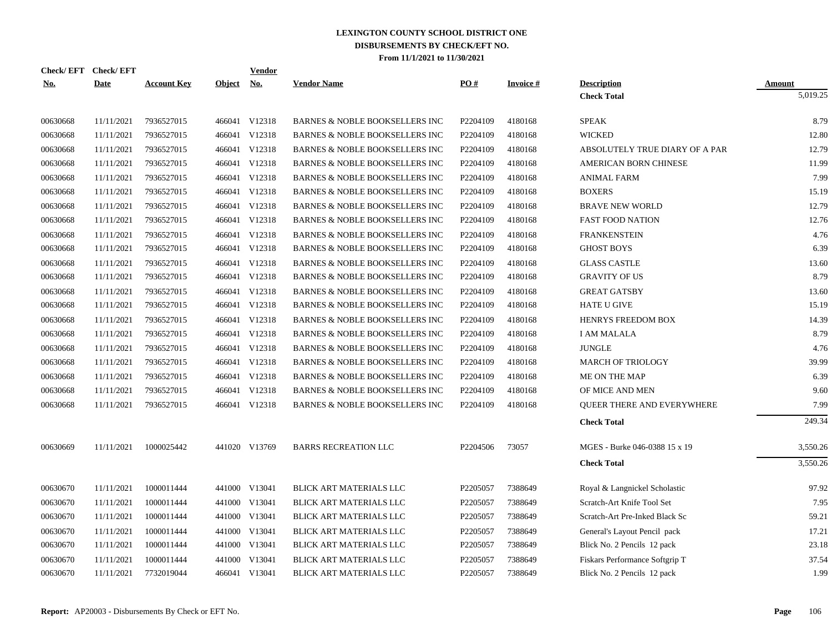| Check/EFT Check/EFT |             |                    |               | <b>Vendor</b>            |                                           |          |                 |                                |               |
|---------------------|-------------|--------------------|---------------|--------------------------|-------------------------------------------|----------|-----------------|--------------------------------|---------------|
| <b>No.</b>          | <b>Date</b> | <b>Account Key</b> | <u>Object</u> | $\mathbf{N}\mathbf{o}$ . | <b>Vendor Name</b>                        | PO#      | <b>Invoice#</b> | <b>Description</b>             | <b>Amount</b> |
|                     |             |                    |               |                          |                                           |          |                 | <b>Check Total</b>             | 5,019.25      |
| 00630668            | 11/11/2021  | 7936527015         |               | 466041 V12318            | <b>BARNES &amp; NOBLE BOOKSELLERS INC</b> | P2204109 | 4180168         | <b>SPEAK</b>                   | 8.79          |
| 00630668            | 11/11/2021  | 7936527015         |               | 466041 V12318            | <b>BARNES &amp; NOBLE BOOKSELLERS INC</b> | P2204109 | 4180168         | <b>WICKED</b>                  | 12.80         |
| 00630668            | 11/11/2021  | 7936527015         |               | 466041 V12318            | <b>BARNES &amp; NOBLE BOOKSELLERS INC</b> | P2204109 | 4180168         | ABSOLUTELY TRUE DIARY OF A PAR | 12.79         |
| 00630668            | 11/11/2021  | 7936527015         |               | 466041 V12318            | <b>BARNES &amp; NOBLE BOOKSELLERS INC</b> | P2204109 | 4180168         | <b>AMERICAN BORN CHINESE</b>   | 11.99         |
| 00630668            | 11/11/2021  | 7936527015         |               | 466041 V12318            | <b>BARNES &amp; NOBLE BOOKSELLERS INC</b> | P2204109 | 4180168         | <b>ANIMAL FARM</b>             | 7.99          |
| 00630668            | 11/11/2021  | 7936527015         |               | 466041 V12318            | BARNES & NOBLE BOOKSELLERS INC            | P2204109 | 4180168         | <b>BOXERS</b>                  | 15.19         |
| 00630668            | 11/11/2021  | 7936527015         |               | 466041 V12318            | <b>BARNES &amp; NOBLE BOOKSELLERS INC</b> | P2204109 | 4180168         | <b>BRAVE NEW WORLD</b>         | 12.79         |
| 00630668            | 11/11/2021  | 7936527015         |               | 466041 V12318            | <b>BARNES &amp; NOBLE BOOKSELLERS INC</b> | P2204109 | 4180168         | <b>FAST FOOD NATION</b>        | 12.76         |
| 00630668            | 11/11/2021  | 7936527015         |               | 466041 V12318            | BARNES & NOBLE BOOKSELLERS INC            | P2204109 | 4180168         | <b>FRANKENSTEIN</b>            | 4.76          |
| 00630668            | 11/11/2021  | 7936527015         |               | 466041 V12318            | <b>BARNES &amp; NOBLE BOOKSELLERS INC</b> | P2204109 | 4180168         | <b>GHOST BOYS</b>              | 6.39          |
| 00630668            | 11/11/2021  | 7936527015         |               | 466041 V12318            | BARNES & NOBLE BOOKSELLERS INC            | P2204109 | 4180168         | <b>GLASS CASTLE</b>            | 13.60         |
| 00630668            | 11/11/2021  | 7936527015         |               | 466041 V12318            | BARNES & NOBLE BOOKSELLERS INC            | P2204109 | 4180168         | <b>GRAVITY OF US</b>           | 8.79          |
| 00630668            | 11/11/2021  | 7936527015         |               | 466041 V12318            | BARNES & NOBLE BOOKSELLERS INC            | P2204109 | 4180168         | <b>GREAT GATSBY</b>            | 13.60         |
| 00630668            | 11/11/2021  | 7936527015         |               | 466041 V12318            | BARNES & NOBLE BOOKSELLERS INC            | P2204109 | 4180168         | <b>HATE U GIVE</b>             | 15.19         |
| 00630668            | 11/11/2021  | 7936527015         |               | 466041 V12318            | <b>BARNES &amp; NOBLE BOOKSELLERS INC</b> | P2204109 | 4180168         | HENRYS FREEDOM BOX             | 14.39         |
| 00630668            | 11/11/2021  | 7936527015         |               | 466041 V12318            | BARNES & NOBLE BOOKSELLERS INC            | P2204109 | 4180168         | I AM MALALA                    | 8.79          |
| 00630668            | 11/11/2021  | 7936527015         |               | 466041 V12318            | <b>BARNES &amp; NOBLE BOOKSELLERS INC</b> | P2204109 | 4180168         | <b>JUNGLE</b>                  | 4.76          |
| 00630668            | 11/11/2021  | 7936527015         |               | 466041 V12318            | <b>BARNES &amp; NOBLE BOOKSELLERS INC</b> | P2204109 | 4180168         | <b>MARCH OF TRIOLOGY</b>       | 39.99         |
| 00630668            | 11/11/2021  | 7936527015         |               | 466041 V12318            | <b>BARNES &amp; NOBLE BOOKSELLERS INC</b> | P2204109 | 4180168         | ME ON THE MAP                  | 6.39          |
| 00630668            | 11/11/2021  | 7936527015         |               | 466041 V12318            | <b>BARNES &amp; NOBLE BOOKSELLERS INC</b> | P2204109 | 4180168         | OF MICE AND MEN                | 9.60          |
| 00630668            | 11/11/2021  | 7936527015         |               | 466041 V12318            | <b>BARNES &amp; NOBLE BOOKSELLERS INC</b> | P2204109 | 4180168         | QUEER THERE AND EVERYWHERE     | 7.99          |
|                     |             |                    |               |                          |                                           |          |                 | <b>Check Total</b>             | 249.34        |
| 00630669            | 11/11/2021  | 1000025442         |               | 441020 V13769            | <b>BARRS RECREATION LLC</b>               | P2204506 | 73057           | MGES - Burke 046-0388 15 x 19  | 3,550.26      |
|                     |             |                    |               |                          |                                           |          |                 | <b>Check Total</b>             | 3,550.26      |
| 00630670            | 11/11/2021  | 1000011444         |               | 441000 V13041            | <b>BLICK ART MATERIALS LLC</b>            | P2205057 | 7388649         | Royal & Langnickel Scholastic  | 97.92         |
| 00630670            | 11/11/2021  | 1000011444         |               | 441000 V13041            | BLICK ART MATERIALS LLC                   | P2205057 | 7388649         | Scratch-Art Knife Tool Set     | 7.95          |
| 00630670            | 11/11/2021  | 1000011444         |               | 441000 V13041            | BLICK ART MATERIALS LLC                   | P2205057 | 7388649         | Scratch-Art Pre-Inked Black Sc | 59.21         |
| 00630670            | 11/11/2021  | 1000011444         |               | 441000 V13041            | BLICK ART MATERIALS LLC                   | P2205057 | 7388649         | General's Layout Pencil pack   | 17.21         |
| 00630670            | 11/11/2021  | 1000011444         |               | 441000 V13041            | BLICK ART MATERIALS LLC                   | P2205057 | 7388649         | Blick No. 2 Pencils 12 pack    | 23.18         |
| 00630670            | 11/11/2021  | 1000011444         |               | 441000 V13041            | BLICK ART MATERIALS LLC                   | P2205057 | 7388649         | Fiskars Performance Softgrip T | 37.54         |
| 00630670            | 11/11/2021  | 7732019044         |               | 466041 V13041            | BLICK ART MATERIALS LLC                   | P2205057 | 7388649         | Blick No. 2 Pencils 12 pack    | 1.99          |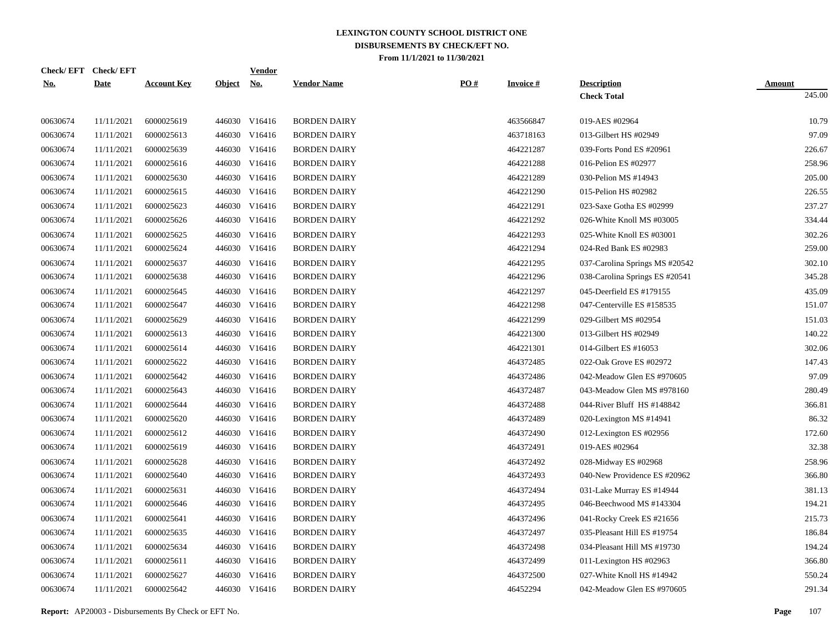|            | Check/EFT Check/EFT |                    |            | <u>Vendor</u> |                     |     |                 |                                |               |
|------------|---------------------|--------------------|------------|---------------|---------------------|-----|-----------------|--------------------------------|---------------|
| <u>No.</u> | <b>Date</b>         | <b>Account Key</b> | Object No. |               | <b>Vendor Name</b>  | PO# | <b>Invoice#</b> | <b>Description</b>             | <b>Amount</b> |
|            |                     |                    |            |               |                     |     |                 | <b>Check Total</b>             | 245.00        |
| 00630674   | 11/11/2021          | 6000025619         |            | 446030 V16416 | <b>BORDEN DAIRY</b> |     | 463566847       | 019-AES #02964                 | 10.79         |
| 00630674   | 11/11/2021          | 6000025613         |            | 446030 V16416 | <b>BORDEN DAIRY</b> |     | 463718163       | 013-Gilbert HS #02949          | 97.09         |
| 00630674   | 11/11/2021          | 6000025639         |            | 446030 V16416 | <b>BORDEN DAIRY</b> |     | 464221287       | 039-Forts Pond ES #20961       | 226.67        |
| 00630674   | 11/11/2021          | 6000025616         |            | 446030 V16416 | <b>BORDEN DAIRY</b> |     | 464221288       | 016-Pelion ES #02977           | 258.96        |
| 00630674   | 11/11/2021          | 6000025630         |            | 446030 V16416 | <b>BORDEN DAIRY</b> |     | 464221289       | 030-Pelion MS #14943           | 205.00        |
| 00630674   | 11/11/2021          | 6000025615         |            | 446030 V16416 | <b>BORDEN DAIRY</b> |     | 464221290       | 015-Pelion HS #02982           | 226.55        |
| 00630674   | 11/11/2021          | 6000025623         |            | 446030 V16416 | <b>BORDEN DAIRY</b> |     | 464221291       | 023-Saxe Gotha ES #02999       | 237.27        |
| 00630674   | 11/11/2021          | 6000025626         |            | 446030 V16416 | <b>BORDEN DAIRY</b> |     | 464221292       | 026-White Knoll MS #03005      | 334.44        |
| 00630674   | 11/11/2021          | 6000025625         |            | 446030 V16416 | <b>BORDEN DAIRY</b> |     | 464221293       | 025-White Knoll ES #03001      | 302.26        |
| 00630674   | 11/11/2021          | 6000025624         |            | 446030 V16416 | <b>BORDEN DAIRY</b> |     | 464221294       | 024-Red Bank ES #02983         | 259.00        |
| 00630674   | 11/11/2021          | 6000025637         |            | 446030 V16416 | <b>BORDEN DAIRY</b> |     | 464221295       | 037-Carolina Springs MS #20542 | 302.10        |
| 00630674   | 11/11/2021          | 6000025638         |            | 446030 V16416 | <b>BORDEN DAIRY</b> |     | 464221296       | 038-Carolina Springs ES #20541 | 345.28        |
| 00630674   | 11/11/2021          | 6000025645         |            | 446030 V16416 | <b>BORDEN DAIRY</b> |     | 464221297       | 045-Deerfield ES #179155       | 435.09        |
| 00630674   | 11/11/2021          | 6000025647         |            | 446030 V16416 | <b>BORDEN DAIRY</b> |     | 464221298       | 047-Centerville ES #158535     | 151.07        |
| 00630674   | 11/11/2021          | 6000025629         |            | 446030 V16416 | <b>BORDEN DAIRY</b> |     | 464221299       | 029-Gilbert MS #02954          | 151.03        |
| 00630674   | 11/11/2021          | 6000025613         |            | 446030 V16416 | <b>BORDEN DAIRY</b> |     | 464221300       | 013-Gilbert HS #02949          | 140.22        |
| 00630674   | 11/11/2021          | 6000025614         |            | 446030 V16416 | <b>BORDEN DAIRY</b> |     | 464221301       | 014-Gilbert ES #16053          | 302.06        |
| 00630674   | 11/11/2021          | 6000025622         |            | 446030 V16416 | <b>BORDEN DAIRY</b> |     | 464372485       | 022-Oak Grove ES #02972        | 147.43        |
| 00630674   | 11/11/2021          | 6000025642         |            | 446030 V16416 | <b>BORDEN DAIRY</b> |     | 464372486       | 042-Meadow Glen ES #970605     | 97.09         |
| 00630674   | 11/11/2021          | 6000025643         |            | 446030 V16416 | <b>BORDEN DAIRY</b> |     | 464372487       | 043-Meadow Glen MS #978160     | 280.49        |
| 00630674   | 11/11/2021          | 6000025644         |            | 446030 V16416 | <b>BORDEN DAIRY</b> |     | 464372488       | 044-River Bluff HS #148842     | 366.81        |
| 00630674   | 11/11/2021          | 6000025620         |            | 446030 V16416 | <b>BORDEN DAIRY</b> |     | 464372489       | 020-Lexington MS #14941        | 86.32         |
| 00630674   | 11/11/2021          | 6000025612         |            | 446030 V16416 | <b>BORDEN DAIRY</b> |     | 464372490       | 012-Lexington ES #02956        | 172.60        |
| 00630674   | 11/11/2021          | 6000025619         |            | 446030 V16416 | <b>BORDEN DAIRY</b> |     | 464372491       | 019-AES #02964                 | 32.38         |
| 00630674   | 11/11/2021          | 6000025628         |            | 446030 V16416 | <b>BORDEN DAIRY</b> |     | 464372492       | 028-Midway ES #02968           | 258.96        |
| 00630674   | 11/11/2021          | 6000025640         |            | 446030 V16416 | <b>BORDEN DAIRY</b> |     | 464372493       | 040-New Providence ES #20962   | 366.80        |
| 00630674   | 11/11/2021          | 6000025631         |            | 446030 V16416 | <b>BORDEN DAIRY</b> |     | 464372494       | 031-Lake Murray ES #14944      | 381.13        |
| 00630674   | 11/11/2021          | 6000025646         |            | 446030 V16416 | <b>BORDEN DAIRY</b> |     | 464372495       | 046-Beechwood MS #143304       | 194.21        |
| 00630674   | 11/11/2021          | 6000025641         |            | 446030 V16416 | <b>BORDEN DAIRY</b> |     | 464372496       | 041-Rocky Creek ES #21656      | 215.73        |
| 00630674   | 11/11/2021          | 6000025635         |            | 446030 V16416 | <b>BORDEN DAIRY</b> |     | 464372497       | 035-Pleasant Hill ES #19754    | 186.84        |
| 00630674   | 11/11/2021          | 6000025634         |            | 446030 V16416 | <b>BORDEN DAIRY</b> |     | 464372498       | 034-Pleasant Hill MS #19730    | 194.24        |
| 00630674   | 11/11/2021          | 6000025611         |            | 446030 V16416 | <b>BORDEN DAIRY</b> |     | 464372499       | 011-Lexington HS #02963        | 366.80        |
| 00630674   | 11/11/2021          | 6000025627         | 446030     | V16416        | <b>BORDEN DAIRY</b> |     | 464372500       | 027-White Knoll HS #14942      | 550.24        |
| 00630674   | 11/11/2021          | 6000025642         |            | 446030 V16416 | <b>BORDEN DAIRY</b> |     | 46452294        | 042-Meadow Glen ES #970605     | 291.34        |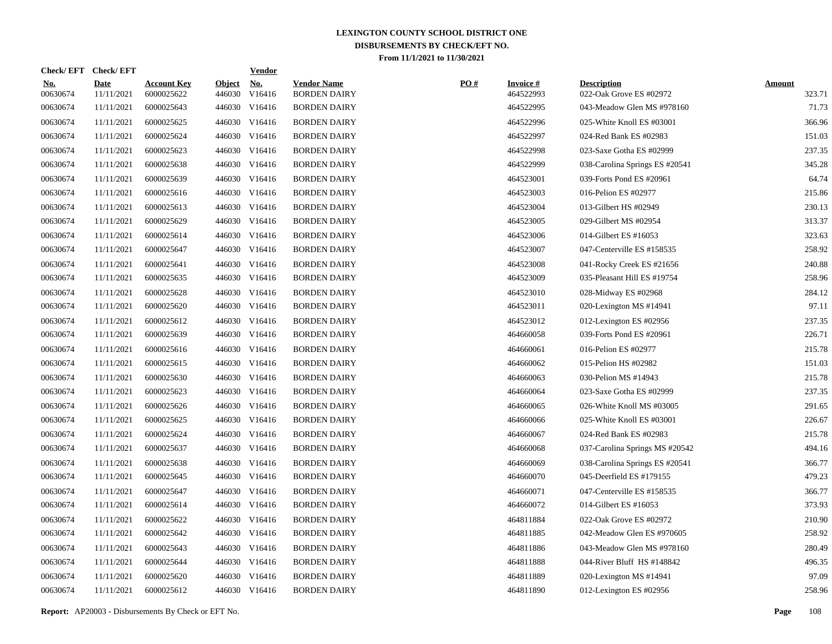| Check/EFT Check/EFT    |                           |                                  |                         | <u>Vendor</u>        |                                           |     |                              |                                               |                         |
|------------------------|---------------------------|----------------------------------|-------------------------|----------------------|-------------------------------------------|-----|------------------------------|-----------------------------------------------|-------------------------|
| <u>No.</u><br>00630674 | <b>Date</b><br>11/11/2021 | <b>Account Key</b><br>6000025622 | <b>Object</b><br>446030 | <u>No.</u><br>V16416 | <b>Vendor Name</b><br><b>BORDEN DAIRY</b> | PO# | <b>Invoice#</b><br>464522993 | <b>Description</b><br>022-Oak Grove ES #02972 | <b>Amount</b><br>323.71 |
| 00630674               | 11/11/2021                | 6000025643                       |                         | 446030 V16416        | <b>BORDEN DAIRY</b>                       |     | 464522995                    | 043-Meadow Glen MS #978160                    | 71.73                   |
| 00630674               | 11/11/2021                | 6000025625                       |                         | 446030 V16416        | <b>BORDEN DAIRY</b>                       |     | 464522996                    | 025-White Knoll ES #03001                     | 366.96                  |
| 00630674               | 11/11/2021                | 6000025624                       |                         | 446030 V16416        | <b>BORDEN DAIRY</b>                       |     | 464522997                    | 024-Red Bank ES #02983                        | 151.03                  |
| 00630674               | 11/11/2021                | 6000025623                       |                         | 446030 V16416        | <b>BORDEN DAIRY</b>                       |     | 464522998                    | 023-Saxe Gotha ES #02999                      | 237.35                  |
| 00630674               | 11/11/2021                | 6000025638                       |                         | 446030 V16416        | <b>BORDEN DAIRY</b>                       |     | 464522999                    | 038-Carolina Springs ES #20541                | 345.28                  |
| 00630674               | 11/11/2021                | 6000025639                       |                         | 446030 V16416        | <b>BORDEN DAIRY</b>                       |     | 464523001                    | 039-Forts Pond ES #20961                      | 64.74                   |
| 00630674               | 11/11/2021                | 6000025616                       |                         | 446030 V16416        | <b>BORDEN DAIRY</b>                       |     | 464523003                    | 016-Pelion ES #02977                          | 215.86                  |
| 00630674               | 11/11/2021                | 6000025613                       |                         | 446030 V16416        | <b>BORDEN DAIRY</b>                       |     | 464523004                    | 013-Gilbert HS #02949                         | 230.13                  |
| 00630674               | 11/11/2021                | 6000025629                       |                         | 446030 V16416        | <b>BORDEN DAIRY</b>                       |     | 464523005                    | 029-Gilbert MS #02954                         | 313.37                  |
| 00630674               | 11/11/2021                | 6000025614                       |                         | 446030 V16416        | <b>BORDEN DAIRY</b>                       |     | 464523006                    | 014-Gilbert ES #16053                         | 323.63                  |
| 00630674               | 11/11/2021                | 6000025647                       |                         | 446030 V16416        | <b>BORDEN DAIRY</b>                       |     | 464523007                    | 047-Centerville ES #158535                    | 258.92                  |
| 00630674               | 11/11/2021                | 6000025641                       |                         | 446030 V16416        | <b>BORDEN DAIRY</b>                       |     | 464523008                    | 041-Rocky Creek ES #21656                     | 240.88                  |
| 00630674               | 11/11/2021                | 6000025635                       |                         | 446030 V16416        | <b>BORDEN DAIRY</b>                       |     | 464523009                    | 035-Pleasant Hill ES #19754                   | 258.96                  |
| 00630674               | 11/11/2021                | 6000025628                       |                         | 446030 V16416        | <b>BORDEN DAIRY</b>                       |     | 464523010                    | 028-Midway ES #02968                          | 284.12                  |
| 00630674               | 11/11/2021                | 6000025620                       |                         | 446030 V16416        | <b>BORDEN DAIRY</b>                       |     | 464523011                    | 020-Lexington MS #14941                       | 97.11                   |
| 00630674               | 11/11/2021                | 6000025612                       |                         | 446030 V16416        | <b>BORDEN DAIRY</b>                       |     | 464523012                    | 012-Lexington ES #02956                       | 237.35                  |
| 00630674               | 11/11/2021                | 6000025639                       |                         | 446030 V16416        | <b>BORDEN DAIRY</b>                       |     | 464660058                    | 039-Forts Pond ES #20961                      | 226.71                  |
| 00630674               | 11/11/2021                | 6000025616                       |                         | 446030 V16416        | <b>BORDEN DAIRY</b>                       |     | 464660061                    | 016-Pelion ES #02977                          | 215.78                  |
| 00630674               | 11/11/2021                | 6000025615                       |                         | 446030 V16416        | <b>BORDEN DAIRY</b>                       |     | 464660062                    | 015-Pelion HS #02982                          | 151.03                  |
| 00630674               | 11/11/2021                | 6000025630                       |                         | 446030 V16416        | <b>BORDEN DAIRY</b>                       |     | 464660063                    | 030-Pelion MS #14943                          | 215.78                  |
| 00630674               | 11/11/2021                | 6000025623                       |                         | 446030 V16416        | <b>BORDEN DAIRY</b>                       |     | 464660064                    | 023-Saxe Gotha ES #02999                      | 237.35                  |
| 00630674               | 11/11/2021                | 6000025626                       |                         | 446030 V16416        | <b>BORDEN DAIRY</b>                       |     | 464660065                    | 026-White Knoll MS #03005                     | 291.65                  |
| 00630674               | 11/11/2021                | 6000025625                       |                         | 446030 V16416        | <b>BORDEN DAIRY</b>                       |     | 464660066                    | 025-White Knoll ES #03001                     | 226.67                  |
| 00630674               | 11/11/2021                | 6000025624                       |                         | 446030 V16416        | <b>BORDEN DAIRY</b>                       |     | 464660067                    | 024-Red Bank ES #02983                        | 215.78                  |
| 00630674               | 11/11/2021                | 6000025637                       |                         | 446030 V16416        | <b>BORDEN DAIRY</b>                       |     | 464660068                    | 037-Carolina Springs MS #20542                | 494.16                  |
| 00630674               | 11/11/2021                | 6000025638                       |                         | 446030 V16416        | <b>BORDEN DAIRY</b>                       |     | 464660069                    | 038-Carolina Springs ES #20541                | 366.77                  |
| 00630674               | 11/11/2021                | 6000025645                       |                         | 446030 V16416        | <b>BORDEN DAIRY</b>                       |     | 464660070                    | 045-Deerfield ES #179155                      | 479.23                  |
| 00630674               | 11/11/2021                | 6000025647                       |                         | 446030 V16416        | <b>BORDEN DAIRY</b>                       |     | 464660071                    | 047-Centerville ES #158535                    | 366.77                  |
| 00630674               | 11/11/2021                | 6000025614                       |                         | 446030 V16416        | <b>BORDEN DAIRY</b>                       |     | 464660072                    | 014-Gilbert ES #16053                         | 373.93                  |
| 00630674               | 11/11/2021                | 6000025622                       |                         | 446030 V16416        | <b>BORDEN DAIRY</b>                       |     | 464811884                    | 022-Oak Grove ES #02972                       | 210.90                  |
| 00630674               | 11/11/2021                | 6000025642                       |                         | 446030 V16416        | <b>BORDEN DAIRY</b>                       |     | 464811885                    | 042-Meadow Glen ES #970605                    | 258.92                  |
| 00630674               | 11/11/2021                | 6000025643                       |                         | 446030 V16416        | <b>BORDEN DAIRY</b>                       |     | 464811886                    | 043-Meadow Glen MS #978160                    | 280.49                  |
| 00630674               | 11/11/2021                | 6000025644                       |                         | 446030 V16416        | <b>BORDEN DAIRY</b>                       |     | 464811888                    | 044-River Bluff HS #148842                    | 496.35                  |
| 00630674               | 11/11/2021                | 6000025620                       | 446030                  | V16416               | <b>BORDEN DAIRY</b>                       |     | 464811889                    | 020-Lexington MS #14941                       | 97.09                   |
| 00630674               | 11/11/2021                | 6000025612                       |                         | 446030 V16416        | <b>BORDEN DAIRY</b>                       |     | 464811890                    | 012-Lexington ES #02956                       | 258.96                  |
|                        |                           |                                  |                         |                      |                                           |     |                              |                                               |                         |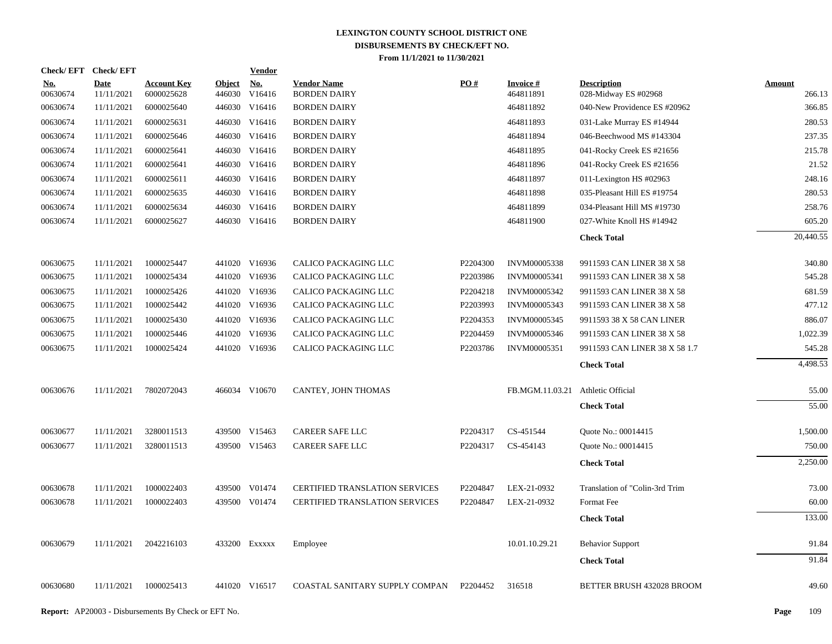| Check/EFT Check/EFT    |                           |                                  |                         | <b>Vendor</b>        |                                           |                   |                                   |                                            |                         |
|------------------------|---------------------------|----------------------------------|-------------------------|----------------------|-------------------------------------------|-------------------|-----------------------------------|--------------------------------------------|-------------------------|
| <u>No.</u><br>00630674 | <b>Date</b><br>11/11/2021 | <b>Account Key</b><br>6000025628 | <b>Object</b><br>446030 | <u>No.</u><br>V16416 | <b>Vendor Name</b><br><b>BORDEN DAIRY</b> | $\underline{PO#}$ | <b>Invoice</b> #<br>464811891     | <b>Description</b><br>028-Midway ES #02968 | <b>Amount</b><br>266.13 |
| 00630674               | 11/11/2021                | 6000025640                       | 446030                  | V16416               | <b>BORDEN DAIRY</b>                       |                   | 464811892                         | 040-New Providence ES #20962               | 366.85                  |
| 00630674               | 11/11/2021                | 6000025631                       | 446030                  | V16416               | <b>BORDEN DAIRY</b>                       |                   | 464811893                         | 031-Lake Murray ES #14944                  | 280.53                  |
| 00630674               | 11/11/2021                | 6000025646                       |                         | 446030 V16416        | <b>BORDEN DAIRY</b>                       |                   | 464811894                         | 046-Beechwood MS #143304                   | 237.35                  |
| 00630674               | 11/11/2021                | 6000025641                       | 446030                  | V16416               | <b>BORDEN DAIRY</b>                       |                   | 464811895                         | 041-Rocky Creek ES #21656                  | 215.78                  |
| 00630674               | 11/11/2021                | 6000025641                       |                         | 446030 V16416        | <b>BORDEN DAIRY</b>                       |                   | 464811896                         | 041-Rocky Creek ES #21656                  | 21.52                   |
| 00630674               | 11/11/2021                | 6000025611                       |                         | 446030 V16416        | <b>BORDEN DAIRY</b>                       |                   | 464811897                         | 011-Lexington HS #02963                    | 248.16                  |
| 00630674               | 11/11/2021                | 6000025635                       |                         | 446030 V16416        | <b>BORDEN DAIRY</b>                       |                   | 464811898                         | 035-Pleasant Hill ES #19754                | 280.53                  |
| 00630674               | 11/11/2021                | 6000025634                       |                         | 446030 V16416        | <b>BORDEN DAIRY</b>                       |                   | 464811899                         | 034-Pleasant Hill MS #19730                | 258.76                  |
| 00630674               | 11/11/2021                | 6000025627                       |                         | 446030 V16416        | <b>BORDEN DAIRY</b>                       |                   | 464811900                         | 027-White Knoll HS #14942                  | 605.20                  |
|                        |                           |                                  |                         |                      |                                           |                   |                                   | <b>Check Total</b>                         | 20,440.55               |
| 00630675               | 11/11/2021                | 1000025447                       |                         | 441020 V16936        | CALICO PACKAGING LLC                      | P2204300          | INVM00005338                      | 9911593 CAN LINER 38 X 58                  | 340.80                  |
| 00630675               | 11/11/2021                | 1000025434                       |                         | 441020 V16936        | CALICO PACKAGING LLC                      | P2203986          | <b>INVM00005341</b>               | 9911593 CAN LINER 38 X 58                  | 545.28                  |
| 00630675               | 11/11/2021                | 1000025426                       |                         | 441020 V16936        | CALICO PACKAGING LLC                      | P2204218          | INVM00005342                      | 9911593 CAN LINER 38 X 58                  | 681.59                  |
| 00630675               | 11/11/2021                | 1000025442                       |                         | 441020 V16936        | CALICO PACKAGING LLC                      | P2203993          | INVM00005343                      | 9911593 CAN LINER 38 X 58                  | 477.12                  |
| 00630675               | 11/11/2021                | 1000025430                       |                         | 441020 V16936        | CALICO PACKAGING LLC                      | P2204353          | INVM00005345                      | 9911593 38 X 58 CAN LINER                  | 886.07                  |
| 00630675               | 11/11/2021                | 1000025446                       |                         | 441020 V16936        | CALICO PACKAGING LLC                      | P2204459          | INVM00005346                      | 9911593 CAN LINER 38 X 58                  | 1,022.39                |
| 00630675               | 11/11/2021                | 1000025424                       |                         | 441020 V16936        | CALICO PACKAGING LLC                      | P2203786          | INVM00005351                      | 9911593 CAN LINER 38 X 58 1.7              | 545.28                  |
|                        |                           |                                  |                         |                      |                                           |                   |                                   | <b>Check Total</b>                         | 4,498.53                |
| 00630676               | 11/11/2021                | 7802072043                       |                         | 466034 V10670        | CANTEY, JOHN THOMAS                       |                   | FB.MGM.11.03.21 Athletic Official |                                            | 55.00                   |
|                        |                           |                                  |                         |                      |                                           |                   |                                   | <b>Check Total</b>                         | 55.00                   |
| 00630677               | 11/11/2021                | 3280011513                       |                         | 439500 V15463        | <b>CAREER SAFE LLC</b>                    | P2204317          | CS-451544                         | Quote No.: 00014415                        | 1,500.00                |
| 00630677               | 11/11/2021                | 3280011513                       |                         | 439500 V15463        | <b>CAREER SAFE LLC</b>                    | P2204317          | CS-454143                         | Quote No.: 00014415                        | 750.00                  |
|                        |                           |                                  |                         |                      |                                           |                   |                                   | <b>Check Total</b>                         | 2,250.00                |
| 00630678               | 11/11/2021                | 1000022403                       |                         | 439500 V01474        | <b>CERTIFIED TRANSLATION SERVICES</b>     | P2204847          | LEX-21-0932                       | Translation of "Colin-3rd Trim             | 73.00                   |
| 00630678               | 11/11/2021                | 1000022403                       |                         | 439500 V01474        | <b>CERTIFIED TRANSLATION SERVICES</b>     | P2204847          | LEX-21-0932                       | Format Fee                                 | 60.00                   |
|                        |                           |                                  |                         |                      |                                           |                   |                                   | <b>Check Total</b>                         | 133.00                  |
| 00630679               | 11/11/2021                | 2042216103                       |                         | 433200 EXXXXX        | Employee                                  |                   | 10.01.10.29.21                    | <b>Behavior Support</b>                    | 91.84                   |
|                        |                           |                                  |                         |                      |                                           |                   |                                   | <b>Check Total</b>                         | 91.84                   |
| 00630680               | 11/11/2021                | 1000025413                       |                         | 441020 V16517        | COASTAL SANITARY SUPPLY COMPAN            | P2204452          | 316518                            | BETTER BRUSH 432028 BROOM                  | 49.60                   |
|                        |                           |                                  |                         |                      |                                           |                   |                                   |                                            |                         |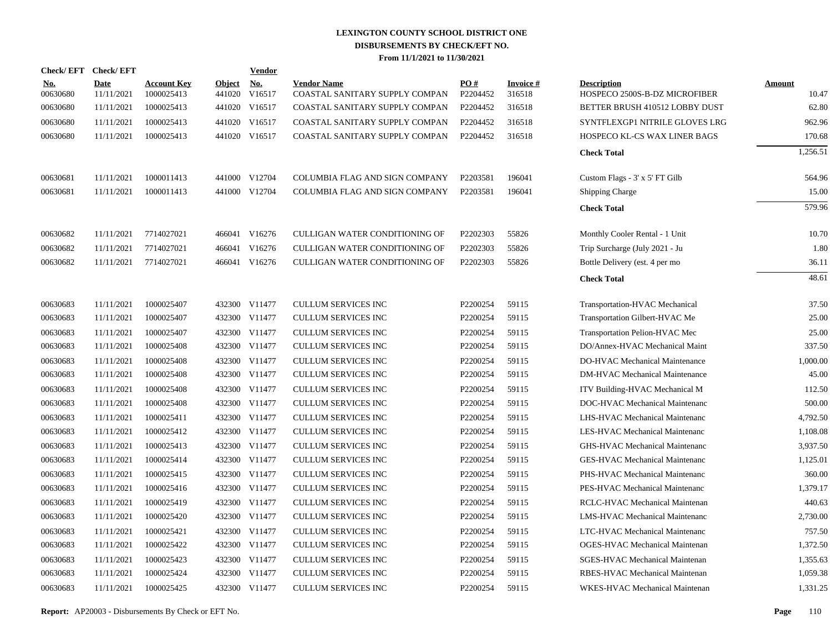|                 | Check/EFT Check/EFT |                                  |                         | <b>Vendor</b> |                                                      |                 |                           |                                                     |                        |
|-----------------|---------------------|----------------------------------|-------------------------|---------------|------------------------------------------------------|-----------------|---------------------------|-----------------------------------------------------|------------------------|
| No.<br>00630680 | Date<br>11/11/2021  | <b>Account Key</b><br>1000025413 | <b>Object</b><br>441020 | No.<br>V16517 | <b>Vendor Name</b><br>COASTAL SANITARY SUPPLY COMPAN | PO#<br>P2204452 | <b>Invoice#</b><br>316518 | <b>Description</b><br>HOSPECO 2500S-B-DZ MICROFIBER | <b>Amount</b><br>10.47 |
| 00630680        | 11/11/2021          | 1000025413                       |                         | 441020 V16517 | COASTAL SANITARY SUPPLY COMPAN                       | P2204452        | 316518                    | BETTER BRUSH 410512 LOBBY DUST                      | 62.80                  |
| 00630680        | 11/11/2021          | 1000025413                       |                         | 441020 V16517 | COASTAL SANITARY SUPPLY COMPAN                       | P2204452        | 316518                    | SYNTFLEXGP1 NITRILE GLOVES LRG                      | 962.96                 |
| 00630680        | 11/11/2021          | 1000025413                       |                         | 441020 V16517 | COASTAL SANITARY SUPPLY COMPAN                       | P2204452        | 316518                    | HOSPECO KL-CS WAX LINER BAGS                        | 170.68                 |
|                 |                     |                                  |                         |               |                                                      |                 |                           | <b>Check Total</b>                                  | 1,256.51               |
| 00630681        | 11/11/2021          | 1000011413                       |                         | 441000 V12704 | COLUMBIA FLAG AND SIGN COMPANY                       | P2203581        | 196041                    | Custom Flags - 3' x 5' FT Gilb                      | 564.96                 |
| 00630681        | 11/11/2021          | 1000011413                       |                         | 441000 V12704 | COLUMBIA FLAG AND SIGN COMPANY                       | P2203581        | 196041                    | <b>Shipping Charge</b>                              | 15.00                  |
|                 |                     |                                  |                         |               |                                                      |                 |                           | <b>Check Total</b>                                  | 579.96                 |
| 00630682        | 11/11/2021          | 7714027021                       |                         | 466041 V16276 | CULLIGAN WATER CONDITIONING OF                       | P2202303        | 55826                     | Monthly Cooler Rental - 1 Unit                      | 10.70                  |
| 00630682        | 11/11/2021          | 7714027021                       |                         | 466041 V16276 | CULLIGAN WATER CONDITIONING OF                       | P2202303        | 55826                     | Trip Surcharge (July 2021 - Ju                      | 1.80                   |
| 00630682        | 11/11/2021          | 7714027021                       |                         | 466041 V16276 | <b>CULLIGAN WATER CONDITIONING OF</b>                | P2202303        | 55826                     | Bottle Delivery (est. 4 per mo                      | 36.11                  |
|                 |                     |                                  |                         |               |                                                      |                 |                           | <b>Check Total</b>                                  | 48.61                  |
| 00630683        | 11/11/2021          | 1000025407                       |                         | 432300 V11477 | CULLUM SERVICES INC                                  | P2200254        | 59115                     | Transportation-HVAC Mechanical                      | 37.50                  |
| 00630683        | 11/11/2021          | 1000025407                       |                         | 432300 V11477 | <b>CULLUM SERVICES INC</b>                           | P2200254        | 59115                     | Transportation Gilbert-HVAC Me                      | 25.00                  |
| 00630683        | 11/11/2021          | 1000025407                       |                         | 432300 V11477 | <b>CULLUM SERVICES INC</b>                           | P2200254        | 59115                     | Transportation Pelion-HVAC Mec                      | 25.00                  |
| 00630683        | 11/11/2021          | 1000025408                       |                         | 432300 V11477 | <b>CULLUM SERVICES INC</b>                           | P2200254        | 59115                     | DO/Annex-HVAC Mechanical Maint                      | 337.50                 |
| 00630683        | 11/11/2021          | 1000025408                       |                         | 432300 V11477 | <b>CULLUM SERVICES INC</b>                           | P2200254        | 59115                     | DO-HVAC Mechanical Maintenance                      | 1,000.00               |
| 00630683        | 11/11/2021          | 1000025408                       |                         | 432300 V11477 | <b>CULLUM SERVICES INC</b>                           | P2200254        | 59115                     | <b>DM-HVAC Mechanical Maintenance</b>               | 45.00                  |
| 00630683        | 11/11/2021          | 1000025408                       |                         | 432300 V11477 | <b>CULLUM SERVICES INC</b>                           | P2200254        | 59115                     | ITV Building-HVAC Mechanical M                      | 112.50                 |
| 00630683        | 11/11/2021          | 1000025408                       |                         | 432300 V11477 | <b>CULLUM SERVICES INC</b>                           | P2200254        | 59115                     | DOC-HVAC Mechanical Maintenanc                      | 500.00                 |
| 00630683        | 11/11/2021          | 1000025411                       |                         | 432300 V11477 | <b>CULLUM SERVICES INC</b>                           | P2200254        | 59115                     | LHS-HVAC Mechanical Maintenanc                      | 4,792.50               |
| 00630683        | 11/11/2021          | 1000025412                       |                         | 432300 V11477 | <b>CULLUM SERVICES INC</b>                           | P2200254        | 59115                     | LES-HVAC Mechanical Maintenanc                      | 1,108.08               |
| 00630683        | 11/11/2021          | 1000025413                       |                         | 432300 V11477 | <b>CULLUM SERVICES INC</b>                           | P2200254        | 59115                     | GHS-HVAC Mechanical Maintenanc                      | 3.937.50               |
| 00630683        | 11/11/2021          | 1000025414                       |                         | 432300 V11477 | <b>CULLUM SERVICES INC</b>                           | P2200254        | 59115                     | GES-HVAC Mechanical Maintenanc                      | 1,125.01               |
| 00630683        | 11/11/2021          | 1000025415                       |                         | 432300 V11477 | <b>CULLUM SERVICES INC</b>                           | P2200254        | 59115                     | PHS-HVAC Mechanical Maintenanc                      | 360.00                 |
| 00630683        | 11/11/2021          | 1000025416                       |                         | 432300 V11477 | <b>CULLUM SERVICES INC</b>                           | P2200254        | 59115                     | PES-HVAC Mechanical Maintenanc                      | 1,379.17               |
| 00630683        | 11/11/2021          | 1000025419                       |                         | 432300 V11477 | CULLUM SERVICES INC                                  | P2200254        | 59115                     | RCLC-HVAC Mechanical Maintenan                      | 440.63                 |
| 00630683        | 11/11/2021          | 1000025420                       |                         | 432300 V11477 | <b>CULLUM SERVICES INC</b>                           | P2200254        | 59115                     | <b>LMS-HVAC Mechanical Maintenanc</b>               | 2,730.00               |
| 00630683        | 11/11/2021          | 1000025421                       |                         | 432300 V11477 | CULLUM SERVICES INC                                  | P2200254        | 59115                     | LTC-HVAC Mechanical Maintenanc                      | 757.50                 |
| 00630683        | 11/11/2021          | 1000025422                       |                         | 432300 V11477 | <b>CULLUM SERVICES INC</b>                           | P2200254        | 59115                     | <b>OGES-HVAC Mechanical Maintenan</b>               | 1,372.50               |
| 00630683        | 11/11/2021          | 1000025423                       |                         | 432300 V11477 | <b>CULLUM SERVICES INC</b>                           | P2200254        | 59115                     | SGES-HVAC Mechanical Maintenan                      | 1,355.63               |
| 00630683        | 11/11/2021          | 1000025424                       |                         | 432300 V11477 | <b>CULLUM SERVICES INC</b>                           | P2200254        | 59115                     | RBES-HVAC Mechanical Maintenan                      | 1,059.38               |
| 00630683        | 11/11/2021          | 1000025425                       |                         | 432300 V11477 | <b>CULLUM SERVICES INC</b>                           | P2200254        | 59115                     | WKES-HVAC Mechanical Maintenan                      | 1,331.25               |

| <b>Description</b>                    | <u>Amount</u> |
|---------------------------------------|---------------|
| HOSPECO 2500S-B-DZ MICROFIBER         | 10.47         |
| BETTER BRUSH 410512 LOBBY DUST        | 62.80         |
| SYNTFLEXGP1 NITRILE GLOVES LRG        | 962.96        |
| <b>HOSPECO KL-CS WAX LINER BAGS</b>   | 170.68        |
| <b>Check Total</b>                    | 1,256.51      |
|                                       |               |
| Custom Flags - 3' x 5' FT Gilb        | 564.96        |
| <b>Shipping Charge</b>                | 15.00         |
| <b>Check Total</b>                    | 579.96        |
| Monthly Cooler Rental - 1 Unit        | 10.70         |
| Trip Surcharge (July 2021 - Ju        | 1.80          |
| Bottle Delivery (est. 4 per mo        | 36.11         |
| <b>Check Total</b>                    | 48.61         |
|                                       |               |
| Transportation-HVAC Mechanical        | 37.50         |
| Transportation Gilbert-HVAC Me        | 25.00         |
| Transportation Pelion-HVAC Mec        | 25.00         |
| DO/Annex-HVAC Mechanical Maint        | 337.50        |
| DO-HVAC Mechanical Maintenance        | 1,000.00      |
| <b>DM-HVAC Mechanical Maintenance</b> | 45.00         |
| ITV Building-HVAC Mechanical M        | 112.50        |
| DOC-HVAC Mechanical Maintenanc        | 500.00        |
| LHS-HVAC Mechanical Maintenanc        | 4,792.50      |
| <b>LES-HVAC Mechanical Maintenanc</b> | 1,108.08      |
| GHS-HVAC Mechanical Maintenanc        | 3,937.50      |
| <b>GES-HVAC Mechanical Maintenanc</b> | 1,125.01      |
| PHS-HVAC Mechanical Maintenanc        | 360.00        |
| PES-HVAC Mechanical Maintenanc        | 1,379.17      |
| RCLC-HVAC Mechanical Maintenan        | 440.63        |
| LMS-HVAC Mechanical Maintenanc        | 2,730.00      |
| LTC-HVAC Mechanical Maintenanc        | 757.50        |
| <b>OGES-HVAC Mechanical Maintenan</b> | 1,372.50      |
| <b>SGES-HVAC Mechanical Maintenan</b> | 1,355.63      |
| RBES-HVAC Mechanical Maintenan        | 1,059.38      |
| WKES-HVAC Mechanical Maintenan        | 1 331 25      |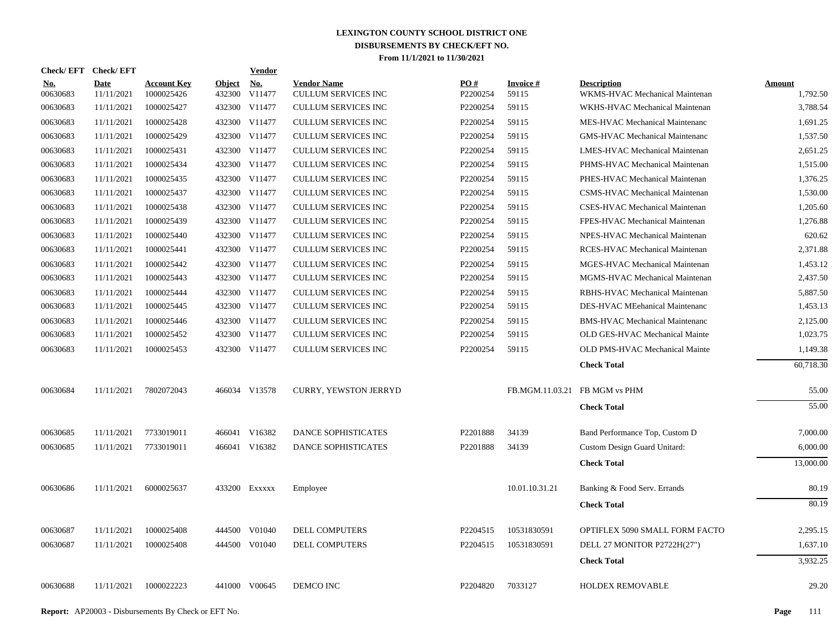| Check/EFT Check/EFT    |                    |                                  |                         | <b>Vendor</b>                       |                                                  |                               |                               |                                                      |                    |
|------------------------|--------------------|----------------------------------|-------------------------|-------------------------------------|--------------------------------------------------|-------------------------------|-------------------------------|------------------------------------------------------|--------------------|
| <u>No.</u><br>00630683 | Date<br>11/11/2021 | <b>Account Key</b><br>1000025426 | <b>Object</b><br>432300 | $\underline{\mathrm{No}}$<br>V11477 | <b>Vendor Name</b><br><b>CULLUM SERVICES INC</b> | $\underline{PO#}$<br>P2200254 | Invoice #<br>59115            | <b>Description</b><br>WKMS-HVAC Mechanical Maintenan | Amount<br>1,792.50 |
| 00630683               | 11/11/2021         | 1000025427                       | 432300                  | V11477                              | CULLUM SERVICES INC                              | P2200254                      | 59115                         | WKHS-HVAC Mechanical Maintenan                       | 3,788.54           |
| 00630683               | 11/11/2021         | 1000025428                       |                         | 432300 V11477                       | <b>CULLUM SERVICES INC</b>                       | P2200254                      | 59115                         | MES-HVAC Mechanical Maintenanc                       | 1,691.25           |
| 00630683               | 11/11/2021         | 1000025429                       |                         | 432300 V11477                       | <b>CULLUM SERVICES INC</b>                       | P2200254                      | 59115                         | <b>GMS-HVAC Mechanical Maintenanc</b>                | 1,537.50           |
| 00630683               | 11/11/2021         | 1000025431                       |                         | 432300 V11477                       | <b>CULLUM SERVICES INC</b>                       | P2200254                      | 59115                         | LMES-HVAC Mechanical Maintenan                       | 2,651.25           |
| 00630683               | 11/11/2021         | 1000025434                       |                         | 432300 V11477                       | <b>CULLUM SERVICES INC</b>                       | P2200254                      | 59115                         | PHMS-HVAC Mechanical Maintenan                       | 1,515.00           |
| 00630683               | 11/11/2021         | 1000025435                       |                         | 432300 V11477                       | <b>CULLUM SERVICES INC</b>                       | P2200254                      | 59115                         | PHES-HVAC Mechanical Maintenan                       | 1.376.25           |
| 00630683               | 11/11/2021         | 1000025437                       |                         | 432300 V11477                       | CULLUM SERVICES INC                              | P2200254                      | 59115                         | CSMS-HVAC Mechanical Maintenan                       | 1,530.00           |
| 00630683               | 11/11/2021         | 1000025438                       |                         | 432300 V11477                       | <b>CULLUM SERVICES INC</b>                       | P2200254                      | 59115                         | CSES-HVAC Mechanical Maintenan                       | 1,205.60           |
| 00630683               | 11/11/2021         | 1000025439                       |                         | 432300 V11477                       | <b>CULLUM SERVICES INC</b>                       | P2200254                      | 59115                         | FPES-HVAC Mechanical Maintenan                       | 1,276.88           |
| 00630683               | 11/11/2021         | 1000025440                       |                         | 432300 V11477                       | <b>CULLUM SERVICES INC</b>                       | P2200254                      | 59115                         | NPES-HVAC Mechanical Maintenan                       | 620.62             |
| 00630683               | 11/11/2021         | 1000025441                       |                         | 432300 V11477                       | <b>CULLUM SERVICES INC</b>                       | P2200254                      | 59115                         | RCES-HVAC Mechanical Maintenan                       | 2,371.88           |
| 00630683               | 11/11/2021         | 1000025442                       |                         | 432300 V11477                       | <b>CULLUM SERVICES INC</b>                       | P2200254                      | 59115                         | MGES-HVAC Mechanical Maintenan                       | 1,453.12           |
| 00630683               | 11/11/2021         | 1000025443                       |                         | 432300 V11477                       | <b>CULLUM SERVICES INC</b>                       | P2200254                      | 59115                         | MGMS-HVAC Mechanical Maintenan                       | 2,437.50           |
| 00630683               | 11/11/2021         | 1000025444                       |                         | 432300 V11477                       | <b>CULLUM SERVICES INC</b>                       | P2200254                      | 59115                         | RBHS-HVAC Mechanical Maintenan                       | 5,887.50           |
| 00630683               | 11/11/2021         | 1000025445                       |                         | 432300 V11477                       | <b>CULLUM SERVICES INC</b>                       | P2200254                      | 59115                         | DES-HVAC MEehanical Maintenanc                       | 1,453.13           |
| 00630683               | 11/11/2021         | 1000025446                       |                         | 432300 V11477                       | <b>CULLUM SERVICES INC</b>                       | P2200254                      | 59115                         | <b>BMS-HVAC Mechanical Maintenanc</b>                | 2,125.00           |
| 00630683               | 11/11/2021         | 1000025452                       |                         | 432300 V11477                       | <b>CULLUM SERVICES INC</b>                       | P2200254                      | 59115                         | OLD GES-HVAC Mechanical Mainte                       | 1,023.75           |
| 00630683               | 11/11/2021         | 1000025453                       |                         | 432300 V11477                       | <b>CULLUM SERVICES INC</b>                       | P2200254                      | 59115                         | OLD PMS-HVAC Mechanical Mainte                       | 1,149.38           |
|                        |                    |                                  |                         |                                     |                                                  |                               |                               | <b>Check Total</b>                                   | 60,718.30          |
| 00630684               | 11/11/2021         | 7802072043                       |                         | 466034 V13578                       | <b>CURRY, YEWSTON JERRYD</b>                     |                               | FB.MGM.11.03.21 FB MGM vs PHM |                                                      | 55.00              |
|                        |                    |                                  |                         |                                     |                                                  |                               |                               | <b>Check Total</b>                                   | 55.00              |
| 00630685               | 11/11/2021         | 7733019011                       |                         | 466041 V16382                       | <b>DANCE SOPHISTICATES</b>                       | P2201888                      | 34139                         | Band Performance Top, Custom D                       | 7,000.00           |
| 00630685               | 11/11/2021         | 7733019011                       |                         | 466041 V16382                       | DANCE SOPHISTICATES                              | P2201888                      | 34139                         | Custom Design Guard Unitard:                         | 6,000.00           |
|                        |                    |                                  |                         |                                     |                                                  |                               |                               | <b>Check Total</b>                                   | 13,000.00          |
| 00630686               | 11/11/2021         | 6000025637                       |                         | 433200 Exxxxx                       | Employee                                         |                               | 10.01.10.31.21                | Banking & Food Serv. Errands                         | 80.19              |
|                        |                    |                                  |                         |                                     |                                                  |                               |                               | <b>Check Total</b>                                   | 80.19              |
| 00630687               | 11/11/2021         | 1000025408                       | 444500                  | V01040                              | DELL COMPUTERS                                   | P2204515                      | 10531830591                   | OPTIFLEX 5090 SMALL FORM FACTO                       | 2,295.15           |
| 00630687               | 11/11/2021         | 1000025408                       |                         | 444500 V01040                       | <b>DELL COMPUTERS</b>                            | P2204515                      | 10531830591                   | DELL 27 MONITOR P2722H(27")                          | 1.637.10           |
|                        |                    |                                  |                         |                                     |                                                  |                               |                               | <b>Check Total</b>                                   | 3,932.25           |
| 00630688               | 11/11/2021         | 1000022223                       |                         | 441000 V00645                       | <b>DEMCO INC</b>                                 | P2204820                      | 7033127                       | HOLDEX REMOVABLE                                     | 29.20              |
|                        |                    |                                  |                         |                                     |                                                  |                               |                               |                                                      |                    |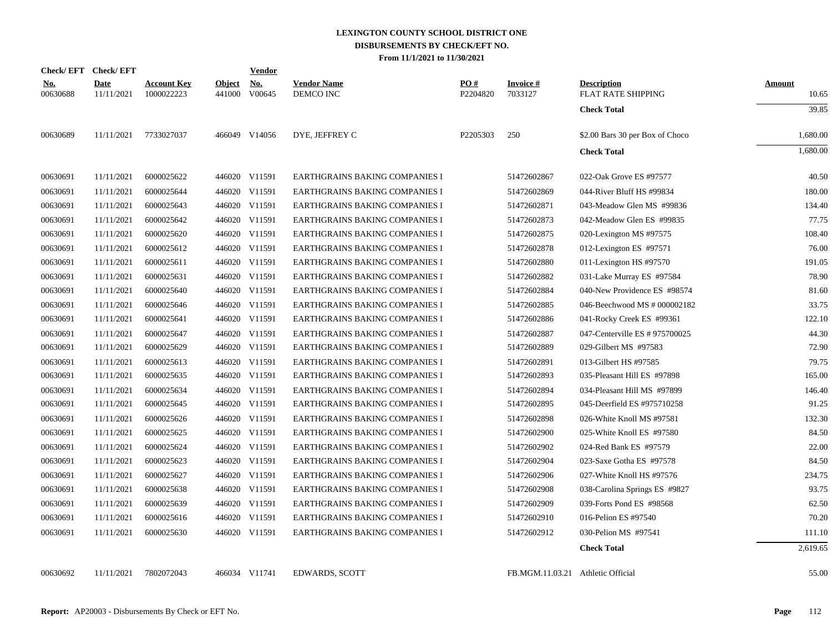|                        | Check/EFT Check/EFT       |                                  |                         | <b>Vendor</b>                         |                                 |                 |                                   |                                          |                        |
|------------------------|---------------------------|----------------------------------|-------------------------|---------------------------------------|---------------------------------|-----------------|-----------------------------------|------------------------------------------|------------------------|
| <u>No.</u><br>00630688 | <b>Date</b><br>11/11/2021 | <b>Account Key</b><br>1000022223 | <b>Object</b><br>441000 | $\underline{\mathrm{No}}$ .<br>V00645 | <b>Vendor Name</b><br>DEMCO INC | PO#<br>P2204820 | <b>Invoice#</b><br>7033127        | <b>Description</b><br>FLAT RATE SHIPPING | <b>Amount</b><br>10.65 |
|                        |                           |                                  |                         |                                       |                                 |                 |                                   | <b>Check Total</b>                       | 39.85                  |
| 00630689               | 11/11/2021                | 7733027037                       |                         | 466049 V14056                         | DYE, JEFFREY C                  | P2205303        | 250                               | \$2.00 Bars 30 per Box of Choco          | 1,680.00               |
|                        |                           |                                  |                         |                                       |                                 |                 |                                   | <b>Check Total</b>                       | 1,680.00               |
| 00630691               | 11/11/2021                | 6000025622                       |                         | 446020 V11591                         | EARTHGRAINS BAKING COMPANIES I  |                 | 51472602867                       | 022-Oak Grove ES #97577                  | 40.50                  |
| 00630691               | 11/11/2021                | 6000025644                       |                         | 446020 V11591                         | EARTHGRAINS BAKING COMPANIES I  |                 | 51472602869                       | 044-River Bluff HS #99834                | 180.00                 |
| 00630691               | 11/11/2021                | 6000025643                       |                         | 446020 V11591                         | EARTHGRAINS BAKING COMPANIES I  |                 | 51472602871                       | 043-Meadow Glen MS #99836                | 134.40                 |
| 00630691               | 11/11/2021                | 6000025642                       |                         | 446020 V11591                         | EARTHGRAINS BAKING COMPANIES I  |                 | 51472602873                       | 042-Meadow Glen ES #99835                | 77.75                  |
| 00630691               | 11/11/2021                | 6000025620                       |                         | 446020 V11591                         | EARTHGRAINS BAKING COMPANIES I  |                 | 51472602875                       | 020-Lexington MS #97575                  | 108.40                 |
| 00630691               | 11/11/2021                | 6000025612                       |                         | 446020 V11591                         | EARTHGRAINS BAKING COMPANIES I  |                 | 51472602878                       | 012-Lexington ES #97571                  | 76.00                  |
| 00630691               | 11/11/2021                | 6000025611                       |                         | 446020 V11591                         | EARTHGRAINS BAKING COMPANIES I  |                 | 51472602880                       | 011-Lexington HS #97570                  | 191.05                 |
| 00630691               | 11/11/2021                | 6000025631                       |                         | 446020 V11591                         | EARTHGRAINS BAKING COMPANIES I  |                 | 51472602882                       | 031-Lake Murray ES #97584                | 78.90                  |
| 00630691               | 11/11/2021                | 6000025640                       |                         | 446020 V11591                         | EARTHGRAINS BAKING COMPANIES I  |                 | 51472602884                       | 040-New Providence ES #98574             | 81.60                  |
| 00630691               | 11/11/2021                | 6000025646                       |                         | 446020 V11591                         | EARTHGRAINS BAKING COMPANIES I  |                 | 51472602885                       | 046-Beechwood MS # 000002182             | 33.75                  |
| 00630691               | 11/11/2021                | 6000025641                       |                         | 446020 V11591                         | EARTHGRAINS BAKING COMPANIES I  |                 | 51472602886                       | 041-Rocky Creek ES #99361                | 122.10                 |
| 00630691               | 11/11/2021                | 6000025647                       |                         | 446020 V11591                         | EARTHGRAINS BAKING COMPANIES I  |                 | 51472602887                       | 047-Centerville ES # 975700025           | 44.30                  |
| 00630691               | 11/11/2021                | 6000025629                       |                         | 446020 V11591                         | EARTHGRAINS BAKING COMPANIES I  |                 | 51472602889                       | 029-Gilbert MS #97583                    | 72.90                  |
| 00630691               | 11/11/2021                | 6000025613                       |                         | 446020 V11591                         | EARTHGRAINS BAKING COMPANIES I  |                 | 51472602891                       | 013-Gilbert HS #97585                    | 79.75                  |
| 00630691               | 11/11/2021                | 6000025635                       |                         | 446020 V11591                         | EARTHGRAINS BAKING COMPANIES I  |                 | 51472602893                       | 035-Pleasant Hill ES #97898              | 165.00                 |
| 00630691               | 11/11/2021                | 6000025634                       |                         | 446020 V11591                         | EARTHGRAINS BAKING COMPANIES I  |                 | 51472602894                       | 034-Pleasant Hill MS #97899              | 146.40                 |
| 00630691               | 11/11/2021                | 6000025645                       |                         | 446020 V11591                         | EARTHGRAINS BAKING COMPANIES I  |                 | 51472602895                       | 045-Deerfield ES #975710258              | 91.25                  |
| 00630691               | 11/11/2021                | 6000025626                       |                         | 446020 V11591                         | EARTHGRAINS BAKING COMPANIES I  |                 | 51472602898                       | 026-White Knoll MS #97581                | 132.30                 |
| 00630691               | 11/11/2021                | 6000025625                       |                         | 446020 V11591                         | EARTHGRAINS BAKING COMPANIES I  |                 | 51472602900                       | 025-White Knoll ES #97580                | 84.50                  |
| 00630691               | 11/11/2021                | 6000025624                       |                         | 446020 V11591                         | EARTHGRAINS BAKING COMPANIES I  |                 | 51472602902                       | 024-Red Bank ES #97579                   | 22.00                  |
| 00630691               | 11/11/2021                | 6000025623                       |                         | 446020 V11591                         | EARTHGRAINS BAKING COMPANIES I  |                 | 51472602904                       | 023-Saxe Gotha ES #97578                 | 84.50                  |
| 00630691               | 11/11/2021                | 6000025627                       |                         | 446020 V11591                         | EARTHGRAINS BAKING COMPANIES I  |                 | 51472602906                       | 027-White Knoll HS #97576                | 234.75                 |
| 00630691               | 11/11/2021                | 6000025638                       |                         | 446020 V11591                         | EARTHGRAINS BAKING COMPANIES I  |                 | 51472602908                       | 038-Carolina Springs ES #9827            | 93.75                  |
| 00630691               | 11/11/2021                | 6000025639                       |                         | 446020 V11591                         | EARTHGRAINS BAKING COMPANIES I  |                 | 51472602909                       | 039-Forts Pond ES #98568                 | 62.50                  |
| 00630691               | 11/11/2021                | 6000025616                       |                         | 446020 V11591                         | EARTHGRAINS BAKING COMPANIES I  |                 | 51472602910                       | 016-Pelion ES #97540                     | 70.20                  |
| 00630691               | 11/11/2021                | 6000025630                       |                         | 446020 V11591                         | EARTHGRAINS BAKING COMPANIES I  |                 | 51472602912                       | 030-Pelion MS #97541                     | 111.10                 |
|                        |                           |                                  |                         |                                       |                                 |                 |                                   | <b>Check Total</b>                       | 2,619.65               |
| 00630692               | 11/11/2021                | 7802072043                       |                         | 466034 V11741                         | <b>EDWARDS, SCOTT</b>           |                 | FB.MGM.11.03.21 Athletic Official |                                          | 55.00                  |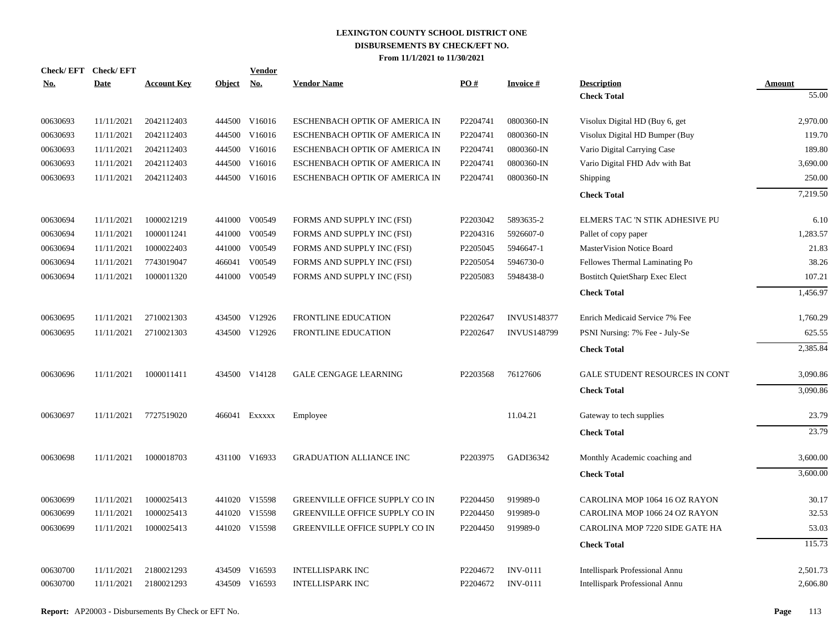| <b>Check/EFT</b> | <b>Check/EFT</b> |                    |               | Vendor        |                                       |          |                    |                                       |               |
|------------------|------------------|--------------------|---------------|---------------|---------------------------------------|----------|--------------------|---------------------------------------|---------------|
| <u>No.</u>       | <b>Date</b>      | <b>Account Key</b> | <b>Object</b> | <u>No.</u>    | <b>Vendor Name</b>                    | PO#      | <b>Invoice#</b>    | <b>Description</b>                    | <b>Amount</b> |
|                  |                  |                    |               |               |                                       |          |                    | <b>Check Total</b>                    | 55.00         |
| 00630693         | 11/11/2021       | 2042112403         |               | 444500 V16016 | ESCHENBACH OPTIK OF AMERICA IN        | P2204741 | 0800360-IN         | Visolux Digital HD (Buy 6, get        | 2.970.00      |
| 00630693         | 11/11/2021       | 2042112403         | 444500        | V16016        | ESCHENBACH OPTIK OF AMERICA IN        | P2204741 | 0800360-IN         | Visolux Digital HD Bumper (Buy        | 119.70        |
| 00630693         | 11/11/2021       | 2042112403         | 444500        | V16016        | ESCHENBACH OPTIK OF AMERICA IN        | P2204741 | 0800360-IN         | Vario Digital Carrying Case           | 189.80        |
| 00630693         | 11/11/2021       | 2042112403         | 444500        | V16016        | ESCHENBACH OPTIK OF AMERICA IN        | P2204741 | 0800360-IN         | Vario Digital FHD Adv with Bat        | 3,690.00      |
| 00630693         | 11/11/2021       | 2042112403         |               | 444500 V16016 | ESCHENBACH OPTIK OF AMERICA IN        | P2204741 | 0800360-IN         | Shipping                              | 250.00        |
|                  |                  |                    |               |               |                                       |          |                    | <b>Check Total</b>                    | 7,219.50      |
| 00630694         | 11/11/2021       | 1000021219         |               | 441000 V00549 | FORMS AND SUPPLY INC (FSI)            | P2203042 | 5893635-2          | ELMERS TAC 'N STIK ADHESIVE PU        | 6.10          |
| 00630694         | 11/11/2021       | 1000011241         | 441000        | V00549        | FORMS AND SUPPLY INC (FSI)            | P2204316 | 5926607-0          | Pallet of copy paper                  | 1.283.57      |
| 00630694         | 11/11/2021       | 1000022403         | 441000        | V00549        | FORMS AND SUPPLY INC (FSI)            | P2205045 | 5946647-1          | <b>MasterVision Notice Board</b>      | 21.83         |
| 00630694         | 11/11/2021       | 7743019047         | 466041        | V00549        | FORMS AND SUPPLY INC (FSI)            | P2205054 | 5946730-0          | Fellowes Thermal Laminating Po        | 38.26         |
| 00630694         | 11/11/2021       | 1000011320         | 441000        | V00549        | FORMS AND SUPPLY INC (FSI)            | P2205083 | 5948438-0          | <b>Bostitch QuietSharp Exec Elect</b> | 107.21        |
|                  |                  |                    |               |               |                                       |          |                    | <b>Check Total</b>                    | 1,456.97      |
| 00630695         | 11/11/2021       | 2710021303         |               | 434500 V12926 | <b>FRONTLINE EDUCATION</b>            | P2202647 | <b>INVUS148377</b> | Enrich Medicaid Service 7% Fee        | 1,760.29      |
| 00630695         | 11/11/2021       | 2710021303         | 434500        | V12926        | <b>FRONTLINE EDUCATION</b>            | P2202647 | <b>INVUS148799</b> | PSNI Nursing: 7% Fee - July-Se        | 625.55        |
|                  |                  |                    |               |               |                                       |          |                    | <b>Check Total</b>                    | 2,385.84      |
| 00630696         | 11/11/2021       | 1000011411         |               | 434500 V14128 | <b>GALE CENGAGE LEARNING</b>          | P2203568 | 76127606           | GALE STUDENT RESOURCES IN CONT        | 3,090.86      |
|                  |                  |                    |               |               |                                       |          |                    | <b>Check Total</b>                    | 3,090.86      |
| 00630697         | 11/11/2021       | 7727519020         |               | 466041 EXXXXX | Employee                              |          | 11.04.21           | Gateway to tech supplies              | 23.79         |
|                  |                  |                    |               |               |                                       |          |                    | <b>Check Total</b>                    | 23.79         |
| 00630698         | 11/11/2021       | 1000018703         |               | 431100 V16933 | <b>GRADUATION ALLIANCE INC</b>        | P2203975 | GADI36342          | Monthly Academic coaching and         | 3,600.00      |
|                  |                  |                    |               |               |                                       |          |                    | <b>Check Total</b>                    | 3,600.00      |
| 00630699         | 11/11/2021       | 1000025413         |               | 441020 V15598 | <b>GREENVILLE OFFICE SUPPLY CO IN</b> | P2204450 | 919989-0           | CAROLINA MOP 1064 16 OZ RAYON         | 30.17         |
| 00630699         | 11/11/2021       | 1000025413         |               | 441020 V15598 | GREENVILLE OFFICE SUPPLY CO IN        | P2204450 | 919989-0           | CAROLINA MOP 1066 24 OZ RAYON         | 32.53         |
| 00630699         | 11/11/2021       | 1000025413         |               | 441020 V15598 | GREENVILLE OFFICE SUPPLY CO IN        | P2204450 | 919989-0           | CAROLINA MOP 7220 SIDE GATE HA        | 53.03         |
|                  |                  |                    |               |               |                                       |          |                    | <b>Check Total</b>                    | 115.73        |
| 00630700         | 11/11/2021       | 2180021293         | 434509        | V16593        | <b>INTELLISPARK INC</b>               | P2204672 | <b>INV-0111</b>    | Intellispark Professional Annu        | 2,501.73      |
| 00630700         | 11/11/2021       | 2180021293         |               | 434509 V16593 | <b>INTELLISPARK INC</b>               | P2204672 | <b>INV-0111</b>    | <b>Intellispark Professional Annu</b> | 2,606.80      |
|                  |                  |                    |               |               |                                       |          |                    |                                       |               |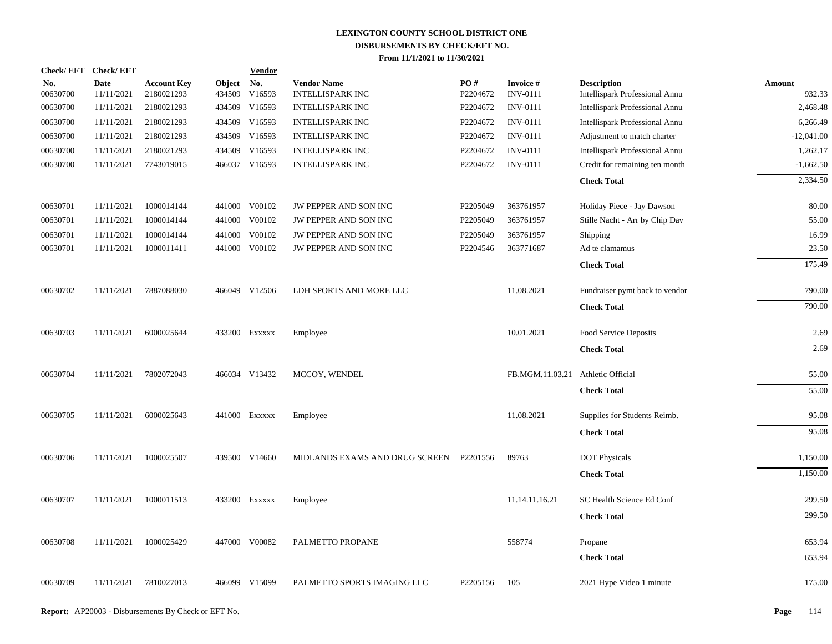|                        | Check/EFT Check/EFT       |                                  |                      | <b>Vendor</b> |                                               |                 |                                    |                                                      |                         |
|------------------------|---------------------------|----------------------------------|----------------------|---------------|-----------------------------------------------|-----------------|------------------------------------|------------------------------------------------------|-------------------------|
| <u>No.</u><br>00630700 | <b>Date</b><br>11/11/2021 | <b>Account Key</b><br>2180021293 | Object No.<br>434509 | V16593        | <b>Vendor Name</b><br><b>INTELLISPARK INC</b> | PO#<br>P2204672 | <b>Invoice#</b><br><b>INV-0111</b> | <b>Description</b><br>Intellispark Professional Annu | <b>Amount</b><br>932.33 |
| 00630700               | 11/11/2021                | 2180021293                       | 434509               | V16593        | <b>INTELLISPARK INC</b>                       | P2204672        | <b>INV-0111</b>                    | Intellispark Professional Annu                       | 2,468.48                |
| 00630700               | 11/11/2021                | 2180021293                       | 434509               | V16593        | <b>INTELLISPARK INC</b>                       | P2204672        | <b>INV-0111</b>                    | Intellispark Professional Annu                       | 6.266.49                |
| 00630700               | 11/11/2021                | 2180021293                       |                      | 434509 V16593 | INTELLISPARK INC                              | P2204672        | <b>INV-0111</b>                    | Adjustment to match charter                          | $-12,041.00$            |
| 00630700               | 11/11/2021                | 2180021293                       | 434509               | V16593        | <b>INTELLISPARK INC</b>                       | P2204672        | <b>INV-0111</b>                    | Intellispark Professional Annu                       | 1,262.17                |
| 00630700               | 11/11/2021                | 7743019015                       |                      | 466037 V16593 | <b>INTELLISPARK INC</b>                       | P2204672        | <b>INV-0111</b>                    | Credit for remaining ten month                       | $-1,662.50$             |
|                        |                           |                                  |                      |               |                                               |                 |                                    | <b>Check Total</b>                                   | 2,334.50                |
| 00630701               | 11/11/2021                | 1000014144                       |                      | 441000 V00102 | JW PEPPER AND SON INC                         | P2205049        | 363761957                          | Holiday Piece - Jay Dawson                           | 80.00                   |
| 00630701               | 11/11/2021                | 1000014144                       |                      | 441000 V00102 | JW PEPPER AND SON INC                         | P2205049        | 363761957                          | Stille Nacht - Arr by Chip Dav                       | 55.00                   |
| 00630701               | 11/11/2021                | 1000014144                       | 441000               | V00102        | JW PEPPER AND SON INC                         | P2205049        | 363761957                          | <b>Shipping</b>                                      | 16.99                   |
| 00630701               | 11/11/2021                | 1000011411                       | 441000               | V00102        | JW PEPPER AND SON INC                         | P2204546        | 363771687                          | Ad te clamamus                                       | 23.50                   |
|                        |                           |                                  |                      |               |                                               |                 |                                    | <b>Check Total</b>                                   | 175.49                  |
| 00630702               | 11/11/2021                | 7887088030                       |                      | 466049 V12506 | LDH SPORTS AND MORE LLC                       |                 | 11.08.2021                         | Fundraiser pymt back to vendor                       | 790.00                  |
|                        |                           |                                  |                      |               |                                               |                 |                                    | <b>Check Total</b>                                   | 790.00                  |
| 00630703               | 11/11/2021                | 6000025644                       |                      | 433200 Exxxxx | Employee                                      |                 | 10.01.2021                         | Food Service Deposits                                | 2.69                    |
|                        |                           |                                  |                      |               |                                               |                 |                                    | <b>Check Total</b>                                   | 2.69                    |
| 00630704               | 11/11/2021                | 7802072043                       |                      | 466034 V13432 | MCCOY, WENDEL                                 |                 | FB.MGM.11.03.21                    | <b>Athletic Official</b>                             | 55.00                   |
|                        |                           |                                  |                      |               |                                               |                 |                                    | <b>Check Total</b>                                   | 55.00                   |
| 00630705               | 11/11/2021                | 6000025643                       |                      | 441000 Exxxxx | Employee                                      |                 | 11.08.2021                         | Supplies for Students Reimb.                         | 95.08                   |
|                        |                           |                                  |                      |               |                                               |                 |                                    | <b>Check Total</b>                                   | 95.08                   |
| 00630706               | 11/11/2021                | 1000025507                       |                      | 439500 V14660 | MIDLANDS EXAMS AND DRUG SCREEN                | P2201556        | 89763                              | <b>DOT Physicals</b>                                 | 1,150.00                |
|                        |                           |                                  |                      |               |                                               |                 |                                    | <b>Check Total</b>                                   | 1,150.00                |
| 00630707               | 11/11/2021                | 1000011513                       |                      | 433200 Exxxxx | Employee                                      |                 | 11.14.11.16.21                     | SC Health Science Ed Conf                            | 299.50                  |
|                        |                           |                                  |                      |               |                                               |                 |                                    | <b>Check Total</b>                                   | 299.50                  |
| 00630708               | 11/11/2021                | 1000025429                       |                      | 447000 V00082 | PALMETTO PROPANE                              |                 | 558774                             | Propane                                              | 653.94                  |
|                        |                           |                                  |                      |               |                                               |                 |                                    | <b>Check Total</b>                                   | 653.94                  |
| 00630709               | 11/11/2021                | 7810027013                       |                      | 466099 V15099 | PALMETTO SPORTS IMAGING LLC                   | P2205156        | 105                                | 2021 Hype Video 1 minute                             | 175.00                  |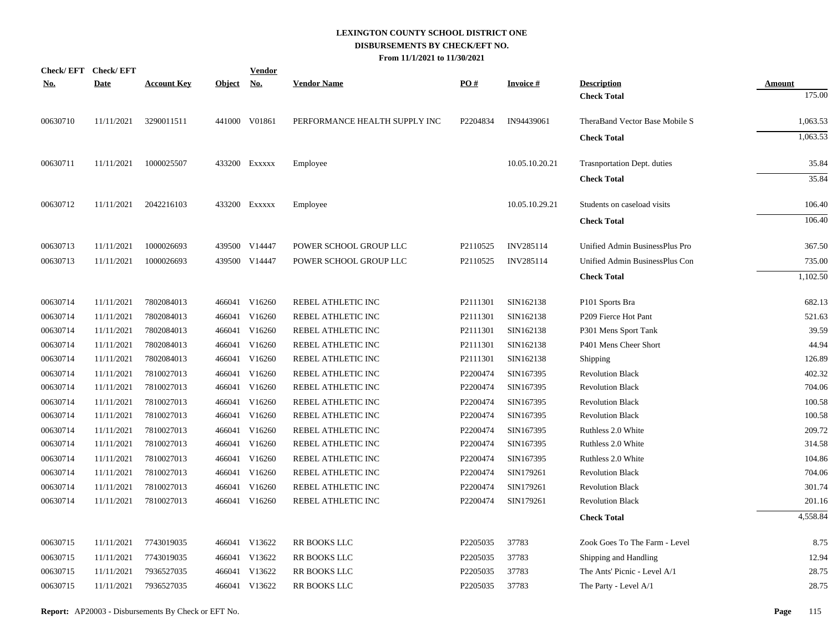| No.      | Check/EFT Check/EFT<br>Date | <b>Account Key</b> | Object No. | <b>Vendor</b> | <b>Vendor Name</b>            | PO#      | <b>Invoice#</b> | <b>Description</b>             | Amount   |
|----------|-----------------------------|--------------------|------------|---------------|-------------------------------|----------|-----------------|--------------------------------|----------|
|          |                             |                    |            |               |                               |          |                 | <b>Check Total</b>             | 175.00   |
| 00630710 | 11/11/2021                  | 3290011511         |            | 441000 V01861 | PERFORMANCE HEALTH SUPPLY INC | P2204834 | IN94439061      | TheraBand Vector Base Mobile S | 1,063.53 |
|          |                             |                    |            |               |                               |          |                 | <b>Check Total</b>             | 1,063.53 |
| 00630711 | 11/11/2021                  | 1000025507         |            | 433200 Exxxxx | Employee                      |          | 10.05.10.20.21  | Trasnportation Dept. duties    | 35.84    |
|          |                             |                    |            |               |                               |          |                 | <b>Check Total</b>             | 35.84    |
| 00630712 | 11/11/2021                  | 2042216103         |            | 433200 EXXXXX | Employee                      |          | 10.05.10.29.21  | Students on caseload visits    | 106.40   |
|          |                             |                    |            |               |                               |          |                 | <b>Check Total</b>             | 106.40   |
| 00630713 | 11/11/2021                  | 1000026693         |            | 439500 V14447 | POWER SCHOOL GROUP LLC        | P2110525 | INV285114       | Unified Admin BusinessPlus Pro | 367.50   |
| 00630713 | 11/11/2021                  | 1000026693         |            | 439500 V14447 | POWER SCHOOL GROUP LLC        | P2110525 | INV285114       | Unified Admin BusinessPlus Con | 735.00   |
|          |                             |                    |            |               |                               |          |                 | <b>Check Total</b>             | 1,102.50 |
| 00630714 | 11/11/2021                  | 7802084013         |            | 466041 V16260 | REBEL ATHLETIC INC            | P2111301 | SIN162138       | P101 Sports Bra                | 682.13   |
| 00630714 | 11/11/2021                  | 7802084013         |            | 466041 V16260 | REBEL ATHLETIC INC            | P2111301 | SIN162138       | P209 Fierce Hot Pant           | 521.63   |
| 00630714 | 11/11/2021                  | 7802084013         |            | 466041 V16260 | REBEL ATHLETIC INC            | P2111301 | SIN162138       | P301 Mens Sport Tank           | 39.59    |
| 00630714 | 11/11/2021                  | 7802084013         |            | 466041 V16260 | REBEL ATHLETIC INC            | P2111301 | SIN162138       | P401 Mens Cheer Short          | 44.94    |
| 00630714 | 11/11/2021                  | 7802084013         |            | 466041 V16260 | REBEL ATHLETIC INC            | P2111301 | SIN162138       | Shipping                       | 126.89   |
| 00630714 | 11/11/2021                  | 7810027013         |            | 466041 V16260 | REBEL ATHLETIC INC            | P2200474 | SIN167395       | <b>Revolution Black</b>        | 402.32   |
| 00630714 | 11/11/2021                  | 7810027013         |            | 466041 V16260 | REBEL ATHLETIC INC            | P2200474 | SIN167395       | <b>Revolution Black</b>        | 704.06   |
| 00630714 | 11/11/2021                  | 7810027013         |            | 466041 V16260 | REBEL ATHLETIC INC            | P2200474 | SIN167395       | <b>Revolution Black</b>        | 100.58   |
| 00630714 | 11/11/2021                  | 7810027013         |            | 466041 V16260 | REBEL ATHLETIC INC            | P2200474 | SIN167395       | <b>Revolution Black</b>        | 100.58   |
| 00630714 | 11/11/2021                  | 7810027013         |            | 466041 V16260 | REBEL ATHLETIC INC            | P2200474 | SIN167395       | Ruthless 2.0 White             | 209.72   |
| 00630714 | 11/11/2021                  | 7810027013         |            | 466041 V16260 | REBEL ATHLETIC INC            | P2200474 | SIN167395       | Ruthless 2.0 White             | 314.58   |
| 00630714 | 11/11/2021                  | 7810027013         |            | 466041 V16260 | REBEL ATHLETIC INC            | P2200474 | SIN167395       | Ruthless 2.0 White             | 104.86   |
| 00630714 | 11/11/2021                  | 7810027013         |            | 466041 V16260 | REBEL ATHLETIC INC            | P2200474 | SIN179261       | <b>Revolution Black</b>        | 704.06   |
| 00630714 | 11/11/2021                  | 7810027013         |            | 466041 V16260 | REBEL ATHLETIC INC            | P2200474 | SIN179261       | <b>Revolution Black</b>        | 301.74   |
| 00630714 | 11/11/2021                  | 7810027013         |            | 466041 V16260 | REBEL ATHLETIC INC            | P2200474 | SIN179261       | <b>Revolution Black</b>        | 201.16   |
|          |                             |                    |            |               |                               |          |                 | <b>Check Total</b>             | 4,558.84 |
| 00630715 | 11/11/2021                  | 7743019035         |            | 466041 V13622 | RR BOOKS LLC                  | P2205035 | 37783           | Zook Goes To The Farm - Level  | 8.75     |
| 00630715 | 11/11/2021                  | 7743019035         |            | 466041 V13622 | <b>RR BOOKS LLC</b>           | P2205035 | 37783           | Shipping and Handling          | 12.94    |
| 00630715 | 11/11/2021                  | 7936527035         |            | 466041 V13622 | RR BOOKS LLC                  | P2205035 | 37783           | The Ants' Picnic - Level A/1   | 28.75    |
| 00630715 | 11/11/2021                  | 7936527035         |            | 466041 V13622 | <b>RR BOOKS LLC</b>           | P2205035 | 37783           | The Party - Level A/1          | 28.75    |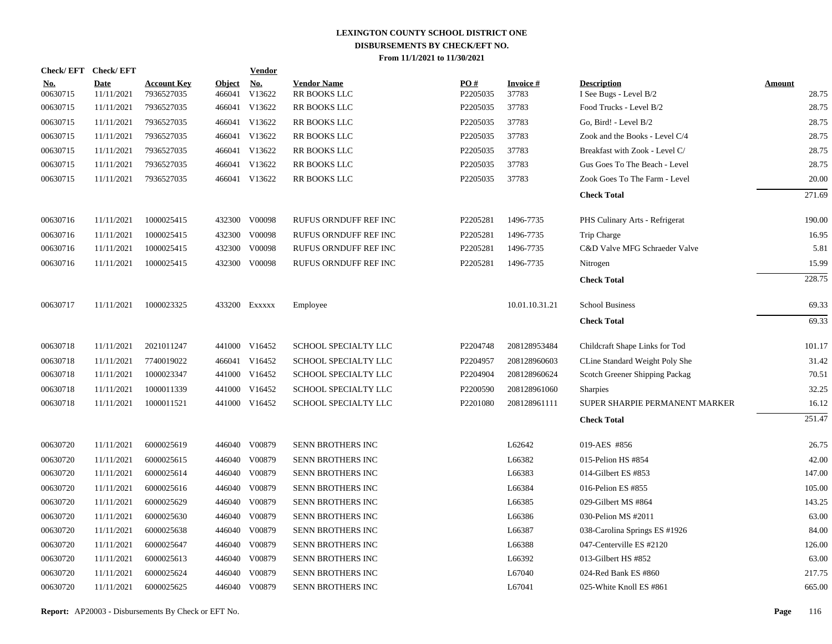| <b>Check/EFT</b>       | <b>Check/EFT</b>          |                                  |                         | <b>Vendor</b>        |                                    |                 |                          |                                              |                        |
|------------------------|---------------------------|----------------------------------|-------------------------|----------------------|------------------------------------|-----------------|--------------------------|----------------------------------------------|------------------------|
| <u>No.</u><br>00630715 | <b>Date</b><br>11/11/2021 | <b>Account Key</b><br>7936527035 | <b>Object</b><br>466041 | <b>No.</b><br>V13622 | <b>Vendor Name</b><br>RR BOOKS LLC | PO#<br>P2205035 | <b>Invoice#</b><br>37783 | <b>Description</b><br>I See Bugs - Level B/2 | <b>Amount</b><br>28.75 |
| 00630715               | 11/11/2021                | 7936527035                       |                         | 466041 V13622        | RR BOOKS LLC                       | P2205035        | 37783                    | Food Trucks - Level B/2                      | 28.75                  |
| 00630715               | 11/11/2021                | 7936527035                       |                         | 466041 V13622        | RR BOOKS LLC                       | P2205035        | 37783                    | Go, Bird! - Level B/2                        | 28.75                  |
| 00630715               | 11/11/2021                | 7936527035                       |                         | 466041 V13622        | RR BOOKS LLC                       | P2205035        | 37783                    | Zook and the Books - Level C/4               | 28.75                  |
| 00630715               | 11/11/2021                | 7936527035                       |                         | 466041 V13622        | <b>RR BOOKS LLC</b>                | P2205035        | 37783                    | Breakfast with Zook - Level C/               | 28.75                  |
| 00630715               | 11/11/2021                | 7936527035                       |                         | 466041 V13622        | RR BOOKS LLC                       | P2205035        | 37783                    | Gus Goes To The Beach - Level                | 28.75                  |
| 00630715               | 11/11/2021                | 7936527035                       |                         | 466041 V13622        | RR BOOKS LLC                       | P2205035        | 37783                    | Zook Goes To The Farm - Level                | 20.00                  |
|                        |                           |                                  |                         |                      |                                    |                 |                          | <b>Check Total</b>                           | 271.69                 |
| 00630716               | 11/11/2021                | 1000025415                       |                         | 432300 V00098        | RUFUS ORNDUFF REF INC              | P2205281        | 1496-7735                | PHS Culinary Arts - Refrigerat               | 190.00                 |
| 00630716               | 11/11/2021                | 1000025415                       |                         | 432300 V00098        | RUFUS ORNDUFF REF INC              | P2205281        | 1496-7735                | Trip Charge                                  | 16.95                  |
| 00630716               | 11/11/2021                | 1000025415                       |                         | 432300 V00098        | RUFUS ORNDUFF REF INC              | P2205281        | 1496-7735                | C&D Valve MFG Schraeder Valve                | 5.81                   |
| 00630716               | 11/11/2021                | 1000025415                       |                         | 432300 V00098        | RUFUS ORNDUFF REF INC              | P2205281        | 1496-7735                | Nitrogen                                     | 15.99                  |
|                        |                           |                                  |                         |                      |                                    |                 |                          | <b>Check Total</b>                           | 228.75                 |
| 00630717               | 11/11/2021                | 1000023325                       |                         | 433200 EXXXXX        | Employee                           |                 | 10.01.10.31.21           | <b>School Business</b>                       | 69.33                  |
|                        |                           |                                  |                         |                      |                                    |                 |                          | <b>Check Total</b>                           | 69.33                  |
| 00630718               | 11/11/2021                | 2021011247                       |                         | 441000 V16452        | <b>SCHOOL SPECIALTY LLC</b>        | P2204748        | 208128953484             | Childcraft Shape Links for Tod               | 101.17                 |
| 00630718               | 11/11/2021                | 7740019022                       |                         | 466041 V16452        | SCHOOL SPECIALTY LLC               | P2204957        | 208128960603             | CLine Standard Weight Poly She               | 31.42                  |
| 00630718               | 11/11/2021                | 1000023347                       |                         | 441000 V16452        | SCHOOL SPECIALTY LLC               | P2204904        | 208128960624             | Scotch Greener Shipping Packag               | 70.51                  |
| 00630718               | 11/11/2021                | 1000011339                       |                         | 441000 V16452        | SCHOOL SPECIALTY LLC               | P2200590        | 208128961060             | <b>Sharpies</b>                              | 32.25                  |
| 00630718               | 11/11/2021                | 1000011521                       |                         | 441000 V16452        | <b>SCHOOL SPECIALTY LLC</b>        | P2201080        | 208128961111             | SUPER SHARPIE PERMANENT MARKER               | 16.12                  |
|                        |                           |                                  |                         |                      |                                    |                 |                          | <b>Check Total</b>                           | 251.47                 |
| 00630720               | 11/11/2021                | 6000025619                       |                         | 446040 V00879        | SENN BROTHERS INC                  |                 | L62642                   | 019-AES #856                                 | 26.75                  |
| 00630720               | 11/11/2021                | 6000025615                       |                         | 446040 V00879        | SENN BROTHERS INC                  |                 | L66382                   | 015-Pelion HS #854                           | 42.00                  |
| 00630720               | 11/11/2021                | 6000025614                       |                         | 446040 V00879        | SENN BROTHERS INC                  |                 | L66383                   | 014-Gilbert ES #853                          | 147.00                 |
| 00630720               | 11/11/2021                | 6000025616                       |                         | 446040 V00879        | SENN BROTHERS INC                  |                 | L66384                   | 016-Pelion ES #855                           | 105.00                 |
| 00630720               | 11/11/2021                | 6000025629                       |                         | 446040 V00879        | SENN BROTHERS INC                  |                 | L66385                   | 029-Gilbert MS #864                          | 143.25                 |
| 00630720               | 11/11/2021                | 6000025630                       |                         | 446040 V00879        | SENN BROTHERS INC                  |                 | L66386                   | 030-Pelion MS #2011                          | 63.00                  |
| 00630720               | 11/11/2021                | 6000025638                       |                         | 446040 V00879        | SENN BROTHERS INC                  |                 | L66387                   | 038-Carolina Springs ES #1926                | 84.00                  |
| 00630720               | 11/11/2021                | 6000025647                       |                         | 446040 V00879        | SENN BROTHERS INC                  |                 | L66388                   | 047-Centerville ES #2120                     | 126.00                 |
| 00630720               | 11/11/2021                | 6000025613                       |                         | 446040 V00879        | SENN BROTHERS INC                  |                 | L66392                   | 013-Gilbert HS #852                          | 63.00                  |
| 00630720               | 11/11/2021                | 6000025624                       | 446040                  | V00879               | SENN BROTHERS INC                  |                 | L67040                   | 024-Red Bank ES #860                         | 217.75                 |
| 00630720               | 11/11/2021                | 6000025625                       |                         | 446040 V00879        | <b>SENN BROTHERS INC</b>           |                 | L67041                   | 025-White Knoll ES #861                      | 665.00                 |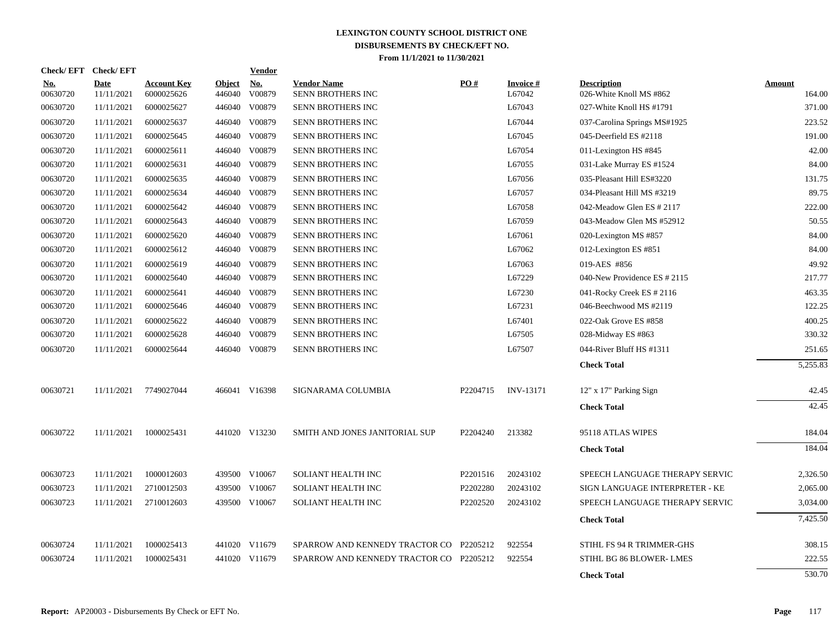| Check/EFT Check/EFT    |                           |                                  |                         | <b>Vendor</b>                       |                                         |          |                           |                                               |                         |
|------------------------|---------------------------|----------------------------------|-------------------------|-------------------------------------|-----------------------------------------|----------|---------------------------|-----------------------------------------------|-------------------------|
| <u>No.</u><br>00630720 | <b>Date</b><br>11/11/2021 | <b>Account Key</b><br>6000025626 | <b>Object</b><br>446040 | $\underline{\mathrm{No}}$<br>V00879 | <b>Vendor Name</b><br>SENN BROTHERS INC | PO#      | <b>Invoice#</b><br>L67042 | <b>Description</b><br>026-White Knoll MS #862 | <b>Amount</b><br>164.00 |
| 00630720               | 11/11/2021                | 6000025627                       |                         | 446040 V00879                       | SENN BROTHERS INC                       |          | L67043                    | 027-White Knoll HS #1791                      | 371.00                  |
| 00630720               | 11/11/2021                | 6000025637                       | 446040                  | V00879                              | SENN BROTHERS INC                       |          | L67044                    | 037-Carolina Springs MS#1925                  | 223.52                  |
| 00630720               | 11/11/2021                | 6000025645                       | 446040                  | V00879                              | SENN BROTHERS INC                       |          | L67045                    | 045-Deerfield ES #2118                        | 191.00                  |
| 00630720               | 11/11/2021                | 6000025611                       | 446040                  | V00879                              | SENN BROTHERS INC                       |          | L67054                    | 011-Lexington HS #845                         | 42.00                   |
| 00630720               | 11/11/2021                | 6000025631                       | 446040                  | V00879                              | SENN BROTHERS INC                       |          | L67055                    | 031-Lake Murray ES #1524                      | 84.00                   |
| 00630720               | 11/11/2021                | 6000025635                       | 446040                  | V00879                              | SENN BROTHERS INC                       |          | L67056                    | 035-Pleasant Hill ES#3220                     | 131.75                  |
| 00630720               | 11/11/2021                | 6000025634                       | 446040                  | V00879                              | SENN BROTHERS INC                       |          | L67057                    | 034-Pleasant Hill MS #3219                    | 89.75                   |
| 00630720               | 11/11/2021                | 6000025642                       |                         | 446040 V00879                       | SENN BROTHERS INC                       |          | L67058                    | 042-Meadow Glen ES # 2117                     | 222.00                  |
| 00630720               | 11/11/2021                | 6000025643                       |                         | 446040 V00879                       | SENN BROTHERS INC                       |          | L67059                    | 043-Meadow Glen MS #52912                     | 50.55                   |
| 00630720               | 11/11/2021                | 6000025620                       | 446040                  | V00879                              | SENN BROTHERS INC                       |          | L67061                    | 020-Lexington MS #857                         | 84.00                   |
| 00630720               | 11/11/2021                | 6000025612                       | 446040                  | V00879                              | SENN BROTHERS INC                       |          | L67062                    | 012-Lexington ES #851                         | 84.00                   |
| 00630720               | 11/11/2021                | 6000025619                       | 446040                  | V00879                              | SENN BROTHERS INC                       |          | L67063                    | 019-AES #856                                  | 49.92                   |
| 00630720               | 11/11/2021                | 6000025640                       | 446040                  | V00879                              | SENN BROTHERS INC                       |          | L67229                    | 040-New Providence ES # 2115                  | 217.77                  |
| 00630720               | 11/11/2021                | 6000025641                       | 446040                  | V00879                              | SENN BROTHERS INC                       |          | L67230                    | 041-Rocky Creek ES # 2116                     | 463.35                  |
| 00630720               | 11/11/2021                | 6000025646                       | 446040                  | V00879                              | SENN BROTHERS INC                       |          | L67231                    | 046-Beechwood MS #2119                        | 122.25                  |
| 00630720               | 11/11/2021                | 6000025622                       |                         | 446040 V00879                       | SENN BROTHERS INC                       |          | L67401                    | 022-Oak Grove ES #858                         | 400.25                  |
| 00630720               | 11/11/2021                | 6000025628                       | 446040                  | V00879                              | SENN BROTHERS INC                       |          | L67505                    | 028-Midway ES #863                            | 330.32                  |
| 00630720               | 11/11/2021                | 6000025644                       |                         | 446040 V00879                       | SENN BROTHERS INC                       |          | L67507                    | 044-River Bluff HS #1311                      | 251.65                  |
|                        |                           |                                  |                         |                                     |                                         |          |                           | <b>Check Total</b>                            | 5,255.83                |
| 00630721               | 11/11/2021                | 7749027044                       |                         | 466041 V16398                       | SIGNARAMA COLUMBIA                      | P2204715 | <b>INV-13171</b>          | 12" x 17" Parking Sign                        | 42.45                   |
|                        |                           |                                  |                         |                                     |                                         |          |                           | <b>Check Total</b>                            | 42.45                   |
| 00630722               | 11/11/2021                | 1000025431                       |                         | 441020 V13230                       | SMITH AND JONES JANITORIAL SUP          | P2204240 | 213382                    | 95118 ATLAS WIPES                             | 184.04                  |
|                        |                           |                                  |                         |                                     |                                         |          |                           | <b>Check Total</b>                            | 184.04                  |
| 00630723               | 11/11/2021                | 1000012603                       |                         | 439500 V10067                       | SOLIANT HEALTH INC                      | P2201516 | 20243102                  | SPEECH LANGUAGE THERAPY SERVIC                | 2,326.50                |
| 00630723               | 11/11/2021                | 2710012503                       |                         | 439500 V10067                       | <b>SOLIANT HEALTH INC</b>               | P2202280 | 20243102                  | SIGN LANGUAGE INTERPRETER - KE                | 2,065.00                |
| 00630723               | 11/11/2021                | 2710012603                       |                         | 439500 V10067                       | SOLIANT HEALTH INC                      | P2202520 | 20243102                  | SPEECH LANGUAGE THERAPY SERVIC                | 3,034.00                |
|                        |                           |                                  |                         |                                     |                                         |          |                           | <b>Check Total</b>                            | 7,425.50                |
| 00630724               | 11/11/2021                | 1000025413                       |                         | 441020 V11679                       | SPARROW AND KENNEDY TRACTOR CO P2205212 |          | 922554                    | STIHL FS 94 R TRIMMER-GHS                     | 308.15                  |
| 00630724               | 11/11/2021                | 1000025431                       |                         | 441020 V11679                       | SPARROW AND KENNEDY TRACTOR CO P2205212 |          | 922554                    | STIHL BG 86 BLOWER-LMES                       | 222.55                  |
|                        |                           |                                  |                         |                                     |                                         |          |                           | <b>Check Total</b>                            | 530.70                  |
|                        |                           |                                  |                         |                                     |                                         |          |                           |                                               |                         |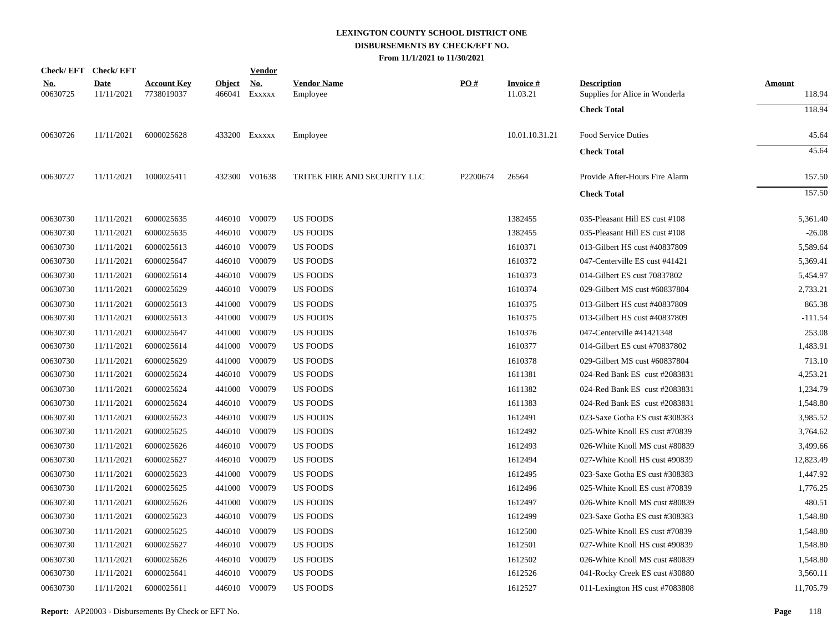|                        | Check/EFT Check/EFT       |                                  |                         | <b>Vendor</b>        |                                |          |                             |                                                      |                         |
|------------------------|---------------------------|----------------------------------|-------------------------|----------------------|--------------------------------|----------|-----------------------------|------------------------------------------------------|-------------------------|
| <u>No.</u><br>00630725 | <b>Date</b><br>11/11/2021 | <b>Account Key</b><br>7738019037 | <u>Object</u><br>466041 | <u>No.</u><br>EXXXXX | <b>Vendor Name</b><br>Employee | PO#      | <b>Invoice#</b><br>11.03.21 | <b>Description</b><br>Supplies for Alice in Wonderla | <b>Amount</b><br>118.94 |
|                        |                           |                                  |                         |                      |                                |          |                             | <b>Check Total</b>                                   | 118.94                  |
| 00630726               | 11/11/2021                | 6000025628                       |                         | 433200 Exxxxx        | Employee                       |          | 10.01.10.31.21              | Food Service Duties                                  | 45.64                   |
|                        |                           |                                  |                         |                      |                                |          |                             | <b>Check Total</b>                                   | 45.64                   |
| 00630727               | 11/11/2021                | 1000025411                       |                         | 432300 V01638        | TRITEK FIRE AND SECURITY LLC   | P2200674 | 26564                       | Provide After-Hours Fire Alarm                       | 157.50                  |
|                        |                           |                                  |                         |                      |                                |          |                             | <b>Check Total</b>                                   | 157.50                  |
| 00630730               | 11/11/2021                | 6000025635                       |                         | 446010 V00079        | <b>US FOODS</b>                |          | 1382455                     | 035-Pleasant Hill ES cust #108                       | 5,361.40                |
| 00630730               | 11/11/2021                | 6000025635                       |                         | 446010 V00079        | <b>US FOODS</b>                |          | 1382455                     | 035-Pleasant Hill ES cust #108                       | $-26.08$                |
| 00630730               | 11/11/2021                | 6000025613                       |                         | 446010 V00079        | <b>US FOODS</b>                |          | 1610371                     | 013-Gilbert HS cust #40837809                        | 5,589.64                |
| 00630730               | 11/11/2021                | 6000025647                       |                         | 446010 V00079        | <b>US FOODS</b>                |          | 1610372                     | 047-Centerville ES cust #41421                       | 5,369.41                |
| 00630730               | 11/11/2021                | 6000025614                       |                         | 446010 V00079        | <b>US FOODS</b>                |          | 1610373                     | 014-Gilbert ES cust 70837802                         | 5,454.97                |
| 00630730               | 11/11/2021                | 6000025629                       |                         | 446010 V00079        | <b>US FOODS</b>                |          | 1610374                     | 029-Gilbert MS cust #60837804                        | 2,733.21                |
| 00630730               | 11/11/2021                | 6000025613                       | 441000                  | V00079               | <b>US FOODS</b>                |          | 1610375                     | 013-Gilbert HS cust #40837809                        | 865.38                  |
| 00630730               | 11/11/2021                | 6000025613                       |                         | 441000 V00079        | US FOODS                       |          | 1610375                     | 013-Gilbert HS cust #40837809                        | $-111.54$               |
| 00630730               | 11/11/2021                | 6000025647                       | 441000                  | V00079               | <b>US FOODS</b>                |          | 1610376                     | 047-Centerville #41421348                            | 253.08                  |
| 00630730               | 11/11/2021                | 6000025614                       |                         | 441000 V00079        | <b>US FOODS</b>                |          | 1610377                     | 014-Gilbert ES cust #70837802                        | 1,483.91                |
| 00630730               | 11/11/2021                | 6000025629                       | 441000                  | V00079               | <b>US FOODS</b>                |          | 1610378                     | 029-Gilbert MS cust #60837804                        | 713.10                  |
| 00630730               | 11/11/2021                | 6000025624                       |                         | 446010 V00079        | <b>US FOODS</b>                |          | 1611381                     | 024-Red Bank ES cust #2083831                        | 4,253.21                |
| 00630730               | 11/11/2021                | 6000025624                       | 441000                  | V00079               | <b>US FOODS</b>                |          | 1611382                     | 024-Red Bank ES cust #2083831                        | 1,234.79                |
| 00630730               | 11/11/2021                | 6000025624                       |                         | 446010 V00079        | <b>US FOODS</b>                |          | 1611383                     | 024-Red Bank ES cust #2083831                        | 1,548.80                |
| 00630730               | 11/11/2021                | 6000025623                       | 446010                  | V00079               | <b>US FOODS</b>                |          | 1612491                     | 023-Saxe Gotha ES cust #308383                       | 3,985.52                |
| 00630730               | 11/11/2021                | 6000025625                       |                         | 446010 V00079        | <b>US FOODS</b>                |          | 1612492                     | 025-White Knoll ES cust #70839                       | 3,764.62                |
| 00630730               | 11/11/2021                | 6000025626                       | 446010                  | V00079               | US FOODS                       |          | 1612493                     | 026-White Knoll MS cust #80839                       | 3,499.66                |
| 00630730               | 11/11/2021                | 6000025627                       |                         | 446010 V00079        | <b>US FOODS</b>                |          | 1612494                     | 027-White Knoll HS cust #90839                       | 12,823.49               |
| 00630730               | 11/11/2021                | 6000025623                       | 441000                  | V00079               | <b>US FOODS</b>                |          | 1612495                     | 023-Saxe Gotha ES cust #308383                       | 1,447.92                |
| 00630730               | 11/11/2021                | 6000025625                       |                         | 441000 V00079        | <b>US FOODS</b>                |          | 1612496                     | 025-White Knoll ES cust #70839                       | 1,776.25                |
| 00630730               | 11/11/2021                | 6000025626                       | 441000                  | V00079               | <b>US FOODS</b>                |          | 1612497                     | 026-White Knoll MS cust #80839                       | 480.51                  |
| 00630730               | 11/11/2021                | 6000025623                       |                         | 446010 V00079        | US FOODS                       |          | 1612499                     | 023-Saxe Gotha ES cust #308383                       | 1,548.80                |
| 00630730               | 11/11/2021                | 6000025625                       |                         | 446010 V00079        | US FOODS                       |          | 1612500                     | 025-White Knoll ES cust #70839                       | 1,548.80                |
| 00630730               | 11/11/2021                | 6000025627                       |                         | 446010 V00079        | <b>US FOODS</b>                |          | 1612501                     | 027-White Knoll HS cust #90839                       | 1,548.80                |
| 00630730               | 11/11/2021                | 6000025626                       |                         | 446010 V00079        | <b>US FOODS</b>                |          | 1612502                     | 026-White Knoll MS cust #80839                       | 1,548.80                |
| 00630730               | 11/11/2021                | 6000025641                       |                         | 446010 V00079        | US FOODS                       |          | 1612526                     | 041-Rocky Creek ES cust #30880                       | 3,560.11                |
| 00630730               | 11/11/2021                | 6000025611                       |                         | 446010 V00079        | <b>US FOODS</b>                |          | 1612527                     | 011-Lexington HS cust #7083808                       | 11,705.79               |
|                        |                           |                                  |                         |                      |                                |          |                             |                                                      |                         |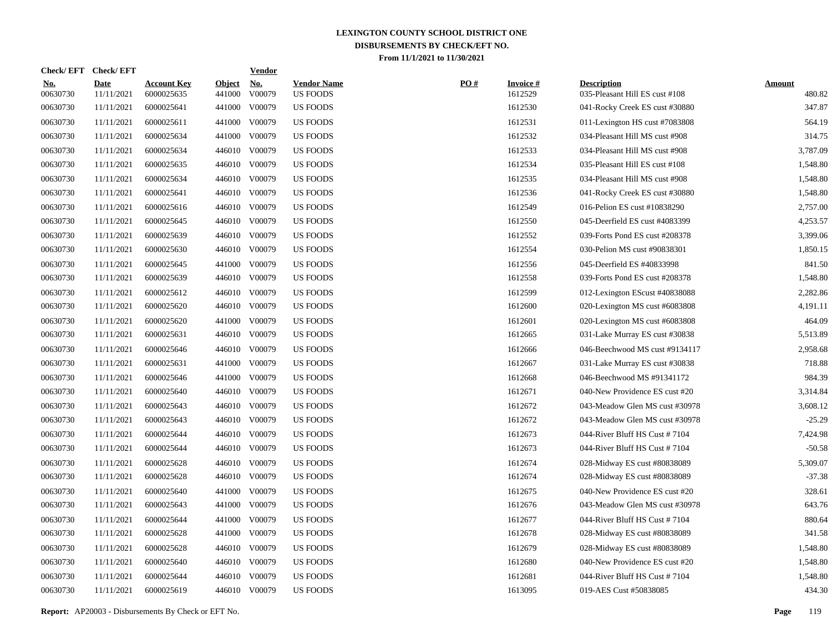|                   | Check/EFT Check/EFT       |                                  |                         | <u>Vendor</u>        |                                       |     |                            |                                                      |                         |
|-------------------|---------------------------|----------------------------------|-------------------------|----------------------|---------------------------------------|-----|----------------------------|------------------------------------------------------|-------------------------|
| $No.$<br>00630730 | <b>Date</b><br>11/11/2021 | <b>Account Key</b><br>6000025635 | <b>Object</b><br>441000 | <u>No.</u><br>V00079 | <b>Vendor Name</b><br><b>US FOODS</b> | PO# | <b>Invoice#</b><br>1612529 | <b>Description</b><br>035-Pleasant Hill ES cust #108 | <b>Amount</b><br>480.82 |
| 00630730          | 11/11/2021                | 6000025641                       | 441000                  | V00079               | <b>US FOODS</b>                       |     | 1612530                    | 041-Rocky Creek ES cust #30880                       | 347.87                  |
| 00630730          | 11/11/2021                | 6000025611                       | 441000                  | V00079               | US FOODS                              |     | 1612531                    | 011-Lexington HS cust #7083808                       | 564.19                  |
| 00630730          | 11/11/2021                | 6000025634                       | 441000                  | V00079               | <b>US FOODS</b>                       |     | 1612532                    | 034-Pleasant Hill MS cust #908                       | 314.75                  |
| 00630730          | 11/11/2021                | 6000025634                       | 446010                  | V00079               | <b>US FOODS</b>                       |     | 1612533                    | 034-Pleasant Hill MS cust #908                       | 3,787.09                |
| 00630730          | 11/11/2021                | 6000025635                       | 446010                  | V00079               | <b>US FOODS</b>                       |     | 1612534                    | 035-Pleasant Hill ES cust #108                       | 1,548.80                |
| 00630730          | 11/11/2021                | 6000025634                       | 446010                  | V00079               | <b>US FOODS</b>                       |     | 1612535                    | 034-Pleasant Hill MS cust #908                       | 1,548.80                |
| 00630730          | 11/11/2021                | 6000025641                       | 446010                  | V00079               | <b>US FOODS</b>                       |     | 1612536                    | 041-Rocky Creek ES cust #30880                       | 1,548.80                |
| 00630730          | 11/11/2021                | 6000025616                       | 446010                  | V00079               | <b>US FOODS</b>                       |     | 1612549                    | 016-Pelion ES cust #10838290                         | 2,757.00                |
| 00630730          | 11/11/2021                | 6000025645                       | 446010                  | V00079               | US FOODS                              |     | 1612550                    | 045-Deerfield ES cust #4083399                       | 4,253.57                |
| 00630730          | 11/11/2021                | 6000025639                       | 446010                  | V00079               | US FOODS                              |     | 1612552                    | 039-Forts Pond ES cust #208378                       | 3,399.06                |
| 00630730          | 11/11/2021                | 6000025630                       | 446010                  | V00079               | <b>US FOODS</b>                       |     | 1612554                    | 030-Pelion MS cust #90838301                         | 1,850.15                |
| 00630730          | 11/11/2021                | 6000025645                       | 441000                  | V00079               | <b>US FOODS</b>                       |     | 1612556                    | 045-Deerfield ES #40833998                           | 841.50                  |
| 00630730          | 11/11/2021                | 6000025639                       |                         | 446010 V00079        | <b>US FOODS</b>                       |     | 1612558                    | 039-Forts Pond ES cust #208378                       | 1,548.80                |
| 00630730          | 11/11/2021                | 6000025612                       | 446010                  | V00079               | <b>US FOODS</b>                       |     | 1612599                    | 012-Lexington EScust #40838088                       | 2,282.86                |
| 00630730          | 11/11/2021                | 6000025620                       |                         | 446010 V00079        | US FOODS                              |     | 1612600                    | 020-Lexington MS cust #6083808                       | 4,191.11                |
| 00630730          | 11/11/2021                | 6000025620                       | 441000                  | V00079               | US FOODS                              |     | 1612601                    | 020-Lexington MS cust #6083808                       | 464.09                  |
| 00630730          | 11/11/2021                | 6000025631                       |                         | 446010 V00079        | <b>US FOODS</b>                       |     | 1612665                    | 031-Lake Murray ES cust #30838                       | 5,513.89                |
| 00630730          | 11/11/2021                | 6000025646                       | 446010                  | V00079               | <b>US FOODS</b>                       |     | 1612666                    | 046-Beechwood MS cust #9134117                       | 2,958.68                |
| 00630730          | 11/11/2021                | 6000025631                       | 441000                  | V00079               | <b>US FOODS</b>                       |     | 1612667                    | 031-Lake Murray ES cust #30838                       | 718.88                  |
| 00630730          | 11/11/2021                | 6000025646                       | 441000                  | V00079               | <b>US FOODS</b>                       |     | 1612668                    | 046-Beechwood MS #91341172                           | 984.39                  |
| 00630730          | 11/11/2021                | 6000025640                       | 446010                  | V00079               | <b>US FOODS</b>                       |     | 1612671                    | 040-New Providence ES cust #20                       | 3,314.84                |
| 00630730          | 11/11/2021                | 6000025643                       | 446010                  | V00079               | <b>US FOODS</b>                       |     | 1612672                    | 043-Meadow Glen MS cust #30978                       | 3,608.12                |
| 00630730          | 11/11/2021                | 6000025643                       | 446010                  | V00079               | US FOODS                              |     | 1612672                    | 043-Meadow Glen MS cust #30978                       | $-25.29$                |
| 00630730          | 11/11/2021                | 6000025644                       | 446010                  | V00079               | <b>US FOODS</b>                       |     | 1612673                    | 044-River Bluff HS Cust #7104                        | 7,424.98                |
| 00630730          | 11/11/2021                | 6000025644                       | 446010                  | V00079               | <b>US FOODS</b>                       |     | 1612673                    | 044-River Bluff HS Cust #7104                        | $-50.58$                |
| 00630730          | 11/11/2021                | 6000025628                       | 446010                  | V00079               | <b>US FOODS</b>                       |     | 1612674                    | 028-Midway ES cust #80838089                         | 5,309.07                |
| 00630730          | 11/11/2021                | 6000025628                       | 446010                  | V00079               | <b>US FOODS</b>                       |     | 1612674                    | 028-Midway ES cust #80838089                         | $-37.38$                |
| 00630730          | 11/11/2021                | 6000025640                       | 441000                  | V00079               | US FOODS                              |     | 1612675                    | 040-New Providence ES cust #20                       | 328.61                  |
| 00630730          | 11/11/2021                | 6000025643                       | 441000                  | V00079               | US FOODS                              |     | 1612676                    | 043-Meadow Glen MS cust #30978                       | 643.76                  |
| 00630730          | 11/11/2021                | 6000025644                       | 441000                  | V00079               | US FOODS                              |     | 1612677                    | 044-River Bluff HS Cust #7104                        | 880.64                  |
| 00630730          | 11/11/2021                | 6000025628                       | 441000                  | V00079               | <b>US FOODS</b>                       |     | 1612678                    | 028-Midway ES cust #80838089                         | 341.58                  |
| 00630730          | 11/11/2021                | 6000025628                       | 446010                  | V00079               | <b>US FOODS</b>                       |     | 1612679                    | 028-Midway ES cust #80838089                         | 1,548.80                |
| 00630730          | 11/11/2021                | 6000025640                       | 446010                  | V00079               | <b>US FOODS</b>                       |     | 1612680                    | 040-New Providence ES cust #20                       | 1,548.80                |
| 00630730          | 11/11/2021                | 6000025644                       | 446010                  | V00079               | <b>US FOODS</b>                       |     | 1612681                    | 044-River Bluff HS Cust #7104                        | 1,548.80                |
| 00630730          | 11/11/2021                | 6000025619                       |                         | 446010 V00079        | <b>US FOODS</b>                       |     | 1613095                    | 019-AES Cust #50838085                               | 434.30                  |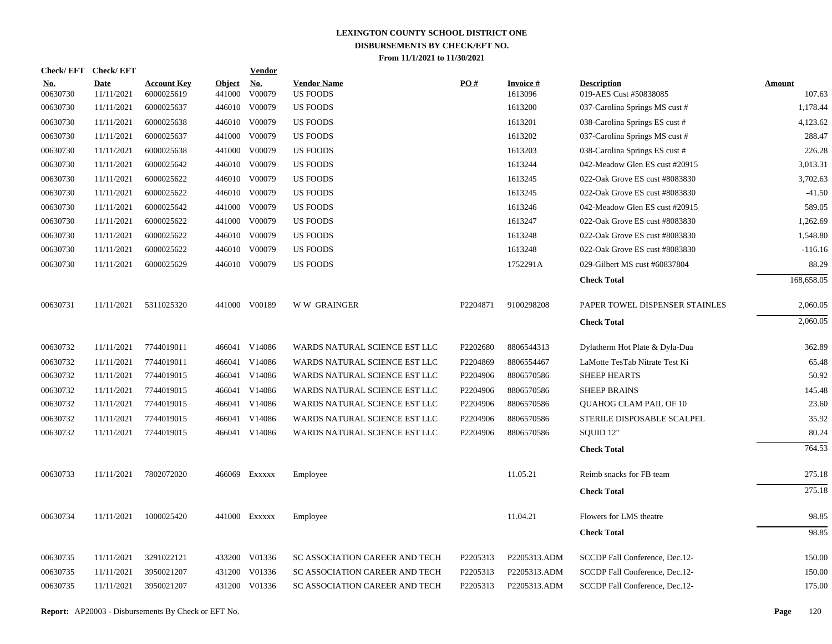|                        | Check/EFT Check/EFT       |                                  |                         | <u>Vendor</u> |                                       |          |                            |                                              |                         |
|------------------------|---------------------------|----------------------------------|-------------------------|---------------|---------------------------------------|----------|----------------------------|----------------------------------------------|-------------------------|
| <b>No.</b><br>00630730 | <b>Date</b><br>11/11/2021 | <b>Account Key</b><br>6000025619 | <b>Object</b><br>441000 | No.<br>V00079 | <b>Vendor Name</b><br><b>US FOODS</b> | PO#      | <b>Invoice#</b><br>1613096 | <b>Description</b><br>019-AES Cust #50838085 | <b>Amount</b><br>107.63 |
| 00630730               | 11/11/2021                | 6000025637                       | 446010                  | V00079        | <b>US FOODS</b>                       |          | 1613200                    | 037-Carolina Springs MS cust #               | 1,178.44                |
| 00630730               | 11/11/2021                | 6000025638                       |                         | 446010 V00079 | <b>US FOODS</b>                       |          | 1613201                    | 038-Carolina Springs ES cust #               | 4,123.62                |
| 00630730               | 11/11/2021                | 6000025637                       |                         | 441000 V00079 | <b>US FOODS</b>                       |          | 1613202                    | 037-Carolina Springs MS cust #               | 288.47                  |
| 00630730               | 11/11/2021                | 6000025638                       |                         | 441000 V00079 | US FOODS                              |          | 1613203                    | 038-Carolina Springs ES cust #               | 226.28                  |
| 00630730               | 11/11/2021                | 6000025642                       |                         | 446010 V00079 | <b>US FOODS</b>                       |          | 1613244                    | 042-Meadow Glen ES cust #20915               | 3,013.31                |
| 00630730               | 11/11/2021                | 6000025622                       |                         | 446010 V00079 | <b>US FOODS</b>                       |          | 1613245                    | 022-Oak Grove ES cust #8083830               | 3,702.63                |
| 00630730               | 11/11/2021                | 6000025622                       |                         | 446010 V00079 | <b>US FOODS</b>                       |          | 1613245                    | 022-Oak Grove ES cust #8083830               | $-41.50$                |
| 00630730               | 11/11/2021                | 6000025642                       |                         | 441000 V00079 | <b>US FOODS</b>                       |          | 1613246                    | 042-Meadow Glen ES cust #20915               | 589.05                  |
| 00630730               | 11/11/2021                | 6000025622                       |                         | 441000 V00079 | <b>US FOODS</b>                       |          | 1613247                    | 022-Oak Grove ES cust #8083830               | 1,262.69                |
| 00630730               | 11/11/2021                | 6000025622                       |                         | 446010 V00079 | <b>US FOODS</b>                       |          | 1613248                    | 022-Oak Grove ES cust #8083830               | 1,548.80                |
| 00630730               | 11/11/2021                | 6000025622                       |                         | 446010 V00079 | <b>US FOODS</b>                       |          | 1613248                    | 022-Oak Grove ES cust #8083830               | $-116.16$               |
| 00630730               | 11/11/2021                | 6000025629                       |                         | 446010 V00079 | <b>US FOODS</b>                       |          | 1752291A                   | 029-Gilbert MS cust #60837804                | 88.29                   |
|                        |                           |                                  |                         |               |                                       |          |                            | <b>Check Total</b>                           | 168,658.05              |
| 00630731               | 11/11/2021                | 5311025320                       |                         | 441000 V00189 | <b>WW GRAINGER</b>                    | P2204871 | 9100298208                 | PAPER TOWEL DISPENSER STAINLES               | 2,060.05                |
|                        |                           |                                  |                         |               |                                       |          |                            | <b>Check Total</b>                           | 2,060.05                |
| 00630732               | 11/11/2021                | 7744019011                       |                         | 466041 V14086 | WARDS NATURAL SCIENCE EST LLC         | P2202680 | 8806544313                 | Dylatherm Hot Plate & Dyla-Dua               | 362.89                  |
| 00630732               | 11/11/2021                | 7744019011                       |                         | 466041 V14086 | WARDS NATURAL SCIENCE EST LLC         | P2204869 | 8806554467                 | LaMotte TesTab Nitrate Test Ki               | 65.48                   |
| 00630732               | 11/11/2021                | 7744019015                       |                         | 466041 V14086 | WARDS NATURAL SCIENCE EST LLC         | P2204906 | 8806570586                 | <b>SHEEP HEARTS</b>                          | 50.92                   |
| 00630732               | 11/11/2021                | 7744019015                       |                         | 466041 V14086 | WARDS NATURAL SCIENCE EST LLC         | P2204906 | 8806570586                 | <b>SHEEP BRAINS</b>                          | 145.48                  |
| 00630732               | 11/11/2021                | 7744019015                       |                         | 466041 V14086 | WARDS NATURAL SCIENCE EST LLC         | P2204906 | 8806570586                 | QUAHOG CLAM PAIL OF 10                       | 23.60                   |
| 00630732               | 11/11/2021                | 7744019015                       | 466041                  | V14086        | WARDS NATURAL SCIENCE EST LLC         | P2204906 | 8806570586                 | STERILE DISPOSABLE SCALPEL                   | 35.92                   |
| 00630732               | 11/11/2021                | 7744019015                       |                         | 466041 V14086 | WARDS NATURAL SCIENCE EST LLC         | P2204906 | 8806570586                 | SQUID 12"                                    | 80.24                   |
|                        |                           |                                  |                         |               |                                       |          |                            | <b>Check Total</b>                           | 764.53                  |
| 00630733               | 11/11/2021                | 7802072020                       |                         | 466069 Exxxxx | Employee                              |          | 11.05.21                   | Reimb snacks for FB team                     | 275.18                  |
|                        |                           |                                  |                         |               |                                       |          |                            | <b>Check Total</b>                           | 275.18                  |
| 00630734               | 11/11/2021                | 1000025420                       |                         | 441000 Exxxxx | Employee                              |          | 11.04.21                   | Flowers for LMS theatre                      | 98.85                   |
|                        |                           |                                  |                         |               |                                       |          |                            | <b>Check Total</b>                           | 98.85                   |
| 00630735               | 11/11/2021                | 3291022121                       |                         | 433200 V01336 | SC ASSOCIATION CAREER AND TECH        | P2205313 | P2205313.ADM               | SCCDP Fall Conference, Dec.12-               | 150.00                  |
| 00630735               | 11/11/2021                | 3950021207                       |                         | 431200 V01336 | SC ASSOCIATION CAREER AND TECH        | P2205313 | P2205313.ADM               | SCCDP Fall Conference, Dec.12-               | 150.00                  |
| 00630735               | 11/11/2021                | 3950021207                       |                         | 431200 V01336 | SC ASSOCIATION CAREER AND TECH        | P2205313 | P2205313.ADM               | SCCDP Fall Conference, Dec.12-               | 175.00                  |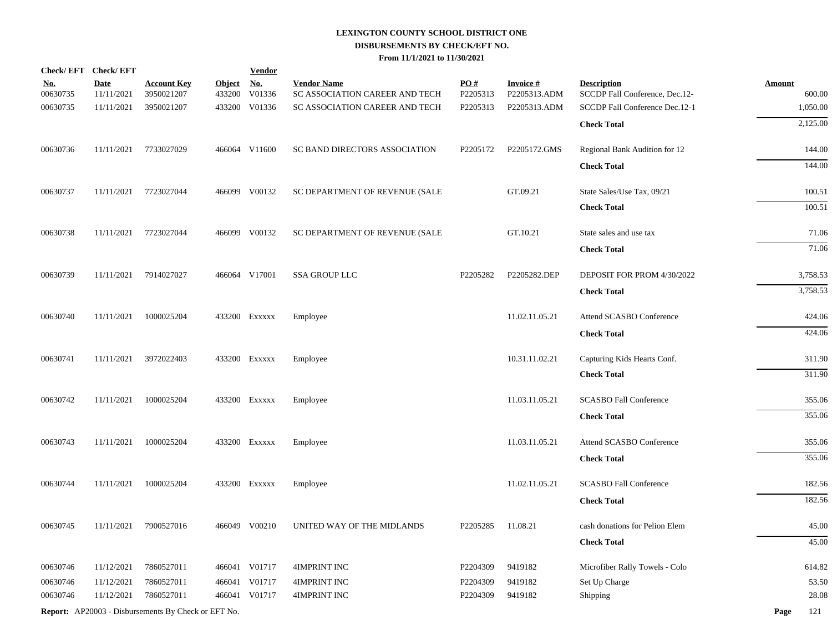|                        | Check/EFT Check/EFT       |                                                            |                         | <b>Vendor</b>        |                                                      |                               |                                 |                                                      |                         |
|------------------------|---------------------------|------------------------------------------------------------|-------------------------|----------------------|------------------------------------------------------|-------------------------------|---------------------------------|------------------------------------------------------|-------------------------|
| <u>No.</u><br>00630735 | <b>Date</b><br>11/11/2021 | <b>Account Key</b><br>3950021207                           | <b>Object</b><br>433200 | <u>No.</u><br>V01336 | <b>Vendor Name</b><br>SC ASSOCIATION CAREER AND TECH | $\underline{PO#}$<br>P2205313 | <b>Invoice#</b><br>P2205313.ADM | <b>Description</b><br>SCCDP Fall Conference, Dec.12- | <b>Amount</b><br>600.00 |
| 00630735               | 11/11/2021                | 3950021207                                                 | 433200                  | V01336               | SC ASSOCIATION CAREER AND TECH                       | P2205313                      | P2205313.ADM                    | SCCDP Fall Conference Dec.12-1                       | 1,050.00                |
|                        |                           |                                                            |                         |                      |                                                      |                               |                                 | <b>Check Total</b>                                   | 2,125.00                |
| 00630736               |                           | 11/11/2021 7733027029                                      |                         | 466064 V11600        | SC BAND DIRECTORS ASSOCIATION                        | P2205172                      | P2205172.GMS                    | Regional Bank Audition for 12                        | 144.00                  |
|                        |                           |                                                            |                         |                      |                                                      |                               |                                 | <b>Check Total</b>                                   | 144.00                  |
| 00630737               | 11/11/2021                | 7723027044                                                 |                         | 466099 V00132        | SC DEPARTMENT OF REVENUE (SALE                       |                               | GT.09.21                        | State Sales/Use Tax, 09/21                           | 100.51                  |
|                        |                           |                                                            |                         |                      |                                                      |                               |                                 | <b>Check Total</b>                                   | 100.51                  |
| 00630738               | 11/11/2021                | 7723027044                                                 |                         | 466099 V00132        | SC DEPARTMENT OF REVENUE (SALE                       |                               | GT.10.21                        | State sales and use tax                              | 71.06                   |
|                        |                           |                                                            |                         |                      |                                                      |                               |                                 | <b>Check Total</b>                                   | 71.06                   |
| 00630739               | 11/11/2021                | 7914027027                                                 |                         | 466064 V17001        | <b>SSA GROUP LLC</b>                                 | P2205282                      | P2205282.DEP                    | DEPOSIT FOR PROM 4/30/2022                           | 3,758.53                |
|                        |                           |                                                            |                         |                      |                                                      |                               |                                 | <b>Check Total</b>                                   | 3,758.53                |
| 00630740               | 11/11/2021                | 1000025204                                                 |                         | 433200 Exxxxx        | Employee                                             |                               | 11.02.11.05.21                  | Attend SCASBO Conference                             | 424.06                  |
|                        |                           |                                                            |                         |                      |                                                      |                               |                                 | <b>Check Total</b>                                   | 424.06                  |
| 00630741               | 11/11/2021                | 3972022403                                                 |                         | 433200 EXXXXX        | Employee                                             |                               | 10.31.11.02.21                  | Capturing Kids Hearts Conf.                          | 311.90                  |
|                        |                           |                                                            |                         |                      |                                                      |                               |                                 | <b>Check Total</b>                                   | 311.90                  |
| 00630742               | 11/11/2021                | 1000025204                                                 |                         | 433200 Exxxxx        | Employee                                             |                               | 11.03.11.05.21                  | <b>SCASBO Fall Conference</b>                        | 355.06                  |
|                        |                           |                                                            |                         |                      |                                                      |                               |                                 | <b>Check Total</b>                                   | 355.06                  |
| 00630743               | 11/11/2021                | 1000025204                                                 |                         | 433200 Exxxxx        | Employee                                             |                               | 11.03.11.05.21                  | Attend SCASBO Conference                             | 355.06                  |
|                        |                           |                                                            |                         |                      |                                                      |                               |                                 | <b>Check Total</b>                                   | 355.06                  |
| 00630744               | 11/11/2021                | 1000025204                                                 |                         | 433200 Exxxxx        | Employee                                             |                               | 11.02.11.05.21                  | <b>SCASBO Fall Conference</b>                        | 182.56                  |
|                        |                           |                                                            |                         |                      |                                                      |                               |                                 | <b>Check Total</b>                                   | 182.56                  |
| 00630745               | 11/11/2021                | 7900527016                                                 |                         | 466049 V00210        | UNITED WAY OF THE MIDLANDS                           | P2205285                      | 11.08.21                        | cash donations for Pelion Elem                       | 45.00                   |
|                        |                           |                                                            |                         |                      |                                                      |                               |                                 | <b>Check Total</b>                                   | 45.00                   |
| 00630746               | 11/12/2021                | 7860527011                                                 |                         | 466041 V01717        | 4IMPRINT INC                                         | P2204309                      | 9419182                         | Microfiber Rally Towels - Colo                       | 614.82                  |
| 00630746               | 11/12/2021                | 7860527011                                                 |                         | 466041 V01717        | 4IMPRINT INC                                         | P2204309                      | 9419182                         | Set Up Charge                                        | 53.50                   |
| 00630746               | 11/12/2021                | 7860527011                                                 |                         | 466041 V01717        | <b>4IMPRINT INC</b>                                  | P2204309                      | 9419182                         | <b>Shipping</b>                                      | 28.08                   |
|                        |                           | <b>Report:</b> AP20003 - Disbursements By Check or EFT No. |                         |                      |                                                      |                               |                                 |                                                      | Page<br>121             |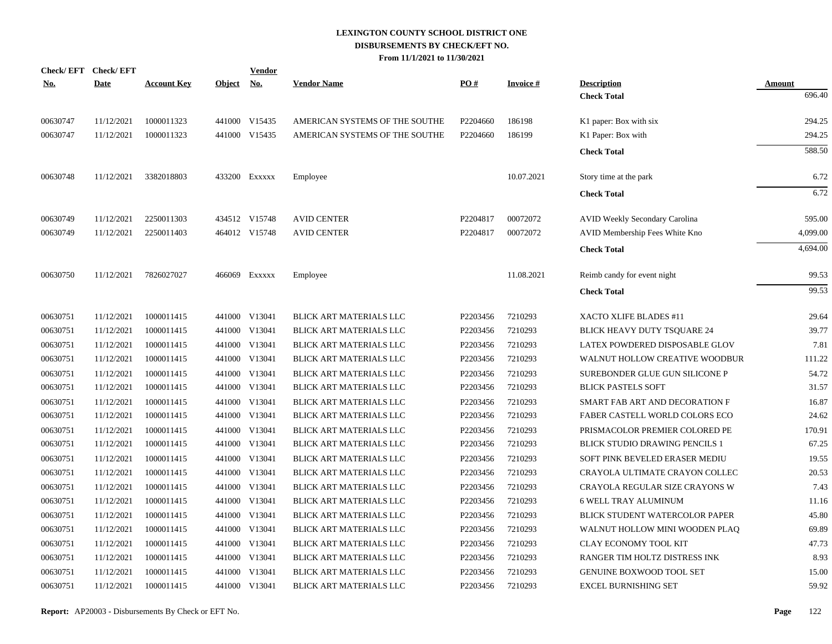| <b>No.</b> | Check/EFT Check/EFT<br><b>Date</b> | <b>Account Key</b> | Object No. | <b>Vendor</b> | <b>Vendor Name</b>             | PO#      | <b>Invoice#</b> | <b>Description</b>                    | Amount   |
|------------|------------------------------------|--------------------|------------|---------------|--------------------------------|----------|-----------------|---------------------------------------|----------|
|            |                                    |                    |            |               |                                |          |                 | <b>Check Total</b>                    | 696.40   |
| 00630747   | 11/12/2021                         | 1000011323         |            | 441000 V15435 | AMERICAN SYSTEMS OF THE SOUTHE | P2204660 | 186198          | K1 paper: Box with six                | 294.25   |
| 00630747   | 11/12/2021                         | 1000011323         |            | 441000 V15435 | AMERICAN SYSTEMS OF THE SOUTHE | P2204660 | 186199          | K1 Paper: Box with                    | 294.25   |
|            |                                    |                    |            |               |                                |          |                 | <b>Check Total</b>                    | 588.50   |
| 00630748   | 11/12/2021                         | 3382018803         |            | 433200 Exxxxx | Employee                       |          | 10.07.2021      | Story time at the park                | 6.72     |
|            |                                    |                    |            |               |                                |          |                 | <b>Check Total</b>                    | 6.72     |
| 00630749   | 11/12/2021                         | 2250011303         |            | 434512 V15748 | <b>AVID CENTER</b>             | P2204817 | 00072072        | AVID Weekly Secondary Carolina        | 595.00   |
| 00630749   | 11/12/2021                         | 2250011403         |            | 464012 V15748 | <b>AVID CENTER</b>             | P2204817 | 00072072        | AVID Membership Fees White Kno        | 4,099.00 |
|            |                                    |                    |            |               |                                |          |                 | <b>Check Total</b>                    | 4,694.00 |
| 00630750   | 11/12/2021                         | 7826027027         |            | 466069 Exxxxx | Employee                       |          | 11.08.2021      | Reimb candy for event night           | 99.53    |
|            |                                    |                    |            |               |                                |          |                 | <b>Check Total</b>                    | 99.53    |
| 00630751   | 11/12/2021                         | 1000011415         |            | 441000 V13041 | <b>BLICK ART MATERIALS LLC</b> | P2203456 | 7210293         | XACTO XLIFE BLADES #11                | 29.64    |
| 00630751   | 11/12/2021                         | 1000011415         |            | 441000 V13041 | BLICK ART MATERIALS LLC        | P2203456 | 7210293         | BLICK HEAVY DUTY TSQUARE 24           | 39.77    |
| 00630751   | 11/12/2021                         | 1000011415         | 441000     | V13041        | BLICK ART MATERIALS LLC        | P2203456 | 7210293         | LATEX POWDERED DISPOSABLE GLOV        | 7.81     |
| 00630751   | 11/12/2021                         | 1000011415         |            | 441000 V13041 | BLICK ART MATERIALS LLC        | P2203456 | 7210293         | WALNUT HOLLOW CREATIVE WOODBUR        | 111.22   |
| 00630751   | 11/12/2021                         | 1000011415         | 441000     | V13041        | BLICK ART MATERIALS LLC        | P2203456 | 7210293         | SUREBONDER GLUE GUN SILICONE P        | 54.72    |
| 00630751   | 11/12/2021                         | 1000011415         |            | 441000 V13041 | BLICK ART MATERIALS LLC        | P2203456 | 7210293         | <b>BLICK PASTELS SOFT</b>             | 31.57    |
| 00630751   | 11/12/2021                         | 1000011415         | 441000     | V13041        | BLICK ART MATERIALS LLC        | P2203456 | 7210293         | SMART FAB ART AND DECORATION F        | 16.87    |
| 00630751   | 11/12/2021                         | 1000011415         | 441000     | V13041        | BLICK ART MATERIALS LLC        | P2203456 | 7210293         | FABER CASTELL WORLD COLORS ECO        | 24.62    |
| 00630751   | 11/12/2021                         | 1000011415         | 441000     | V13041        | BLICK ART MATERIALS LLC        | P2203456 | 7210293         | PRISMACOLOR PREMIER COLORED PE        | 170.91   |
| 00630751   | 11/12/2021                         | 1000011415         | 441000     | V13041        | BLICK ART MATERIALS LLC        | P2203456 | 7210293         | <b>BLICK STUDIO DRAWING PENCILS 1</b> | 67.25    |
| 00630751   | 11/12/2021                         | 1000011415         | 441000     | V13041        | BLICK ART MATERIALS LLC        | P2203456 | 7210293         | SOFT PINK BEVELED ERASER MEDIU        | 19.55    |
| 00630751   | 11/12/2021                         | 1000011415         |            | 441000 V13041 | BLICK ART MATERIALS LLC        | P2203456 | 7210293         | CRAYOLA ULTIMATE CRAYON COLLEC        | 20.53    |
| 00630751   | 11/12/2021                         | 1000011415         |            | 441000 V13041 | BLICK ART MATERIALS LLC        | P2203456 | 7210293         | <b>CRAYOLA REGULAR SIZE CRAYONS W</b> | 7.43     |
| 00630751   | 11/12/2021                         | 1000011415         |            | 441000 V13041 | BLICK ART MATERIALS LLC        | P2203456 | 7210293         | <b>6 WELL TRAY ALUMINUM</b>           | 11.16    |
| 00630751   | 11/12/2021                         | 1000011415         |            | 441000 V13041 | BLICK ART MATERIALS LLC        | P2203456 | 7210293         | BLICK STUDENT WATERCOLOR PAPER        | 45.80    |
| 00630751   | 11/12/2021                         | 1000011415         |            | 441000 V13041 | BLICK ART MATERIALS LLC        | P2203456 | 7210293         | WALNUT HOLLOW MINI WOODEN PLAQ        | 69.89    |
| 00630751   | 11/12/2021                         | 1000011415         |            | 441000 V13041 | BLICK ART MATERIALS LLC        | P2203456 | 7210293         | CLAY ECONOMY TOOL KIT                 | 47.73    |
| 00630751   | 11/12/2021                         | 1000011415         |            | 441000 V13041 | BLICK ART MATERIALS LLC        | P2203456 | 7210293         | RANGER TIM HOLTZ DISTRESS INK         | 8.93     |
| 00630751   | 11/12/2021                         | 1000011415         |            | 441000 V13041 | BLICK ART MATERIALS LLC        | P2203456 | 7210293         | GENUINE BOXWOOD TOOL SET              | 15.00    |
| 00630751   | 11/12/2021                         | 1000011415         |            | 441000 V13041 | BLICK ART MATERIALS LLC        | P2203456 | 7210293         | <b>EXCEL BURNISHING SET</b>           | 59.92    |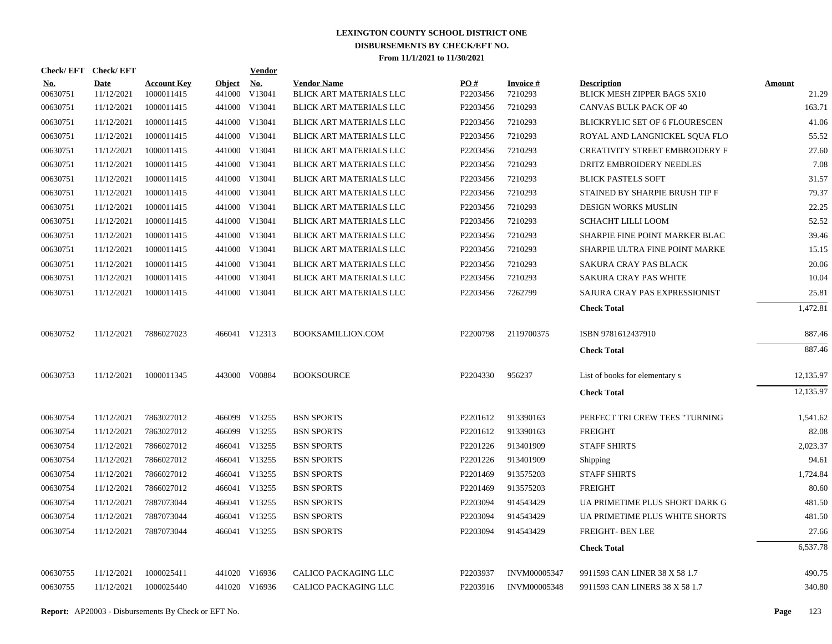|                 | Check/EFT Check/EFT       |                                  |                         | <b>Vendor</b>        |                                               |                 |                            |                                                   |                        |
|-----------------|---------------------------|----------------------------------|-------------------------|----------------------|-----------------------------------------------|-----------------|----------------------------|---------------------------------------------------|------------------------|
| No.<br>00630751 | <b>Date</b><br>11/12/2021 | <b>Account Key</b><br>1000011415 | <b>Object</b><br>441000 | <u>No.</u><br>V13041 | <b>Vendor Name</b><br>BLICK ART MATERIALS LLC | PO#<br>P2203456 | <b>Invoice#</b><br>7210293 | <b>Description</b><br>BLICK MESH ZIPPER BAGS 5X10 | <b>Amount</b><br>21.29 |
| 00630751        | 11/12/2021                | 1000011415                       |                         | 441000 V13041        | BLICK ART MATERIALS LLC                       | P2203456        | 7210293                    | CANVAS BULK PACK OF 40                            | 163.71                 |
| 00630751        | 11/12/2021                | 1000011415                       |                         | 441000 V13041        | BLICK ART MATERIALS LLC                       | P2203456        | 7210293                    | BLICKRYLIC SET OF 6 FLOURESCEN                    | 41.06                  |
| 00630751        | 11/12/2021                | 1000011415                       |                         | 441000 V13041        | BLICK ART MATERIALS LLC                       | P2203456        | 7210293                    | ROYAL AND LANGNICKEL SQUA FLO                     | 55.52                  |
| 00630751        | 11/12/2021                | 1000011415                       |                         | 441000 V13041        | BLICK ART MATERIALS LLC                       | P2203456        | 7210293                    | <b>CREATIVITY STREET EMBROIDERY F</b>             | 27.60                  |
| 00630751        | 11/12/2021                | 1000011415                       |                         | 441000 V13041        | BLICK ART MATERIALS LLC                       | P2203456        | 7210293                    | DRITZ EMBROIDERY NEEDLES                          | 7.08                   |
| 00630751        | 11/12/2021                | 1000011415                       |                         | 441000 V13041        | BLICK ART MATERIALS LLC                       | P2203456        | 7210293                    | <b>BLICK PASTELS SOFT</b>                         | 31.57                  |
| 00630751        | 11/12/2021                | 1000011415                       |                         | 441000 V13041        | BLICK ART MATERIALS LLC                       | P2203456        | 7210293                    | STAINED BY SHARPIE BRUSH TIP F                    | 79.37                  |
| 00630751        | 11/12/2021                | 1000011415                       |                         | 441000 V13041        | BLICK ART MATERIALS LLC                       | P2203456        | 7210293                    | <b>DESIGN WORKS MUSLIN</b>                        | 22.25                  |
| 00630751        | 11/12/2021                | 1000011415                       |                         | 441000 V13041        | BLICK ART MATERIALS LLC                       | P2203456        | 7210293                    | <b>SCHACHT LILLI LOOM</b>                         | 52.52                  |
| 00630751        | 11/12/2021                | 1000011415                       |                         | 441000 V13041        | BLICK ART MATERIALS LLC                       | P2203456        | 7210293                    | SHARPIE FINE POINT MARKER BLAC                    | 39.46                  |
| 00630751        | 11/12/2021                | 1000011415                       |                         | 441000 V13041        | BLICK ART MATERIALS LLC                       | P2203456        | 7210293                    | SHARPIE ULTRA FINE POINT MARKE                    | 15.15                  |
| 00630751        | 11/12/2021                | 1000011415                       |                         | 441000 V13041        | BLICK ART MATERIALS LLC                       | P2203456        | 7210293                    | SAKURA CRAY PAS BLACK                             | 20.06                  |
| 00630751        | 11/12/2021                | 1000011415                       |                         | 441000 V13041        | BLICK ART MATERIALS LLC                       | P2203456        | 7210293                    | SAKURA CRAY PAS WHITE                             | 10.04                  |
| 00630751        | 11/12/2021                | 1000011415                       |                         | 441000 V13041        | BLICK ART MATERIALS LLC                       | P2203456        | 7262799                    | SAJURA CRAY PAS EXPRESSIONIST                     | 25.81                  |
|                 |                           |                                  |                         |                      |                                               |                 |                            | <b>Check Total</b>                                | 1,472.81               |
| 00630752        | 11/12/2021                | 7886027023                       |                         | 466041 V12313        | BOOKSAMILLION.COM                             | P2200798        | 2119700375                 | ISBN 9781612437910                                | 887.46                 |
|                 |                           |                                  |                         |                      |                                               |                 |                            | <b>Check Total</b>                                | 887.46                 |
| 00630753        | 11/12/2021                | 1000011345                       |                         | 443000 V00884        | <b>BOOKSOURCE</b>                             | P2204330        | 956237                     | List of books for elementary s                    | 12,135.97              |
|                 |                           |                                  |                         |                      |                                               |                 |                            | <b>Check Total</b>                                | 12,135.97              |
| 00630754        | 11/12/2021                | 7863027012                       |                         | 466099 V13255        | <b>BSN SPORTS</b>                             | P2201612        | 913390163                  | PERFECT TRI CREW TEES "TURNING                    | 1,541.62               |
| 00630754        | 11/12/2021                | 7863027012                       |                         | 466099 V13255        | <b>BSN SPORTS</b>                             | P2201612        | 913390163                  | <b>FREIGHT</b>                                    | 82.08                  |
| 00630754        | 11/12/2021                | 7866027012                       |                         | 466041 V13255        | <b>BSN SPORTS</b>                             | P2201226        | 913401909                  | <b>STAFF SHIRTS</b>                               | 2,023.37               |
| 00630754        | 11/12/2021                | 7866027012                       |                         | 466041 V13255        | <b>BSN SPORTS</b>                             | P2201226        | 913401909                  | Shipping                                          | 94.61                  |
| 00630754        | 11/12/2021                | 7866027012                       |                         | 466041 V13255        | <b>BSN SPORTS</b>                             | P2201469        | 913575203                  | <b>STAFF SHIRTS</b>                               | 1,724.84               |
| 00630754        | 11/12/2021                | 7866027012                       |                         | 466041 V13255        | <b>BSN SPORTS</b>                             | P2201469        | 913575203                  | <b>FREIGHT</b>                                    | 80.60                  |
| 00630754        | 11/12/2021                | 7887073044                       |                         | 466041 V13255        | <b>BSN SPORTS</b>                             | P2203094        | 914543429                  | UA PRIMETIME PLUS SHORT DARK G                    | 481.50                 |
| 00630754        | 11/12/2021                | 7887073044                       |                         | 466041 V13255        | <b>BSN SPORTS</b>                             | P2203094        | 914543429                  | UA PRIMETIME PLUS WHITE SHORTS                    | 481.50                 |
| 00630754        | 11/12/2021                | 7887073044                       |                         | 466041 V13255        | <b>BSN SPORTS</b>                             | P2203094        | 914543429                  | FREIGHT- BEN LEE                                  | 27.66                  |
|                 |                           |                                  |                         |                      |                                               |                 |                            | <b>Check Total</b>                                | 6,537.78               |
| 00630755        | 11/12/2021                | 1000025411                       |                         | 441020 V16936        | CALICO PACKAGING LLC                          | P2203937        | INVM00005347               | 9911593 CAN LINER 38 X 58 1.7                     | 490.75                 |
| 00630755        | 11/12/2021                | 1000025440                       |                         | 441020 V16936        | <b>CALICO PACKAGING LLC</b>                   | P2203916        | <b>INVM00005348</b>        | 9911593 CAN LINERS 38 X 58 1.7                    | 340.80                 |
|                 |                           |                                  |                         |                      |                                               |                 |                            |                                                   |                        |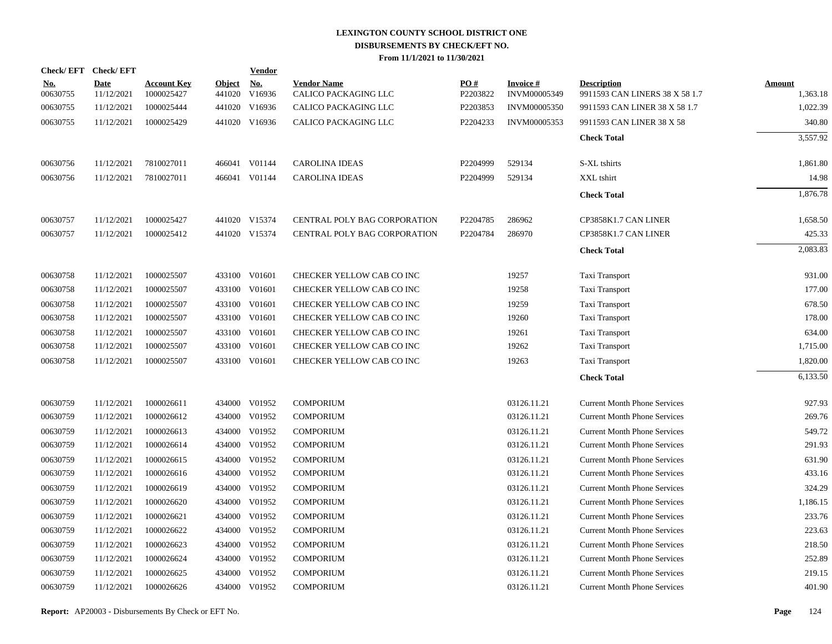|                        | Check/EFT Check/EFT       |                                  |                  | <b>Vendor</b> |                                            |                 |                           |                                                      |                    |
|------------------------|---------------------------|----------------------------------|------------------|---------------|--------------------------------------------|-----------------|---------------------------|------------------------------------------------------|--------------------|
| <u>No.</u><br>00630755 | <b>Date</b><br>11/12/2021 | <b>Account Key</b><br>1000025427 | Object<br>441020 | No.<br>V16936 | <b>Vendor Name</b><br>CALICO PACKAGING LLC | PO#<br>P2203822 | Invoice #<br>INVM00005349 | <b>Description</b><br>9911593 CAN LINERS 38 X 58 1.7 | Amount<br>1,363.18 |
| 00630755               | 11/12/2021                | 1000025444                       |                  | 441020 V16936 | CALICO PACKAGING LLC                       | P2203853        | INVM00005350              | 9911593 CAN LINER 38 X 58 1.7                        | 1,022.39           |
| 00630755               | 11/12/2021                | 1000025429                       |                  | 441020 V16936 | CALICO PACKAGING LLC                       | P2204233        | INVM00005353              | 9911593 CAN LINER 38 X 58                            | 340.80             |
|                        |                           |                                  |                  |               |                                            |                 |                           | <b>Check Total</b>                                   | 3,557.92           |
| 00630756               | 11/12/2021                | 7810027011                       |                  | 466041 V01144 | <b>CAROLINA IDEAS</b>                      | P2204999        | 529134                    | S-XL tshirts                                         | 1,861.80           |
| 00630756               | 11/12/2021                | 7810027011                       |                  | 466041 V01144 | <b>CAROLINA IDEAS</b>                      | P2204999        | 529134                    | XXL tshirt                                           | 14.98              |
|                        |                           |                                  |                  |               |                                            |                 |                           | <b>Check Total</b>                                   | 1,876.78           |
| 00630757               | 11/12/2021                | 1000025427                       |                  | 441020 V15374 | CENTRAL POLY BAG CORPORATION               | P2204785        | 286962                    | CP3858K1.7 CAN LINER                                 | 1,658.50           |
| 00630757               | 11/12/2021                | 1000025412                       |                  | 441020 V15374 | <b>CENTRAL POLY BAG CORPORATION</b>        | P2204784        | 286970                    | CP3858K1.7 CAN LINER                                 | 425.33             |
|                        |                           |                                  |                  |               |                                            |                 |                           | <b>Check Total</b>                                   | 2,083.83           |
| 00630758               | 11/12/2021                | 1000025507                       |                  | 433100 V01601 | CHECKER YELLOW CAB CO INC                  |                 | 19257                     | Taxi Transport                                       | 931.00             |
| 00630758               | 11/12/2021                | 1000025507                       |                  | 433100 V01601 | CHECKER YELLOW CAB CO INC                  |                 | 19258                     | Taxi Transport                                       | 177.00             |
| 00630758               | 11/12/2021                | 1000025507                       |                  | 433100 V01601 | CHECKER YELLOW CAB CO INC                  |                 | 19259                     | Taxi Transport                                       | 678.50             |
| 00630758               | 11/12/2021                | 1000025507                       |                  | 433100 V01601 | CHECKER YELLOW CAB CO INC                  |                 | 19260                     | Taxi Transport                                       | 178.00             |
| 00630758               | 11/12/2021                | 1000025507                       |                  | 433100 V01601 | CHECKER YELLOW CAB CO INC                  |                 | 19261                     | Taxi Transport                                       | 634.00             |
| 00630758               | 11/12/2021                | 1000025507                       |                  | 433100 V01601 | CHECKER YELLOW CAB CO INC                  |                 | 19262                     | Taxi Transport                                       | 1,715.00           |
| 00630758               | 11/12/2021                | 1000025507                       |                  | 433100 V01601 | CHECKER YELLOW CAB CO INC                  |                 | 19263                     | Taxi Transport                                       | 1,820.00           |
|                        |                           |                                  |                  |               |                                            |                 |                           | <b>Check Total</b>                                   | 6,133.50           |
| 00630759               | 11/12/2021                | 1000026611                       |                  | 434000 V01952 | <b>COMPORIUM</b>                           |                 | 03126.11.21               | <b>Current Month Phone Services</b>                  | 927.93             |
| 00630759               | 11/12/2021                | 1000026612                       |                  | 434000 V01952 | <b>COMPORIUM</b>                           |                 | 03126.11.21               | <b>Current Month Phone Services</b>                  | 269.76             |
| 00630759               | 11/12/2021                | 1000026613                       |                  | 434000 V01952 | <b>COMPORIUM</b>                           |                 | 03126.11.21               | <b>Current Month Phone Services</b>                  | 549.72             |
| 00630759               | 11/12/2021                | 1000026614                       |                  | 434000 V01952 | <b>COMPORIUM</b>                           |                 | 03126.11.21               | <b>Current Month Phone Services</b>                  | 291.93             |
| 00630759               | 11/12/2021                | 1000026615                       |                  | 434000 V01952 | <b>COMPORIUM</b>                           |                 | 03126.11.21               | <b>Current Month Phone Services</b>                  | 631.90             |
| 00630759               | 11/12/2021                | 1000026616                       |                  | 434000 V01952 | <b>COMPORIUM</b>                           |                 | 03126.11.21               | <b>Current Month Phone Services</b>                  | 433.16             |
| 00630759               | 11/12/2021                | 1000026619                       |                  | 434000 V01952 | <b>COMPORIUM</b>                           |                 | 03126.11.21               | <b>Current Month Phone Services</b>                  | 324.29             |
| 00630759               | 11/12/2021                | 1000026620                       |                  | 434000 V01952 | <b>COMPORIUM</b>                           |                 | 03126.11.21               | <b>Current Month Phone Services</b>                  | 1,186.15           |
| 00630759               | 11/12/2021                | 1000026621                       |                  | 434000 V01952 | <b>COMPORIUM</b>                           |                 | 03126.11.21               | <b>Current Month Phone Services</b>                  | 233.76             |
| 00630759               | 11/12/2021                | 1000026622                       |                  | 434000 V01952 | <b>COMPORIUM</b>                           |                 | 03126.11.21               | <b>Current Month Phone Services</b>                  | 223.63             |
| 00630759               | 11/12/2021                | 1000026623                       |                  | 434000 V01952 | <b>COMPORIUM</b>                           |                 | 03126.11.21               | <b>Current Month Phone Services</b>                  | 218.50             |
| 00630759               | 11/12/2021                | 1000026624                       |                  | 434000 V01952 | <b>COMPORIUM</b>                           |                 | 03126.11.21               | <b>Current Month Phone Services</b>                  | 252.89             |
| 00630759               | 11/12/2021                | 1000026625                       | 434000           | V01952        | <b>COMPORIUM</b>                           |                 | 03126.11.21               | <b>Current Month Phone Services</b>                  | 219.15             |
| 00630759               | 11/12/2021                | 1000026626                       |                  | 434000 V01952 | <b>COMPORIUM</b>                           |                 | 03126.11.21               | <b>Current Month Phone Services</b>                  | 401.90             |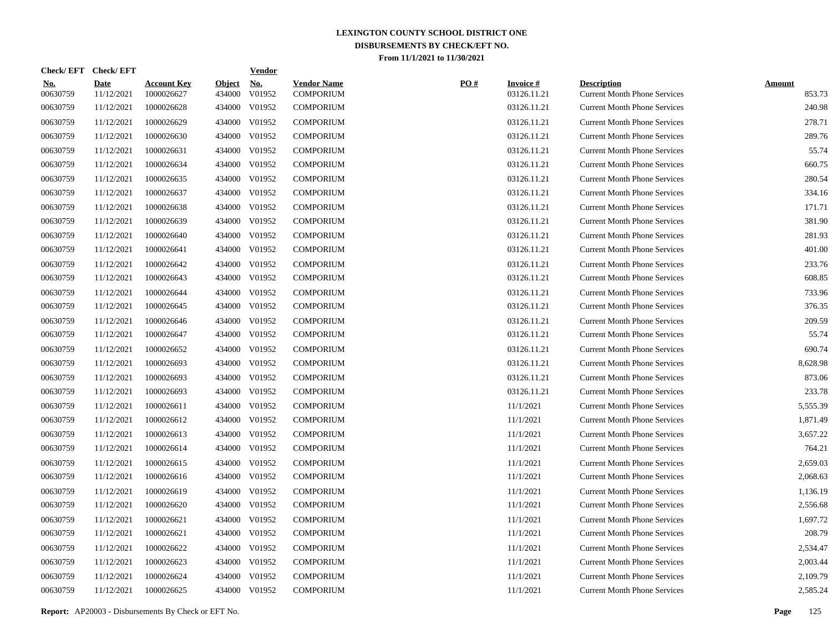| <b>Check/EFT</b> | <b>Check/EFT</b>   |                                  |                         | Vendor        |                                 |
|------------------|--------------------|----------------------------------|-------------------------|---------------|---------------------------------|
| No.<br>00630759  | Date<br>11/12/2021 | <b>Account Key</b><br>1000026627 | <b>Object</b><br>434000 | No.<br>V01952 | <b>Vendor Name</b><br>COMPORIUM |
| 00630759         | 11/12/2021         | 1000026628                       | 434000                  | V01952        | COMPORIUM                       |
| 00630759         | 11/12/2021         | 1000026629                       | 434000                  | V01952        | <b>COMPORIUM</b>                |
| 00630759         | 11/12/2021         | 1000026630                       | 434000                  | V01952        | <b>COMPORIUM</b>                |
| 00630759         | 11/12/2021         | 1000026631                       | 434000                  | V01952        | <b>COMPORIUM</b>                |
| 00630759         | 11/12/2021         | 1000026634                       | 434000                  | V01952        | <b>COMPORIUM</b>                |
| 00630759         | 11/12/2021         | 1000026635                       | 434000                  | V01952        | <b>COMPORIUM</b>                |
| 00630759         | 11/12/2021         | 1000026637                       | 434000                  | V01952        | <b>COMPORIUM</b>                |
| 00630759         | 11/12/2021         | 1000026638                       | 434000                  | V01952        | <b>COMPORIUM</b>                |
| 00630759         | 11/12/2021         | 1000026639                       | 434000                  | V01952        | <b>COMPORIUM</b>                |
| 00630759         | 11/12/2021         | 1000026640                       | 434000                  | V01952        | <b>COMPORIUM</b>                |
| 00630759         | 11/12/2021         | 1000026641                       | 434000                  | V01952        | <b>COMPORIUM</b>                |
| 00630759         | 11/12/2021         | 1000026642                       | 434000                  | V01952        | <b>COMPORIUM</b>                |
| 00630759         | 11/12/2021         | 1000026643                       | 434000                  | V01952        | <b>COMPORIUM</b>                |
| 00630759         | 11/12/2021         | 1000026644                       | 434000                  | V01952        | <b>COMPORIUM</b>                |
| 00630759         | 11/12/2021         | 1000026645                       | 434000                  | V01952        | <b>COMPORIUM</b>                |
| 00630759         | 11/12/2021         | 1000026646                       | 434000                  | V01952        | <b>COMPORIUM</b>                |
| 00630759         | 11/12/2021         | 1000026647                       | 434000                  | V01952        | <b>COMPORIUM</b>                |
| 00630759         | 11/12/2021         | 1000026652                       | 434000                  | V01952        | <b>COMPORIUM</b>                |
| 00630759         | 11/12/2021         | 1000026693                       | 434000                  | V01952        | <b>COMPORIUM</b>                |
| 00630759         | 11/12/2021         | 1000026693                       | 434000                  | V01952        | <b>COMPORIUM</b>                |
| 00630759         | 11/12/2021         | 1000026693                       | 434000                  | V01952        | <b>COMPORIUM</b>                |
| 00630759         | 11/12/2021         | 1000026611                       | 434000                  | V01952        | <b>COMPORIUM</b>                |
| 00630759         | 11/12/2021         | 1000026612                       | 434000                  | V01952        | <b>COMPORIUM</b>                |
| 00630759         | 11/12/2021         | 1000026613                       | 434000                  | V01952        | <b>COMPORIUM</b>                |
| 00630759         | 11/12/2021         | 1000026614                       | 434000                  | V01952        | <b>COMPORIUM</b>                |
| 00630759         | 11/12/2021         | 1000026615                       | 434000                  | V01952        | <b>COMPORIUM</b>                |
| 00630759         | 11/12/2021         | 1000026616                       | 434000                  | V01952        | <b>COMPORIUM</b>                |
| 00630759         | 11/12/2021         | 1000026619                       | 434000                  | V01952        | <b>COMPORIUM</b>                |
| 00630759         | 11/12/2021         | 1000026620                       | 434000                  | V01952        | <b>COMPORIUM</b>                |
| 00630759         | 11/12/2021         | 1000026621                       | 434000                  | V01952        | <b>COMPORIUM</b>                |
| 00630759         | 11/12/2021         | 1000026621                       | 434000                  | V01952        | <b>COMPORIUM</b>                |
| 00630759         | 11/12/2021         | 1000026622                       | 434000                  | V01952        | <b>COMPORIUM</b>                |
| 00630759         | 11/12/2021         | 1000026623                       | 434000                  | V01952        | COMPORIUM                       |
| 00630759         | 11/12/2021         | 1000026624                       | 434000                  | V01952        | <b>COMPORIUM</b>                |
| 00630759         | 11/12/2021         | 1000026625                       | 434000                  | V01952        | <b>COMPORIUM</b>                |

| <u>No.</u><br>00630759 | Date<br>11/12/2021 | <b>Account Key</b><br>1000026627 | <b>Object</b><br>434000 | <u>No.</u><br>V01952 | <b>Vendor Name</b><br><b>COMPORIUM</b> | PO# | <b>Invoice#</b><br>03126.11.21 | <b>Description</b><br><b>Current Month Phone Services</b> | <b>Amount</b><br>853.73 |
|------------------------|--------------------|----------------------------------|-------------------------|----------------------|----------------------------------------|-----|--------------------------------|-----------------------------------------------------------|-------------------------|
| 00630759               | 11/12/2021         | 1000026628                       |                         | 434000 V01952        | <b>COMPORIUM</b>                       |     | 03126.11.21                    | <b>Current Month Phone Services</b>                       | 240.98                  |
| 00630759               | 11/12/2021         | 1000026629                       |                         | 434000 V01952        | <b>COMPORIUM</b>                       |     | 03126.11.21                    | <b>Current Month Phone Services</b>                       | 278.71                  |
| 00630759               | 11/12/2021         | 1000026630                       |                         | 434000 V01952        | <b>COMPORIUM</b>                       |     | 03126.11.21                    | <b>Current Month Phone Services</b>                       | 289.76                  |
| 00630759               | 11/12/2021         | 1000026631                       | 434000                  | V01952               | <b>COMPORIUM</b>                       |     | 03126.11.21                    | <b>Current Month Phone Services</b>                       | 55.74                   |
| 00630759               | 11/12/2021         | 1000026634                       | 434000                  | V01952               | <b>COMPORIUM</b>                       |     | 03126.11.21                    | <b>Current Month Phone Services</b>                       | 660.75                  |
| 00630759               | 11/12/2021         | 1000026635                       | 434000                  | V01952               | <b>COMPORIUM</b>                       |     | 03126.11.21                    | <b>Current Month Phone Services</b>                       | 280.54                  |
| 00630759               | 11/12/2021         | 1000026637                       | 434000                  | V01952               | <b>COMPORIUM</b>                       |     | 03126.11.21                    | <b>Current Month Phone Services</b>                       | 334.16                  |
| 00630759               | 11/12/2021         | 1000026638                       | 434000                  | V01952               | <b>COMPORIUM</b>                       |     | 03126.11.21                    | <b>Current Month Phone Services</b>                       | 171.71                  |
| 00630759               | 11/12/2021         | 1000026639                       | 434000                  | V01952               | <b>COMPORIUM</b>                       |     | 03126.11.21                    | <b>Current Month Phone Services</b>                       | 381.90                  |
| 00630759               | 11/12/2021         | 1000026640                       |                         | 434000 V01952        | <b>COMPORIUM</b>                       |     | 03126.11.21                    | <b>Current Month Phone Services</b>                       | 281.93                  |
| 00630759               | 11/12/2021         | 1000026641                       | 434000                  | V01952               | <b>COMPORIUM</b>                       |     | 03126.11.21                    | <b>Current Month Phone Services</b>                       | 401.00                  |
| 00630759               | 11/12/2021         | 1000026642                       | 434000                  | V01952               | <b>COMPORIUM</b>                       |     | 03126.11.21                    | <b>Current Month Phone Services</b>                       | 233.76                  |
| 00630759               | 11/12/2021         | 1000026643                       | 434000                  | V01952               | <b>COMPORIUM</b>                       |     | 03126.11.21                    | <b>Current Month Phone Services</b>                       | 608.85                  |
| 00630759               | 11/12/2021         | 1000026644                       | 434000                  | V01952               | <b>COMPORIUM</b>                       |     | 03126.11.21                    | <b>Current Month Phone Services</b>                       | 733.96                  |
| 00630759               | 11/12/2021         | 1000026645                       | 434000                  | V01952               | <b>COMPORIUM</b>                       |     | 03126.11.21                    | <b>Current Month Phone Services</b>                       | 376.35                  |
| 00630759               | 11/12/2021         | 1000026646                       |                         | 434000 V01952        | <b>COMPORIUM</b>                       |     | 03126.11.21                    | <b>Current Month Phone Services</b>                       | 209.59                  |
| 00630759               | 11/12/2021         | 1000026647                       |                         | 434000 V01952        | <b>COMPORIUM</b>                       |     | 03126.11.21                    | <b>Current Month Phone Services</b>                       | 55.74                   |
| 00630759               | 11/12/2021         | 1000026652                       |                         | 434000 V01952        | <b>COMPORIUM</b>                       |     | 03126.11.21                    | <b>Current Month Phone Services</b>                       | 690.74                  |
| 00630759               | 11/12/2021         | 1000026693                       |                         | 434000 V01952        | <b>COMPORIUM</b>                       |     | 03126.11.21                    | <b>Current Month Phone Services</b>                       | 8,628.98                |
| 00630759               | 11/12/2021         | 1000026693                       |                         | 434000 V01952        | <b>COMPORIUM</b>                       |     | 03126.11.21                    | <b>Current Month Phone Services</b>                       | 873.06                  |
| 00630759               | 11/12/2021         | 1000026693                       |                         | 434000 V01952        | <b>COMPORIUM</b>                       |     | 03126.11.21                    | <b>Current Month Phone Services</b>                       | 233.78                  |
| 00630759               | 11/12/2021         | 1000026611                       |                         | 434000 V01952        | <b>COMPORIUM</b>                       |     | 11/1/2021                      | <b>Current Month Phone Services</b>                       | 5,555.39                |
| 00630759               | 11/12/2021         | 1000026612                       |                         | 434000 V01952        | <b>COMPORIUM</b>                       |     | 11/1/2021                      | <b>Current Month Phone Services</b>                       | 1,871.49                |
| 00630759               | 11/12/2021         | 1000026613                       | 434000                  | V01952               | <b>COMPORIUM</b>                       |     | 11/1/2021                      | <b>Current Month Phone Services</b>                       | 3,657.22                |
| 00630759               | 11/12/2021         | 1000026614                       | 434000                  | V01952               | <b>COMPORIUM</b>                       |     | 11/1/2021                      | <b>Current Month Phone Services</b>                       | 764.21                  |
| 00630759               | 11/12/2021         | 1000026615                       | 434000                  | V01952               | <b>COMPORIUM</b>                       |     | 11/1/2021                      | <b>Current Month Phone Services</b>                       | 2,659.03                |
| 00630759               | 11/12/2021         | 1000026616                       | 434000                  | V01952               | COMPORIUM                              |     | 11/1/2021                      | <b>Current Month Phone Services</b>                       | 2,068.63                |
| 00630759               | 11/12/2021         | 1000026619                       | 434000                  | V01952               | <b>COMPORIUM</b>                       |     | 11/1/2021                      | <b>Current Month Phone Services</b>                       | 1,136.19                |
| 00630759               | 11/12/2021         | 1000026620                       | 434000                  | V01952               | <b>COMPORIUM</b>                       |     | 11/1/2021                      | <b>Current Month Phone Services</b>                       | 2,556.68                |
| 00630759               | 11/12/2021         | 1000026621                       | 434000                  | V01952               | <b>COMPORIUM</b>                       |     | 11/1/2021                      | <b>Current Month Phone Services</b>                       | 1,697.72                |
| 00630759               | 11/12/2021         | 1000026621                       | 434000                  | V01952               | <b>COMPORIUM</b>                       |     | 11/1/2021                      | <b>Current Month Phone Services</b>                       | 208.79                  |
| 00630759               | 11/12/2021         | 1000026622                       | 434000                  | V01952               | <b>COMPORIUM</b>                       |     | 11/1/2021                      | <b>Current Month Phone Services</b>                       | 2,534.47                |
| 00630759               | 11/12/2021         | 1000026623                       | 434000                  | V01952               | <b>COMPORIUM</b>                       |     | 11/1/2021                      | <b>Current Month Phone Services</b>                       | 2,003.44                |
| 00630759               | 11/12/2021         | 1000026624                       |                         | 434000 V01952        | <b>COMPORIUM</b>                       |     | 11/1/2021                      | <b>Current Month Phone Services</b>                       | 2,109.79                |
| 00630759               | 11/12/2021         | 1000026625                       |                         | 434000 V01952        | <b>COMPORIUM</b>                       |     | 11/1/2021                      | <b>Current Month Phone Services</b>                       | 2,585.24                |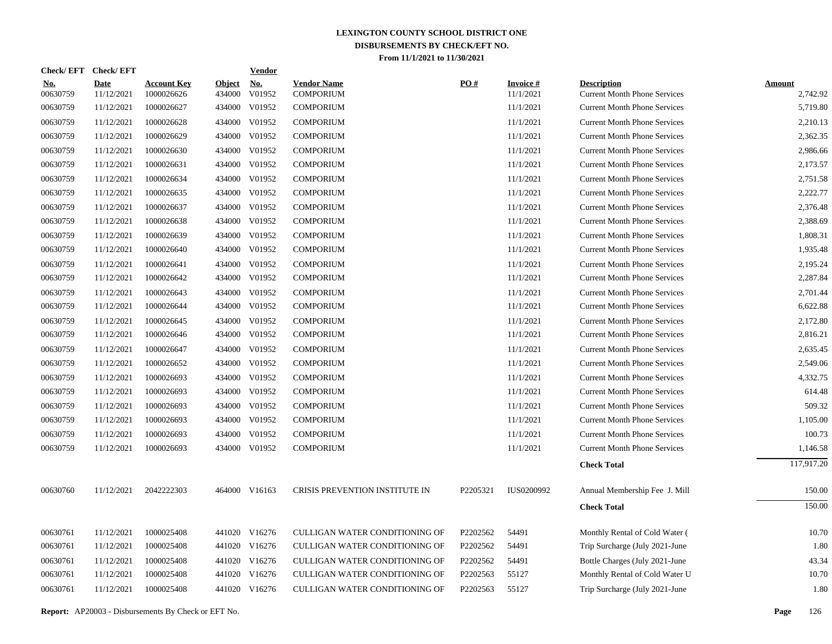| <b>Check/EFT</b>       | <b>Check/EFT</b>          |                                  |                         | <b>Vendor</b>        |                                        |                   |                              |                                                           |                           |
|------------------------|---------------------------|----------------------------------|-------------------------|----------------------|----------------------------------------|-------------------|------------------------------|-----------------------------------------------------------|---------------------------|
| <u>No.</u><br>00630759 | <b>Date</b><br>11/12/2021 | <b>Account Key</b><br>1000026626 | <u>Object</u><br>434000 | <u>No.</u><br>V01952 | <b>Vendor Name</b><br><b>COMPORIUM</b> | $\underline{PO#}$ | <b>Invoice#</b><br>11/1/2021 | <b>Description</b><br><b>Current Month Phone Services</b> | <b>Amount</b><br>2,742.92 |
| 00630759               | 11/12/2021                | 1000026627                       | 434000                  | V01952               | <b>COMPORIUM</b>                       |                   | 11/1/2021                    | <b>Current Month Phone Services</b>                       | 5,719.80                  |
| 00630759               | 11/12/2021                | 1000026628                       | 434000                  | V01952               | <b>COMPORIUM</b>                       |                   | 11/1/2021                    | <b>Current Month Phone Services</b>                       | 2,210.13                  |
| 00630759               | 11/12/2021                | 1000026629                       | 434000                  | V01952               | <b>COMPORIUM</b>                       |                   | 11/1/2021                    | <b>Current Month Phone Services</b>                       | 2,362.35                  |
| 00630759               | 11/12/2021                | 1000026630                       | 434000                  | V01952               | <b>COMPORIUM</b>                       |                   | 11/1/2021                    | <b>Current Month Phone Services</b>                       | 2,986.66                  |
| 00630759               | 11/12/2021                | 1000026631                       | 434000                  | V01952               | <b>COMPORIUM</b>                       |                   | 11/1/2021                    | <b>Current Month Phone Services</b>                       | 2,173.57                  |
| 00630759               | 11/12/2021                | 1000026634                       | 434000                  | V01952               | <b>COMPORIUM</b>                       |                   | 11/1/2021                    | <b>Current Month Phone Services</b>                       | 2,751.58                  |
| 00630759               | 11/12/2021                | 1000026635                       | 434000                  | V01952               | <b>COMPORIUM</b>                       |                   | 11/1/2021                    | <b>Current Month Phone Services</b>                       | 2,222.77                  |
| 00630759               | 11/12/2021                | 1000026637                       | 434000                  | V01952               | <b>COMPORIUM</b>                       |                   | 11/1/2021                    | <b>Current Month Phone Services</b>                       | 2,376.48                  |
| 00630759               | 11/12/2021                | 1000026638                       | 434000                  | V01952               | <b>COMPORIUM</b>                       |                   | 11/1/2021                    | <b>Current Month Phone Services</b>                       | 2,388.69                  |
| 00630759               | 11/12/2021                | 1000026639                       | 434000                  | V01952               | <b>COMPORIUM</b>                       |                   | 11/1/2021                    | <b>Current Month Phone Services</b>                       | 1,808.31                  |
| 00630759               | 11/12/2021                | 1000026640                       | 434000                  | V01952               | <b>COMPORIUM</b>                       |                   | 11/1/2021                    | <b>Current Month Phone Services</b>                       | 1,935.48                  |
| 00630759               | 11/12/2021                | 1000026641                       | 434000                  | V01952               | <b>COMPORIUM</b>                       |                   | 11/1/2021                    | <b>Current Month Phone Services</b>                       | 2,195.24                  |
| 00630759               | 11/12/2021                | 1000026642                       |                         | 434000 V01952        | <b>COMPORIUM</b>                       |                   | 11/1/2021                    | <b>Current Month Phone Services</b>                       | 2,287.84                  |
| 00630759               | 11/12/2021                | 1000026643                       |                         | 434000 V01952        | <b>COMPORIUM</b>                       |                   | 11/1/2021                    | <b>Current Month Phone Services</b>                       | 2,701.44                  |
| 00630759               | 11/12/2021                | 1000026644                       |                         | 434000 V01952        | <b>COMPORIUM</b>                       |                   | 11/1/2021                    | <b>Current Month Phone Services</b>                       | 6,622.88                  |
| 00630759               | 11/12/2021                | 1000026645                       |                         | 434000 V01952        | <b>COMPORIUM</b>                       |                   | 11/1/2021                    | <b>Current Month Phone Services</b>                       | 2,172.80                  |
| 00630759               | 11/12/2021                | 1000026646                       |                         | 434000 V01952        | <b>COMPORIUM</b>                       |                   | 11/1/2021                    | <b>Current Month Phone Services</b>                       | 2,816.21                  |
| 00630759               | 11/12/2021                | 1000026647                       |                         | 434000 V01952        | <b>COMPORIUM</b>                       |                   | 11/1/2021                    | <b>Current Month Phone Services</b>                       | 2,635.45                  |
| 00630759               | 11/12/2021                | 1000026652                       |                         | 434000 V01952        | <b>COMPORIUM</b>                       |                   | 11/1/2021                    | <b>Current Month Phone Services</b>                       | 2,549.06                  |
| 00630759               | 11/12/2021                | 1000026693                       |                         | 434000 V01952        | <b>COMPORIUM</b>                       |                   | 11/1/2021                    | <b>Current Month Phone Services</b>                       | 4,332.75                  |
| 00630759               | 11/12/2021                | 1000026693                       |                         | 434000 V01952        | <b>COMPORIUM</b>                       |                   | 11/1/2021                    | <b>Current Month Phone Services</b>                       | 614.48                    |
| 00630759               | 11/12/2021                | 1000026693                       |                         | 434000 V01952        | <b>COMPORIUM</b>                       |                   | 11/1/2021                    | <b>Current Month Phone Services</b>                       | 509.32                    |
| 00630759               | 11/12/2021                | 1000026693                       |                         | 434000 V01952        | <b>COMPORIUM</b>                       |                   | 11/1/2021                    | <b>Current Month Phone Services</b>                       | 1,105.00                  |
| 00630759               | 11/12/2021                | 1000026693                       |                         | 434000 V01952        | <b>COMPORIUM</b>                       |                   | 11/1/2021                    | <b>Current Month Phone Services</b>                       | 100.73                    |
| 00630759               | 11/12/2021                | 1000026693                       |                         | 434000 V01952        | <b>COMPORIUM</b>                       |                   | 11/1/2021                    | <b>Current Month Phone Services</b>                       | 1,146.58                  |
|                        |                           |                                  |                         |                      |                                        |                   |                              | <b>Check Total</b>                                        | 117,917.20                |
| 00630760               | 11/12/2021                | 2042222303                       |                         | 464000 V16163        | CRISIS PREVENTION INSTITUTE IN         | P2205321          | IUS0200992                   | Annual Membership Fee J. Mill                             | 150.00                    |
|                        |                           |                                  |                         |                      |                                        |                   |                              | <b>Check Total</b>                                        | 150.00                    |
| 00630761               | 11/12/2021                | 1000025408                       |                         | 441020 V16276        | CULLIGAN WATER CONDITIONING OF         | P2202562          | 54491                        | Monthly Rental of Cold Water (                            | 10.70                     |
| 00630761               | 11/12/2021                | 1000025408                       |                         | 441020 V16276        | CULLIGAN WATER CONDITIONING OF         | P2202562          | 54491                        | Trip Surcharge (July 2021-June                            | 1.80                      |
| 00630761               | 11/12/2021                | 1000025408                       |                         | 441020 V16276        | CULLIGAN WATER CONDITIONING OF         | P2202562          | 54491                        | Bottle Charges (July 2021-June                            | 43.34                     |
| 00630761               | 11/12/2021                | 1000025408                       |                         | 441020 V16276        | CULLIGAN WATER CONDITIONING OF         | P2202563          | 55127                        | Monthly Rental of Cold Water U                            | 10.70                     |
| 00630761               | 11/12/2021                | 1000025408                       |                         | 441020 V16276        | CULLIGAN WATER CONDITIONING OF         | P2202563          | 55127                        | Trip Surcharge (July 2021-June                            | 1.80                      |
|                        |                           |                                  |                         |                      |                                        |                   |                              |                                                           |                           |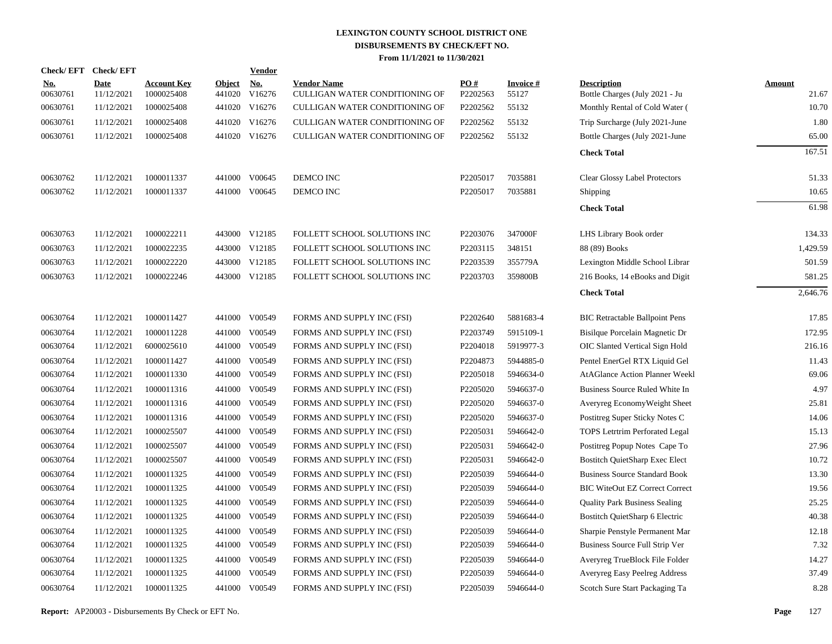| Check/EFT Check/EFT    |                           |                                  |                         | <b>Vendor</b>                         |                                                      |                 |                          |                                                      |                        |
|------------------------|---------------------------|----------------------------------|-------------------------|---------------------------------------|------------------------------------------------------|-----------------|--------------------------|------------------------------------------------------|------------------------|
| <u>No.</u><br>00630761 | <b>Date</b><br>11/12/2021 | <b>Account Key</b><br>1000025408 | <b>Object</b><br>441020 | $\underline{\mathrm{No}}$ .<br>V16276 | <b>Vendor Name</b><br>CULLIGAN WATER CONDITIONING OF | PO#<br>P2202563 | <b>Invoice#</b><br>55127 | <b>Description</b><br>Bottle Charges (July 2021 - Ju | <b>Amount</b><br>21.67 |
| 00630761               | 11/12/2021                | 1000025408                       |                         | 441020 V16276                         | CULLIGAN WATER CONDITIONING OF                       | P2202562        | 55132                    | Monthly Rental of Cold Water (                       | 10.70                  |
| 00630761               | 11/12/2021                | 1000025408                       |                         | 441020 V16276                         | CULLIGAN WATER CONDITIONING OF                       | P2202562        | 55132                    | Trip Surcharge (July 2021-June                       | 1.80                   |
| 00630761               | 11/12/2021                | 1000025408                       |                         | 441020 V16276                         | CULLIGAN WATER CONDITIONING OF                       | P2202562        | 55132                    | Bottle Charges (July 2021-June                       | 65.00                  |
|                        |                           |                                  |                         |                                       |                                                      |                 |                          | <b>Check Total</b>                                   | 167.51                 |
| 00630762               | 11/12/2021                | 1000011337                       |                         | 441000 V00645                         | DEMCO INC                                            | P2205017        | 7035881                  | <b>Clear Glossy Label Protectors</b>                 | 51.33                  |
| 00630762               | 11/12/2021                | 1000011337                       |                         | 441000 V00645                         | DEMCO INC                                            | P2205017        | 7035881                  | <b>Shipping</b>                                      | 10.65                  |
|                        |                           |                                  |                         |                                       |                                                      |                 |                          | <b>Check Total</b>                                   | 61.98                  |
| 00630763               | 11/12/2021                | 1000022211                       |                         | 443000 V12185                         | FOLLETT SCHOOL SOLUTIONS INC                         | P2203076        | 347000F                  | LHS Library Book order                               | 134.33                 |
| 00630763               | 11/12/2021                | 1000022235                       |                         | 443000 V12185                         | FOLLETT SCHOOL SOLUTIONS INC                         | P2203115        | 348151                   | 88 (89) Books                                        | 1,429.59               |
| 00630763               | 11/12/2021                | 1000022220                       |                         | 443000 V12185                         | FOLLETT SCHOOL SOLUTIONS INC                         | P2203539        | 355779A                  | Lexington Middle School Librar                       | 501.59                 |
| 00630763               | 11/12/2021                | 1000022246                       |                         | 443000 V12185                         | FOLLETT SCHOOL SOLUTIONS INC                         | P2203703        | 359800B                  | 216 Books, 14 eBooks and Digit                       | 581.25                 |
|                        |                           |                                  |                         |                                       |                                                      |                 |                          | <b>Check Total</b>                                   | 2,646.76               |
| 00630764               | 11/12/2021                | 1000011427                       |                         | 441000 V00549                         | FORMS AND SUPPLY INC (FSI)                           | P2202640        | 5881683-4                | <b>BIC Retractable Ballpoint Pens</b>                | 17.85                  |
| 00630764               | 11/12/2021                | 1000011228                       |                         | 441000 V00549                         | FORMS AND SUPPLY INC (FSI)                           | P2203749        | 5915109-1                | Bisilque Porcelain Magnetic Dr                       | 172.95                 |
| 00630764               | 11/12/2021                | 6000025610                       |                         | 441000 V00549                         | FORMS AND SUPPLY INC (FSI)                           | P2204018        | 5919977-3                | OIC Slanted Vertical Sign Hold                       | 216.16                 |
| 00630764               | 11/12/2021                | 1000011427                       |                         | 441000 V00549                         | FORMS AND SUPPLY INC (FSI)                           | P2204873        | 5944885-0                | Pentel EnerGel RTX Liquid Gel                        | 11.43                  |
| 00630764               | 11/12/2021                | 1000011330                       |                         | 441000 V00549                         | FORMS AND SUPPLY INC (FSI)                           | P2205018        | 5946634-0                | <b>AtAGlance Action Planner Weekl</b>                | 69.06                  |
| 00630764               | 11/12/2021                | 1000011316                       |                         | 441000 V00549                         | FORMS AND SUPPLY INC (FSI)                           | P2205020        | 5946637-0                | Business Source Ruled White In                       | 4.97                   |
| 00630764               | 11/12/2021                | 1000011316                       |                         | 441000 V00549                         | FORMS AND SUPPLY INC (FSI)                           | P2205020        | 5946637-0                | Averyreg EconomyWeight Sheet                         | 25.81                  |
| 00630764               | 11/12/2021                | 1000011316                       |                         | 441000 V00549                         | FORMS AND SUPPLY INC (FSI)                           | P2205020        | 5946637-0                | Postitreg Super Sticky Notes C                       | 14.06                  |
| 00630764               | 11/12/2021                | 1000025507                       |                         | 441000 V00549                         | FORMS AND SUPPLY INC (FSI)                           | P2205031        | 5946642-0                | TOPS Letrtrim Perforated Legal                       | 15.13                  |
| 00630764               | 11/12/2021                | 1000025507                       |                         | 441000 V00549                         | FORMS AND SUPPLY INC (FSI)                           | P2205031        | 5946642-0                | Postitreg Popup Notes Cape To                        | 27.96                  |
| 00630764               | 11/12/2021                | 1000025507                       |                         | 441000 V00549                         | FORMS AND SUPPLY INC (FSI)                           | P2205031        | 5946642-0                | <b>Bostitch QuietSharp Exec Elect</b>                | 10.72                  |
| 00630764               | 11/12/2021                | 1000011325                       |                         | 441000 V00549                         | FORMS AND SUPPLY INC (FSI)                           | P2205039        | 5946644-0                | <b>Business Source Standard Book</b>                 | 13.30                  |
| 00630764               | 11/12/2021                | 1000011325                       |                         | 441000 V00549                         | FORMS AND SUPPLY INC (FSI)                           | P2205039        | 5946644-0                | <b>BIC WiteOut EZ Correct Correct</b>                | 19.56                  |
| 00630764               | 11/12/2021                | 1000011325                       |                         | 441000 V00549                         | FORMS AND SUPPLY INC (FSI)                           | P2205039        | 5946644-0                | <b>Quality Park Business Sealing</b>                 | 25.25                  |
| 00630764               | 11/12/2021                | 1000011325                       |                         | 441000 V00549                         | FORMS AND SUPPLY INC (FSI)                           | P2205039        | 5946644-0                | Bostitch QuietSharp 6 Electric                       | 40.38                  |
| 00630764               | 11/12/2021                | 1000011325                       |                         | 441000 V00549                         | FORMS AND SUPPLY INC (FSI)                           | P2205039        | 5946644-0                | Sharpie Penstyle Permanent Mar                       | 12.18                  |
| 00630764               | 11/12/2021                | 1000011325                       |                         | 441000 V00549                         | FORMS AND SUPPLY INC (FSI)                           | P2205039        | 5946644-0                | Business Source Full Strip Ver                       | 7.32                   |
| 00630764               | 11/12/2021                | 1000011325                       | 441000                  | V00549                                | FORMS AND SUPPLY INC (FSI)                           | P2205039        | 5946644-0                | Averyreg TrueBlock File Folder                       | 14.27                  |
| 00630764               | 11/12/2021                | 1000011325                       |                         | 441000 V00549                         | FORMS AND SUPPLY INC (FSI)                           | P2205039        | 5946644-0                | Averyreg Easy Peelreg Address                        | 37.49                  |
| 00630764               | 11/12/2021                | 1000011325                       |                         | 441000 V00549                         | FORMS AND SUPPLY INC (FSI)                           | P2205039        | 5946644-0                | Scotch Sure Start Packaging Ta                       | 8.28                   |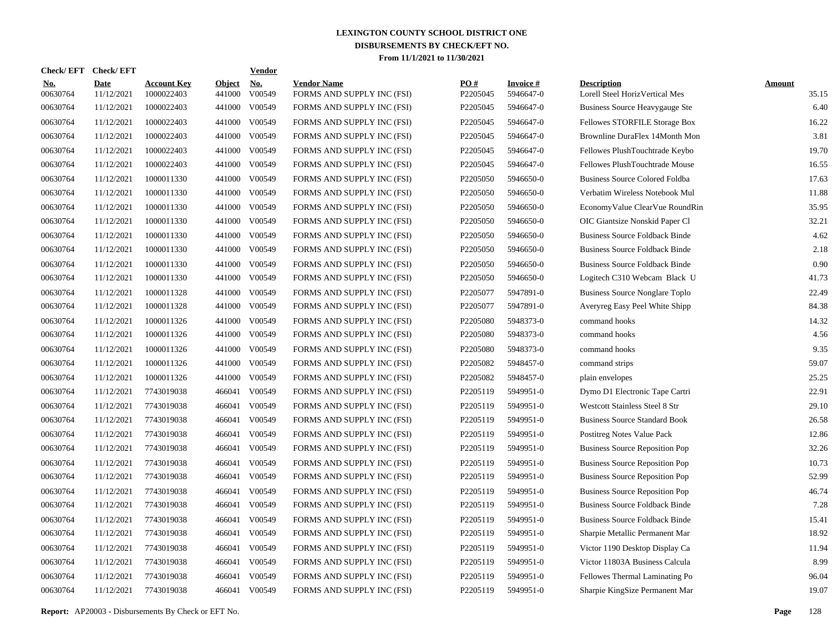| <b>Check/EFT</b> | <b>Check/EFT</b>          |                                  |                         | <b>Vendor</b> |                                                  |                 |                              |                                                      |                        |
|------------------|---------------------------|----------------------------------|-------------------------|---------------|--------------------------------------------------|-----------------|------------------------------|------------------------------------------------------|------------------------|
| No.<br>00630764  | <b>Date</b><br>11/12/2021 | <b>Account Key</b><br>1000022403 | <b>Object</b><br>441000 | No.<br>V00549 | <b>Vendor Name</b><br>FORMS AND SUPPLY INC (FSI) | PO#<br>P2205045 | <b>Invoice#</b><br>5946647-0 | <b>Description</b><br>Lorell Steel HorizVertical Mes | <b>Amount</b><br>35.15 |
| 00630764         | 11/12/2021                | 1000022403                       | 441000                  | V00549        | FORMS AND SUPPLY INC (FSI)                       | P2205045        | 5946647-0                    | Business Source Heavygauge Ste                       | 6.40                   |
| 00630764         | 11/12/2021                | 1000022403                       | 441000                  | V00549        | FORMS AND SUPPLY INC (FSI)                       | P2205045        | 5946647-0                    | Fellowes STORFILE Storage Box                        | 16.22                  |
| 00630764         | 11/12/2021                | 1000022403                       | 441000                  | V00549        | FORMS AND SUPPLY INC (FSI)                       | P2205045        | 5946647-0                    | Brownline DuraFlex 14Month Mon                       | 3.81                   |
| 00630764         | 11/12/2021                | 1000022403                       | 441000                  | V00549        | FORMS AND SUPPLY INC (FSI)                       | P2205045        | 5946647-0                    | Fellowes PlushTouchtrade Keybo                       | 19.70                  |
| 00630764         | 11/12/2021                | 1000022403                       | 441000                  | V00549        | FORMS AND SUPPLY INC (FSI)                       | P2205045        | 5946647-0                    | Fellowes PlushTouchtrade Mouse                       | 16.55                  |
| 00630764         | 11/12/2021                | 1000011330                       | 441000                  | V00549        | FORMS AND SUPPLY INC (FSI)                       | P2205050        | 5946650-0                    | <b>Business Source Colored Foldba</b>                | 17.63                  |
| 00630764         | 11/12/2021                | 1000011330                       | 441000                  | V00549        | FORMS AND SUPPLY INC (FSI)                       | P2205050        | 5946650-0                    | Verbatim Wireless Notebook Mul                       | 11.88                  |
| 00630764         | 11/12/2021                | 1000011330                       | 441000                  | V00549        | FORMS AND SUPPLY INC (FSI)                       | P2205050        | 5946650-0                    | EconomyValue ClearVue RoundRin                       | 35.95                  |
| 00630764         | 11/12/2021                | 1000011330                       | 441000                  | V00549        | FORMS AND SUPPLY INC (FSI)                       | P2205050        | 5946650-0                    | OIC Giantsize Nonskid Paper Cl                       | 32.21                  |
| 00630764         | 11/12/2021                | 1000011330                       | 441000                  | V00549        | FORMS AND SUPPLY INC (FSI)                       | P2205050        | 5946650-0                    | <b>Business Source Foldback Binde</b>                | 4.62                   |
| 00630764         | 11/12/2021                | 1000011330                       | 441000                  | V00549        | FORMS AND SUPPLY INC (FSI)                       | P2205050        | 5946650-0                    | <b>Business Source Foldback Binde</b>                | 2.18                   |
| 00630764         | 11/12/2021                | 1000011330                       | 441000                  | V00549        | FORMS AND SUPPLY INC (FSI)                       | P2205050        | 5946650-0                    | <b>Business Source Foldback Binde</b>                | 0.90                   |
| 00630764         | 11/12/2021                | 1000011330                       | 441000                  | V00549        | FORMS AND SUPPLY INC (FSI)                       | P2205050        | 5946650-0                    | Logitech C310 Webcam Black U                         | 41.73                  |
| 00630764         | 11/12/2021                | 1000011328                       | 441000                  | V00549        | FORMS AND SUPPLY INC (FSI)                       | P2205077        | 5947891-0                    | <b>Business Source Nonglare Toplo</b>                | 22.49                  |
| 00630764         | 11/12/2021                | 1000011328                       | 441000                  | V00549        | FORMS AND SUPPLY INC (FSI)                       | P2205077        | 5947891-0                    | Averyreg Easy Peel White Shipp                       | 84.38                  |
| 00630764         | 11/12/2021                | 1000011326                       | 441000                  | V00549        | FORMS AND SUPPLY INC (FSI)                       | P2205080        | 5948373-0                    | command hooks                                        | 14.32                  |
| 00630764         | 11/12/2021                | 1000011326                       | 441000                  | V00549        | FORMS AND SUPPLY INC (FSI)                       | P2205080        | 5948373-0                    | command hooks                                        | 4.56                   |
| 00630764         | 11/12/2021                | 1000011326                       | 441000                  | V00549        | FORMS AND SUPPLY INC (FSI)                       | P2205080        | 5948373-0                    | command hooks                                        | 9.35                   |
| 00630764         | 11/12/2021                | 1000011326                       | 441000                  | V00549        | FORMS AND SUPPLY INC (FSI)                       | P2205082        | 5948457-0                    | command strips                                       | 59.07                  |
| 00630764         | 11/12/2021                | 1000011326                       | 441000                  | V00549        | FORMS AND SUPPLY INC (FSI)                       | P2205082        | 5948457-0                    | plain envelopes                                      | 25.25                  |
| 00630764         | 11/12/2021                | 7743019038                       | 466041                  | V00549        | FORMS AND SUPPLY INC (FSI)                       | P2205119        | 5949951-0                    | Dymo D1 Electronic Tape Cartri                       | 22.91                  |
| 00630764         | 11/12/2021                | 7743019038                       | 466041                  | V00549        | FORMS AND SUPPLY INC (FSI)                       | P2205119        | 5949951-0                    | <b>Westcott Stainless Steel 8 Str</b>                | 29.10                  |
| 00630764         | 11/12/2021                | 7743019038                       | 466041                  | V00549        | FORMS AND SUPPLY INC (FSI)                       | P2205119        | 5949951-0                    | <b>Business Source Standard Book</b>                 | 26.58                  |
| 00630764         | 11/12/2021                | 7743019038                       | 466041                  | V00549        | FORMS AND SUPPLY INC (FSI)                       | P2205119        | 5949951-0                    | Postitreg Notes Value Pack                           | 12.86                  |
| 00630764         | 11/12/2021                | 7743019038                       | 466041                  | V00549        | FORMS AND SUPPLY INC (FSI)                       | P2205119        | 5949951-0                    | <b>Business Source Reposition Pop</b>                | 32.26                  |
| 00630764         | 11/12/2021                | 7743019038                       | 466041                  | V00549        | FORMS AND SUPPLY INC (FSI)                       | P2205119        | 5949951-0                    | <b>Business Source Reposition Pop</b>                | 10.73                  |
| 00630764         | 11/12/2021                | 7743019038                       | 466041                  | V00549        | FORMS AND SUPPLY INC (FSI)                       | P2205119        | 5949951-0                    | <b>Business Source Reposition Pop</b>                | 52.99                  |
| 00630764         | 11/12/2021                | 7743019038                       | 466041                  | V00549        | FORMS AND SUPPLY INC (FSI)                       | P2205119        | 5949951-0                    | <b>Business Source Reposition Pop</b>                | 46.74                  |
| 00630764         | 11/12/2021                | 7743019038                       | 466041                  | V00549        | FORMS AND SUPPLY INC (FSI)                       | P2205119        | 5949951-0                    | <b>Business Source Foldback Binde</b>                | 7.28                   |
| 00630764         | 11/12/2021                | 7743019038                       | 466041                  | V00549        | FORMS AND SUPPLY INC (FSI)                       | P2205119        | 5949951-0                    | <b>Business Source Foldback Binde</b>                | 15.41                  |
| 00630764         | 11/12/2021                | 7743019038                       | 466041                  | V00549        | FORMS AND SUPPLY INC (FSI)                       | P2205119        | 5949951-0                    | Sharpie Metallic Permanent Mar                       | 18.92                  |
| 00630764         | 11/12/2021                | 7743019038                       | 466041                  | V00549        | FORMS AND SUPPLY INC (FSI)                       | P2205119        | 5949951-0                    | Victor 1190 Desktop Display Ca                       | 11.94                  |
| 00630764         | 11/12/2021                | 7743019038                       |                         | 466041 V00549 | FORMS AND SUPPLY INC (FSI)                       | P2205119        | 5949951-0                    | Victor 11803A Business Calcula                       | 8.99                   |
| 00630764         | 11/12/2021                | 7743019038                       | 466041                  | V00549        | FORMS AND SUPPLY INC (FSI)                       | P2205119        | 5949951-0                    | Fellowes Thermal Laminating Po                       | 96.04                  |
| 00630764         | 11/12/2021                | 7743019038                       |                         | 466041 V00549 | FORMS AND SUPPLY INC (FSI)                       | P2205119        | 5949951-0                    | Sharpie KingSize Permanent Mar                       | 19.07                  |
|                  |                           |                                  |                         |               |                                                  |                 |                              |                                                      |                        |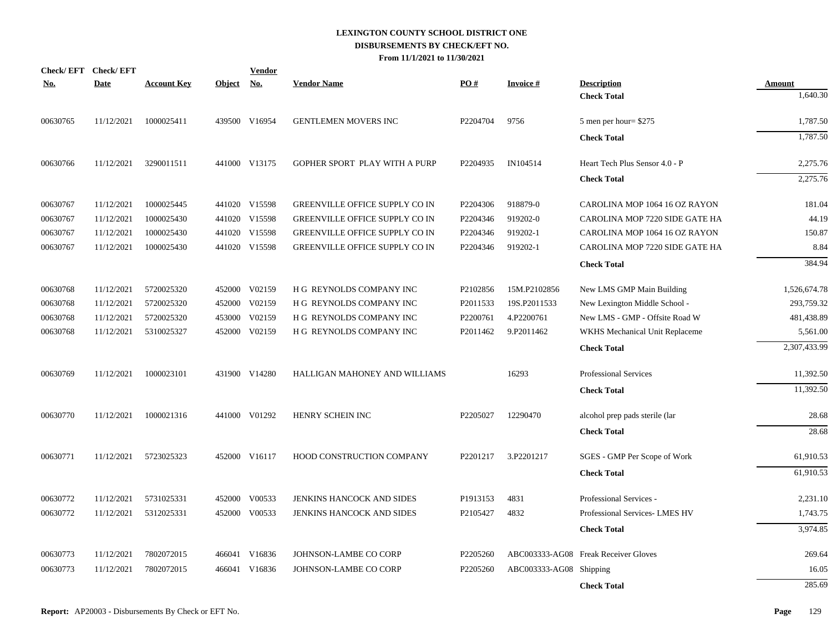|            | Check/EFT Check/EFT |                    |               | <b>Vendor</b> |                                       |          |                         |                                      |               |
|------------|---------------------|--------------------|---------------|---------------|---------------------------------------|----------|-------------------------|--------------------------------------|---------------|
| <u>No.</u> | <b>Date</b>         | <b>Account Key</b> | <u>Object</u> | <u>No.</u>    | <b>Vendor Name</b>                    | PO#      | <b>Invoice#</b>         | <b>Description</b>                   | <b>Amount</b> |
|            |                     |                    |               |               |                                       |          |                         | <b>Check Total</b>                   | 1,640.30      |
| 00630765   | 11/12/2021          | 1000025411         |               | 439500 V16954 | GENTLEMEN MOVERS INC                  | P2204704 | 9756                    | 5 men per hour $$275$                | 1,787.50      |
|            |                     |                    |               |               |                                       |          |                         | <b>Check Total</b>                   | 1,787.50      |
| 00630766   | 11/12/2021          | 3290011511         |               | 441000 V13175 | GOPHER SPORT PLAY WITH A PURP         | P2204935 | IN104514                | Heart Tech Plus Sensor 4.0 - P       | 2,275.76      |
|            |                     |                    |               |               |                                       |          |                         | <b>Check Total</b>                   | 2,275.76      |
| 00630767   | 11/12/2021          | 1000025445         |               | 441020 V15598 | <b>GREENVILLE OFFICE SUPPLY CO IN</b> | P2204306 | 918879-0                | CAROLINA MOP 1064 16 OZ RAYON        | 181.04        |
| 00630767   | 11/12/2021          | 1000025430         |               | 441020 V15598 | GREENVILLE OFFICE SUPPLY CO IN        | P2204346 | 919202-0                | CAROLINA MOP 7220 SIDE GATE HA       | 44.19         |
| 00630767   | 11/12/2021          | 1000025430         |               | 441020 V15598 | GREENVILLE OFFICE SUPPLY CO IN        | P2204346 | 919202-1                | CAROLINA MOP 1064 16 OZ RAYON        | 150.87        |
| 00630767   | 11/12/2021          | 1000025430         |               | 441020 V15598 | GREENVILLE OFFICE SUPPLY CO IN        | P2204346 | 919202-1                | CAROLINA MOP 7220 SIDE GATE HA       | 8.84          |
|            |                     |                    |               |               |                                       |          |                         | <b>Check Total</b>                   | 384.94        |
| 00630768   | 11/12/2021          | 5720025320         |               | 452000 V02159 | H G REYNOLDS COMPANY INC              | P2102856 | 15M.P2102856            | New LMS GMP Main Building            | 1,526,674.78  |
| 00630768   | 11/12/2021          | 5720025320         |               | 452000 V02159 | H G REYNOLDS COMPANY INC              | P2011533 | 19S.P2011533            | New Lexington Middle School -        | 293,759.32    |
| 00630768   | 11/12/2021          | 5720025320         |               | 453000 V02159 | H G REYNOLDS COMPANY INC              | P2200761 | 4.P2200761              | New LMS - GMP - Offsite Road W       | 481,438.89    |
| 00630768   | 11/12/2021          | 5310025327         |               | 452000 V02159 | H G REYNOLDS COMPANY INC              | P2011462 | 9.P2011462              | WKHS Mechanical Unit Replaceme       | 5,561.00      |
|            |                     |                    |               |               |                                       |          |                         | <b>Check Total</b>                   | 2,307,433.99  |
| 00630769   | 11/12/2021          | 1000023101         |               | 431900 V14280 | HALLIGAN MAHONEY AND WILLIAMS         |          | 16293                   | <b>Professional Services</b>         | 11,392.50     |
|            |                     |                    |               |               |                                       |          |                         | <b>Check Total</b>                   | 11,392.50     |
| 00630770   | 11/12/2021          | 1000021316         |               | 441000 V01292 | HENRY SCHEIN INC                      | P2205027 | 12290470                | alcohol prep pads sterile (lar       | 28.68         |
|            |                     |                    |               |               |                                       |          |                         | <b>Check Total</b>                   | 28.68         |
| 00630771   | 11/12/2021          | 5723025323         |               | 452000 V16117 | HOOD CONSTRUCTION COMPANY             | P2201217 | 3.P2201217              | SGES - GMP Per Scope of Work         | 61,910.53     |
|            |                     |                    |               |               |                                       |          |                         | <b>Check Total</b>                   | 61,910.53     |
| 00630772   | 11/12/2021          | 5731025331         |               | 452000 V00533 | JENKINS HANCOCK AND SIDES             | P1913153 | 4831                    | Professional Services -              | 2,231.10      |
| 00630772   | 11/12/2021          | 5312025331         | 452000        | V00533        | JENKINS HANCOCK AND SIDES             | P2105427 | 4832                    | Professional Services- LMES HV       | 1,743.75      |
|            |                     |                    |               |               |                                       |          |                         | <b>Check Total</b>                   | 3,974.85      |
| 00630773   | 11/12/2021          | 7802072015         |               | 466041 V16836 | JOHNSON-LAMBE CO CORP                 | P2205260 |                         | ABC003333-AG08 Freak Receiver Gloves | 269.64        |
| 00630773   | 11/12/2021          | 7802072015         | 466041        | V16836        | JOHNSON-LAMBE CO CORP                 | P2205260 | ABC003333-AG08 Shipping |                                      | 16.05         |
|            |                     |                    |               |               |                                       |          |                         | <b>Check Total</b>                   | 285.69        |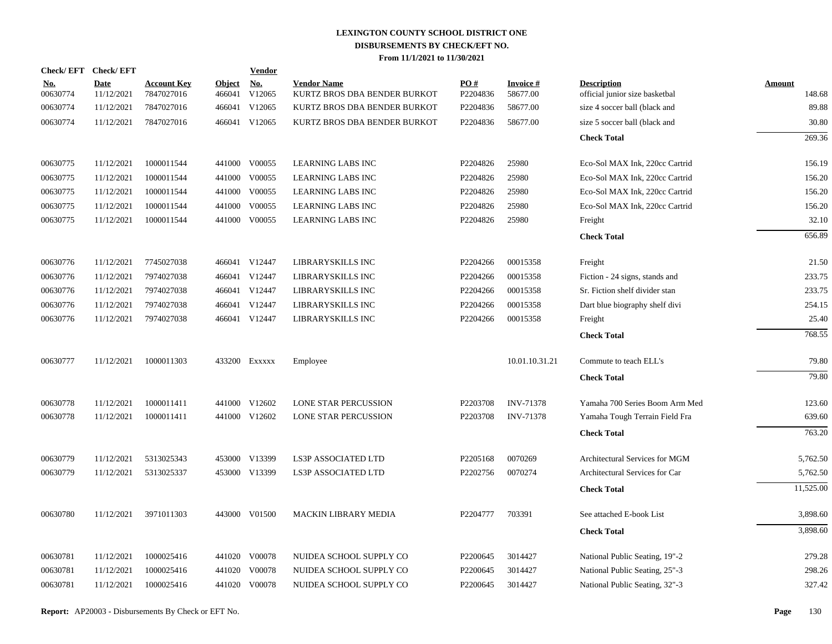| Check/EFT Check/EFT       |                                  |                         | <u>Vendor</u>        |                                                                                                                                                                                                                                                                                                                |                 |                             |                                                      |                         |
|---------------------------|----------------------------------|-------------------------|----------------------|----------------------------------------------------------------------------------------------------------------------------------------------------------------------------------------------------------------------------------------------------------------------------------------------------------------|-----------------|-----------------------------|------------------------------------------------------|-------------------------|
| <b>Date</b><br>11/12/2021 | <b>Account Key</b><br>7847027016 | <b>Object</b><br>466041 | <u>No.</u><br>V12065 | <b>Vendor Name</b><br>KURTZ BROS DBA BENDER BURKOT                                                                                                                                                                                                                                                             | PO#<br>P2204836 | <b>Invoice#</b><br>58677.00 | <b>Description</b><br>official junior size basketbal | <b>Amount</b><br>148.68 |
| 11/12/2021                | 7847027016                       | 466041                  | V12065               | KURTZ BROS DBA BENDER BURKOT                                                                                                                                                                                                                                                                                   | P2204836        | 58677.00                    | size 4 soccer ball (black and                        | 89.88                   |
| 11/12/2021                | 7847027016                       |                         |                      | KURTZ BROS DBA BENDER BURKOT                                                                                                                                                                                                                                                                                   | P2204836        | 58677.00                    | size 5 soccer ball (black and                        | 30.80                   |
|                           |                                  |                         |                      |                                                                                                                                                                                                                                                                                                                |                 |                             | <b>Check Total</b>                                   | 269.36                  |
| 11/12/2021                | 1000011544                       |                         |                      | <b>LEARNING LABS INC</b>                                                                                                                                                                                                                                                                                       | P2204826        | 25980                       | Eco-Sol MAX Ink, 220cc Cartrid                       | 156.19                  |
| 11/12/2021                | 1000011544                       | 441000                  | V00055               | <b>LEARNING LABS INC</b>                                                                                                                                                                                                                                                                                       | P2204826        | 25980                       | Eco-Sol MAX Ink, 220cc Cartrid                       | 156.20                  |
| 11/12/2021                | 1000011544                       |                         |                      | <b>LEARNING LABS INC</b>                                                                                                                                                                                                                                                                                       | P2204826        | 25980                       | Eco-Sol MAX Ink, 220cc Cartrid                       | 156.20                  |
| 11/12/2021                | 1000011544                       | 441000                  | V00055               | <b>LEARNING LABS INC</b>                                                                                                                                                                                                                                                                                       | P2204826        | 25980                       | Eco-Sol MAX Ink, 220cc Cartrid                       | 156.20                  |
| 11/12/2021                | 1000011544                       |                         |                      | <b>LEARNING LABS INC</b>                                                                                                                                                                                                                                                                                       | P2204826        | 25980                       | Freight                                              | 32.10                   |
|                           |                                  |                         |                      |                                                                                                                                                                                                                                                                                                                |                 |                             | <b>Check Total</b>                                   | 656.89                  |
| 11/12/2021                | 7745027038                       |                         |                      | LIBRARYSKILLS INC                                                                                                                                                                                                                                                                                              | P2204266        | 00015358                    | Freight                                              | 21.50                   |
| 11/12/2021                | 7974027038                       |                         |                      | LIBRARYSKILLS INC                                                                                                                                                                                                                                                                                              | P2204266        | 00015358                    | Fiction - 24 signs, stands and                       | 233.75                  |
| 11/12/2021                | 7974027038                       |                         |                      | LIBRARYSKILLS INC                                                                                                                                                                                                                                                                                              | P2204266        | 00015358                    | Sr. Fiction shelf divider stan                       | 233.75                  |
| 11/12/2021                | 7974027038                       |                         |                      | LIBRARYSKILLS INC                                                                                                                                                                                                                                                                                              | P2204266        | 00015358                    | Dart blue biography shelf divi                       | 254.15                  |
| 11/12/2021                | 7974027038                       |                         |                      | LIBRARYSKILLS INC                                                                                                                                                                                                                                                                                              | P2204266        | 00015358                    | Freight                                              | 25.40                   |
|                           |                                  |                         |                      |                                                                                                                                                                                                                                                                                                                |                 |                             | <b>Check Total</b>                                   | 768.55                  |
| 11/12/2021                | 1000011303                       |                         |                      | Employee                                                                                                                                                                                                                                                                                                       |                 | 10.01.10.31.21              | Commute to teach ELL's                               | 79.80                   |
|                           |                                  |                         |                      |                                                                                                                                                                                                                                                                                                                |                 |                             | <b>Check Total</b>                                   | 79.80                   |
| 11/12/2021                | 1000011411                       |                         |                      | LONE STAR PERCUSSION                                                                                                                                                                                                                                                                                           | P2203708        | <b>INV-71378</b>            | Yamaha 700 Series Boom Arm Med                       | 123.60                  |
| 11/12/2021                | 1000011411                       |                         |                      | LONE STAR PERCUSSION                                                                                                                                                                                                                                                                                           | P2203708        | <b>INV-71378</b>            | Yamaha Tough Terrain Field Fra                       | 639.60                  |
|                           |                                  |                         |                      |                                                                                                                                                                                                                                                                                                                |                 |                             | <b>Check Total</b>                                   | 763.20                  |
| 11/12/2021                | 5313025343                       |                         |                      | <b>LS3P ASSOCIATED LTD</b>                                                                                                                                                                                                                                                                                     | P2205168        | 0070269                     | Architectural Services for MGM                       | 5,762.50                |
| 11/12/2021                | 5313025337                       |                         |                      | LS3P ASSOCIATED LTD                                                                                                                                                                                                                                                                                            | P2202756        | 0070274                     | Architectural Services for Car                       | 5,762.50                |
|                           |                                  |                         |                      |                                                                                                                                                                                                                                                                                                                |                 |                             | <b>Check Total</b>                                   | 11,525.00               |
| 11/12/2021                | 3971011303                       |                         |                      | MACKIN LIBRARY MEDIA                                                                                                                                                                                                                                                                                           | P2204777        | 703391                      | See attached E-book List                             | 3,898.60                |
|                           |                                  |                         |                      |                                                                                                                                                                                                                                                                                                                |                 |                             | <b>Check Total</b>                                   | 3,898.60                |
| 11/12/2021                | 1000025416                       |                         |                      | NUIDEA SCHOOL SUPPLY CO                                                                                                                                                                                                                                                                                        | P2200645        | 3014427                     | National Public Seating, 19"-2                       | 279.28                  |
| 11/12/2021                | 1000025416                       |                         |                      | NUIDEA SCHOOL SUPPLY CO                                                                                                                                                                                                                                                                                        | P2200645        | 3014427                     | National Public Seating, 25"-3                       | 298.26                  |
| 11/12/2021                | 1000025416                       |                         |                      | NUIDEA SCHOOL SUPPLY CO                                                                                                                                                                                                                                                                                        | P2200645        | 3014427                     | National Public Seating, 32"-3                       | 327.42                  |
|                           |                                  |                         |                      | 466041 V12065<br>441000 V00055<br>441000 V00055<br>441000 V00055<br>466041 V12447<br>466041 V12447<br>466041 V12447<br>466041 V12447<br>466041 V12447<br>433200 Exxxxx<br>441000 V12602<br>441000 V12602<br>453000 V13399<br>453000 V13399<br>443000 V01500<br>441020 V00078<br>441020 V00078<br>441020 V00078 |                 |                             |                                                      |                         |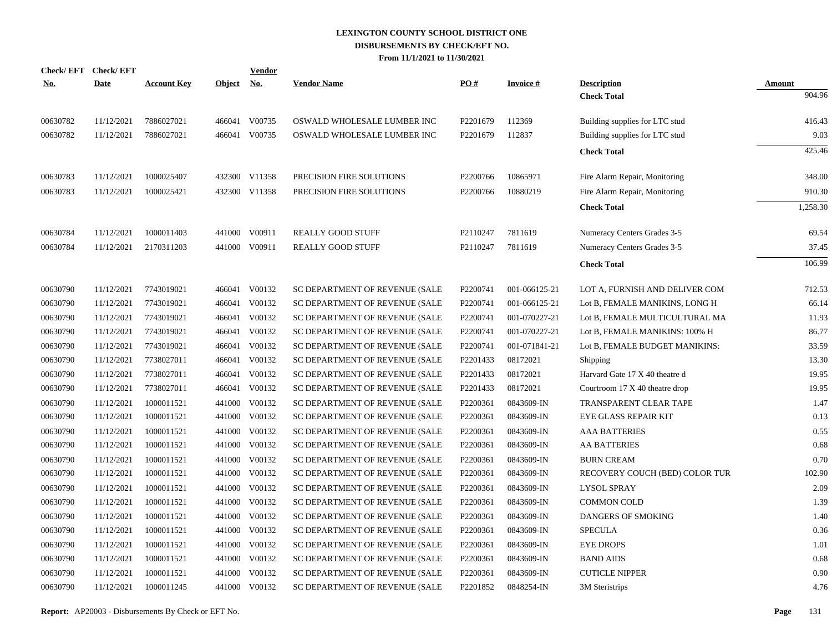| Check/ EFT | <b>Check/EFT</b> |                    |               | Vendor        |                                |          |                 |                                |               |
|------------|------------------|--------------------|---------------|---------------|--------------------------------|----------|-----------------|--------------------------------|---------------|
| <u>No.</u> | <b>Date</b>      | <b>Account Key</b> | <b>Object</b> | <u>No.</u>    | <b>Vendor Name</b>             | PO#      | <b>Invoice#</b> | <b>Description</b>             | <b>Amount</b> |
|            |                  |                    |               |               |                                |          |                 | <b>Check Total</b>             | 904.96        |
| 00630782   | 11/12/2021       | 7886027021         |               | 466041 V00735 | OSWALD WHOLESALE LUMBER INC    | P2201679 | 112369          | Building supplies for LTC stud | 416.43        |
| 00630782   | 11/12/2021       | 7886027021         |               | 466041 V00735 | OSWALD WHOLESALE LUMBER INC    | P2201679 | 112837          | Building supplies for LTC stud | 9.03          |
|            |                  |                    |               |               |                                |          |                 | <b>Check Total</b>             | 425.46        |
| 00630783   | 11/12/2021       | 1000025407         |               | 432300 V11358 | PRECISION FIRE SOLUTIONS       | P2200766 | 10865971        | Fire Alarm Repair, Monitoring  | 348.00        |
| 00630783   | 11/12/2021       | 1000025421         |               | 432300 V11358 | PRECISION FIRE SOLUTIONS       | P2200766 | 10880219        | Fire Alarm Repair, Monitoring  | 910.30        |
|            |                  |                    |               |               |                                |          |                 | <b>Check Total</b>             | 1,258.30      |
| 00630784   | 11/12/2021       | 1000011403         |               | 441000 V00911 | <b>REALLY GOOD STUFF</b>       | P2110247 | 7811619         | Numeracy Centers Grades 3-5    | 69.54         |
| 00630784   | 11/12/2021       | 2170311203         | 441000        | V00911        | <b>REALLY GOOD STUFF</b>       | P2110247 | 7811619         | Numeracy Centers Grades 3-5    | 37.45         |
|            |                  |                    |               |               |                                |          |                 | <b>Check Total</b>             | 106.99        |
| 00630790   | 11/12/2021       | 7743019021         |               | 466041 V00132 | SC DEPARTMENT OF REVENUE (SALE | P2200741 | 001-066125-21   | LOT A, FURNISH AND DELIVER COM | 712.53        |
| 00630790   | 11/12/2021       | 7743019021         |               | 466041 V00132 | SC DEPARTMENT OF REVENUE (SALE | P2200741 | 001-066125-21   | Lot B, FEMALE MANIKINS, LONG H | 66.14         |
| 00630790   | 11/12/2021       | 7743019021         |               | 466041 V00132 | SC DEPARTMENT OF REVENUE (SALE | P2200741 | 001-070227-21   | Lot B, FEMALE MULTICULTURAL MA | 11.93         |
| 00630790   | 11/12/2021       | 7743019021         |               | 466041 V00132 | SC DEPARTMENT OF REVENUE (SALE | P2200741 | 001-070227-21   | Lot B, FEMALE MANIKINS: 100% H | 86.77         |
| 00630790   | 11/12/2021       | 7743019021         | 466041        | V00132        | SC DEPARTMENT OF REVENUE (SALE | P2200741 | 001-071841-21   | Lot B, FEMALE BUDGET MANIKINS: | 33.59         |
| 00630790   | 11/12/2021       | 7738027011         | 466041        | V00132        | SC DEPARTMENT OF REVENUE (SALE | P2201433 | 08172021        | Shipping                       | 13.30         |
| 00630790   | 11/12/2021       | 7738027011         | 466041        | V00132        | SC DEPARTMENT OF REVENUE (SALE | P2201433 | 08172021        | Harvard Gate 17 X 40 theatre d | 19.95         |
| 00630790   | 11/12/2021       | 7738027011         | 466041        | V00132        | SC DEPARTMENT OF REVENUE (SALE | P2201433 | 08172021        | Courtroom 17 X 40 theatre drop | 19.95         |
| 00630790   | 11/12/2021       | 1000011521         | 441000        | V00132        | SC DEPARTMENT OF REVENUE (SALE | P2200361 | 0843609-IN      | TRANSPARENT CLEAR TAPE         | 1.47          |
| 00630790   | 11/12/2021       | 1000011521         |               | 441000 V00132 | SC DEPARTMENT OF REVENUE (SALE | P2200361 | 0843609-IN      | EYE GLASS REPAIR KIT           | 0.13          |
| 00630790   | 11/12/2021       | 1000011521         | 441000        | V00132        | SC DEPARTMENT OF REVENUE (SALE | P2200361 | 0843609-IN      | <b>AAA BATTERIES</b>           | 0.55          |
| 00630790   | 11/12/2021       | 1000011521         |               | 441000 V00132 | SC DEPARTMENT OF REVENUE (SALE | P2200361 | 0843609-IN      | <b>AA BATTERIES</b>            | 0.68          |
| 00630790   | 11/12/2021       | 1000011521         | 441000        | V00132        | SC DEPARTMENT OF REVENUE (SALE | P2200361 | 0843609-IN      | <b>BURN CREAM</b>              | 0.70          |
| 00630790   | 11/12/2021       | 1000011521         |               | 441000 V00132 | SC DEPARTMENT OF REVENUE (SALE | P2200361 | 0843609-IN      | RECOVERY COUCH (BED) COLOR TUR | 102.90        |
| 00630790   | 11/12/2021       | 1000011521         | 441000        | V00132        | SC DEPARTMENT OF REVENUE (SALE | P2200361 | 0843609-IN      | <b>LYSOL SPRAY</b>             | 2.09          |
| 00630790   | 11/12/2021       | 1000011521         | 441000        | V00132        | SC DEPARTMENT OF REVENUE (SALE | P2200361 | 0843609-IN      | <b>COMMON COLD</b>             | 1.39          |
| 00630790   | 11/12/2021       | 1000011521         | 441000        | V00132        | SC DEPARTMENT OF REVENUE (SALE | P2200361 | 0843609-IN      | DANGERS OF SMOKING             | 1.40          |
| 00630790   | 11/12/2021       | 1000011521         | 441000        | V00132        | SC DEPARTMENT OF REVENUE (SALE | P2200361 | 0843609-IN      | <b>SPECULA</b>                 | 0.36          |
| 00630790   | 11/12/2021       | 1000011521         | 441000        | V00132        | SC DEPARTMENT OF REVENUE (SALE | P2200361 | 0843609-IN      | <b>EYE DROPS</b>               | 1.01          |
| 00630790   | 11/12/2021       | 1000011521         | 441000        | V00132        | SC DEPARTMENT OF REVENUE (SALE | P2200361 | 0843609-IN      | <b>BAND AIDS</b>               | 0.68          |
| 00630790   | 11/12/2021       | 1000011521         | 441000        | V00132        | SC DEPARTMENT OF REVENUE (SALE | P2200361 | 0843609-IN      | <b>CUTICLE NIPPER</b>          | 0.90          |
| 00630790   | 11/12/2021       | 1000011245         |               | 441000 V00132 | SC DEPARTMENT OF REVENUE (SALE | P2201852 | 0848254-IN      | 3M Steristrips                 | 4.76          |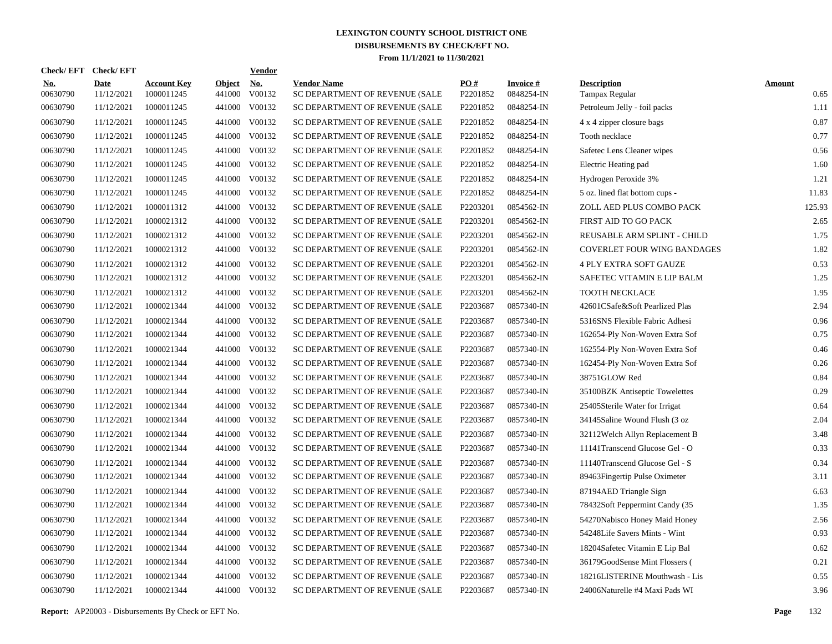|            | <b>Check/EFT</b> | <b>Check/EFT</b>          |                                  |                         | <b>Vendor</b> |                                                      |                 |                               |                                      |                       |
|------------|------------------|---------------------------|----------------------------------|-------------------------|---------------|------------------------------------------------------|-----------------|-------------------------------|--------------------------------------|-----------------------|
| <u>No.</u> | 00630790         | <b>Date</b><br>11/12/2021 | <b>Account Key</b><br>1000011245 | <b>Object</b><br>441000 | No.<br>V00132 | <b>Vendor Name</b><br>SC DEPARTMENT OF REVENUE (SALE | PO#<br>P2201852 | <b>Invoice#</b><br>0848254-IN | <b>Description</b><br>Tampax Regular | <b>Amount</b><br>0.65 |
|            | 00630790         | 11/12/2021                | 1000011245                       | 441000                  | V00132        | SC DEPARTMENT OF REVENUE (SALE                       | P2201852        | 0848254-IN                    | Petroleum Jelly - foil packs         | 1.11                  |
|            | 00630790         | 11/12/2021                | 1000011245                       | 441000                  | V00132        | SC DEPARTMENT OF REVENUE (SALE                       | P2201852        | 0848254-IN                    | 4 x 4 zipper closure bags            | 0.87                  |
|            | 00630790         | 11/12/2021                | 1000011245                       | 441000                  | V00132        | SC DEPARTMENT OF REVENUE (SALE                       | P2201852        | 0848254-IN                    | Tooth necklace                       | 0.77                  |
|            | 00630790         | 11/12/2021                | 1000011245                       | 441000                  | V00132        | SC DEPARTMENT OF REVENUE (SALE                       | P2201852        | 0848254-IN                    | Safetec Lens Cleaner wipes           | 0.56                  |
|            | 00630790         | 11/12/2021                | 1000011245                       | 441000                  | V00132        | SC DEPARTMENT OF REVENUE (SALE                       | P2201852        | 0848254-IN                    | Electric Heating pad                 | 1.60                  |
|            | 00630790         | 11/12/2021                | 1000011245                       | 441000                  | V00132        | SC DEPARTMENT OF REVENUE (SALE                       | P2201852        | 0848254-IN                    | Hydrogen Peroxide 3%                 | 1.21                  |
|            | 00630790         | 11/12/2021                | 1000011245                       | 441000                  | V00132        | SC DEPARTMENT OF REVENUE (SALE                       | P2201852        | 0848254-IN                    | 5 oz. lined flat bottom cups -       | 11.83                 |
|            | 00630790         | 11/12/2021                | 1000011312                       | 441000                  | V00132        | SC DEPARTMENT OF REVENUE (SALE                       | P2203201        | 0854562-IN                    | ZOLL AED PLUS COMBO PACK             | 125.93                |
|            | 00630790         | 11/12/2021                | 1000021312                       | 441000                  | V00132        | SC DEPARTMENT OF REVENUE (SALE                       | P2203201        | 0854562-IN                    | FIRST AID TO GO PACK                 | 2.65                  |
|            | 00630790         | 11/12/2021                | 1000021312                       | 441000                  | V00132        | SC DEPARTMENT OF REVENUE (SALE                       | P2203201        | 0854562-IN                    | REUSABLE ARM SPLINT - CHILD          | 1.75                  |
|            | 00630790         | 11/12/2021                | 1000021312                       | 441000                  | V00132        | SC DEPARTMENT OF REVENUE (SALE                       | P2203201        | 0854562-IN                    | <b>COVERLET FOUR WING BANDAGES</b>   | 1.82                  |
|            | 00630790         | 11/12/2021                | 1000021312                       | 441000                  | V00132        | SC DEPARTMENT OF REVENUE (SALE                       | P2203201        | 0854562-IN                    | <b>4 PLY EXTRA SOFT GAUZE</b>        | 0.53                  |
|            | 00630790         | 11/12/2021                | 1000021312                       | 441000                  | V00132        | SC DEPARTMENT OF REVENUE (SALE                       | P2203201        | 0854562-IN                    | SAFETEC VITAMIN E LIP BALM           | 1.25                  |
|            | 00630790         | 11/12/2021                | 1000021312                       | 441000                  | V00132        | SC DEPARTMENT OF REVENUE (SALE                       | P2203201        | 0854562-IN                    | TOOTH NECKLACE                       | 1.95                  |
|            | 00630790         | 11/12/2021                | 1000021344                       | 441000                  | V00132        | SC DEPARTMENT OF REVENUE (SALE                       | P2203687        | 0857340-IN                    | 42601CSafe&Soft Pearlized Plas       | 2.94                  |
|            | 00630790         | 11/12/2021                | 1000021344                       | 441000                  | V00132        | SC DEPARTMENT OF REVENUE (SALE                       | P2203687        | 0857340-IN                    | 5316SNS Flexible Fabric Adhesi       | 0.96                  |
|            | 00630790         | 11/12/2021                | 1000021344                       | 441000                  | V00132        | SC DEPARTMENT OF REVENUE (SALE                       | P2203687        | 0857340-IN                    | 162654-Ply Non-Woven Extra Sof       | 0.75                  |
|            | 00630790         | 11/12/2021                | 1000021344                       | 441000                  | V00132        | SC DEPARTMENT OF REVENUE (SALE                       | P2203687        | 0857340-IN                    | 162554-Ply Non-Woven Extra Sof       | 0.46                  |
|            | 00630790         | 11/12/2021                | 1000021344                       | 441000                  | V00132        | SC DEPARTMENT OF REVENUE (SALE                       | P2203687        | 0857340-IN                    | 162454-Ply Non-Woven Extra Sof       | 0.26                  |
|            | 00630790         | 11/12/2021                | 1000021344                       | 441000                  | V00132        | SC DEPARTMENT OF REVENUE (SALE                       | P2203687        | 0857340-IN                    | 38751GLOW Red                        | 0.84                  |
|            | 00630790         | 11/12/2021                | 1000021344                       | 441000                  | V00132        | SC DEPARTMENT OF REVENUE (SALE                       | P2203687        | 0857340-IN                    | 35100BZK Antiseptic Towelettes       | 0.29                  |
|            | 00630790         | 11/12/2021                | 1000021344                       | 441000                  | V00132        | SC DEPARTMENT OF REVENUE (SALE                       | P2203687        | 0857340-IN                    | 25405Sterile Water for Irrigat       | 0.64                  |
|            | 00630790         | 11/12/2021                | 1000021344                       | 441000                  | V00132        | SC DEPARTMENT OF REVENUE (SALE                       | P2203687        | 0857340-IN                    | 34145Saline Wound Flush (3 oz        | 2.04                  |
|            | 00630790         | 11/12/2021                | 1000021344                       | 441000                  | V00132        | SC DEPARTMENT OF REVENUE (SALE                       | P2203687        | 0857340-IN                    | 32112Welch Allyn Replacement B       | 3.48                  |
|            | 00630790         | 11/12/2021                | 1000021344                       | 441000                  | V00132        | SC DEPARTMENT OF REVENUE (SALE                       | P2203687        | 0857340-IN                    | 11141Transcend Glucose Gel - O       | 0.33                  |
|            | 00630790         | 11/12/2021                | 1000021344                       | 441000                  | V00132        | SC DEPARTMENT OF REVENUE (SALE                       | P2203687        | 0857340-IN                    | 11140Transcend Glucose Gel - S       | 0.34                  |
|            | 00630790         | 11/12/2021                | 1000021344                       | 441000                  | V00132        | SC DEPARTMENT OF REVENUE (SALE                       | P2203687        | 0857340-IN                    | 89463Fingertip Pulse Oximeter        | 3.11                  |
|            | 00630790         | 11/12/2021                | 1000021344                       | 441000                  | V00132        | SC DEPARTMENT OF REVENUE (SALE                       | P2203687        | 0857340-IN                    | 87194AED Triangle Sign               | 6.63                  |
|            | 00630790         | 11/12/2021                | 1000021344                       | 441000                  | V00132        | SC DEPARTMENT OF REVENUE (SALE                       | P2203687        | 0857340-IN                    | 78432Soft Peppermint Candy (35       | 1.35                  |
|            | 00630790         | 11/12/2021                | 1000021344                       | 441000                  | V00132        | SC DEPARTMENT OF REVENUE (SALE                       | P2203687        | 0857340-IN                    | 54270Nabisco Honey Maid Honey        | 2.56                  |
|            | 00630790         | 11/12/2021                | 1000021344                       | 441000                  | V00132        | SC DEPARTMENT OF REVENUE (SALE                       | P2203687        | 0857340-IN                    | 54248Life Savers Mints - Wint        | 0.93                  |
|            | 00630790         | 11/12/2021                | 1000021344                       | 441000                  | V00132        | SC DEPARTMENT OF REVENUE (SALE                       | P2203687        | 0857340-IN                    | 18204Safetec Vitamin E Lip Bal       | 0.62                  |
|            | 00630790         | 11/12/2021                | 1000021344                       | 441000                  | V00132        | SC DEPARTMENT OF REVENUE (SALE                       | P2203687        | 0857340-IN                    | 36179GoodSense Mint Flossers (       | 0.21                  |
|            | 00630790         | 11/12/2021                | 1000021344                       | 441000                  | V00132        | SC DEPARTMENT OF REVENUE (SALE                       | P2203687        | 0857340-IN                    | 18216LISTERINE Mouthwash - Lis       | 0.55                  |
|            | 00630790         | 11/12/2021                | 1000021344                       |                         | 441000 V00132 | SC DEPARTMENT OF REVENUE (SALE                       | P2203687        | 0857340-IN                    | 24006Naturelle #4 Maxi Pads WI       | 3.96                  |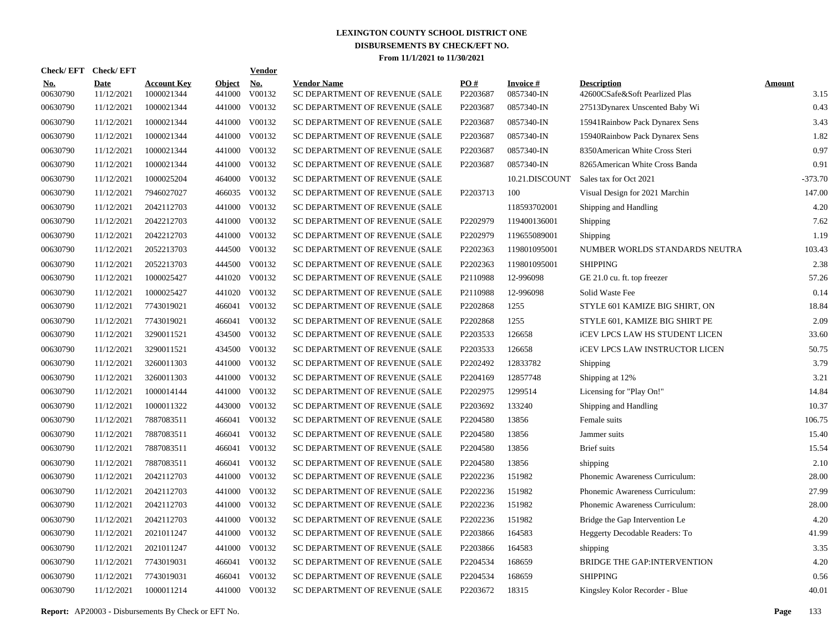| Check/EFT Check/EFT    |                    |                                  |                         | <b>Vendor</b> |                                                      |                 |                               |                                                      |                       |
|------------------------|--------------------|----------------------------------|-------------------------|---------------|------------------------------------------------------|-----------------|-------------------------------|------------------------------------------------------|-----------------------|
| <u>No.</u><br>00630790 | Date<br>11/12/2021 | <b>Account Key</b><br>1000021344 | <b>Object</b><br>441000 | No.<br>V00132 | <b>Vendor Name</b><br>SC DEPARTMENT OF REVENUE (SALE | PO#<br>P2203687 | <b>Invoice#</b><br>0857340-IN | <b>Description</b><br>42600CSafe&Soft Pearlized Plas | <b>Amount</b><br>3.15 |
| 00630790               | 11/12/2021         | 1000021344                       | 441000                  | V00132        | SC DEPARTMENT OF REVENUE (SALE                       | P2203687        | 0857340-IN                    | 27513Dynarex Unscented Baby Wi                       | 0.43                  |
| 00630790               | 11/12/2021         | 1000021344                       | 441000                  | V00132        | SC DEPARTMENT OF REVENUE (SALE                       | P2203687        | 0857340-IN                    | 15941Rainbow Pack Dynarex Sens                       | 3.43                  |
| 00630790               | 11/12/2021         | 1000021344                       | 441000                  | V00132        | SC DEPARTMENT OF REVENUE (SALE                       | P2203687        | 0857340-IN                    | 15940Rainbow Pack Dynarex Sens                       | 1.82                  |
| 00630790               | 11/12/2021         | 1000021344                       | 441000                  | V00132        | SC DEPARTMENT OF REVENUE (SALE                       | P2203687        | 0857340-IN                    | 8350 American White Cross Steri                      | 0.97                  |
| 00630790               | 11/12/2021         | 1000021344                       | 441000                  | V00132        | SC DEPARTMENT OF REVENUE (SALE                       | P2203687        | 0857340-IN                    | 8265 American White Cross Banda                      | 0.91                  |
| 00630790               | 11/12/2021         | 1000025204                       | 464000                  | V00132        | SC DEPARTMENT OF REVENUE (SALE                       |                 | 10.21.DISCOUNT                | Sales tax for Oct 2021                               | $-373.70$             |
| 00630790               | 11/12/2021         | 7946027027                       |                         | 466035 V00132 | SC DEPARTMENT OF REVENUE (SALE                       | P2203713        | 100                           | Visual Design for 2021 Marchin                       | 147.00                |
| 00630790               | 11/12/2021         | 2042112703                       | 441000                  | V00132        | SC DEPARTMENT OF REVENUE (SALE                       |                 | 118593702001                  | Shipping and Handling                                | 4.20                  |
| 00630790               | 11/12/2021         | 2042212703                       | 441000                  | V00132        | SC DEPARTMENT OF REVENUE (SALE                       | P2202979        | 119400136001                  | Shipping                                             | 7.62                  |
| 00630790               | 11/12/2021         | 2042212703                       | 441000                  | V00132        | SC DEPARTMENT OF REVENUE (SALE                       | P2202979        | 119655089001                  | Shipping                                             | 1.19                  |
| 00630790               | 11/12/2021         | 2052213703                       | 444500                  | V00132        | SC DEPARTMENT OF REVENUE (SALE                       | P2202363        | 119801095001                  | NUMBER WORLDS STANDARDS NEUTRA                       | 103.43                |
| 00630790               | 11/12/2021         | 2052213703                       | 444500                  | V00132        | SC DEPARTMENT OF REVENUE (SALE                       | P2202363        | 119801095001                  | <b>SHIPPING</b>                                      | 2.38                  |
| 00630790               | 11/12/2021         | 1000025427                       | 441020                  | V00132        | SC DEPARTMENT OF REVENUE (SALE                       | P2110988        | 12-996098                     | GE 21.0 cu. ft. top freezer                          | 57.26                 |
| 00630790               | 11/12/2021         | 1000025427                       | 441020                  | V00132        | SC DEPARTMENT OF REVENUE (SALE                       | P2110988        | 12-996098                     | Solid Waste Fee                                      | 0.14                  |
| 00630790               | 11/12/2021         | 7743019021                       | 466041                  | V00132        | SC DEPARTMENT OF REVENUE (SALE                       | P2202868        | 1255                          | STYLE 601 KAMIZE BIG SHIRT, ON                       | 18.84                 |
| 00630790               | 11/12/2021         | 7743019021                       | 466041                  | V00132        | SC DEPARTMENT OF REVENUE (SALE                       | P2202868        | 1255                          | STYLE 601, KAMIZE BIG SHIRT PE                       | 2.09                  |
| 00630790               | 11/12/2021         | 3290011521                       | 434500                  | V00132        | SC DEPARTMENT OF REVENUE (SALE                       | P2203533        | 126658                        | <b>iCEV LPCS LAW HS STUDENT LICEN</b>                | 33.60                 |
| 00630790               | 11/12/2021         | 3290011521                       | 434500                  | V00132        | SC DEPARTMENT OF REVENUE (SALE                       | P2203533        | 126658                        | <b>iCEV LPCS LAW INSTRUCTOR LICEN</b>                | 50.75                 |
| 00630790               | 11/12/2021         | 3260011303                       | 441000                  | V00132        | SC DEPARTMENT OF REVENUE (SALE                       | P2202492        | 12833782                      | Shipping                                             | 3.79                  |
| 00630790               | 11/12/2021         | 3260011303                       | 441000                  | V00132        | SC DEPARTMENT OF REVENUE (SALE                       | P2204169        | 12857748                      | Shipping at 12%                                      | 3.21                  |
| 00630790               | 11/12/2021         | 1000014144                       | 441000                  | V00132        | SC DEPARTMENT OF REVENUE (SALE                       | P2202975        | 1299514                       | Licensing for "Play On!"                             | 14.84                 |
| 00630790               | 11/12/2021         | 1000011322                       | 443000                  | V00132        | SC DEPARTMENT OF REVENUE (SALE                       | P2203692        | 133240                        | Shipping and Handling                                | 10.37                 |
| 00630790               | 11/12/2021         | 7887083511                       | 466041                  | V00132        | SC DEPARTMENT OF REVENUE (SALE                       | P2204580        | 13856                         | Female suits                                         | 106.75                |
| 00630790               | 11/12/2021         | 7887083511                       | 466041                  | V00132        | SC DEPARTMENT OF REVENUE (SALE                       | P2204580        | 13856                         | Jammer suits                                         | 15.40                 |
| 00630790               | 11/12/2021         | 7887083511                       | 466041                  | V00132        | SC DEPARTMENT OF REVENUE (SALE                       | P2204580        | 13856                         | Brief suits                                          | 15.54                 |
| 00630790               | 11/12/2021         | 7887083511                       | 466041                  | V00132        | SC DEPARTMENT OF REVENUE (SALE                       | P2204580        | 13856                         | shipping                                             | 2.10                  |
| 00630790               | 11/12/2021         | 2042112703                       | 441000                  | V00132        | SC DEPARTMENT OF REVENUE (SALE                       | P2202236        | 151982                        | Phonemic Awareness Curriculum:                       | 28.00                 |
| 00630790               | 11/12/2021         | 2042112703                       | 441000                  | V00132        | SC DEPARTMENT OF REVENUE (SALE                       | P2202236        | 151982                        | Phonemic Awareness Curriculum:                       | 27.99                 |
| 00630790               | 11/12/2021         | 2042112703                       | 441000                  | V00132        | SC DEPARTMENT OF REVENUE (SALE                       | P2202236        | 151982                        | Phonemic Awareness Curriculum:                       | 28.00                 |
| 00630790               | 11/12/2021         | 2042112703                       | 441000                  | V00132        | SC DEPARTMENT OF REVENUE (SALE                       | P2202236        | 151982                        | Bridge the Gap Intervention Le                       | 4.20                  |
| 00630790               | 11/12/2021         | 2021011247                       | 441000                  | V00132        | SC DEPARTMENT OF REVENUE (SALE                       | P2203866        | 164583                        | Heggerty Decodable Readers: To                       | 41.99                 |
| 00630790               | 11/12/2021         | 2021011247                       | 441000                  | V00132        | SC DEPARTMENT OF REVENUE (SALE                       | P2203866        | 164583                        | shipping                                             | 3.35                  |
| 00630790               | 11/12/2021         | 7743019031                       | 466041                  | V00132        | SC DEPARTMENT OF REVENUE (SALE                       | P2204534        | 168659                        | BRIDGE THE GAP:INTERVENTION                          | 4.20                  |
| 00630790               | 11/12/2021         | 7743019031                       | 466041                  | V00132        | SC DEPARTMENT OF REVENUE (SALE                       | P2204534        | 168659                        | <b>SHIPPING</b>                                      | 0.56                  |
| 00630790               | 11/12/2021         | 1000011214                       |                         | 441000 V00132 | SC DEPARTMENT OF REVENUE (SALE                       | P2203672        | 18315                         | Kingsley Kolor Recorder - Blue                       | 40.01                 |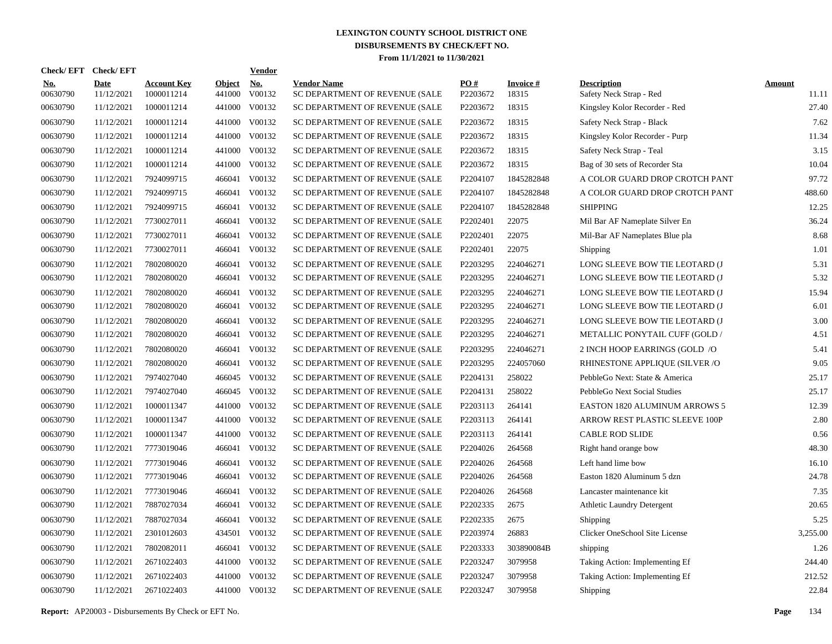| Check/EFT Check/EFT    |                           |                                  |                         | <b>Vendor</b> |                                                      |                 |                          |                                               |                        |
|------------------------|---------------------------|----------------------------------|-------------------------|---------------|------------------------------------------------------|-----------------|--------------------------|-----------------------------------------------|------------------------|
| <u>No.</u><br>00630790 | <b>Date</b><br>11/12/2021 | <b>Account Key</b><br>1000011214 | <b>Object</b><br>441000 | No.<br>V00132 | <b>Vendor Name</b><br>SC DEPARTMENT OF REVENUE (SALE | PO#<br>P2203672 | <b>Invoice#</b><br>18315 | <b>Description</b><br>Safety Neck Strap - Red | <b>Amount</b><br>11.11 |
| 00630790               | 11/12/2021                | 1000011214                       | 441000                  | V00132        | SC DEPARTMENT OF REVENUE (SALE                       | P2203672        | 18315                    | Kingsley Kolor Recorder - Red                 | 27.40                  |
| 00630790               | 11/12/2021                | 1000011214                       | 441000                  | V00132        | SC DEPARTMENT OF REVENUE (SALE                       | P2203672        | 18315                    | Safety Neck Strap - Black                     | 7.62                   |
| 00630790               | 11/12/2021                | 1000011214                       | 441000                  | V00132        | SC DEPARTMENT OF REVENUE (SALE                       | P2203672        | 18315                    | Kingsley Kolor Recorder - Purp                | 11.34                  |
| 00630790               | 11/12/2021                | 1000011214                       | 441000                  | V00132        | SC DEPARTMENT OF REVENUE (SALE                       | P2203672        | 18315                    | Safety Neck Strap - Teal                      | 3.15                   |
| 00630790               | 11/12/2021                | 1000011214                       | 441000                  | V00132        | SC DEPARTMENT OF REVENUE (SALE                       | P2203672        | 18315                    | Bag of 30 sets of Recorder Sta                | 10.04                  |
| 00630790               | 11/12/2021                | 7924099715                       | 466041                  | V00132        | SC DEPARTMENT OF REVENUE (SALE                       | P2204107        | 1845282848               | A COLOR GUARD DROP CROTCH PANT                | 97.72                  |
| 00630790               | 11/12/2021                | 7924099715                       | 466041                  | V00132        | SC DEPARTMENT OF REVENUE (SALE                       | P2204107        | 1845282848               | A COLOR GUARD DROP CROTCH PANT                | 488.60                 |
| 00630790               | 11/12/2021                | 7924099715                       | 466041                  | V00132        | SC DEPARTMENT OF REVENUE (SALE                       | P2204107        | 1845282848               | <b>SHIPPING</b>                               | 12.25                  |
| 00630790               | 11/12/2021                | 7730027011                       | 466041                  | V00132        | SC DEPARTMENT OF REVENUE (SALE                       | P2202401        | 22075                    | Mil Bar AF Nameplate Silver En                | 36.24                  |
| 00630790               | 11/12/2021                | 7730027011                       | 466041                  | V00132        | SC DEPARTMENT OF REVENUE (SALE                       | P2202401        | 22075                    | Mil-Bar AF Nameplates Blue pla                | 8.68                   |
| 00630790               | 11/12/2021                | 7730027011                       | 466041                  | V00132        | SC DEPARTMENT OF REVENUE (SALE                       | P2202401        | 22075                    | Shipping                                      | 1.01                   |
| 00630790               | 11/12/2021                | 7802080020                       | 466041                  | V00132        | SC DEPARTMENT OF REVENUE (SALE                       | P2203295        | 224046271                | LONG SLEEVE BOW TIE LEOTARD (J                | 5.31                   |
| 00630790               | 11/12/2021                | 7802080020                       | 466041                  | V00132        | SC DEPARTMENT OF REVENUE (SALE                       | P2203295        | 224046271                | LONG SLEEVE BOW TIE LEOTARD (J                | 5.32                   |
| 00630790               | 11/12/2021                | 7802080020                       | 466041                  | V00132        | SC DEPARTMENT OF REVENUE (SALE                       | P2203295        | 224046271                | LONG SLEEVE BOW TIE LEOTARD (J                | 15.94                  |
| 00630790               | 11/12/2021                | 7802080020                       | 466041                  | V00132        | SC DEPARTMENT OF REVENUE (SALE                       | P2203295        | 224046271                | LONG SLEEVE BOW TIE LEOTARD (J                | 6.01                   |
| 00630790               | 11/12/2021                | 7802080020                       | 466041                  | V00132        | SC DEPARTMENT OF REVENUE (SALE                       | P2203295        | 224046271                | LONG SLEEVE BOW TIE LEOTARD (J                | 3.00                   |
| 00630790               | 11/12/2021                | 7802080020                       | 466041                  | V00132        | SC DEPARTMENT OF REVENUE (SALE                       | P2203295        | 224046271                | METALLIC PONYTAIL CUFF (GOLD /                | 4.51                   |
| 00630790               | 11/12/2021                | 7802080020                       | 466041                  | V00132        | SC DEPARTMENT OF REVENUE (SALE                       | P2203295        | 224046271                | 2 INCH HOOP EARRINGS (GOLD /O                 | 5.41                   |
| 00630790               | 11/12/2021                | 7802080020                       | 466041                  | V00132        | SC DEPARTMENT OF REVENUE (SALE                       | P2203295        | 224057060                | RHINESTONE APPLIQUE (SILVER /O                | 9.05                   |
| 00630790               | 11/12/2021                | 7974027040                       | 466045                  | V00132        | SC DEPARTMENT OF REVENUE (SALE                       | P2204131        | 258022                   | PebbleGo Next: State & America                | 25.17                  |
| 00630790               | 11/12/2021                | 7974027040                       |                         | 466045 V00132 | SC DEPARTMENT OF REVENUE (SALE                       | P2204131        | 258022                   | PebbleGo Next Social Studies                  | 25.17                  |
| 00630790               | 11/12/2021                | 1000011347                       | 441000                  | V00132        | SC DEPARTMENT OF REVENUE (SALE                       | P2203113        | 264141                   | <b>EASTON 1820 ALUMINUM ARROWS 5</b>          | 12.39                  |
| 00630790               | 11/12/2021                | 1000011347                       | 441000                  | V00132        | SC DEPARTMENT OF REVENUE (SALE                       | P2203113        | 264141                   | ARROW REST PLASTIC SLEEVE 100P                | 2.80                   |
| 00630790               | 11/12/2021                | 1000011347                       | 441000                  | V00132        | SC DEPARTMENT OF REVENUE (SALE                       | P2203113        | 264141                   | <b>CABLE ROD SLIDE</b>                        | 0.56                   |
| 00630790               | 11/12/2021                | 7773019046                       | 466041                  | V00132        | SC DEPARTMENT OF REVENUE (SALE                       | P2204026        | 264568                   | Right hand orange bow                         | 48.30                  |
| 00630790               | 11/12/2021                | 7773019046                       | 466041                  | V00132        | SC DEPARTMENT OF REVENUE (SALE                       | P2204026        | 264568                   | Left hand lime bow                            | 16.10                  |
| 00630790               | 11/12/2021                | 7773019046                       | 466041                  | V00132        | SC DEPARTMENT OF REVENUE (SALE                       | P2204026        | 264568                   | Easton 1820 Aluminum 5 dzn                    | 24.78                  |
| 00630790               | 11/12/2021                | 7773019046                       | 466041                  | V00132        | SC DEPARTMENT OF REVENUE (SALE                       | P2204026        | 264568                   | Lancaster maintenance kit                     | 7.35                   |
| 00630790               | 11/12/2021                | 7887027034                       | 466041                  | V00132        | SC DEPARTMENT OF REVENUE (SALE                       | P2202335        | 2675                     | <b>Athletic Laundry Detergent</b>             | 20.65                  |
| 00630790               | 11/12/2021                | 7887027034                       | 466041                  | V00132        | SC DEPARTMENT OF REVENUE (SALE                       | P2202335        | 2675                     | Shipping                                      | 5.25                   |
| 00630790               | 11/12/2021                | 2301012603                       | 434501                  | V00132        | SC DEPARTMENT OF REVENUE (SALE                       | P2203974        | 26883                    | Clicker OneSchool Site License                | 3,255.00               |
| 00630790               | 11/12/2021                | 7802082011                       | 466041                  | V00132        | SC DEPARTMENT OF REVENUE (SALE                       | P2203333        | 303890084B               | shipping                                      | 1.26                   |
| 00630790               | 11/12/2021                | 2671022403                       | 441000                  | V00132        | SC DEPARTMENT OF REVENUE (SALE                       | P2203247        | 3079958                  | Taking Action: Implementing Ef                | 244.40                 |
| 00630790               | 11/12/2021                | 2671022403                       | 441000                  | V00132        | SC DEPARTMENT OF REVENUE (SALE                       | P2203247        | 3079958                  | Taking Action: Implementing Ef                | 212.52                 |
| 00630790               | 11/12/2021                | 2671022403                       |                         | 441000 V00132 | SC DEPARTMENT OF REVENUE (SALE                       | P2203247        | 3079958                  | Shipping                                      | 22.84                  |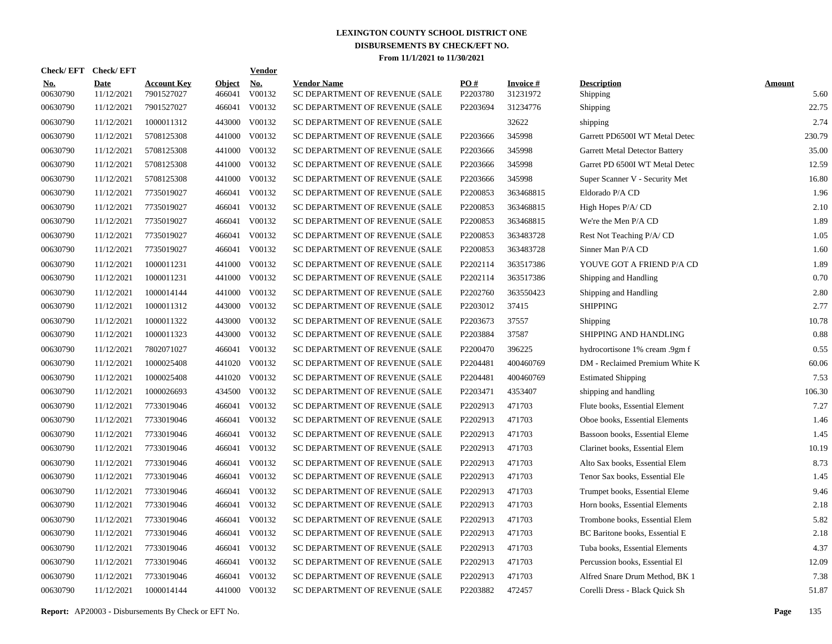| Check/EFT Check/EFT    |                           |                                  |                         | <b>Vendor</b>        |                                                      |                 |                             |                                |                       |
|------------------------|---------------------------|----------------------------------|-------------------------|----------------------|------------------------------------------------------|-----------------|-----------------------------|--------------------------------|-----------------------|
| <u>No.</u><br>00630790 | <b>Date</b><br>11/12/2021 | <b>Account Key</b><br>7901527027 | <b>Object</b><br>466041 | <u>No.</u><br>V00132 | <b>Vendor Name</b><br>SC DEPARTMENT OF REVENUE (SALE | PQ#<br>P2203780 | <b>Invoice#</b><br>31231972 | <b>Description</b><br>Shipping | <b>Amount</b><br>5.60 |
| 00630790               | 11/12/2021                | 7901527027                       | 466041                  | V00132               | SC DEPARTMENT OF REVENUE (SALE                       | P2203694        | 31234776                    | Shipping                       | 22.75                 |
| 00630790               | 11/12/2021                | 1000011312                       | 443000                  | V00132               | SC DEPARTMENT OF REVENUE (SALE                       |                 | 32622                       | shipping                       | 2.74                  |
| 00630790               | 11/12/2021                | 5708125308                       | 441000                  | V00132               | SC DEPARTMENT OF REVENUE (SALE                       | P2203666        | 345998                      | Garrett PD6500I WT Metal Detec | 230.79                |
| 00630790               | 11/12/2021                | 5708125308                       | 441000                  | V00132               | SC DEPARTMENT OF REVENUE (SALE                       | P2203666        | 345998                      | Garrett Metal Detector Battery | 35.00                 |
| 00630790               | 11/12/2021                | 5708125308                       | 441000                  | V00132               | SC DEPARTMENT OF REVENUE (SALE                       | P2203666        | 345998                      | Garret PD 6500I WT Metal Detec | 12.59                 |
| 00630790               | 11/12/2021                | 5708125308                       | 441000                  | V00132               | SC DEPARTMENT OF REVENUE (SALE                       | P2203666        | 345998                      | Super Scanner V - Security Met | 16.80                 |
| 00630790               | 11/12/2021                | 7735019027                       | 466041                  | V00132               | SC DEPARTMENT OF REVENUE (SALE                       | P2200853        | 363468815                   | Eldorado P/A CD                | 1.96                  |
| 00630790               | 11/12/2021                | 7735019027                       | 466041                  | V00132               | SC DEPARTMENT OF REVENUE (SALE                       | P2200853        | 363468815                   | High Hopes P/A/CD              | 2.10                  |
| 00630790               | 11/12/2021                | 7735019027                       | 466041                  | V00132               | SC DEPARTMENT OF REVENUE (SALE                       | P2200853        | 363468815                   | We're the Men P/A CD           | 1.89                  |
| 00630790               | 11/12/2021                | 7735019027                       | 466041                  | V00132               | SC DEPARTMENT OF REVENUE (SALE                       | P2200853        | 363483728                   | Rest Not Teaching P/A/CD       | 1.05                  |
| 00630790               | 11/12/2021                | 7735019027                       | 466041                  | V00132               | SC DEPARTMENT OF REVENUE (SALE                       | P2200853        | 363483728                   | Sinner Man P/A CD              | 1.60                  |
| 00630790               | 11/12/2021                | 1000011231                       | 441000                  | V00132               | SC DEPARTMENT OF REVENUE (SALE                       | P2202114        | 363517386                   | YOUVE GOT A FRIEND P/A CD      | 1.89                  |
| 00630790               | 11/12/2021                | 1000011231                       | 441000                  | V00132               | SC DEPARTMENT OF REVENUE (SALE                       | P2202114        | 363517386                   | Shipping and Handling          | 0.70                  |
| 00630790               | 11/12/2021                | 1000014144                       |                         | 441000 V00132        | SC DEPARTMENT OF REVENUE (SALE                       | P2202760        | 363550423                   | Shipping and Handling          | 2.80                  |
| 00630790               | 11/12/2021                | 1000011312                       | 443000                  | V00132               | SC DEPARTMENT OF REVENUE (SALE                       | P2203012        | 37415                       | <b>SHIPPING</b>                | 2.77                  |
| 00630790               | 11/12/2021                | 1000011322                       | 443000                  | V00132               | SC DEPARTMENT OF REVENUE (SALE                       | P2203673        | 37557                       | Shipping                       | 10.78                 |
| 00630790               | 11/12/2021                | 1000011323                       | 443000                  | V00132               | SC DEPARTMENT OF REVENUE (SALE                       | P2203884        | 37587                       | SHIPPING AND HANDLING          | 0.88                  |
| 00630790               | 11/12/2021                | 7802071027                       | 466041                  | V00132               | SC DEPARTMENT OF REVENUE (SALE                       | P2200470        | 396225                      | hydrocortisone 1% cream .9gm f | 0.55                  |
| 00630790               | 11/12/2021                | 1000025408                       |                         | 441020 V00132        | SC DEPARTMENT OF REVENUE (SALE                       | P2204481        | 400460769                   | DM - Reclaimed Premium White K | 60.06                 |
| 00630790               | 11/12/2021                | 1000025408                       | 441020                  | V00132               | SC DEPARTMENT OF REVENUE (SALE                       | P2204481        | 400460769                   | <b>Estimated Shipping</b>      | 7.53                  |
| 00630790               | 11/12/2021                | 1000026693                       |                         | 434500 V00132        | SC DEPARTMENT OF REVENUE (SALE                       | P2203471        | 4353407                     | shipping and handling          | 106.30                |
| 00630790               | 11/12/2021                | 7733019046                       | 466041                  | V00132               | SC DEPARTMENT OF REVENUE (SALE                       | P2202913        | 471703                      | Flute books, Essential Element | 7.27                  |
| 00630790               | 11/12/2021                | 7733019046                       | 466041                  | V00132               | SC DEPARTMENT OF REVENUE (SALE                       | P2202913        | 471703                      | Oboe books, Essential Elements | 1.46                  |
| 00630790               | 11/12/2021                | 7733019046                       | 466041                  | V00132               | SC DEPARTMENT OF REVENUE (SALE                       | P2202913        | 471703                      | Bassoon books, Essential Eleme | 1.45                  |
| 00630790               | 11/12/2021                | 7733019046                       | 466041                  | V00132               | SC DEPARTMENT OF REVENUE (SALE                       | P2202913        | 471703                      | Clarinet books, Essential Elem | 10.19                 |
| 00630790               | 11/12/2021                | 7733019046                       | 466041                  | V00132               | SC DEPARTMENT OF REVENUE (SALE                       | P2202913        | 471703                      | Alto Sax books, Essential Elem | 8.73                  |
| 00630790               | 11/12/2021                | 7733019046                       | 466041                  | V00132               | SC DEPARTMENT OF REVENUE (SALE                       | P2202913        | 471703                      | Tenor Sax books, Essential Ele | 1.45                  |
| 00630790               | 11/12/2021                | 7733019046                       | 466041                  | V00132               | SC DEPARTMENT OF REVENUE (SALE                       | P2202913        | 471703                      | Trumpet books, Essential Eleme | 9.46                  |
| 00630790               | 11/12/2021                | 7733019046                       | 466041                  | V00132               | SC DEPARTMENT OF REVENUE (SALE                       | P2202913        | 471703                      | Horn books, Essential Elements | 2.18                  |
| 00630790               | 11/12/2021                | 7733019046                       | 466041                  | V00132               | SC DEPARTMENT OF REVENUE (SALE                       | P2202913        | 471703                      | Trombone books, Essential Elem | 5.82                  |
| 00630790               | 11/12/2021                | 7733019046                       | 466041                  | V00132               | SC DEPARTMENT OF REVENUE (SALE                       | P2202913        | 471703                      | BC Baritone books, Essential E | 2.18                  |
| 00630790               | 11/12/2021                | 7733019046                       | 466041                  | V00132               | SC DEPARTMENT OF REVENUE (SALE                       | P2202913        | 471703                      | Tuba books, Essential Elements | 4.37                  |
| 00630790               | 11/12/2021                | 7733019046                       | 466041                  | V00132               | SC DEPARTMENT OF REVENUE (SALE                       | P2202913        | 471703                      | Percussion books, Essential El | 12.09                 |
| 00630790               | 11/12/2021                | 7733019046                       | 466041                  | V00132               | SC DEPARTMENT OF REVENUE (SALE                       | P2202913        | 471703                      | Alfred Snare Drum Method, BK 1 | 7.38                  |
| 00630790               | 11/12/2021                | 1000014144                       |                         | 441000 V00132        | SC DEPARTMENT OF REVENUE (SALE                       | P2203882        | 472457                      | Corelli Dress - Black Quick Sh | 51.87                 |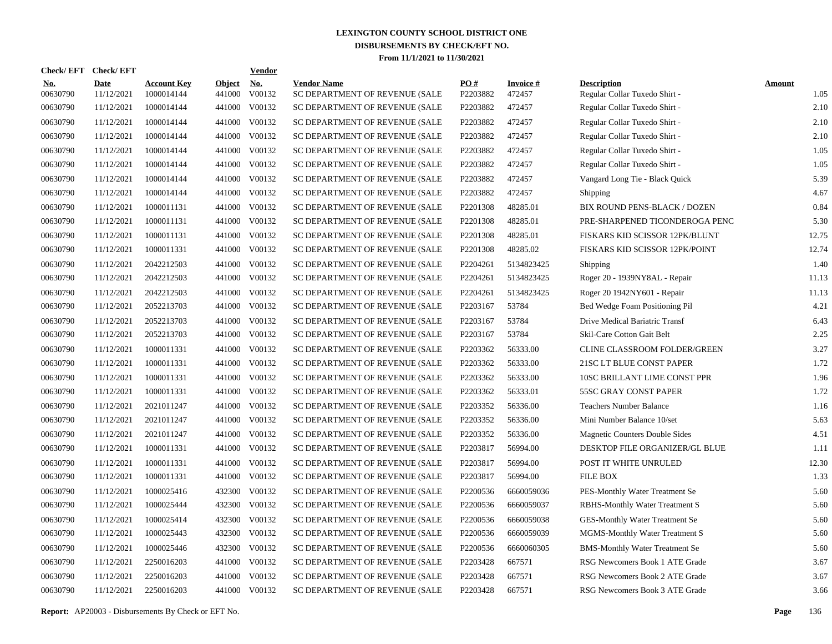| Check/EFT Check/EFT    |                           |                                  |                         | <b>Vendor</b> |                                                      |                 |                           |                                                     |                       |
|------------------------|---------------------------|----------------------------------|-------------------------|---------------|------------------------------------------------------|-----------------|---------------------------|-----------------------------------------------------|-----------------------|
| <u>No.</u><br>00630790 | <b>Date</b><br>11/12/2021 | <b>Account Key</b><br>1000014144 | <b>Object</b><br>441000 | No.<br>V00132 | <b>Vendor Name</b><br>SC DEPARTMENT OF REVENUE (SALE | PO#<br>P2203882 | <b>Invoice#</b><br>472457 | <b>Description</b><br>Regular Collar Tuxedo Shirt - | <b>Amount</b><br>1.05 |
| 00630790               | 11/12/2021                | 1000014144                       |                         | 441000 V00132 | SC DEPARTMENT OF REVENUE (SALE                       | P2203882        | 472457                    | Regular Collar Tuxedo Shirt -                       | 2.10                  |
| 00630790               | 11/12/2021                | 1000014144                       |                         | 441000 V00132 | SC DEPARTMENT OF REVENUE (SALE                       | P2203882        | 472457                    | Regular Collar Tuxedo Shirt -                       | 2.10                  |
| 00630790               | 11/12/2021                | 1000014144                       |                         | 441000 V00132 | SC DEPARTMENT OF REVENUE (SALE                       | P2203882        | 472457                    | Regular Collar Tuxedo Shirt -                       | 2.10                  |
| 00630790               | 11/12/2021                | 1000014144                       |                         | 441000 V00132 | SC DEPARTMENT OF REVENUE (SALE                       | P2203882        | 472457                    | Regular Collar Tuxedo Shirt -                       | 1.05                  |
| 00630790               | 11/12/2021                | 1000014144                       |                         | 441000 V00132 | SC DEPARTMENT OF REVENUE (SALE                       | P2203882        | 472457                    | Regular Collar Tuxedo Shirt -                       | 1.05                  |
| 00630790               | 11/12/2021                | 1000014144                       |                         | 441000 V00132 | SC DEPARTMENT OF REVENUE (SALE                       | P2203882        | 472457                    | Vangard Long Tie - Black Quick                      | 5.39                  |
| 00630790               | 11/12/2021                | 1000014144                       |                         | 441000 V00132 | SC DEPARTMENT OF REVENUE (SALE                       | P2203882        | 472457                    | Shipping                                            | 4.67                  |
| 00630790               | 11/12/2021                | 1000011131                       |                         | 441000 V00132 | SC DEPARTMENT OF REVENUE (SALE                       | P2201308        | 48285.01                  | BIX ROUND PENS-BLACK / DOZEN                        | 0.84                  |
| 00630790               | 11/12/2021                | 1000011131                       |                         | 441000 V00132 | SC DEPARTMENT OF REVENUE (SALE                       | P2201308        | 48285.01                  | PRE-SHARPENED TICONDEROGA PENC                      | 5.30                  |
| 00630790               | 11/12/2021                | 1000011131                       |                         | 441000 V00132 | SC DEPARTMENT OF REVENUE (SALE                       | P2201308        | 48285.01                  | FISKARS KID SCISSOR 12PK/BLUNT                      | 12.75                 |
| 00630790               | 11/12/2021                | 1000011331                       |                         | 441000 V00132 | SC DEPARTMENT OF REVENUE (SALE                       | P2201308        | 48285.02                  | FISKARS KID SCISSOR 12PK/POINT                      | 12.74                 |
| 00630790               | 11/12/2021                | 2042212503                       |                         | 441000 V00132 | SC DEPARTMENT OF REVENUE (SALE                       | P2204261        | 5134823425                | Shipping                                            | 1.40                  |
| 00630790               | 11/12/2021                | 2042212503                       |                         | 441000 V00132 | SC DEPARTMENT OF REVENUE (SALE                       | P2204261        | 5134823425                | Roger 20 - 1939NY8AL - Repair                       | 11.13                 |
| 00630790               | 11/12/2021                | 2042212503                       |                         | 441000 V00132 | SC DEPARTMENT OF REVENUE (SALE                       | P2204261        | 5134823425                | Roger 20 1942NY601 - Repair                         | 11.13                 |
| 00630790               | 11/12/2021                | 2052213703                       |                         | 441000 V00132 | SC DEPARTMENT OF REVENUE (SALE                       | P2203167        | 53784                     | Bed Wedge Foam Positioning Pil                      | 4.21                  |
| 00630790               | 11/12/2021                | 2052213703                       |                         | 441000 V00132 | SC DEPARTMENT OF REVENUE (SALE                       | P2203167        | 53784                     | Drive Medical Bariatric Transf                      | 6.43                  |
| 00630790               | 11/12/2021                | 2052213703                       |                         | 441000 V00132 | SC DEPARTMENT OF REVENUE (SALE                       | P2203167        | 53784                     | Skil-Care Cotton Gait Belt                          | 2.25                  |
| 00630790               | 11/12/2021                | 1000011331                       |                         | 441000 V00132 | SC DEPARTMENT OF REVENUE (SALE                       | P2203362        | 56333.00                  | CLINE CLASSROOM FOLDER/GREEN                        | 3.27                  |
| 00630790               | 11/12/2021                | 1000011331                       |                         | 441000 V00132 | SC DEPARTMENT OF REVENUE (SALE                       | P2203362        | 56333.00                  | 21SC LT BLUE CONST PAPER                            | 1.72                  |
| 00630790               | 11/12/2021                | 1000011331                       |                         | 441000 V00132 | SC DEPARTMENT OF REVENUE (SALE                       | P2203362        | 56333.00                  | 10SC BRILLANT LIME CONST PPR                        | 1.96                  |
| 00630790               | 11/12/2021                | 1000011331                       |                         | 441000 V00132 | SC DEPARTMENT OF REVENUE (SALE                       | P2203362        | 56333.01                  | 55SC GRAY CONST PAPER                               | 1.72                  |
| 00630790               | 11/12/2021                | 2021011247                       |                         | 441000 V00132 | SC DEPARTMENT OF REVENUE (SALE                       | P2203352        | 56336.00                  | <b>Teachers Number Balance</b>                      | 1.16                  |
| 00630790               | 11/12/2021                | 2021011247                       |                         | 441000 V00132 | SC DEPARTMENT OF REVENUE (SALE                       | P2203352        | 56336.00                  | Mini Number Balance 10/set                          | 5.63                  |
| 00630790               | 11/12/2021                | 2021011247                       | 441000                  | V00132        | SC DEPARTMENT OF REVENUE (SALE                       | P2203352        | 56336.00                  | <b>Magnetic Counters Double Sides</b>               | 4.51                  |
| 00630790               | 11/12/2021                | 1000011331                       |                         | 441000 V00132 | SC DEPARTMENT OF REVENUE (SALE                       | P2203817        | 56994.00                  | DESKTOP FILE ORGANIZER/GL BLUE                      | 1.11                  |
| 00630790               | 11/12/2021                | 1000011331                       | 441000                  | V00132        | SC DEPARTMENT OF REVENUE (SALE                       | P2203817        | 56994.00                  | POST IT WHITE UNRULED                               | 12.30                 |
| 00630790               | 11/12/2021                | 1000011331                       |                         | 441000 V00132 | SC DEPARTMENT OF REVENUE (SALE                       | P2203817        | 56994.00                  | <b>FILE BOX</b>                                     | 1.33                  |
| 00630790               | 11/12/2021                | 1000025416                       | 432300                  | V00132        | SC DEPARTMENT OF REVENUE (SALE                       | P2200536        | 6660059036                | PES-Monthly Water Treatment Se                      | 5.60                  |
| 00630790               | 11/12/2021                | 1000025444                       |                         | 432300 V00132 | SC DEPARTMENT OF REVENUE (SALE                       | P2200536        | 6660059037                | <b>RBHS-Monthly Water Treatment S</b>               | 5.60                  |
| 00630790               | 11/12/2021                | 1000025414                       | 432300                  | V00132        | SC DEPARTMENT OF REVENUE (SALE                       | P2200536        | 6660059038                | GES-Monthly Water Treatment Se                      | 5.60                  |
| 00630790               | 11/12/2021                | 1000025443                       | 432300                  | V00132        | SC DEPARTMENT OF REVENUE (SALE                       | P2200536        | 6660059039                | MGMS-Monthly Water Treatment S                      | 5.60                  |
| 00630790               | 11/12/2021                | 1000025446                       | 432300                  | V00132        | SC DEPARTMENT OF REVENUE (SALE                       | P2200536        | 6660060305                | <b>BMS-Monthly Water Treatment Se</b>               | 5.60                  |
| 00630790               | 11/12/2021                | 2250016203                       |                         | 441000 V00132 | SC DEPARTMENT OF REVENUE (SALE                       | P2203428        | 667571                    | RSG Newcomers Book 1 ATE Grade                      | 3.67                  |
| 00630790               | 11/12/2021                | 2250016203                       | 441000                  | V00132        | SC DEPARTMENT OF REVENUE (SALE                       | P2203428        | 667571                    | RSG Newcomers Book 2 ATE Grade                      | 3.67                  |
| 00630790               | 11/12/2021                | 2250016203                       |                         | 441000 V00132 | SC DEPARTMENT OF REVENUE (SALE                       | P2203428        | 667571                    | RSG Newcomers Book 3 ATE Grade                      | 3.66                  |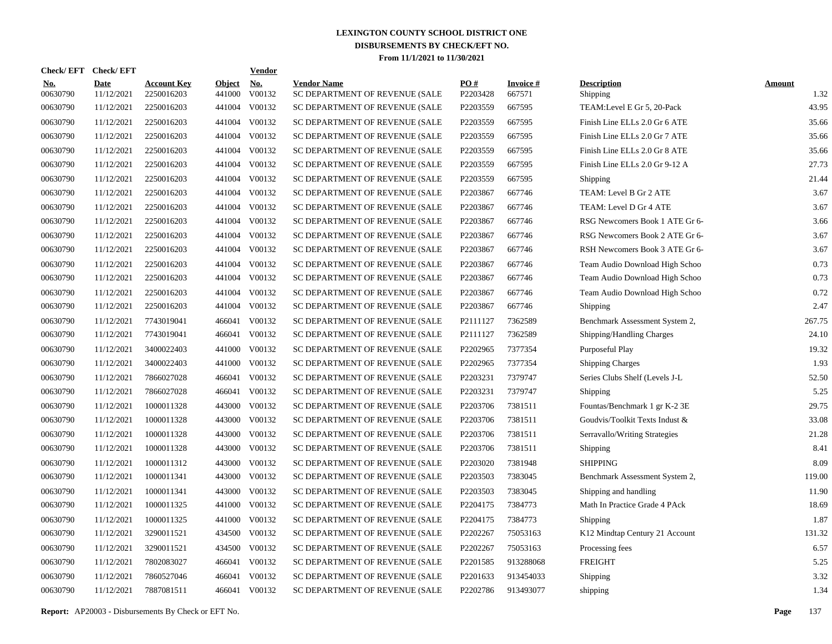| Check/EFT Check/EFT    |                           |                                  |                         | <b>Vendor</b> |                                                      |                 |                           |                                |                       |
|------------------------|---------------------------|----------------------------------|-------------------------|---------------|------------------------------------------------------|-----------------|---------------------------|--------------------------------|-----------------------|
| <u>No.</u><br>00630790 | <b>Date</b><br>11/12/2021 | <b>Account Key</b><br>2250016203 | <b>Object</b><br>441000 | No.<br>V00132 | <b>Vendor Name</b><br>SC DEPARTMENT OF REVENUE (SALE | PO#<br>P2203428 | <b>Invoice#</b><br>667571 | <b>Description</b><br>Shipping | <b>Amount</b><br>1.32 |
| 00630790               | 11/12/2021                | 2250016203                       |                         | 441004 V00132 | SC DEPARTMENT OF REVENUE (SALE                       | P2203559        | 667595                    | TEAM: Level E Gr 5, 20-Pack    | 43.95                 |
| 00630790               | 11/12/2021                | 2250016203                       |                         | 441004 V00132 | SC DEPARTMENT OF REVENUE (SALE                       | P2203559        | 667595                    | Finish Line ELLs 2.0 Gr 6 ATE  | 35.66                 |
| 00630790               | 11/12/2021                | 2250016203                       |                         | 441004 V00132 | SC DEPARTMENT OF REVENUE (SALE                       | P2203559        | 667595                    | Finish Line ELLs 2.0 Gr 7 ATE  | 35.66                 |
| 00630790               | 11/12/2021                | 2250016203                       |                         | 441004 V00132 | SC DEPARTMENT OF REVENUE (SALE                       | P2203559        | 667595                    | Finish Line ELLs 2.0 Gr 8 ATE  | 35.66                 |
| 00630790               | 11/12/2021                | 2250016203                       |                         | 441004 V00132 | SC DEPARTMENT OF REVENUE (SALE                       | P2203559        | 667595                    | Finish Line ELLs 2.0 Gr 9-12 A | 27.73                 |
| 00630790               | 11/12/2021                | 2250016203                       |                         | 441004 V00132 | SC DEPARTMENT OF REVENUE (SALE                       | P2203559        | 667595                    | Shipping                       | 21.44                 |
| 00630790               | 11/12/2021                | 2250016203                       |                         | 441004 V00132 | SC DEPARTMENT OF REVENUE (SALE                       | P2203867        | 667746                    | TEAM: Level B Gr 2 ATE         | 3.67                  |
| 00630790               | 11/12/2021                | 2250016203                       |                         | 441004 V00132 | SC DEPARTMENT OF REVENUE (SALE                       | P2203867        | 667746                    | TEAM: Level D Gr 4 ATE         | 3.67                  |
| 00630790               | 11/12/2021                | 2250016203                       |                         | 441004 V00132 | SC DEPARTMENT OF REVENUE (SALE                       | P2203867        | 667746                    | RSG Newcomers Book 1 ATE Gr 6- | 3.66                  |
| 00630790               | 11/12/2021                | 2250016203                       |                         | 441004 V00132 | SC DEPARTMENT OF REVENUE (SALE                       | P2203867        | 667746                    | RSG Newcomers Book 2 ATE Gr 6- | 3.67                  |
| 00630790               | 11/12/2021                | 2250016203                       |                         | 441004 V00132 | SC DEPARTMENT OF REVENUE (SALE                       | P2203867        | 667746                    | RSH Newcomers Book 3 ATE Gr 6- | 3.67                  |
| 00630790               | 11/12/2021                | 2250016203                       |                         | 441004 V00132 | SC DEPARTMENT OF REVENUE (SALE                       | P2203867        | 667746                    | Team Audio Download High Schoo | 0.73                  |
| 00630790               | 11/12/2021                | 2250016203                       |                         | 441004 V00132 | SC DEPARTMENT OF REVENUE (SALE                       | P2203867        | 667746                    | Team Audio Download High Schoo | 0.73                  |
| 00630790               | 11/12/2021                | 2250016203                       |                         | 441004 V00132 | SC DEPARTMENT OF REVENUE (SALE                       | P2203867        | 667746                    | Team Audio Download High Schoo | 0.72                  |
| 00630790               | 11/12/2021                | 2250016203                       |                         | 441004 V00132 | SC DEPARTMENT OF REVENUE (SALE                       | P2203867        | 667746                    | Shipping                       | 2.47                  |
| 00630790               | 11/12/2021                | 7743019041                       |                         | 466041 V00132 | SC DEPARTMENT OF REVENUE (SALE                       | P2111127        | 7362589                   | Benchmark Assessment System 2, | 267.75                |
| 00630790               | 11/12/2021                | 7743019041                       | 466041                  | V00132        | SC DEPARTMENT OF REVENUE (SALE                       | P2111127        | 7362589                   | Shipping/Handling Charges      | 24.10                 |
| 00630790               | 11/12/2021                | 3400022403                       | 441000                  | V00132        | SC DEPARTMENT OF REVENUE (SALE                       | P2202965        | 7377354                   | Purposeful Play                | 19.32                 |
| 00630790               | 11/12/2021                | 3400022403                       |                         | 441000 V00132 | SC DEPARTMENT OF REVENUE (SALE                       | P2202965        | 7377354                   | <b>Shipping Charges</b>        | 1.93                  |
| 00630790               | 11/12/2021                | 7866027028                       |                         | 466041 V00132 | SC DEPARTMENT OF REVENUE (SALE                       | P2203231        | 7379747                   | Series Clubs Shelf (Levels J-L | 52.50                 |
| 00630790               | 11/12/2021                | 7866027028                       |                         | 466041 V00132 | SC DEPARTMENT OF REVENUE (SALE                       | P2203231        | 7379747                   | Shipping                       | 5.25                  |
| 00630790               | 11/12/2021                | 1000011328                       | 443000                  | V00132        | SC DEPARTMENT OF REVENUE (SALE                       | P2203706        | 7381511                   | Fountas/Benchmark 1 gr K-2 3E  | 29.75                 |
| 00630790               | 11/12/2021                | 1000011328                       | 443000                  | V00132        | SC DEPARTMENT OF REVENUE (SALE                       | P2203706        | 7381511                   | Goudvis/Toolkit Texts Indust & | 33.08                 |
| 00630790               | 11/12/2021                | 1000011328                       | 443000                  | V00132        | SC DEPARTMENT OF REVENUE (SALE                       | P2203706        | 7381511                   | Serravallo/Writing Strategies  | 21.28                 |
| 00630790               | 11/12/2021                | 1000011328                       | 443000                  | V00132        | SC DEPARTMENT OF REVENUE (SALE                       | P2203706        | 7381511                   | Shipping                       | 8.41                  |
| 00630790               | 11/12/2021                | 1000011312                       | 443000                  | V00132        | SC DEPARTMENT OF REVENUE (SALE                       | P2203020        | 7381948                   | <b>SHIPPING</b>                | 8.09                  |
| 00630790               | 11/12/2021                | 1000011341                       | 443000                  | V00132        | SC DEPARTMENT OF REVENUE (SALE                       | P2203503        | 7383045                   | Benchmark Assessment System 2, | 119.00                |
| 00630790               | 11/12/2021                | 1000011341                       | 443000                  | V00132        | SC DEPARTMENT OF REVENUE (SALE                       | P2203503        | 7383045                   | Shipping and handling          | 11.90                 |
| 00630790               | 11/12/2021                | 1000011325                       | 441000                  | V00132        | SC DEPARTMENT OF REVENUE (SALE                       | P2204175        | 7384773                   | Math In Practice Grade 4 PAck  | 18.69                 |
| 00630790               | 11/12/2021                | 1000011325                       | 441000                  | V00132        | SC DEPARTMENT OF REVENUE (SALE                       | P2204175        | 7384773                   | Shipping                       | 1.87                  |
| 00630790               | 11/12/2021                | 3290011521                       | 434500                  | V00132        | SC DEPARTMENT OF REVENUE (SALE                       | P2202267        | 75053163                  | K12 Mindtap Century 21 Account | 131.32                |
| 00630790               | 11/12/2021                | 3290011521                       | 434500                  | V00132        | SC DEPARTMENT OF REVENUE (SALE                       | P2202267        | 75053163                  | Processing fees                | 6.57                  |
| 00630790               | 11/12/2021                | 7802083027                       | 466041                  | V00132        | SC DEPARTMENT OF REVENUE (SALE                       | P2201585        | 913288068                 | <b>FREIGHT</b>                 | 5.25                  |
| 00630790               | 11/12/2021                | 7860527046                       | 466041                  | V00132        | SC DEPARTMENT OF REVENUE (SALE                       | P2201633        | 913454033                 | Shipping                       | 3.32                  |
| 00630790               | 11/12/2021                | 7887081511                       |                         | 466041 V00132 | SC DEPARTMENT OF REVENUE (SALE                       | P2202786        | 913493077                 | shipping                       | 1.34                  |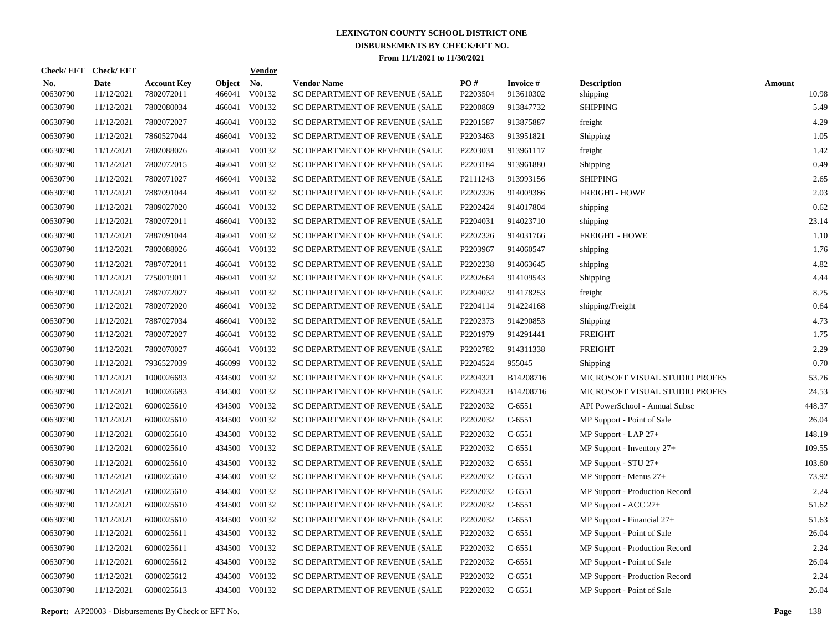| <b>Check/EFT</b>       | <b>Check/EFT</b>          |                                  |                         | <b>Vendor</b>        |                                                      |                 |                              |                                |                        |
|------------------------|---------------------------|----------------------------------|-------------------------|----------------------|------------------------------------------------------|-----------------|------------------------------|--------------------------------|------------------------|
| <u>No.</u><br>00630790 | <b>Date</b><br>11/12/2021 | <b>Account Key</b><br>7802072011 | <b>Object</b><br>466041 | <u>No.</u><br>V00132 | <b>Vendor Name</b><br>SC DEPARTMENT OF REVENUE (SALE | PO#<br>P2203504 | <b>Invoice#</b><br>913610302 | <b>Description</b><br>shipping | <b>Amount</b><br>10.98 |
| 00630790               | 11/12/2021                | 7802080034                       | 466041                  | V00132               | SC DEPARTMENT OF REVENUE (SALE                       | P2200869        | 913847732                    | <b>SHIPPING</b>                | 5.49                   |
| 00630790               | 11/12/2021                | 7802072027                       | 466041                  | V00132               | SC DEPARTMENT OF REVENUE (SALE                       | P2201587        | 913875887                    | freight                        | 4.29                   |
| 00630790               | 11/12/2021                | 7860527044                       | 466041                  | V00132               | SC DEPARTMENT OF REVENUE (SALE                       | P2203463        | 913951821                    | Shipping                       | 1.05                   |
| 00630790               | 11/12/2021                | 7802088026                       | 466041                  | V00132               | SC DEPARTMENT OF REVENUE (SALE                       | P2203031        | 913961117                    | freight                        | 1.42                   |
| 00630790               | 11/12/2021                | 7802072015                       | 466041                  | V00132               | SC DEPARTMENT OF REVENUE (SALE                       | P2203184        | 913961880                    | Shipping                       | 0.49                   |
| 00630790               | 11/12/2021                | 7802071027                       | 466041                  | V00132               | SC DEPARTMENT OF REVENUE (SALE                       | P2111243        | 913993156                    | <b>SHIPPING</b>                | 2.65                   |
| 00630790               | 11/12/2021                | 7887091044                       | 466041                  | V00132               | SC DEPARTMENT OF REVENUE (SALE                       | P2202326        | 914009386                    | <b>FREIGHT-HOWE</b>            | 2.03                   |
| 00630790               | 11/12/2021                | 7809027020                       | 466041                  | V00132               | SC DEPARTMENT OF REVENUE (SALE                       | P2202424        | 914017804                    | shipping                       | 0.62                   |
| 00630790               | 11/12/2021                | 7802072011                       | 466041                  | V00132               | SC DEPARTMENT OF REVENUE (SALE                       | P2204031        | 914023710                    | shipping                       | 23.14                  |
| 00630790               | 11/12/2021                | 7887091044                       | 466041                  | V00132               | SC DEPARTMENT OF REVENUE (SALE                       | P2202326        | 914031766                    | <b>FREIGHT - HOWE</b>          | 1.10                   |
| 00630790               | 11/12/2021                | 7802088026                       | 466041                  | V00132               | SC DEPARTMENT OF REVENUE (SALE                       | P2203967        | 914060547                    | shipping                       | 1.76                   |
| 00630790               | 11/12/2021                | 7887072011                       | 466041                  | V00132               | SC DEPARTMENT OF REVENUE (SALE                       | P2202238        | 914063645                    | shipping                       | 4.82                   |
| 00630790               | 11/12/2021                | 7750019011                       | 466041                  | V00132               | SC DEPARTMENT OF REVENUE (SALE                       | P2202664        | 914109543                    | Shipping                       | 4.44                   |
| 00630790               | 11/12/2021                | 7887072027                       | 466041                  | V00132               | SC DEPARTMENT OF REVENUE (SALE                       | P2204032        | 914178253                    | freight                        | 8.75                   |
| 00630790               | 11/12/2021                | 7802072020                       | 466041                  | V00132               | SC DEPARTMENT OF REVENUE (SALE                       | P2204114        | 914224168                    | shipping/Freight               | 0.64                   |
| 00630790               | 11/12/2021                | 7887027034                       | 466041                  | V00132               | SC DEPARTMENT OF REVENUE (SALE                       | P2202373        | 914290853                    | Shipping                       | 4.73                   |
| 00630790               | 11/12/2021                | 7802072027                       |                         | 466041 V00132        | SC DEPARTMENT OF REVENUE (SALE                       | P2201979        | 914291441                    | <b>FREIGHT</b>                 | 1.75                   |
| 00630790               | 11/12/2021                | 7802070027                       | 466041                  | V00132               | SC DEPARTMENT OF REVENUE (SALE                       | P2202782        | 914311338                    | <b>FREIGHT</b>                 | 2.29                   |
| 00630790               | 11/12/2021                | 7936527039                       | 466099                  | V00132               | SC DEPARTMENT OF REVENUE (SALE                       | P2204524        | 955045                       | Shipping                       | 0.70                   |
| 00630790               | 11/12/2021                | 1000026693                       | 434500                  | V00132               | SC DEPARTMENT OF REVENUE (SALE                       | P2204321        | B14208716                    | MICROSOFT VISUAL STUDIO PROFES | 53.76                  |
| 00630790               | 11/12/2021                | 1000026693                       | 434500                  | V00132               | SC DEPARTMENT OF REVENUE (SALE                       | P2204321        | B14208716                    | MICROSOFT VISUAL STUDIO PROFES | 24.53                  |
| 00630790               | 11/12/2021                | 6000025610                       | 434500                  | V00132               | SC DEPARTMENT OF REVENUE (SALE                       | P2202032        | $C-6551$                     | API PowerSchool - Annual Subsc | 448.37                 |
| 00630790               | 11/12/2021                | 6000025610                       | 434500                  | V00132               | SC DEPARTMENT OF REVENUE (SALE                       | P2202032        | $C-6551$                     | MP Support - Point of Sale     | 26.04                  |
| 00630790               | 11/12/2021                | 6000025610                       | 434500                  | V00132               | SC DEPARTMENT OF REVENUE (SALE                       | P2202032        | $C-6551$                     | $MP$ Support - LAP $27+$       | 148.19                 |
| 00630790               | 11/12/2021                | 6000025610                       | 434500                  | V00132               | SC DEPARTMENT OF REVENUE (SALE                       | P2202032        | $C-6551$                     | MP Support - Inventory 27+     | 109.55                 |
| 00630790               | 11/12/2021                | 6000025610                       | 434500                  | V00132               | SC DEPARTMENT OF REVENUE (SALE                       | P2202032        | $C-6551$                     | MP Support - STU 27+           | 103.60                 |
| 00630790               | 11/12/2021                | 6000025610                       | 434500                  | V00132               | SC DEPARTMENT OF REVENUE (SALE                       | P2202032        | $C-6551$                     | MP Support - Menus 27+         | 73.92                  |
| 00630790               | 11/12/2021                | 6000025610                       | 434500                  | V00132               | SC DEPARTMENT OF REVENUE (SALE                       | P2202032        | $C-6551$                     | MP Support - Production Record | 2.24                   |
| 00630790               | 11/12/2021                | 6000025610                       | 434500                  | V00132               | SC DEPARTMENT OF REVENUE (SALE                       | P2202032        | $C-6551$                     | MP Support - ACC 27+           | 51.62                  |
| 00630790               | 11/12/2021                | 6000025610                       | 434500                  | V00132               | SC DEPARTMENT OF REVENUE (SALE                       | P2202032        | $C-6551$                     | MP Support - Financial 27+     | 51.63                  |
| 00630790               | 11/12/2021                | 6000025611                       | 434500                  | V00132               | SC DEPARTMENT OF REVENUE (SALE                       | P2202032        | $C-6551$                     | MP Support - Point of Sale     | 26.04                  |
| 00630790               | 11/12/2021                | 6000025611                       | 434500                  | V00132               | SC DEPARTMENT OF REVENUE (SALE                       | P2202032        | $C-6551$                     | MP Support - Production Record | 2.24                   |
| 00630790               | 11/12/2021                | 6000025612                       | 434500                  | V00132               | SC DEPARTMENT OF REVENUE (SALE                       | P2202032        | $C-6551$                     | MP Support - Point of Sale     | 26.04                  |
| 00630790               | 11/12/2021                | 6000025612                       | 434500                  | V00132               | SC DEPARTMENT OF REVENUE (SALE                       | P2202032        | $C-6551$                     | MP Support - Production Record | 2.24                   |
| 00630790               | 11/12/2021                | 6000025613                       | 434500                  | V00132               | SC DEPARTMENT OF REVENUE (SALE                       | P2202032        | $C-6551$                     | MP Support - Point of Sale     | 26.04                  |

**Report:** AP20003 - Disbursements By Check or EFT No. **Page** 138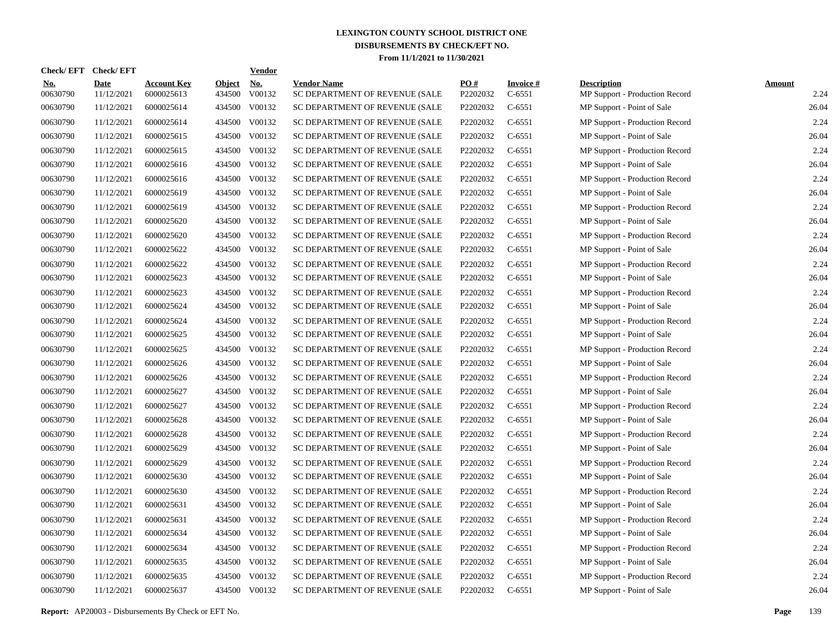| Check/EFT Check/EFT    |                           |                                  |                         | <b>Vendor</b>                         |                                                      |                 |                             |                                                      |                       |
|------------------------|---------------------------|----------------------------------|-------------------------|---------------------------------------|------------------------------------------------------|-----------------|-----------------------------|------------------------------------------------------|-----------------------|
| <u>No.</u><br>00630790 | <b>Date</b><br>11/12/2021 | <b>Account Key</b><br>6000025613 | <b>Object</b><br>434500 | $\underline{\mathrm{No}}$ .<br>V00132 | <b>Vendor Name</b><br>SC DEPARTMENT OF REVENUE (SALE | PO#<br>P2202032 | <b>Invoice#</b><br>$C-6551$ | <b>Description</b><br>MP Support - Production Record | <b>Amount</b><br>2.24 |
| 00630790               | 11/12/2021                | 6000025614                       |                         | 434500 V00132                         | SC DEPARTMENT OF REVENUE (SALE                       | P2202032        | $C-6551$                    | MP Support - Point of Sale                           | 26.04                 |
| 00630790               | 11/12/2021                | 6000025614                       |                         | 434500 V00132                         | SC DEPARTMENT OF REVENUE (SALE                       | P2202032        | $C-6551$                    | MP Support - Production Record                       | 2.24                  |
| 00630790               | 11/12/2021                | 6000025615                       |                         | 434500 V00132                         | SC DEPARTMENT OF REVENUE (SALE                       | P2202032        | $C-6551$                    | MP Support - Point of Sale                           | 26.04                 |
| 00630790               | 11/12/2021                | 6000025615                       |                         | 434500 V00132                         | SC DEPARTMENT OF REVENUE (SALE                       | P2202032        | $C-6551$                    | MP Support - Production Record                       | 2.24                  |
| 00630790               | 11/12/2021                | 6000025616                       |                         | 434500 V00132                         | SC DEPARTMENT OF REVENUE (SALE                       | P2202032        | $C-6551$                    | MP Support - Point of Sale                           | 26.04                 |
| 00630790               | 11/12/2021                | 6000025616                       |                         | 434500 V00132                         | SC DEPARTMENT OF REVENUE (SALE                       | P2202032        | $C-6551$                    | MP Support - Production Record                       | 2.24                  |
| 00630790               | 11/12/2021                | 6000025619                       |                         | 434500 V00132                         | SC DEPARTMENT OF REVENUE (SALE                       | P2202032        | $C-6551$                    | MP Support - Point of Sale                           | 26.04                 |
| 00630790               | 11/12/2021                | 6000025619                       |                         | 434500 V00132                         | SC DEPARTMENT OF REVENUE (SALE                       | P2202032        | $C-6551$                    | MP Support - Production Record                       | 2.24                  |
| 00630790               | 11/12/2021                | 6000025620                       |                         | 434500 V00132                         | SC DEPARTMENT OF REVENUE (SALE                       | P2202032        | $C-6551$                    | MP Support - Point of Sale                           | 26.04                 |
| 00630790               | 11/12/2021                | 6000025620                       |                         | 434500 V00132                         | SC DEPARTMENT OF REVENUE (SALE                       | P2202032        | $C-6551$                    | MP Support - Production Record                       | 2.24                  |
| 00630790               | 11/12/2021                | 6000025622                       |                         | 434500 V00132                         | SC DEPARTMENT OF REVENUE (SALE                       | P2202032        | $C-6551$                    | MP Support - Point of Sale                           | 26.04                 |
| 00630790               | 11/12/2021                | 6000025622                       |                         | 434500 V00132                         | SC DEPARTMENT OF REVENUE (SALE                       | P2202032        | $C-6551$                    | MP Support - Production Record                       | 2.24                  |
| 00630790               | 11/12/2021                | 6000025623                       |                         | 434500 V00132                         | SC DEPARTMENT OF REVENUE (SALE                       | P2202032        | $C-6551$                    | MP Support - Point of Sale                           | 26.04                 |
| 00630790               | 11/12/2021                | 6000025623                       |                         | 434500 V00132                         | SC DEPARTMENT OF REVENUE (SALE                       | P2202032        | $C-6551$                    | MP Support - Production Record                       | 2.24                  |
| 00630790               | 11/12/2021                | 6000025624                       |                         | 434500 V00132                         | SC DEPARTMENT OF REVENUE (SALE                       | P2202032        | $C-6551$                    | MP Support - Point of Sale                           | 26.04                 |
| 00630790               | 11/12/2021                | 6000025624                       |                         | 434500 V00132                         | SC DEPARTMENT OF REVENUE (SALE                       | P2202032        | $C-6551$                    | MP Support - Production Record                       | 2.24                  |
| 00630790               | 11/12/2021                | 6000025625                       |                         | 434500 V00132                         | SC DEPARTMENT OF REVENUE (SALE                       | P2202032        | $C-6551$                    | MP Support - Point of Sale                           | 26.04                 |
| 00630790               | 11/12/2021                | 6000025625                       | 434500                  | V00132                                | SC DEPARTMENT OF REVENUE (SALE                       | P2202032        | $C-6551$                    | <b>MP Support - Production Record</b>                | 2.24                  |
| 00630790               | 11/12/2021                | 6000025626                       |                         | 434500 V00132                         | SC DEPARTMENT OF REVENUE (SALE                       | P2202032        | $C-6551$                    | MP Support - Point of Sale                           | 26.04                 |
| 00630790               | 11/12/2021                | 6000025626                       | 434500                  | V00132                                | SC DEPARTMENT OF REVENUE (SALE                       | P2202032        | $C-6551$                    | MP Support - Production Record                       | 2.24                  |
| 00630790               | 11/12/2021                | 6000025627                       |                         | 434500 V00132                         | SC DEPARTMENT OF REVENUE (SALE                       | P2202032        | $C-6551$                    | MP Support - Point of Sale                           | 26.04                 |
| 00630790               | 11/12/2021                | 6000025627                       | 434500                  | V00132                                | SC DEPARTMENT OF REVENUE (SALE                       | P2202032        | $C-6551$                    | MP Support - Production Record                       | 2.24                  |
| 00630790               | 11/12/2021                | 6000025628                       |                         | 434500 V00132                         | SC DEPARTMENT OF REVENUE (SALE                       | P2202032        | $C-6551$                    | MP Support - Point of Sale                           | 26.04                 |
| 00630790               | 11/12/2021                | 6000025628                       | 434500                  | V00132                                | SC DEPARTMENT OF REVENUE (SALE                       | P2202032        | $C-6551$                    | MP Support - Production Record                       | 2.24                  |
| 00630790               | 11/12/2021                | 6000025629                       | 434500                  | V00132                                | SC DEPARTMENT OF REVENUE (SALE                       | P2202032        | $C-6551$                    | MP Support - Point of Sale                           | 26.04                 |
| 00630790               | 11/12/2021                | 6000025629                       | 434500                  | V00132                                | SC DEPARTMENT OF REVENUE (SALE                       | P2202032        | $C-6551$                    | MP Support - Production Record                       | 2.24                  |
| 00630790               | 11/12/2021                | 6000025630                       | 434500                  | V00132                                | SC DEPARTMENT OF REVENUE (SALE                       | P2202032        | $C-6551$                    | MP Support - Point of Sale                           | 26.04                 |
| 00630790               | 11/12/2021                | 6000025630                       | 434500                  | V00132                                | SC DEPARTMENT OF REVENUE (SALE                       | P2202032        | $C-6551$                    | MP Support - Production Record                       | 2.24                  |
| 00630790               | 11/12/2021                | 6000025631                       |                         | 434500 V00132                         | SC DEPARTMENT OF REVENUE (SALE                       | P2202032        | $C-6551$                    | MP Support - Point of Sale                           | 26.04                 |
| 00630790               | 11/12/2021                | 6000025631                       | 434500                  | V00132                                | SC DEPARTMENT OF REVENUE (SALE                       | P2202032        | $C-6551$                    | MP Support - Production Record                       | 2.24                  |
| 00630790               | 11/12/2021                | 6000025634                       | 434500                  | V00132                                | SC DEPARTMENT OF REVENUE (SALE                       | P2202032        | $C-6551$                    | MP Support - Point of Sale                           | 26.04                 |
| 00630790               | 11/12/2021                | 6000025634                       | 434500                  | V00132                                | SC DEPARTMENT OF REVENUE (SALE                       | P2202032        | $C-6551$                    | MP Support - Production Record                       | 2.24                  |
| 00630790               | 11/12/2021                | 6000025635                       | 434500                  | V00132                                | SC DEPARTMENT OF REVENUE (SALE                       | P2202032        | $C-6551$                    | MP Support - Point of Sale                           | 26.04                 |
| 00630790               | 11/12/2021                | 6000025635                       | 434500                  | V00132                                | SC DEPARTMENT OF REVENUE (SALE                       | P2202032        | $C-6551$                    | MP Support - Production Record                       | 2.24                  |
| 00630790               | 11/12/2021                | 6000025637                       |                         | 434500 V00132                         | SC DEPARTMENT OF REVENUE (SALE                       | P2202032        | $C-6551$                    | MP Support - Point of Sale                           | 26.04                 |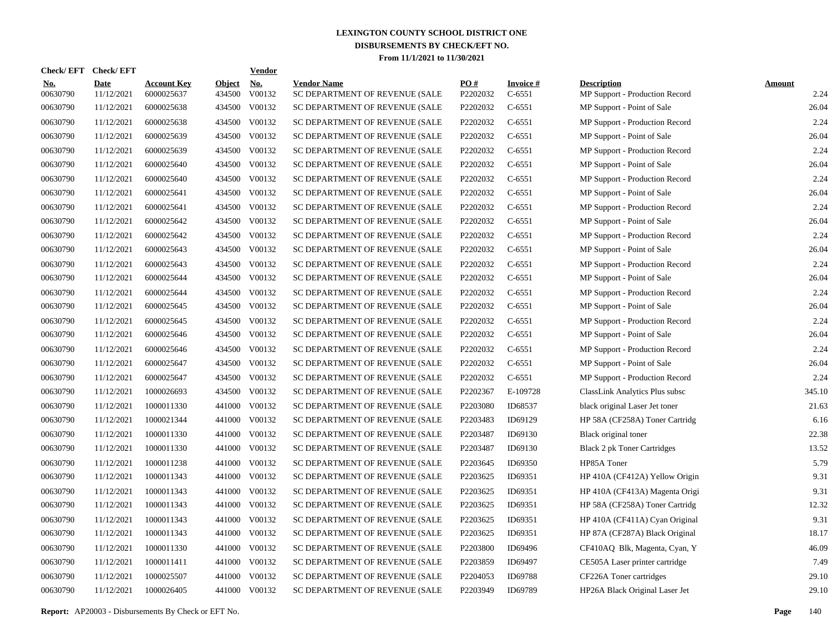| Check/EFT Check/EFT    |                           |                                  |                         | <b>Vendor</b>                         |                                                      |                      |                             |                                                      |                       |
|------------------------|---------------------------|----------------------------------|-------------------------|---------------------------------------|------------------------------------------------------|----------------------|-----------------------------|------------------------------------------------------|-----------------------|
| <u>No.</u><br>00630790 | <b>Date</b><br>11/12/2021 | <b>Account Key</b><br>6000025637 | <b>Object</b><br>434500 | $\underline{\mathrm{No}}$ .<br>V00132 | <b>Vendor Name</b><br>SC DEPARTMENT OF REVENUE (SALE | PO#<br>P2202032      | <b>Invoice#</b><br>$C-6551$ | <b>Description</b><br>MP Support - Production Record | <b>Amount</b><br>2.24 |
| 00630790               | 11/12/2021                | 6000025638                       |                         | 434500 V00132                         | SC DEPARTMENT OF REVENUE (SALE                       | P2202032             | $C-6551$                    | MP Support - Point of Sale                           | 26.04                 |
| 00630790               | 11/12/2021                | 6000025638                       |                         | 434500 V00132                         | SC DEPARTMENT OF REVENUE (SALE                       | P2202032             | $C-6551$                    | MP Support - Production Record                       | 2.24                  |
| 00630790               | 11/12/2021                | 6000025639                       |                         | 434500 V00132                         | SC DEPARTMENT OF REVENUE (SALE                       | P2202032             | $C-6551$                    | MP Support - Point of Sale                           | 26.04                 |
| 00630790               | 11/12/2021                | 6000025639                       |                         | 434500 V00132                         | SC DEPARTMENT OF REVENUE (SALE                       | P2202032             | $C-6551$                    | MP Support - Production Record                       | 2.24                  |
| 00630790               | 11/12/2021                | 6000025640                       |                         | 434500 V00132                         | SC DEPARTMENT OF REVENUE (SALE                       | P2202032             | $C-6551$                    | MP Support - Point of Sale                           | 26.04                 |
| 00630790               | 11/12/2021                | 6000025640                       |                         | 434500 V00132                         | SC DEPARTMENT OF REVENUE (SALE                       | P2202032             | $C-6551$                    | MP Support - Production Record                       | 2.24                  |
| 00630790               | 11/12/2021                | 6000025641                       |                         | 434500 V00132                         | SC DEPARTMENT OF REVENUE (SALE                       | P2202032             | $C-6551$                    | MP Support - Point of Sale                           | 26.04                 |
| 00630790               | 11/12/2021                | 6000025641                       |                         | 434500 V00132                         | SC DEPARTMENT OF REVENUE (SALE                       | P2202032             | $C-6551$                    | MP Support - Production Record                       | 2.24                  |
| 00630790               | 11/12/2021                | 6000025642                       |                         | 434500 V00132                         | SC DEPARTMENT OF REVENUE (SALE                       | P2202032             | $C-6551$                    | MP Support - Point of Sale                           | 26.04                 |
| 00630790               | 11/12/2021                | 6000025642                       |                         | 434500 V00132                         | SC DEPARTMENT OF REVENUE (SALE                       | P2202032             | $C-6551$                    | MP Support - Production Record                       | 2.24                  |
| 00630790               | 11/12/2021                | 6000025643                       |                         | 434500 V00132                         | SC DEPARTMENT OF REVENUE (SALE                       | P2202032             | $C-6551$                    | MP Support - Point of Sale                           | 26.04                 |
| 00630790               | 11/12/2021                | 6000025643                       |                         | 434500 V00132                         | SC DEPARTMENT OF REVENUE (SALE                       | P2202032             | $C-6551$                    | MP Support - Production Record                       | 2.24                  |
| 00630790               | 11/12/2021                | 6000025644                       |                         | 434500 V00132                         | SC DEPARTMENT OF REVENUE (SALE                       | P2202032             | $C-6551$                    | MP Support - Point of Sale                           | 26.04                 |
| 00630790               | 11/12/2021                | 6000025644                       |                         | 434500 V00132                         | SC DEPARTMENT OF REVENUE (SALE                       | P2202032             | $C-6551$                    | MP Support - Production Record                       | 2.24                  |
| 00630790               | 11/12/2021                | 6000025645                       |                         | 434500 V00132                         | SC DEPARTMENT OF REVENUE (SALE                       | P2202032             | $C-6551$                    | MP Support - Point of Sale                           | 26.04                 |
| 00630790               | 11/12/2021                | 6000025645                       |                         | 434500 V00132                         | SC DEPARTMENT OF REVENUE (SALE                       | P2202032             | $C-6551$                    | MP Support - Production Record                       | 2.24                  |
| 00630790               | 11/12/2021                | 6000025646                       |                         | 434500 V00132                         | SC DEPARTMENT OF REVENUE (SALE                       | P2202032             | $C-6551$                    | MP Support - Point of Sale                           | 26.04                 |
| 00630790               | 11/12/2021                | 6000025646                       |                         | 434500 V00132                         | SC DEPARTMENT OF REVENUE (SALE                       | P2202032             | $C-6551$                    | MP Support - Production Record                       | 2.24                  |
| 00630790               | 11/12/2021                | 6000025647                       |                         | 434500 V00132                         | SC DEPARTMENT OF REVENUE (SALE                       | P2202032             | $C-6551$                    | MP Support - Point of Sale                           | 26.04                 |
| 00630790               | 11/12/2021                | 6000025647                       |                         | 434500 V00132                         | SC DEPARTMENT OF REVENUE (SALE                       | P2202032             | $C-6551$                    | MP Support - Production Record                       | 2.24                  |
| 00630790               | 11/12/2021                | 1000026693                       |                         | 434500 V00132                         | SC DEPARTMENT OF REVENUE (SALE                       | P2202367             | E-109728                    | ClassLink Analytics Plus subsc                       | 345.10                |
| 00630790               | 11/12/2021                | 1000011330                       |                         | 441000 V00132                         | SC DEPARTMENT OF REVENUE (SALE                       | P2203080             | ID68537                     | black original Laser Jet toner                       | 21.63                 |
| 00630790               | 11/12/2021                | 1000021344                       |                         | 441000 V00132                         | SC DEPARTMENT OF REVENUE (SALE                       | P2203483             | ID69129                     | HP 58A (CF258A) Toner Cartridg                       | 6.16                  |
| 00630790               | 11/12/2021                | 1000011330                       |                         | 441000 V00132                         | SC DEPARTMENT OF REVENUE (SALE                       | P2203487             | ID69130                     | Black original toner                                 | 22.38                 |
| 00630790               | 11/12/2021                | 1000011330                       |                         | 441000 V00132                         | SC DEPARTMENT OF REVENUE (SALE                       | P2203487             | ID69130                     | Black 2 pk Toner Cartridges                          | 13.52                 |
| 00630790               | 11/12/2021                | 1000011238                       |                         | 441000 V00132                         | SC DEPARTMENT OF REVENUE (SALE                       | P2203645             | ID69350                     | HP85A Toner                                          | 5.79                  |
| 00630790               | 11/12/2021                | 1000011343                       |                         | 441000 V00132                         | SC DEPARTMENT OF REVENUE (SALE                       | P2203625             | ID69351                     | HP 410A (CF412A) Yellow Origin                       | 9.31                  |
| 00630790               | 11/12/2021                | 1000011343                       |                         | 441000 V00132                         | SC DEPARTMENT OF REVENUE (SALE                       | P2203625             | ID69351                     | HP 410A (CF413A) Magenta Origi                       | 9.31                  |
| 00630790               | 11/12/2021                | 1000011343                       |                         | 441000 V00132                         | SC DEPARTMENT OF REVENUE (SALE                       | P2203625             | ID69351                     | HP 58A (CF258A) Toner Cartridg                       | 12.32                 |
| 00630790               | 11/12/2021                | 1000011343                       |                         | 441000 V00132                         | SC DEPARTMENT OF REVENUE (SALE                       | P2203625             | ID69351                     | HP 410A (CF411A) Cyan Original                       | 9.31                  |
| 00630790               | 11/12/2021                | 1000011343                       |                         | 441000 V00132                         | SC DEPARTMENT OF REVENUE (SALE                       | P2203625             | ID69351                     | HP 87A (CF287A) Black Original                       | 18.17                 |
| 00630790               | 11/12/2021                | 1000011330                       | 441000                  | V00132                                | SC DEPARTMENT OF REVENUE (SALE                       | P2203800             | ID69496                     | CF410AQ Blk, Magenta, Cyan, Y                        | 46.09                 |
| 00630790               | 11/12/2021                | 1000011411                       |                         | 441000 V00132                         | SC DEPARTMENT OF REVENUE (SALE                       | P2203859             | ID69497                     | CE505A Laser printer cartridge                       | 7.49                  |
| 00630790               | 11/12/2021                | 1000025507                       | 441000                  | V00132                                | SC DEPARTMENT OF REVENUE (SALE                       | P <sub>2204053</sub> | ID69788                     | CF226A Toner cartridges                              | 29.10                 |
| 00630790               | 11/12/2021                | 1000026405                       |                         | 441000 V00132                         | SC DEPARTMENT OF REVENUE (SALE                       | P2203949             | ID69789                     | HP26A Black Original Laser Jet                       | 29.10                 |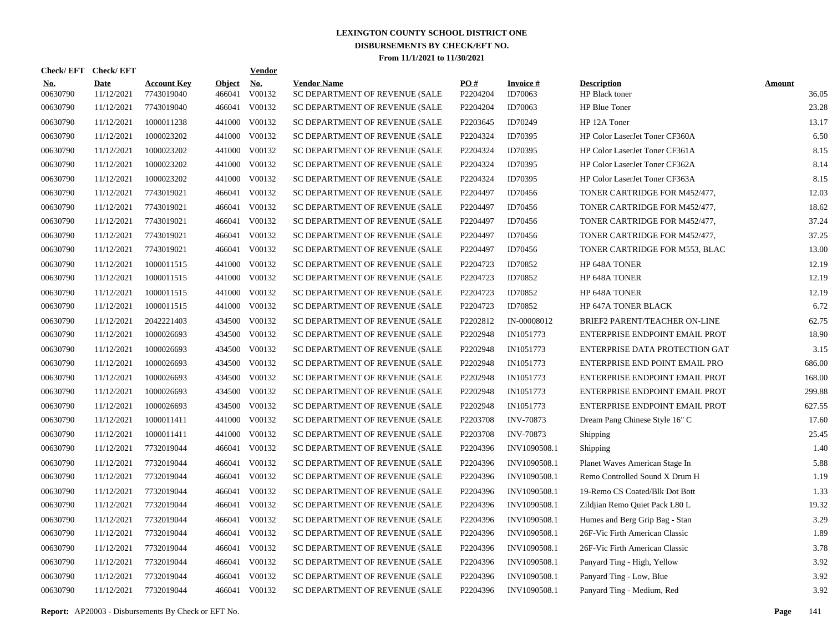|                        | Check/EFT Check/EFT       |                                  |                         | <b>Vendor</b>        |                                                      |                 |                            |                                       |                        |
|------------------------|---------------------------|----------------------------------|-------------------------|----------------------|------------------------------------------------------|-----------------|----------------------------|---------------------------------------|------------------------|
| <u>No.</u><br>00630790 | <b>Date</b><br>11/12/2021 | <b>Account Key</b><br>7743019040 | <b>Object</b><br>466041 | <u>No.</u><br>V00132 | <b>Vendor Name</b><br>SC DEPARTMENT OF REVENUE (SALE | PO#<br>P2204204 | <b>Invoice#</b><br>ID70063 | <b>Description</b><br>HP Black toner  | <b>Amount</b><br>36.05 |
| 00630790               | 11/12/2021                | 7743019040                       | 466041                  | V00132               | SC DEPARTMENT OF REVENUE (SALE                       | P2204204        | ID70063                    | HP Blue Toner                         | 23.28                  |
| 00630790               | 11/12/2021                | 1000011238                       | 441000                  | V00132               | SC DEPARTMENT OF REVENUE (SALE                       | P2203645        | ID70249                    | HP 12A Toner                          | 13.17                  |
| 00630790               | 11/12/2021                | 1000023202                       | 441000                  | V00132               | SC DEPARTMENT OF REVENUE (SALE                       | P2204324        | ID70395                    | <b>HP Color LaserJet Toner CF360A</b> | 6.50                   |
| 00630790               | 11/12/2021                | 1000023202                       | 441000                  | V00132               | SC DEPARTMENT OF REVENUE (SALE                       | P2204324        | ID70395                    | HP Color LaserJet Toner CF361A        | 8.15                   |
| 00630790               | 11/12/2021                | 1000023202                       | 441000                  | V00132               | SC DEPARTMENT OF REVENUE (SALE                       | P2204324        | ID70395                    | HP Color LaserJet Toner CF362A        | 8.14                   |
| 00630790               | 11/12/2021                | 1000023202                       | 441000                  | V00132               | SC DEPARTMENT OF REVENUE (SALE                       | P2204324        | ID70395                    | HP Color LaserJet Toner CF363A        | 8.15                   |
| 00630790               | 11/12/2021                | 7743019021                       | 466041                  | V00132               | SC DEPARTMENT OF REVENUE (SALE                       | P2204497        | ID70456                    | TONER CARTRIDGE FOR M452/477,         | 12.03                  |
| 00630790               | 11/12/2021                | 7743019021                       | 466041                  | V00132               | SC DEPARTMENT OF REVENUE (SALE                       | P2204497        | ID70456                    | TONER CARTRIDGE FOR M452/477,         | 18.62                  |
| 00630790               | 11/12/2021                | 7743019021                       | 466041                  | V00132               | SC DEPARTMENT OF REVENUE (SALE                       | P2204497        | ID70456                    | TONER CARTRIDGE FOR M452/477,         | 37.24                  |
| 00630790               | 11/12/2021                | 7743019021                       | 466041                  | V00132               | SC DEPARTMENT OF REVENUE (SALE                       | P2204497        | ID70456                    | TONER CARTRIDGE FOR M452/477,         | 37.25                  |
| 00630790               | 11/12/2021                | 7743019021                       | 466041                  | V00132               | SC DEPARTMENT OF REVENUE (SALE                       | P2204497        | ID70456                    | TONER CARTRIDGE FOR M553, BLAC        | 13.00                  |
| 00630790               | 11/12/2021                | 1000011515                       | 441000                  | V00132               | SC DEPARTMENT OF REVENUE (SALE                       | P2204723        | ID70852                    | HP 648A TONER                         | 12.19                  |
| 00630790               | 11/12/2021                | 1000011515                       | 441000                  | V00132               | SC DEPARTMENT OF REVENUE (SALE                       | P2204723        | ID70852                    | HP 648A TONER                         | 12.19                  |
| 00630790               | 11/12/2021                | 1000011515                       | 441000                  | V00132               | SC DEPARTMENT OF REVENUE (SALE                       | P2204723        | ID70852                    | HP 648A TONER                         | 12.19                  |
| 00630790               | 11/12/2021                | 1000011515                       | 441000                  | V00132               | SC DEPARTMENT OF REVENUE (SALE                       | P2204723        | ID70852                    | HP 647A TONER BLACK                   | 6.72                   |
| 00630790               | 11/12/2021                | 2042221403                       | 434500                  | V00132               | SC DEPARTMENT OF REVENUE (SALE                       | P2202812        | IN-00008012                | BRIEF2 PARENT/TEACHER ON-LINE         | 62.75                  |
| 00630790               | 11/12/2021                | 1000026693                       | 434500                  | V00132               | SC DEPARTMENT OF REVENUE (SALE                       | P2202948        | IN1051773                  | ENTERPRISE ENDPOINT EMAIL PROT        | 18.90                  |
| 00630790               | 11/12/2021                | 1000026693                       | 434500                  | V00132               | SC DEPARTMENT OF REVENUE (SALE                       | P2202948        | IN1051773                  | ENTERPRISE DATA PROTECTION GAT        | 3.15                   |
| 00630790               | 11/12/2021                | 1000026693                       | 434500                  | V00132               | SC DEPARTMENT OF REVENUE (SALE                       | P2202948        | IN1051773                  | ENTERPRISE END POINT EMAIL PRO        | 686.00                 |
| 00630790               | 11/12/2021                | 1000026693                       | 434500                  | V00132               | SC DEPARTMENT OF REVENUE (SALE                       | P2202948        | IN1051773                  | ENTERPRISE ENDPOINT EMAIL PROT        | 168.00                 |
| 00630790               | 11/12/2021                | 1000026693                       | 434500                  | V00132               | SC DEPARTMENT OF REVENUE (SALE                       | P2202948        | IN1051773                  | ENTERPRISE ENDPOINT EMAIL PROT        | 299.88                 |
| 00630790               | 11/12/2021                | 1000026693                       | 434500                  | V00132               | SC DEPARTMENT OF REVENUE (SALE                       | P2202948        | IN1051773                  | ENTERPRISE ENDPOINT EMAIL PROT        | 627.55                 |
| 00630790               | 11/12/2021                | 1000011411                       | 441000                  | V00132               | SC DEPARTMENT OF REVENUE (SALE                       | P2203708        | <b>INV-70873</b>           | Dream Pang Chinese Style 16" C        | 17.60                  |
| 00630790               | 11/12/2021                | 1000011411                       | 441000                  | V00132               | SC DEPARTMENT OF REVENUE (SALE                       | P2203708        | <b>INV-70873</b>           | Shipping                              | 25.45                  |
| 00630790               | 11/12/2021                | 7732019044                       |                         | 466041 V00132        | SC DEPARTMENT OF REVENUE (SALE                       | P2204396        | INV1090508.1               | Shipping                              | 1.40                   |
| 00630790               | 11/12/2021                | 7732019044                       |                         | 466041 V00132        | SC DEPARTMENT OF REVENUE (SALE                       | P2204396        | INV1090508.1               | Planet Waves American Stage In        | 5.88                   |
| 00630790               | 11/12/2021                | 7732019044                       |                         | 466041 V00132        | SC DEPARTMENT OF REVENUE (SALE                       | P2204396        | INV1090508.1               | Remo Controlled Sound X Drum H        | 1.19                   |
| 00630790               | 11/12/2021                | 7732019044                       | 466041                  | V00132               | SC DEPARTMENT OF REVENUE (SALE                       | P2204396        | INV1090508.1               | 19-Remo CS Coated/Blk Dot Bott        | 1.33                   |
| 00630790               | 11/12/2021                | 7732019044                       |                         | 466041 V00132        | SC DEPARTMENT OF REVENUE (SALE                       | P2204396        | INV1090508.1               | Zildjian Remo Quiet Pack L80 L        | 19.32                  |
| 00630790               | 11/12/2021                | 7732019044                       | 466041                  | V00132               | SC DEPARTMENT OF REVENUE (SALE                       | P2204396        | INV1090508.1               | Humes and Berg Grip Bag - Stan        | 3.29                   |
| 00630790               | 11/12/2021                | 7732019044                       |                         | 466041 V00132        | SC DEPARTMENT OF REVENUE (SALE                       | P2204396        | INV1090508.1               | 26F-Vic Firth American Classic        | 1.89                   |
| 00630790               | 11/12/2021                | 7732019044                       | 466041                  | V00132               | SC DEPARTMENT OF REVENUE (SALE                       | P2204396        | INV1090508.1               | 26F-Vic Firth American Classic        | 3.78                   |
| 00630790               | 11/12/2021                | 7732019044                       |                         | 466041 V00132        | SC DEPARTMENT OF REVENUE (SALE                       | P2204396        | INV1090508.1               | Panyard Ting - High, Yellow           | 3.92                   |
| 00630790               | 11/12/2021                | 7732019044                       | 466041                  | V00132               | SC DEPARTMENT OF REVENUE (SALE                       | P2204396        | INV1090508.1               | Panyard Ting - Low, Blue              | 3.92                   |
| 00630790               | 11/12/2021                | 7732019044                       |                         | 466041 V00132        | SC DEPARTMENT OF REVENUE (SALE                       | P2204396        | INV1090508.1               | Panyard Ting - Medium, Red            | 3.92                   |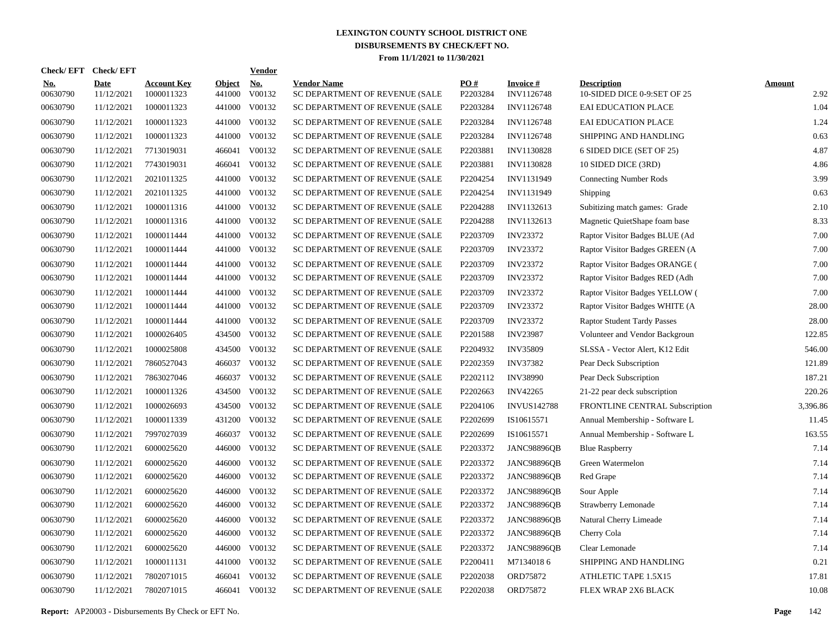| Check/EFT Check/EFT    |                           |                                  |                         | <b>Vendor</b>        |                                                      |                 |                               |                                                   |                       |
|------------------------|---------------------------|----------------------------------|-------------------------|----------------------|------------------------------------------------------|-----------------|-------------------------------|---------------------------------------------------|-----------------------|
| <u>No.</u><br>00630790 | <b>Date</b><br>11/12/2021 | <b>Account Key</b><br>1000011323 | <b>Object</b><br>441000 | <u>No.</u><br>V00132 | <b>Vendor Name</b><br>SC DEPARTMENT OF REVENUE (SALE | PO#<br>P2203284 | <b>Invoice#</b><br>INV1126748 | <b>Description</b><br>10-SIDED DICE 0-9:SET OF 25 | <b>Amount</b><br>2.92 |
| 00630790               | 11/12/2021                | 1000011323                       | 441000                  | V00132               | SC DEPARTMENT OF REVENUE (SALE                       | P2203284        | INV1126748                    | <b>EAI EDUCATION PLACE</b>                        | 1.04                  |
| 00630790               | 11/12/2021                | 1000011323                       | 441000                  | V00132               | SC DEPARTMENT OF REVENUE (SALE                       | P2203284        | INV1126748                    | <b>EAI EDUCATION PLACE</b>                        | 1.24                  |
| 00630790               | 11/12/2021                | 1000011323                       | 441000                  | V00132               | SC DEPARTMENT OF REVENUE (SALE                       | P2203284        | INV1126748                    | SHIPPING AND HANDLING                             | 0.63                  |
| 00630790               | 11/12/2021                | 7713019031                       | 466041                  | V00132               | SC DEPARTMENT OF REVENUE (SALE                       | P2203881        | INV1130828                    | 6 SIDED DICE (SET OF 25)                          | 4.87                  |
| 00630790               | 11/12/2021                | 7743019031                       | 466041                  | V00132               | SC DEPARTMENT OF REVENUE (SALE                       | P2203881        | INV1130828                    | 10 SIDED DICE (3RD)                               | 4.86                  |
| 00630790               | 11/12/2021                | 2021011325                       | 441000                  | V00132               | SC DEPARTMENT OF REVENUE (SALE                       | P2204254        | INV1131949                    | <b>Connecting Number Rods</b>                     | 3.99                  |
| 00630790               | 11/12/2021                | 2021011325                       | 441000                  | V00132               | SC DEPARTMENT OF REVENUE (SALE                       | P2204254        | INV1131949                    | Shipping                                          | 0.63                  |
| 00630790               | 11/12/2021                | 1000011316                       | 441000                  | V00132               | SC DEPARTMENT OF REVENUE (SALE                       | P2204288        | INV1132613                    | Subitizing match games: Grade                     | 2.10                  |
| 00630790               | 11/12/2021                | 1000011316                       | 441000                  | V00132               | SC DEPARTMENT OF REVENUE (SALE                       | P2204288        | INV1132613                    | Magnetic QuietShape foam base                     | 8.33                  |
| 00630790               | 11/12/2021                | 1000011444                       | 441000                  | V00132               | SC DEPARTMENT OF REVENUE (SALE                       | P2203709        | <b>INV23372</b>               | Raptor Visitor Badges BLUE (Ad                    | 7.00                  |
| 00630790               | 11/12/2021                | 1000011444                       | 441000                  | V00132               | SC DEPARTMENT OF REVENUE (SALE                       | P2203709        | <b>INV23372</b>               | Raptor Visitor Badges GREEN (A                    | 7.00                  |
| 00630790               | 11/12/2021                | 1000011444                       | 441000                  | V00132               | SC DEPARTMENT OF REVENUE (SALE                       | P2203709        | <b>INV23372</b>               | Raptor Visitor Badges ORANGE (                    | 7.00                  |
| 00630790               | 11/12/2021                | 1000011444                       | 441000                  | V00132               | SC DEPARTMENT OF REVENUE (SALE                       | P2203709        | <b>INV23372</b>               | Raptor Visitor Badges RED (Adh                    | 7.00                  |
| 00630790               | 11/12/2021                | 1000011444                       | 441000                  | V00132               | SC DEPARTMENT OF REVENUE (SALE                       | P2203709        | <b>INV23372</b>               | Raptor Visitor Badges YELLOW (                    | 7.00                  |
| 00630790               | 11/12/2021                | 1000011444                       | 441000                  | V00132               | SC DEPARTMENT OF REVENUE (SALE                       | P2203709        | <b>INV23372</b>               | Raptor Visitor Badges WHITE (A                    | 28.00                 |
| 00630790               | 11/12/2021                | 1000011444                       | 441000                  | V00132               | SC DEPARTMENT OF REVENUE (SALE                       | P2203709        | <b>INV23372</b>               | <b>Raptor Student Tardy Passes</b>                | 28.00                 |
| 00630790               | 11/12/2021                | 1000026405                       | 434500                  | V00132               | SC DEPARTMENT OF REVENUE (SALE                       | P2201588        | <b>INV23987</b>               | Volunteer and Vendor Backgroun                    | 122.85                |
| 00630790               | 11/12/2021                | 1000025808                       | 434500                  | V00132               | SC DEPARTMENT OF REVENUE (SALE                       | P2204932        | <b>INV35809</b>               | SLSSA - Vector Alert, K12 Edit                    | 546.00                |
| 00630790               | 11/12/2021                | 7860527043                       | 466037                  | V00132               | SC DEPARTMENT OF REVENUE (SALE                       | P2202359        | <b>INV37382</b>               | Pear Deck Subscription                            | 121.89                |
| 00630790               | 11/12/2021                | 7863027046                       | 466037                  | V00132               | SC DEPARTMENT OF REVENUE (SALE                       | P2202112        | <b>INV38990</b>               | Pear Deck Subscription                            | 187.21                |
| 00630790               | 11/12/2021                | 1000011326                       | 434500                  | V00132               | SC DEPARTMENT OF REVENUE (SALE                       | P2202663        | <b>INV42265</b>               | 21-22 pear deck subscription                      | 220.26                |
| 00630790               | 11/12/2021                | 1000026693                       | 434500                  | V00132               | SC DEPARTMENT OF REVENUE (SALE                       | P2204106        | <b>INVUS142788</b>            | FRONTLINE CENTRAL Subscription                    | 3,396.86              |
| 00630790               | 11/12/2021                | 1000011339                       | 431200                  | V00132               | SC DEPARTMENT OF REVENUE (SALE                       | P2202699        | IS10615571                    | Annual Membership - Software L                    | 11.45                 |
| 00630790               | 11/12/2021                | 7997027039                       | 466037                  | V00132               | SC DEPARTMENT OF REVENUE (SALE                       | P2202699        | IS10615571                    | Annual Membership - Software L                    | 163.55                |
| 00630790               | 11/12/2021                | 6000025620                       | 446000                  | V00132               | SC DEPARTMENT OF REVENUE (SALE                       | P2203372        | JANC98896QB                   | <b>Blue Raspberry</b>                             | 7.14                  |
| 00630790               | 11/12/2021                | 6000025620                       | 446000                  | V00132               | SC DEPARTMENT OF REVENUE (SALE                       | P2203372        | <b>JANC98896QB</b>            | Green Watermelon                                  | 7.14                  |
| 00630790               | 11/12/2021                | 6000025620                       | 446000                  | V00132               | SC DEPARTMENT OF REVENUE (SALE                       | P2203372        | JANC98896QB                   | Red Grape                                         | 7.14                  |
| 00630790               | 11/12/2021                | 6000025620                       | 446000                  | V00132               | SC DEPARTMENT OF REVENUE (SALE                       | P2203372        | <b>JANC98896QB</b>            | Sour Apple                                        | 7.14                  |
| 00630790               | 11/12/2021                | 6000025620                       | 446000                  | V00132               | SC DEPARTMENT OF REVENUE (SALE                       | P2203372        | <b>JANC98896QB</b>            | Strawberry Lemonade                               | 7.14                  |
| 00630790               | 11/12/2021                | 6000025620                       | 446000                  | V00132               | SC DEPARTMENT OF REVENUE (SALE                       | P2203372        | JANC98896QB                   | Natural Cherry Limeade                            | 7.14                  |
| 00630790               | 11/12/2021                | 6000025620                       | 446000                  | V00132               | SC DEPARTMENT OF REVENUE (SALE                       | P2203372        | JANC98896QB                   | Cherry Cola                                       | 7.14                  |
| 00630790               | 11/12/2021                | 6000025620                       | 446000                  | V00132               | SC DEPARTMENT OF REVENUE (SALE                       | P2203372        | <b>JANC98896QB</b>            | Clear Lemonade                                    | 7.14                  |
| 00630790               | 11/12/2021                | 1000011131                       | 441000                  | V00132               | SC DEPARTMENT OF REVENUE (SALE                       | P2200411        | M71340186                     | SHIPPING AND HANDLING                             | 0.21                  |
| 00630790               | 11/12/2021                | 7802071015                       | 466041                  | V00132               | SC DEPARTMENT OF REVENUE (SALE                       | P2202038        | ORD75872                      | ATHLETIC TAPE 1.5X15                              | 17.81                 |
| 00630790               | 11/12/2021                | 7802071015                       |                         | 466041 V00132        | SC DEPARTMENT OF REVENUE (SALE                       | P2202038        | ORD75872                      | FLEX WRAP 2X6 BLACK                               | 10.08                 |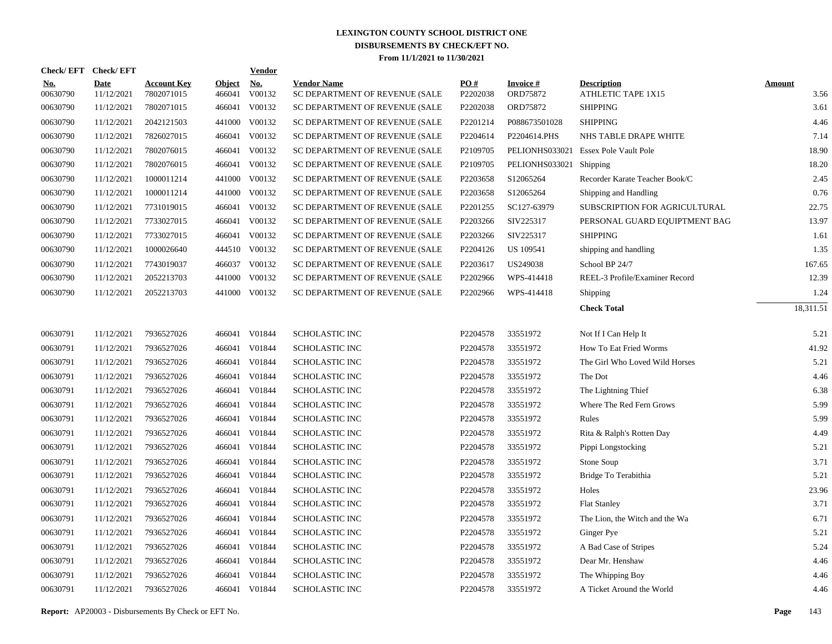| <b>Check/EFT</b>       | <b>Check/EFT</b>          |                                  |                         | <b>Vendor</b>        |                                                      |                 |                             |                                          |                       |
|------------------------|---------------------------|----------------------------------|-------------------------|----------------------|------------------------------------------------------|-----------------|-----------------------------|------------------------------------------|-----------------------|
| <b>No.</b><br>00630790 | <b>Date</b><br>11/12/2021 | <b>Account Key</b><br>7802071015 | <b>Object</b><br>466041 | <u>No.</u><br>V00132 | <b>Vendor Name</b><br>SC DEPARTMENT OF REVENUE (SALE | PO#<br>P2202038 | <b>Invoice#</b><br>ORD75872 | <b>Description</b><br>ATHLETIC TAPE 1X15 | <b>Amount</b><br>3.56 |
| 00630790               | 11/12/2021                | 7802071015                       | 466041                  | V00132               | SC DEPARTMENT OF REVENUE (SALE                       | P2202038        | ORD75872                    | <b>SHIPPING</b>                          | 3.61                  |
| 00630790               | 11/12/2021                | 2042121503                       | 441000                  | V00132               | SC DEPARTMENT OF REVENUE (SALE                       | P2201214        | P088673501028               | <b>SHIPPING</b>                          | 4.46                  |
| 00630790               | 11/12/2021                | 7826027015                       |                         | 466041 V00132        | SC DEPARTMENT OF REVENUE (SALE                       | P2204614        | P2204614.PHS                | NHS TABLE DRAPE WHITE                    | 7.14                  |
| 00630790               | 11/12/2021                | 7802076015                       |                         | 466041 V00132        | SC DEPARTMENT OF REVENUE (SALE                       | P2109705        | PELIONHS033021              | <b>Essex Pole Vault Pole</b>             | 18.90                 |
| 00630790               | 11/12/2021                | 7802076015                       |                         | 466041 V00132        | SC DEPARTMENT OF REVENUE (SALE                       | P2109705        | PELIONHS033021              | Shipping                                 | 18.20                 |
| 00630790               | 11/12/2021                | 1000011214                       |                         | 441000 V00132        | SC DEPARTMENT OF REVENUE (SALE                       | P2203658        | S12065264                   | Recorder Karate Teacher Book/C           | 2.45                  |
| 00630790               | 11/12/2021                | 1000011214                       |                         | 441000 V00132        | SC DEPARTMENT OF REVENUE (SALE                       | P2203658        | S12065264                   | Shipping and Handling                    | 0.76                  |
| 00630790               | 11/12/2021                | 7731019015                       |                         | 466041 V00132        | SC DEPARTMENT OF REVENUE (SALE                       | P2201255        | SC127-63979                 | SUBSCRIPTION FOR AGRICULTURAL            | 22.75                 |
| 00630790               | 11/12/2021                | 7733027015                       |                         | 466041 V00132        | SC DEPARTMENT OF REVENUE (SALE                       | P2203266        | SIV225317                   | PERSONAL GUARD EQUIPTMENT BAG            | 13.97                 |
| 00630790               | 11/12/2021                | 7733027015                       |                         | 466041 V00132        | SC DEPARTMENT OF REVENUE (SALE                       | P2203266        | SIV225317                   | <b>SHIPPING</b>                          | 1.61                  |
| 00630790               | 11/12/2021                | 1000026640                       |                         | 444510 V00132        | SC DEPARTMENT OF REVENUE (SALE                       | P2204126        | <b>US 109541</b>            | shipping and handling                    | 1.35                  |
| 00630790               | 11/12/2021                | 7743019037                       |                         | 466037 V00132        | SC DEPARTMENT OF REVENUE (SALE                       | P2203617        | US249038                    | School BP 24/7                           | 167.65                |
| 00630790               | 11/12/2021                | 2052213703                       |                         | 441000 V00132        | SC DEPARTMENT OF REVENUE (SALE                       | P2202966        | WPS-414418                  | REEL-3 Profile/Examiner Record           | 12.39                 |
| 00630790               | 11/12/2021                | 2052213703                       |                         | 441000 V00132        | SC DEPARTMENT OF REVENUE (SALE                       | P2202966        | WPS-414418                  | <b>Shipping</b>                          | 1.24                  |
|                        |                           |                                  |                         |                      |                                                      |                 |                             | <b>Check Total</b>                       | 18,311.51             |
|                        |                           |                                  |                         |                      |                                                      |                 |                             |                                          |                       |
| 00630791               | 11/12/2021                | 7936527026                       |                         | 466041 V01844        | <b>SCHOLASTIC INC</b>                                | P2204578        | 33551972                    | Not If I Can Help It                     | 5.21                  |
| 00630791               | 11/12/2021                | 7936527026                       |                         | 466041 V01844        | SCHOLASTIC INC                                       | P2204578        | 33551972                    | How To Eat Fried Worms                   | 41.92                 |
| 00630791               | 11/12/2021                | 7936527026                       |                         | 466041 V01844        | SCHOLASTIC INC                                       | P2204578        | 33551972                    | The Girl Who Loved Wild Horses           | 5.21                  |
| 00630791               | 11/12/2021                | 7936527026                       |                         | 466041 V01844        | SCHOLASTIC INC                                       | P2204578        | 33551972                    | The Dot                                  | 4.46                  |
| 00630791               | 11/12/2021                | 7936527026                       |                         | 466041 V01844        | <b>SCHOLASTIC INC</b>                                | P2204578        | 33551972                    | The Lightning Thief                      | 6.38                  |
| 00630791               | 11/12/2021                | 7936527026                       |                         | 466041 V01844        | SCHOLASTIC INC                                       | P2204578        | 33551972                    | Where The Red Fern Grows                 | 5.99                  |
| 00630791               | 11/12/2021                | 7936527026                       |                         | 466041 V01844        | <b>SCHOLASTIC INC</b>                                | P2204578        | 33551972                    | Rules                                    | 5.99                  |
| 00630791               | 11/12/2021                | 7936527026                       |                         | 466041 V01844        | <b>SCHOLASTIC INC</b>                                | P2204578        | 33551972                    | Rita & Ralph's Rotten Day                | 4.49                  |
| 00630791               | 11/12/2021                | 7936527026                       |                         | 466041 V01844        | <b>SCHOLASTIC INC</b>                                | P2204578        | 33551972                    | Pippi Longstocking                       | 5.21                  |
| 00630791               | 11/12/2021                | 7936527026                       |                         | 466041 V01844        | SCHOLASTIC INC                                       | P2204578        | 33551972                    | Stone Soup                               | 3.71                  |
| 00630791               | 11/12/2021                | 7936527026                       |                         | 466041 V01844        | <b>SCHOLASTIC INC</b>                                | P2204578        | 33551972                    | Bridge To Terabithia                     | 5.21                  |
| 00630791               | 11/12/2021                | 7936527026                       |                         | 466041 V01844        | SCHOLASTIC INC                                       | P2204578        | 33551972                    | Holes                                    | 23.96                 |
| 00630791               | 11/12/2021                | 7936527026                       |                         | 466041 V01844        | SCHOLASTIC INC                                       | P2204578        | 33551972                    | <b>Flat Stanley</b>                      | 3.71                  |
| 00630791               | 11/12/2021                | 7936527026                       |                         | 466041 V01844        | SCHOLASTIC INC                                       | P2204578        | 33551972                    | The Lion, the Witch and the Wa           | 6.71                  |
| 00630791               | 11/12/2021                | 7936527026                       |                         | 466041 V01844        | <b>SCHOLASTIC INC</b>                                | P2204578        | 33551972                    | Ginger Pye                               | 5.21                  |
| 00630791               | 11/12/2021                | 7936527026                       |                         | 466041 V01844        | <b>SCHOLASTIC INC</b>                                | P2204578        | 33551972                    | A Bad Case of Stripes                    | 5.24                  |
| 00630791               | 11/12/2021                | 7936527026                       |                         | 466041 V01844        | <b>SCHOLASTIC INC</b>                                | P2204578        | 33551972                    | Dear Mr. Henshaw                         | 4.46                  |
| 00630791               | 11/12/2021                | 7936527026                       | 466041                  | V01844               | <b>SCHOLASTIC INC</b>                                | P2204578        | 33551972                    | The Whipping Boy                         | 4.46                  |
| 00630791               | 11/12/2021                | 7936527026                       |                         | 466041 V01844        | <b>SCHOLASTIC INC</b>                                | P2204578        | 33551972                    | A Ticket Around the World                | 4.46                  |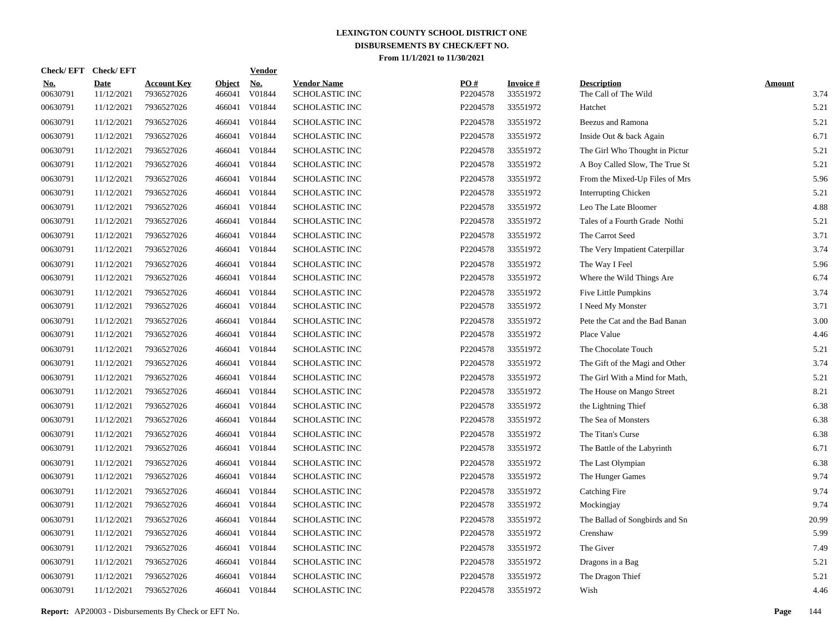| <b>Check/EFT</b>       | <b>Check/EFT</b>          |                                  |                         | <b>Vendor</b>        |                                             |                 |                             |                                            |                       |
|------------------------|---------------------------|----------------------------------|-------------------------|----------------------|---------------------------------------------|-----------------|-----------------------------|--------------------------------------------|-----------------------|
| <u>No.</u><br>00630791 | <b>Date</b><br>11/12/2021 | <b>Account Key</b><br>7936527026 | <b>Object</b><br>466041 | <u>No.</u><br>V01844 | <b>Vendor Name</b><br><b>SCHOLASTIC INC</b> | PO#<br>P2204578 | <b>Invoice#</b><br>33551972 | <b>Description</b><br>The Call of The Wild | <b>Amount</b><br>3.74 |
| 00630791               | 11/12/2021                | 7936527026                       | 466041                  | V01844               | <b>SCHOLASTIC INC</b>                       | P2204578        | 33551972                    | Hatchet                                    | 5.21                  |
| 00630791               | 11/12/2021                | 7936527026                       | 466041                  | V01844               | <b>SCHOLASTIC INC</b>                       | P2204578        | 33551972                    | Beezus and Ramona                          | 5.21                  |
| 00630791               | 11/12/2021                | 7936527026                       | 466041                  | V01844               | <b>SCHOLASTIC INC</b>                       | P2204578        | 33551972                    | Inside Out & back Again                    | 6.71                  |
| 00630791               | 11/12/2021                | 7936527026                       | 466041                  | V01844               | <b>SCHOLASTIC INC</b>                       | P2204578        | 33551972                    | The Girl Who Thought in Pictur             | 5.21                  |
| 00630791               | 11/12/2021                | 7936527026                       | 466041                  | V01844               | <b>SCHOLASTIC INC</b>                       | P2204578        | 33551972                    | A Boy Called Slow, The True St             | 5.21                  |
| 00630791               | 11/12/2021                | 7936527026                       | 466041                  | V01844               | <b>SCHOLASTIC INC</b>                       | P2204578        | 33551972                    | From the Mixed-Up Files of Mrs             | 5.96                  |
| 00630791               | 11/12/2021                | 7936527026                       | 466041                  | V01844               | <b>SCHOLASTIC INC</b>                       | P2204578        | 33551972                    | <b>Interrupting Chicken</b>                | 5.21                  |
| 00630791               | 11/12/2021                | 7936527026                       | 466041                  | V01844               | <b>SCHOLASTIC INC</b>                       | P2204578        | 33551972                    | Leo The Late Bloomer                       | 4.88                  |
| 00630791               | 11/12/2021                | 7936527026                       | 466041                  | V01844               | <b>SCHOLASTIC INC</b>                       | P2204578        | 33551972                    | Tales of a Fourth Grade Nothi              | 5.21                  |
| 00630791               | 11/12/2021                | 7936527026                       | 466041                  | V01844               | <b>SCHOLASTIC INC</b>                       | P2204578        | 33551972                    | The Carrot Seed                            | 3.71                  |
| 00630791               | 11/12/2021                | 7936527026                       | 466041                  | V01844               | <b>SCHOLASTIC INC</b>                       | P2204578        | 33551972                    | The Very Impatient Caterpillar             | 3.74                  |
| 00630791               | 11/12/2021                | 7936527026                       | 466041                  | V01844               | <b>SCHOLASTIC INC</b>                       | P2204578        | 33551972                    | The Way I Feel                             | 5.96                  |
| 00630791               | 11/12/2021                | 7936527026                       | 466041                  | V01844               | <b>SCHOLASTIC INC</b>                       | P2204578        | 33551972                    | Where the Wild Things Are                  | 6.74                  |
| 00630791               | 11/12/2021                | 7936527026                       | 466041                  | V01844               | <b>SCHOLASTIC INC</b>                       | P2204578        | 33551972                    | Five Little Pumpkins                       | 3.74                  |
| 00630791               | 11/12/2021                | 7936527026                       | 466041                  | V01844               | <b>SCHOLASTIC INC</b>                       | P2204578        | 33551972                    | I Need My Monster                          | 3.71                  |
| 00630791               | 11/12/2021                | 7936527026                       | 466041                  | V01844               | <b>SCHOLASTIC INC</b>                       | P2204578        | 33551972                    | Pete the Cat and the Bad Banan             | 3.00                  |
| 00630791               | 11/12/2021                | 7936527026                       | 466041                  | V01844               | <b>SCHOLASTIC INC</b>                       | P2204578        | 33551972                    | Place Value                                | 4.46                  |
| 00630791               | 11/12/2021                | 7936527026                       | 466041                  | V01844               | <b>SCHOLASTIC INC</b>                       | P2204578        | 33551972                    | The Chocolate Touch                        | 5.21                  |
| 00630791               | 11/12/2021                | 7936527026                       | 466041                  | V01844               | <b>SCHOLASTIC INC</b>                       | P2204578        | 33551972                    | The Gift of the Magi and Other             | 3.74                  |
| 00630791               | 11/12/2021                | 7936527026                       | 466041                  | V01844               | SCHOLASTIC INC                              | P2204578        | 33551972                    | The Girl With a Mind for Math,             | 5.21                  |
| 00630791               | 11/12/2021                | 7936527026                       | 466041                  | V01844               | <b>SCHOLASTIC INC</b>                       | P2204578        | 33551972                    | The House on Mango Street                  | 8.21                  |
| 00630791               | 11/12/2021                | 7936527026                       | 466041                  | V01844               | SCHOLASTIC INC                              | P2204578        | 33551972                    | the Lightning Thief                        | 6.38                  |
| 00630791               | 11/12/2021                | 7936527026                       | 466041                  | V01844               | <b>SCHOLASTIC INC</b>                       | P2204578        | 33551972                    | The Sea of Monsters                        | 6.38                  |
| 00630791               | 11/12/2021                | 7936527026                       | 466041                  | V01844               | SCHOLASTIC INC                              | P2204578        | 33551972                    | The Titan's Curse                          | 6.38                  |
| 00630791               | 11/12/2021                | 7936527026                       | 466041                  | V01844               | <b>SCHOLASTIC INC</b>                       | P2204578        | 33551972                    | The Battle of the Labyrinth                | 6.71                  |
| 00630791               | 11/12/2021                | 7936527026                       | 466041                  | V01844               | <b>SCHOLASTIC INC</b>                       | P2204578        | 33551972                    | The Last Olympian                          | 6.38                  |
| 00630791               | 11/12/2021                | 7936527026                       | 466041                  | V01844               | SCHOLASTIC INC                              | P2204578        | 33551972                    | The Hunger Games                           | 9.74                  |
| 00630791               | 11/12/2021                | 7936527026                       | 466041                  | V01844               | <b>SCHOLASTIC INC</b>                       | P2204578        | 33551972                    | <b>Catching Fire</b>                       | 9.74                  |
| 00630791               | 11/12/2021                | 7936527026                       | 466041                  | V01844               | SCHOLASTIC INC                              | P2204578        | 33551972                    | Mockingjay                                 | 9.74                  |
| 00630791               | 11/12/2021                | 7936527026                       | 466041                  | V01844               | <b>SCHOLASTIC INC</b>                       | P2204578        | 33551972                    | The Ballad of Songbirds and Sn             | 20.99                 |
| 00630791               | 11/12/2021                | 7936527026                       | 466041                  | V01844               | SCHOLASTIC INC                              | P2204578        | 33551972                    | Crenshaw                                   | 5.99                  |
| 00630791               | 11/12/2021                | 7936527026                       | 466041                  | V01844               | SCHOLASTIC INC                              | P2204578        | 33551972                    | The Giver                                  | 7.49                  |
| 00630791               | 11/12/2021                | 7936527026                       | 466041                  | V01844               | SCHOLASTIC INC                              | P2204578        | 33551972                    | Dragons in a Bag                           | 5.21                  |
| 00630791               | 11/12/2021                | 7936527026                       | 466041                  | V01844               | SCHOLASTIC INC                              | P2204578        | 33551972                    | The Dragon Thief                           | 5.21                  |
| 00630791               | 11/12/2021                | 7936527026                       |                         | 466041 V01844        | <b>SCHOLASTIC INC</b>                       | P2204578        | 33551972                    | Wish                                       | 4.46                  |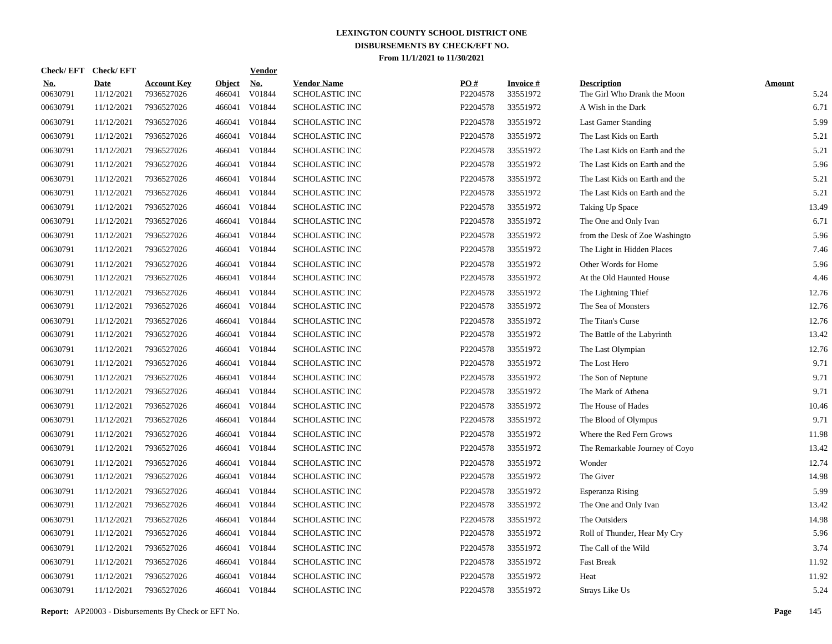| <b>Check/EFT</b>       | <b>Check/EFT</b>          |                                  |                         | <b>Vendor</b>        |                                             |                 |                             |                                                   |                       |
|------------------------|---------------------------|----------------------------------|-------------------------|----------------------|---------------------------------------------|-----------------|-----------------------------|---------------------------------------------------|-----------------------|
| <u>No.</u><br>00630791 | <b>Date</b><br>11/12/2021 | <b>Account Key</b><br>7936527026 | <b>Object</b><br>466041 | <u>No.</u><br>V01844 | <b>Vendor Name</b><br><b>SCHOLASTIC INC</b> | PO#<br>P2204578 | <b>Invoice#</b><br>33551972 | <b>Description</b><br>The Girl Who Drank the Moon | <b>Amount</b><br>5.24 |
| 00630791               | 11/12/2021                | 7936527026                       | 466041                  | V01844               | <b>SCHOLASTIC INC</b>                       | P2204578        | 33551972                    | A Wish in the Dark                                | 6.71                  |
| 00630791               | 11/12/2021                | 7936527026                       | 466041                  | V01844               | <b>SCHOLASTIC INC</b>                       | P2204578        | 33551972                    | <b>Last Gamer Standing</b>                        | 5.99                  |
| 00630791               | 11/12/2021                | 7936527026                       | 466041                  | V01844               | <b>SCHOLASTIC INC</b>                       | P2204578        | 33551972                    | The Last Kids on Earth                            | 5.21                  |
| 00630791               | 11/12/2021                | 7936527026                       | 466041                  | V01844               | <b>SCHOLASTIC INC</b>                       | P2204578        | 33551972                    | The Last Kids on Earth and the                    | 5.21                  |
| 00630791               | 11/12/2021                | 7936527026                       | 466041                  | V01844               | <b>SCHOLASTIC INC</b>                       | P2204578        | 33551972                    | The Last Kids on Earth and the                    | 5.96                  |
| 00630791               | 11/12/2021                | 7936527026                       | 466041                  | V01844               | <b>SCHOLASTIC INC</b>                       | P2204578        | 33551972                    | The Last Kids on Earth and the                    | 5.21                  |
| 00630791               | 11/12/2021                | 7936527026                       | 466041                  | V01844               | <b>SCHOLASTIC INC</b>                       | P2204578        | 33551972                    | The Last Kids on Earth and the                    | 5.21                  |
| 00630791               | 11/12/2021                | 7936527026                       | 466041                  | V01844               | <b>SCHOLASTIC INC</b>                       | P2204578        | 33551972                    | Taking Up Space                                   | 13.49                 |
| 00630791               | 11/12/2021                | 7936527026                       | 466041                  | V01844               | <b>SCHOLASTIC INC</b>                       | P2204578        | 33551972                    | The One and Only Ivan                             | 6.71                  |
| 00630791               | 11/12/2021                | 7936527026                       | 466041                  | V01844               | <b>SCHOLASTIC INC</b>                       | P2204578        | 33551972                    | from the Desk of Zoe Washingto                    | 5.96                  |
| 00630791               | 11/12/2021                | 7936527026                       | 466041                  | V01844               | <b>SCHOLASTIC INC</b>                       | P2204578        | 33551972                    | The Light in Hidden Places                        | 7.46                  |
| 00630791               | 11/12/2021                | 7936527026                       | 466041                  | V01844               | <b>SCHOLASTIC INC</b>                       | P2204578        | 33551972                    | Other Words for Home                              | 5.96                  |
| 00630791               | 11/12/2021                | 7936527026                       | 466041                  | V01844               | <b>SCHOLASTIC INC</b>                       | P2204578        | 33551972                    | At the Old Haunted House                          | 4.46                  |
| 00630791               | 11/12/2021                | 7936527026                       | 466041                  | V01844               | <b>SCHOLASTIC INC</b>                       | P2204578        | 33551972                    | The Lightning Thief                               | 12.76                 |
| 00630791               | 11/12/2021                | 7936527026                       | 466041                  | V01844               | <b>SCHOLASTIC INC</b>                       | P2204578        | 33551972                    | The Sea of Monsters                               | 12.76                 |
| 00630791               | 11/12/2021                | 7936527026                       | 466041                  | V01844               | <b>SCHOLASTIC INC</b>                       | P2204578        | 33551972                    | The Titan's Curse                                 | 12.76                 |
| 00630791               | 11/12/2021                | 7936527026                       | 466041                  | V01844               | <b>SCHOLASTIC INC</b>                       | P2204578        | 33551972                    | The Battle of the Labyrinth                       | 13.42                 |
| 00630791               | 11/12/2021                | 7936527026                       | 466041                  | V01844               | <b>SCHOLASTIC INC</b>                       | P2204578        | 33551972                    | The Last Olympian                                 | 12.76                 |
| 00630791               | 11/12/2021                | 7936527026                       | 466041                  | V01844               | <b>SCHOLASTIC INC</b>                       | P2204578        | 33551972                    | The Lost Hero                                     | 9.71                  |
| 00630791               | 11/12/2021                | 7936527026                       | 466041                  | V01844               | <b>SCHOLASTIC INC</b>                       | P2204578        | 33551972                    | The Son of Neptune                                | 9.71                  |
| 00630791               | 11/12/2021                | 7936527026                       | 466041                  | V01844               | <b>SCHOLASTIC INC</b>                       | P2204578        | 33551972                    | The Mark of Athena                                | 9.71                  |
| 00630791               | 11/12/2021                | 7936527026                       | 466041                  | V01844               | <b>SCHOLASTIC INC</b>                       | P2204578        | 33551972                    | The House of Hades                                | 10.46                 |
| 00630791               | 11/12/2021                | 7936527026                       | 466041                  | V01844               | <b>SCHOLASTIC INC</b>                       | P2204578        | 33551972                    | The Blood of Olympus                              | 9.71                  |
| 00630791               | 11/12/2021                | 7936527026                       | 466041                  | V01844               | <b>SCHOLASTIC INC</b>                       | P2204578        | 33551972                    | Where the Red Fern Grows                          | 11.98                 |
| 00630791               | 11/12/2021                | 7936527026                       | 466041                  | V01844               | <b>SCHOLASTIC INC</b>                       | P2204578        | 33551972                    | The Remarkable Journey of Coyo                    | 13.42                 |
| 00630791               | 11/12/2021                | 7936527026                       | 466041                  | V01844               | <b>SCHOLASTIC INC</b>                       | P2204578        | 33551972                    | Wonder                                            | 12.74                 |
| 00630791               | 11/12/2021                | 7936527026                       | 466041                  | V01844               | <b>SCHOLASTIC INC</b>                       | P2204578        | 33551972                    | The Giver                                         | 14.98                 |
| 00630791               | 11/12/2021                | 7936527026                       | 466041                  | V01844               | <b>SCHOLASTIC INC</b>                       | P2204578        | 33551972                    | <b>Esperanza Rising</b>                           | 5.99                  |
| 00630791               | 11/12/2021                | 7936527026                       | 466041                  | V01844               | <b>SCHOLASTIC INC</b>                       | P2204578        | 33551972                    | The One and Only Ivan                             | 13.42                 |
| 00630791               | 11/12/2021                | 7936527026                       | 466041                  | V01844               | <b>SCHOLASTIC INC</b>                       | P2204578        | 33551972                    | The Outsiders                                     | 14.98                 |
| 00630791               | 11/12/2021                | 7936527026                       | 466041                  | V01844               | <b>SCHOLASTIC INC</b>                       | P2204578        | 33551972                    | Roll of Thunder, Hear My Cry                      | 5.96                  |
| 00630791               | 11/12/2021                | 7936527026                       | 466041                  | V01844               | <b>SCHOLASTIC INC</b>                       | P2204578        | 33551972                    | The Call of the Wild                              | 3.74                  |
| 00630791               | 11/12/2021                | 7936527026                       | 466041                  | V01844               | SCHOLASTIC INC                              | P2204578        | 33551972                    | <b>Fast Break</b>                                 | 11.92                 |
| 00630791               | 11/12/2021                | 7936527026                       | 466041                  | V01844               | <b>SCHOLASTIC INC</b>                       | P2204578        | 33551972                    | Heat                                              | 11.92                 |
| 00630791               | 11/12/2021                | 7936527026                       |                         | 466041 V01844        | <b>SCHOLASTIC INC</b>                       | P2204578        | 33551972                    | Strays Like Us                                    | 5.24                  |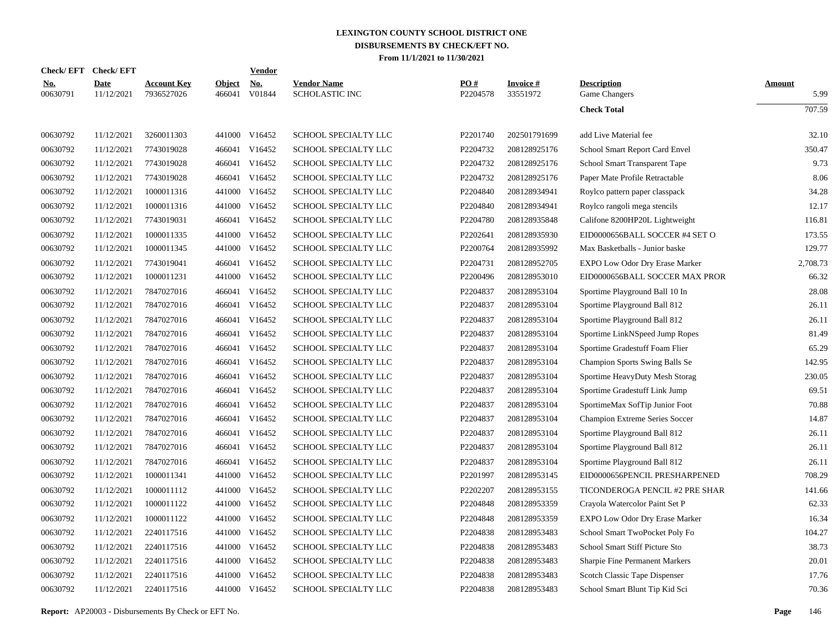|                        | Check/EFT Check/EFT       |                                  |                      | Vendor        |                                             |                 |                             |                                       |                       |
|------------------------|---------------------------|----------------------------------|----------------------|---------------|---------------------------------------------|-----------------|-----------------------------|---------------------------------------|-----------------------|
| <u>No.</u><br>00630791 | <b>Date</b><br>11/12/2021 | <b>Account Key</b><br>7936527026 | Object No.<br>466041 | V01844        | <b>Vendor Name</b><br><b>SCHOLASTIC INC</b> | PQ#<br>P2204578 | <b>Invoice#</b><br>33551972 | <b>Description</b><br>Game Changers   | <b>Amount</b><br>5.99 |
|                        |                           |                                  |                      |               |                                             |                 |                             | <b>Check Total</b>                    | 707.59                |
| 00630792               | 11/12/2021                | 3260011303                       |                      | 441000 V16452 | <b>SCHOOL SPECIALTY LLC</b>                 | P2201740        | 202501791699                | add Live Material fee                 | 32.10                 |
| 00630792               | 11/12/2021                | 7743019028                       | 466041               | V16452        | SCHOOL SPECIALTY LLC                        | P2204732        | 208128925176                | School Smart Report Card Envel        | 350.47                |
| 00630792               | 11/12/2021                | 7743019028                       |                      | 466041 V16452 | SCHOOL SPECIALTY LLC                        | P2204732        | 208128925176                | School Smart Transparent Tape         | 9.73                  |
| 00630792               | 11/12/2021                | 7743019028                       | 466041               | V16452        | SCHOOL SPECIALTY LLC                        | P2204732        | 208128925176                | Paper Mate Profile Retractable        | 8.06                  |
| 00630792               | 11/12/2021                | 1000011316                       |                      | 441000 V16452 | SCHOOL SPECIALTY LLC                        | P2204840        | 208128934941                | Roylco pattern paper classpack        | 34.28                 |
| 00630792               | 11/12/2021                | 1000011316                       | 441000               | V16452        | SCHOOL SPECIALTY LLC                        | P2204840        | 208128934941                | Roylco rangoli mega stencils          | 12.17                 |
| 00630792               | 11/12/2021                | 7743019031                       |                      | 466041 V16452 | SCHOOL SPECIALTY LLC                        | P2204780        | 208128935848                | Califone 8200HP20L Lightweight        | 116.81                |
| 00630792               | 11/12/2021                | 1000011335                       | 441000               | V16452        | SCHOOL SPECIALTY LLC                        | P2202641        | 208128935930                | EID0000656BALL SOCCER #4 SET O        | 173.55                |
| 00630792               | 11/12/2021                | 1000011345                       |                      | 441000 V16452 | SCHOOL SPECIALTY LLC                        | P2200764        | 208128935992                | Max Basketballs - Junior baske        | 129.77                |
| 00630792               | 11/12/2021                | 7743019041                       | 466041               | V16452        | SCHOOL SPECIALTY LLC                        | P2204731        | 208128952705                | <b>EXPO Low Odor Dry Erase Marker</b> | 2,708.73              |
| 00630792               | 11/12/2021                | 1000011231                       |                      | 441000 V16452 | SCHOOL SPECIALTY LLC                        | P2200496        | 208128953010                | EID0000656BALL SOCCER MAX PROR        | 66.32                 |
| 00630792               | 11/12/2021                | 7847027016                       | 466041               | V16452        | SCHOOL SPECIALTY LLC                        | P2204837        | 208128953104                | Sportime Playground Ball 10 In        | 28.08                 |
| 00630792               | 11/12/2021                | 7847027016                       |                      | 466041 V16452 | SCHOOL SPECIALTY LLC                        | P2204837        | 208128953104                | Sportime Playground Ball 812          | 26.11                 |
| 00630792               | 11/12/2021                | 7847027016                       | 466041               | V16452        | SCHOOL SPECIALTY LLC                        | P2204837        | 208128953104                | Sportime Playground Ball 812          | 26.11                 |
| 00630792               | 11/12/2021                | 7847027016                       |                      | 466041 V16452 | SCHOOL SPECIALTY LLC                        | P2204837        | 208128953104                | Sportime LinkNSpeed Jump Ropes        | 81.49                 |
| 00630792               | 11/12/2021                | 7847027016                       | 466041               | V16452        | SCHOOL SPECIALTY LLC                        | P2204837        | 208128953104                | Sportime Gradestuff Foam Flier        | 65.29                 |
| 00630792               | 11/12/2021                | 7847027016                       |                      | 466041 V16452 | SCHOOL SPECIALTY LLC                        | P2204837        | 208128953104                | Champion Sports Swing Balls Se        | 142.95                |
| 00630792               | 11/12/2021                | 7847027016                       | 466041               | V16452        | SCHOOL SPECIALTY LLC                        | P2204837        | 208128953104                | Sportime HeavyDuty Mesh Storag        | 230.05                |
| 00630792               | 11/12/2021                | 7847027016                       |                      | 466041 V16452 | SCHOOL SPECIALTY LLC                        | P2204837        | 208128953104                | Sportime Gradestuff Link Jump         | 69.51                 |
| 00630792               | 11/12/2021                | 7847027016                       | 466041               | V16452        | <b>SCHOOL SPECIALTY LLC</b>                 | P2204837        | 208128953104                | SportimeMax SofTip Junior Foot        | 70.88                 |
| 00630792               | 11/12/2021                | 7847027016                       |                      | 466041 V16452 | SCHOOL SPECIALTY LLC                        | P2204837        | 208128953104                | Champion Extreme Series Soccer        | 14.87                 |
| 00630792               | 11/12/2021                | 7847027016                       | 466041               | V16452        | SCHOOL SPECIALTY LLC                        | P2204837        | 208128953104                | Sportime Playground Ball 812          | 26.11                 |
| 00630792               | 11/12/2021                | 7847027016                       |                      | 466041 V16452 | SCHOOL SPECIALTY LLC                        | P2204837        | 208128953104                | Sportime Playground Ball 812          | 26.11                 |
| 00630792               | 11/12/2021                | 7847027016                       | 466041               | V16452        | SCHOOL SPECIALTY LLC                        | P2204837        | 208128953104                | Sportime Playground Ball 812          | 26.11                 |
| 00630792               | 11/12/2021                | 1000011341                       |                      | 441000 V16452 | SCHOOL SPECIALTY LLC                        | P2201997        | 208128953145                | EID0000656PENCIL PRESHARPENED         | 708.29                |
| 00630792               | 11/12/2021                | 1000011112                       | 441000               | V16452        | SCHOOL SPECIALTY LLC                        | P2202207        | 208128953155                | TICONDEROGA PENCIL #2 PRE SHAR        | 141.66                |
| 00630792               | 11/12/2021                | 1000011122                       |                      | 441000 V16452 | SCHOOL SPECIALTY LLC                        | P2204848        | 208128953359                | Crayola Watercolor Paint Set P        | 62.33                 |
| 00630792               | 11/12/2021                | 1000011122                       | 441000               | V16452        | SCHOOL SPECIALTY LLC                        | P2204848        | 208128953359                | EXPO Low Odor Dry Erase Marker        | 16.34                 |
| 00630792               | 11/12/2021                | 2240117516                       |                      | 441000 V16452 | SCHOOL SPECIALTY LLC                        | P2204838        | 208128953483                | School Smart TwoPocket Poly Fo        | 104.27                |
| 00630792               | 11/12/2021                | 2240117516                       | 441000               | V16452        | SCHOOL SPECIALTY LLC                        | P2204838        | 208128953483                | School Smart Stiff Picture Sto        | 38.73                 |
| 00630792               | 11/12/2021                | 2240117516                       | 441000               | V16452        | SCHOOL SPECIALTY LLC                        | P2204838        | 208128953483                | Sharpie Fine Permanent Markers        | 20.01                 |
| 00630792               | 11/12/2021                | 2240117516                       | 441000               | V16452        | SCHOOL SPECIALTY LLC                        | P2204838        | 208128953483                | Scotch Classic Tape Dispenser         | 17.76                 |
| 00630792               | 11/12/2021                | 2240117516                       |                      | 441000 V16452 | SCHOOL SPECIALTY LLC                        | P2204838        | 208128953483                | School Smart Blunt Tip Kid Sci        | 70.36                 |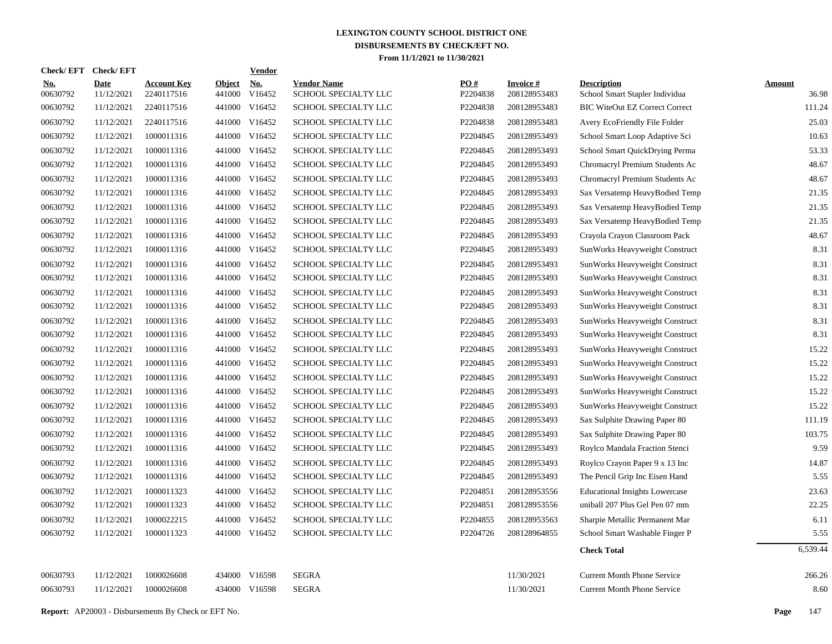| Check/EFT Check/EFT    |                           |                                  |                         | <b>Vendor</b>        |                                            |                 |                                 |                                                      |                        |
|------------------------|---------------------------|----------------------------------|-------------------------|----------------------|--------------------------------------------|-----------------|---------------------------------|------------------------------------------------------|------------------------|
| <b>No.</b><br>00630792 | <b>Date</b><br>11/12/2021 | <b>Account Key</b><br>2240117516 | <b>Object</b><br>441000 | <b>No.</b><br>V16452 | <b>Vendor Name</b><br>SCHOOL SPECIALTY LLC | PO#<br>P2204838 | <b>Invoice#</b><br>208128953483 | <b>Description</b><br>School Smart Stapler Individua | <b>Amount</b><br>36.98 |
| 00630792               | 11/12/2021                | 2240117516                       | 441000                  | V16452               | SCHOOL SPECIALTY LLC                       | P2204838        | 208128953483                    | <b>BIC WiteOut EZ Correct Correct</b>                | 111.24                 |
| 00630792               | 11/12/2021                | 2240117516                       | 441000                  | V16452               | SCHOOL SPECIALTY LLC                       | P2204838        | 208128953483                    | Avery EcoFriendly File Folder                        | 25.03                  |
| 00630792               | 11/12/2021                | 1000011316                       | 441000                  | V16452               | SCHOOL SPECIALTY LLC                       | P2204845        | 208128953493                    | School Smart Loop Adaptive Sci                       | 10.63                  |
| 00630792               | 11/12/2021                | 1000011316                       | 441000                  | V16452               | SCHOOL SPECIALTY LLC                       | P2204845        | 208128953493                    | School Smart QuickDrying Perma                       | 53.33                  |
| 00630792               | 11/12/2021                | 1000011316                       |                         | 441000 V16452        | SCHOOL SPECIALTY LLC                       | P2204845        | 208128953493                    | Chromacryl Premium Students Ac                       | 48.67                  |
| 00630792               | 11/12/2021                | 1000011316                       |                         | 441000 V16452        | SCHOOL SPECIALTY LLC                       | P2204845        | 208128953493                    | Chromacryl Premium Students Ac                       | 48.67                  |
| 00630792               | 11/12/2021                | 1000011316                       | 441000                  | V16452               | SCHOOL SPECIALTY LLC                       | P2204845        | 208128953493                    | Sax Versatemp HeavyBodied Temp                       | 21.35                  |
| 00630792               | 11/12/2021                | 1000011316                       | 441000                  | V16452               | SCHOOL SPECIALTY LLC                       | P2204845        | 208128953493                    | Sax Versatemp HeavyBodied Temp                       | 21.35                  |
| 00630792               | 11/12/2021                | 1000011316                       | 441000                  | V16452               | SCHOOL SPECIALTY LLC                       | P2204845        | 208128953493                    | Sax Versatemp HeavyBodied Temp                       | 21.35                  |
| 00630792               | 11/12/2021                | 1000011316                       | 441000                  | V16452               | <b>SCHOOL SPECIALTY LLC</b>                | P2204845        | 208128953493                    | Crayola Crayon Classroom Pack                        | 48.67                  |
| 00630792               | 11/12/2021                | 1000011316                       | 441000                  | V16452               | SCHOOL SPECIALTY LLC                       | P2204845        | 208128953493                    | SunWorks Heavyweight Construct                       | 8.31                   |
| 00630792               | 11/12/2021                | 1000011316                       | 441000                  | V16452               | SCHOOL SPECIALTY LLC                       | P2204845        | 208128953493                    | SunWorks Heavyweight Construct                       | 8.31                   |
| 00630792               | 11/12/2021                | 1000011316                       | 441000                  | V16452               | SCHOOL SPECIALTY LLC                       | P2204845        | 208128953493                    | SunWorks Heavyweight Construct                       | 8.31                   |
| 00630792               | 11/12/2021                | 1000011316                       | 441000                  | V16452               | SCHOOL SPECIALTY LLC                       | P2204845        | 208128953493                    | SunWorks Heavyweight Construct                       | 8.31                   |
| 00630792               | 11/12/2021                | 1000011316                       |                         | 441000 V16452        | SCHOOL SPECIALTY LLC                       | P2204845        | 208128953493                    | SunWorks Heavyweight Construct                       | 8.31                   |
| 00630792               | 11/12/2021                | 1000011316                       |                         | 441000 V16452        | SCHOOL SPECIALTY LLC                       | P2204845        | 208128953493                    | SunWorks Heavyweight Construct                       | 8.31                   |
| 00630792               | 11/12/2021                | 1000011316                       |                         | 441000 V16452        | SCHOOL SPECIALTY LLC                       | P2204845        | 208128953493                    | SunWorks Heavyweight Construct                       | 8.31                   |
| 00630792               | 11/12/2021                | 1000011316                       |                         | 441000 V16452        | SCHOOL SPECIALTY LLC                       | P2204845        | 208128953493                    | SunWorks Heavyweight Construct                       | 15.22                  |
| 00630792               | 11/12/2021                | 1000011316                       |                         | 441000 V16452        | SCHOOL SPECIALTY LLC                       | P2204845        | 208128953493                    | SunWorks Heavyweight Construct                       | 15.22                  |
| 00630792               | 11/12/2021                | 1000011316                       |                         | 441000 V16452        | SCHOOL SPECIALTY LLC                       | P2204845        | 208128953493                    | SunWorks Heavyweight Construct                       | 15.22                  |
| 00630792               | 11/12/2021                | 1000011316                       |                         | 441000 V16452        | SCHOOL SPECIALTY LLC                       | P2204845        | 208128953493                    | SunWorks Heavyweight Construct                       | 15.22                  |
| 00630792               | 11/12/2021                | 1000011316                       |                         | 441000 V16452        | SCHOOL SPECIALTY LLC                       | P2204845        | 208128953493                    | SunWorks Heavyweight Construct                       | 15.22                  |
| 00630792               | 11/12/2021                | 1000011316                       |                         | 441000 V16452        | SCHOOL SPECIALTY LLC                       | P2204845        | 208128953493                    | Sax Sulphite Drawing Paper 80                        | 111.19                 |
| 00630792               | 11/12/2021                | 1000011316                       |                         | 441000 V16452        | SCHOOL SPECIALTY LLC                       | P2204845        | 208128953493                    | Sax Sulphite Drawing Paper 80                        | 103.75                 |
| 00630792               | 11/12/2021                | 1000011316                       |                         | 441000 V16452        | SCHOOL SPECIALTY LLC                       | P2204845        | 208128953493                    | Roylco Mandala Fraction Stenci                       | 9.59                   |
| 00630792               | 11/12/2021                | 1000011316                       |                         | 441000 V16452        | SCHOOL SPECIALTY LLC                       | P2204845        | 208128953493                    | Roylco Crayon Paper 9 x 13 Inc                       | 14.87                  |
| 00630792               | 11/12/2021                | 1000011316                       |                         | 441000 V16452        | SCHOOL SPECIALTY LLC                       | P2204845        | 208128953493                    | The Pencil Grip Inc Eisen Hand                       | 5.55                   |
| 00630792               | 11/12/2021                | 1000011323                       |                         | 441000 V16452        | SCHOOL SPECIALTY LLC                       | P2204851        | 208128953556                    | <b>Educational Insights Lowercase</b>                | 23.63                  |
| 00630792               | 11/12/2021                | 1000011323                       |                         | 441000 V16452        | SCHOOL SPECIALTY LLC                       | P2204851        | 208128953556                    | uniball 207 Plus Gel Pen 07 mm                       | 22.25                  |
| 00630792               | 11/12/2021                | 1000022215                       |                         | 441000 V16452        | SCHOOL SPECIALTY LLC                       | P2204855        | 208128953563                    | Sharpie Metallic Permanent Mar                       | 6.11                   |
| 00630792               | 11/12/2021                | 1000011323                       |                         | 441000 V16452        | SCHOOL SPECIALTY LLC                       | P2204726        | 208128964855                    | School Smart Washable Finger P                       | 5.55                   |
|                        |                           |                                  |                         |                      |                                            |                 |                                 | <b>Check Total</b>                                   | 6,539.44               |
| 00630793               | 11/12/2021                | 1000026608                       |                         | 434000 V16598        | <b>SEGRA</b>                               |                 | 11/30/2021                      | <b>Current Month Phone Service</b>                   | 266.26                 |
| 00630793               | 11/12/2021                | 1000026608                       |                         | 434000 V16598        | <b>SEGRA</b>                               |                 | 11/30/2021                      | <b>Current Month Phone Service</b>                   | 8.60                   |
|                        |                           |                                  |                         |                      |                                            |                 |                                 |                                                      |                        |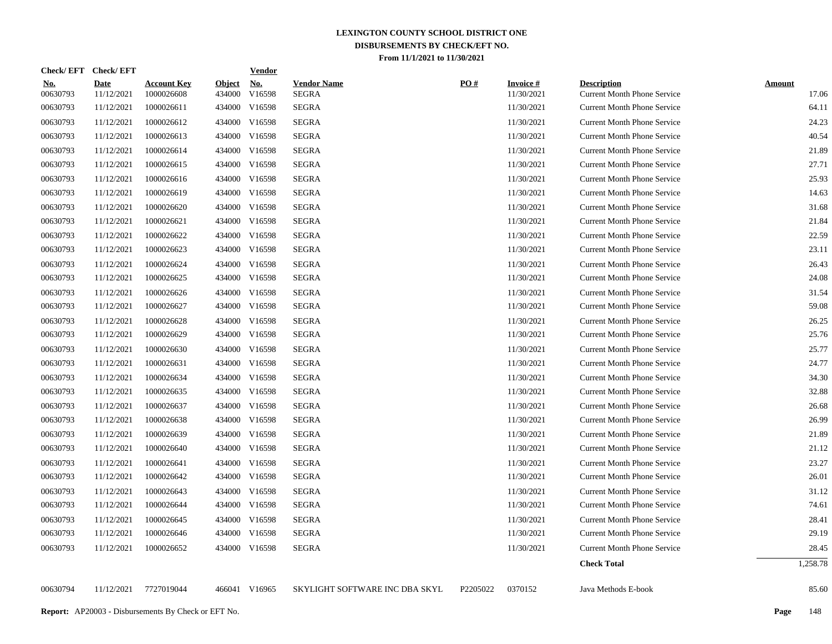| <b>Check/EFT</b>       | <b>Check/EFT</b>          |                                  |                         | <b>Vendor</b>        |                                |                   |                               |                                                          |                        |
|------------------------|---------------------------|----------------------------------|-------------------------|----------------------|--------------------------------|-------------------|-------------------------------|----------------------------------------------------------|------------------------|
| <u>No.</u><br>00630793 | <b>Date</b><br>11/12/2021 | <b>Account Key</b><br>1000026608 | <b>Object</b><br>434000 | <u>No.</u><br>V16598 | <b>Vendor Name</b><br>SEGRA    | $\underline{PO#}$ | <b>Invoice#</b><br>11/30/2021 | <b>Description</b><br><b>Current Month Phone Service</b> | <b>Amount</b><br>17.06 |
| 00630793               | 11/12/2021                | 1000026611                       | 434000                  | V16598               | <b>SEGRA</b>                   |                   | 11/30/2021                    | <b>Current Month Phone Service</b>                       | 64.11                  |
| 00630793               | 11/12/2021                | 1000026612                       | 434000                  | V16598               | <b>SEGRA</b>                   |                   | 11/30/2021                    | <b>Current Month Phone Service</b>                       | 24.23                  |
| 00630793               | 11/12/2021                | 1000026613                       |                         | 434000 V16598        | <b>SEGRA</b>                   |                   | 11/30/2021                    | <b>Current Month Phone Service</b>                       | 40.54                  |
| 00630793               | 11/12/2021                | 1000026614                       | 434000                  | V16598               | <b>SEGRA</b>                   |                   | 11/30/2021                    | <b>Current Month Phone Service</b>                       | 21.89                  |
| 00630793               | 11/12/2021                | 1000026615                       |                         | 434000 V16598        | <b>SEGRA</b>                   |                   | 11/30/2021                    | <b>Current Month Phone Service</b>                       | 27.71                  |
| 00630793               | 11/12/2021                | 1000026616                       |                         | 434000 V16598        | <b>SEGRA</b>                   |                   | 11/30/2021                    | <b>Current Month Phone Service</b>                       | 25.93                  |
| 00630793               | 11/12/2021                | 1000026619                       |                         | 434000 V16598        | SEGRA                          |                   | 11/30/2021                    | <b>Current Month Phone Service</b>                       | 14.63                  |
| 00630793               | 11/12/2021                | 1000026620                       |                         | 434000 V16598        | <b>SEGRA</b>                   |                   | 11/30/2021                    | <b>Current Month Phone Service</b>                       | 31.68                  |
| 00630793               | 11/12/2021                | 1000026621                       |                         | 434000 V16598        | <b>SEGRA</b>                   |                   | 11/30/2021                    | <b>Current Month Phone Service</b>                       | 21.84                  |
| 00630793               | 11/12/2021                | 1000026622                       |                         | 434000 V16598        | <b>SEGRA</b>                   |                   | 11/30/2021                    | <b>Current Month Phone Service</b>                       | 22.59                  |
| 00630793               | 11/12/2021                | 1000026623                       |                         | 434000 V16598        | <b>SEGRA</b>                   |                   | 11/30/2021                    | <b>Current Month Phone Service</b>                       | 23.11                  |
| 00630793               | 11/12/2021                | 1000026624                       |                         | 434000 V16598        | <b>SEGRA</b>                   |                   | 11/30/2021                    | <b>Current Month Phone Service</b>                       | 26.43                  |
| 00630793               | 11/12/2021                | 1000026625                       | 434000                  | V16598               | <b>SEGRA</b>                   |                   | 11/30/2021                    | <b>Current Month Phone Service</b>                       | 24.08                  |
| 00630793               | 11/12/2021                | 1000026626                       |                         | 434000 V16598        | <b>SEGRA</b>                   |                   | 11/30/2021                    | <b>Current Month Phone Service</b>                       | 31.54                  |
| 00630793               | 11/12/2021                | 1000026627                       |                         | 434000 V16598        | <b>SEGRA</b>                   |                   | 11/30/2021                    | <b>Current Month Phone Service</b>                       | 59.08                  |
| 00630793               | 11/12/2021                | 1000026628                       |                         | 434000 V16598        | <b>SEGRA</b>                   |                   | 11/30/2021                    | <b>Current Month Phone Service</b>                       | 26.25                  |
| 00630793               | 11/12/2021                | 1000026629                       |                         | 434000 V16598        | SEGRA                          |                   | 11/30/2021                    | <b>Current Month Phone Service</b>                       | 25.76                  |
| 00630793               | 11/12/2021                | 1000026630                       |                         | 434000 V16598        | <b>SEGRA</b>                   |                   | 11/30/2021                    | <b>Current Month Phone Service</b>                       | 25.77                  |
| 00630793               | 11/12/2021                | 1000026631                       |                         | 434000 V16598        | <b>SEGRA</b>                   |                   | 11/30/2021                    | <b>Current Month Phone Service</b>                       | 24.77                  |
| 00630793               | 11/12/2021                | 1000026634                       |                         | 434000 V16598        | <b>SEGRA</b>                   |                   | 11/30/2021                    | <b>Current Month Phone Service</b>                       | 34.30                  |
| 00630793               | 11/12/2021                | 1000026635                       |                         | 434000 V16598        | SEGRA                          |                   | 11/30/2021                    | <b>Current Month Phone Service</b>                       | 32.88                  |
| 00630793               | 11/12/2021                | 1000026637                       |                         | 434000 V16598        | SEGRA                          |                   | 11/30/2021                    | <b>Current Month Phone Service</b>                       | 26.68                  |
| 00630793               | 11/12/2021                | 1000026638                       |                         | 434000 V16598        | SEGRA                          |                   | 11/30/2021                    | <b>Current Month Phone Service</b>                       | 26.99                  |
| 00630793               | 11/12/2021                | 1000026639                       |                         | 434000 V16598        | SEGRA                          |                   | 11/30/2021                    | <b>Current Month Phone Service</b>                       | 21.89                  |
| 00630793               | 11/12/2021                | 1000026640                       |                         | 434000 V16598        | <b>SEGRA</b>                   |                   | 11/30/2021                    | <b>Current Month Phone Service</b>                       | 21.12                  |
| 00630793               | 11/12/2021                | 1000026641                       |                         | 434000 V16598        | SEGRA                          |                   | 11/30/2021                    | <b>Current Month Phone Service</b>                       | 23.27                  |
| 00630793               | 11/12/2021                | 1000026642                       |                         | 434000 V16598        | <b>SEGRA</b>                   |                   | 11/30/2021                    | <b>Current Month Phone Service</b>                       | 26.01                  |
| 00630793               | 11/12/2021                | 1000026643                       |                         | 434000 V16598        | <b>SEGRA</b>                   |                   | 11/30/2021                    | <b>Current Month Phone Service</b>                       | 31.12                  |
| 00630793               | 11/12/2021                | 1000026644                       |                         | 434000 V16598        | <b>SEGRA</b>                   |                   | 11/30/2021                    | <b>Current Month Phone Service</b>                       | 74.61                  |
| 00630793               | 11/12/2021                | 1000026645                       |                         | 434000 V16598        | <b>SEGRA</b>                   |                   | 11/30/2021                    | <b>Current Month Phone Service</b>                       | 28.41                  |
| 00630793               | 11/12/2021                | 1000026646                       |                         | 434000 V16598        | <b>SEGRA</b>                   |                   | 11/30/2021                    | <b>Current Month Phone Service</b>                       | 29.19                  |
| 00630793               | 11/12/2021                | 1000026652                       |                         | 434000 V16598        | <b>SEGRA</b>                   |                   | 11/30/2021                    | <b>Current Month Phone Service</b>                       | 28.45                  |
|                        |                           |                                  |                         |                      |                                |                   |                               | <b>Check Total</b>                                       | 1,258.78               |
| 00630794               | 11/12/2021                | 7727019044                       |                         | 466041 V16965        | SKYLIGHT SOFTWARE INC DBA SKYL | P2205022          | 0370152                       | Java Methods E-book                                      | 85.60                  |
|                        |                           |                                  |                         |                      |                                |                   |                               |                                                          |                        |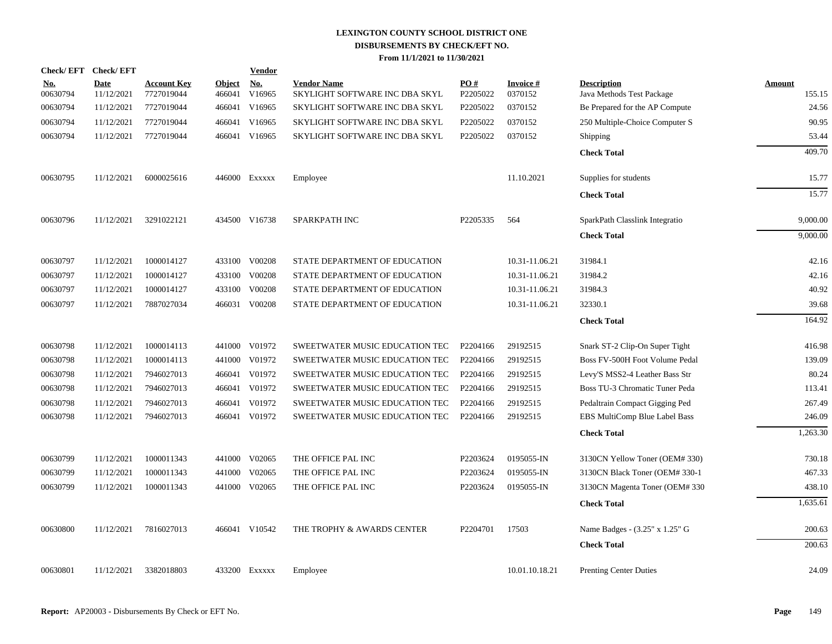| <b>Check/EFT</b>       | <b>Check/EFT</b>   |                                  |                         | <b>Vendor</b>        |                                                      |                 |                      |                                                 |                  |
|------------------------|--------------------|----------------------------------|-------------------------|----------------------|------------------------------------------------------|-----------------|----------------------|-------------------------------------------------|------------------|
| <u>No.</u><br>00630794 | Date<br>11/12/2021 | <b>Account Key</b><br>7727019044 | <b>Object</b><br>466041 | <u>No.</u><br>V16965 | <b>Vendor Name</b><br>SKYLIGHT SOFTWARE INC DBA SKYL | PO#<br>P2205022 | Invoice #<br>0370152 | <b>Description</b><br>Java Methods Test Package | Amount<br>155.15 |
| 00630794               | 11/12/2021         | 7727019044                       | 466041                  | V16965               | SKYLIGHT SOFTWARE INC DBA SKYL                       | P2205022        | 0370152              | Be Prepared for the AP Compute                  | 24.56            |
| 00630794               | 11/12/2021         | 7727019044                       | 466041                  | V16965               | SKYLIGHT SOFTWARE INC DBA SKYL                       | P2205022        | 0370152              | 250 Multiple-Choice Computer S                  | 90.95            |
| 00630794               | 11/12/2021         | 7727019044                       |                         | 466041 V16965        | SKYLIGHT SOFTWARE INC DBA SKYL                       | P2205022        | 0370152              | Shipping                                        | 53.44            |
|                        |                    |                                  |                         |                      |                                                      |                 |                      | <b>Check Total</b>                              | 409.70           |
| 00630795               | 11/12/2021         | 6000025616                       |                         | 446000 Exxxxx        | Employee                                             |                 | 11.10.2021           | Supplies for students                           | 15.77            |
|                        |                    |                                  |                         |                      |                                                      |                 |                      | <b>Check Total</b>                              | 15.77            |
| 00630796               | 11/12/2021         | 3291022121                       |                         | 434500 V16738        | SPARKPATH INC                                        | P2205335        | 564                  | SparkPath Classlink Integratio                  | 9,000.00         |
|                        |                    |                                  |                         |                      |                                                      |                 |                      | <b>Check Total</b>                              | 9,000.00         |
| 00630797               | 11/12/2021         | 1000014127                       |                         | 433100 V00208        | STATE DEPARTMENT OF EDUCATION                        |                 | 10.31-11.06.21       | 31984.1                                         | 42.16            |
| 00630797               | 11/12/2021         | 1000014127                       | 433100                  | V00208               | STATE DEPARTMENT OF EDUCATION                        |                 | 10.31-11.06.21       | 31984.2                                         | 42.16            |
| 00630797               | 11/12/2021         | 1000014127                       |                         | 433100 V00208        | STATE DEPARTMENT OF EDUCATION                        |                 | 10.31-11.06.21       | 31984.3                                         | 40.92            |
| 00630797               | 11/12/2021         | 7887027034                       |                         | 466031 V00208        | STATE DEPARTMENT OF EDUCATION                        |                 | 10.31-11.06.21       | 32330.1                                         | 39.68            |
|                        |                    |                                  |                         |                      |                                                      |                 |                      | <b>Check Total</b>                              | 164.92           |
| 00630798               | 11/12/2021         | 1000014113                       |                         | 441000 V01972        | SWEETWATER MUSIC EDUCATION TEC                       | P2204166        | 29192515             | Snark ST-2 Clip-On Super Tight                  | 416.98           |
| 00630798               | 11/12/2021         | 1000014113                       |                         | 441000 V01972        | SWEETWATER MUSIC EDUCATION TEC                       | P2204166        | 29192515             | Boss FV-500H Foot Volume Pedal                  | 139.09           |
| 00630798               | 11/12/2021         | 7946027013                       |                         | 466041 V01972        | SWEETWATER MUSIC EDUCATION TEC                       | P2204166        | 29192515             | Levy'S MSS2-4 Leather Bass Str                  | 80.24            |
| 00630798               | 11/12/2021         | 7946027013                       | 466041                  | V01972               | SWEETWATER MUSIC EDUCATION TEC                       | P2204166        | 29192515             | Boss TU-3 Chromatic Tuner Peda                  | 113.41           |
| 00630798               | 11/12/2021         | 7946027013                       | 466041                  | V01972               | SWEETWATER MUSIC EDUCATION TEC                       | P2204166        | 29192515             | Pedaltrain Compact Gigging Ped                  | 267.49           |
| 00630798               | 11/12/2021         | 7946027013                       |                         | 466041 V01972        | SWEETWATER MUSIC EDUCATION TEC                       | P2204166        | 29192515             | EBS MultiComp Blue Label Bass                   | 246.09           |
|                        |                    |                                  |                         |                      |                                                      |                 |                      | <b>Check Total</b>                              | 1,263.30         |
| 00630799               | 11/12/2021         | 1000011343                       |                         | 441000 V02065        | THE OFFICE PAL INC                                   | P2203624        | 0195055-IN           | 3130CN Yellow Toner (OEM# 330)                  | 730.18           |
| 00630799               | 11/12/2021         | 1000011343                       |                         | 441000 V02065        | THE OFFICE PAL INC                                   | P2203624        | 0195055-IN           | 3130CN Black Toner (OEM#330-1                   | 467.33           |
| 00630799               | 11/12/2021         | 1000011343                       |                         | 441000 V02065        | THE OFFICE PAL INC                                   | P2203624        | 0195055-IN           | 3130CN Magenta Toner (OEM#330                   | 438.10           |
|                        |                    |                                  |                         |                      |                                                      |                 |                      | <b>Check Total</b>                              | 1,635.61         |
| 00630800               | 11/12/2021         | 7816027013                       |                         | 466041 V10542        | THE TROPHY & AWARDS CENTER                           | P2204701        | 17503                | Name Badges - (3.25" x 1.25" G                  | 200.63           |
|                        |                    |                                  |                         |                      |                                                      |                 |                      | <b>Check Total</b>                              | 200.63           |
| 00630801               | 11/12/2021         | 3382018803                       |                         | 433200 Exxxxx        | Employee                                             |                 | 10.01.10.18.21       | <b>Prenting Center Duties</b>                   | 24.09            |
|                        |                    |                                  |                         |                      |                                                      |                 |                      |                                                 |                  |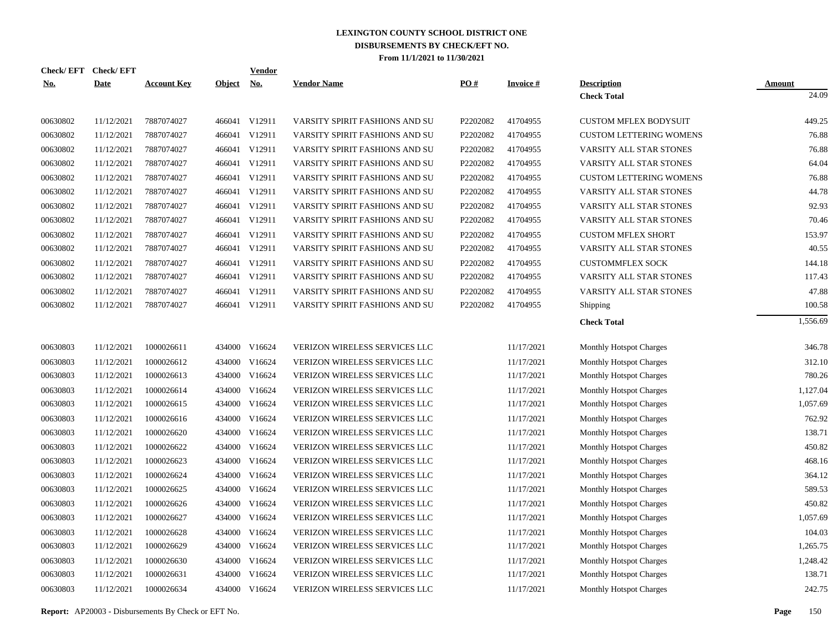| Check/EFT Check/EFT<br><u>No.</u> | <b>Date</b> | <b>Account Key</b> | Object No. | <b>Vendor</b> | <b>Vendor Name</b>                   | PO#      | <b>Invoice#</b> | <b>Description</b>             | <b>Amount</b> |
|-----------------------------------|-------------|--------------------|------------|---------------|--------------------------------------|----------|-----------------|--------------------------------|---------------|
|                                   |             |                    |            |               |                                      |          |                 | <b>Check Total</b>             | 24.09         |
| 00630802                          | 11/12/2021  | 7887074027         |            | 466041 V12911 | VARSITY SPIRIT FASHIONS AND SU       | P2202082 | 41704955        | <b>CUSTOM MFLEX BODYSUIT</b>   | 449.25        |
| 00630802                          | 11/12/2021  | 7887074027         |            | 466041 V12911 | VARSITY SPIRIT FASHIONS AND SU       | P2202082 | 41704955        | <b>CUSTOM LETTERING WOMENS</b> | 76.88         |
| 00630802                          | 11/12/2021  | 7887074027         |            | 466041 V12911 | VARSITY SPIRIT FASHIONS AND SU       | P2202082 | 41704955        | VARSITY ALL STAR STONES        | 76.88         |
| 00630802                          | 11/12/2021  | 7887074027         |            | 466041 V12911 | VARSITY SPIRIT FASHIONS AND SU       | P2202082 | 41704955        | VARSITY ALL STAR STONES        | 64.04         |
| 00630802                          | 11/12/2021  | 7887074027         |            | 466041 V12911 | VARSITY SPIRIT FASHIONS AND SU       | P2202082 | 41704955        | <b>CUSTOM LETTERING WOMENS</b> | 76.88         |
| 00630802                          | 11/12/2021  | 7887074027         |            | 466041 V12911 | VARSITY SPIRIT FASHIONS AND SU       | P2202082 | 41704955        | VARSITY ALL STAR STONES        | 44.78         |
| 00630802                          | 11/12/2021  | 7887074027         |            | 466041 V12911 | VARSITY SPIRIT FASHIONS AND SU       | P2202082 | 41704955        | VARSITY ALL STAR STONES        | 92.93         |
| 00630802                          | 11/12/2021  | 7887074027         |            | 466041 V12911 | VARSITY SPIRIT FASHIONS AND SU       | P2202082 | 41704955        | VARSITY ALL STAR STONES        | 70.46         |
| 00630802                          | 11/12/2021  | 7887074027         |            | 466041 V12911 | VARSITY SPIRIT FASHIONS AND SU       | P2202082 | 41704955        | <b>CUSTOM MFLEX SHORT</b>      | 153.97        |
| 00630802                          | 11/12/2021  | 7887074027         |            | 466041 V12911 | VARSITY SPIRIT FASHIONS AND SU       | P2202082 | 41704955        | VARSITY ALL STAR STONES        | 40.55         |
| 00630802                          | 11/12/2021  | 7887074027         |            | 466041 V12911 | VARSITY SPIRIT FASHIONS AND SU       | P2202082 | 41704955        | <b>CUSTOMMFLEX SOCK</b>        | 144.18        |
| 00630802                          | 11/12/2021  | 7887074027         |            | 466041 V12911 | VARSITY SPIRIT FASHIONS AND SU       | P2202082 | 41704955        | VARSITY ALL STAR STONES        | 117.43        |
| 00630802                          | 11/12/2021  | 7887074027         |            | 466041 V12911 | VARSITY SPIRIT FASHIONS AND SU       | P2202082 | 41704955        | VARSITY ALL STAR STONES        | 47.88         |
| 00630802                          | 11/12/2021  | 7887074027         |            | 466041 V12911 | VARSITY SPIRIT FASHIONS AND SU       | P2202082 | 41704955        | <b>Shipping</b>                | 100.58        |
|                                   |             |                    |            |               |                                      |          |                 | <b>Check Total</b>             | 1,556.69      |
| 00630803                          | 11/12/2021  | 1000026611         | 434000     | V16624        | VERIZON WIRELESS SERVICES LLC        |          | 11/17/2021      | <b>Monthly Hotspot Charges</b> | 346.78        |
| 00630803                          | 11/12/2021  | 1000026612         | 434000     | V16624        | <b>VERIZON WIRELESS SERVICES LLC</b> |          | 11/17/2021      | <b>Monthly Hotspot Charges</b> | 312.10        |
| 00630803                          | 11/12/2021  | 1000026613         | 434000     | V16624        | VERIZON WIRELESS SERVICES LLC        |          | 11/17/2021      | <b>Monthly Hotspot Charges</b> | 780.26        |
| 00630803                          | 11/12/2021  | 1000026614         | 434000     | V16624        | VERIZON WIRELESS SERVICES LLC        |          | 11/17/2021      | <b>Monthly Hotspot Charges</b> | 1,127.04      |
| 00630803                          | 11/12/2021  | 1000026615         | 434000     | V16624        | VERIZON WIRELESS SERVICES LLC        |          | 11/17/2021      | Monthly Hotspot Charges        | 1,057.69      |
| 00630803                          | 11/12/2021  | 1000026616         | 434000     | V16624        | VERIZON WIRELESS SERVICES LLC        |          | 11/17/2021      | <b>Monthly Hotspot Charges</b> | 762.92        |
| 00630803                          | 11/12/2021  | 1000026620         | 434000     | V16624        | VERIZON WIRELESS SERVICES LLC        |          | 11/17/2021      | Monthly Hotspot Charges        | 138.71        |
| 00630803                          | 11/12/2021  | 1000026622         | 434000     | V16624        | VERIZON WIRELESS SERVICES LLC        |          | 11/17/2021      | <b>Monthly Hotspot Charges</b> | 450.82        |
| 00630803                          | 11/12/2021  | 1000026623         | 434000     | V16624        | VERIZON WIRELESS SERVICES LLC        |          | 11/17/2021      | <b>Monthly Hotspot Charges</b> | 468.16        |
| 00630803                          | 11/12/2021  | 1000026624         | 434000     | V16624        | VERIZON WIRELESS SERVICES LLC        |          | 11/17/2021      | <b>Monthly Hotspot Charges</b> | 364.12        |
| 00630803                          | 11/12/2021  | 1000026625         | 434000     | V16624        | VERIZON WIRELESS SERVICES LLC        |          | 11/17/2021      | <b>Monthly Hotspot Charges</b> | 589.53        |
| 00630803                          | 11/12/2021  | 1000026626         | 434000     | V16624        | VERIZON WIRELESS SERVICES LLC        |          | 11/17/2021      | <b>Monthly Hotspot Charges</b> | 450.82        |
| 00630803                          | 11/12/2021  | 1000026627         | 434000     | V16624        | VERIZON WIRELESS SERVICES LLC        |          | 11/17/2021      | <b>Monthly Hotspot Charges</b> | 1,057.69      |
| 00630803                          | 11/12/2021  | 1000026628         | 434000     | V16624        | VERIZON WIRELESS SERVICES LLC        |          | 11/17/2021      | <b>Monthly Hotspot Charges</b> | 104.03        |
| 00630803                          | 11/12/2021  | 1000026629         | 434000     | V16624        | VERIZON WIRELESS SERVICES LLC        |          | 11/17/2021      | <b>Monthly Hotspot Charges</b> | 1,265.75      |
| 00630803                          | 11/12/2021  | 1000026630         | 434000     | V16624        | VERIZON WIRELESS SERVICES LLC        |          | 11/17/2021      | <b>Monthly Hotspot Charges</b> | 1,248.42      |
| 00630803                          | 11/12/2021  | 1000026631         | 434000     | V16624        | VERIZON WIRELESS SERVICES LLC        |          | 11/17/2021      | Monthly Hotspot Charges        | 138.71        |
| 00630803                          | 11/12/2021  | 1000026634         |            | 434000 V16624 | VERIZON WIRELESS SERVICES LLC        |          | 11/17/2021      | <b>Monthly Hotspot Charges</b> | 242.75        |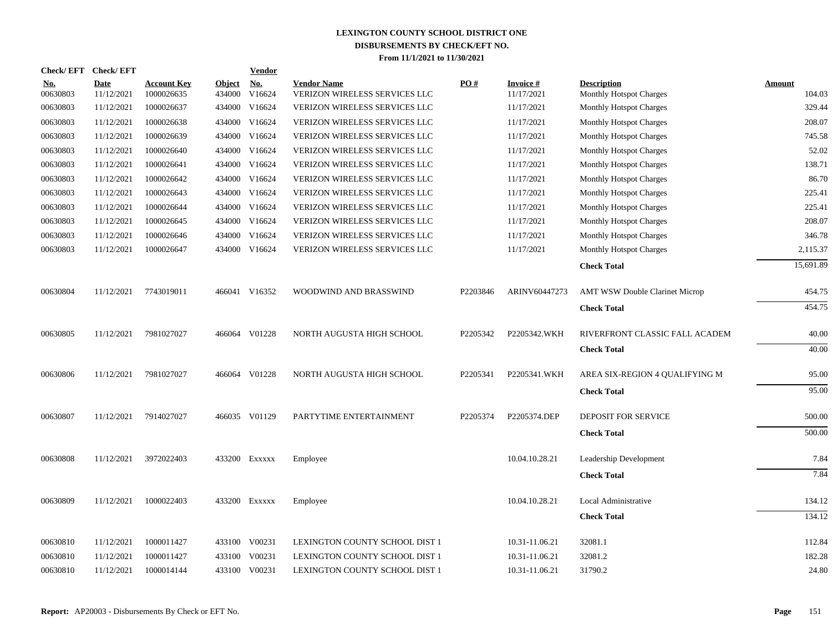| <b>Check/EFT</b>       | <b>Check/EFT</b>          |                                  |                         | <b>Vendor</b>        |                                                     |          |                                |                                               |                         |
|------------------------|---------------------------|----------------------------------|-------------------------|----------------------|-----------------------------------------------------|----------|--------------------------------|-----------------------------------------------|-------------------------|
| <u>No.</u><br>00630803 | <b>Date</b><br>11/12/2021 | <b>Account Key</b><br>1000026635 | <b>Object</b><br>434000 | <u>No.</u><br>V16624 | <b>Vendor Name</b><br>VERIZON WIRELESS SERVICES LLC | PO#      | <b>Invoice #</b><br>11/17/2021 | <b>Description</b><br>Monthly Hotspot Charges | <b>Amount</b><br>104.03 |
| 00630803               | 11/12/2021                | 1000026637                       | 434000                  | V16624               | VERIZON WIRELESS SERVICES LLC                       |          | 11/17/2021                     | <b>Monthly Hotspot Charges</b>                | 329.44                  |
| 00630803               | 11/12/2021                | 1000026638                       | 434000                  | V16624               | VERIZON WIRELESS SERVICES LLC                       |          | 11/17/2021                     | <b>Monthly Hotspot Charges</b>                | 208.07                  |
| 00630803               | 11/12/2021                | 1000026639                       | 434000                  | V16624               | VERIZON WIRELESS SERVICES LLC                       |          | 11/17/2021                     | <b>Monthly Hotspot Charges</b>                | 745.58                  |
| 00630803               | 11/12/2021                | 1000026640                       | 434000                  | V16624               | <b>VERIZON WIRELESS SERVICES LLC</b>                |          | 11/17/2021                     | <b>Monthly Hotspot Charges</b>                | 52.02                   |
| 00630803               | 11/12/2021                | 1000026641                       |                         | 434000 V16624        | VERIZON WIRELESS SERVICES LLC                       |          | 11/17/2021                     | <b>Monthly Hotspot Charges</b>                | 138.71                  |
| 00630803               | 11/12/2021                | 1000026642                       |                         | 434000 V16624        | VERIZON WIRELESS SERVICES LLC                       |          | 11/17/2021                     | <b>Monthly Hotspot Charges</b>                | 86.70                   |
| 00630803               | 11/12/2021                | 1000026643                       |                         | 434000 V16624        | VERIZON WIRELESS SERVICES LLC                       |          | 11/17/2021                     | <b>Monthly Hotspot Charges</b>                | 225.41                  |
| 00630803               | 11/12/2021                | 1000026644                       |                         | 434000 V16624        | VERIZON WIRELESS SERVICES LLC                       |          | 11/17/2021                     | <b>Monthly Hotspot Charges</b>                | 225.41                  |
| 00630803               | 11/12/2021                | 1000026645                       |                         | 434000 V16624        | VERIZON WIRELESS SERVICES LLC                       |          | 11/17/2021                     | Monthly Hotspot Charges                       | 208.07                  |
| 00630803               | 11/12/2021                | 1000026646                       | 434000                  | V16624               | VERIZON WIRELESS SERVICES LLC                       |          | 11/17/2021                     | <b>Monthly Hotspot Charges</b>                | 346.78                  |
| 00630803               | 11/12/2021                | 1000026647                       |                         | 434000 V16624        | <b>VERIZON WIRELESS SERVICES LLC</b>                |          | 11/17/2021                     | <b>Monthly Hotspot Charges</b>                | 2,115.37                |
|                        |                           |                                  |                         |                      |                                                     |          |                                | <b>Check Total</b>                            | 15,691.89               |
| 00630804               | 11/12/2021                | 7743019011                       |                         | 466041 V16352        | WOODWIND AND BRASSWIND                              | P2203846 | ARINV60447273                  | <b>AMT WSW Double Clarinet Microp</b>         | 454.75                  |
|                        |                           |                                  |                         |                      |                                                     |          |                                | <b>Check Total</b>                            | 454.75                  |
| 00630805               | 11/12/2021                | 7981027027                       |                         | 466064 V01228        | NORTH AUGUSTA HIGH SCHOOL                           | P2205342 | P2205342.WKH                   | RIVERFRONT CLASSIC FALL ACADEM                | 40.00                   |
|                        |                           |                                  |                         |                      |                                                     |          |                                | <b>Check Total</b>                            | 40.00                   |
| 00630806               | 11/12/2021                | 7981027027                       |                         | 466064 V01228        | NORTH AUGUSTA HIGH SCHOOL                           | P2205341 | P2205341.WKH                   | AREA SIX-REGION 4 OUALIFYING M                | 95.00                   |
|                        |                           |                                  |                         |                      |                                                     |          |                                | <b>Check Total</b>                            | 95.00                   |
| 00630807               | 11/12/2021                | 7914027027                       |                         | 466035 V01129        | PARTYTIME ENTERTAINMENT                             | P2205374 | P2205374.DEP                   | <b>DEPOSIT FOR SERVICE</b>                    | 500.00                  |
|                        |                           |                                  |                         |                      |                                                     |          |                                | <b>Check Total</b>                            | 500.00                  |
| 00630808               | 11/12/2021                | 3972022403                       |                         | 433200 EXXXXX        | Employee                                            |          | 10.04.10.28.21                 | Leadership Development                        | 7.84                    |
|                        |                           |                                  |                         |                      |                                                     |          |                                | <b>Check Total</b>                            | 7.84                    |
| 00630809               | 11/12/2021                | 1000022403                       |                         | 433200 EXXXXX        | Employee                                            |          | 10.04.10.28.21                 | Local Administrative                          | 134.12                  |
|                        |                           |                                  |                         |                      |                                                     |          |                                | <b>Check Total</b>                            | 134.12                  |
| 00630810               | 11/12/2021                | 1000011427                       |                         | 433100 V00231        | LEXINGTON COUNTY SCHOOL DIST 1                      |          | 10.31-11.06.21                 | 32081.1                                       | 112.84                  |
| 00630810               | 11/12/2021                | 1000011427                       | 433100                  | V00231               | LEXINGTON COUNTY SCHOOL DIST 1                      |          | 10.31-11.06.21                 | 32081.2                                       | 182.28                  |
| 00630810               | 11/12/2021                | 1000014144                       |                         | 433100 V00231        | LEXINGTON COUNTY SCHOOL DIST 1                      |          | 10.31-11.06.21                 | 31790.2                                       | 24.80                   |
|                        |                           |                                  |                         |                      |                                                     |          |                                |                                               |                         |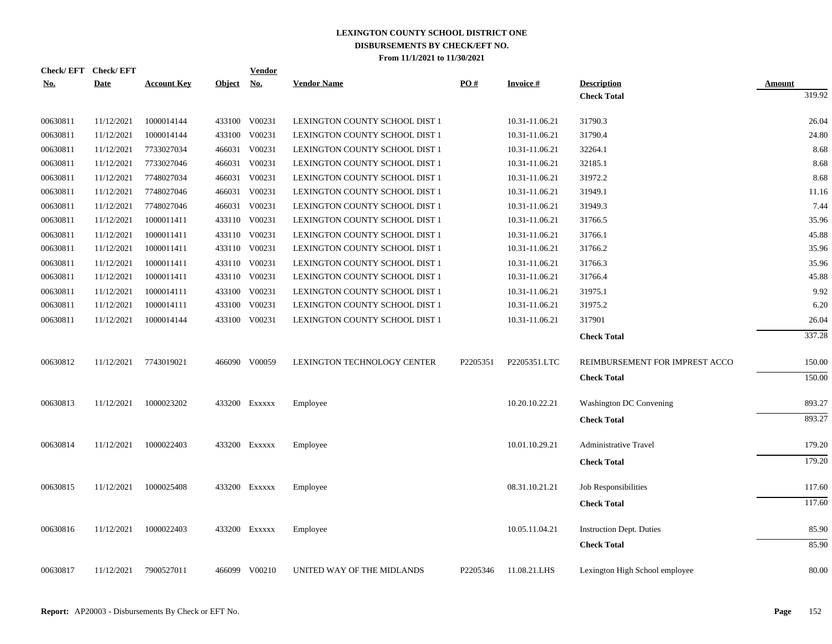| Check/EFT Check/EFT |             |                       |               | <b>Vendor</b>               |                                |          |                 |                                          |                         |
|---------------------|-------------|-----------------------|---------------|-----------------------------|--------------------------------|----------|-----------------|------------------------------------------|-------------------------|
| <u>No.</u>          | <b>Date</b> | <b>Account Key</b>    | <u>Object</u> | $\underline{\mathrm{No}}$ . | <b>Vendor Name</b>             | PO#      | <b>Invoice#</b> | <b>Description</b><br><b>Check Total</b> | <b>Amount</b><br>319.92 |
|                     |             |                       |               |                             |                                |          |                 |                                          |                         |
| 00630811            | 11/12/2021  | 1000014144            |               | 433100 V00231               | LEXINGTON COUNTY SCHOOL DIST 1 |          | 10.31-11.06.21  | 31790.3                                  | 26.04                   |
| 00630811            | 11/12/2021  | 1000014144            |               | 433100 V00231               | LEXINGTON COUNTY SCHOOL DIST 1 |          | 10.31-11.06.21  | 31790.4                                  | 24.80                   |
| 00630811            | 11/12/2021  | 7733027034            |               | 466031 V00231               | LEXINGTON COUNTY SCHOOL DIST 1 |          | 10.31-11.06.21  | 32264.1                                  | 8.68                    |
| 00630811            | 11/12/2021  | 7733027046            |               | 466031 V00231               | LEXINGTON COUNTY SCHOOL DIST 1 |          | 10.31-11.06.21  | 32185.1                                  | 8.68                    |
| 00630811            | 11/12/2021  | 7748027034            |               | 466031 V00231               | LEXINGTON COUNTY SCHOOL DIST 1 |          | 10.31-11.06.21  | 31972.2                                  | 8.68                    |
| 00630811            | 11/12/2021  | 7748027046            |               | 466031 V00231               | LEXINGTON COUNTY SCHOOL DIST 1 |          | 10.31-11.06.21  | 31949.1                                  | 11.16                   |
| 00630811            | 11/12/2021  | 7748027046            |               | 466031 V00231               | LEXINGTON COUNTY SCHOOL DIST 1 |          | 10.31-11.06.21  | 31949.3                                  | 7.44                    |
| 00630811            | 11/12/2021  | 1000011411            |               | 433110 V00231               | LEXINGTON COUNTY SCHOOL DIST 1 |          | 10.31-11.06.21  | 31766.5                                  | 35.96                   |
| 00630811            | 11/12/2021  | 1000011411            |               | 433110 V00231               | LEXINGTON COUNTY SCHOOL DIST 1 |          | 10.31-11.06.21  | 31766.1                                  | 45.88                   |
| 00630811            | 11/12/2021  | 1000011411            |               | 433110 V00231               | LEXINGTON COUNTY SCHOOL DIST 1 |          | 10.31-11.06.21  | 31766.2                                  | 35.96                   |
| 00630811            | 11/12/2021  | 1000011411            |               | 433110 V00231               | LEXINGTON COUNTY SCHOOL DIST 1 |          | 10.31-11.06.21  | 31766.3                                  | 35.96                   |
| 00630811            | 11/12/2021  | 1000011411            |               | 433110 V00231               | LEXINGTON COUNTY SCHOOL DIST 1 |          | 10.31-11.06.21  | 31766.4                                  | 45.88                   |
| 00630811            | 11/12/2021  | 1000014111            |               | 433100 V00231               | LEXINGTON COUNTY SCHOOL DIST 1 |          | 10.31-11.06.21  | 31975.1                                  | 9.92                    |
| 00630811            | 11/12/2021  | 1000014111            |               | 433100 V00231               | LEXINGTON COUNTY SCHOOL DIST 1 |          | 10.31-11.06.21  | 31975.2                                  | 6.20                    |
| 00630811            | 11/12/2021  | 1000014144            |               | 433100 V00231               | LEXINGTON COUNTY SCHOOL DIST 1 |          | 10.31-11.06.21  | 317901                                   | 26.04                   |
|                     |             |                       |               |                             |                                |          |                 | <b>Check Total</b>                       | 337.28                  |
|                     |             |                       |               |                             |                                |          |                 |                                          |                         |
| 00630812            |             | 11/12/2021 7743019021 |               | 466090 V00059               | LEXINGTON TECHNOLOGY CENTER    | P2205351 | P2205351.LTC    | REIMBURSEMENT FOR IMPREST ACCO           | 150.00                  |
|                     |             |                       |               |                             |                                |          |                 | <b>Check Total</b>                       | 150.00                  |
|                     |             |                       |               |                             |                                |          |                 |                                          |                         |
| 00630813            | 11/12/2021  | 1000023202            |               | 433200 EXXXXX               | Employee                       |          | 10.20.10.22.21  | <b>Washington DC Convening</b>           | 893.27                  |
|                     |             |                       |               |                             |                                |          |                 | <b>Check Total</b>                       | 893.27                  |
| 00630814            | 11/12/2021  | 1000022403            |               | 433200 EXXXXX               | Employee                       |          | 10.01.10.29.21  | <b>Administrative Travel</b>             | 179.20                  |
|                     |             |                       |               |                             |                                |          |                 | <b>Check Total</b>                       | 179.20                  |
|                     |             |                       |               |                             |                                |          |                 |                                          |                         |
| 00630815            | 11/12/2021  | 1000025408            |               | 433200 EXXXXX               | Employee                       |          | 08.31.10.21.21  | Job Responsibilities                     | 117.60                  |
|                     |             |                       |               |                             |                                |          |                 | <b>Check Total</b>                       | 117.60                  |
|                     |             |                       |               |                             |                                |          |                 |                                          |                         |
| 00630816            | 11/12/2021  | 1000022403            |               | 433200 EXXXXX               | Employee                       |          | 10.05.11.04.21  | <b>Instruction Dept. Duties</b>          | 85.90                   |
|                     |             |                       |               |                             |                                |          |                 | <b>Check Total</b>                       | 85.90                   |
|                     |             |                       |               |                             |                                |          |                 |                                          |                         |
| 00630817            | 11/12/2021  | 7900527011            |               | 466099 V00210               | UNITED WAY OF THE MIDLANDS     | P2205346 | 11.08.21.LHS    | Lexington High School employee           | 80.00                   |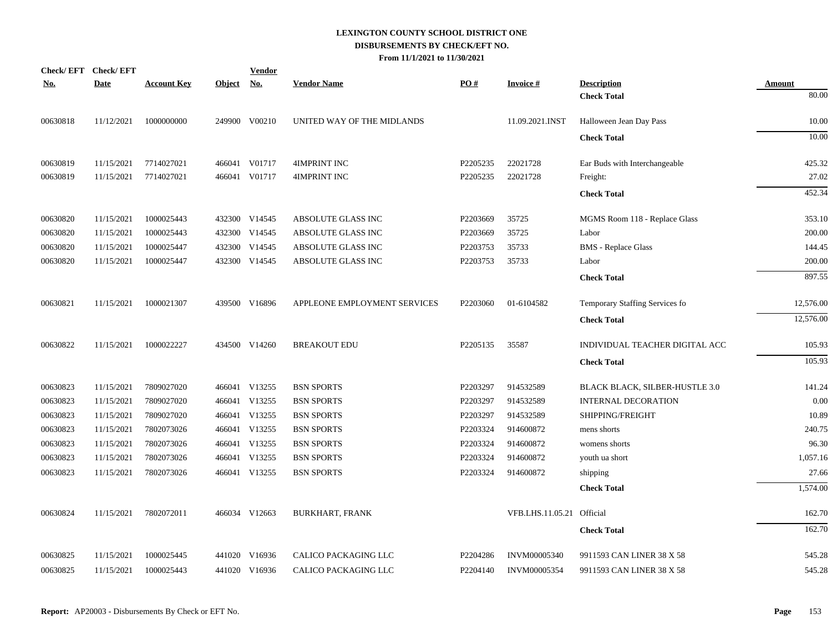|            | Check/EFT Check/EFT |                    |               | <b>Vendor</b>             |                              |          |                           |                                |               |
|------------|---------------------|--------------------|---------------|---------------------------|------------------------------|----------|---------------------------|--------------------------------|---------------|
| <u>No.</u> | <b>Date</b>         | <b>Account Key</b> | <u>Object</u> | $\underline{\mathrm{No}}$ | <b>Vendor Name</b>           | PO#      | <b>Invoice#</b>           | <b>Description</b>             | <b>Amount</b> |
|            |                     |                    |               |                           |                              |          |                           | <b>Check Total</b>             | 80.00         |
| 00630818   | 11/12/2021          | 1000000000         |               | 249900 V00210             | UNITED WAY OF THE MIDLANDS   |          | 11.09.2021.INST           | Halloween Jean Day Pass        | 10.00         |
|            |                     |                    |               |                           |                              |          |                           | <b>Check Total</b>             | 10.00         |
| 00630819   | 11/15/2021          | 7714027021         |               | 466041 V01717             | 4IMPRINT INC                 | P2205235 | 22021728                  | Ear Buds with Interchangeable  | 425.32        |
| 00630819   | 11/15/2021          | 7714027021         | 466041        | V01717                    | 4IMPRINT INC                 | P2205235 | 22021728                  | Freight:                       | 27.02         |
|            |                     |                    |               |                           |                              |          |                           | <b>Check Total</b>             | 452.34        |
| 00630820   | 11/15/2021          | 1000025443         |               | 432300 V14545             | ABSOLUTE GLASS INC           | P2203669 | 35725                     | MGMS Room 118 - Replace Glass  | 353.10        |
| 00630820   | 11/15/2021          | 1000025443         |               | 432300 V14545             | ABSOLUTE GLASS INC           | P2203669 | 35725                     | Labor                          | 200.00        |
| 00630820   | 11/15/2021          | 1000025447         |               | 432300 V14545             | ABSOLUTE GLASS INC           | P2203753 | 35733                     | <b>BMS</b> - Replace Glass     | 144.45        |
| 00630820   | 11/15/2021          | 1000025447         |               | 432300 V14545             | ABSOLUTE GLASS INC           | P2203753 | 35733                     | Labor                          | 200.00        |
|            |                     |                    |               |                           |                              |          |                           | <b>Check Total</b>             | 897.55        |
| 00630821   | 11/15/2021          | 1000021307         |               | 439500 V16896             | APPLEONE EMPLOYMENT SERVICES | P2203060 | 01-6104582                | Temporary Staffing Services fo | 12,576.00     |
|            |                     |                    |               |                           |                              |          |                           | <b>Check Total</b>             | 12,576.00     |
| 00630822   | 11/15/2021          | 1000022227         |               | 434500 V14260             | <b>BREAKOUT EDU</b>          | P2205135 | 35587                     | INDIVIDUAL TEACHER DIGITAL ACC | 105.93        |
|            |                     |                    |               |                           |                              |          |                           | <b>Check Total</b>             | 105.93        |
| 00630823   | 11/15/2021          | 7809027020         |               | 466041 V13255             | <b>BSN SPORTS</b>            | P2203297 | 914532589                 | BLACK BLACK, SILBER-HUSTLE 3.0 | 141.24        |
| 00630823   | 11/15/2021          | 7809027020         |               | 466041 V13255             | <b>BSN SPORTS</b>            | P2203297 | 914532589                 | <b>INTERNAL DECORATION</b>     | 0.00          |
| 00630823   | 11/15/2021          | 7809027020         |               | 466041 V13255             | <b>BSN SPORTS</b>            | P2203297 | 914532589                 | SHIPPING/FREIGHT               | 10.89         |
| 00630823   | 11/15/2021          | 7802073026         |               | 466041 V13255             | <b>BSN SPORTS</b>            | P2203324 | 914600872                 | mens shorts                    | 240.75        |
| 00630823   | 11/15/2021          | 7802073026         |               | 466041 V13255             | <b>BSN SPORTS</b>            | P2203324 | 914600872                 | womens shorts                  | 96.30         |
| 00630823   | 11/15/2021          | 7802073026         |               | 466041 V13255             | <b>BSN SPORTS</b>            | P2203324 | 914600872                 | youth ua short                 | 1,057.16      |
| 00630823   | 11/15/2021          | 7802073026         |               | 466041 V13255             | <b>BSN SPORTS</b>            | P2203324 | 914600872                 | shipping                       | 27.66         |
|            |                     |                    |               |                           |                              |          |                           | <b>Check Total</b>             | 1,574.00      |
| 00630824   | 11/15/2021          | 7802072011         |               | 466034 V12663             | <b>BURKHART, FRANK</b>       |          | VFB.LHS.11.05.21 Official |                                | 162.70        |
|            |                     |                    |               |                           |                              |          |                           | <b>Check Total</b>             | 162.70        |
| 00630825   | 11/15/2021          | 1000025445         |               | 441020 V16936             | CALICO PACKAGING LLC         | P2204286 | <b>INVM00005340</b>       | 9911593 CAN LINER 38 X 58      | 545.28        |
| 00630825   | 11/15/2021          | 1000025443         |               | 441020 V16936             | CALICO PACKAGING LLC         | P2204140 | INVM00005354              | 9911593 CAN LINER 38 X 58      | 545.28        |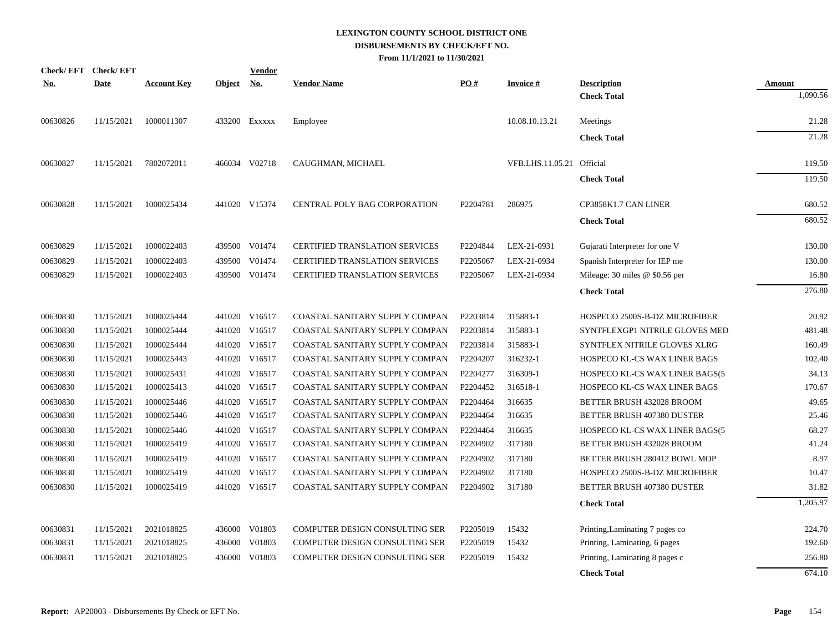|            | Check/EFT Check/EFT |                    |               | <u>Vendor</u> |                                       |          |                           |                                     |          |
|------------|---------------------|--------------------|---------------|---------------|---------------------------------------|----------|---------------------------|-------------------------------------|----------|
| <u>No.</u> | <b>Date</b>         | <b>Account Key</b> | <b>Object</b> | No.           | <b>Vendor Name</b>                    | PO#      | <b>Invoice#</b>           | <b>Description</b>                  | Amount   |
|            |                     |                    |               |               |                                       |          |                           | <b>Check Total</b>                  | 1,090.56 |
| 00630826   | 11/15/2021          | 1000011307         |               | 433200 Exxxxx | Employee                              |          | 10.08.10.13.21            | Meetings                            | 21.28    |
|            |                     |                    |               |               |                                       |          |                           | <b>Check Total</b>                  | 21.28    |
| 00630827   | 11/15/2021          | 7802072011         |               | 466034 V02718 | CAUGHMAN, MICHAEL                     |          | VFB.LHS.11.05.21 Official |                                     | 119.50   |
|            |                     |                    |               |               |                                       |          |                           | <b>Check Total</b>                  | 119.50   |
| 00630828   | 11/15/2021          | 1000025434         |               | 441020 V15374 | CENTRAL POLY BAG CORPORATION          | P2204781 | 286975                    | CP3858K1.7 CAN LINER                | 680.52   |
|            |                     |                    |               |               |                                       |          |                           | <b>Check Total</b>                  | 680.52   |
| 00630829   | 11/15/2021          | 1000022403         |               | 439500 V01474 | <b>CERTIFIED TRANSLATION SERVICES</b> | P2204844 | LEX-21-0931               | Gujarati Interpreter for one V      | 130.00   |
| 00630829   | 11/15/2021          | 1000022403         |               | 439500 V01474 | <b>CERTIFIED TRANSLATION SERVICES</b> | P2205067 | LEX-21-0934               | Spanish Interpreter for IEP me      | 130.00   |
| 00630829   | 11/15/2021          | 1000022403         |               | 439500 V01474 | <b>CERTIFIED TRANSLATION SERVICES</b> | P2205067 | LEX-21-0934               | Mileage: 30 miles $@$ \$0.56 per    | 16.80    |
|            |                     |                    |               |               |                                       |          |                           | <b>Check Total</b>                  | 276.80   |
|            |                     |                    |               |               |                                       |          |                           |                                     |          |
| 00630830   | 11/15/2021          | 1000025444         |               | 441020 V16517 | COASTAL SANITARY SUPPLY COMPAN        | P2203814 | 315883-1                  | HOSPECO 2500S-B-DZ MICROFIBER       | 20.92    |
| 00630830   | 11/15/2021          | 1000025444         |               | 441020 V16517 | COASTAL SANITARY SUPPLY COMPAN        | P2203814 | 315883-1                  | SYNTFLEXGP1 NITRILE GLOVES MED      | 481.48   |
| 00630830   | 11/15/2021          | 1000025444         | 441020        | V16517        | COASTAL SANITARY SUPPLY COMPAN        | P2203814 | 315883-1                  | SYNTFLEX NITRILE GLOVES XLRG        | 160.49   |
| 00630830   | 11/15/2021          | 1000025443         | 441020        | V16517        | COASTAL SANITARY SUPPLY COMPAN        | P2204207 | 316232-1                  | <b>HOSPECO KL-CS WAX LINER BAGS</b> | 102.40   |
| 00630830   | 11/15/2021          | 1000025431         |               | 441020 V16517 | COASTAL SANITARY SUPPLY COMPAN        | P2204277 | 316309-1                  | HOSPECO KL-CS WAX LINER BAGS(5      | 34.13    |
| 00630830   | 11/15/2021          | 1000025413         |               | 441020 V16517 | COASTAL SANITARY SUPPLY COMPAN        | P2204452 | 316518-1                  | HOSPECO KL-CS WAX LINER BAGS        | 170.67   |
| 00630830   | 11/15/2021          | 1000025446         |               | 441020 V16517 | COASTAL SANITARY SUPPLY COMPAN        | P2204464 | 316635                    | BETTER BRUSH 432028 BROOM           | 49.65    |
| 00630830   | 11/15/2021          | 1000025446         | 441020        | V16517        | COASTAL SANITARY SUPPLY COMPAN        | P2204464 | 316635                    | BETTER BRUSH 407380 DUSTER          | 25.46    |
| 00630830   | 11/15/2021          | 1000025446         | 441020        | V16517        | COASTAL SANITARY SUPPLY COMPAN        | P2204464 | 316635                    | HOSPECO KL-CS WAX LINER BAGS(5      | 68.27    |
| 00630830   | 11/15/2021          | 1000025419         |               | 441020 V16517 | COASTAL SANITARY SUPPLY COMPAN        | P2204902 | 317180                    | BETTER BRUSH 432028 BROOM           | 41.24    |
| 00630830   | 11/15/2021          | 1000025419         |               | 441020 V16517 | COASTAL SANITARY SUPPLY COMPAN        | P2204902 | 317180                    | BETTER BRUSH 280412 BOWL MOP        | 8.97     |
| 00630830   | 11/15/2021          | 1000025419         |               | 441020 V16517 | COASTAL SANITARY SUPPLY COMPAN        | P2204902 | 317180                    | HOSPECO 2500S-B-DZ MICROFIBER       | 10.47    |
| 00630830   | 11/15/2021          | 1000025419         |               | 441020 V16517 | COASTAL SANITARY SUPPLY COMPAN        | P2204902 | 317180                    | BETTER BRUSH 407380 DUSTER          | 31.82    |
|            |                     |                    |               |               |                                       |          |                           | <b>Check Total</b>                  | 1,205.97 |
| 00630831   | 11/15/2021          | 2021018825         |               | 436000 V01803 | COMPUTER DESIGN CONSULTING SER        | P2205019 | 15432                     | Printing, Laminating 7 pages co     | 224.70   |
| 00630831   | 11/15/2021          | 2021018825         | 436000        | V01803        | COMPUTER DESIGN CONSULTING SER        | P2205019 | 15432                     | Printing, Laminating, 6 pages       | 192.60   |
| 00630831   | 11/15/2021          | 2021018825         | 436000        | V01803        | COMPUTER DESIGN CONSULTING SER        | P2205019 | 15432                     | Printing, Laminating 8 pages c      | 256.80   |
|            |                     |                    |               |               |                                       |          |                           | <b>Check Total</b>                  | 674.10   |
|            |                     |                    |               |               |                                       |          |                           |                                     |          |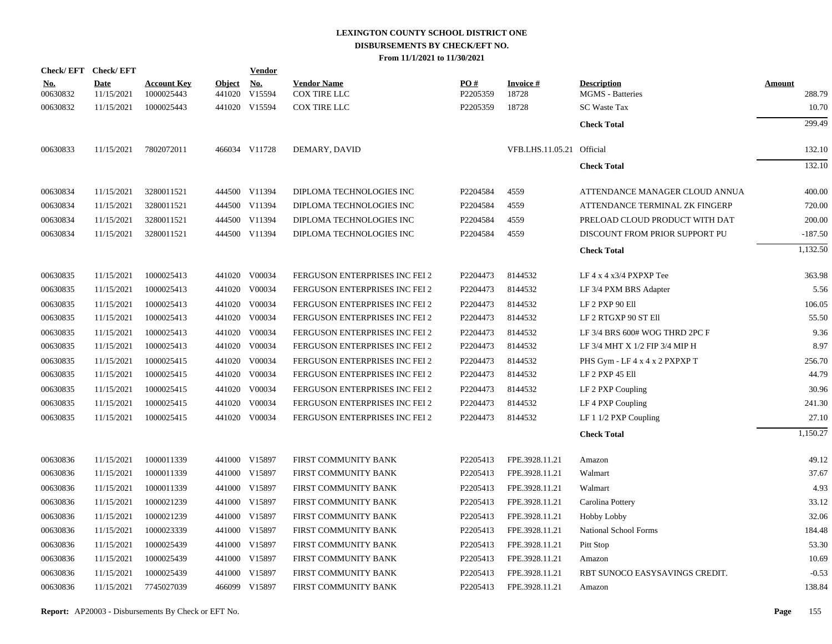| Check/EFT Check/EFT    |                           |                                  |               | <u>Vendor</u>               |                                           |                 |                             |                                               |                         |
|------------------------|---------------------------|----------------------------------|---------------|-----------------------------|-------------------------------------------|-----------------|-----------------------------|-----------------------------------------------|-------------------------|
| <u>No.</u><br>00630832 | <b>Date</b><br>11/15/2021 | <b>Account Key</b><br>1000025443 | <b>Object</b> | <u>No.</u><br>441020 V15594 | <b>Vendor Name</b><br><b>COX TIRE LLC</b> | PO#<br>P2205359 | <b>Invoice</b> $#$<br>18728 | <b>Description</b><br><b>MGMS</b> - Batteries | <b>Amount</b><br>288.79 |
| 00630832               | 11/15/2021                | 1000025443                       |               | 441020 V15594               | <b>COX TIRE LLC</b>                       | P2205359        | 18728                       | <b>SC Waste Tax</b>                           | 10.70                   |
|                        |                           |                                  |               |                             |                                           |                 |                             | <b>Check Total</b>                            | 299.49                  |
|                        |                           |                                  |               |                             |                                           |                 |                             |                                               |                         |
| 00630833               | 11/15/2021                | 7802072011                       |               | 466034 V11728               | DEMARY, DAVID                             |                 | VFB.LHS.11.05.21 Official   |                                               | 132.10                  |
|                        |                           |                                  |               |                             |                                           |                 |                             | <b>Check Total</b>                            | 132.10                  |
| 00630834               | 11/15/2021                | 3280011521                       |               | 444500 V11394               | DIPLOMA TECHNOLOGIES INC                  | P2204584        | 4559                        | ATTENDANCE MANAGER CLOUD ANNUA                | 400.00                  |
| 00630834               | 11/15/2021                | 3280011521                       |               | 444500 V11394               | DIPLOMA TECHNOLOGIES INC                  | P2204584        | 4559                        | ATTENDANCE TERMINAL ZK FINGERP                | 720.00                  |
| 00630834               | 11/15/2021                | 3280011521                       |               | 444500 V11394               | DIPLOMA TECHNOLOGIES INC                  | P2204584        | 4559                        | PRELOAD CLOUD PRODUCT WITH DAT                | 200.00                  |
| 00630834               | 11/15/2021                | 3280011521                       |               | 444500 V11394               | DIPLOMA TECHNOLOGIES INC                  | P2204584        | 4559                        | DISCOUNT FROM PRIOR SUPPORT PU                | $-187.50$               |
|                        |                           |                                  |               |                             |                                           |                 |                             |                                               | 1.132.50                |
|                        |                           |                                  |               |                             |                                           |                 |                             | <b>Check Total</b>                            |                         |
| 00630835               | 11/15/2021                | 1000025413                       |               | 441020 V00034               | FERGUSON ENTERPRISES INC FEI 2            | P2204473        | 8144532                     | LF $4 \times 4 \times 3/4$ PXPXP Tee          | 363.98                  |
| 00630835               | 11/15/2021                | 1000025413                       |               | 441020 V00034               | FERGUSON ENTERPRISES INC FEI 2            | P2204473        | 8144532                     | LF 3/4 PXM BRS Adapter                        | 5.56                    |
| 00630835               | 11/15/2021                | 1000025413                       |               | 441020 V00034               | FERGUSON ENTERPRISES INC FEI 2            | P2204473        | 8144532                     | LF 2 PXP 90 Ell                               | 106.05                  |
| 00630835               | 11/15/2021                | 1000025413                       |               | 441020 V00034               | FERGUSON ENTERPRISES INC FEI 2            | P2204473        | 8144532                     | LF 2 RTGXP 90 ST Ell                          | 55.50                   |
| 00630835               | 11/15/2021                | 1000025413                       |               | 441020 V00034               | FERGUSON ENTERPRISES INC FEI 2            | P2204473        | 8144532                     | LF 3/4 BRS 600# WOG THRD 2PC F                | 9.36                    |
| 00630835               | 11/15/2021                | 1000025413                       |               | 441020 V00034               | FERGUSON ENTERPRISES INC FEI 2            | P2204473        | 8144532                     | LF 3/4 MHT X 1/2 FIP 3/4 MIP H                | 8.97                    |
| 00630835               | 11/15/2021                | 1000025415                       |               | 441020 V00034               | FERGUSON ENTERPRISES INC FEI 2            | P2204473        | 8144532                     | PHS Gym - LF 4 x 4 x 2 PXPXP T                | 256.70                  |
| 00630835               | 11/15/2021                | 1000025415                       |               | 441020 V00034               | FERGUSON ENTERPRISES INC FEI 2            | P2204473        | 8144532                     | LF 2 PXP 45 Ell                               | 44.79                   |
| 00630835               | 11/15/2021                | 1000025415                       |               | 441020 V00034               | FERGUSON ENTERPRISES INC FEI 2            | P2204473        | 8144532                     | LF 2 PXP Coupling                             | 30.96                   |
| 00630835               | 11/15/2021                | 1000025415                       |               | 441020 V00034               | FERGUSON ENTERPRISES INC FEI 2            | P2204473        | 8144532                     | LF 4 PXP Coupling                             | 241.30                  |
| 00630835               | 11/15/2021                | 1000025415                       |               | 441020 V00034               | FERGUSON ENTERPRISES INC FEI 2            | P2204473        | 8144532                     | LF $11/2$ PXP Coupling                        | 27.10                   |
|                        |                           |                                  |               |                             |                                           |                 |                             | <b>Check Total</b>                            | 1,150.27                |
| 00630836               | 11/15/2021                | 1000011339                       |               | 441000 V15897               | FIRST COMMUNITY BANK                      | P2205413        | FPE.3928.11.21              | Amazon                                        | 49.12                   |
| 00630836               | 11/15/2021                | 1000011339                       |               | 441000 V15897               | FIRST COMMUNITY BANK                      | P2205413        | FPE.3928.11.21              | Walmart                                       | 37.67                   |
| 00630836               | 11/15/2021                | 1000011339                       |               | 441000 V15897               | FIRST COMMUNITY BANK                      | P2205413        | FPE.3928.11.21              | Walmart                                       | 4.93                    |
| 00630836               | 11/15/2021                | 1000021239                       |               | 441000 V15897               | FIRST COMMUNITY BANK                      | P2205413        | FPE.3928.11.21              | Carolina Pottery                              | 33.12                   |
| 00630836               | 11/15/2021                | 1000021239                       |               | 441000 V15897               | FIRST COMMUNITY BANK                      | P2205413        | FPE.3928.11.21              | <b>Hobby Lobby</b>                            | 32.06                   |
| 00630836               | 11/15/2021                | 1000023339                       |               | 441000 V15897               | FIRST COMMUNITY BANK                      | P2205413        | FPE.3928.11.21              | National School Forms                         | 184.48                  |
| 00630836               | 11/15/2021                | 1000025439                       |               | 441000 V15897               | FIRST COMMUNITY BANK                      | P2205413        | FPE.3928.11.21              | Pitt Stop                                     | 53.30                   |
| 00630836               | 11/15/2021                | 1000025439                       |               | 441000 V15897               | FIRST COMMUNITY BANK                      | P2205413        | FPE.3928.11.21              | Amazon                                        | 10.69                   |
| 00630836               | 11/15/2021                | 1000025439                       |               | 441000 V15897               | FIRST COMMUNITY BANK                      | P2205413        | FPE.3928.11.21              | RBT SUNOCO EASYSAVINGS CREDIT.                | $-0.53$                 |
| 00630836               | 11/15/2021                | 7745027039                       |               | 466099 V15897               | FIRST COMMUNITY BANK                      | P2205413        | FPE.3928.11.21              | Amazon                                        | 138.84                  |
|                        |                           |                                  |               |                             |                                           |                 |                             |                                               |                         |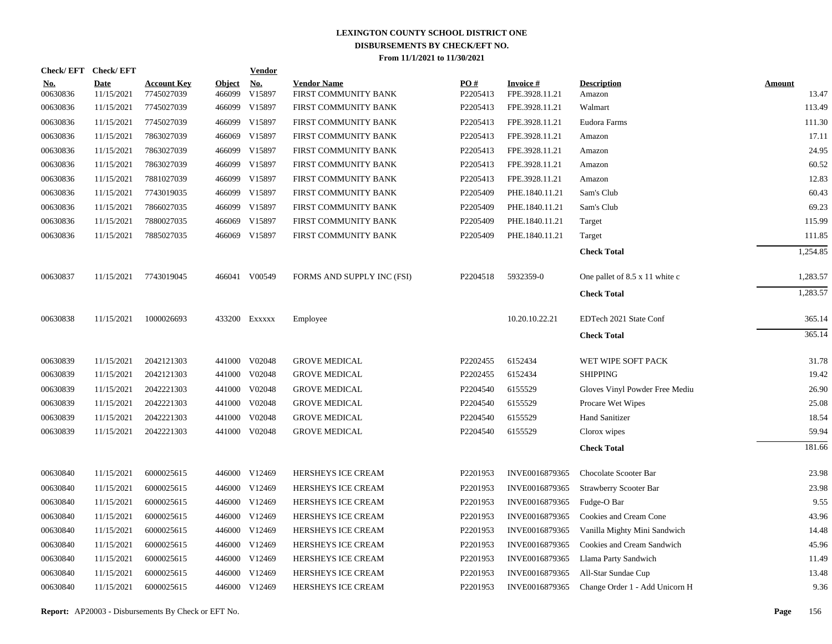|                        | Check/EFT Check/EFT       |                                  |                         | <b>Vendor</b>                       |                                            |                 |                                   |                                |                        |
|------------------------|---------------------------|----------------------------------|-------------------------|-------------------------------------|--------------------------------------------|-----------------|-----------------------------------|--------------------------------|------------------------|
| <u>No.</u><br>00630836 | <b>Date</b><br>11/15/2021 | <b>Account Key</b><br>7745027039 | <b>Object</b><br>466099 | $\underline{\mathrm{No}}$<br>V15897 | <b>Vendor Name</b><br>FIRST COMMUNITY BANK | PO#<br>P2205413 | <b>Invoice#</b><br>FPE.3928.11.21 | <b>Description</b><br>Amazon   | <b>Amount</b><br>13.47 |
| 00630836               | 11/15/2021                | 7745027039                       | 466099                  | V15897                              | FIRST COMMUNITY BANK                       | P2205413        | FPE.3928.11.21                    | Walmart                        | 113.49                 |
| 00630836               | 11/15/2021                | 7745027039                       | 466099                  | V15897                              | FIRST COMMUNITY BANK                       | P2205413        | FPE.3928.11.21                    | Eudora Farms                   | 111.30                 |
| 00630836               | 11/15/2021                | 7863027039                       | 466069                  | V15897                              | FIRST COMMUNITY BANK                       | P2205413        | FPE.3928.11.21                    | Amazon                         | 17.11                  |
| 00630836               | 11/15/2021                | 7863027039                       | 466099                  | V15897                              | FIRST COMMUNITY BANK                       | P2205413        | FPE.3928.11.21                    | Amazon                         | 24.95                  |
| 00630836               | 11/15/2021                | 7863027039                       | 466099                  | V15897                              | FIRST COMMUNITY BANK                       | P2205413        | FPE.3928.11.21                    | Amazon                         | 60.52                  |
| 00630836               | 11/15/2021                | 7881027039                       |                         | 466099 V15897                       | FIRST COMMUNITY BANK                       | P2205413        | FPE.3928.11.21                    | Amazon                         | 12.83                  |
| 00630836               | 11/15/2021                | 7743019035                       | 466099                  | V15897                              | FIRST COMMUNITY BANK                       | P2205409        | PHE.1840.11.21                    | Sam's Club                     | 60.43                  |
| 00630836               | 11/15/2021                | 7866027035                       |                         | 466099 V15897                       | FIRST COMMUNITY BANK                       | P2205409        | PHE.1840.11.21                    | Sam's Club                     | 69.23                  |
| 00630836               | 11/15/2021                | 7880027035                       | 466069                  | V15897                              | FIRST COMMUNITY BANK                       | P2205409        | PHE.1840.11.21                    | Target                         | 115.99                 |
| 00630836               | 11/15/2021                | 7885027035                       |                         | 466069 V15897                       | FIRST COMMUNITY BANK                       | P2205409        | PHE.1840.11.21                    | Target                         | 111.85                 |
|                        |                           |                                  |                         |                                     |                                            |                 |                                   | <b>Check Total</b>             | 1,254.85               |
| 00630837               | 11/15/2021                | 7743019045                       |                         | 466041 V00549                       | FORMS AND SUPPLY INC (FSI)                 | P2204518        | 5932359-0                         | One pallet of 8.5 x 11 white c | 1,283.57               |
|                        |                           |                                  |                         |                                     |                                            |                 |                                   | <b>Check Total</b>             | 1,283.57               |
| 00630838               | 11/15/2021                | 1000026693                       |                         | 433200 EXXXXX                       | Employee                                   |                 | 10.20.10.22.21                    | EDTech 2021 State Conf         | 365.14                 |
|                        |                           |                                  |                         |                                     |                                            |                 |                                   | <b>Check Total</b>             | 365.14                 |
| 00630839               | 11/15/2021                | 2042121303                       |                         | 441000 V02048                       | <b>GROVE MEDICAL</b>                       | P2202455        | 6152434                           | WET WIPE SOFT PACK             | 31.78                  |
| 00630839               | 11/15/2021                | 2042121303                       | 441000                  | V02048                              | <b>GROVE MEDICAL</b>                       | P2202455        | 6152434                           | <b>SHIPPING</b>                | 19.42                  |
| 00630839               | 11/15/2021                | 2042221303                       | 441000                  | V02048                              | <b>GROVE MEDICAL</b>                       | P2204540        | 6155529                           | Gloves Vinyl Powder Free Mediu | 26.90                  |
| 00630839               | 11/15/2021                | 2042221303                       |                         | 441000 V02048                       | <b>GROVE MEDICAL</b>                       | P2204540        | 6155529                           | Procare Wet Wipes              | 25.08                  |
| 00630839               | 11/15/2021                | 2042221303                       | 441000                  | V02048                              | <b>GROVE MEDICAL</b>                       | P2204540        | 6155529                           | <b>Hand Sanitizer</b>          | 18.54                  |
| 00630839               | 11/15/2021                | 2042221303                       |                         | 441000 V02048                       | <b>GROVE MEDICAL</b>                       | P2204540        | 6155529                           | Clorox wipes                   | 59.94                  |
|                        |                           |                                  |                         |                                     |                                            |                 |                                   | <b>Check Total</b>             | 181.66                 |
| 00630840               | 11/15/2021                | 6000025615                       |                         | 446000 V12469                       | HERSHEYS ICE CREAM                         | P2201953        | INVE0016879365                    | Chocolate Scooter Bar          | 23.98                  |
| 00630840               | 11/15/2021                | 6000025615                       |                         | 446000 V12469                       | HERSHEYS ICE CREAM                         | P2201953        | INVE0016879365                    | Strawberry Scooter Bar         | 23.98                  |
| 00630840               | 11/15/2021                | 6000025615                       |                         | 446000 V12469                       | HERSHEYS ICE CREAM                         | P2201953        | INVE0016879365                    | Fudge-O Bar                    | 9.55                   |
| 00630840               | 11/15/2021                | 6000025615                       | 446000                  | V12469                              | HERSHEYS ICE CREAM                         | P2201953        | INVE0016879365                    | Cookies and Cream Cone         | 43.96                  |
| 00630840               | 11/15/2021                | 6000025615                       |                         | 446000 V12469                       | HERSHEYS ICE CREAM                         | P2201953        | INVE0016879365                    | Vanilla Mighty Mini Sandwich   | 14.48                  |
| 00630840               | 11/15/2021                | 6000025615                       | 446000                  | V12469                              | HERSHEYS ICE CREAM                         | P2201953        | INVE0016879365                    | Cookies and Cream Sandwich     | 45.96                  |
| 00630840               | 11/15/2021                | 6000025615                       |                         | 446000 V12469                       | HERSHEYS ICE CREAM                         | P2201953        | INVE0016879365                    | Llama Party Sandwich           | 11.49                  |
| 00630840               | 11/15/2021                | 6000025615                       | 446000                  | V12469                              | HERSHEYS ICE CREAM                         | P2201953        | INVE0016879365                    | All-Star Sundae Cup            | 13.48                  |
| 00630840               | 11/15/2021                | 6000025615                       |                         | 446000 V12469                       | HERSHEYS ICE CREAM                         | P2201953        | INVE0016879365                    | Change Order 1 - Add Unicorn H | 9.36                   |

**Report:** AP20003 - Disbursements By Check or EFT No. **Page** 156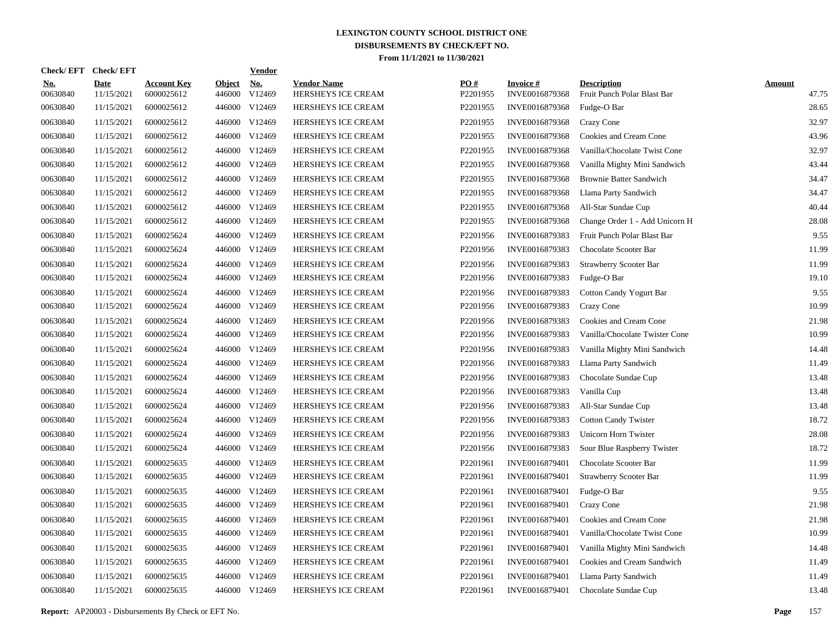| Check/EFT Check/EFT    |                           |                                  |                         | <u>Vendor</u>        |                                          |                      |                                   |                                                   |                        |
|------------------------|---------------------------|----------------------------------|-------------------------|----------------------|------------------------------------------|----------------------|-----------------------------------|---------------------------------------------------|------------------------|
| <u>No.</u><br>00630840 | <b>Date</b><br>11/15/2021 | <b>Account Key</b><br>6000025612 | <b>Object</b><br>446000 | <u>No.</u><br>V12469 | <b>Vendor Name</b><br>HERSHEYS ICE CREAM | PQ#<br>P2201955      | <b>Invoice#</b><br>INVE0016879368 | <b>Description</b><br>Fruit Punch Polar Blast Bar | <b>Amount</b><br>47.75 |
| 00630840               | 11/15/2021                | 6000025612                       | 446000                  | V12469               | HERSHEYS ICE CREAM                       | P2201955             | INVE0016879368                    | Fudge-O Bar                                       | 28.65                  |
| 00630840               | 11/15/2021                | 6000025612                       | 446000                  | V12469               | HERSHEYS ICE CREAM                       | P2201955             | INVE0016879368                    | Crazy Cone                                        | 32.97                  |
| 00630840               | 11/15/2021                | 6000025612                       | 446000                  | V12469               | HERSHEYS ICE CREAM                       | P2201955             | INVE0016879368                    | Cookies and Cream Cone                            | 43.96                  |
| 00630840               | 11/15/2021                | 6000025612                       | 446000                  | V12469               | HERSHEYS ICE CREAM                       | P2201955             | INVE0016879368                    | Vanilla/Chocolate Twist Cone                      | 32.97                  |
| 00630840               | 11/15/2021                | 6000025612                       | 446000                  | V12469               | HERSHEYS ICE CREAM                       | P2201955             | INVE0016879368                    | Vanilla Mighty Mini Sandwich                      | 43.44                  |
| 00630840               | 11/15/2021                | 6000025612                       | 446000                  | V12469               | HERSHEYS ICE CREAM                       | P2201955             | INVE0016879368                    | <b>Brownie Batter Sandwich</b>                    | 34.47                  |
| 00630840               | 11/15/2021                | 6000025612                       | 446000                  | V12469               | HERSHEYS ICE CREAM                       | P2201955             | INVE0016879368                    | Llama Party Sandwich                              | 34.47                  |
| 00630840               | 11/15/2021                | 6000025612                       | 446000                  | V12469               | HERSHEYS ICE CREAM                       | P2201955             | INVE0016879368                    | All-Star Sundae Cup                               | 40.44                  |
| 00630840               | 11/15/2021                | 6000025612                       | 446000                  | V12469               | HERSHEYS ICE CREAM                       | P2201955             | INVE0016879368                    | Change Order 1 - Add Unicorn H                    | 28.08                  |
| 00630840               | 11/15/2021                | 6000025624                       | 446000                  | V12469               | HERSHEYS ICE CREAM                       | P2201956             | INVE0016879383                    | Fruit Punch Polar Blast Bar                       | 9.55                   |
| 00630840               | 11/15/2021                | 6000025624                       | 446000                  | V12469               | HERSHEYS ICE CREAM                       | P2201956             | INVE0016879383                    | Chocolate Scooter Bar                             | 11.99                  |
| 00630840               | 11/15/2021                | 6000025624                       | 446000                  | V12469               | HERSHEYS ICE CREAM                       | P2201956             | INVE0016879383                    | <b>Strawberry Scooter Bar</b>                     | 11.99                  |
| 00630840               | 11/15/2021                | 6000025624                       | 446000                  | V12469               | HERSHEYS ICE CREAM                       | P2201956             | INVE0016879383                    | Fudge-O Bar                                       | 19.10                  |
| 00630840               | 11/15/2021                | 6000025624                       | 446000                  | V12469               | HERSHEYS ICE CREAM                       | P2201956             | INVE0016879383                    | Cotton Candy Yogurt Bar                           | 9.55                   |
| 00630840               | 11/15/2021                | 6000025624                       | 446000                  | V12469               | HERSHEYS ICE CREAM                       | P2201956             | INVE0016879383                    | Crazy Cone                                        | 10.99                  |
| 00630840               | 11/15/2021                | 6000025624                       | 446000                  | V12469               | HERSHEYS ICE CREAM                       | P2201956             | INVE0016879383                    | Cookies and Cream Cone                            | 21.98                  |
| 00630840               | 11/15/2021                | 6000025624                       | 446000                  | V12469               | HERSHEYS ICE CREAM                       | P2201956             | INVE0016879383                    | Vanilla/Chocolate Twister Cone                    | 10.99                  |
| 00630840               | 11/15/2021                | 6000025624                       | 446000                  | V12469               | HERSHEYS ICE CREAM                       | P2201956             | INVE0016879383                    | Vanilla Mighty Mini Sandwich                      | 14.48                  |
| 00630840               | 11/15/2021                | 6000025624                       | 446000                  | V12469               | HERSHEYS ICE CREAM                       | P <sub>2201956</sub> | INVE0016879383                    | Llama Party Sandwich                              | 11.49                  |
| 00630840               | 11/15/2021                | 6000025624                       | 446000                  | V12469               | HERSHEYS ICE CREAM                       | P <sub>2201956</sub> | INVE0016879383                    | Chocolate Sundae Cup                              | 13.48                  |
| 00630840               | 11/15/2021                | 6000025624                       | 446000                  | V12469               | HERSHEYS ICE CREAM                       | P2201956             | INVE0016879383                    | Vanilla Cup                                       | 13.48                  |
| 00630840               | 11/15/2021                | 6000025624                       | 446000                  | V12469               | HERSHEYS ICE CREAM                       | P2201956             | INVE0016879383                    | All-Star Sundae Cup                               | 13.48                  |
| 00630840               | 11/15/2021                | 6000025624                       | 446000                  | V12469               | HERSHEYS ICE CREAM                       | P2201956             | INVE0016879383                    | <b>Cotton Candy Twister</b>                       | 18.72                  |
| 00630840               | 11/15/2021                | 6000025624                       | 446000                  | V12469               | HERSHEYS ICE CREAM                       | P2201956             | INVE0016879383                    | Unicorn Horn Twister                              | 28.08                  |
| 00630840               | 11/15/2021                | 6000025624                       | 446000                  | V12469               | HERSHEYS ICE CREAM                       | P2201956             | INVE0016879383                    | Sour Blue Raspberry Twister                       | 18.72                  |
| 00630840               | 11/15/2021                | 6000025635                       | 446000                  | V12469               | HERSHEYS ICE CREAM                       | P2201961             | INVE0016879401                    | Chocolate Scooter Bar                             | 11.99                  |
| 00630840               | 11/15/2021                | 6000025635                       | 446000                  | V12469               | HERSHEYS ICE CREAM                       | P2201961             | INVE0016879401                    | Strawberry Scooter Bar                            | 11.99                  |
| 00630840               | 11/15/2021                | 6000025635                       | 446000                  | V12469               | HERSHEYS ICE CREAM                       | P2201961             | INVE0016879401                    | Fudge-O Bar                                       | 9.55                   |
| 00630840               | 11/15/2021                | 6000025635                       | 446000                  | V12469               | HERSHEYS ICE CREAM                       | P2201961             | INVE0016879401                    | Crazy Cone                                        | 21.98                  |
| 00630840               | 11/15/2021                | 6000025635                       | 446000                  | V12469               | HERSHEYS ICE CREAM                       | P2201961             | INVE0016879401                    | Cookies and Cream Cone                            | 21.98                  |
| 00630840               | 11/15/2021                | 6000025635                       | 446000                  | V12469               | HERSHEYS ICE CREAM                       | P2201961             | INVE0016879401                    | Vanilla/Chocolate Twist Cone                      | 10.99                  |
| 00630840               | 11/15/2021                | 6000025635                       | 446000                  | V12469               | HERSHEYS ICE CREAM                       | P2201961             | INVE0016879401                    | Vanilla Mighty Mini Sandwich                      | 14.48                  |
| 00630840               | 11/15/2021                | 6000025635                       | 446000                  | V12469               | HERSHEYS ICE CREAM                       | P2201961             | INVE0016879401                    | Cookies and Cream Sandwich                        | 11.49                  |
| 00630840               | 11/15/2021                | 6000025635                       | 446000                  | V12469               | HERSHEYS ICE CREAM                       | P2201961             | INVE0016879401                    | Llama Party Sandwich                              | 11.49                  |
| 00630840               | 11/15/2021                | 6000025635                       |                         | 446000 V12469        | HERSHEYS ICE CREAM                       | P2201961             | INVE0016879401                    | Chocolate Sundae Cup                              | 13.48                  |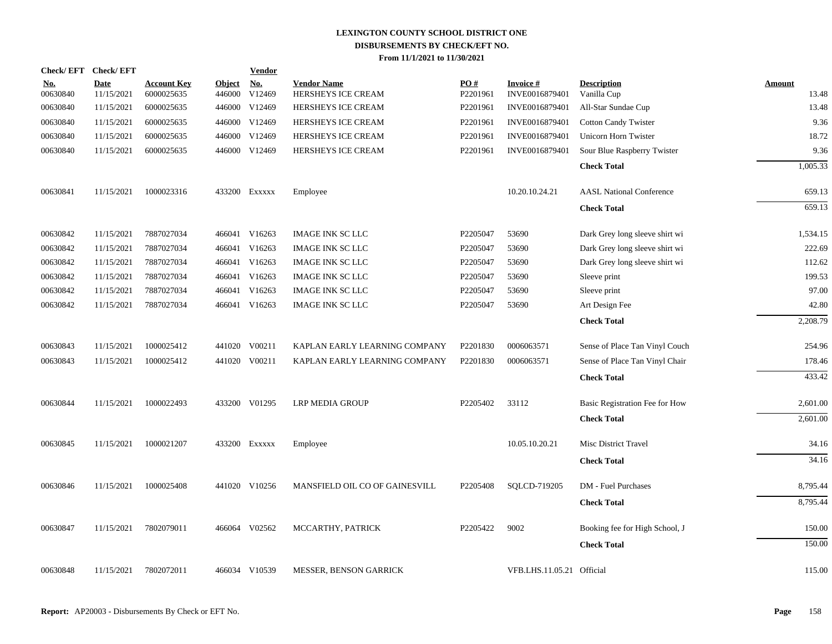| Check/EFT Check/EFT    |                           |                                  |                         | <b>Vendor</b>        |                                          |                 |                                   |                                   |                        |
|------------------------|---------------------------|----------------------------------|-------------------------|----------------------|------------------------------------------|-----------------|-----------------------------------|-----------------------------------|------------------------|
| <u>No.</u><br>00630840 | <b>Date</b><br>11/15/2021 | <b>Account Key</b><br>6000025635 | <b>Object</b><br>446000 | <u>No.</u><br>V12469 | <b>Vendor Name</b><br>HERSHEYS ICE CREAM | PO#<br>P2201961 | <b>Invoice#</b><br>INVE0016879401 | <b>Description</b><br>Vanilla Cup | <b>Amount</b><br>13.48 |
| 00630840               | 11/15/2021                | 6000025635                       | 446000                  | V12469               | HERSHEYS ICE CREAM                       | P2201961        | INVE0016879401                    | All-Star Sundae Cup               | 13.48                  |
| 00630840               | 11/15/2021                | 6000025635                       | 446000                  | V12469               | HERSHEYS ICE CREAM                       | P2201961        | INVE0016879401                    | <b>Cotton Candy Twister</b>       | 9.36                   |
| 00630840               | 11/15/2021                | 6000025635                       | 446000                  | V12469               | HERSHEYS ICE CREAM                       | P2201961        | INVE0016879401                    | Unicorn Horn Twister              | 18.72                  |
| 00630840               | 11/15/2021                | 6000025635                       | 446000                  | V12469               | HERSHEYS ICE CREAM                       | P2201961        | INVE0016879401                    | Sour Blue Raspberry Twister       | 9.36                   |
|                        |                           |                                  |                         |                      |                                          |                 |                                   | <b>Check Total</b>                | 1,005.33               |
| 00630841               | 11/15/2021                | 1000023316                       |                         | 433200 Exxxxx        | Employee                                 |                 | 10.20.10.24.21                    | <b>AASL National Conference</b>   | 659.13                 |
|                        |                           |                                  |                         |                      |                                          |                 |                                   | <b>Check Total</b>                | 659.13                 |
| 00630842               | 11/15/2021                | 7887027034                       | 466041                  | V16263               | <b>IMAGE INK SC LLC</b>                  | P2205047        | 53690                             | Dark Grey long sleeve shirt wi    | 1,534.15               |
| 00630842               | 11/15/2021                | 7887027034                       |                         | 466041 V16263        | <b>IMAGE INK SC LLC</b>                  | P2205047        | 53690                             | Dark Grey long sleeve shirt wi    | 222.69                 |
| 00630842               | 11/15/2021                | 7887027034                       |                         | 466041 V16263        | <b>IMAGE INK SC LLC</b>                  | P2205047        | 53690                             | Dark Grey long sleeve shirt wi    | 112.62                 |
| 00630842               | 11/15/2021                | 7887027034                       |                         | 466041 V16263        | <b>IMAGE INK SC LLC</b>                  | P2205047        | 53690                             | Sleeve print                      | 199.53                 |
| 00630842               | 11/15/2021                | 7887027034                       | 466041                  | V16263               | <b>IMAGE INK SC LLC</b>                  | P2205047        | 53690                             | Sleeve print                      | 97.00                  |
| 00630842               | 11/15/2021                | 7887027034                       |                         | 466041 V16263        | <b>IMAGE INK SC LLC</b>                  | P2205047        | 53690                             | Art Design Fee                    | 42.80                  |
|                        |                           |                                  |                         |                      |                                          |                 |                                   | <b>Check Total</b>                | 2,208.79               |
| 00630843               | 11/15/2021                | 1000025412                       | 441020                  | V00211               | KAPLAN EARLY LEARNING COMPANY            | P2201830        | 0006063571                        | Sense of Place Tan Vinyl Couch    | 254.96                 |
| 00630843               | 11/15/2021                | 1000025412                       |                         | 441020 V00211        | KAPLAN EARLY LEARNING COMPANY            | P2201830        | 0006063571                        | Sense of Place Tan Vinyl Chair    | 178.46                 |
|                        |                           |                                  |                         |                      |                                          |                 |                                   | <b>Check Total</b>                | 433.42                 |
| 00630844               | 11/15/2021                | 1000022493                       |                         | 433200 V01295        | LRP MEDIA GROUP                          | P2205402        | 33112                             | Basic Registration Fee for How    | 2,601.00               |
|                        |                           |                                  |                         |                      |                                          |                 |                                   | <b>Check Total</b>                | 2,601.00               |
| 00630845               | 11/15/2021                | 1000021207                       |                         | 433200 Exxxxx        | Employee                                 |                 | 10.05.10.20.21                    | Misc District Travel              | 34.16                  |
|                        |                           |                                  |                         |                      |                                          |                 |                                   | <b>Check Total</b>                | 34.16                  |
| 00630846               | 11/15/2021                | 1000025408                       |                         | 441020 V10256        | MANSFIELD OIL CO OF GAINESVILL           | P2205408        | SQLCD-719205                      | DM - Fuel Purchases               | 8,795.44               |
|                        |                           |                                  |                         |                      |                                          |                 |                                   | <b>Check Total</b>                | 8,795.44               |
| 00630847               | 11/15/2021                | 7802079011                       |                         | 466064 V02562        | MCCARTHY, PATRICK                        | P2205422        | 9002                              | Booking fee for High School, J    | 150.00                 |
|                        |                           |                                  |                         |                      |                                          |                 |                                   | <b>Check Total</b>                | 150.00                 |
| 00630848               | 11/15/2021                | 7802072011                       |                         | 466034 V10539        | <b>MESSER, BENSON GARRICK</b>            |                 | VFB.LHS.11.05.21 Official         |                                   | 115.00                 |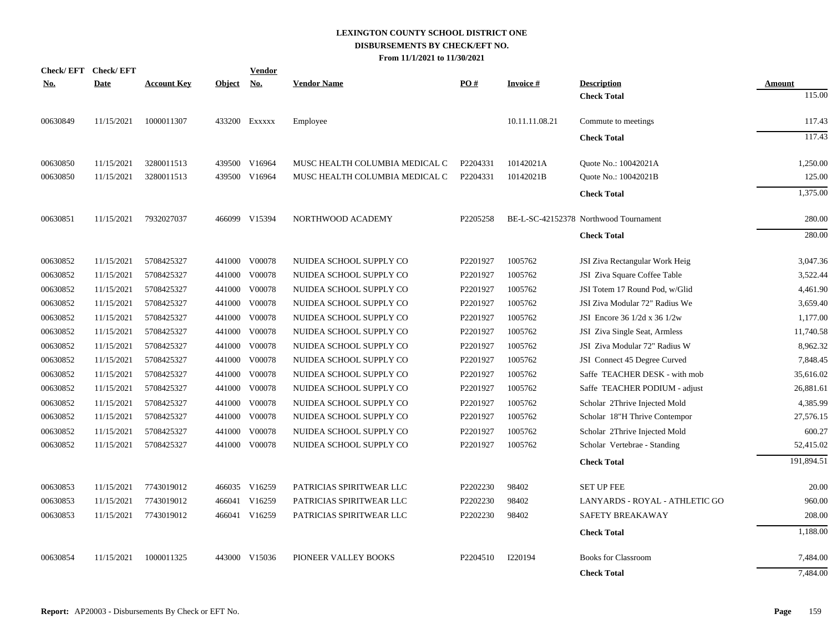| <b>Check/EFT</b> | <b>Check/EFT</b> |                    |               | <b>Vendor</b> |                                |          |                  |                                       |            |
|------------------|------------------|--------------------|---------------|---------------|--------------------------------|----------|------------------|---------------------------------------|------------|
| <u>No.</u>       | <b>Date</b>      | <b>Account Key</b> | <b>Object</b> | <u>No.</u>    | <b>Vendor Name</b>             | PO#      | <b>Invoice</b> # | <b>Description</b>                    | Amount     |
|                  |                  |                    |               |               |                                |          |                  | <b>Check Total</b>                    | 115.00     |
| 00630849         | 11/15/2021       | 1000011307         |               | 433200 Exxxxx | Employee                       |          | 10.11.11.08.21   | Commute to meetings                   | 117.43     |
|                  |                  |                    |               |               |                                |          |                  | <b>Check Total</b>                    | 117.43     |
| 00630850         | 11/15/2021       | 3280011513         |               | 439500 V16964 | MUSC HEALTH COLUMBIA MEDICAL C | P2204331 | 10142021A        | Quote No.: 10042021A                  | 1,250.00   |
| 00630850         | 11/15/2021       | 3280011513         |               | 439500 V16964 | MUSC HEALTH COLUMBIA MEDICAL C | P2204331 | 10142021B        | Quote No.: 10042021B                  | 125.00     |
|                  |                  |                    |               |               |                                |          |                  | <b>Check Total</b>                    | 1,375.00   |
| 00630851         | 11/15/2021       | 7932027037         |               | 466099 V15394 | NORTHWOOD ACADEMY              | P2205258 |                  | BE-L-SC-42152378 Northwood Tournament | 280.00     |
|                  |                  |                    |               |               |                                |          |                  | <b>Check Total</b>                    | 280.00     |
| 00630852         | 11/15/2021       | 5708425327         |               | 441000 V00078 | NUIDEA SCHOOL SUPPLY CO        | P2201927 | 1005762          | JSI Ziva Rectangular Work Heig        | 3,047.36   |
| 00630852         | 11/15/2021       | 5708425327         |               | 441000 V00078 | NUIDEA SCHOOL SUPPLY CO        | P2201927 | 1005762          | JSI Ziva Square Coffee Table          | 3,522.44   |
| 00630852         | 11/15/2021       | 5708425327         | 441000        | V00078        | NUIDEA SCHOOL SUPPLY CO        | P2201927 | 1005762          | JSI Totem 17 Round Pod, w/Glid        | 4,461.90   |
| 00630852         | 11/15/2021       | 5708425327         |               | 441000 V00078 | NUIDEA SCHOOL SUPPLY CO        | P2201927 | 1005762          | JSI Ziva Modular 72" Radius We        | 3,659.40   |
| 00630852         | 11/15/2021       | 5708425327         |               | 441000 V00078 | NUIDEA SCHOOL SUPPLY CO        | P2201927 | 1005762          | JSI Encore 36 1/2d x 36 1/2w          | 1,177.00   |
| 00630852         | 11/15/2021       | 5708425327         |               | 441000 V00078 | NUIDEA SCHOOL SUPPLY CO        | P2201927 | 1005762          | JSI Ziva Single Seat, Armless         | 11,740.58  |
| 00630852         | 11/15/2021       | 5708425327         |               | 441000 V00078 | NUIDEA SCHOOL SUPPLY CO        | P2201927 | 1005762          | JSI Ziva Modular 72" Radius W         | 8,962.32   |
| 00630852         | 11/15/2021       | 5708425327         |               | 441000 V00078 | NUIDEA SCHOOL SUPPLY CO        | P2201927 | 1005762          | JSI Connect 45 Degree Curved          | 7,848.45   |
| 00630852         | 11/15/2021       | 5708425327         | 441000        | V00078        | NUIDEA SCHOOL SUPPLY CO        | P2201927 | 1005762          | Saffe TEACHER DESK - with mob         | 35,616.02  |
| 00630852         | 11/15/2021       | 5708425327         | 441000        | V00078        | NUIDEA SCHOOL SUPPLY CO        | P2201927 | 1005762          | Saffe TEACHER PODIUM - adjust         | 26,881.61  |
| 00630852         | 11/15/2021       | 5708425327         |               | 441000 V00078 | NUIDEA SCHOOL SUPPLY CO        | P2201927 | 1005762          | Scholar 2Thrive Injected Mold         | 4,385.99   |
| 00630852         | 11/15/2021       | 5708425327         |               | 441000 V00078 | NUIDEA SCHOOL SUPPLY CO        | P2201927 | 1005762          | Scholar 18"H Thrive Contempor         | 27,576.15  |
| 00630852         | 11/15/2021       | 5708425327         | 441000        | V00078        | NUIDEA SCHOOL SUPPLY CO        | P2201927 | 1005762          | Scholar 2Thrive Injected Mold         | 600.27     |
| 00630852         | 11/15/2021       | 5708425327         |               | 441000 V00078 | NUIDEA SCHOOL SUPPLY CO        | P2201927 | 1005762          | Scholar Vertebrae - Standing          | 52,415.02  |
|                  |                  |                    |               |               |                                |          |                  | <b>Check Total</b>                    | 191,894.51 |
| 00630853         | 11/15/2021       | 7743019012         |               | 466035 V16259 | PATRICIAS SPIRITWEAR LLC       | P2202230 | 98402            | <b>SET UP FEE</b>                     | 20.00      |
| 00630853         | 11/15/2021       | 7743019012         |               | 466041 V16259 | PATRICIAS SPIRITWEAR LLC       | P2202230 | 98402            | LANYARDS - ROYAL - ATHLETIC GO        | 960.00     |
| 00630853         | 11/15/2021       | 7743019012         |               | 466041 V16259 | PATRICIAS SPIRITWEAR LLC       | P2202230 | 98402            | SAFETY BREAKAWAY                      | 208.00     |
|                  |                  |                    |               |               |                                |          |                  | <b>Check Total</b>                    | 1,188.00   |
| 00630854         | 11/15/2021       | 1000011325         |               | 443000 V15036 | PIONEER VALLEY BOOKS           | P2204510 | I220194          | <b>Books for Classroom</b>            | 7,484.00   |
|                  |                  |                    |               |               |                                |          |                  | <b>Check Total</b>                    | 7,484.00   |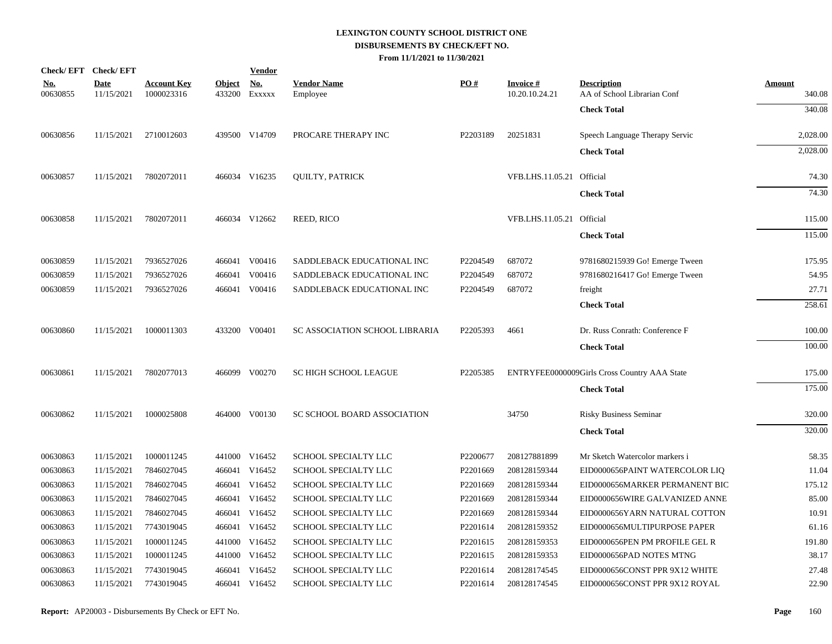|                        | Check/EFT Check/EFT       |                                  |                         | <b>Vendor</b>        |                                    |          |                                   |                                                   |                  |
|------------------------|---------------------------|----------------------------------|-------------------------|----------------------|------------------------------------|----------|-----------------------------------|---------------------------------------------------|------------------|
| <u>No.</u><br>00630855 | <b>Date</b><br>11/15/2021 | <b>Account Key</b><br>1000023316 | <b>Object</b><br>433200 | <u>No.</u><br>EXXXXX | <b>Vendor Name</b><br>Employee     | PO#      | <b>Invoice#</b><br>10.20.10.24.21 | <b>Description</b><br>AA of School Librarian Conf | Amount<br>340.08 |
|                        |                           |                                  |                         |                      |                                    |          |                                   | <b>Check Total</b>                                | 340.08           |
|                        |                           |                                  |                         |                      |                                    |          |                                   |                                                   |                  |
| 00630856               | 11/15/2021                | 2710012603                       |                         | 439500 V14709        | PROCARE THERAPY INC                | P2203189 | 20251831                          | Speech Language Therapy Servic                    | 2,028.00         |
|                        |                           |                                  |                         |                      |                                    |          |                                   | <b>Check Total</b>                                | 2,028.00         |
| 00630857               | 11/15/2021                | 7802072011                       |                         | 466034 V16235        | <b>QUILTY, PATRICK</b>             |          | VFB.LHS.11.05.21 Official         |                                                   | 74.30            |
|                        |                           |                                  |                         |                      |                                    |          |                                   | <b>Check Total</b>                                | 74.30            |
| 00630858               | 11/15/2021                | 7802072011                       |                         | 466034 V12662        | <b>REED, RICO</b>                  |          | VFB.LHS.11.05.21 Official         |                                                   | 115.00           |
|                        |                           |                                  |                         |                      |                                    |          |                                   | <b>Check Total</b>                                | 115.00           |
| 00630859               | 11/15/2021                | 7936527026                       |                         | 466041 V00416        | SADDLEBACK EDUCATIONAL INC         | P2204549 | 687072                            | 9781680215939 Go! Emerge Tween                    | 175.95           |
| 00630859               | 11/15/2021                | 7936527026                       |                         | 466041 V00416        | SADDLEBACK EDUCATIONAL INC         | P2204549 | 687072                            | 9781680216417 Go! Emerge Tween                    | 54.95            |
| 00630859               | 11/15/2021                | 7936527026                       |                         | 466041 V00416        | SADDLEBACK EDUCATIONAL INC         | P2204549 | 687072                            | freight                                           | 27.71            |
|                        |                           |                                  |                         |                      |                                    |          |                                   | <b>Check Total</b>                                | 258.61           |
| 00630860               | 11/15/2021                | 1000011303                       |                         | 433200 V00401        | SC ASSOCIATION SCHOOL LIBRARIA     | P2205393 | 4661                              | Dr. Russ Conrath: Conference F                    | 100.00           |
|                        |                           |                                  |                         |                      |                                    |          |                                   | <b>Check Total</b>                                | 100.00           |
| 00630861               | 11/15/2021                | 7802077013                       |                         | 466099 V00270        | <b>SC HIGH SCHOOL LEAGUE</b>       | P2205385 |                                   | ENTRYFEE0000009Girls Cross Country AAA State      | 175.00           |
|                        |                           |                                  |                         |                      |                                    |          |                                   | <b>Check Total</b>                                | 175.00           |
| 00630862               | 11/15/2021                | 1000025808                       |                         | 464000 V00130        | <b>SC SCHOOL BOARD ASSOCIATION</b> |          | 34750                             | <b>Risky Business Seminar</b>                     | 320.00           |
|                        |                           |                                  |                         |                      |                                    |          |                                   | <b>Check Total</b>                                | 320.00           |
| 00630863               | 11/15/2021                | 1000011245                       |                         | 441000 V16452        | SCHOOL SPECIALTY LLC               | P2200677 | 208127881899                      | Mr Sketch Watercolor markers i                    | 58.35            |
| 00630863               | 11/15/2021                | 7846027045                       |                         | 466041 V16452        | SCHOOL SPECIALTY LLC               | P2201669 | 208128159344                      | EID0000656PAINT WATERCOLOR LIQ                    | 11.04            |
| 00630863               | 11/15/2021                | 7846027045                       |                         | 466041 V16452        | SCHOOL SPECIALTY LLC               | P2201669 | 208128159344                      | EID0000656MARKER PERMANENT BIC                    | 175.12           |
| 00630863               | 11/15/2021                | 7846027045                       |                         | 466041 V16452        | SCHOOL SPECIALTY LLC               | P2201669 | 208128159344                      | EID0000656WIRE GALVANIZED ANNE                    | 85.00            |
| 00630863               | 11/15/2021                | 7846027045                       |                         | 466041 V16452        | SCHOOL SPECIALTY LLC               | P2201669 | 208128159344                      | EID0000656YARN NATURAL COTTON                     | 10.91            |
| 00630863               | 11/15/2021                | 7743019045                       |                         | 466041 V16452        | SCHOOL SPECIALTY LLC               | P2201614 | 208128159352                      | EID0000656MULTIPURPOSE PAPER                      | 61.16            |
| 00630863               | 11/15/2021                | 1000011245                       |                         | 441000 V16452        | SCHOOL SPECIALTY LLC               | P2201615 | 208128159353                      | EID0000656PEN PM PROFILE GEL R                    | 191.80           |
| 00630863               | 11/15/2021                | 1000011245                       |                         | 441000 V16452        | SCHOOL SPECIALTY LLC               | P2201615 | 208128159353                      | EID0000656PAD NOTES MTNG                          | 38.17            |
| 00630863               | 11/15/2021                | 7743019045                       |                         | 466041 V16452        | SCHOOL SPECIALTY LLC               | P2201614 | 208128174545                      | EID0000656CONST PPR 9X12 WHITE                    | 27.48            |
| 00630863               | 11/15/2021                | 7743019045                       |                         | 466041 V16452        | SCHOOL SPECIALTY LLC               | P2201614 | 208128174545                      | EID0000656CONST PPR 9X12 ROYAL                    | 22.90            |
|                        |                           |                                  |                         |                      |                                    |          |                                   |                                                   |                  |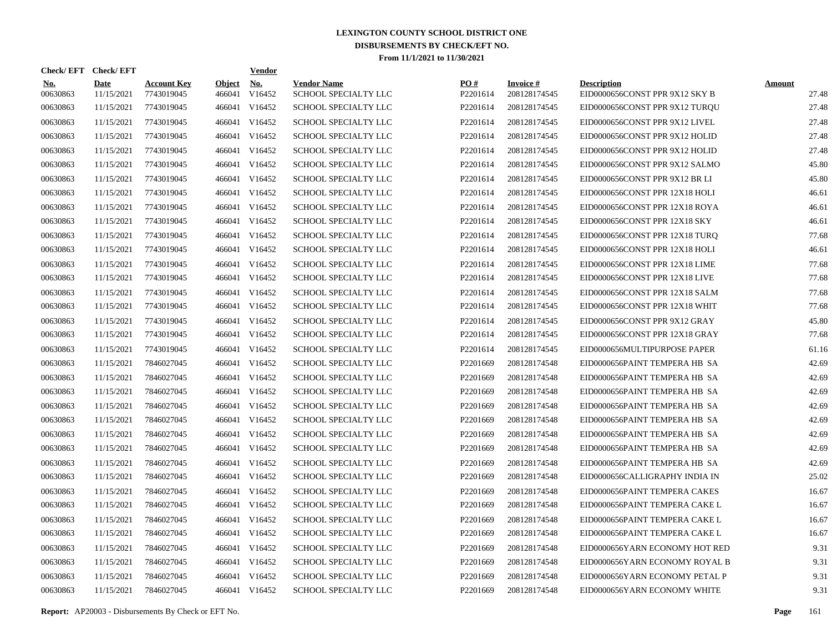| Check/EFT Check/EFT    |                           |                                  |                         | <u>Vendor</u>        |                                            |                 |                                 |                                                      |                        |
|------------------------|---------------------------|----------------------------------|-------------------------|----------------------|--------------------------------------------|-----------------|---------------------------------|------------------------------------------------------|------------------------|
| <b>No.</b><br>00630863 | <b>Date</b><br>11/15/2021 | <b>Account Key</b><br>7743019045 | <b>Object</b><br>466041 | <u>No.</u><br>V16452 | <b>Vendor Name</b><br>SCHOOL SPECIALTY LLC | PQ#<br>P2201614 | <b>Invoice#</b><br>208128174545 | <b>Description</b><br>EID0000656CONST PPR 9X12 SKY B | <b>Amount</b><br>27.48 |
| 00630863               | 11/15/2021                | 7743019045                       | 466041                  | V16452               | <b>SCHOOL SPECIALTY LLC</b>                | P2201614        | 208128174545                    | EID0000656CONST PPR 9X12 TURQU                       | 27.48                  |
| 00630863               | 11/15/2021                | 7743019045                       | 466041                  | V16452               | SCHOOL SPECIALTY LLC                       | P2201614        | 208128174545                    | EID0000656CONST PPR 9X12 LIVEL                       | 27.48                  |
| 00630863               | 11/15/2021                | 7743019045                       | 466041                  | V16452               | <b>SCHOOL SPECIALTY LLC</b>                | P2201614        | 208128174545                    | EID0000656CONST PPR 9X12 HOLID                       | 27.48                  |
| 00630863               | 11/15/2021                | 7743019045                       | 466041                  | V16452               | <b>SCHOOL SPECIALTY LLC</b>                | P2201614        | 208128174545                    | EID0000656CONST PPR 9X12 HOLID                       | 27.48                  |
| 00630863               | 11/15/2021                | 7743019045                       | 466041                  | V16452               | SCHOOL SPECIALTY LLC                       | P2201614        | 208128174545                    | EID0000656CONST PPR 9X12 SALMO                       | 45.80                  |
| 00630863               | 11/15/2021                | 7743019045                       | 466041                  | V16452               | SCHOOL SPECIALTY LLC                       | P2201614        | 208128174545                    | EID0000656CONST PPR 9X12 BR LI                       | 45.80                  |
| 00630863               | 11/15/2021                | 7743019045                       | 466041                  | V16452               | SCHOOL SPECIALTY LLC                       | P2201614        | 208128174545                    | EID0000656CONST PPR 12X18 HOLI                       | 46.61                  |
| 00630863               | 11/15/2021                | 7743019045                       | 466041                  | V16452               | SCHOOL SPECIALTY LLC                       | P2201614        | 208128174545                    | EID0000656CONST PPR 12X18 ROYA                       | 46.61                  |
| 00630863               | 11/15/2021                | 7743019045                       | 466041                  | V16452               | SCHOOL SPECIALTY LLC                       | P2201614        | 208128174545                    | EID0000656CONST PPR 12X18 SKY                        | 46.61                  |
| 00630863               | 11/15/2021                | 7743019045                       | 466041                  | V16452               | SCHOOL SPECIALTY LLC                       | P2201614        | 208128174545                    | EID0000656CONST PPR 12X18 TURQ                       | 77.68                  |
| 00630863               | 11/15/2021                | 7743019045                       |                         | 466041 V16452        | SCHOOL SPECIALTY LLC                       | P2201614        | 208128174545                    | EID0000656CONST PPR 12X18 HOLI                       | 46.61                  |
| 00630863               | 11/15/2021                | 7743019045                       | 466041                  | V16452               | SCHOOL SPECIALTY LLC                       | P2201614        | 208128174545                    | EID0000656CONST PPR 12X18 LIME                       | 77.68                  |
| 00630863               | 11/15/2021                | 7743019045                       |                         | 466041 V16452        | SCHOOL SPECIALTY LLC                       | P2201614        | 208128174545                    | EID0000656CONST PPR 12X18 LIVE                       | 77.68                  |
| 00630863               | 11/15/2021                | 7743019045                       | 466041                  | V16452               | SCHOOL SPECIALTY LLC                       | P2201614        | 208128174545                    | EID0000656CONST PPR 12X18 SALM                       | 77.68                  |
| 00630863               | 11/15/2021                | 7743019045                       |                         | 466041 V16452        | SCHOOL SPECIALTY LLC                       | P2201614        | 208128174545                    | EID0000656CONST PPR 12X18 WHIT                       | 77.68                  |
| 00630863               | 11/15/2021                | 7743019045                       | 466041                  | V16452               | SCHOOL SPECIALTY LLC                       | P2201614        | 208128174545                    | EID0000656CONST PPR 9X12 GRAY                        | 45.80                  |
| 00630863               | 11/15/2021                | 7743019045                       |                         | 466041 V16452        | SCHOOL SPECIALTY LLC                       | P2201614        | 208128174545                    | EID0000656CONST PPR 12X18 GRAY                       | 77.68                  |
| 00630863               | 11/15/2021                | 7743019045                       | 466041                  | V16452               | SCHOOL SPECIALTY LLC                       | P2201614        | 208128174545                    | EID0000656MULTIPURPOSE PAPER                         | 61.16                  |
| 00630863               | 11/15/2021                | 7846027045                       |                         | 466041 V16452        | SCHOOL SPECIALTY LLC                       | P2201669        | 208128174548                    | EID0000656PAINT TEMPERA HB SA                        | 42.69                  |
| 00630863               | 11/15/2021                | 7846027045                       | 466041                  | V16452               | SCHOOL SPECIALTY LLC                       | P2201669        | 208128174548                    | EID0000656PAINT TEMPERA HB SA                        | 42.69                  |
| 00630863               | 11/15/2021                | 7846027045                       | 466041                  | V16452               | SCHOOL SPECIALTY LLC                       | P2201669        | 208128174548                    | EID0000656PAINT TEMPERA HB SA                        | 42.69                  |
| 00630863               | 11/15/2021                | 7846027045                       | 466041                  | V16452               | <b>SCHOOL SPECIALTY LLC</b>                | P2201669        | 208128174548                    | EID0000656PAINT TEMPERA HB SA                        | 42.69                  |
| 00630863               | 11/15/2021                | 7846027045                       | 466041                  | V16452               | SCHOOL SPECIALTY LLC                       | P2201669        | 208128174548                    | EID0000656PAINT TEMPERA HB SA                        | 42.69                  |
| 00630863               | 11/15/2021                | 7846027045                       | 466041                  | V16452               | SCHOOL SPECIALTY LLC                       | P2201669        | 208128174548                    | EID0000656PAINT TEMPERA HB SA                        | 42.69                  |
| 00630863               | 11/15/2021                | 7846027045                       | 466041                  | V16452               | <b>SCHOOL SPECIALTY LLC</b>                | P2201669        | 208128174548                    | EID0000656PAINT TEMPERA HB SA                        | 42.69                  |
| 00630863               | 11/15/2021                | 7846027045                       | 466041                  | V16452               | <b>SCHOOL SPECIALTY LLC</b>                | P2201669        | 208128174548                    | EID0000656PAINT TEMPERA HB SA                        | 42.69                  |
| 00630863               | 11/15/2021                | 7846027045                       | 466041                  | V16452               | SCHOOL SPECIALTY LLC                       | P2201669        | 208128174548                    | EID0000656CALLIGRAPHY INDIA IN                       | 25.02                  |
| 00630863               | 11/15/2021                | 7846027045                       | 466041                  | V16452               | SCHOOL SPECIALTY LLC                       | P2201669        | 208128174548                    | EID0000656PAINT TEMPERA CAKES                        | 16.67                  |
| 00630863               | 11/15/2021                | 7846027045                       | 466041                  | V16452               | SCHOOL SPECIALTY LLC                       | P2201669        | 208128174548                    | EID0000656PAINT TEMPERA CAKE L                       | 16.67                  |
| 00630863               | 11/15/2021                | 7846027045                       | 466041                  | V16452               | SCHOOL SPECIALTY LLC                       | P2201669        | 208128174548                    | EID0000656PAINT TEMPERA CAKE L                       | 16.67                  |
| 00630863               | 11/15/2021                | 7846027045                       | 466041                  | V16452               | SCHOOL SPECIALTY LLC                       | P2201669        | 208128174548                    | EID0000656PAINT TEMPERA CAKE L                       | 16.67                  |
| 00630863               | 11/15/2021                | 7846027045                       | 466041                  | V16452               | SCHOOL SPECIALTY LLC                       | P2201669        | 208128174548                    | EID0000656YARN ECONOMY HOT RED                       | 9.31                   |
| 00630863               | 11/15/2021                | 7846027045                       | 466041                  | V16452               | SCHOOL SPECIALTY LLC                       | P2201669        | 208128174548                    | EID0000656YARN ECONOMY ROYAL B                       | 9.31                   |
| 00630863               | 11/15/2021                | 7846027045                       | 466041                  | V16452               | SCHOOL SPECIALTY LLC                       | P2201669        | 208128174548                    | EID0000656YARN ECONOMY PETAL P                       | 9.31                   |
| 00630863               | 11/15/2021                | 7846027045                       |                         | 466041 V16452        | <b>SCHOOL SPECIALTY LLC</b>                | P2201669        | 208128174548                    | EID0000656YARN ECONOMY WHITE                         | 9.31                   |

**Report:** AP20003 - Disbursements By Check or EFT No. **Page** 161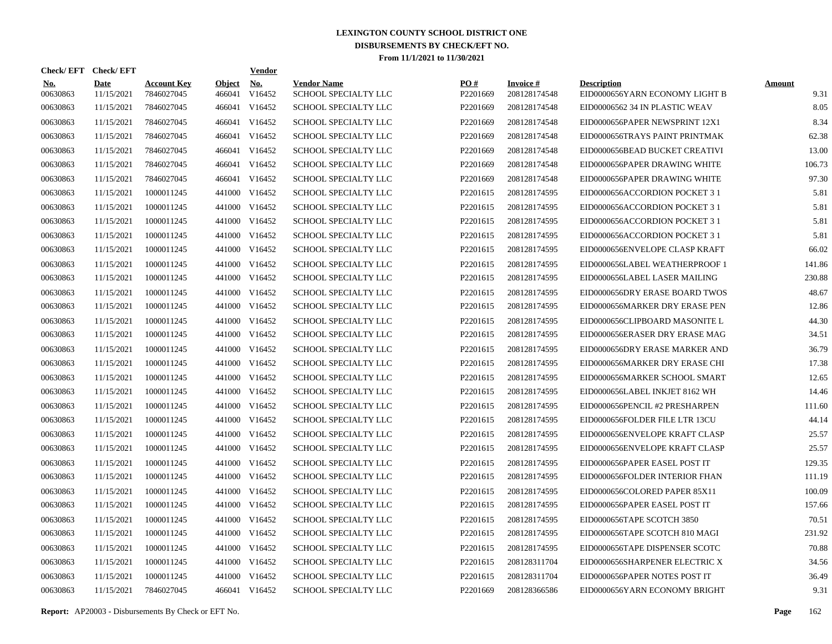|                        | Check/EFT Check/EFT       |                                  |                         | <b>Vendor</b>        |                                            |                      |                                 |                                                      |                       |
|------------------------|---------------------------|----------------------------------|-------------------------|----------------------|--------------------------------------------|----------------------|---------------------------------|------------------------------------------------------|-----------------------|
| <b>No.</b><br>00630863 | <b>Date</b><br>11/15/2021 | <b>Account Key</b><br>7846027045 | <b>Object</b><br>466041 | <b>No.</b><br>V16452 | <b>Vendor Name</b><br>SCHOOL SPECIALTY LLC | PO#<br>P2201669      | <b>Invoice#</b><br>208128174548 | <b>Description</b><br>EID0000656YARN ECONOMY LIGHT B | <b>Amount</b><br>9.31 |
| 00630863               | 11/15/2021                | 7846027045                       |                         | 466041 V16452        | SCHOOL SPECIALTY LLC                       | P2201669             | 208128174548                    | EID00006562 34 IN PLASTIC WEAV                       | 8.05                  |
| 00630863               | 11/15/2021                | 7846027045                       |                         | 466041 V16452        | SCHOOL SPECIALTY LLC                       | P2201669             | 208128174548                    | EID0000656PAPER NEWSPRINT 12X1                       | 8.34                  |
| 00630863               | 11/15/2021                | 7846027045                       |                         | 466041 V16452        | <b>SCHOOL SPECIALTY LLC</b>                | P2201669             | 208128174548                    | EID0000656TRAYS PAINT PRINTMAK                       | 62.38                 |
| 00630863               | 11/15/2021                | 7846027045                       |                         | 466041 V16452        | <b>SCHOOL SPECIALTY LLC</b>                | P2201669             | 208128174548                    | EID0000656BEAD BUCKET CREATIVI                       | 13.00                 |
| 00630863               | 11/15/2021                | 7846027045                       |                         | 466041 V16452        | SCHOOL SPECIALTY LLC                       | P2201669             | 208128174548                    | EID0000656PAPER DRAWING WHITE                        | 106.73                |
| 00630863               | 11/15/2021                | 7846027045                       |                         | 466041 V16452        | SCHOOL SPECIALTY LLC                       | P2201669             | 208128174548                    | EID0000656PAPER DRAWING WHITE                        | 97.30                 |
| 00630863               | 11/15/2021                | 1000011245                       |                         | 441000 V16452        | SCHOOL SPECIALTY LLC                       | P2201615             | 208128174595                    | EID0000656ACCORDION POCKET 3 1                       | 5.81                  |
| 00630863               | 11/15/2021                | 1000011245                       | 441000                  | V16452               | SCHOOL SPECIALTY LLC                       | P2201615             | 208128174595                    | EID0000656ACCORDION POCKET 3 1                       | 5.81                  |
| 00630863               | 11/15/2021                | 1000011245                       | 441000                  | V16452               | SCHOOL SPECIALTY LLC                       | P2201615             | 208128174595                    | EID0000656ACCORDION POCKET 3 1                       | 5.81                  |
| 00630863               | 11/15/2021                | 1000011245                       | 441000                  | V16452               | SCHOOL SPECIALTY LLC                       | P2201615             | 208128174595                    | EID0000656ACCORDION POCKET 3 1                       | 5.81                  |
| 00630863               | 11/15/2021                | 1000011245                       | 441000                  | V16452               | SCHOOL SPECIALTY LLC                       | P2201615             | 208128174595                    | EID0000656ENVELOPE CLASP KRAFT                       | 66.02                 |
| 00630863               | 11/15/2021                | 1000011245                       | 441000                  | V16452               | SCHOOL SPECIALTY LLC                       | P2201615             | 208128174595                    | EID0000656LABEL WEATHERPROOF 1                       | 141.86                |
| 00630863               | 11/15/2021                | 1000011245                       | 441000                  | V16452               | SCHOOL SPECIALTY LLC                       | P <sub>2201615</sub> | 208128174595                    | EID0000656LABEL LASER MAILING                        | 230.88                |
| 00630863               | 11/15/2021                | 1000011245                       | 441000                  | V16452               | SCHOOL SPECIALTY LLC                       | P2201615             | 208128174595                    | EID0000656DRY ERASE BOARD TWOS                       | 48.67                 |
| 00630863               | 11/15/2021                | 1000011245                       | 441000                  | V16452               | SCHOOL SPECIALTY LLC                       | P2201615             | 208128174595                    | EID0000656MARKER DRY ERASE PEN                       | 12.86                 |
| 00630863               | 11/15/2021                | 1000011245                       | 441000                  | V16452               | SCHOOL SPECIALTY LLC                       | P2201615             | 208128174595                    | EID0000656CLIPBOARD MASONITE L                       | 44.30                 |
| 00630863               | 11/15/2021                | 1000011245                       | 441000                  | V16452               | SCHOOL SPECIALTY LLC                       | P2201615             | 208128174595                    | EID0000656ERASER DRY ERASE MAG                       | 34.51                 |
| 00630863               | 11/15/2021                | 1000011245                       | 441000                  | V16452               | SCHOOL SPECIALTY LLC                       | P2201615             | 208128174595                    | EID0000656DRY ERASE MARKER AND                       | 36.79                 |
| 00630863               | 11/15/2021                | 1000011245                       |                         | 441000 V16452        | SCHOOL SPECIALTY LLC                       | P2201615             | 208128174595                    | EID0000656MARKER DRY ERASE CHI                       | 17.38                 |
| 00630863               | 11/15/2021                | 1000011245                       | 441000                  | V16452               | <b>SCHOOL SPECIALTY LLC</b>                | P2201615             | 208128174595                    | EID0000656MARKER SCHOOL SMART                        | 12.65                 |
| 00630863               | 11/15/2021                | 1000011245                       |                         | 441000 V16452        | SCHOOL SPECIALTY LLC                       | P2201615             | 208128174595                    | EID0000656LABEL INKJET 8162 WH                       | 14.46                 |
| 00630863               | 11/15/2021                | 1000011245                       | 441000                  | V16452               | <b>SCHOOL SPECIALTY LLC</b>                | P2201615             | 208128174595                    | EID0000656PENCIL #2 PRESHARPEN                       | 111.60                |
| 00630863               | 11/15/2021                | 1000011245                       | 441000                  | V16452               | SCHOOL SPECIALTY LLC                       | P2201615             | 208128174595                    | EID0000656FOLDER FILE LTR 13CU                       | 44.14                 |
| 00630863               | 11/15/2021                | 1000011245                       | 441000                  | V16452               | <b>SCHOOL SPECIALTY LLC</b>                | P2201615             | 208128174595                    | EID0000656ENVELOPE KRAFT CLASP                       | 25.57                 |
| 00630863               | 11/15/2021                | 1000011245                       | 441000                  | V16452               | <b>SCHOOL SPECIALTY LLC</b>                | P <sub>2201615</sub> | 208128174595                    | EID0000656ENVELOPE KRAFT CLASP                       | 25.57                 |
| 00630863               | 11/15/2021                | 1000011245                       | 441000                  | V16452               | <b>SCHOOL SPECIALTY LLC</b>                | P2201615             | 208128174595                    | EID0000656PAPER EASEL POST IT                        | 129.35                |
| 00630863               | 11/15/2021                | 1000011245                       | 441000                  | V16452               | SCHOOL SPECIALTY LLC                       | P2201615             | 208128174595                    | EID0000656FOLDER INTERIOR FHAN                       | 111.19                |
| 00630863               | 11/15/2021                | 1000011245                       | 441000                  | V16452               | SCHOOL SPECIALTY LLC                       | P2201615             | 208128174595                    | EID0000656COLORED PAPER 85X11                        | 100.09                |
| 00630863               | 11/15/2021                | 1000011245                       | 441000                  | V16452               | SCHOOL SPECIALTY LLC                       | P2201615             | 208128174595                    | EID0000656PAPER EASEL POST IT                        | 157.66                |
| 00630863               | 11/15/2021                | 1000011245                       | 441000                  | V16452               | SCHOOL SPECIALTY LLC                       | P2201615             | 208128174595                    | EID0000656TAPE SCOTCH 3850                           | 70.51                 |
| 00630863               | 11/15/2021                | 1000011245                       | 441000                  | V16452               | <b>SCHOOL SPECIALTY LLC</b>                | P2201615             | 208128174595                    | EID0000656TAPE SCOTCH 810 MAGI                       | 231.92                |
| 00630863               | 11/15/2021                | 1000011245                       | 441000                  | V16452               | SCHOOL SPECIALTY LLC                       | P2201615             | 208128174595                    | EID0000656TAPE DISPENSER SCOTC                       | 70.88                 |
| 00630863               | 11/15/2021                | 1000011245                       | 441000                  | V16452               | SCHOOL SPECIALTY LLC                       | P2201615             | 208128311704                    | EID0000656SHARPENER ELECTRIC X                       | 34.56                 |
| 00630863               | 11/15/2021                | 1000011245                       | 441000                  | V16452               | SCHOOL SPECIALTY LLC                       | P2201615             | 208128311704                    | EID0000656PAPER NOTES POST IT                        | 36.49                 |
| 00630863               | 11/15/2021                | 7846027045                       |                         | 466041 V16452        | <b>SCHOOL SPECIALTY LLC</b>                | P2201669             | 208128366586                    | EID0000656YARN ECONOMY BRIGHT                        | 9.31                  |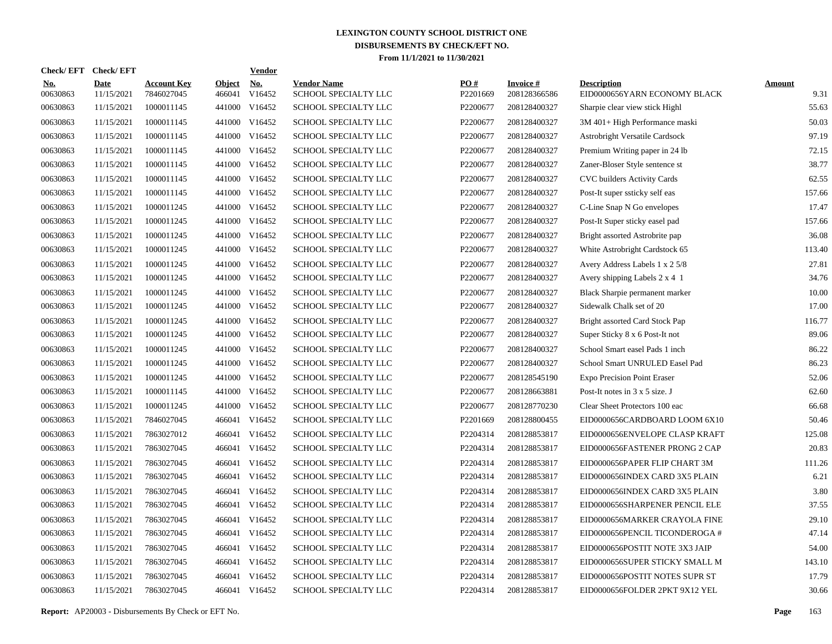| Check/ EFT             | <b>Check/EFT</b>          |                                  |                         | <b>Vendor</b>        |                                            |                 |                                 |                                                    |                       |
|------------------------|---------------------------|----------------------------------|-------------------------|----------------------|--------------------------------------------|-----------------|---------------------------------|----------------------------------------------------|-----------------------|
| <u>No.</u><br>00630863 | <b>Date</b><br>11/15/2021 | <b>Account Key</b><br>7846027045 | <b>Object</b><br>466041 | <u>No.</u><br>V16452 | <b>Vendor Name</b><br>SCHOOL SPECIALTY LLC | PQ#<br>P2201669 | <b>Invoice#</b><br>208128366586 | <b>Description</b><br>EID0000656YARN ECONOMY BLACK | <b>Amount</b><br>9.31 |
| 00630863               | 11/15/2021                | 1000011145                       | 441000                  | V16452               | SCHOOL SPECIALTY LLC                       | P2200677        | 208128400327                    | Sharpie clear view stick Highl                     | 55.63                 |
| 00630863               | 11/15/2021                | 1000011145                       | 441000                  | V16452               | SCHOOL SPECIALTY LLC                       | P2200677        | 208128400327                    | 3M 401+ High Performance maski                     | 50.03                 |
| 00630863               | 11/15/2021                | 1000011145                       |                         | 441000 V16452        | SCHOOL SPECIALTY LLC                       | P2200677        | 208128400327                    | Astrobright Versatile Cardsock                     | 97.19                 |
| 00630863               | 11/15/2021                | 1000011145                       | 441000                  | V16452               | SCHOOL SPECIALTY LLC                       | P2200677        | 208128400327                    | Premium Writing paper in 24 lb                     | 72.15                 |
| 00630863               | 11/15/2021                | 1000011145                       |                         | 441000 V16452        | SCHOOL SPECIALTY LLC                       | P2200677        | 208128400327                    | Zaner-Bloser Style sentence st                     | 38.77                 |
| 00630863               | 11/15/2021                | 1000011145                       |                         | 441000 V16452        | SCHOOL SPECIALTY LLC                       | P2200677        | 208128400327                    | CVC builders Activity Cards                        | 62.55                 |
| 00630863               | 11/15/2021                | 1000011145                       |                         | 441000 V16452        | SCHOOL SPECIALTY LLC                       | P2200677        | 208128400327                    | Post-It super ssticky self eas                     | 157.66                |
| 00630863               | 11/15/2021                | 1000011245                       |                         | 441000 V16452        | SCHOOL SPECIALTY LLC                       | P2200677        | 208128400327                    | C-Line Snap N Go envelopes                         | 17.47                 |
| 00630863               | 11/15/2021                | 1000011245                       |                         | 441000 V16452        | SCHOOL SPECIALTY LLC                       | P2200677        | 208128400327                    | Post-It Super sticky easel pad                     | 157.66                |
| 00630863               | 11/15/2021                | 1000011245                       |                         | 441000 V16452        | SCHOOL SPECIALTY LLC                       | P2200677        | 208128400327                    | Bright assorted Astrobrite pap                     | 36.08                 |
| 00630863               | 11/15/2021                | 1000011245                       |                         | 441000 V16452        | SCHOOL SPECIALTY LLC                       | P2200677        | 208128400327                    | White Astrobright Cardstock 65                     | 113.40                |
| 00630863               | 11/15/2021                | 1000011245                       |                         | 441000 V16452        | SCHOOL SPECIALTY LLC                       | P2200677        | 208128400327                    | Avery Address Labels 1 x 2 5/8                     | 27.81                 |
| 00630863               | 11/15/2021                | 1000011245                       |                         | 441000 V16452        | SCHOOL SPECIALTY LLC                       | P2200677        | 208128400327                    | Avery shipping Labels 2 x 4 1                      | 34.76                 |
| 00630863               | 11/15/2021                | 1000011245                       | 441000                  | V16452               | SCHOOL SPECIALTY LLC                       | P2200677        | 208128400327                    | Black Sharpie permanent marker                     | 10.00                 |
| 00630863               | 11/15/2021                | 1000011245                       |                         | 441000 V16452        | SCHOOL SPECIALTY LLC                       | P2200677        | 208128400327                    | Sidewalk Chalk set of 20                           | 17.00                 |
| 00630863               | 11/15/2021                | 1000011245                       | 441000                  | V16452               | SCHOOL SPECIALTY LLC                       | P2200677        | 208128400327                    | Bright assorted Card Stock Pap                     | 116.77                |
| 00630863               | 11/15/2021                | 1000011245                       |                         | 441000 V16452        | SCHOOL SPECIALTY LLC                       | P2200677        | 208128400327                    | Super Sticky 8 x 6 Post-It not                     | 89.06                 |
| 00630863               | 11/15/2021                | 1000011245                       | 441000                  | V16452               | SCHOOL SPECIALTY LLC                       | P2200677        | 208128400327                    | School Smart easel Pads 1 inch                     | 86.22                 |
| 00630863               | 11/15/2021                | 1000011245                       |                         | 441000 V16452        | SCHOOL SPECIALTY LLC                       | P2200677        | 208128400327                    | School Smart UNRULED Easel Pad                     | 86.23                 |
| 00630863               | 11/15/2021                | 1000011245                       | 441000                  | V16452               | SCHOOL SPECIALTY LLC                       | P2200677        | 208128545190                    | <b>Expo Precision Point Eraser</b>                 | 52.06                 |
| 00630863               | 11/15/2021                | 1000011145                       |                         | 441000 V16452        | SCHOOL SPECIALTY LLC                       | P2200677        | 208128663881                    | Post-It notes in 3 x 5 size. J                     | 62.60                 |
| 00630863               | 11/15/2021                | 1000011245                       | 441000                  | V16452               | SCHOOL SPECIALTY LLC                       | P2200677        | 208128770230                    | Clear Sheet Protectors 100 eac                     | 66.68                 |
| 00630863               | 11/15/2021                | 7846027045                       |                         | 466041 V16452        | SCHOOL SPECIALTY LLC                       | P2201669        | 208128800455                    | EID0000656CARDBOARD LOOM 6X10                      | 50.46                 |
| 00630863               | 11/15/2021                | 7863027012                       |                         | 466041 V16452        | SCHOOL SPECIALTY LLC                       | P2204314        | 208128853817                    | EID0000656ENVELOPE CLASP KRAFT                     | 125.08                |
| 00630863               | 11/15/2021                | 7863027045                       |                         | 466041 V16452        | <b>SCHOOL SPECIALTY LLC</b>                | P2204314        | 208128853817                    | EID0000656FASTENER PRONG 2 CAP                     | 20.83                 |
| 00630863               | 11/15/2021                | 7863027045                       | 466041                  | V16452               | <b>SCHOOL SPECIALTY LLC</b>                | P2204314        | 208128853817                    | EID0000656PAPER FLIP CHART 3M                      | 111.26                |
| 00630863               | 11/15/2021                | 7863027045                       |                         | 466041 V16452        | SCHOOL SPECIALTY LLC                       | P2204314        | 208128853817                    | EID0000656INDEX CARD 3X5 PLAIN                     | 6.21                  |
| 00630863               | 11/15/2021                | 7863027045                       | 466041                  | V16452               | SCHOOL SPECIALTY LLC                       | P2204314        | 208128853817                    | EID0000656INDEX CARD 3X5 PLAIN                     | 3.80                  |
| 00630863               | 11/15/2021                | 7863027045                       |                         | 466041 V16452        | SCHOOL SPECIALTY LLC                       | P2204314        | 208128853817                    | EID0000656SHARPENER PENCIL ELE                     | 37.55                 |
| 00630863               | 11/15/2021                | 7863027045                       |                         | 466041 V16452        | SCHOOL SPECIALTY LLC                       | P2204314        | 208128853817                    | EID0000656MARKER CRAYOLA FINE                      | 29.10                 |
| 00630863               | 11/15/2021                | 7863027045                       |                         | 466041 V16452        | SCHOOL SPECIALTY LLC                       | P2204314        | 208128853817                    | EID0000656PENCIL TICONDEROGA #                     | 47.14                 |
| 00630863               | 11/15/2021                | 7863027045                       |                         | 466041 V16452        | SCHOOL SPECIALTY LLC                       | P2204314        | 208128853817                    | EID0000656POSTIT NOTE 3X3 JAIP                     | 54.00                 |
| 00630863               | 11/15/2021                | 7863027045                       |                         | 466041 V16452        | SCHOOL SPECIALTY LLC                       | P2204314        | 208128853817                    | EID0000656SUPER STICKY SMALL M                     | 143.10                |
| 00630863               | 11/15/2021                | 7863027045                       |                         | 466041 V16452        | SCHOOL SPECIALTY LLC                       | P2204314        | 208128853817                    | EID0000656POSTIT NOTES SUPR ST                     | 17.79                 |
| 00630863               | 11/15/2021                | 7863027045                       |                         | 466041 V16452        | SCHOOL SPECIALTY LLC                       | P2204314        | 208128853817                    | EID0000656FOLDER 2PKT 9X12 YEL                     | 30.66                 |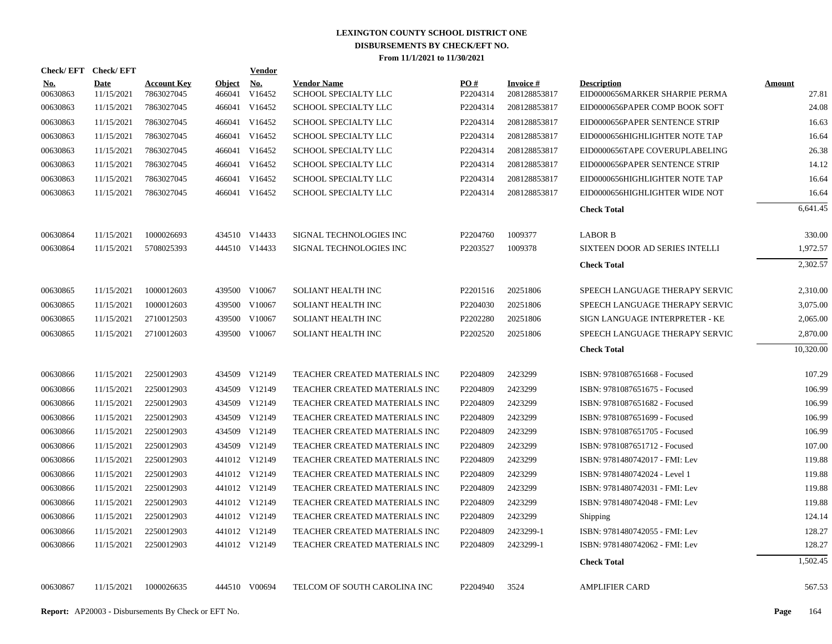| Check/EFT Check/EFT    |                           |                                  |                         | <b>Vendor</b>        |                                            |                               |                                 |                                                      |                        |
|------------------------|---------------------------|----------------------------------|-------------------------|----------------------|--------------------------------------------|-------------------------------|---------------------------------|------------------------------------------------------|------------------------|
| <u>No.</u><br>00630863 | <b>Date</b><br>11/15/2021 | <b>Account Key</b><br>7863027045 | <b>Object</b><br>466041 | <u>No.</u><br>V16452 | <b>Vendor Name</b><br>SCHOOL SPECIALTY LLC | $\underline{PO#}$<br>P2204314 | <b>Invoice#</b><br>208128853817 | <b>Description</b><br>EID0000656MARKER SHARPIE PERMA | <u>Amount</u><br>27.81 |
| 00630863               | 11/15/2021                | 7863027045                       |                         | 466041 V16452        | SCHOOL SPECIALTY LLC                       | P2204314                      | 208128853817                    | EID0000656PAPER COMP BOOK SOFT                       | 24.08                  |
| 00630863               | 11/15/2021                | 7863027045                       |                         | 466041 V16452        | SCHOOL SPECIALTY LLC                       | P2204314                      | 208128853817                    | EID0000656PAPER SENTENCE STRIP                       | 16.63                  |
| 00630863               | 11/15/2021                | 7863027045                       |                         | 466041 V16452        | SCHOOL SPECIALTY LLC                       | P2204314                      | 208128853817                    | EID0000656HIGHLIGHTER NOTE TAP                       | 16.64                  |
| 00630863               | 11/15/2021                | 7863027045                       |                         | 466041 V16452        | SCHOOL SPECIALTY LLC                       | P2204314                      | 208128853817                    | EID0000656TAPE COVERUPLABELING                       | 26.38                  |
| 00630863               | 11/15/2021                | 7863027045                       |                         | 466041 V16452        | SCHOOL SPECIALTY LLC                       | P2204314                      | 208128853817                    | EID0000656PAPER SENTENCE STRIP                       | 14.12                  |
| 00630863               | 11/15/2021                | 7863027045                       |                         | 466041 V16452        | SCHOOL SPECIALTY LLC                       | P2204314                      | 208128853817                    | EID0000656HIGHLIGHTER NOTE TAP                       | 16.64                  |
| 00630863               | 11/15/2021                | 7863027045                       |                         | 466041 V16452        | SCHOOL SPECIALTY LLC                       | P2204314                      | 208128853817                    | EID0000656HIGHLIGHTER WIDE NOT                       | 16.64                  |
|                        |                           |                                  |                         |                      |                                            |                               |                                 | <b>Check Total</b>                                   | 6,641.45               |
| 00630864               | 11/15/2021                | 1000026693                       |                         | 434510 V14433        | SIGNAL TECHNOLOGIES INC                    | P2204760                      | 1009377                         | <b>LABOR B</b>                                       | 330.00                 |
| 00630864               | 11/15/2021                | 5708025393                       |                         | 444510 V14433        | SIGNAL TECHNOLOGIES INC                    | P2203527                      | 1009378                         | SIXTEEN DOOR AD SERIES INTELLI                       | 1,972.57               |
|                        |                           |                                  |                         |                      |                                            |                               |                                 | <b>Check Total</b>                                   | 2,302.57               |
| 00630865               | 11/15/2021                | 1000012603                       |                         | 439500 V10067        | SOLIANT HEALTH INC                         | P2201516                      | 20251806                        | SPEECH LANGUAGE THERAPY SERVIC                       | 2,310.00               |
| 00630865               | 11/15/2021                | 1000012603                       |                         | 439500 V10067        | SOLIANT HEALTH INC                         | P2204030                      | 20251806                        | SPEECH LANGUAGE THERAPY SERVIC                       | 3,075.00               |
| 00630865               | 11/15/2021                | 2710012503                       |                         | 439500 V10067        | SOLIANT HEALTH INC                         | P2202280                      | 20251806                        | SIGN LANGUAGE INTERPRETER - KE                       | 2,065.00               |
| 00630865               | 11/15/2021                | 2710012603                       |                         | 439500 V10067        | SOLIANT HEALTH INC                         | P2202520                      | 20251806                        | SPEECH LANGUAGE THERAPY SERVIC                       | 2,870.00               |
|                        |                           |                                  |                         |                      |                                            |                               |                                 | <b>Check Total</b>                                   | 10,320.00              |
| 00630866               | 11/15/2021                | 2250012903                       |                         | 434509 V12149        | TEACHER CREATED MATERIALS INC              | P2204809                      | 2423299                         | ISBN: 9781087651668 - Focused                        | 107.29                 |
| 00630866               | 11/15/2021                | 2250012903                       |                         | 434509 V12149        | TEACHER CREATED MATERIALS INC              | P2204809                      | 2423299                         | ISBN: 9781087651675 - Focused                        | 106.99                 |
| 00630866               | 11/15/2021                | 2250012903                       |                         | 434509 V12149        | TEACHER CREATED MATERIALS INC              | P2204809                      | 2423299                         | ISBN: 9781087651682 - Focused                        | 106.99                 |
| 00630866               | 11/15/2021                | 2250012903                       |                         | 434509 V12149        | TEACHER CREATED MATERIALS INC              | P2204809                      | 2423299                         | ISBN: 9781087651699 - Focused                        | 106.99                 |
| 00630866               | 11/15/2021                | 2250012903                       | 434509                  | V12149               | TEACHER CREATED MATERIALS INC              | P2204809                      | 2423299                         | ISBN: 9781087651705 - Focused                        | 106.99                 |
| 00630866               | 11/15/2021                | 2250012903                       |                         | 434509 V12149        | TEACHER CREATED MATERIALS INC              | P2204809                      | 2423299                         | ISBN: 9781087651712 - Focused                        | 107.00                 |
| 00630866               | 11/15/2021                | 2250012903                       |                         | 441012 V12149        | TEACHER CREATED MATERIALS INC              | P2204809                      | 2423299                         | ISBN: 9781480742017 - FMI: Lev                       | 119.88                 |
| 00630866               | 11/15/2021                | 2250012903                       |                         | 441012 V12149        | TEACHER CREATED MATERIALS INC              | P2204809                      | 2423299                         | ISBN: 9781480742024 - Level 1                        | 119.88                 |
| 00630866               | 11/15/2021                | 2250012903                       |                         | 441012 V12149        | TEACHER CREATED MATERIALS INC              | P2204809                      | 2423299                         | ISBN: 9781480742031 - FMI: Lev                       | 119.88                 |
| 00630866               | 11/15/2021                | 2250012903                       |                         | 441012 V12149        | TEACHER CREATED MATERIALS INC              | P2204809                      | 2423299                         | ISBN: 9781480742048 - FMI: Lev                       | 119.88                 |
| 00630866               | 11/15/2021                | 2250012903                       |                         | 441012 V12149        | TEACHER CREATED MATERIALS INC              | P2204809                      | 2423299                         | Shipping                                             | 124.14                 |
| 00630866               | 11/15/2021                | 2250012903                       |                         | 441012 V12149        | TEACHER CREATED MATERIALS INC              | P2204809                      | 2423299-1                       | ISBN: 9781480742055 - FMI: Lev                       | 128.27                 |
| 00630866               | 11/15/2021                | 2250012903                       |                         | 441012 V12149        | TEACHER CREATED MATERIALS INC              | P2204809                      | 2423299-1                       | ISBN: 9781480742062 - FMI: Lev                       | 128.27                 |
|                        |                           |                                  |                         |                      |                                            |                               |                                 | <b>Check Total</b>                                   | 1,502.45               |
| 00630867               | 11/15/2021                | 1000026635                       |                         | 444510 V00694        | TELCOM OF SOUTH CAROLINA INC               | P2204940                      | 3524                            | <b>AMPLIFIER CARD</b>                                | 567.53                 |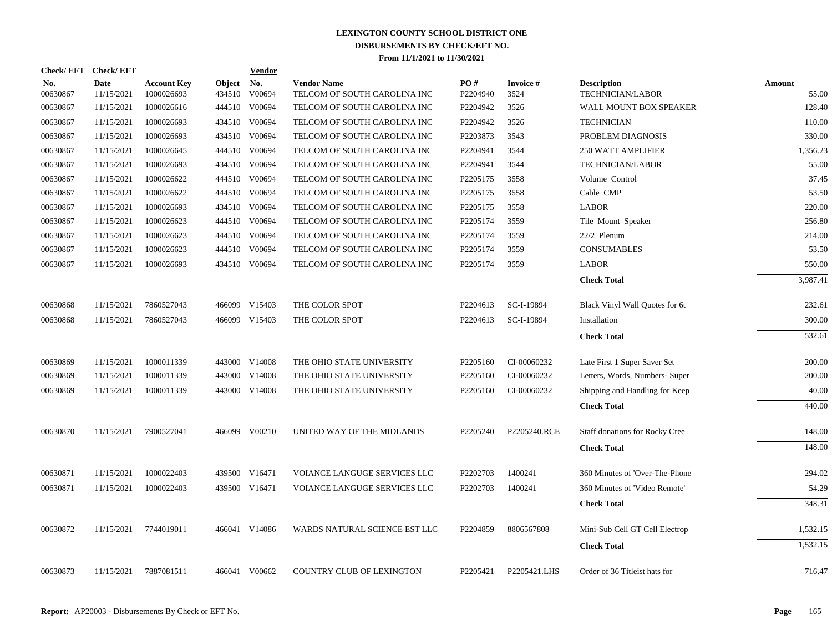|                        | Check/EFT Check/EFT       |                                  |                         | <b>Vendor</b>        |                                                    |                      |                         |                                               |                        |
|------------------------|---------------------------|----------------------------------|-------------------------|----------------------|----------------------------------------------------|----------------------|-------------------------|-----------------------------------------------|------------------------|
| <u>No.</u><br>00630867 | <b>Date</b><br>11/15/2021 | <b>Account Key</b><br>1000026693 | <b>Object</b><br>434510 | <u>No.</u><br>V00694 | <b>Vendor Name</b><br>TELCOM OF SOUTH CAROLINA INC | PO#<br>P2204940      | <b>Invoice#</b><br>3524 | <b>Description</b><br><b>TECHNICIAN/LABOR</b> | <b>Amount</b><br>55.00 |
| 00630867               | 11/15/2021                | 1000026616                       |                         | 444510 V00694        | TELCOM OF SOUTH CAROLINA INC                       | P2204942             | 3526                    | WALL MOUNT BOX SPEAKER                        | 128.40                 |
| 00630867               | 11/15/2021                | 1000026693                       | 434510                  | V00694               | TELCOM OF SOUTH CAROLINA INC                       | P2204942             | 3526                    | <b>TECHNICIAN</b>                             | 110.00                 |
| 00630867               | 11/15/2021                | 1000026693                       | 434510                  | V00694               | TELCOM OF SOUTH CAROLINA INC                       | P2203873             | 3543                    | PROBLEM DIAGNOSIS                             | 330.00                 |
| 00630867               | 11/15/2021                | 1000026645                       | 444510                  | V00694               | TELCOM OF SOUTH CAROLINA INC                       | P2204941             | 3544                    | <b>250 WATT AMPLIFIER</b>                     | 1,356.23               |
| 00630867               | 11/15/2021                | 1000026693                       | 434510                  | V00694               | TELCOM OF SOUTH CAROLINA INC                       | P2204941             | 3544                    | <b>TECHNICIAN/LABOR</b>                       | 55.00                  |
| 00630867               | 11/15/2021                | 1000026622                       | 444510                  | V00694               | TELCOM OF SOUTH CAROLINA INC                       | P2205175             | 3558                    | Volume Control                                | 37.45                  |
| 00630867               | 11/15/2021                | 1000026622                       | 444510                  | V00694               | TELCOM OF SOUTH CAROLINA INC                       | P2205175             | 3558                    | Cable CMP                                     | 53.50                  |
| 00630867               | 11/15/2021                | 1000026693                       | 434510                  | V00694               | TELCOM OF SOUTH CAROLINA INC                       | P2205175             | 3558                    | <b>LABOR</b>                                  | 220.00                 |
| 00630867               | 11/15/2021                | 1000026623                       | 444510                  | V00694               | TELCOM OF SOUTH CAROLINA INC                       | P2205174             | 3559                    | Tile Mount Speaker                            | 256.80                 |
| 00630867               | 11/15/2021                | 1000026623                       |                         | 444510 V00694        | TELCOM OF SOUTH CAROLINA INC                       | P2205174             | 3559                    | 22/2 Plenum                                   | 214.00                 |
| 00630867               | 11/15/2021                | 1000026623                       |                         | 444510 V00694        | TELCOM OF SOUTH CAROLINA INC                       | P2205174             | 3559                    | <b>CONSUMABLES</b>                            | 53.50                  |
| 00630867               | 11/15/2021                | 1000026693                       |                         | 434510 V00694        | TELCOM OF SOUTH CAROLINA INC                       | P2205174             | 3559                    | <b>LABOR</b>                                  | 550.00                 |
|                        |                           |                                  |                         |                      |                                                    |                      |                         | <b>Check Total</b>                            | 3,987.41               |
| 00630868               | 11/15/2021                | 7860527043                       |                         | 466099 V15403        | THE COLOR SPOT                                     | P2204613             | SC-I-19894              | Black Vinyl Wall Quotes for 6t                | 232.61                 |
| 00630868               | 11/15/2021                | 7860527043                       |                         | 466099 V15403        | THE COLOR SPOT                                     | P <sub>2204613</sub> | SC-I-19894              | Installation                                  | 300.00                 |
|                        |                           |                                  |                         |                      |                                                    |                      |                         | <b>Check Total</b>                            | 532.61                 |
| 00630869               | 11/15/2021                | 1000011339                       |                         | 443000 V14008        | THE OHIO STATE UNIVERSITY                          | P2205160             | CI-00060232             | Late First 1 Super Saver Set                  | 200.00                 |
| 00630869               | 11/15/2021                | 1000011339                       |                         | 443000 V14008        | THE OHIO STATE UNIVERSITY                          | P2205160             | CI-00060232             | Letters, Words, Numbers- Super                | 200.00                 |
| 00630869               | 11/15/2021                | 1000011339                       |                         | 443000 V14008        | THE OHIO STATE UNIVERSITY                          | P2205160             | CI-00060232             | Shipping and Handling for Keep                | 40.00                  |
|                        |                           |                                  |                         |                      |                                                    |                      |                         | <b>Check Total</b>                            | 440.00                 |
| 00630870               | 11/15/2021                | 7900527041                       |                         | 466099 V00210        | UNITED WAY OF THE MIDLANDS                         | P2205240             | P2205240.RCE            | <b>Staff donations for Rocky Cree</b>         | 148.00                 |
|                        |                           |                                  |                         |                      |                                                    |                      |                         | <b>Check Total</b>                            | 148.00                 |
| 00630871               | 11/15/2021                | 1000022403                       |                         | 439500 V16471        | VOIANCE LANGUGE SERVICES LLC                       | P2202703             | 1400241                 | 360 Minutes of 'Over-The-Phone                | 294.02                 |
| 00630871               | 11/15/2021                | 1000022403                       |                         | 439500 V16471        | VOIANCE LANGUGE SERVICES LLC                       | P2202703             | 1400241                 | 360 Minutes of 'Video Remote'                 | 54.29                  |
|                        |                           |                                  |                         |                      |                                                    |                      |                         | <b>Check Total</b>                            | 348.31                 |
| 00630872               | 11/15/2021                | 7744019011                       |                         | 466041 V14086        | WARDS NATURAL SCIENCE EST LLC                      | P2204859             | 8806567808              | Mini-Sub Cell GT Cell Electrop                | 1,532.15               |
|                        |                           |                                  |                         |                      |                                                    |                      |                         | <b>Check Total</b>                            | 1,532.15               |
| 00630873               | 11/15/2021                | 7887081511                       |                         | 466041 V00662        | <b>COUNTRY CLUB OF LEXINGTON</b>                   | P2205421             | P2205421.LHS            | Order of 36 Titleist hats for                 | 716.47                 |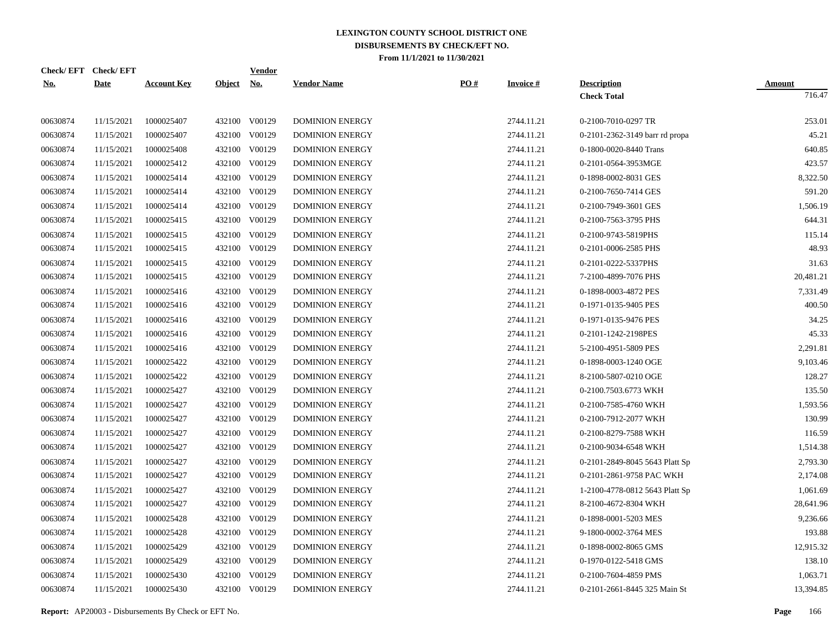| <b>Check/EFT</b> | <b>Check/EFT</b> |                    |            | <b>Vendor</b> |                        |                   |                 |                                |               |
|------------------|------------------|--------------------|------------|---------------|------------------------|-------------------|-----------------|--------------------------------|---------------|
| <u>No.</u>       | <b>Date</b>      | <b>Account Key</b> | Object No. |               | <b>Vendor Name</b>     | $\underline{PO#}$ | <b>Invoice#</b> | <b>Description</b>             | <b>Amount</b> |
|                  |                  |                    |            |               |                        |                   |                 | <b>Check Total</b>             | 716.47        |
| 00630874         | 11/15/2021       | 1000025407         |            | 432100 V00129 | <b>DOMINION ENERGY</b> |                   | 2744.11.21      | 0-2100-7010-0297 TR            | 253.01        |
| 00630874         | 11/15/2021       | 1000025407         |            | 432100 V00129 | <b>DOMINION ENERGY</b> |                   | 2744.11.21      | 0-2101-2362-3149 barr rd propa | 45.21         |
| 00630874         | 11/15/2021       | 1000025408         |            | 432100 V00129 | <b>DOMINION ENERGY</b> |                   | 2744.11.21      | 0-1800-0020-8440 Trans         | 640.85        |
| 00630874         | 11/15/2021       | 1000025412         |            | 432100 V00129 | <b>DOMINION ENERGY</b> |                   | 2744.11.21      | 0-2101-0564-3953MGE            | 423.57        |
| 00630874         | 11/15/2021       | 1000025414         |            | 432100 V00129 | <b>DOMINION ENERGY</b> |                   | 2744.11.21      | 0-1898-0002-8031 GES           | 8,322.50      |
| 00630874         | 11/15/2021       | 1000025414         |            | 432100 V00129 | <b>DOMINION ENERGY</b> |                   | 2744.11.21      | 0-2100-7650-7414 GES           | 591.20        |
| 00630874         | 11/15/2021       | 1000025414         | 432100     | V00129        | <b>DOMINION ENERGY</b> |                   | 2744.11.21      | 0-2100-7949-3601 GES           | 1,506.19      |
| 00630874         | 11/15/2021       | 1000025415         |            | 432100 V00129 | <b>DOMINION ENERGY</b> |                   | 2744.11.21      | 0-2100-7563-3795 PHS           | 644.31        |
| 00630874         | 11/15/2021       | 1000025415         |            | 432100 V00129 | <b>DOMINION ENERGY</b> |                   | 2744.11.21      | 0-2100-9743-5819PHS            | 115.14        |
| 00630874         | 11/15/2021       | 1000025415         |            | 432100 V00129 | <b>DOMINION ENERGY</b> |                   | 2744.11.21      | 0-2101-0006-2585 PHS           | 48.93         |
| 00630874         | 11/15/2021       | 1000025415         |            | 432100 V00129 | <b>DOMINION ENERGY</b> |                   | 2744.11.21      | 0-2101-0222-5337PHS            | 31.63         |
| 00630874         | 11/15/2021       | 1000025415         |            | 432100 V00129 | <b>DOMINION ENERGY</b> |                   | 2744.11.21      | 7-2100-4899-7076 PHS           | 20,481.21     |
| 00630874         | 11/15/2021       | 1000025416         |            | 432100 V00129 | <b>DOMINION ENERGY</b> |                   | 2744.11.21      | 0-1898-0003-4872 PES           | 7,331.49      |
| 00630874         | 11/15/2021       | 1000025416         |            | 432100 V00129 | <b>DOMINION ENERGY</b> |                   | 2744.11.21      | 0-1971-0135-9405 PES           | 400.50        |
| 00630874         | 11/15/2021       | 1000025416         |            | 432100 V00129 | <b>DOMINION ENERGY</b> |                   | 2744.11.21      | 0-1971-0135-9476 PES           | 34.25         |
| 00630874         | 11/15/2021       | 1000025416         |            | 432100 V00129 | <b>DOMINION ENERGY</b> |                   | 2744.11.21      | 0-2101-1242-2198PES            | 45.33         |
| 00630874         | 11/15/2021       | 1000025416         |            | 432100 V00129 | <b>DOMINION ENERGY</b> |                   | 2744.11.21      | 5-2100-4951-5809 PES           | 2,291.81      |
| 00630874         | 11/15/2021       | 1000025422         |            | 432100 V00129 | <b>DOMINION ENERGY</b> |                   | 2744.11.21      | 0-1898-0003-1240 OGE           | 9,103.46      |
| 00630874         | 11/15/2021       | 1000025422         |            | 432100 V00129 | <b>DOMINION ENERGY</b> |                   | 2744.11.21      | 8-2100-5807-0210 OGE           | 128.27        |
| 00630874         | 11/15/2021       | 1000025427         |            | 432100 V00129 | <b>DOMINION ENERGY</b> |                   | 2744.11.21      | 0-2100.7503.6773 WKH           | 135.50        |
| 00630874         | 11/15/2021       | 1000025427         | 432100     | V00129        | <b>DOMINION ENERGY</b> |                   | 2744.11.21      | 0-2100-7585-4760 WKH           | 1,593.56      |
| 00630874         | 11/15/2021       | 1000025427         |            | 432100 V00129 | <b>DOMINION ENERGY</b> |                   | 2744.11.21      | 0-2100-7912-2077 WKH           | 130.99        |
| 00630874         | 11/15/2021       | 1000025427         | 432100     | V00129        | <b>DOMINION ENERGY</b> |                   | 2744.11.21      | 0-2100-8279-7588 WKH           | 116.59        |
| 00630874         | 11/15/2021       | 1000025427         |            | 432100 V00129 | DOMINION ENERGY        |                   | 2744.11.21      | 0-2100-9034-6548 WKH           | 1,514.38      |
| 00630874         | 11/15/2021       | 1000025427         | 432100     | V00129        | <b>DOMINION ENERGY</b> |                   | 2744.11.21      | 0-2101-2849-8045 5643 Platt Sp | 2,793.30      |
| 00630874         | 11/15/2021       | 1000025427         |            | 432100 V00129 | <b>DOMINION ENERGY</b> |                   | 2744.11.21      | 0-2101-2861-9758 PAC WKH       | 2,174.08      |
| 00630874         | 11/15/2021       | 1000025427         | 432100     | V00129        | <b>DOMINION ENERGY</b> |                   | 2744.11.21      | 1-2100-4778-0812 5643 Platt Sp | 1,061.69      |
| 00630874         | 11/15/2021       | 1000025427         |            | 432100 V00129 | <b>DOMINION ENERGY</b> |                   | 2744.11.21      | 8-2100-4672-8304 WKH           | 28,641.96     |
| 00630874         | 11/15/2021       | 1000025428         | 432100     | V00129        | <b>DOMINION ENERGY</b> |                   | 2744.11.21      | 0-1898-0001-5203 MES           | 9,236.66      |
| 00630874         | 11/15/2021       | 1000025428         |            | 432100 V00129 | <b>DOMINION ENERGY</b> |                   | 2744.11.21      | 9-1800-0002-3764 MES           | 193.88        |
| 00630874         | 11/15/2021       | 1000025429         | 432100     | V00129        | <b>DOMINION ENERGY</b> |                   | 2744.11.21      | 0-1898-0002-8065 GMS           | 12,915.32     |
| 00630874         | 11/15/2021       | 1000025429         |            | 432100 V00129 | DOMINION ENERGY        |                   | 2744.11.21      | 0-1970-0122-5418 GMS           | 138.10        |
| 00630874         | 11/15/2021       | 1000025430         | 432100     | V00129        | <b>DOMINION ENERGY</b> |                   | 2744.11.21      | 0-2100-7604-4859 PMS           | 1,063.71      |
| 00630874         | 11/15/2021       | 1000025430         |            | 432100 V00129 | DOMINION ENERGY        |                   | 2744.11.21      | 0-2101-2661-8445 325 Main St   | 13,394.85     |

**Report:** AP20003 - Disbursements By Check or EFT No. **Page** 166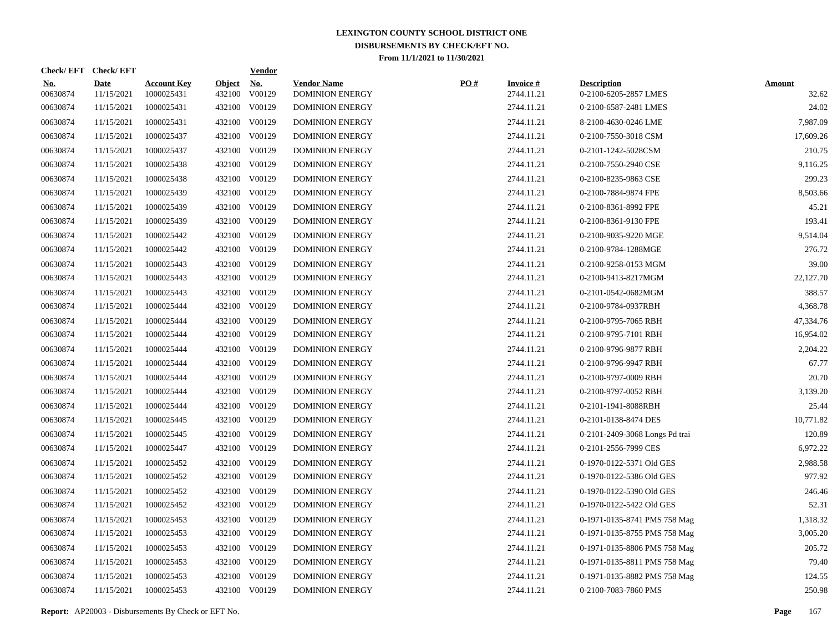|                        | Check/EFT Check/EFT       |                                  |                         | <b>Vendor</b>        |                                              |     |                                  |                                             |                        |
|------------------------|---------------------------|----------------------------------|-------------------------|----------------------|----------------------------------------------|-----|----------------------------------|---------------------------------------------|------------------------|
| <u>No.</u><br>00630874 | <b>Date</b><br>11/15/2021 | <b>Account Key</b><br>1000025431 | <b>Object</b><br>432100 | <u>No.</u><br>V00129 | <b>Vendor Name</b><br><b>DOMINION ENERGY</b> | PO# | <b>Invoice</b> $#$<br>2744.11.21 | <b>Description</b><br>0-2100-6205-2857 LMES | <b>Amount</b><br>32.62 |
| 00630874               | 11/15/2021                | 1000025431                       |                         | 432100 V00129        | <b>DOMINION ENERGY</b>                       |     | 2744.11.21                       | 0-2100-6587-2481 LMES                       | 24.02                  |
| 00630874               | 11/15/2021                | 1000025431                       |                         | 432100 V00129        | <b>DOMINION ENERGY</b>                       |     | 2744.11.21                       | 8-2100-4630-0246 LME                        | 7,987.09               |
| 00630874               | 11/15/2021                | 1000025437                       |                         | 432100 V00129        | <b>DOMINION ENERGY</b>                       |     | 2744.11.21                       | 0-2100-7550-3018 CSM                        | 17,609.26              |
| 00630874               | 11/15/2021                | 1000025437                       |                         | 432100 V00129        | <b>DOMINION ENERGY</b>                       |     | 2744.11.21                       | 0-2101-1242-5028CSM                         | 210.75                 |
| 00630874               | 11/15/2021                | 1000025438                       |                         | 432100 V00129        | <b>DOMINION ENERGY</b>                       |     | 2744.11.21                       | 0-2100-7550-2940 CSE                        | 9,116.25               |
| 00630874               | 11/15/2021                | 1000025438                       |                         | 432100 V00129        | <b>DOMINION ENERGY</b>                       |     | 2744.11.21                       | 0-2100-8235-9863 CSE                        | 299.23                 |
| 00630874               | 11/15/2021                | 1000025439                       |                         | 432100 V00129        | <b>DOMINION ENERGY</b>                       |     | 2744.11.21                       | 0-2100-7884-9874 FPE                        | 8,503.66               |
| 00630874               | 11/15/2021                | 1000025439                       |                         | 432100 V00129        | <b>DOMINION ENERGY</b>                       |     | 2744.11.21                       | 0-2100-8361-8992 FPE                        | 45.21                  |
| 00630874               | 11/15/2021                | 1000025439                       |                         | 432100 V00129        | <b>DOMINION ENERGY</b>                       |     | 2744.11.21                       | 0-2100-8361-9130 FPE                        | 193.41                 |
| 00630874               | 11/15/2021                | 1000025442                       |                         | 432100 V00129        | <b>DOMINION ENERGY</b>                       |     | 2744.11.21                       | 0-2100-9035-9220 MGE                        | 9,514.04               |
| 00630874               | 11/15/2021                | 1000025442                       |                         | 432100 V00129        | <b>DOMINION ENERGY</b>                       |     | 2744.11.21                       | 0-2100-9784-1288MGE                         | 276.72                 |
| 00630874               | 11/15/2021                | 1000025443                       |                         | 432100 V00129        | <b>DOMINION ENERGY</b>                       |     | 2744.11.21                       | 0-2100-9258-0153 MGM                        | 39.00                  |
| 00630874               | 11/15/2021                | 1000025443                       |                         | 432100 V00129        | <b>DOMINION ENERGY</b>                       |     | 2744.11.21                       | 0-2100-9413-8217MGM                         | 22,127.70              |
| 00630874               | 11/15/2021                | 1000025443                       |                         | 432100 V00129        | <b>DOMINION ENERGY</b>                       |     | 2744.11.21                       | 0-2101-0542-0682MGM                         | 388.57                 |
| 00630874               | 11/15/2021                | 1000025444                       |                         | 432100 V00129        | <b>DOMINION ENERGY</b>                       |     | 2744.11.21                       | 0-2100-9784-0937RBH                         | 4,368.78               |
| 00630874               | 11/15/2021                | 1000025444                       |                         | 432100 V00129        | <b>DOMINION ENERGY</b>                       |     | 2744.11.21                       | 0-2100-9795-7065 RBH                        | 47,334.76              |
| 00630874               | 11/15/2021                | 1000025444                       |                         | 432100 V00129        | <b>DOMINION ENERGY</b>                       |     | 2744.11.21                       | 0-2100-9795-7101 RBH                        | 16,954.02              |
| 00630874               | 11/15/2021                | 1000025444                       |                         | 432100 V00129        | <b>DOMINION ENERGY</b>                       |     | 2744.11.21                       | 0-2100-9796-9877 RBH                        | 2,204.22               |
| 00630874               | 11/15/2021                | 1000025444                       |                         | 432100 V00129        | <b>DOMINION ENERGY</b>                       |     | 2744.11.21                       | 0-2100-9796-9947 RBH                        | 67.77                  |
| 00630874               | 11/15/2021                | 1000025444                       |                         | 432100 V00129        | <b>DOMINION ENERGY</b>                       |     | 2744.11.21                       | 0-2100-9797-0009 RBH                        | 20.70                  |
| 00630874               | 11/15/2021                | 1000025444                       |                         | 432100 V00129        | <b>DOMINION ENERGY</b>                       |     | 2744.11.21                       | 0-2100-9797-0052 RBH                        | 3,139.20               |
| 00630874               | 11/15/2021                | 1000025444                       | 432100                  | V00129               | <b>DOMINION ENERGY</b>                       |     | 2744.11.21                       | 0-2101-1941-8088RBH                         | 25.44                  |
| 00630874               | 11/15/2021                | 1000025445                       |                         | 432100 V00129        | <b>DOMINION ENERGY</b>                       |     | 2744.11.21                       | 0-2101-0138-8474 DES                        | 10,771.82              |
| 00630874               | 11/15/2021                | 1000025445                       | 432100                  | V00129               | <b>DOMINION ENERGY</b>                       |     | 2744.11.21                       | 0-2101-2409-3068 Longs Pd trai              | 120.89                 |
| 00630874               | 11/15/2021                | 1000025447                       |                         | 432100 V00129        | <b>DOMINION ENERGY</b>                       |     | 2744.11.21                       | 0-2101-2556-7999 CES                        | 6,972.22               |
| 00630874               | 11/15/2021                | 1000025452                       | 432100                  | V00129               | <b>DOMINION ENERGY</b>                       |     | 2744.11.21                       | 0-1970-0122-5371 Old GES                    | 2,988.58               |
| 00630874               | 11/15/2021                | 1000025452                       |                         | 432100 V00129        | <b>DOMINION ENERGY</b>                       |     | 2744.11.21                       | 0-1970-0122-5386 Old GES                    | 977.92                 |
| 00630874               | 11/15/2021                | 1000025452                       | 432100                  | V00129               | <b>DOMINION ENERGY</b>                       |     | 2744.11.21                       | 0-1970-0122-5390 Old GES                    | 246.46                 |
| 00630874               | 11/15/2021                | 1000025452                       |                         | 432100 V00129        | <b>DOMINION ENERGY</b>                       |     | 2744.11.21                       | 0-1970-0122-5422 Old GES                    | 52.31                  |
| 00630874               | 11/15/2021                | 1000025453                       | 432100                  | V00129               | <b>DOMINION ENERGY</b>                       |     | 2744.11.21                       | 0-1971-0135-8741 PMS 758 Mag                | 1,318.32               |
| 00630874               | 11/15/2021                | 1000025453                       |                         | 432100 V00129        | <b>DOMINION ENERGY</b>                       |     | 2744.11.21                       | 0-1971-0135-8755 PMS 758 Mag                | 3,005.20               |
| 00630874               | 11/15/2021                | 1000025453                       | 432100                  | V00129               | <b>DOMINION ENERGY</b>                       |     | 2744.11.21                       | 0-1971-0135-8806 PMS 758 Mag                | 205.72                 |
| 00630874               | 11/15/2021                | 1000025453                       |                         | 432100 V00129        | <b>DOMINION ENERGY</b>                       |     | 2744.11.21                       | 0-1971-0135-8811 PMS 758 Mag                | 79.40                  |
| 00630874               | 11/15/2021                | 1000025453                       | 432100                  | V00129               | <b>DOMINION ENERGY</b>                       |     | 2744.11.21                       | 0-1971-0135-8882 PMS 758 Mag                | 124.55                 |
| 00630874               | 11/15/2021                | 1000025453                       |                         | 432100 V00129        | <b>DOMINION ENERGY</b>                       |     | 2744.11.21                       | 0-2100-7083-7860 PMS                        | 250.98                 |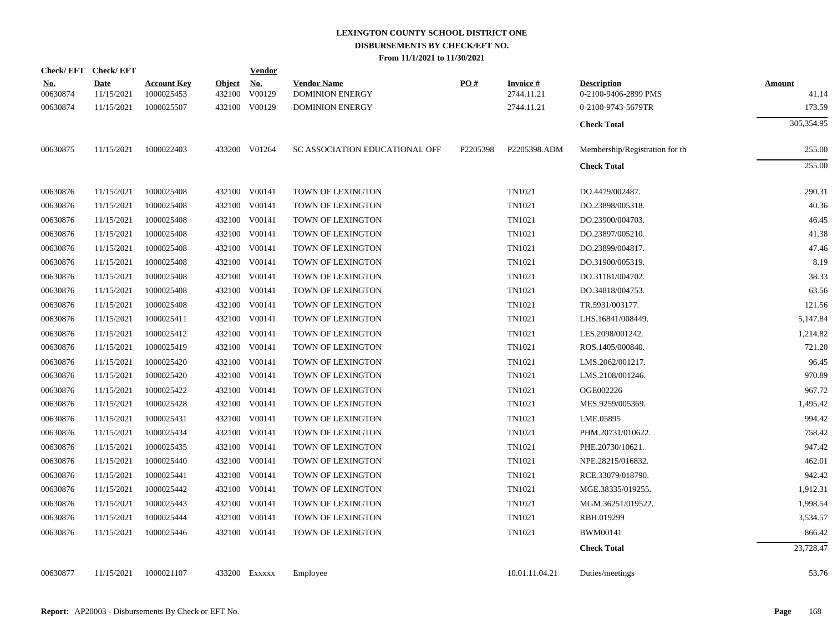|                        | Check/EFT Check/EFT       |                                  |                         | <b>Vendor</b>                       |                                              |          |                               |                                            |                        |
|------------------------|---------------------------|----------------------------------|-------------------------|-------------------------------------|----------------------------------------------|----------|-------------------------------|--------------------------------------------|------------------------|
| <u>No.</u><br>00630874 | <b>Date</b><br>11/15/2021 | <b>Account Key</b><br>1000025453 | <b>Object</b><br>432100 | $\underline{\textbf{No}}$<br>V00129 | <b>Vendor Name</b><br><b>DOMINION ENERGY</b> | PO#      | <b>Invoice#</b><br>2744.11.21 | <b>Description</b><br>0-2100-9406-2899 PMS | <b>Amount</b><br>41.14 |
| 00630874               | 11/15/2021                | 1000025507                       |                         | 432100 V00129                       | <b>DOMINION ENERGY</b>                       |          | 2744.11.21                    | 0-2100-9743-5679TR                         | 173.59                 |
|                        |                           |                                  |                         |                                     |                                              |          |                               | <b>Check Total</b>                         | 305,354.95             |
| 00630875               | 11/15/2021                | 1000022403                       |                         | 433200 V01264                       | SC ASSOCIATION EDUCATIONAL OFF               | P2205398 | P2205398.ADM                  | Membership/Registration for the            | 255.00                 |
|                        |                           |                                  |                         |                                     |                                              |          |                               | <b>Check Total</b>                         | 255.00                 |
| 00630876               | 11/15/2021                | 1000025408                       |                         | 432100 V00141                       | TOWN OF LEXINGTON                            |          | TN1021                        | DO.4479/002487.                            | 290.31                 |
| 00630876               | 11/15/2021                | 1000025408                       |                         | 432100 V00141                       | TOWN OF LEXINGTON                            |          | TN1021                        | DO.23898/005318.                           | 40.36                  |
| 00630876               | 11/15/2021                | 1000025408                       |                         | 432100 V00141                       | TOWN OF LEXINGTON                            |          | TN1021                        | DO.23900/004703.                           | 46.45                  |
| 00630876               | 11/15/2021                | 1000025408                       |                         | 432100 V00141                       | TOWN OF LEXINGTON                            |          | TN1021                        | DO.23897/005210.                           | 41.38                  |
| 00630876               | 11/15/2021                | 1000025408                       |                         | 432100 V00141                       | TOWN OF LEXINGTON                            |          | TN1021                        | DO.23899/004817.                           | 47.46                  |
| 00630876               | 11/15/2021                | 1000025408                       |                         | 432100 V00141                       | TOWN OF LEXINGTON                            |          | TN1021                        | DO.31900/005319.                           | 8.19                   |
| 00630876               | 11/15/2021                | 1000025408                       |                         | 432100 V00141                       | TOWN OF LEXINGTON                            |          | TN1021                        | DO.31181/004702.                           | 38.33                  |
| 00630876               | 11/15/2021                | 1000025408                       |                         | 432100 V00141                       | TOWN OF LEXINGTON                            |          | TN1021                        | DO.34818/004753.                           | 63.56                  |
| 00630876               | 11/15/2021                | 1000025408                       |                         | 432100 V00141                       | TOWN OF LEXINGTON                            |          | TN1021                        | TR.5931/003177.                            | 121.56                 |
| 00630876               | 11/15/2021                | 1000025411                       |                         | 432100 V00141                       | TOWN OF LEXINGTON                            |          | TN1021                        | LHS.16841/008449.                          | 5,147.84               |
| 00630876               | 11/15/2021                | 1000025412                       |                         | 432100 V00141                       | TOWN OF LEXINGTON                            |          | TN1021                        | LES.2098/001242.                           | 1,214.82               |
| 00630876               | 11/15/2021                | 1000025419                       |                         | 432100 V00141                       | TOWN OF LEXINGTON                            |          | TN1021                        | ROS.1405/000840.                           | 721.20                 |
| 00630876               | 11/15/2021                | 1000025420                       |                         | 432100 V00141                       | TOWN OF LEXINGTON                            |          | TN1021                        | LMS.2062/001217.                           | 96.45                  |
| 00630876               | 11/15/2021                | 1000025420                       |                         | 432100 V00141                       | TOWN OF LEXINGTON                            |          | TN1021                        | LMS.2108/001246.                           | 970.89                 |
| 00630876               | 11/15/2021                | 1000025422                       |                         | 432100 V00141                       | TOWN OF LEXINGTON                            |          | TN1021                        | OGE002226                                  | 967.72                 |
| 00630876               | 11/15/2021                | 1000025428                       |                         | 432100 V00141                       | TOWN OF LEXINGTON                            |          | TN1021                        | MES.9259/005369.                           | 1,495.42               |
| 00630876               | 11/15/2021                | 1000025431                       |                         | 432100 V00141                       | TOWN OF LEXINGTON                            |          | TN1021                        | LME.05895                                  | 994.42                 |
| 00630876               | 11/15/2021                | 1000025434                       |                         | 432100 V00141                       | TOWN OF LEXINGTON                            |          | TN1021                        | PHM.20731/010622.                          | 758.42                 |
| 00630876               | 11/15/2021                | 1000025435                       |                         | 432100 V00141                       | TOWN OF LEXINGTON                            |          | TN1021                        | PHE.20730/10621.                           | 947.42                 |
| 00630876               | 11/15/2021                | 1000025440                       |                         | 432100 V00141                       | TOWN OF LEXINGTON                            |          | TN1021                        | NPE.28215/016832.                          | 462.01                 |
| 00630876               | 11/15/2021                | 1000025441                       |                         | 432100 V00141                       | TOWN OF LEXINGTON                            |          | TN1021                        | RCE.33079/018790.                          | 942.42                 |
| 00630876               | 11/15/2021                | 1000025442                       |                         | 432100 V00141                       | TOWN OF LEXINGTON                            |          | TN1021                        | MGE.38335/019255.                          | 1,912.31               |
| 00630876               | 11/15/2021                | 1000025443                       |                         | 432100 V00141                       | TOWN OF LEXINGTON                            |          | TN1021                        | MGM.36251/019522.                          | 1,998.54               |
| 00630876               | 11/15/2021                | 1000025444                       | 432100                  | V00141                              | TOWN OF LEXINGTON                            |          | TN1021                        | RBH.019299                                 | 3,534.57               |
| 00630876               | 11/15/2021                | 1000025446                       |                         | 432100 V00141                       | TOWN OF LEXINGTON                            |          | TN1021                        | <b>BWM00141</b>                            | 866.42                 |
|                        |                           |                                  |                         |                                     |                                              |          |                               | <b>Check Total</b>                         | 23,728.47              |
| 00630877               | 11/15/2021                | 1000021107                       |                         | 433200 EXXXXX                       | Employee                                     |          | 10.01.11.04.21                | Duties/meetings                            | 53.76                  |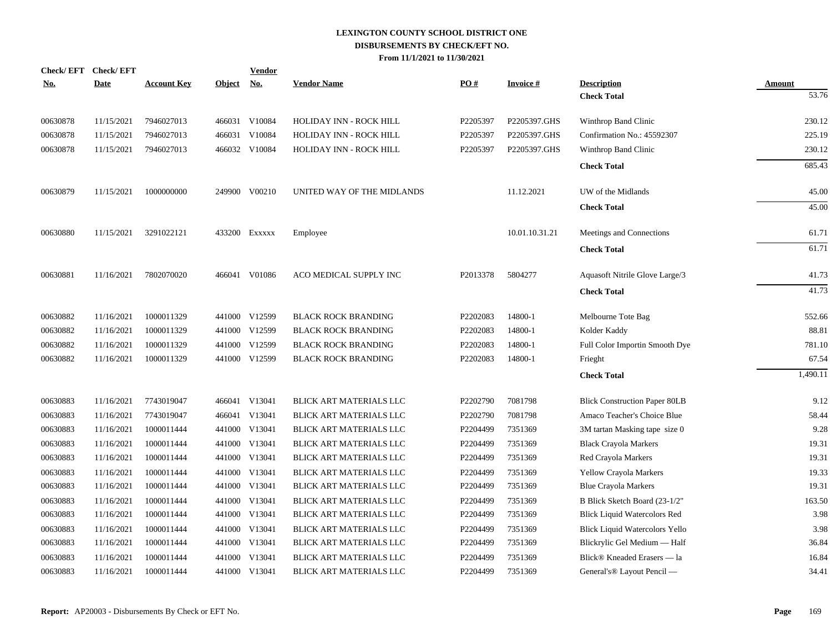| <u>No.</u> | Check/EFT Check/EFT<br><b>Date</b> | <b>Account Key</b> | <b>Object</b> | <b>Vendor</b><br><u>No.</u> | <b>Vendor Name</b>             | PO#      | <b>Invoice#</b> | <b>Description</b>                     | <b>Amount</b> |
|------------|------------------------------------|--------------------|---------------|-----------------------------|--------------------------------|----------|-----------------|----------------------------------------|---------------|
|            |                                    |                    |               |                             |                                |          |                 | <b>Check Total</b>                     | 53.76         |
| 00630878   | 11/15/2021                         | 7946027013         |               | 466031 V10084               | HOLIDAY INN - ROCK HILL        | P2205397 | P2205397.GHS    | Winthrop Band Clinic                   | 230.12        |
| 00630878   | 11/15/2021                         | 7946027013         | 466031        | V10084                      | HOLIDAY INN - ROCK HILL        | P2205397 | P2205397.GHS    | Confirmation No.: 45592307             | 225.19        |
| 00630878   | 11/15/2021                         | 7946027013         |               | 466032 V10084               | HOLIDAY INN - ROCK HILL        | P2205397 | P2205397.GHS    | Winthrop Band Clinic                   | 230.12        |
|            |                                    |                    |               |                             |                                |          |                 | <b>Check Total</b>                     | 685.43        |
| 00630879   | 11/15/2021                         | 1000000000         | 249900        | V00210                      | UNITED WAY OF THE MIDLANDS     |          | 11.12.2021      | UW of the Midlands                     | 45.00         |
|            |                                    |                    |               |                             |                                |          |                 | <b>Check Total</b>                     | 45.00         |
| 00630880   | 11/15/2021                         | 3291022121         | 433200        | EXXXXX                      | Employee                       |          | 10.01.10.31.21  | Meetings and Connections               | 61.71         |
|            |                                    |                    |               |                             |                                |          |                 | <b>Check Total</b>                     | 61.71         |
| 00630881   | 11/16/2021                         | 7802070020         |               | 466041 V01086               | ACO MEDICAL SUPPLY INC         | P2013378 | 5804277         | Aquasoft Nitrile Glove Large/3         | 41.73         |
|            |                                    |                    |               |                             |                                |          |                 | <b>Check Total</b>                     | 41.73         |
| 00630882   | 11/16/2021                         | 1000011329         | 441000        | V12599                      | <b>BLACK ROCK BRANDING</b>     | P2202083 | 14800-1         | Melbourne Tote Bag                     | 552.66        |
| 00630882   | 11/16/2021                         | 1000011329         | 441000        | V12599                      | <b>BLACK ROCK BRANDING</b>     | P2202083 | 14800-1         | Kolder Kaddy                           | 88.81         |
| 00630882   | 11/16/2021                         | 1000011329         | 441000        | V12599                      | <b>BLACK ROCK BRANDING</b>     | P2202083 | 14800-1         | Full Color Importin Smooth Dye         | 781.10        |
| 00630882   | 11/16/2021                         | 1000011329         |               | 441000 V12599               | <b>BLACK ROCK BRANDING</b>     | P2202083 | 14800-1         | Frieght                                | 67.54         |
|            |                                    |                    |               |                             |                                |          |                 | <b>Check Total</b>                     | 1,490.11      |
| 00630883   | 11/16/2021                         | 7743019047         |               | 466041 V13041               | BLICK ART MATERIALS LLC        | P2202790 | 7081798         | <b>Blick Construction Paper 80LB</b>   | 9.12          |
| 00630883   | 11/16/2021                         | 7743019047         |               | 466041 V13041               | BLICK ART MATERIALS LLC        | P2202790 | 7081798         | Amaco Teacher's Choice Blue            | 58.44         |
| 00630883   | 11/16/2021                         | 1000011444         |               | 441000 V13041               | BLICK ART MATERIALS LLC        | P2204499 | 7351369         | 3M tartan Masking tape size 0          | 9.28          |
| 00630883   | 11/16/2021                         | 1000011444         | 441000        | V13041                      | BLICK ART MATERIALS LLC        | P2204499 | 7351369         | <b>Black Crayola Markers</b>           | 19.31         |
| 00630883   | 11/16/2021                         | 1000011444         |               | 441000 V13041               | BLICK ART MATERIALS LLC        | P2204499 | 7351369         | Red Crayola Markers                    | 19.31         |
| 00630883   | 11/16/2021                         | 1000011444         | 441000        | V13041                      | BLICK ART MATERIALS LLC        | P2204499 | 7351369         | Yellow Crayola Markers                 | 19.33         |
| 00630883   | 11/16/2021                         | 1000011444         |               | 441000 V13041               | BLICK ART MATERIALS LLC        | P2204499 | 7351369         | <b>Blue Crayola Markers</b>            | 19.31         |
| 00630883   | 11/16/2021                         | 1000011444         | 441000        | V13041                      | BLICK ART MATERIALS LLC        | P2204499 | 7351369         | B Blick Sketch Board (23-1/2"          | 163.50        |
| 00630883   | 11/16/2021                         | 1000011444         | 441000        | V13041                      | BLICK ART MATERIALS LLC        | P2204499 | 7351369         | <b>Blick Liquid Watercolors Red</b>    | 3.98          |
| 00630883   | 11/16/2021                         | 1000011444         | 441000        | V13041                      | BLICK ART MATERIALS LLC        | P2204499 | 7351369         | <b>Blick Liquid Watercolors Yello</b>  | 3.98          |
| 00630883   | 11/16/2021                         | 1000011444         | 441000        | V13041                      | BLICK ART MATERIALS LLC        | P2204499 | 7351369         | Blickrylic Gel Medium - Half           | 36.84         |
| 00630883   | 11/16/2021                         | 1000011444         | 441000        | V13041                      | BLICK ART MATERIALS LLC        | P2204499 | 7351369         | Blick® Kneaded Erasers — la            | 16.84         |
| 00630883   | 11/16/2021                         | 1000011444         |               | 441000 V13041               | <b>BLICK ART MATERIALS LLC</b> | P2204499 | 7351369         | General's <sup>®</sup> Layout Pencil — | 34.41         |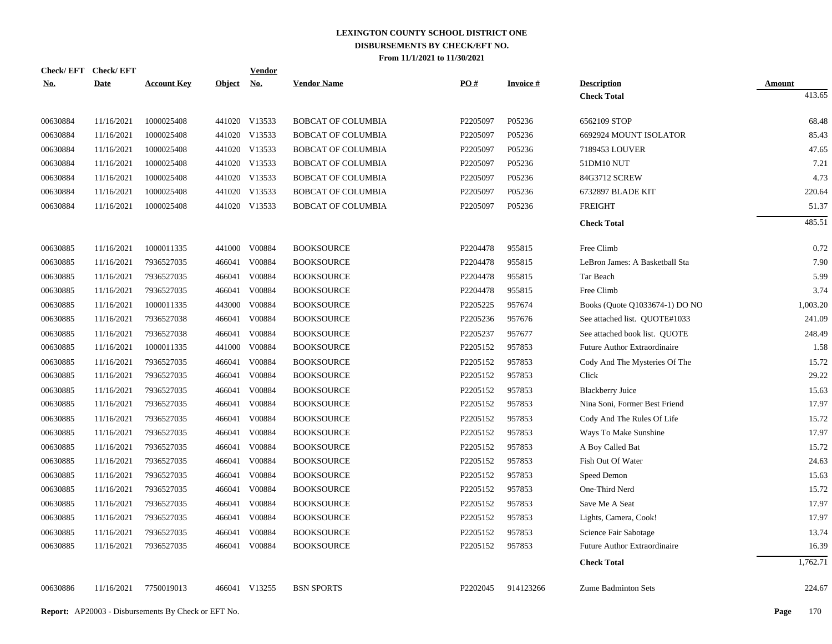| <b>Check/EFT</b> | <b>Check/EFT</b> |                    |            | <b>Vendor</b> |                           |          |                 |                                |               |
|------------------|------------------|--------------------|------------|---------------|---------------------------|----------|-----------------|--------------------------------|---------------|
| <u>No.</u>       | <b>Date</b>      | <b>Account Key</b> | Object No. |               | <b>Vendor Name</b>        | PO#      | <b>Invoice#</b> | <b>Description</b>             | <b>Amount</b> |
|                  |                  |                    |            |               |                           |          |                 | <b>Check Total</b>             | 413.65        |
| 00630884         | 11/16/2021       | 1000025408         |            | 441020 V13533 | <b>BOBCAT OF COLUMBIA</b> | P2205097 | P05236          | 6562109 STOP                   | 68.48         |
| 00630884         | 11/16/2021       | 1000025408         |            | 441020 V13533 | <b>BOBCAT OF COLUMBIA</b> | P2205097 | P05236          | 6692924 MOUNT ISOLATOR         | 85.43         |
| 00630884         | 11/16/2021       | 1000025408         |            | 441020 V13533 | <b>BOBCAT OF COLUMBIA</b> | P2205097 | P05236          | 7189453 LOUVER                 | 47.65         |
| 00630884         | 11/16/2021       | 1000025408         |            | 441020 V13533 | BOBCAT OF COLUMBIA        | P2205097 | P05236          | 51DM10 NUT                     | 7.21          |
| 00630884         | 11/16/2021       | 1000025408         |            | 441020 V13533 | <b>BOBCAT OF COLUMBIA</b> | P2205097 | P05236          | 84G3712 SCREW                  | 4.73          |
| 00630884         | 11/16/2021       | 1000025408         |            | 441020 V13533 | BOBCAT OF COLUMBIA        | P2205097 | P05236          | 6732897 BLADE KIT              | 220.64        |
| 00630884         | 11/16/2021       | 1000025408         |            | 441020 V13533 | <b>BOBCAT OF COLUMBIA</b> | P2205097 | P05236          | <b>FREIGHT</b>                 | 51.37         |
|                  |                  |                    |            |               |                           |          |                 | <b>Check Total</b>             | 485.51        |
| 00630885         | 11/16/2021       | 1000011335         | 441000     | V00884        | <b>BOOKSOURCE</b>         | P2204478 | 955815          | Free Climb                     | 0.72          |
| 00630885         | 11/16/2021       | 7936527035         |            | 466041 V00884 | <b>BOOKSOURCE</b>         | P2204478 | 955815          | LeBron James: A Basketball Sta | 7.90          |
| 00630885         | 11/16/2021       | 7936527035         |            | 466041 V00884 | <b>BOOKSOURCE</b>         | P2204478 | 955815          | Tar Beach                      | 5.99          |
| 00630885         | 11/16/2021       | 7936527035         |            | 466041 V00884 | <b>BOOKSOURCE</b>         | P2204478 | 955815          | Free Climb                     | 3.74          |
| 00630885         | 11/16/2021       | 1000011335         | 443000     | V00884        | <b>BOOKSOURCE</b>         | P2205225 | 957674          | Books (Quote Q1033674-1) DO NO | 1,003.20      |
| 00630885         | 11/16/2021       | 7936527038         |            | 466041 V00884 | <b>BOOKSOURCE</b>         | P2205236 | 957676          | See attached list. QUOTE#1033  | 241.09        |
| 00630885         | 11/16/2021       | 7936527038         |            | 466041 V00884 | <b>BOOKSOURCE</b>         | P2205237 | 957677          | See attached book list. QUOTE  | 248.49        |
| 00630885         | 11/16/2021       | 1000011335         | 441000     | V00884        | <b>BOOKSOURCE</b>         | P2205152 | 957853          | Future Author Extraordinaire   | 1.58          |
| 00630885         | 11/16/2021       | 7936527035         |            | 466041 V00884 | <b>BOOKSOURCE</b>         | P2205152 | 957853          | Cody And The Mysteries Of The  | 15.72         |
| 00630885         | 11/16/2021       | 7936527035         | 466041     | V00884        | <b>BOOKSOURCE</b>         | P2205152 | 957853          | Click                          | 29.22         |
| 00630885         | 11/16/2021       | 7936527035         | 466041     | V00884        | <b>BOOKSOURCE</b>         | P2205152 | 957853          | <b>Blackberry Juice</b>        | 15.63         |
| 00630885         | 11/16/2021       | 7936527035         | 466041     | V00884        | <b>BOOKSOURCE</b>         | P2205152 | 957853          | Nina Soni, Former Best Friend  | 17.97         |
| 00630885         | 11/16/2021       | 7936527035         | 466041     | V00884        | <b>BOOKSOURCE</b>         | P2205152 | 957853          | Cody And The Rules Of Life     | 15.72         |
| 00630885         | 11/16/2021       | 7936527035         | 466041     | V00884        | <b>BOOKSOURCE</b>         | P2205152 | 957853          | Ways To Make Sunshine          | 17.97         |
| 00630885         | 11/16/2021       | 7936527035         | 466041     | V00884        | <b>BOOKSOURCE</b>         | P2205152 | 957853          | A Boy Called Bat               | 15.72         |
| 00630885         | 11/16/2021       | 7936527035         | 466041     | V00884        | <b>BOOKSOURCE</b>         | P2205152 | 957853          | Fish Out Of Water              | 24.63         |
| 00630885         | 11/16/2021       | 7936527035         | 466041     | V00884        | <b>BOOKSOURCE</b>         | P2205152 | 957853          | Speed Demon                    | 15.63         |
| 00630885         | 11/16/2021       | 7936527035         | 466041     | V00884        | <b>BOOKSOURCE</b>         | P2205152 | 957853          | One-Third Nerd                 | 15.72         |
| 00630885         | 11/16/2021       | 7936527035         | 466041     | V00884        | <b>BOOKSOURCE</b>         | P2205152 | 957853          | Save Me A Seat                 | 17.97         |
| 00630885         | 11/16/2021       | 7936527035         | 466041     | V00884        | <b>BOOKSOURCE</b>         | P2205152 | 957853          | Lights, Camera, Cook!          | 17.97         |
| 00630885         | 11/16/2021       | 7936527035         | 466041     | V00884        | <b>BOOKSOURCE</b>         | P2205152 | 957853          | Science Fair Sabotage          | 13.74         |
| 00630885         | 11/16/2021       | 7936527035         | 466041     | V00884        | <b>BOOKSOURCE</b>         | P2205152 | 957853          | Future Author Extraordinaire   | 16.39         |
|                  |                  |                    |            |               |                           |          |                 | <b>Check Total</b>             | 1,762.71      |
| 00630886         | 11/16/2021       | 7750019013         |            | 466041 V13255 | <b>BSN SPORTS</b>         | P2202045 | 914123266       | <b>Zume Badminton Sets</b>     | 224.67        |
|                  |                  |                    |            |               |                           |          |                 |                                |               |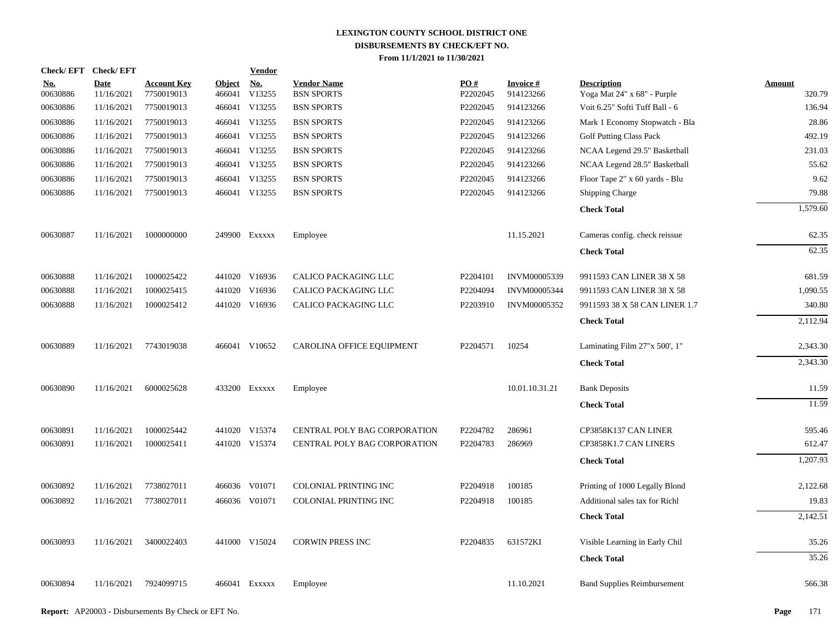| <b>Check/EFT</b>       | <b>Check/EFT</b>          |                                  |                         | <b>Vendor</b> |                                         |                 |                              |                                                   |                         |
|------------------------|---------------------------|----------------------------------|-------------------------|---------------|-----------------------------------------|-----------------|------------------------------|---------------------------------------------------|-------------------------|
| <u>No.</u><br>00630886 | <b>Date</b><br>11/16/2021 | <b>Account Key</b><br>7750019013 | <b>Object</b><br>466041 | No.<br>V13255 | <b>Vendor Name</b><br><b>BSN SPORTS</b> | PO#<br>P2202045 | <b>Invoice#</b><br>914123266 | <b>Description</b><br>Yoga Mat 24" x 68" - Purple | <b>Amount</b><br>320.79 |
| 00630886               | 11/16/2021                | 7750019013                       | 466041                  | V13255        | <b>BSN SPORTS</b>                       | P2202045        | 914123266                    | Voit 6.25" Softi Tuff Ball - 6                    | 136.94                  |
| 00630886               | 11/16/2021                | 7750019013                       | 466041                  | V13255        | <b>BSN SPORTS</b>                       | P2202045        | 914123266                    | Mark 1 Economy Stopwatch - Bla                    | 28.86                   |
| 00630886               | 11/16/2021                | 7750019013                       | 466041                  | V13255        | <b>BSN SPORTS</b>                       | P2202045        | 914123266                    | Golf Putting Class Pack                           | 492.19                  |
| 00630886               | 11/16/2021                | 7750019013                       |                         | 466041 V13255 | <b>BSN SPORTS</b>                       | P2202045        | 914123266                    | NCAA Legend 29.5" Basketball                      | 231.03                  |
| 00630886               | 11/16/2021                | 7750019013                       |                         | 466041 V13255 | <b>BSN SPORTS</b>                       | P2202045        | 914123266                    | NCAA Legend 28.5" Basketball                      | 55.62                   |
| 00630886               | 11/16/2021                | 7750019013                       |                         | 466041 V13255 | <b>BSN SPORTS</b>                       | P2202045        | 914123266                    | Floor Tape 2" x 60 yards - Blu                    | 9.62                    |
| 00630886               | 11/16/2021                | 7750019013                       |                         | 466041 V13255 | <b>BSN SPORTS</b>                       | P2202045        | 914123266                    | <b>Shipping Charge</b>                            | 79.88                   |
|                        |                           |                                  |                         |               |                                         |                 |                              | <b>Check Total</b>                                | 1,579.60                |
| 00630887               | 11/16/2021                | 1000000000                       |                         | 249900 Exxxxx | Employee                                |                 | 11.15.2021                   | Cameras config. check reissue                     | 62.35                   |
|                        |                           |                                  |                         |               |                                         |                 |                              | <b>Check Total</b>                                | 62.35                   |
| 00630888               | 11/16/2021                | 1000025422                       |                         | 441020 V16936 | CALICO PACKAGING LLC                    | P2204101        | INVM00005339                 | 9911593 CAN LINER 38 X 58                         | 681.59                  |
| 00630888               | 11/16/2021                | 1000025415                       |                         | 441020 V16936 | CALICO PACKAGING LLC                    | P2204094        | INVM00005344                 | 9911593 CAN LINER 38 X 58                         | 1,090.55                |
| 00630888               | 11/16/2021                | 1000025412                       |                         | 441020 V16936 | CALICO PACKAGING LLC                    | P2203910        | INVM00005352                 | 9911593 38 X 58 CAN LINER 1.7                     | 340.80                  |
|                        |                           |                                  |                         |               |                                         |                 |                              | <b>Check Total</b>                                | 2,112.94                |
| 00630889               | 11/16/2021                | 7743019038                       |                         | 466041 V10652 | CAROLINA OFFICE EQUIPMENT               | P2204571        | 10254                        | Laminating Film 27"x 500', 1"                     | 2,343.30                |
|                        |                           |                                  |                         |               |                                         |                 |                              | <b>Check Total</b>                                | 2,343.30                |
| 00630890               | 11/16/2021                | 6000025628                       |                         | 433200 Exxxxx | Employee                                |                 | 10.01.10.31.21               | <b>Bank Deposits</b>                              | 11.59                   |
|                        |                           |                                  |                         |               |                                         |                 |                              | <b>Check Total</b>                                | 11.59                   |
| 00630891               | 11/16/2021                | 1000025442                       |                         | 441020 V15374 | CENTRAL POLY BAG CORPORATION            | P2204782        | 286961                       | CP3858K137 CAN LINER                              | 595.46                  |
| 00630891               | 11/16/2021                | 1000025411                       |                         | 441020 V15374 | CENTRAL POLY BAG CORPORATION            | P2204783        | 286969                       | CP3858K1.7 CAN LINERS                             | 612.47                  |
|                        |                           |                                  |                         |               |                                         |                 |                              | <b>Check Total</b>                                | 1,207.93                |
| 00630892               | 11/16/2021                | 7738027011                       |                         | 466036 V01071 | COLONIAL PRINTING INC                   | P2204918        | 100185                       | Printing of 1000 Legally Blond                    | 2,122.68                |
| 00630892               | 11/16/2021                | 7738027011                       |                         | 466036 V01071 | COLONIAL PRINTING INC                   | P2204918        | 100185                       | Additional sales tax for Richl                    | 19.83                   |
|                        |                           |                                  |                         |               |                                         |                 |                              | <b>Check Total</b>                                | 2,142.51                |
| 00630893               | 11/16/2021                | 3400022403                       |                         | 441000 V15024 | <b>CORWIN PRESS INC</b>                 | P2204835        | 631572KI                     | Visible Learning in Early Chil                    | 35.26                   |
|                        |                           |                                  |                         |               |                                         |                 |                              | <b>Check Total</b>                                | 35.26                   |
| 00630894               | 11/16/2021                | 7924099715                       |                         | 466041 Exxxxx | Employee                                |                 | 11.10.2021                   | <b>Band Supplies Reimbursement</b>                | 566.38                  |
|                        |                           |                                  |                         |               |                                         |                 |                              |                                                   |                         |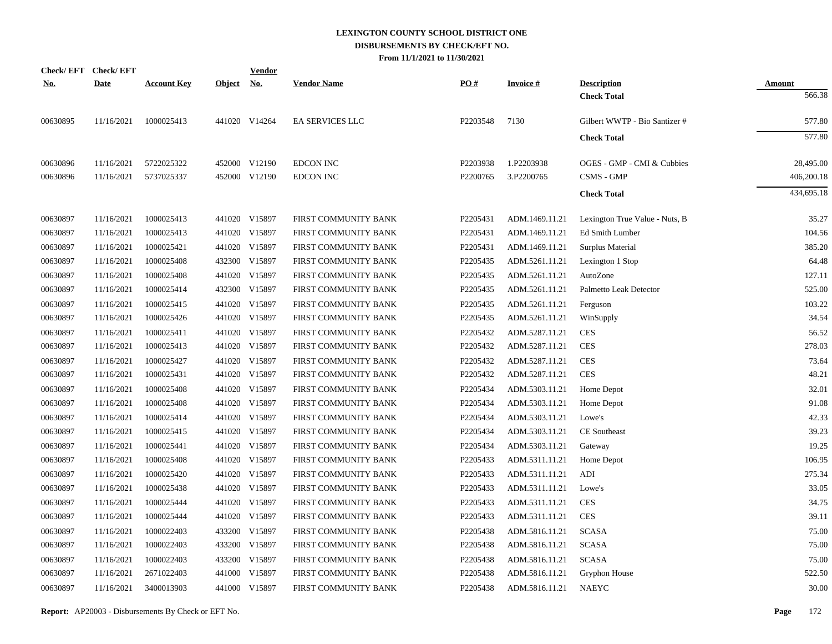|            | Check/EFT Check/EFT |                    |               | <u>Vendor</u> |                        |          |                 |                                |               |
|------------|---------------------|--------------------|---------------|---------------|------------------------|----------|-----------------|--------------------------------|---------------|
| <u>No.</u> | <b>Date</b>         | <b>Account Key</b> | <b>Object</b> | <u>No.</u>    | <b>Vendor Name</b>     | PO#      | <b>Invoice#</b> | <b>Description</b>             | <b>Amount</b> |
|            |                     |                    |               |               |                        |          |                 | <b>Check Total</b>             | 566.38        |
| 00630895   | 11/16/2021          | 1000025413         |               | 441020 V14264 | <b>EA SERVICES LLC</b> | P2203548 | 7130            | Gilbert WWTP - Bio Santizer #  | 577.80        |
|            |                     |                    |               |               |                        |          |                 | <b>Check Total</b>             | 577.80        |
| 00630896   | 11/16/2021          | 5722025322         |               | 452000 V12190 | <b>EDCON INC</b>       | P2203938 | 1.P2203938      | OGES - GMP - CMI & Cubbies     | 28,495.00     |
| 00630896   | 11/16/2021          | 5737025337         |               | 452000 V12190 | <b>EDCON INC</b>       | P2200765 | 3.P2200765      | CSMS - GMP                     | 406,200.18    |
|            |                     |                    |               |               |                        |          |                 | <b>Check Total</b>             | 434,695.18    |
| 00630897   | 11/16/2021          | 1000025413         |               | 441020 V15897 | FIRST COMMUNITY BANK   | P2205431 | ADM.1469.11.21  | Lexington True Value - Nuts, B | 35.27         |
| 00630897   | 11/16/2021          | 1000025413         |               | 441020 V15897 | FIRST COMMUNITY BANK   | P2205431 | ADM.1469.11.21  | Ed Smith Lumber                | 104.56        |
| 00630897   | 11/16/2021          | 1000025421         |               | 441020 V15897 | FIRST COMMUNITY BANK   | P2205431 | ADM.1469.11.21  | Surplus Material               | 385.20        |
| 00630897   | 11/16/2021          | 1000025408         |               | 432300 V15897 | FIRST COMMUNITY BANK   | P2205435 | ADM.5261.11.21  | Lexington 1 Stop               | 64.48         |
| 00630897   | 11/16/2021          | 1000025408         |               | 441020 V15897 | FIRST COMMUNITY BANK   | P2205435 | ADM.5261.11.21  | AutoZone                       | 127.11        |
| 00630897   | 11/16/2021          | 1000025414         |               | 432300 V15897 | FIRST COMMUNITY BANK   | P2205435 | ADM.5261.11.21  | Palmetto Leak Detector         | 525.00        |
| 00630897   | 11/16/2021          | 1000025415         |               | 441020 V15897 | FIRST COMMUNITY BANK   | P2205435 | ADM.5261.11.21  | Ferguson                       | 103.22        |
| 00630897   | 11/16/2021          | 1000025426         |               | 441020 V15897 | FIRST COMMUNITY BANK   | P2205435 | ADM.5261.11.21  | WinSupply                      | 34.54         |
| 00630897   | 11/16/2021          | 1000025411         |               | 441020 V15897 | FIRST COMMUNITY BANK   | P2205432 | ADM.5287.11.21  | <b>CES</b>                     | 56.52         |
| 00630897   | 11/16/2021          | 1000025413         |               | 441020 V15897 | FIRST COMMUNITY BANK   | P2205432 | ADM.5287.11.21  | <b>CES</b>                     | 278.03        |
| 00630897   | 11/16/2021          | 1000025427         |               | 441020 V15897 | FIRST COMMUNITY BANK   | P2205432 | ADM.5287.11.21  | <b>CES</b>                     | 73.64         |
| 00630897   | 11/16/2021          | 1000025431         |               | 441020 V15897 | FIRST COMMUNITY BANK   | P2205432 | ADM.5287.11.21  | <b>CES</b>                     | 48.21         |
| 00630897   | 11/16/2021          | 1000025408         |               | 441020 V15897 | FIRST COMMUNITY BANK   | P2205434 | ADM.5303.11.21  | Home Depot                     | 32.01         |
| 00630897   | 11/16/2021          | 1000025408         |               | 441020 V15897 | FIRST COMMUNITY BANK   | P2205434 | ADM.5303.11.21  | Home Depot                     | 91.08         |
| 00630897   | 11/16/2021          | 1000025414         |               | 441020 V15897 | FIRST COMMUNITY BANK   | P2205434 | ADM.5303.11.21  | Lowe's                         | 42.33         |
| 00630897   | 11/16/2021          | 1000025415         |               | 441020 V15897 | FIRST COMMUNITY BANK   | P2205434 | ADM.5303.11.21  | CE Southeast                   | 39.23         |
| 00630897   | 11/16/2021          | 1000025441         |               | 441020 V15897 | FIRST COMMUNITY BANK   | P2205434 | ADM.5303.11.21  | Gateway                        | 19.25         |
| 00630897   | 11/16/2021          | 1000025408         |               | 441020 V15897 | FIRST COMMUNITY BANK   | P2205433 | ADM.5311.11.21  | Home Depot                     | 106.95        |
| 00630897   | 11/16/2021          | 1000025420         |               | 441020 V15897 | FIRST COMMUNITY BANK   | P2205433 | ADM.5311.11.21  | ADI                            | 275.34        |
| 00630897   | 11/16/2021          | 1000025438         |               | 441020 V15897 | FIRST COMMUNITY BANK   | P2205433 | ADM.5311.11.21  | Lowe's                         | 33.05         |
| 00630897   | 11/16/2021          | 1000025444         |               | 441020 V15897 | FIRST COMMUNITY BANK   | P2205433 | ADM.5311.11.21  | <b>CES</b>                     | 34.75         |
| 00630897   | 11/16/2021          | 1000025444         |               | 441020 V15897 | FIRST COMMUNITY BANK   | P2205433 | ADM.5311.11.21  | <b>CES</b>                     | 39.11         |
| 00630897   | 11/16/2021          | 1000022403         |               | 433200 V15897 | FIRST COMMUNITY BANK   | P2205438 | ADM.5816.11.21  | <b>SCASA</b>                   | 75.00         |
| 00630897   | 11/16/2021          | 1000022403         |               | 433200 V15897 | FIRST COMMUNITY BANK   | P2205438 | ADM.5816.11.21  | <b>SCASA</b>                   | 75.00         |
| 00630897   | 11/16/2021          | 1000022403         |               | 433200 V15897 | FIRST COMMUNITY BANK   | P2205438 | ADM.5816.11.21  | <b>SCASA</b>                   | 75.00         |
| 00630897   | 11/16/2021          | 2671022403         |               | 441000 V15897 | FIRST COMMUNITY BANK   | P2205438 | ADM.5816.11.21  | Gryphon House                  | 522.50        |
| 00630897   | 11/16/2021          | 3400013903         |               | 441000 V15897 | FIRST COMMUNITY BANK   | P2205438 | ADM.5816.11.21  | <b>NAEYC</b>                   | 30.00         |
|            |                     |                    |               |               |                        |          |                 |                                |               |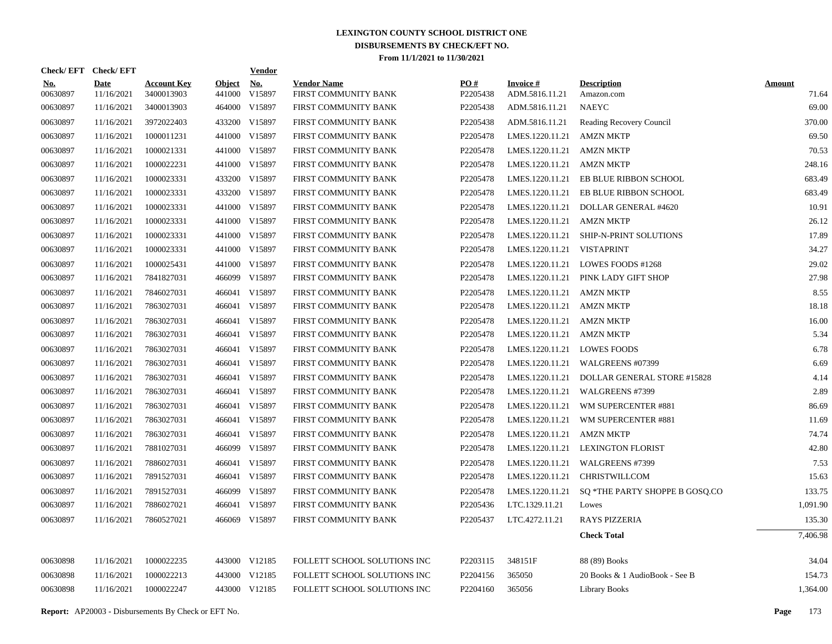| PO#<br><b>Invoice #</b><br><b>Account Key</b><br><b>Object</b><br><u>No.</u><br><b>Vendor Name</b><br><b>Description</b><br><b>Date</b><br><u>No.</u><br><b>Amount</b><br>00630897<br>3400013903<br>441000<br>V15897<br>FIRST COMMUNITY BANK<br>P2205438<br>ADM.5816.11.21<br>71.64<br>11/16/2021<br>Amazon.com<br>00630897<br>3400013903<br>464000 V15897<br><b>NAEYC</b><br>69.00<br>11/16/2021<br>FIRST COMMUNITY BANK<br>P2205438<br>ADM.5816.11.21<br>00630897<br>3972022403<br>433200 V15897<br>370.00<br>11/16/2021<br>FIRST COMMUNITY BANK<br>P2205438<br>ADM.5816.11.21<br>Reading Recovery Council<br>69.50<br>00630897<br>11/16/2021<br>1000011231<br>441000 V15897<br>P2205478<br>LMES.1220.11.21<br><b>AMZN MKTP</b><br>FIRST COMMUNITY BANK<br>00630897<br>11/16/2021<br>1000021331<br>441000 V15897<br>P2205478<br>LMES.1220.11.21<br><b>AMZN MKTP</b><br>70.53<br>FIRST COMMUNITY BANK<br>00630897<br>11/16/2021<br>1000022231<br>441000 V15897<br>FIRST COMMUNITY BANK<br>P2205478<br>LMES.1220.11.21<br><b>AMZN MKTP</b><br>248.16<br>00630897<br>11/16/2021<br>1000023331<br>433200 V15897<br>P2205478<br>LMES.1220.11.21<br>683.49<br>FIRST COMMUNITY BANK<br>EB BLUE RIBBON SCHOOL<br>00630897<br>1000023331<br>433200<br>V15897<br>P2205478<br>683.49<br>11/16/2021<br>FIRST COMMUNITY BANK<br>LMES.1220.11.21<br>EB BLUE RIBBON SCHOOL<br>441000<br>V15897<br>10.91<br>00630897<br>11/16/2021<br>1000023331<br>FIRST COMMUNITY BANK<br>P2205478<br>LMES.1220.11.21<br>DOLLAR GENERAL #4620<br>00630897<br>11/16/2021<br>1000023331<br>441000 V15897<br>P2205478<br>LMES.1220.11.21<br><b>AMZN MKTP</b><br>26.12<br>FIRST COMMUNITY BANK<br>00630897<br>1000023331<br>441000<br>V15897<br>P2205478<br>17.89<br>11/16/2021<br>FIRST COMMUNITY BANK<br>LMES.1220.11.21<br><b>SHIP-N-PRINT SOLUTIONS</b><br>34.27<br>00630897<br>11/16/2021<br>1000023331<br>441000 V15897<br>FIRST COMMUNITY BANK<br>P2205478<br>LMES.1220.11.21<br><b>VISTAPRINT</b><br>29.02<br>00630897<br>11/16/2021<br>1000025431<br>441000<br>V15897<br>P2205478<br>LMES.1220.11.21<br>LOWES FOODS #1268<br>FIRST COMMUNITY BANK<br>27.98<br>00630897<br>7841827031<br>466099<br>V15897<br>P2205478<br>11/16/2021<br>FIRST COMMUNITY BANK<br>LMES.1220.11.21<br>PINK LADY GIFT SHOP<br>00630897<br>466041<br>V15897<br>P2205478<br>8.55<br>11/16/2021<br>7846027031<br>FIRST COMMUNITY BANK<br>LMES.1220.11.21<br><b>AMZN MKTP</b><br>V15897<br>18.18<br>00630897<br>11/16/2021<br>7863027031<br>466041<br>P2205478<br>LMES.1220.11.21<br><b>AMZN MKTP</b><br>FIRST COMMUNITY BANK<br>00630897<br>11/16/2021<br>7863027031<br>466041<br>V15897<br>P2205478<br>LMES.1220.11.21<br><b>AMZN MKTP</b><br>16.00<br>FIRST COMMUNITY BANK<br>00630897<br>466041 V15897<br>5.34<br>11/16/2021<br>7863027031<br>FIRST COMMUNITY BANK<br>P2205478<br>LMES.1220.11.21<br><b>AMZN MKTP</b><br>00630897<br>11/16/2021<br>7863027031<br>466041 V15897<br>FIRST COMMUNITY BANK<br>P2205478<br>LMES.1220.11.21<br><b>LOWES FOODS</b><br>6.78<br>466041 V15897<br>00630897<br>11/16/2021<br>7863027031<br>P2205478<br>LMES.1220.11.21<br>6.69<br>FIRST COMMUNITY BANK<br>WALGREENS #07399<br>00630897<br>11/16/2021<br>7863027031<br>466041 V15897<br>P2205478<br>4.14<br>FIRST COMMUNITY BANK<br>LMES.1220.11.21<br>DOLLAR GENERAL STORE #15828<br>466041 V15897<br>2.89<br>00630897<br>11/16/2021<br>7863027031<br>FIRST COMMUNITY BANK<br>P2205478<br>LMES.1220.11.21<br>WALGREENS #7399<br>00630897<br>11/16/2021<br>7863027031<br>466041 V15897<br>P2205478<br>LMES.1220.11.21<br>WM SUPERCENTER #881<br>86.69<br>FIRST COMMUNITY BANK<br>00630897<br>466041 V15897<br>11.69<br>11/16/2021<br>7863027031<br>FIRST COMMUNITY BANK<br>P2205478<br>LMES.1220.11.21<br>WM SUPERCENTER #881<br>466041 V15897<br>74.74<br>00630897<br>11/16/2021<br>7863027031<br>FIRST COMMUNITY BANK<br>P2205478<br>LMES.1220.11.21<br><b>AMZN MKTP</b><br>466099 V15897<br>42.80<br>00630897<br>11/16/2021<br>7881027031<br>P2205478<br>LMES.1220.11.21<br><b>LEXINGTON FLORIST</b><br>FIRST COMMUNITY BANK<br>466041 V15897<br>7.53<br>00630897<br>11/16/2021<br>7886027031<br>P2205478<br>LMES.1220.11.21<br>WALGREENS #7399<br>FIRST COMMUNITY BANK<br>7891527031<br>466041 V15897<br>P2205478<br>15.63<br>00630897<br>11/16/2021<br>FIRST COMMUNITY BANK<br>LMES.1220.11.21<br>CHRISTWILLCOM<br>466099 V15897<br>133.75<br>00630897<br>11/16/2021<br>7891527031<br>FIRST COMMUNITY BANK<br>P2205478<br>LMES.1220.11.21<br>SQ *THE PARTY SHOPPE B GOSQ.CO<br>00630897<br>7886027021<br>V15897<br>P2205436<br>LTC.1329.11.21<br>1,091.90<br>11/16/2021<br>466041<br>FIRST COMMUNITY BANK<br>Lowes<br>00630897<br>466069 V15897<br>P2205437<br>LTC.4272.11.21<br>11/16/2021<br>7860527021<br>FIRST COMMUNITY BANK<br><b>RAYS PIZZERIA</b><br>135.30<br><b>Check Total</b><br>7,406.98<br>1000022235<br>443000 V12185<br>348151F<br>34.04<br>00630898<br>11/16/2021<br>FOLLETT SCHOOL SOLUTIONS INC<br>P2203115<br>88 (89) Books<br>00630898<br>154.73<br>11/16/2021<br>1000022213<br>443000<br>V12185<br>FOLLETT SCHOOL SOLUTIONS INC<br>P2204156<br>365050<br>20 Books & 1 AudioBook - See B<br>00630898<br>11/16/2021<br>1000022247<br>443000 V12185<br>FOLLETT SCHOOL SOLUTIONS INC<br>P2204160<br>365056<br>1,364.00<br><b>Library Books</b> | Check/EFT Check/EFT |  | <b>Vendor</b> |  |  |  |
|--------------------------------------------------------------------------------------------------------------------------------------------------------------------------------------------------------------------------------------------------------------------------------------------------------------------------------------------------------------------------------------------------------------------------------------------------------------------------------------------------------------------------------------------------------------------------------------------------------------------------------------------------------------------------------------------------------------------------------------------------------------------------------------------------------------------------------------------------------------------------------------------------------------------------------------------------------------------------------------------------------------------------------------------------------------------------------------------------------------------------------------------------------------------------------------------------------------------------------------------------------------------------------------------------------------------------------------------------------------------------------------------------------------------------------------------------------------------------------------------------------------------------------------------------------------------------------------------------------------------------------------------------------------------------------------------------------------------------------------------------------------------------------------------------------------------------------------------------------------------------------------------------------------------------------------------------------------------------------------------------------------------------------------------------------------------------------------------------------------------------------------------------------------------------------------------------------------------------------------------------------------------------------------------------------------------------------------------------------------------------------------------------------------------------------------------------------------------------------------------------------------------------------------------------------------------------------------------------------------------------------------------------------------------------------------------------------------------------------------------------------------------------------------------------------------------------------------------------------------------------------------------------------------------------------------------------------------------------------------------------------------------------------------------------------------------------------------------------------------------------------------------------------------------------------------------------------------------------------------------------------------------------------------------------------------------------------------------------------------------------------------------------------------------------------------------------------------------------------------------------------------------------------------------------------------------------------------------------------------------------------------------------------------------------------------------------------------------------------------------------------------------------------------------------------------------------------------------------------------------------------------------------------------------------------------------------------------------------------------------------------------------------------------------------------------------------------------------------------------------------------------------------------------------------------------------------------------------------------------------------------------------------------------------------------------------------------------------------------------------------------------------------------------------------------------------------------------------------------------------------------------------------------------------------------------------------------------------------------------------------------------------------------------------------------------------------------------------------------------------------------------------------------------------------------------------------------------------------------------------------------------------------------------------------------------------------------------------------------------------------------------------------------------------------------------------------------------------------------------------------------------------------------------------------------------------------------------------------------------------------------------------------------------------------------------|---------------------|--|---------------|--|--|--|
|                                                                                                                                                                                                                                                                                                                                                                                                                                                                                                                                                                                                                                                                                                                                                                                                                                                                                                                                                                                                                                                                                                                                                                                                                                                                                                                                                                                                                                                                                                                                                                                                                                                                                                                                                                                                                                                                                                                                                                                                                                                                                                                                                                                                                                                                                                                                                                                                                                                                                                                                                                                                                                                                                                                                                                                                                                                                                                                                                                                                                                                                                                                                                                                                                                                                                                                                                                                                                                                                                                                                                                                                                                                                                                                                                                                                                                                                                                                                                                                                                                                                                                                                                                                                                                                                                                                                                                                                                                                                                                                                                                                                                                                                                                                                                                                                                                                                                                                                                                                                                                                                                                                                                                                                                                                                                                              |                     |  |               |  |  |  |
|                                                                                                                                                                                                                                                                                                                                                                                                                                                                                                                                                                                                                                                                                                                                                                                                                                                                                                                                                                                                                                                                                                                                                                                                                                                                                                                                                                                                                                                                                                                                                                                                                                                                                                                                                                                                                                                                                                                                                                                                                                                                                                                                                                                                                                                                                                                                                                                                                                                                                                                                                                                                                                                                                                                                                                                                                                                                                                                                                                                                                                                                                                                                                                                                                                                                                                                                                                                                                                                                                                                                                                                                                                                                                                                                                                                                                                                                                                                                                                                                                                                                                                                                                                                                                                                                                                                                                                                                                                                                                                                                                                                                                                                                                                                                                                                                                                                                                                                                                                                                                                                                                                                                                                                                                                                                                                              |                     |  |               |  |  |  |
|                                                                                                                                                                                                                                                                                                                                                                                                                                                                                                                                                                                                                                                                                                                                                                                                                                                                                                                                                                                                                                                                                                                                                                                                                                                                                                                                                                                                                                                                                                                                                                                                                                                                                                                                                                                                                                                                                                                                                                                                                                                                                                                                                                                                                                                                                                                                                                                                                                                                                                                                                                                                                                                                                                                                                                                                                                                                                                                                                                                                                                                                                                                                                                                                                                                                                                                                                                                                                                                                                                                                                                                                                                                                                                                                                                                                                                                                                                                                                                                                                                                                                                                                                                                                                                                                                                                                                                                                                                                                                                                                                                                                                                                                                                                                                                                                                                                                                                                                                                                                                                                                                                                                                                                                                                                                                                              |                     |  |               |  |  |  |
|                                                                                                                                                                                                                                                                                                                                                                                                                                                                                                                                                                                                                                                                                                                                                                                                                                                                                                                                                                                                                                                                                                                                                                                                                                                                                                                                                                                                                                                                                                                                                                                                                                                                                                                                                                                                                                                                                                                                                                                                                                                                                                                                                                                                                                                                                                                                                                                                                                                                                                                                                                                                                                                                                                                                                                                                                                                                                                                                                                                                                                                                                                                                                                                                                                                                                                                                                                                                                                                                                                                                                                                                                                                                                                                                                                                                                                                                                                                                                                                                                                                                                                                                                                                                                                                                                                                                                                                                                                                                                                                                                                                                                                                                                                                                                                                                                                                                                                                                                                                                                                                                                                                                                                                                                                                                                                              |                     |  |               |  |  |  |
|                                                                                                                                                                                                                                                                                                                                                                                                                                                                                                                                                                                                                                                                                                                                                                                                                                                                                                                                                                                                                                                                                                                                                                                                                                                                                                                                                                                                                                                                                                                                                                                                                                                                                                                                                                                                                                                                                                                                                                                                                                                                                                                                                                                                                                                                                                                                                                                                                                                                                                                                                                                                                                                                                                                                                                                                                                                                                                                                                                                                                                                                                                                                                                                                                                                                                                                                                                                                                                                                                                                                                                                                                                                                                                                                                                                                                                                                                                                                                                                                                                                                                                                                                                                                                                                                                                                                                                                                                                                                                                                                                                                                                                                                                                                                                                                                                                                                                                                                                                                                                                                                                                                                                                                                                                                                                                              |                     |  |               |  |  |  |
|                                                                                                                                                                                                                                                                                                                                                                                                                                                                                                                                                                                                                                                                                                                                                                                                                                                                                                                                                                                                                                                                                                                                                                                                                                                                                                                                                                                                                                                                                                                                                                                                                                                                                                                                                                                                                                                                                                                                                                                                                                                                                                                                                                                                                                                                                                                                                                                                                                                                                                                                                                                                                                                                                                                                                                                                                                                                                                                                                                                                                                                                                                                                                                                                                                                                                                                                                                                                                                                                                                                                                                                                                                                                                                                                                                                                                                                                                                                                                                                                                                                                                                                                                                                                                                                                                                                                                                                                                                                                                                                                                                                                                                                                                                                                                                                                                                                                                                                                                                                                                                                                                                                                                                                                                                                                                                              |                     |  |               |  |  |  |
|                                                                                                                                                                                                                                                                                                                                                                                                                                                                                                                                                                                                                                                                                                                                                                                                                                                                                                                                                                                                                                                                                                                                                                                                                                                                                                                                                                                                                                                                                                                                                                                                                                                                                                                                                                                                                                                                                                                                                                                                                                                                                                                                                                                                                                                                                                                                                                                                                                                                                                                                                                                                                                                                                                                                                                                                                                                                                                                                                                                                                                                                                                                                                                                                                                                                                                                                                                                                                                                                                                                                                                                                                                                                                                                                                                                                                                                                                                                                                                                                                                                                                                                                                                                                                                                                                                                                                                                                                                                                                                                                                                                                                                                                                                                                                                                                                                                                                                                                                                                                                                                                                                                                                                                                                                                                                                              |                     |  |               |  |  |  |
|                                                                                                                                                                                                                                                                                                                                                                                                                                                                                                                                                                                                                                                                                                                                                                                                                                                                                                                                                                                                                                                                                                                                                                                                                                                                                                                                                                                                                                                                                                                                                                                                                                                                                                                                                                                                                                                                                                                                                                                                                                                                                                                                                                                                                                                                                                                                                                                                                                                                                                                                                                                                                                                                                                                                                                                                                                                                                                                                                                                                                                                                                                                                                                                                                                                                                                                                                                                                                                                                                                                                                                                                                                                                                                                                                                                                                                                                                                                                                                                                                                                                                                                                                                                                                                                                                                                                                                                                                                                                                                                                                                                                                                                                                                                                                                                                                                                                                                                                                                                                                                                                                                                                                                                                                                                                                                              |                     |  |               |  |  |  |
|                                                                                                                                                                                                                                                                                                                                                                                                                                                                                                                                                                                                                                                                                                                                                                                                                                                                                                                                                                                                                                                                                                                                                                                                                                                                                                                                                                                                                                                                                                                                                                                                                                                                                                                                                                                                                                                                                                                                                                                                                                                                                                                                                                                                                                                                                                                                                                                                                                                                                                                                                                                                                                                                                                                                                                                                                                                                                                                                                                                                                                                                                                                                                                                                                                                                                                                                                                                                                                                                                                                                                                                                                                                                                                                                                                                                                                                                                                                                                                                                                                                                                                                                                                                                                                                                                                                                                                                                                                                                                                                                                                                                                                                                                                                                                                                                                                                                                                                                                                                                                                                                                                                                                                                                                                                                                                              |                     |  |               |  |  |  |
|                                                                                                                                                                                                                                                                                                                                                                                                                                                                                                                                                                                                                                                                                                                                                                                                                                                                                                                                                                                                                                                                                                                                                                                                                                                                                                                                                                                                                                                                                                                                                                                                                                                                                                                                                                                                                                                                                                                                                                                                                                                                                                                                                                                                                                                                                                                                                                                                                                                                                                                                                                                                                                                                                                                                                                                                                                                                                                                                                                                                                                                                                                                                                                                                                                                                                                                                                                                                                                                                                                                                                                                                                                                                                                                                                                                                                                                                                                                                                                                                                                                                                                                                                                                                                                                                                                                                                                                                                                                                                                                                                                                                                                                                                                                                                                                                                                                                                                                                                                                                                                                                                                                                                                                                                                                                                                              |                     |  |               |  |  |  |
|                                                                                                                                                                                                                                                                                                                                                                                                                                                                                                                                                                                                                                                                                                                                                                                                                                                                                                                                                                                                                                                                                                                                                                                                                                                                                                                                                                                                                                                                                                                                                                                                                                                                                                                                                                                                                                                                                                                                                                                                                                                                                                                                                                                                                                                                                                                                                                                                                                                                                                                                                                                                                                                                                                                                                                                                                                                                                                                                                                                                                                                                                                                                                                                                                                                                                                                                                                                                                                                                                                                                                                                                                                                                                                                                                                                                                                                                                                                                                                                                                                                                                                                                                                                                                                                                                                                                                                                                                                                                                                                                                                                                                                                                                                                                                                                                                                                                                                                                                                                                                                                                                                                                                                                                                                                                                                              |                     |  |               |  |  |  |
|                                                                                                                                                                                                                                                                                                                                                                                                                                                                                                                                                                                                                                                                                                                                                                                                                                                                                                                                                                                                                                                                                                                                                                                                                                                                                                                                                                                                                                                                                                                                                                                                                                                                                                                                                                                                                                                                                                                                                                                                                                                                                                                                                                                                                                                                                                                                                                                                                                                                                                                                                                                                                                                                                                                                                                                                                                                                                                                                                                                                                                                                                                                                                                                                                                                                                                                                                                                                                                                                                                                                                                                                                                                                                                                                                                                                                                                                                                                                                                                                                                                                                                                                                                                                                                                                                                                                                                                                                                                                                                                                                                                                                                                                                                                                                                                                                                                                                                                                                                                                                                                                                                                                                                                                                                                                                                              |                     |  |               |  |  |  |
|                                                                                                                                                                                                                                                                                                                                                                                                                                                                                                                                                                                                                                                                                                                                                                                                                                                                                                                                                                                                                                                                                                                                                                                                                                                                                                                                                                                                                                                                                                                                                                                                                                                                                                                                                                                                                                                                                                                                                                                                                                                                                                                                                                                                                                                                                                                                                                                                                                                                                                                                                                                                                                                                                                                                                                                                                                                                                                                                                                                                                                                                                                                                                                                                                                                                                                                                                                                                                                                                                                                                                                                                                                                                                                                                                                                                                                                                                                                                                                                                                                                                                                                                                                                                                                                                                                                                                                                                                                                                                                                                                                                                                                                                                                                                                                                                                                                                                                                                                                                                                                                                                                                                                                                                                                                                                                              |                     |  |               |  |  |  |
|                                                                                                                                                                                                                                                                                                                                                                                                                                                                                                                                                                                                                                                                                                                                                                                                                                                                                                                                                                                                                                                                                                                                                                                                                                                                                                                                                                                                                                                                                                                                                                                                                                                                                                                                                                                                                                                                                                                                                                                                                                                                                                                                                                                                                                                                                                                                                                                                                                                                                                                                                                                                                                                                                                                                                                                                                                                                                                                                                                                                                                                                                                                                                                                                                                                                                                                                                                                                                                                                                                                                                                                                                                                                                                                                                                                                                                                                                                                                                                                                                                                                                                                                                                                                                                                                                                                                                                                                                                                                                                                                                                                                                                                                                                                                                                                                                                                                                                                                                                                                                                                                                                                                                                                                                                                                                                              |                     |  |               |  |  |  |
|                                                                                                                                                                                                                                                                                                                                                                                                                                                                                                                                                                                                                                                                                                                                                                                                                                                                                                                                                                                                                                                                                                                                                                                                                                                                                                                                                                                                                                                                                                                                                                                                                                                                                                                                                                                                                                                                                                                                                                                                                                                                                                                                                                                                                                                                                                                                                                                                                                                                                                                                                                                                                                                                                                                                                                                                                                                                                                                                                                                                                                                                                                                                                                                                                                                                                                                                                                                                                                                                                                                                                                                                                                                                                                                                                                                                                                                                                                                                                                                                                                                                                                                                                                                                                                                                                                                                                                                                                                                                                                                                                                                                                                                                                                                                                                                                                                                                                                                                                                                                                                                                                                                                                                                                                                                                                                              |                     |  |               |  |  |  |
|                                                                                                                                                                                                                                                                                                                                                                                                                                                                                                                                                                                                                                                                                                                                                                                                                                                                                                                                                                                                                                                                                                                                                                                                                                                                                                                                                                                                                                                                                                                                                                                                                                                                                                                                                                                                                                                                                                                                                                                                                                                                                                                                                                                                                                                                                                                                                                                                                                                                                                                                                                                                                                                                                                                                                                                                                                                                                                                                                                                                                                                                                                                                                                                                                                                                                                                                                                                                                                                                                                                                                                                                                                                                                                                                                                                                                                                                                                                                                                                                                                                                                                                                                                                                                                                                                                                                                                                                                                                                                                                                                                                                                                                                                                                                                                                                                                                                                                                                                                                                                                                                                                                                                                                                                                                                                                              |                     |  |               |  |  |  |
|                                                                                                                                                                                                                                                                                                                                                                                                                                                                                                                                                                                                                                                                                                                                                                                                                                                                                                                                                                                                                                                                                                                                                                                                                                                                                                                                                                                                                                                                                                                                                                                                                                                                                                                                                                                                                                                                                                                                                                                                                                                                                                                                                                                                                                                                                                                                                                                                                                                                                                                                                                                                                                                                                                                                                                                                                                                                                                                                                                                                                                                                                                                                                                                                                                                                                                                                                                                                                                                                                                                                                                                                                                                                                                                                                                                                                                                                                                                                                                                                                                                                                                                                                                                                                                                                                                                                                                                                                                                                                                                                                                                                                                                                                                                                                                                                                                                                                                                                                                                                                                                                                                                                                                                                                                                                                                              |                     |  |               |  |  |  |
|                                                                                                                                                                                                                                                                                                                                                                                                                                                                                                                                                                                                                                                                                                                                                                                                                                                                                                                                                                                                                                                                                                                                                                                                                                                                                                                                                                                                                                                                                                                                                                                                                                                                                                                                                                                                                                                                                                                                                                                                                                                                                                                                                                                                                                                                                                                                                                                                                                                                                                                                                                                                                                                                                                                                                                                                                                                                                                                                                                                                                                                                                                                                                                                                                                                                                                                                                                                                                                                                                                                                                                                                                                                                                                                                                                                                                                                                                                                                                                                                                                                                                                                                                                                                                                                                                                                                                                                                                                                                                                                                                                                                                                                                                                                                                                                                                                                                                                                                                                                                                                                                                                                                                                                                                                                                                                              |                     |  |               |  |  |  |
|                                                                                                                                                                                                                                                                                                                                                                                                                                                                                                                                                                                                                                                                                                                                                                                                                                                                                                                                                                                                                                                                                                                                                                                                                                                                                                                                                                                                                                                                                                                                                                                                                                                                                                                                                                                                                                                                                                                                                                                                                                                                                                                                                                                                                                                                                                                                                                                                                                                                                                                                                                                                                                                                                                                                                                                                                                                                                                                                                                                                                                                                                                                                                                                                                                                                                                                                                                                                                                                                                                                                                                                                                                                                                                                                                                                                                                                                                                                                                                                                                                                                                                                                                                                                                                                                                                                                                                                                                                                                                                                                                                                                                                                                                                                                                                                                                                                                                                                                                                                                                                                                                                                                                                                                                                                                                                              |                     |  |               |  |  |  |
|                                                                                                                                                                                                                                                                                                                                                                                                                                                                                                                                                                                                                                                                                                                                                                                                                                                                                                                                                                                                                                                                                                                                                                                                                                                                                                                                                                                                                                                                                                                                                                                                                                                                                                                                                                                                                                                                                                                                                                                                                                                                                                                                                                                                                                                                                                                                                                                                                                                                                                                                                                                                                                                                                                                                                                                                                                                                                                                                                                                                                                                                                                                                                                                                                                                                                                                                                                                                                                                                                                                                                                                                                                                                                                                                                                                                                                                                                                                                                                                                                                                                                                                                                                                                                                                                                                                                                                                                                                                                                                                                                                                                                                                                                                                                                                                                                                                                                                                                                                                                                                                                                                                                                                                                                                                                                                              |                     |  |               |  |  |  |
|                                                                                                                                                                                                                                                                                                                                                                                                                                                                                                                                                                                                                                                                                                                                                                                                                                                                                                                                                                                                                                                                                                                                                                                                                                                                                                                                                                                                                                                                                                                                                                                                                                                                                                                                                                                                                                                                                                                                                                                                                                                                                                                                                                                                                                                                                                                                                                                                                                                                                                                                                                                                                                                                                                                                                                                                                                                                                                                                                                                                                                                                                                                                                                                                                                                                                                                                                                                                                                                                                                                                                                                                                                                                                                                                                                                                                                                                                                                                                                                                                                                                                                                                                                                                                                                                                                                                                                                                                                                                                                                                                                                                                                                                                                                                                                                                                                                                                                                                                                                                                                                                                                                                                                                                                                                                                                              |                     |  |               |  |  |  |
|                                                                                                                                                                                                                                                                                                                                                                                                                                                                                                                                                                                                                                                                                                                                                                                                                                                                                                                                                                                                                                                                                                                                                                                                                                                                                                                                                                                                                                                                                                                                                                                                                                                                                                                                                                                                                                                                                                                                                                                                                                                                                                                                                                                                                                                                                                                                                                                                                                                                                                                                                                                                                                                                                                                                                                                                                                                                                                                                                                                                                                                                                                                                                                                                                                                                                                                                                                                                                                                                                                                                                                                                                                                                                                                                                                                                                                                                                                                                                                                                                                                                                                                                                                                                                                                                                                                                                                                                                                                                                                                                                                                                                                                                                                                                                                                                                                                                                                                                                                                                                                                                                                                                                                                                                                                                                                              |                     |  |               |  |  |  |
|                                                                                                                                                                                                                                                                                                                                                                                                                                                                                                                                                                                                                                                                                                                                                                                                                                                                                                                                                                                                                                                                                                                                                                                                                                                                                                                                                                                                                                                                                                                                                                                                                                                                                                                                                                                                                                                                                                                                                                                                                                                                                                                                                                                                                                                                                                                                                                                                                                                                                                                                                                                                                                                                                                                                                                                                                                                                                                                                                                                                                                                                                                                                                                                                                                                                                                                                                                                                                                                                                                                                                                                                                                                                                                                                                                                                                                                                                                                                                                                                                                                                                                                                                                                                                                                                                                                                                                                                                                                                                                                                                                                                                                                                                                                                                                                                                                                                                                                                                                                                                                                                                                                                                                                                                                                                                                              |                     |  |               |  |  |  |
|                                                                                                                                                                                                                                                                                                                                                                                                                                                                                                                                                                                                                                                                                                                                                                                                                                                                                                                                                                                                                                                                                                                                                                                                                                                                                                                                                                                                                                                                                                                                                                                                                                                                                                                                                                                                                                                                                                                                                                                                                                                                                                                                                                                                                                                                                                                                                                                                                                                                                                                                                                                                                                                                                                                                                                                                                                                                                                                                                                                                                                                                                                                                                                                                                                                                                                                                                                                                                                                                                                                                                                                                                                                                                                                                                                                                                                                                                                                                                                                                                                                                                                                                                                                                                                                                                                                                                                                                                                                                                                                                                                                                                                                                                                                                                                                                                                                                                                                                                                                                                                                                                                                                                                                                                                                                                                              |                     |  |               |  |  |  |
|                                                                                                                                                                                                                                                                                                                                                                                                                                                                                                                                                                                                                                                                                                                                                                                                                                                                                                                                                                                                                                                                                                                                                                                                                                                                                                                                                                                                                                                                                                                                                                                                                                                                                                                                                                                                                                                                                                                                                                                                                                                                                                                                                                                                                                                                                                                                                                                                                                                                                                                                                                                                                                                                                                                                                                                                                                                                                                                                                                                                                                                                                                                                                                                                                                                                                                                                                                                                                                                                                                                                                                                                                                                                                                                                                                                                                                                                                                                                                                                                                                                                                                                                                                                                                                                                                                                                                                                                                                                                                                                                                                                                                                                                                                                                                                                                                                                                                                                                                                                                                                                                                                                                                                                                                                                                                                              |                     |  |               |  |  |  |
|                                                                                                                                                                                                                                                                                                                                                                                                                                                                                                                                                                                                                                                                                                                                                                                                                                                                                                                                                                                                                                                                                                                                                                                                                                                                                                                                                                                                                                                                                                                                                                                                                                                                                                                                                                                                                                                                                                                                                                                                                                                                                                                                                                                                                                                                                                                                                                                                                                                                                                                                                                                                                                                                                                                                                                                                                                                                                                                                                                                                                                                                                                                                                                                                                                                                                                                                                                                                                                                                                                                                                                                                                                                                                                                                                                                                                                                                                                                                                                                                                                                                                                                                                                                                                                                                                                                                                                                                                                                                                                                                                                                                                                                                                                                                                                                                                                                                                                                                                                                                                                                                                                                                                                                                                                                                                                              |                     |  |               |  |  |  |
|                                                                                                                                                                                                                                                                                                                                                                                                                                                                                                                                                                                                                                                                                                                                                                                                                                                                                                                                                                                                                                                                                                                                                                                                                                                                                                                                                                                                                                                                                                                                                                                                                                                                                                                                                                                                                                                                                                                                                                                                                                                                                                                                                                                                                                                                                                                                                                                                                                                                                                                                                                                                                                                                                                                                                                                                                                                                                                                                                                                                                                                                                                                                                                                                                                                                                                                                                                                                                                                                                                                                                                                                                                                                                                                                                                                                                                                                                                                                                                                                                                                                                                                                                                                                                                                                                                                                                                                                                                                                                                                                                                                                                                                                                                                                                                                                                                                                                                                                                                                                                                                                                                                                                                                                                                                                                                              |                     |  |               |  |  |  |
|                                                                                                                                                                                                                                                                                                                                                                                                                                                                                                                                                                                                                                                                                                                                                                                                                                                                                                                                                                                                                                                                                                                                                                                                                                                                                                                                                                                                                                                                                                                                                                                                                                                                                                                                                                                                                                                                                                                                                                                                                                                                                                                                                                                                                                                                                                                                                                                                                                                                                                                                                                                                                                                                                                                                                                                                                                                                                                                                                                                                                                                                                                                                                                                                                                                                                                                                                                                                                                                                                                                                                                                                                                                                                                                                                                                                                                                                                                                                                                                                                                                                                                                                                                                                                                                                                                                                                                                                                                                                                                                                                                                                                                                                                                                                                                                                                                                                                                                                                                                                                                                                                                                                                                                                                                                                                                              |                     |  |               |  |  |  |
|                                                                                                                                                                                                                                                                                                                                                                                                                                                                                                                                                                                                                                                                                                                                                                                                                                                                                                                                                                                                                                                                                                                                                                                                                                                                                                                                                                                                                                                                                                                                                                                                                                                                                                                                                                                                                                                                                                                                                                                                                                                                                                                                                                                                                                                                                                                                                                                                                                                                                                                                                                                                                                                                                                                                                                                                                                                                                                                                                                                                                                                                                                                                                                                                                                                                                                                                                                                                                                                                                                                                                                                                                                                                                                                                                                                                                                                                                                                                                                                                                                                                                                                                                                                                                                                                                                                                                                                                                                                                                                                                                                                                                                                                                                                                                                                                                                                                                                                                                                                                                                                                                                                                                                                                                                                                                                              |                     |  |               |  |  |  |
|                                                                                                                                                                                                                                                                                                                                                                                                                                                                                                                                                                                                                                                                                                                                                                                                                                                                                                                                                                                                                                                                                                                                                                                                                                                                                                                                                                                                                                                                                                                                                                                                                                                                                                                                                                                                                                                                                                                                                                                                                                                                                                                                                                                                                                                                                                                                                                                                                                                                                                                                                                                                                                                                                                                                                                                                                                                                                                                                                                                                                                                                                                                                                                                                                                                                                                                                                                                                                                                                                                                                                                                                                                                                                                                                                                                                                                                                                                                                                                                                                                                                                                                                                                                                                                                                                                                                                                                                                                                                                                                                                                                                                                                                                                                                                                                                                                                                                                                                                                                                                                                                                                                                                                                                                                                                                                              |                     |  |               |  |  |  |
|                                                                                                                                                                                                                                                                                                                                                                                                                                                                                                                                                                                                                                                                                                                                                                                                                                                                                                                                                                                                                                                                                                                                                                                                                                                                                                                                                                                                                                                                                                                                                                                                                                                                                                                                                                                                                                                                                                                                                                                                                                                                                                                                                                                                                                                                                                                                                                                                                                                                                                                                                                                                                                                                                                                                                                                                                                                                                                                                                                                                                                                                                                                                                                                                                                                                                                                                                                                                                                                                                                                                                                                                                                                                                                                                                                                                                                                                                                                                                                                                                                                                                                                                                                                                                                                                                                                                                                                                                                                                                                                                                                                                                                                                                                                                                                                                                                                                                                                                                                                                                                                                                                                                                                                                                                                                                                              |                     |  |               |  |  |  |
|                                                                                                                                                                                                                                                                                                                                                                                                                                                                                                                                                                                                                                                                                                                                                                                                                                                                                                                                                                                                                                                                                                                                                                                                                                                                                                                                                                                                                                                                                                                                                                                                                                                                                                                                                                                                                                                                                                                                                                                                                                                                                                                                                                                                                                                                                                                                                                                                                                                                                                                                                                                                                                                                                                                                                                                                                                                                                                                                                                                                                                                                                                                                                                                                                                                                                                                                                                                                                                                                                                                                                                                                                                                                                                                                                                                                                                                                                                                                                                                                                                                                                                                                                                                                                                                                                                                                                                                                                                                                                                                                                                                                                                                                                                                                                                                                                                                                                                                                                                                                                                                                                                                                                                                                                                                                                                              |                     |  |               |  |  |  |
|                                                                                                                                                                                                                                                                                                                                                                                                                                                                                                                                                                                                                                                                                                                                                                                                                                                                                                                                                                                                                                                                                                                                                                                                                                                                                                                                                                                                                                                                                                                                                                                                                                                                                                                                                                                                                                                                                                                                                                                                                                                                                                                                                                                                                                                                                                                                                                                                                                                                                                                                                                                                                                                                                                                                                                                                                                                                                                                                                                                                                                                                                                                                                                                                                                                                                                                                                                                                                                                                                                                                                                                                                                                                                                                                                                                                                                                                                                                                                                                                                                                                                                                                                                                                                                                                                                                                                                                                                                                                                                                                                                                                                                                                                                                                                                                                                                                                                                                                                                                                                                                                                                                                                                                                                                                                                                              |                     |  |               |  |  |  |
|                                                                                                                                                                                                                                                                                                                                                                                                                                                                                                                                                                                                                                                                                                                                                                                                                                                                                                                                                                                                                                                                                                                                                                                                                                                                                                                                                                                                                                                                                                                                                                                                                                                                                                                                                                                                                                                                                                                                                                                                                                                                                                                                                                                                                                                                                                                                                                                                                                                                                                                                                                                                                                                                                                                                                                                                                                                                                                                                                                                                                                                                                                                                                                                                                                                                                                                                                                                                                                                                                                                                                                                                                                                                                                                                                                                                                                                                                                                                                                                                                                                                                                                                                                                                                                                                                                                                                                                                                                                                                                                                                                                                                                                                                                                                                                                                                                                                                                                                                                                                                                                                                                                                                                                                                                                                                                              |                     |  |               |  |  |  |
|                                                                                                                                                                                                                                                                                                                                                                                                                                                                                                                                                                                                                                                                                                                                                                                                                                                                                                                                                                                                                                                                                                                                                                                                                                                                                                                                                                                                                                                                                                                                                                                                                                                                                                                                                                                                                                                                                                                                                                                                                                                                                                                                                                                                                                                                                                                                                                                                                                                                                                                                                                                                                                                                                                                                                                                                                                                                                                                                                                                                                                                                                                                                                                                                                                                                                                                                                                                                                                                                                                                                                                                                                                                                                                                                                                                                                                                                                                                                                                                                                                                                                                                                                                                                                                                                                                                                                                                                                                                                                                                                                                                                                                                                                                                                                                                                                                                                                                                                                                                                                                                                                                                                                                                                                                                                                                              |                     |  |               |  |  |  |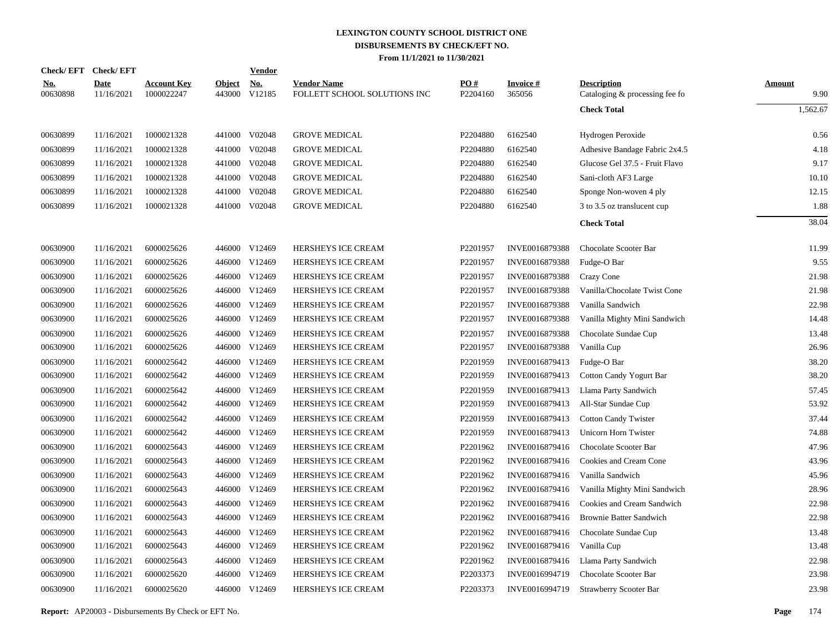|                        | Check/EFT Check/EFT       |                                  |                         | <b>Vendor</b>        |                                                    |                 |                           |                                                      |                       |
|------------------------|---------------------------|----------------------------------|-------------------------|----------------------|----------------------------------------------------|-----------------|---------------------------|------------------------------------------------------|-----------------------|
| <u>No.</u><br>00630898 | <b>Date</b><br>11/16/2021 | <b>Account Key</b><br>1000022247 | <b>Object</b><br>443000 | <u>No.</u><br>V12185 | <b>Vendor Name</b><br>FOLLETT SCHOOL SOLUTIONS INC | PO#<br>P2204160 | <b>Invoice#</b><br>365056 | <b>Description</b><br>Cataloging & processing fee fo | <b>Amount</b><br>9.90 |
|                        |                           |                                  |                         |                      |                                                    |                 |                           | <b>Check Total</b>                                   | 1,562.67              |
| 00630899               | 11/16/2021                | 1000021328                       | 441000                  | V02048               | <b>GROVE MEDICAL</b>                               | P2204880        | 6162540                   | Hydrogen Peroxide                                    | 0.56                  |
| 00630899               | 11/16/2021                | 1000021328                       | 441000                  | V02048               | <b>GROVE MEDICAL</b>                               | P2204880        | 6162540                   | Adhesive Bandage Fabric 2x4.5                        | 4.18                  |
| 00630899               | 11/16/2021                | 1000021328                       | 441000                  | V02048               | <b>GROVE MEDICAL</b>                               | P2204880        | 6162540                   | Glucose Gel 37.5 - Fruit Flavo                       | 9.17                  |
| 00630899               | 11/16/2021                | 1000021328                       | 441000                  | V02048               | <b>GROVE MEDICAL</b>                               | P2204880        | 6162540                   | Sani-cloth AF3 Large                                 | 10.10                 |
| 00630899               | 11/16/2021                | 1000021328                       | 441000                  | V02048               | <b>GROVE MEDICAL</b>                               | P2204880        | 6162540                   | Sponge Non-woven 4 ply                               | 12.15                 |
| 00630899               | 11/16/2021                | 1000021328                       | 441000                  | V02048               | <b>GROVE MEDICAL</b>                               | P2204880        | 6162540                   | 3 to 3.5 oz translucent cup                          | 1.88                  |
|                        |                           |                                  |                         |                      |                                                    |                 |                           | <b>Check Total</b>                                   | 38.04                 |
| 00630900               | 11/16/2021                | 6000025626                       |                         | 446000 V12469        | HERSHEYS ICE CREAM                                 | P2201957        | INVE0016879388            | Chocolate Scooter Bar                                | 11.99                 |
| 00630900               | 11/16/2021                | 6000025626                       | 446000                  | V12469               | HERSHEYS ICE CREAM                                 | P2201957        | INVE0016879388            | Fudge-O Bar                                          | 9.55                  |
| 00630900               | 11/16/2021                | 6000025626                       | 446000                  | V12469               | HERSHEYS ICE CREAM                                 | P2201957        | INVE0016879388            | Crazy Cone                                           | 21.98                 |
| 00630900               | 11/16/2021                | 6000025626                       | 446000                  | V12469               | HERSHEYS ICE CREAM                                 | P2201957        | INVE0016879388            | Vanilla/Chocolate Twist Cone                         | 21.98                 |
| 00630900               | 11/16/2021                | 6000025626                       | 446000                  | V12469               | HERSHEYS ICE CREAM                                 | P2201957        | INVE0016879388            | Vanilla Sandwich                                     | 22.98                 |
| 00630900               | 11/16/2021                | 6000025626                       | 446000                  | V12469               | HERSHEYS ICE CREAM                                 | P2201957        | INVE0016879388            | Vanilla Mighty Mini Sandwich                         | 14.48                 |
| 00630900               | 11/16/2021                | 6000025626                       | 446000                  | V12469               | HERSHEYS ICE CREAM                                 | P2201957        | INVE0016879388            | Chocolate Sundae Cup                                 | 13.48                 |
| 00630900               | 11/16/2021                | 6000025626                       | 446000                  | V12469               | HERSHEYS ICE CREAM                                 | P2201957        | INVE0016879388            | Vanilla Cup                                          | 26.96                 |
| 00630900               | 11/16/2021                | 6000025642                       | 446000                  | V12469               | HERSHEYS ICE CREAM                                 | P2201959        | INVE0016879413            | Fudge-O Bar                                          | 38.20                 |
| 00630900               | 11/16/2021                | 6000025642                       | 446000                  | V12469               | HERSHEYS ICE CREAM                                 | P2201959        | INVE0016879413            | Cotton Candy Yogurt Bar                              | 38.20                 |
| 00630900               | 11/16/2021                | 6000025642                       | 446000                  | V12469               | HERSHEYS ICE CREAM                                 | P2201959        | INVE0016879413            | Llama Party Sandwich                                 | 57.45                 |
| 00630900               | 11/16/2021                | 6000025642                       | 446000                  | V12469               | HERSHEYS ICE CREAM                                 | P2201959        | INVE0016879413            | All-Star Sundae Cup                                  | 53.92                 |
| 00630900               | 11/16/2021                | 6000025642                       | 446000                  | V12469               | HERSHEYS ICE CREAM                                 | P2201959        | INVE0016879413            | <b>Cotton Candy Twister</b>                          | 37.44                 |
| 00630900               | 11/16/2021                | 6000025642                       | 446000                  | V12469               | HERSHEYS ICE CREAM                                 | P2201959        | INVE0016879413            | Unicorn Horn Twister                                 | 74.88                 |
| 00630900               | 11/16/2021                | 6000025643                       | 446000                  | V12469               | HERSHEYS ICE CREAM                                 | P2201962        | INVE0016879416            | Chocolate Scooter Bar                                | 47.96                 |
| 00630900               | 11/16/2021                | 6000025643                       | 446000                  | V12469               | HERSHEYS ICE CREAM                                 | P2201962        | INVE0016879416            | Cookies and Cream Cone                               | 43.96                 |
| 00630900               | 11/16/2021                | 6000025643                       | 446000                  | V12469               | HERSHEYS ICE CREAM                                 | P2201962        | INVE0016879416            | Vanilla Sandwich                                     | 45.96                 |
| 00630900               | 11/16/2021                | 6000025643                       | 446000                  | V12469               | HERSHEYS ICE CREAM                                 | P2201962        | INVE0016879416            | Vanilla Mighty Mini Sandwich                         | 28.96                 |
| 00630900               | 11/16/2021                | 6000025643                       | 446000                  | V12469               | HERSHEYS ICE CREAM                                 | P2201962        | INVE0016879416            | Cookies and Cream Sandwich                           | 22.98                 |
| 00630900               | 11/16/2021                | 6000025643                       | 446000                  | V12469               | HERSHEYS ICE CREAM                                 | P2201962        | INVE0016879416            | <b>Brownie Batter Sandwich</b>                       | 22.98                 |
| 00630900               | 11/16/2021                | 6000025643                       | 446000                  | V12469               | HERSHEYS ICE CREAM                                 | P2201962        | INVE0016879416            | Chocolate Sundae Cup                                 | 13.48                 |
| 00630900               | 11/16/2021                | 6000025643                       | 446000                  | V12469               | HERSHEYS ICE CREAM                                 | P2201962        | INVE0016879416            | Vanilla Cup                                          | 13.48                 |
| 00630900               | 11/16/2021                | 6000025643                       | 446000                  | V12469               | HERSHEYS ICE CREAM                                 | P2201962        | INVE0016879416            | Llama Party Sandwich                                 | 22.98                 |
| 00630900               | 11/16/2021                | 6000025620                       | 446000                  | V12469               | HERSHEYS ICE CREAM                                 | P2203373        | INVE0016994719            | Chocolate Scooter Bar                                | 23.98                 |
| 00630900               | 11/16/2021                | 6000025620                       |                         | 446000 V12469        | HERSHEYS ICE CREAM                                 | P2203373        | INVE0016994719            | Strawberry Scooter Bar                               | 23.98                 |

**Report:** AP20003 - Disbursements By Check or EFT No. **Page** 174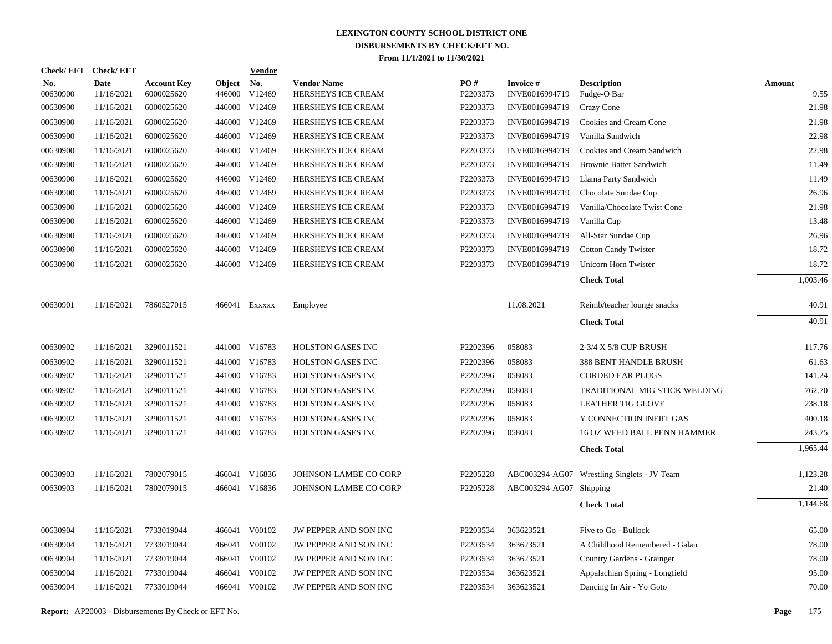| Check/EFT Check/EFT    |                           |                                  |                         | Vendor               |                                          |                 |                                   |                                             |                       |
|------------------------|---------------------------|----------------------------------|-------------------------|----------------------|------------------------------------------|-----------------|-----------------------------------|---------------------------------------------|-----------------------|
| <u>No.</u><br>00630900 | <b>Date</b><br>11/16/2021 | <b>Account Key</b><br>6000025620 | <b>Object</b><br>446000 | <b>No.</b><br>V12469 | <b>Vendor Name</b><br>HERSHEYS ICE CREAM | PO#<br>P2203373 | <b>Invoice#</b><br>INVE0016994719 | <b>Description</b><br>Fudge-O Bar           | <b>Amount</b><br>9.55 |
| 00630900               | 11/16/2021                | 6000025620                       |                         | 446000 V12469        | HERSHEYS ICE CREAM                       | P2203373        | INVE0016994719                    | Crazy Cone                                  | 21.98                 |
| 00630900               | 11/16/2021                | 6000025620                       |                         | 446000 V12469        | HERSHEYS ICE CREAM                       | P2203373        | INVE0016994719                    | Cookies and Cream Cone                      | 21.98                 |
| 00630900               | 11/16/2021                | 6000025620                       |                         | 446000 V12469        | HERSHEYS ICE CREAM                       | P2203373        | INVE0016994719                    | Vanilla Sandwich                            | 22.98                 |
| 00630900               | 11/16/2021                | 6000025620                       |                         | 446000 V12469        | HERSHEYS ICE CREAM                       | P2203373        | INVE0016994719                    | Cookies and Cream Sandwich                  | 22.98                 |
| 00630900               | 11/16/2021                | 6000025620                       |                         | 446000 V12469        | HERSHEYS ICE CREAM                       | P2203373        | INVE0016994719                    | <b>Brownie Batter Sandwich</b>              | 11.49                 |
| 00630900               | 11/16/2021                | 6000025620                       |                         | 446000 V12469        | HERSHEYS ICE CREAM                       | P2203373        | INVE0016994719                    | Llama Party Sandwich                        | 11.49                 |
| 00630900               | 11/16/2021                | 6000025620                       |                         | 446000 V12469        | HERSHEYS ICE CREAM                       | P2203373        | INVE0016994719                    | Chocolate Sundae Cup                        | 26.96                 |
| 00630900               | 11/16/2021                | 6000025620                       |                         | 446000 V12469        | HERSHEYS ICE CREAM                       | P2203373        | INVE0016994719                    | Vanilla/Chocolate Twist Cone                | 21.98                 |
| 00630900               | 11/16/2021                | 6000025620                       |                         | 446000 V12469        | HERSHEYS ICE CREAM                       | P2203373        | INVE0016994719                    | Vanilla Cup                                 | 13.48                 |
| 00630900               | 11/16/2021                | 6000025620                       |                         | 446000 V12469        | HERSHEYS ICE CREAM                       | P2203373        | INVE0016994719                    | All-Star Sundae Cup                         | 26.96                 |
| 00630900               | 11/16/2021                | 6000025620                       |                         | 446000 V12469        | HERSHEYS ICE CREAM                       | P2203373        | INVE0016994719                    | <b>Cotton Candy Twister</b>                 | 18.72                 |
| 00630900               | 11/16/2021                | 6000025620                       |                         | 446000 V12469        | HERSHEYS ICE CREAM                       | P2203373        | INVE0016994719                    | Unicorn Horn Twister                        | 18.72                 |
|                        |                           |                                  |                         |                      |                                          |                 |                                   | <b>Check Total</b>                          | 1,003.46              |
| 00630901               | 11/16/2021                | 7860527015                       |                         | 466041 Exxxxx        | Employee                                 |                 | 11.08.2021                        | Reimb/teacher lounge snacks                 | 40.91                 |
|                        |                           |                                  |                         |                      |                                          |                 |                                   | <b>Check Total</b>                          | 40.91                 |
| 00630902               | 11/16/2021                | 3290011521                       |                         | 441000 V16783        | HOLSTON GASES INC                        | P2202396        | 058083                            | 2-3/4 X 5/8 CUP BRUSH                       | 117.76                |
| 00630902               | 11/16/2021                | 3290011521                       | 441000                  | V16783               | <b>HOLSTON GASES INC</b>                 | P2202396        | 058083                            | <b>388 BENT HANDLE BRUSH</b>                | 61.63                 |
| 00630902               | 11/16/2021                | 3290011521                       |                         | 441000 V16783        | HOLSTON GASES INC                        | P2202396        | 058083                            | <b>CORDED EAR PLUGS</b>                     | 141.24                |
| 00630902               | 11/16/2021                | 3290011521                       | 441000                  | V16783               | <b>HOLSTON GASES INC</b>                 | P2202396        | 058083                            | TRADITIONAL MIG STICK WELDING               | 762.70                |
| 00630902               | 11/16/2021                | 3290011521                       |                         | 441000 V16783        | HOLSTON GASES INC                        | P2202396        | 058083                            | <b>LEATHER TIG GLOVE</b>                    | 238.18                |
| 00630902               | 11/16/2021                | 3290011521                       |                         | 441000 V16783        | <b>HOLSTON GASES INC</b>                 | P2202396        | 058083                            | Y CONNECTION INERT GAS                      | 400.18                |
| 00630902               | 11/16/2021                | 3290011521                       |                         | 441000 V16783        | HOLSTON GASES INC                        | P2202396        | 058083                            | 16 OZ WEED BALL PENN HAMMER                 | 243.75                |
|                        |                           |                                  |                         |                      |                                          |                 |                                   | <b>Check Total</b>                          | 1,965.44              |
| 00630903               | 11/16/2021                | 7802079015                       |                         | 466041 V16836        | JOHNSON-LAMBE CO CORP                    | P2205228        |                                   | ABC003294-AG07 Wrestling Singlets - JV Team | 1,123.28              |
| 00630903               | 11/16/2021                | 7802079015                       |                         | 466041 V16836        | JOHNSON-LAMBE CO CORP                    | P2205228        | ABC003294-AG07 Shipping           |                                             | 21.40                 |
|                        |                           |                                  |                         |                      |                                          |                 |                                   | <b>Check Total</b>                          | 1,144.68              |
| 00630904               | 11/16/2021                | 7733019044                       |                         | 466041 V00102        | JW PEPPER AND SON INC                    | P2203534        | 363623521                         | Five to Go - Bullock                        | 65.00                 |
| 00630904               | 11/16/2021                | 7733019044                       |                         | 466041 V00102        | JW PEPPER AND SON INC                    | P2203534        | 363623521                         | A Childhood Remembered - Galan              | 78.00                 |
| 00630904               | 11/16/2021                | 7733019044                       |                         | 466041 V00102        | JW PEPPER AND SON INC                    | P2203534        | 363623521                         | Country Gardens - Grainger                  | 78.00                 |
| 00630904               | 11/16/2021                | 7733019044                       |                         | 466041 V00102        | JW PEPPER AND SON INC                    | P2203534        | 363623521                         | Appalachian Spring - Longfield              | 95.00                 |
| 00630904               | 11/16/2021                | 7733019044                       |                         | 466041 V00102        | JW PEPPER AND SON INC                    | P2203534        | 363623521                         | Dancing In Air - Yo Goto                    | 70.00                 |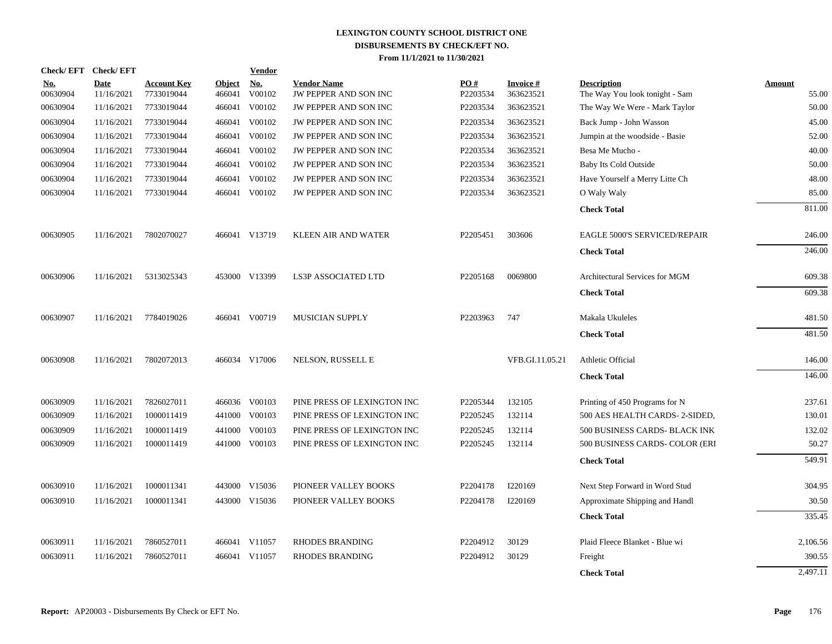| <b>Check/EFT</b>       | <b>Check/EFT</b>   |                                  |                         | <u>Vendor</u>        |                                             |                      |                        |                                                      |                 |
|------------------------|--------------------|----------------------------------|-------------------------|----------------------|---------------------------------------------|----------------------|------------------------|------------------------------------------------------|-----------------|
| <u>No.</u><br>00630904 | Date<br>11/16/2021 | <b>Account Key</b><br>7733019044 | <b>Object</b><br>466041 | <u>No.</u><br>V00102 | <b>Vendor Name</b><br>JW PEPPER AND SON INC | PO#<br>P2203534      | Invoice #<br>363623521 | <b>Description</b><br>The Way You look tonight - Sam | Amount<br>55.00 |
| 00630904               | 11/16/2021         | 7733019044                       | 466041                  | V00102               | <b>JW PEPPER AND SON INC</b>                | P2203534             | 363623521              | The Way We Were - Mark Taylor                        | 50.00           |
| 00630904               | 11/16/2021         | 7733019044                       | 466041                  | V00102               | JW PEPPER AND SON INC                       | P2203534             | 363623521              | Back Jump - John Wasson                              | 45.00           |
| 00630904               | 11/16/2021         | 7733019044                       | 466041                  | V00102               | JW PEPPER AND SON INC                       | P2203534             | 363623521              | Jumpin at the woodside - Basie                       | 52.00           |
| 00630904               | 11/16/2021         | 7733019044                       | 466041                  | V00102               | JW PEPPER AND SON INC                       | P2203534             | 363623521              | Besa Me Mucho -                                      | 40.00           |
| 00630904               | 11/16/2021         | 7733019044                       | 466041                  | V00102               | JW PEPPER AND SON INC                       | P2203534             | 363623521              | <b>Baby Its Cold Outside</b>                         | 50.00           |
| 00630904               | 11/16/2021         | 7733019044                       | 466041                  | V00102               | JW PEPPER AND SON INC                       | P2203534             | 363623521              | Have Yourself a Merry Litte Ch                       | 48.00           |
| 00630904               | 11/16/2021         | 7733019044                       |                         | 466041 V00102        | JW PEPPER AND SON INC                       | P2203534             | 363623521              | O Waly Waly                                          | 85.00           |
|                        |                    |                                  |                         |                      |                                             |                      |                        | <b>Check Total</b>                                   | 811.00          |
| 00630905               | 11/16/2021         | 7802070027                       |                         | 466041 V13719        | <b>KLEEN AIR AND WATER</b>                  | P2205451             | 303606                 | <b>EAGLE 5000'S SERVICED/REPAIR</b>                  | 246.00          |
|                        |                    |                                  |                         |                      |                                             |                      |                        | <b>Check Total</b>                                   | 246.00          |
| 00630906               | 11/16/2021         | 5313025343                       |                         | 453000 V13399        | <b>LS3P ASSOCIATED LTD</b>                  | P2205168             | 0069800                | Architectural Services for MGM                       | 609.38          |
|                        |                    |                                  |                         |                      |                                             |                      |                        | <b>Check Total</b>                                   | 609.38          |
| 00630907               | 11/16/2021         | 7784019026                       |                         | 466041 V00719        | <b>MUSICIAN SUPPLY</b>                      | P2203963             | 747                    | Makala Ukuleles                                      | 481.50          |
|                        |                    |                                  |                         |                      |                                             |                      |                        | <b>Check Total</b>                                   | 481.50          |
| 00630908               | 11/16/2021         | 7802072013                       |                         | 466034 V17006        | NELSON, RUSSELL E                           |                      | VFB.GI.11.05.21        | Athletic Official                                    | 146.00          |
|                        |                    |                                  |                         |                      |                                             |                      |                        | <b>Check Total</b>                                   | 146.00          |
| 00630909               | 11/16/2021         | 7826027011                       |                         | 466036 V00103        | PINE PRESS OF LEXINGTON INC                 | P2205344             | 132105                 | Printing of 450 Programs for N                       | 237.61          |
| 00630909               | 11/16/2021         | 1000011419                       | 441000                  | V00103               | PINE PRESS OF LEXINGTON INC                 | P2205245             | 132114                 | 500 AES HEALTH CARDS-2-SIDED,                        | 130.01          |
| 00630909               | 11/16/2021         | 1000011419                       | 441000                  | V00103               | PINE PRESS OF LEXINGTON INC                 | P2205245             | 132114                 | 500 BUSINESS CARDS- BLACK INK                        | 132.02          |
| 00630909               | 11/16/2021         | 1000011419                       |                         | 441000 V00103        | PINE PRESS OF LEXINGTON INC                 | P2205245             | 132114                 | 500 BUSINESS CARDS- COLOR (ERI                       | 50.27           |
|                        |                    |                                  |                         |                      |                                             |                      |                        | <b>Check Total</b>                                   | 549.91          |
| 00630910               | 11/16/2021         | 1000011341                       |                         | 443000 V15036        | PIONEER VALLEY BOOKS                        | P2204178             | I220169                | Next Step Forward in Word Stud                       | 304.95          |
| 00630910               | 11/16/2021         | 1000011341                       |                         | 443000 V15036        | PIONEER VALLEY BOOKS                        | P <sub>2204178</sub> | I220169                | Approximate Shipping and Handl                       | 30.50           |
|                        |                    |                                  |                         |                      |                                             |                      |                        | <b>Check Total</b>                                   | 335.45          |
| 00630911               | 11/16/2021         | 7860527011                       |                         | 466041 V11057        | <b>RHODES BRANDING</b>                      | P2204912             | 30129                  | Plaid Fleece Blanket - Blue wi                       | 2,106.56        |
| 00630911               | 11/16/2021         | 7860527011                       | 466041                  | V11057               | <b>RHODES BRANDING</b>                      | P2204912             | 30129                  | Freight                                              | 390.55          |
|                        |                    |                                  |                         |                      |                                             |                      |                        | <b>Check Total</b>                                   | 2,497.11        |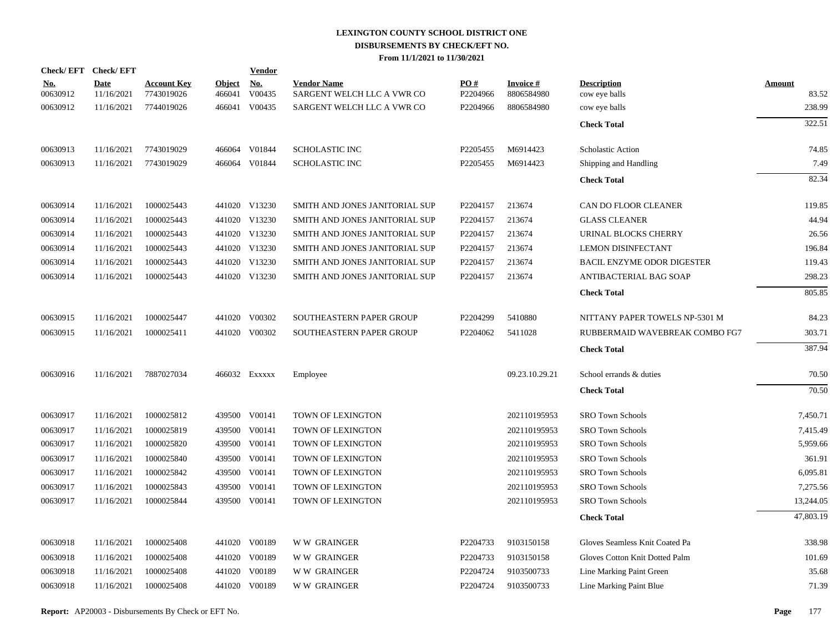| Check/EFT Check/EFT    |                           |                                  |                         | <b>Vendor</b>        |                                                  |                 |                               |                                     |                        |
|------------------------|---------------------------|----------------------------------|-------------------------|----------------------|--------------------------------------------------|-----------------|-------------------------------|-------------------------------------|------------------------|
| <u>No.</u><br>00630912 | <b>Date</b><br>11/16/2021 | <b>Account Key</b><br>7743019026 | <b>Object</b><br>466041 | <u>No.</u><br>V00435 | <b>Vendor Name</b><br>SARGENT WELCH LLC A VWR CO | PO#<br>P2204966 | <b>Invoice#</b><br>8806584980 | <b>Description</b><br>cow eye balls | <b>Amount</b><br>83.52 |
| 00630912               | 11/16/2021                | 7744019026                       | 466041                  | V00435               | SARGENT WELCH LLC A VWR CO                       | P2204966        | 8806584980                    | cow eye balls                       | 238.99                 |
|                        |                           |                                  |                         |                      |                                                  |                 |                               | <b>Check Total</b>                  | 322.51                 |
| 00630913               | 11/16/2021                | 7743019029                       |                         | 466064 V01844        | <b>SCHOLASTIC INC</b>                            | P2205455        | M6914423                      | Scholastic Action                   | 74.85                  |
| 00630913               | 11/16/2021                | 7743019029                       |                         | 466064 V01844        | <b>SCHOLASTIC INC</b>                            | P2205455        | M6914423                      | Shipping and Handling               | 7.49                   |
|                        |                           |                                  |                         |                      |                                                  |                 |                               | <b>Check Total</b>                  | 82.34                  |
| 00630914               | 11/16/2021                | 1000025443                       |                         | 441020 V13230        | SMITH AND JONES JANITORIAL SUP                   | P2204157        | 213674                        | CAN DO FLOOR CLEANER                | 119.85                 |
| 00630914               | 11/16/2021                | 1000025443                       |                         | 441020 V13230        | SMITH AND JONES JANITORIAL SUP                   | P2204157        | 213674                        | <b>GLASS CLEANER</b>                | 44.94                  |
| 00630914               | 11/16/2021                | 1000025443                       |                         | 441020 V13230        | SMITH AND JONES JANITORIAL SUP                   | P2204157        | 213674                        | URINAL BLOCKS CHERRY                | 26.56                  |
| 00630914               | 11/16/2021                | 1000025443                       |                         | 441020 V13230        | SMITH AND JONES JANITORIAL SUP                   | P2204157        | 213674                        | <b>LEMON DISINFECTANT</b>           | 196.84                 |
| 00630914               | 11/16/2021                | 1000025443                       |                         | 441020 V13230        | SMITH AND JONES JANITORIAL SUP                   | P2204157        | 213674                        | <b>BACIL ENZYME ODOR DIGESTER</b>   | 119.43                 |
| 00630914               | 11/16/2021                | 1000025443                       |                         | 441020 V13230        | SMITH AND JONES JANITORIAL SUP                   | P2204157        | 213674                        | ANTIBACTERIAL BAG SOAP              | 298.23                 |
|                        |                           |                                  |                         |                      |                                                  |                 |                               | <b>Check Total</b>                  | 805.85                 |
| 00630915               | 11/16/2021                | 1000025447                       |                         | 441020 V00302        | SOUTHEASTERN PAPER GROUP                         | P2204299        | 5410880                       | NITTANY PAPER TOWELS NP-5301 M      | 84.23                  |
| 00630915               | 11/16/2021                | 1000025411                       |                         | 441020 V00302        | SOUTHEASTERN PAPER GROUP                         | P2204062        | 5411028                       | RUBBERMAID WAVEBREAK COMBO FG7      | 303.71                 |
|                        |                           |                                  |                         |                      |                                                  |                 |                               | <b>Check Total</b>                  | 387.94                 |
| 00630916               | 11/16/2021                | 7887027034                       |                         | 466032 Exxxxx        | Employee                                         |                 | 09.23.10.29.21                | School errands & duties             | 70.50                  |
|                        |                           |                                  |                         |                      |                                                  |                 |                               | <b>Check Total</b>                  | 70.50                  |
| 00630917               | 11/16/2021                | 1000025812                       |                         | 439500 V00141        | TOWN OF LEXINGTON                                |                 | 202110195953                  | <b>SRO Town Schools</b>             | 7,450.71               |
| 00630917               | 11/16/2021                | 1000025819                       |                         | 439500 V00141        | TOWN OF LEXINGTON                                |                 | 202110195953                  | <b>SRO Town Schools</b>             | 7,415.49               |
| 00630917               | 11/16/2021                | 1000025820                       |                         | 439500 V00141        | TOWN OF LEXINGTON                                |                 | 202110195953                  | <b>SRO Town Schools</b>             | 5,959.66               |
| 00630917               | 11/16/2021                | 1000025840                       |                         | 439500 V00141        | TOWN OF LEXINGTON                                |                 | 202110195953                  | <b>SRO Town Schools</b>             | 361.91                 |
| 00630917               | 11/16/2021                | 1000025842                       |                         | 439500 V00141        | TOWN OF LEXINGTON                                |                 | 202110195953                  | <b>SRO Town Schools</b>             | 6,095.81               |
| 00630917               | 11/16/2021                | 1000025843                       | 439500                  | V00141               | TOWN OF LEXINGTON                                |                 | 202110195953                  | <b>SRO Town Schools</b>             | 7,275.56               |
| 00630917               | 11/16/2021                | 1000025844                       |                         | 439500 V00141        | TOWN OF LEXINGTON                                |                 | 202110195953                  | <b>SRO Town Schools</b>             | 13,244.05              |
|                        |                           |                                  |                         |                      |                                                  |                 |                               | <b>Check Total</b>                  | 47,803.19              |
| 00630918               | 11/16/2021                | 1000025408                       |                         | 441020 V00189        | <b>WW GRAINGER</b>                               | P2204733        | 9103150158                    | Gloves Seamless Knit Coated Pa      | 338.98                 |
| 00630918               | 11/16/2021                | 1000025408                       |                         | 441020 V00189        | <b>WW GRAINGER</b>                               | P2204733        | 9103150158                    | Gloves Cotton Knit Dotted Palm      | 101.69                 |
| 00630918               | 11/16/2021                | 1000025408                       |                         | 441020 V00189        | W W GRAINGER                                     | P2204724        | 9103500733                    | Line Marking Paint Green            | 35.68                  |
| 00630918               | 11/16/2021                | 1000025408                       |                         | 441020 V00189        | <b>WW GRAINGER</b>                               | P2204724        | 9103500733                    | Line Marking Paint Blue             | 71.39                  |
|                        |                           |                                  |                         |                      |                                                  |                 |                               |                                     |                        |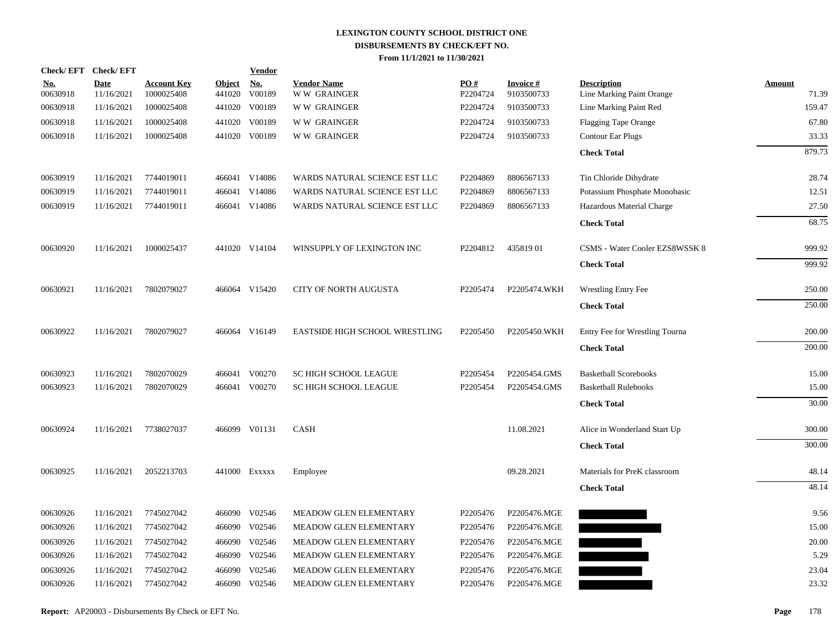| <b>Check/EFT</b>       | <b>Check/EFT</b>          |                                  |                         | <b>Vendor</b>        |                                          |                 |                               |                                                 |                        |
|------------------------|---------------------------|----------------------------------|-------------------------|----------------------|------------------------------------------|-----------------|-------------------------------|-------------------------------------------------|------------------------|
| <u>No.</u><br>00630918 | <b>Date</b><br>11/16/2021 | <b>Account Key</b><br>1000025408 | <b>Object</b><br>441020 | <u>No.</u><br>V00189 | <b>Vendor Name</b><br><b>WW GRAINGER</b> | PO#<br>P2204724 | <b>Invoice#</b><br>9103500733 | <b>Description</b><br>Line Marking Paint Orange | <b>Amount</b><br>71.39 |
| 00630918               | 11/16/2021                | 1000025408                       | 441020                  | V00189               | <b>WW GRAINGER</b>                       | P2204724        | 9103500733                    | Line Marking Paint Red                          | 159.47                 |
| 00630918               | 11/16/2021                | 1000025408                       | 441020                  | V00189               | <b>WW GRAINGER</b>                       | P2204724        | 9103500733                    | <b>Flagging Tape Orange</b>                     | 67.80                  |
| 00630918               | 11/16/2021                | 1000025408                       |                         | 441020 V00189        | <b>WW GRAINGER</b>                       | P2204724        | 9103500733                    | <b>Contour Ear Plugs</b>                        | 33.33                  |
|                        |                           |                                  |                         |                      |                                          |                 |                               | <b>Check Total</b>                              | 879.73                 |
| 00630919               | 11/16/2021                | 7744019011                       |                         | 466041 V14086        | WARDS NATURAL SCIENCE EST LLC            | P2204869        | 8806567133                    | Tin Chloride Dihydrate                          | 28.74                  |
| 00630919               | 11/16/2021                | 7744019011                       | 466041                  | V14086               | WARDS NATURAL SCIENCE EST LLC            | P2204869        | 8806567133                    | Potassium Phosphate Monobasic                   | 12.51                  |
| 00630919               | 11/16/2021                | 7744019011                       |                         | 466041 V14086        | WARDS NATURAL SCIENCE EST LLC            | P2204869        | 8806567133                    | Hazardous Material Charge                       | 27.50                  |
|                        |                           |                                  |                         |                      |                                          |                 |                               | <b>Check Total</b>                              | 68.75                  |
| 00630920               | 11/16/2021                | 1000025437                       |                         | 441020 V14104        | WINSUPPLY OF LEXINGTON INC               | P2204812        | 43581901                      | CSMS - Water Cooler EZS8WSSK 8                  | 999.92                 |
|                        |                           |                                  |                         |                      |                                          |                 |                               | <b>Check Total</b>                              | 999.92                 |
| 00630921               | 11/16/2021                | 7802079027                       |                         | 466064 V15420        | CITY OF NORTH AUGUSTA                    | P2205474        | P2205474.WKH                  | <b>Wrestling Entry Fee</b>                      | 250.00                 |
|                        |                           |                                  |                         |                      |                                          |                 |                               | <b>Check Total</b>                              | 250.00                 |
| 00630922               | 11/16/2021                | 7802079027                       |                         | 466064 V16149        | EASTSIDE HIGH SCHOOL WRESTLING           | P2205450        | P2205450.WKH                  | Entry Fee for Wrestling Tourna                  | 200.00                 |
|                        |                           |                                  |                         |                      |                                          |                 |                               | <b>Check Total</b>                              | 200.00                 |
| 00630923               | 11/16/2021                | 7802070029                       |                         | 466041 V00270        | SC HIGH SCHOOL LEAGUE                    | P2205454        | P2205454.GMS                  | <b>Basketball Scorebooks</b>                    | 15.00                  |
| 00630923               | 11/16/2021                | 7802070029                       |                         | 466041 V00270        | <b>SC HIGH SCHOOL LEAGUE</b>             | P2205454        | P2205454.GMS                  | <b>Basketball Rulebooks</b>                     | 15.00                  |
|                        |                           |                                  |                         |                      |                                          |                 |                               | <b>Check Total</b>                              | 30.00                  |
| 00630924               |                           | 11/16/2021 7738027037            |                         | 466099 V01131        | <b>CASH</b>                              |                 | 11.08.2021                    | Alice in Wonderland Start Up                    | 300.00                 |
|                        |                           |                                  |                         |                      |                                          |                 |                               | <b>Check Total</b>                              | 300.00                 |
| 00630925               |                           | 11/16/2021 2052213703            |                         | 441000 Exxxxx        | Employee                                 |                 | 09.28.2021                    | Materials for PreK classroom                    | 48.14                  |
|                        |                           |                                  |                         |                      |                                          |                 |                               | <b>Check Total</b>                              | 48.14                  |
| 00630926               | 11/16/2021                | 7745027042                       |                         | 466090 V02546        | MEADOW GLEN ELEMENTARY                   | P2205476        | P2205476.MGE                  |                                                 | 9.56                   |
| 00630926               | 11/16/2021                | 7745027042                       | 466090                  | V02546               | MEADOW GLEN ELEMENTARY                   | P2205476        | P2205476.MGE                  |                                                 | 15.00                  |
| 00630926               | 11/16/2021                | 7745027042                       | 466090                  | V02546               | MEADOW GLEN ELEMENTARY                   | P2205476        | P2205476.MGE                  |                                                 | 20.00                  |
| 00630926               | 11/16/2021                | 7745027042                       | 466090                  | V02546               | MEADOW GLEN ELEMENTARY                   | P2205476        | P2205476.MGE                  |                                                 | 5.29                   |
| 00630926               | 11/16/2021                | 7745027042                       | 466090                  | V02546               | MEADOW GLEN ELEMENTARY                   | P2205476        | P2205476.MGE                  |                                                 | 23.04                  |
| 00630926               | 11/16/2021                | 7745027042                       |                         | 466090 V02546        | MEADOW GLEN ELEMENTARY                   | P2205476        | P2205476.MGE                  |                                                 | 23.32                  |
|                        |                           |                                  |                         |                      |                                          |                 |                               |                                                 |                        |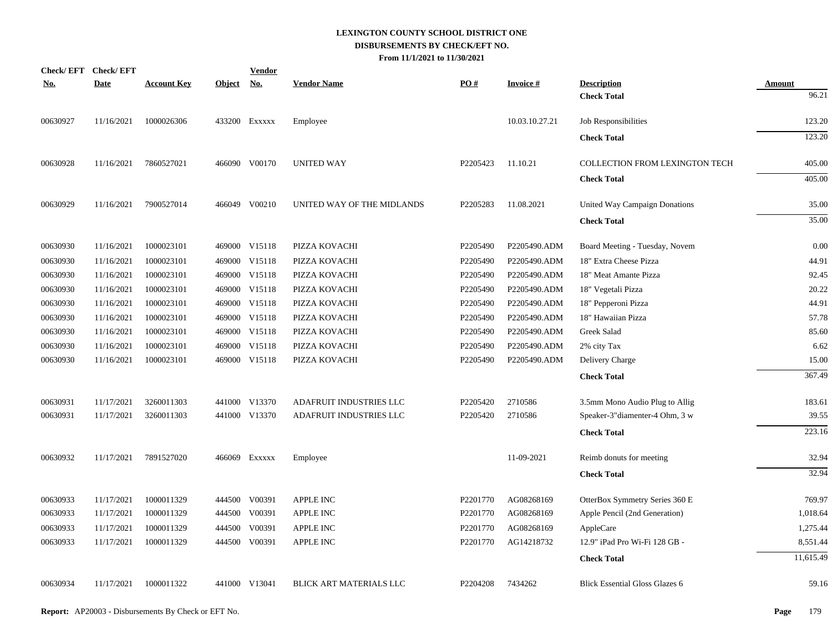| <b>Check/EFT</b> | <b>Check/EFT</b> |                    |               | <b>Vendor</b> |                                |          |                 |                                       |               |
|------------------|------------------|--------------------|---------------|---------------|--------------------------------|----------|-----------------|---------------------------------------|---------------|
| <u>No.</u>       | <b>Date</b>      | <b>Account Key</b> | <b>Object</b> | <u>No.</u>    | <b>Vendor Name</b>             | PO#      | <b>Invoice#</b> | <b>Description</b>                    | <b>Amount</b> |
|                  |                  |                    |               |               |                                |          |                 | <b>Check Total</b>                    | 96.21         |
| 00630927         | 11/16/2021       | 1000026306         |               | 433200 EXXXXX | Employee                       |          | 10.03.10.27.21  | Job Responsibilities                  | 123.20        |
|                  |                  |                    |               |               |                                |          |                 | <b>Check Total</b>                    | 123.20        |
| 00630928         | 11/16/2021       | 7860527021         |               | 466090 V00170 | <b>UNITED WAY</b>              | P2205423 | 11.10.21        | COLLECTION FROM LEXINGTON TECH        | 405.00        |
|                  |                  |                    |               |               |                                |          |                 | <b>Check Total</b>                    | 405.00        |
| 00630929         | 11/16/2021       | 7900527014         |               | 466049 V00210 | UNITED WAY OF THE MIDLANDS     | P2205283 | 11.08.2021      | United Way Campaign Donations         | 35.00         |
|                  |                  |                    |               |               |                                |          |                 | <b>Check Total</b>                    | 35.00         |
| 00630930         | 11/16/2021       | 1000023101         |               | 469000 V15118 | PIZZA KOVACHI                  | P2205490 | P2205490.ADM    | Board Meeting - Tuesday, Novem        | 0.00          |
| 00630930         | 11/16/2021       | 1000023101         |               | 469000 V15118 | PIZZA KOVACHI                  | P2205490 | P2205490.ADM    | 18" Extra Cheese Pizza                | 44.91         |
| 00630930         | 11/16/2021       | 1000023101         |               | 469000 V15118 | PIZZA KOVACHI                  | P2205490 | P2205490.ADM    | 18" Meat Amante Pizza                 | 92.45         |
| 00630930         | 11/16/2021       | 1000023101         |               | 469000 V15118 | PIZZA KOVACHI                  | P2205490 | P2205490.ADM    | 18" Vegetali Pizza                    | 20.22         |
| 00630930         | 11/16/2021       | 1000023101         |               | 469000 V15118 | PIZZA KOVACHI                  | P2205490 | P2205490.ADM    | 18" Pepperoni Pizza                   | 44.91         |
| 00630930         | 11/16/2021       | 1000023101         |               | 469000 V15118 | PIZZA KOVACHI                  | P2205490 | P2205490.ADM    | 18" Hawaiian Pizza                    | 57.78         |
| 00630930         | 11/16/2021       | 1000023101         |               | 469000 V15118 | PIZZA KOVACHI                  | P2205490 | P2205490.ADM    | Greek Salad                           | 85.60         |
| 00630930         | 11/16/2021       | 1000023101         |               | 469000 V15118 | PIZZA KOVACHI                  | P2205490 | P2205490.ADM    | 2% city Tax                           | 6.62          |
| 00630930         | 11/16/2021       | 1000023101         |               | 469000 V15118 | PIZZA KOVACHI                  | P2205490 | P2205490.ADM    | Delivery Charge                       | 15.00         |
|                  |                  |                    |               |               |                                |          |                 | <b>Check Total</b>                    | 367.49        |
| 00630931         | 11/17/2021       | 3260011303         |               | 441000 V13370 | ADAFRUIT INDUSTRIES LLC        | P2205420 | 2710586         | 3.5mm Mono Audio Plug to Allig        | 183.61        |
| 00630931         | 11/17/2021       | 3260011303         |               | 441000 V13370 | ADAFRUIT INDUSTRIES LLC        | P2205420 | 2710586         | Speaker-3"diamenter-4 Ohm, 3 w        | 39.55         |
|                  |                  |                    |               |               |                                |          |                 | <b>Check Total</b>                    | 223.16        |
| 00630932         | 11/17/2021       | 7891527020         |               | 466069 Exxxxx | Employee                       |          | 11-09-2021      | Reimb donuts for meeting              | 32.94         |
|                  |                  |                    |               |               |                                |          |                 | <b>Check Total</b>                    | 32.94         |
| 00630933         | 11/17/2021       | 1000011329         |               | 444500 V00391 | <b>APPLE INC</b>               | P2201770 | AG08268169      | OtterBox Symmetry Series 360 E        | 769.97        |
| 00630933         | 11/17/2021       | 1000011329         |               | 444500 V00391 | APPLE INC                      | P2201770 | AG08268169      | Apple Pencil (2nd Generation)         | 1,018.64      |
| 00630933         | 11/17/2021       | 1000011329         | 444500        | V00391        | <b>APPLE INC</b>               | P2201770 | AG08268169      | AppleCare                             | 1,275.44      |
| 00630933         | 11/17/2021       | 1000011329         |               | 444500 V00391 | APPLE INC                      | P2201770 | AG14218732      | 12.9" iPad Pro Wi-Fi 128 GB -         | 8,551.44      |
|                  |                  |                    |               |               |                                |          |                 | <b>Check Total</b>                    | 11,615.49     |
| 00630934         | 11/17/2021       | 1000011322         |               | 441000 V13041 | <b>BLICK ART MATERIALS LLC</b> | P2204208 | 7434262         | <b>Blick Essential Gloss Glazes 6</b> | 59.16         |
|                  |                  |                    |               |               |                                |          |                 |                                       |               |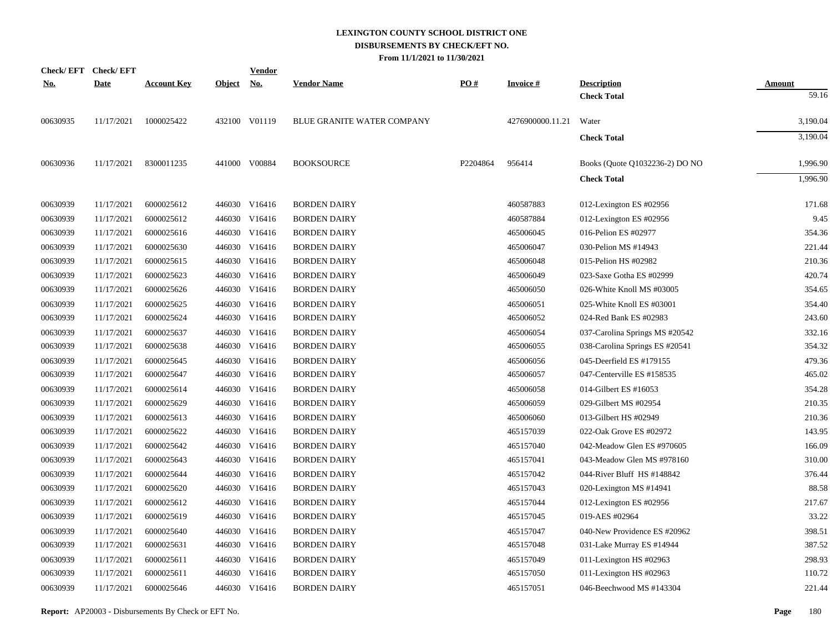|            | Check/EFT Check/EFT |                    |               | <b>Vendor</b> |                                   |          |                  |                                |               |
|------------|---------------------|--------------------|---------------|---------------|-----------------------------------|----------|------------------|--------------------------------|---------------|
| <u>No.</u> | <b>Date</b>         | <b>Account Key</b> | <u>Object</u> | <u>No.</u>    | <b>Vendor Name</b>                | PO#      | <b>Invoice#</b>  | <b>Description</b>             | <b>Amount</b> |
|            |                     |                    |               |               |                                   |          |                  | <b>Check Total</b>             | 59.16         |
| 00630935   | 11/17/2021          | 1000025422         |               | 432100 V01119 | <b>BLUE GRANITE WATER COMPANY</b> |          | 4276900000.11.21 | Water                          | 3,190.04      |
|            |                     |                    |               |               |                                   |          |                  | <b>Check Total</b>             | 3,190.04      |
| 00630936   | 11/17/2021          | 8300011235         |               | 441000 V00884 | <b>BOOKSOURCE</b>                 | P2204864 | 956414           | Books (Quote Q1032236-2) DO NO | 1,996.90      |
|            |                     |                    |               |               |                                   |          |                  | <b>Check Total</b>             | 1,996.90      |
| 00630939   | 11/17/2021          | 6000025612         |               | 446030 V16416 | <b>BORDEN DAIRY</b>               |          | 460587883        | 012-Lexington ES #02956        | 171.68        |
| 00630939   | 11/17/2021          | 6000025612         |               | 446030 V16416 | <b>BORDEN DAIRY</b>               |          | 460587884        | 012-Lexington ES #02956        | 9.45          |
| 00630939   | 11/17/2021          | 6000025616         |               | 446030 V16416 | <b>BORDEN DAIRY</b>               |          | 465006045        | 016-Pelion ES #02977           | 354.36        |
| 00630939   | 11/17/2021          | 6000025630         |               | 446030 V16416 | <b>BORDEN DAIRY</b>               |          | 465006047        | 030-Pelion MS #14943           | 221.44        |
| 00630939   | 11/17/2021          | 6000025615         |               | 446030 V16416 | <b>BORDEN DAIRY</b>               |          | 465006048        | 015-Pelion HS #02982           | 210.36        |
| 00630939   | 11/17/2021          | 6000025623         | 446030        | V16416        | <b>BORDEN DAIRY</b>               |          | 465006049        | 023-Saxe Gotha ES #02999       | 420.74        |
| 00630939   | 11/17/2021          | 6000025626         |               | 446030 V16416 | <b>BORDEN DAIRY</b>               |          | 465006050        | 026-White Knoll MS #03005      | 354.65        |
| 00630939   | 11/17/2021          | 6000025625         | 446030        | V16416        | <b>BORDEN DAIRY</b>               |          | 465006051        | 025-White Knoll ES #03001      | 354.40        |
| 00630939   | 11/17/2021          | 6000025624         |               | 446030 V16416 | <b>BORDEN DAIRY</b>               |          | 465006052        | 024-Red Bank ES #02983         | 243.60        |
| 00630939   | 11/17/2021          | 6000025637         | 446030        | V16416        | <b>BORDEN DAIRY</b>               |          | 465006054        | 037-Carolina Springs MS #20542 | 332.16        |
| 00630939   | 11/17/2021          | 6000025638         |               | 446030 V16416 | <b>BORDEN DAIRY</b>               |          | 465006055        | 038-Carolina Springs ES #20541 | 354.32        |
| 00630939   | 11/17/2021          | 6000025645         |               | 446030 V16416 | <b>BORDEN DAIRY</b>               |          | 465006056        | 045-Deerfield ES #179155       | 479.36        |
| 00630939   | 11/17/2021          | 6000025647         |               | 446030 V16416 | <b>BORDEN DAIRY</b>               |          | 465006057        | 047-Centerville ES #158535     | 465.02        |
| 00630939   | 11/17/2021          | 6000025614         |               | 446030 V16416 | <b>BORDEN DAIRY</b>               |          | 465006058        | 014-Gilbert ES #16053          | 354.28        |
| 00630939   | 11/17/2021          | 6000025629         |               | 446030 V16416 | <b>BORDEN DAIRY</b>               |          | 465006059        | 029-Gilbert MS #02954          | 210.35        |
| 00630939   | 11/17/2021          | 6000025613         |               | 446030 V16416 | <b>BORDEN DAIRY</b>               |          | 465006060        | 013-Gilbert HS #02949          | 210.36        |
| 00630939   | 11/17/2021          | 6000025622         |               | 446030 V16416 | <b>BORDEN DAIRY</b>               |          | 465157039        | 022-Oak Grove ES #02972        | 143.95        |
| 00630939   | 11/17/2021          | 6000025642         |               | 446030 V16416 | <b>BORDEN DAIRY</b>               |          | 465157040        | 042-Meadow Glen ES #970605     | 166.09        |
| 00630939   | 11/17/2021          | 6000025643         |               | 446030 V16416 | <b>BORDEN DAIRY</b>               |          | 465157041        | 043-Meadow Glen MS #978160     | 310.00        |
| 00630939   | 11/17/2021          | 6000025644         |               | 446030 V16416 | <b>BORDEN DAIRY</b>               |          | 465157042        | 044-River Bluff HS #148842     | 376.44        |
| 00630939   | 11/17/2021          | 6000025620         |               | 446030 V16416 | <b>BORDEN DAIRY</b>               |          | 465157043        | 020-Lexington MS #14941        | 88.58         |
| 00630939   | 11/17/2021          | 6000025612         |               | 446030 V16416 | <b>BORDEN DAIRY</b>               |          | 465157044        | 012-Lexington ES #02956        | 217.67        |
| 00630939   | 11/17/2021          | 6000025619         |               | 446030 V16416 | <b>BORDEN DAIRY</b>               |          | 465157045        | 019-AES #02964                 | 33.22         |
| 00630939   | 11/17/2021          | 6000025640         |               | 446030 V16416 | <b>BORDEN DAIRY</b>               |          | 465157047        | 040-New Providence ES #20962   | 398.51        |
| 00630939   | 11/17/2021          | 6000025631         |               | 446030 V16416 | <b>BORDEN DAIRY</b>               |          | 465157048        | 031-Lake Murray ES #14944      | 387.52        |
| 00630939   | 11/17/2021          | 6000025611         |               | 446030 V16416 | <b>BORDEN DAIRY</b>               |          | 465157049        | 011-Lexington HS #02963        | 298.93        |
| 00630939   | 11/17/2021          | 6000025611         |               | 446030 V16416 | <b>BORDEN DAIRY</b>               |          | 465157050        | 011-Lexington HS #02963        | 110.72        |
| 00630939   | 11/17/2021          | 6000025646         |               | 446030 V16416 | <b>BORDEN DAIRY</b>               |          | 465157051        | 046-Beechwood MS #143304       | 221.44        |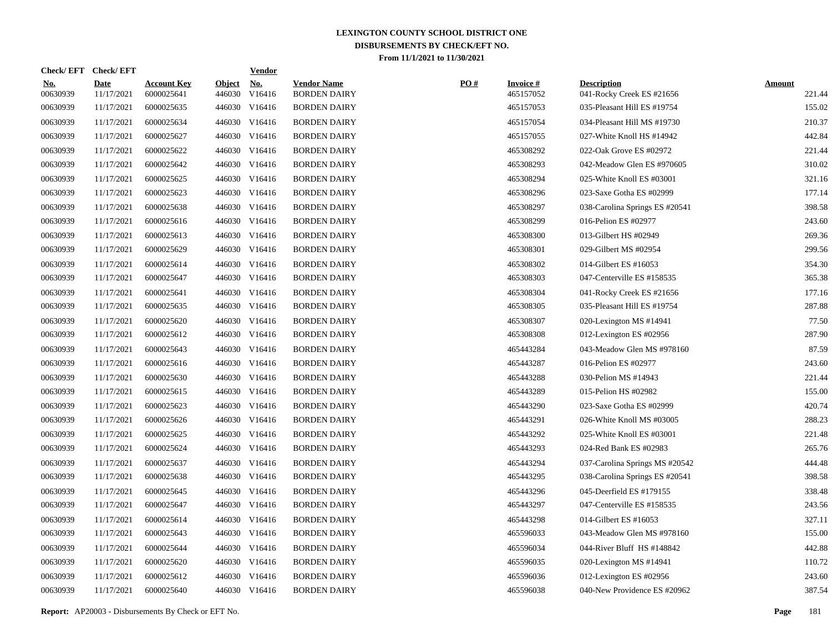|                        | Check/EFT Check/EFT       |                                  |                         | <b>Vendor</b>        |                                           |     |                              |                                                 |                         |
|------------------------|---------------------------|----------------------------------|-------------------------|----------------------|-------------------------------------------|-----|------------------------------|-------------------------------------------------|-------------------------|
| <u>No.</u><br>00630939 | <b>Date</b><br>11/17/2021 | <b>Account Key</b><br>6000025641 | <b>Object</b><br>446030 | <u>No.</u><br>V16416 | <b>Vendor Name</b><br><b>BORDEN DAIRY</b> | PO# | <b>Invoice#</b><br>465157052 | <b>Description</b><br>041-Rocky Creek ES #21656 | <b>Amount</b><br>221.44 |
| 00630939               | 11/17/2021                | 6000025635                       | 446030                  | V16416               | <b>BORDEN DAIRY</b>                       |     | 465157053                    | 035-Pleasant Hill ES #19754                     | 155.02                  |
| 00630939               | 11/17/2021                | 6000025634                       | 446030                  | V16416               | <b>BORDEN DAIRY</b>                       |     | 465157054                    | 034-Pleasant Hill MS #19730                     | 210.37                  |
| 00630939               | 11/17/2021                | 6000025627                       | 446030                  | V16416               | <b>BORDEN DAIRY</b>                       |     | 465157055                    | 027-White Knoll HS #14942                       | 442.84                  |
| 00630939               | 11/17/2021                | 6000025622                       | 446030                  | V16416               | <b>BORDEN DAIRY</b>                       |     | 465308292                    | 022-Oak Grove ES #02972                         | 221.44                  |
| 00630939               | 11/17/2021                | 6000025642                       | 446030                  | V16416               | <b>BORDEN DAIRY</b>                       |     | 465308293                    | 042-Meadow Glen ES #970605                      | 310.02                  |
| 00630939               | 11/17/2021                | 6000025625                       | 446030                  | V16416               | <b>BORDEN DAIRY</b>                       |     | 465308294                    | 025-White Knoll ES #03001                       | 321.16                  |
| 00630939               | 11/17/2021                | 6000025623                       | 446030                  | V16416               | <b>BORDEN DAIRY</b>                       |     | 465308296                    | 023-Saxe Gotha ES #02999                        | 177.14                  |
| 00630939               | 11/17/2021                | 6000025638                       | 446030                  | V16416               | <b>BORDEN DAIRY</b>                       |     | 465308297                    | 038-Carolina Springs ES #20541                  | 398.58                  |
| 00630939               | 11/17/2021                | 6000025616                       | 446030                  | V16416               | <b>BORDEN DAIRY</b>                       |     | 465308299                    | 016-Pelion ES #02977                            | 243.60                  |
| 00630939               | 11/17/2021                | 6000025613                       | 446030                  | V16416               | <b>BORDEN DAIRY</b>                       |     | 465308300                    | 013-Gilbert HS #02949                           | 269.36                  |
| 00630939               | 11/17/2021                | 6000025629                       | 446030                  | V16416               | <b>BORDEN DAIRY</b>                       |     | 465308301                    | 029-Gilbert MS #02954                           | 299.56                  |
| 00630939               | 11/17/2021                | 6000025614                       | 446030                  | V16416               | <b>BORDEN DAIRY</b>                       |     | 465308302                    | 014-Gilbert ES #16053                           | 354.30                  |
| 00630939               | 11/17/2021                | 6000025647                       | 446030                  | V16416               | <b>BORDEN DAIRY</b>                       |     | 465308303                    | 047-Centerville ES #158535                      | 365.38                  |
| 00630939               | 11/17/2021                | 6000025641                       | 446030                  | V16416               | <b>BORDEN DAIRY</b>                       |     | 465308304                    | 041-Rocky Creek ES #21656                       | 177.16                  |
| 00630939               | 11/17/2021                | 6000025635                       | 446030                  | V16416               | <b>BORDEN DAIRY</b>                       |     | 465308305                    | 035-Pleasant Hill ES #19754                     | 287.88                  |
| 00630939               | 11/17/2021                | 6000025620                       | 446030                  | V16416               | <b>BORDEN DAIRY</b>                       |     | 465308307                    | 020-Lexington MS #14941                         | 77.50                   |
| 00630939               | 11/17/2021                | 6000025612                       | 446030                  | V16416               | <b>BORDEN DAIRY</b>                       |     | 465308308                    | 012-Lexington ES #02956                         | 287.90                  |
| 00630939               | 11/17/2021                | 6000025643                       | 446030                  | V16416               | <b>BORDEN DAIRY</b>                       |     | 465443284                    | 043-Meadow Glen MS #978160                      | 87.59                   |
| 00630939               | 11/17/2021                | 6000025616                       | 446030                  | V16416               | <b>BORDEN DAIRY</b>                       |     | 465443287                    | 016-Pelion ES #02977                            | 243.60                  |
| 00630939               | 11/17/2021                | 6000025630                       | 446030                  | V16416               | <b>BORDEN DAIRY</b>                       |     | 465443288                    | 030-Pelion MS #14943                            | 221.44                  |
| 00630939               | 11/17/2021                | 6000025615                       | 446030                  | V16416               | <b>BORDEN DAIRY</b>                       |     | 465443289                    | 015-Pelion HS #02982                            | 155.00                  |
| 00630939               | 11/17/2021                | 6000025623                       | 446030                  | V16416               | <b>BORDEN DAIRY</b>                       |     | 465443290                    | 023-Saxe Gotha ES #02999                        | 420.74                  |
| 00630939               | 11/17/2021                | 6000025626                       | 446030                  | V16416               | <b>BORDEN DAIRY</b>                       |     | 465443291                    | 026-White Knoll MS #03005                       | 288.23                  |
| 00630939               | 11/17/2021                | 6000025625                       | 446030                  | V16416               | <b>BORDEN DAIRY</b>                       |     | 465443292                    | 025-White Knoll ES #03001                       | 221.48                  |
| 00630939               | 11/17/2021                | 6000025624                       | 446030                  | V16416               | <b>BORDEN DAIRY</b>                       |     | 465443293                    | 024-Red Bank ES #02983                          | 265.76                  |
| 00630939               | 11/17/2021                | 6000025637                       | 446030                  | V16416               | <b>BORDEN DAIRY</b>                       |     | 465443294                    | 037-Carolina Springs MS #20542                  | 444.48                  |
| 00630939               | 11/17/2021                | 6000025638                       | 446030                  | V16416               | <b>BORDEN DAIRY</b>                       |     | 465443295                    | 038-Carolina Springs ES #20541                  | 398.58                  |
| 00630939               | 11/17/2021                | 6000025645                       | 446030                  | V16416               | <b>BORDEN DAIRY</b>                       |     | 465443296                    | 045-Deerfield ES #179155                        | 338.48                  |
| 00630939               | 11/17/2021                | 6000025647                       | 446030                  | V16416               | <b>BORDEN DAIRY</b>                       |     | 465443297                    | 047-Centerville ES #158535                      | 243.56                  |
| 00630939               | 11/17/2021                | 6000025614                       | 446030                  | V16416               | <b>BORDEN DAIRY</b>                       |     | 465443298                    | 014-Gilbert ES #16053                           | 327.11                  |
| 00630939               | 11/17/2021                | 6000025643                       | 446030                  | V16416               | <b>BORDEN DAIRY</b>                       |     | 465596033                    | 043-Meadow Glen MS #978160                      | 155.00                  |
| 00630939               | 11/17/2021                | 6000025644                       | 446030                  | V16416               | <b>BORDEN DAIRY</b>                       |     | 465596034                    | 044-River Bluff HS #148842                      | 442.88                  |
| 00630939               | 11/17/2021                | 6000025620                       | 446030                  | V16416               | <b>BORDEN DAIRY</b>                       |     | 465596035                    | 020-Lexington MS #14941                         | 110.72                  |
| 00630939               | 11/17/2021                | 6000025612                       | 446030                  | V16416               | <b>BORDEN DAIRY</b>                       |     | 465596036                    | 012-Lexington ES #02956                         | 243.60                  |
| 00630939               | 11/17/2021                | 6000025640                       |                         | 446030 V16416        | <b>BORDEN DAIRY</b>                       |     | 465596038                    | 040-New Providence ES #20962                    | 387.54                  |
|                        |                           |                                  |                         |                      |                                           |     |                              |                                                 |                         |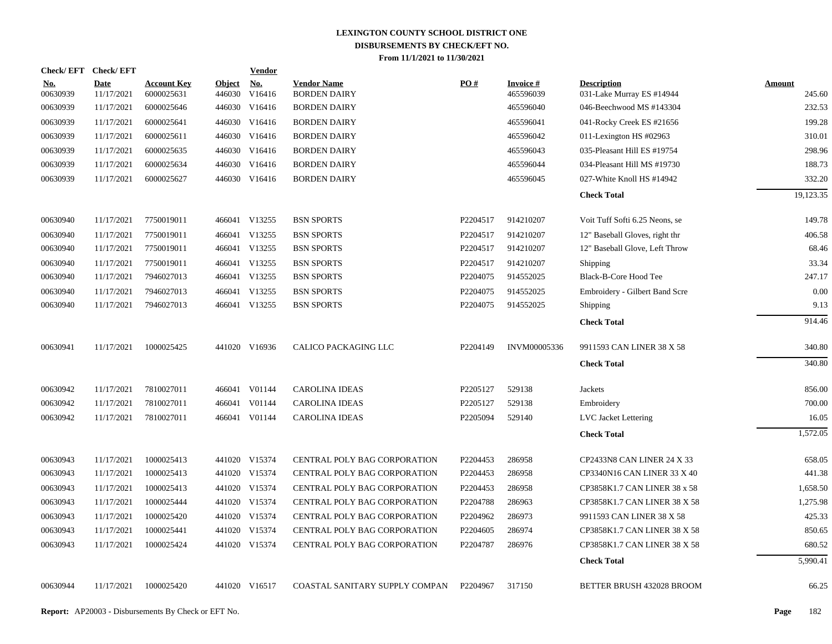|                 | Check/EFT Check/EFT       |                                  |                         | <b>Vendor</b>        |                                           |          |                               |                                                 |                  |
|-----------------|---------------------------|----------------------------------|-------------------------|----------------------|-------------------------------------------|----------|-------------------------------|-------------------------------------------------|------------------|
| No.<br>00630939 | <b>Date</b><br>11/17/2021 | <b>Account Key</b><br>6000025631 | <b>Object</b><br>446030 | <b>No.</b><br>V16416 | <b>Vendor Name</b><br><b>BORDEN DAIRY</b> | PO#      | <b>Invoice #</b><br>465596039 | <b>Description</b><br>031-Lake Murray ES #14944 | Amount<br>245.60 |
| 00630939        | 11/17/2021                | 6000025646                       | 446030                  | V16416               | <b>BORDEN DAIRY</b>                       |          | 465596040                     | 046-Beechwood MS #143304                        | 232.53           |
| 00630939        | 11/17/2021                | 6000025641                       |                         | 446030 V16416        | <b>BORDEN DAIRY</b>                       |          | 465596041                     | 041-Rocky Creek ES #21656                       | 199.28           |
| 00630939        | 11/17/2021                | 6000025611                       |                         | 446030 V16416        | <b>BORDEN DAIRY</b>                       |          | 465596042                     | 011-Lexington HS #02963                         | 310.01           |
| 00630939        | 11/17/2021                | 6000025635                       |                         | 446030 V16416        | <b>BORDEN DAIRY</b>                       |          | 465596043                     | 035-Pleasant Hill ES #19754                     | 298.96           |
| 00630939        | 11/17/2021                | 6000025634                       |                         | 446030 V16416        | <b>BORDEN DAIRY</b>                       |          | 465596044                     | 034-Pleasant Hill MS #19730                     | 188.73           |
| 00630939        | 11/17/2021                | 6000025627                       |                         | 446030 V16416        | <b>BORDEN DAIRY</b>                       |          | 465596045                     | 027-White Knoll HS #14942                       | 332.20           |
|                 |                           |                                  |                         |                      |                                           |          |                               | <b>Check Total</b>                              | 19,123.35        |
| 00630940        | 11/17/2021                | 7750019011                       |                         | 466041 V13255        | <b>BSN SPORTS</b>                         | P2204517 | 914210207                     | Voit Tuff Softi 6.25 Neons, se                  | 149.78           |
| 00630940        | 11/17/2021                | 7750019011                       |                         | 466041 V13255        | <b>BSN SPORTS</b>                         | P2204517 | 914210207                     | 12" Baseball Gloves, right thr                  | 406.58           |
| 00630940        | 11/17/2021                | 7750019011                       |                         | 466041 V13255        | <b>BSN SPORTS</b>                         | P2204517 | 914210207                     | 12" Baseball Glove, Left Throw                  | 68.46            |
| 00630940        | 11/17/2021                | 7750019011                       |                         | 466041 V13255        | <b>BSN SPORTS</b>                         | P2204517 | 914210207                     | <b>Shipping</b>                                 | 33.34            |
| 00630940        | 11/17/2021                | 7946027013                       |                         | 466041 V13255        | <b>BSN SPORTS</b>                         | P2204075 | 914552025                     | Black-B-Core Hood Tee                           | 247.17           |
| 00630940        | 11/17/2021                | 7946027013                       |                         | 466041 V13255        | <b>BSN SPORTS</b>                         | P2204075 | 914552025                     | Embroidery - Gilbert Band Scre                  | 0.00             |
| 00630940        | 11/17/2021                | 7946027013                       |                         | 466041 V13255        | <b>BSN SPORTS</b>                         | P2204075 | 914552025                     | Shipping                                        | 9.13             |
|                 |                           |                                  |                         |                      |                                           |          |                               | <b>Check Total</b>                              | 914.46           |
| 00630941        | 11/17/2021                | 1000025425                       |                         | 441020 V16936        | CALICO PACKAGING LLC                      | P2204149 | INVM00005336                  | 9911593 CAN LINER 38 X 58                       | 340.80           |
|                 |                           |                                  |                         |                      |                                           |          |                               | <b>Check Total</b>                              | 340.80           |
| 00630942        | 11/17/2021                | 7810027011                       |                         | 466041 V01144        | <b>CAROLINA IDEAS</b>                     | P2205127 | 529138                        | Jackets                                         | 856.00           |
| 00630942        | 11/17/2021                | 7810027011                       |                         | 466041 V01144        | <b>CAROLINA IDEAS</b>                     | P2205127 | 529138                        | Embroidery                                      | 700.00           |
| 00630942        | 11/17/2021                | 7810027011                       |                         | 466041 V01144        | <b>CAROLINA IDEAS</b>                     | P2205094 | 529140                        | <b>LVC</b> Jacket Lettering                     | 16.05            |
|                 |                           |                                  |                         |                      |                                           |          |                               | <b>Check Total</b>                              | 1,572.05         |
| 00630943        | 11/17/2021                | 1000025413                       |                         | 441020 V15374        | <b>CENTRAL POLY BAG CORPORATION</b>       | P2204453 | 286958                        | CP2433N8 CAN LINER 24 X 33                      | 658.05           |
| 00630943        | 11/17/2021                | 1000025413                       |                         | 441020 V15374        | CENTRAL POLY BAG CORPORATION              | P2204453 | 286958                        | CP3340N16 CAN LINER 33 X 40                     | 441.38           |
| 00630943        | 11/17/2021                | 1000025413                       |                         | 441020 V15374        | CENTRAL POLY BAG CORPORATION              | P2204453 | 286958                        | CP3858K1.7 CAN LINER 38 x 58                    | 1,658.50         |
| 00630943        | 11/17/2021                | 1000025444                       |                         | 441020 V15374        | CENTRAL POLY BAG CORPORATION              | P2204788 | 286963                        | CP3858K1.7 CAN LINER 38 X 58                    | 1,275.98         |
| 00630943        | 11/17/2021                | 1000025420                       |                         | 441020 V15374        | CENTRAL POLY BAG CORPORATION              | P2204962 | 286973                        | 9911593 CAN LINER 38 X 58                       | 425.33           |
| 00630943        | 11/17/2021                | 1000025441                       |                         | 441020 V15374        | CENTRAL POLY BAG CORPORATION              | P2204605 | 286974                        | CP3858K1.7 CAN LINER 38 X 58                    | 850.65           |
| 00630943        | 11/17/2021                | 1000025424                       |                         | 441020 V15374        | CENTRAL POLY BAG CORPORATION              | P2204787 | 286976                        | CP3858K1.7 CAN LINER 38 X 58                    | 680.52           |
|                 |                           |                                  |                         |                      |                                           |          |                               | <b>Check Total</b>                              | 5,990.41         |
| 00630944        | 11/17/2021                | 1000025420                       |                         | 441020 V16517        | COASTAL SANITARY SUPPLY COMPAN            | P2204967 | 317150                        | <b>BETTER BRUSH 432028 BROOM</b>                | 66.25            |
|                 |                           |                                  |                         |                      |                                           |          |                               |                                                 |                  |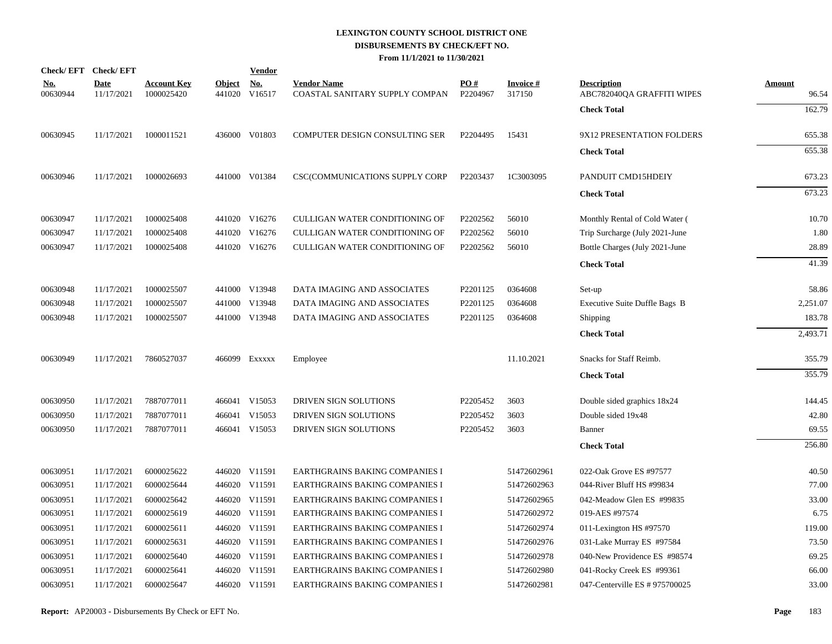|                        | Check/EFT Check/EFT       |                                  |                         | <b>Vendor</b>                       |                                                      |                 |                           |                                                  |                        |
|------------------------|---------------------------|----------------------------------|-------------------------|-------------------------------------|------------------------------------------------------|-----------------|---------------------------|--------------------------------------------------|------------------------|
| <u>No.</u><br>00630944 | <b>Date</b><br>11/17/2021 | <b>Account Key</b><br>1000025420 | <b>Object</b><br>441020 | $\underline{\mathrm{No}}$<br>V16517 | <b>Vendor Name</b><br>COASTAL SANITARY SUPPLY COMPAN | PO#<br>P2204967 | <b>Invoice#</b><br>317150 | <b>Description</b><br>ABC782040QA GRAFFITI WIPES | <b>Amount</b><br>96.54 |
|                        |                           |                                  |                         |                                     |                                                      |                 |                           | <b>Check Total</b>                               | 162.79                 |
| 00630945               | 11/17/2021                | 1000011521                       |                         | 436000 V01803                       | <b>COMPUTER DESIGN CONSULTING SER</b>                | P2204495        | 15431                     | 9X12 PRESENTATION FOLDERS                        | 655.38                 |
|                        |                           |                                  |                         |                                     |                                                      |                 |                           | <b>Check Total</b>                               | 655.38                 |
| 00630946               | 11/17/2021                | 1000026693                       |                         | 441000 V01384                       | CSC(COMMUNICATIONS SUPPLY CORP                       | P2203437        | 1C3003095                 | PANDUIT CMD15HDEIY                               | 673.23                 |
|                        |                           |                                  |                         |                                     |                                                      |                 |                           | <b>Check Total</b>                               | 673.23                 |
| 00630947               | 11/17/2021                | 1000025408                       |                         | 441020 V16276                       | CULLIGAN WATER CONDITIONING OF                       | P2202562        | 56010                     | Monthly Rental of Cold Water (                   | 10.70                  |
| 00630947               | 11/17/2021                | 1000025408                       |                         | 441020 V16276                       | CULLIGAN WATER CONDITIONING OF                       | P2202562        | 56010                     | Trip Surcharge (July 2021-June                   | 1.80                   |
| 00630947               | 11/17/2021                | 1000025408                       |                         | 441020 V16276                       | CULLIGAN WATER CONDITIONING OF                       | P2202562        | 56010                     | Bottle Charges (July 2021-June                   | 28.89                  |
|                        |                           |                                  |                         |                                     |                                                      |                 |                           | <b>Check Total</b>                               | 41.39                  |
| 00630948               | 11/17/2021                | 1000025507                       |                         | 441000 V13948                       | DATA IMAGING AND ASSOCIATES                          | P2201125        | 0364608                   | Set-up                                           | 58.86                  |
| 00630948               | 11/17/2021                | 1000025507                       |                         | 441000 V13948                       | DATA IMAGING AND ASSOCIATES                          | P2201125        | 0364608                   | Executive Suite Duffle Bags B                    | 2,251.07               |
| 00630948               | 11/17/2021                | 1000025507                       |                         | 441000 V13948                       | DATA IMAGING AND ASSOCIATES                          | P2201125        | 0364608                   | Shipping                                         | 183.78                 |
|                        |                           |                                  |                         |                                     |                                                      |                 |                           | <b>Check Total</b>                               | 2,493.71               |
| 00630949               | 11/17/2021                | 7860527037                       |                         | 466099 Exxxxx                       | Employee                                             |                 | 11.10.2021                | Snacks for Staff Reimb.                          | 355.79                 |
|                        |                           |                                  |                         |                                     |                                                      |                 |                           | <b>Check Total</b>                               | 355.79                 |
| 00630950               | 11/17/2021                | 7887077011                       |                         | 466041 V15053                       | DRIVEN SIGN SOLUTIONS                                | P2205452        | 3603                      | Double sided graphics 18x24                      | 144.45                 |
| 00630950               | 11/17/2021                | 7887077011                       |                         | 466041 V15053                       | DRIVEN SIGN SOLUTIONS                                | P2205452        | 3603                      | Double sided 19x48                               | 42.80                  |
| 00630950               | 11/17/2021                | 7887077011                       |                         | 466041 V15053                       | DRIVEN SIGN SOLUTIONS                                | P2205452        | 3603                      | Banner                                           | 69.55                  |
|                        |                           |                                  |                         |                                     |                                                      |                 |                           | <b>Check Total</b>                               | 256.80                 |
| 00630951               | 11/17/2021                | 6000025622                       |                         | 446020 V11591                       | EARTHGRAINS BAKING COMPANIES I                       |                 | 51472602961               | 022-Oak Grove ES #97577                          | 40.50                  |
| 00630951               | 11/17/2021                | 6000025644                       |                         | 446020 V11591                       | EARTHGRAINS BAKING COMPANIES I                       |                 | 51472602963               | 044-River Bluff HS #99834                        | 77.00                  |
| 00630951               | 11/17/2021                | 6000025642                       |                         | 446020 V11591                       | <b>EARTHGRAINS BAKING COMPANIES I</b>                |                 | 51472602965               | 042-Meadow Glen ES #99835                        | 33.00                  |
| 00630951               | 11/17/2021                | 6000025619                       |                         | 446020 V11591                       | EARTHGRAINS BAKING COMPANIES I                       |                 | 51472602972               | 019-AES #97574                                   | 6.75                   |
| 00630951               | 11/17/2021                | 6000025611                       |                         | 446020 V11591                       | <b>EARTHGRAINS BAKING COMPANIES I</b>                |                 | 51472602974               | 011-Lexington HS #97570                          | 119.00                 |
| 00630951               | 11/17/2021                | 6000025631                       |                         | 446020 V11591                       | EARTHGRAINS BAKING COMPANIES I                       |                 | 51472602976               | 031-Lake Murray ES #97584                        | 73.50                  |
| 00630951               | 11/17/2021                | 6000025640                       |                         | 446020 V11591                       | EARTHGRAINS BAKING COMPANIES I                       |                 | 51472602978               | 040-New Providence ES #98574                     | 69.25                  |
| 00630951               | 11/17/2021                | 6000025641                       |                         | 446020 V11591                       | EARTHGRAINS BAKING COMPANIES I                       |                 | 51472602980               | 041-Rocky Creek ES #99361                        | 66.00                  |
| 00630951               | 11/17/2021                | 6000025647                       |                         | 446020 V11591                       | EARTHGRAINS BAKING COMPANIES I                       |                 | 51472602981               | 047-Centerville ES # 975700025                   | 33.00                  |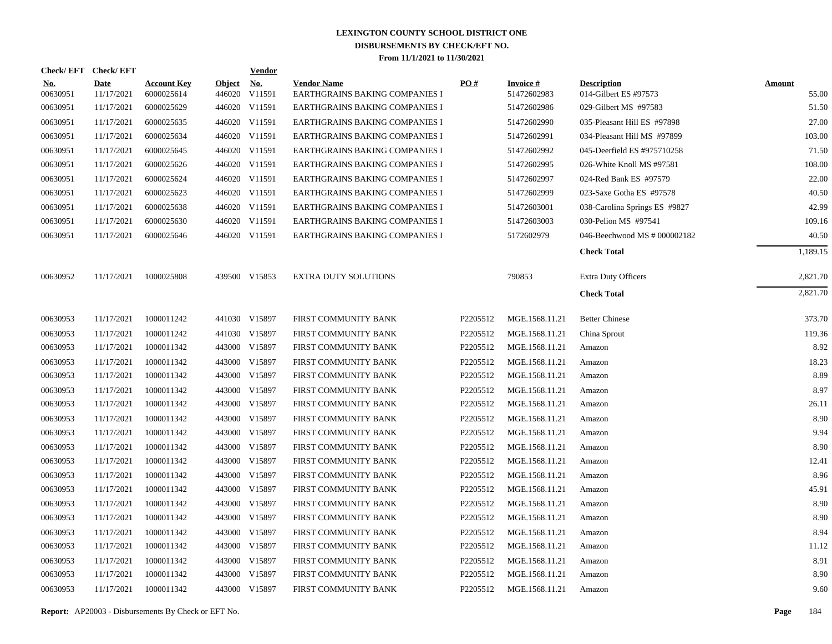| Check/EFT Check/EFT    |                           |                                  |                         | <b>Vendor</b>        |                                                      |          |                                |                                             |                        |
|------------------------|---------------------------|----------------------------------|-------------------------|----------------------|------------------------------------------------------|----------|--------------------------------|---------------------------------------------|------------------------|
| <u>No.</u><br>00630951 | <b>Date</b><br>11/17/2021 | <b>Account Key</b><br>6000025614 | <b>Object</b><br>446020 | <u>No.</u><br>V11591 | <b>Vendor Name</b><br>EARTHGRAINS BAKING COMPANIES I | PO#      | <b>Invoice#</b><br>51472602983 | <b>Description</b><br>014-Gilbert ES #97573 | <b>Amount</b><br>55.00 |
| 00630951               | 11/17/2021                | 6000025629                       |                         | 446020 V11591        | EARTHGRAINS BAKING COMPANIES I                       |          | 51472602986                    | 029-Gilbert MS #97583                       | 51.50                  |
| 00630951               | 11/17/2021                | 6000025635                       |                         | 446020 V11591        | EARTHGRAINS BAKING COMPANIES I                       |          | 51472602990                    | 035-Pleasant Hill ES #97898                 | 27.00                  |
| 00630951               | 11/17/2021                | 6000025634                       |                         | 446020 V11591        | EARTHGRAINS BAKING COMPANIES I                       |          | 51472602991                    | 034-Pleasant Hill MS #97899                 | 103.00                 |
| 00630951               | 11/17/2021                | 6000025645                       |                         | 446020 V11591        | EARTHGRAINS BAKING COMPANIES I                       |          | 51472602992                    | 045-Deerfield ES #975710258                 | 71.50                  |
| 00630951               | 11/17/2021                | 6000025626                       |                         | 446020 V11591        | EARTHGRAINS BAKING COMPANIES I                       |          | 51472602995                    | 026-White Knoll MS #97581                   | 108.00                 |
| 00630951               | 11/17/2021                | 6000025624                       |                         | 446020 V11591        | EARTHGRAINS BAKING COMPANIES I                       |          | 51472602997                    | 024-Red Bank ES #97579                      | 22.00                  |
| 00630951               | 11/17/2021                | 6000025623                       |                         | 446020 V11591        | EARTHGRAINS BAKING COMPANIES I                       |          | 51472602999                    | 023-Saxe Gotha ES #97578                    | 40.50                  |
| 00630951               | 11/17/2021                | 6000025638                       |                         | 446020 V11591        | EARTHGRAINS BAKING COMPANIES I                       |          | 51472603001                    | 038-Carolina Springs ES #9827               | 42.99                  |
| 00630951               | 11/17/2021                | 6000025630                       |                         | 446020 V11591        | EARTHGRAINS BAKING COMPANIES I                       |          | 51472603003                    | 030-Pelion MS #97541                        | 109.16                 |
| 00630951               | 11/17/2021                | 6000025646                       |                         | 446020 V11591        | EARTHGRAINS BAKING COMPANIES I                       |          | 5172602979                     | 046-Beechwood MS # 000002182                | 40.50                  |
|                        |                           |                                  |                         |                      |                                                      |          |                                | <b>Check Total</b>                          | 1,189.15               |
| 00630952               | 11/17/2021                | 1000025808                       |                         | 439500 V15853        | <b>EXTRA DUTY SOLUTIONS</b>                          |          | 790853                         | <b>Extra Duty Officers</b>                  | 2,821.70               |
|                        |                           |                                  |                         |                      |                                                      |          |                                | <b>Check Total</b>                          | 2,821.70               |
| 00630953               | 11/17/2021                | 1000011242                       |                         | 441030 V15897        | FIRST COMMUNITY BANK                                 | P2205512 | MGE.1568.11.21                 | <b>Better Chinese</b>                       | 373.70                 |
| 00630953               | 11/17/2021                | 1000011242                       |                         | 441030 V15897        | FIRST COMMUNITY BANK                                 | P2205512 | MGE.1568.11.21                 | China Sprout                                | 119.36                 |
| 00630953               | 11/17/2021                | 1000011342                       |                         | 443000 V15897        | FIRST COMMUNITY BANK                                 | P2205512 | MGE.1568.11.21                 | Amazon                                      | 8.92                   |
| 00630953               | 11/17/2021                | 1000011342                       |                         | 443000 V15897        | FIRST COMMUNITY BANK                                 | P2205512 | MGE.1568.11.21                 | Amazon                                      | 18.23                  |
| 00630953               | 11/17/2021                | 1000011342                       |                         | 443000 V15897        | FIRST COMMUNITY BANK                                 | P2205512 | MGE.1568.11.21                 | Amazon                                      | 8.89                   |
| 00630953               | 11/17/2021                | 1000011342                       |                         | 443000 V15897        | FIRST COMMUNITY BANK                                 | P2205512 | MGE.1568.11.21                 | Amazon                                      | 8.97                   |
| 00630953               | 11/17/2021                | 1000011342                       |                         | 443000 V15897        | FIRST COMMUNITY BANK                                 | P2205512 | MGE.1568.11.21                 | Amazon                                      | 26.11                  |
| 00630953               | 11/17/2021                | 1000011342                       |                         | 443000 V15897        | FIRST COMMUNITY BANK                                 | P2205512 | MGE.1568.11.21                 | Amazon                                      | 8.90                   |
| 00630953               | 11/17/2021                | 1000011342                       |                         | 443000 V15897        | FIRST COMMUNITY BANK                                 | P2205512 | MGE.1568.11.21                 | Amazon                                      | 9.94                   |
| 00630953               | 11/17/2021                | 1000011342                       |                         | 443000 V15897        | FIRST COMMUNITY BANK                                 | P2205512 | MGE.1568.11.21                 | Amazon                                      | 8.90                   |
| 00630953               | 11/17/2021                | 1000011342                       |                         | 443000 V15897        | FIRST COMMUNITY BANK                                 | P2205512 | MGE.1568.11.21                 | Amazon                                      | 12.41                  |
| 00630953               | 11/17/2021                | 1000011342                       |                         | 443000 V15897        | FIRST COMMUNITY BANK                                 | P2205512 | MGE.1568.11.21                 | Amazon                                      | 8.96                   |
| 00630953               | 11/17/2021                | 1000011342                       |                         | 443000 V15897        | FIRST COMMUNITY BANK                                 | P2205512 | MGE.1568.11.21                 | Amazon                                      | 45.91                  |
| 00630953               | 11/17/2021                | 1000011342                       |                         | 443000 V15897        | FIRST COMMUNITY BANK                                 | P2205512 | MGE.1568.11.21                 | Amazon                                      | 8.90                   |
| 00630953               | 11/17/2021                | 1000011342                       |                         | 443000 V15897        | FIRST COMMUNITY BANK                                 | P2205512 | MGE.1568.11.21                 | Amazon                                      | 8.90                   |
| 00630953               | 11/17/2021                | 1000011342                       |                         | 443000 V15897        | FIRST COMMUNITY BANK                                 | P2205512 | MGE.1568.11.21                 | Amazon                                      | 8.94                   |
| 00630953               | 11/17/2021                | 1000011342                       |                         | 443000 V15897        | FIRST COMMUNITY BANK                                 | P2205512 | MGE.1568.11.21                 | Amazon                                      | 11.12                  |
| 00630953               | 11/17/2021                | 1000011342                       | 443000                  | V15897               | FIRST COMMUNITY BANK                                 | P2205512 | MGE.1568.11.21                 | Amazon                                      | 8.91                   |
| 00630953               | 11/17/2021                | 1000011342                       |                         | 443000 V15897        | FIRST COMMUNITY BANK                                 | P2205512 | MGE.1568.11.21                 | Amazon                                      | 8.90                   |
| 00630953               | 11/17/2021                | 1000011342                       |                         | 443000 V15897        | FIRST COMMUNITY BANK                                 | P2205512 | MGE.1568.11.21                 | Amazon                                      | 9.60                   |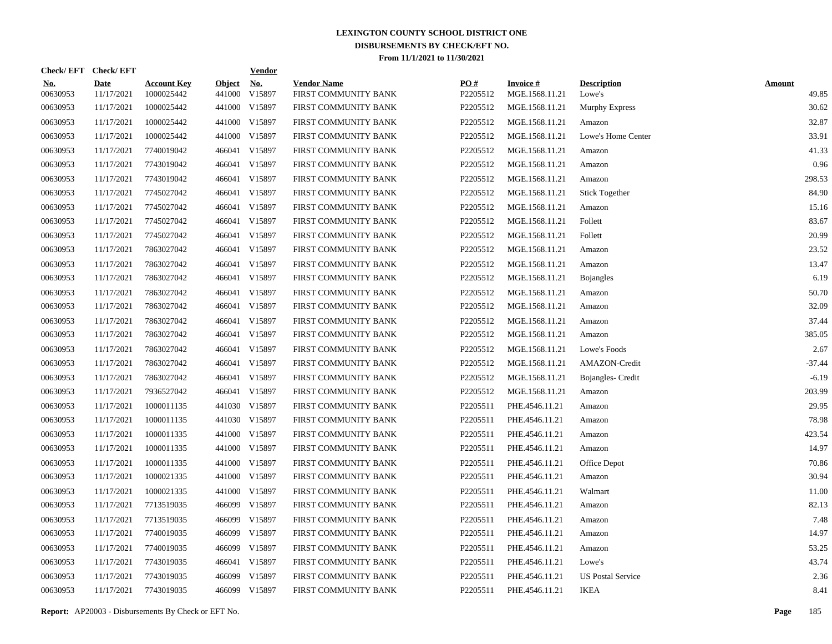| Check/EFT Check/EFT    |                           |                                  |                         | <b>Vendor</b>        |                                            |                 |                                   |                              |                        |
|------------------------|---------------------------|----------------------------------|-------------------------|----------------------|--------------------------------------------|-----------------|-----------------------------------|------------------------------|------------------------|
| <u>No.</u><br>00630953 | <b>Date</b><br>11/17/2021 | <b>Account Key</b><br>1000025442 | <b>Object</b><br>441000 | <u>No.</u><br>V15897 | <b>Vendor Name</b><br>FIRST COMMUNITY BANK | PO#<br>P2205512 | <b>Invoice#</b><br>MGE.1568.11.21 | <b>Description</b><br>Lowe's | <b>Amount</b><br>49.85 |
| 00630953               | 11/17/2021                | 1000025442                       | 441000                  | V15897               | FIRST COMMUNITY BANK                       | P2205512        | MGE.1568.11.21                    | Murphy Express               | 30.62                  |
| 00630953               | 11/17/2021                | 1000025442                       | 441000                  | V15897               | FIRST COMMUNITY BANK                       | P2205512        | MGE.1568.11.21                    | Amazon                       | 32.87                  |
| 00630953               | 11/17/2021                | 1000025442                       | 441000                  | V15897               | FIRST COMMUNITY BANK                       | P2205512        | MGE.1568.11.21                    | Lowe's Home Center           | 33.91                  |
| 00630953               | 11/17/2021                | 7740019042                       |                         | 466041 V15897        | FIRST COMMUNITY BANK                       | P2205512        | MGE.1568.11.21                    | Amazon                       | 41.33                  |
| 00630953               | 11/17/2021                | 7743019042                       | 466041                  | V15897               | FIRST COMMUNITY BANK                       | P2205512        | MGE.1568.11.21                    | Amazon                       | 0.96                   |
| 00630953               | 11/17/2021                | 7743019042                       |                         | 466041 V15897        | FIRST COMMUNITY BANK                       | P2205512        | MGE.1568.11.21                    | Amazon                       | 298.53                 |
| 00630953               | 11/17/2021                | 7745027042                       |                         | 466041 V15897        | FIRST COMMUNITY BANK                       | P2205512        | MGE.1568.11.21                    | <b>Stick Together</b>        | 84.90                  |
| 00630953               | 11/17/2021                | 7745027042                       |                         | 466041 V15897        | FIRST COMMUNITY BANK                       | P2205512        | MGE.1568.11.21                    | Amazon                       | 15.16                  |
| 00630953               | 11/17/2021                | 7745027042                       |                         | 466041 V15897        | FIRST COMMUNITY BANK                       | P2205512        | MGE.1568.11.21                    | Follett                      | 83.67                  |
| 00630953               | 11/17/2021                | 7745027042                       |                         | 466041 V15897        | FIRST COMMUNITY BANK                       | P2205512        | MGE.1568.11.21                    | Follett                      | 20.99                  |
| 00630953               | 11/17/2021                | 7863027042                       |                         | 466041 V15897        | FIRST COMMUNITY BANK                       | P2205512        | MGE.1568.11.21                    | Amazon                       | 23.52                  |
| 00630953               | 11/17/2021                | 7863027042                       |                         | 466041 V15897        | FIRST COMMUNITY BANK                       | P2205512        | MGE.1568.11.21                    | Amazon                       | 13.47                  |
| 00630953               | 11/17/2021                | 7863027042                       |                         | 466041 V15897        | FIRST COMMUNITY BANK                       | P2205512        | MGE.1568.11.21                    | <b>Bojangles</b>             | 6.19                   |
| 00630953               | 11/17/2021                | 7863027042                       |                         | 466041 V15897        | FIRST COMMUNITY BANK                       | P2205512        | MGE.1568.11.21                    | Amazon                       | 50.70                  |
| 00630953               | 11/17/2021                | 7863027042                       |                         | 466041 V15897        | FIRST COMMUNITY BANK                       | P2205512        | MGE.1568.11.21                    | Amazon                       | 32.09                  |
| 00630953               | 11/17/2021                | 7863027042                       |                         | 466041 V15897        | FIRST COMMUNITY BANK                       | P2205512        | MGE.1568.11.21                    | Amazon                       | 37.44                  |
| 00630953               | 11/17/2021                | 7863027042                       |                         | 466041 V15897        | FIRST COMMUNITY BANK                       | P2205512        | MGE.1568.11.21                    | Amazon                       | 385.05                 |
| 00630953               | 11/17/2021                | 7863027042                       |                         | 466041 V15897        | FIRST COMMUNITY BANK                       | P2205512        | MGE.1568.11.21                    | Lowe's Foods                 | 2.67                   |
| 00630953               | 11/17/2021                | 7863027042                       |                         | 466041 V15897        | FIRST COMMUNITY BANK                       | P2205512        | MGE.1568.11.21                    | AMAZON-Credit                | $-37.44$               |
| 00630953               | 11/17/2021                | 7863027042                       |                         | 466041 V15897        | FIRST COMMUNITY BANK                       | P2205512        | MGE.1568.11.21                    | Bojangles- Credit            | $-6.19$                |
| 00630953               | 11/17/2021                | 7936527042                       |                         | 466041 V15897        | FIRST COMMUNITY BANK                       | P2205512        | MGE.1568.11.21                    | Amazon                       | 203.99                 |
| 00630953               | 11/17/2021                | 1000011135                       | 441030                  | V15897               | FIRST COMMUNITY BANK                       | P2205511        | PHE.4546.11.21                    | Amazon                       | 29.95                  |
| 00630953               | 11/17/2021                | 1000011135                       |                         | 441030 V15897        | FIRST COMMUNITY BANK                       | P2205511        | PHE.4546.11.21                    | Amazon                       | 78.98                  |
| 00630953               | 11/17/2021                | 1000011335                       | 441000                  | V15897               | FIRST COMMUNITY BANK                       | P2205511        | PHE.4546.11.21                    | Amazon                       | 423.54                 |
| 00630953               | 11/17/2021                | 1000011335                       | 441000                  | V15897               | FIRST COMMUNITY BANK                       | P2205511        | PHE.4546.11.21                    | Amazon                       | 14.97                  |
| 00630953               | 11/17/2021                | 1000011335                       | 441000                  | V15897               | FIRST COMMUNITY BANK                       | P2205511        | PHE.4546.11.21                    | Office Depot                 | 70.86                  |
| 00630953               | 11/17/2021                | 1000021335                       | 441000                  | V15897               | FIRST COMMUNITY BANK                       | P2205511        | PHE.4546.11.21                    | Amazon                       | 30.94                  |
| 00630953               | 11/17/2021                | 1000021335                       | 441000                  | V15897               | FIRST COMMUNITY BANK                       | P2205511        | PHE.4546.11.21                    | Walmart                      | 11.00                  |
| 00630953               | 11/17/2021                | 7713519035                       | 466099                  | V15897               | FIRST COMMUNITY BANK                       | P2205511        | PHE.4546.11.21                    | Amazon                       | 82.13                  |
| 00630953               | 11/17/2021                | 7713519035                       | 466099                  | V15897               | FIRST COMMUNITY BANK                       | P2205511        | PHE.4546.11.21                    | Amazon                       | 7.48                   |
| 00630953               | 11/17/2021                | 7740019035                       | 466099                  | V15897               | FIRST COMMUNITY BANK                       | P2205511        | PHE.4546.11.21                    | Amazon                       | 14.97                  |
| 00630953               | 11/17/2021                | 7740019035                       | 466099                  | V15897               | FIRST COMMUNITY BANK                       | P2205511        | PHE.4546.11.21                    | Amazon                       | 53.25                  |
| 00630953               | 11/17/2021                | 7743019035                       | 466041                  | V15897               | FIRST COMMUNITY BANK                       | P2205511        | PHE.4546.11.21                    | Lowe's                       | 43.74                  |
| 00630953               | 11/17/2021                | 7743019035                       | 466099                  | V15897               | FIRST COMMUNITY BANK                       | P2205511        | PHE.4546.11.21                    | <b>US Postal Service</b>     | 2.36                   |
| 00630953               | 11/17/2021                | 7743019035                       |                         | 466099 V15897        | FIRST COMMUNITY BANK                       | P2205511        | PHE.4546.11.21                    | <b>IKEA</b>                  | 8.41                   |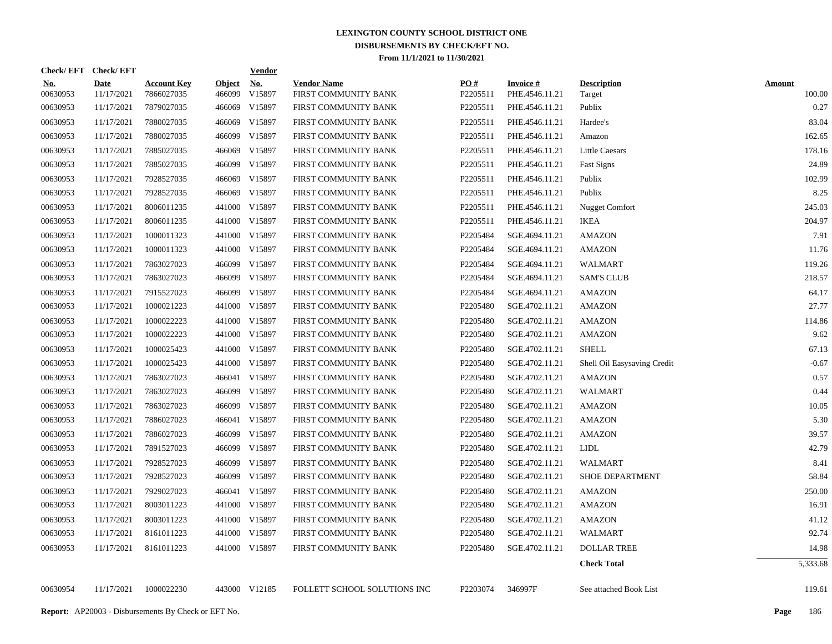|                        | Check/EFT Check/EFT       |                                                            |                         | <b>Vendor</b>        |                                            |                 |                                   |                              |                         |
|------------------------|---------------------------|------------------------------------------------------------|-------------------------|----------------------|--------------------------------------------|-----------------|-----------------------------------|------------------------------|-------------------------|
| <u>No.</u><br>00630953 | <b>Date</b><br>11/17/2021 | <b>Account Key</b><br>7866027035                           | <b>Object</b><br>466099 | <u>No.</u><br>V15897 | <b>Vendor Name</b><br>FIRST COMMUNITY BANK | PO#<br>P2205511 | <b>Invoice#</b><br>PHE.4546.11.21 | <b>Description</b><br>Target | <b>Amount</b><br>100.00 |
| 00630953               | 11/17/2021                | 7879027035                                                 | 466069                  | V15897               | FIRST COMMUNITY BANK                       | P2205511        | PHE.4546.11.21                    | Publix                       | 0.27                    |
| 00630953               | 11/17/2021                | 7880027035                                                 |                         | 466069 V15897        | FIRST COMMUNITY BANK                       | P2205511        | PHE.4546.11.21                    | Hardee's                     | 83.04                   |
| 00630953               | 11/17/2021                | 7880027035                                                 |                         | 466099 V15897        | FIRST COMMUNITY BANK                       | P2205511        | PHE.4546.11.21                    | Amazon                       | 162.65                  |
| 00630953               | 11/17/2021                | 7885027035                                                 |                         | 466069 V15897        | FIRST COMMUNITY BANK                       | P2205511        | PHE.4546.11.21                    | <b>Little Caesars</b>        | 178.16                  |
| 00630953               | 11/17/2021                | 7885027035                                                 |                         | 466099 V15897        | FIRST COMMUNITY BANK                       | P2205511        | PHE.4546.11.21                    | <b>Fast Signs</b>            | 24.89                   |
| 00630953               | 11/17/2021                | 7928527035                                                 |                         | 466069 V15897        | FIRST COMMUNITY BANK                       | P2205511        | PHE.4546.11.21                    | Publix                       | 102.99                  |
| 00630953               | 11/17/2021                | 7928527035                                                 |                         | 466069 V15897        | FIRST COMMUNITY BANK                       | P2205511        | PHE.4546.11.21                    | Publix                       | 8.25                    |
| 00630953               | 11/17/2021                | 8006011235                                                 |                         | 441000 V15897        | FIRST COMMUNITY BANK                       | P2205511        | PHE.4546.11.21                    | <b>Nugget Comfort</b>        | 245.03                  |
| 00630953               | 11/17/2021                | 8006011235                                                 |                         | 441000 V15897        | FIRST COMMUNITY BANK                       | P2205511        | PHE.4546.11.21                    | <b>IKEA</b>                  | 204.97                  |
| 00630953               | 11/17/2021                | 1000011323                                                 |                         | 441000 V15897        | FIRST COMMUNITY BANK                       | P2205484        | SGE.4694.11.21                    | <b>AMAZON</b>                | 7.91                    |
| 00630953               | 11/17/2021                | 1000011323                                                 |                         | 441000 V15897        | FIRST COMMUNITY BANK                       | P2205484        | SGE.4694.11.21                    | <b>AMAZON</b>                | 11.76                   |
| 00630953               | 11/17/2021                | 7863027023                                                 |                         | 466099 V15897        | FIRST COMMUNITY BANK                       | P2205484        | SGE.4694.11.21                    | <b>WALMART</b>               | 119.26                  |
| 00630953               | 11/17/2021                | 7863027023                                                 | 466099                  | V15897               | FIRST COMMUNITY BANK                       | P2205484        | SGE.4694.11.21                    | <b>SAM'S CLUB</b>            | 218.57                  |
| 00630953               | 11/17/2021                | 7915527023                                                 | 466099                  | V15897               | FIRST COMMUNITY BANK                       | P2205484        | SGE.4694.11.21                    | <b>AMAZON</b>                | 64.17                   |
| 00630953               | 11/17/2021                | 1000021223                                                 | 441000                  | V15897               | FIRST COMMUNITY BANK                       | P2205480        | SGE.4702.11.21                    | <b>AMAZON</b>                | 27.77                   |
| 00630953               | 11/17/2021                | 1000022223                                                 | 441000                  | V15897               | FIRST COMMUNITY BANK                       | P2205480        | SGE.4702.11.21                    | <b>AMAZON</b>                | 114.86                  |
| 00630953               | 11/17/2021                | 1000022223                                                 |                         | 441000 V15897        | FIRST COMMUNITY BANK                       | P2205480        | SGE.4702.11.21                    | <b>AMAZON</b>                | 9.62                    |
| 00630953               | 11/17/2021                | 1000025423                                                 |                         | 441000 V15897        | FIRST COMMUNITY BANK                       | P2205480        | SGE.4702.11.21                    | <b>SHELL</b>                 | 67.13                   |
| 00630953               | 11/17/2021                | 1000025423                                                 |                         | 441000 V15897        | FIRST COMMUNITY BANK                       | P2205480        | SGE.4702.11.21                    | Shell Oil Easysaving Credit  | $-0.67$                 |
| 00630953               | 11/17/2021                | 7863027023                                                 |                         | 466041 V15897        | FIRST COMMUNITY BANK                       | P2205480        | SGE.4702.11.21                    | <b>AMAZON</b>                | 0.57                    |
| 00630953               | 11/17/2021                | 7863027023                                                 |                         | 466099 V15897        | FIRST COMMUNITY BANK                       | P2205480        | SGE.4702.11.21                    | <b>WALMART</b>               | 0.44                    |
| 00630953               | 11/17/2021                | 7863027023                                                 |                         | 466099 V15897        | FIRST COMMUNITY BANK                       | P2205480        | SGE.4702.11.21                    | <b>AMAZON</b>                | 10.05                   |
| 00630953               | 11/17/2021                | 7886027023                                                 |                         | 466041 V15897        | FIRST COMMUNITY BANK                       | P2205480        | SGE.4702.11.21                    | <b>AMAZON</b>                | 5.30                    |
| 00630953               | 11/17/2021                | 7886027023                                                 |                         | 466099 V15897        | FIRST COMMUNITY BANK                       | P2205480        | SGE.4702.11.21                    | <b>AMAZON</b>                | 39.57                   |
| 00630953               | 11/17/2021                | 7891527023                                                 |                         | 466099 V15897        | FIRST COMMUNITY BANK                       | P2205480        | SGE.4702.11.21                    | <b>LIDL</b>                  | 42.79                   |
| 00630953               | 11/17/2021                | 7928527023                                                 | 466099                  | V15897               | FIRST COMMUNITY BANK                       | P2205480        | SGE.4702.11.21                    | <b>WALMART</b>               | 8.41                    |
| 00630953               | 11/17/2021                | 7928527023                                                 | 466099                  | V15897               | FIRST COMMUNITY BANK                       | P2205480        | SGE.4702.11.21                    | <b>SHOE DEPARTMENT</b>       | 58.84                   |
| 00630953               | 11/17/2021                | 7929027023                                                 |                         | 466041 V15897        | FIRST COMMUNITY BANK                       | P2205480        | SGE.4702.11.21                    | <b>AMAZON</b>                | 250.00                  |
| 00630953               | 11/17/2021                | 8003011223                                                 |                         | 441000 V15897        | FIRST COMMUNITY BANK                       | P2205480        | SGE.4702.11.21                    | <b>AMAZON</b>                | 16.91                   |
| 00630953               | 11/17/2021                | 8003011223                                                 | 441000                  | V15897               | FIRST COMMUNITY BANK                       | P2205480        | SGE.4702.11.21                    | <b>AMAZON</b>                | 41.12                   |
| 00630953               | 11/17/2021                | 8161011223                                                 |                         | 441000 V15897        | FIRST COMMUNITY BANK                       | P2205480        | SGE.4702.11.21                    | <b>WALMART</b>               | 92.74                   |
| 00630953               | 11/17/2021                | 8161011223                                                 |                         | 441000 V15897        | FIRST COMMUNITY BANK                       | P2205480        | SGE.4702.11.21                    | <b>DOLLAR TREE</b>           | 14.98                   |
|                        |                           |                                                            |                         |                      |                                            |                 |                                   | <b>Check Total</b>           | 5,333.68                |
| 00630954               | 11/17/2021                | 1000022230                                                 |                         | 443000 V12185        | FOLLETT SCHOOL SOLUTIONS INC               | P2203074        | 346997F                           | See attached Book List       | 119.61                  |
|                        |                           | <b>Report:</b> AP20003 - Disbursements By Check or EFT No. |                         |                      |                                            |                 |                                   |                              | 186<br>Page             |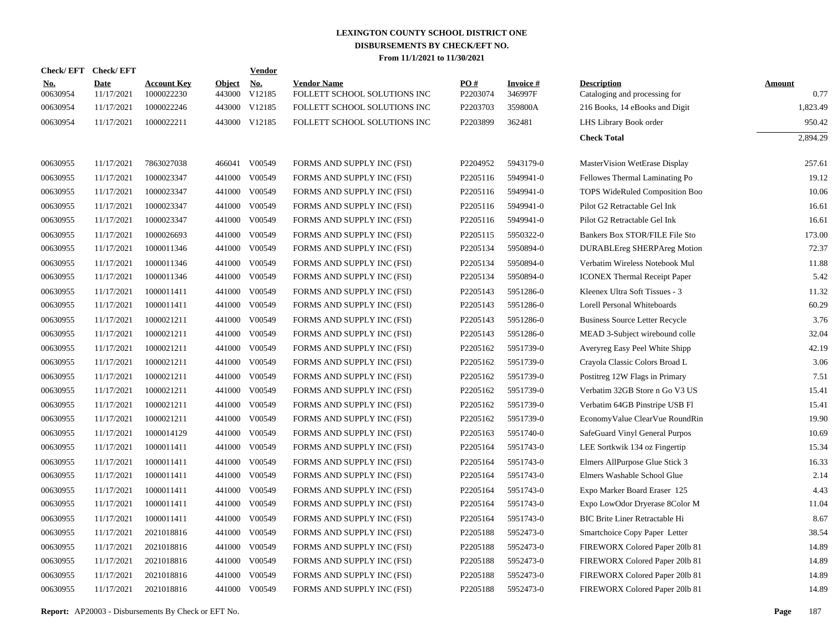|                        | Check/EFT Check/EFT       |                                  |                         | Vendor        |                                                    |                      |                            |                                                     |                       |
|------------------------|---------------------------|----------------------------------|-------------------------|---------------|----------------------------------------------------|----------------------|----------------------------|-----------------------------------------------------|-----------------------|
| <b>No.</b><br>00630954 | <b>Date</b><br>11/17/2021 | <b>Account Key</b><br>1000022230 | <b>Object</b><br>443000 | No.<br>V12185 | <b>Vendor Name</b><br>FOLLETT SCHOOL SOLUTIONS INC | PO#<br>P2203074      | <b>Invoice#</b><br>346997F | <b>Description</b><br>Cataloging and processing for | <b>Amount</b><br>0.77 |
| 00630954               | 11/17/2021                | 1000022246                       |                         | 443000 V12185 | FOLLETT SCHOOL SOLUTIONS INC                       | P2203703             | 359800A                    | 216 Books, 14 eBooks and Digit                      | 1,823.49              |
| 00630954               | 11/17/2021                | 1000022211                       |                         | 443000 V12185 | FOLLETT SCHOOL SOLUTIONS INC                       | P2203899             | 362481                     | LHS Library Book order                              | 950.42                |
|                        |                           |                                  |                         |               |                                                    |                      |                            | <b>Check Total</b>                                  | 2,894.29              |
| 00630955               | 11/17/2021                | 7863027038                       |                         | 466041 V00549 | FORMS AND SUPPLY INC (FSI)                         | P2204952             | 5943179-0                  | MasterVision WetErase Display                       | 257.61                |
| 00630955               | 11/17/2021                | 1000023347                       | 441000                  | V00549        | FORMS AND SUPPLY INC (FSI)                         | P2205116             | 5949941-0                  | Fellowes Thermal Laminating Po                      | 19.12                 |
| 00630955               | 11/17/2021                | 1000023347                       |                         | 441000 V00549 | FORMS AND SUPPLY INC (FSI)                         | P2205116             | 5949941-0                  | TOPS WideRuled Composition Boo                      | 10.06                 |
| 00630955               | 11/17/2021                | 1000023347                       | 441000                  | V00549        | FORMS AND SUPPLY INC (FSI)                         | P2205116             | 5949941-0                  | Pilot G2 Retractable Gel Ink                        | 16.61                 |
| 00630955               | 11/17/2021                | 1000023347                       | 441000                  | V00549        | FORMS AND SUPPLY INC (FSI)                         | P2205116             | 5949941-0                  | Pilot G2 Retractable Gel Ink                        | 16.61                 |
| 00630955               | 11/17/2021                | 1000026693                       | 441000                  | V00549        | FORMS AND SUPPLY INC (FSI)                         | P2205115             | 5950322-0                  | Bankers Box STOR/FILE File Sto                      | 173.00                |
| 00630955               | 11/17/2021                | 1000011346                       | 441000                  | V00549        | FORMS AND SUPPLY INC (FSI)                         | P2205134             | 5950894-0                  | <b>DURABLEreg SHERPAreg Motion</b>                  | 72.37                 |
| 00630955               | 11/17/2021                | 1000011346                       | 441000                  | V00549        | FORMS AND SUPPLY INC (FSI)                         | P2205134             | 5950894-0                  | Verbatim Wireless Notebook Mul                      | 11.88                 |
| 00630955               | 11/17/2021                | 1000011346                       | 441000                  | V00549        | FORMS AND SUPPLY INC (FSI)                         | P2205134             | 5950894-0                  | <b>ICONEX Thermal Receipt Paper</b>                 | 5.42                  |
| 00630955               | 11/17/2021                | 1000011411                       | 441000                  | V00549        | FORMS AND SUPPLY INC (FSI)                         | P2205143             | 5951286-0                  | Kleenex Ultra Soft Tissues - 3                      | 11.32                 |
| 00630955               | 11/17/2021                | 1000011411                       | 441000                  | V00549        | FORMS AND SUPPLY INC (FSI)                         | P2205143             | 5951286-0                  | Lorell Personal Whiteboards                         | 60.29                 |
| 00630955               | 11/17/2021                | 1000021211                       | 441000                  | V00549        | FORMS AND SUPPLY INC (FSI)                         | P2205143             | 5951286-0                  | <b>Business Source Letter Recycle</b>               | 3.76                  |
| 00630955               | 11/17/2021                | 1000021211                       | 441000                  | V00549        | FORMS AND SUPPLY INC (FSI)                         | P2205143             | 5951286-0                  | MEAD 3-Subject wirebound colle                      | 32.04                 |
| 00630955               | 11/17/2021                | 1000021211                       | 441000                  | V00549        | FORMS AND SUPPLY INC (FSI)                         | P2205162             | 5951739-0                  | Averyreg Easy Peel White Shipp                      | 42.19                 |
| 00630955               | 11/17/2021                | 1000021211                       | 441000                  | V00549        | FORMS AND SUPPLY INC (FSI)                         | P2205162             | 5951739-0                  | Crayola Classic Colors Broad L                      | 3.06                  |
| 00630955               | 11/17/2021                | 1000021211                       | 441000                  | V00549        | FORMS AND SUPPLY INC (FSI)                         | P2205162             | 5951739-0                  | Postitreg 12W Flags in Primary                      | 7.51                  |
| 00630955               | 11/17/2021                | 1000021211                       | 441000                  | V00549        | FORMS AND SUPPLY INC (FSI)                         | P2205162             | 5951739-0                  | Verbatim 32GB Store n Go V3 US                      | 15.41                 |
| 00630955               | 11/17/2021                | 1000021211                       | 441000                  | V00549        | FORMS AND SUPPLY INC (FSI)                         | P2205162             | 5951739-0                  | Verbatim 64GB Pinstripe USB Fl                      | 15.41                 |
| 00630955               | 11/17/2021                | 1000021211                       | 441000                  | V00549        | FORMS AND SUPPLY INC (FSI)                         | P2205162             | 5951739-0                  | EconomyValue ClearVue RoundRin                      | 19.90                 |
| 00630955               | 11/17/2021                | 1000014129                       | 441000                  | V00549        | FORMS AND SUPPLY INC (FSI)                         | P <sub>2205163</sub> | 5951740-0                  | SafeGuard Vinyl General Purpos                      | 10.69                 |
| 00630955               | 11/17/2021                | 1000011411                       | 441000                  | V00549        | FORMS AND SUPPLY INC (FSI)                         | P2205164             | 5951743-0                  | LEE Sortkwik 134 oz Fingertip                       | 15.34                 |
| 00630955               | 11/17/2021                | 1000011411                       | 441000                  | V00549        | FORMS AND SUPPLY INC (FSI)                         | P2205164             | 5951743-0                  | Elmers AllPurpose Glue Stick 3                      | 16.33                 |
| 00630955               | 11/17/2021                | 1000011411                       | 441000                  | V00549        | FORMS AND SUPPLY INC (FSI)                         | P2205164             | 5951743-0                  | Elmers Washable School Glue                         | 2.14                  |
| 00630955               | 11/17/2021                | 1000011411                       | 441000                  | V00549        | FORMS AND SUPPLY INC (FSI)                         | P2205164             | 5951743-0                  | Expo Marker Board Eraser 125                        | 4.43                  |
| 00630955               | 11/17/2021                | 1000011411                       | 441000                  | V00549        | FORMS AND SUPPLY INC (FSI)                         | P2205164             | 5951743-0                  | Expo LowOdor Dryerase 8Color M                      | 11.04                 |
| 00630955               | 11/17/2021                | 1000011411                       | 441000                  | V00549        | FORMS AND SUPPLY INC (FSI)                         | P2205164             | 5951743-0                  | <b>BIC Brite Liner Retractable Hi</b>               | 8.67                  |
| 00630955               | 11/17/2021                | 2021018816                       | 441000                  | V00549        | FORMS AND SUPPLY INC (FSI)                         | P2205188             | 5952473-0                  | Smartchoice Copy Paper Letter                       | 38.54                 |
| 00630955               | 11/17/2021                | 2021018816                       | 441000                  | V00549        | FORMS AND SUPPLY INC (FSI)                         | P2205188             | 5952473-0                  | FIREWORX Colored Paper 201b 81                      | 14.89                 |
| 00630955               | 11/17/2021                | 2021018816                       | 441000                  | V00549        | FORMS AND SUPPLY INC (FSI)                         | P2205188             | 5952473-0                  | FIREWORX Colored Paper 201b 81                      | 14.89                 |
| 00630955               | 11/17/2021                | 2021018816                       | 441000                  | V00549        | FORMS AND SUPPLY INC (FSI)                         | P2205188             | 5952473-0                  | FIREWORX Colored Paper 201b 81                      | 14.89                 |
| 00630955               | 11/17/2021                | 2021018816                       |                         | 441000 V00549 | FORMS AND SUPPLY INC (FSI)                         | P2205188             | 5952473-0                  | FIREWORX Colored Paper 201b 81                      | 14.89                 |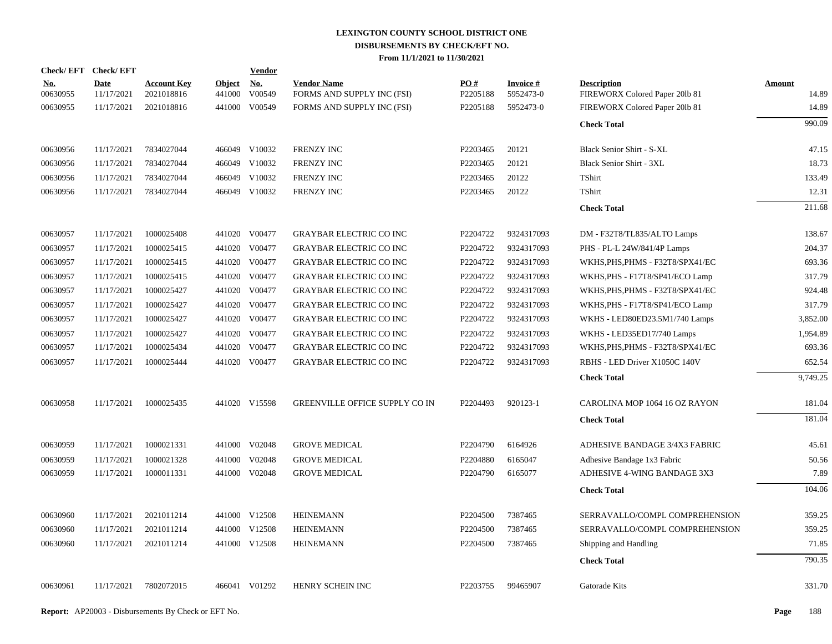| Check/EFT Check/EFT |                           |                                  |                         | Vendor        |                                                  |                      |                        |                                                      |                 |
|---------------------|---------------------------|----------------------------------|-------------------------|---------------|--------------------------------------------------|----------------------|------------------------|------------------------------------------------------|-----------------|
| No.<br>00630955     | <b>Date</b><br>11/17/2021 | <b>Account Key</b><br>2021018816 | <b>Object</b><br>441000 | No.<br>V00549 | <b>Vendor Name</b><br>FORMS AND SUPPLY INC (FSI) | PO#<br>P2205188      | Invoice #<br>5952473-0 | <b>Description</b><br>FIREWORX Colored Paper 201b 81 | Amount<br>14.89 |
| 00630955            | 11/17/2021                | 2021018816                       |                         | 441000 V00549 | FORMS AND SUPPLY INC (FSI)                       | P2205188             | 5952473-0              | FIREWORX Colored Paper 201b 81                       | 14.89           |
|                     |                           |                                  |                         |               |                                                  |                      |                        | <b>Check Total</b>                                   | 990.09          |
| 00630956            | 11/17/2021                | 7834027044                       |                         | 466049 V10032 | FRENZY INC                                       | P2203465             | 20121                  | Black Senior Shirt - S-XL                            | 47.15           |
| 00630956            | 11/17/2021                | 7834027044                       |                         | 466049 V10032 | <b>FRENZY INC</b>                                | P2203465             | 20121                  | Black Senior Shirt - 3XL                             | 18.73           |
| 00630956            | 11/17/2021                | 7834027044                       |                         | 466049 V10032 | <b>FRENZY INC</b>                                | P2203465             | 20122                  | TShirt                                               | 133.49          |
| 00630956            | 11/17/2021                | 7834027044                       |                         | 466049 V10032 | <b>FRENZY INC</b>                                | P2203465             | 20122                  | TShirt                                               | 12.31           |
|                     |                           |                                  |                         |               |                                                  |                      |                        | <b>Check Total</b>                                   | 211.68          |
| 00630957            | 11/17/2021                | 1000025408                       |                         | 441020 V00477 | <b>GRAYBAR ELECTRIC CO INC</b>                   | P2204722             | 9324317093             | DM - F32T8/TL835/ALTO Lamps                          | 138.67          |
| 00630957            | 11/17/2021                | 1000025415                       |                         | 441020 V00477 | <b>GRAYBAR ELECTRIC CO INC</b>                   | P2204722             | 9324317093             | PHS - PL-L 24W/841/4P Lamps                          | 204.37          |
| 00630957            | 11/17/2021                | 1000025415                       |                         | 441020 V00477 | <b>GRAYBAR ELECTRIC CO INC</b>                   | P2204722             | 9324317093             | WKHS, PHS, PHMS - F32T8/SPX41/EC                     | 693.36          |
| 00630957            | 11/17/2021                | 1000025415                       |                         | 441020 V00477 | <b>GRAYBAR ELECTRIC CO INC</b>                   | P2204722             | 9324317093             | WKHS, PHS - F17T8/SP41/ECO Lamp                      | 317.79          |
| 00630957            | 11/17/2021                | 1000025427                       |                         | 441020 V00477 | <b>GRAYBAR ELECTRIC CO INC</b>                   | P2204722             | 9324317093             | WKHS, PHS, PHMS - F32T8/SPX41/EC                     | 924.48          |
| 00630957            | 11/17/2021                | 1000025427                       | 441020                  | V00477        | <b>GRAYBAR ELECTRIC CO INC</b>                   | P2204722             | 9324317093             | WKHS, PHS - F17T8/SP41/ECO Lamp                      | 317.79          |
| 00630957            | 11/17/2021                | 1000025427                       |                         | 441020 V00477 | <b>GRAYBAR ELECTRIC CO INC</b>                   | P2204722             | 9324317093             | WKHS - LED80ED23.5M1/740 Lamps                       | 3,852.00        |
| 00630957            | 11/17/2021                | 1000025427                       |                         | 441020 V00477 | <b>GRAYBAR ELECTRIC CO INC</b>                   | P2204722             | 9324317093             | WKHS - LED35ED17/740 Lamps                           | 1,954.89        |
| 00630957            | 11/17/2021                | 1000025434                       |                         | 441020 V00477 | <b>GRAYBAR ELECTRIC CO INC</b>                   | P2204722             | 9324317093             | WKHS, PHS, PHMS - F32T8/SPX41/EC                     | 693.36          |
| 00630957            | 11/17/2021                | 1000025444                       |                         | 441020 V00477 | <b>GRAYBAR ELECTRIC CO INC</b>                   | P2204722             | 9324317093             | RBHS - LED Driver X1050C 140V                        | 652.54          |
|                     |                           |                                  |                         |               |                                                  |                      |                        | <b>Check Total</b>                                   | 9,749.25        |
| 00630958            | 11/17/2021                | 1000025435                       |                         | 441020 V15598 | <b>GREENVILLE OFFICE SUPPLY CO IN</b>            | P2204493             | 920123-1               | CAROLINA MOP 1064 16 OZ RAYON                        | 181.04          |
|                     |                           |                                  |                         |               |                                                  |                      |                        | <b>Check Total</b>                                   | 181.04          |
| 00630959            | 11/17/2021                | 1000021331                       |                         | 441000 V02048 | <b>GROVE MEDICAL</b>                             | P2204790             | 6164926                | ADHESIVE BANDAGE 3/4X3 FABRIC                        | 45.61           |
| 00630959            | 11/17/2021                | 1000021328                       | 441000                  | V02048        | <b>GROVE MEDICAL</b>                             | P2204880             | 6165047                | Adhesive Bandage 1x3 Fabric                          | 50.56           |
| 00630959            | 11/17/2021                | 1000011331                       |                         | 441000 V02048 | <b>GROVE MEDICAL</b>                             | P2204790             | 6165077                | ADHESIVE 4-WING BANDAGE 3X3                          | 7.89            |
|                     |                           |                                  |                         |               |                                                  |                      |                        | <b>Check Total</b>                                   | 104.06          |
| 00630960            | 11/17/2021                | 2021011214                       |                         | 441000 V12508 | <b>HEINEMANN</b>                                 | P2204500             | 7387465                | SERRAVALLO/COMPL COMPREHENSION                       | 359.25          |
| 00630960            | 11/17/2021                | 2021011214                       |                         | 441000 V12508 | <b>HEINEMANN</b>                                 | P <sub>2204500</sub> | 7387465                | SERRAVALLO/COMPL COMPREHENSION                       | 359.25          |
| 00630960            | 11/17/2021                | 2021011214                       |                         | 441000 V12508 | <b>HEINEMANN</b>                                 | P2204500             | 7387465                | Shipping and Handling                                | 71.85           |
|                     |                           |                                  |                         |               |                                                  |                      |                        | <b>Check Total</b>                                   | 790.35          |
| 00630961            | 11/17/2021                | 7802072015                       |                         | 466041 V01292 | HENRY SCHEIN INC                                 | P2203755             | 99465907               | Gatorade Kits                                        | 331.70          |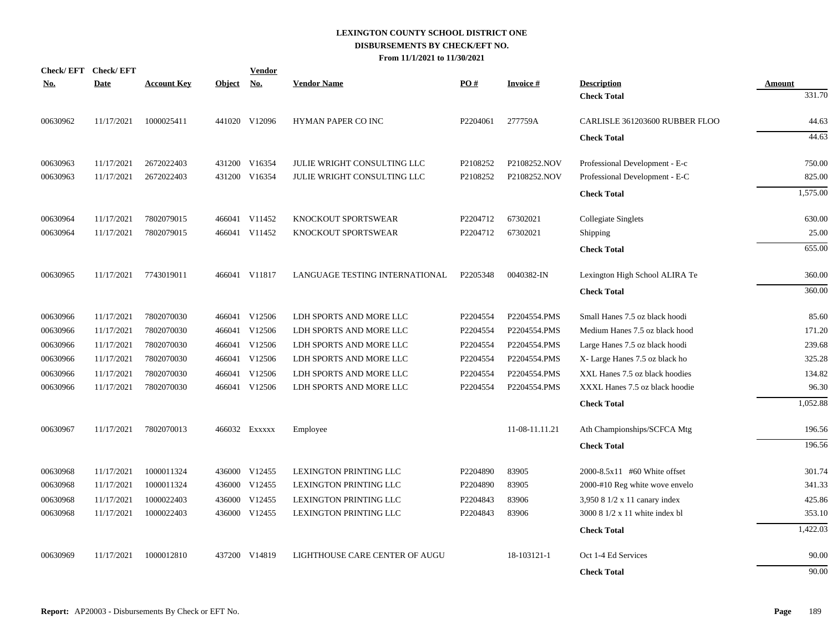|            | Check/EFT Check/EFT |                    |               | <b>Vendor</b> |                                |          |                 |                                          |                         |
|------------|---------------------|--------------------|---------------|---------------|--------------------------------|----------|-----------------|------------------------------------------|-------------------------|
| <u>No.</u> | <b>Date</b>         | <b>Account Key</b> | <b>Object</b> | <u>No.</u>    | <b>Vendor Name</b>             | PO#      | <b>Invoice#</b> | <b>Description</b><br><b>Check Total</b> | <b>Amount</b><br>331.70 |
| 00630962   | 11/17/2021          | 1000025411         |               | 441020 V12096 | <b>HYMAN PAPER CO INC</b>      | P2204061 | 277759A         | CARLISLE 361203600 RUBBER FLOO           | 44.63                   |
|            |                     |                    |               |               |                                |          |                 | <b>Check Total</b>                       | 44.63                   |
|            |                     |                    |               |               |                                |          |                 |                                          |                         |
| 00630963   | 11/17/2021          | 2672022403         |               | 431200 V16354 | JULIE WRIGHT CONSULTING LLC    | P2108252 | P2108252.NOV    | Professional Development - E-c           | 750.00                  |
| 00630963   | 11/17/2021          | 2672022403         | 431200        | V16354        | JULIE WRIGHT CONSULTING LLC    | P2108252 | P2108252.NOV    | Professional Development - E-C           | 825.00                  |
|            |                     |                    |               |               |                                |          |                 | <b>Check Total</b>                       | 1,575.00                |
| 00630964   | 11/17/2021          | 7802079015         |               | 466041 V11452 | KNOCKOUT SPORTSWEAR            | P2204712 | 67302021        | <b>Collegiate Singlets</b>               | 630.00                  |
| 00630964   | 11/17/2021          | 7802079015         |               | 466041 V11452 | KNOCKOUT SPORTSWEAR            | P2204712 | 67302021        | Shipping                                 | 25.00                   |
|            |                     |                    |               |               |                                |          |                 | <b>Check Total</b>                       | 655.00                  |
| 00630965   | 11/17/2021          | 7743019011         |               | 466041 V11817 | LANGUAGE TESTING INTERNATIONAL | P2205348 | 0040382-IN      | Lexington High School ALIRA Te           | 360.00                  |
|            |                     |                    |               |               |                                |          |                 | <b>Check Total</b>                       | 360.00                  |
| 00630966   | 11/17/2021          | 7802070030         |               | 466041 V12506 | LDH SPORTS AND MORE LLC        | P2204554 | P2204554.PMS    | Small Hanes 7.5 oz black hoodi           | 85.60                   |
| 00630966   | 11/17/2021          | 7802070030         |               | 466041 V12506 | LDH SPORTS AND MORE LLC        | P2204554 | P2204554.PMS    | Medium Hanes 7.5 oz black hood           | 171.20                  |
| 00630966   | 11/17/2021          | 7802070030         |               | 466041 V12506 | LDH SPORTS AND MORE LLC        | P2204554 | P2204554.PMS    | Large Hanes 7.5 oz black hoodi           | 239.68                  |
| 00630966   | 11/17/2021          | 7802070030         |               | 466041 V12506 | LDH SPORTS AND MORE LLC        | P2204554 | P2204554.PMS    | X- Large Hanes 7.5 oz black ho           | 325.28                  |
| 00630966   | 11/17/2021          | 7802070030         |               | 466041 V12506 | LDH SPORTS AND MORE LLC        | P2204554 | P2204554.PMS    | XXL Hanes 7.5 oz black hoodies           | 134.82                  |
| 00630966   | 11/17/2021          | 7802070030         |               | 466041 V12506 | LDH SPORTS AND MORE LLC        | P2204554 | P2204554.PMS    | XXXL Hanes 7.5 oz black hoodie           | 96.30                   |
|            |                     |                    |               |               |                                |          |                 | <b>Check Total</b>                       | 1,052.88                |
| 00630967   | 11/17/2021          | 7802070013         |               | 466032 Exxxxx | Employee                       |          | 11-08-11.11.21  | Ath Championships/SCFCA Mtg              | 196.56                  |
|            |                     |                    |               |               |                                |          |                 | <b>Check Total</b>                       | 196.56                  |
| 00630968   | 11/17/2021          | 1000011324         |               | 436000 V12455 | LEXINGTON PRINTING LLC         | P2204890 | 83905           | 2000-8.5x11 #60 White offset             | 301.74                  |
| 00630968   | 11/17/2021          | 1000011324         |               | 436000 V12455 | LEXINGTON PRINTING LLC         | P2204890 | 83905           | 2000-#10 Reg white wove envelo           | 341.33                  |
| 00630968   | 11/17/2021          | 1000022403         | 436000        | V12455        | LEXINGTON PRINTING LLC         | P2204843 | 83906           | 3,950 8 1/2 x 11 canary index            | 425.86                  |
| 00630968   | 11/17/2021          | 1000022403         | 436000        | V12455        | LEXINGTON PRINTING LLC         | P2204843 | 83906           | 3000 8 1/2 x 11 white index bl           | 353.10                  |
|            |                     |                    |               |               |                                |          |                 | <b>Check Total</b>                       | 1,422.03                |
| 00630969   | 11/17/2021          | 1000012810         |               | 437200 V14819 | LIGHTHOUSE CARE CENTER OF AUGU |          | 18-103121-1     | Oct 1-4 Ed Services                      | 90.00                   |
|            |                     |                    |               |               |                                |          |                 | <b>Check Total</b>                       | 90.00                   |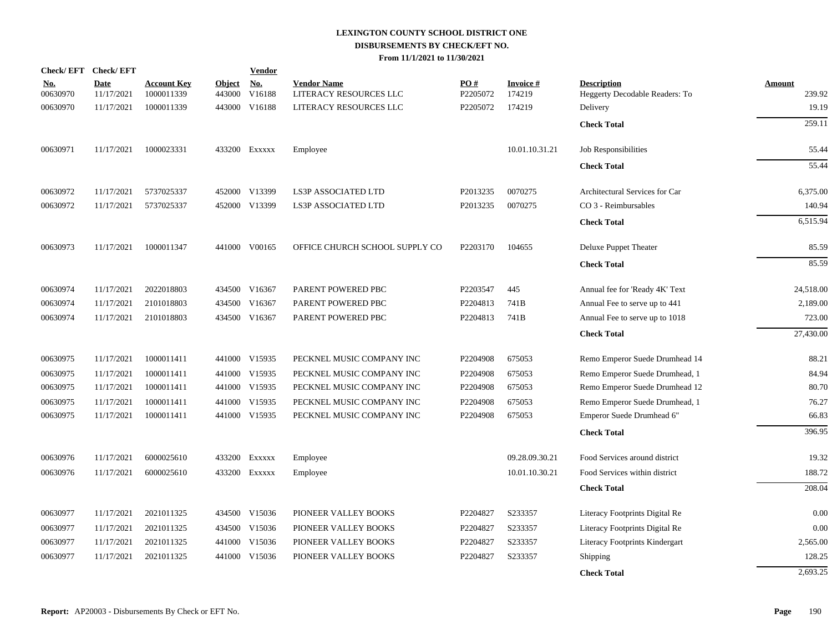| <b>Check/EFT</b>       | <b>Check/EFT</b>          |                                  |                         | <b>Vendor</b> |                                              |                 |                           |                                                      |                  |
|------------------------|---------------------------|----------------------------------|-------------------------|---------------|----------------------------------------------|-----------------|---------------------------|------------------------------------------------------|------------------|
| <u>No.</u><br>00630970 | <b>Date</b><br>11/17/2021 | <b>Account Key</b><br>1000011339 | <b>Object</b><br>443000 | No.<br>V16188 | <b>Vendor Name</b><br>LITERACY RESOURCES LLC | PO#<br>P2205072 | <b>Invoice#</b><br>174219 | <b>Description</b><br>Heggerty Decodable Readers: To | Amount<br>239.92 |
| 00630970               | 11/17/2021                | 1000011339                       | 443000                  | V16188        | LITERACY RESOURCES LLC                       | P2205072        | 174219                    | Delivery                                             | 19.19            |
|                        |                           |                                  |                         |               |                                              |                 |                           |                                                      |                  |
|                        |                           |                                  |                         |               |                                              |                 |                           | <b>Check Total</b>                                   | 259.11           |
| 00630971               | 11/17/2021                | 1000023331                       |                         | 433200 Exxxxx | Employee                                     |                 | 10.01.10.31.21            | Job Responsibilities                                 | 55.44            |
|                        |                           |                                  |                         |               |                                              |                 |                           | <b>Check Total</b>                                   | 55.44            |
| 00630972               | 11/17/2021                | 5737025337                       |                         | 452000 V13399 | LS3P ASSOCIATED LTD                          | P2013235        | 0070275                   | Architectural Services for Car                       | 6,375.00         |
| 00630972               | 11/17/2021                | 5737025337                       |                         | 452000 V13399 | <b>LS3P ASSOCIATED LTD</b>                   | P2013235        | 0070275                   | CO 3 - Reimbursables                                 | 140.94           |
|                        |                           |                                  |                         |               |                                              |                 |                           | <b>Check Total</b>                                   | 6,515.94         |
| 00630973               | 11/17/2021                | 1000011347                       |                         | 441000 V00165 | OFFICE CHURCH SCHOOL SUPPLY CO               | P2203170        | 104655                    | Deluxe Puppet Theater                                | 85.59            |
|                        |                           |                                  |                         |               |                                              |                 |                           | <b>Check Total</b>                                   | 85.59            |
| 00630974               | 11/17/2021                | 2022018803                       |                         | 434500 V16367 | PARENT POWERED PBC                           | P2203547        | 445                       | Annual fee for 'Ready 4K' Text                       | 24,518.00        |
| 00630974               | 11/17/2021                | 2101018803                       |                         | 434500 V16367 | PARENT POWERED PBC                           | P2204813        | 741B                      | Annual Fee to serve up to 441                        | 2,189.00         |
| 00630974               | 11/17/2021                | 2101018803                       |                         | 434500 V16367 | PARENT POWERED PBC                           | P2204813        | 741B                      | Annual Fee to serve up to 1018                       | 723.00           |
|                        |                           |                                  |                         |               |                                              |                 |                           | <b>Check Total</b>                                   | 27,430.00        |
| 00630975               | 11/17/2021                | 1000011411                       |                         | 441000 V15935 | PECKNEL MUSIC COMPANY INC                    | P2204908        | 675053                    | Remo Emperor Suede Drumhead 14                       | 88.21            |
| 00630975               | 11/17/2021                | 1000011411                       |                         | 441000 V15935 | PECKNEL MUSIC COMPANY INC                    | P2204908        | 675053                    | Remo Emperor Suede Drumhead, 1                       | 84.94            |
| 00630975               | 11/17/2021                | 1000011411                       | 441000                  | V15935        | PECKNEL MUSIC COMPANY INC                    | P2204908        | 675053                    | Remo Emperor Suede Drumhead 12                       | 80.70            |
| 00630975               | 11/17/2021                | 1000011411                       |                         | 441000 V15935 | PECKNEL MUSIC COMPANY INC                    | P2204908        | 675053                    | Remo Emperor Suede Drumhead, 1                       | 76.27            |
| 00630975               | 11/17/2021                | 1000011411                       |                         | 441000 V15935 | PECKNEL MUSIC COMPANY INC                    | P2204908        | 675053                    | Emperor Suede Drumhead 6"                            | 66.83            |
|                        |                           |                                  |                         |               |                                              |                 |                           | <b>Check Total</b>                                   | 396.95           |
| 00630976               | 11/17/2021                | 6000025610                       |                         | 433200 EXXXXX | Employee                                     |                 | 09.28.09.30.21            | Food Services around district                        | 19.32            |
| 00630976               | 11/17/2021                | 6000025610                       |                         | 433200 Exxxxx | Employee                                     |                 | 10.01.10.30.21            | Food Services within district                        | 188.72           |
|                        |                           |                                  |                         |               |                                              |                 |                           | <b>Check Total</b>                                   | 208.04           |
| 00630977               | 11/17/2021                | 2021011325                       |                         | 434500 V15036 | PIONEER VALLEY BOOKS                         | P2204827        | S233357                   | Literacy Footprints Digital Re                       | 0.00             |
| 00630977               | 11/17/2021                | 2021011325                       |                         | 434500 V15036 | PIONEER VALLEY BOOKS                         | P2204827        | S233357                   | Literacy Footprints Digital Re                       | 0.00             |
| 00630977               | 11/17/2021                | 2021011325                       |                         | 441000 V15036 | PIONEER VALLEY BOOKS                         | P2204827        | S233357                   | Literacy Footprints Kindergart                       | 2,565.00         |
| 00630977               | 11/17/2021                | 2021011325                       | 441000                  | V15036        | PIONEER VALLEY BOOKS                         | P2204827        | S233357                   | Shipping                                             | 128.25           |
|                        |                           |                                  |                         |               |                                              |                 |                           | <b>Check Total</b>                                   | 2,693.25         |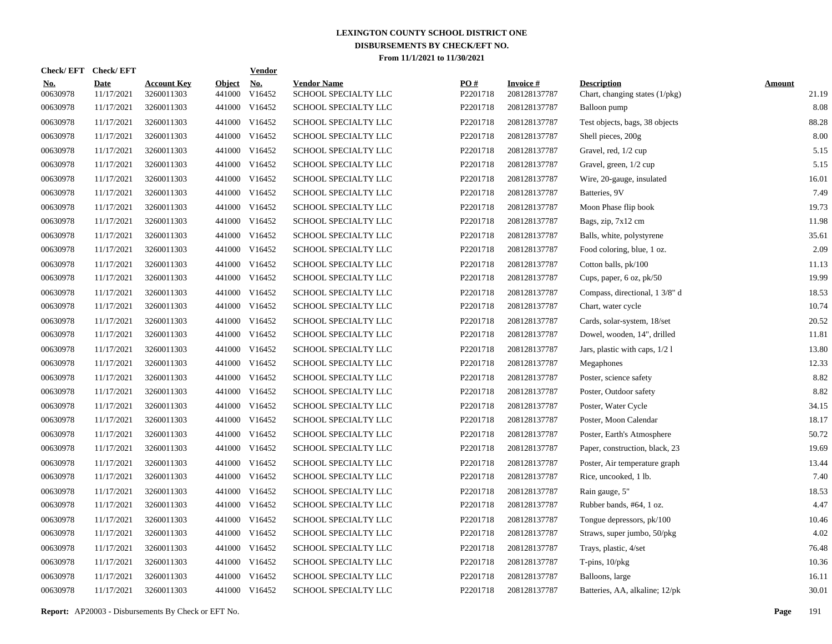| <b>Check/EFT</b>       | <b>Check/EFT</b>          |                                  |                         | <b>Vendor</b>        |                                            |                 |                                 |                                                      |                        |
|------------------------|---------------------------|----------------------------------|-------------------------|----------------------|--------------------------------------------|-----------------|---------------------------------|------------------------------------------------------|------------------------|
| <b>No.</b><br>00630978 | <b>Date</b><br>11/17/2021 | <b>Account Key</b><br>3260011303 | <b>Object</b><br>441000 | <b>No.</b><br>V16452 | <b>Vendor Name</b><br>SCHOOL SPECIALTY LLC | PQ#<br>P2201718 | <b>Invoice#</b><br>208128137787 | <b>Description</b><br>Chart, changing states (1/pkg) | <b>Amount</b><br>21.19 |
| 00630978               | 11/17/2021                | 3260011303                       |                         | 441000 V16452        | SCHOOL SPECIALTY LLC                       | P2201718        | 208128137787                    | Balloon pump                                         | 8.08                   |
| 00630978               | 11/17/2021                | 3260011303                       |                         | 441000 V16452        | SCHOOL SPECIALTY LLC                       | P2201718        | 208128137787                    | Test objects, bags, 38 objects                       | 88.28                  |
| 00630978               | 11/17/2021                | 3260011303                       |                         | 441000 V16452        | SCHOOL SPECIALTY LLC                       | P2201718        | 208128137787                    | Shell pieces, 200g                                   | 8.00                   |
| 00630978               | 11/17/2021                | 3260011303                       |                         | 441000 V16452        | SCHOOL SPECIALTY LLC                       | P2201718        | 208128137787                    | Gravel, red, 1/2 cup                                 | 5.15                   |
| 00630978               | 11/17/2021                | 3260011303                       |                         | 441000 V16452        | SCHOOL SPECIALTY LLC                       | P2201718        | 208128137787                    | Gravel, green, 1/2 cup                               | 5.15                   |
| 00630978               | 11/17/2021                | 3260011303                       |                         | 441000 V16452        | SCHOOL SPECIALTY LLC                       | P2201718        | 208128137787                    | Wire, 20-gauge, insulated                            | 16.01                  |
| 00630978               | 11/17/2021                | 3260011303                       |                         | 441000 V16452        | SCHOOL SPECIALTY LLC                       | P2201718        | 208128137787                    | Batteries, 9V                                        | 7.49                   |
| 00630978               | 11/17/2021                | 3260011303                       |                         | 441000 V16452        | SCHOOL SPECIALTY LLC                       | P2201718        | 208128137787                    | Moon Phase flip book                                 | 19.73                  |
| 00630978               | 11/17/2021                | 3260011303                       |                         | 441000 V16452        | SCHOOL SPECIALTY LLC                       | P2201718        | 208128137787                    | Bags, zip, 7x12 cm                                   | 11.98                  |
| 00630978               | 11/17/2021                | 3260011303                       |                         | 441000 V16452        | SCHOOL SPECIALTY LLC                       | P2201718        | 208128137787                    | Balls, white, polystyrene                            | 35.61                  |
| 00630978               | 11/17/2021                | 3260011303                       |                         | 441000 V16452        | SCHOOL SPECIALTY LLC                       | P2201718        | 208128137787                    | Food coloring, blue, 1 oz.                           | 2.09                   |
| 00630978               | 11/17/2021                | 3260011303                       |                         | 441000 V16452        | SCHOOL SPECIALTY LLC                       | P2201718        | 208128137787                    | Cotton balls, pk/100                                 | 11.13                  |
| 00630978               | 11/17/2021                | 3260011303                       |                         | 441000 V16452        | SCHOOL SPECIALTY LLC                       | P2201718        | 208128137787                    | Cups, paper, 6 oz, pk/50                             | 19.99                  |
| 00630978               | 11/17/2021                | 3260011303                       |                         | 441000 V16452        | SCHOOL SPECIALTY LLC                       | P2201718        | 208128137787                    | Compass, directional, 1 3/8" d                       | 18.53                  |
| 00630978               | 11/17/2021                | 3260011303                       |                         | 441000 V16452        | SCHOOL SPECIALTY LLC                       | P2201718        | 208128137787                    | Chart, water cycle                                   | 10.74                  |
| 00630978               | 11/17/2021                | 3260011303                       |                         | 441000 V16452        | SCHOOL SPECIALTY LLC                       | P2201718        | 208128137787                    | Cards, solar-system, 18/set                          | 20.52                  |
| 00630978               | 11/17/2021                | 3260011303                       |                         | 441000 V16452        | SCHOOL SPECIALTY LLC                       | P2201718        | 208128137787                    | Dowel, wooden, 14", drilled                          | 11.81                  |
| 00630978               | 11/17/2021                | 3260011303                       |                         | 441000 V16452        | SCHOOL SPECIALTY LLC                       | P2201718        | 208128137787                    | Jars, plastic with caps, 1/2 1                       | 13.80                  |
| 00630978               | 11/17/2021                | 3260011303                       |                         | 441000 V16452        | SCHOOL SPECIALTY LLC                       | P2201718        | 208128137787                    | Megaphones                                           | 12.33                  |
| 00630978               | 11/17/2021                | 3260011303                       |                         | 441000 V16452        | SCHOOL SPECIALTY LLC                       | P2201718        | 208128137787                    | Poster, science safety                               | 8.82                   |
| 00630978               | 11/17/2021                | 3260011303                       |                         | 441000 V16452        | SCHOOL SPECIALTY LLC                       | P2201718        | 208128137787                    | Poster, Outdoor safety                               | 8.82                   |
| 00630978               | 11/17/2021                | 3260011303                       | 441000                  | V16452               | SCHOOL SPECIALTY LLC                       | P2201718        | 208128137787                    | Poster, Water Cycle                                  | 34.15                  |
| 00630978               | 11/17/2021                | 3260011303                       |                         | 441000 V16452        | SCHOOL SPECIALTY LLC                       | P2201718        | 208128137787                    | Poster, Moon Calendar                                | 18.17                  |
| 00630978               | 11/17/2021                | 3260011303                       | 441000                  | V16452               | SCHOOL SPECIALTY LLC                       | P2201718        | 208128137787                    | Poster, Earth's Atmosphere                           | 50.72                  |
| 00630978               | 11/17/2021                | 3260011303                       |                         | 441000 V16452        | SCHOOL SPECIALTY LLC                       | P2201718        | 208128137787                    | Paper, construction, black, 23                       | 19.69                  |
| 00630978               | 11/17/2021                | 3260011303                       | 441000                  | V16452               | <b>SCHOOL SPECIALTY LLC</b>                | P2201718        | 208128137787                    | Poster, Air temperature graph                        | 13.44                  |
| 00630978               | 11/17/2021                | 3260011303                       |                         | 441000 V16452        | SCHOOL SPECIALTY LLC                       | P2201718        | 208128137787                    | Rice, uncooked, 1 lb.                                | 7.40                   |
| 00630978               | 11/17/2021                | 3260011303                       | 441000                  | V16452               | SCHOOL SPECIALTY LLC                       | P2201718        | 208128137787                    | Rain gauge, 5"                                       | 18.53                  |
| 00630978               | 11/17/2021                | 3260011303                       |                         | 441000 V16452        | SCHOOL SPECIALTY LLC                       | P2201718        | 208128137787                    | Rubber bands, #64, 1 oz.                             | 4.47                   |
| 00630978               | 11/17/2021                | 3260011303                       | 441000                  | V16452               | SCHOOL SPECIALTY LLC                       | P2201718        | 208128137787                    | Tongue depressors, pk/100                            | 10.46                  |
| 00630978               | 11/17/2021                | 3260011303                       |                         | 441000 V16452        | SCHOOL SPECIALTY LLC                       | P2201718        | 208128137787                    | Straws, super jumbo, 50/pkg                          | 4.02                   |
| 00630978               | 11/17/2021                | 3260011303                       | 441000                  | V16452               | SCHOOL SPECIALTY LLC                       | P2201718        | 208128137787                    | Trays, plastic, 4/set                                | 76.48                  |
| 00630978               | 11/17/2021                | 3260011303                       |                         | 441000 V16452        | SCHOOL SPECIALTY LLC                       | P2201718        | 208128137787                    | T-pins, $10$ /pkg                                    | 10.36                  |
| 00630978               | 11/17/2021                | 3260011303                       | 441000                  | V16452               | SCHOOL SPECIALTY LLC                       | P2201718        | 208128137787                    | Balloons, large                                      | 16.11                  |
| 00630978               | 11/17/2021                | 3260011303                       |                         | 441000 V16452        | SCHOOL SPECIALTY LLC                       | P2201718        | 208128137787                    | Batteries, AA, alkaline; 12/pk                       | 30.01                  |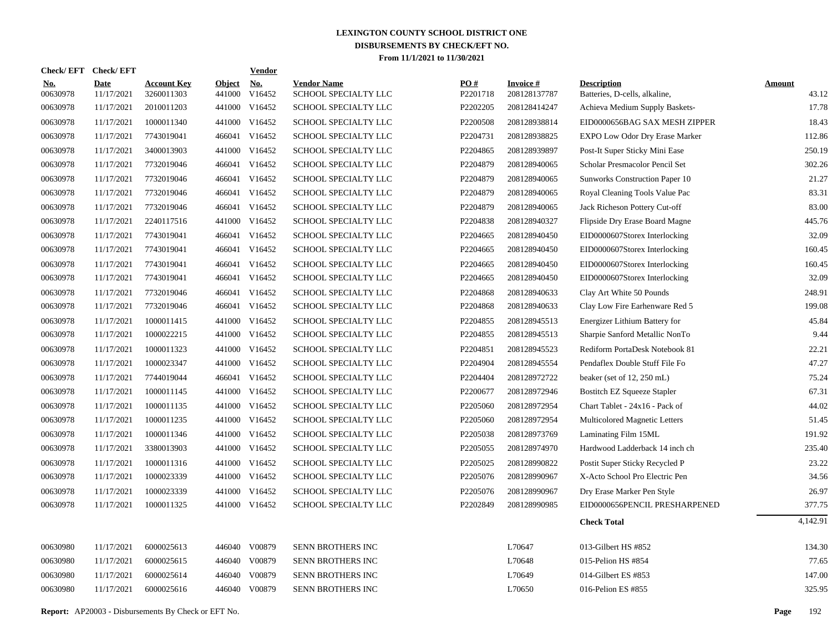|                        | Check/EFT Check/EFT       |                                  |                         | <b>Vendor</b>        |                                            |                 |                                 |                                                     |                        |
|------------------------|---------------------------|----------------------------------|-------------------------|----------------------|--------------------------------------------|-----------------|---------------------------------|-----------------------------------------------------|------------------------|
| <u>No.</u><br>00630978 | <b>Date</b><br>11/17/2021 | <b>Account Key</b><br>3260011303 | <b>Object</b><br>441000 | <u>No.</u><br>V16452 | <b>Vendor Name</b><br>SCHOOL SPECIALTY LLC | PO#<br>P2201718 | <b>Invoice#</b><br>208128137787 | <b>Description</b><br>Batteries, D-cells, alkaline, | <b>Amount</b><br>43.12 |
| 00630978               | 11/17/2021                | 2010011203                       |                         | 441000 V16452        | SCHOOL SPECIALTY LLC                       | P2202205        | 208128414247                    | Achieva Medium Supply Baskets-                      | 17.78                  |
| 00630978               | 11/17/2021                | 1000011340                       | 441000                  | V16452               | SCHOOL SPECIALTY LLC                       | P2200508        | 208128938814                    | EID0000656BAG SAX MESH ZIPPER                       | 18.43                  |
| 00630978               | 11/17/2021                | 7743019041                       |                         | 466041 V16452        | SCHOOL SPECIALTY LLC                       | P2204731        | 208128938825                    | <b>EXPO Low Odor Dry Erase Marker</b>               | 112.86                 |
| 00630978               | 11/17/2021                | 3400013903                       | 441000                  | V16452               | SCHOOL SPECIALTY LLC                       | P2204865        | 208128939897                    | Post-It Super Sticky Mini Ease                      | 250.19                 |
| 00630978               | 11/17/2021                | 7732019046                       |                         | 466041 V16452        | SCHOOL SPECIALTY LLC                       | P2204879        | 208128940065                    | Scholar Presmacolor Pencil Set                      | 302.26                 |
| 00630978               | 11/17/2021                | 7732019046                       |                         | 466041 V16452        | SCHOOL SPECIALTY LLC                       | P2204879        | 208128940065                    | Sunworks Construction Paper 10                      | 21.27                  |
| 00630978               | 11/17/2021                | 7732019046                       |                         | 466041 V16452        | SCHOOL SPECIALTY LLC                       | P2204879        | 208128940065                    | Royal Cleaning Tools Value Pac                      | 83.31                  |
| 00630978               | 11/17/2021                | 7732019046                       |                         | 466041 V16452        | SCHOOL SPECIALTY LLC                       | P2204879        | 208128940065                    | Jack Richeson Pottery Cut-off                       | 83.00                  |
| 00630978               | 11/17/2021                | 2240117516                       |                         | 441000 V16452        | SCHOOL SPECIALTY LLC                       | P2204838        | 208128940327                    | Flipside Dry Erase Board Magne                      | 445.76                 |
| 00630978               | 11/17/2021                | 7743019041                       |                         | 466041 V16452        | <b>SCHOOL SPECIALTY LLC</b>                | P2204665        | 208128940450                    | EID0000607Storex Interlocking                       | 32.09                  |
| 00630978               | 11/17/2021                | 7743019041                       |                         | 466041 V16452        | SCHOOL SPECIALTY LLC                       | P2204665        | 208128940450                    | EID0000607Storex Interlocking                       | 160.45                 |
| 00630978               | 11/17/2021                | 7743019041                       |                         | 466041 V16452        | <b>SCHOOL SPECIALTY LLC</b>                | P2204665        | 208128940450                    | EID0000607Storex Interlocking                       | 160.45                 |
| 00630978               | 11/17/2021                | 7743019041                       |                         | 466041 V16452        | SCHOOL SPECIALTY LLC                       | P2204665        | 208128940450                    | EID0000607Storex Interlocking                       | 32.09                  |
| 00630978               | 11/17/2021                | 7732019046                       |                         | 466041 V16452        | <b>SCHOOL SPECIALTY LLC</b>                | P2204868        | 208128940633                    | Clay Art White 50 Pounds                            | 248.91                 |
| 00630978               | 11/17/2021                | 7732019046                       |                         | 466041 V16452        | SCHOOL SPECIALTY LLC                       | P2204868        | 208128940633                    | Clay Low Fire Earhenware Red 5                      | 199.08                 |
| 00630978               | 11/17/2021                | 1000011415                       |                         | 441000 V16452        | SCHOOL SPECIALTY LLC                       | P2204855        | 208128945513                    | Energizer Lithium Battery for                       | 45.84                  |
| 00630978               | 11/17/2021                | 1000022215                       |                         | 441000 V16452        | SCHOOL SPECIALTY LLC                       | P2204855        | 208128945513                    | Sharpie Sanford Metallic NonTo                      | 9.44                   |
| 00630978               | 11/17/2021                | 1000011323                       |                         | 441000 V16452        | SCHOOL SPECIALTY LLC                       | P2204851        | 208128945523                    | Rediform PortaDesk Notebook 81                      | 22.21                  |
| 00630978               | 11/17/2021                | 1000023347                       |                         | 441000 V16452        | SCHOOL SPECIALTY LLC                       | P2204904        | 208128945554                    | Pendaflex Double Stuff File Fo                      | 47.27                  |
| 00630978               | 11/17/2021                | 7744019044                       |                         | 466041 V16452        | SCHOOL SPECIALTY LLC                       | P2204404        | 208128972722                    | beaker (set of 12, 250 mL)                          | 75.24                  |
| 00630978               | 11/17/2021                | 1000011145                       |                         | 441000 V16452        | SCHOOL SPECIALTY LLC                       | P2200677        | 208128972946                    | <b>Bostitch EZ Squeeze Stapler</b>                  | 67.31                  |
| 00630978               | 11/17/2021                | 1000011135                       |                         | 441000 V16452        | SCHOOL SPECIALTY LLC                       | P2205060        | 208128972954                    | Chart Tablet - 24x16 - Pack of                      | 44.02                  |
| 00630978               | 11/17/2021                | 1000011235                       |                         | 441000 V16452        | SCHOOL SPECIALTY LLC                       | P2205060        | 208128972954                    | Multicolored Magnetic Letters                       | 51.45                  |
| 00630978               | 11/17/2021                | 1000011346                       |                         | 441000 V16452        | SCHOOL SPECIALTY LLC                       | P2205038        | 208128973769                    | Laminating Film 15ML                                | 191.92                 |
| 00630978               | 11/17/2021                | 3380013903                       |                         | 441000 V16452        | <b>SCHOOL SPECIALTY LLC</b>                | P2205055        | 208128974970                    | Hardwood Ladderback 14 inch ch                      | 235.40                 |
| 00630978               | 11/17/2021                | 1000011316                       |                         | 441000 V16452        | <b>SCHOOL SPECIALTY LLC</b>                | P2205025        | 208128990822                    | Postit Super Sticky Recycled P                      | 23.22                  |
| 00630978               | 11/17/2021                | 1000023339                       |                         | 441000 V16452        | SCHOOL SPECIALTY LLC                       | P2205076        | 208128990967                    | X-Acto School Pro Electric Pen                      | 34.56                  |
| 00630978               | 11/17/2021                | 1000023339                       |                         | 441000 V16452        | SCHOOL SPECIALTY LLC                       | P2205076        | 208128990967                    | Dry Erase Marker Pen Style                          | 26.97                  |
| 00630978               | 11/17/2021                | 1000011325                       |                         | 441000 V16452        | SCHOOL SPECIALTY LLC                       | P2202849        | 208128990985                    | EID0000656PENCIL PRESHARPENED                       | 377.75                 |
|                        |                           |                                  |                         |                      |                                            |                 |                                 | <b>Check Total</b>                                  | 4,142.91               |
| 00630980               | 11/17/2021                | 6000025613                       | 446040                  | V00879               | SENN BROTHERS INC                          |                 | L70647                          | 013-Gilbert HS #852                                 | 134.30                 |
| 00630980               | 11/17/2021                | 6000025615                       | 446040                  | V00879               | SENN BROTHERS INC                          |                 | L70648                          | 015-Pelion HS #854                                  | 77.65                  |
| 00630980               | 11/17/2021                | 6000025614                       | 446040                  | V00879               | <b>SENN BROTHERS INC</b>                   |                 | L70649                          | 014-Gilbert ES #853                                 | 147.00                 |
| 00630980               | 11/17/2021                | 6000025616                       |                         | 446040 V00879        | SENN BROTHERS INC                          |                 | L70650                          | 016-Pelion ES #855                                  | 325.95                 |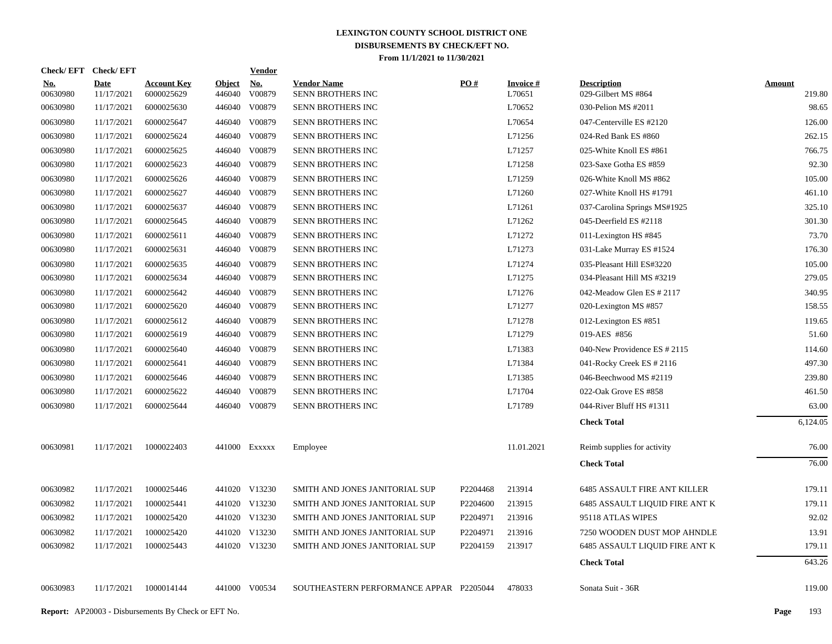| Check/EFT Check/EFT    |                           |                                  |                         | <b>Vendor</b>        |                                         |                   |                           |                                           |                         |
|------------------------|---------------------------|----------------------------------|-------------------------|----------------------|-----------------------------------------|-------------------|---------------------------|-------------------------------------------|-------------------------|
| <u>No.</u><br>00630980 | <b>Date</b><br>11/17/2021 | <b>Account Key</b><br>6000025629 | <b>Object</b><br>446040 | <u>No.</u><br>V00879 | <b>Vendor Name</b><br>SENN BROTHERS INC | $\underline{PO#}$ | <b>Invoice#</b><br>L70651 | <b>Description</b><br>029-Gilbert MS #864 | <b>Amount</b><br>219.80 |
| 00630980               | 11/17/2021                | 6000025630                       | 446040                  | V00879               | SENN BROTHERS INC                       |                   | L70652                    | 030-Pelion MS #2011                       | 98.65                   |
| 00630980               | 11/17/2021                | 6000025647                       | 446040                  | V00879               | SENN BROTHERS INC                       |                   | L70654                    | 047-Centerville ES #2120                  | 126.00                  |
| 00630980               | 11/17/2021                | 6000025624                       | 446040                  | V00879               | SENN BROTHERS INC                       |                   | L71256                    | 024-Red Bank ES #860                      | 262.15                  |
| 00630980               | 11/17/2021                | 6000025625                       | 446040                  | V00879               | SENN BROTHERS INC                       |                   | L71257                    | 025-White Knoll ES #861                   | 766.75                  |
| 00630980               | 11/17/2021                | 6000025623                       | 446040                  | V00879               | SENN BROTHERS INC                       |                   | L71258                    | 023-Saxe Gotha ES #859                    | 92.30                   |
| 00630980               | 11/17/2021                | 6000025626                       | 446040                  | V00879               | SENN BROTHERS INC                       |                   | L71259                    | 026-White Knoll MS #862                   | 105.00                  |
| 00630980               | 11/17/2021                | 6000025627                       | 446040                  | V00879               | SENN BROTHERS INC                       |                   | L71260                    | 027-White Knoll HS #1791                  | 461.10                  |
| 00630980               | 11/17/2021                | 6000025637                       | 446040                  | V00879               | SENN BROTHERS INC                       |                   | L71261                    | 037-Carolina Springs MS#1925              | 325.10                  |
| 00630980               | 11/17/2021                | 6000025645                       | 446040                  | V00879               | SENN BROTHERS INC                       |                   | L71262                    | 045-Deerfield ES #2118                    | 301.30                  |
| 00630980               | 11/17/2021                | 6000025611                       | 446040                  | V00879               | SENN BROTHERS INC                       |                   | L71272                    | 011-Lexington HS #845                     | 73.70                   |
| 00630980               | 11/17/2021                | 6000025631                       |                         | 446040 V00879        | SENN BROTHERS INC                       |                   | L71273                    | 031-Lake Murray ES #1524                  | 176.30                  |
| 00630980               | 11/17/2021                | 6000025635                       |                         | 446040 V00879        | SENN BROTHERS INC                       |                   | L71274                    | 035-Pleasant Hill ES#3220                 | 105.00                  |
| 00630980               | 11/17/2021                | 6000025634                       |                         | 446040 V00879        | SENN BROTHERS INC                       |                   | L71275                    | 034-Pleasant Hill MS #3219                | 279.05                  |
| 00630980               | 11/17/2021                | 6000025642                       |                         | 446040 V00879        | SENN BROTHERS INC                       |                   | L71276                    | 042-Meadow Glen ES # 2117                 | 340.95                  |
| 00630980               | 11/17/2021                | 6000025620                       | 446040                  | V00879               | SENN BROTHERS INC                       |                   | L71277                    | 020-Lexington MS #857                     | 158.55                  |
| 00630980               | 11/17/2021                | 6000025612                       |                         | 446040 V00879        | SENN BROTHERS INC                       |                   | L71278                    | 012-Lexington ES #851                     | 119.65                  |
| 00630980               | 11/17/2021                | 6000025619                       |                         | 446040 V00879        | SENN BROTHERS INC                       |                   | L71279                    | 019-AES #856                              | 51.60                   |
| 00630980               | 11/17/2021                | 6000025640                       |                         | 446040 V00879        | SENN BROTHERS INC                       |                   | L71383                    | 040-New Providence ES # 2115              | 114.60                  |
| 00630980               | 11/17/2021                | 6000025641                       |                         | 446040 V00879        | SENN BROTHERS INC                       |                   | L71384                    | 041-Rocky Creek ES # 2116                 | 497.30                  |
| 00630980               | 11/17/2021                | 6000025646                       | 446040                  | V00879               | SENN BROTHERS INC                       |                   | L71385                    | 046-Beechwood MS #2119                    | 239.80                  |
| 00630980               | 11/17/2021                | 6000025622                       |                         | 446040 V00879        | SENN BROTHERS INC                       |                   | L71704                    | 022-Oak Grove ES #858                     | 461.50                  |
| 00630980               | 11/17/2021                | 6000025644                       |                         | 446040 V00879        | SENN BROTHERS INC                       |                   | L71789                    | 044-River Bluff HS #1311                  | 63.00                   |
|                        |                           |                                  |                         |                      |                                         |                   |                           | <b>Check Total</b>                        | 6,124.05                |
| 00630981               | 11/17/2021                | 1000022403                       |                         | 441000 EXXXXX        | Employee                                |                   | 11.01.2021                | Reimb supplies for activity               | 76.00                   |
|                        |                           |                                  |                         |                      |                                         |                   |                           | <b>Check Total</b>                        | 76.00                   |
| 00630982               | 11/17/2021                | 1000025446                       |                         | 441020 V13230        | SMITH AND JONES JANITORIAL SUP          | P2204468          | 213914                    | <b>6485 ASSAULT FIRE ANT KILLER</b>       | 179.11                  |
| 00630982               | 11/17/2021                | 1000025441                       |                         | 441020 V13230        | SMITH AND JONES JANITORIAL SUP          | P2204600          | 213915                    | <b>6485 ASSAULT LIQUID FIRE ANT K</b>     | 179.11                  |
| 00630982               | 11/17/2021                | 1000025420                       |                         | 441020 V13230        | SMITH AND JONES JANITORIAL SUP          | P2204971          | 213916                    | 95118 ATLAS WIPES                         | 92.02                   |
| 00630982               | 11/17/2021                | 1000025420                       |                         | 441020 V13230        | SMITH AND JONES JANITORIAL SUP          | P2204971          | 213916                    | 7250 WOODEN DUST MOP AHNDLE               | 13.91                   |
| 00630982               | 11/17/2021                | 1000025443                       |                         | 441020 V13230        | SMITH AND JONES JANITORIAL SUP          | P2204159          | 213917                    | 6485 ASSAULT LIQUID FIRE ANT K            | 179.11                  |
|                        |                           |                                  |                         |                      |                                         |                   |                           | <b>Check Total</b>                        | 643.26                  |
| 00630983               | 11/17/2021                | 1000014144                       |                         | 441000 V00534        | SOUTHEASTERN PERFORMANCE APPAR P2205044 |                   | 478033                    | Sonata Suit - 36R                         | 119.00                  |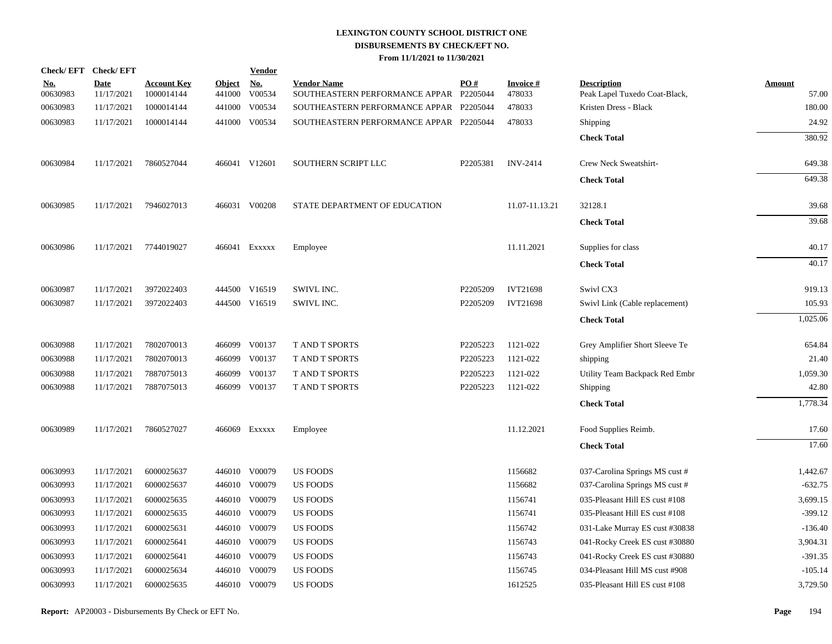|                        | Check/EFT Check/EFT       |                                  |                      | <b>Vendor</b> |                                                               |          |                           |                                                     |                        |
|------------------------|---------------------------|----------------------------------|----------------------|---------------|---------------------------------------------------------------|----------|---------------------------|-----------------------------------------------------|------------------------|
| <u>No.</u><br>00630983 | <b>Date</b><br>11/17/2021 | <b>Account Key</b><br>1000014144 | Object No.<br>441000 | V00534        | <b>Vendor Name</b><br>SOUTHEASTERN PERFORMANCE APPAR P2205044 | PO#      | <b>Invoice#</b><br>478033 | <b>Description</b><br>Peak Lapel Tuxedo Coat-Black, | <b>Amount</b><br>57.00 |
| 00630983               | 11/17/2021                | 1000014144                       | 441000               | V00534        | SOUTHEASTERN PERFORMANCE APPAR P2205044                       |          | 478033                    | Kristen Dress - Black                               | 180.00                 |
| 00630983               | 11/17/2021                | 1000014144                       |                      | 441000 V00534 | SOUTHEASTERN PERFORMANCE APPAR P2205044                       |          | 478033                    | Shipping                                            | 24.92                  |
|                        |                           |                                  |                      |               |                                                               |          |                           | <b>Check Total</b>                                  | 380.92                 |
| 00630984               | 11/17/2021                | 7860527044                       |                      | 466041 V12601 | SOUTHERN SCRIPT LLC                                           | P2205381 | <b>INV-2414</b>           | Crew Neck Sweatshirt-                               | 649.38                 |
|                        |                           |                                  |                      |               |                                                               |          |                           | <b>Check Total</b>                                  | 649.38                 |
| 00630985               | 11/17/2021                | 7946027013                       |                      | 466031 V00208 | STATE DEPARTMENT OF EDUCATION                                 |          | 11.07-11.13.21            | 32128.1                                             | 39.68                  |
|                        |                           |                                  |                      |               |                                                               |          |                           | <b>Check Total</b>                                  | 39.68                  |
| 00630986               | 11/17/2021                | 7744019027                       |                      | 466041 EXXXXX | Employee                                                      |          | 11.11.2021                | Supplies for class                                  | 40.17                  |
|                        |                           |                                  |                      |               |                                                               |          |                           | <b>Check Total</b>                                  | 40.17                  |
| 00630987               | 11/17/2021                | 3972022403                       |                      | 444500 V16519 | SWIVL INC.                                                    | P2205209 | <b>IVT21698</b>           | Swivl CX3                                           | 919.13                 |
| 00630987               | 11/17/2021                | 3972022403                       |                      | 444500 V16519 | SWIVL INC.                                                    | P2205209 | <b>IVT21698</b>           | Swivl Link (Cable replacement)                      | 105.93                 |
|                        |                           |                                  |                      |               |                                                               |          |                           | <b>Check Total</b>                                  | 1,025.06               |
| 00630988               | 11/17/2021                | 7802070013                       |                      | 466099 V00137 | <b>T AND T SPORTS</b>                                         | P2205223 | 1121-022                  | Grey Amplifier Short Sleeve Te                      | 654.84                 |
| 00630988               | 11/17/2021                | 7802070013                       |                      | 466099 V00137 | T AND T SPORTS                                                | P2205223 | 1121-022                  | shipping                                            | 21.40                  |
| 00630988               | 11/17/2021                | 7887075013                       | 466099               | V00137        | T AND T SPORTS                                                | P2205223 | 1121-022                  | Utility Team Backpack Red Embr                      | 1,059.30               |
| 00630988               | 11/17/2021                | 7887075013                       |                      | 466099 V00137 | T AND T SPORTS                                                | P2205223 | 1121-022                  | Shipping                                            | 42.80                  |
|                        |                           |                                  |                      |               |                                                               |          |                           | <b>Check Total</b>                                  | 1,778.34               |
| 00630989               | 11/17/2021                | 7860527027                       |                      | 466069 Exxxxx | Employee                                                      |          | 11.12.2021                | Food Supplies Reimb.                                | 17.60                  |
|                        |                           |                                  |                      |               |                                                               |          |                           | <b>Check Total</b>                                  | 17.60                  |
| 00630993               | 11/17/2021                | 6000025637                       |                      | 446010 V00079 | <b>US FOODS</b>                                               |          | 1156682                   | 037-Carolina Springs MS cust #                      | 1,442.67               |
| 00630993               | 11/17/2021                | 6000025637                       |                      | 446010 V00079 | <b>US FOODS</b>                                               |          | 1156682                   | 037-Carolina Springs MS cust #                      | $-632.75$              |
| 00630993               | 11/17/2021                | 6000025635                       |                      | 446010 V00079 | <b>US FOODS</b>                                               |          | 1156741                   | 035-Pleasant Hill ES cust #108                      | 3,699.15               |
| 00630993               | 11/17/2021                | 6000025635                       |                      | 446010 V00079 | US FOODS                                                      |          | 1156741                   | 035-Pleasant Hill ES cust #108                      | $-399.12$              |
| 00630993               | 11/17/2021                | 6000025631                       |                      | 446010 V00079 | US FOODS                                                      |          | 1156742                   | 031-Lake Murray ES cust #30838                      | $-136.40$              |
| 00630993               | 11/17/2021                | 6000025641                       |                      | 446010 V00079 | <b>US FOODS</b>                                               |          | 1156743                   | 041-Rocky Creek ES cust #30880                      | 3,904.31               |
| 00630993               | 11/17/2021                | 6000025641                       |                      | 446010 V00079 | <b>US FOODS</b>                                               |          | 1156743                   | 041-Rocky Creek ES cust #30880                      | $-391.35$              |
| 00630993               | 11/17/2021                | 6000025634                       |                      | 446010 V00079 | <b>US FOODS</b>                                               |          | 1156745                   | 034-Pleasant Hill MS cust #908                      | $-105.14$              |
| 00630993               | 11/17/2021                | 6000025635                       |                      | 446010 V00079 | <b>US FOODS</b>                                               |          | 1612525                   | 035-Pleasant Hill ES cust #108                      | 3,729.50               |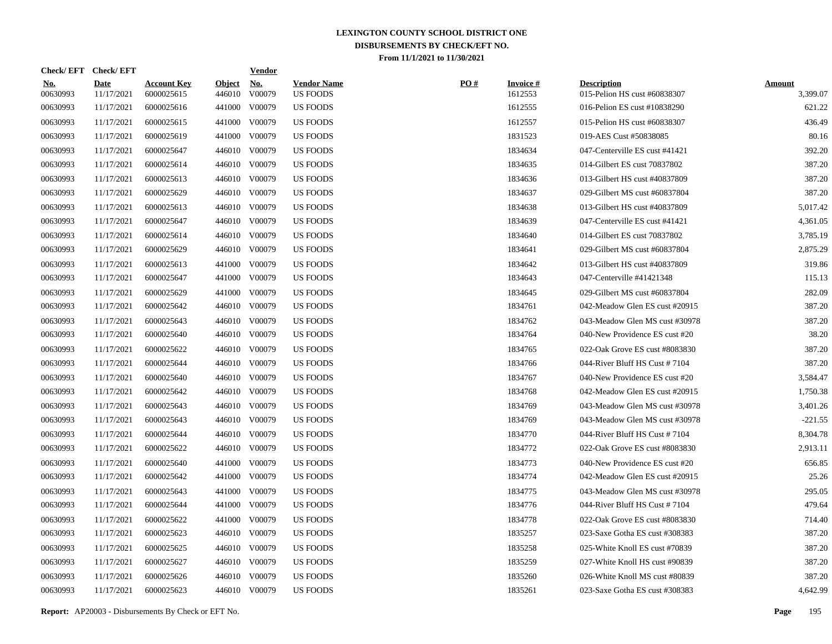|                        | Check/EFT Check/EFT       |                                  |                         | <u>Vendor</u>        |                                       |     |                            |                                                    |                           |
|------------------------|---------------------------|----------------------------------|-------------------------|----------------------|---------------------------------------|-----|----------------------------|----------------------------------------------------|---------------------------|
| <u>No.</u><br>00630993 | <b>Date</b><br>11/17/2021 | <b>Account Key</b><br>6000025615 | <b>Object</b><br>446010 | <u>No.</u><br>V00079 | <b>Vendor Name</b><br><b>US FOODS</b> | PO# | <b>Invoice#</b><br>1612553 | <b>Description</b><br>015-Pelion HS cust #60838307 | <b>Amount</b><br>3,399.07 |
| 00630993               | 11/17/2021                | 6000025616                       | 441000                  | V00079               | <b>US FOODS</b>                       |     | 1612555                    | 016-Pelion ES cust #10838290                       | 621.22                    |
| 00630993               | 11/17/2021                | 6000025615                       | 441000                  | V00079               | US FOODS                              |     | 1612557                    | 015-Pelion HS cust #60838307                       | 436.49                    |
| 00630993               | 11/17/2021                | 6000025619                       | 441000                  | V00079               | <b>US FOODS</b>                       |     | 1831523                    | 019-AES Cust #50838085                             | 80.16                     |
| 00630993               | 11/17/2021                | 6000025647                       | 446010                  | V00079               | <b>US FOODS</b>                       |     | 1834634                    | 047-Centerville ES cust #41421                     | 392.20                    |
| 00630993               | 11/17/2021                | 6000025614                       | 446010                  | V00079               | <b>US FOODS</b>                       |     | 1834635                    | 014-Gilbert ES cust 70837802                       | 387.20                    |
| 00630993               | 11/17/2021                | 6000025613                       | 446010                  | V00079               | <b>US FOODS</b>                       |     | 1834636                    | 013-Gilbert HS cust #40837809                      | 387.20                    |
| 00630993               | 11/17/2021                | 6000025629                       | 446010                  | V00079               | US FOODS                              |     | 1834637                    | 029-Gilbert MS cust #60837804                      | 387.20                    |
| 00630993               | 11/17/2021                | 6000025613                       | 446010                  | V00079               | US FOODS                              |     | 1834638                    | 013-Gilbert HS cust #40837809                      | 5,017.42                  |
| 00630993               | 11/17/2021                | 6000025647                       | 446010                  | V00079               | US FOODS                              |     | 1834639                    | 047-Centerville ES cust #41421                     | 4,361.05                  |
| 00630993               | 11/17/2021                | 6000025614                       | 446010                  | V00079               | US FOODS                              |     | 1834640                    | 014-Gilbert ES cust 70837802                       | 3,785.19                  |
| 00630993               | 11/17/2021                | 6000025629                       | 446010                  | V00079               | <b>US FOODS</b>                       |     | 1834641                    | 029-Gilbert MS cust #60837804                      | 2,875.29                  |
| 00630993               | 11/17/2021                | 6000025613                       | 441000                  | V00079               | <b>US FOODS</b>                       |     | 1834642                    | 013-Gilbert HS cust #40837809                      | 319.86                    |
| 00630993               | 11/17/2021                | 6000025647                       | 441000                  | V00079               | US FOODS                              |     | 1834643                    | 047-Centerville #41421348                          | 115.13                    |
| 00630993               | 11/17/2021                | 6000025629                       | 441000                  | V00079               | US FOODS                              |     | 1834645                    | 029-Gilbert MS cust #60837804                      | 282.09                    |
| 00630993               | 11/17/2021                | 6000025642                       |                         | 446010 V00079        | US FOODS                              |     | 1834761                    | 042-Meadow Glen ES cust #20915                     | 387.20                    |
| 00630993               | 11/17/2021                | 6000025643                       | 446010                  | V00079               | US FOODS                              |     | 1834762                    | 043-Meadow Glen MS cust #30978                     | 387.20                    |
| 00630993               | 11/17/2021                | 6000025640                       |                         | 446010 V00079        | <b>US FOODS</b>                       |     | 1834764                    | 040-New Providence ES cust #20                     | 38.20                     |
| 00630993               | 11/17/2021                | 6000025622                       | 446010                  | V00079               | <b>US FOODS</b>                       |     | 1834765                    | 022-Oak Grove ES cust #8083830                     | 387.20                    |
| 00630993               | 11/17/2021                | 6000025644                       | 446010                  | V00079               | <b>US FOODS</b>                       |     | 1834766                    | 044-River Bluff HS Cust #7104                      | 387.20                    |
| 00630993               | 11/17/2021                | 6000025640                       | 446010                  | V00079               | <b>US FOODS</b>                       |     | 1834767                    | 040-New Providence ES cust #20                     | 3,584.47                  |
| 00630993               | 11/17/2021                | 6000025642                       | 446010                  | V00079               | US FOODS                              |     | 1834768                    | 042-Meadow Glen ES cust #20915                     | 1,750.38                  |
| 00630993               | 11/17/2021                | 6000025643                       | 446010                  | V00079               | US FOODS                              |     | 1834769                    | 043-Meadow Glen MS cust #30978                     | 3,401.26                  |
| 00630993               | 11/17/2021                | 6000025643                       | 446010                  | V00079               | US FOODS                              |     | 1834769                    | 043-Meadow Glen MS cust #30978                     | $-221.55$                 |
| 00630993               | 11/17/2021                | 6000025644                       | 446010                  | V00079               | <b>US FOODS</b>                       |     | 1834770                    | 044-River Bluff HS Cust $\#$ 7104                  | 8,304.78                  |
| 00630993               | 11/17/2021                | 6000025622                       | 446010                  | V00079               | <b>US FOODS</b>                       |     | 1834772                    | 022-Oak Grove ES cust #8083830                     | 2,913.11                  |
| 00630993               | 11/17/2021                | 6000025640                       | 441000                  | V00079               | US FOODS                              |     | 1834773                    | 040-New Providence ES cust #20                     | 656.85                    |
| 00630993               | 11/17/2021                | 6000025642                       | 441000                  | V00079               | US FOODS                              |     | 1834774                    | 042-Meadow Glen ES cust #20915                     | 25.26                     |
| 00630993               | 11/17/2021                | 6000025643                       | 441000                  | V00079               | US FOODS                              |     | 1834775                    | 043-Meadow Glen MS cust #30978                     | 295.05                    |
| 00630993               | 11/17/2021                | 6000025644                       | 441000                  | V00079               | US FOODS                              |     | 1834776                    | 044-River Bluff HS Cust #7104                      | 479.64                    |
| 00630993               | 11/17/2021                | 6000025622                       | 441000                  | V00079               | US FOODS                              |     | 1834778                    | 022-Oak Grove ES cust #8083830                     | 714.40                    |
| 00630993               | 11/17/2021                | 6000025623                       |                         | 446010 V00079        | <b>US FOODS</b>                       |     | 1835257                    | 023-Saxe Gotha ES cust #308383                     | 387.20                    |
| 00630993               | 11/17/2021                | 6000025625                       |                         | 446010 V00079        | <b>US FOODS</b>                       |     | 1835258                    | 025-White Knoll ES cust #70839                     | 387.20                    |
| 00630993               | 11/17/2021                | 6000025627                       |                         | 446010 V00079        | US FOODS                              |     | 1835259                    | 027-White Knoll HS cust #90839                     | 387.20                    |
| 00630993               | 11/17/2021                | 6000025626                       | 446010                  | V00079               | <b>US FOODS</b>                       |     | 1835260                    | 026-White Knoll MS cust #80839                     | 387.20                    |
| 00630993               | 11/17/2021                | 6000025623                       |                         | 446010 V00079        | <b>US FOODS</b>                       |     | 1835261                    | 023-Saxe Gotha ES cust #308383                     | 4,642.99                  |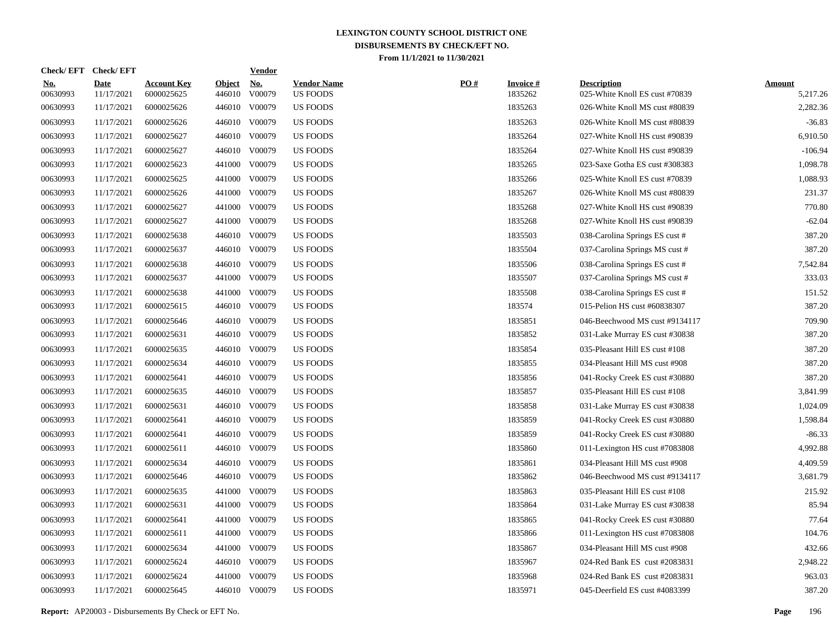|                        | Check/EFT Check/EFT       |                                  |                         | <b>Vendor</b>        |                                       |     |                            |                                                      |                           |
|------------------------|---------------------------|----------------------------------|-------------------------|----------------------|---------------------------------------|-----|----------------------------|------------------------------------------------------|---------------------------|
| <u>No.</u><br>00630993 | <b>Date</b><br>11/17/2021 | <b>Account Key</b><br>6000025625 | <b>Object</b><br>446010 | <u>No.</u><br>V00079 | <b>Vendor Name</b><br><b>US FOODS</b> | PO# | <b>Invoice#</b><br>1835262 | <b>Description</b><br>025-White Knoll ES cust #70839 | <b>Amount</b><br>5,217.26 |
| 00630993               | 11/17/2021                | 6000025626                       | 446010                  | V00079               | <b>US FOODS</b>                       |     | 1835263                    | 026-White Knoll MS cust #80839                       | 2,282.36                  |
| 00630993               | 11/17/2021                | 6000025626                       | 446010                  | V00079               | <b>US FOODS</b>                       |     | 1835263                    | 026-White Knoll MS cust #80839                       | $-36.83$                  |
| 00630993               | 11/17/2021                | 6000025627                       | 446010                  | V00079               | <b>US FOODS</b>                       |     | 1835264                    | 027-White Knoll HS cust #90839                       | 6,910.50                  |
| 00630993               | 11/17/2021                | 6000025627                       | 446010                  | V00079               | <b>US FOODS</b>                       |     | 1835264                    | 027-White Knoll HS cust #90839                       | $-106.94$                 |
| 00630993               | 11/17/2021                | 6000025623                       | 441000                  | V00079               | <b>US FOODS</b>                       |     | 1835265                    | 023-Saxe Gotha ES cust #308383                       | 1,098.78                  |
| 00630993               | 11/17/2021                | 6000025625                       | 441000                  | V00079               | <b>US FOODS</b>                       |     | 1835266                    | 025-White Knoll ES cust #70839                       | 1,088.93                  |
| 00630993               | 11/17/2021                | 6000025626                       | 441000                  | V00079               | <b>US FOODS</b>                       |     | 1835267                    | 026-White Knoll MS cust #80839                       | 231.37                    |
| 00630993               | 11/17/2021                | 6000025627                       | 441000                  | V00079               | <b>US FOODS</b>                       |     | 1835268                    | 027-White Knoll HS cust #90839                       | 770.80                    |
| 00630993               | 11/17/2021                | 6000025627                       | 441000                  | V00079               | <b>US FOODS</b>                       |     | 1835268                    | 027-White Knoll HS cust #90839                       | $-62.04$                  |
| 00630993               | 11/17/2021                | 6000025638                       |                         | 446010 V00079        | <b>US FOODS</b>                       |     | 1835503                    | 038-Carolina Springs ES cust #                       | 387.20                    |
| 00630993               | 11/17/2021                | 6000025637                       | 446010                  | V00079               | US FOODS                              |     | 1835504                    | 037-Carolina Springs MS cust #                       | 387.20                    |
| 00630993               | 11/17/2021                | 6000025638                       |                         | 446010 V00079        | US FOODS                              |     | 1835506                    | 038-Carolina Springs ES cust #                       | 7,542.84                  |
| 00630993               | 11/17/2021                | 6000025637                       | 441000                  | V00079               | <b>US FOODS</b>                       |     | 1835507                    | 037-Carolina Springs MS cust #                       | 333.03                    |
| 00630993               | 11/17/2021                | 6000025638                       | 441000                  | V00079               | <b>US FOODS</b>                       |     | 1835508                    | 038-Carolina Springs ES cust #                       | 151.52                    |
| 00630993               | 11/17/2021                | 6000025615                       | 446010                  | V00079               | <b>US FOODS</b>                       |     | 183574                     | 015-Pelion HS cust #60838307                         | 387.20                    |
| 00630993               | 11/17/2021                | 6000025646                       |                         | 446010 V00079        | <b>US FOODS</b>                       |     | 1835851                    | 046-Beechwood MS cust #9134117                       | 709.90                    |
| 00630993               | 11/17/2021                | 6000025631                       |                         | 446010 V00079        | <b>US FOODS</b>                       |     | 1835852                    | 031-Lake Murray ES cust #30838                       | 387.20                    |
| 00630993               | 11/17/2021                | 6000025635                       |                         | 446010 V00079        | <b>US FOODS</b>                       |     | 1835854                    | 035-Pleasant Hill ES cust #108                       | 387.20                    |
| 00630993               | 11/17/2021                | 6000025634                       |                         | 446010 V00079        | <b>US FOODS</b>                       |     | 1835855                    | 034-Pleasant Hill MS cust #908                       | 387.20                    |
| 00630993               | 11/17/2021                | 6000025641                       |                         | 446010 V00079        | <b>US FOODS</b>                       |     | 1835856                    | 041-Rocky Creek ES cust #30880                       | 387.20                    |
| 00630993               | 11/17/2021                | 6000025635                       |                         | 446010 V00079        | <b>US FOODS</b>                       |     | 1835857                    | 035-Pleasant Hill ES cust #108                       | 3,841.99                  |
| 00630993               | 11/17/2021                | 6000025631                       |                         | 446010 V00079        | <b>US FOODS</b>                       |     | 1835858                    | 031-Lake Murray ES cust #30838                       | 1,024.09                  |
| 00630993               | 11/17/2021                | 6000025641                       |                         | 446010 V00079        | <b>US FOODS</b>                       |     | 1835859                    | 041-Rocky Creek ES cust #30880                       | 1,598.84                  |
| 00630993               | 11/17/2021                | 6000025641                       | 446010                  | V00079               | <b>US FOODS</b>                       |     | 1835859                    | 041-Rocky Creek ES cust #30880                       | $-86.33$                  |
| 00630993               | 11/17/2021                | 6000025611                       |                         | 446010 V00079        | <b>US FOODS</b>                       |     | 1835860                    | 011-Lexington HS cust #7083808                       | 4,992.88                  |
| 00630993               | 11/17/2021                | 6000025634                       | 446010                  | V00079               | <b>US FOODS</b>                       |     | 1835861                    | 034-Pleasant Hill MS cust #908                       | 4,409.59                  |
| 00630993               | 11/17/2021                | 6000025646                       |                         | 446010 V00079        | US FOODS                              |     | 1835862                    | 046-Beechwood MS cust #9134117                       | 3,681.79                  |
| 00630993               | 11/17/2021                | 6000025635                       | 441000                  | V00079               | US FOODS                              |     | 1835863                    | 035-Pleasant Hill ES cust #108                       | 215.92                    |
| 00630993               | 11/17/2021                | 6000025631                       | 441000                  | V00079               | <b>US FOODS</b>                       |     | 1835864                    | 031-Lake Murray ES cust #30838                       | 85.94                     |
| 00630993               | 11/17/2021                | 6000025641                       | 441000                  | V00079               | <b>US FOODS</b>                       |     | 1835865                    | 041-Rocky Creek ES cust #30880                       | 77.64                     |
| 00630993               | 11/17/2021                | 6000025611                       | 441000                  | V00079               | <b>US FOODS</b>                       |     | 1835866                    | 011-Lexington HS cust #7083808                       | 104.76                    |
| 00630993               | 11/17/2021                | 6000025634                       | 441000                  | V00079               | <b>US FOODS</b>                       |     | 1835867                    | 034-Pleasant Hill MS cust #908                       | 432.66                    |
| 00630993               | 11/17/2021                | 6000025624                       |                         | 446010 V00079        | <b>US FOODS</b>                       |     | 1835967                    | 024-Red Bank ES cust #2083831                        | 2,948.22                  |
| 00630993               | 11/17/2021                | 6000025624                       | 441000                  | V00079               | <b>US FOODS</b>                       |     | 1835968                    | 024-Red Bank ES cust #2083831                        | 963.03                    |
| 00630993               | 11/17/2021                | 6000025645                       |                         | 446010 V00079        | <b>US FOODS</b>                       |     | 1835971                    | 045-Deerfield ES cust #4083399                       | 387.20                    |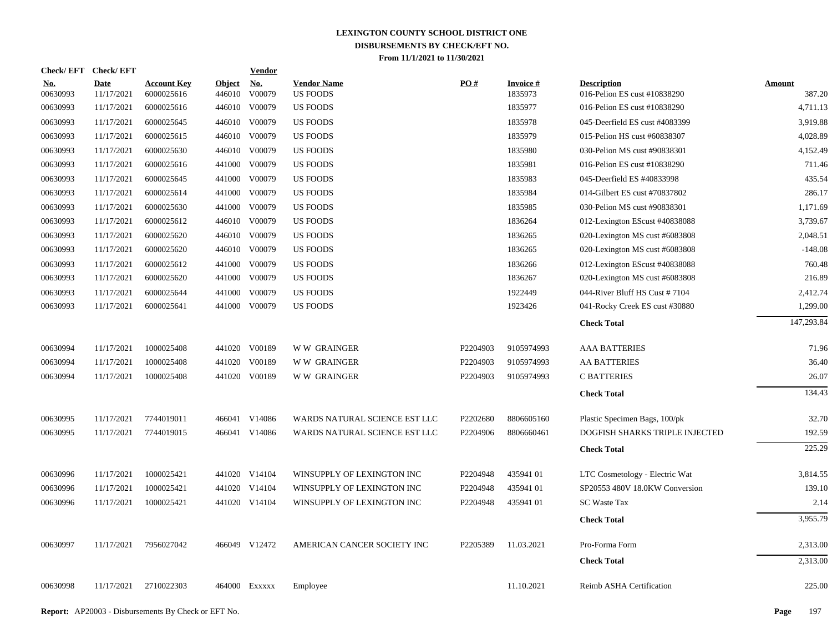|                        | Check/EFT Check/EFT       |                                  |                         | <b>Vendor</b>        |                                       |          |                            |                                                    |                         |
|------------------------|---------------------------|----------------------------------|-------------------------|----------------------|---------------------------------------|----------|----------------------------|----------------------------------------------------|-------------------------|
| <u>No.</u><br>00630993 | <b>Date</b><br>11/17/2021 | <b>Account Key</b><br>6000025616 | <b>Object</b><br>446010 | <b>No.</b><br>V00079 | <b>Vendor Name</b><br><b>US FOODS</b> | PO#      | <b>Invoice#</b><br>1835973 | <b>Description</b><br>016-Pelion ES cust #10838290 | <b>Amount</b><br>387.20 |
| 00630993               | 11/17/2021                | 6000025616                       |                         | 446010 V00079        | <b>US FOODS</b>                       |          | 1835977                    | 016-Pelion ES cust #10838290                       | 4,711.13                |
| 00630993               | 11/17/2021                | 6000025645                       |                         | 446010 V00079        | <b>US FOODS</b>                       |          | 1835978                    | 045-Deerfield ES cust #4083399                     | 3,919.88                |
| 00630993               | 11/17/2021                | 6000025615                       |                         | 446010 V00079        | <b>US FOODS</b>                       |          | 1835979                    | 015-Pelion HS cust #60838307                       | 4,028.89                |
| 00630993               | 11/17/2021                | 6000025630                       |                         | 446010 V00079        | <b>US FOODS</b>                       |          | 1835980                    | 030-Pelion MS cust #90838301                       | 4,152.49                |
| 00630993               | 11/17/2021                | 6000025616                       |                         | 441000 V00079        | <b>US FOODS</b>                       |          | 1835981                    | 016-Pelion ES cust #10838290                       | 711.46                  |
| 00630993               | 11/17/2021                | 6000025645                       |                         | 441000 V00079        | <b>US FOODS</b>                       |          | 1835983                    | 045-Deerfield ES #40833998                         | 435.54                  |
| 00630993               | 11/17/2021                | 6000025614                       |                         | 441000 V00079        | <b>US FOODS</b>                       |          | 1835984                    | 014-Gilbert ES cust #70837802                      | 286.17                  |
| 00630993               | 11/17/2021                | 6000025630                       |                         | 441000 V00079        | <b>US FOODS</b>                       |          | 1835985                    | 030-Pelion MS cust #90838301                       | 1,171.69                |
| 00630993               | 11/17/2021                | 6000025612                       |                         | 446010 V00079        | <b>US FOODS</b>                       |          | 1836264                    | 012-Lexington EScust #40838088                     | 3,739.67                |
| 00630993               | 11/17/2021                | 6000025620                       |                         | 446010 V00079        | <b>US FOODS</b>                       |          | 1836265                    | 020-Lexington MS cust #6083808                     | 2,048.51                |
| 00630993               | 11/17/2021                | 6000025620                       |                         | 446010 V00079        | <b>US FOODS</b>                       |          | 1836265                    | 020-Lexington MS cust #6083808                     | $-148.08$               |
| 00630993               | 11/17/2021                | 6000025612                       |                         | 441000 V00079        | <b>US FOODS</b>                       |          | 1836266                    | 012-Lexington EScust #40838088                     | 760.48                  |
| 00630993               | 11/17/2021                | 6000025620                       |                         | 441000 V00079        | <b>US FOODS</b>                       |          | 1836267                    | 020-Lexington MS cust #6083808                     | 216.89                  |
| 00630993               | 11/17/2021                | 6000025644                       |                         | 441000 V00079        | <b>US FOODS</b>                       |          | 1922449                    | 044-River Bluff HS Cust #7104                      | 2,412.74                |
| 00630993               | 11/17/2021                | 6000025641                       |                         | 441000 V00079        | <b>US FOODS</b>                       |          | 1923426                    | 041-Rocky Creek ES cust #30880                     | 1,299.00                |
|                        |                           |                                  |                         |                      |                                       |          |                            | <b>Check Total</b>                                 | 147,293.84              |
| 00630994               | 11/17/2021                | 1000025408                       |                         | 441020 V00189        | <b>WW GRAINGER</b>                    | P2204903 | 9105974993                 | <b>AAA BATTERIES</b>                               | 71.96                   |
| 00630994               | 11/17/2021                | 1000025408                       |                         | 441020 V00189        | <b>WW GRAINGER</b>                    | P2204903 | 9105974993                 | <b>AA BATTERIES</b>                                | 36.40                   |
| 00630994               | 11/17/2021                | 1000025408                       |                         | 441020 V00189        | <b>WW GRAINGER</b>                    | P2204903 | 9105974993                 | <b>C BATTERIES</b>                                 | 26.07                   |
|                        |                           |                                  |                         |                      |                                       |          |                            | <b>Check Total</b>                                 | 134.43                  |
| 00630995               | 11/17/2021                | 7744019011                       |                         | 466041 V14086        | WARDS NATURAL SCIENCE EST LLC         | P2202680 | 8806605160                 | Plastic Specimen Bags, 100/pk                      | 32.70                   |
| 00630995               | 11/17/2021                | 7744019015                       |                         | 466041 V14086        | WARDS NATURAL SCIENCE EST LLC         | P2204906 | 8806660461                 | DOGFISH SHARKS TRIPLE INJECTED                     | 192.59                  |
|                        |                           |                                  |                         |                      |                                       |          |                            | <b>Check Total</b>                                 | 225.29                  |
| 00630996               | 11/17/2021                | 1000025421                       |                         | 441020 V14104        | WINSUPPLY OF LEXINGTON INC            | P2204948 | 43594101                   | LTC Cosmetology - Electric Wat                     | 3,814.55                |
| 00630996               | 11/17/2021                | 1000025421                       |                         | 441020 V14104        | WINSUPPLY OF LEXINGTON INC            | P2204948 | 43594101                   | SP20553 480V 18.0KW Conversion                     | 139.10                  |
| 00630996               | 11/17/2021                | 1000025421                       |                         | 441020 V14104        | WINSUPPLY OF LEXINGTON INC            | P2204948 | 43594101                   | <b>SC Waste Tax</b>                                | 2.14                    |
|                        |                           |                                  |                         |                      |                                       |          |                            | <b>Check Total</b>                                 | 3,955.79                |
| 00630997               | 11/17/2021                | 7956027042                       |                         | 466049 V12472        | AMERICAN CANCER SOCIETY INC           | P2205389 | 11.03.2021                 | Pro-Forma Form                                     | 2,313.00                |
|                        |                           |                                  |                         |                      |                                       |          |                            | <b>Check Total</b>                                 | 2,313.00                |
| 00630998               | 11/17/2021                | 2710022303                       |                         | 464000 Exxxxx        | Employee                              |          | 11.10.2021                 | Reimb ASHA Certification                           | 225.00                  |
|                        |                           |                                  |                         |                      |                                       |          |                            |                                                    |                         |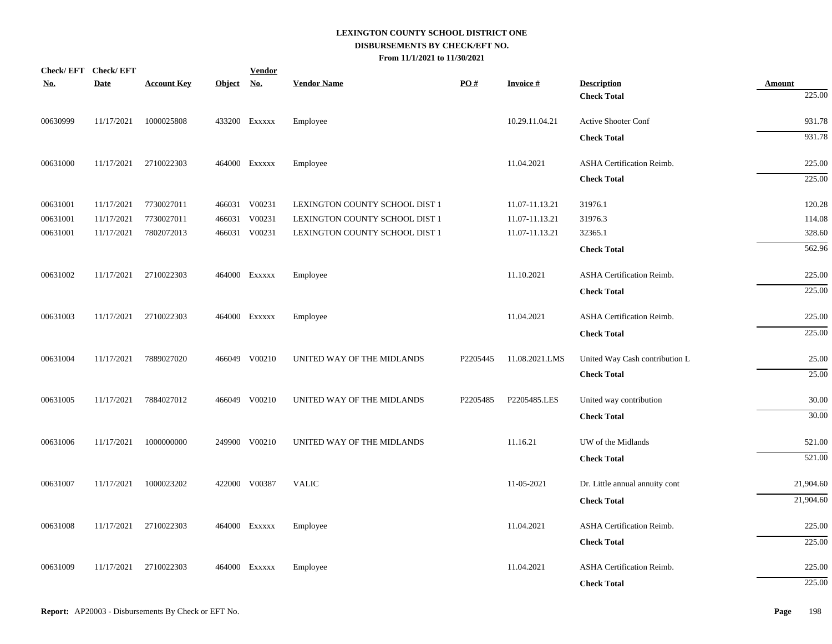| <b>No.</b> | Check/EFT Check/EFT<br><b>Date</b> | <b>Account Key</b> | <b>Object</b> | <b>Vendor</b><br><u>No.</u> | <b>Vendor Name</b>             | PO#      | <b>Invoice#</b> | <b>Description</b>               | <b>Amount</b> |
|------------|------------------------------------|--------------------|---------------|-----------------------------|--------------------------------|----------|-----------------|----------------------------------|---------------|
|            |                                    |                    |               |                             |                                |          |                 | <b>Check Total</b>               | 225.00        |
| 00630999   | 11/17/2021                         | 1000025808         |               | 433200 EXXXXX               | Employee                       |          | 10.29.11.04.21  | Active Shooter Conf              | 931.78        |
|            |                                    |                    |               |                             |                                |          |                 | <b>Check Total</b>               | 931.78        |
| 00631000   | 11/17/2021                         | 2710022303         |               | 464000 Exxxxx               | Employee                       |          | 11.04.2021      | ASHA Certification Reimb.        | 225.00        |
|            |                                    |                    |               |                             |                                |          |                 | <b>Check Total</b>               | 225.00        |
| 00631001   | 11/17/2021                         | 7730027011         |               | 466031 V00231               | LEXINGTON COUNTY SCHOOL DIST 1 |          | 11.07-11.13.21  | 31976.1                          | 120.28        |
| 00631001   | 11/17/2021                         | 7730027011         |               | 466031 V00231               | LEXINGTON COUNTY SCHOOL DIST 1 |          | 11.07-11.13.21  | 31976.3                          | 114.08        |
| 00631001   | 11/17/2021                         | 7802072013         |               | 466031 V00231               | LEXINGTON COUNTY SCHOOL DIST 1 |          | 11.07-11.13.21  | 32365.1                          | 328.60        |
|            |                                    |                    |               |                             |                                |          |                 | <b>Check Total</b>               | 562.96        |
| 00631002   | 11/17/2021                         | 2710022303         |               | 464000 Exxxxx               | Employee                       |          | 11.10.2021      | ASHA Certification Reimb.        | 225.00        |
|            |                                    |                    |               |                             |                                |          |                 | <b>Check Total</b>               | 225.00        |
| 00631003   | 11/17/2021                         | 2710022303         |               | 464000 Exxxxx               | Employee                       |          | 11.04.2021      | ASHA Certification Reimb.        | 225.00        |
|            |                                    |                    |               |                             |                                |          |                 | <b>Check Total</b>               | 225.00        |
| 00631004   | 11/17/2021                         | 7889027020         |               | 466049 V00210               | UNITED WAY OF THE MIDLANDS     | P2205445 | 11.08.2021.LMS  | United Way Cash contribution L   | 25.00         |
|            |                                    |                    |               |                             |                                |          |                 | <b>Check Total</b>               | 25.00         |
| 00631005   | 11/17/2021                         | 7884027012         |               | 466049 V00210               | UNITED WAY OF THE MIDLANDS     | P2205485 | P2205485.LES    | United way contribution          | 30.00         |
|            |                                    |                    |               |                             |                                |          |                 | <b>Check Total</b>               | 30.00         |
| 00631006   | 11/17/2021                         | 1000000000         |               | 249900 V00210               | UNITED WAY OF THE MIDLANDS     |          | 11.16.21        | UW of the Midlands               | 521.00        |
|            |                                    |                    |               |                             |                                |          |                 | <b>Check Total</b>               | 521.00        |
| 00631007   | 11/17/2021                         | 1000023202         |               | 422000 V00387               | <b>VALIC</b>                   |          | 11-05-2021      | Dr. Little annual annuity cont   | 21,904.60     |
|            |                                    |                    |               |                             |                                |          |                 | <b>Check Total</b>               | 21,904.60     |
| 00631008   | 11/17/2021                         | 2710022303         |               | 464000 Exxxxx               | Employee                       |          | 11.04.2021      | <b>ASHA Certification Reimb.</b> | 225.00        |
|            |                                    |                    |               |                             |                                |          |                 | <b>Check Total</b>               | 225.00        |
| 00631009   | 11/17/2021                         | 2710022303         |               | 464000 Exxxxx               | Employee                       |          | 11.04.2021      | ASHA Certification Reimb.        | 225.00        |
|            |                                    |                    |               |                             |                                |          |                 | <b>Check Total</b>               | 225.00        |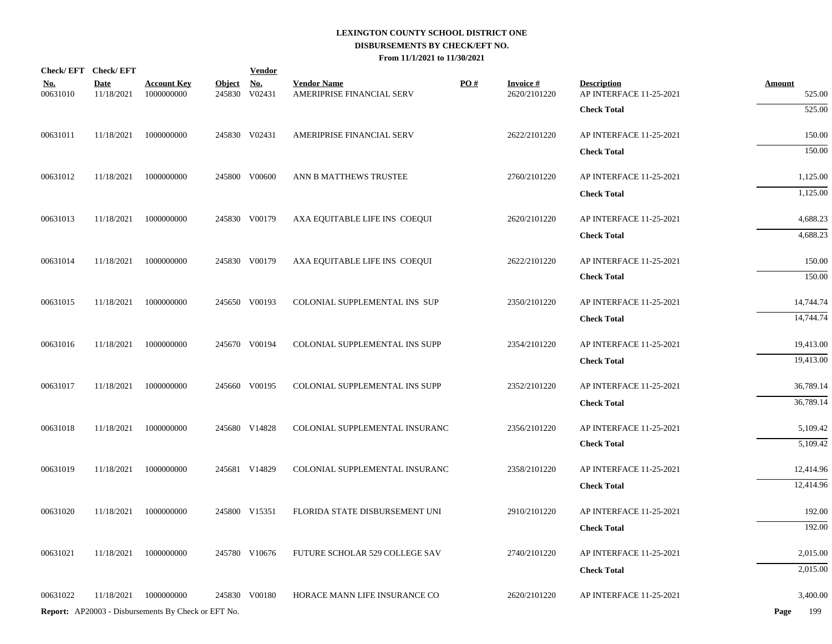|                        | Check/EFT Check/EFT       |                                                            |                         | <b>Vendor</b>        |                                                 |     |                                 |                                               |                         |
|------------------------|---------------------------|------------------------------------------------------------|-------------------------|----------------------|-------------------------------------------------|-----|---------------------------------|-----------------------------------------------|-------------------------|
| <u>No.</u><br>00631010 | <b>Date</b><br>11/18/2021 | <b>Account Key</b><br>1000000000                           | <b>Object</b><br>245830 | <u>No.</u><br>V02431 | <b>Vendor Name</b><br>AMERIPRISE FINANCIAL SERV | PO# | <b>Invoice#</b><br>2620/2101220 | <b>Description</b><br>AP INTERFACE 11-25-2021 | <b>Amount</b><br>525.00 |
|                        |                           |                                                            |                         |                      |                                                 |     |                                 | <b>Check Total</b>                            | 525.00                  |
| 00631011               | 11/18/2021                | 1000000000                                                 |                         | 245830 V02431        | AMERIPRISE FINANCIAL SERV                       |     | 2622/2101220                    | AP INTERFACE 11-25-2021                       | 150.00                  |
|                        |                           |                                                            |                         |                      |                                                 |     |                                 | <b>Check Total</b>                            | 150.00                  |
| 00631012               | 11/18/2021                | 1000000000                                                 |                         | 245800 V00600        | ANN B MATTHEWS TRUSTEE                          |     | 2760/2101220                    | AP INTERFACE 11-25-2021                       | 1,125.00                |
|                        |                           |                                                            |                         |                      |                                                 |     |                                 | <b>Check Total</b>                            | 1,125.00                |
| 00631013               | 11/18/2021                | 1000000000                                                 |                         | 245830 V00179        | AXA EQUITABLE LIFE INS COEQUI                   |     | 2620/2101220                    | AP INTERFACE 11-25-2021                       | 4,688.23                |
|                        |                           |                                                            |                         |                      |                                                 |     |                                 | <b>Check Total</b>                            | 4,688.23                |
| 00631014               | 11/18/2021                | 1000000000                                                 |                         | 245830 V00179        | AXA EQUITABLE LIFE INS COEQUI                   |     | 2622/2101220                    | AP INTERFACE 11-25-2021                       | 150.00                  |
|                        |                           |                                                            |                         |                      |                                                 |     |                                 | <b>Check Total</b>                            | 150.00                  |
| 00631015               | 11/18/2021                | 1000000000                                                 |                         | 245650 V00193        | COLONIAL SUPPLEMENTAL INS SUP                   |     | 2350/2101220                    | AP INTERFACE 11-25-2021                       | 14,744.74               |
|                        |                           |                                                            |                         |                      |                                                 |     |                                 | <b>Check Total</b>                            | 14,744.74               |
| 00631016               | 11/18/2021                | 1000000000                                                 |                         | 245670 V00194        | COLONIAL SUPPLEMENTAL INS SUPP                  |     | 2354/2101220                    | AP INTERFACE 11-25-2021                       | 19,413.00               |
|                        |                           |                                                            |                         |                      |                                                 |     |                                 | <b>Check Total</b>                            | 19,413.00               |
| 00631017               | 11/18/2021                | 1000000000                                                 |                         | 245660 V00195        | COLONIAL SUPPLEMENTAL INS SUPP                  |     | 2352/2101220                    | AP INTERFACE 11-25-2021                       | 36,789.14               |
|                        |                           |                                                            |                         |                      |                                                 |     |                                 | <b>Check Total</b>                            | 36,789.14               |
| 00631018               | 11/18/2021                | 1000000000                                                 |                         | 245680 V14828        | COLONIAL SUPPLEMENTAL INSURANC                  |     | 2356/2101220                    | AP INTERFACE 11-25-2021                       | 5,109.42                |
|                        |                           |                                                            |                         |                      |                                                 |     |                                 | <b>Check Total</b>                            | 5,109.42                |
| 00631019               | 11/18/2021                | 1000000000                                                 |                         | 245681 V14829        | COLONIAL SUPPLEMENTAL INSURANC                  |     | 2358/2101220                    | AP INTERFACE 11-25-2021                       | 12,414.96               |
|                        |                           |                                                            |                         |                      |                                                 |     |                                 | <b>Check Total</b>                            | 12,414.96               |
| 00631020               | 11/18/2021                | 1000000000                                                 |                         | 245800 V15351        | FLORIDA STATE DISBURSEMENT UNI                  |     | 2910/2101220                    | AP INTERFACE 11-25-2021                       | 192.00                  |
|                        |                           |                                                            |                         |                      |                                                 |     |                                 | <b>Check Total</b>                            | 192.00                  |
| 00631021               | 11/18/2021                | 1000000000                                                 |                         | 245780 V10676        | FUTURE SCHOLAR 529 COLLEGE SAV                  |     | 2740/2101220                    | AP INTERFACE 11-25-2021                       | 2,015.00                |
|                        |                           |                                                            |                         |                      |                                                 |     |                                 | <b>Check Total</b>                            | 2,015.00                |
| 00631022               | 11/18/2021                | 1000000000                                                 |                         | 245830 V00180        | HORACE MANN LIFE INSURANCE CO                   |     | 2620/2101220                    | AP INTERFACE 11-25-2021                       | 3,400.00                |
|                        |                           | <b>Report:</b> AP20003 - Disbursements By Check or EFT No. |                         |                      |                                                 |     |                                 |                                               | 199<br>Page             |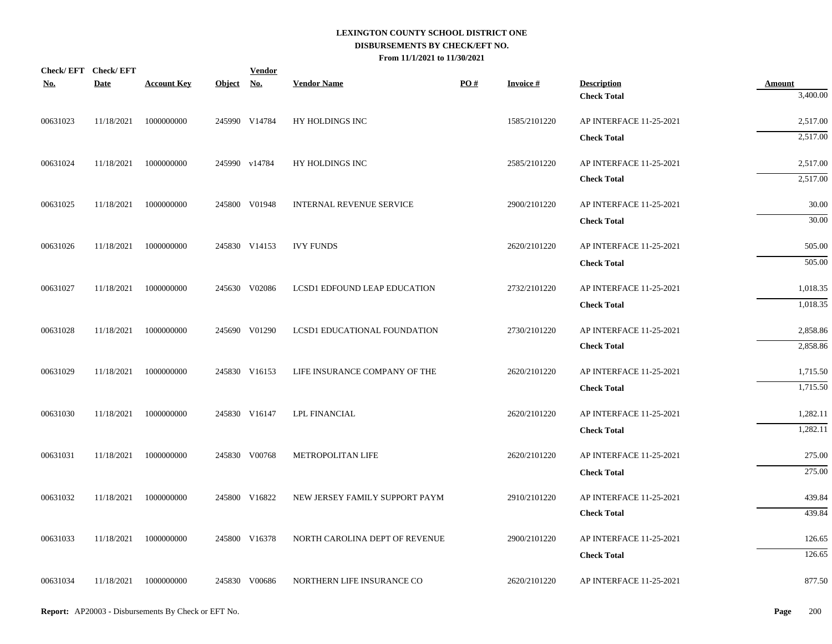| <b>No.</b> | Check/EFT Check/EFT<br>Date | <b>Account Key</b>    | Object No. | <b>Vendor</b> | <b>Vendor Name</b>             | PO# | <b>Invoice#</b> | <b>Description</b>                            | <b>Amount</b>    |
|------------|-----------------------------|-----------------------|------------|---------------|--------------------------------|-----|-----------------|-----------------------------------------------|------------------|
|            |                             |                       |            |               |                                |     |                 | <b>Check Total</b>                            | 3,400.00         |
| 00631023   | 11/18/2021                  | 1000000000            |            | 245990 V14784 | HY HOLDINGS INC                |     | 1585/2101220    | AP INTERFACE 11-25-2021                       | 2,517.00         |
|            |                             |                       |            |               |                                |     |                 | <b>Check Total</b>                            | 2,517.00         |
| 00631024   | 11/18/2021                  | 1000000000            |            | 245990 v14784 | HY HOLDINGS INC                |     | 2585/2101220    | AP INTERFACE 11-25-2021                       | 2,517.00         |
|            |                             |                       |            |               |                                |     |                 | <b>Check Total</b>                            | 2,517.00         |
| 00631025   | 11/18/2021                  | 1000000000            |            | 245800 V01948 | INTERNAL REVENUE SERVICE       |     | 2900/2101220    | AP INTERFACE 11-25-2021                       | 30.00            |
|            |                             |                       |            |               |                                |     |                 | <b>Check Total</b>                            | 30.00            |
| 00631026   | 11/18/2021                  | 1000000000            |            | 245830 V14153 | <b>IVY FUNDS</b>               |     | 2620/2101220    | AP INTERFACE 11-25-2021                       | 505.00           |
|            |                             |                       |            |               |                                |     |                 | <b>Check Total</b>                            | 505.00           |
| 00631027   | 11/18/2021                  | 1000000000            |            | 245630 V02086 | LCSD1 EDFOUND LEAP EDUCATION   |     | 2732/2101220    | AP INTERFACE 11-25-2021                       | 1,018.35         |
|            |                             |                       |            |               |                                |     |                 | <b>Check Total</b>                            | 1,018.35         |
| 00631028   | 11/18/2021                  | 1000000000            |            | 245690 V01290 | LCSD1 EDUCATIONAL FOUNDATION   |     | 2730/2101220    | AP INTERFACE 11-25-2021                       | 2,858.86         |
|            |                             |                       |            |               |                                |     |                 | <b>Check Total</b>                            | 2,858.86         |
| 00631029   | 11/18/2021                  | 1000000000            |            | 245830 V16153 | LIFE INSURANCE COMPANY OF THE  |     | 2620/2101220    | AP INTERFACE 11-25-2021                       | 1,715.50         |
|            |                             |                       |            |               |                                |     |                 | <b>Check Total</b>                            | 1,715.50         |
| 00631030   | 11/18/2021                  | 1000000000            |            | 245830 V16147 | <b>LPL FINANCIAL</b>           |     | 2620/2101220    | AP INTERFACE 11-25-2021                       | 1,282.11         |
|            |                             |                       |            |               |                                |     |                 | <b>Check Total</b>                            | 1,282.11         |
|            |                             |                       |            |               |                                |     |                 |                                               |                  |
| 00631031   | 11/18/2021                  | 1000000000            |            | 245830 V00768 | METROPOLITAN LIFE              |     | 2620/2101220    | AP INTERFACE 11-25-2021<br><b>Check Total</b> | 275.00<br>275.00 |
|            |                             |                       |            |               |                                |     |                 |                                               |                  |
| 00631032   | 11/18/2021                  | 1000000000            |            | 245800 V16822 | NEW JERSEY FAMILY SUPPORT PAYM |     | 2910/2101220    | AP INTERFACE 11-25-2021<br><b>Check Total</b> | 439.84<br>439.84 |
|            |                             |                       |            |               |                                |     |                 |                                               |                  |
| 00631033   | 11/18/2021                  | 1000000000            |            | 245800 V16378 | NORTH CAROLINA DEPT OF REVENUE |     | 2900/2101220    | AP INTERFACE 11-25-2021                       | 126.65           |
|            |                             |                       |            |               |                                |     |                 | <b>Check Total</b>                            | 126.65           |
| 00631034   |                             | 11/18/2021 1000000000 |            | 245830 V00686 | NORTHERN LIFE INSURANCE CO     |     | 2620/2101220    | AP INTERFACE 11-25-2021                       | 877.50           |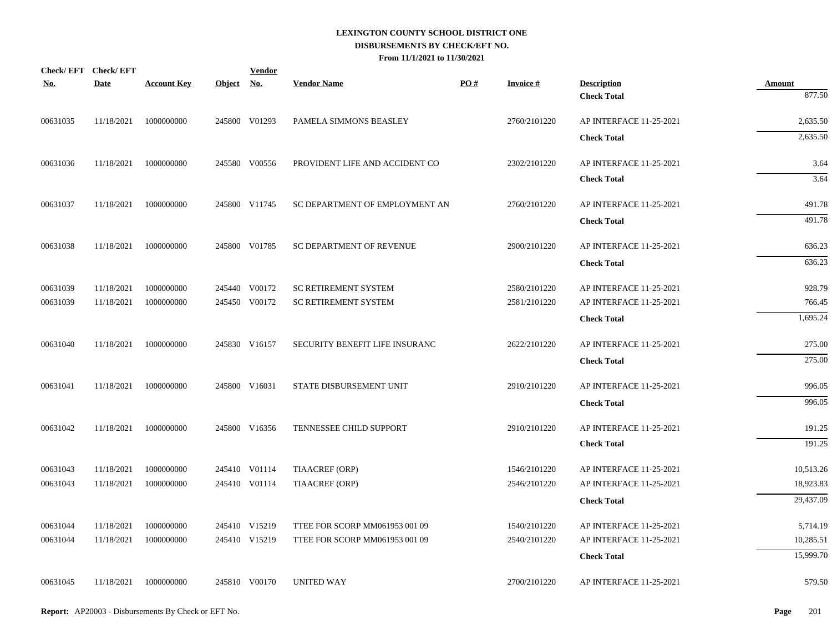|            | Check/EFT Check/EFT |                       |            | <b>Vendor</b> |                                | PO# | <b>Invoice #</b> |                                          |                         |
|------------|---------------------|-----------------------|------------|---------------|--------------------------------|-----|------------------|------------------------------------------|-------------------------|
| <b>No.</b> | Date                | <b>Account Key</b>    | Object No. |               | <b>Vendor Name</b>             |     |                  | <b>Description</b><br><b>Check Total</b> | <b>Amount</b><br>877.50 |
| 00631035   | 11/18/2021          | 1000000000            |            | 245800 V01293 | PAMELA SIMMONS BEASLEY         |     | 2760/2101220     | AP INTERFACE 11-25-2021                  | 2,635.50                |
|            |                     |                       |            |               |                                |     |                  | <b>Check Total</b>                       | 2,635.50                |
| 00631036   | 11/18/2021          | 1000000000            |            | 245580 V00556 | PROVIDENT LIFE AND ACCIDENT CO |     | 2302/2101220     | AP INTERFACE 11-25-2021                  | 3.64                    |
|            |                     |                       |            |               |                                |     |                  | <b>Check Total</b>                       | 3.64                    |
|            |                     |                       |            |               |                                |     |                  |                                          |                         |
| 00631037   | 11/18/2021          | 1000000000            |            | 245800 V11745 | SC DEPARTMENT OF EMPLOYMENT AN |     | 2760/2101220     | AP INTERFACE 11-25-2021                  | 491.78                  |
|            |                     |                       |            |               |                                |     |                  | <b>Check Total</b>                       | 491.78                  |
| 00631038   | 11/18/2021          | 1000000000            |            | 245800 V01785 | SC DEPARTMENT OF REVENUE       |     | 2900/2101220     | AP INTERFACE 11-25-2021                  | 636.23                  |
|            |                     |                       |            |               |                                |     |                  | <b>Check Total</b>                       | 636.23                  |
| 00631039   | 11/18/2021          | 1000000000            |            | 245440 V00172 | SC RETIREMENT SYSTEM           |     | 2580/2101220     | AP INTERFACE 11-25-2021                  | 928.79                  |
| 00631039   | 11/18/2021          | 1000000000            |            | 245450 V00172 | <b>SC RETIREMENT SYSTEM</b>    |     | 2581/2101220     | AP INTERFACE 11-25-2021                  | 766.45                  |
|            |                     |                       |            |               |                                |     |                  | <b>Check Total</b>                       | 1,695.24                |
| 00631040   | 11/18/2021          | 1000000000            |            | 245830 V16157 | SECURITY BENEFIT LIFE INSURANC |     | 2622/2101220     | AP INTERFACE 11-25-2021                  | 275.00                  |
|            |                     |                       |            |               |                                |     |                  | <b>Check Total</b>                       | 275.00                  |
| 00631041   |                     | 11/18/2021 1000000000 |            | 245800 V16031 | STATE DISBURSEMENT UNIT        |     | 2910/2101220     | AP INTERFACE 11-25-2021                  | 996.05                  |
|            |                     |                       |            |               |                                |     |                  | <b>Check Total</b>                       | 996.05                  |
| 00631042   | 11/18/2021          | 1000000000            |            | 245800 V16356 | TENNESSEE CHILD SUPPORT        |     | 2910/2101220     | AP INTERFACE 11-25-2021                  | 191.25                  |
|            |                     |                       |            |               |                                |     |                  | <b>Check Total</b>                       | 191.25                  |
| 00631043   | 11/18/2021          | 1000000000            |            | 245410 V01114 | <b>TIAACREF (ORP)</b>          |     | 1546/2101220     | AP INTERFACE 11-25-2021                  | 10,513.26               |
| 00631043   | 11/18/2021          | 1000000000            |            | 245410 V01114 | TIAACREF (ORP)                 |     | 2546/2101220     | AP INTERFACE 11-25-2021                  | 18,923.83               |
|            |                     |                       |            |               |                                |     |                  | <b>Check Total</b>                       | 29,437.09               |
| 00631044   | 11/18/2021          | 1000000000            |            | 245410 V15219 | TTEE FOR SCORP MM061953 001 09 |     | 1540/2101220     | AP INTERFACE 11-25-2021                  | 5,714.19                |
| 00631044   | 11/18/2021          | 1000000000            |            | 245410 V15219 | TTEE FOR SCORP MM061953 001 09 |     | 2540/2101220     | AP INTERFACE 11-25-2021                  | 10,285.51               |
|            |                     |                       |            |               |                                |     |                  | <b>Check Total</b>                       | 15,999.70               |
| 00631045   | 11/18/2021          | 1000000000            |            | 245810 V00170 | <b>UNITED WAY</b>              |     | 2700/2101220     | AP INTERFACE 11-25-2021                  | 579.50                  |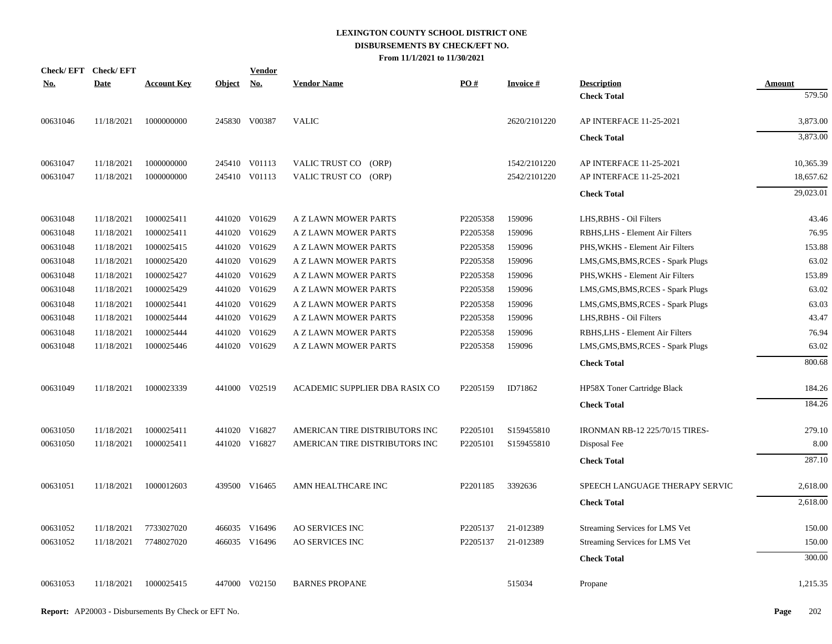|            | Check/EFT Check/EFT |                    |               | <b>Vendor</b> |                                |          |                 |                                       |               |
|------------|---------------------|--------------------|---------------|---------------|--------------------------------|----------|-----------------|---------------------------------------|---------------|
| <u>No.</u> | <b>Date</b>         | <b>Account Key</b> | <b>Object</b> | <u>No.</u>    | <b>Vendor Name</b>             | PO#      | <b>Invoice#</b> | <b>Description</b>                    | <b>Amount</b> |
|            |                     |                    |               |               |                                |          |                 | <b>Check Total</b>                    | 579.50        |
| 00631046   | 11/18/2021          | 1000000000         |               | 245830 V00387 | <b>VALIC</b>                   |          | 2620/2101220    | AP INTERFACE 11-25-2021               | 3,873.00      |
|            |                     |                    |               |               |                                |          |                 | <b>Check Total</b>                    | 3,873.00      |
| 00631047   | 11/18/2021          | 1000000000         |               | 245410 V01113 | VALIC TRUST CO (ORP)           |          | 1542/2101220    | AP INTERFACE 11-25-2021               | 10.365.39     |
| 00631047   | 11/18/2021          | 1000000000         |               | 245410 V01113 | VALIC TRUST CO (ORP)           |          | 2542/2101220    | AP INTERFACE 11-25-2021               | 18,657.62     |
|            |                     |                    |               |               |                                |          |                 | <b>Check Total</b>                    | 29,023.01     |
| 00631048   | 11/18/2021          | 1000025411         |               | 441020 V01629 | A Z LAWN MOWER PARTS           | P2205358 | 159096          | LHS, RBHS - Oil Filters               | 43.46         |
| 00631048   | 11/18/2021          | 1000025411         |               | 441020 V01629 | A Z LAWN MOWER PARTS           | P2205358 | 159096          | RBHS, LHS - Element Air Filters       | 76.95         |
| 00631048   | 11/18/2021          | 1000025415         | 441020        | V01629        | A Z LAWN MOWER PARTS           | P2205358 | 159096          | PHS, WKHS - Element Air Filters       | 153.88        |
| 00631048   | 11/18/2021          | 1000025420         |               | 441020 V01629 | A Z LAWN MOWER PARTS           | P2205358 | 159096          | LMS, GMS, BMS, RCES - Spark Plugs     | 63.02         |
| 00631048   | 11/18/2021          | 1000025427         | 441020        | V01629        | A Z LAWN MOWER PARTS           | P2205358 | 159096          | PHS, WKHS - Element Air Filters       | 153.89        |
| 00631048   | 11/18/2021          | 1000025429         |               | 441020 V01629 | A Z LAWN MOWER PARTS           | P2205358 | 159096          | LMS, GMS, BMS, RCES - Spark Plugs     | 63.02         |
| 00631048   | 11/18/2021          | 1000025441         | 441020        | V01629        | A Z LAWN MOWER PARTS           | P2205358 | 159096          | LMS, GMS, BMS, RCES - Spark Plugs     | 63.03         |
| 00631048   | 11/18/2021          | 1000025444         |               | 441020 V01629 | A Z LAWN MOWER PARTS           | P2205358 | 159096          | LHS, RBHS - Oil Filters               | 43.47         |
| 00631048   | 11/18/2021          | 1000025444         | 441020        | V01629        | A Z LAWN MOWER PARTS           | P2205358 | 159096          | RBHS, LHS - Element Air Filters       | 76.94         |
| 00631048   | 11/18/2021          | 1000025446         |               | 441020 V01629 | A Z LAWN MOWER PARTS           | P2205358 | 159096          | LMS, GMS, BMS, RCES - Spark Plugs     | 63.02         |
|            |                     |                    |               |               |                                |          |                 | <b>Check Total</b>                    | 800.68        |
| 00631049   | 11/18/2021          | 1000023339         |               | 441000 V02519 | ACADEMIC SUPPLIER DBA RASIX CO | P2205159 | ID71862         | HP58X Toner Cartridge Black           | 184.26        |
|            |                     |                    |               |               |                                |          |                 | <b>Check Total</b>                    | 184.26        |
| 00631050   | 11/18/2021          | 1000025411         |               | 441020 V16827 | AMERICAN TIRE DISTRIBUTORS INC | P2205101 | S159455810      | <b>IRONMAN RB-12 225/70/15 TIRES-</b> | 279.10        |
| 00631050   | 11/18/2021          | 1000025411         |               | 441020 V16827 | AMERICAN TIRE DISTRIBUTORS INC | P2205101 | S159455810      | Disposal Fee                          | 8.00          |
|            |                     |                    |               |               |                                |          |                 | <b>Check Total</b>                    | 287.10        |
| 00631051   | 11/18/2021          | 1000012603         |               | 439500 V16465 | AMN HEALTHCARE INC             | P2201185 | 3392636         | SPEECH LANGUAGE THERAPY SERVIC        | 2,618.00      |
|            |                     |                    |               |               |                                |          |                 | <b>Check Total</b>                    | 2,618.00      |
| 00631052   | 11/18/2021          | 7733027020         |               | 466035 V16496 | <b>AO SERVICES INC</b>         | P2205137 | 21-012389       | Streaming Services for LMS Vet        | 150.00        |
| 00631052   | 11/18/2021          | 7748027020         |               | 466035 V16496 | <b>AO SERVICES INC</b>         | P2205137 | 21-012389       | Streaming Services for LMS Vet        | 150.00        |
|            |                     |                    |               |               |                                |          |                 | <b>Check Total</b>                    | 300.00        |
| 00631053   | 11/18/2021          | 1000025415         |               | 447000 V02150 | <b>BARNES PROPANE</b>          |          | 515034          | Propane                               | 1,215.35      |
|            |                     |                    |               |               |                                |          |                 |                                       |               |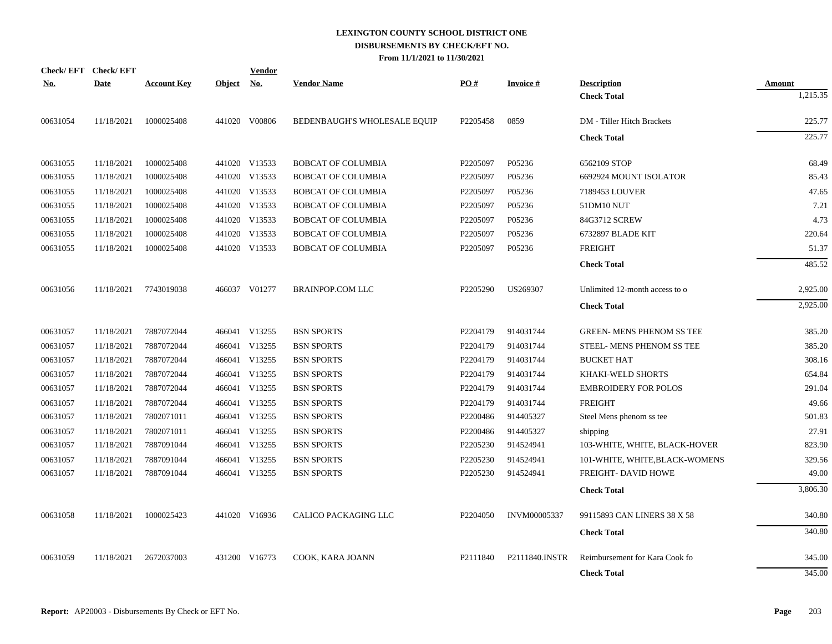|            | Check/EFT Check/EFT |                    |               | <b>Vendor</b> |                              |                      |                     |                                  |               |
|------------|---------------------|--------------------|---------------|---------------|------------------------------|----------------------|---------------------|----------------------------------|---------------|
| <b>No.</b> | <b>Date</b>         | <b>Account Key</b> | <b>Object</b> | <u>No.</u>    | <b>Vendor Name</b>           | PO#                  | <b>Invoice#</b>     | <b>Description</b>               | <b>Amount</b> |
|            |                     |                    |               |               |                              |                      |                     | <b>Check Total</b>               | 1,215.35      |
| 00631054   | 11/18/2021          | 1000025408         |               | 441020 V00806 | BEDENBAUGH'S WHOLESALE EQUIP | P2205458             | 0859                | DM - Tiller Hitch Brackets       | 225.77        |
|            |                     |                    |               |               |                              |                      |                     | <b>Check Total</b>               | 225.77        |
| 00631055   | 11/18/2021          | 1000025408         |               | 441020 V13533 | <b>BOBCAT OF COLUMBIA</b>    | P2205097             | P05236              | 6562109 STOP                     | 68.49         |
| 00631055   | 11/18/2021          | 1000025408         |               | 441020 V13533 | <b>BOBCAT OF COLUMBIA</b>    | P2205097             | P05236              | 6692924 MOUNT ISOLATOR           | 85.43         |
| 00631055   | 11/18/2021          | 1000025408         |               | 441020 V13533 | <b>BOBCAT OF COLUMBIA</b>    | P2205097             | P05236              | 7189453 LOUVER                   | 47.65         |
| 00631055   | 11/18/2021          | 1000025408         |               | 441020 V13533 | <b>BOBCAT OF COLUMBIA</b>    | P2205097             | P05236              | 51DM10 NUT                       | 7.21          |
| 00631055   | 11/18/2021          | 1000025408         |               | 441020 V13533 | <b>BOBCAT OF COLUMBIA</b>    | P2205097             | P05236              | 84G3712 SCREW                    | 4.73          |
| 00631055   | 11/18/2021          | 1000025408         | 441020        | V13533        | <b>BOBCAT OF COLUMBIA</b>    | P2205097             | P05236              | 6732897 BLADE KIT                | 220.64        |
| 00631055   | 11/18/2021          | 1000025408         |               | 441020 V13533 | <b>BOBCAT OF COLUMBIA</b>    | P2205097             | P05236              | <b>FREIGHT</b>                   | 51.37         |
|            |                     |                    |               |               |                              |                      |                     | <b>Check Total</b>               | 485.52        |
| 00631056   | 11/18/2021          | 7743019038         |               | 466037 V01277 | <b>BRAINPOP.COM LLC</b>      | P2205290             | US269307            | Unlimited 12-month access to o   | 2,925.00      |
|            |                     |                    |               |               |                              |                      |                     | <b>Check Total</b>               | 2,925.00      |
| 00631057   | 11/18/2021          | 7887072044         |               | 466041 V13255 | <b>BSN SPORTS</b>            | P2204179             | 914031744           | <b>GREEN- MENS PHENOM SS TEE</b> | 385.20        |
| 00631057   | 11/18/2021          | 7887072044         |               | 466041 V13255 | <b>BSN SPORTS</b>            | P2204179             | 914031744           | STEEL- MENS PHENOM SS TEE        | 385.20        |
| 00631057   | 11/18/2021          | 7887072044         |               | 466041 V13255 | <b>BSN SPORTS</b>            | P2204179             | 914031744           | <b>BUCKET HAT</b>                | 308.16        |
| 00631057   | 11/18/2021          | 7887072044         |               | 466041 V13255 | <b>BSN SPORTS</b>            | P2204179             | 914031744           | KHAKI-WELD SHORTS                | 654.84        |
| 00631057   | 11/18/2021          | 7887072044         |               | 466041 V13255 | <b>BSN SPORTS</b>            | P2204179             | 914031744           | <b>EMBROIDERY FOR POLOS</b>      | 291.04        |
| 00631057   | 11/18/2021          | 7887072044         |               | 466041 V13255 | <b>BSN SPORTS</b>            | P2204179             | 914031744           | <b>FREIGHT</b>                   | 49.66         |
| 00631057   | 11/18/2021          | 7802071011         |               | 466041 V13255 | <b>BSN SPORTS</b>            | P2200486             | 914405327           | Steel Mens phenom ss tee         | 501.83        |
| 00631057   | 11/18/2021          | 7802071011         |               | 466041 V13255 | <b>BSN SPORTS</b>            | P2200486             | 914405327           | shipping                         | 27.91         |
| 00631057   | 11/18/2021          | 7887091044         |               | 466041 V13255 | <b>BSN SPORTS</b>            | P2205230             | 914524941           | 103-WHITE, WHITE, BLACK-HOVER    | 823.90        |
| 00631057   | 11/18/2021          | 7887091044         | 466041        | V13255        | <b>BSN SPORTS</b>            | P2205230             | 914524941           | 101-WHITE, WHITE, BLACK-WOMENS   | 329.56        |
| 00631057   | 11/18/2021          | 7887091044         |               | 466041 V13255 | <b>BSN SPORTS</b>            | P2205230             | 914524941           | FREIGHT- DAVID HOWE              | 49.00         |
|            |                     |                    |               |               |                              |                      |                     | <b>Check Total</b>               | 3,806.30      |
| 00631058   | 11/18/2021          | 1000025423         |               | 441020 V16936 | CALICO PACKAGING LLC         | P <sub>2204050</sub> | <b>INVM00005337</b> | 99115893 CAN LINERS 38 X 58      | 340.80        |
|            |                     |                    |               |               |                              |                      |                     | <b>Check Total</b>               | 340.80        |
|            |                     |                    |               |               |                              |                      |                     |                                  |               |
| 00631059   | 11/18/2021          | 2672037003         |               | 431200 V16773 | COOK, KARA JOANN             | P <sub>2111840</sub> | P2111840.INSTR      | Reimbursement for Kara Cook fo   | 345.00        |
|            |                     |                    |               |               |                              |                      |                     | <b>Check Total</b>               | 345.00        |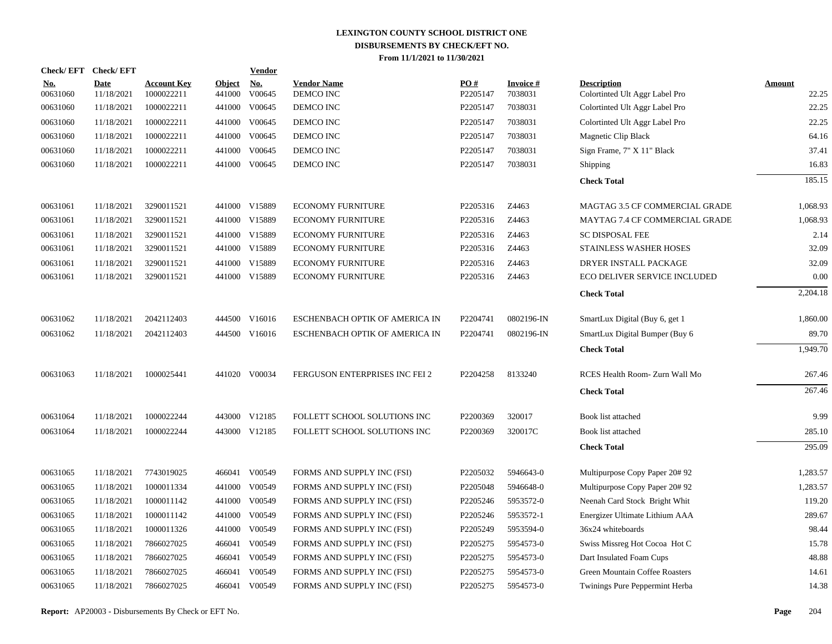|                        | Check/EFT Check/EFT       |                                  |                         | Vendor        |                                 |                 |                            |                                                      |                        |
|------------------------|---------------------------|----------------------------------|-------------------------|---------------|---------------------------------|-----------------|----------------------------|------------------------------------------------------|------------------------|
| <u>No.</u><br>00631060 | <b>Date</b><br>11/18/2021 | <b>Account Key</b><br>1000022211 | <b>Object</b><br>441000 | No.<br>V00645 | <b>Vendor Name</b><br>DEMCO INC | PO#<br>P2205147 | <b>Invoice#</b><br>7038031 | <b>Description</b><br>Colortinted Ult Aggr Label Pro | <b>Amount</b><br>22.25 |
| 00631060               | 11/18/2021                | 1000022211                       | 441000                  | V00645        | DEMCO INC                       | P2205147        | 7038031                    | Colortinted Ult Aggr Label Pro                       | 22.25                  |
| 00631060               | 11/18/2021                | 1000022211                       | 441000                  | V00645        | DEMCO INC                       | P2205147        | 7038031                    | Colortinted Ult Aggr Label Pro                       | 22.25                  |
| 00631060               | 11/18/2021                | 1000022211                       | 441000                  | V00645        | DEMCO INC                       | P2205147        | 7038031                    | Magnetic Clip Black                                  | 64.16                  |
| 00631060               | 11/18/2021                | 1000022211                       | 441000                  | V00645        | DEMCO INC                       | P2205147        | 7038031                    | Sign Frame, 7" X 11" Black                           | 37.41                  |
| 00631060               | 11/18/2021                | 1000022211                       |                         | 441000 V00645 | DEMCO INC                       | P2205147        | 7038031                    | Shipping                                             | 16.83                  |
|                        |                           |                                  |                         |               |                                 |                 |                            | <b>Check Total</b>                                   | 185.15                 |
| 00631061               | 11/18/2021                | 3290011521                       |                         | 441000 V15889 | <b>ECONOMY FURNITURE</b>        | P2205316        | Z4463                      | MAGTAG 3.5 CF COMMERCIAL GRADE                       | 1,068.93               |
| 00631061               | 11/18/2021                | 3290011521                       |                         | 441000 V15889 | <b>ECONOMY FURNITURE</b>        | P2205316        | Z4463                      | MAYTAG 7.4 CF COMMERCIAL GRADE                       | 1,068.93               |
| 00631061               | 11/18/2021                | 3290011521                       |                         | 441000 V15889 | <b>ECONOMY FURNITURE</b>        | P2205316        | Z4463                      | <b>SC DISPOSAL FEE</b>                               | 2.14                   |
| 00631061               | 11/18/2021                | 3290011521                       |                         | 441000 V15889 | <b>ECONOMY FURNITURE</b>        | P2205316        | Z4463                      | STAINLESS WASHER HOSES                               | 32.09                  |
| 00631061               | 11/18/2021                | 3290011521                       |                         | 441000 V15889 | <b>ECONOMY FURNITURE</b>        | P2205316        | Z4463                      | DRYER INSTALL PACKAGE                                | 32.09                  |
| 00631061               | 11/18/2021                | 3290011521                       |                         | 441000 V15889 | <b>ECONOMY FURNITURE</b>        | P2205316        | Z4463                      | ECO DELIVER SERVICE INCLUDED                         | 0.00                   |
|                        |                           |                                  |                         |               |                                 |                 |                            | <b>Check Total</b>                                   | 2,204.18               |
| 00631062               | 11/18/2021                | 2042112403                       |                         | 444500 V16016 | ESCHENBACH OPTIK OF AMERICA IN  | P2204741        | 0802196-IN                 | SmartLux Digital (Buy 6, get 1)                      | 1,860.00               |
| 00631062               | 11/18/2021                | 2042112403                       |                         | 444500 V16016 | ESCHENBACH OPTIK OF AMERICA IN  | P2204741        | 0802196-IN                 | SmartLux Digital Bumper (Buy 6)                      | 89.70                  |
|                        |                           |                                  |                         |               |                                 |                 |                            | <b>Check Total</b>                                   | 1,949.70               |
| 00631063               | 11/18/2021                | 1000025441                       |                         | 441020 V00034 | FERGUSON ENTERPRISES INC FEI 2  | P2204258        | 8133240                    | RCES Health Room- Zurn Wall Mo                       | 267.46                 |
|                        |                           |                                  |                         |               |                                 |                 |                            | <b>Check Total</b>                                   | 267.46                 |
| 00631064               | 11/18/2021                | 1000022244                       |                         | 443000 V12185 | FOLLETT SCHOOL SOLUTIONS INC    | P2200369        | 320017                     | Book list attached                                   | 9.99                   |
| 00631064               | 11/18/2021                | 1000022244                       |                         | 443000 V12185 | FOLLETT SCHOOL SOLUTIONS INC    | P2200369        | 320017C                    | Book list attached                                   | 285.10                 |
|                        |                           |                                  |                         |               |                                 |                 |                            | <b>Check Total</b>                                   | 295.09                 |
| 00631065               | 11/18/2021                | 7743019025                       |                         | 466041 V00549 | FORMS AND SUPPLY INC (FSI)      | P2205032        | 5946643-0                  | Multipurpose Copy Paper 20# 92                       | 1,283.57               |
| 00631065               | 11/18/2021                | 1000011334                       | 441000                  | V00549        | FORMS AND SUPPLY INC (FSI)      | P2205048        | 5946648-0                  | Multipurpose Copy Paper 20# 92                       | 1,283.57               |
| 00631065               | 11/18/2021                | 1000011142                       | 441000                  | V00549        | FORMS AND SUPPLY INC (FSI)      | P2205246        | 5953572-0                  | Neenah Card Stock Bright Whit                        | 119.20                 |
| 00631065               | 11/18/2021                | 1000011142                       | 441000                  | V00549        | FORMS AND SUPPLY INC (FSI)      | P2205246        | 5953572-1                  | Energizer Ultimate Lithium AAA                       | 289.67                 |
| 00631065               | 11/18/2021                | 1000011326                       | 441000                  | V00549        | FORMS AND SUPPLY INC (FSI)      | P2205249        | 5953594-0                  | 36x24 whiteboards                                    | 98.44                  |
| 00631065               | 11/18/2021                | 7866027025                       | 466041                  | V00549        | FORMS AND SUPPLY INC (FSI)      | P2205275        | 5954573-0                  | Swiss Missreg Hot Cocoa Hot C                        | 15.78                  |
| 00631065               | 11/18/2021                | 7866027025                       | 466041                  | V00549        | FORMS AND SUPPLY INC (FSI)      | P2205275        | 5954573-0                  | Dart Insulated Foam Cups                             | 48.88                  |
| 00631065               | 11/18/2021                | 7866027025                       | 466041                  | V00549        | FORMS AND SUPPLY INC (FSI)      | P2205275        | 5954573-0                  | Green Mountain Coffee Roasters                       | 14.61                  |
| 00631065               | 11/18/2021                | 7866027025                       | 466041                  | V00549        | FORMS AND SUPPLY INC (FSI)      | P2205275        | 5954573-0                  | Twinings Pure Peppermint Herba                       | 14.38                  |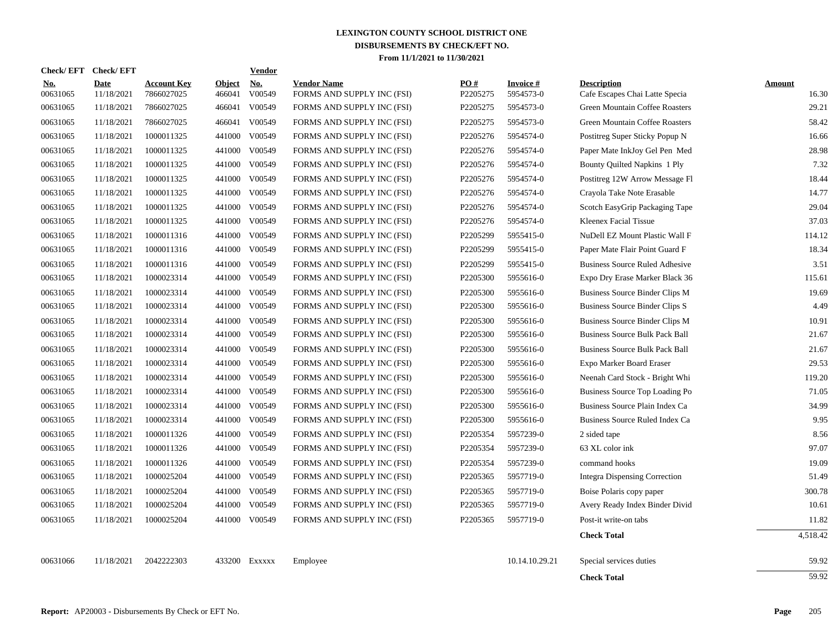|                        | Check/EFT Check/EFT |                                  |                         | <b>Vendor</b>        |                                                  |                 |                              |                                                      |                        |
|------------------------|---------------------|----------------------------------|-------------------------|----------------------|--------------------------------------------------|-----------------|------------------------------|------------------------------------------------------|------------------------|
| <u>No.</u><br>00631065 | Date<br>11/18/2021  | <b>Account Key</b><br>7866027025 | <b>Object</b><br>466041 | <b>No.</b><br>V00549 | <b>Vendor Name</b><br>FORMS AND SUPPLY INC (FSI) | PO#<br>P2205275 | <b>Invoice#</b><br>5954573-0 | <b>Description</b><br>Cafe Escapes Chai Latte Specia | <b>Amount</b><br>16.30 |
| 00631065               | 11/18/2021          | 7866027025                       | 466041                  | V00549               | FORMS AND SUPPLY INC (FSI)                       | P2205275        | 5954573-0                    | Green Mountain Coffee Roasters                       | 29.21                  |
| 00631065               | 11/18/2021          | 7866027025                       | 466041                  | V00549               | FORMS AND SUPPLY INC (FSI)                       | P2205275        | 5954573-0                    | Green Mountain Coffee Roasters                       | 58.42                  |
| 00631065               | 11/18/2021          | 1000011325                       | 441000                  | V00549               | FORMS AND SUPPLY INC (FSI)                       | P2205276        | 5954574-0                    | Postitreg Super Sticky Popup N                       | 16.66                  |
| 00631065               | 11/18/2021          | 1000011325                       | 441000                  | V00549               | FORMS AND SUPPLY INC (FSI)                       | P2205276        | 5954574-0                    | Paper Mate InkJoy Gel Pen Med                        | 28.98                  |
| 00631065               | 11/18/2021          | 1000011325                       | 441000                  | V00549               | FORMS AND SUPPLY INC (FSI)                       | P2205276        | 5954574-0                    | Bounty Quilted Napkins 1 Ply                         | 7.32                   |
| 00631065               | 11/18/2021          | 1000011325                       | 441000                  | V00549               | FORMS AND SUPPLY INC (FSI)                       | P2205276        | 5954574-0                    | Postitreg 12W Arrow Message Fl                       | 18.44                  |
| 00631065               | 11/18/2021          | 1000011325                       | 441000                  | V00549               | FORMS AND SUPPLY INC (FSI)                       | P2205276        | 5954574-0                    | Crayola Take Note Erasable                           | 14.77                  |
| 00631065               | 11/18/2021          | 1000011325                       | 441000                  | V00549               | FORMS AND SUPPLY INC (FSI)                       | P2205276        | 5954574-0                    | Scotch EasyGrip Packaging Tape                       | 29.04                  |
| 00631065               | 11/18/2021          | 1000011325                       | 441000                  | V00549               | FORMS AND SUPPLY INC (FSI)                       | P2205276        | 5954574-0                    | Kleenex Facial Tissue                                | 37.03                  |
| 00631065               | 11/18/2021          | 1000011316                       | 441000                  | V00549               | FORMS AND SUPPLY INC (FSI)                       | P2205299        | 5955415-0                    | NuDell EZ Mount Plastic Wall F                       | 114.12                 |
| 00631065               | 11/18/2021          | 1000011316                       | 441000                  | V00549               | FORMS AND SUPPLY INC (FSI)                       | P2205299        | 5955415-0                    | Paper Mate Flair Point Guard F                       | 18.34                  |
| 00631065               | 11/18/2021          | 1000011316                       | 441000                  | V00549               | FORMS AND SUPPLY INC (FSI)                       | P2205299        | 5955415-0                    | <b>Business Source Ruled Adhesive</b>                | 3.51                   |
| 00631065               | 11/18/2021          | 1000023314                       | 441000                  | V00549               | FORMS AND SUPPLY INC (FSI)                       | P2205300        | 5955616-0                    | Expo Dry Erase Marker Black 36                       | 115.61                 |
| 00631065               | 11/18/2021          | 1000023314                       | 441000                  | V00549               | FORMS AND SUPPLY INC (FSI)                       | P2205300        | 5955616-0                    | Business Source Binder Clips M                       | 19.69                  |
| 00631065               | 11/18/2021          | 1000023314                       | 441000                  | V00549               | FORMS AND SUPPLY INC (FSI)                       | P2205300        | 5955616-0                    | Business Source Binder Clips S                       | 4.49                   |
| 00631065               | 11/18/2021          | 1000023314                       | 441000                  | V00549               | FORMS AND SUPPLY INC (FSI)                       | P2205300        | 5955616-0                    | Business Source Binder Clips M                       | 10.91                  |
| 00631065               | 11/18/2021          | 1000023314                       |                         | 441000 V00549        | FORMS AND SUPPLY INC (FSI)                       | P2205300        | 5955616-0                    | <b>Business Source Bulk Pack Ball</b>                | 21.67                  |
| 00631065               | 11/18/2021          | 1000023314                       | 441000                  | V00549               | FORMS AND SUPPLY INC (FSI)                       | P2205300        | 5955616-0                    | <b>Business Source Bulk Pack Ball</b>                | 21.67                  |
| 00631065               | 11/18/2021          | 1000023314                       | 441000                  | V00549               | FORMS AND SUPPLY INC (FSI)                       | P2205300        | 5955616-0                    | Expo Marker Board Eraser                             | 29.53                  |
| 00631065               | 11/18/2021          | 1000023314                       | 441000                  | V00549               | FORMS AND SUPPLY INC (FSI)                       | P2205300        | 5955616-0                    | Neenah Card Stock - Bright Whi                       | 119.20                 |
| 00631065               | 11/18/2021          | 1000023314                       | 441000                  | V00549               | FORMS AND SUPPLY INC (FSI)                       | P2205300        | 5955616-0                    | Business Source Top Loading Po                       | 71.05                  |
| 00631065               | 11/18/2021          | 1000023314                       | 441000                  | V00549               | FORMS AND SUPPLY INC (FSI)                       | P2205300        | 5955616-0                    | Business Source Plain Index Ca                       | 34.99                  |
| 00631065               | 11/18/2021          | 1000023314                       | 441000                  | V00549               | FORMS AND SUPPLY INC (FSI)                       | P2205300        | 5955616-0                    | Business Source Ruled Index Ca                       | 9.95                   |
| 00631065               | 11/18/2021          | 1000011326                       | 441000                  | V00549               | FORMS AND SUPPLY INC (FSI)                       | P2205354        | 5957239-0                    | 2 sided tape                                         | 8.56                   |
| 00631065               | 11/18/2021          | 1000011326                       | 441000                  | V00549               | FORMS AND SUPPLY INC (FSI)                       | P2205354        | 5957239-0                    | 63 XL color ink                                      | 97.07                  |
| 00631065               | 11/18/2021          | 1000011326                       | 441000                  | V00549               | FORMS AND SUPPLY INC (FSI)                       | P2205354        | 5957239-0                    | command hooks                                        | 19.09                  |
| 00631065               | 11/18/2021          | 1000025204                       | 441000                  | V00549               | FORMS AND SUPPLY INC (FSI)                       | P2205365        | 5957719-0                    | Integra Dispensing Correction                        | 51.49                  |
| 00631065               | 11/18/2021          | 1000025204                       | 441000                  | V00549               | FORMS AND SUPPLY INC (FSI)                       | P2205365        | 5957719-0                    | Boise Polaris copy paper                             | 300.78                 |
| 00631065               | 11/18/2021          | 1000025204                       | 441000                  | V00549               | FORMS AND SUPPLY INC (FSI)                       | P2205365        | 5957719-0                    | Avery Ready Index Binder Divid                       | 10.61                  |
| 00631065               | 11/18/2021          | 1000025204                       |                         | 441000 V00549        | FORMS AND SUPPLY INC (FSI)                       | P2205365        | 5957719-0                    | Post-it write-on tabs                                | 11.82                  |
|                        |                     |                                  |                         |                      |                                                  |                 |                              | <b>Check Total</b>                                   | 4,518.42               |
| 00631066               | 11/18/2021          | 2042222303                       | 433200                  | EXXXXX               | Employee                                         |                 | 10.14.10.29.21               | Special services duties                              | 59.92                  |
|                        |                     |                                  |                         |                      |                                                  |                 |                              | <b>Check Total</b>                                   | 59.92                  |
|                        |                     |                                  |                         |                      |                                                  |                 |                              |                                                      |                        |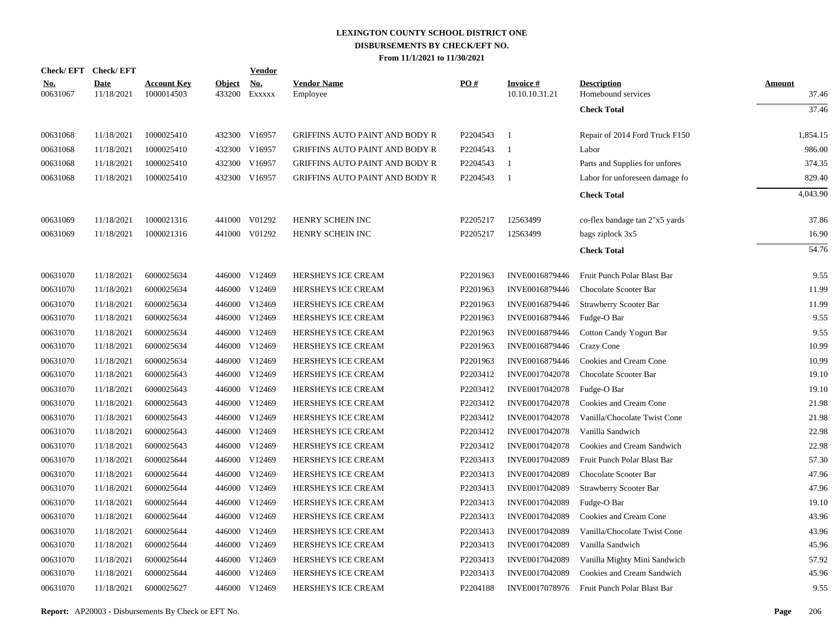|                        | Check/EFT Check/EFT       |                                  |                         | <b>Vendor</b>        |                                       |          |                             |                                          |                        |
|------------------------|---------------------------|----------------------------------|-------------------------|----------------------|---------------------------------------|----------|-----------------------------|------------------------------------------|------------------------|
| <u>No.</u><br>00631067 | <b>Date</b><br>11/18/2021 | <b>Account Key</b><br>1000014503 | <b>Object</b><br>433200 | <u>No.</u><br>Exxxxx | <b>Vendor Name</b><br>Employee        | PO#      | Invoice #<br>10.10.10.31.21 | <b>Description</b><br>Homebound services | <b>Amount</b><br>37.46 |
|                        |                           |                                  |                         |                      |                                       |          |                             | <b>Check Total</b>                       | 37.46                  |
| 00631068               | 11/18/2021                | 1000025410                       |                         | 432300 V16957        | <b>GRIFFINS AUTO PAINT AND BODY R</b> | P2204543 | $\overline{1}$              | Repair of 2014 Ford Truck F150           | 1,854.15               |
| 00631068               | 11/18/2021                | 1000025410                       |                         | 432300 V16957        | GRIFFINS AUTO PAINT AND BODY R        | P2204543 | $\overline{1}$              | Labor                                    | 986.00                 |
| 00631068               | 11/18/2021                | 1000025410                       |                         | 432300 V16957        | <b>GRIFFINS AUTO PAINT AND BODY R</b> | P2204543 | - 1                         | Parts and Supplies for unfores           | 374.35                 |
| 00631068               | 11/18/2021                | 1000025410                       |                         | 432300 V16957        | <b>GRIFFINS AUTO PAINT AND BODY R</b> | P2204543 | - 1                         | Labor for unforeseen damage fo           | 829.40                 |
|                        |                           |                                  |                         |                      |                                       |          |                             | <b>Check Total</b>                       | 4,043.90               |
| 00631069               | 11/18/2021                | 1000021316                       |                         | 441000 V01292        | HENRY SCHEIN INC                      | P2205217 | 12563499                    | co-flex bandage tan 2"x5 yards           | 37.86                  |
| 00631069               | 11/18/2021                | 1000021316                       |                         | 441000 V01292        | HENRY SCHEIN INC                      | P2205217 | 12563499                    | bags ziplock 3x5                         | 16.90                  |
|                        |                           |                                  |                         |                      |                                       |          |                             | <b>Check Total</b>                       | 54.76                  |
| 00631070               | 11/18/2021                | 6000025634                       |                         | 446000 V12469        | HERSHEYS ICE CREAM                    | P2201963 | INVE0016879446              | Fruit Punch Polar Blast Bar              | 9.55                   |
| 00631070               | 11/18/2021                | 6000025634                       |                         | 446000 V12469        | HERSHEYS ICE CREAM                    | P2201963 | INVE0016879446              | Chocolate Scooter Bar                    | 11.99                  |
| 00631070               | 11/18/2021                | 6000025634                       |                         | 446000 V12469        | HERSHEYS ICE CREAM                    | P2201963 | INVE0016879446              | <b>Strawberry Scooter Bar</b>            | 11.99                  |
| 00631070               | 11/18/2021                | 6000025634                       |                         | 446000 V12469        | HERSHEYS ICE CREAM                    | P2201963 | INVE0016879446              | Fudge-O Bar                              | 9.55                   |
| 00631070               | 11/18/2021                | 6000025634                       | 446000                  | V12469               | HERSHEYS ICE CREAM                    | P2201963 | INVE0016879446              | Cotton Candy Yogurt Bar                  | 9.55                   |
| 00631070               | 11/18/2021                | 6000025634                       |                         | 446000 V12469        | HERSHEYS ICE CREAM                    | P2201963 | INVE0016879446              | Crazy Cone                               | 10.99                  |
| 00631070               | 11/18/2021                | 6000025634                       |                         | 446000 V12469        | HERSHEYS ICE CREAM                    | P2201963 | INVE0016879446              | Cookies and Cream Cone                   | 10.99                  |
| 00631070               | 11/18/2021                | 6000025643                       |                         | 446000 V12469        | HERSHEYS ICE CREAM                    | P2203412 | INVE0017042078              | Chocolate Scooter Bar                    | 19.10                  |
| 00631070               | 11/18/2021                | 6000025643                       |                         | 446000 V12469        | HERSHEYS ICE CREAM                    | P2203412 | INVE0017042078              | Fudge-O Bar                              | 19.10                  |
| 00631070               | 11/18/2021                | 6000025643                       |                         | 446000 V12469        | HERSHEYS ICE CREAM                    | P2203412 | INVE0017042078              | Cookies and Cream Cone                   | 21.98                  |
| 00631070               | 11/18/2021                | 6000025643                       |                         | 446000 V12469        | HERSHEYS ICE CREAM                    | P2203412 | INVE0017042078              | Vanilla/Chocolate Twist Cone             | 21.98                  |
| 00631070               | 11/18/2021                | 6000025643                       |                         | 446000 V12469        | HERSHEYS ICE CREAM                    | P2203412 | INVE0017042078              | Vanilla Sandwich                         | 22.98                  |
| 00631070               | 11/18/2021                | 6000025643                       |                         | 446000 V12469        | HERSHEYS ICE CREAM                    | P2203412 | INVE0017042078              | Cookies and Cream Sandwich               | 22.98                  |
| 00631070               | 11/18/2021                | 6000025644                       |                         | 446000 V12469        | HERSHEYS ICE CREAM                    | P2203413 | INVE0017042089              | Fruit Punch Polar Blast Bar              | 57.30                  |
| 00631070               | 11/18/2021                | 6000025644                       |                         | 446000 V12469        | HERSHEYS ICE CREAM                    | P2203413 | INVE0017042089              | Chocolate Scooter Bar                    | 47.96                  |
| 00631070               | 11/18/2021                | 6000025644                       |                         | 446000 V12469        | HERSHEYS ICE CREAM                    | P2203413 | INVE0017042089              | Strawberry Scooter Bar                   | 47.96                  |
| 00631070               | 11/18/2021                | 6000025644                       |                         | 446000 V12469        | HERSHEYS ICE CREAM                    | P2203413 | INVE0017042089              | Fudge-O Bar                              | 19.10                  |
| 00631070               | 11/18/2021                | 6000025644                       |                         | 446000 V12469        | HERSHEYS ICE CREAM                    | P2203413 | INVE0017042089              | Cookies and Cream Cone                   | 43.96                  |
| 00631070               | 11/18/2021                | 6000025644                       | 446000                  | V12469               | HERSHEYS ICE CREAM                    | P2203413 | INVE0017042089              | Vanilla/Chocolate Twist Cone             | 43.96                  |
| 00631070               | 11/18/2021                | 6000025644                       |                         | 446000 V12469        | HERSHEYS ICE CREAM                    | P2203413 | INVE0017042089              | Vanilla Sandwich                         | 45.96                  |
| 00631070               | 11/18/2021                | 6000025644                       |                         | 446000 V12469        | HERSHEYS ICE CREAM                    | P2203413 | INVE0017042089              | Vanilla Mighty Mini Sandwich             | 57.92                  |
| 00631070               | 11/18/2021                | 6000025644                       |                         | 446000 V12469        | HERSHEYS ICE CREAM                    | P2203413 | INVE0017042089              | Cookies and Cream Sandwich               | 45.96                  |
| 00631070               | 11/18/2021                | 6000025627                       |                         | 446000 V12469        | <b>HERSHEYS ICE CREAM</b>             | P2204188 | INVE0017078976              | Fruit Punch Polar Blast Bar              | 9.55                   |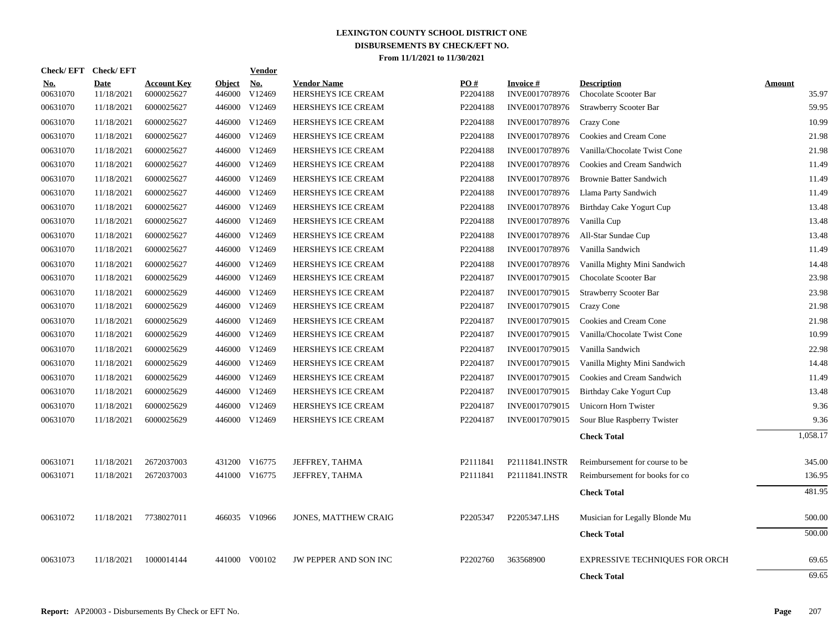|                        | Check/EFT Check/EFT       |                                  |                         | Vendor               |                                          |                 |                                   |                                             |        |          |
|------------------------|---------------------------|----------------------------------|-------------------------|----------------------|------------------------------------------|-----------------|-----------------------------------|---------------------------------------------|--------|----------|
| <b>No.</b><br>00631070 | <b>Date</b><br>11/18/2021 | <b>Account Key</b><br>6000025627 | <b>Object</b><br>446000 | <b>No.</b><br>V12469 | <b>Vendor Name</b><br>HERSHEYS ICE CREAM | PO#<br>P2204188 | <b>Invoice#</b><br>INVE0017078976 | <b>Description</b><br>Chocolate Scooter Bar | Amount | 35.97    |
| 00631070               | 11/18/2021                | 6000025627                       |                         | 446000 V12469        | HERSHEYS ICE CREAM                       | P2204188        | INVE0017078976                    | Strawberry Scooter Bar                      |        | 59.95    |
| 00631070               | 11/18/2021                | 6000025627                       | 446000                  | V12469               | HERSHEYS ICE CREAM                       | P2204188        | INVE0017078976                    | Crazy Cone                                  |        | 10.99    |
| 00631070               | 11/18/2021                | 6000025627                       | 446000                  | V12469               | HERSHEYS ICE CREAM                       | P2204188        | INVE0017078976                    | Cookies and Cream Cone                      |        | 21.98    |
| 00631070               | 11/18/2021                | 6000025627                       | 446000                  | V12469               | HERSHEYS ICE CREAM                       | P2204188        | INVE0017078976                    | Vanilla/Chocolate Twist Cone                |        | 21.98    |
| 00631070               | 11/18/2021                | 6000025627                       | 446000                  | V12469               | HERSHEYS ICE CREAM                       | P2204188        | INVE0017078976                    | Cookies and Cream Sandwich                  |        | 11.49    |
| 00631070               | 11/18/2021                | 6000025627                       | 446000                  | V12469               | HERSHEYS ICE CREAM                       | P2204188        | INVE0017078976                    | <b>Brownie Batter Sandwich</b>              |        | 11.49    |
| 00631070               | 11/18/2021                | 6000025627                       |                         | 446000 V12469        | HERSHEYS ICE CREAM                       | P2204188        | INVE0017078976                    | Llama Party Sandwich                        |        | 11.49    |
| 00631070               | 11/18/2021                | 6000025627                       |                         | 446000 V12469        | HERSHEYS ICE CREAM                       | P2204188        | INVE0017078976                    | Birthday Cake Yogurt Cup                    |        | 13.48    |
| 00631070               | 11/18/2021                | 6000025627                       |                         | 446000 V12469        | <b>HERSHEYS ICE CREAM</b>                | P2204188        | INVE0017078976                    | Vanilla Cup                                 |        | 13.48    |
| 00631070               | 11/18/2021                | 6000025627                       |                         | 446000 V12469        | HERSHEYS ICE CREAM                       | P2204188        | INVE0017078976                    | All-Star Sundae Cup                         |        | 13.48    |
| 00631070               | 11/18/2021                | 6000025627                       | 446000                  | V12469               | HERSHEYS ICE CREAM                       | P2204188        | INVE0017078976                    | Vanilla Sandwich                            |        | 11.49    |
| 00631070               | 11/18/2021                | 6000025627                       |                         | 446000 V12469        | <b>HERSHEYS ICE CREAM</b>                | P2204188        | INVE0017078976                    | Vanilla Mighty Mini Sandwich                |        | 14.48    |
| 00631070               | 11/18/2021                | 6000025629                       |                         | 446000 V12469        | <b>HERSHEYS ICE CREAM</b>                | P2204187        | INVE0017079015                    | Chocolate Scooter Bar                       |        | 23.98    |
| 00631070               | 11/18/2021                | 6000025629                       |                         | 446000 V12469        | HERSHEYS ICE CREAM                       | P2204187        | INVE0017079015                    | Strawberry Scooter Bar                      |        | 23.98    |
| 00631070               | 11/18/2021                | 6000025629                       |                         | 446000 V12469        | HERSHEYS ICE CREAM                       | P2204187        | INVE0017079015                    | <b>Crazy Cone</b>                           |        | 21.98    |
| 00631070               | 11/18/2021                | 6000025629                       |                         | 446000 V12469        | HERSHEYS ICE CREAM                       | P2204187        | INVE0017079015                    | Cookies and Cream Cone                      |        | 21.98    |
| 00631070               | 11/18/2021                | 6000025629                       |                         | 446000 V12469        | HERSHEYS ICE CREAM                       | P2204187        | INVE0017079015                    | Vanilla/Chocolate Twist Cone                |        | 10.99    |
| 00631070               | 11/18/2021                | 6000025629                       |                         | 446000 V12469        | HERSHEYS ICE CREAM                       | P2204187        | INVE0017079015                    | Vanilla Sandwich                            |        | 22.98    |
| 00631070               | 11/18/2021                | 6000025629                       |                         | 446000 V12469        | HERSHEYS ICE CREAM                       | P2204187        | INVE0017079015                    | Vanilla Mighty Mini Sandwich                |        | 14.48    |
| 00631070               | 11/18/2021                | 6000025629                       |                         | 446000 V12469        | HERSHEYS ICE CREAM                       | P2204187        | INVE0017079015                    | Cookies and Cream Sandwich                  |        | 11.49    |
| 00631070               | 11/18/2021                | 6000025629                       |                         | 446000 V12469        | HERSHEYS ICE CREAM                       | P2204187        | INVE0017079015                    | Birthday Cake Yogurt Cup                    |        | 13.48    |
| 00631070               | 11/18/2021                | 6000025629                       |                         | 446000 V12469        | HERSHEYS ICE CREAM                       | P2204187        | INVE0017079015                    | Unicorn Horn Twister                        |        | 9.36     |
| 00631070               | 11/18/2021                | 6000025629                       |                         | 446000 V12469        | HERSHEYS ICE CREAM                       | P2204187        | INVE0017079015                    | Sour Blue Raspberry Twister                 |        | 9.36     |
|                        |                           |                                  |                         |                      |                                          |                 |                                   | <b>Check Total</b>                          |        | 1,058.17 |
| 00631071               | 11/18/2021                | 2672037003                       |                         | 431200 V16775        | JEFFREY, TAHMA                           | P2111841        | P2111841.INSTR                    | Reimbursement for course to be              |        | 345.00   |
| 00631071               | 11/18/2021                | 2672037003                       |                         | 441000 V16775        | JEFFREY, TAHMA                           | P2111841        | P2111841.INSTR                    | Reimbursement for books for co              |        | 136.95   |
|                        |                           |                                  |                         |                      |                                          |                 |                                   | <b>Check Total</b>                          |        | 481.95   |
| 00631072               | 11/18/2021                | 7738027011                       |                         | 466035 V10966        | <b>JONES, MATTHEW CRAIG</b>              | P2205347        | P2205347.LHS                      | Musician for Legally Blonde Mu              |        | 500.00   |
|                        |                           |                                  |                         |                      |                                          |                 |                                   | <b>Check Total</b>                          |        | 500.00   |
| 00631073               | 11/18/2021                | 1000014144                       | 441000                  | V00102               | JW PEPPER AND SON INC                    | P2202760        | 363568900                         | <b>EXPRESSIVE TECHNIQUES FOR ORCH</b>       |        | 69.65    |
|                        |                           |                                  |                         |                      |                                          |                 |                                   | <b>Check Total</b>                          |        | 69.65    |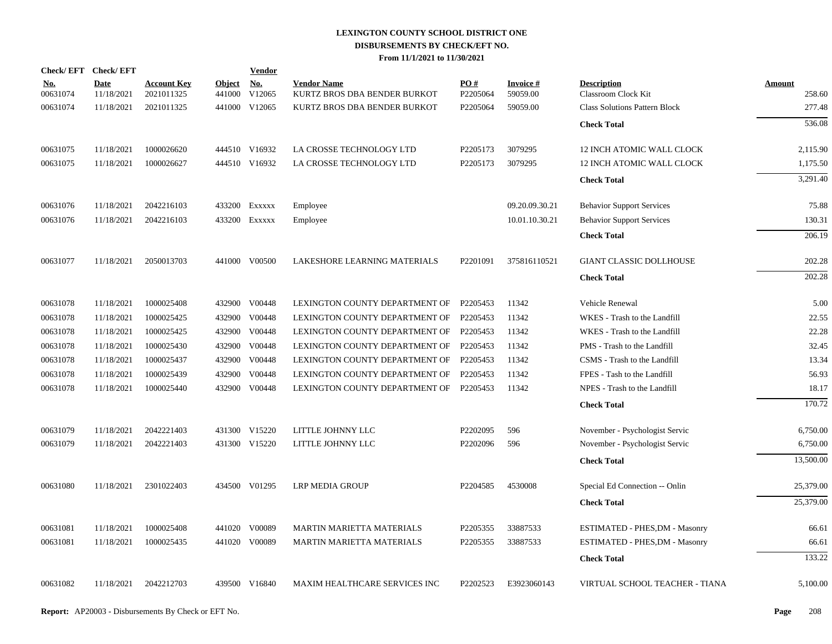|                        | Check/EFT Check/EFT       |                                  |                         | <b>Vendor</b>        |                                                    |                      |                             |                                           |                         |
|------------------------|---------------------------|----------------------------------|-------------------------|----------------------|----------------------------------------------------|----------------------|-----------------------------|-------------------------------------------|-------------------------|
| <u>No.</u><br>00631074 | <b>Date</b><br>11/18/2021 | <b>Account Key</b><br>2021011325 | <b>Object</b><br>441000 | <u>No.</u><br>V12065 | <b>Vendor Name</b><br>KURTZ BROS DBA BENDER BURKOT | PO#<br>P2205064      | <b>Invoice#</b><br>59059.00 | <b>Description</b><br>Classroom Clock Kit | <b>Amount</b><br>258.60 |
| 00631074               | 11/18/2021                | 2021011325                       |                         | 441000 V12065        | KURTZ BROS DBA BENDER BURKOT                       | P2205064             | 59059.00                    | <b>Class Solutions Pattern Block</b>      | 277.48                  |
|                        |                           |                                  |                         |                      |                                                    |                      |                             | <b>Check Total</b>                        | 536.08                  |
| 00631075               | 11/18/2021                | 1000026620                       |                         | 444510 V16932        | LA CROSSE TECHNOLOGY LTD                           | P2205173             | 3079295                     | 12 INCH ATOMIC WALL CLOCK                 | 2,115.90                |
| 00631075               | 11/18/2021                | 1000026627                       |                         | 444510 V16932        | LA CROSSE TECHNOLOGY LTD                           | P2205173             | 3079295                     | 12 INCH ATOMIC WALL CLOCK                 | 1,175.50                |
|                        |                           |                                  |                         |                      |                                                    |                      |                             | <b>Check Total</b>                        | 3,291.40                |
| 00631076               | 11/18/2021                | 2042216103                       |                         | 433200 Exxxxx        | Employee                                           |                      | 09.20.09.30.21              | <b>Behavior Support Services</b>          | 75.88                   |
| 00631076               | 11/18/2021                | 2042216103                       |                         | 433200 Exxxxx        | Employee                                           |                      | 10.01.10.30.21              | <b>Behavior Support Services</b>          | 130.31                  |
|                        |                           |                                  |                         |                      |                                                    |                      |                             | <b>Check Total</b>                        | 206.19                  |
| 00631077               | 11/18/2021                | 2050013703                       |                         | 441000 V00500        | LAKESHORE LEARNING MATERIALS                       | P <sub>2201091</sub> | 375816110521                | GIANT CLASSIC DOLLHOUSE                   | 202.28                  |
|                        |                           |                                  |                         |                      |                                                    |                      |                             | <b>Check Total</b>                        | 202.28                  |
| 00631078               | 11/18/2021                | 1000025408                       |                         | 432900 V00448        | LEXINGTON COUNTY DEPARTMENT OF                     | P2205453             | 11342                       | Vehicle Renewal                           | 5.00                    |
| 00631078               | 11/18/2021                | 1000025425                       | 432900                  | V00448               | LEXINGTON COUNTY DEPARTMENT OF                     | P2205453             | 11342                       | WKES - Trash to the Landfill              | 22.55                   |
| 00631078               | 11/18/2021                | 1000025425                       |                         | 432900 V00448        | LEXINGTON COUNTY DEPARTMENT OF                     | P2205453             | 11342                       | WKES - Trash to the Landfill              | 22.28                   |
| 00631078               | 11/18/2021                | 1000025430                       | 432900                  | V00448               | LEXINGTON COUNTY DEPARTMENT OF                     | P2205453             | 11342                       | PMS - Trash to the Landfill               | 32.45                   |
| 00631078               | 11/18/2021                | 1000025437                       |                         | 432900 V00448        | LEXINGTON COUNTY DEPARTMENT OF                     | P2205453             | 11342                       | CSMS - Trash to the Landfill              | 13.34                   |
| 00631078               | 11/18/2021                | 1000025439                       | 432900                  | V00448               | LEXINGTON COUNTY DEPARTMENT OF                     | P2205453             | 11342                       | FPES - Tash to the Landfill               | 56.93                   |
| 00631078               | 11/18/2021                | 1000025440                       |                         | 432900 V00448        | LEXINGTON COUNTY DEPARTMENT OF                     | P2205453             | 11342                       | NPES - Trash to the Landfill              | 18.17                   |
|                        |                           |                                  |                         |                      |                                                    |                      |                             | <b>Check Total</b>                        | 170.72                  |
| 00631079               | 11/18/2021                | 2042221403                       |                         | 431300 V15220        | LITTLE JOHNNY LLC                                  | P2202095             | 596                         | November - Psychologist Servic            | 6,750.00                |
| 00631079               | 11/18/2021                | 2042221403                       |                         | 431300 V15220        | LITTLE JOHNNY LLC                                  | P2202096             | 596                         | November - Psychologist Servic            | 6,750.00                |
|                        |                           |                                  |                         |                      |                                                    |                      |                             | <b>Check Total</b>                        | 13,500.00               |
| 00631080               | 11/18/2021                | 2301022403                       |                         | 434500 V01295        | <b>LRP MEDIA GROUP</b>                             | P2204585             | 4530008                     | Special Ed Connection -- Onlin            | 25,379.00               |
|                        |                           |                                  |                         |                      |                                                    |                      |                             | <b>Check Total</b>                        | 25,379.00               |
| 00631081               | 11/18/2021                | 1000025408                       |                         | 441020 V00089        | <b>MARTIN MARIETTA MATERIALS</b>                   | P2205355             | 33887533                    | ESTIMATED - PHES, DM - Masonry            | 66.61                   |
| 00631081               | 11/18/2021                | 1000025435                       |                         | 441020 V00089        | <b>MARTIN MARIETTA MATERIALS</b>                   | P2205355             | 33887533                    | ESTIMATED - PHES, DM - Masonry            | 66.61                   |
|                        |                           |                                  |                         |                      |                                                    |                      |                             | <b>Check Total</b>                        | 133.22                  |
| 00631082               | 11/18/2021                | 2042212703                       |                         | 439500 V16840        | MAXIM HEALTHCARE SERVICES INC                      | P2202523             | E3923060143                 | VIRTUAL SCHOOL TEACHER - TIANA            | 5,100.00                |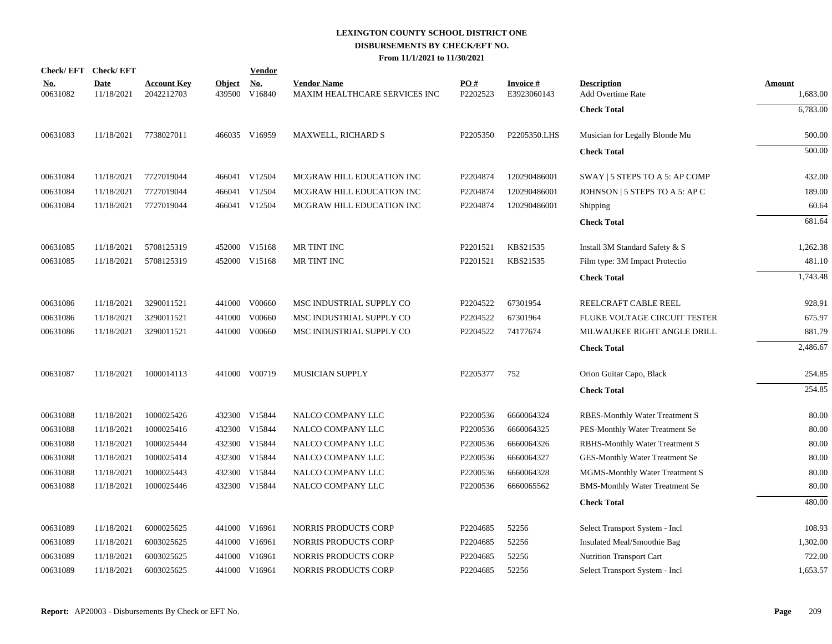| Check/EFT Check/EFT    |                           |                                  |                         | <b>Vendor</b>                         |                                                     |                               |                                |                                         |                           |
|------------------------|---------------------------|----------------------------------|-------------------------|---------------------------------------|-----------------------------------------------------|-------------------------------|--------------------------------|-----------------------------------------|---------------------------|
| <u>No.</u><br>00631082 | <b>Date</b><br>11/18/2021 | <b>Account Key</b><br>2042212703 | <b>Object</b><br>439500 | $\underline{\mathrm{No}}$ .<br>V16840 | <b>Vendor Name</b><br>MAXIM HEALTHCARE SERVICES INC | $\underline{PO#}$<br>P2202523 | <b>Invoice#</b><br>E3923060143 | <b>Description</b><br>Add Overtime Rate | <b>Amount</b><br>1,683.00 |
|                        |                           |                                  |                         |                                       |                                                     |                               |                                | <b>Check Total</b>                      | 6,783.00                  |
| 00631083               | 11/18/2021                | 7738027011                       |                         | 466035 V16959                         | MAXWELL, RICHARD S                                  | P2205350                      | P2205350.LHS                   | Musician for Legally Blonde Mu          | 500.00                    |
|                        |                           |                                  |                         |                                       |                                                     |                               |                                | <b>Check Total</b>                      | 500.00                    |
| 00631084               | 11/18/2021                | 7727019044                       |                         | 466041 V12504                         | MCGRAW HILL EDUCATION INC                           | P2204874                      | 120290486001                   | SWAY   5 STEPS TO A 5: AP COMP          | 432.00                    |
| 00631084               | 11/18/2021                | 7727019044                       |                         | 466041 V12504                         | MCGRAW HILL EDUCATION INC                           | P2204874                      | 120290486001                   | JOHNSON   5 STEPS TO A 5: AP C          | 189.00                    |
| 00631084               | 11/18/2021                | 7727019044                       |                         | 466041 V12504                         | MCGRAW HILL EDUCATION INC                           | P2204874                      | 120290486001                   | Shipping                                | 60.64                     |
|                        |                           |                                  |                         |                                       |                                                     |                               |                                | <b>Check Total</b>                      | 681.64                    |
| 00631085               | 11/18/2021                | 5708125319                       |                         | 452000 V15168                         | MR TINT INC                                         | P2201521                      | KBS21535                       | Install 3M Standard Safety & S          | 1,262.38                  |
| 00631085               | 11/18/2021                | 5708125319                       |                         | 452000 V15168                         | MR TINT INC                                         | P2201521                      | KBS21535                       | Film type: 3M Impact Protectio          | 481.10                    |
|                        |                           |                                  |                         |                                       |                                                     |                               |                                | <b>Check Total</b>                      | 1,743.48                  |
| 00631086               | 11/18/2021                | 3290011521                       |                         | 441000 V00660                         | MSC INDUSTRIAL SUPPLY CO                            | P2204522                      | 67301954                       | REELCRAFT CABLE REEL                    | 928.91                    |
| 00631086               | 11/18/2021                | 3290011521                       | 441000                  | V00660                                | MSC INDUSTRIAL SUPPLY CO                            | P2204522                      | 67301964                       | FLUKE VOLTAGE CIRCUIT TESTER            | 675.97                    |
| 00631086               | 11/18/2021                | 3290011521                       |                         | 441000 V00660                         | MSC INDUSTRIAL SUPPLY CO                            | P2204522                      | 74177674                       | MILWAUKEE RIGHT ANGLE DRILL             | 881.79                    |
|                        |                           |                                  |                         |                                       |                                                     |                               |                                | <b>Check Total</b>                      | 2,486.67                  |
| 00631087               | 11/18/2021                | 1000014113                       |                         | 441000 V00719                         | <b>MUSICIAN SUPPLY</b>                              | P2205377                      | 752                            | Orion Guitar Capo, Black                | 254.85                    |
|                        |                           |                                  |                         |                                       |                                                     |                               |                                | <b>Check Total</b>                      | 254.85                    |
| 00631088               | 11/18/2021                | 1000025426                       |                         | 432300 V15844                         | NALCO COMPANY LLC                                   | P2200536                      | 6660064324                     | <b>RBES-Monthly Water Treatment S</b>   | 80.00                     |
| 00631088               | 11/18/2021                | 1000025416                       |                         | 432300 V15844                         | NALCO COMPANY LLC                                   | P2200536                      | 6660064325                     | PES-Monthly Water Treatment Se          | 80.00                     |
| 00631088               | 11/18/2021                | 1000025444                       |                         | 432300 V15844                         | NALCO COMPANY LLC                                   | P2200536                      | 6660064326                     | RBHS-Monthly Water Treatment S          | 80.00                     |
| 00631088               | 11/18/2021                | 1000025414                       |                         | 432300 V15844                         | NALCO COMPANY LLC                                   | P2200536                      | 6660064327                     | GES-Monthly Water Treatment Se          | 80.00                     |
| 00631088               | 11/18/2021                | 1000025443                       |                         | 432300 V15844                         | NALCO COMPANY LLC                                   | P2200536                      | 6660064328                     | MGMS-Monthly Water Treatment S          | 80.00                     |
| 00631088               | 11/18/2021                | 1000025446                       |                         | 432300 V15844                         | NALCO COMPANY LLC                                   | P2200536                      | 6660065562                     | <b>BMS-Monthly Water Treatment Se</b>   | 80.00                     |
|                        |                           |                                  |                         |                                       |                                                     |                               |                                | <b>Check Total</b>                      | 480.00                    |
| 00631089               | 11/18/2021                | 6000025625                       |                         | 441000 V16961                         | NORRIS PRODUCTS CORP                                | P2204685                      | 52256                          | Select Transport System - Incl          | 108.93                    |
| 00631089               | 11/18/2021                | 6003025625                       |                         | 441000 V16961                         | NORRIS PRODUCTS CORP                                | P2204685                      | 52256                          | Insulated Meal/Smoothie Bag             | 1,302.00                  |
| 00631089               | 11/18/2021                | 6003025625                       | 441000                  | V16961                                | NORRIS PRODUCTS CORP                                | P2204685                      | 52256                          | Nutrition Transport Cart                | 722.00                    |
| 00631089               | 11/18/2021                | 6003025625                       |                         | 441000 V16961                         | NORRIS PRODUCTS CORP                                | P2204685                      | 52256                          | Select Transport System - Incl          | 1,653.57                  |
|                        |                           |                                  |                         |                                       |                                                     |                               |                                |                                         |                           |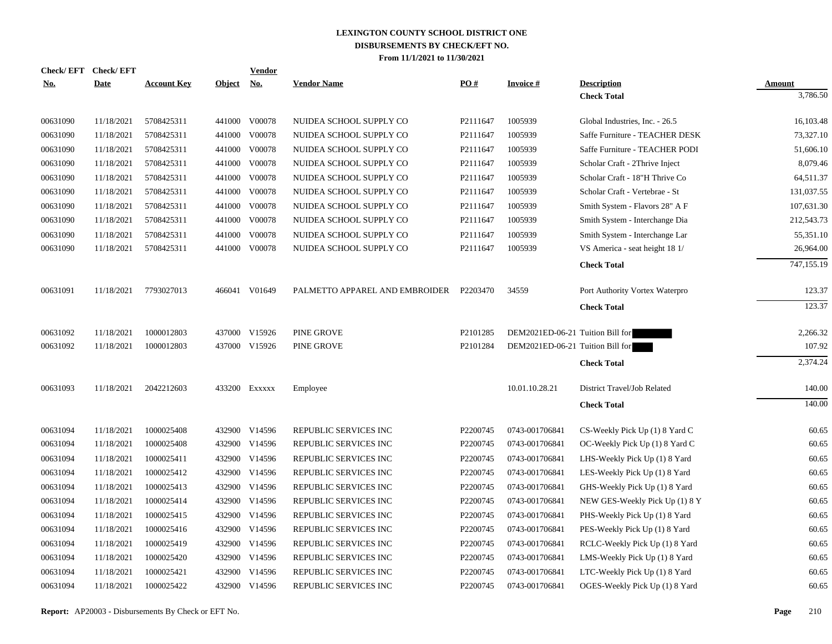| <b>No.</b> | Check/EFT Check/EFT<br><b>Date</b> | <b>Account Key</b> | Object No. | <b>Vendor</b> | <b>Vendor Name</b>             | PO#                  | <b>Invoice#</b>                  | <b>Description</b>             | Amount     |
|------------|------------------------------------|--------------------|------------|---------------|--------------------------------|----------------------|----------------------------------|--------------------------------|------------|
|            |                                    |                    |            |               |                                |                      |                                  | <b>Check Total</b>             | 3,786.50   |
| 00631090   | 11/18/2021                         | 5708425311         |            | 441000 V00078 | NUIDEA SCHOOL SUPPLY CO        | P2111647             | 1005939                          | Global Industries, Inc. - 26.5 | 16,103.48  |
| 00631090   | 11/18/2021                         | 5708425311         |            | 441000 V00078 | NUIDEA SCHOOL SUPPLY CO        | P2111647             | 1005939                          | Saffe Furniture - TEACHER DESK | 73,327.10  |
| 00631090   | 11/18/2021                         | 5708425311         |            | 441000 V00078 | NUIDEA SCHOOL SUPPLY CO        | P2111647             | 1005939                          | Saffe Furniture - TEACHER PODI | 51,606.10  |
| 00631090   | 11/18/2021                         | 5708425311         |            | 441000 V00078 | NUIDEA SCHOOL SUPPLY CO        | P2111647             | 1005939                          | Scholar Craft - 2Thrive Inject | 8,079.46   |
| 00631090   | 11/18/2021                         | 5708425311         |            | 441000 V00078 | NUIDEA SCHOOL SUPPLY CO        | P2111647             | 1005939                          | Scholar Craft - 18"H Thrive Co | 64,511.37  |
| 00631090   | 11/18/2021                         | 5708425311         |            | 441000 V00078 | NUIDEA SCHOOL SUPPLY CO        | P2111647             | 1005939                          | Scholar Craft - Vertebrae - St | 131,037.55 |
| 00631090   | 11/18/2021                         | 5708425311         |            | 441000 V00078 | NUIDEA SCHOOL SUPPLY CO        | P2111647             | 1005939                          | Smith System - Flavors 28" A F | 107,631.30 |
| 00631090   | 11/18/2021                         | 5708425311         |            | 441000 V00078 | NUIDEA SCHOOL SUPPLY CO        | P2111647             | 1005939                          | Smith System - Interchange Dia | 212,543.73 |
| 00631090   | 11/18/2021                         | 5708425311         |            | 441000 V00078 | NUIDEA SCHOOL SUPPLY CO        | P2111647             | 1005939                          | Smith System - Interchange Lar | 55,351.10  |
| 00631090   | 11/18/2021                         | 5708425311         |            | 441000 V00078 | NUIDEA SCHOOL SUPPLY CO        | P2111647             | 1005939                          | VS America - seat height 18 1/ | 26,964.00  |
|            |                                    |                    |            |               |                                |                      |                                  | <b>Check Total</b>             | 747,155.19 |
| 00631091   | 11/18/2021                         | 7793027013         |            | 466041 V01649 | PALMETTO APPAREL AND EMBROIDER | P2203470             | 34559                            | Port Authority Vortex Waterpro | 123.37     |
|            |                                    |                    |            |               |                                |                      |                                  | <b>Check Total</b>             | 123.37     |
| 00631092   | 11/18/2021                         | 1000012803         |            | 437000 V15926 | PINE GROVE                     | P <sub>2101285</sub> | DEM2021ED-06-21 Tuition Bill for |                                | 2,266.32   |
| 00631092   | 11/18/2021                         | 1000012803         |            | 437000 V15926 | PINE GROVE                     | P2101284             | DEM2021ED-06-21 Tuition Bill for |                                | 107.92     |
|            |                                    |                    |            |               |                                |                      |                                  | <b>Check Total</b>             | 2,374.24   |
| 00631093   | 11/18/2021                         | 2042212603         |            | 433200 Exxxxx | Employee                       |                      | 10.01.10.28.21                   | District Travel/Job Related    | 140.00     |
|            |                                    |                    |            |               |                                |                      |                                  | <b>Check Total</b>             | 140.00     |
| 00631094   | 11/18/2021                         | 1000025408         |            | 432900 V14596 | REPUBLIC SERVICES INC          | P2200745             | 0743-001706841                   | CS-Weekly Pick Up (1) 8 Yard C | 60.65      |
| 00631094   | 11/18/2021                         | 1000025408         |            | 432900 V14596 | REPUBLIC SERVICES INC          | P2200745             | 0743-001706841                   | OC-Weekly Pick Up (1) 8 Yard C | 60.65      |
| 00631094   | 11/18/2021                         | 1000025411         | 432900     | V14596        | REPUBLIC SERVICES INC          | P2200745             | 0743-001706841                   | LHS-Weekly Pick Up (1) 8 Yard  | 60.65      |
| 00631094   | 11/18/2021                         | 1000025412         |            | 432900 V14596 | REPUBLIC SERVICES INC          | P2200745             | 0743-001706841                   | LES-Weekly Pick Up (1) 8 Yard  | 60.65      |
| 00631094   | 11/18/2021                         | 1000025413         | 432900     | V14596        | REPUBLIC SERVICES INC          | P2200745             | 0743-001706841                   | GHS-Weekly Pick Up (1) 8 Yard  | 60.65      |
| 00631094   | 11/18/2021                         | 1000025414         |            | 432900 V14596 | REPUBLIC SERVICES INC          | P2200745             | 0743-001706841                   | NEW GES-Weekly Pick Up (1) 8 Y | 60.65      |
| 00631094   | 11/18/2021                         | 1000025415         | 432900     | V14596        | REPUBLIC SERVICES INC          | P2200745             | 0743-001706841                   | PHS-Weekly Pick Up (1) 8 Yard  | 60.65      |
| 00631094   | 11/18/2021                         | 1000025416         |            | 432900 V14596 | REPUBLIC SERVICES INC          | P2200745             | 0743-001706841                   | PES-Weekly Pick Up (1) 8 Yard  | 60.65      |
| 00631094   | 11/18/2021                         | 1000025419         | 432900     | V14596        | REPUBLIC SERVICES INC          | P2200745             | 0743-001706841                   | RCLC-Weekly Pick Up (1) 8 Yard | 60.65      |
| 00631094   | 11/18/2021                         | 1000025420         |            | 432900 V14596 | REPUBLIC SERVICES INC          | P2200745             | 0743-001706841                   | LMS-Weekly Pick Up (1) 8 Yard  | 60.65      |
| 00631094   | 11/18/2021                         | 1000025421         |            | 432900 V14596 | REPUBLIC SERVICES INC          | P2200745             | 0743-001706841                   | LTC-Weekly Pick Up (1) 8 Yard  | 60.65      |
| 00631094   | 11/18/2021                         | 1000025422         |            | 432900 V14596 | REPUBLIC SERVICES INC          | P2200745             | 0743-001706841                   | OGES-Weekly Pick Up (1) 8 Yard | 60.65      |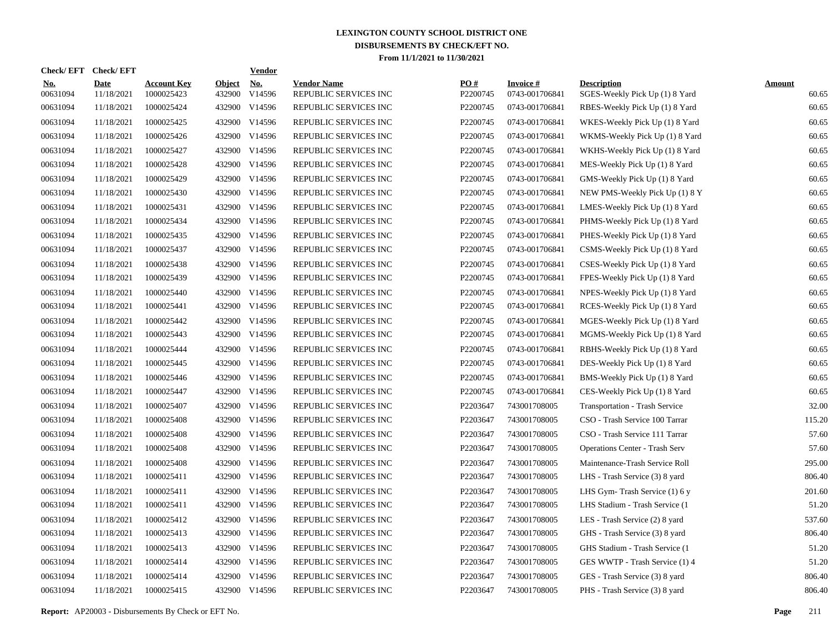| Check/ EFT             | <b>Check/EFT</b>          |                                  |                         | <b>Vendor</b> |                                             |                 |                                   |                                                      |                        |
|------------------------|---------------------------|----------------------------------|-------------------------|---------------|---------------------------------------------|-----------------|-----------------------------------|------------------------------------------------------|------------------------|
| <u>No.</u><br>00631094 | <b>Date</b><br>11/18/2021 | <b>Account Key</b><br>1000025423 | <b>Object</b><br>432900 | No.<br>V14596 | <b>Vendor Name</b><br>REPUBLIC SERVICES INC | PO#<br>P2200745 | <b>Invoice#</b><br>0743-001706841 | <b>Description</b><br>SGES-Weekly Pick Up (1) 8 Yard | <b>Amount</b><br>60.65 |
| 00631094               | 11/18/2021                | 1000025424                       |                         | 432900 V14596 | REPUBLIC SERVICES INC                       | P2200745        | 0743-001706841                    | RBES-Weekly Pick Up (1) 8 Yard                       | 60.65                  |
| 00631094               | 11/18/2021                | 1000025425                       |                         | 432900 V14596 | REPUBLIC SERVICES INC                       | P2200745        | 0743-001706841                    | WKES-Weekly Pick Up (1) 8 Yard                       | 60.65                  |
| 00631094               | 11/18/2021                | 1000025426                       |                         | 432900 V14596 | REPUBLIC SERVICES INC                       | P2200745        | 0743-001706841                    | WKMS-Weekly Pick Up (1) 8 Yard                       | 60.65                  |
| 00631094               | 11/18/2021                | 1000025427                       |                         | 432900 V14596 | REPUBLIC SERVICES INC                       | P2200745        | 0743-001706841                    | WKHS-Weekly Pick Up (1) 8 Yard                       | 60.65                  |
| 00631094               | 11/18/2021                | 1000025428                       |                         | 432900 V14596 | REPUBLIC SERVICES INC                       | P2200745        | 0743-001706841                    | MES-Weekly Pick Up (1) 8 Yard                        | 60.65                  |
| 00631094               | 11/18/2021                | 1000025429                       |                         | 432900 V14596 | REPUBLIC SERVICES INC                       | P2200745        | 0743-001706841                    | GMS-Weekly Pick Up (1) 8 Yard                        | 60.65                  |
| 00631094               | 11/18/2021                | 1000025430                       |                         | 432900 V14596 | REPUBLIC SERVICES INC                       | P2200745        | 0743-001706841                    | NEW PMS-Weekly Pick Up (1) 8 Y                       | 60.65                  |
| 00631094               | 11/18/2021                | 1000025431                       |                         | 432900 V14596 | REPUBLIC SERVICES INC                       | P2200745        | 0743-001706841                    | LMES-Weekly Pick Up (1) 8 Yard                       | 60.65                  |
| 00631094               | 11/18/2021                | 1000025434                       |                         | 432900 V14596 | REPUBLIC SERVICES INC                       | P2200745        | 0743-001706841                    | PHMS-Weekly Pick Up (1) 8 Yard                       | 60.65                  |
| 00631094               | 11/18/2021                | 1000025435                       |                         | 432900 V14596 | REPUBLIC SERVICES INC                       | P2200745        | 0743-001706841                    | PHES-Weekly Pick Up (1) 8 Yard                       | 60.65                  |
| 00631094               | 11/18/2021                | 1000025437                       |                         | 432900 V14596 | REPUBLIC SERVICES INC                       | P2200745        | 0743-001706841                    | CSMS-Weekly Pick Up (1) 8 Yard                       | 60.65                  |
| 00631094               | 11/18/2021                | 1000025438                       |                         | 432900 V14596 | REPUBLIC SERVICES INC                       | P2200745        | 0743-001706841                    | CSES-Weekly Pick Up (1) 8 Yard                       | 60.65                  |
| 00631094               | 11/18/2021                | 1000025439                       |                         | 432900 V14596 | REPUBLIC SERVICES INC                       | P2200745        | 0743-001706841                    | FPES-Weekly Pick Up (1) 8 Yard                       | 60.65                  |
| 00631094               | 11/18/2021                | 1000025440                       |                         | 432900 V14596 | REPUBLIC SERVICES INC                       | P2200745        | 0743-001706841                    | NPES-Weekly Pick Up (1) 8 Yard                       | 60.65                  |
| 00631094               | 11/18/2021                | 1000025441                       |                         | 432900 V14596 | REPUBLIC SERVICES INC                       | P2200745        | 0743-001706841                    | RCES-Weekly Pick Up (1) 8 Yard                       | 60.65                  |
| 00631094               | 11/18/2021                | 1000025442                       |                         | 432900 V14596 | REPUBLIC SERVICES INC                       | P2200745        | 0743-001706841                    | MGES-Weekly Pick Up (1) 8 Yard                       | 60.65                  |
| 00631094               | 11/18/2021                | 1000025443                       |                         | 432900 V14596 | REPUBLIC SERVICES INC                       | P2200745        | 0743-001706841                    | MGMS-Weekly Pick Up (1) 8 Yard                       | 60.65                  |
| 00631094               | 11/18/2021                | 1000025444                       |                         | 432900 V14596 | REPUBLIC SERVICES INC                       | P2200745        | 0743-001706841                    | RBHS-Weekly Pick Up (1) 8 Yard                       | 60.65                  |
| 00631094               | 11/18/2021                | 1000025445                       |                         | 432900 V14596 | REPUBLIC SERVICES INC                       | P2200745        | 0743-001706841                    | DES-Weekly Pick Up (1) 8 Yard                        | 60.65                  |
| 00631094               | 11/18/2021                | 1000025446                       |                         | 432900 V14596 | REPUBLIC SERVICES INC                       | P2200745        | 0743-001706841                    | BMS-Weekly Pick Up (1) 8 Yard                        | 60.65                  |
| 00631094               | 11/18/2021                | 1000025447                       |                         | 432900 V14596 | REPUBLIC SERVICES INC                       | P2200745        | 0743-001706841                    | CES-Weekly Pick Up (1) 8 Yard                        | 60.65                  |
| 00631094               | 11/18/2021                | 1000025407                       |                         | 432900 V14596 | REPUBLIC SERVICES INC                       | P2203647        | 743001708005                      | <b>Transportation - Trash Service</b>                | 32.00                  |
| 00631094               | 11/18/2021                | 1000025408                       |                         | 432900 V14596 | REPUBLIC SERVICES INC                       | P2203647        | 743001708005                      | CSO - Trash Service 100 Tarrar                       | 115.20                 |
| 00631094               | 11/18/2021                | 1000025408                       |                         | 432900 V14596 | REPUBLIC SERVICES INC                       | P2203647        | 743001708005                      | CSO - Trash Service 111 Tarrar                       | 57.60                  |
| 00631094               | 11/18/2021                | 1000025408                       |                         | 432900 V14596 | REPUBLIC SERVICES INC                       | P2203647        | 743001708005                      | <b>Operations Center - Trash Serv</b>                | 57.60                  |
| 00631094               | 11/18/2021                | 1000025408                       |                         | 432900 V14596 | REPUBLIC SERVICES INC                       | P2203647        | 743001708005                      | Maintenance-Trash Service Roll                       | 295.00                 |
| 00631094               | 11/18/2021                | 1000025411                       |                         | 432900 V14596 | REPUBLIC SERVICES INC                       | P2203647        | 743001708005                      | LHS - Trash Service (3) 8 yard                       | 806.40                 |
| 00631094               | 11/18/2021                | 1000025411                       |                         | 432900 V14596 | REPUBLIC SERVICES INC                       | P2203647        | 743001708005                      | LHS Gym-Trash Service $(1)$ 6 y                      | 201.60                 |
| 00631094               | 11/18/2021                | 1000025411                       |                         | 432900 V14596 | REPUBLIC SERVICES INC                       | P2203647        | 743001708005                      | LHS Stadium - Trash Service (1)                      | 51.20                  |
| 00631094               | 11/18/2021                | 1000025412                       |                         | 432900 V14596 | REPUBLIC SERVICES INC                       | P2203647        | 743001708005                      | LES - Trash Service (2) 8 yard                       | 537.60                 |
| 00631094               | 11/18/2021                | 1000025413                       |                         | 432900 V14596 | REPUBLIC SERVICES INC                       | P2203647        | 743001708005                      | GHS - Trash Service (3) 8 yard                       | 806.40                 |
| 00631094               | 11/18/2021                | 1000025413                       |                         | 432900 V14596 | REPUBLIC SERVICES INC                       | P2203647        | 743001708005                      | GHS Stadium - Trash Service (1                       | 51.20                  |
| 00631094               | 11/18/2021                | 1000025414                       |                         | 432900 V14596 | REPUBLIC SERVICES INC                       | P2203647        | 743001708005                      | GES WWTP - Trash Service (1) 4                       | 51.20                  |
| 00631094               | 11/18/2021                | 1000025414                       |                         | 432900 V14596 | REPUBLIC SERVICES INC                       | P2203647        | 743001708005                      | GES - Trash Service (3) 8 yard                       | 806.40                 |
| 00631094               | 11/18/2021                | 1000025415                       |                         | 432900 V14596 | REPUBLIC SERVICES INC                       | P2203647        | 743001708005                      | PHS - Trash Service (3) 8 yard                       | 806.40                 |

**Report:** AP20003 - Disbursements By Check or EFT No. **Page** 211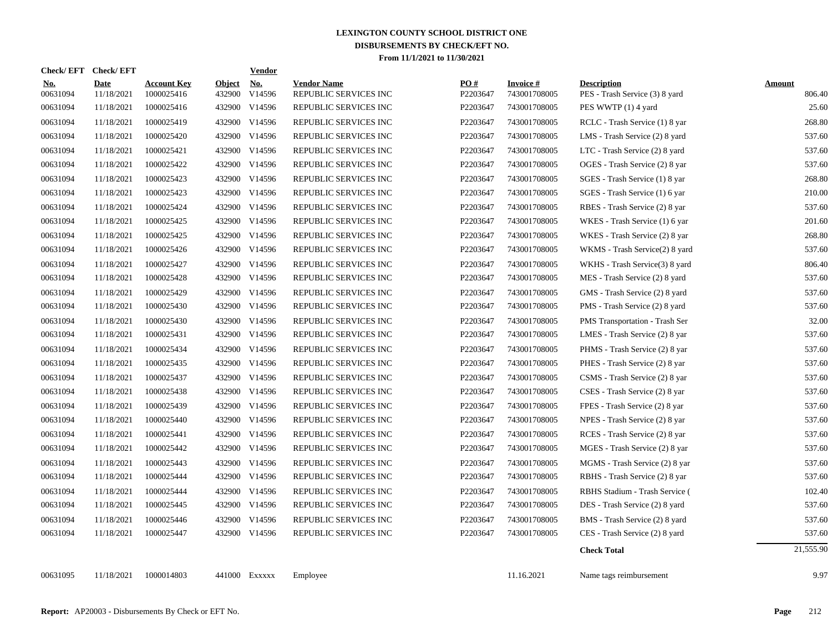| <b>Check/EFT</b>       | <b>Check/EFT</b>   |                                  |                  | <b>Vendor</b>        |                                             |                 |                           |                                                      |                  |
|------------------------|--------------------|----------------------------------|------------------|----------------------|---------------------------------------------|-----------------|---------------------------|------------------------------------------------------|------------------|
| <u>No.</u><br>00631094 | Date<br>11/18/2021 | <b>Account Key</b><br>1000025416 | Object<br>432900 | <u>No.</u><br>V14596 | <b>Vendor Name</b><br>REPUBLIC SERVICES INC | PO#<br>P2203647 | Invoice #<br>743001708005 | <b>Description</b><br>PES - Trash Service (3) 8 yard | Amount<br>806.40 |
| 00631094               | 11/18/2021         | 1000025416                       | 432900           | V14596               | REPUBLIC SERVICES INC                       | P2203647        | 743001708005              | PES WWTP (1) 4 yard                                  | 25.60            |
| 00631094               | 11/18/2021         | 1000025419                       | 432900           | V14596               | REPUBLIC SERVICES INC                       | P2203647        | 743001708005              | RCLC - Trash Service (1) 8 yar                       | 268.80           |
| 00631094               | 11/18/2021         | 1000025420                       | 432900           | V14596               | REPUBLIC SERVICES INC                       | P2203647        | 743001708005              | LMS - Trash Service (2) 8 yard                       | 537.60           |
| 00631094               | 11/18/2021         | 1000025421                       | 432900           | V14596               | REPUBLIC SERVICES INC                       | P2203647        | 743001708005              | LTC - Trash Service (2) 8 yard                       | 537.60           |
| 00631094               | 11/18/2021         | 1000025422                       |                  | 432900 V14596        | REPUBLIC SERVICES INC                       | P2203647        | 743001708005              | OGES - Trash Service (2) 8 yar                       | 537.60           |
| 00631094               | 11/18/2021         | 1000025423                       |                  | 432900 V14596        | REPUBLIC SERVICES INC                       | P2203647        | 743001708005              | SGES - Trash Service (1) 8 yar                       | 268.80           |
| 00631094               | 11/18/2021         | 1000025423                       |                  | 432900 V14596        | REPUBLIC SERVICES INC                       | P2203647        | 743001708005              | SGES - Trash Service (1) 6 yar                       | 210.00           |
| 00631094               | 11/18/2021         | 1000025424                       |                  | 432900 V14596        | REPUBLIC SERVICES INC                       | P2203647        | 743001708005              | RBES - Trash Service (2) 8 yar                       | 537.60           |
| 00631094               | 11/18/2021         | 1000025425                       |                  | 432900 V14596        | REPUBLIC SERVICES INC                       | P2203647        | 743001708005              | WKES - Trash Service (1) 6 yar                       | 201.60           |
| 00631094               | 11/18/2021         | 1000025425                       |                  | 432900 V14596        | REPUBLIC SERVICES INC                       | P2203647        | 743001708005              | WKES - Trash Service (2) 8 yar                       | 268.80           |
| 00631094               | 11/18/2021         | 1000025426                       |                  | 432900 V14596        | REPUBLIC SERVICES INC                       | P2203647        | 743001708005              | WKMS - Trash Service(2) 8 yard                       | 537.60           |
| 00631094               | 11/18/2021         | 1000025427                       |                  | 432900 V14596        | REPUBLIC SERVICES INC                       | P2203647        | 743001708005              | WKHS - Trash Service(3) 8 yard                       | 806.40           |
| 00631094               | 11/18/2021         | 1000025428                       |                  | 432900 V14596        | REPUBLIC SERVICES INC                       | P2203647        | 743001708005              | MES - Trash Service (2) 8 yard                       | 537.60           |
| 00631094               | 11/18/2021         | 1000025429                       |                  | 432900 V14596        | REPUBLIC SERVICES INC                       | P2203647        | 743001708005              | GMS - Trash Service (2) 8 yard                       | 537.60           |
| 00631094               | 11/18/2021         | 1000025430                       | 432900           | V14596               | REPUBLIC SERVICES INC                       | P2203647        | 743001708005              | PMS - Trash Service (2) 8 yard                       | 537.60           |
| 00631094               | 11/18/2021         | 1000025430                       |                  | 432900 V14596        | REPUBLIC SERVICES INC                       | P2203647        | 743001708005              | PMS Transportation - Trash Ser                       | 32.00            |
| 00631094               | 11/18/2021         | 1000025431                       |                  | 432900 V14596        | REPUBLIC SERVICES INC                       | P2203647        | 743001708005              | LMES - Trash Service (2) 8 yar                       | 537.60           |
| 00631094               | 11/18/2021         | 1000025434                       |                  | 432900 V14596        | REPUBLIC SERVICES INC                       | P2203647        | 743001708005              | PHMS - Trash Service (2) 8 yar                       | 537.60           |
| 00631094               | 11/18/2021         | 1000025435                       |                  | 432900 V14596        | REPUBLIC SERVICES INC                       | P2203647        | 743001708005              | PHES - Trash Service (2) 8 yar                       | 537.60           |
| 00631094               | 11/18/2021         | 1000025437                       |                  | 432900 V14596        | REPUBLIC SERVICES INC                       | P2203647        | 743001708005              | CSMS - Trash Service (2) 8 yar                       | 537.60           |
| 00631094               | 11/18/2021         | 1000025438                       |                  | 432900 V14596        | REPUBLIC SERVICES INC                       | P2203647        | 743001708005              | CSES - Trash Service (2) 8 yar                       | 537.60           |
| 00631094               | 11/18/2021         | 1000025439                       |                  | 432900 V14596        | REPUBLIC SERVICES INC                       | P2203647        | 743001708005              | FPES - Trash Service (2) 8 yar                       | 537.60           |
| 00631094               | 11/18/2021         | 1000025440                       |                  | 432900 V14596        | REPUBLIC SERVICES INC                       | P2203647        | 743001708005              | NPES - Trash Service (2) 8 yar                       | 537.60           |
| 00631094               | 11/18/2021         | 1000025441                       |                  | 432900 V14596        | REPUBLIC SERVICES INC                       | P2203647        | 743001708005              | RCES - Trash Service (2) 8 yar                       | 537.60           |
| 00631094               | 11/18/2021         | 1000025442                       |                  | 432900 V14596        | REPUBLIC SERVICES INC                       | P2203647        | 743001708005              | MGES - Trash Service (2) 8 yar                       | 537.60           |
| 00631094               | 11/18/2021         | 1000025443                       |                  | 432900 V14596        | REPUBLIC SERVICES INC                       | P2203647        | 743001708005              | MGMS - Trash Service (2) 8 yar                       | 537.60           |
| 00631094               | 11/18/2021         | 1000025444                       |                  | 432900 V14596        | REPUBLIC SERVICES INC                       | P2203647        | 743001708005              | RBHS - Trash Service (2) 8 yar                       | 537.60           |
| 00631094               | 11/18/2021         | 1000025444                       | 432900           | V14596               | REPUBLIC SERVICES INC                       | P2203647        | 743001708005              | RBHS Stadium - Trash Service (                       | 102.40           |
| 00631094               | 11/18/2021         | 1000025445                       |                  | 432900 V14596        | REPUBLIC SERVICES INC                       | P2203647        | 743001708005              | DES - Trash Service (2) 8 yard                       | 537.60           |
| 00631094               | 11/18/2021         | 1000025446                       | 432900           | V14596               | REPUBLIC SERVICES INC                       | P2203647        | 743001708005              | BMS - Trash Service (2) 8 yard                       | 537.60           |
| 00631094               | 11/18/2021         | 1000025447                       |                  | 432900 V14596        | REPUBLIC SERVICES INC                       | P2203647        | 743001708005              | CES - Trash Service (2) 8 yard                       | 537.60           |
|                        |                    |                                  |                  |                      |                                             |                 |                           | <b>Check Total</b>                                   | 21,555.90        |
| 00631095               | 11/18/2021         | 1000014803                       |                  | 441000 Exxxxx        | Employee                                    |                 | 11.16.2021                | Name tags reimbursement                              | 9.97             |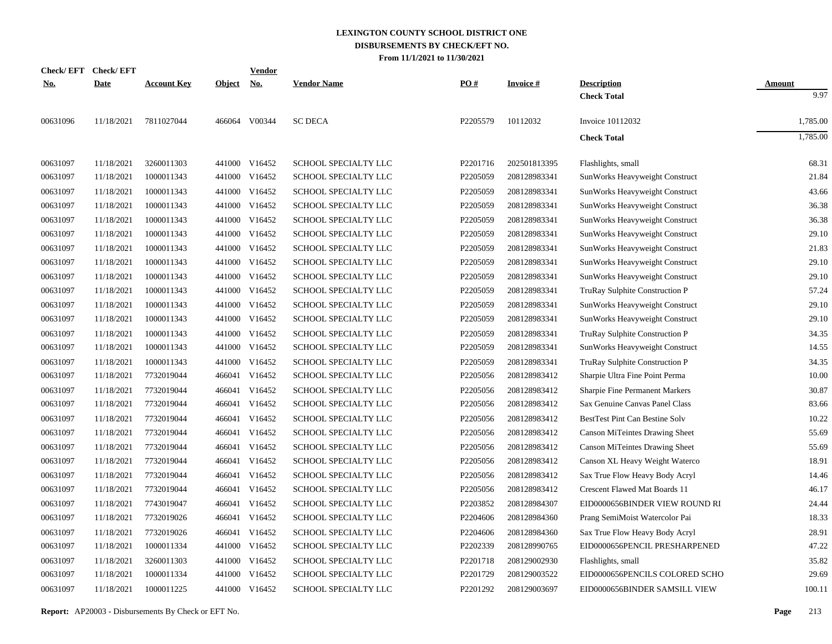| Check/ EFT | <b>Check/EFT</b> |                    |               | <b>Vendor</b> |                             |          |                 |                                       |               |
|------------|------------------|--------------------|---------------|---------------|-----------------------------|----------|-----------------|---------------------------------------|---------------|
| <u>No.</u> | <b>Date</b>      | <b>Account Key</b> | <b>Object</b> | <u>No.</u>    | <b>Vendor Name</b>          | PO#      | <b>Invoice#</b> | <b>Description</b>                    | <b>Amount</b> |
|            |                  |                    |               |               |                             |          |                 | <b>Check Total</b>                    | 9.97          |
| 00631096   | 11/18/2021       | 7811027044         |               | 466064 V00344 | <b>SC DECA</b>              | P2205579 | 10112032        | Invoice 10112032                      | 1,785.00      |
|            |                  |                    |               |               |                             |          |                 | <b>Check Total</b>                    | 1,785.00      |
| 00631097   | 11/18/2021       | 3260011303         |               | 441000 V16452 | SCHOOL SPECIALTY LLC        | P2201716 | 202501813395    | Flashlights, small                    | 68.31         |
| 00631097   | 11/18/2021       | 1000011343         | 441000        | V16452        | SCHOOL SPECIALTY LLC        | P2205059 | 208128983341    | SunWorks Heavyweight Construct        | 21.84         |
| 00631097   | 11/18/2021       | 1000011343         |               | 441000 V16452 | SCHOOL SPECIALTY LLC        | P2205059 | 208128983341    | SunWorks Heavyweight Construct        | 43.66         |
| 00631097   | 11/18/2021       | 1000011343         |               | 441000 V16452 | SCHOOL SPECIALTY LLC        | P2205059 | 208128983341    | SunWorks Heavyweight Construct        | 36.38         |
| 00631097   | 11/18/2021       | 1000011343         | 441000        | V16452        | SCHOOL SPECIALTY LLC        | P2205059 | 208128983341    | SunWorks Heavyweight Construct        | 36.38         |
| 00631097   | 11/18/2021       | 1000011343         |               | 441000 V16452 | SCHOOL SPECIALTY LLC        | P2205059 | 208128983341    | SunWorks Heavyweight Construct        | 29.10         |
| 00631097   | 11/18/2021       | 1000011343         | 441000        | V16452        | SCHOOL SPECIALTY LLC        | P2205059 | 208128983341    | SunWorks Heavyweight Construct        | 21.83         |
| 00631097   | 11/18/2021       | 1000011343         |               | 441000 V16452 | SCHOOL SPECIALTY LLC        | P2205059 | 208128983341    | SunWorks Heavyweight Construct        | 29.10         |
| 00631097   | 11/18/2021       | 1000011343         | 441000        | V16452        | SCHOOL SPECIALTY LLC        | P2205059 | 208128983341    | SunWorks Heavyweight Construct        | 29.10         |
| 00631097   | 11/18/2021       | 1000011343         |               | 441000 V16452 | SCHOOL SPECIALTY LLC        | P2205059 | 208128983341    | TruRay Sulphite Construction P        | 57.24         |
| 00631097   | 11/18/2021       | 1000011343         | 441000        | V16452        | SCHOOL SPECIALTY LLC        | P2205059 | 208128983341    | SunWorks Heavyweight Construct        | 29.10         |
| 00631097   | 11/18/2021       | 1000011343         |               | 441000 V16452 | SCHOOL SPECIALTY LLC        | P2205059 | 208128983341    | SunWorks Heavyweight Construct        | 29.10         |
| 00631097   | 11/18/2021       | 1000011343         | 441000        | V16452        | SCHOOL SPECIALTY LLC        | P2205059 | 208128983341    | TruRay Sulphite Construction P        | 34.35         |
| 00631097   | 11/18/2021       | 1000011343         |               | 441000 V16452 | SCHOOL SPECIALTY LLC        | P2205059 | 208128983341    | SunWorks Heavyweight Construct        | 14.55         |
| 00631097   | 11/18/2021       | 1000011343         | 441000        | V16452        | SCHOOL SPECIALTY LLC        | P2205059 | 208128983341    | TruRay Sulphite Construction P        | 34.35         |
| 00631097   | 11/18/2021       | 7732019044         | 466041        | V16452        | SCHOOL SPECIALTY LLC        | P2205056 | 208128983412    | Sharpie Ultra Fine Point Perma        | 10.00         |
| 00631097   | 11/18/2021       | 7732019044         | 466041        | V16452        | SCHOOL SPECIALTY LLC        | P2205056 | 208128983412    | Sharpie Fine Permanent Markers        | 30.87         |
| 00631097   | 11/18/2021       | 7732019044         | 466041        | V16452        | SCHOOL SPECIALTY LLC        | P2205056 | 208128983412    | Sax Genuine Canvas Panel Class        | 83.66         |
| 00631097   | 11/18/2021       | 7732019044         | 466041        | V16452        | <b>SCHOOL SPECIALTY LLC</b> | P2205056 | 208128983412    | BestTest Pint Can Bestine Solv        | 10.22         |
| 00631097   | 11/18/2021       | 7732019044         |               | 466041 V16452 | SCHOOL SPECIALTY LLC        | P2205056 | 208128983412    | <b>Canson MiTeintes Drawing Sheet</b> | 55.69         |
| 00631097   | 11/18/2021       | 7732019044         | 466041        | V16452        | SCHOOL SPECIALTY LLC        | P2205056 | 208128983412    | <b>Canson MiTeintes Drawing Sheet</b> | 55.69         |
| 00631097   | 11/18/2021       | 7732019044         |               | 466041 V16452 | SCHOOL SPECIALTY LLC        | P2205056 | 208128983412    | Canson XL Heavy Weight Waterco        | 18.91         |
| 00631097   | 11/18/2021       | 7732019044         | 466041        | V16452        | SCHOOL SPECIALTY LLC        | P2205056 | 208128983412    | Sax True Flow Heavy Body Acryl        | 14.46         |
| 00631097   | 11/18/2021       | 7732019044         |               | 466041 V16452 | SCHOOL SPECIALTY LLC        | P2205056 | 208128983412    | Crescent Flawed Mat Boards 11         | 46.17         |
| 00631097   | 11/18/2021       | 7743019047         |               | 466041 V16452 | <b>SCHOOL SPECIALTY LLC</b> | P2203852 | 208128984307    | EID0000656BINDER VIEW ROUND RI        | 24.44         |
| 00631097   | 11/18/2021       | 7732019026         |               | 466041 V16452 | SCHOOL SPECIALTY LLC        | P2204606 | 208128984360    | Prang SemiMoist Watercolor Pai        | 18.33         |
| 00631097   | 11/18/2021       | 7732019026         |               | 466041 V16452 | SCHOOL SPECIALTY LLC        | P2204606 | 208128984360    | Sax True Flow Heavy Body Acryl        | 28.91         |
| 00631097   | 11/18/2021       | 1000011334         |               | 441000 V16452 | SCHOOL SPECIALTY LLC        | P2202339 | 208128990765    | EID0000656PENCIL PRESHARPENED         | 47.22         |
| 00631097   | 11/18/2021       | 3260011303         | 441000        | V16452        | SCHOOL SPECIALTY LLC        | P2201718 | 208129002930    | Flashlights, small                    | 35.82         |
| 00631097   | 11/18/2021       | 1000011334         | 441000        | V16452        | SCHOOL SPECIALTY LLC        | P2201729 | 208129003522    | EID0000656PENCILS COLORED SCHO        | 29.69         |
| 00631097   | 11/18/2021       | 1000011225         |               | 441000 V16452 | SCHOOL SPECIALTY LLC        | P2201292 | 208129003697    | EID0000656BINDER SAMSILL VIEW         | 100.11        |
|            |                  |                    |               |               |                             |          |                 |                                       |               |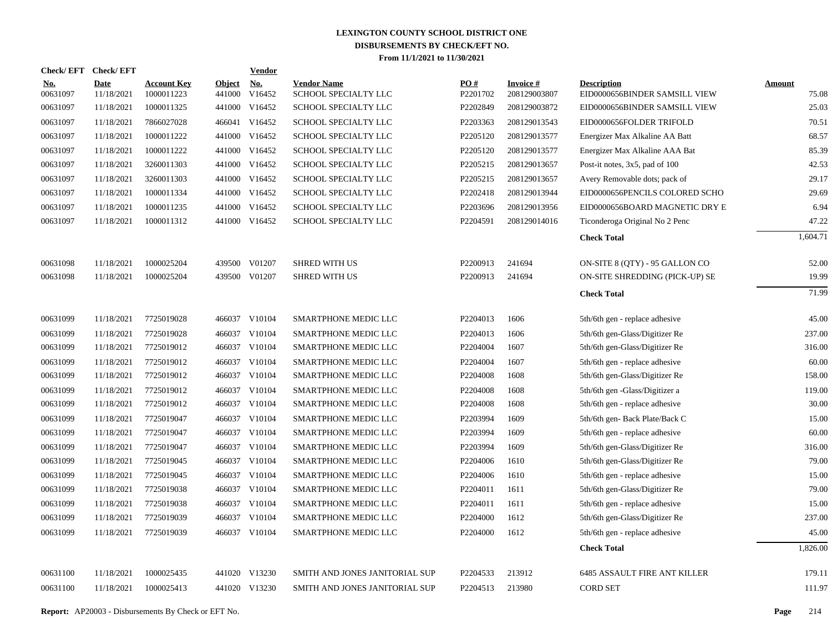| Check/EFT Check/EFT    |                           |                                  |                         | <b>Vendor</b>        |                                            |                 |                                 |                                                     |                        |
|------------------------|---------------------------|----------------------------------|-------------------------|----------------------|--------------------------------------------|-----------------|---------------------------------|-----------------------------------------------------|------------------------|
| <u>No.</u><br>00631097 | <b>Date</b><br>11/18/2021 | <b>Account Key</b><br>1000011223 | <b>Object</b><br>441000 | <u>No.</u><br>V16452 | <b>Vendor Name</b><br>SCHOOL SPECIALTY LLC | PO#<br>P2201702 | <b>Invoice#</b><br>208129003807 | <b>Description</b><br>EID0000656BINDER SAMSILL VIEW | <b>Amount</b><br>75.08 |
| 00631097               | 11/18/2021                | 1000011325                       | 441000                  | V16452               | SCHOOL SPECIALTY LLC                       | P2202849        | 208129003872                    | EID0000656BINDER SAMSILL VIEW                       | 25.03                  |
| 00631097               | 11/18/2021                | 7866027028                       | 466041                  | V16452               | SCHOOL SPECIALTY LLC                       | P2203363        | 208129013543                    | EID0000656FOLDER TRIFOLD                            | 70.51                  |
| 00631097               | 11/18/2021                | 1000011222                       | 441000                  | V16452               | SCHOOL SPECIALTY LLC                       | P2205120        | 208129013577                    | Energizer Max Alkaline AA Batt                      | 68.57                  |
| 00631097               | 11/18/2021                | 1000011222                       | 441000                  | V16452               | SCHOOL SPECIALTY LLC                       | P2205120        | 208129013577                    | Energizer Max Alkaline AAA Bat                      | 85.39                  |
| 00631097               | 11/18/2021                | 3260011303                       | 441000                  | V16452               | SCHOOL SPECIALTY LLC                       | P2205215        | 208129013657                    | Post-it notes, 3x5, pad of 100                      | 42.53                  |
| 00631097               | 11/18/2021                | 3260011303                       | 441000                  | V16452               | SCHOOL SPECIALTY LLC                       | P2205215        | 208129013657                    | Avery Removable dots; pack of                       | 29.17                  |
| 00631097               | 11/18/2021                | 1000011334                       | 441000                  | V16452               | SCHOOL SPECIALTY LLC                       | P2202418        | 208129013944                    | EID0000656PENCILS COLORED SCHO                      | 29.69                  |
| 00631097               | 11/18/2021                | 1000011235                       | 441000                  | V16452               | SCHOOL SPECIALTY LLC                       | P2203696        | 208129013956                    | EID0000656BOARD MAGNETIC DRY E                      | 6.94                   |
| 00631097               | 11/18/2021                | 1000011312                       | 441000                  | V16452               | SCHOOL SPECIALTY LLC                       | P2204591        | 208129014016                    | Ticonderoga Original No 2 Penc                      | 47.22                  |
|                        |                           |                                  |                         |                      |                                            |                 |                                 | <b>Check Total</b>                                  | 1,604.71               |
| 00631098               | 11/18/2021                | 1000025204                       | 439500                  | V01207               | <b>SHRED WITH US</b>                       | P2200913        | 241694                          | ON-SITE 8 (QTY) - 95 GALLON CO                      | 52.00                  |
| 00631098               | 11/18/2021                | 1000025204                       | 439500                  | V01207               | <b>SHRED WITH US</b>                       | P2200913        | 241694                          | ON-SITE SHREDDING (PICK-UP) SE                      | 19.99                  |
|                        |                           |                                  |                         |                      |                                            |                 |                                 | <b>Check Total</b>                                  | 71.99                  |
| 00631099               | 11/18/2021                | 7725019028                       |                         | 466037 V10104        | SMARTPHONE MEDIC LLC                       | P2204013        | 1606                            | 5th/6th gen - replace adhesive                      | 45.00                  |
| 00631099               | 11/18/2021                | 7725019028                       |                         | 466037 V10104        | SMARTPHONE MEDIC LLC                       | P2204013        | 1606                            | 5th/6th gen-Glass/Digitizer Re                      | 237.00                 |
| 00631099               | 11/18/2021                | 7725019012                       |                         | 466037 V10104        | SMARTPHONE MEDIC LLC                       | P2204004        | 1607                            | 5th/6th gen-Glass/Digitizer Re                      | 316.00                 |
| 00631099               | 11/18/2021                | 7725019012                       |                         | 466037 V10104        | SMARTPHONE MEDIC LLC                       | P2204004        | 1607                            | 5th/6th gen - replace adhesive                      | 60.00                  |
| 00631099               | 11/18/2021                | 7725019012                       |                         | 466037 V10104        | SMARTPHONE MEDIC LLC                       | P2204008        | 1608                            | 5th/6th gen-Glass/Digitizer Re                      | 158.00                 |
| 00631099               | 11/18/2021                | 7725019012                       |                         | 466037 V10104        | SMARTPHONE MEDIC LLC                       | P2204008        | 1608                            | 5th/6th gen -Glass/Digitizer a                      | 119.00                 |
| 00631099               | 11/18/2021                | 7725019012                       |                         | 466037 V10104        | SMARTPHONE MEDIC LLC                       | P2204008        | 1608                            | 5th/6th gen - replace adhesive                      | 30.00                  |
| 00631099               | 11/18/2021                | 7725019047                       |                         | 466037 V10104        | SMARTPHONE MEDIC LLC                       | P2203994        | 1609                            | 5th/6th gen- Back Plate/Back C                      | 15.00                  |
| 00631099               | 11/18/2021                | 7725019047                       |                         | 466037 V10104        | SMARTPHONE MEDIC LLC                       | P2203994        | 1609                            | 5th/6th gen - replace adhesive                      | 60.00                  |
| 00631099               | 11/18/2021                | 7725019047                       |                         | 466037 V10104        | SMARTPHONE MEDIC LLC                       | P2203994        | 1609                            | 5th/6th gen-Glass/Digitizer Re                      | 316.00                 |
| 00631099               | 11/18/2021                | 7725019045                       | 466037                  | V10104               | SMARTPHONE MEDIC LLC                       | P2204006        | 1610                            | 5th/6th gen-Glass/Digitizer Re                      | 79.00                  |
| 00631099               | 11/18/2021                | 7725019045                       |                         | 466037 V10104        | SMARTPHONE MEDIC LLC                       | P2204006        | 1610                            | 5th/6th gen - replace adhesive                      | 15.00                  |
| 00631099               | 11/18/2021                | 7725019038                       |                         | 466037 V10104        | SMARTPHONE MEDIC LLC                       | P2204011        | 1611                            | 5th/6th gen-Glass/Digitizer Re                      | 79.00                  |
| 00631099               | 11/18/2021                | 7725019038                       | 466037                  | V10104               | SMARTPHONE MEDIC LLC                       | P2204011        | 1611                            | 5th/6th gen - replace adhesive                      | 15.00                  |
| 00631099               | 11/18/2021                | 7725019039                       | 466037                  | V10104               | SMARTPHONE MEDIC LLC                       | P2204000        | 1612                            | 5th/6th gen-Glass/Digitizer Re                      | 237.00                 |
| 00631099               | 11/18/2021                | 7725019039                       |                         | 466037 V10104        | SMARTPHONE MEDIC LLC                       | P2204000        | 1612                            | 5th/6th gen - replace adhesive                      | 45.00                  |
|                        |                           |                                  |                         |                      |                                            |                 |                                 | <b>Check Total</b>                                  | 1,826.00               |
| 00631100               | 11/18/2021                | 1000025435                       |                         | 441020 V13230        | SMITH AND JONES JANITORIAL SUP             | P2204533        | 213912                          | <b>6485 ASSAULT FIRE ANT KILLER</b>                 | 179.11                 |
| 00631100               | 11/18/2021                | 1000025413                       |                         | 441020 V13230        | SMITH AND JONES JANITORIAL SUP             | P2204513        | 213980                          | <b>CORD SET</b>                                     | 111.97                 |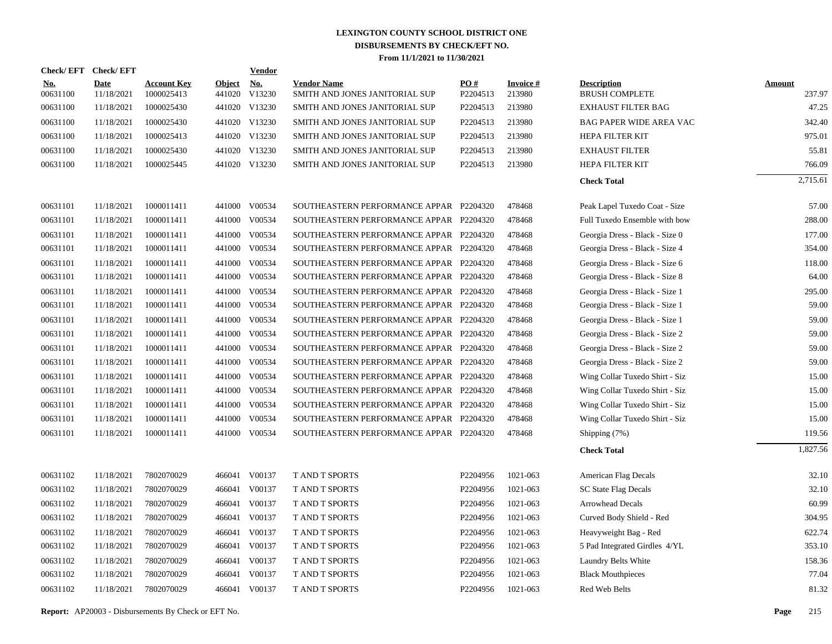| Check/EFT Check/EFT    |                    |                                  |                         | <b>Vendor</b> |                                                      |                 |                     |                                             |                  |
|------------------------|--------------------|----------------------------------|-------------------------|---------------|------------------------------------------------------|-----------------|---------------------|---------------------------------------------|------------------|
| <b>No.</b><br>00631100 | Date<br>11/18/2021 | <b>Account Key</b><br>1000025413 | <b>Object</b><br>441020 | No.<br>V13230 | <b>Vendor Name</b><br>SMITH AND JONES JANITORIAL SUP | PO#<br>P2204513 | Invoice #<br>213980 | <b>Description</b><br><b>BRUSH COMPLETE</b> | Amount<br>237.97 |
| 00631100               | 11/18/2021         | 1000025430                       |                         | 441020 V13230 | SMITH AND JONES JANITORIAL SUP                       | P2204513        | 213980              | <b>EXHAUST FILTER BAG</b>                   | 47.25            |
| 00631100               | 11/18/2021         | 1000025430                       |                         | 441020 V13230 | SMITH AND JONES JANITORIAL SUP                       | P2204513        | 213980              | BAG PAPER WIDE AREA VAC                     | 342.40           |
| 00631100               | 11/18/2021         | 1000025413                       |                         | 441020 V13230 | SMITH AND JONES JANITORIAL SUP                       | P2204513        | 213980              | HEPA FILTER KIT                             | 975.01           |
| 00631100               | 11/18/2021         | 1000025430                       |                         | 441020 V13230 | SMITH AND JONES JANITORIAL SUP                       | P2204513        | 213980              | <b>EXHAUST FILTER</b>                       | 55.81            |
| 00631100               | 11/18/2021         | 1000025445                       |                         | 441020 V13230 | SMITH AND JONES JANITORIAL SUP                       | P2204513        | 213980              | HEPA FILTER KIT                             | 766.09           |
|                        |                    |                                  |                         |               |                                                      |                 |                     | <b>Check Total</b>                          | 2,715.61         |
| 00631101               | 11/18/2021         | 1000011411                       |                         | 441000 V00534 | SOUTHEASTERN PERFORMANCE APPAR P2204320              |                 | 478468              | Peak Lapel Tuxedo Coat - Size               | 57.00            |
| 00631101               | 11/18/2021         | 1000011411                       | 441000                  | V00534        | SOUTHEASTERN PERFORMANCE APPAR P2204320              |                 | 478468              | Full Tuxedo Ensemble with bow               | 288.00           |
| 00631101               | 11/18/2021         | 1000011411                       | 441000                  | V00534        | SOUTHEASTERN PERFORMANCE APPAR P2204320              |                 | 478468              | Georgia Dress - Black - Size 0              | 177.00           |
| 00631101               | 11/18/2021         | 1000011411                       | 441000                  | V00534        | SOUTHEASTERN PERFORMANCE APPAR P2204320              |                 | 478468              | Georgia Dress - Black - Size 4              | 354.00           |
| 00631101               | 11/18/2021         | 1000011411                       | 441000                  | V00534        | SOUTHEASTERN PERFORMANCE APPAR P2204320              |                 | 478468              | Georgia Dress - Black - Size 6              | 118.00           |
| 00631101               | 11/18/2021         | 1000011411                       | 441000                  | V00534        | SOUTHEASTERN PERFORMANCE APPAR P2204320              |                 | 478468              | Georgia Dress - Black - Size 8              | 64.00            |
| 00631101               | 11/18/2021         | 1000011411                       | 441000                  | V00534        | SOUTHEASTERN PERFORMANCE APPAR P2204320              |                 | 478468              | Georgia Dress - Black - Size 1              | 295.00           |
| 00631101               | 11/18/2021         | 1000011411                       |                         | 441000 V00534 | SOUTHEASTERN PERFORMANCE APPAR P2204320              |                 | 478468              | Georgia Dress - Black - Size 1              | 59.00            |
| 00631101               | 11/18/2021         | 1000011411                       | 441000                  | V00534        | SOUTHEASTERN PERFORMANCE APPAR P2204320              |                 | 478468              | Georgia Dress - Black - Size 1              | 59.00            |
| 00631101               | 11/18/2021         | 1000011411                       | 441000                  | V00534        | SOUTHEASTERN PERFORMANCE APPAR P2204320              |                 | 478468              | Georgia Dress - Black - Size 2              | 59.00            |
| 00631101               | 11/18/2021         | 1000011411                       | 441000                  | V00534        | SOUTHEASTERN PERFORMANCE APPAR P2204320              |                 | 478468              | Georgia Dress - Black - Size 2              | 59.00            |
| 00631101               | 11/18/2021         | 1000011411                       | 441000                  | V00534        | SOUTHEASTERN PERFORMANCE APPAR P2204320              |                 | 478468              | Georgia Dress - Black - Size 2              | 59.00            |
| 00631101               | 11/18/2021         | 1000011411                       |                         | 441000 V00534 | SOUTHEASTERN PERFORMANCE APPAR P2204320              |                 | 478468              | Wing Collar Tuxedo Shirt - Siz              | 15.00            |
| 00631101               | 11/18/2021         | 1000011411                       | 441000                  | V00534        | SOUTHEASTERN PERFORMANCE APPAR P2204320              |                 | 478468              | Wing Collar Tuxedo Shirt - Siz              | 15.00            |
| 00631101               | 11/18/2021         | 1000011411                       | 441000                  | V00534        | SOUTHEASTERN PERFORMANCE APPAR P2204320              |                 | 478468              | Wing Collar Tuxedo Shirt - Siz              | 15.00            |
| 00631101               | 11/18/2021         | 1000011411                       |                         | 441000 V00534 | SOUTHEASTERN PERFORMANCE APPAR P2204320              |                 | 478468              | Wing Collar Tuxedo Shirt - Siz              | 15.00            |
| 00631101               | 11/18/2021         | 1000011411                       | 441000                  | V00534        | SOUTHEASTERN PERFORMANCE APPAR P2204320              |                 | 478468              | Shipping (7%)                               | 119.56           |
|                        |                    |                                  |                         |               |                                                      |                 |                     | <b>Check Total</b>                          | 1,827.56         |
| 00631102               | 11/18/2021         | 7802070029                       |                         | 466041 V00137 | <b>TAND T SPORTS</b>                                 | P2204956        | 1021-063            | American Flag Decals                        | 32.10            |
| 00631102               | 11/18/2021         | 7802070029                       | 466041                  | V00137        | T AND T SPORTS                                       | P2204956        | 1021-063            | SC State Flag Decals                        | 32.10            |
| 00631102               | 11/18/2021         | 7802070029                       | 466041                  | V00137        | <b>T AND T SPORTS</b>                                | P2204956        | 1021-063            | <b>Arrowhead Decals</b>                     | 60.99            |
| 00631102               | 11/18/2021         | 7802070029                       | 466041                  | V00137        | <b>T AND T SPORTS</b>                                | P2204956        | 1021-063            | Curved Body Shield - Red                    | 304.95           |
| 00631102               | 11/18/2021         | 7802070029                       | 466041                  | V00137        | <b>TAND T SPORTS</b>                                 | P2204956        | 1021-063            | Heavyweight Bag - Red                       | 622.74           |
| 00631102               | 11/18/2021         | 7802070029                       | 466041                  | V00137        | T AND T SPORTS                                       | P2204956        | 1021-063            | 5 Pad Integrated Girdles 4/YL               | 353.10           |
| 00631102               | 11/18/2021         | 7802070029                       | 466041                  | V00137        | <b>TAND T SPORTS</b>                                 | P2204956        | 1021-063            | Laundry Belts White                         | 158.36           |
| 00631102               | 11/18/2021         | 7802070029                       | 466041                  | V00137        | <b>TAND T SPORTS</b>                                 | P2204956        | 1021-063            | <b>Black Mouthpieces</b>                    | 77.04            |
| 00631102               | 11/18/2021         | 7802070029                       |                         | 466041 V00137 | <b>T AND T SPORTS</b>                                | P2204956        | 1021-063            | Red Web Belts                               | 81.32            |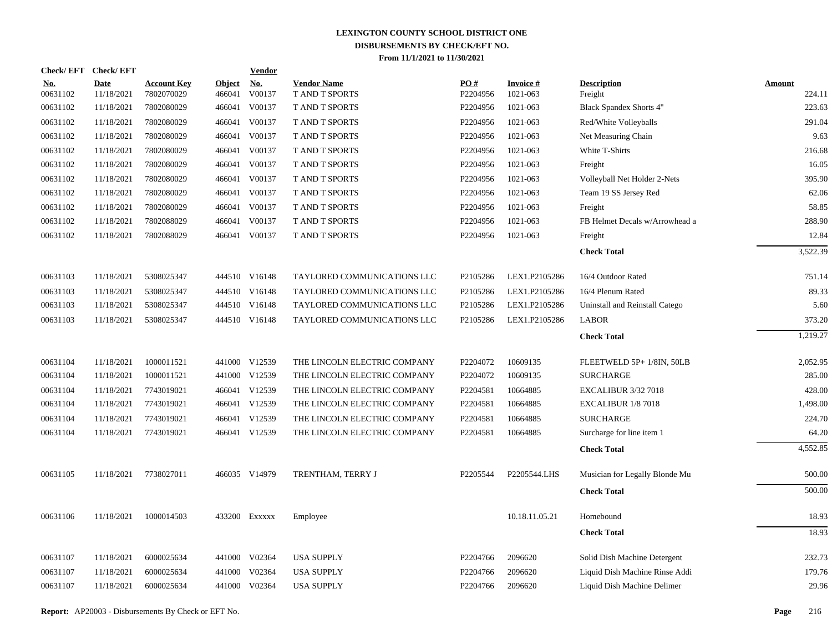|                        | Check/EFT Check/EFT       |                                  |                         | <b>Vendor</b>                         |                                      |                 |                             |                                |                         |
|------------------------|---------------------------|----------------------------------|-------------------------|---------------------------------------|--------------------------------------|-----------------|-----------------------------|--------------------------------|-------------------------|
| <u>No.</u><br>00631102 | <b>Date</b><br>11/18/2021 | <b>Account Key</b><br>7802070029 | <b>Object</b><br>466041 | $\underline{\textbf{No}}$ .<br>V00137 | <b>Vendor Name</b><br>T AND T SPORTS | PO#<br>P2204956 | <b>Invoice#</b><br>1021-063 | <b>Description</b><br>Freight  | <b>Amount</b><br>224.11 |
| 00631102               | 11/18/2021                | 7802080029                       | 466041                  | V00137                                | T AND T SPORTS                       | P2204956        | 1021-063                    | <b>Black Spandex Shorts 4"</b> | 223.63                  |
| 00631102               | 11/18/2021                | 7802080029                       | 466041                  | V00137                                | <b>T AND T SPORTS</b>                | P2204956        | 1021-063                    | Red/White Volleyballs          | 291.04                  |
| 00631102               | 11/18/2021                | 7802080029                       | 466041                  | V00137                                | T AND T SPORTS                       | P2204956        | 1021-063                    | Net Measuring Chain            | 9.63                    |
| 00631102               | 11/18/2021                | 7802080029                       | 466041                  | V00137                                | T AND T SPORTS                       | P2204956        | 1021-063                    | White T-Shirts                 | 216.68                  |
| 00631102               | 11/18/2021                | 7802080029                       | 466041                  | V00137                                | T AND T SPORTS                       | P2204956        | 1021-063                    | Freight                        | 16.05                   |
| 00631102               | 11/18/2021                | 7802080029                       | 466041                  | V00137                                | T AND T SPORTS                       | P2204956        | 1021-063                    | Volleyball Net Holder 2-Nets   | 395.90                  |
| 00631102               | 11/18/2021                | 7802080029                       | 466041                  | V00137                                | T AND T SPORTS                       | P2204956        | 1021-063                    | Team 19 SS Jersey Red          | 62.06                   |
| 00631102               | 11/18/2021                | 7802080029                       |                         | 466041 V00137                         | T AND T SPORTS                       | P2204956        | 1021-063                    | Freight                        | 58.85                   |
| 00631102               | 11/18/2021                | 7802088029                       | 466041                  | V00137                                | T AND T SPORTS                       | P2204956        | 1021-063                    | FB Helmet Decals w/Arrowhead a | 288.90                  |
| 00631102               | 11/18/2021                | 7802088029                       |                         | 466041 V00137                         | <b>T AND T SPORTS</b>                | P2204956        | 1021-063                    | Freight                        | 12.84                   |
|                        |                           |                                  |                         |                                       |                                      |                 |                             | <b>Check Total</b>             | 3,522.39                |
| 00631103               | 11/18/2021                | 5308025347                       |                         | 444510 V16148                         | TAYLORED COMMUNICATIONS LLC          | P2105286        | LEX1.P2105286               | 16/4 Outdoor Rated             | 751.14                  |
| 00631103               | 11/18/2021                | 5308025347                       |                         | 444510 V16148                         | TAYLORED COMMUNICATIONS LLC          | P2105286        | LEX1.P2105286               | 16/4 Plenum Rated              | 89.33                   |
| 00631103               | 11/18/2021                | 5308025347                       |                         | 444510 V16148                         | TAYLORED COMMUNICATIONS LLC          | P2105286        | LEX1.P2105286               | Uninstall and Reinstall Catego | 5.60                    |
| 00631103               | 11/18/2021                | 5308025347                       |                         | 444510 V16148                         | TAYLORED COMMUNICATIONS LLC          | P2105286        | LEX1.P2105286               | <b>LABOR</b>                   | 373.20                  |
|                        |                           |                                  |                         |                                       |                                      |                 |                             | <b>Check Total</b>             | 1,219.27                |
| 00631104               | 11/18/2021                | 1000011521                       |                         | 441000 V12539                         | THE LINCOLN ELECTRIC COMPANY         | P2204072        | 10609135                    | FLEETWELD 5P+ 1/8IN, 50LB      | 2,052.95                |
| 00631104               | 11/18/2021                | 1000011521                       |                         | 441000 V12539                         | THE LINCOLN ELECTRIC COMPANY         | P2204072        | 10609135                    | <b>SURCHARGE</b>               | 285.00                  |
| 00631104               | 11/18/2021                | 7743019021                       |                         | 466041 V12539                         | THE LINCOLN ELECTRIC COMPANY         | P2204581        | 10664885                    | <b>EXCALIBUR 3/32 7018</b>     | 428.00                  |
| 00631104               | 11/18/2021                | 7743019021                       |                         | 466041 V12539                         | THE LINCOLN ELECTRIC COMPANY         | P2204581        | 10664885                    | EXCALIBUR 1/8 7018             | 1,498.00                |
| 00631104               | 11/18/2021                | 7743019021                       | 466041                  | V12539                                | THE LINCOLN ELECTRIC COMPANY         | P2204581        | 10664885                    | <b>SURCHARGE</b>               | 224.70                  |
| 00631104               | 11/18/2021                | 7743019021                       |                         | 466041 V12539                         | THE LINCOLN ELECTRIC COMPANY         | P2204581        | 10664885                    | Surcharge for line item 1      | 64.20                   |
|                        |                           |                                  |                         |                                       |                                      |                 |                             | <b>Check Total</b>             | 4,552.85                |
| 00631105               | 11/18/2021                | 7738027011                       |                         | 466035 V14979                         | TRENTHAM, TERRY J                    | P2205544        | P2205544.LHS                | Musician for Legally Blonde Mu | 500.00                  |
|                        |                           |                                  |                         |                                       |                                      |                 |                             | <b>Check Total</b>             | 500.00                  |
| 00631106               | 11/18/2021                | 1000014503                       |                         | 433200 Exxxxx                         | Employee                             |                 | 10.18.11.05.21              | Homebound                      | 18.93                   |
|                        |                           |                                  |                         |                                       |                                      |                 |                             | <b>Check Total</b>             | 18.93                   |
| 00631107               | 11/18/2021                | 6000025634                       |                         | 441000 V02364                         | <b>USA SUPPLY</b>                    | P2204766        | 2096620                     | Solid Dish Machine Detergent   | 232.73                  |
| 00631107               | 11/18/2021                | 6000025634                       | 441000                  | V02364                                | <b>USA SUPPLY</b>                    | P2204766        | 2096620                     | Liquid Dish Machine Rinse Addi | 179.76                  |
| 00631107               | 11/18/2021                | 6000025634                       |                         | 441000 V02364                         | <b>USA SUPPLY</b>                    | P2204766        | 2096620                     | Liquid Dish Machine Delimer    | 29.96                   |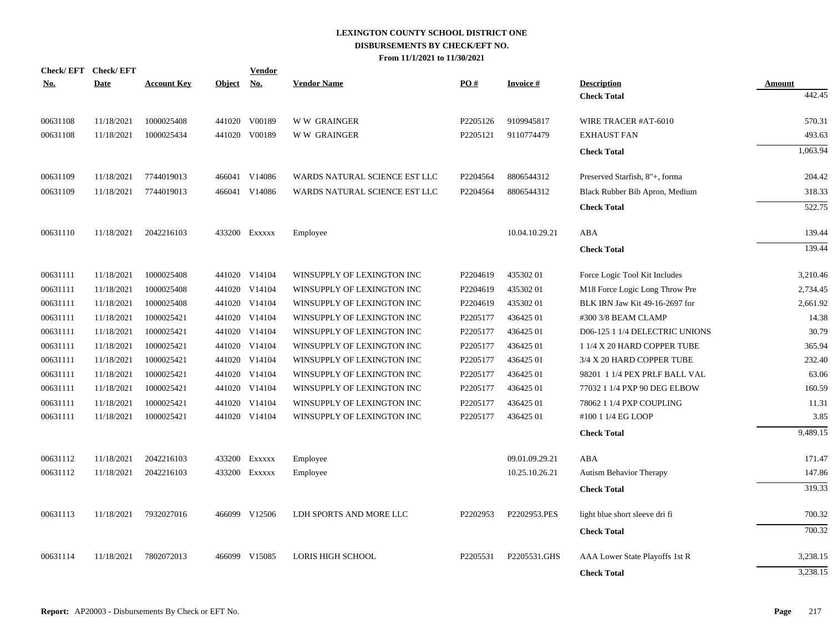| <b>Check/EFT</b> | <b>Check/EFT</b> |                    |               | <b>Vendor</b> |                               |          |                 |                                |          |
|------------------|------------------|--------------------|---------------|---------------|-------------------------------|----------|-----------------|--------------------------------|----------|
| <u>No.</u>       | <b>Date</b>      | <b>Account Key</b> | <b>Object</b> | No.           | <b>Vendor Name</b>            | PO#      | <b>Invoice#</b> | <b>Description</b>             | Amount   |
|                  |                  |                    |               |               |                               |          |                 | <b>Check Total</b>             | 442.45   |
| 00631108         | 11/18/2021       | 1000025408         |               | 441020 V00189 | <b>WW GRAINGER</b>            | P2205126 | 9109945817      | WIRE TRACER #AT-6010           | 570.31   |
| 00631108         | 11/18/2021       | 1000025434         |               | 441020 V00189 | <b>WW GRAINGER</b>            | P2205121 | 9110774479      | <b>EXHAUST FAN</b>             | 493.63   |
|                  |                  |                    |               |               |                               |          |                 | <b>Check Total</b>             | 1,063.94 |
| 00631109         | 11/18/2021       | 7744019013         |               | 466041 V14086 | WARDS NATURAL SCIENCE EST LLC | P2204564 | 8806544312      | Preserved Starfish, 8"+, forma | 204.42   |
| 00631109         | 11/18/2021       | 7744019013         |               | 466041 V14086 | WARDS NATURAL SCIENCE EST LLC | P2204564 | 8806544312      | Black Rubber Bib Apron, Medium | 318.33   |
|                  |                  |                    |               |               |                               |          |                 | <b>Check Total</b>             | 522.75   |
| 00631110         | 11/18/2021       | 2042216103         |               | 433200 Exxxxx | Employee                      |          | 10.04.10.29.21  | ABA                            | 139.44   |
|                  |                  |                    |               |               |                               |          |                 | <b>Check Total</b>             | 139.44   |
| 00631111         | 11/18/2021       | 1000025408         |               | 441020 V14104 | WINSUPPLY OF LEXINGTON INC    | P2204619 | 43530201        | Force Logic Tool Kit Includes  | 3,210.46 |
| 00631111         | 11/18/2021       | 1000025408         |               | 441020 V14104 | WINSUPPLY OF LEXINGTON INC    | P2204619 | 43530201        | M18 Force Logic Long Throw Pre | 2,734.45 |
| 00631111         | 11/18/2021       | 1000025408         |               | 441020 V14104 | WINSUPPLY OF LEXINGTON INC    | P2204619 | 43530201        | BLK IRN Jaw Kit 49-16-2697 for | 2,661.92 |
| 00631111         | 11/18/2021       | 1000025421         |               | 441020 V14104 | WINSUPPLY OF LEXINGTON INC    | P2205177 | 43642501        | #300 3/8 BEAM CLAMP            | 14.38    |
| 00631111         | 11/18/2021       | 1000025421         |               | 441020 V14104 | WINSUPPLY OF LEXINGTON INC    | P2205177 | 436425 01       | D06-125 1 1/4 DELECTRIC UNIONS | 30.79    |
| 00631111         | 11/18/2021       | 1000025421         |               | 441020 V14104 | WINSUPPLY OF LEXINGTON INC    | P2205177 | 436425 01       | 1 1/4 X 20 HARD COPPER TUBE    | 365.94   |
| 00631111         | 11/18/2021       | 1000025421         |               | 441020 V14104 | WINSUPPLY OF LEXINGTON INC    | P2205177 | 436425 01       | 3/4 X 20 HARD COPPER TUBE      | 232.40   |
| 00631111         | 11/18/2021       | 1000025421         |               | 441020 V14104 | WINSUPPLY OF LEXINGTON INC    | P2205177 | 436425 01       | 98201 1 1/4 PEX PRLF BALL VAL  | 63.06    |
| 00631111         | 11/18/2021       | 1000025421         |               | 441020 V14104 | WINSUPPLY OF LEXINGTON INC    | P2205177 | 436425 01       | 77032 1 1/4 PXP 90 DEG ELBOW   | 160.59   |
| 00631111         | 11/18/2021       | 1000025421         |               | 441020 V14104 | WINSUPPLY OF LEXINGTON INC    | P2205177 | 436425 01       | 78062 1 1/4 PXP COUPLING       | 11.31    |
| 00631111         | 11/18/2021       | 1000025421         |               | 441020 V14104 | WINSUPPLY OF LEXINGTON INC    | P2205177 | 436425 01       | #100 1 1/4 EG LOOP             | 3.85     |
|                  |                  |                    |               |               |                               |          |                 | <b>Check Total</b>             | 9,489.15 |
| 00631112         | 11/18/2021       | 2042216103         |               | 433200 Exxxxx | Employee                      |          | 09.01.09.29.21  | ABA                            | 171.47   |
| 00631112         | 11/18/2021       | 2042216103         |               | 433200 Exxxxx | Employee                      |          | 10.25.10.26.21  | <b>Autism Behavior Therapy</b> | 147.86   |
|                  |                  |                    |               |               |                               |          |                 | <b>Check Total</b>             | 319.33   |
| 00631113         | 11/18/2021       | 7932027016         |               | 466099 V12506 | LDH SPORTS AND MORE LLC       | P2202953 | P2202953.PES    | light blue short sleeve dri fi | 700.32   |
|                  |                  |                    |               |               |                               |          |                 | <b>Check Total</b>             | 700.32   |
| 00631114         | 11/18/2021       | 7802072013         | 466099        | V15085        | <b>LORIS HIGH SCHOOL</b>      | P2205531 | P2205531.GHS    | AAA Lower State Playoffs 1st R | 3,238.15 |
|                  |                  |                    |               |               |                               |          |                 | <b>Check Total</b>             | 3,238.15 |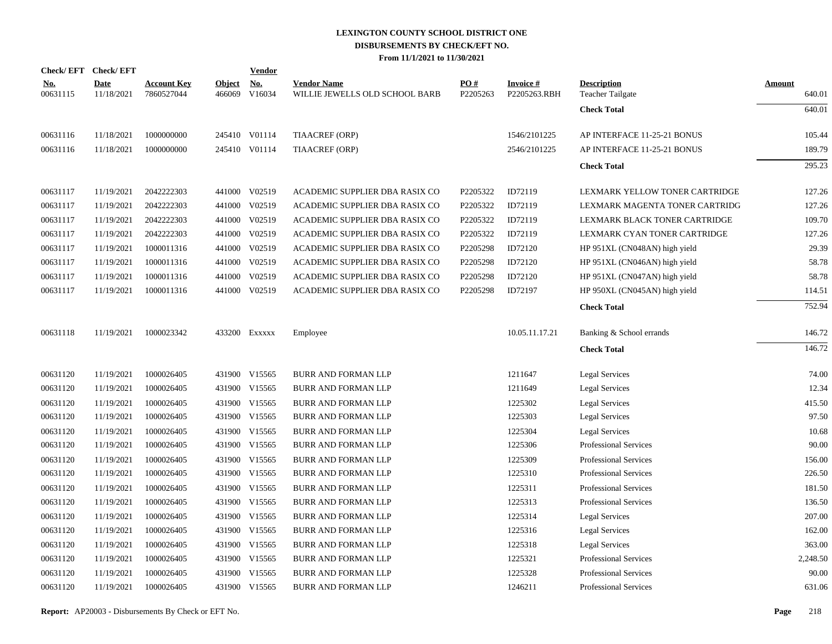|                        | Check/EFT Check/EFT       |                                  |                      | <b>Vendor</b> |                                                      |                 |                                 |                                        |                  |
|------------------------|---------------------------|----------------------------------|----------------------|---------------|------------------------------------------------------|-----------------|---------------------------------|----------------------------------------|------------------|
| <u>No.</u><br>00631115 | <b>Date</b><br>11/18/2021 | <b>Account Key</b><br>7860527044 | Object No.<br>466069 | V16034        | <b>Vendor Name</b><br>WILLIE JEWELLS OLD SCHOOL BARB | PO#<br>P2205263 | <b>Invoice#</b><br>P2205263.RBH | <b>Description</b><br>Teacher Tailgate | Amount<br>640.01 |
|                        |                           |                                  |                      |               |                                                      |                 |                                 | <b>Check Total</b>                     | 640.01           |
| 00631116               | 11/18/2021                | 1000000000                       |                      | 245410 V01114 | TIAACREF (ORP)                                       |                 | 1546/2101225                    | AP INTERFACE 11-25-21 BONUS            | 105.44           |
| 00631116               | 11/18/2021                | 1000000000                       |                      | 245410 V01114 | <b>TIAACREF (ORP)</b>                                |                 | 2546/2101225                    | AP INTERFACE 11-25-21 BONUS            | 189.79           |
|                        |                           |                                  |                      |               |                                                      |                 |                                 | <b>Check Total</b>                     | 295.23           |
| 00631117               | 11/19/2021                | 2042222303                       |                      | 441000 V02519 | ACADEMIC SUPPLIER DBA RASIX CO                       | P2205322        | ID72119                         | LEXMARK YELLOW TONER CARTRIDGE         | 127.26           |
| 00631117               | 11/19/2021                | 2042222303                       |                      | 441000 V02519 | ACADEMIC SUPPLIER DBA RASIX CO                       | P2205322        | ID72119                         | LEXMARK MAGENTA TONER CARTRIDG         | 127.26           |
| 00631117               | 11/19/2021                | 2042222303                       |                      | 441000 V02519 | ACADEMIC SUPPLIER DBA RASIX CO                       | P2205322        | ID72119                         | LEXMARK BLACK TONER CARTRIDGE          | 109.70           |
| 00631117               | 11/19/2021                | 2042222303                       |                      | 441000 V02519 | ACADEMIC SUPPLIER DBA RASIX CO                       | P2205322        | ID72119                         | LEXMARK CYAN TONER CARTRIDGE           | 127.26           |
| 00631117               | 11/19/2021                | 1000011316                       |                      | 441000 V02519 | ACADEMIC SUPPLIER DBA RASIX CO                       | P2205298        | ID72120                         | HP 951XL (CN048AN) high yield          | 29.39            |
| 00631117               | 11/19/2021                | 1000011316                       |                      | 441000 V02519 | ACADEMIC SUPPLIER DBA RASIX CO                       | P2205298        | ID72120                         | HP 951XL (CN046AN) high yield          | 58.78            |
| 00631117               | 11/19/2021                | 1000011316                       |                      | 441000 V02519 | ACADEMIC SUPPLIER DBA RASIX CO                       | P2205298        | ID72120                         | HP 951XL (CN047AN) high yield          | 58.78            |
| 00631117               | 11/19/2021                | 1000011316                       |                      | 441000 V02519 | ACADEMIC SUPPLIER DBA RASIX CO                       | P2205298        | ID72197                         | HP 950XL (CN045AN) high yield          | 114.51           |
|                        |                           |                                  |                      |               |                                                      |                 |                                 | <b>Check Total</b>                     | 752.94           |
| 00631118               | 11/19/2021                | 1000023342                       |                      | 433200 Exxxxx | Employee                                             |                 | 10.05.11.17.21                  | Banking & School errands               | 146.72           |
|                        |                           |                                  |                      |               |                                                      |                 |                                 | <b>Check Total</b>                     | 146.72           |
| 00631120               | 11/19/2021                | 1000026405                       |                      | 431900 V15565 | <b>BURR AND FORMAN LLP</b>                           |                 | 1211647                         | Legal Services                         | 74.00            |
| 00631120               | 11/19/2021                | 1000026405                       |                      | 431900 V15565 | <b>BURR AND FORMAN LLP</b>                           |                 | 1211649                         | Legal Services                         | 12.34            |
| 00631120               | 11/19/2021                | 1000026405                       |                      | 431900 V15565 | <b>BURR AND FORMAN LLP</b>                           |                 | 1225302                         | Legal Services                         | 415.50           |
| 00631120               | 11/19/2021                | 1000026405                       |                      | 431900 V15565 | <b>BURR AND FORMAN LLP</b>                           |                 | 1225303                         | <b>Legal Services</b>                  | 97.50            |
| 00631120               | 11/19/2021                | 1000026405                       |                      | 431900 V15565 | <b>BURR AND FORMAN LLP</b>                           |                 | 1225304                         | <b>Legal Services</b>                  | 10.68            |
| 00631120               | 11/19/2021                | 1000026405                       |                      | 431900 V15565 | <b>BURR AND FORMAN LLP</b>                           |                 | 1225306                         | <b>Professional Services</b>           | 90.00            |
| 00631120               | 11/19/2021                | 1000026405                       |                      | 431900 V15565 | <b>BURR AND FORMAN LLP</b>                           |                 | 1225309                         | Professional Services                  | 156.00           |
| 00631120               | 11/19/2021                | 1000026405                       |                      | 431900 V15565 | <b>BURR AND FORMAN LLP</b>                           |                 | 1225310                         | Professional Services                  | 226.50           |
| 00631120               | 11/19/2021                | 1000026405                       |                      | 431900 V15565 | BURR AND FORMAN LLP                                  |                 | 1225311                         | <b>Professional Services</b>           | 181.50           |
| 00631120               | 11/19/2021                | 1000026405                       |                      | 431900 V15565 | <b>BURR AND FORMAN LLP</b>                           |                 | 1225313                         | <b>Professional Services</b>           | 136.50           |
| 00631120               | 11/19/2021                | 1000026405                       |                      | 431900 V15565 | <b>BURR AND FORMAN LLP</b>                           |                 | 1225314                         | <b>Legal Services</b>                  | 207.00           |
| 00631120               | 11/19/2021                | 1000026405                       |                      | 431900 V15565 | <b>BURR AND FORMAN LLP</b>                           |                 | 1225316                         | <b>Legal Services</b>                  | 162.00           |
| 00631120               | 11/19/2021                | 1000026405                       |                      | 431900 V15565 | <b>BURR AND FORMAN LLP</b>                           |                 | 1225318                         | Legal Services                         | 363.00           |
| 00631120               | 11/19/2021                | 1000026405                       |                      | 431900 V15565 | BURR AND FORMAN LLP                                  |                 | 1225321                         | Professional Services                  | 2,248.50         |
| 00631120               | 11/19/2021                | 1000026405                       |                      | 431900 V15565 | <b>BURR AND FORMAN LLP</b>                           |                 | 1225328                         | <b>Professional Services</b>           | 90.00            |
| 00631120               | 11/19/2021                | 1000026405                       |                      | 431900 V15565 | <b>BURR AND FORMAN LLP</b>                           |                 | 1246211                         | <b>Professional Services</b>           | 631.06           |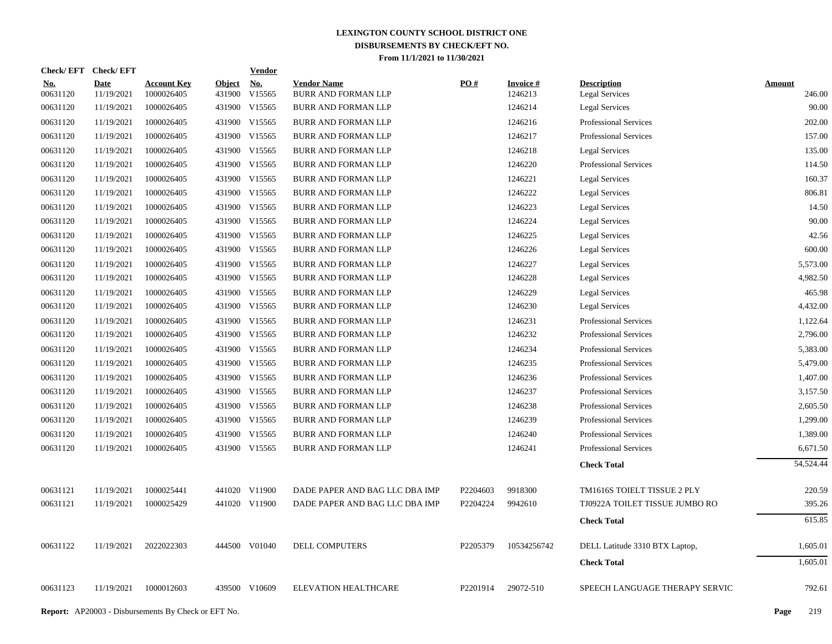| Check/EFT Check/EFT    |                           |                                  |                         | <b>Vendor</b>        |                                           |                   |                            |                                             |                         |
|------------------------|---------------------------|----------------------------------|-------------------------|----------------------|-------------------------------------------|-------------------|----------------------------|---------------------------------------------|-------------------------|
| <u>No.</u><br>00631120 | <b>Date</b><br>11/19/2021 | <b>Account Key</b><br>1000026405 | <b>Object</b><br>431900 | <u>No.</u><br>V15565 | <b>Vendor Name</b><br>BURR AND FORMAN LLP | $\underline{PO#}$ | <b>Invoice#</b><br>1246213 | <b>Description</b><br><b>Legal Services</b> | <b>Amount</b><br>246.00 |
| 00631120               | 11/19/2021                | 1000026405                       |                         | 431900 V15565        | <b>BURR AND FORMAN LLP</b>                |                   | 1246214                    | <b>Legal Services</b>                       | 90.00                   |
| 00631120               | 11/19/2021                | 1000026405                       |                         | 431900 V15565        | <b>BURR AND FORMAN LLP</b>                |                   | 1246216                    | <b>Professional Services</b>                | 202.00                  |
| 00631120               | 11/19/2021                | 1000026405                       |                         | 431900 V15565        | <b>BURR AND FORMAN LLP</b>                |                   | 1246217                    | <b>Professional Services</b>                | 157.00                  |
| 00631120               | 11/19/2021                | 1000026405                       |                         | 431900 V15565        | <b>BURR AND FORMAN LLP</b>                |                   | 1246218                    | <b>Legal Services</b>                       | 135.00                  |
| 00631120               | 11/19/2021                | 1000026405                       |                         | 431900 V15565        | <b>BURR AND FORMAN LLP</b>                |                   | 1246220                    | <b>Professional Services</b>                | 114.50                  |
| 00631120               | 11/19/2021                | 1000026405                       |                         | 431900 V15565        | <b>BURR AND FORMAN LLP</b>                |                   | 1246221                    | <b>Legal Services</b>                       | 160.37                  |
| 00631120               | 11/19/2021                | 1000026405                       |                         | 431900 V15565        | <b>BURR AND FORMAN LLP</b>                |                   | 1246222                    | <b>Legal Services</b>                       | 806.81                  |
| 00631120               | 11/19/2021                | 1000026405                       |                         | 431900 V15565        | <b>BURR AND FORMAN LLP</b>                |                   | 1246223                    | <b>Legal Services</b>                       | 14.50                   |
| 00631120               | 11/19/2021                | 1000026405                       |                         | 431900 V15565        | <b>BURR AND FORMAN LLP</b>                |                   | 1246224                    | <b>Legal Services</b>                       | 90.00                   |
| 00631120               | 11/19/2021                | 1000026405                       |                         | 431900 V15565        | <b>BURR AND FORMAN LLP</b>                |                   | 1246225                    | <b>Legal Services</b>                       | 42.56                   |
| 00631120               | 11/19/2021                | 1000026405                       |                         | 431900 V15565        | <b>BURR AND FORMAN LLP</b>                |                   | 1246226                    | <b>Legal Services</b>                       | 600.00                  |
| 00631120               | 11/19/2021                | 1000026405                       |                         | 431900 V15565        | <b>BURR AND FORMAN LLP</b>                |                   | 1246227                    | <b>Legal Services</b>                       | 5,573.00                |
| 00631120               | 11/19/2021                | 1000026405                       |                         | 431900 V15565        | <b>BURR AND FORMAN LLP</b>                |                   | 1246228                    | <b>Legal Services</b>                       | 4,982.50                |
| 00631120               | 11/19/2021                | 1000026405                       |                         | 431900 V15565        | <b>BURR AND FORMAN LLP</b>                |                   | 1246229                    | <b>Legal Services</b>                       | 465.98                  |
| 00631120               | 11/19/2021                | 1000026405                       |                         | 431900 V15565        | <b>BURR AND FORMAN LLP</b>                |                   | 1246230                    | <b>Legal Services</b>                       | 4,432.00                |
| 00631120               | 11/19/2021                | 1000026405                       |                         | 431900 V15565        | <b>BURR AND FORMAN LLP</b>                |                   | 1246231                    | <b>Professional Services</b>                | 1,122.64                |
| 00631120               | 11/19/2021                | 1000026405                       |                         | 431900 V15565        | <b>BURR AND FORMAN LLP</b>                |                   | 1246232                    | <b>Professional Services</b>                | 2,796.00                |
| 00631120               | 11/19/2021                | 1000026405                       |                         | 431900 V15565        | <b>BURR AND FORMAN LLP</b>                |                   | 1246234                    | <b>Professional Services</b>                | 5,383.00                |
| 00631120               | 11/19/2021                | 1000026405                       |                         | 431900 V15565        | <b>BURR AND FORMAN LLP</b>                |                   | 1246235                    | Professional Services                       | 5,479.00                |
| 00631120               | 11/19/2021                | 1000026405                       |                         | 431900 V15565        | <b>BURR AND FORMAN LLP</b>                |                   | 1246236                    | <b>Professional Services</b>                | 1,407.00                |
| 00631120               | 11/19/2021                | 1000026405                       |                         | 431900 V15565        | BURR AND FORMAN LLP                       |                   | 1246237                    | <b>Professional Services</b>                | 3,157.50                |
| 00631120               | 11/19/2021                | 1000026405                       |                         | 431900 V15565        | <b>BURR AND FORMAN LLP</b>                |                   | 1246238                    | Professional Services                       | 2,605.50                |
| 00631120               | 11/19/2021                | 1000026405                       |                         | 431900 V15565        | <b>BURR AND FORMAN LLP</b>                |                   | 1246239                    | Professional Services                       | 1,299.00                |
| 00631120               | 11/19/2021                | 1000026405                       |                         | 431900 V15565        | BURR AND FORMAN LLP                       |                   | 1246240                    | <b>Professional Services</b>                | 1,389.00                |
| 00631120               | 11/19/2021                | 1000026405                       |                         | 431900 V15565        | <b>BURR AND FORMAN LLP</b>                |                   | 1246241                    | Professional Services                       | 6,671.50                |
|                        |                           |                                  |                         |                      |                                           |                   |                            | <b>Check Total</b>                          | 54,524.44               |
| 00631121               | 11/19/2021                | 1000025441                       |                         | 441020 V11900        | DADE PAPER AND BAG LLC DBA IMP            | P2204603          | 9918300                    | TM1616S TOIELT TISSUE 2 PLY                 | 220.59                  |
| 00631121               | 11/19/2021                | 1000025429                       |                         | 441020 V11900        | DADE PAPER AND BAG LLC DBA IMP            | P2204224          | 9942610                    | TJ0922A TOILET TISSUE JUMBO RO              | 395.26                  |
|                        |                           |                                  |                         |                      |                                           |                   |                            | <b>Check Total</b>                          | 615.85                  |
| 00631122               | 11/19/2021                | 2022022303                       |                         | 444500 V01040        | DELL COMPUTERS                            | P2205379          | 10534256742                | DELL Latitude 3310 BTX Laptop,              | 1,605.01                |
|                        |                           |                                  |                         |                      |                                           |                   |                            | <b>Check Total</b>                          | 1,605.01                |
| 00631123               | 11/19/2021                | 1000012603                       |                         | 439500 V10609        | <b>ELEVATION HEALTHCARE</b>               | P2201914          | 29072-510                  | SPEECH LANGUAGE THERAPY SERVIC              | 792.61                  |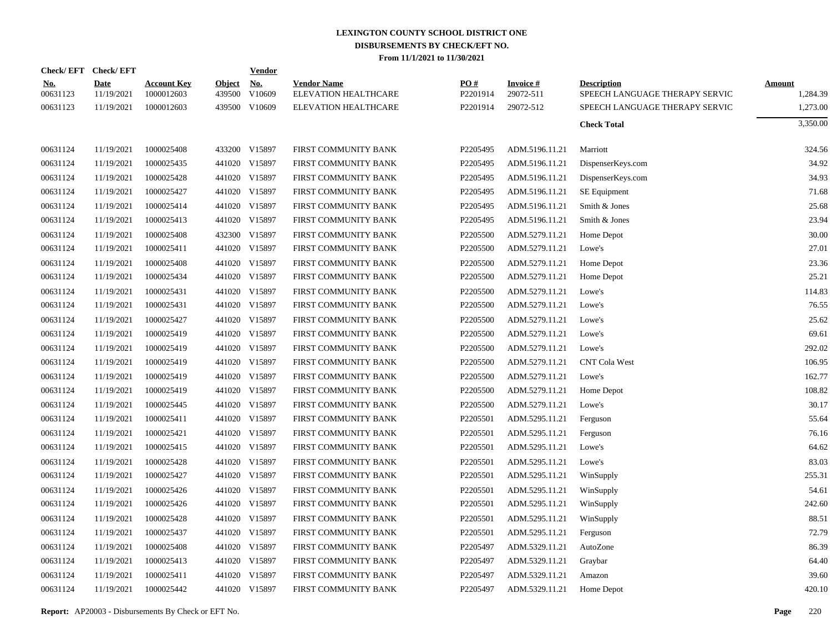|                        | Check/EFT Check/EFT       |                                  |                         | <b>Vendor</b>                         |                                            |                      |                              |                                                      |                           |
|------------------------|---------------------------|----------------------------------|-------------------------|---------------------------------------|--------------------------------------------|----------------------|------------------------------|------------------------------------------------------|---------------------------|
| <u>No.</u><br>00631123 | <b>Date</b><br>11/19/2021 | <b>Account Key</b><br>1000012603 | <b>Object</b><br>439500 | $\underline{\mathrm{No}}$ .<br>V10609 | <b>Vendor Name</b><br>ELEVATION HEALTHCARE | PO#<br>P2201914      | <b>Invoice#</b><br>29072-511 | <b>Description</b><br>SPEECH LANGUAGE THERAPY SERVIC | <b>Amount</b><br>1,284.39 |
| 00631123               | 11/19/2021                | 1000012603                       |                         | 439500 V10609                         | ELEVATION HEALTHCARE                       | P2201914             | 29072-512                    | SPEECH LANGUAGE THERAPY SERVIC                       | 1,273.00                  |
|                        |                           |                                  |                         |                                       |                                            |                      |                              | <b>Check Total</b>                                   | 3,350.00                  |
| 00631124               | 11/19/2021                | 1000025408                       |                         | 433200 V15897                         | FIRST COMMUNITY BANK                       | P2205495             | ADM.5196.11.21               | Marriott                                             | 324.56                    |
| 00631124               | 11/19/2021                | 1000025435                       |                         | 441020 V15897                         | FIRST COMMUNITY BANK                       | P2205495             | ADM.5196.11.21               | DispenserKeys.com                                    | 34.92                     |
| 00631124               | 11/19/2021                | 1000025428                       |                         | 441020 V15897                         | FIRST COMMUNITY BANK                       | P2205495             | ADM.5196.11.21               | DispenserKeys.com                                    | 34.93                     |
| 00631124               | 11/19/2021                | 1000025427                       |                         | 441020 V15897                         | FIRST COMMUNITY BANK                       | P2205495             | ADM.5196.11.21               | SE Equipment                                         | 71.68                     |
| 00631124               | 11/19/2021                | 1000025414                       |                         | 441020 V15897                         | FIRST COMMUNITY BANK                       | P2205495             | ADM.5196.11.21               | Smith & Jones                                        | 25.68                     |
| 00631124               | 11/19/2021                | 1000025413                       |                         | 441020 V15897                         | FIRST COMMUNITY BANK                       | P2205495             | ADM.5196.11.21               | Smith & Jones                                        | 23.94                     |
| 00631124               | 11/19/2021                | 1000025408                       |                         | 432300 V15897                         | FIRST COMMUNITY BANK                       | P2205500             | ADM.5279.11.21               | Home Depot                                           | 30.00                     |
| 00631124               | 11/19/2021                | 1000025411                       |                         | 441020 V15897                         | FIRST COMMUNITY BANK                       | P2205500             | ADM.5279.11.21               | Lowe's                                               | 27.01                     |
| 00631124               | 11/19/2021                | 1000025408                       |                         | 441020 V15897                         | FIRST COMMUNITY BANK                       | P2205500             | ADM.5279.11.21               | Home Depot                                           | 23.36                     |
| 00631124               | 11/19/2021                | 1000025434                       |                         | 441020 V15897                         | FIRST COMMUNITY BANK                       | P2205500             | ADM.5279.11.21               | Home Depot                                           | 25.21                     |
| 00631124               | 11/19/2021                | 1000025431                       |                         | 441020 V15897                         | FIRST COMMUNITY BANK                       | P2205500             | ADM.5279.11.21               | Lowe's                                               | 114.83                    |
| 00631124               | 11/19/2021                | 1000025431                       |                         | 441020 V15897                         | FIRST COMMUNITY BANK                       | P2205500             | ADM.5279.11.21               | Lowe's                                               | 76.55                     |
| 00631124               | 11/19/2021                | 1000025427                       |                         | 441020 V15897                         | FIRST COMMUNITY BANK                       | P2205500             | ADM.5279.11.21               | Lowe's                                               | 25.62                     |
| 00631124               | 11/19/2021                | 1000025419                       |                         | 441020 V15897                         | FIRST COMMUNITY BANK                       | P <sub>2205500</sub> | ADM.5279.11.21               | Lowe's                                               | 69.61                     |
| 00631124               | 11/19/2021                | 1000025419                       |                         | 441020 V15897                         | FIRST COMMUNITY BANK                       | P2205500             | ADM.5279.11.21               | Lowe's                                               | 292.02                    |
| 00631124               | 11/19/2021                | 1000025419                       |                         | 441020 V15897                         | FIRST COMMUNITY BANK                       | P2205500             | ADM.5279.11.21               | <b>CNT Cola West</b>                                 | 106.95                    |
| 00631124               | 11/19/2021                | 1000025419                       |                         | 441020 V15897                         | FIRST COMMUNITY BANK                       | P2205500             | ADM.5279.11.21               | Lowe's                                               | 162.77                    |
| 00631124               | 11/19/2021                | 1000025419                       |                         | 441020 V15897                         | FIRST COMMUNITY BANK                       | P2205500             | ADM.5279.11.21               | Home Depot                                           | 108.82                    |
| 00631124               | 11/19/2021                | 1000025445                       |                         | 441020 V15897                         | FIRST COMMUNITY BANK                       | P2205500             | ADM.5279.11.21               | Lowe's                                               | 30.17                     |
| 00631124               | 11/19/2021                | 1000025411                       |                         | 441020 V15897                         | FIRST COMMUNITY BANK                       | P2205501             | ADM.5295.11.21               | Ferguson                                             | 55.64                     |
| 00631124               | 11/19/2021                | 1000025421                       |                         | 441020 V15897                         | FIRST COMMUNITY BANK                       | P2205501             | ADM.5295.11.21               | Ferguson                                             | 76.16                     |
| 00631124               | 11/19/2021                | 1000025415                       |                         | 441020 V15897                         | FIRST COMMUNITY BANK                       | P2205501             | ADM.5295.11.21               | Lowe's                                               | 64.62                     |
| 00631124               | 11/19/2021                | 1000025428                       |                         | 441020 V15897                         | FIRST COMMUNITY BANK                       | P2205501             | ADM.5295.11.21               | Lowe's                                               | 83.03                     |
| 00631124               | 11/19/2021                | 1000025427                       |                         | 441020 V15897                         | FIRST COMMUNITY BANK                       | P2205501             | ADM.5295.11.21               | WinSupply                                            | 255.31                    |
| 00631124               | 11/19/2021                | 1000025426                       |                         | 441020 V15897                         | FIRST COMMUNITY BANK                       | P2205501             | ADM.5295.11.21               | WinSupply                                            | 54.61                     |
| 00631124               | 11/19/2021                | 1000025426                       |                         | 441020 V15897                         | FIRST COMMUNITY BANK                       | P2205501             | ADM.5295.11.21               | WinSupply                                            | 242.60                    |
| 00631124               | 11/19/2021                | 1000025428                       |                         | 441020 V15897                         | FIRST COMMUNITY BANK                       | P2205501             | ADM.5295.11.21               | WinSupply                                            | 88.51                     |
| 00631124               | 11/19/2021                | 1000025437                       |                         | 441020 V15897                         | FIRST COMMUNITY BANK                       | P2205501             | ADM.5295.11.21               | Ferguson                                             | 72.79                     |
| 00631124               | 11/19/2021                | 1000025408                       |                         | 441020 V15897                         | FIRST COMMUNITY BANK                       | P2205497             | ADM.5329.11.21               | AutoZone                                             | 86.39                     |
| 00631124               | 11/19/2021                | 1000025413                       |                         | 441020 V15897                         | FIRST COMMUNITY BANK                       | P2205497             | ADM.5329.11.21               | Graybar                                              | 64.40                     |
| 00631124               | 11/19/2021                | 1000025411                       |                         | 441020 V15897                         | FIRST COMMUNITY BANK                       | P2205497             | ADM.5329.11.21               | Amazon                                               | 39.60                     |
| 00631124               | 11/19/2021                | 1000025442                       |                         | 441020 V15897                         | FIRST COMMUNITY BANK                       | P2205497             | ADM.5329.11.21               | Home Depot                                           | 420.10                    |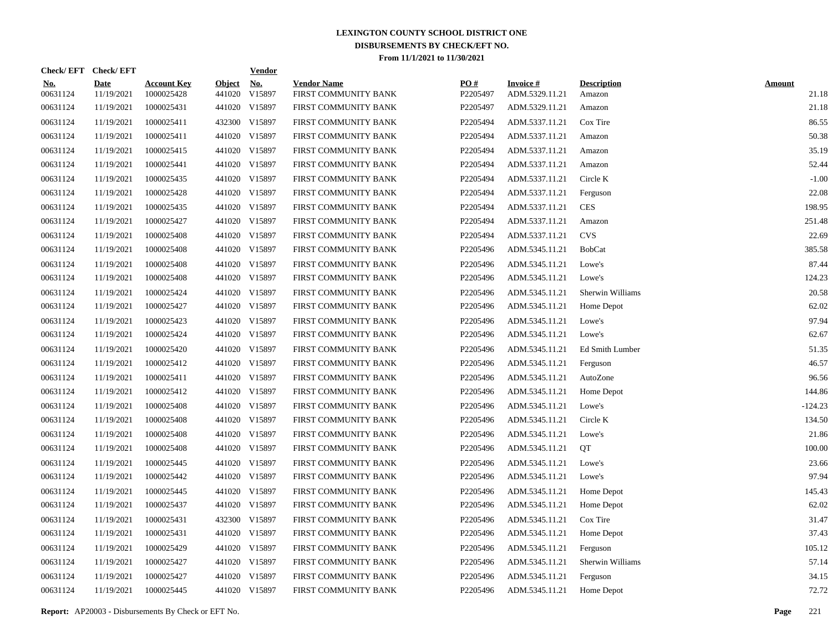|                        | Check/EFT Check/EFT       |                                  |                         | <b>Vendor</b>        |                                            |                 |                                   |                              |                        |
|------------------------|---------------------------|----------------------------------|-------------------------|----------------------|--------------------------------------------|-----------------|-----------------------------------|------------------------------|------------------------|
| <u>No.</u><br>00631124 | <b>Date</b><br>11/19/2021 | <b>Account Key</b><br>1000025428 | <b>Object</b><br>441020 | <u>No.</u><br>V15897 | <b>Vendor Name</b><br>FIRST COMMUNITY BANK | PO#<br>P2205497 | <b>Invoice#</b><br>ADM.5329.11.21 | <b>Description</b><br>Amazon | <b>Amount</b><br>21.18 |
| 00631124               | 11/19/2021                | 1000025431                       |                         | 441020 V15897        | FIRST COMMUNITY BANK                       | P2205497        | ADM.5329.11.21                    | Amazon                       | 21.18                  |
| 00631124               | 11/19/2021                | 1000025411                       |                         | 432300 V15897        | FIRST COMMUNITY BANK                       | P2205494        | ADM.5337.11.21                    | Cox Tire                     | 86.55                  |
| 00631124               | 11/19/2021                | 1000025411                       |                         | 441020 V15897        | FIRST COMMUNITY BANK                       | P2205494        | ADM.5337.11.21                    | Amazon                       | 50.38                  |
| 00631124               | 11/19/2021                | 1000025415                       |                         | 441020 V15897        | FIRST COMMUNITY BANK                       | P2205494        | ADM.5337.11.21                    | Amazon                       | 35.19                  |
| 00631124               | 11/19/2021                | 1000025441                       |                         | 441020 V15897        | FIRST COMMUNITY BANK                       | P2205494        | ADM.5337.11.21                    | Amazon                       | 52.44                  |
| 00631124               | 11/19/2021                | 1000025435                       |                         | 441020 V15897        | FIRST COMMUNITY BANK                       | P2205494        | ADM.5337.11.21                    | Circle K                     | $-1.00$                |
| 00631124               | 11/19/2021                | 1000025428                       |                         | 441020 V15897        | FIRST COMMUNITY BANK                       | P2205494        | ADM.5337.11.21                    | Ferguson                     | 22.08                  |
| 00631124               | 11/19/2021                | 1000025435                       |                         | 441020 V15897        | FIRST COMMUNITY BANK                       | P2205494        | ADM.5337.11.21                    | <b>CES</b>                   | 198.95                 |
| 00631124               | 11/19/2021                | 1000025427                       |                         | 441020 V15897        | FIRST COMMUNITY BANK                       | P2205494        | ADM.5337.11.21                    | Amazon                       | 251.48                 |
| 00631124               | 11/19/2021                | 1000025408                       |                         | 441020 V15897        | FIRST COMMUNITY BANK                       | P2205494        | ADM.5337.11.21                    | <b>CVS</b>                   | 22.69                  |
| 00631124               | 11/19/2021                | 1000025408                       |                         | 441020 V15897        | FIRST COMMUNITY BANK                       | P2205496        | ADM.5345.11.21                    | <b>BobCat</b>                | 385.58                 |
| 00631124               | 11/19/2021                | 1000025408                       |                         | 441020 V15897        | FIRST COMMUNITY BANK                       | P2205496        | ADM.5345.11.21                    | Lowe's                       | 87.44                  |
| 00631124               | 11/19/2021                | 1000025408                       |                         | 441020 V15897        | FIRST COMMUNITY BANK                       | P2205496        | ADM.5345.11.21                    | Lowe's                       | 124.23                 |
| 00631124               | 11/19/2021                | 1000025424                       |                         | 441020 V15897        | FIRST COMMUNITY BANK                       | P2205496        | ADM.5345.11.21                    | Sherwin Williams             | 20.58                  |
| 00631124               | 11/19/2021                | 1000025427                       |                         | 441020 V15897        | FIRST COMMUNITY BANK                       | P2205496        | ADM.5345.11.21                    | Home Depot                   | 62.02                  |
| 00631124               | 11/19/2021                | 1000025423                       |                         | 441020 V15897        | FIRST COMMUNITY BANK                       | P2205496        | ADM.5345.11.21                    | Lowe's                       | 97.94                  |
| 00631124               | 11/19/2021                | 1000025424                       |                         | 441020 V15897        | FIRST COMMUNITY BANK                       | P2205496        | ADM.5345.11.21                    | Lowe's                       | 62.67                  |
| 00631124               | 11/19/2021                | 1000025420                       |                         | 441020 V15897        | FIRST COMMUNITY BANK                       | P2205496        | ADM.5345.11.21                    | Ed Smith Lumber              | 51.35                  |
| 00631124               | 11/19/2021                | 1000025412                       |                         | 441020 V15897        | FIRST COMMUNITY BANK                       | P2205496        | ADM.5345.11.21                    | Ferguson                     | 46.57                  |
| 00631124               | 11/19/2021                | 1000025411                       |                         | 441020 V15897        | FIRST COMMUNITY BANK                       | P2205496        | ADM.5345.11.21                    | AutoZone                     | 96.56                  |
| 00631124               | 11/19/2021                | 1000025412                       |                         | 441020 V15897        | FIRST COMMUNITY BANK                       | P2205496        | ADM.5345.11.21                    | Home Depot                   | 144.86                 |
| 00631124               | 11/19/2021                | 1000025408                       |                         | 441020 V15897        | FIRST COMMUNITY BANK                       | P2205496        | ADM.5345.11.21                    | Lowe's                       | $-124.23$              |
| 00631124               | 11/19/2021                | 1000025408                       |                         | 441020 V15897        | FIRST COMMUNITY BANK                       | P2205496        | ADM.5345.11.21                    | Circle K                     | 134.50                 |
| 00631124               | 11/19/2021                | 1000025408                       |                         | 441020 V15897        | FIRST COMMUNITY BANK                       | P2205496        | ADM.5345.11.21                    | Lowe's                       | 21.86                  |
| 00631124               | 11/19/2021                | 1000025408                       |                         | 441020 V15897        | FIRST COMMUNITY BANK                       | P2205496        | ADM.5345.11.21                    | QT                           | 100.00                 |
| 00631124               | 11/19/2021                | 1000025445                       |                         | 441020 V15897        | FIRST COMMUNITY BANK                       | P2205496        | ADM.5345.11.21                    | Lowe's                       | 23.66                  |
| 00631124               | 11/19/2021                | 1000025442                       |                         | 441020 V15897        | FIRST COMMUNITY BANK                       | P2205496        | ADM.5345.11.21                    | Lowe's                       | 97.94                  |
| 00631124               | 11/19/2021                | 1000025445                       |                         | 441020 V15897        | FIRST COMMUNITY BANK                       | P2205496        | ADM.5345.11.21                    | Home Depot                   | 145.43                 |
| 00631124               | 11/19/2021                | 1000025437                       |                         | 441020 V15897        | FIRST COMMUNITY BANK                       | P2205496        | ADM.5345.11.21                    | Home Depot                   | 62.02                  |
| 00631124               | 11/19/2021                | 1000025431                       |                         | 432300 V15897        | FIRST COMMUNITY BANK                       | P2205496        | ADM.5345.11.21                    | Cox Tire                     | 31.47                  |
| 00631124               | 11/19/2021                | 1000025431                       |                         | 441020 V15897        | FIRST COMMUNITY BANK                       | P2205496        | ADM.5345.11.21                    | Home Depot                   | 37.43                  |
| 00631124               | 11/19/2021                | 1000025429                       |                         | 441020 V15897        | FIRST COMMUNITY BANK                       | P2205496        | ADM.5345.11.21                    | Ferguson                     | 105.12                 |
| 00631124               | 11/19/2021                | 1000025427                       |                         | 441020 V15897        | FIRST COMMUNITY BANK                       | P2205496        | ADM.5345.11.21                    | Sherwin Williams             | 57.14                  |
| 00631124               | 11/19/2021                | 1000025427                       |                         | 441020 V15897        | FIRST COMMUNITY BANK                       | P2205496        | ADM.5345.11.21                    | Ferguson                     | 34.15                  |
| 00631124               | 11/19/2021                | 1000025445                       |                         | 441020 V15897        | FIRST COMMUNITY BANK                       | P2205496        | ADM.5345.11.21                    | Home Depot                   | 72.72                  |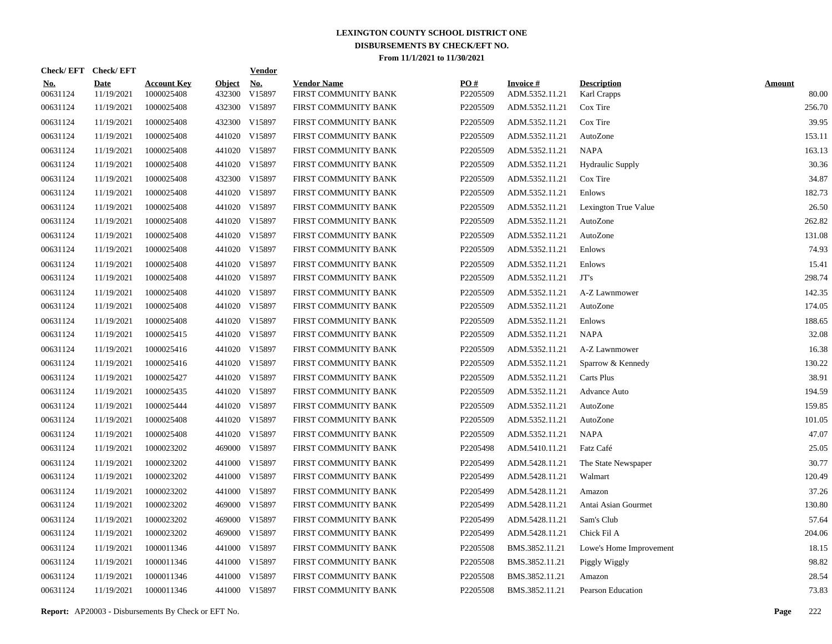| Check/EFT Check/EFT    |                           |                                  |                         | <b>Vendor</b>        |                                            |                 |                                   |                                   |                        |
|------------------------|---------------------------|----------------------------------|-------------------------|----------------------|--------------------------------------------|-----------------|-----------------------------------|-----------------------------------|------------------------|
| <u>No.</u><br>00631124 | <b>Date</b><br>11/19/2021 | <b>Account Key</b><br>1000025408 | <b>Object</b><br>432300 | <u>No.</u><br>V15897 | <b>Vendor Name</b><br>FIRST COMMUNITY BANK | PO#<br>P2205509 | <b>Invoice#</b><br>ADM.5352.11.21 | <b>Description</b><br>Karl Crapps | <b>Amount</b><br>80.00 |
| 00631124               | 11/19/2021                | 1000025408                       |                         | 432300 V15897        | FIRST COMMUNITY BANK                       | P2205509        | ADM.5352.11.21                    | Cox Tire                          | 256.70                 |
| 00631124               | 11/19/2021                | 1000025408                       |                         | 432300 V15897        | FIRST COMMUNITY BANK                       | P2205509        | ADM.5352.11.21                    | Cox Tire                          | 39.95                  |
| 00631124               | 11/19/2021                | 1000025408                       |                         | 441020 V15897        | FIRST COMMUNITY BANK                       | P2205509        | ADM.5352.11.21                    | AutoZone                          | 153.11                 |
| 00631124               | 11/19/2021                | 1000025408                       |                         | 441020 V15897        | FIRST COMMUNITY BANK                       | P2205509        | ADM.5352.11.21                    | <b>NAPA</b>                       | 163.13                 |
| 00631124               | 11/19/2021                | 1000025408                       |                         | 441020 V15897        | FIRST COMMUNITY BANK                       | P2205509        | ADM.5352.11.21                    | Hydraulic Supply                  | 30.36                  |
| 00631124               | 11/19/2021                | 1000025408                       |                         | 432300 V15897        | FIRST COMMUNITY BANK                       | P2205509        | ADM.5352.11.21                    | Cox Tire                          | 34.87                  |
| 00631124               | 11/19/2021                | 1000025408                       |                         | 441020 V15897        | FIRST COMMUNITY BANK                       | P2205509        | ADM.5352.11.21                    | Enlows                            | 182.73                 |
| 00631124               | 11/19/2021                | 1000025408                       |                         | 441020 V15897        | FIRST COMMUNITY BANK                       | P2205509        | ADM.5352.11.21                    | Lexington True Value              | 26.50                  |
| 00631124               | 11/19/2021                | 1000025408                       |                         | 441020 V15897        | FIRST COMMUNITY BANK                       | P2205509        | ADM.5352.11.21                    | AutoZone                          | 262.82                 |
| 00631124               | 11/19/2021                | 1000025408                       |                         | 441020 V15897        | FIRST COMMUNITY BANK                       | P2205509        | ADM.5352.11.21                    | AutoZone                          | 131.08                 |
| 00631124               | 11/19/2021                | 1000025408                       |                         | 441020 V15897        | FIRST COMMUNITY BANK                       | P2205509        | ADM.5352.11.21                    | Enlows                            | 74.93                  |
| 00631124               | 11/19/2021                | 1000025408                       |                         | 441020 V15897        | FIRST COMMUNITY BANK                       | P2205509        | ADM.5352.11.21                    | Enlows                            | 15.41                  |
| 00631124               | 11/19/2021                | 1000025408                       |                         | 441020 V15897        | FIRST COMMUNITY BANK                       | P2205509        | ADM.5352.11.21                    | JT's                              | 298.74                 |
| 00631124               | 11/19/2021                | 1000025408                       |                         | 441020 V15897        | FIRST COMMUNITY BANK                       | P2205509        | ADM.5352.11.21                    | A-Z Lawnmower                     | 142.35                 |
| 00631124               | 11/19/2021                | 1000025408                       |                         | 441020 V15897        | FIRST COMMUNITY BANK                       | P2205509        | ADM.5352.11.21                    | AutoZone                          | 174.05                 |
| 00631124               | 11/19/2021                | 1000025408                       |                         | 441020 V15897        | FIRST COMMUNITY BANK                       | P2205509        | ADM.5352.11.21                    | Enlows                            | 188.65                 |
| 00631124               | 11/19/2021                | 1000025415                       |                         | 441020 V15897        | FIRST COMMUNITY BANK                       | P2205509        | ADM.5352.11.21                    | <b>NAPA</b>                       | 32.08                  |
| 00631124               | 11/19/2021                | 1000025416                       |                         | 441020 V15897        | FIRST COMMUNITY BANK                       | P2205509        | ADM.5352.11.21                    | A-Z Lawnmower                     | 16.38                  |
| 00631124               | 11/19/2021                | 1000025416                       |                         | 441020 V15897        | FIRST COMMUNITY BANK                       | P2205509        | ADM.5352.11.21                    | Sparrow & Kennedy                 | 130.22                 |
| 00631124               | 11/19/2021                | 1000025427                       |                         | 441020 V15897        | FIRST COMMUNITY BANK                       | P2205509        | ADM.5352.11.21                    | Carts Plus                        | 38.91                  |
| 00631124               | 11/19/2021                | 1000025435                       |                         | 441020 V15897        | FIRST COMMUNITY BANK                       | P2205509        | ADM.5352.11.21                    | Advance Auto                      | 194.59                 |
| 00631124               | 11/19/2021                | 1000025444                       |                         | 441020 V15897        | FIRST COMMUNITY BANK                       | P2205509        | ADM.5352.11.21                    | AutoZone                          | 159.85                 |
| 00631124               | 11/19/2021                | 1000025408                       |                         | 441020 V15897        | FIRST COMMUNITY BANK                       | P2205509        | ADM.5352.11.21                    | AutoZone                          | 101.05                 |
| 00631124               | 11/19/2021                | 1000025408                       |                         | 441020 V15897        | FIRST COMMUNITY BANK                       | P2205509        | ADM.5352.11.21                    | <b>NAPA</b>                       | 47.07                  |
| 00631124               | 11/19/2021                | 1000023202                       |                         | 469000 V15897        | FIRST COMMUNITY BANK                       | P2205498        | ADM.5410.11.21                    | Fatz Café                         | 25.05                  |
| 00631124               | 11/19/2021                | 1000023202                       |                         | 441000 V15897        | FIRST COMMUNITY BANK                       | P2205499        | ADM.5428.11.21                    | The State Newspaper               | 30.77                  |
| 00631124               | 11/19/2021                | 1000023202                       |                         | 441000 V15897        | FIRST COMMUNITY BANK                       | P2205499        | ADM.5428.11.21                    | Walmart                           | 120.49                 |
| 00631124               | 11/19/2021                | 1000023202                       |                         | 441000 V15897        | FIRST COMMUNITY BANK                       | P2205499        | ADM.5428.11.21                    | Amazon                            | 37.26                  |
| 00631124               | 11/19/2021                | 1000023202                       |                         | 469000 V15897        | FIRST COMMUNITY BANK                       | P2205499        | ADM.5428.11.21                    | Antai Asian Gourmet               | 130.80                 |
| 00631124               | 11/19/2021                | 1000023202                       |                         | 469000 V15897        | FIRST COMMUNITY BANK                       | P2205499        | ADM.5428.11.21                    | Sam's Club                        | 57.64                  |
| 00631124               | 11/19/2021                | 1000023202                       |                         | 469000 V15897        | FIRST COMMUNITY BANK                       | P2205499        | ADM.5428.11.21                    | Chick Fil A                       | 204.06                 |
| 00631124               | 11/19/2021                | 1000011346                       |                         | 441000 V15897        | FIRST COMMUNITY BANK                       | P2205508        | BMS.3852.11.21                    | Lowe's Home Improvement           | 18.15                  |
| 00631124               | 11/19/2021                | 1000011346                       |                         | 441000 V15897        | FIRST COMMUNITY BANK                       | P2205508        | BMS.3852.11.21                    | Piggly Wiggly                     | 98.82                  |
| 00631124               | 11/19/2021                | 1000011346                       |                         | 441000 V15897        | FIRST COMMUNITY BANK                       | P2205508        | BMS.3852.11.21                    | Amazon                            | 28.54                  |
| 00631124               | 11/19/2021                | 1000011346                       |                         | 441000 V15897        | FIRST COMMUNITY BANK                       | P2205508        | BMS.3852.11.21                    | Pearson Education                 | 73.83                  |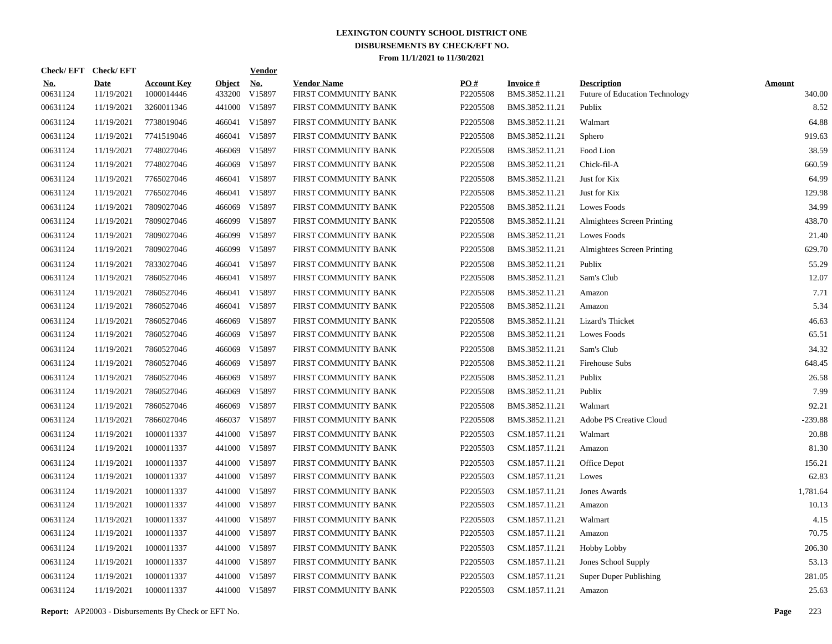| Check/EFT Check/EFT    |                           |                                  |                         | <b>Vendor</b>                         |                                            |                 |                                   |                                                      |                         |
|------------------------|---------------------------|----------------------------------|-------------------------|---------------------------------------|--------------------------------------------|-----------------|-----------------------------------|------------------------------------------------------|-------------------------|
| <u>No.</u><br>00631124 | <b>Date</b><br>11/19/2021 | <b>Account Key</b><br>1000014446 | <b>Object</b><br>433200 | $\underline{\mathrm{No}}$ .<br>V15897 | <b>Vendor Name</b><br>FIRST COMMUNITY BANK | PO#<br>P2205508 | <b>Invoice#</b><br>BMS.3852.11.21 | <b>Description</b><br>Future of Education Technology | <b>Amount</b><br>340.00 |
| 00631124               | 11/19/2021                | 3260011346                       |                         | 441000 V15897                         | FIRST COMMUNITY BANK                       | P2205508        | BMS.3852.11.21                    | Publix                                               | 8.52                    |
| 00631124               | 11/19/2021                | 7738019046                       |                         | 466041 V15897                         | FIRST COMMUNITY BANK                       | P2205508        | BMS.3852.11.21                    | Walmart                                              | 64.88                   |
| 00631124               | 11/19/2021                | 7741519046                       |                         | 466041 V15897                         | FIRST COMMUNITY BANK                       | P2205508        | BMS.3852.11.21                    | Sphero                                               | 919.63                  |
| 00631124               | 11/19/2021                | 7748027046                       |                         | 466069 V15897                         | FIRST COMMUNITY BANK                       | P2205508        | BMS.3852.11.21                    | Food Lion                                            | 38.59                   |
| 00631124               | 11/19/2021                | 7748027046                       | 466069                  | V15897                                | FIRST COMMUNITY BANK                       | P2205508        | BMS.3852.11.21                    | Chick-fil-A                                          | 660.59                  |
| 00631124               | 11/19/2021                | 7765027046                       |                         | 466041 V15897                         | FIRST COMMUNITY BANK                       | P2205508        | BMS.3852.11.21                    | Just for Kix                                         | 64.99                   |
| 00631124               | 11/19/2021                | 7765027046                       |                         | 466041 V15897                         | FIRST COMMUNITY BANK                       | P2205508        | BMS.3852.11.21                    | Just for Kix                                         | 129.98                  |
| 00631124               | 11/19/2021                | 7809027046                       |                         | 466069 V15897                         | FIRST COMMUNITY BANK                       | P2205508        | BMS.3852.11.21                    | <b>Lowes Foods</b>                                   | 34.99                   |
| 00631124               | 11/19/2021                | 7809027046                       |                         | 466099 V15897                         | FIRST COMMUNITY BANK                       | P2205508        | BMS.3852.11.21                    | Almightees Screen Printing                           | 438.70                  |
| 00631124               | 11/19/2021                | 7809027046                       |                         | 466099 V15897                         | FIRST COMMUNITY BANK                       | P2205508        | BMS.3852.11.21                    | Lowes Foods                                          | 21.40                   |
| 00631124               | 11/19/2021                | 7809027046                       |                         | 466099 V15897                         | FIRST COMMUNITY BANK                       | P2205508        | BMS.3852.11.21                    | Almightees Screen Printing                           | 629.70                  |
| 00631124               | 11/19/2021                | 7833027046                       |                         | 466041 V15897                         | FIRST COMMUNITY BANK                       | P2205508        | BMS.3852.11.21                    | Publix                                               | 55.29                   |
| 00631124               | 11/19/2021                | 7860527046                       |                         | 466041 V15897                         | FIRST COMMUNITY BANK                       | P2205508        | BMS.3852.11.21                    | Sam's Club                                           | 12.07                   |
| 00631124               | 11/19/2021                | 7860527046                       |                         | 466041 V15897                         | FIRST COMMUNITY BANK                       | P2205508        | BMS.3852.11.21                    | Amazon                                               | 7.71                    |
| 00631124               | 11/19/2021                | 7860527046                       |                         | 466041 V15897                         | FIRST COMMUNITY BANK                       | P2205508        | BMS.3852.11.21                    | Amazon                                               | 5.34                    |
| 00631124               | 11/19/2021                | 7860527046                       |                         | 466069 V15897                         | FIRST COMMUNITY BANK                       | P2205508        | BMS.3852.11.21                    | Lizard's Thicket                                     | 46.63                   |
| 00631124               | 11/19/2021                | 7860527046                       |                         | 466069 V15897                         | FIRST COMMUNITY BANK                       | P2205508        | BMS.3852.11.21                    | Lowes Foods                                          | 65.51                   |
| 00631124               | 11/19/2021                | 7860527046                       |                         | 466069 V15897                         | FIRST COMMUNITY BANK                       | P2205508        | BMS.3852.11.21                    | Sam's Club                                           | 34.32                   |
| 00631124               | 11/19/2021                | 7860527046                       |                         | 466069 V15897                         | FIRST COMMUNITY BANK                       | P2205508        | BMS.3852.11.21                    | Firehouse Subs                                       | 648.45                  |
| 00631124               | 11/19/2021                | 7860527046                       | 466069                  | V15897                                | FIRST COMMUNITY BANK                       | P2205508        | BMS.3852.11.21                    | Publix                                               | 26.58                   |
| 00631124               | 11/19/2021                | 7860527046                       |                         | 466069 V15897                         | FIRST COMMUNITY BANK                       | P2205508        | BMS.3852.11.21                    | Publix                                               | 7.99                    |
| 00631124               | 11/19/2021                | 7860527046                       | 466069                  | V15897                                | FIRST COMMUNITY BANK                       | P2205508        | BMS.3852.11.21                    | Walmart                                              | 92.21                   |
| 00631124               | 11/19/2021                | 7866027046                       |                         | 466037 V15897                         | FIRST COMMUNITY BANK                       | P2205508        | BMS.3852.11.21                    | Adobe PS Creative Cloud                              | $-239.88$               |
| 00631124               | 11/19/2021                | 1000011337                       |                         | 441000 V15897                         | FIRST COMMUNITY BANK                       | P2205503        | CSM.1857.11.21                    | Walmart                                              | 20.88                   |
| 00631124               | 11/19/2021                | 1000011337                       |                         | 441000 V15897                         | FIRST COMMUNITY BANK                       | P2205503        | CSM.1857.11.21                    | Amazon                                               | 81.30                   |
| 00631124               | 11/19/2021                | 1000011337                       |                         | 441000 V15897                         | FIRST COMMUNITY BANK                       | P2205503        | CSM.1857.11.21                    | Office Depot                                         | 156.21                  |
| 00631124               | 11/19/2021                | 1000011337                       |                         | 441000 V15897                         | FIRST COMMUNITY BANK                       | P2205503        | CSM.1857.11.21                    | Lowes                                                | 62.83                   |
| 00631124               | 11/19/2021                | 1000011337                       |                         | 441000 V15897                         | FIRST COMMUNITY BANK                       | P2205503        | CSM.1857.11.21                    | Jones Awards                                         | 1.781.64                |
| 00631124               | 11/19/2021                | 1000011337                       |                         | 441000 V15897                         | FIRST COMMUNITY BANK                       | P2205503        | CSM.1857.11.21                    | Amazon                                               | 10.13                   |
| 00631124               | 11/19/2021                | 1000011337                       |                         | 441000 V15897                         | FIRST COMMUNITY BANK                       | P2205503        | CSM.1857.11.21                    | Walmart                                              | 4.15                    |
| 00631124               | 11/19/2021                | 1000011337                       |                         | 441000 V15897                         | FIRST COMMUNITY BANK                       | P2205503        | CSM.1857.11.21                    | Amazon                                               | 70.75                   |
| 00631124               | 11/19/2021                | 1000011337                       |                         | 441000 V15897                         | FIRST COMMUNITY BANK                       | P2205503        | CSM.1857.11.21                    | <b>Hobby Lobby</b>                                   | 206.30                  |
| 00631124               | 11/19/2021                | 1000011337                       |                         | 441000 V15897                         | FIRST COMMUNITY BANK                       | P2205503        | CSM.1857.11.21                    | Jones School Supply                                  | 53.13                   |
| 00631124               | 11/19/2021                | 1000011337                       |                         | 441000 V15897                         | FIRST COMMUNITY BANK                       | P2205503        | CSM.1857.11.21                    | Super Duper Publishing                               | 281.05                  |
| 00631124               | 11/19/2021                | 1000011337                       |                         | 441000 V15897                         | FIRST COMMUNITY BANK                       | P2205503        | CSM.1857.11.21                    | Amazon                                               | 25.63                   |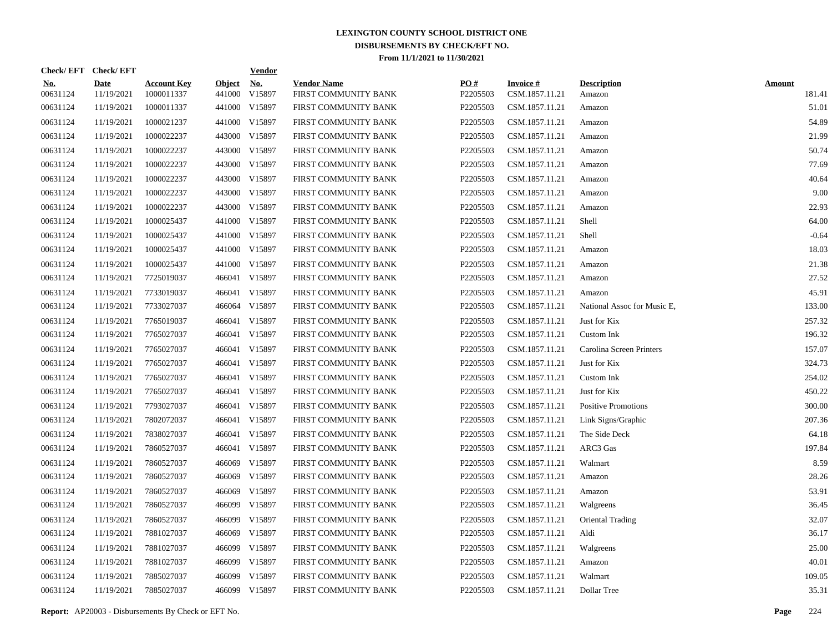| Check/EFT Check/EFT    |                           |                                  |                         | <b>Vendor</b> |                                            |                 |                                   |                              |                         |
|------------------------|---------------------------|----------------------------------|-------------------------|---------------|--------------------------------------------|-----------------|-----------------------------------|------------------------------|-------------------------|
| <u>No.</u><br>00631124 | <b>Date</b><br>11/19/2021 | <b>Account Key</b><br>1000011337 | <b>Object</b><br>441000 | No.<br>V15897 | <b>Vendor Name</b><br>FIRST COMMUNITY BANK | PO#<br>P2205503 | <b>Invoice#</b><br>CSM.1857.11.21 | <b>Description</b><br>Amazon | <b>Amount</b><br>181.41 |
| 00631124               | 11/19/2021                | 1000011337                       |                         | 441000 V15897 | FIRST COMMUNITY BANK                       | P2205503        | CSM.1857.11.21                    | Amazon                       | 51.01                   |
| 00631124               | 11/19/2021                | 1000021237                       |                         | 441000 V15897 | FIRST COMMUNITY BANK                       | P2205503        | CSM.1857.11.21                    | Amazon                       | 54.89                   |
| 00631124               | 11/19/2021                | 1000022237                       |                         | 443000 V15897 | FIRST COMMUNITY BANK                       | P2205503        | CSM.1857.11.21                    | Amazon                       | 21.99                   |
| 00631124               | 11/19/2021                | 1000022237                       |                         | 443000 V15897 | FIRST COMMUNITY BANK                       | P2205503        | CSM.1857.11.21                    | Amazon                       | 50.74                   |
| 00631124               | 11/19/2021                | 1000022237                       |                         | 443000 V15897 | FIRST COMMUNITY BANK                       | P2205503        | CSM.1857.11.21                    | Amazon                       | 77.69                   |
| 00631124               | 11/19/2021                | 1000022237                       |                         | 443000 V15897 | FIRST COMMUNITY BANK                       | P2205503        | CSM.1857.11.21                    | Amazon                       | 40.64                   |
| 00631124               | 11/19/2021                | 1000022237                       |                         | 443000 V15897 | FIRST COMMUNITY BANK                       | P2205503        | CSM.1857.11.21                    | Amazon                       | 9.00                    |
| 00631124               | 11/19/2021                | 1000022237                       |                         | 443000 V15897 | FIRST COMMUNITY BANK                       | P2205503        | CSM.1857.11.21                    | Amazon                       | 22.93                   |
| 00631124               | 11/19/2021                | 1000025437                       |                         | 441000 V15897 | FIRST COMMUNITY BANK                       | P2205503        | CSM.1857.11.21                    | Shell                        | 64.00                   |
| 00631124               | 11/19/2021                | 1000025437                       |                         | 441000 V15897 | FIRST COMMUNITY BANK                       | P2205503        | CSM.1857.11.21                    | Shell                        | $-0.64$                 |
| 00631124               | 11/19/2021                | 1000025437                       |                         | 441000 V15897 | FIRST COMMUNITY BANK                       | P2205503        | CSM.1857.11.21                    | Amazon                       | 18.03                   |
| 00631124               | 11/19/2021                | 1000025437                       |                         | 441000 V15897 | FIRST COMMUNITY BANK                       | P2205503        | CSM.1857.11.21                    | Amazon                       | 21.38                   |
| 00631124               | 11/19/2021                | 7725019037                       | 466041                  | V15897        | FIRST COMMUNITY BANK                       | P2205503        | CSM.1857.11.21                    | Amazon                       | 27.52                   |
| 00631124               | 11/19/2021                | 7733019037                       | 466041                  | V15897        | FIRST COMMUNITY BANK                       | P2205503        | CSM.1857.11.21                    | Amazon                       | 45.91                   |
| 00631124               | 11/19/2021                | 7733027037                       |                         | 466064 V15897 | FIRST COMMUNITY BANK                       | P2205503        | CSM.1857.11.21                    | National Assoc for Music E.  | 133.00                  |
| 00631124               | 11/19/2021                | 7765019037                       | 466041                  | V15897        | FIRST COMMUNITY BANK                       | P2205503        | CSM.1857.11.21                    | Just for Kix                 | 257.32                  |
| 00631124               | 11/19/2021                | 7765027037                       | 466041                  | V15897        | FIRST COMMUNITY BANK                       | P2205503        | CSM.1857.11.21                    | Custom Ink                   | 196.32                  |
| 00631124               | 11/19/2021                | 7765027037                       | 466041                  | V15897        | FIRST COMMUNITY BANK                       | P2205503        | CSM.1857.11.21                    | Carolina Screen Printers     | 157.07                  |
| 00631124               | 11/19/2021                | 7765027037                       | 466041                  | V15897        | FIRST COMMUNITY BANK                       | P2205503        | CSM.1857.11.21                    | Just for Kix                 | 324.73                  |
| 00631124               | 11/19/2021                | 7765027037                       | 466041                  | V15897        | FIRST COMMUNITY BANK                       | P2205503        | CSM.1857.11.21                    | Custom Ink                   | 254.02                  |
| 00631124               | 11/19/2021                | 7765027037                       | 466041                  | V15897        | FIRST COMMUNITY BANK                       | P2205503        | CSM.1857.11.21                    | Just for Kix                 | 450.22                  |
| 00631124               | 11/19/2021                | 7793027037                       | 466041                  | V15897        | FIRST COMMUNITY BANK                       | P2205503        | CSM.1857.11.21                    | <b>Positive Promotions</b>   | 300.00                  |
| 00631124               | 11/19/2021                | 7802072037                       | 466041                  | V15897        | FIRST COMMUNITY BANK                       | P2205503        | CSM.1857.11.21                    | Link Signs/Graphic           | 207.36                  |
| 00631124               | 11/19/2021                | 7838027037                       | 466041                  | V15897        | FIRST COMMUNITY BANK                       | P2205503        | CSM.1857.11.21                    | The Side Deck                | 64.18                   |
| 00631124               | 11/19/2021                | 7860527037                       |                         | 466041 V15897 | FIRST COMMUNITY BANK                       | P2205503        | CSM.1857.11.21                    | ARC3 Gas                     | 197.84                  |
| 00631124               | 11/19/2021                | 7860527037                       | 466069                  | V15897        | FIRST COMMUNITY BANK                       | P2205503        | CSM.1857.11.21                    | Walmart                      | 8.59                    |
| 00631124               | 11/19/2021                | 7860527037                       | 466069                  | V15897        | FIRST COMMUNITY BANK                       | P2205503        | CSM.1857.11.21                    | Amazon                       | 28.26                   |
| 00631124               | 11/19/2021                | 7860527037                       | 466069                  | V15897        | FIRST COMMUNITY BANK                       | P2205503        | CSM.1857.11.21                    | Amazon                       | 53.91                   |
| 00631124               | 11/19/2021                | 7860527037                       | 466099                  | V15897        | FIRST COMMUNITY BANK                       | P2205503        | CSM.1857.11.21                    | Walgreens                    | 36.45                   |
| 00631124               | 11/19/2021                | 7860527037                       | 466099                  | V15897        | FIRST COMMUNITY BANK                       | P2205503        | CSM.1857.11.21                    | Oriental Trading             | 32.07                   |
| 00631124               | 11/19/2021                | 7881027037                       | 466069                  | V15897        | FIRST COMMUNITY BANK                       | P2205503        | CSM.1857.11.21                    | Aldi                         | 36.17                   |
| 00631124               | 11/19/2021                | 7881027037                       | 466099                  | V15897        | FIRST COMMUNITY BANK                       | P2205503        | CSM.1857.11.21                    | Walgreens                    | 25.00                   |
| 00631124               | 11/19/2021                | 7881027037                       | 466099                  | V15897        | FIRST COMMUNITY BANK                       | P2205503        | CSM.1857.11.21                    | Amazon                       | 40.01                   |
| 00631124               | 11/19/2021                | 7885027037                       | 466099                  | V15897        | FIRST COMMUNITY BANK                       | P2205503        | CSM.1857.11.21                    | Walmart                      | 109.05                  |
| 00631124               | 11/19/2021                | 7885027037                       |                         | 466099 V15897 | FIRST COMMUNITY BANK                       | P2205503        | CSM.1857.11.21                    | Dollar Tree                  | 35.31                   |

**Report:** AP20003 - Disbursements By Check or EFT No. **Page** 224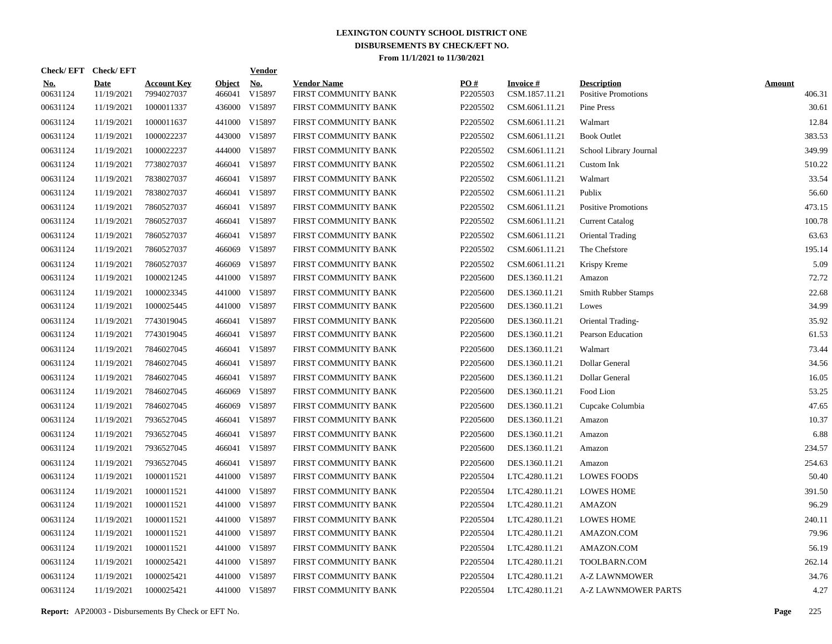| Check/EFT Check/EFT    |                           |                                  |                         | <b>Vendor</b>        |                                            |                 |                                   |                                                  |                         |
|------------------------|---------------------------|----------------------------------|-------------------------|----------------------|--------------------------------------------|-----------------|-----------------------------------|--------------------------------------------------|-------------------------|
| <u>No.</u><br>00631124 | <b>Date</b><br>11/19/2021 | <b>Account Key</b><br>7994027037 | <b>Object</b><br>466041 | <u>No.</u><br>V15897 | <b>Vendor Name</b><br>FIRST COMMUNITY BANK | PO#<br>P2205503 | <b>Invoice#</b><br>CSM.1857.11.21 | <b>Description</b><br><b>Positive Promotions</b> | <b>Amount</b><br>406.31 |
| 00631124               | 11/19/2021                | 1000011337                       |                         | 436000 V15897        | FIRST COMMUNITY BANK                       | P2205502        | CSM.6061.11.21                    | Pine Press                                       | 30.61                   |
| 00631124               | 11/19/2021                | 1000011637                       |                         | 441000 V15897        | FIRST COMMUNITY BANK                       | P2205502        | CSM.6061.11.21                    | Walmart                                          | 12.84                   |
| 00631124               | 11/19/2021                | 1000022237                       |                         | 443000 V15897        | FIRST COMMUNITY BANK                       | P2205502        | CSM.6061.11.21                    | <b>Book Outlet</b>                               | 383.53                  |
| 00631124               | 11/19/2021                | 1000022237                       |                         | 444000 V15897        | FIRST COMMUNITY BANK                       | P2205502        | CSM.6061.11.21                    | School Library Journal                           | 349.99                  |
| 00631124               | 11/19/2021                | 7738027037                       |                         | 466041 V15897        | FIRST COMMUNITY BANK                       | P2205502        | CSM.6061.11.21                    | Custom Ink                                       | 510.22                  |
| 00631124               | 11/19/2021                | 7838027037                       |                         | 466041 V15897        | FIRST COMMUNITY BANK                       | P2205502        | CSM.6061.11.21                    | Walmart                                          | 33.54                   |
| 00631124               | 11/19/2021                | 7838027037                       |                         | 466041 V15897        | FIRST COMMUNITY BANK                       | P2205502        | CSM.6061.11.21                    | Publix                                           | 56.60                   |
| 00631124               | 11/19/2021                | 7860527037                       |                         | 466041 V15897        | FIRST COMMUNITY BANK                       | P2205502        | CSM.6061.11.21                    | <b>Positive Promotions</b>                       | 473.15                  |
| 00631124               | 11/19/2021                | 7860527037                       |                         | 466041 V15897        | FIRST COMMUNITY BANK                       | P2205502        | CSM.6061.11.21                    | <b>Current Catalog</b>                           | 100.78                  |
| 00631124               | 11/19/2021                | 7860527037                       |                         | 466041 V15897        | FIRST COMMUNITY BANK                       | P2205502        | CSM.6061.11.21                    | Oriental Trading                                 | 63.63                   |
| 00631124               | 11/19/2021                | 7860527037                       | 466069                  | V15897               | FIRST COMMUNITY BANK                       | P2205502        | CSM.6061.11.21                    | The Chefstore                                    | 195.14                  |
| 00631124               | 11/19/2021                | 7860527037                       | 466069                  | V15897               | FIRST COMMUNITY BANK                       | P2205502        | CSM.6061.11.21                    | Krispy Kreme                                     | 5.09                    |
| 00631124               | 11/19/2021                | 1000021245                       |                         | 441000 V15897        | FIRST COMMUNITY BANK                       | P2205600        | DES.1360.11.21                    | Amazon                                           | 72.72                   |
| 00631124               | 11/19/2021                | 1000023345                       |                         | 441000 V15897        | FIRST COMMUNITY BANK                       | P2205600        | DES.1360.11.21                    | Smith Rubber Stamps                              | 22.68                   |
| 00631124               | 11/19/2021                | 1000025445                       |                         | 441000 V15897        | FIRST COMMUNITY BANK                       | P2205600        | DES.1360.11.21                    | Lowes                                            | 34.99                   |
| 00631124               | 11/19/2021                | 7743019045                       |                         | 466041 V15897        | FIRST COMMUNITY BANK                       | P2205600        | DES.1360.11.21                    | Oriental Trading-                                | 35.92                   |
| 00631124               | 11/19/2021                | 7743019045                       |                         | 466041 V15897        | FIRST COMMUNITY BANK                       | P2205600        | DES.1360.11.21                    | Pearson Education                                | 61.53                   |
| 00631124               | 11/19/2021                | 7846027045                       |                         | 466041 V15897        | FIRST COMMUNITY BANK                       | P2205600        | DES.1360.11.21                    | Walmart                                          | 73.44                   |
| 00631124               | 11/19/2021                | 7846027045                       |                         | 466041 V15897        | FIRST COMMUNITY BANK                       | P2205600        | DES.1360.11.21                    | Dollar General                                   | 34.56                   |
| 00631124               | 11/19/2021                | 7846027045                       |                         | 466041 V15897        | FIRST COMMUNITY BANK                       | P2205600        | DES.1360.11.21                    | Dollar General                                   | 16.05                   |
| 00631124               | 11/19/2021                | 7846027045                       |                         | 466069 V15897        | FIRST COMMUNITY BANK                       | P2205600        | DES.1360.11.21                    | Food Lion                                        | 53.25                   |
| 00631124               | 11/19/2021                | 7846027045                       | 466069                  | V15897               | FIRST COMMUNITY BANK                       | P2205600        | DES.1360.11.21                    | Cupcake Columbia                                 | 47.65                   |
| 00631124               | 11/19/2021                | 7936527045                       |                         | 466041 V15897        | FIRST COMMUNITY BANK                       | P2205600        | DES.1360.11.21                    | Amazon                                           | 10.37                   |
| 00631124               | 11/19/2021                | 7936527045                       |                         | 466041 V15897        | FIRST COMMUNITY BANK                       | P2205600        | DES.1360.11.21                    | Amazon                                           | 6.88                    |
| 00631124               | 11/19/2021                | 7936527045                       |                         | 466041 V15897        | FIRST COMMUNITY BANK                       | P2205600        | DES.1360.11.21                    | Amazon                                           | 234.57                  |
| 00631124               | 11/19/2021                | 7936527045                       |                         | 466041 V15897        | FIRST COMMUNITY BANK                       | P2205600        | DES.1360.11.21                    | Amazon                                           | 254.63                  |
| 00631124               | 11/19/2021                | 1000011521                       |                         | 441000 V15897        | FIRST COMMUNITY BANK                       | P2205504        | LTC.4280.11.21                    | <b>LOWES FOODS</b>                               | 50.40                   |
| 00631124               | 11/19/2021                | 1000011521                       |                         | 441000 V15897        | FIRST COMMUNITY BANK                       | P2205504        | LTC.4280.11.21                    | <b>LOWES HOME</b>                                | 391.50                  |
| 00631124               | 11/19/2021                | 1000011521                       |                         | 441000 V15897        | FIRST COMMUNITY BANK                       | P2205504        | LTC.4280.11.21                    | <b>AMAZON</b>                                    | 96.29                   |
| 00631124               | 11/19/2021                | 1000011521                       | 441000                  | V15897               | FIRST COMMUNITY BANK                       | P2205504        | LTC.4280.11.21                    | <b>LOWES HOME</b>                                | 240.11                  |
| 00631124               | 11/19/2021                | 1000011521                       |                         | 441000 V15897        | FIRST COMMUNITY BANK                       | P2205504        | LTC.4280.11.21                    | AMAZON.COM                                       | 79.96                   |
| 00631124               | 11/19/2021                | 1000011521                       | 441000                  | V15897               | FIRST COMMUNITY BANK                       | P2205504        | LTC.4280.11.21                    | AMAZON.COM                                       | 56.19                   |
| 00631124               | 11/19/2021                | 1000025421                       |                         | 441000 V15897        | FIRST COMMUNITY BANK                       | P2205504        | LTC.4280.11.21                    | TOOLBARN.COM                                     | 262.14                  |
| 00631124               | 11/19/2021                | 1000025421                       | 441000                  | V15897               | FIRST COMMUNITY BANK                       | P2205504        | LTC.4280.11.21                    | <b>A-Z LAWNMOWER</b>                             | 34.76                   |
| 00631124               | 11/19/2021                | 1000025421                       |                         | 441000 V15897        | FIRST COMMUNITY BANK                       | P2205504        | LTC.4280.11.21                    | <b>A-Z LAWNMOWER PARTS</b>                       | 4.27                    |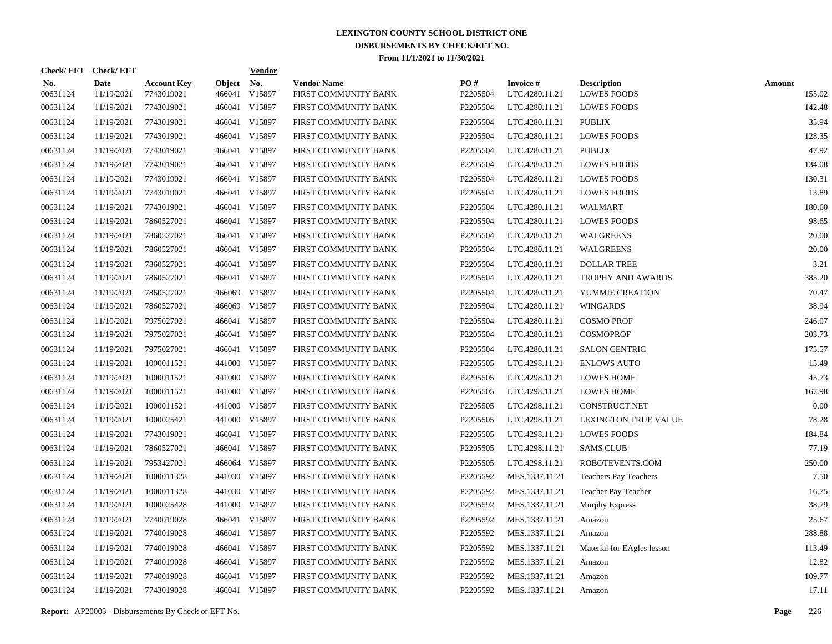| Check/EFT Check/EFT    |                           |                                  |                         | <b>Vendor</b>        |                                            |                 |                                   |                                          |                         |
|------------------------|---------------------------|----------------------------------|-------------------------|----------------------|--------------------------------------------|-----------------|-----------------------------------|------------------------------------------|-------------------------|
| <u>No.</u><br>00631124 | <b>Date</b><br>11/19/2021 | <b>Account Key</b><br>7743019021 | <b>Object</b><br>466041 | <u>No.</u><br>V15897 | <b>Vendor Name</b><br>FIRST COMMUNITY BANK | PO#<br>P2205504 | <b>Invoice#</b><br>LTC.4280.11.21 | <b>Description</b><br><b>LOWES FOODS</b> | <b>Amount</b><br>155.02 |
| 00631124               | 11/19/2021                | 7743019021                       |                         | 466041 V15897        | FIRST COMMUNITY BANK                       | P2205504        | LTC.4280.11.21                    | <b>LOWES FOODS</b>                       | 142.48                  |
| 00631124               | 11/19/2021                | 7743019021                       |                         | 466041 V15897        | FIRST COMMUNITY BANK                       | P2205504        | LTC.4280.11.21                    | PUBLIX                                   | 35.94                   |
| 00631124               | 11/19/2021                | 7743019021                       |                         | 466041 V15897        | FIRST COMMUNITY BANK                       | P2205504        | LTC.4280.11.21                    | <b>LOWES FOODS</b>                       | 128.35                  |
| 00631124               | 11/19/2021                | 7743019021                       |                         | 466041 V15897        | FIRST COMMUNITY BANK                       | P2205504        | LTC.4280.11.21                    | <b>PUBLIX</b>                            | 47.92                   |
| 00631124               | 11/19/2021                | 7743019021                       |                         | 466041 V15897        | FIRST COMMUNITY BANK                       | P2205504        | LTC.4280.11.21                    | <b>LOWES FOODS</b>                       | 134.08                  |
| 00631124               | 11/19/2021                | 7743019021                       |                         | 466041 V15897        | FIRST COMMUNITY BANK                       | P2205504        | LTC.4280.11.21                    | <b>LOWES FOODS</b>                       | 130.31                  |
| 00631124               | 11/19/2021                | 7743019021                       |                         | 466041 V15897        | FIRST COMMUNITY BANK                       | P2205504        | LTC.4280.11.21                    | <b>LOWES FOODS</b>                       | 13.89                   |
| 00631124               | 11/19/2021                | 7743019021                       |                         | 466041 V15897        | FIRST COMMUNITY BANK                       | P2205504        | LTC.4280.11.21                    | WALMART                                  | 180.60                  |
| 00631124               | 11/19/2021                | 7860527021                       |                         | 466041 V15897        | FIRST COMMUNITY BANK                       | P2205504        | LTC.4280.11.21                    | <b>LOWES FOODS</b>                       | 98.65                   |
| 00631124               | 11/19/2021                | 7860527021                       |                         | 466041 V15897        | FIRST COMMUNITY BANK                       | P2205504        | LTC.4280.11.21                    | WALGREENS                                | 20.00                   |
| 00631124               | 11/19/2021                | 7860527021                       |                         | 466041 V15897        | FIRST COMMUNITY BANK                       | P2205504        | LTC.4280.11.21                    | WALGREENS                                | 20.00                   |
| 00631124               | 11/19/2021                | 7860527021                       |                         | 466041 V15897        | FIRST COMMUNITY BANK                       | P2205504        | LTC.4280.11.21                    | <b>DOLLAR TREE</b>                       | 3.21                    |
| 00631124               | 11/19/2021                | 7860527021                       |                         | 466041 V15897        | FIRST COMMUNITY BANK                       | P2205504        | LTC.4280.11.21                    | TROPHY AND AWARDS                        | 385.20                  |
| 00631124               | 11/19/2021                | 7860527021                       |                         | 466069 V15897        | FIRST COMMUNITY BANK                       | P2205504        | LTC.4280.11.21                    | YUMMIE CREATION                          | 70.47                   |
| 00631124               | 11/19/2021                | 7860527021                       |                         | 466069 V15897        | FIRST COMMUNITY BANK                       | P2205504        | LTC.4280.11.21                    | <b>WINGARDS</b>                          | 38.94                   |
| 00631124               | 11/19/2021                | 7975027021                       |                         | 466041 V15897        | FIRST COMMUNITY BANK                       | P2205504        | LTC.4280.11.21                    | <b>COSMO PROF</b>                        | 246.07                  |
| 00631124               | 11/19/2021                | 7975027021                       |                         | 466041 V15897        | FIRST COMMUNITY BANK                       | P2205504        | LTC.4280.11.21                    | <b>COSMOPROF</b>                         | 203.73                  |
| 00631124               | 11/19/2021                | 7975027021                       |                         | 466041 V15897        | FIRST COMMUNITY BANK                       | P2205504        | LTC.4280.11.21                    | <b>SALON CENTRIC</b>                     | 175.57                  |
| 00631124               | 11/19/2021                | 1000011521                       |                         | 441000 V15897        | FIRST COMMUNITY BANK                       | P2205505        | LTC.4298.11.21                    | <b>ENLOWS AUTO</b>                       | 15.49                   |
| 00631124               | 11/19/2021                | 1000011521                       | 441000                  | V15897               | FIRST COMMUNITY BANK                       | P2205505        | LTC.4298.11.21                    | <b>LOWES HOME</b>                        | 45.73                   |
| 00631124               | 11/19/2021                | 1000011521                       |                         | 441000 V15897        | FIRST COMMUNITY BANK                       | P2205505        | LTC.4298.11.21                    | <b>LOWES HOME</b>                        | 167.98                  |
| 00631124               | 11/19/2021                | 1000011521                       |                         | 441000 V15897        | FIRST COMMUNITY BANK                       | P2205505        | LTC.4298.11.21                    | CONSTRUCT.NET                            | 0.00                    |
| 00631124               | 11/19/2021                | 1000025421                       |                         | 441000 V15897        | FIRST COMMUNITY BANK                       | P2205505        | LTC.4298.11.21                    | <b>LEXINGTON TRUE VALUE</b>              | 78.28                   |
| 00631124               | 11/19/2021                | 7743019021                       |                         | 466041 V15897        | FIRST COMMUNITY BANK                       | P2205505        | LTC.4298.11.21                    | <b>LOWES FOODS</b>                       | 184.84                  |
| 00631124               | 11/19/2021                | 7860527021                       |                         | 466041 V15897        | FIRST COMMUNITY BANK                       | P2205505        | LTC.4298.11.21                    | <b>SAMS CLUB</b>                         | 77.19                   |
| 00631124               | 11/19/2021                | 7953427021                       |                         | 466064 V15897        | FIRST COMMUNITY BANK                       | P2205505        | LTC.4298.11.21                    | ROBOTEVENTS.COM                          | 250.00                  |
| 00631124               | 11/19/2021                | 1000011328                       |                         | 441030 V15897        | FIRST COMMUNITY BANK                       | P2205592        | MES.1337.11.21                    | Teachers Pay Teachers                    | 7.50                    |
| 00631124               | 11/19/2021                | 1000011328                       |                         | 441030 V15897        | FIRST COMMUNITY BANK                       | P2205592        | MES.1337.11.21                    | Teacher Pay Teacher                      | 16.75                   |
| 00631124               | 11/19/2021                | 1000025428                       |                         | 441000 V15897        | FIRST COMMUNITY BANK                       | P2205592        | MES.1337.11.21                    | Murphy Express                           | 38.79                   |
| 00631124               | 11/19/2021                | 7740019028                       |                         | 466041 V15897        | FIRST COMMUNITY BANK                       | P2205592        | MES.1337.11.21                    | Amazon                                   | 25.67                   |
| 00631124               | 11/19/2021                | 7740019028                       |                         | 466041 V15897        | FIRST COMMUNITY BANK                       | P2205592        | MES.1337.11.21                    | Amazon                                   | 288.88                  |
| 00631124               | 11/19/2021                | 7740019028                       |                         | 466041 V15897        | FIRST COMMUNITY BANK                       | P2205592        | MES.1337.11.21                    | Material for EAgles lesson               | 113.49                  |
| 00631124               | 11/19/2021                | 7740019028                       |                         | 466041 V15897        | FIRST COMMUNITY BANK                       | P2205592        | MES.1337.11.21                    | Amazon                                   | 12.82                   |
| 00631124               | 11/19/2021                | 7740019028                       |                         | 466041 V15897        | FIRST COMMUNITY BANK                       | P2205592        | MES.1337.11.21                    | Amazon                                   | 109.77                  |
| 00631124               | 11/19/2021                | 7743019028                       |                         | 466041 V15897        | FIRST COMMUNITY BANK                       | P2205592        | MES.1337.11.21                    | Amazon                                   | 17.11                   |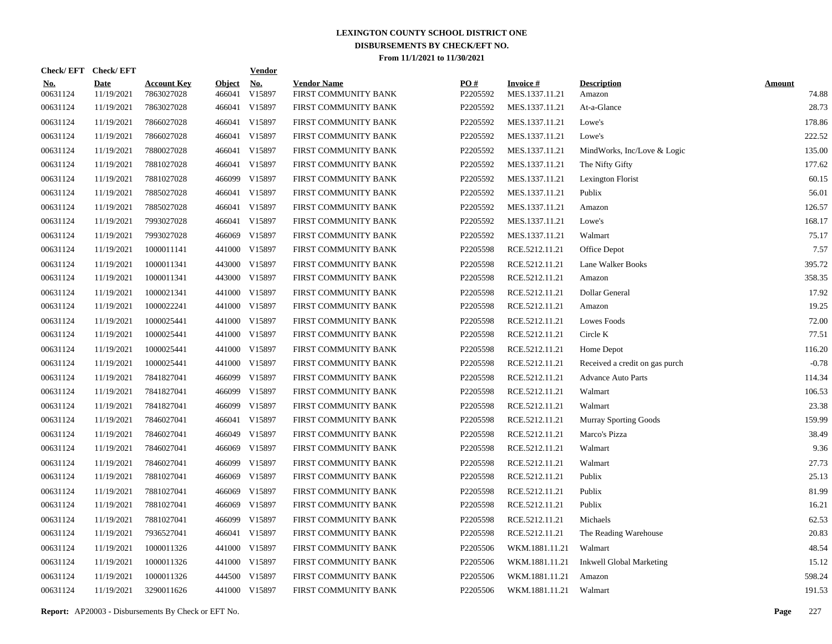|                        | Check/EFT Check/EFT       |                                  |                         | <b>Vendor</b>                         |                                            |                 |                                   |                                 |                        |
|------------------------|---------------------------|----------------------------------|-------------------------|---------------------------------------|--------------------------------------------|-----------------|-----------------------------------|---------------------------------|------------------------|
| <u>No.</u><br>00631124 | <b>Date</b><br>11/19/2021 | <b>Account Key</b><br>7863027028 | <b>Object</b><br>466041 | $\underline{\mathrm{No}}$ .<br>V15897 | <b>Vendor Name</b><br>FIRST COMMUNITY BANK | PO#<br>P2205592 | <b>Invoice#</b><br>MES.1337.11.21 | <b>Description</b><br>Amazon    | <b>Amount</b><br>74.88 |
| 00631124               | 11/19/2021                | 7863027028                       | 466041                  | V15897                                | FIRST COMMUNITY BANK                       | P2205592        | MES.1337.11.21                    | At-a-Glance                     | 28.73                  |
| 00631124               | 11/19/2021                | 7866027028                       | 466041                  | V15897                                | FIRST COMMUNITY BANK                       | P2205592        | MES.1337.11.21                    | Lowe's                          | 178.86                 |
| 00631124               | 11/19/2021                | 7866027028                       | 466041                  | V15897                                | FIRST COMMUNITY BANK                       | P2205592        | MES.1337.11.21                    | Lowe's                          | 222.52                 |
| 00631124               | 11/19/2021                | 7880027028                       |                         | 466041 V15897                         | FIRST COMMUNITY BANK                       | P2205592        | MES.1337.11.21                    | MindWorks, Inc/Love & Logic     | 135.00                 |
| 00631124               | 11/19/2021                | 7881027028                       |                         | 466041 V15897                         | FIRST COMMUNITY BANK                       | P2205592        | MES.1337.11.21                    | The Nifty Gifty                 | 177.62                 |
| 00631124               | 11/19/2021                | 7881027028                       | 466099                  | V15897                                | FIRST COMMUNITY BANK                       | P2205592        | MES.1337.11.21                    | Lexington Florist               | 60.15                  |
| 00631124               | 11/19/2021                | 7885027028                       |                         | 466041 V15897                         | FIRST COMMUNITY BANK                       | P2205592        | MES.1337.11.21                    | Publix                          | 56.01                  |
| 00631124               | 11/19/2021                | 7885027028                       |                         | 466041 V15897                         | FIRST COMMUNITY BANK                       | P2205592        | MES.1337.11.21                    | Amazon                          | 126.57                 |
| 00631124               | 11/19/2021                | 7993027028                       |                         | 466041 V15897                         | FIRST COMMUNITY BANK                       | P2205592        | MES.1337.11.21                    | Lowe's                          | 168.17                 |
| 00631124               | 11/19/2021                | 7993027028                       | 466069                  | V15897                                | FIRST COMMUNITY BANK                       | P2205592        | MES.1337.11.21                    | Walmart                         | 75.17                  |
| 00631124               | 11/19/2021                | 1000011141                       |                         | 441000 V15897                         | FIRST COMMUNITY BANK                       | P2205598        | RCE.5212.11.21                    | Office Depot                    | 7.57                   |
| 00631124               | 11/19/2021                | 1000011341                       |                         | 443000 V15897                         | FIRST COMMUNITY BANK                       | P2205598        | RCE.5212.11.21                    | Lane Walker Books               | 395.72                 |
| 00631124               | 11/19/2021                | 1000011341                       |                         | 443000 V15897                         | FIRST COMMUNITY BANK                       | P2205598        | RCE.5212.11.21                    | Amazon                          | 358.35                 |
| 00631124               | 11/19/2021                | 1000021341                       |                         | 441000 V15897                         | FIRST COMMUNITY BANK                       | P2205598        | RCE.5212.11.21                    | Dollar General                  | 17.92                  |
| 00631124               | 11/19/2021                | 1000022241                       |                         | 441000 V15897                         | FIRST COMMUNITY BANK                       | P2205598        | RCE.5212.11.21                    | Amazon                          | 19.25                  |
| 00631124               | 11/19/2021                | 1000025441                       |                         | 441000 V15897                         | FIRST COMMUNITY BANK                       | P2205598        | RCE.5212.11.21                    | Lowes Foods                     | 72.00                  |
| 00631124               | 11/19/2021                | 1000025441                       |                         | 441000 V15897                         | FIRST COMMUNITY BANK                       | P2205598        | RCE.5212.11.21                    | Circle K                        | 77.51                  |
| 00631124               | 11/19/2021                | 1000025441                       |                         | 441000 V15897                         | FIRST COMMUNITY BANK                       | P2205598        | RCE.5212.11.21                    | Home Depot                      | 116.20                 |
| 00631124               | 11/19/2021                | 1000025441                       |                         | 441000 V15897                         | FIRST COMMUNITY BANK                       | P2205598        | RCE.5212.11.21                    | Received a credit on gas purch  | $-0.78$                |
| 00631124               | 11/19/2021                | 7841827041                       | 466099                  | V15897                                | FIRST COMMUNITY BANK                       | P2205598        | RCE.5212.11.21                    | <b>Advance Auto Parts</b>       | 114.34                 |
| 00631124               | 11/19/2021                | 7841827041                       | 466099                  | V15897                                | FIRST COMMUNITY BANK                       | P2205598        | RCE.5212.11.21                    | Walmart                         | 106.53                 |
| 00631124               | 11/19/2021                | 7841827041                       | 466099                  | V15897                                | FIRST COMMUNITY BANK                       | P2205598        | RCE.5212.11.21                    | Walmart                         | 23.38                  |
| 00631124               | 11/19/2021                | 7846027041                       | 466041                  | V15897                                | FIRST COMMUNITY BANK                       | P2205598        | RCE.5212.11.21                    | <b>Murray Sporting Goods</b>    | 159.99                 |
| 00631124               | 11/19/2021                | 7846027041                       |                         | 466049 V15897                         | FIRST COMMUNITY BANK                       | P2205598        | RCE.5212.11.21                    | Marco's Pizza                   | 38.49                  |
| 00631124               | 11/19/2021                | 7846027041                       | 466069                  | V15897                                | FIRST COMMUNITY BANK                       | P2205598        | RCE.5212.11.21                    | Walmart                         | 9.36                   |
| 00631124               | 11/19/2021                | 7846027041                       | 466099                  | V15897                                | FIRST COMMUNITY BANK                       | P2205598        | RCE.5212.11.21                    | Walmart                         | 27.73                  |
| 00631124               | 11/19/2021                | 7881027041                       | 466069                  | V15897                                | FIRST COMMUNITY BANK                       | P2205598        | RCE.5212.11.21                    | Publix                          | 25.13                  |
| 00631124               | 11/19/2021                | 7881027041                       | 466069                  | V15897                                | FIRST COMMUNITY BANK                       | P2205598        | RCE.5212.11.21                    | Publix                          | 81.99                  |
| 00631124               | 11/19/2021                | 7881027041                       | 466069                  | V15897                                | FIRST COMMUNITY BANK                       | P2205598        | RCE.5212.11.21                    | Publix                          | 16.21                  |
| 00631124               | 11/19/2021                | 7881027041                       | 466099                  | V15897                                | FIRST COMMUNITY BANK                       | P2205598        | RCE.5212.11.21                    | Michaels                        | 62.53                  |
| 00631124               | 11/19/2021                | 7936527041                       |                         | 466041 V15897                         | FIRST COMMUNITY BANK                       | P2205598        | RCE.5212.11.21                    | The Reading Warehouse           | 20.83                  |
| 00631124               | 11/19/2021                | 1000011326                       |                         | 441000 V15897                         | FIRST COMMUNITY BANK                       | P2205506        | WKM.1881.11.21                    | Walmart                         | 48.54                  |
| 00631124               | 11/19/2021                | 1000011326                       |                         | 441000 V15897                         | FIRST COMMUNITY BANK                       | P2205506        | WKM.1881.11.21                    | <b>Inkwell Global Marketing</b> | 15.12                  |
| 00631124               | 11/19/2021                | 1000011326                       |                         | 444500 V15897                         | FIRST COMMUNITY BANK                       | P2205506        | WKM.1881.11.21                    | Amazon                          | 598.24                 |
| 00631124               | 11/19/2021                | 3290011626                       |                         | 441000 V15897                         | FIRST COMMUNITY BANK                       | P2205506        | WKM.1881.11.21                    | Walmart                         | 191.53                 |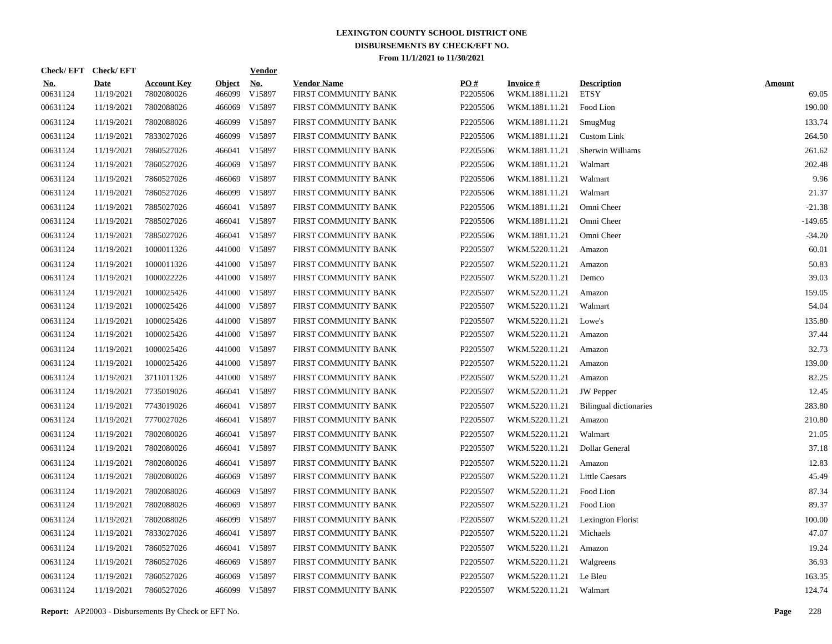| Check/EFT Check/EFT    |                           |                                  |                         | <u>Vendor</u>        |                                            |                 |                                   |                                   |                        |
|------------------------|---------------------------|----------------------------------|-------------------------|----------------------|--------------------------------------------|-----------------|-----------------------------------|-----------------------------------|------------------------|
| <u>No.</u><br>00631124 | <b>Date</b><br>11/19/2021 | <b>Account Key</b><br>7802080026 | <b>Object</b><br>466099 | <u>No.</u><br>V15897 | <b>Vendor Name</b><br>FIRST COMMUNITY BANK | PO#<br>P2205506 | <b>Invoice#</b><br>WKM.1881.11.21 | <b>Description</b><br><b>ETSY</b> | <b>Amount</b><br>69.05 |
| 00631124               | 11/19/2021                | 7802088026                       | 466069                  | V15897               | FIRST COMMUNITY BANK                       | P2205506        | WKM.1881.11.21                    | Food Lion                         | 190.00                 |
| 00631124               | 11/19/2021                | 7802088026                       | 466099                  | V15897               | FIRST COMMUNITY BANK                       | P2205506        | WKM.1881.11.21                    | SmugMug                           | 133.74                 |
| 00631124               | 11/19/2021                | 7833027026                       |                         | 466099 V15897        | FIRST COMMUNITY BANK                       | P2205506        | WKM.1881.11.21                    | <b>Custom Link</b>                | 264.50                 |
| 00631124               | 11/19/2021                | 7860527026                       |                         | 466041 V15897        | FIRST COMMUNITY BANK                       | P2205506        | WKM.1881.11.21                    | Sherwin Williams                  | 261.62                 |
| 00631124               | 11/19/2021                | 7860527026                       | 466069                  | V15897               | FIRST COMMUNITY BANK                       | P2205506        | WKM.1881.11.21                    | Walmart                           | 202.48                 |
| 00631124               | 11/19/2021                | 7860527026                       | 466069                  | V15897               | FIRST COMMUNITY BANK                       | P2205506        | WKM.1881.11.21                    | Walmart                           | 9.96                   |
| 00631124               | 11/19/2021                | 7860527026                       | 466099                  | V15897               | FIRST COMMUNITY BANK                       | P2205506        | WKM.1881.11.21                    | Walmart                           | 21.37                  |
| 00631124               | 11/19/2021                | 7885027026                       |                         | 466041 V15897        | FIRST COMMUNITY BANK                       | P2205506        | WKM.1881.11.21                    | Omni Cheer                        | $-21.38$               |
| 00631124               | 11/19/2021                | 7885027026                       |                         | 466041 V15897        | FIRST COMMUNITY BANK                       | P2205506        | WKM.1881.11.21                    | Omni Cheer                        | $-149.65$              |
| 00631124               | 11/19/2021                | 7885027026                       |                         | 466041 V15897        | FIRST COMMUNITY BANK                       | P2205506        | WKM.1881.11.21                    | Omni Cheer                        | $-34.20$               |
| 00631124               | 11/19/2021                | 1000011326                       |                         | 441000 V15897        | FIRST COMMUNITY BANK                       | P2205507        | WKM.5220.11.21                    | Amazon                            | 60.01                  |
| 00631124               | 11/19/2021                | 1000011326                       |                         | 441000 V15897        | FIRST COMMUNITY BANK                       | P2205507        | WKM.5220.11.21                    | Amazon                            | 50.83                  |
| 00631124               | 11/19/2021                | 1000022226                       |                         | 441000 V15897        | FIRST COMMUNITY BANK                       | P2205507        | WKM.5220.11.21                    | Demco                             | 39.03                  |
| 00631124               | 11/19/2021                | 1000025426                       |                         | 441000 V15897        | FIRST COMMUNITY BANK                       | P2205507        | WKM.5220.11.21                    | Amazon                            | 159.05                 |
| 00631124               | 11/19/2021                | 1000025426                       |                         | 441000 V15897        | FIRST COMMUNITY BANK                       | P2205507        | WKM.5220.11.21                    | Walmart                           | 54.04                  |
| 00631124               | 11/19/2021                | 1000025426                       |                         | 441000 V15897        | FIRST COMMUNITY BANK                       | P2205507        | WKM.5220.11.21                    | Lowe's                            | 135.80                 |
| 00631124               | 11/19/2021                | 1000025426                       |                         | 441000 V15897        | FIRST COMMUNITY BANK                       | P2205507        | WKM.5220.11.21                    | Amazon                            | 37.44                  |
| 00631124               | 11/19/2021                | 1000025426                       |                         | 441000 V15897        | FIRST COMMUNITY BANK                       | P2205507        | WKM.5220.11.21                    | Amazon                            | 32.73                  |
| 00631124               | 11/19/2021                | 1000025426                       |                         | 441000 V15897        | FIRST COMMUNITY BANK                       | P2205507        | WKM.5220.11.21                    | Amazon                            | 139.00                 |
| 00631124               | 11/19/2021                | 3711011326                       |                         | 441000 V15897        | FIRST COMMUNITY BANK                       | P2205507        | WKM.5220.11.21                    | Amazon                            | 82.25                  |
| 00631124               | 11/19/2021                | 7735019026                       |                         | 466041 V15897        | FIRST COMMUNITY BANK                       | P2205507        | WKM.5220.11.21                    | <b>JW</b> Pepper                  | 12.45                  |
| 00631124               | 11/19/2021                | 7743019026                       |                         | 466041 V15897        | FIRST COMMUNITY BANK                       | P2205507        | WKM.5220.11.21                    | <b>Bilingual dictionaries</b>     | 283.80                 |
| 00631124               | 11/19/2021                | 7770027026                       |                         | 466041 V15897        | FIRST COMMUNITY BANK                       | P2205507        | WKM.5220.11.21                    | Amazon                            | 210.80                 |
| 00631124               | 11/19/2021                | 7802080026                       |                         | 466041 V15897        | FIRST COMMUNITY BANK                       | P2205507        | WKM.5220.11.21                    | Walmart                           | 21.05                  |
| 00631124               | 11/19/2021                | 7802080026                       |                         | 466041 V15897        | FIRST COMMUNITY BANK                       | P2205507        | WKM.5220.11.21                    | Dollar General                    | 37.18                  |
| 00631124               | 11/19/2021                | 7802080026                       |                         | 466041 V15897        | FIRST COMMUNITY BANK                       | P2205507        | WKM.5220.11.21                    | Amazon                            | 12.83                  |
| 00631124               | 11/19/2021                | 7802080026                       |                         | 466069 V15897        | FIRST COMMUNITY BANK                       | P2205507        | WKM.5220.11.21                    | <b>Little Caesars</b>             | 45.49                  |
| 00631124               | 11/19/2021                | 7802088026                       | 466069                  | V15897               | FIRST COMMUNITY BANK                       | P2205507        | WKM.5220.11.21                    | Food Lion                         | 87.34                  |
| 00631124               | 11/19/2021                | 7802088026                       |                         | 466069 V15897        | FIRST COMMUNITY BANK                       | P2205507        | WKM.5220.11.21                    | Food Lion                         | 89.37                  |
| 00631124               | 11/19/2021                | 7802088026                       |                         | 466099 V15897        | FIRST COMMUNITY BANK                       | P2205507        | WKM.5220.11.21                    | Lexington Florist                 | 100.00                 |
| 00631124               | 11/19/2021                | 7833027026                       |                         | 466041 V15897        | FIRST COMMUNITY BANK                       | P2205507        | WKM.5220.11.21 Michaels           |                                   | 47.07                  |
| 00631124               | 11/19/2021                | 7860527026                       |                         | 466041 V15897        | FIRST COMMUNITY BANK                       | P2205507        | WKM.5220.11.21                    | Amazon                            | 19.24                  |
| 00631124               | 11/19/2021                | 7860527026                       |                         | 466069 V15897        | FIRST COMMUNITY BANK                       | P2205507        | WKM.5220.11.21                    | Walgreens                         | 36.93                  |
| 00631124               | 11/19/2021                | 7860527026                       | 466069                  | V15897               | FIRST COMMUNITY BANK                       | P2205507        | WKM.5220.11.21                    | Le Bleu                           | 163.35                 |
| 00631124               | 11/19/2021                | 7860527026                       |                         | 466099 V15897        | FIRST COMMUNITY BANK                       | P2205507        | WKM.5220.11.21 Walmart            |                                   | 124.74                 |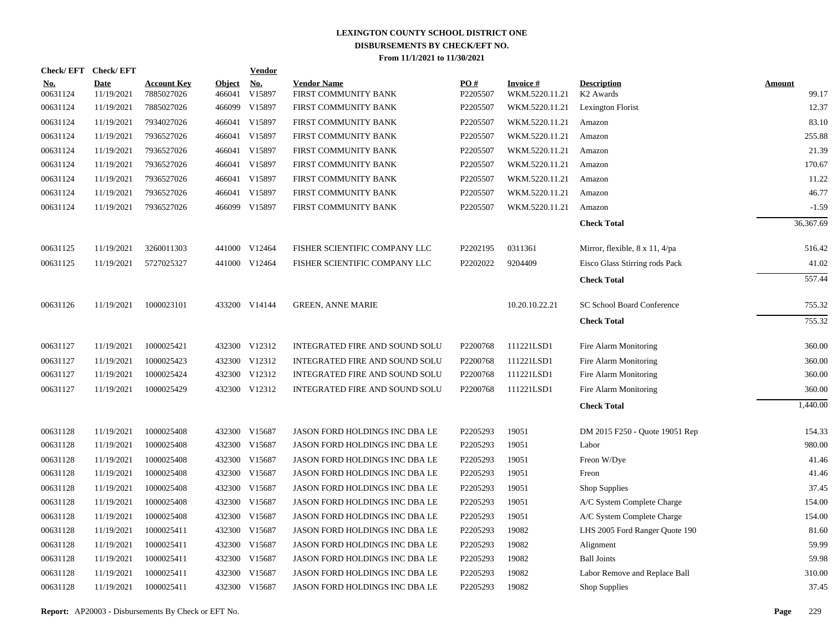|                        | Check/EFT Check/EFT       |                                  |                         | <b>Vendor</b>        |                                            |                      |                                   |                                             |                        |
|------------------------|---------------------------|----------------------------------|-------------------------|----------------------|--------------------------------------------|----------------------|-----------------------------------|---------------------------------------------|------------------------|
| <u>No.</u><br>00631124 | <b>Date</b><br>11/19/2021 | <b>Account Key</b><br>7885027026 | <b>Object</b><br>466041 | <u>No.</u><br>V15897 | <b>Vendor Name</b><br>FIRST COMMUNITY BANK | PO#<br>P2205507      | <b>Invoice#</b><br>WKM.5220.11.21 | <b>Description</b><br>K <sub>2</sub> Awards | <b>Amount</b><br>99.17 |
| 00631124               | 11/19/2021                | 7885027026                       | 466099                  | V15897               | FIRST COMMUNITY BANK                       | P2205507             | WKM.5220.11.21                    | Lexington Florist                           | 12.37                  |
| 00631124               | 11/19/2021                | 7934027026                       |                         | 466041 V15897        | FIRST COMMUNITY BANK                       | P2205507             | WKM.5220.11.21                    | Amazon                                      | 83.10                  |
| 00631124               | 11/19/2021                | 7936527026                       |                         | 466041 V15897        | FIRST COMMUNITY BANK                       | P2205507             | WKM.5220.11.21                    | Amazon                                      | 255.88                 |
| 00631124               | 11/19/2021                | 7936527026                       |                         | 466041 V15897        | FIRST COMMUNITY BANK                       | P2205507             | WKM.5220.11.21                    | Amazon                                      | 21.39                  |
| 00631124               | 11/19/2021                | 7936527026                       |                         | 466041 V15897        | FIRST COMMUNITY BANK                       | P2205507             | WKM.5220.11.21                    | Amazon                                      | 170.67                 |
| 00631124               | 11/19/2021                | 7936527026                       |                         | 466041 V15897        | FIRST COMMUNITY BANK                       | P2205507             | WKM.5220.11.21                    | Amazon                                      | 11.22                  |
| 00631124               | 11/19/2021                | 7936527026                       |                         | 466041 V15897        | FIRST COMMUNITY BANK                       | P2205507             | WKM.5220.11.21                    | Amazon                                      | 46.77                  |
| 00631124               | 11/19/2021                | 7936527026                       |                         | 466099 V15897        | FIRST COMMUNITY BANK                       | P2205507             | WKM.5220.11.21                    | Amazon                                      | $-1.59$                |
|                        |                           |                                  |                         |                      |                                            |                      |                                   | <b>Check Total</b>                          | 36,367.69              |
| 00631125               | 11/19/2021                | 3260011303                       |                         | 441000 V12464        | FISHER SCIENTIFIC COMPANY LLC              | P2202195             | 0311361                           | Mirror, flexible, 8 x 11, 4/pa              | 516.42                 |
| 00631125               | 11/19/2021                | 5727025327                       |                         | 441000 V12464        | FISHER SCIENTIFIC COMPANY LLC              | P2202022             | 9204409                           | Eisco Glass Stirring rods Pack              | 41.02                  |
|                        |                           |                                  |                         |                      |                                            |                      |                                   | <b>Check Total</b>                          | 557.44                 |
| 00631126               | 11/19/2021                | 1000023101                       |                         | 433200 V14144        | <b>GREEN, ANNE MARIE</b>                   |                      | 10.20.10.22.21                    | SC School Board Conference                  | 755.32                 |
|                        |                           |                                  |                         |                      |                                            |                      |                                   | <b>Check Total</b>                          | 755.32                 |
| 00631127               | 11/19/2021                | 1000025421                       |                         | 432300 V12312        | INTEGRATED FIRE AND SOUND SOLU             | P2200768             | 111221LSD1                        | Fire Alarm Monitoring                       | 360.00                 |
| 00631127               | 11/19/2021                | 1000025423                       |                         | 432300 V12312        | INTEGRATED FIRE AND SOUND SOLU             | P <sub>2200768</sub> | 111221LSD1                        | Fire Alarm Monitoring                       | 360.00                 |
| 00631127               | 11/19/2021                | 1000025424                       |                         | 432300 V12312        | <b>INTEGRATED FIRE AND SOUND SOLU</b>      | P2200768             | 111221LSD1                        | Fire Alarm Monitoring                       | 360.00                 |
| 00631127               | 11/19/2021                | 1000025429                       |                         | 432300 V12312        | <b>INTEGRATED FIRE AND SOUND SOLU</b>      | P2200768             | 111221LSD1                        | Fire Alarm Monitoring                       | 360.00                 |
|                        |                           |                                  |                         |                      |                                            |                      |                                   | <b>Check Total</b>                          | 1,440.00               |
| 00631128               | 11/19/2021                | 1000025408                       |                         | 432300 V15687        | JASON FORD HOLDINGS INC DBA LE             | P2205293             | 19051                             | DM 2015 F250 - Quote 19051 Rep              | 154.33                 |
| 00631128               | 11/19/2021                | 1000025408                       |                         | 432300 V15687        | JASON FORD HOLDINGS INC DBA LE             | P2205293             | 19051                             | Labor                                       | 980.00                 |
| 00631128               | 11/19/2021                | 1000025408                       |                         | 432300 V15687        | JASON FORD HOLDINGS INC DBA LE             | P2205293             | 19051                             | Freon W/Dye                                 | 41.46                  |
| 00631128               | 11/19/2021                | 1000025408                       |                         | 432300 V15687        | JASON FORD HOLDINGS INC DBA LE             | P2205293             | 19051                             | Freon                                       | 41.46                  |
| 00631128               | 11/19/2021                | 1000025408                       |                         | 432300 V15687        | JASON FORD HOLDINGS INC DBA LE             | P2205293             | 19051                             | Shop Supplies                               | 37.45                  |
| 00631128               | 11/19/2021                | 1000025408                       |                         | 432300 V15687        | JASON FORD HOLDINGS INC DBA LE             | P2205293             | 19051                             | A/C System Complete Charge                  | 154.00                 |
| 00631128               | 11/19/2021                | 1000025408                       |                         | 432300 V15687        | JASON FORD HOLDINGS INC DBA LE             | P2205293             | 19051                             | A/C System Complete Charge                  | 154.00                 |
| 00631128               | 11/19/2021                | 1000025411                       |                         | 432300 V15687        | JASON FORD HOLDINGS INC DBA LE             | P2205293             | 19082                             | LHS 2005 Ford Ranger Quote 190              | 81.60                  |
| 00631128               | 11/19/2021                | 1000025411                       | 432300                  | V15687               | JASON FORD HOLDINGS INC DBA LE             | P2205293             | 19082                             | Alignment                                   | 59.99                  |
| 00631128               | 11/19/2021                | 1000025411                       |                         | 432300 V15687        | JASON FORD HOLDINGS INC DBA LE             | P2205293             | 19082                             | <b>Ball Joints</b>                          | 59.98                  |
| 00631128               | 11/19/2021                | 1000025411                       | 432300                  | V15687               | JASON FORD HOLDINGS INC DBA LE             | P2205293             | 19082                             | Labor Remove and Replace Ball               | 310.00                 |
| 00631128               | 11/19/2021                | 1000025411                       |                         | 432300 V15687        | JASON FORD HOLDINGS INC DBA LE             | P2205293             | 19082                             | Shop Supplies                               | 37.45                  |

**Report:** AP20003 - Disbursements By Check or EFT No. **Page** 229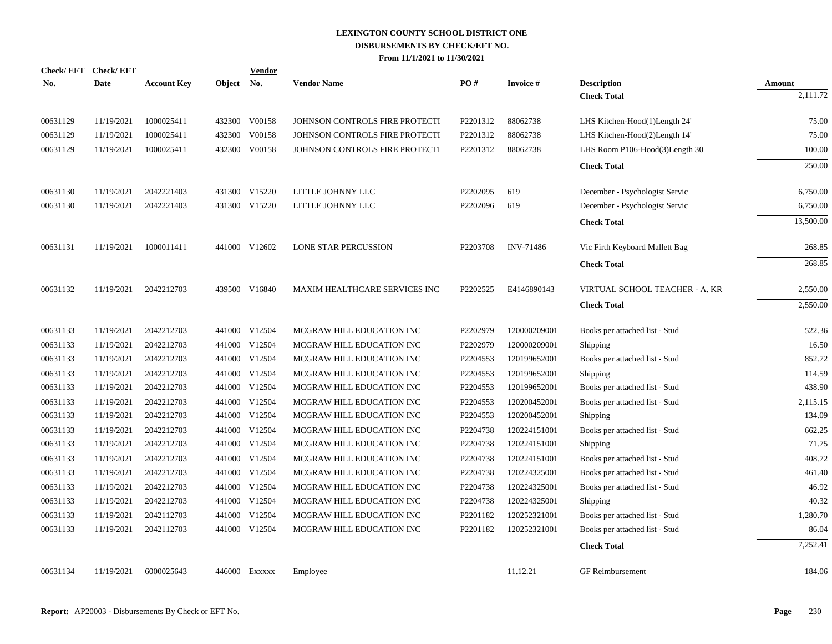| <b>Check/EFT</b> | <b>Check/EFT</b> |                    |               | <b>Vendor</b>             |                                |          |                  |                                |               |
|------------------|------------------|--------------------|---------------|---------------------------|--------------------------------|----------|------------------|--------------------------------|---------------|
| <u>No.</u>       | <b>Date</b>      | <b>Account Key</b> | <b>Object</b> | $\underline{\mathrm{No}}$ | <b>Vendor Name</b>             | PO#      | <b>Invoice#</b>  | <b>Description</b>             | <b>Amount</b> |
|                  |                  |                    |               |                           |                                |          |                  | <b>Check Total</b>             | 2,111.72      |
| 00631129         | 11/19/2021       | 1000025411         |               | 432300 V00158             | JOHNSON CONTROLS FIRE PROTECTI | P2201312 | 88062738         | LHS Kitchen-Hood(1)Length 24'  | 75.00         |
| 00631129         | 11/19/2021       | 1000025411         |               | 432300 V00158             | JOHNSON CONTROLS FIRE PROTECTI | P2201312 | 88062738         | LHS Kitchen-Hood(2)Length 14'  | 75.00         |
| 00631129         | 11/19/2021       | 1000025411         |               | 432300 V00158             | JOHNSON CONTROLS FIRE PROTECTI | P2201312 | 88062738         | LHS Room P106-Hood(3)Length 30 | 100.00        |
|                  |                  |                    |               |                           |                                |          |                  | <b>Check Total</b>             | 250.00        |
| 00631130         | 11/19/2021       | 2042221403         |               | 431300 V15220             | LITTLE JOHNNY LLC              | P2202095 | 619              | December - Psychologist Servic | 6,750.00      |
| 00631130         | 11/19/2021       | 2042221403         |               | 431300 V15220             | LITTLE JOHNNY LLC              | P2202096 | 619              | December - Psychologist Servic | 6,750.00      |
|                  |                  |                    |               |                           |                                |          |                  | <b>Check Total</b>             | 13,500.00     |
| 00631131         | 11/19/2021       | 1000011411         |               | 441000 V12602             | <b>LONE STAR PERCUSSION</b>    | P2203708 | <b>INV-71486</b> | Vic Firth Keyboard Mallett Bag | 268.85        |
|                  |                  |                    |               |                           |                                |          |                  | <b>Check Total</b>             | 268.85        |
| 00631132         | 11/19/2021       | 2042212703         |               | 439500 V16840             | MAXIM HEALTHCARE SERVICES INC  | P2202525 | E4146890143      | VIRTUAL SCHOOL TEACHER - A. KR | 2,550.00      |
|                  |                  |                    |               |                           |                                |          |                  | <b>Check Total</b>             | 2,550.00      |
| 00631133         | 11/19/2021       | 2042212703         |               | 441000 V12504             | MCGRAW HILL EDUCATION INC      | P2202979 | 120000209001     | Books per attached list - Stud | 522.36        |
| 00631133         | 11/19/2021       | 2042212703         |               | 441000 V12504             | MCGRAW HILL EDUCATION INC      | P2202979 | 120000209001     | Shipping                       | 16.50         |
| 00631133         | 11/19/2021       | 2042212703         |               | 441000 V12504             | MCGRAW HILL EDUCATION INC      | P2204553 | 120199652001     | Books per attached list - Stud | 852.72        |
| 00631133         | 11/19/2021       | 2042212703         |               | 441000 V12504             | MCGRAW HILL EDUCATION INC      | P2204553 | 120199652001     | Shipping                       | 114.59        |
| 00631133         | 11/19/2021       | 2042212703         |               | 441000 V12504             | MCGRAW HILL EDUCATION INC      | P2204553 | 120199652001     | Books per attached list - Stud | 438.90        |
| 00631133         | 11/19/2021       | 2042212703         |               | 441000 V12504             | MCGRAW HILL EDUCATION INC      | P2204553 | 120200452001     | Books per attached list - Stud | 2,115.15      |
| 00631133         | 11/19/2021       | 2042212703         |               | 441000 V12504             | MCGRAW HILL EDUCATION INC      | P2204553 | 120200452001     | Shipping                       | 134.09        |
| 00631133         | 11/19/2021       | 2042212703         |               | 441000 V12504             | MCGRAW HILL EDUCATION INC      | P2204738 | 120224151001     | Books per attached list - Stud | 662.25        |
| 00631133         | 11/19/2021       | 2042212703         |               | 441000 V12504             | MCGRAW HILL EDUCATION INC      | P2204738 | 120224151001     | <b>Shipping</b>                | 71.75         |
| 00631133         | 11/19/2021       | 2042212703         |               | 441000 V12504             | MCGRAW HILL EDUCATION INC      | P2204738 | 120224151001     | Books per attached list - Stud | 408.72        |
| 00631133         | 11/19/2021       | 2042212703         |               | 441000 V12504             | MCGRAW HILL EDUCATION INC      | P2204738 | 120224325001     | Books per attached list - Stud | 461.40        |
| 00631133         | 11/19/2021       | 2042212703         |               | 441000 V12504             | MCGRAW HILL EDUCATION INC      | P2204738 | 120224325001     | Books per attached list - Stud | 46.92         |
| 00631133         | 11/19/2021       | 2042212703         |               | 441000 V12504             | MCGRAW HILL EDUCATION INC      | P2204738 | 120224325001     | Shipping                       | 40.32         |
| 00631133         | 11/19/2021       | 2042112703         |               | 441000 V12504             | MCGRAW HILL EDUCATION INC      | P2201182 | 120252321001     | Books per attached list - Stud | 1,280.70      |
| 00631133         | 11/19/2021       | 2042112703         |               | 441000 V12504             | MCGRAW HILL EDUCATION INC      | P2201182 | 120252321001     | Books per attached list - Stud | 86.04         |
|                  |                  |                    |               |                           |                                |          |                  | <b>Check Total</b>             | 7,252.41      |
| 00631134         | 11/19/2021       | 6000025643         |               | 446000 Exxxxx             | Employee                       |          | 11.12.21         | <b>GF</b> Reimbursement        | 184.06        |
|                  |                  |                    |               |                           |                                |          |                  |                                |               |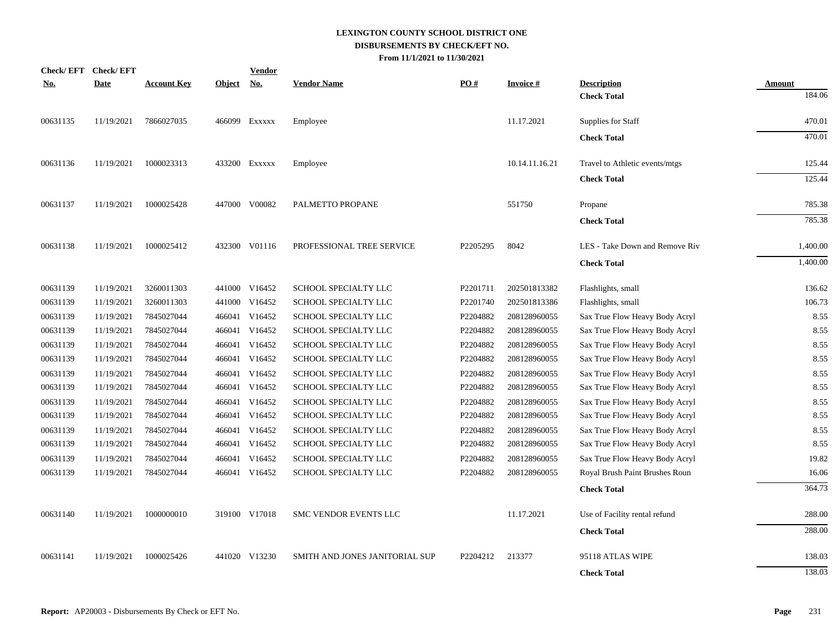| <b>Check/EFT</b> | <b>Check/EFT</b> |                    |               | <b>Vendor</b> |                                |          |                 |                                          |                  |
|------------------|------------------|--------------------|---------------|---------------|--------------------------------|----------|-----------------|------------------------------------------|------------------|
| <u>No.</u>       | <b>Date</b>      | <b>Account Key</b> | <b>Object</b> | <u>No.</u>    | <b>Vendor Name</b>             | PO#      | <b>Invoice#</b> | <b>Description</b><br><b>Check Total</b> | Amount<br>184.06 |
| 00631135         | 11/19/2021       | 7866027035         |               | 466099 Exxxxx | Employee                       |          | 11.17.2021      | Supplies for Staff                       | 470.01           |
|                  |                  |                    |               |               |                                |          |                 | <b>Check Total</b>                       | 470.01           |
| 00631136         | 11/19/2021       | 1000023313         |               | 433200 EXXXXX | Employee                       |          | 10.14.11.16.21  | Travel to Athletic events/mtgs           | 125.44           |
|                  |                  |                    |               |               |                                |          |                 | <b>Check Total</b>                       | 125.44           |
| 00631137         | 11/19/2021       | 1000025428         |               | 447000 V00082 | PALMETTO PROPANE               |          | 551750          | Propane                                  | 785.38           |
|                  |                  |                    |               |               |                                |          |                 | <b>Check Total</b>                       | 785.38           |
| 00631138         | 11/19/2021       | 1000025412         |               | 432300 V01116 | PROFESSIONAL TREE SERVICE      | P2205295 | 8042            | LES - Take Down and Remove Riv           | 1,400.00         |
|                  |                  |                    |               |               |                                |          |                 | <b>Check Total</b>                       | 1,400.00         |
| 00631139         | 11/19/2021       | 3260011303         |               | 441000 V16452 | SCHOOL SPECIALTY LLC           | P2201711 | 202501813382    | Flashlights, small                       | 136.62           |
| 00631139         | 11/19/2021       | 3260011303         |               | 441000 V16452 | SCHOOL SPECIALTY LLC           | P2201740 | 202501813386    | Flashlights, small                       | 106.73           |
| 00631139         | 11/19/2021       | 7845027044         |               | 466041 V16452 | SCHOOL SPECIALTY LLC           | P2204882 | 208128960055    | Sax True Flow Heavy Body Acryl           | 8.55             |
| 00631139         | 11/19/2021       | 7845027044         |               | 466041 V16452 | SCHOOL SPECIALTY LLC           | P2204882 | 208128960055    | Sax True Flow Heavy Body Acryl           | 8.55             |
| 00631139         | 11/19/2021       | 7845027044         |               | 466041 V16452 | SCHOOL SPECIALTY LLC           | P2204882 | 208128960055    | Sax True Flow Heavy Body Acryl           | 8.55             |
| 00631139         | 11/19/2021       | 7845027044         |               | 466041 V16452 | SCHOOL SPECIALTY LLC           | P2204882 | 208128960055    | Sax True Flow Heavy Body Acryl           | 8.55             |
| 00631139         | 11/19/2021       | 7845027044         |               | 466041 V16452 | SCHOOL SPECIALTY LLC           | P2204882 | 208128960055    | Sax True Flow Heavy Body Acryl           | 8.55             |
| 00631139         | 11/19/2021       | 7845027044         |               | 466041 V16452 | SCHOOL SPECIALTY LLC           | P2204882 | 208128960055    | Sax True Flow Heavy Body Acryl           | 8.55             |
| 00631139         | 11/19/2021       | 7845027044         |               | 466041 V16452 | SCHOOL SPECIALTY LLC           | P2204882 | 208128960055    | Sax True Flow Heavy Body Acryl           | 8.55             |
| 00631139         | 11/19/2021       | 7845027044         |               | 466041 V16452 | SCHOOL SPECIALTY LLC           | P2204882 | 208128960055    | Sax True Flow Heavy Body Acryl           | 8.55             |
| 00631139         | 11/19/2021       | 7845027044         |               | 466041 V16452 | SCHOOL SPECIALTY LLC           | P2204882 | 208128960055    | Sax True Flow Heavy Body Acryl           | 8.55             |
| 00631139         | 11/19/2021       | 7845027044         |               | 466041 V16452 | SCHOOL SPECIALTY LLC           | P2204882 | 208128960055    | Sax True Flow Heavy Body Acryl           | 8.55             |
| 00631139         | 11/19/2021       | 7845027044         |               | 466041 V16452 | SCHOOL SPECIALTY LLC           | P2204882 | 208128960055    | Sax True Flow Heavy Body Acryl           | 19.82            |
| 00631139         | 11/19/2021       | 7845027044         |               | 466041 V16452 | SCHOOL SPECIALTY LLC           | P2204882 | 208128960055    | Royal Brush Paint Brushes Roun           | 16.06            |
|                  |                  |                    |               |               |                                |          |                 | <b>Check Total</b>                       | 364.73           |
| 00631140         | 11/19/2021       | 1000000010         |               | 319100 V17018 | SMC VENDOR EVENTS LLC          |          | 11.17.2021      | Use of Facility rental refund            | 288.00           |
|                  |                  |                    |               |               |                                |          |                 | <b>Check Total</b>                       | 288.00           |
| 00631141         | 11/19/2021       | 1000025426         |               | 441020 V13230 | SMITH AND JONES JANITORIAL SUP | P2204212 | 213377          | 95118 ATLAS WIPE                         | 138.03           |
|                  |                  |                    |               |               |                                |          |                 | <b>Check Total</b>                       | 138.03           |
|                  |                  |                    |               |               |                                |          |                 |                                          |                  |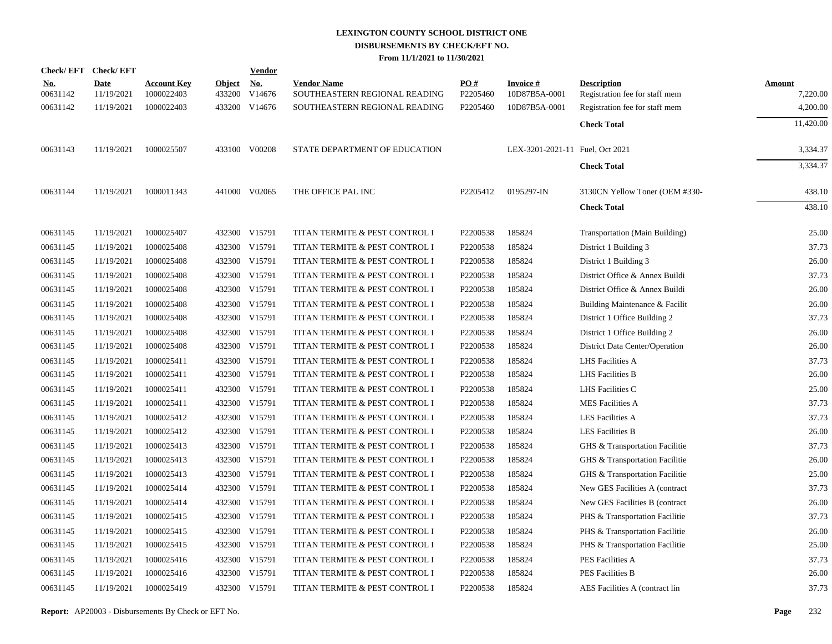|                        | Check/EFT Check/EFT       |                                  |                         | <b>Vendor</b>        |                                                     |                               |                                  |                                                      |                           |
|------------------------|---------------------------|----------------------------------|-------------------------|----------------------|-----------------------------------------------------|-------------------------------|----------------------------------|------------------------------------------------------|---------------------------|
| <u>No.</u><br>00631142 | <b>Date</b><br>11/19/2021 | <b>Account Key</b><br>1000022403 | <b>Object</b><br>433200 | <u>No.</u><br>V14676 | <b>Vendor Name</b><br>SOUTHEASTERN REGIONAL READING | $\underline{PO#}$<br>P2205460 | <b>Invoice#</b><br>10D87B5A-0001 | <b>Description</b><br>Registration fee for staff mem | <b>Amount</b><br>7,220.00 |
| 00631142               | 11/19/2021                | 1000022403                       |                         | 433200 V14676        | SOUTHEASTERN REGIONAL READING                       | P2205460                      | 10D87B5A-0001                    | Registration fee for staff mem                       | 4,200.00                  |
|                        |                           |                                  |                         |                      |                                                     |                               |                                  | <b>Check Total</b>                                   | 11,420.00                 |
| 00631143               | 11/19/2021                | 1000025507                       |                         | 433100 V00208        | STATE DEPARTMENT OF EDUCATION                       |                               | LEX-3201-2021-11 Fuel, Oct 2021  |                                                      | 3,334.37                  |
|                        |                           |                                  |                         |                      |                                                     |                               |                                  | <b>Check Total</b>                                   | 3,334.37                  |
| 00631144               | 11/19/2021                | 1000011343                       |                         | 441000 V02065        | THE OFFICE PAL INC                                  | P2205412                      | 0195297-IN                       | 3130CN Yellow Toner (OEM #330-                       | 438.10                    |
|                        |                           |                                  |                         |                      |                                                     |                               |                                  | <b>Check Total</b>                                   | 438.10                    |
| 00631145               | 11/19/2021                | 1000025407                       |                         | 432300 V15791        | TITAN TERMITE & PEST CONTROL I                      | P2200538                      | 185824                           | Transportation (Main Building)                       | 25.00                     |
| 00631145               | 11/19/2021                | 1000025408                       |                         | 432300 V15791        | TITAN TERMITE & PEST CONTROL I                      | P2200538                      | 185824                           | District 1 Building 3                                | 37.73                     |
| 00631145               | 11/19/2021                | 1000025408                       |                         | 432300 V15791        | TITAN TERMITE & PEST CONTROL I                      | P2200538                      | 185824                           | District 1 Building 3                                | 26.00                     |
| 00631145               | 11/19/2021                | 1000025408                       |                         | 432300 V15791        | TITAN TERMITE & PEST CONTROL I                      | P2200538                      | 185824                           | District Office & Annex Buildi                       | 37.73                     |
| 00631145               | 11/19/2021                | 1000025408                       |                         | 432300 V15791        | TITAN TERMITE & PEST CONTROL I                      | P2200538                      | 185824                           | District Office & Annex Buildi                       | 26.00                     |
| 00631145               | 11/19/2021                | 1000025408                       |                         | 432300 V15791        | TITAN TERMITE & PEST CONTROL I                      | P2200538                      | 185824                           | Building Maintenance & Facilit                       | 26.00                     |
| 00631145               | 11/19/2021                | 1000025408                       |                         | 432300 V15791        | TITAN TERMITE & PEST CONTROL I                      | P2200538                      | 185824                           | District 1 Office Building 2                         | 37.73                     |
| 00631145               | 11/19/2021                | 1000025408                       |                         | 432300 V15791        | TITAN TERMITE & PEST CONTROL I                      | P2200538                      | 185824                           | District 1 Office Building 2                         | 26.00                     |
| 00631145               | 11/19/2021                | 1000025408                       |                         | 432300 V15791        | TITAN TERMITE & PEST CONTROL I                      | P2200538                      | 185824                           | District Data Center/Operation                       | 26.00                     |
| 00631145               | 11/19/2021                | 1000025411                       |                         | 432300 V15791        | TITAN TERMITE & PEST CONTROL I                      | P2200538                      | 185824                           | LHS Facilities A                                     | 37.73                     |
| 00631145               | 11/19/2021                | 1000025411                       |                         | 432300 V15791        | TITAN TERMITE & PEST CONTROL I                      | P2200538                      | 185824                           | <b>LHS</b> Facilities B                              | 26.00                     |
| 00631145               | 11/19/2021                | 1000025411                       |                         | 432300 V15791        | TITAN TERMITE & PEST CONTROL I                      | P2200538                      | 185824                           | LHS Facilities C                                     | 25.00                     |
| 00631145               | 11/19/2021                | 1000025411                       |                         | 432300 V15791        | TITAN TERMITE & PEST CONTROL I                      | P2200538                      | 185824                           | <b>MES Facilities A</b>                              | 37.73                     |
| 00631145               | 11/19/2021                | 1000025412                       |                         | 432300 V15791        | TITAN TERMITE & PEST CONTROL I                      | P2200538                      | 185824                           | <b>LES Facilities A</b>                              | 37.73                     |
| 00631145               | 11/19/2021                | 1000025412                       |                         | 432300 V15791        | TITAN TERMITE & PEST CONTROL I                      | P2200538                      | 185824                           | <b>LES Facilities B</b>                              | 26.00                     |
| 00631145               | 11/19/2021                | 1000025413                       |                         | 432300 V15791        | TITAN TERMITE & PEST CONTROL I                      | P2200538                      | 185824                           | GHS & Transportation Facilitie                       | 37.73                     |
| 00631145               | 11/19/2021                | 1000025413                       |                         | 432300 V15791        | TITAN TERMITE & PEST CONTROL I                      | P2200538                      | 185824                           | GHS & Transportation Facilitie                       | 26.00                     |
| 00631145               | 11/19/2021                | 1000025413                       | 432300                  | V15791               | TITAN TERMITE & PEST CONTROL I                      | P2200538                      | 185824                           | GHS & Transportation Facilitie                       | 25.00                     |
| 00631145               | 11/19/2021                | 1000025414                       |                         | 432300 V15791        | TITAN TERMITE & PEST CONTROL I                      | P2200538                      | 185824                           | New GES Facilities A (contract                       | 37.73                     |
| 00631145               | 11/19/2021                | 1000025414                       | 432300                  | V15791               | TITAN TERMITE & PEST CONTROL I                      | P2200538                      | 185824                           | New GES Facilities B (contract)                      | 26.00                     |
| 00631145               | 11/19/2021                | 1000025415                       |                         | 432300 V15791        | TITAN TERMITE & PEST CONTROL I                      | P2200538                      | 185824                           | PHS & Transportation Facilitie                       | 37.73                     |
| 00631145               | 11/19/2021                | 1000025415                       | 432300                  | V15791               | TITAN TERMITE & PEST CONTROL I                      | P2200538                      | 185824                           | PHS & Transportation Facilitie                       | 26.00                     |
| 00631145               | 11/19/2021                | 1000025415                       |                         | 432300 V15791        | TITAN TERMITE & PEST CONTROL I                      | P2200538                      | 185824                           | PHS & Transportation Facilitie                       | 25.00                     |
| 00631145               | 11/19/2021                | 1000025416                       | 432300                  | V15791               | TITAN TERMITE & PEST CONTROL I                      | P2200538                      | 185824                           | PES Facilities A                                     | 37.73                     |
| 00631145               | 11/19/2021                | 1000025416                       |                         | 432300 V15791        | TITAN TERMITE & PEST CONTROL I                      | P2200538                      | 185824                           | <b>PES Facilities B</b>                              | 26.00                     |
| 00631145               | 11/19/2021                | 1000025419                       |                         | 432300 V15791        | TITAN TERMITE & PEST CONTROL I                      | P2200538                      | 185824                           | AES Facilities A (contract lin                       | 37.73                     |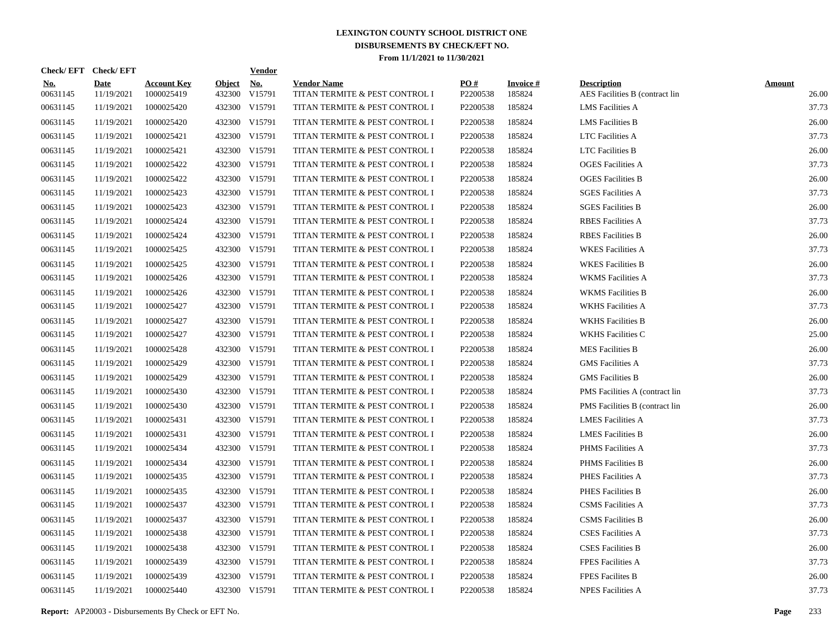| Check/EFT Check/EFT    |                           |                                  |                         | <b>Vendor</b>        |                                                      |                 |                           |                                                      |                        |
|------------------------|---------------------------|----------------------------------|-------------------------|----------------------|------------------------------------------------------|-----------------|---------------------------|------------------------------------------------------|------------------------|
| <u>No.</u><br>00631145 | <b>Date</b><br>11/19/2021 | <b>Account Key</b><br>1000025419 | <b>Object</b><br>432300 | <u>No.</u><br>V15791 | <b>Vendor Name</b><br>TITAN TERMITE & PEST CONTROL I | PO#<br>P2200538 | <b>Invoice#</b><br>185824 | <b>Description</b><br>AES Facilities B (contract lin | <b>Amount</b><br>26.00 |
| 00631145               | 11/19/2021                | 1000025420                       |                         | 432300 V15791        | TITAN TERMITE & PEST CONTROL I                       | P2200538        | 185824                    | <b>LMS</b> Facilities A                              | 37.73                  |
| 00631145               | 11/19/2021                | 1000025420                       |                         | 432300 V15791        | TITAN TERMITE & PEST CONTROL I                       | P2200538        | 185824                    | <b>LMS</b> Facilities B                              | 26.00                  |
| 00631145               | 11/19/2021                | 1000025421                       |                         | 432300 V15791        | TITAN TERMITE & PEST CONTROL I                       | P2200538        | 185824                    | <b>LTC</b> Facilities A                              | 37.73                  |
| 00631145               | 11/19/2021                | 1000025421                       |                         | 432300 V15791        | TITAN TERMITE & PEST CONTROL I                       | P2200538        | 185824                    | <b>LTC</b> Facilities B                              | 26.00                  |
| 00631145               | 11/19/2021                | 1000025422                       |                         | 432300 V15791        | TITAN TERMITE & PEST CONTROL I                       | P2200538        | 185824                    | <b>OGES</b> Facilities A                             | 37.73                  |
| 00631145               | 11/19/2021                | 1000025422                       |                         | 432300 V15791        | TITAN TERMITE & PEST CONTROL I                       | P2200538        | 185824                    | <b>OGES</b> Facilities B                             | 26.00                  |
| 00631145               | 11/19/2021                | 1000025423                       |                         | 432300 V15791        | TITAN TERMITE & PEST CONTROL I                       | P2200538        | 185824                    | <b>SGES Facilities A</b>                             | 37.73                  |
| 00631145               | 11/19/2021                | 1000025423                       |                         | 432300 V15791        | TITAN TERMITE & PEST CONTROL I                       | P2200538        | 185824                    | <b>SGES Facilities B</b>                             | 26.00                  |
| 00631145               | 11/19/2021                | 1000025424                       |                         | 432300 V15791        | TITAN TERMITE & PEST CONTROL I                       | P2200538        | 185824                    | <b>RBES</b> Facilities A                             | 37.73                  |
| 00631145               | 11/19/2021                | 1000025424                       |                         | 432300 V15791        | TITAN TERMITE & PEST CONTROL I                       | P2200538        | 185824                    | <b>RBES</b> Facilities B                             | 26.00                  |
| 00631145               | 11/19/2021                | 1000025425                       |                         | 432300 V15791        | TITAN TERMITE & PEST CONTROL I                       | P2200538        | 185824                    | <b>WKES</b> Facilities A                             | 37.73                  |
| 00631145               | 11/19/2021                | 1000025425                       |                         | 432300 V15791        | TITAN TERMITE & PEST CONTROL I                       | P2200538        | 185824                    | <b>WKES Facilities B</b>                             | 26.00                  |
| 00631145               | 11/19/2021                | 1000025426                       |                         | 432300 V15791        | TITAN TERMITE & PEST CONTROL I                       | P2200538        | 185824                    | <b>WKMS</b> Facilities A                             | 37.73                  |
| 00631145               | 11/19/2021                | 1000025426                       |                         | 432300 V15791        | TITAN TERMITE & PEST CONTROL I                       | P2200538        | 185824                    | <b>WKMS</b> Facilities B                             | 26.00                  |
| 00631145               | 11/19/2021                | 1000025427                       |                         | 432300 V15791        | TITAN TERMITE & PEST CONTROL I                       | P2200538        | 185824                    | <b>WKHS Facilities A</b>                             | 37.73                  |
| 00631145               | 11/19/2021                | 1000025427                       |                         | 432300 V15791        | TITAN TERMITE & PEST CONTROL I                       | P2200538        | 185824                    | <b>WKHS Facilities B</b>                             | 26.00                  |
| 00631145               | 11/19/2021                | 1000025427                       |                         | 432300 V15791        | TITAN TERMITE & PEST CONTROL I                       | P2200538        | 185824                    | <b>WKHS Facilities C</b>                             | 25.00                  |
| 00631145               | 11/19/2021                | 1000025428                       |                         | 432300 V15791        | TITAN TERMITE & PEST CONTROL I                       | P2200538        | 185824                    | <b>MES Facilities B</b>                              | 26.00                  |
| 00631145               | 11/19/2021                | 1000025429                       |                         | 432300 V15791        | TITAN TERMITE & PEST CONTROL I                       | P2200538        | 185824                    | <b>GMS</b> Facilities A                              | 37.73                  |
| 00631145               | 11/19/2021                | 1000025429                       |                         | 432300 V15791        | TITAN TERMITE & PEST CONTROL I                       | P2200538        | 185824                    | <b>GMS</b> Facilities B                              | 26.00                  |
| 00631145               | 11/19/2021                | 1000025430                       |                         | 432300 V15791        | TITAN TERMITE & PEST CONTROL I                       | P2200538        | 185824                    | PMS Facilities A (contract lin                       | 37.73                  |
| 00631145               | 11/19/2021                | 1000025430                       |                         | 432300 V15791        | TITAN TERMITE & PEST CONTROL I                       | P2200538        | 185824                    | PMS Facilities B (contract lin                       | 26.00                  |
| 00631145               | 11/19/2021                | 1000025431                       |                         | 432300 V15791        | TITAN TERMITE & PEST CONTROL I                       | P2200538        | 185824                    | <b>LMES Facilities A</b>                             | 37.73                  |
| 00631145               | 11/19/2021                | 1000025431                       |                         | 432300 V15791        | TITAN TERMITE & PEST CONTROL I                       | P2200538        | 185824                    | <b>LMES</b> Facilities B                             | 26.00                  |
| 00631145               | 11/19/2021                | 1000025434                       |                         | 432300 V15791        | TITAN TERMITE & PEST CONTROL I                       | P2200538        | 185824                    | PHMS Facilities A                                    | 37.73                  |
| 00631145               | 11/19/2021                | 1000025434                       |                         | 432300 V15791        | TITAN TERMITE & PEST CONTROL I                       | P2200538        | 185824                    | <b>PHMS</b> Facilities B                             | 26.00                  |
| 00631145               | 11/19/2021                | 1000025435                       |                         | 432300 V15791        | TITAN TERMITE & PEST CONTROL I                       | P2200538        | 185824                    | PHES Facilities A                                    | 37.73                  |
| 00631145               | 11/19/2021                | 1000025435                       |                         | 432300 V15791        | TITAN TERMITE & PEST CONTROL I                       | P2200538        | 185824                    | PHES Facilities B                                    | 26.00                  |
| 00631145               | 11/19/2021                | 1000025437                       |                         | 432300 V15791        | TITAN TERMITE & PEST CONTROL I                       | P2200538        | 185824                    | <b>CSMS</b> Facilities A                             | 37.73                  |
| 00631145               | 11/19/2021                | 1000025437                       | 432300                  | V15791               | TITAN TERMITE & PEST CONTROL I                       | P2200538        | 185824                    | <b>CSMS</b> Facilities B                             | 26.00                  |
| 00631145               | 11/19/2021                | 1000025438                       |                         | 432300 V15791        | TITAN TERMITE & PEST CONTROL I                       | P2200538        | 185824                    | <b>CSES Facilities A</b>                             | 37.73                  |
| 00631145               | 11/19/2021                | 1000025438                       |                         | 432300 V15791        | TITAN TERMITE & PEST CONTROL I                       | P2200538        | 185824                    | <b>CSES Facilities B</b>                             | 26.00                  |
| 00631145               | 11/19/2021                | 1000025439                       |                         | 432300 V15791        | TITAN TERMITE & PEST CONTROL I                       | P2200538        | 185824                    | <b>FPES Facilities A</b>                             | 37.73                  |
| 00631145               | 11/19/2021                | 1000025439                       | 432300                  | V15791               | TITAN TERMITE & PEST CONTROL I                       | P2200538        | 185824                    | <b>FPES Facilites B</b>                              | 26.00                  |
| 00631145               | 11/19/2021                | 1000025440                       |                         | 432300 V15791        | TITAN TERMITE & PEST CONTROL I                       | P2200538        | 185824                    | <b>NPES Facilities A</b>                             | 37.73                  |

**Report:** AP20003 - Disbursements By Check or EFT No. **Page** 233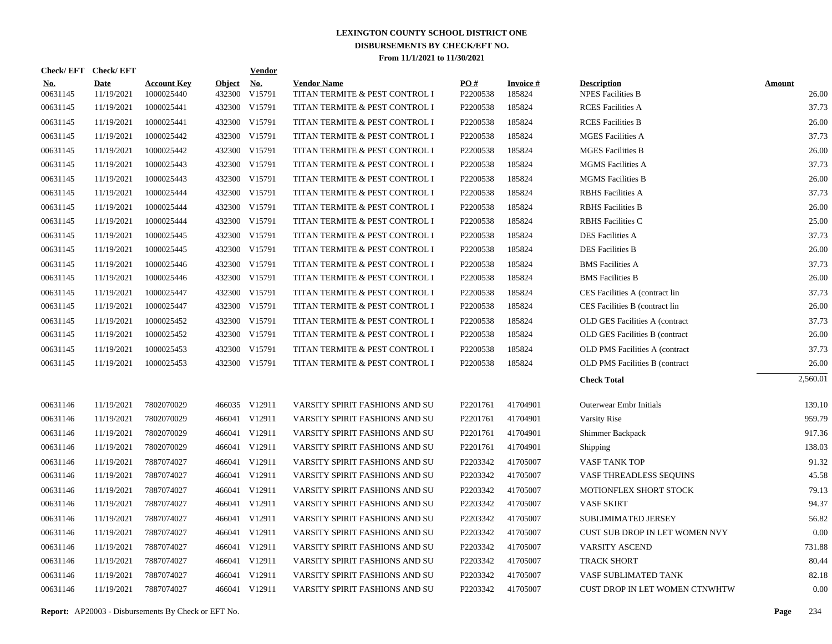|                        | Check/EFT Check/EFT       |                                  |                         | Vendor        |                                                      |                 |                           |                                                |                        |
|------------------------|---------------------------|----------------------------------|-------------------------|---------------|------------------------------------------------------|-----------------|---------------------------|------------------------------------------------|------------------------|
| <u>No.</u><br>00631145 | <b>Date</b><br>11/19/2021 | <b>Account Key</b><br>1000025440 | <b>Object</b><br>432300 | No.<br>V15791 | <b>Vendor Name</b><br>TITAN TERMITE & PEST CONTROL I | PO#<br>P2200538 | <b>Invoice#</b><br>185824 | <b>Description</b><br><b>NPES Facilities B</b> | <b>Amount</b><br>26.00 |
| 00631145               | 11/19/2021                | 1000025441                       |                         | 432300 V15791 | TITAN TERMITE & PEST CONTROL I                       | P2200538        | 185824                    | <b>RCES</b> Facilities A                       | 37.73                  |
| 00631145               | 11/19/2021                | 1000025441                       |                         | 432300 V15791 | TITAN TERMITE & PEST CONTROL I                       | P2200538        | 185824                    | <b>RCES</b> Facilities B                       | 26.00                  |
| 00631145               | 11/19/2021                | 1000025442                       |                         | 432300 V15791 | TITAN TERMITE & PEST CONTROL I                       | P2200538        | 185824                    | <b>MGES Facilities A</b>                       | 37.73                  |
| 00631145               | 11/19/2021                | 1000025442                       |                         | 432300 V15791 | TITAN TERMITE & PEST CONTROL I                       | P2200538        | 185824                    | <b>MGES</b> Facilities B                       | 26.00                  |
| 00631145               | 11/19/2021                | 1000025443                       |                         | 432300 V15791 | TITAN TERMITE & PEST CONTROL I                       | P2200538        | 185824                    | <b>MGMS</b> Facilities A                       | 37.73                  |
| 00631145               | 11/19/2021                | 1000025443                       |                         | 432300 V15791 | TITAN TERMITE & PEST CONTROL I                       | P2200538        | 185824                    | <b>MGMS</b> Facilities B                       | 26.00                  |
| 00631145               | 11/19/2021                | 1000025444                       |                         | 432300 V15791 | TITAN TERMITE & PEST CONTROL I                       | P2200538        | 185824                    | <b>RBHS</b> Facilities A                       | 37.73                  |
| 00631145               | 11/19/2021                | 1000025444                       |                         | 432300 V15791 | TITAN TERMITE & PEST CONTROL I                       | P2200538        | 185824                    | <b>RBHS</b> Facilities B                       | 26.00                  |
| 00631145               | 11/19/2021                | 1000025444                       |                         | 432300 V15791 | TITAN TERMITE & PEST CONTROL I                       | P2200538        | 185824                    | <b>RBHS</b> Facilities C                       | 25.00                  |
| 00631145               | 11/19/2021                | 1000025445                       |                         | 432300 V15791 | TITAN TERMITE & PEST CONTROL I                       | P2200538        | 185824                    | <b>DES Facilities A</b>                        | 37.73                  |
| 00631145               | 11/19/2021                | 1000025445                       |                         | 432300 V15791 | TITAN TERMITE & PEST CONTROL I                       | P2200538        | 185824                    | <b>DES Facilities B</b>                        | 26.00                  |
| 00631145               | 11/19/2021                | 1000025446                       |                         | 432300 V15791 | TITAN TERMITE & PEST CONTROL I                       | P2200538        | 185824                    | <b>BMS</b> Facilities A                        | 37.73                  |
| 00631145               | 11/19/2021                | 1000025446                       |                         | 432300 V15791 | TITAN TERMITE & PEST CONTROL I                       | P2200538        | 185824                    | <b>BMS</b> Facilities B                        | 26.00                  |
| 00631145               | 11/19/2021                | 1000025447                       |                         | 432300 V15791 | TITAN TERMITE & PEST CONTROL I                       | P2200538        | 185824                    | CES Facilities A (contract lin                 | 37.73                  |
| 00631145               | 11/19/2021                | 1000025447                       |                         | 432300 V15791 | TITAN TERMITE & PEST CONTROL I                       | P2200538        | 185824                    | CES Facilities B (contract lin                 | 26.00                  |
| 00631145               | 11/19/2021                | 1000025452                       | 432300                  | V15791        | TITAN TERMITE & PEST CONTROL I                       | P2200538        | 185824                    | OLD GES Facilities A (contract                 | 37.73                  |
| 00631145               | 11/19/2021                | 1000025452                       |                         | 432300 V15791 | TITAN TERMITE & PEST CONTROL I                       | P2200538        | 185824                    | OLD GES Facilities B (contract                 | 26.00                  |
| 00631145               | 11/19/2021                | 1000025453                       | 432300                  | V15791        | TITAN TERMITE & PEST CONTROL I                       | P2200538        | 185824                    | <b>OLD PMS Facilities A (contract)</b>         | 37.73                  |
| 00631145               | 11/19/2021                | 1000025453                       |                         | 432300 V15791 | TITAN TERMITE & PEST CONTROL I                       | P2200538        | 185824                    | <b>OLD PMS Facilities B (contract)</b>         | 26.00                  |
|                        |                           |                                  |                         |               |                                                      |                 |                           | <b>Check Total</b>                             | 2,560.01               |
| 00631146               | 11/19/2021                | 7802070029                       |                         | 466035 V12911 | VARSITY SPIRIT FASHIONS AND SU                       | P2201761        | 41704901                  | <b>Outerwear Embr Initials</b>                 | 139.10                 |
| 00631146               | 11/19/2021                | 7802070029                       |                         | 466041 V12911 | VARSITY SPIRIT FASHIONS AND SU                       | P2201761        | 41704901                  | Varsity Rise                                   | 959.79                 |
| 00631146               | 11/19/2021                | 7802070029                       | 466041                  | V12911        | VARSITY SPIRIT FASHIONS AND SU                       | P2201761        | 41704901                  | Shimmer Backpack                               | 917.36                 |
| 00631146               | 11/19/2021                | 7802070029                       |                         | 466041 V12911 | VARSITY SPIRIT FASHIONS AND SU                       | P2201761        | 41704901                  | Shipping                                       | 138.03                 |
| 00631146               | 11/19/2021                | 7887074027                       | 466041                  | V12911        | VARSITY SPIRIT FASHIONS AND SU                       | P2203342        | 41705007                  | VASF TANK TOP                                  | 91.32                  |
| 00631146               | 11/19/2021                | 7887074027                       |                         | 466041 V12911 | VARSITY SPIRIT FASHIONS AND SU                       | P2203342        | 41705007                  | VASF THREADLESS SEQUINS                        | 45.58                  |
| 00631146               | 11/19/2021                | 7887074027                       | 466041                  | V12911        | VARSITY SPIRIT FASHIONS AND SU                       | P2203342        | 41705007                  | MOTIONFLEX SHORT STOCK                         | 79.13                  |
| 00631146               | 11/19/2021                | 7887074027                       |                         | 466041 V12911 | VARSITY SPIRIT FASHIONS AND SU                       | P2203342        | 41705007                  | <b>VASF SKIRT</b>                              | 94.37                  |
| 00631146               | 11/19/2021                | 7887074027                       |                         | 466041 V12911 | VARSITY SPIRIT FASHIONS AND SU                       | P2203342        | 41705007                  | SUBLIMIMATED JERSEY                            | 56.82                  |
| 00631146               | 11/19/2021                | 7887074027                       |                         | 466041 V12911 | VARSITY SPIRIT FASHIONS AND SU                       | P2203342        | 41705007                  | CUST SUB DROP IN LET WOMEN NVY                 | 0.00                   |
| 00631146               | 11/19/2021                | 7887074027                       |                         | 466041 V12911 | VARSITY SPIRIT FASHIONS AND SU                       | P2203342        | 41705007                  | <b>VARSITY ASCEND</b>                          | 731.88                 |
| 00631146               | 11/19/2021                | 7887074027                       |                         | 466041 V12911 | VARSITY SPIRIT FASHIONS AND SU                       | P2203342        | 41705007                  | <b>TRACK SHORT</b>                             | 80.44                  |
| 00631146               | 11/19/2021                | 7887074027                       | 466041                  | V12911        | VARSITY SPIRIT FASHIONS AND SU                       | P2203342        | 41705007                  | VASF SUBLIMATED TANK                           | 82.18                  |
| 00631146               | 11/19/2021                | 7887074027                       |                         | 466041 V12911 | VARSITY SPIRIT FASHIONS AND SU                       | P2203342        | 41705007                  | CUST DROP IN LET WOMEN CTNWHTW                 | 0.00                   |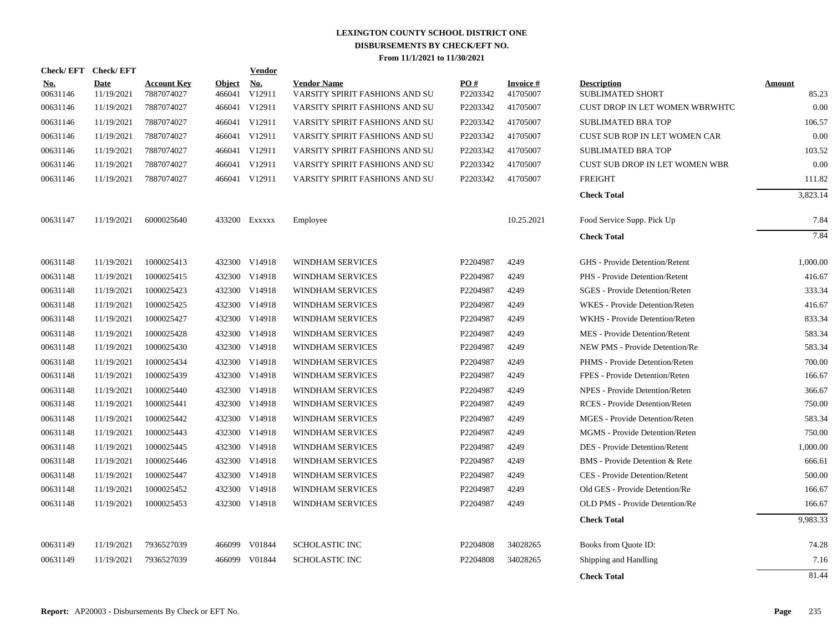| <b>Check/EFT</b>       | <b>Check/EFT</b>          |                                  |                         | <b>Vendor</b> |                                                      |                      |                             |                                               |                        |
|------------------------|---------------------------|----------------------------------|-------------------------|---------------|------------------------------------------------------|----------------------|-----------------------------|-----------------------------------------------|------------------------|
| <u>No.</u><br>00631146 | <b>Date</b><br>11/19/2021 | <b>Account Key</b><br>7887074027 | <b>Object</b><br>466041 | No.<br>V12911 | <b>Vendor Name</b><br>VARSITY SPIRIT FASHIONS AND SU | PO#<br>P2203342      | <b>Invoice#</b><br>41705007 | <b>Description</b><br><b>SUBLIMATED SHORT</b> | <b>Amount</b><br>85.23 |
| 00631146               | 11/19/2021                | 7887074027                       |                         | 466041 V12911 | VARSITY SPIRIT FASHIONS AND SU                       | P2203342             | 41705007                    | CUST DROP IN LET WOMEN WBRWHTC                | 0.00                   |
| 00631146               | 11/19/2021                | 7887074027                       |                         | 466041 V12911 | VARSITY SPIRIT FASHIONS AND SU                       | P2203342             | 41705007                    | <b>SUBLIMATED BRA TOP</b>                     | 106.57                 |
| 00631146               | 11/19/2021                | 7887074027                       |                         | 466041 V12911 | VARSITY SPIRIT FASHIONS AND SU                       | P2203342             | 41705007                    | CUST SUB ROP IN LET WOMEN CAR                 | 0.00                   |
| 00631146               | 11/19/2021                | 7887074027                       |                         | 466041 V12911 | VARSITY SPIRIT FASHIONS AND SU                       | P2203342             | 41705007                    | <b>SUBLIMATED BRA TOP</b>                     | 103.52                 |
| 00631146               | 11/19/2021                | 7887074027                       |                         | 466041 V12911 | VARSITY SPIRIT FASHIONS AND SU                       | P2203342             | 41705007                    | CUST SUB DROP IN LET WOMEN WBR                | 0.00                   |
| 00631146               | 11/19/2021                | 7887074027                       |                         | 466041 V12911 | VARSITY SPIRIT FASHIONS AND SU                       | P2203342             | 41705007                    | <b>FREIGHT</b>                                | 111.82                 |
|                        |                           |                                  |                         |               |                                                      |                      |                             | <b>Check Total</b>                            | 3,823.14               |
| 00631147               | 11/19/2021                | 6000025640                       |                         | 433200 Exxxxx | Employee                                             |                      | 10.25.2021                  | Food Service Supp. Pick Up                    | 7.84                   |
|                        |                           |                                  |                         |               |                                                      |                      |                             | <b>Check Total</b>                            | 7.84                   |
| 00631148               | 11/19/2021                | 1000025413                       |                         | 432300 V14918 | <b>WINDHAM SERVICES</b>                              | P2204987             | 4249                        | GHS - Provide Detention/Retent                | 1,000.00               |
| 00631148               | 11/19/2021                | 1000025415                       |                         | 432300 V14918 | <b>WINDHAM SERVICES</b>                              | P2204987             | 4249                        | PHS - Provide Detention/Retent                | 416.67                 |
| 00631148               | 11/19/2021                | 1000025423                       |                         | 432300 V14918 | <b>WINDHAM SERVICES</b>                              | P2204987             | 4249                        | SGES - Provide Detention/Reten                | 333.34                 |
| 00631148               | 11/19/2021                | 1000025425                       |                         | 432300 V14918 | <b>WINDHAM SERVICES</b>                              | P2204987             | 4249                        | WKES - Provide Detention/Reten                | 416.67                 |
| 00631148               | 11/19/2021                | 1000025427                       |                         | 432300 V14918 | <b>WINDHAM SERVICES</b>                              | P2204987             | 4249                        | WKHS - Provide Detention/Reten                | 833.34                 |
| 00631148               | 11/19/2021                | 1000025428                       |                         | 432300 V14918 | <b>WINDHAM SERVICES</b>                              | P2204987             | 4249                        | MES - Provide Detention/Retent                | 583.34                 |
| 00631148               | 11/19/2021                | 1000025430                       | 432300                  | V14918        | WINDHAM SERVICES                                     | P2204987             | 4249                        | NEW PMS - Provide Detention/Re                | 583.34                 |
| 00631148               | 11/19/2021                | 1000025434                       |                         | 432300 V14918 | WINDHAM SERVICES                                     | P2204987             | 4249                        | PHMS - Provide Detention/Reten                | 700.00                 |
| 00631148               | 11/19/2021                | 1000025439                       | 432300                  | V14918        | WINDHAM SERVICES                                     | P2204987             | 4249                        | FPES - Provide Detention/Reten                | 166.67                 |
| 00631148               | 11/19/2021                | 1000025440                       | 432300                  | V14918        | WINDHAM SERVICES                                     | P2204987             | 4249                        | NPES - Provide Detention/Reten                | 366.67                 |
| 00631148               | 11/19/2021                | 1000025441                       | 432300                  | V14918        | WINDHAM SERVICES                                     | P2204987             | 4249                        | RCES - Provide Detention/Reten                | 750.00                 |
| 00631148               | 11/19/2021                | 1000025442                       |                         | 432300 V14918 | WINDHAM SERVICES                                     | P2204987             | 4249                        | MGES - Provide Detention/Reten                | 583.34                 |
| 00631148               | 11/19/2021                | 1000025443                       |                         | 432300 V14918 | WINDHAM SERVICES                                     | P2204987             | 4249                        | MGMS - Provide Detention/Reten                | 750.00                 |
| 00631148               | 11/19/2021                | 1000025445                       |                         | 432300 V14918 | WINDHAM SERVICES                                     | P2204987             | 4249                        | DES - Provide Detention/Retent                | 1,000.00               |
| 00631148               | 11/19/2021                | 1000025446                       |                         | 432300 V14918 | WINDHAM SERVICES                                     | P2204987             | 4249                        | BMS - Provide Detention & Rete                | 666.61                 |
| 00631148               | 11/19/2021                | 1000025447                       |                         | 432300 V14918 | WINDHAM SERVICES                                     | P2204987             | 4249                        | CES - Provide Detention/Retent                | 500.00                 |
| 00631148               | 11/19/2021                | 1000025452                       |                         | 432300 V14918 | WINDHAM SERVICES                                     | P2204987             | 4249                        | Old GES - Provide Detention/Re                | 166.67                 |
| 00631148               | 11/19/2021                | 1000025453                       |                         | 432300 V14918 | WINDHAM SERVICES                                     | P2204987             | 4249                        | OLD PMS - Provide Detention/Re                | 166.67                 |
|                        |                           |                                  |                         |               |                                                      |                      |                             | <b>Check Total</b>                            | 9,983.33               |
| 00631149               | 11/19/2021                | 7936527039                       |                         | 466099 V01844 | <b>SCHOLASTIC INC</b>                                | P <sub>2204808</sub> | 34028265                    | Books from Quote ID:                          | 74.28                  |
| 00631149               | 11/19/2021                | 7936527039                       | 466099                  | V01844        | <b>SCHOLASTIC INC</b>                                | P2204808             | 34028265                    | Shipping and Handling                         | 7.16                   |
|                        |                           |                                  |                         |               |                                                      |                      |                             | <b>Check Total</b>                            | 81.44                  |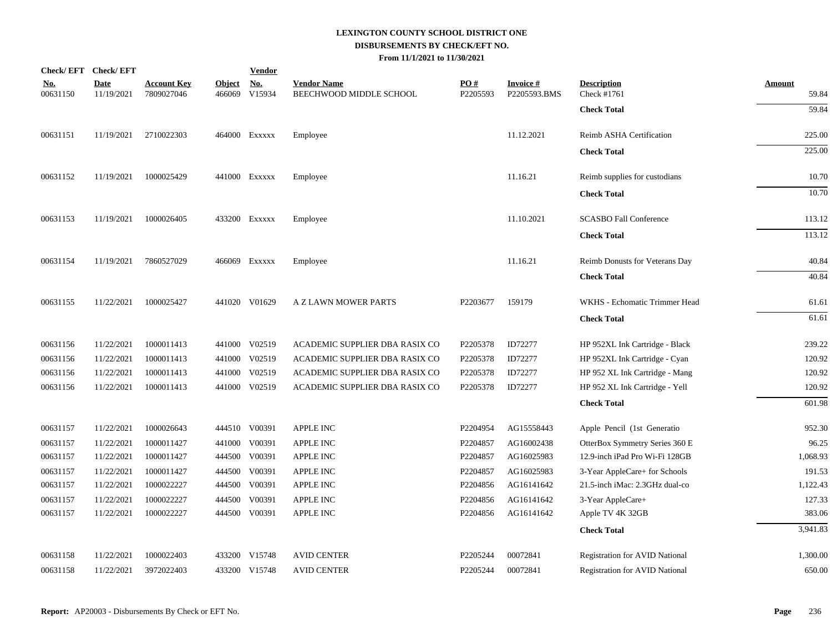| Check/EFT Check/EFT    |                           |                                  |                         | <b>Vendor</b>                         |                                               |                 |                                 |                                       |                        |
|------------------------|---------------------------|----------------------------------|-------------------------|---------------------------------------|-----------------------------------------------|-----------------|---------------------------------|---------------------------------------|------------------------|
| <b>No.</b><br>00631150 | <b>Date</b><br>11/19/2021 | <b>Account Key</b><br>7809027046 | <b>Object</b><br>466069 | $\underline{\textbf{No}}$ .<br>V15934 | <b>Vendor Name</b><br>BEECHWOOD MIDDLE SCHOOL | PO#<br>P2205593 | <b>Invoice#</b><br>P2205593.BMS | <b>Description</b><br>Check #1761     | <b>Amount</b><br>59.84 |
|                        |                           |                                  |                         |                                       |                                               |                 |                                 | <b>Check Total</b>                    | 59.84                  |
| 00631151               | 11/19/2021                | 2710022303                       |                         | 464000 Exxxxx                         | Employee                                      |                 | 11.12.2021                      | Reimb ASHA Certification              | 225.00                 |
|                        |                           |                                  |                         |                                       |                                               |                 |                                 | <b>Check Total</b>                    | 225.00                 |
| 00631152               | 11/19/2021                | 1000025429                       |                         | 441000 Exxxxx                         | Employee                                      |                 | 11.16.21                        | Reimb supplies for custodians         | 10.70                  |
|                        |                           |                                  |                         |                                       |                                               |                 |                                 | <b>Check Total</b>                    | 10.70                  |
| 00631153               | 11/19/2021                | 1000026405                       |                         | 433200 EXXXXX                         | Employee                                      |                 | 11.10.2021                      | <b>SCASBO Fall Conference</b>         | 113.12                 |
|                        |                           |                                  |                         |                                       |                                               |                 |                                 | <b>Check Total</b>                    | 113.12                 |
| 00631154               | 11/19/2021                | 7860527029                       |                         | 466069 Exxxxx                         | Employee                                      |                 | 11.16.21                        | Reimb Donusts for Veterans Day        | 40.84                  |
|                        |                           |                                  |                         |                                       |                                               |                 |                                 | <b>Check Total</b>                    | 40.84                  |
| 00631155               | 11/22/2021                | 1000025427                       |                         | 441020 V01629                         | A Z LAWN MOWER PARTS                          | P2203677        | 159179                          | WKHS - Echomatic Trimmer Head         | 61.61                  |
|                        |                           |                                  |                         |                                       |                                               |                 |                                 | <b>Check Total</b>                    | 61.61                  |
| 00631156               | 11/22/2021                | 1000011413                       |                         | 441000 V02519                         | ACADEMIC SUPPLIER DBA RASIX CO                | P2205378        | ID72277                         | HP 952XL Ink Cartridge - Black        | 239.22                 |
| 00631156               | 11/22/2021                | 1000011413                       |                         | 441000 V02519                         | ACADEMIC SUPPLIER DBA RASIX CO                | P2205378        | ID72277                         | HP 952XL Ink Cartridge - Cyan         | 120.92                 |
| 00631156               | 11/22/2021                | 1000011413                       |                         | 441000 V02519                         | ACADEMIC SUPPLIER DBA RASIX CO                | P2205378        | ID72277                         | HP 952 XL Ink Cartridge - Mang        | 120.92                 |
| 00631156               | 11/22/2021                | 1000011413                       |                         | 441000 V02519                         | ACADEMIC SUPPLIER DBA RASIX CO                | P2205378        | ID72277                         | HP 952 XL Ink Cartridge - Yell        | 120.92                 |
|                        |                           |                                  |                         |                                       |                                               |                 |                                 | <b>Check Total</b>                    | 601.98                 |
| 00631157               | 11/22/2021                | 1000026643                       |                         | 444510 V00391                         | <b>APPLE INC</b>                              | P2204954        | AG15558443                      | Apple Pencil (1st Generatio           | 952.30                 |
| 00631157               | 11/22/2021                | 1000011427                       |                         | 441000 V00391                         | <b>APPLE INC</b>                              | P2204857        | AG16002438                      | OtterBox Symmetry Series 360 E        | 96.25                  |
| 00631157               | 11/22/2021                | 1000011427                       |                         | 444500 V00391                         | APPLE INC                                     | P2204857        | AG16025983                      | 12.9-inch iPad Pro Wi-Fi 128GB        | 1,068.93               |
| 00631157               | 11/22/2021                | 1000011427                       |                         | 444500 V00391                         | <b>APPLE INC</b>                              | P2204857        | AG16025983                      | 3-Year AppleCare+ for Schools         | 191.53                 |
| 00631157               | 11/22/2021                | 1000022227                       |                         | 444500 V00391                         | <b>APPLE INC</b>                              | P2204856        | AG16141642                      | 21.5-inch iMac: 2.3GHz dual-co        | 1,122.43               |
| 00631157               | 11/22/2021                | 1000022227                       | 444500                  | V00391                                | <b>APPLE INC</b>                              | P2204856        | AG16141642                      | 3-Year AppleCare+                     | 127.33                 |
| 00631157               | 11/22/2021                | 1000022227                       |                         | 444500 V00391                         | APPLE INC                                     | P2204856        | AG16141642                      | Apple TV 4K 32GB                      | 383.06                 |
|                        |                           |                                  |                         |                                       |                                               |                 |                                 | <b>Check Total</b>                    | 3,941.83               |
| 00631158               | 11/22/2021                | 1000022403                       |                         | 433200 V15748                         | <b>AVID CENTER</b>                            | P2205244        | 00072841                        | <b>Registration for AVID National</b> | 1,300.00               |
| 00631158               | 11/22/2021                | 3972022403                       |                         | 433200 V15748                         | <b>AVID CENTER</b>                            | P2205244        | 00072841                        | <b>Registration for AVID National</b> | 650.00                 |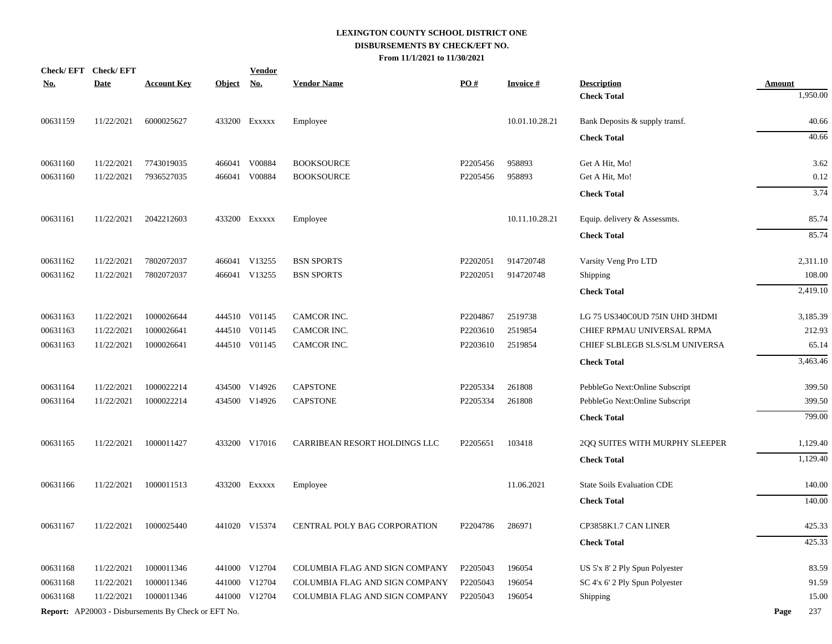|            | Check/EFT Check/EFT |                                                            |               | <b>Vendor</b> |                                |          |                 |                                   |               |
|------------|---------------------|------------------------------------------------------------|---------------|---------------|--------------------------------|----------|-----------------|-----------------------------------|---------------|
| <u>No.</u> | <b>Date</b>         | <b>Account Key</b>                                         | <b>Object</b> | <u>No.</u>    | <b>Vendor Name</b>             | PO#      | <b>Invoice#</b> | <b>Description</b>                | <b>Amount</b> |
|            |                     |                                                            |               |               |                                |          |                 | <b>Check Total</b>                | 1,950.00      |
| 00631159   | 11/22/2021          | 6000025627                                                 |               | 433200 Exxxxx | Employee                       |          | 10.01.10.28.21  | Bank Deposits & supply transf.    | 40.66         |
|            |                     |                                                            |               |               |                                |          |                 | <b>Check Total</b>                | 40.66         |
| 00631160   | 11/22/2021          | 7743019035                                                 |               | 466041 V00884 | <b>BOOKSOURCE</b>              | P2205456 | 958893          | Get A Hit, Mo!                    | 3.62          |
| 00631160   | 11/22/2021          | 7936527035                                                 |               | 466041 V00884 | <b>BOOKSOURCE</b>              | P2205456 | 958893          | Get A Hit, Mo!                    | 0.12          |
|            |                     |                                                            |               |               |                                |          |                 | <b>Check Total</b>                | 3.74          |
| 00631161   | 11/22/2021          | 2042212603                                                 |               | 433200 EXXXXX | Employee                       |          | 10.11.10.28.21  | Equip. delivery & Assessmts.      | 85.74         |
|            |                     |                                                            |               |               |                                |          |                 | <b>Check Total</b>                | 85.74         |
| 00631162   | 11/22/2021          | 7802072037                                                 |               | 466041 V13255 | <b>BSN SPORTS</b>              | P2202051 | 914720748       | Varsity Veng Pro LTD              | 2,311.10      |
| 00631162   | 11/22/2021          | 7802072037                                                 |               | 466041 V13255 | <b>BSN SPORTS</b>              | P2202051 | 914720748       | Shipping                          | 108.00        |
|            |                     |                                                            |               |               |                                |          |                 | <b>Check Total</b>                | 2,419.10      |
| 00631163   | 11/22/2021          | 1000026644                                                 |               | 444510 V01145 | CAMCOR INC.                    | P2204867 | 2519738         | LG 75 US340C0UD 75IN UHD 3HDMI    | 3,185.39      |
| 00631163   | 11/22/2021          | 1000026641                                                 |               | 444510 V01145 | CAMCOR INC.                    | P2203610 | 2519854         | CHIEF RPMAU UNIVERSAL RPMA        | 212.93        |
| 00631163   | 11/22/2021          | 1000026641                                                 |               | 444510 V01145 | CAMCOR INC.                    | P2203610 | 2519854         | CHIEF SLBLEGB SLS/SLM UNIVERSA    | 65.14         |
|            |                     |                                                            |               |               |                                |          |                 | <b>Check Total</b>                | 3,463.46      |
| 00631164   | 11/22/2021          | 1000022214                                                 |               | 434500 V14926 | <b>CAPSTONE</b>                | P2205334 | 261808          | PebbleGo Next:Online Subscript    | 399.50        |
| 00631164   | 11/22/2021          | 1000022214                                                 |               | 434500 V14926 | <b>CAPSTONE</b>                | P2205334 | 261808          | PebbleGo Next:Online Subscript    | 399.50        |
|            |                     |                                                            |               |               |                                |          |                 | <b>Check Total</b>                | 799.00        |
| 00631165   | 11/22/2021          | 1000011427                                                 |               | 433200 V17016 | CARRIBEAN RESORT HOLDINGS LLC  | P2205651 | 103418          | 2QQ SUITES WITH MURPHY SLEEPER    | 1,129.40      |
|            |                     |                                                            |               |               |                                |          |                 | <b>Check Total</b>                | 1,129.40      |
| 00631166   | 11/22/2021          | 1000011513                                                 |               | 433200 EXXXXX | Employee                       |          | 11.06.2021      | <b>State Soils Evaluation CDE</b> | 140.00        |
|            |                     |                                                            |               |               |                                |          |                 | <b>Check Total</b>                | 140.00        |
| 00631167   | 11/22/2021          | 1000025440                                                 |               | 441020 V15374 | CENTRAL POLY BAG CORPORATION   | P2204786 | 286971          | CP3858K1.7 CAN LINER              | 425.33        |
|            |                     |                                                            |               |               |                                |          |                 | <b>Check Total</b>                | 425.33        |
| 00631168   | 11/22/2021          | 1000011346                                                 |               | 441000 V12704 | COLUMBIA FLAG AND SIGN COMPANY | P2205043 | 196054          | US 5'x 8' 2 Ply Spun Polyester    | 83.59         |
| 00631168   | 11/22/2021          | 1000011346                                                 |               | 441000 V12704 | COLUMBIA FLAG AND SIGN COMPANY | P2205043 | 196054          | SC 4'x 6' 2 Ply Spun Polyester    | 91.59         |
| 00631168   | 11/22/2021          | 1000011346                                                 |               | 441000 V12704 | COLUMBIA FLAG AND SIGN COMPANY | P2205043 | 196054          | Shipping                          | 15.00         |
|            |                     | <b>Report:</b> AP20003 - Disbursements By Check or EFT No. |               |               |                                |          |                 |                                   | 237<br>Page   |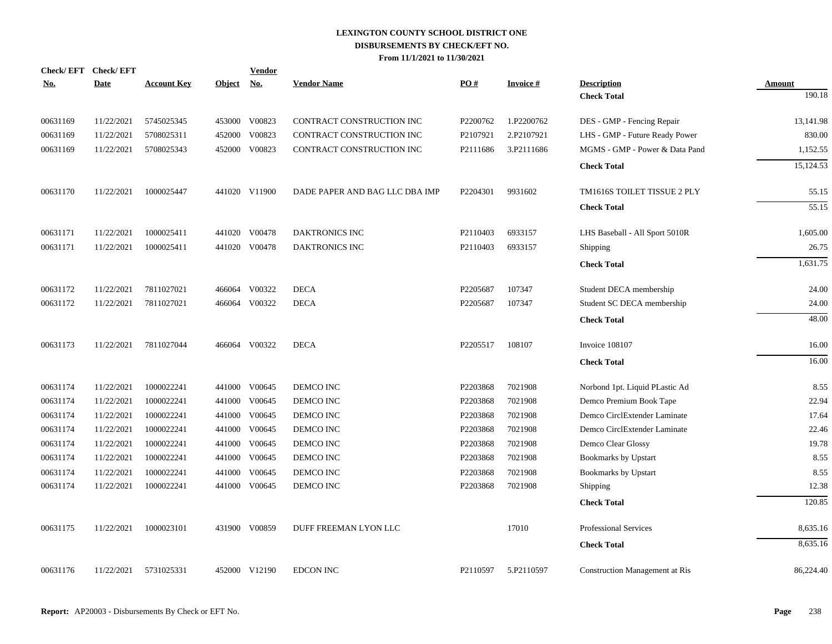| <b>Check/EFT</b> | <b>Check/EFT</b> |                    |               | <u>Vendor</u> |                                |          |                 |                                       |               |
|------------------|------------------|--------------------|---------------|---------------|--------------------------------|----------|-----------------|---------------------------------------|---------------|
| <u>No.</u>       | <b>Date</b>      | <b>Account Key</b> | <b>Object</b> | <b>No.</b>    | <b>Vendor Name</b>             | PO#      | <b>Invoice#</b> | <b>Description</b>                    | <b>Amount</b> |
|                  |                  |                    |               |               |                                |          |                 | <b>Check Total</b>                    | 190.18        |
| 00631169         | 11/22/2021       | 5745025345         |               | 453000 V00823 | CONTRACT CONSTRUCTION INC      | P2200762 | 1.P2200762      | DES - GMP - Fencing Repair            | 13,141.98     |
| 00631169         | 11/22/2021       | 5708025311         | 452000        | V00823        | CONTRACT CONSTRUCTION INC      | P2107921 | 2.P2107921      | LHS - GMP - Future Ready Power        | 830.00        |
| 00631169         | 11/22/2021       | 5708025343         |               | 452000 V00823 | CONTRACT CONSTRUCTION INC      | P2111686 | 3.P2111686      | MGMS - GMP - Power & Data Pand        | 1,152.55      |
|                  |                  |                    |               |               |                                |          |                 | <b>Check Total</b>                    | 15,124.53     |
| 00631170         | 11/22/2021       | 1000025447         |               | 441020 V11900 | DADE PAPER AND BAG LLC DBA IMP | P2204301 | 9931602         | TM1616S TOILET TISSUE 2 PLY           | 55.15         |
|                  |                  |                    |               |               |                                |          |                 | <b>Check Total</b>                    | 55.15         |
| 00631171         | 11/22/2021       | 1000025411         |               | 441020 V00478 | DAKTRONICS INC                 | P2110403 | 6933157         | LHS Baseball - All Sport 5010R        | 1,605.00      |
| 00631171         | 11/22/2021       | 1000025411         |               | 441020 V00478 | DAKTRONICS INC                 | P2110403 | 6933157         | Shipping                              | 26.75         |
|                  |                  |                    |               |               |                                |          |                 | <b>Check Total</b>                    | 1,631.75      |
| 00631172         | 11/22/2021       | 7811027021         |               | 466064 V00322 | <b>DECA</b>                    | P2205687 | 107347          | Student DECA membership               | 24.00         |
| 00631172         | 11/22/2021       | 7811027021         |               | 466064 V00322 | <b>DECA</b>                    | P2205687 | 107347          | Student SC DECA membership            | 24.00         |
|                  |                  |                    |               |               |                                |          |                 | <b>Check Total</b>                    | 48.00         |
| 00631173         | 11/22/2021       | 7811027044         |               | 466064 V00322 | <b>DECA</b>                    | P2205517 | 108107          | Invoice 108107                        | 16.00         |
|                  |                  |                    |               |               |                                |          |                 | <b>Check Total</b>                    | 16.00         |
| 00631174         | 11/22/2021       | 1000022241         |               | 441000 V00645 | DEMCO INC                      | P2203868 | 7021908         | Norbond 1pt. Liquid PLastic Ad        | 8.55          |
| 00631174         | 11/22/2021       | 1000022241         |               | 441000 V00645 | DEMCO INC                      | P2203868 | 7021908         | Demco Premium Book Tape               | 22.94         |
| 00631174         | 11/22/2021       | 1000022241         |               | 441000 V00645 | DEMCO INC                      | P2203868 | 7021908         | Demco CirclExtender Laminate          | 17.64         |
| 00631174         | 11/22/2021       | 1000022241         |               | 441000 V00645 | DEMCO INC                      | P2203868 | 7021908         | Demco CirclExtender Laminate          | 22.46         |
| 00631174         | 11/22/2021       | 1000022241         | 441000        | V00645        | DEMCO INC                      | P2203868 | 7021908         | Demco Clear Glossy                    | 19.78         |
| 00631174         | 11/22/2021       | 1000022241         | 441000        | V00645        | DEMCO INC                      | P2203868 | 7021908         | <b>Bookmarks by Upstart</b>           | 8.55          |
| 00631174         | 11/22/2021       | 1000022241         | 441000        | V00645        | DEMCO INC                      | P2203868 | 7021908         | <b>Bookmarks by Upstart</b>           | 8.55          |
| 00631174         | 11/22/2021       | 1000022241         |               | 441000 V00645 | DEMCO INC                      | P2203868 | 7021908         | Shipping                              | 12.38         |
|                  |                  |                    |               |               |                                |          |                 | <b>Check Total</b>                    | 120.85        |
| 00631175         | 11/22/2021       | 1000023101         |               | 431900 V00859 | DUFF FREEMAN LYON LLC          |          | 17010           | Professional Services                 | 8,635.16      |
|                  |                  |                    |               |               |                                |          |                 | <b>Check Total</b>                    | 8,635.16      |
| 00631176         | 11/22/2021       | 5731025331         |               | 452000 V12190 | <b>EDCON INC</b>               | P2110597 | 5.P2110597      | <b>Construction Management at Ris</b> | 86,224.40     |
|                  |                  |                    |               |               |                                |          |                 |                                       |               |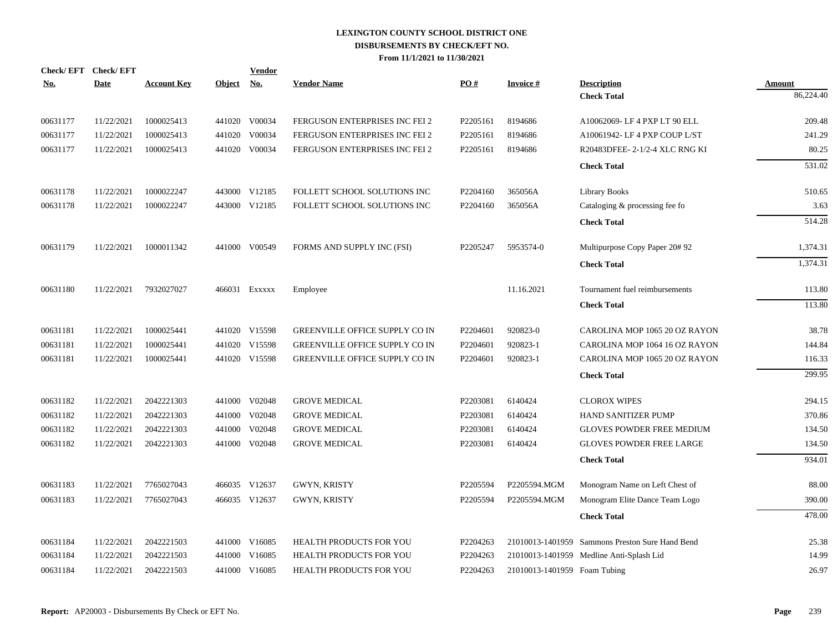| <b>Check/EFT</b> | <b>Check/EFT</b> |                    |               | <b>Vendor</b> |                                       |          |                              |                                                 |           |
|------------------|------------------|--------------------|---------------|---------------|---------------------------------------|----------|------------------------------|-------------------------------------------------|-----------|
| <u>No.</u>       | <b>Date</b>      | <b>Account Key</b> | <u>Object</u> | <u>No.</u>    | <b>Vendor Name</b>                    | PO#      | <b>Invoice</b> #             | <b>Description</b>                              | Amount    |
|                  |                  |                    |               |               |                                       |          |                              | <b>Check Total</b>                              | 86,224.40 |
| 00631177         | 11/22/2021       | 1000025413         |               | 441020 V00034 | FERGUSON ENTERPRISES INC FEI 2        | P2205161 | 8194686                      | A10062069-LF4 PXP LT 90 ELL                     | 209.48    |
| 00631177         | 11/22/2021       | 1000025413         | 441020        | V00034        | FERGUSON ENTERPRISES INC FEI 2        | P2205161 | 8194686                      | A10061942- LF 4 PXP COUP L/ST                   | 241.29    |
| 00631177         | 11/22/2021       | 1000025413         |               | 441020 V00034 | FERGUSON ENTERPRISES INC FEI 2        | P2205161 | 8194686                      | R20483DFEE-2-1/2-4 XLC RNG KI                   | 80.25     |
|                  |                  |                    |               |               |                                       |          |                              | <b>Check Total</b>                              | 531.02    |
| 00631178         | 11/22/2021       | 1000022247         |               | 443000 V12185 | FOLLETT SCHOOL SOLUTIONS INC          | P2204160 | 365056A                      | <b>Library Books</b>                            | 510.65    |
| 00631178         | 11/22/2021       | 1000022247         |               | 443000 V12185 | FOLLETT SCHOOL SOLUTIONS INC          | P2204160 | 365056A                      | Cataloging & processing fee fo                  | 3.63      |
|                  |                  |                    |               |               |                                       |          |                              | <b>Check Total</b>                              | 514.28    |
| 00631179         | 11/22/2021       | 1000011342         |               | 441000 V00549 | FORMS AND SUPPLY INC (FSI)            | P2205247 | 5953574-0                    | Multipurpose Copy Paper 20# 92                  | 1,374.31  |
|                  |                  |                    |               |               |                                       |          |                              | <b>Check Total</b>                              | 1.374.31  |
| 00631180         | 11/22/2021       | 7932027027         |               | 466031 Exxxxx | Employee                              |          | 11.16.2021                   | Tournament fuel reimbursements                  | 113.80    |
|                  |                  |                    |               |               |                                       |          |                              | <b>Check Total</b>                              | 113.80    |
| 00631181         | 11/22/2021       | 1000025441         |               | 441020 V15598 | GREENVILLE OFFICE SUPPLY CO IN        | P2204601 | 920823-0                     | CAROLINA MOP 1065 20 OZ RAYON                   | 38.78     |
| 00631181         | 11/22/2021       | 1000025441         | 441020        | V15598        | GREENVILLE OFFICE SUPPLY CO IN        | P2204601 | 920823-1                     | CAROLINA MOP 1064 16 OZ RAYON                   | 144.84    |
| 00631181         | 11/22/2021       | 1000025441         |               | 441020 V15598 | <b>GREENVILLE OFFICE SUPPLY CO IN</b> | P2204601 | 920823-1                     | CAROLINA MOP 1065 20 OZ RAYON                   | 116.33    |
|                  |                  |                    |               |               |                                       |          |                              | <b>Check Total</b>                              | 299.95    |
| 00631182         | 11/22/2021       | 2042221303         |               | 441000 V02048 | <b>GROVE MEDICAL</b>                  | P2203081 | 6140424                      | <b>CLOROX WIPES</b>                             | 294.15    |
| 00631182         | 11/22/2021       | 2042221303         | 441000        | V02048        | <b>GROVE MEDICAL</b>                  | P2203081 | 6140424                      | <b>HAND SANITIZER PUMP</b>                      | 370.86    |
| 00631182         | 11/22/2021       | 2042221303         | 441000        | V02048        | <b>GROVE MEDICAL</b>                  | P2203081 | 6140424                      | <b>GLOVES POWDER FREE MEDIUM</b>                | 134.50    |
| 00631182         | 11/22/2021       | 2042221303         | 441000        | V02048        | <b>GROVE MEDICAL</b>                  | P2203081 | 6140424                      | <b>GLOVES POWDER FREE LARGE</b>                 | 134.50    |
|                  |                  |                    |               |               |                                       |          |                              | <b>Check Total</b>                              | 934.01    |
| 00631183         | 11/22/2021       | 7765027043         |               | 466035 V12637 | GWYN, KRISTY                          | P2205594 | P2205594.MGM                 | Monogram Name on Left Chest of                  | 88.00     |
| 00631183         | 11/22/2021       | 7765027043         |               | 466035 V12637 | GWYN, KRISTY                          | P2205594 | P2205594.MGM                 | Monogram Elite Dance Team Logo                  | 390.00    |
|                  |                  |                    |               |               |                                       |          |                              | <b>Check Total</b>                              | 478.00    |
| 00631184         | 11/22/2021       | 2042221503         |               | 441000 V16085 | <b>HEALTH PRODUCTS FOR YOU</b>        | P2204263 |                              | 21010013-1401959 Sammons Preston Sure Hand Bend | 25.38     |
| 00631184         | 11/22/2021       | 2042221503         | 441000        | V16085        | HEALTH PRODUCTS FOR YOU               | P2204263 |                              | 21010013-1401959 Medline Anti-Splash Lid        | 14.99     |
| 00631184         | 11/22/2021       | 2042221503         |               | 441000 V16085 | HEALTH PRODUCTS FOR YOU               | P2204263 | 21010013-1401959 Foam Tubing |                                                 | 26.97     |
|                  |                  |                    |               |               |                                       |          |                              |                                                 |           |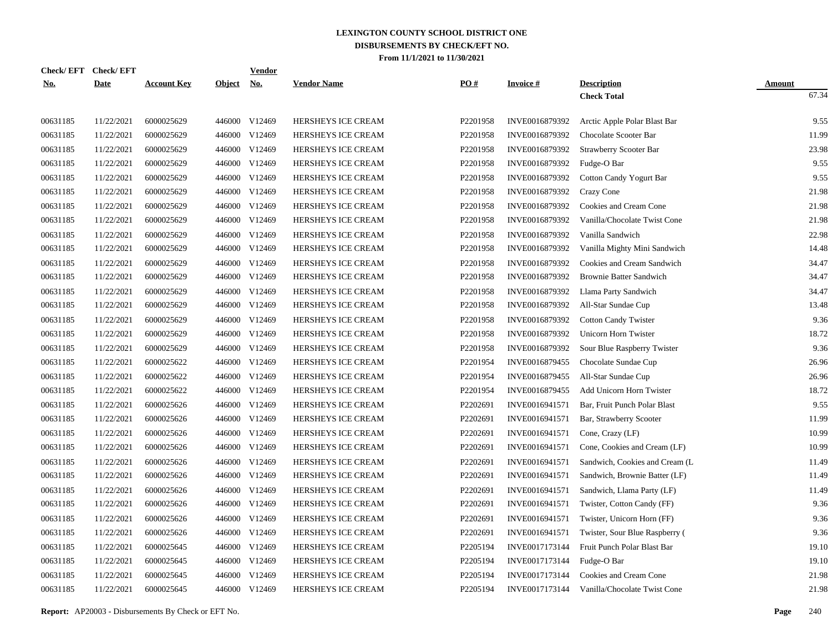| Check/ EFT | <b>Check/EFT</b> |                    |               | <b>Vendor</b> |                           |          |                 |                                 |               |
|------------|------------------|--------------------|---------------|---------------|---------------------------|----------|-----------------|---------------------------------|---------------|
| <u>No.</u> | <b>Date</b>      | <b>Account Key</b> | <u>Object</u> | <u>No.</u>    | <b>Vendor Name</b>        | PO#      | <b>Invoice#</b> | <b>Description</b>              | <b>Amount</b> |
|            |                  |                    |               |               |                           |          |                 | <b>Check Total</b>              | 67.34         |
| 00631185   | 11/22/2021       | 6000025629         |               | 446000 V12469 | HERSHEYS ICE CREAM        | P2201958 | INVE0016879392  | Arctic Apple Polar Blast Bar    | 9.55          |
| 00631185   | 11/22/2021       | 6000025629         |               | 446000 V12469 | HERSHEYS ICE CREAM        | P2201958 | INVE0016879392  | Chocolate Scooter Bar           | 11.99         |
| 00631185   | 11/22/2021       | 6000025629         | 446000        | V12469        | HERSHEYS ICE CREAM        | P2201958 | INVE0016879392  | Strawberry Scooter Bar          | 23.98         |
| 00631185   | 11/22/2021       | 6000025629         |               | 446000 V12469 | HERSHEYS ICE CREAM        | P2201958 | INVE0016879392  | Fudge-O Bar                     | 9.55          |
| 00631185   | 11/22/2021       | 6000025629         | 446000        | V12469        | HERSHEYS ICE CREAM        | P2201958 | INVE0016879392  | <b>Cotton Candy Yogurt Bar</b>  | 9.55          |
| 00631185   | 11/22/2021       | 6000025629         |               | 446000 V12469 | HERSHEYS ICE CREAM        | P2201958 | INVE0016879392  | Crazy Cone                      | 21.98         |
| 00631185   | 11/22/2021       | 6000025629         | 446000        | V12469        | HERSHEYS ICE CREAM        | P2201958 | INVE0016879392  | Cookies and Cream Cone          | 21.98         |
| 00631185   | 11/22/2021       | 6000025629         | 446000        | V12469        | HERSHEYS ICE CREAM        | P2201958 | INVE0016879392  | Vanilla/Chocolate Twist Cone    | 21.98         |
| 00631185   | 11/22/2021       | 6000025629         | 446000        | V12469        | HERSHEYS ICE CREAM        | P2201958 | INVE0016879392  | Vanilla Sandwich                | 22.98         |
| 00631185   | 11/22/2021       | 6000025629         | 446000        | V12469        | HERSHEYS ICE CREAM        | P2201958 | INVE0016879392  | Vanilla Mighty Mini Sandwich    | 14.48         |
| 00631185   | 11/22/2021       | 6000025629         | 446000        | V12469        | HERSHEYS ICE CREAM        | P2201958 | INVE0016879392  | Cookies and Cream Sandwich      | 34.47         |
| 00631185   | 11/22/2021       | 6000025629         | 446000        | V12469        | HERSHEYS ICE CREAM        | P2201958 | INVE0016879392  | <b>Brownie Batter Sandwich</b>  | 34.47         |
| 00631185   | 11/22/2021       | 6000025629         | 446000        | V12469        | HERSHEYS ICE CREAM        | P2201958 | INVE0016879392  | Llama Party Sandwich            | 34.47         |
| 00631185   | 11/22/2021       | 6000025629         | 446000        | V12469        | <b>HERSHEYS ICE CREAM</b> | P2201958 | INVE0016879392  | All-Star Sundae Cup             | 13.48         |
| 00631185   | 11/22/2021       | 6000025629         | 446000        | V12469        | <b>HERSHEYS ICE CREAM</b> | P2201958 | INVE0016879392  | <b>Cotton Candy Twister</b>     | 9.36          |
| 00631185   | 11/22/2021       | 6000025629         | 446000        | V12469        | HERSHEYS ICE CREAM        | P2201958 | INVE0016879392  | Unicorn Horn Twister            | 18.72         |
| 00631185   | 11/22/2021       | 6000025629         | 446000        | V12469        | HERSHEYS ICE CREAM        | P2201958 | INVE0016879392  | Sour Blue Raspberry Twister     | 9.36          |
| 00631185   | 11/22/2021       | 6000025622         | 446000        | V12469        | HERSHEYS ICE CREAM        | P2201954 | INVE0016879455  | Chocolate Sundae Cup            | 26.96         |
| 00631185   | 11/22/2021       | 6000025622         | 446000        | V12469        | HERSHEYS ICE CREAM        | P2201954 | INVE0016879455  | All-Star Sundae Cup             | 26.96         |
| 00631185   | 11/22/2021       | 6000025622         | 446000        | V12469        | HERSHEYS ICE CREAM        | P2201954 | INVE0016879455  | Add Unicorn Horn Twister        | 18.72         |
| 00631185   | 11/22/2021       | 6000025626         | 446000        | V12469        | HERSHEYS ICE CREAM        | P2202691 | INVE0016941571  | Bar, Fruit Punch Polar Blast    | 9.55          |
| 00631185   | 11/22/2021       | 6000025626         | 446000        | V12469        | HERSHEYS ICE CREAM        | P2202691 | INVE0016941571  | Bar, Strawberry Scooter         | 11.99         |
| 00631185   | 11/22/2021       | 6000025626         | 446000        | V12469        | HERSHEYS ICE CREAM        | P2202691 | INVE0016941571  | Cone, Crazy (LF)                | 10.99         |
| 00631185   | 11/22/2021       | 6000025626         | 446000        | V12469        | <b>HERSHEYS ICE CREAM</b> | P2202691 | INVE0016941571  | Cone, Cookies and Cream (LF)    | 10.99         |
| 00631185   | 11/22/2021       | 6000025626         | 446000        | V12469        | <b>HERSHEYS ICE CREAM</b> | P2202691 | INVE0016941571  | Sandwich, Cookies and Cream (L. | 11.49         |
| 00631185   | 11/22/2021       | 6000025626         | 446000        | V12469        | HERSHEYS ICE CREAM        | P2202691 | INVE0016941571  | Sandwich, Brownie Batter (LF)   | 11.49         |
| 00631185   | 11/22/2021       | 6000025626         | 446000        | V12469        | HERSHEYS ICE CREAM        | P2202691 | INVE0016941571  | Sandwich, Llama Party (LF)      | 11.49         |
| 00631185   | 11/22/2021       | 6000025626         | 446000        | V12469        | HERSHEYS ICE CREAM        | P2202691 | INVE0016941571  | Twister, Cotton Candy (FF)      | 9.36          |
| 00631185   | 11/22/2021       | 6000025626         | 446000        | V12469        | HERSHEYS ICE CREAM        | P2202691 | INVE0016941571  | Twister, Unicorn Horn (FF)      | 9.36          |
| 00631185   | 11/22/2021       | 6000025626         | 446000        | V12469        | <b>HERSHEYS ICE CREAM</b> | P2202691 | INVE0016941571  | Twister, Sour Blue Raspberry (  | 9.36          |
| 00631185   | 11/22/2021       | 6000025645         | 446000        | V12469        | <b>HERSHEYS ICE CREAM</b> | P2205194 | INVE0017173144  | Fruit Punch Polar Blast Bar     | 19.10         |
| 00631185   | 11/22/2021       | 6000025645         | 446000        | V12469        | HERSHEYS ICE CREAM        | P2205194 | INVE0017173144  | Fudge-O Bar                     | 19.10         |
| 00631185   | 11/22/2021       | 6000025645         | 446000        | V12469        | HERSHEYS ICE CREAM        | P2205194 | INVE0017173144  | Cookies and Cream Cone          | 21.98         |
| 00631185   | 11/22/2021       | 6000025645         |               | 446000 V12469 | HERSHEYS ICE CREAM        | P2205194 | INVE0017173144  | Vanilla/Chocolate Twist Cone    | 21.98         |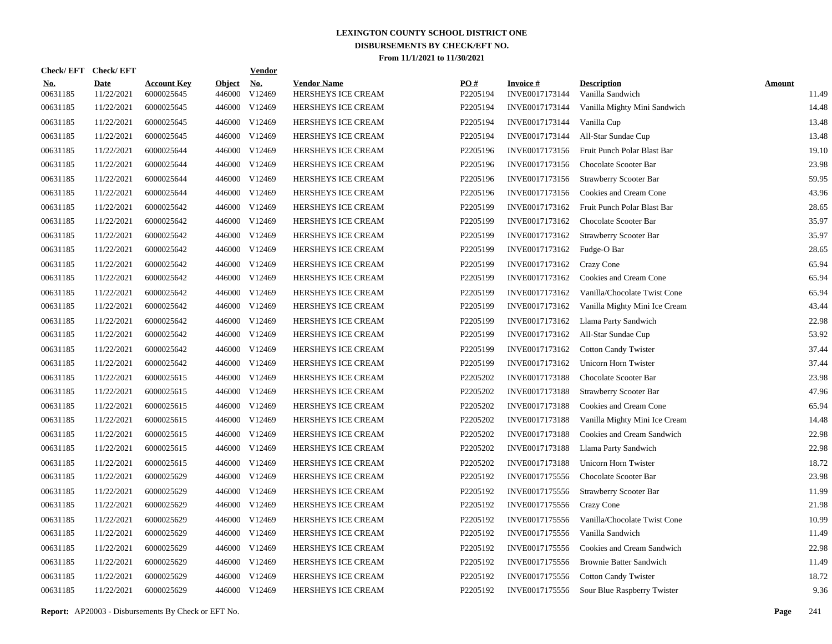| Check/ EFT             | <b>Check/EFT</b>          |                                  |                         | <u>Vendor</u>                    |                                          |                 |                                   |                                        |                        |
|------------------------|---------------------------|----------------------------------|-------------------------|----------------------------------|------------------------------------------|-----------------|-----------------------------------|----------------------------------------|------------------------|
| <u>No.</u><br>00631185 | <b>Date</b><br>11/22/2021 | <b>Account Key</b><br>6000025645 | <b>Object</b><br>446000 | <u>No.</u><br>V <sub>12469</sub> | <b>Vendor Name</b><br>HERSHEYS ICE CREAM | PO#<br>P2205194 | <b>Invoice#</b><br>INVE0017173144 | <b>Description</b><br>Vanilla Sandwich | <b>Amount</b><br>11.49 |
| 00631185               | 11/22/2021                | 6000025645                       | 446000                  | V12469                           | HERSHEYS ICE CREAM                       | P2205194        | INVE0017173144                    | Vanilla Mighty Mini Sandwich           | 14.48                  |
| 00631185               | 11/22/2021                | 6000025645                       | 446000                  | V12469                           | <b>HERSHEYS ICE CREAM</b>                | P2205194        | INVE0017173144                    | Vanilla Cup                            | 13.48                  |
| 00631185               | 11/22/2021                | 6000025645                       | 446000                  | V12469                           | HERSHEYS ICE CREAM                       | P2205194        | INVE0017173144                    | All-Star Sundae Cup                    | 13.48                  |
| 00631185               | 11/22/2021                | 6000025644                       | 446000                  | V12469                           | HERSHEYS ICE CREAM                       | P2205196        | INVE0017173156                    | Fruit Punch Polar Blast Bar            | 19.10                  |
| 00631185               | 11/22/2021                | 6000025644                       | 446000                  | V12469                           | HERSHEYS ICE CREAM                       | P2205196        | INVE0017173156                    | Chocolate Scooter Bar                  | 23.98                  |
| 00631185               | 11/22/2021                | 6000025644                       | 446000                  | V12469                           | HERSHEYS ICE CREAM                       | P2205196        | INVE0017173156                    | <b>Strawberry Scooter Bar</b>          | 59.95                  |
| 00631185               | 11/22/2021                | 6000025644                       | 446000                  | V12469                           | HERSHEYS ICE CREAM                       | P2205196        | INVE0017173156                    | Cookies and Cream Cone                 | 43.96                  |
| 00631185               | 11/22/2021                | 6000025642                       | 446000                  | V12469                           | HERSHEYS ICE CREAM                       | P2205199        | INVE0017173162                    | Fruit Punch Polar Blast Bar            | 28.65                  |
| 00631185               | 11/22/2021                | 6000025642                       | 446000                  | V12469                           | HERSHEYS ICE CREAM                       | P2205199        | INVE0017173162                    | Chocolate Scooter Bar                  | 35.97                  |
| 00631185               | 11/22/2021                | 6000025642                       | 446000                  | V12469                           | <b>HERSHEYS ICE CREAM</b>                | P2205199        | INVE0017173162                    | <b>Strawberry Scooter Bar</b>          | 35.97                  |
| 00631185               | 11/22/2021                | 6000025642                       | 446000                  | V12469                           | HERSHEYS ICE CREAM                       | P2205199        | INVE0017173162                    | Fudge-O Bar                            | 28.65                  |
| 00631185               | 11/22/2021                | 6000025642                       | 446000                  | V12469                           | HERSHEYS ICE CREAM                       | P2205199        | INVE0017173162                    | Crazy Cone                             | 65.94                  |
| 00631185               | 11/22/2021                | 6000025642                       | 446000                  | V12469                           | HERSHEYS ICE CREAM                       | P2205199        | INVE0017173162                    | Cookies and Cream Cone                 | 65.94                  |
| 00631185               | 11/22/2021                | 6000025642                       | 446000                  | V12469                           | HERSHEYS ICE CREAM                       | P2205199        | INVE0017173162                    | Vanilla/Chocolate Twist Cone           | 65.94                  |
| 00631185               | 11/22/2021                | 6000025642                       | 446000                  | V12469                           | HERSHEYS ICE CREAM                       | P2205199        | INVE0017173162                    | Vanilla Mighty Mini Ice Cream          | 43.44                  |
| 00631185               | 11/22/2021                | 6000025642                       | 446000                  | V12469                           | <b>HERSHEYS ICE CREAM</b>                | P2205199        | INVE0017173162                    | Llama Party Sandwich                   | 22.98                  |
| 00631185               | 11/22/2021                | 6000025642                       | 446000                  | V12469                           | HERSHEYS ICE CREAM                       | P2205199        | INVE0017173162                    | All-Star Sundae Cup                    | 53.92                  |
| 00631185               | 11/22/2021                | 6000025642                       | 446000                  | V12469                           | HERSHEYS ICE CREAM                       | P2205199        | INVE0017173162                    | <b>Cotton Candy Twister</b>            | 37.44                  |
| 00631185               | 11/22/2021                | 6000025642                       | 446000                  | V12469                           | HERSHEYS ICE CREAM                       | P2205199        | INVE0017173162                    | Unicorn Horn Twister                   | 37.44                  |
| 00631185               | 11/22/2021                | 6000025615                       | 446000                  | V12469                           | HERSHEYS ICE CREAM                       | P2205202        | INVE0017173188                    | Chocolate Scooter Bar                  | 23.98                  |
| 00631185               | 11/22/2021                | 6000025615                       | 446000                  | V12469                           | HERSHEYS ICE CREAM                       | P2205202        | INVE0017173188                    | Strawberry Scooter Bar                 | 47.96                  |
| 00631185               | 11/22/2021                | 6000025615                       | 446000                  | V12469                           | HERSHEYS ICE CREAM                       | P2205202        | INVE0017173188                    | Cookies and Cream Cone                 | 65.94                  |
| 00631185               | 11/22/2021                | 6000025615                       | 446000                  | V12469                           | <b>HERSHEYS ICE CREAM</b>                | P2205202        | INVE0017173188                    | Vanilla Mighty Mini Ice Cream          | 14.48                  |
| 00631185               | 11/22/2021                | 6000025615                       | 446000                  | V12469                           | <b>HERSHEYS ICE CREAM</b>                | P2205202        | INVE0017173188                    | Cookies and Cream Sandwich             | 22.98                  |
| 00631185               | 11/22/2021                | 6000025615                       | 446000                  | V12469                           | HERSHEYS ICE CREAM                       | P2205202        | INVE0017173188                    | Llama Party Sandwich                   | 22.98                  |
| 00631185               | 11/22/2021                | 6000025615                       | 446000                  | V12469                           | HERSHEYS ICE CREAM                       | P2205202        | INVE0017173188                    | Unicorn Horn Twister                   | 18.72                  |
| 00631185               | 11/22/2021                | 6000025629                       | 446000                  | V12469                           | HERSHEYS ICE CREAM                       | P2205192        | INVE0017175556                    | Chocolate Scooter Bar                  | 23.98                  |
| 00631185               | 11/22/2021                | 6000025629                       | 446000                  | V12469                           | HERSHEYS ICE CREAM                       | P2205192        | INVE0017175556                    | <b>Strawberry Scooter Bar</b>          | 11.99                  |
| 00631185               | 11/22/2021                | 6000025629                       | 446000                  | V12469                           | HERSHEYS ICE CREAM                       | P2205192        | INVE0017175556                    | <b>Crazy Cone</b>                      | 21.98                  |
| 00631185               | 11/22/2021                | 6000025629                       | 446000                  | V12469                           | <b>HERSHEYS ICE CREAM</b>                | P2205192        | INVE0017175556                    | Vanilla/Chocolate Twist Cone           | 10.99                  |
| 00631185               | 11/22/2021                | 6000025629                       | 446000                  | V12469                           | HERSHEYS ICE CREAM                       | P2205192        | INVE0017175556                    | Vanilla Sandwich                       | 11.49                  |
| 00631185               | 11/22/2021                | 6000025629                       | 446000                  | V12469                           | HERSHEYS ICE CREAM                       | P2205192        | INVE0017175556                    | Cookies and Cream Sandwich             | 22.98                  |
| 00631185               | 11/22/2021                | 6000025629                       | 446000                  | V12469                           | HERSHEYS ICE CREAM                       | P2205192        | INVE0017175556                    | <b>Brownie Batter Sandwich</b>         | 11.49                  |
| 00631185               | 11/22/2021                | 6000025629                       | 446000                  | V12469                           | HERSHEYS ICE CREAM                       | P2205192        | INVE0017175556                    | <b>Cotton Candy Twister</b>            | 18.72                  |
| 00631185               | 11/22/2021                | 6000025629                       |                         | 446000 V12469                    | HERSHEYS ICE CREAM                       | P2205192        | INVE0017175556                    | Sour Blue Raspberry Twister            | 9.36                   |

**Report:** AP20003 - Disbursements By Check or EFT No. **Page** 241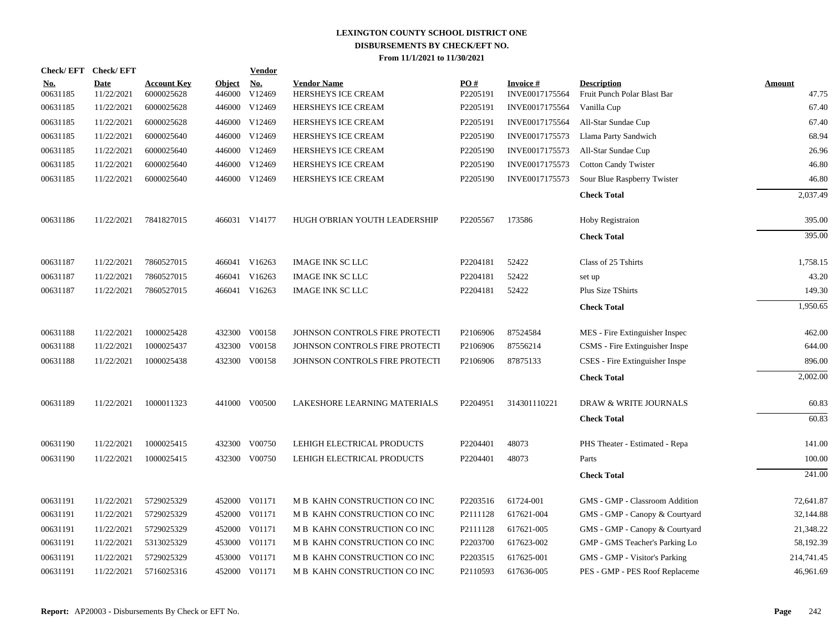|                        | Check/EFT Check/EFT       |                                  |                         | <b>Vendor</b>        |                                          |                 |                                   |                                                   |                        |
|------------------------|---------------------------|----------------------------------|-------------------------|----------------------|------------------------------------------|-----------------|-----------------------------------|---------------------------------------------------|------------------------|
| <u>No.</u><br>00631185 | <b>Date</b><br>11/22/2021 | <b>Account Key</b><br>6000025628 | <b>Object</b><br>446000 | <u>No.</u><br>V12469 | <b>Vendor Name</b><br>HERSHEYS ICE CREAM | PO#<br>P2205191 | <b>Invoice#</b><br>INVE0017175564 | <b>Description</b><br>Fruit Punch Polar Blast Bar | <b>Amount</b><br>47.75 |
| 00631185               | 11/22/2021                | 6000025628                       | 446000                  | V12469               | HERSHEYS ICE CREAM                       | P2205191        | INVE0017175564                    | Vanilla Cup                                       | 67.40                  |
| 00631185               | 11/22/2021                | 6000025628                       | 446000                  | V12469               | HERSHEYS ICE CREAM                       | P2205191        | INVE0017175564                    | All-Star Sundae Cup                               | 67.40                  |
| 00631185               | 11/22/2021                | 6000025640                       | 446000                  | V12469               | HERSHEYS ICE CREAM                       | P2205190        | INVE0017175573                    | Llama Party Sandwich                              | 68.94                  |
| 00631185               | 11/22/2021                | 6000025640                       | 446000                  | V12469               | HERSHEYS ICE CREAM                       | P2205190        | INVE0017175573                    | All-Star Sundae Cup                               | 26.96                  |
| 00631185               | 11/22/2021                | 6000025640                       | 446000                  | V12469               | HERSHEYS ICE CREAM                       | P2205190        | INVE0017175573                    | <b>Cotton Candy Twister</b>                       | 46.80                  |
| 00631185               | 11/22/2021                | 6000025640                       |                         | 446000 V12469        | HERSHEYS ICE CREAM                       | P2205190        | INVE0017175573                    | Sour Blue Raspberry Twister                       | 46.80                  |
|                        |                           |                                  |                         |                      |                                          |                 |                                   | <b>Check Total</b>                                | 2,037.49               |
| 00631186               | 11/22/2021                | 7841827015                       |                         | 466031 V14177        | HUGH O'BRIAN YOUTH LEADERSHIP            | P2205567        | 173586                            | Hoby Registraion                                  | 395.00                 |
|                        |                           |                                  |                         |                      |                                          |                 |                                   | <b>Check Total</b>                                | 395.00                 |
| 00631187               | 11/22/2021                | 7860527015                       |                         | 466041 V16263        | <b>IMAGE INK SC LLC</b>                  | P2204181        | 52422                             | Class of 25 Tshirts                               | 1,758.15               |
| 00631187               | 11/22/2021                | 7860527015                       |                         | 466041 V16263        | <b>IMAGE INK SC LLC</b>                  | P2204181        | 52422                             | set up                                            | 43.20                  |
| 00631187               | 11/22/2021                | 7860527015                       |                         | 466041 V16263        | <b>IMAGE INK SC LLC</b>                  | P2204181        | 52422                             | Plus Size TShirts                                 | 149.30                 |
|                        |                           |                                  |                         |                      |                                          |                 |                                   | <b>Check Total</b>                                | 1,950.65               |
| 00631188               | 11/22/2021                | 1000025428                       |                         | 432300 V00158        | JOHNSON CONTROLS FIRE PROTECTI           | P2106906        | 87524584                          | MES - Fire Extinguisher Inspec                    | 462.00                 |
| 00631188               | 11/22/2021                | 1000025437                       |                         | 432300 V00158        | JOHNSON CONTROLS FIRE PROTECTI           | P2106906        | 87556214                          | CSMS - Fire Extinguisher Inspe                    | 644.00                 |
| 00631188               | 11/22/2021                | 1000025438                       |                         | 432300 V00158        | JOHNSON CONTROLS FIRE PROTECTI           | P2106906        | 87875133                          | CSES - Fire Extinguisher Inspe                    | 896.00                 |
|                        |                           |                                  |                         |                      |                                          |                 |                                   | <b>Check Total</b>                                | 2,002.00               |
| 00631189               | 11/22/2021                | 1000011323                       |                         | 441000 V00500        | LAKESHORE LEARNING MATERIALS             | P2204951        | 314301110221                      | <b>DRAW &amp; WRITE JOURNALS</b>                  | 60.83                  |
|                        |                           |                                  |                         |                      |                                          |                 |                                   | <b>Check Total</b>                                | 60.83                  |
| 00631190               | 11/22/2021                | 1000025415                       |                         | 432300 V00750        | LEHIGH ELECTRICAL PRODUCTS               | P2204401        | 48073                             | PHS Theater - Estimated - Repa                    | 141.00                 |
| 00631190               | 11/22/2021                | 1000025415                       | 432300                  | V00750               | LEHIGH ELECTRICAL PRODUCTS               | P2204401        | 48073                             | Parts                                             | 100.00                 |
|                        |                           |                                  |                         |                      |                                          |                 |                                   | <b>Check Total</b>                                | 241.00                 |
| 00631191               | 11/22/2021                | 5729025329                       |                         | 452000 V01171        | M B KAHN CONSTRUCTION CO INC             | P2203516        | 61724-001                         | GMS - GMP - Classroom Addition                    | 72,641.87              |
| 00631191               | 11/22/2021                | 5729025329                       |                         | 452000 V01171        | M B KAHN CONSTRUCTION CO INC             | P2111128        | 617621-004                        | GMS - GMP - Canopy & Courtyard                    | 32,144.88              |
| 00631191               | 11/22/2021                | 5729025329                       | 452000                  | V01171               | M B KAHN CONSTRUCTION CO INC             | P2111128        | 617621-005                        | GMS - GMP - Canopy & Courtyard                    | 21,348.22              |
| 00631191               | 11/22/2021                | 5313025329                       | 453000                  | V01171               | M B KAHN CONSTRUCTION CO INC             | P2203700        | 617623-002                        | GMP - GMS Teacher's Parking Lo                    | 58,192.39              |
| 00631191               | 11/22/2021                | 5729025329                       | 453000                  | V01171               | M B KAHN CONSTRUCTION CO INC             | P2203515        | 617625-001                        | GMS - GMP - Visitor's Parking                     | 214,741.45             |
| 00631191               | 11/22/2021                | 5716025316                       |                         | 452000 V01171        | M B KAHN CONSTRUCTION CO INC             | P2110593        | 617636-005                        | PES - GMP - PES Roof Replaceme                    | 46,961.69              |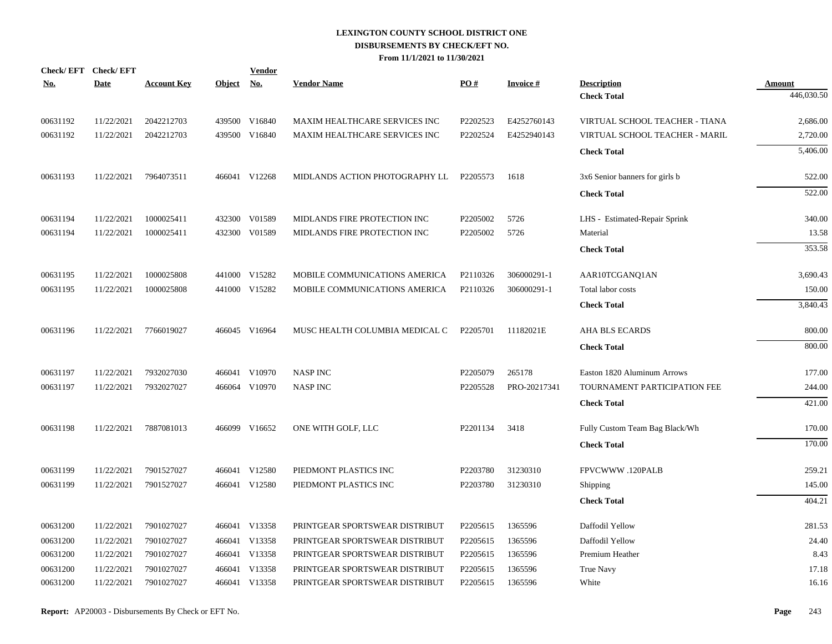| No.      | Check/EFT Check/EFT<br><b>Date</b> | <b>Account Key</b> | <b>Object</b> | <b>Vendor</b><br><u>No.</u> | <b>Vendor Name</b>             | PO#      | <b>Invoice#</b> | <b>Description</b>             | Amount     |
|----------|------------------------------------|--------------------|---------------|-----------------------------|--------------------------------|----------|-----------------|--------------------------------|------------|
|          |                                    |                    |               |                             |                                |          |                 | <b>Check Total</b>             | 446,030.50 |
| 00631192 | 11/22/2021                         | 2042212703         |               | 439500 V16840               | MAXIM HEALTHCARE SERVICES INC  | P2202523 | E4252760143     | VIRTUAL SCHOOL TEACHER - TIANA | 2,686.00   |
| 00631192 | 11/22/2021                         | 2042212703         |               | 439500 V16840               | MAXIM HEALTHCARE SERVICES INC  | P2202524 | E4252940143     | VIRTUAL SCHOOL TEACHER - MARIL | 2,720.00   |
|          |                                    |                    |               |                             |                                |          |                 | <b>Check Total</b>             | 5,406.00   |
| 00631193 | 11/22/2021                         | 7964073511         |               | 466041 V12268               | MIDLANDS ACTION PHOTOGRAPHY LL | P2205573 | 1618            | 3x6 Senior banners for girls b | 522.00     |
|          |                                    |                    |               |                             |                                |          |                 | <b>Check Total</b>             | 522.00     |
| 00631194 | 11/22/2021                         | 1000025411         |               | 432300 V01589               | MIDLANDS FIRE PROTECTION INC   | P2205002 | 5726            | LHS - Estimated-Repair Sprink  | 340.00     |
| 00631194 | 11/22/2021                         | 1000025411         |               | 432300 V01589               | MIDLANDS FIRE PROTECTION INC   | P2205002 | 5726            | Material                       | 13.58      |
|          |                                    |                    |               |                             |                                |          |                 | <b>Check Total</b>             | 353.58     |
| 00631195 | 11/22/2021                         | 1000025808         |               | 441000 V15282               | MOBILE COMMUNICATIONS AMERICA  | P2110326 | 306000291-1     | AAR10TCGANQ1AN                 | 3,690.43   |
| 00631195 | 11/22/2021                         | 1000025808         |               | 441000 V15282               | MOBILE COMMUNICATIONS AMERICA  | P2110326 | 306000291-1     | Total labor costs              | 150.00     |
|          |                                    |                    |               |                             |                                |          |                 | <b>Check Total</b>             | 3,840.43   |
| 00631196 | 11/22/2021                         | 7766019027         |               | 466045 V16964               | MUSC HEALTH COLUMBIA MEDICAL C | P2205701 | 11182021E       | AHA BLS ECARDS                 | 800.00     |
|          |                                    |                    |               |                             |                                |          |                 | <b>Check Total</b>             | 800.00     |
| 00631197 | 11/22/2021                         | 7932027030         |               | 466041 V10970               | <b>NASP INC</b>                | P2205079 | 265178          | Easton 1820 Aluminum Arrows    | 177.00     |
| 00631197 | 11/22/2021                         | 7932027027         |               | 466064 V10970               | <b>NASP INC</b>                | P2205528 | PRO-20217341    | TOURNAMENT PARTICIPATION FEE   | 244.00     |
|          |                                    |                    |               |                             |                                |          |                 | <b>Check Total</b>             | 421.00     |
| 00631198 | 11/22/2021                         | 7887081013         |               | 466099 V16652               | ONE WITH GOLF, LLC             | P2201134 | 3418            | Fully Custom Team Bag Black/Wh | 170.00     |
|          |                                    |                    |               |                             |                                |          |                 | <b>Check Total</b>             | 170.00     |
| 00631199 | 11/22/2021                         | 7901527027         |               | 466041 V12580               | PIEDMONT PLASTICS INC          | P2203780 | 31230310        | FPVCWWW .120PALB               | 259.21     |
| 00631199 | 11/22/2021                         | 7901527027         |               | 466041 V12580               | PIEDMONT PLASTICS INC          | P2203780 | 31230310        | Shipping                       | 145.00     |
|          |                                    |                    |               |                             |                                |          |                 | <b>Check Total</b>             | 404.21     |
| 00631200 | 11/22/2021                         | 7901027027         |               | 466041 V13358               | PRINTGEAR SPORTSWEAR DISTRIBUT | P2205615 | 1365596         | Daffodil Yellow                | 281.53     |
| 00631200 | 11/22/2021                         | 7901027027         |               | 466041 V13358               | PRINTGEAR SPORTSWEAR DISTRIBUT | P2205615 | 1365596         | Daffodil Yellow                | 24.40      |
| 00631200 | 11/22/2021                         | 7901027027         |               | 466041 V13358               | PRINTGEAR SPORTSWEAR DISTRIBUT | P2205615 | 1365596         | Premium Heather                | 8.43       |
| 00631200 | 11/22/2021                         | 7901027027         | 466041        | V13358                      | PRINTGEAR SPORTSWEAR DISTRIBUT | P2205615 | 1365596         | True Navy                      | 17.18      |
| 00631200 | 11/22/2021                         | 7901027027         |               | 466041 V13358               | PRINTGEAR SPORTSWEAR DISTRIBUT | P2205615 | 1365596         | White                          | 16.16      |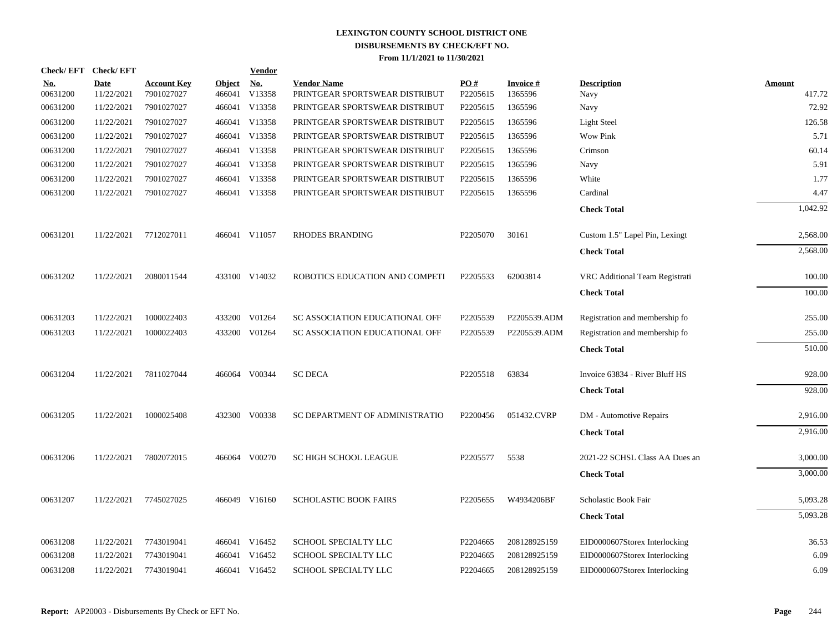| <b>Check/EFT</b>       | <b>Check/EFT</b>          |                                  |                         | <b>Vendor</b>        |                                                      |                 |                            |                                 |                         |
|------------------------|---------------------------|----------------------------------|-------------------------|----------------------|------------------------------------------------------|-----------------|----------------------------|---------------------------------|-------------------------|
| <u>No.</u><br>00631200 | <b>Date</b><br>11/22/2021 | <b>Account Key</b><br>7901027027 | <u>Object</u><br>466041 | <u>No.</u><br>V13358 | <b>Vendor Name</b><br>PRINTGEAR SPORTSWEAR DISTRIBUT | PO#<br>P2205615 | <b>Invoice#</b><br>1365596 | <b>Description</b><br>Navy      | <b>Amount</b><br>417.72 |
| 00631200               | 11/22/2021                | 7901027027                       | 466041                  | V13358               | PRINTGEAR SPORTSWEAR DISTRIBUT                       | P2205615        | 1365596                    | Navy                            | 72.92                   |
| 00631200               | 11/22/2021                | 7901027027                       |                         | 466041 V13358        | PRINTGEAR SPORTSWEAR DISTRIBUT                       | P2205615        | 1365596                    | Light Steel                     | 126.58                  |
| 00631200               | 11/22/2021                | 7901027027                       |                         | 466041 V13358        | PRINTGEAR SPORTSWEAR DISTRIBUT                       | P2205615        | 1365596                    | <b>Wow Pink</b>                 | 5.71                    |
| 00631200               | 11/22/2021                | 7901027027                       |                         | 466041 V13358        | PRINTGEAR SPORTSWEAR DISTRIBUT                       | P2205615        | 1365596                    | Crimson                         | 60.14                   |
| 00631200               | 11/22/2021                | 7901027027                       |                         | 466041 V13358        | PRINTGEAR SPORTSWEAR DISTRIBUT                       | P2205615        | 1365596                    | Navy                            | 5.91                    |
| 00631200               | 11/22/2021                | 7901027027                       |                         | 466041 V13358        | PRINTGEAR SPORTSWEAR DISTRIBUT                       | P2205615        | 1365596                    | White                           | 1.77                    |
| 00631200               | 11/22/2021                | 7901027027                       |                         | 466041 V13358        | PRINTGEAR SPORTSWEAR DISTRIBUT                       | P2205615        | 1365596                    | Cardinal                        | 4.47                    |
|                        |                           |                                  |                         |                      |                                                      |                 |                            | <b>Check Total</b>              | 1,042.92                |
| 00631201               | 11/22/2021                | 7712027011                       |                         | 466041 V11057        | <b>RHODES BRANDING</b>                               | P2205070        | 30161                      | Custom 1.5" Lapel Pin, Lexingt  | 2,568.00                |
|                        |                           |                                  |                         |                      |                                                      |                 |                            | <b>Check Total</b>              | 2,568.00                |
| 00631202               | 11/22/2021                | 2080011544                       |                         | 433100 V14032        | ROBOTICS EDUCATION AND COMPETI                       | P2205533        | 62003814                   | VRC Additional Team Registrati  | 100.00                  |
|                        |                           |                                  |                         |                      |                                                      |                 |                            | <b>Check Total</b>              | 100.00                  |
| 00631203               | 11/22/2021                | 1000022403                       |                         | 433200 V01264        | SC ASSOCIATION EDUCATIONAL OFF                       | P2205539        | P2205539.ADM               | Registration and membership for | 255.00                  |
| 00631203               | 11/22/2021                | 1000022403                       | 433200                  | V01264               | SC ASSOCIATION EDUCATIONAL OFF                       | P2205539        | P2205539.ADM               | Registration and membership for | 255.00                  |
|                        |                           |                                  |                         |                      |                                                      |                 |                            | <b>Check Total</b>              | 510.00                  |
| 00631204               | 11/22/2021                | 7811027044                       |                         | 466064 V00344        | <b>SC DECA</b>                                       | P2205518        | 63834                      | Invoice 63834 - River Bluff HS  | 928.00                  |
|                        |                           |                                  |                         |                      |                                                      |                 |                            | <b>Check Total</b>              | 928.00                  |
| 00631205               | 11/22/2021                | 1000025408                       |                         | 432300 V00338        | SC DEPARTMENT OF ADMINISTRATIO                       | P2200456        | 051432.CVRP                | DM - Automotive Repairs         | 2,916.00                |
|                        |                           |                                  |                         |                      |                                                      |                 |                            | <b>Check Total</b>              | 2,916.00                |
| 00631206               | 11/22/2021                | 7802072015                       |                         | 466064 V00270        | <b>SC HIGH SCHOOL LEAGUE</b>                         | P2205577        | 5538                       | 2021-22 SCHSL Class AA Dues an  | 3,000.00                |
|                        |                           |                                  |                         |                      |                                                      |                 |                            | <b>Check Total</b>              | 3,000.00                |
| 00631207               | 11/22/2021                | 7745027025                       |                         | 466049 V16160        | <b>SCHOLASTIC BOOK FAIRS</b>                         | P2205655        | W4934206BF                 | Scholastic Book Fair            | 5,093.28                |
|                        |                           |                                  |                         |                      |                                                      |                 |                            | <b>Check Total</b>              | 5,093.28                |
| 00631208               | 11/22/2021                | 7743019041                       |                         | 466041 V16452        | SCHOOL SPECIALTY LLC                                 | P2204665        | 208128925159               | EID0000607Storex Interlocking   | 36.53                   |
| 00631208               | 11/22/2021                | 7743019041                       |                         | 466041 V16452        | SCHOOL SPECIALTY LLC                                 | P2204665        | 208128925159               | EID0000607Storex Interlocking   | 6.09                    |
| 00631208               | 11/22/2021                | 7743019041                       |                         | 466041 V16452        | SCHOOL SPECIALTY LLC                                 | P2204665        | 208128925159               | EID0000607Storex Interlocking   | 6.09                    |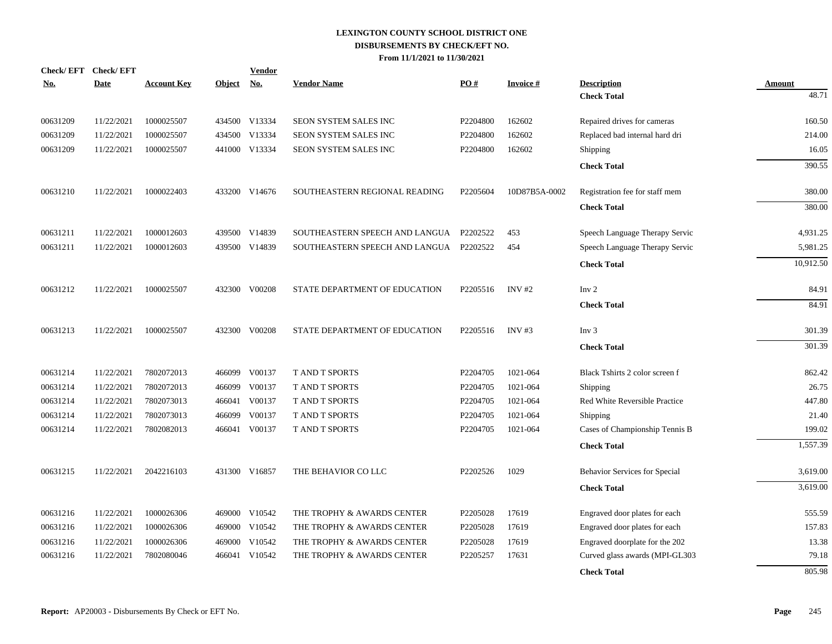|            | Check/EFT Check/EFT |                    |               | <b>Vendor</b> |                                |                      |                 |                                |           |
|------------|---------------------|--------------------|---------------|---------------|--------------------------------|----------------------|-----------------|--------------------------------|-----------|
| <u>No.</u> | <b>Date</b>         | <b>Account Key</b> | <b>Object</b> | <b>No.</b>    | <b>Vendor Name</b>             | PO#                  | <b>Invoice#</b> | <b>Description</b>             | Amount    |
|            |                     |                    |               |               |                                |                      |                 | <b>Check Total</b>             | 48.71     |
| 00631209   | 11/22/2021          | 1000025507         |               | 434500 V13334 | SEON SYSTEM SALES INC          | P2204800             | 162602          | Repaired drives for cameras    | 160.50    |
| 00631209   | 11/22/2021          | 1000025507         | 434500        | V13334        | SEON SYSTEM SALES INC          | P2204800             | 162602          | Replaced bad internal hard dri | 214.00    |
| 00631209   | 11/22/2021          | 1000025507         |               | 441000 V13334 | SEON SYSTEM SALES INC          | P2204800             | 162602          | Shipping                       | 16.05     |
|            |                     |                    |               |               |                                |                      |                 | <b>Check Total</b>             | 390.55    |
| 00631210   | 11/22/2021          | 1000022403         |               | 433200 V14676 | SOUTHEASTERN REGIONAL READING  | P2205604             | 10D87B5A-0002   | Registration fee for staff mem | 380.00    |
|            |                     |                    |               |               |                                |                      |                 | <b>Check Total</b>             | 380.00    |
| 00631211   | 11/22/2021          | 1000012603         |               | 439500 V14839 | SOUTHEASTERN SPEECH AND LANGUA | P2202522             | 453             | Speech Language Therapy Servic | 4,931.25  |
| 00631211   | 11/22/2021          | 1000012603         |               | 439500 V14839 | SOUTHEASTERN SPEECH AND LANGUA | P2202522             | 454             | Speech Language Therapy Servic | 5,981.25  |
|            |                     |                    |               |               |                                |                      |                 | <b>Check Total</b>             | 10,912.50 |
| 00631212   | 11/22/2021          | 1000025507         | 432300        | V00208        | STATE DEPARTMENT OF EDUCATION  | P2205516             | $INV$ #2        | Inv <sub>2</sub>               | 84.91     |
|            |                     |                    |               |               |                                |                      |                 | <b>Check Total</b>             | 84.91     |
| 00631213   | 11/22/2021          | 1000025507         | 432300        | V00208        | STATE DEPARTMENT OF EDUCATION  | P2205516             | INV $#3$        | Inv <sub>3</sub>               | 301.39    |
|            |                     |                    |               |               |                                |                      |                 | <b>Check Total</b>             | 301.39    |
| 00631214   | 11/22/2021          | 7802072013         | 466099        | V00137        | <b>T AND T SPORTS</b>          | P2204705             | 1021-064        | Black Tshirts 2 color screen f | 862.42    |
| 00631214   | 11/22/2021          | 7802072013         | 466099        | V00137        | <b>TAND T SPORTS</b>           | P <sub>2204705</sub> | 1021-064        | Shipping                       | 26.75     |
| 00631214   | 11/22/2021          | 7802073013         |               | 466041 V00137 | <b>T AND T SPORTS</b>          | P2204705             | 1021-064        | Red White Reversible Practice  | 447.80    |
| 00631214   | 11/22/2021          | 7802073013         | 466099        | V00137        | T AND T SPORTS                 | P2204705             | 1021-064        | Shipping                       | 21.40     |
| 00631214   | 11/22/2021          | 7802082013         |               | 466041 V00137 | T AND T SPORTS                 | P2204705             | 1021-064        | Cases of Championship Tennis B | 199.02    |
|            |                     |                    |               |               |                                |                      |                 | <b>Check Total</b>             | 1,557.39  |
| 00631215   | 11/22/2021          | 2042216103         |               | 431300 V16857 | THE BEHAVIOR CO LLC            | P2202526             | 1029            | Behavior Services for Special  | 3,619.00  |
|            |                     |                    |               |               |                                |                      |                 | <b>Check Total</b>             | 3,619.00  |
| 00631216   | 11/22/2021          | 1000026306         |               | 469000 V10542 | THE TROPHY & AWARDS CENTER     | P2205028             | 17619           | Engraved door plates for each  | 555.59    |
| 00631216   | 11/22/2021          | 1000026306         | 469000        | V10542        | THE TROPHY & AWARDS CENTER     | P2205028             | 17619           | Engraved door plates for each  | 157.83    |
| 00631216   | 11/22/2021          | 1000026306         | 469000        | V10542        | THE TROPHY & AWARDS CENTER     | P2205028             | 17619           | Engraved doorplate for the 202 | 13.38     |
| 00631216   | 11/22/2021          | 7802080046         | 466041        | V10542        | THE TROPHY & AWARDS CENTER     | P2205257             | 17631           | Curved glass awards (MPI-GL303 | 79.18     |
|            |                     |                    |               |               |                                |                      |                 | <b>Check Total</b>             | 805.98    |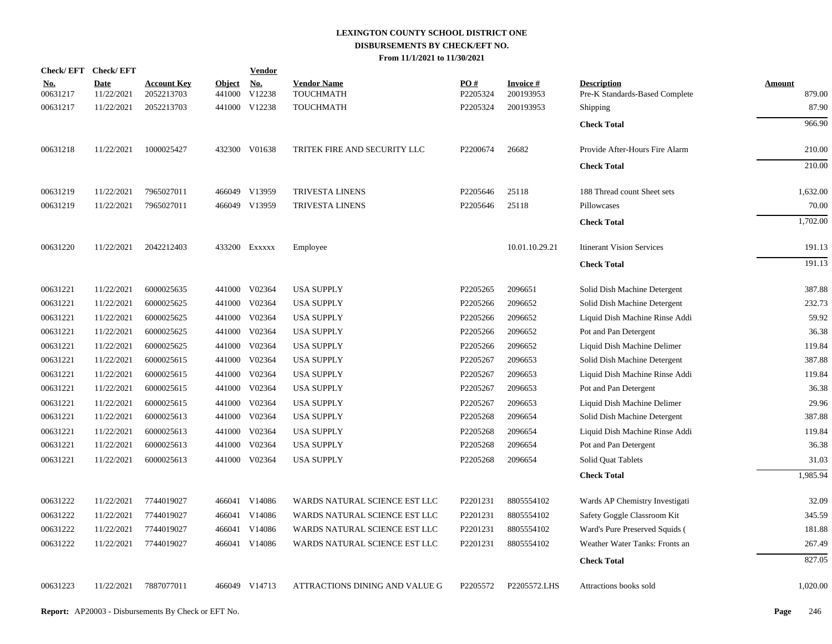|                 | Check/EFT Check/EFT       |                                  |                         | <b>Vendor</b> |                                 |                 |                              |                                                      |                  |
|-----------------|---------------------------|----------------------------------|-------------------------|---------------|---------------------------------|-----------------|------------------------------|------------------------------------------------------|------------------|
| No.<br>00631217 | <b>Date</b><br>11/22/2021 | <b>Account Key</b><br>2052213703 | <b>Object</b><br>441000 | No.<br>V12238 | <b>Vendor Name</b><br>TOUCHMATH | PO#<br>P2205324 | <b>Invoice#</b><br>200193953 | <b>Description</b><br>Pre-K Standards-Based Complete | Amount<br>879.00 |
| 00631217        | 11/22/2021                | 2052213703                       |                         | 441000 V12238 | TOUCHMATH                       | P2205324        | 200193953                    | Shipping                                             | 87.90            |
|                 |                           |                                  |                         |               |                                 |                 |                              | <b>Check Total</b>                                   | 966.90           |
| 00631218        | 11/22/2021                | 1000025427                       |                         | 432300 V01638 | TRITEK FIRE AND SECURITY LLC    | P2200674        | 26682                        | Provide After-Hours Fire Alarm                       | 210.00           |
|                 |                           |                                  |                         |               |                                 |                 |                              | <b>Check Total</b>                                   | 210.00           |
| 00631219        | 11/22/2021                | 7965027011                       |                         | 466049 V13959 | TRIVESTA LINENS                 | P2205646        | 25118                        | 188 Thread count Sheet sets                          | 1,632.00         |
| 00631219        | 11/22/2021                | 7965027011                       |                         | 466049 V13959 | TRIVESTA LINENS                 | P2205646        | 25118                        | Pillowcases                                          | 70.00            |
|                 |                           |                                  |                         |               |                                 |                 |                              | <b>Check Total</b>                                   | 1,702.00         |
| 00631220        | 11/22/2021                | 2042212403                       |                         | 433200 Exxxxx | Employee                        |                 | 10.01.10.29.21               | <b>Itinerant Vision Services</b>                     | 191.13           |
|                 |                           |                                  |                         |               |                                 |                 |                              | <b>Check Total</b>                                   | 191.13           |
| 00631221        | 11/22/2021                | 6000025635                       |                         | 441000 V02364 | <b>USA SUPPLY</b>               | P2205265        | 2096651                      | Solid Dish Machine Detergent                         | 387.88           |
| 00631221        | 11/22/2021                | 6000025625                       |                         | 441000 V02364 | <b>USA SUPPLY</b>               | P2205266        | 2096652                      | Solid Dish Machine Detergent                         | 232.73           |
| 00631221        | 11/22/2021                | 6000025625                       | 441000                  | V02364        | <b>USA SUPPLY</b>               | P2205266        | 2096652                      | Liquid Dish Machine Rinse Addi                       | 59.92            |
| 00631221        | 11/22/2021                | 6000025625                       |                         | 441000 V02364 | <b>USA SUPPLY</b>               | P2205266        | 2096652                      | Pot and Pan Detergent                                | 36.38            |
| 00631221        | 11/22/2021                | 6000025625                       | 441000                  | V02364        | <b>USA SUPPLY</b>               | P2205266        | 2096652                      | Liquid Dish Machine Delimer                          | 119.84           |
| 00631221        | 11/22/2021                | 6000025615                       |                         | 441000 V02364 | <b>USA SUPPLY</b>               | P2205267        | 2096653                      | Solid Dish Machine Detergent                         | 387.88           |
| 00631221        | 11/22/2021                | 6000025615                       |                         | 441000 V02364 | <b>USA SUPPLY</b>               | P2205267        | 2096653                      | Liquid Dish Machine Rinse Addi                       | 119.84           |
| 00631221        | 11/22/2021                | 6000025615                       |                         | 441000 V02364 | <b>USA SUPPLY</b>               | P2205267        | 2096653                      | Pot and Pan Detergent                                | 36.38            |
| 00631221        | 11/22/2021                | 6000025615                       |                         | 441000 V02364 | <b>USA SUPPLY</b>               | P2205267        | 2096653                      | Liquid Dish Machine Delimer                          | 29.96            |
| 00631221        | 11/22/2021                | 6000025613                       |                         | 441000 V02364 | <b>USA SUPPLY</b>               | P2205268        | 2096654                      | Solid Dish Machine Detergent                         | 387.88           |
| 00631221        | 11/22/2021                | 6000025613                       |                         | 441000 V02364 | <b>USA SUPPLY</b>               | P2205268        | 2096654                      | Liquid Dish Machine Rinse Addi                       | 119.84           |
| 00631221        | 11/22/2021                | 6000025613                       | 441000                  | V02364        | <b>USA SUPPLY</b>               | P2205268        | 2096654                      | Pot and Pan Detergent                                | 36.38            |
| 00631221        | 11/22/2021                | 6000025613                       |                         | 441000 V02364 | <b>USA SUPPLY</b>               | P2205268        | 2096654                      | Solid Quat Tablets                                   | 31.03            |
|                 |                           |                                  |                         |               |                                 |                 |                              | <b>Check Total</b>                                   | 1,985.94         |
| 00631222        | 11/22/2021                | 7744019027                       |                         | 466041 V14086 | WARDS NATURAL SCIENCE EST LLC   | P2201231        | 8805554102                   | Wards AP Chemistry Investigati                       | 32.09            |
| 00631222        | 11/22/2021                | 7744019027                       | 466041                  | V14086        | WARDS NATURAL SCIENCE EST LLC   | P2201231        | 8805554102                   | Safety Goggle Classroom Kit                          | 345.59           |
| 00631222        | 11/22/2021                | 7744019027                       | 466041                  | V14086        | WARDS NATURAL SCIENCE EST LLC   | P2201231        | 8805554102                   | Ward's Pure Preserved Squids (                       | 181.88           |
| 00631222        | 11/22/2021                | 7744019027                       |                         | 466041 V14086 | WARDS NATURAL SCIENCE EST LLC   | P2201231        | 8805554102                   | Weather Water Tanks: Fronts an                       | 267.49           |
|                 |                           |                                  |                         |               |                                 |                 |                              | <b>Check Total</b>                                   | 827.05           |
| 00631223        | 11/22/2021                | 7887077011                       |                         | 466049 V14713 | ATTRACTIONS DINING AND VALUE G  | P2205572        | P2205572.LHS                 | Attractions books sold                               | 1,020.00         |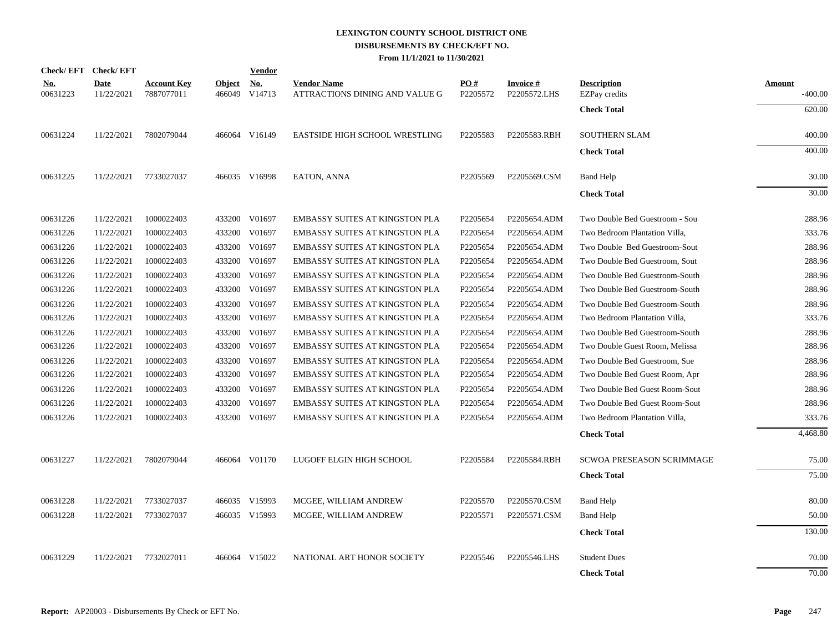|                        | Check/EFT Check/EFT       |                                  |                         | <b>Vendor</b> |                                                      |                 |                                 |                                            |                     |
|------------------------|---------------------------|----------------------------------|-------------------------|---------------|------------------------------------------------------|-----------------|---------------------------------|--------------------------------------------|---------------------|
| <u>No.</u><br>00631223 | <b>Date</b><br>11/22/2021 | <b>Account Key</b><br>7887077011 | <b>Object</b><br>466049 | No.<br>V14713 | <b>Vendor Name</b><br>ATTRACTIONS DINING AND VALUE G | PO#<br>P2205572 | <b>Invoice#</b><br>P2205572.LHS | <b>Description</b><br><b>EZPay</b> credits | Amount<br>$-400.00$ |
|                        |                           |                                  |                         |               |                                                      |                 |                                 | <b>Check Total</b>                         | 620.00              |
| 00631224               | 11/22/2021                | 7802079044                       |                         | 466064 V16149 | <b>EASTSIDE HIGH SCHOOL WRESTLING</b>                | P2205583        | P2205583.RBH                    | <b>SOUTHERN SLAM</b>                       | 400.00              |
|                        |                           |                                  |                         |               |                                                      |                 |                                 | <b>Check Total</b>                         | 400.00              |
| 00631225               | 11/22/2021                | 7733027037                       |                         | 466035 V16998 | EATON, ANNA                                          | P2205569        | P2205569.CSM                    | <b>Band Help</b>                           | 30.00               |
|                        |                           |                                  |                         |               |                                                      |                 |                                 | <b>Check Total</b>                         | 30.00               |
| 00631226               | 11/22/2021                | 1000022403                       |                         | 433200 V01697 | <b>EMBASSY SUITES AT KINGSTON PLA</b>                | P2205654        | P2205654.ADM                    | Two Double Bed Guestroom - Sou             | 288.96              |
| 00631226               | 11/22/2021                | 1000022403                       |                         | 433200 V01697 | EMBASSY SUITES AT KINGSTON PLA                       | P2205654        | P2205654.ADM                    | Two Bedroom Plantation Villa,              | 333.76              |
| 00631226               | 11/22/2021                | 1000022403                       |                         | 433200 V01697 | EMBASSY SUITES AT KINGSTON PLA                       | P2205654        | P2205654.ADM                    | Two Double Bed Guestroom-Sout              | 288.96              |
| 00631226               | 11/22/2021                | 1000022403                       |                         | 433200 V01697 | EMBASSY SUITES AT KINGSTON PLA                       | P2205654        | P2205654.ADM                    | Two Double Bed Guestroom, Sout             | 288.96              |
| 00631226               | 11/22/2021                | 1000022403                       |                         | 433200 V01697 | EMBASSY SUITES AT KINGSTON PLA                       | P2205654        | P2205654.ADM                    | Two Double Bed Guestroom-South             | 288.96              |
| 00631226               | 11/22/2021                | 1000022403                       |                         | 433200 V01697 | <b>EMBASSY SUITES AT KINGSTON PLA</b>                | P2205654        | P2205654.ADM                    | Two Double Bed Guestroom-South             | 288.96              |
| 00631226               | 11/22/2021                | 1000022403                       |                         | 433200 V01697 | EMBASSY SUITES AT KINGSTON PLA                       | P2205654        | P2205654.ADM                    | Two Double Bed Guestroom-South             | 288.96              |
| 00631226               | 11/22/2021                | 1000022403                       |                         | 433200 V01697 | EMBASSY SUITES AT KINGSTON PLA                       | P2205654        | P2205654.ADM                    | Two Bedroom Plantation Villa,              | 333.76              |
| 00631226               | 11/22/2021                | 1000022403                       |                         | 433200 V01697 | EMBASSY SUITES AT KINGSTON PLA                       | P2205654        | P2205654.ADM                    | Two Double Bed Guestroom-South             | 288.96              |
| 00631226               | 11/22/2021                | 1000022403                       | 433200                  | V01697        | EMBASSY SUITES AT KINGSTON PLA                       | P2205654        | P2205654.ADM                    | Two Double Guest Room, Melissa             | 288.96              |
| 00631226               | 11/22/2021                | 1000022403                       |                         | 433200 V01697 | <b>EMBASSY SUITES AT KINGSTON PLA</b>                | P2205654        | P2205654.ADM                    | Two Double Bed Guestroom, Sue              | 288.96              |
| 00631226               | 11/22/2021                | 1000022403                       |                         | 433200 V01697 | EMBASSY SUITES AT KINGSTON PLA                       | P2205654        | P2205654.ADM                    | Two Double Bed Guest Room, Apr             | 288.96              |
| 00631226               | 11/22/2021                | 1000022403                       |                         | 433200 V01697 | EMBASSY SUITES AT KINGSTON PLA                       | P2205654        | P2205654.ADM                    | Two Double Bed Guest Room-Sout             | 288.96              |
| 00631226               | 11/22/2021                | 1000022403                       |                         | 433200 V01697 | EMBASSY SUITES AT KINGSTON PLA                       | P2205654        | P2205654.ADM                    | Two Double Bed Guest Room-Sout             | 288.96              |
| 00631226               | 11/22/2021                | 1000022403                       |                         | 433200 V01697 | EMBASSY SUITES AT KINGSTON PLA                       | P2205654        | P2205654.ADM                    | Two Bedroom Plantation Villa,              | 333.76              |
|                        |                           |                                  |                         |               |                                                      |                 |                                 | <b>Check Total</b>                         | 4,468.80            |
| 00631227               | 11/22/2021                | 7802079044                       |                         | 466064 V01170 | LUGOFF ELGIN HIGH SCHOOL                             | P2205584        | P2205584.RBH                    | SCWOA PRESEASON SCRIMMAGE                  | 75.00               |
|                        |                           |                                  |                         |               |                                                      |                 |                                 | <b>Check Total</b>                         | 75.00               |
| 00631228               | 11/22/2021                | 7733027037                       |                         | 466035 V15993 | MCGEE, WILLIAM ANDREW                                | P2205570        | P2205570.CSM                    | <b>Band Help</b>                           | 80.00               |
| 00631228               | 11/22/2021                | 7733027037                       |                         | 466035 V15993 | MCGEE, WILLIAM ANDREW                                | P2205571        | P2205571.CSM                    | <b>Band Help</b>                           | 50.00               |
|                        |                           |                                  |                         |               |                                                      |                 |                                 | <b>Check Total</b>                         | 130.00              |
| 00631229               | 11/22/2021                | 7732027011                       | 466064                  | V15022        | NATIONAL ART HONOR SOCIETY                           | P2205546        | P2205546.LHS                    | <b>Student Dues</b>                        | 70.00               |
|                        |                           |                                  |                         |               |                                                      |                 |                                 | <b>Check Total</b>                         | 70.00               |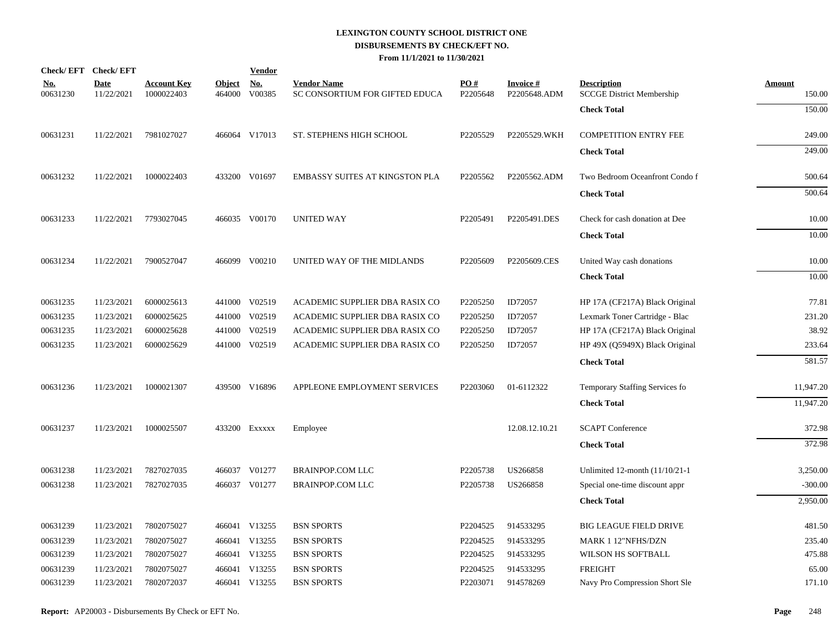| Check/EFT Check/EFT    |                           |                                  |                         | <b>Vendor</b>        |                                                      |                 |                                 |                                                        |                         |
|------------------------|---------------------------|----------------------------------|-------------------------|----------------------|------------------------------------------------------|-----------------|---------------------------------|--------------------------------------------------------|-------------------------|
| <u>No.</u><br>00631230 | <b>Date</b><br>11/22/2021 | <b>Account Key</b><br>1000022403 | <b>Object</b><br>464000 | <u>No.</u><br>V00385 | <b>Vendor Name</b><br>SC CONSORTIUM FOR GIFTED EDUCA | PO#<br>P2205648 | <b>Invoice#</b><br>P2205648.ADM | <b>Description</b><br><b>SCCGE District Membership</b> | <b>Amount</b><br>150.00 |
|                        |                           |                                  |                         |                      |                                                      |                 |                                 | <b>Check Total</b>                                     | 150.00                  |
| 00631231               | 11/22/2021                | 7981027027                       |                         | 466064 V17013        | ST. STEPHENS HIGH SCHOOL                             | P2205529        | P2205529.WKH                    | <b>COMPETITION ENTRY FEE</b>                           | 249.00                  |
|                        |                           |                                  |                         |                      |                                                      |                 |                                 | <b>Check Total</b>                                     | 249.00                  |
| 00631232               | 11/22/2021                | 1000022403                       |                         | 433200 V01697        | EMBASSY SUITES AT KINGSTON PLA                       | P2205562        | P2205562.ADM                    | Two Bedroom Oceanfront Condo f                         | 500.64                  |
|                        |                           |                                  |                         |                      |                                                      |                 |                                 | <b>Check Total</b>                                     | 500.64                  |
| 00631233               | 11/22/2021                | 7793027045                       |                         | 466035 V00170        | <b>UNITED WAY</b>                                    | P2205491        | P2205491.DES                    | Check for cash donation at Dee                         | 10.00                   |
|                        |                           |                                  |                         |                      |                                                      |                 |                                 | <b>Check Total</b>                                     | 10.00                   |
| 00631234               | 11/22/2021                | 7900527047                       |                         | 466099 V00210        | UNITED WAY OF THE MIDLANDS                           | P2205609        | P2205609.CES                    | United Way cash donations                              | 10.00                   |
|                        |                           |                                  |                         |                      |                                                      |                 |                                 | <b>Check Total</b>                                     | 10.00                   |
| 00631235               | 11/23/2021                | 6000025613                       |                         | 441000 V02519        | ACADEMIC SUPPLIER DBA RASIX CO                       | P2205250        | ID72057                         | HP 17A (CF217A) Black Original                         | 77.81                   |
| 00631235               | 11/23/2021                | 6000025625                       |                         | 441000 V02519        | ACADEMIC SUPPLIER DBA RASIX CO                       | P2205250        | ID72057                         | Lexmark Toner Cartridge - Blac                         | 231.20                  |
| 00631235               | 11/23/2021                | 6000025628                       |                         | 441000 V02519        | ACADEMIC SUPPLIER DBA RASIX CO                       | P2205250        | ID72057                         | HP 17A (CF217A) Black Original                         | 38.92                   |
| 00631235               | 11/23/2021                | 6000025629                       |                         | 441000 V02519        | ACADEMIC SUPPLIER DBA RASIX CO                       | P2205250        | ID72057                         | HP 49X (Q5949X) Black Original                         | 233.64                  |
|                        |                           |                                  |                         |                      |                                                      |                 |                                 | <b>Check Total</b>                                     | 581.57                  |
| 00631236               | 11/23/2021                | 1000021307                       |                         | 439500 V16896        | APPLEONE EMPLOYMENT SERVICES                         | P2203060        | 01-6112322                      | Temporary Staffing Services fo                         | 11,947.20               |
|                        |                           |                                  |                         |                      |                                                      |                 |                                 | <b>Check Total</b>                                     | 11,947.20               |
| 00631237               | 11/23/2021                | 1000025507                       |                         | 433200 Exxxxx        | Employee                                             |                 | 12.08.12.10.21                  | <b>SCAPT</b> Conference                                | 372.98                  |
|                        |                           |                                  |                         |                      |                                                      |                 |                                 | <b>Check Total</b>                                     | 372.98                  |
| 00631238               | 11/23/2021                | 7827027035                       |                         | 466037 V01277        | <b>BRAINPOP.COM LLC</b>                              | P2205738        | US266858                        | Unlimited 12-month (11/10/21-1                         | 3,250.00                |
| 00631238               | 11/23/2021                | 7827027035                       |                         | 466037 V01277        | <b>BRAINPOP.COM LLC</b>                              | P2205738        | US266858                        | Special one-time discount appr                         | $-300.00$               |
|                        |                           |                                  |                         |                      |                                                      |                 |                                 | <b>Check Total</b>                                     | 2,950.00                |
| 00631239               | 11/23/2021                | 7802075027                       |                         | 466041 V13255        | <b>BSN SPORTS</b>                                    | P2204525        | 914533295                       | <b>BIG LEAGUE FIELD DRIVE</b>                          | 481.50                  |
| 00631239               | 11/23/2021                | 7802075027                       |                         | 466041 V13255        | <b>BSN SPORTS</b>                                    | P2204525        | 914533295                       | MARK 1 12"NFHS/DZN                                     | 235.40                  |
| 00631239               | 11/23/2021                | 7802075027                       |                         | 466041 V13255        | <b>BSN SPORTS</b>                                    | P2204525        | 914533295                       | WILSON HS SOFTBALL                                     | 475.88                  |
| 00631239               | 11/23/2021                | 7802075027                       |                         | 466041 V13255        | <b>BSN SPORTS</b>                                    | P2204525        | 914533295                       | <b>FREIGHT</b>                                         | 65.00                   |
| 00631239               | 11/23/2021                | 7802072037                       |                         | 466041 V13255        | <b>BSN SPORTS</b>                                    | P2203071        | 914578269                       | Navy Pro Compression Short Sle                         | 171.10                  |
|                        |                           |                                  |                         |                      |                                                      |                 |                                 |                                                        |                         |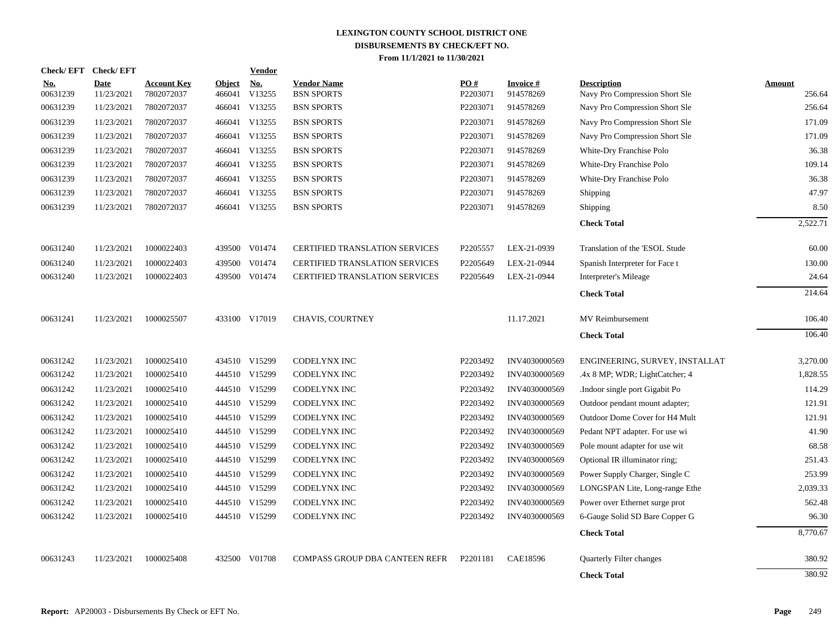| <b>Check/EFT</b>       | <b>Check/EFT</b>          |                                  |                         | <b>Vendor</b>        |                                         |                 |                              |                                                      |                         |
|------------------------|---------------------------|----------------------------------|-------------------------|----------------------|-----------------------------------------|-----------------|------------------------------|------------------------------------------------------|-------------------------|
| <u>No.</u><br>00631239 | <b>Date</b><br>11/23/2021 | <b>Account Key</b><br>7802072037 | <b>Object</b><br>466041 | <u>No.</u><br>V13255 | <b>Vendor Name</b><br><b>BSN SPORTS</b> | PO#<br>P2203071 | <b>Invoice#</b><br>914578269 | <b>Description</b><br>Navy Pro Compression Short Sle | <b>Amount</b><br>256.64 |
| 00631239               | 11/23/2021                | 7802072037                       |                         | 466041 V13255        | <b>BSN SPORTS</b>                       | P2203071        | 914578269                    | Navy Pro Compression Short Sle                       | 256.64                  |
| 00631239               | 11/23/2021                | 7802072037                       |                         | 466041 V13255        | <b>BSN SPORTS</b>                       | P2203071        | 914578269                    | Navy Pro Compression Short Sle                       | 171.09                  |
| 00631239               | 11/23/2021                | 7802072037                       |                         | 466041 V13255        | <b>BSN SPORTS</b>                       | P2203071        | 914578269                    | Navy Pro Compression Short Sle                       | 171.09                  |
| 00631239               | 11/23/2021                | 7802072037                       |                         | 466041 V13255        | <b>BSN SPORTS</b>                       | P2203071        | 914578269                    | White-Dry Franchise Polo                             | 36.38                   |
| 00631239               | 11/23/2021                | 7802072037                       |                         | 466041 V13255        | <b>BSN SPORTS</b>                       | P2203071        | 914578269                    | White-Dry Franchise Polo                             | 109.14                  |
| 00631239               | 11/23/2021                | 7802072037                       |                         | 466041 V13255        | <b>BSN SPORTS</b>                       | P2203071        | 914578269                    | White-Dry Franchise Polo                             | 36.38                   |
| 00631239               | 11/23/2021                | 7802072037                       |                         | 466041 V13255        | <b>BSN SPORTS</b>                       | P2203071        | 914578269                    | <b>Shipping</b>                                      | 47.97                   |
| 00631239               | 11/23/2021                | 7802072037                       |                         | 466041 V13255        | <b>BSN SPORTS</b>                       | P2203071        | 914578269                    | <b>Shipping</b>                                      | 8.50                    |
|                        |                           |                                  |                         |                      |                                         |                 |                              | <b>Check Total</b>                                   | 2,522.71                |
| 00631240               | 11/23/2021                | 1000022403                       |                         | 439500 V01474        | <b>CERTIFIED TRANSLATION SERVICES</b>   | P2205557        | LEX-21-0939                  | Translation of the 'ESOL Stude                       | 60.00                   |
| 00631240               | 11/23/2021                | 1000022403                       | 439500                  | V01474               | <b>CERTIFIED TRANSLATION SERVICES</b>   | P2205649        | LEX-21-0944                  | Spanish Interpreter for Face t                       | 130.00                  |
| 00631240               | 11/23/2021                | 1000022403                       |                         | 439500 V01474        | CERTIFIED TRANSLATION SERVICES          | P2205649        | LEX-21-0944                  | Interpreter's Mileage                                | 24.64                   |
|                        |                           |                                  |                         |                      |                                         |                 |                              | <b>Check Total</b>                                   | 214.64                  |
| 00631241               | 11/23/2021                | 1000025507                       |                         | 433100 V17019        | <b>CHAVIS, COURTNEY</b>                 |                 | 11.17.2021                   | MV Reimbursement                                     | 106.40                  |
|                        |                           |                                  |                         |                      |                                         |                 |                              | <b>Check Total</b>                                   | 106.40                  |
| 00631242               | 11/23/2021                | 1000025410                       |                         | 434510 V15299        | CODELYNX INC                            | P2203492        | INV4030000569                | ENGINEERING, SURVEY, INSTALLAT                       | 3,270.00                |
| 00631242               | 11/23/2021                | 1000025410                       |                         | 444510 V15299        | <b>CODELYNX INC</b>                     | P2203492        | INV4030000569                | .4x 8 MP; WDR; LightCatcher; 4                       | 1,828.55                |
| 00631242               | 11/23/2021                | 1000025410                       |                         | 444510 V15299        | CODELYNX INC                            | P2203492        | INV4030000569                | .Indoor single port Gigabit Po                       | 114.29                  |
| 00631242               | 11/23/2021                | 1000025410                       |                         | 444510 V15299        | CODELYNX INC                            | P2203492        | INV4030000569                | Outdoor pendant mount adapter;                       | 121.91                  |
| 00631242               | 11/23/2021                | 1000025410                       |                         | 444510 V15299        | <b>CODELYNX INC</b>                     | P2203492        | INV4030000569                | Outdoor Dome Cover for H4 Mult                       | 121.91                  |
| 00631242               | 11/23/2021                | 1000025410                       |                         | 444510 V15299        | <b>CODELYNX INC</b>                     | P2203492        | INV4030000569                | Pedant NPT adapter. For use wi                       | 41.90                   |
| 00631242               | 11/23/2021                | 1000025410                       |                         | 444510 V15299        | <b>CODELYNX INC</b>                     | P2203492        | INV4030000569                | Pole mount adapter for use wit                       | 68.58                   |
| 00631242               | 11/23/2021                | 1000025410                       |                         | 444510 V15299        | <b>CODELYNX INC</b>                     | P2203492        | INV4030000569                | Optional IR illuminator ring;                        | 251.43                  |
| 00631242               | 11/23/2021                | 1000025410                       |                         | 444510 V15299        | CODELYNX INC                            | P2203492        | INV4030000569                | Power Supply Charger, Single C                       | 253.99                  |
| 00631242               | 11/23/2021                | 1000025410                       |                         | 444510 V15299        | CODELYNX INC                            | P2203492        | INV4030000569                | LONGSPAN Lite, Long-range Ethe                       | 2,039.33                |
| 00631242               | 11/23/2021                | 1000025410                       |                         | 444510 V15299        | CODELYNX INC                            | P2203492        | INV4030000569                | Power over Ethernet surge prot                       | 562.48                  |
| 00631242               | 11/23/2021                | 1000025410                       |                         | 444510 V15299        | CODELYNX INC                            | P2203492        | INV4030000569                | 6-Gauge Solid SD Bare Copper G                       | 96.30                   |
|                        |                           |                                  |                         |                      |                                         |                 |                              | <b>Check Total</b>                                   | 8,770.67                |
| 00631243               | 11/23/2021                | 1000025408                       |                         | 432500 V01708        | <b>COMPASS GROUP DBA CANTEEN REFR</b>   | P2201181        | CAE18596                     | Quarterly Filter changes                             | 380.92                  |
|                        |                           |                                  |                         |                      |                                         |                 |                              | <b>Check Total</b>                                   | 380.92                  |
|                        |                           |                                  |                         |                      |                                         |                 |                              |                                                      |                         |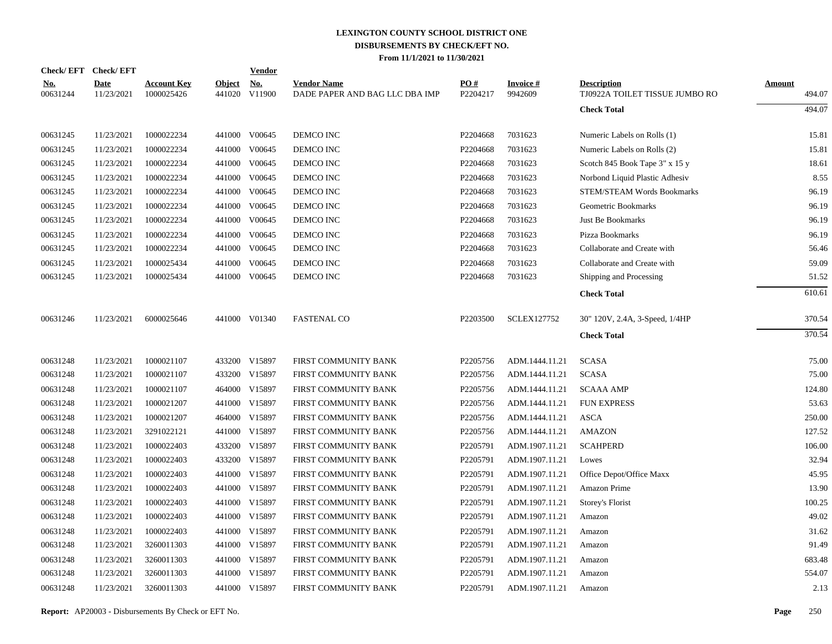|                        | Check/EFT Check/EFT       |                                  |               | <b>Vendor</b>        |                                                      |                 |                      |                                                      |                  |
|------------------------|---------------------------|----------------------------------|---------------|----------------------|------------------------------------------------------|-----------------|----------------------|------------------------------------------------------|------------------|
| <u>No.</u><br>00631244 | <b>Date</b><br>11/23/2021 | <b>Account Key</b><br>1000025426 | <b>Object</b> | No.<br>441020 V11900 | <b>Vendor Name</b><br>DADE PAPER AND BAG LLC DBA IMP | PO#<br>P2204217 | Invoice #<br>9942609 | <b>Description</b><br>TJ0922A TOILET TISSUE JUMBO RO | Amount<br>494.07 |
|                        |                           |                                  |               |                      |                                                      |                 |                      | <b>Check Total</b>                                   | 494.07           |
| 00631245               | 11/23/2021                | 1000022234                       |               | 441000 V00645        | DEMCO INC                                            | P2204668        | 7031623              | Numeric Labels on Rolls (1)                          | 15.81            |
| 00631245               | 11/23/2021                | 1000022234                       |               | 441000 V00645        | DEMCO INC                                            | P2204668        | 7031623              | Numeric Labels on Rolls (2)                          | 15.81            |
| 00631245               | 11/23/2021                | 1000022234                       |               | 441000 V00645        | DEMCO INC                                            | P2204668        | 7031623              | Scotch 845 Book Tape 3" x 15 y                       | 18.61            |
| 00631245               | 11/23/2021                | 1000022234                       |               | 441000 V00645        | DEMCO INC                                            | P2204668        | 7031623              | Norbond Liquid Plastic Adhesiv                       | 8.55             |
| 00631245               | 11/23/2021                | 1000022234                       |               | 441000 V00645        | DEMCO INC                                            | P2204668        | 7031623              | STEM/STEAM Words Bookmarks                           | 96.19            |
| 00631245               | 11/23/2021                | 1000022234                       |               | 441000 V00645        | DEMCO INC                                            | P2204668        | 7031623              | Geometric Bookmarks                                  | 96.19            |
| 00631245               | 11/23/2021                | 1000022234                       |               | 441000 V00645        | DEMCO INC                                            | P2204668        | 7031623              | Just Be Bookmarks                                    | 96.19            |
| 00631245               | 11/23/2021                | 1000022234                       |               | 441000 V00645        | DEMCO INC                                            | P2204668        | 7031623              | Pizza Bookmarks                                      | 96.19            |
| 00631245               | 11/23/2021                | 1000022234                       |               | 441000 V00645        | DEMCO INC                                            | P2204668        | 7031623              | Collaborate and Create with                          | 56.46            |
| 00631245               | 11/23/2021                | 1000025434                       |               | 441000 V00645        | DEMCO INC                                            | P2204668        | 7031623              | Collaborate and Create with                          | 59.09            |
| 00631245               | 11/23/2021                | 1000025434                       |               | 441000 V00645        | DEMCO INC                                            | P2204668        | 7031623              | Shipping and Processing                              | 51.52            |
|                        |                           |                                  |               |                      |                                                      |                 |                      | <b>Check Total</b>                                   | 610.61           |
| 00631246               | 11/23/2021                | 6000025646                       |               | 441000 V01340        | <b>FASTENAL CO</b>                                   | P2203500        | <b>SCLEX127752</b>   | 30" 120V, 2.4A, 3-Speed, 1/4HP                       | 370.54           |
|                        |                           |                                  |               |                      |                                                      |                 |                      | <b>Check Total</b>                                   | 370.54           |
| 00631248               | 11/23/2021                | 1000021107                       |               | 433200 V15897        | FIRST COMMUNITY BANK                                 | P2205756        | ADM.1444.11.21       | <b>SCASA</b>                                         | 75.00            |
| 00631248               | 11/23/2021                | 1000021107                       |               | 433200 V15897        | FIRST COMMUNITY BANK                                 | P2205756        | ADM.1444.11.21       | <b>SCASA</b>                                         | 75.00            |
| 00631248               | 11/23/2021                | 1000021107                       |               | 464000 V15897        | FIRST COMMUNITY BANK                                 | P2205756        | ADM.1444.11.21       | <b>SCAAA AMP</b>                                     | 124.80           |
| 00631248               | 11/23/2021                | 1000021207                       |               | 441000 V15897        | FIRST COMMUNITY BANK                                 | P2205756        | ADM.1444.11.21       | <b>FUN EXPRESS</b>                                   | 53.63            |
| 00631248               | 11/23/2021                | 1000021207                       |               | 464000 V15897        | FIRST COMMUNITY BANK                                 | P2205756        | ADM.1444.11.21       | <b>ASCA</b>                                          | 250.00           |
| 00631248               | 11/23/2021                | 3291022121                       |               | 441000 V15897        | FIRST COMMUNITY BANK                                 | P2205756        | ADM.1444.11.21       | <b>AMAZON</b>                                        | 127.52           |
| 00631248               | 11/23/2021                | 1000022403                       |               | 433200 V15897        | FIRST COMMUNITY BANK                                 | P2205791        | ADM.1907.11.21       | <b>SCAHPERD</b>                                      | 106.00           |
| 00631248               | 11/23/2021                | 1000022403                       |               | 433200 V15897        | FIRST COMMUNITY BANK                                 | P2205791        | ADM.1907.11.21       | Lowes                                                | 32.94            |
| 00631248               | 11/23/2021                | 1000022403                       |               | 441000 V15897        | FIRST COMMUNITY BANK                                 | P2205791        | ADM.1907.11.21       | Office Depot/Office Maxx                             | 45.95            |
| 00631248               | 11/23/2021                | 1000022403                       |               | 441000 V15897        | FIRST COMMUNITY BANK                                 | P2205791        | ADM.1907.11.21       | Amazon Prime                                         | 13.90            |
| 00631248               | 11/23/2021                | 1000022403                       |               | 441000 V15897        | FIRST COMMUNITY BANK                                 | P2205791        | ADM.1907.11.21       | Storey's Florist                                     | 100.25           |
| 00631248               | 11/23/2021                | 1000022403                       |               | 441000 V15897        | FIRST COMMUNITY BANK                                 | P2205791        | ADM.1907.11.21       | Amazon                                               | 49.02            |
| 00631248               | 11/23/2021                | 1000022403                       |               | 441000 V15897        | FIRST COMMUNITY BANK                                 | P2205791        | ADM.1907.11.21       | Amazon                                               | 31.62            |
| 00631248               | 11/23/2021                | 3260011303                       |               | 441000 V15897        | FIRST COMMUNITY BANK                                 | P2205791        | ADM.1907.11.21       | Amazon                                               | 91.49            |
| 00631248               | 11/23/2021                | 3260011303                       |               | 441000 V15897        | FIRST COMMUNITY BANK                                 | P2205791        | ADM.1907.11.21       | Amazon                                               | 683.48           |
| 00631248               | 11/23/2021                | 3260011303                       |               | 441000 V15897        | FIRST COMMUNITY BANK                                 | P2205791        | ADM.1907.11.21       | Amazon                                               | 554.07           |
| 00631248               | 11/23/2021                | 3260011303                       |               | 441000 V15897        | FIRST COMMUNITY BANK                                 | P2205791        | ADM.1907.11.21       | Amazon                                               | 2.13             |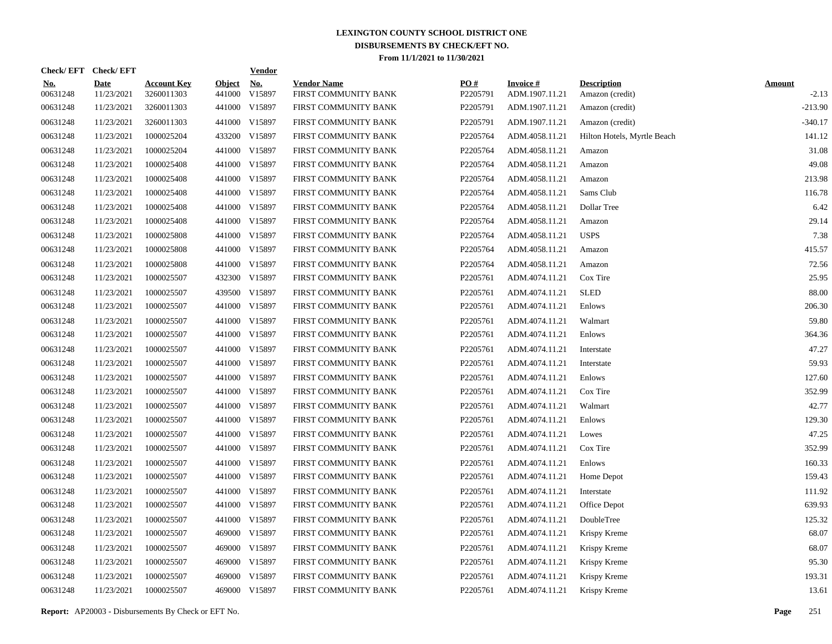| Check/EFT Check/EFT    |                           |                                  |                         | <b>Vendor</b> |                                            |                 |                                   |                                       |                          |
|------------------------|---------------------------|----------------------------------|-------------------------|---------------|--------------------------------------------|-----------------|-----------------------------------|---------------------------------------|--------------------------|
| <u>No.</u><br>00631248 | <b>Date</b><br>11/23/2021 | <b>Account Key</b><br>3260011303 | <b>Object</b><br>441000 | No.<br>V15897 | <b>Vendor Name</b><br>FIRST COMMUNITY BANK | PO#<br>P2205791 | <b>Invoice#</b><br>ADM.1907.11.21 | <b>Description</b><br>Amazon (credit) | <b>Amount</b><br>$-2.13$ |
| 00631248               | 11/23/2021                | 3260011303                       |                         | 441000 V15897 | FIRST COMMUNITY BANK                       | P2205791        | ADM.1907.11.21                    | Amazon (credit)                       | $-213.90$                |
| 00631248               | 11/23/2021                | 3260011303                       |                         | 441000 V15897 | FIRST COMMUNITY BANK                       | P2205791        | ADM.1907.11.21                    | Amazon (credit)                       | $-340.17$                |
| 00631248               | 11/23/2021                | 1000025204                       |                         | 433200 V15897 | FIRST COMMUNITY BANK                       | P2205764        | ADM.4058.11.21                    | Hilton Hotels, Myrtle Beach           | 141.12                   |
| 00631248               | 11/23/2021                | 1000025204                       |                         | 441000 V15897 | FIRST COMMUNITY BANK                       | P2205764        | ADM.4058.11.21                    | Amazon                                | 31.08                    |
| 00631248               | 11/23/2021                | 1000025408                       |                         | 441000 V15897 | FIRST COMMUNITY BANK                       | P2205764        | ADM.4058.11.21                    | Amazon                                | 49.08                    |
| 00631248               | 11/23/2021                | 1000025408                       |                         | 441000 V15897 | FIRST COMMUNITY BANK                       | P2205764        | ADM.4058.11.21                    | Amazon                                | 213.98                   |
| 00631248               | 11/23/2021                | 1000025408                       |                         | 441000 V15897 | FIRST COMMUNITY BANK                       | P2205764        | ADM.4058.11.21                    | Sams Club                             | 116.78                   |
| 00631248               | 11/23/2021                | 1000025408                       |                         | 441000 V15897 | FIRST COMMUNITY BANK                       | P2205764        | ADM.4058.11.21                    | Dollar Tree                           | 6.42                     |
| 00631248               | 11/23/2021                | 1000025408                       |                         | 441000 V15897 | FIRST COMMUNITY BANK                       | P2205764        | ADM.4058.11.21                    | Amazon                                | 29.14                    |
| 00631248               | 11/23/2021                | 1000025808                       |                         | 441000 V15897 | FIRST COMMUNITY BANK                       | P2205764        | ADM.4058.11.21                    | <b>USPS</b>                           | 7.38                     |
| 00631248               | 11/23/2021                | 1000025808                       |                         | 441000 V15897 | FIRST COMMUNITY BANK                       | P2205764        | ADM.4058.11.21                    | Amazon                                | 415.57                   |
| 00631248               | 11/23/2021                | 1000025808                       |                         | 441000 V15897 | FIRST COMMUNITY BANK                       | P2205764        | ADM.4058.11.21                    | Amazon                                | 72.56                    |
| 00631248               | 11/23/2021                | 1000025507                       |                         | 432300 V15897 | FIRST COMMUNITY BANK                       | P2205761        | ADM.4074.11.21                    | Cox Tire                              | 25.95                    |
| 00631248               | 11/23/2021                | 1000025507                       |                         | 439500 V15897 | FIRST COMMUNITY BANK                       | P2205761        | ADM.4074.11.21                    | <b>SLED</b>                           | 88.00                    |
| 00631248               | 11/23/2021                | 1000025507                       |                         | 441000 V15897 | FIRST COMMUNITY BANK                       | P2205761        | ADM.4074.11.21                    | Enlows                                | 206.30                   |
| 00631248               | 11/23/2021                | 1000025507                       |                         | 441000 V15897 | FIRST COMMUNITY BANK                       | P2205761        | ADM.4074.11.21                    | Walmart                               | 59.80                    |
| 00631248               | 11/23/2021                | 1000025507                       |                         | 441000 V15897 | FIRST COMMUNITY BANK                       | P2205761        | ADM.4074.11.21                    | Enlows                                | 364.36                   |
| 00631248               | 11/23/2021                | 1000025507                       |                         | 441000 V15897 | FIRST COMMUNITY BANK                       | P2205761        | ADM.4074.11.21                    | Interstate                            | 47.27                    |
| 00631248               | 11/23/2021                | 1000025507                       |                         | 441000 V15897 | FIRST COMMUNITY BANK                       | P2205761        | ADM.4074.11.21                    | Interstate                            | 59.93                    |
| 00631248               | 11/23/2021                | 1000025507                       |                         | 441000 V15897 | FIRST COMMUNITY BANK                       | P2205761        | ADM.4074.11.21                    | Enlows                                | 127.60                   |
| 00631248               | 11/23/2021                | 1000025507                       |                         | 441000 V15897 | FIRST COMMUNITY BANK                       | P2205761        | ADM.4074.11.21                    | Cox Tire                              | 352.99                   |
| 00631248               | 11/23/2021                | 1000025507                       |                         | 441000 V15897 | FIRST COMMUNITY BANK                       | P2205761        | ADM.4074.11.21                    | Walmart                               | 42.77                    |
| 00631248               | 11/23/2021                | 1000025507                       |                         | 441000 V15897 | FIRST COMMUNITY BANK                       | P2205761        | ADM.4074.11.21                    | Enlows                                | 129.30                   |
| 00631248               | 11/23/2021                | 1000025507                       |                         | 441000 V15897 | FIRST COMMUNITY BANK                       | P2205761        | ADM.4074.11.21                    | Lowes                                 | 47.25                    |
| 00631248               | 11/23/2021                | 1000025507                       |                         | 441000 V15897 | FIRST COMMUNITY BANK                       | P2205761        | ADM.4074.11.21                    | Cox Tire                              | 352.99                   |
| 00631248               | 11/23/2021                | 1000025507                       |                         | 441000 V15897 | FIRST COMMUNITY BANK                       | P2205761        | ADM.4074.11.21                    | Enlows                                | 160.33                   |
| 00631248               | 11/23/2021                | 1000025507                       |                         | 441000 V15897 | FIRST COMMUNITY BANK                       | P2205761        | ADM.4074.11.21                    | Home Depot                            | 159.43                   |
| 00631248               | 11/23/2021                | 1000025507                       |                         | 441000 V15897 | FIRST COMMUNITY BANK                       | P2205761        | ADM.4074.11.21                    | Interstate                            | 111.92                   |
| 00631248               | 11/23/2021                | 1000025507                       |                         | 441000 V15897 | FIRST COMMUNITY BANK                       | P2205761        | ADM.4074.11.21                    | Office Depot                          | 639.93                   |
| 00631248               | 11/23/2021                | 1000025507                       |                         | 441000 V15897 | FIRST COMMUNITY BANK                       | P2205761        | ADM.4074.11.21                    | DoubleTree                            | 125.32                   |
| 00631248               | 11/23/2021                | 1000025507                       |                         | 469000 V15897 | FIRST COMMUNITY BANK                       | P2205761        | ADM.4074.11.21                    | Krispy Kreme                          | 68.07                    |
| 00631248               | 11/23/2021                | 1000025507                       |                         | 469000 V15897 | FIRST COMMUNITY BANK                       | P2205761        | ADM.4074.11.21                    | Krispy Kreme                          | 68.07                    |
| 00631248               | 11/23/2021                | 1000025507                       |                         | 469000 V15897 | FIRST COMMUNITY BANK                       | P2205761        | ADM.4074.11.21                    | Krispy Kreme                          | 95.30                    |
| 00631248               | 11/23/2021                | 1000025507                       |                         | 469000 V15897 | FIRST COMMUNITY BANK                       | P2205761        | ADM.4074.11.21                    | Krispy Kreme                          | 193.31                   |
| 00631248               | 11/23/2021                | 1000025507                       |                         | 469000 V15897 | FIRST COMMUNITY BANK                       | P2205761        | ADM.4074.11.21                    | Krispy Kreme                          | 13.61                    |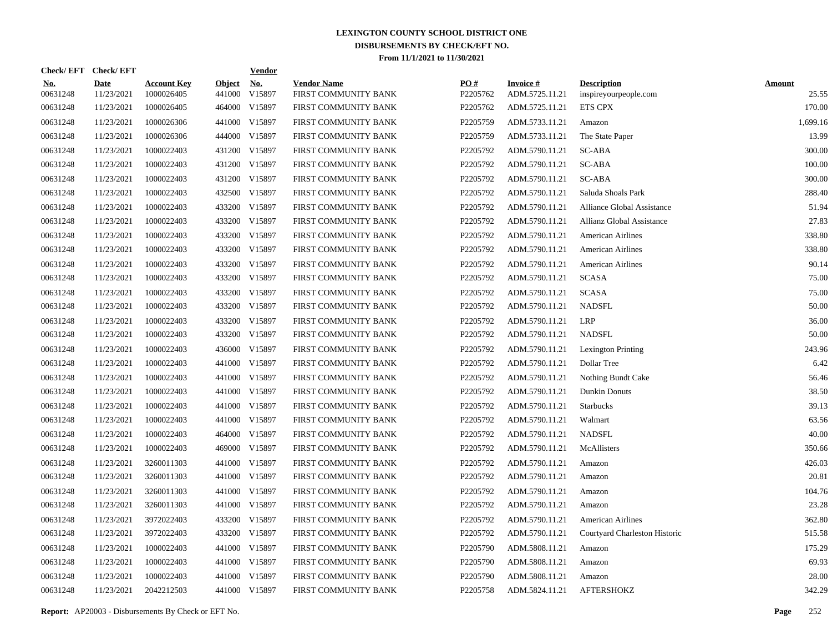|                        | Check/EFT Check/EFT       |                                  |                         | <b>Vendor</b> |                                            |                 |                                   |                                             |                        |
|------------------------|---------------------------|----------------------------------|-------------------------|---------------|--------------------------------------------|-----------------|-----------------------------------|---------------------------------------------|------------------------|
| <u>No.</u><br>00631248 | <b>Date</b><br>11/23/2021 | <b>Account Key</b><br>1000026405 | <b>Object</b><br>441000 | No.<br>V15897 | <b>Vendor Name</b><br>FIRST COMMUNITY BANK | PO#<br>P2205762 | <b>Invoice#</b><br>ADM.5725.11.21 | <b>Description</b><br>inspireyourpeople.com | <b>Amount</b><br>25.55 |
| 00631248               | 11/23/2021                | 1000026405                       |                         | 464000 V15897 | FIRST COMMUNITY BANK                       | P2205762        | ADM.5725.11.21                    | <b>ETS CPX</b>                              | 170.00                 |
| 00631248               | 11/23/2021                | 1000026306                       |                         | 441000 V15897 | FIRST COMMUNITY BANK                       | P2205759        | ADM.5733.11.21                    | Amazon                                      | 1,699.16               |
| 00631248               | 11/23/2021                | 1000026306                       |                         | 444000 V15897 | FIRST COMMUNITY BANK                       | P2205759        | ADM.5733.11.21                    | The State Paper                             | 13.99                  |
| 00631248               | 11/23/2021                | 1000022403                       |                         | 431200 V15897 | FIRST COMMUNITY BANK                       | P2205792        | ADM.5790.11.21                    | SC-ABA                                      | 300.00                 |
| 00631248               | 11/23/2021                | 1000022403                       |                         | 431200 V15897 | FIRST COMMUNITY BANK                       | P2205792        | ADM.5790.11.21                    | SC-ABA                                      | 100.00                 |
| 00631248               | 11/23/2021                | 1000022403                       |                         | 431200 V15897 | FIRST COMMUNITY BANK                       | P2205792        | ADM.5790.11.21                    | SC-ABA                                      | 300.00                 |
| 00631248               | 11/23/2021                | 1000022403                       |                         | 432500 V15897 | FIRST COMMUNITY BANK                       | P2205792        | ADM.5790.11.21                    | Saluda Shoals Park                          | 288.40                 |
| 00631248               | 11/23/2021                | 1000022403                       |                         | 433200 V15897 | FIRST COMMUNITY BANK                       | P2205792        | ADM.5790.11.21                    | Alliance Global Assistance                  | 51.94                  |
| 00631248               | 11/23/2021                | 1000022403                       |                         | 433200 V15897 | FIRST COMMUNITY BANK                       | P2205792        | ADM.5790.11.21                    | Allianz Global Assistance                   | 27.83                  |
| 00631248               | 11/23/2021                | 1000022403                       |                         | 433200 V15897 | FIRST COMMUNITY BANK                       | P2205792        | ADM.5790.11.21                    | <b>American Airlines</b>                    | 338.80                 |
| 00631248               | 11/23/2021                | 1000022403                       |                         | 433200 V15897 | FIRST COMMUNITY BANK                       | P2205792        | ADM.5790.11.21                    | <b>American Airlines</b>                    | 338.80                 |
| 00631248               | 11/23/2021                | 1000022403                       |                         | 433200 V15897 | FIRST COMMUNITY BANK                       | P2205792        | ADM.5790.11.21                    | <b>American Airlines</b>                    | 90.14                  |
| 00631248               | 11/23/2021                | 1000022403                       |                         | 433200 V15897 | FIRST COMMUNITY BANK                       | P2205792        | ADM.5790.11.21                    | <b>SCASA</b>                                | 75.00                  |
| 00631248               | 11/23/2021                | 1000022403                       |                         | 433200 V15897 | FIRST COMMUNITY BANK                       | P2205792        | ADM.5790.11.21                    | <b>SCASA</b>                                | 75.00                  |
| 00631248               | 11/23/2021                | 1000022403                       |                         | 433200 V15897 | FIRST COMMUNITY BANK                       | P2205792        | ADM.5790.11.21                    | <b>NADSFL</b>                               | 50.00                  |
| 00631248               | 11/23/2021                | 1000022403                       |                         | 433200 V15897 | FIRST COMMUNITY BANK                       | P2205792        | ADM.5790.11.21                    | LRP                                         | 36.00                  |
| 00631248               | 11/23/2021                | 1000022403                       |                         | 433200 V15897 | FIRST COMMUNITY BANK                       | P2205792        | ADM.5790.11.21                    | <b>NADSFL</b>                               | 50.00                  |
| 00631248               | 11/23/2021                | 1000022403                       |                         | 436000 V15897 | FIRST COMMUNITY BANK                       | P2205792        | ADM.5790.11.21                    | <b>Lexington Printing</b>                   | 243.96                 |
| 00631248               | 11/23/2021                | 1000022403                       |                         | 441000 V15897 | FIRST COMMUNITY BANK                       | P2205792        | ADM.5790.11.21                    | Dollar Tree                                 | 6.42                   |
| 00631248               | 11/23/2021                | 1000022403                       |                         | 441000 V15897 | FIRST COMMUNITY BANK                       | P2205792        | ADM.5790.11.21                    | Nothing Bundt Cake                          | 56.46                  |
| 00631248               | 11/23/2021                | 1000022403                       |                         | 441000 V15897 | FIRST COMMUNITY BANK                       | P2205792        | ADM.5790.11.21                    | Dunkin Donuts                               | 38.50                  |
| 00631248               | 11/23/2021                | 1000022403                       |                         | 441000 V15897 | FIRST COMMUNITY BANK                       | P2205792        | ADM.5790.11.21                    | <b>Starbucks</b>                            | 39.13                  |
| 00631248               | 11/23/2021                | 1000022403                       |                         | 441000 V15897 | FIRST COMMUNITY BANK                       | P2205792        | ADM.5790.11.21                    | Walmart                                     | 63.56                  |
| 00631248               | 11/23/2021                | 1000022403                       |                         | 464000 V15897 | FIRST COMMUNITY BANK                       | P2205792        | ADM.5790.11.21                    | <b>NADSFL</b>                               | 40.00                  |
| 00631248               | 11/23/2021                | 1000022403                       |                         | 469000 V15897 | FIRST COMMUNITY BANK                       | P2205792        | ADM.5790.11.21                    | McAllisters                                 | 350.66                 |
| 00631248               | 11/23/2021                | 3260011303                       |                         | 441000 V15897 | FIRST COMMUNITY BANK                       | P2205792        | ADM.5790.11.21                    | Amazon                                      | 426.03                 |
| 00631248               | 11/23/2021                | 3260011303                       |                         | 441000 V15897 | FIRST COMMUNITY BANK                       | P2205792        | ADM.5790.11.21                    | Amazon                                      | 20.81                  |
| 00631248               | 11/23/2021                | 3260011303                       |                         | 441000 V15897 | FIRST COMMUNITY BANK                       | P2205792        | ADM.5790.11.21                    | Amazon                                      | 104.76                 |
| 00631248               | 11/23/2021                | 3260011303                       |                         | 441000 V15897 | FIRST COMMUNITY BANK                       | P2205792        | ADM.5790.11.21                    | Amazon                                      | 23.28                  |
| 00631248               | 11/23/2021                | 3972022403                       |                         | 433200 V15897 | FIRST COMMUNITY BANK                       | P2205792        | ADM.5790.11.21                    | <b>American Airlines</b>                    | 362.80                 |
| 00631248               | 11/23/2021                | 3972022403                       |                         | 433200 V15897 | FIRST COMMUNITY BANK                       | P2205792        | ADM.5790.11.21                    | Courtyard Charleston Historic               | 515.58                 |
| 00631248               | 11/23/2021                | 1000022403                       |                         | 441000 V15897 | FIRST COMMUNITY BANK                       | P2205790        | ADM.5808.11.21                    | Amazon                                      | 175.29                 |
| 00631248               | 11/23/2021                | 1000022403                       |                         | 441000 V15897 | FIRST COMMUNITY BANK                       | P2205790        | ADM.5808.11.21                    | Amazon                                      | 69.93                  |
| 00631248               | 11/23/2021                | 1000022403                       |                         | 441000 V15897 | FIRST COMMUNITY BANK                       | P2205790        | ADM.5808.11.21                    | Amazon                                      | 28.00                  |
| 00631248               | 11/23/2021                | 2042212503                       |                         | 441000 V15897 | FIRST COMMUNITY BANK                       | P2205758        | ADM.5824.11.21                    | <b>AFTERSHOKZ</b>                           | 342.29                 |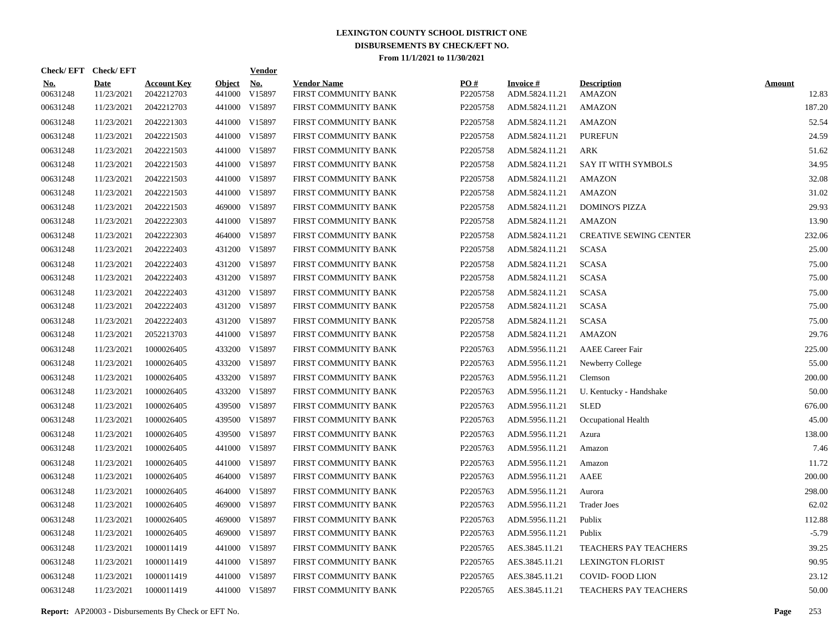|                        | Check/EFT Check/EFT       |                                  |                         | <b>Vendor</b>        |                                            |                 |                                   |                                     |                        |
|------------------------|---------------------------|----------------------------------|-------------------------|----------------------|--------------------------------------------|-----------------|-----------------------------------|-------------------------------------|------------------------|
| <u>No.</u><br>00631248 | <b>Date</b><br>11/23/2021 | <b>Account Key</b><br>2042212703 | <b>Object</b><br>441000 | <u>No.</u><br>V15897 | <b>Vendor Name</b><br>FIRST COMMUNITY BANK | PO#<br>P2205758 | <b>Invoice#</b><br>ADM.5824.11.21 | <b>Description</b><br><b>AMAZON</b> | <b>Amount</b><br>12.83 |
| 00631248               | 11/23/2021                | 2042212703                       |                         | 441000 V15897        | FIRST COMMUNITY BANK                       | P2205758        | ADM.5824.11.21                    | <b>AMAZON</b>                       | 187.20                 |
| 00631248               | 11/23/2021                | 2042221303                       |                         | 441000 V15897        | FIRST COMMUNITY BANK                       | P2205758        | ADM.5824.11.21                    | <b>AMAZON</b>                       | 52.54                  |
| 00631248               | 11/23/2021                | 2042221503                       |                         | 441000 V15897        | FIRST COMMUNITY BANK                       | P2205758        | ADM.5824.11.21                    | <b>PUREFUN</b>                      | 24.59                  |
| 00631248               | 11/23/2021                | 2042221503                       |                         | 441000 V15897        | FIRST COMMUNITY BANK                       | P2205758        | ADM.5824.11.21                    | ARK                                 | 51.62                  |
| 00631248               | 11/23/2021                | 2042221503                       |                         | 441000 V15897        | FIRST COMMUNITY BANK                       | P2205758        | ADM.5824.11.21                    | SAY IT WITH SYMBOLS                 | 34.95                  |
| 00631248               | 11/23/2021                | 2042221503                       |                         | 441000 V15897        | FIRST COMMUNITY BANK                       | P2205758        | ADM.5824.11.21                    | <b>AMAZON</b>                       | 32.08                  |
| 00631248               | 11/23/2021                | 2042221503                       |                         | 441000 V15897        | FIRST COMMUNITY BANK                       | P2205758        | ADM.5824.11.21                    | <b>AMAZON</b>                       | 31.02                  |
| 00631248               | 11/23/2021                | 2042221503                       |                         | 469000 V15897        | FIRST COMMUNITY BANK                       | P2205758        | ADM.5824.11.21                    | <b>DOMINO'S PIZZA</b>               | 29.93                  |
| 00631248               | 11/23/2021                | 2042222303                       |                         | 441000 V15897        | FIRST COMMUNITY BANK                       | P2205758        | ADM.5824.11.21                    | <b>AMAZON</b>                       | 13.90                  |
| 00631248               | 11/23/2021                | 2042222303                       |                         | 464000 V15897        | FIRST COMMUNITY BANK                       | P2205758        | ADM.5824.11.21                    | <b>CREATIVE SEWING CENTER</b>       | 232.06                 |
| 00631248               | 11/23/2021                | 2042222403                       |                         | 431200 V15897        | FIRST COMMUNITY BANK                       | P2205758        | ADM.5824.11.21                    | <b>SCASA</b>                        | 25.00                  |
| 00631248               | 11/23/2021                | 2042222403                       |                         | 431200 V15897        | FIRST COMMUNITY BANK                       | P2205758        | ADM.5824.11.21                    | <b>SCASA</b>                        | 75.00                  |
| 00631248               | 11/23/2021                | 2042222403                       |                         | 431200 V15897        | FIRST COMMUNITY BANK                       | P2205758        | ADM.5824.11.21                    | <b>SCASA</b>                        | 75.00                  |
| 00631248               | 11/23/2021                | 2042222403                       |                         | 431200 V15897        | FIRST COMMUNITY BANK                       | P2205758        | ADM.5824.11.21                    | <b>SCASA</b>                        | 75.00                  |
| 00631248               | 11/23/2021                | 2042222403                       |                         | 431200 V15897        | FIRST COMMUNITY BANK                       | P2205758        | ADM.5824.11.21                    | <b>SCASA</b>                        | 75.00                  |
| 00631248               | 11/23/2021                | 2042222403                       |                         | 431200 V15897        | FIRST COMMUNITY BANK                       | P2205758        | ADM.5824.11.21                    | <b>SCASA</b>                        | 75.00                  |
| 00631248               | 11/23/2021                | 2052213703                       |                         | 441000 V15897        | FIRST COMMUNITY BANK                       | P2205758        | ADM.5824.11.21                    | <b>AMAZON</b>                       | 29.76                  |
| 00631248               | 11/23/2021                | 1000026405                       |                         | 433200 V15897        | FIRST COMMUNITY BANK                       | P2205763        | ADM.5956.11.21                    | <b>AAEE</b> Career Fair             | 225.00                 |
| 00631248               | 11/23/2021                | 1000026405                       |                         | 433200 V15897        | FIRST COMMUNITY BANK                       | P2205763        | ADM.5956.11.21                    | Newberry College                    | 55.00                  |
| 00631248               | 11/23/2021                | 1000026405                       |                         | 433200 V15897        | FIRST COMMUNITY BANK                       | P2205763        | ADM.5956.11.21                    | Clemson                             | 200.00                 |
| 00631248               | 11/23/2021                | 1000026405                       |                         | 433200 V15897        | FIRST COMMUNITY BANK                       | P2205763        | ADM.5956.11.21                    | U. Kentucky - Handshake             | 50.00                  |
| 00631248               | 11/23/2021                | 1000026405                       |                         | 439500 V15897        | FIRST COMMUNITY BANK                       | P2205763        | ADM.5956.11.21                    | <b>SLED</b>                         | 676.00                 |
| 00631248               | 11/23/2021                | 1000026405                       |                         | 439500 V15897        | FIRST COMMUNITY BANK                       | P2205763        | ADM.5956.11.21                    | Occupational Health                 | 45.00                  |
| 00631248               | 11/23/2021                | 1000026405                       |                         | 439500 V15897        | FIRST COMMUNITY BANK                       | P2205763        | ADM.5956.11.21                    | Azura                               | 138.00                 |
| 00631248               | 11/23/2021                | 1000026405                       |                         | 441000 V15897        | FIRST COMMUNITY BANK                       | P2205763        | ADM.5956.11.21                    | Amazon                              | 7.46                   |
| 00631248               | 11/23/2021                | 1000026405                       |                         | 441000 V15897        | FIRST COMMUNITY BANK                       | P2205763        | ADM.5956.11.21                    | Amazon                              | 11.72                  |
| 00631248               | 11/23/2021                | 1000026405                       |                         | 464000 V15897        | FIRST COMMUNITY BANK                       | P2205763        | ADM.5956.11.21                    | AAEE                                | 200.00                 |
| 00631248               | 11/23/2021                | 1000026405                       |                         | 464000 V15897        | FIRST COMMUNITY BANK                       | P2205763        | ADM.5956.11.21                    | Aurora                              | 298.00                 |
| 00631248               | 11/23/2021                | 1000026405                       |                         | 469000 V15897        | FIRST COMMUNITY BANK                       | P2205763        | ADM.5956.11.21                    | <b>Trader Joes</b>                  | 62.02                  |
| 00631248               | 11/23/2021                | 1000026405                       | 469000                  | V15897               | FIRST COMMUNITY BANK                       | P2205763        | ADM.5956.11.21                    | Publix                              | 112.88                 |
| 00631248               | 11/23/2021                | 1000026405                       |                         | 469000 V15897        | FIRST COMMUNITY BANK                       | P2205763        | ADM.5956.11.21                    | Publix                              | $-5.79$                |
| 00631248               | 11/23/2021                | 1000011419                       | 441000                  | V15897               | FIRST COMMUNITY BANK                       | P2205765        | AES.3845.11.21                    | TEACHERS PAY TEACHERS               | 39.25                  |
| 00631248               | 11/23/2021                | 1000011419                       |                         | 441000 V15897        | FIRST COMMUNITY BANK                       | P2205765        | AES.3845.11.21                    | <b>LEXINGTON FLORIST</b>            | 90.95                  |
| 00631248               | 11/23/2021                | 1000011419                       | 441000                  | V15897               | FIRST COMMUNITY BANK                       | P2205765        | AES.3845.11.21                    | <b>COVID-FOOD LION</b>              | 23.12                  |
| 00631248               | 11/23/2021                | 1000011419                       |                         | 441000 V15897        | FIRST COMMUNITY BANK                       | P2205765        | AES.3845.11.21                    | <b>TEACHERS PAY TEACHERS</b>        | 50.00                  |

**Report:** AP20003 - Disbursements By Check or EFT No. **Page** 253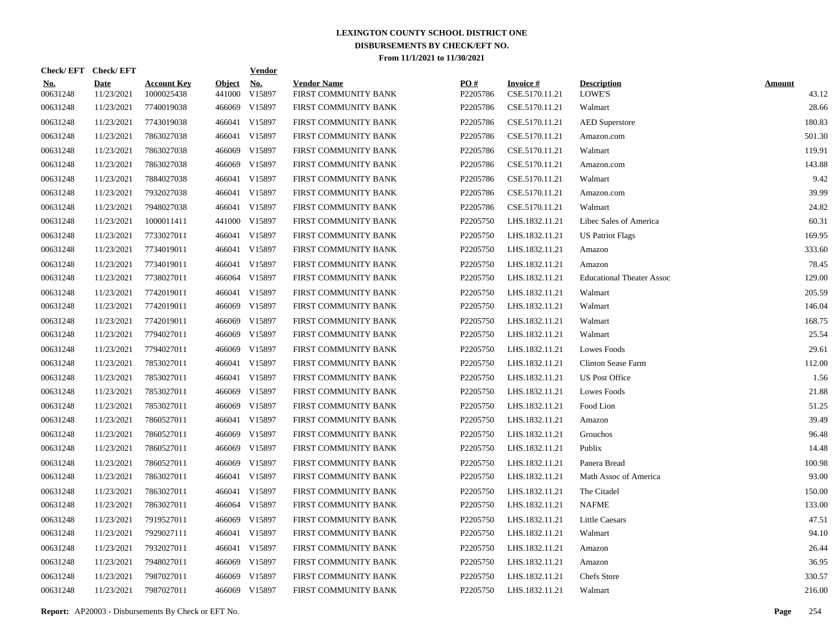| Check/EFT Check/EFT    |                           |                                  |                         | <b>Vendor</b>        |                                            |                 |                                   |                                     |                        |
|------------------------|---------------------------|----------------------------------|-------------------------|----------------------|--------------------------------------------|-----------------|-----------------------------------|-------------------------------------|------------------------|
| <u>No.</u><br>00631248 | <b>Date</b><br>11/23/2021 | <b>Account Key</b><br>1000025438 | <b>Object</b><br>441000 | <u>No.</u><br>V15897 | <b>Vendor Name</b><br>FIRST COMMUNITY BANK | PO#<br>P2205786 | <b>Invoice#</b><br>CSE.5170.11.21 | <b>Description</b><br><b>LOWE'S</b> | <b>Amount</b><br>43.12 |
| 00631248               | 11/23/2021                | 7740019038                       | 466069                  | V15897               | FIRST COMMUNITY BANK                       | P2205786        | CSE.5170.11.21                    | Walmart                             | 28.66                  |
| 00631248               | 11/23/2021                | 7743019038                       |                         | 466041 V15897        | FIRST COMMUNITY BANK                       | P2205786        | CSE.5170.11.21                    | <b>AED</b> Superstore               | 180.83                 |
| 00631248               | 11/23/2021                | 7863027038                       |                         | 466041 V15897        | FIRST COMMUNITY BANK                       | P2205786        | CSE.5170.11.21                    | Amazon.com                          | 501.30                 |
| 00631248               | 11/23/2021                | 7863027038                       |                         | 466069 V15897        | FIRST COMMUNITY BANK                       | P2205786        | CSE.5170.11.21                    | Walmart                             | 119.91                 |
| 00631248               | 11/23/2021                | 7863027038                       |                         | 466069 V15897        | FIRST COMMUNITY BANK                       | P2205786        | CSE.5170.11.21                    | Amazon.com                          | 143.88                 |
| 00631248               | 11/23/2021                | 7884027038                       |                         | 466041 V15897        | FIRST COMMUNITY BANK                       | P2205786        | CSE.5170.11.21                    | Walmart                             | 9.42                   |
| 00631248               | 11/23/2021                | 7932027038                       |                         | 466041 V15897        | FIRST COMMUNITY BANK                       | P2205786        | CSE.5170.11.21                    | Amazon.com                          | 39.99                  |
| 00631248               | 11/23/2021                | 7948027038                       |                         | 466041 V15897        | FIRST COMMUNITY BANK                       | P2205786        | CSE.5170.11.21                    | Walmart                             | 24.82                  |
| 00631248               | 11/23/2021                | 1000011411                       |                         | 441000 V15897        | FIRST COMMUNITY BANK                       | P2205750        | LHS.1832.11.21                    | Libec Sales of America              | 60.31                  |
| 00631248               | 11/23/2021                | 7733027011                       |                         | 466041 V15897        | FIRST COMMUNITY BANK                       | P2205750        | LHS.1832.11.21                    | <b>US Patriot Flags</b>             | 169.95                 |
| 00631248               | 11/23/2021                | 7734019011                       |                         | 466041 V15897        | FIRST COMMUNITY BANK                       | P2205750        | LHS.1832.11.21                    | Amazon                              | 333.60                 |
| 00631248               | 11/23/2021                | 7734019011                       |                         | 466041 V15897        | FIRST COMMUNITY BANK                       | P2205750        | LHS.1832.11.21                    | Amazon                              | 78.45                  |
| 00631248               | 11/23/2021                | 7738027011                       |                         | 466064 V15897        | FIRST COMMUNITY BANK                       | P2205750        | LHS.1832.11.21                    | <b>Educational Theater Assoc</b>    | 129.00                 |
| 00631248               | 11/23/2021                | 7742019011                       |                         | 466041 V15897        | FIRST COMMUNITY BANK                       | P2205750        | LHS.1832.11.21                    | Walmart                             | 205.59                 |
| 00631248               | 11/23/2021                | 7742019011                       |                         | 466069 V15897        | FIRST COMMUNITY BANK                       | P2205750        | LHS.1832.11.21                    | Walmart                             | 146.04                 |
| 00631248               | 11/23/2021                | 7742019011                       |                         | 466069 V15897        | FIRST COMMUNITY BANK                       | P2205750        | LHS.1832.11.21                    | Walmart                             | 168.75                 |
| 00631248               | 11/23/2021                | 7794027011                       |                         | 466069 V15897        | FIRST COMMUNITY BANK                       | P2205750        | LHS.1832.11.21                    | Walmart                             | 25.54                  |
| 00631248               | 11/23/2021                | 7794027011                       |                         | 466069 V15897        | FIRST COMMUNITY BANK                       | P2205750        | LHS.1832.11.21                    | Lowes Foods                         | 29.61                  |
| 00631248               | 11/23/2021                | 7853027011                       |                         | 466041 V15897        | FIRST COMMUNITY BANK                       | P2205750        | LHS.1832.11.21                    | Clinton Sease Farm                  | 112.00                 |
| 00631248               | 11/23/2021                | 7853027011                       |                         | 466041 V15897        | FIRST COMMUNITY BANK                       | P2205750        | LHS.1832.11.21                    | <b>US Post Office</b>               | 1.56                   |
| 00631248               | 11/23/2021                | 7853027011                       |                         | 466069 V15897        | FIRST COMMUNITY BANK                       | P2205750        | LHS.1832.11.21                    | Lowes Foods                         | 21.88                  |
| 00631248               | 11/23/2021                | 7853027011                       | 466069                  | V15897               | FIRST COMMUNITY BANK                       | P2205750        | LHS.1832.11.21                    | Food Lion                           | 51.25                  |
| 00631248               | 11/23/2021                | 7860527011                       |                         | 466041 V15897        | FIRST COMMUNITY BANK                       | P2205750        | LHS.1832.11.21                    | Amazon                              | 39.49                  |
| 00631248               | 11/23/2021                | 7860527011                       |                         | 466069 V15897        | FIRST COMMUNITY BANK                       | P2205750        | LHS.1832.11.21                    | Grouchos                            | 96.48                  |
| 00631248               | 11/23/2021                | 7860527011                       | 466069                  | V15897               | FIRST COMMUNITY BANK                       | P2205750        | LHS.1832.11.21                    | Publix                              | 14.48                  |
| 00631248               | 11/23/2021                | 7860527011                       |                         | 466069 V15897        | FIRST COMMUNITY BANK                       | P2205750        | LHS.1832.11.21                    | Panera Bread                        | 100.98                 |
| 00631248               | 11/23/2021                | 7863027011                       |                         | 466041 V15897        | FIRST COMMUNITY BANK                       | P2205750        | LHS.1832.11.21                    | Math Assoc of America               | 93.00                  |
| 00631248               | 11/23/2021                | 7863027011                       |                         | 466041 V15897        | FIRST COMMUNITY BANK                       | P2205750        | LHS.1832.11.21                    | The Citadel                         | 150.00                 |
| 00631248               | 11/23/2021                | 7863027011                       |                         | 466064 V15897        | FIRST COMMUNITY BANK                       | P2205750        | LHS.1832.11.21                    | <b>NAFME</b>                        | 133.00                 |
| 00631248               | 11/23/2021                | 7919527011                       |                         | 466069 V15897        | FIRST COMMUNITY BANK                       | P2205750        | LHS.1832.11.21                    | <b>Little Caesars</b>               | 47.51                  |
| 00631248               | 11/23/2021                | 7929027111                       |                         | 466041 V15897        | FIRST COMMUNITY BANK                       | P2205750        | LHS.1832.11.21                    | Walmart                             | 94.10                  |
| 00631248               | 11/23/2021                | 7932027011                       |                         | 466041 V15897        | FIRST COMMUNITY BANK                       | P2205750        | LHS.1832.11.21                    | Amazon                              | 26.44                  |
| 00631248               | 11/23/2021                | 7948027011                       |                         | 466069 V15897        | FIRST COMMUNITY BANK                       | P2205750        | LHS.1832.11.21                    | Amazon                              | 36.95                  |
| 00631248               | 11/23/2021                | 7987027011                       | 466069                  | V15897               | FIRST COMMUNITY BANK                       | P2205750        | LHS.1832.11.21                    | Chefs Store                         | 330.57                 |
| 00631248               | 11/23/2021                | 7987027011                       |                         | 466069 V15897        | FIRST COMMUNITY BANK                       | P2205750        | LHS.1832.11.21                    | Walmart                             | 216.00                 |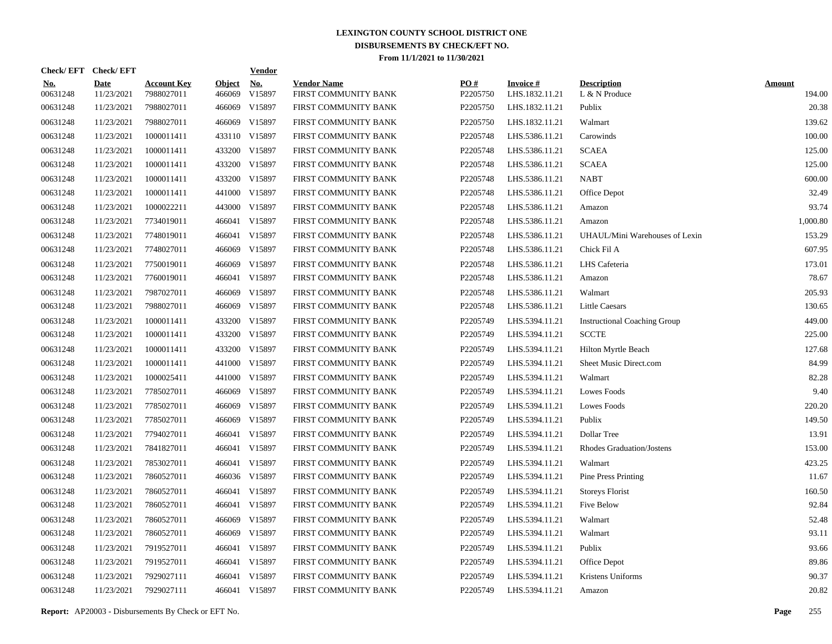|                        | Check/EFT Check/EFT       |                                  |                         | <b>Vendor</b>                         |                                            |                 |                                   |                                     |                         |
|------------------------|---------------------------|----------------------------------|-------------------------|---------------------------------------|--------------------------------------------|-----------------|-----------------------------------|-------------------------------------|-------------------------|
| <u>No.</u><br>00631248 | <b>Date</b><br>11/23/2021 | <b>Account Key</b><br>7988027011 | <b>Object</b><br>466069 | $\underline{\mathrm{No}}$ .<br>V15897 | <b>Vendor Name</b><br>FIRST COMMUNITY BANK | PQ#<br>P2205750 | <b>Invoice#</b><br>LHS.1832.11.21 | <b>Description</b><br>L & N Produce | <b>Amount</b><br>194.00 |
| 00631248               | 11/23/2021                | 7988027011                       | 466069                  | V15897                                | FIRST COMMUNITY BANK                       | P2205750        | LHS.1832.11.21                    | Publix                              | 20.38                   |
| 00631248               | 11/23/2021                | 7988027011                       | 466069                  | V15897                                | FIRST COMMUNITY BANK                       | P2205750        | LHS.1832.11.21                    | Walmart                             | 139.62                  |
| 00631248               | 11/23/2021                | 1000011411                       |                         | 433110 V15897                         | FIRST COMMUNITY BANK                       | P2205748        | LHS.5386.11.21                    | Carowinds                           | 100.00                  |
| 00631248               | 11/23/2021                | 1000011411                       |                         | 433200 V15897                         | FIRST COMMUNITY BANK                       | P2205748        | LHS.5386.11.21                    | <b>SCAEA</b>                        | 125.00                  |
| 00631248               | 11/23/2021                | 1000011411                       | 433200                  | V15897                                | FIRST COMMUNITY BANK                       | P2205748        | LHS.5386.11.21                    | <b>SCAEA</b>                        | 125.00                  |
| 00631248               | 11/23/2021                | 1000011411                       |                         | 433200 V15897                         | FIRST COMMUNITY BANK                       | P2205748        | LHS.5386.11.21                    | <b>NABT</b>                         | 600.00                  |
| 00631248               | 11/23/2021                | 1000011411                       | 441000                  | V15897                                | FIRST COMMUNITY BANK                       | P2205748        | LHS.5386.11.21                    | Office Depot                        | 32.49                   |
| 00631248               | 11/23/2021                | 1000022211                       |                         | 443000 V15897                         | FIRST COMMUNITY BANK                       | P2205748        | LHS.5386.11.21                    | Amazon                              | 93.74                   |
| 00631248               | 11/23/2021                | 7734019011                       | 466041                  | V15897                                | FIRST COMMUNITY BANK                       | P2205748        | LHS.5386.11.21                    | Amazon                              | 1,000.80                |
| 00631248               | 11/23/2021                | 7748019011                       | 466041                  | V15897                                | FIRST COMMUNITY BANK                       | P2205748        | LHS.5386.11.21                    | UHAUL/Mini Warehouses of Lexin      | 153.29                  |
| 00631248               | 11/23/2021                | 7748027011                       | 466069                  | V15897                                | FIRST COMMUNITY BANK                       | P2205748        | LHS.5386.11.21                    | Chick Fil A                         | 607.95                  |
| 00631248               | 11/23/2021                | 7750019011                       | 466069                  | V15897                                | FIRST COMMUNITY BANK                       | P2205748        | LHS.5386.11.21                    | LHS Cafeteria                       | 173.01                  |
| 00631248               | 11/23/2021                | 7760019011                       | 466041                  | V15897                                | FIRST COMMUNITY BANK                       | P2205748        | LHS.5386.11.21                    | Amazon                              | 78.67                   |
| 00631248               | 11/23/2021                | 7987027011                       | 466069                  | V15897                                | FIRST COMMUNITY BANK                       | P2205748        | LHS.5386.11.21                    | Walmart                             | 205.93                  |
| 00631248               | 11/23/2021                | 7988027011                       | 466069                  | V15897                                | FIRST COMMUNITY BANK                       | P2205748        | LHS.5386.11.21                    | <b>Little Caesars</b>               | 130.65                  |
| 00631248               | 11/23/2021                | 1000011411                       | 433200                  | V15897                                | FIRST COMMUNITY BANK                       | P2205749        | LHS.5394.11.21                    | <b>Instructional Coaching Group</b> | 449.00                  |
| 00631248               | 11/23/2021                | 1000011411                       | 433200                  | V15897                                | FIRST COMMUNITY BANK                       | P2205749        | LHS.5394.11.21                    | <b>SCCTE</b>                        | 225.00                  |
| 00631248               | 11/23/2021                | 1000011411                       | 433200                  | V15897                                | FIRST COMMUNITY BANK                       | P2205749        | LHS.5394.11.21                    | Hilton Myrtle Beach                 | 127.68                  |
| 00631248               | 11/23/2021                | 1000011411                       | 441000                  | V15897                                | FIRST COMMUNITY BANK                       | P2205749        | LHS.5394.11.21                    | Sheet Music Direct.com              | 84.99                   |
| 00631248               | 11/23/2021                | 1000025411                       | 441000                  | V15897                                | FIRST COMMUNITY BANK                       | P2205749        | LHS.5394.11.21                    | Walmart                             | 82.28                   |
| 00631248               | 11/23/2021                | 7785027011                       | 466069                  | V15897                                | FIRST COMMUNITY BANK                       | P2205749        | LHS.5394.11.21                    | Lowes Foods                         | 9.40                    |
| 00631248               | 11/23/2021                | 7785027011                       | 466069                  | V15897                                | FIRST COMMUNITY BANK                       | P2205749        | LHS.5394.11.21                    | Lowes Foods                         | 220.20                  |
| 00631248               | 11/23/2021                | 7785027011                       | 466069                  | V15897                                | FIRST COMMUNITY BANK                       | P2205749        | LHS.5394.11.21                    | Publix                              | 149.50                  |
| 00631248               | 11/23/2021                | 7794027011                       | 466041                  | V15897                                | FIRST COMMUNITY BANK                       | P2205749        | LHS.5394.11.21                    | Dollar Tree                         | 13.91                   |
| 00631248               | 11/23/2021                | 7841827011                       | 466041                  | V15897                                | FIRST COMMUNITY BANK                       | P2205749        | LHS.5394.11.21                    | <b>Rhodes Graduation/Jostens</b>    | 153.00                  |
| 00631248               | 11/23/2021                | 7853027011                       | 466041                  | V15897                                | FIRST COMMUNITY BANK                       | P2205749        | LHS.5394.11.21                    | Walmart                             | 423.25                  |
| 00631248               | 11/23/2021                | 7860527011                       |                         | 466036 V15897                         | FIRST COMMUNITY BANK                       | P2205749        | LHS.5394.11.21                    | <b>Pine Press Printing</b>          | 11.67                   |
| 00631248               | 11/23/2021                | 7860527011                       | 466041                  | V15897                                | FIRST COMMUNITY BANK                       | P2205749        | LHS.5394.11.21                    | <b>Storeys Florist</b>              | 160.50                  |
| 00631248               | 11/23/2021                | 7860527011                       | 466041                  | V15897                                | FIRST COMMUNITY BANK                       | P2205749        | LHS.5394.11.21                    | Five Below                          | 92.84                   |
| 00631248               | 11/23/2021                | 7860527011                       | 466069                  | V15897                                | FIRST COMMUNITY BANK                       | P2205749        | LHS.5394.11.21                    | Walmart                             | 52.48                   |
| 00631248               | 11/23/2021                | 7860527011                       | 466069                  | V15897                                | FIRST COMMUNITY BANK                       | P2205749        | LHS.5394.11.21                    | Walmart                             | 93.11                   |
| 00631248               | 11/23/2021                | 7919527011                       | 466041                  | V15897                                | FIRST COMMUNITY BANK                       | P2205749        | LHS.5394.11.21                    | Publix                              | 93.66                   |
| 00631248               | 11/23/2021                | 7919527011                       | 466041                  | V15897                                | FIRST COMMUNITY BANK                       | P2205749        | LHS.5394.11.21                    | Office Depot                        | 89.86                   |
| 00631248               | 11/23/2021                | 7929027111                       | 466041                  | V15897                                | FIRST COMMUNITY BANK                       | P2205749        | LHS.5394.11.21                    | Kristens Uniforms                   | 90.37                   |
| 00631248               | 11/23/2021                | 7929027111                       |                         | 466041 V15897                         | FIRST COMMUNITY BANK                       | P2205749        | LHS.5394.11.21                    | Amazon                              | 20.82                   |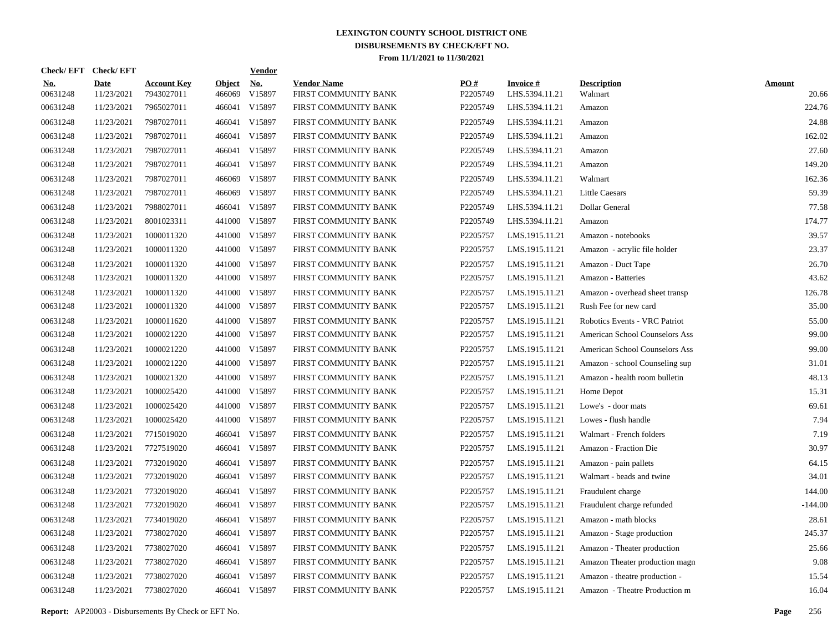| Check/ EFT             | <b>Check/EFT</b>          |                                  |                         | <b>Vendor</b>                         |                                            |                 |                                   |                                |                        |
|------------------------|---------------------------|----------------------------------|-------------------------|---------------------------------------|--------------------------------------------|-----------------|-----------------------------------|--------------------------------|------------------------|
| <u>No.</u><br>00631248 | <b>Date</b><br>11/23/2021 | <b>Account Key</b><br>7943027011 | <b>Object</b><br>466069 | $\underline{\textbf{No}}$ .<br>V15897 | <b>Vendor Name</b><br>FIRST COMMUNITY BANK | PO#<br>P2205749 | <b>Invoice#</b><br>LHS.5394.11.21 | <b>Description</b><br>Walmart  | <b>Amount</b><br>20.66 |
| 00631248               | 11/23/2021                | 7965027011                       | 466041                  | V15897                                | FIRST COMMUNITY BANK                       | P2205749        | LHS.5394.11.21                    | Amazon                         | 224.76                 |
| 00631248               | 11/23/2021                | 7987027011                       | 466041                  | V15897                                | FIRST COMMUNITY BANK                       | P2205749        | LHS.5394.11.21                    | Amazon                         | 24.88                  |
| 00631248               | 11/23/2021                | 7987027011                       | 466041                  | V15897                                | FIRST COMMUNITY BANK                       | P2205749        | LHS.5394.11.21                    | Amazon                         | 162.02                 |
| 00631248               | 11/23/2021                | 7987027011                       | 466041                  | V15897                                | FIRST COMMUNITY BANK                       | P2205749        | LHS.5394.11.21                    | Amazon                         | 27.60                  |
| 00631248               | 11/23/2021                | 7987027011                       | 466041                  | V15897                                | FIRST COMMUNITY BANK                       | P2205749        | LHS.5394.11.21                    | Amazon                         | 149.20                 |
| 00631248               | 11/23/2021                | 7987027011                       | 466069                  | V15897                                | FIRST COMMUNITY BANK                       | P2205749        | LHS.5394.11.21                    | Walmart                        | 162.36                 |
| 00631248               | 11/23/2021                | 7987027011                       | 466069                  | V15897                                | FIRST COMMUNITY BANK                       | P2205749        | LHS.5394.11.21                    | <b>Little Caesars</b>          | 59.39                  |
| 00631248               | 11/23/2021                | 7988027011                       | 466041                  | V15897                                | FIRST COMMUNITY BANK                       | P2205749        | LHS.5394.11.21                    | Dollar General                 | 77.58                  |
| 00631248               | 11/23/2021                | 8001023311                       | 441000                  | V15897                                | FIRST COMMUNITY BANK                       | P2205749        | LHS.5394.11.21                    | Amazon                         | 174.77                 |
| 00631248               | 11/23/2021                | 1000011320                       | 441000                  | V15897                                | FIRST COMMUNITY BANK                       | P2205757        | LMS.1915.11.21                    | Amazon - notebooks             | 39.57                  |
| 00631248               | 11/23/2021                | 1000011320                       | 441000                  | V15897                                | FIRST COMMUNITY BANK                       | P2205757        | LMS.1915.11.21                    | Amazon - acrylic file holder   | 23.37                  |
| 00631248               | 11/23/2021                | 1000011320                       |                         | 441000 V15897                         | FIRST COMMUNITY BANK                       | P2205757        | LMS.1915.11.21                    | Amazon - Duct Tape             | 26.70                  |
| 00631248               | 11/23/2021                | 1000011320                       |                         | 441000 V15897                         | FIRST COMMUNITY BANK                       | P2205757        | LMS.1915.11.21                    | Amazon - Batteries             | 43.62                  |
| 00631248               | 11/23/2021                | 1000011320                       | 441000                  | V15897                                | FIRST COMMUNITY BANK                       | P2205757        | LMS.1915.11.21                    | Amazon - overhead sheet transp | 126.78                 |
| 00631248               | 11/23/2021                | 1000011320                       |                         | 441000 V15897                         | FIRST COMMUNITY BANK                       | P2205757        | LMS.1915.11.21                    | Rush Fee for new card          | 35.00                  |
| 00631248               | 11/23/2021                | 1000011620                       | 441000                  | V15897                                | FIRST COMMUNITY BANK                       | P2205757        | LMS.1915.11.21                    | Robotics Events - VRC Patriot  | 55.00                  |
| 00631248               | 11/23/2021                | 1000021220                       |                         | 441000 V15897                         | FIRST COMMUNITY BANK                       | P2205757        | LMS.1915.11.21                    | American School Counselors Ass | 99.00                  |
| 00631248               | 11/23/2021                | 1000021220                       |                         | 441000 V15897                         | FIRST COMMUNITY BANK                       | P2205757        | LMS.1915.11.21                    | American School Counselors Ass | 99.00                  |
| 00631248               | 11/23/2021                | 1000021220                       |                         | 441000 V15897                         | FIRST COMMUNITY BANK                       | P2205757        | LMS.1915.11.21                    | Amazon - school Counseling sup | 31.01                  |
| 00631248               | 11/23/2021                | 1000021320                       | 441000                  | V15897                                | FIRST COMMUNITY BANK                       | P2205757        | LMS.1915.11.21                    | Amazon - health room bulletin  | 48.13                  |
| 00631248               | 11/23/2021                | 1000025420                       |                         | 441000 V15897                         | FIRST COMMUNITY BANK                       | P2205757        | LMS.1915.11.21                    | Home Depot                     | 15.31                  |
| 00631248               | 11/23/2021                | 1000025420                       | 441000                  | V15897                                | FIRST COMMUNITY BANK                       | P2205757        | LMS.1915.11.21                    | Lowe's - door mats             | 69.61                  |
| 00631248               | 11/23/2021                | 1000025420                       |                         | 441000 V15897                         | FIRST COMMUNITY BANK                       | P2205757        | LMS.1915.11.21                    | Lowes - flush handle           | 7.94                   |
| 00631248               | 11/23/2021                | 7715019020                       | 466041                  | V15897                                | FIRST COMMUNITY BANK                       | P2205757        | LMS.1915.11.21                    | Walmart - French folders       | 7.19                   |
| 00631248               | 11/23/2021                | 7727519020                       | 466041                  | V15897                                | FIRST COMMUNITY BANK                       | P2205757        | LMS.1915.11.21                    | Amazon - Fraction Die          | 30.97                  |
| 00631248               | 11/23/2021                | 7732019020                       | 466041                  | V15897                                | FIRST COMMUNITY BANK                       | P2205757        | LMS.1915.11.21                    | Amazon - pain pallets          | 64.15                  |
| 00631248               | 11/23/2021                | 7732019020                       | 466041                  | V15897                                | FIRST COMMUNITY BANK                       | P2205757        | LMS.1915.11.21                    | Walmart - beads and twine      | 34.01                  |
| 00631248               | 11/23/2021                | 7732019020                       | 466041                  | V15897                                | FIRST COMMUNITY BANK                       | P2205757        | LMS.1915.11.21                    | Fraudulent charge              | 144.00                 |
| 00631248               | 11/23/2021                | 7732019020                       | 466041                  | V15897                                | FIRST COMMUNITY BANK                       | P2205757        | LMS.1915.11.21                    | Fraudulent charge refunded     | $-144.00$              |
| 00631248               | 11/23/2021                | 7734019020                       | 466041                  | V15897                                | FIRST COMMUNITY BANK                       | P2205757        | LMS.1915.11.21                    | Amazon - math blocks           | 28.61                  |
| 00631248               | 11/23/2021                | 7738027020                       | 466041                  | V15897                                | FIRST COMMUNITY BANK                       | P2205757        | LMS.1915.11.21                    | Amazon - Stage production      | 245.37                 |
| 00631248               | 11/23/2021                | 7738027020                       | 466041                  | V15897                                | FIRST COMMUNITY BANK                       | P2205757        | LMS.1915.11.21                    | Amazon - Theater production    | 25.66                  |
| 00631248               | 11/23/2021                | 7738027020                       | 466041                  | V15897                                | FIRST COMMUNITY BANK                       | P2205757        | LMS.1915.11.21                    | Amazon Theater production magn | 9.08                   |
| 00631248               | 11/23/2021                | 7738027020                       | 466041                  | V15897                                | FIRST COMMUNITY BANK                       | P2205757        | LMS.1915.11.21                    | Amazon - theatre production -  | 15.54                  |
| 00631248               | 11/23/2021                | 7738027020                       |                         | 466041 V15897                         | FIRST COMMUNITY BANK                       | P2205757        | LMS.1915.11.21                    | Amazon - Theatre Production m  | 16.04                  |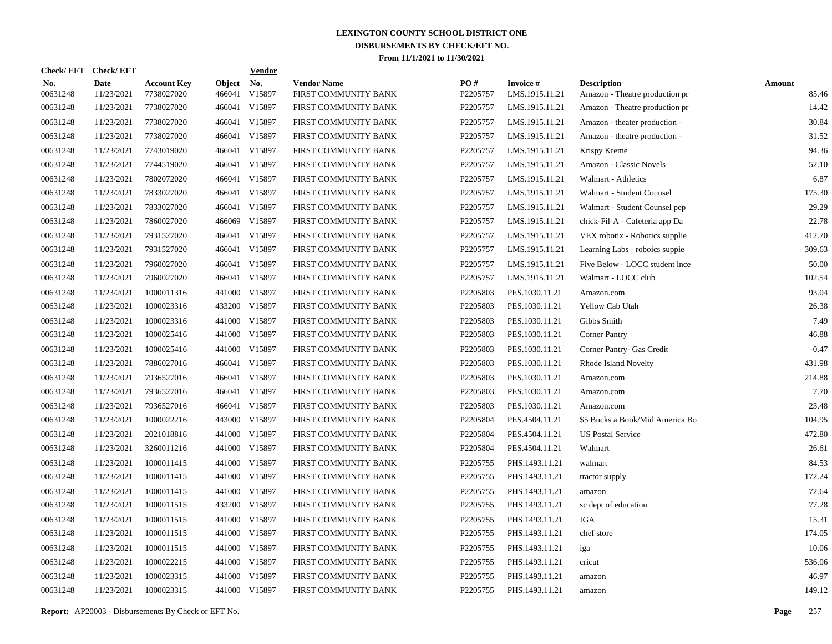| Check/EFT Check/EFT    |                           |                                  |                         | <b>Vendor</b>        |                                            |                 |                                   |                                                      |                        |
|------------------------|---------------------------|----------------------------------|-------------------------|----------------------|--------------------------------------------|-----------------|-----------------------------------|------------------------------------------------------|------------------------|
| <u>No.</u><br>00631248 | <b>Date</b><br>11/23/2021 | <b>Account Key</b><br>7738027020 | <b>Object</b><br>466041 | <u>No.</u><br>V15897 | <b>Vendor Name</b><br>FIRST COMMUNITY BANK | PO#<br>P2205757 | <b>Invoice#</b><br>LMS.1915.11.21 | <b>Description</b><br>Amazon - Theatre production pr | <b>Amount</b><br>85.46 |
| 00631248               | 11/23/2021                | 7738027020                       |                         | 466041 V15897        | FIRST COMMUNITY BANK                       | P2205757        | LMS.1915.11.21                    | Amazon - Theatre production pr                       | 14.42                  |
| 00631248               | 11/23/2021                | 7738027020                       |                         | 466041 V15897        | FIRST COMMUNITY BANK                       | P2205757        | LMS.1915.11.21                    | Amazon - theater production -                        | 30.84                  |
| 00631248               | 11/23/2021                | 7738027020                       |                         | 466041 V15897        | FIRST COMMUNITY BANK                       | P2205757        | LMS.1915.11.21                    | Amazon - theatre production -                        | 31.52                  |
| 00631248               | 11/23/2021                | 7743019020                       |                         | 466041 V15897        | FIRST COMMUNITY BANK                       | P2205757        | LMS.1915.11.21                    | Krispy Kreme                                         | 94.36                  |
| 00631248               | 11/23/2021                | 7744519020                       |                         | 466041 V15897        | FIRST COMMUNITY BANK                       | P2205757        | LMS.1915.11.21                    | Amazon - Classic Novels                              | 52.10                  |
| 00631248               | 11/23/2021                | 7802072020                       |                         | 466041 V15897        | FIRST COMMUNITY BANK                       | P2205757        | LMS.1915.11.21                    | Walmart - Athletics                                  | 6.87                   |
| 00631248               | 11/23/2021                | 7833027020                       |                         | 466041 V15897        | FIRST COMMUNITY BANK                       | P2205757        | LMS.1915.11.21                    | Walmart - Student Counsel                            | 175.30                 |
| 00631248               | 11/23/2021                | 7833027020                       |                         | 466041 V15897        | FIRST COMMUNITY BANK                       | P2205757        | LMS.1915.11.21                    | Walmart - Student Counsel pep                        | 29.29                  |
| 00631248               | 11/23/2021                | 7860027020                       | 466069                  | V15897               | FIRST COMMUNITY BANK                       | P2205757        | LMS.1915.11.21                    | chick-Fil-A - Cafeteria app Da                       | 22.78                  |
| 00631248               | 11/23/2021                | 7931527020                       |                         | 466041 V15897        | FIRST COMMUNITY BANK                       | P2205757        | LMS.1915.11.21                    | VEX robotix - Robotics supplie                       | 412.70                 |
| 00631248               | 11/23/2021                | 7931527020                       |                         | 466041 V15897        | FIRST COMMUNITY BANK                       | P2205757        | LMS.1915.11.21                    | Learning Labs - roboics suppie                       | 309.63                 |
| 00631248               | 11/23/2021                | 7960027020                       |                         | 466041 V15897        | FIRST COMMUNITY BANK                       | P2205757        | LMS.1915.11.21                    | Five Below - LOCC student ince                       | 50.00                  |
| 00631248               | 11/23/2021                | 7960027020                       |                         | 466041 V15897        | FIRST COMMUNITY BANK                       | P2205757        | LMS.1915.11.21                    | Walmart - LOCC club                                  | 102.54                 |
| 00631248               | 11/23/2021                | 1000011316                       |                         | 441000 V15897        | FIRST COMMUNITY BANK                       | P2205803        | PES.1030.11.21                    | Amazon.com.                                          | 93.04                  |
| 00631248               | 11/23/2021                | 1000023316                       |                         | 433200 V15897        | FIRST COMMUNITY BANK                       | P2205803        | PES.1030.11.21                    | Yellow Cab Utah                                      | 26.38                  |
| 00631248               | 11/23/2021                | 1000023316                       |                         | 441000 V15897        | FIRST COMMUNITY BANK                       | P2205803        | PES.1030.11.21                    | Gibbs Smith                                          | 7.49                   |
| 00631248               | 11/23/2021                | 1000025416                       |                         | 441000 V15897        | FIRST COMMUNITY BANK                       | P2205803        | PES.1030.11.21                    | <b>Corner Pantry</b>                                 | 46.88                  |
| 00631248               | 11/23/2021                | 1000025416                       |                         | 441000 V15897        | FIRST COMMUNITY BANK                       | P2205803        | PES.1030.11.21                    | Corner Pantry- Gas Credit                            | $-0.47$                |
| 00631248               | 11/23/2021                | 7886027016                       |                         | 466041 V15897        | FIRST COMMUNITY BANK                       | P2205803        | PES.1030.11.21                    | Rhode Island Novelty                                 | 431.98                 |
| 00631248               | 11/23/2021                | 7936527016                       |                         | 466041 V15897        | FIRST COMMUNITY BANK                       | P2205803        | PES.1030.11.21                    | Amazon.com                                           | 214.88                 |
| 00631248               | 11/23/2021                | 7936527016                       |                         | 466041 V15897        | FIRST COMMUNITY BANK                       | P2205803        | PES.1030.11.21                    | Amazon.com                                           | 7.70                   |
| 00631248               | 11/23/2021                | 7936527016                       |                         | 466041 V15897        | FIRST COMMUNITY BANK                       | P2205803        | PES.1030.11.21                    | Amazon.com                                           | 23.48                  |
| 00631248               | 11/23/2021                | 1000022216                       |                         | 443000 V15897        | FIRST COMMUNITY BANK                       | P2205804        | PES.4504.11.21                    | \$5 Bucks a Book/Mid America Bo                      | 104.95                 |
| 00631248               | 11/23/2021                | 2021018816                       | 441000                  | V15897               | FIRST COMMUNITY BANK                       | P2205804        | PES.4504.11.21                    | <b>US Postal Service</b>                             | 472.80                 |
| 00631248               | 11/23/2021                | 3260011216                       |                         | 441000 V15897        | FIRST COMMUNITY BANK                       | P2205804        | PES.4504.11.21                    | Walmart                                              | 26.61                  |
| 00631248               | 11/23/2021                | 1000011415                       | 441000                  | V15897               | FIRST COMMUNITY BANK                       | P2205755        | PHS.1493.11.21                    | walmart                                              | 84.53                  |
| 00631248               | 11/23/2021                | 1000011415                       |                         | 441000 V15897        | FIRST COMMUNITY BANK                       | P2205755        | PHS.1493.11.21                    | tractor supply                                       | 172.24                 |
| 00631248               | 11/23/2021                | 1000011415                       | 441000                  | V15897               | FIRST COMMUNITY BANK                       | P2205755        | PHS.1493.11.21                    | amazon                                               | 72.64                  |
| 00631248               | 11/23/2021                | 1000011515                       | 433200                  | V15897               | FIRST COMMUNITY BANK                       | P2205755        | PHS.1493.11.21                    | sc dept of education                                 | 77.28                  |
| 00631248               | 11/23/2021                | 1000011515                       | 441000                  | V15897               | FIRST COMMUNITY BANK                       | P2205755        | PHS.1493.11.21                    | <b>IGA</b>                                           | 15.31                  |
| 00631248               | 11/23/2021                | 1000011515                       | 441000                  | V15897               | FIRST COMMUNITY BANK                       | P2205755        | PHS.1493.11.21                    | chef store                                           | 174.05                 |
| 00631248               | 11/23/2021                | 1000011515                       | 441000                  | V15897               | FIRST COMMUNITY BANK                       | P2205755        | PHS.1493.11.21                    | iga                                                  | 10.06                  |
| 00631248               | 11/23/2021                | 1000022215                       |                         | 441000 V15897        | FIRST COMMUNITY BANK                       | P2205755        | PHS.1493.11.21                    | cricut                                               | 536.06                 |
| 00631248               | 11/23/2021                | 1000023315                       | 441000                  | V15897               | FIRST COMMUNITY BANK                       | P2205755        | PHS.1493.11.21                    | amazon                                               | 46.97                  |
| 00631248               | 11/23/2021                | 1000023315                       |                         | 441000 V15897        | FIRST COMMUNITY BANK                       | P2205755        | PHS.1493.11.21                    | amazon                                               | 149.12                 |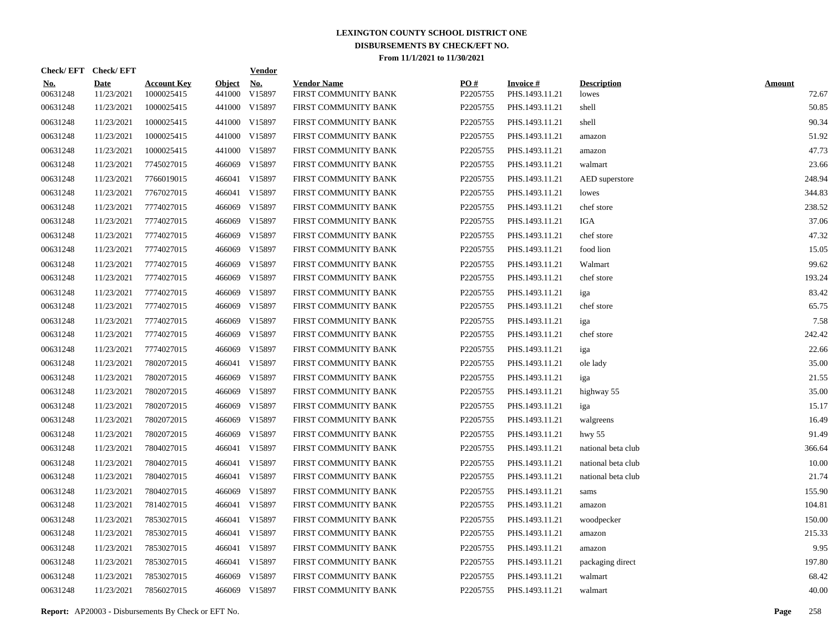| Check/EFT Check/EFT    |                           |                                  |                         | <b>Vendor</b>        |                                            |                 |                                   |                             |                        |
|------------------------|---------------------------|----------------------------------|-------------------------|----------------------|--------------------------------------------|-----------------|-----------------------------------|-----------------------------|------------------------|
| <u>No.</u><br>00631248 | <b>Date</b><br>11/23/2021 | <b>Account Key</b><br>1000025415 | <b>Object</b><br>441000 | <u>No.</u><br>V15897 | <b>Vendor Name</b><br>FIRST COMMUNITY BANK | PO#<br>P2205755 | <b>Invoice#</b><br>PHS.1493.11.21 | <b>Description</b><br>lowes | <b>Amount</b><br>72.67 |
| 00631248               | 11/23/2021                | 1000025415                       |                         | 441000 V15897        | FIRST COMMUNITY BANK                       | P2205755        | PHS.1493.11.21                    | shell                       | 50.85                  |
| 00631248               | 11/23/2021                | 1000025415                       |                         | 441000 V15897        | FIRST COMMUNITY BANK                       | P2205755        | PHS.1493.11.21                    | shell                       | 90.34                  |
| 00631248               | 11/23/2021                | 1000025415                       |                         | 441000 V15897        | FIRST COMMUNITY BANK                       | P2205755        | PHS.1493.11.21                    | amazon                      | 51.92                  |
| 00631248               | 11/23/2021                | 1000025415                       |                         | 441000 V15897        | FIRST COMMUNITY BANK                       | P2205755        | PHS.1493.11.21                    | amazon                      | 47.73                  |
| 00631248               | 11/23/2021                | 7745027015                       | 466069                  | V15897               | FIRST COMMUNITY BANK                       | P2205755        | PHS.1493.11.21                    | walmart                     | 23.66                  |
| 00631248               | 11/23/2021                | 7766019015                       |                         | 466041 V15897        | FIRST COMMUNITY BANK                       | P2205755        | PHS.1493.11.21                    | AED superstore              | 248.94                 |
| 00631248               | 11/23/2021                | 7767027015                       |                         | 466041 V15897        | FIRST COMMUNITY BANK                       | P2205755        | PHS.1493.11.21                    | lowes                       | 344.83                 |
| 00631248               | 11/23/2021                | 7774027015                       | 466069                  | V15897               | FIRST COMMUNITY BANK                       | P2205755        | PHS.1493.11.21                    | chef store                  | 238.52                 |
| 00631248               | 11/23/2021                | 7774027015                       | 466069                  | V15897               | FIRST COMMUNITY BANK                       | P2205755        | PHS.1493.11.21                    | <b>IGA</b>                  | 37.06                  |
| 00631248               | 11/23/2021                | 7774027015                       | 466069                  | V15897               | FIRST COMMUNITY BANK                       | P2205755        | PHS.1493.11.21                    | chef store                  | 47.32                  |
| 00631248               | 11/23/2021                | 7774027015                       | 466069                  | V15897               | FIRST COMMUNITY BANK                       | P2205755        | PHS.1493.11.21                    | food lion                   | 15.05                  |
| 00631248               | 11/23/2021                | 7774027015                       | 466069                  | V15897               | FIRST COMMUNITY BANK                       | P2205755        | PHS.1493.11.21                    | Walmart                     | 99.62                  |
| 00631248               | 11/23/2021                | 7774027015                       | 466069                  | V15897               | FIRST COMMUNITY BANK                       | P2205755        | PHS.1493.11.21                    | chef store                  | 193.24                 |
| 00631248               | 11/23/2021                | 7774027015                       | 466069                  | V15897               | FIRST COMMUNITY BANK                       | P2205755        | PHS.1493.11.21                    | iga                         | 83.42                  |
| 00631248               | 11/23/2021                | 7774027015                       | 466069                  | V15897               | FIRST COMMUNITY BANK                       | P2205755        | PHS.1493.11.21                    | chef store                  | 65.75                  |
| 00631248               | 11/23/2021                | 7774027015                       | 466069                  | V15897               | FIRST COMMUNITY BANK                       | P2205755        | PHS.1493.11.21                    | iga                         | 7.58                   |
| 00631248               | 11/23/2021                | 7774027015                       | 466069                  | V15897               | FIRST COMMUNITY BANK                       | P2205755        | PHS.1493.11.21                    | chef store                  | 242.42                 |
| 00631248               | 11/23/2021                | 7774027015                       | 466069                  | V15897               | FIRST COMMUNITY BANK                       | P2205755        | PHS.1493.11.21                    | iga                         | 22.66                  |
| 00631248               | 11/23/2021                | 7802072015                       |                         | 466041 V15897        | FIRST COMMUNITY BANK                       | P2205755        | PHS.1493.11.21                    | ole lady                    | 35.00                  |
| 00631248               | 11/23/2021                | 7802072015                       | 466069                  | V15897               | FIRST COMMUNITY BANK                       | P2205755        | PHS.1493.11.21                    | iga                         | 21.55                  |
| 00631248               | 11/23/2021                | 7802072015                       | 466069                  | V15897               | FIRST COMMUNITY BANK                       | P2205755        | PHS.1493.11.21                    | highway 55                  | 35.00                  |
| 00631248               | 11/23/2021                | 7802072015                       | 466069                  | V15897               | FIRST COMMUNITY BANK                       | P2205755        | PHS.1493.11.21                    | iga                         | 15.17                  |
| 00631248               | 11/23/2021                | 7802072015                       | 466069                  | V15897               | FIRST COMMUNITY BANK                       | P2205755        | PHS.1493.11.21                    | walgreens                   | 16.49                  |
| 00631248               | 11/23/2021                | 7802072015                       | 466069                  | V15897               | FIRST COMMUNITY BANK                       | P2205755        | PHS.1493.11.21                    | hwy $55$                    | 91.49                  |
| 00631248               | 11/23/2021                | 7804027015                       |                         | 466041 V15897        | FIRST COMMUNITY BANK                       | P2205755        | PHS.1493.11.21                    | national beta club          | 366.64                 |
| 00631248               | 11/23/2021                | 7804027015                       |                         | 466041 V15897        | FIRST COMMUNITY BANK                       | P2205755        | PHS.1493.11.21                    | national beta club          | 10.00                  |
| 00631248               | 11/23/2021                | 7804027015                       |                         | 466041 V15897        | FIRST COMMUNITY BANK                       | P2205755        | PHS.1493.11.21                    | national beta club          | 21.74                  |
| 00631248               | 11/23/2021                | 7804027015                       |                         | 466069 V15897        | FIRST COMMUNITY BANK                       | P2205755        | PHS.1493.11.21                    | sams                        | 155.90                 |
| 00631248               | 11/23/2021                | 7814027015                       |                         | 466041 V15897        | FIRST COMMUNITY BANK                       | P2205755        | PHS.1493.11.21                    | amazon                      | 104.81                 |
| 00631248               | 11/23/2021                | 7853027015                       |                         | 466041 V15897        | FIRST COMMUNITY BANK                       | P2205755        | PHS.1493.11.21                    | woodpecker                  | 150.00                 |
| 00631248               | 11/23/2021                | 7853027015                       |                         | 466041 V15897        | FIRST COMMUNITY BANK                       | P2205755        | PHS.1493.11.21                    | amazon                      | 215.33                 |
| 00631248               | 11/23/2021                | 7853027015                       |                         | 466041 V15897        | FIRST COMMUNITY BANK                       | P2205755        | PHS.1493.11.21                    | amazon                      | 9.95                   |
| 00631248               | 11/23/2021                | 7853027015                       |                         | 466041 V15897        | FIRST COMMUNITY BANK                       | P2205755        | PHS.1493.11.21                    | packaging direct            | 197.80                 |
| 00631248               | 11/23/2021                | 7853027015                       | 466069                  | V15897               | FIRST COMMUNITY BANK                       | P2205755        | PHS.1493.11.21                    | walmart                     | 68.42                  |
| 00631248               | 11/23/2021                | 7856027015                       |                         | 466069 V15897        | FIRST COMMUNITY BANK                       | P2205755        | PHS.1493.11.21                    | walmart                     | 40.00                  |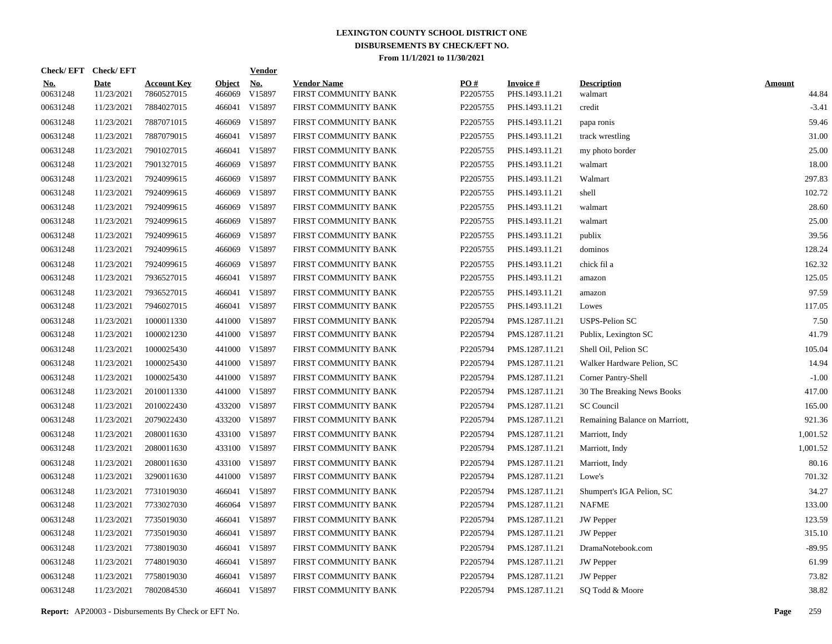|                        | Check/EFT Check/EFT |                                  |                         | <b>Vendor</b>        |                                            |                 |                                   |                                |                        |
|------------------------|---------------------|----------------------------------|-------------------------|----------------------|--------------------------------------------|-----------------|-----------------------------------|--------------------------------|------------------------|
| <u>No.</u><br>00631248 | Date<br>11/23/2021  | <b>Account Key</b><br>7860527015 | <b>Object</b><br>466069 | <u>No.</u><br>V15897 | <b>Vendor Name</b><br>FIRST COMMUNITY BANK | PO#<br>P2205755 | <b>Invoice#</b><br>PHS.1493.11.21 | <b>Description</b><br>walmart  | <b>Amount</b><br>44.84 |
| 00631248               | 11/23/2021          | 7884027015                       | 466041                  | V15897               | FIRST COMMUNITY BANK                       | P2205755        | PHS.1493.11.21                    | credit                         | $-3.41$                |
| 00631248               | 11/23/2021          | 7887071015                       | 466069                  | V15897               | FIRST COMMUNITY BANK                       | P2205755        | PHS.1493.11.21                    | papa ronis                     | 59.46                  |
| 00631248               | 11/23/2021          | 7887079015                       | 466041                  | V15897               | FIRST COMMUNITY BANK                       | P2205755        | PHS.1493.11.21                    | track wrestling                | 31.00                  |
| 00631248               | 11/23/2021          | 7901027015                       | 466041                  | V15897               | FIRST COMMUNITY BANK                       | P2205755        | PHS.1493.11.21                    | my photo border                | 25.00                  |
| 00631248               | 11/23/2021          | 7901327015                       | 466069                  | V15897               | FIRST COMMUNITY BANK                       | P2205755        | PHS.1493.11.21                    | walmart                        | 18.00                  |
| 00631248               | 11/23/2021          | 7924099615                       | 466069                  | V15897               | FIRST COMMUNITY BANK                       | P2205755        | PHS.1493.11.21                    | Walmart                        | 297.83                 |
| 00631248               | 11/23/2021          | 7924099615                       | 466069                  | V15897               | FIRST COMMUNITY BANK                       | P2205755        | PHS.1493.11.21                    | shell                          | 102.72                 |
| 00631248               | 11/23/2021          | 7924099615                       | 466069                  | V15897               | FIRST COMMUNITY BANK                       | P2205755        | PHS.1493.11.21                    | walmart                        | 28.60                  |
| 00631248               | 11/23/2021          | 7924099615                       | 466069                  | V15897               | FIRST COMMUNITY BANK                       | P2205755        | PHS.1493.11.21                    | walmart                        | 25.00                  |
| 00631248               | 11/23/2021          | 7924099615                       | 466069                  | V15897               | FIRST COMMUNITY BANK                       | P2205755        | PHS.1493.11.21                    | publix                         | 39.56                  |
| 00631248               | 11/23/2021          | 7924099615                       | 466069                  | V15897               | FIRST COMMUNITY BANK                       | P2205755        | PHS.1493.11.21                    | dominos                        | 128.24                 |
| 00631248               | 11/23/2021          | 7924099615                       | 466069                  | V15897               | FIRST COMMUNITY BANK                       | P2205755        | PHS.1493.11.21                    | chick fil a                    | 162.32                 |
| 00631248               | 11/23/2021          | 7936527015                       | 466041                  | V15897               | FIRST COMMUNITY BANK                       | P2205755        | PHS.1493.11.21                    | amazon                         | 125.05                 |
| 00631248               | 11/23/2021          | 7936527015                       | 466041                  | V15897               | FIRST COMMUNITY BANK                       | P2205755        | PHS.1493.11.21                    | amazon                         | 97.59                  |
| 00631248               | 11/23/2021          | 7946027015                       |                         | 466041 V15897        | FIRST COMMUNITY BANK                       | P2205755        | PHS.1493.11.21                    | Lowes                          | 117.05                 |
| 00631248               | 11/23/2021          | 1000011330                       |                         | 441000 V15897        | FIRST COMMUNITY BANK                       | P2205794        | PMS.1287.11.21                    | <b>USPS-Pelion SC</b>          | 7.50                   |
| 00631248               | 11/23/2021          | 1000021230                       |                         | 441000 V15897        | FIRST COMMUNITY BANK                       | P2205794        | PMS.1287.11.21                    | Publix, Lexington SC           | 41.79                  |
| 00631248               | 11/23/2021          | 1000025430                       |                         | 441000 V15897        | FIRST COMMUNITY BANK                       | P2205794        | PMS.1287.11.21                    | Shell Oil, Pelion SC           | 105.04                 |
| 00631248               | 11/23/2021          | 1000025430                       |                         | 441000 V15897        | FIRST COMMUNITY BANK                       | P2205794        | PMS.1287.11.21                    | Walker Hardware Pelion, SC     | 14.94                  |
| 00631248               | 11/23/2021          | 1000025430                       |                         | 441000 V15897        | FIRST COMMUNITY BANK                       | P2205794        | PMS.1287.11.21                    | Corner Pantry-Shell            | $-1.00$                |
| 00631248               | 11/23/2021          | 2010011330                       |                         | 441000 V15897        | FIRST COMMUNITY BANK                       | P2205794        | PMS.1287.11.21                    | 30 The Breaking News Books     | 417.00                 |
| 00631248               | 11/23/2021          | 2010022430                       |                         | 433200 V15897        | FIRST COMMUNITY BANK                       | P2205794        | PMS.1287.11.21                    | <b>SC</b> Council              | 165.00                 |
| 00631248               | 11/23/2021          | 2079022430                       |                         | 433200 V15897        | FIRST COMMUNITY BANK                       | P2205794        | PMS.1287.11.21                    | Remaining Balance on Marriott, | 921.36                 |
| 00631248               | 11/23/2021          | 2080011630                       |                         | 433100 V15897        | FIRST COMMUNITY BANK                       | P2205794        | PMS.1287.11.21                    | Marriott, Indy                 | 1,001.52               |
| 00631248               | 11/23/2021          | 2080011630                       |                         | 433100 V15897        | FIRST COMMUNITY BANK                       | P2205794        | PMS.1287.11.21                    | Marriott, Indy                 | 1,001.52               |
| 00631248               | 11/23/2021          | 2080011630                       |                         | 433100 V15897        | FIRST COMMUNITY BANK                       | P2205794        | PMS.1287.11.21                    | Marriott, Indy                 | 80.16                  |
| 00631248               | 11/23/2021          | 3290011630                       |                         | 441000 V15897        | FIRST COMMUNITY BANK                       | P2205794        | PMS.1287.11.21                    | Lowe's                         | 701.32                 |
| 00631248               | 11/23/2021          | 7731019030                       | 466041                  | V15897               | FIRST COMMUNITY BANK                       | P2205794        | PMS.1287.11.21                    | Shumpert's IGA Pelion, SC      | 34.27                  |
| 00631248               | 11/23/2021          | 7733027030                       |                         | 466064 V15897        | FIRST COMMUNITY BANK                       | P2205794        | PMS.1287.11.21                    | <b>NAFME</b>                   | 133.00                 |
| 00631248               | 11/23/2021          | 7735019030                       | 466041                  | V15897               | FIRST COMMUNITY BANK                       | P2205794        | PMS.1287.11.21                    | <b>JW</b> Pepper               | 123.59                 |
| 00631248               | 11/23/2021          | 7735019030                       | 466041                  | V15897               | FIRST COMMUNITY BANK                       | P2205794        | PMS.1287.11.21                    | <b>JW</b> Pepper               | 315.10                 |
| 00631248               | 11/23/2021          | 7738019030                       | 466041                  | V15897               | FIRST COMMUNITY BANK                       | P2205794        | PMS.1287.11.21                    | DramaNotebook.com              | $-89.95$               |
| 00631248               | 11/23/2021          | 7748019030                       | 466041                  | V15897               | FIRST COMMUNITY BANK                       | P2205794        | PMS.1287.11.21                    | <b>JW</b> Pepper               | 61.99                  |
| 00631248               | 11/23/2021          | 7758019030                       | 466041                  | V15897               | FIRST COMMUNITY BANK                       | P2205794        | PMS.1287.11.21                    | JW Pepper                      | 73.82                  |
| 00631248               | 11/23/2021          | 7802084530                       |                         | 466041 V15897        | FIRST COMMUNITY BANK                       | P2205794        | PMS.1287.11.21                    | SQ Todd & Moore                | 38.82                  |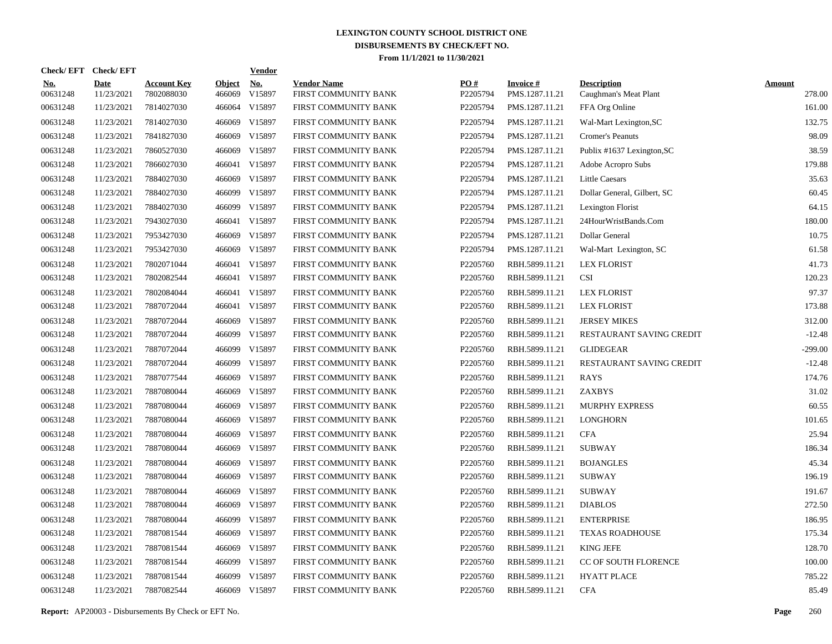|                        | Check/EFT Check/EFT       |                                  |                         | <b>Vendor</b>                         |                                            |                 |                                   |                                             |                         |
|------------------------|---------------------------|----------------------------------|-------------------------|---------------------------------------|--------------------------------------------|-----------------|-----------------------------------|---------------------------------------------|-------------------------|
| <u>No.</u><br>00631248 | <b>Date</b><br>11/23/2021 | <b>Account Key</b><br>7802088030 | <b>Object</b><br>466069 | $\underline{\mathrm{No}}$ .<br>V15897 | <b>Vendor Name</b><br>FIRST COMMUNITY BANK | PO#<br>P2205794 | <b>Invoice#</b><br>PMS.1287.11.21 | <b>Description</b><br>Caughman's Meat Plant | <b>Amount</b><br>278.00 |
| 00631248               | 11/23/2021                | 7814027030                       | 466064                  | V15897                                | FIRST COMMUNITY BANK                       | P2205794        | PMS.1287.11.21                    | FFA Org Online                              | 161.00                  |
| 00631248               | 11/23/2021                | 7814027030                       | 466069                  | V15897                                | FIRST COMMUNITY BANK                       | P2205794        | PMS.1287.11.21                    | Wal-Mart Lexington, SC                      | 132.75                  |
| 00631248               | 11/23/2021                | 7841827030                       | 466069                  | V15897                                | FIRST COMMUNITY BANK                       | P2205794        | PMS.1287.11.21                    | <b>Cromer's Peanuts</b>                     | 98.09                   |
| 00631248               | 11/23/2021                | 7860527030                       |                         | 466069 V15897                         | FIRST COMMUNITY BANK                       | P2205794        | PMS.1287.11.21                    | Publix #1637 Lexington, SC                  | 38.59                   |
| 00631248               | 11/23/2021                | 7866027030                       |                         | 466041 V15897                         | FIRST COMMUNITY BANK                       | P2205794        | PMS.1287.11.21                    | Adobe Acropro Subs                          | 179.88                  |
| 00631248               | 11/23/2021                | 7884027030                       |                         | 466069 V15897                         | FIRST COMMUNITY BANK                       | P2205794        | PMS.1287.11.21                    | <b>Little Caesars</b>                       | 35.63                   |
| 00631248               | 11/23/2021                | 7884027030                       |                         | 466099 V15897                         | FIRST COMMUNITY BANK                       | P2205794        | PMS.1287.11.21                    | Dollar General, Gilbert, SC                 | 60.45                   |
| 00631248               | 11/23/2021                | 7884027030                       |                         | 466099 V15897                         | FIRST COMMUNITY BANK                       | P2205794        | PMS.1287.11.21                    | Lexington Florist                           | 64.15                   |
| 00631248               | 11/23/2021                | 7943027030                       |                         | 466041 V15897                         | FIRST COMMUNITY BANK                       | P2205794        | PMS.1287.11.21                    | 24HourWristBands.Com                        | 180.00                  |
| 00631248               | 11/23/2021                | 7953427030                       |                         | 466069 V15897                         | FIRST COMMUNITY BANK                       | P2205794        | PMS.1287.11.21                    | Dollar General                              | 10.75                   |
| 00631248               | 11/23/2021                | 7953427030                       |                         | 466069 V15897                         | FIRST COMMUNITY BANK                       | P2205794        | PMS.1287.11.21                    | Wal-Mart Lexington, SC                      | 61.58                   |
| 00631248               | 11/23/2021                | 7802071044                       |                         | 466041 V15897                         | FIRST COMMUNITY BANK                       | P2205760        | RBH.5899.11.21                    | <b>LEX FLORIST</b>                          | 41.73                   |
| 00631248               | 11/23/2021                | 7802082544                       |                         | 466041 V15897                         | FIRST COMMUNITY BANK                       | P2205760        | RBH.5899.11.21                    | <b>CSI</b>                                  | 120.23                  |
| 00631248               | 11/23/2021                | 7802084044                       |                         | 466041 V15897                         | FIRST COMMUNITY BANK                       | P2205760        | RBH.5899.11.21                    | <b>LEX FLORIST</b>                          | 97.37                   |
| 00631248               | 11/23/2021                | 7887072044                       |                         | 466041 V15897                         | FIRST COMMUNITY BANK                       | P2205760        | RBH.5899.11.21                    | <b>LEX FLORIST</b>                          | 173.88                  |
| 00631248               | 11/23/2021                | 7887072044                       |                         | 466069 V15897                         | FIRST COMMUNITY BANK                       | P2205760        | RBH.5899.11.21                    | <b>JERSEY MIKES</b>                         | 312.00                  |
| 00631248               | 11/23/2021                | 7887072044                       |                         | 466099 V15897                         | FIRST COMMUNITY BANK                       | P2205760        | RBH.5899.11.21                    | RESTAURANT SAVING CREDIT                    | $-12.48$                |
| 00631248               | 11/23/2021                | 7887072044                       |                         | 466099 V15897                         | FIRST COMMUNITY BANK                       | P2205760        | RBH.5899.11.21                    | <b>GLIDEGEAR</b>                            | $-299.00$               |
| 00631248               | 11/23/2021                | 7887072044                       |                         | 466099 V15897                         | FIRST COMMUNITY BANK                       | P2205760        | RBH.5899.11.21                    | RESTAURANT SAVING CREDIT                    | $-12.48$                |
| 00631248               | 11/23/2021                | 7887077544                       | 466069                  | V15897                                | FIRST COMMUNITY BANK                       | P2205760        | RBH.5899.11.21                    | RAYS                                        | 174.76                  |
| 00631248               | 11/23/2021                | 7887080044                       |                         | 466069 V15897                         | FIRST COMMUNITY BANK                       | P2205760        | RBH.5899.11.21                    | ZAXBYS                                      | 31.02                   |
| 00631248               | 11/23/2021                | 7887080044                       | 466069                  | V15897                                | FIRST COMMUNITY BANK                       | P2205760        | RBH.5899.11.21                    | <b>MURPHY EXPRESS</b>                       | 60.55                   |
| 00631248               | 11/23/2021                | 7887080044                       | 466069                  | V15897                                | FIRST COMMUNITY BANK                       | P2205760        | RBH.5899.11.21                    | <b>LONGHORN</b>                             | 101.65                  |
| 00631248               | 11/23/2021                | 7887080044                       | 466069                  | V15897                                | FIRST COMMUNITY BANK                       | P2205760        | RBH.5899.11.21                    | <b>CFA</b>                                  | 25.94                   |
| 00631248               | 11/23/2021                | 7887080044                       | 466069                  | V15897                                | FIRST COMMUNITY BANK                       | P2205760        | RBH.5899.11.21                    | SUBWAY                                      | 186.34                  |
| 00631248               | 11/23/2021                | 7887080044                       | 466069                  | V15897                                | FIRST COMMUNITY BANK                       | P2205760        | RBH.5899.11.21                    | <b>BOJANGLES</b>                            | 45.34                   |
| 00631248               | 11/23/2021                | 7887080044                       | 466069                  | V15897                                | FIRST COMMUNITY BANK                       | P2205760        | RBH.5899.11.21                    | <b>SUBWAY</b>                               | 196.19                  |
| 00631248               | 11/23/2021                | 7887080044                       | 466069                  | V15897                                | FIRST COMMUNITY BANK                       | P2205760        | RBH.5899.11.21                    | <b>SUBWAY</b>                               | 191.67                  |
| 00631248               | 11/23/2021                | 7887080044                       | 466069                  | V15897                                | FIRST COMMUNITY BANK                       | P2205760        | RBH.5899.11.21                    | <b>DIABLOS</b>                              | 272.50                  |
| 00631248               | 11/23/2021                | 7887080044                       | 466099                  | V15897                                | FIRST COMMUNITY BANK                       | P2205760        | RBH.5899.11.21                    | <b>ENTERPRISE</b>                           | 186.95                  |
| 00631248               | 11/23/2021                | 7887081544                       | 466069                  | V15897                                | FIRST COMMUNITY BANK                       | P2205760        | RBH.5899.11.21                    | <b>TEXAS ROADHOUSE</b>                      | 175.34                  |
| 00631248               | 11/23/2021                | 7887081544                       | 466069                  | V15897                                | FIRST COMMUNITY BANK                       | P2205760        | RBH.5899.11.21                    | <b>KING JEFE</b>                            | 128.70                  |
| 00631248               | 11/23/2021                | 7887081544                       | 466099                  | V15897                                | FIRST COMMUNITY BANK                       | P2205760        | RBH.5899.11.21                    | CC OF SOUTH FLORENCE                        | 100.00                  |
| 00631248               | 11/23/2021                | 7887081544                       | 466099                  | V15897                                | FIRST COMMUNITY BANK                       | P2205760        | RBH.5899.11.21                    | <b>HYATT PLACE</b>                          | 785.22                  |
| 00631248               | 11/23/2021                | 7887082544                       |                         | 466069 V15897                         | FIRST COMMUNITY BANK                       | P2205760        | RBH.5899.11.21                    | <b>CFA</b>                                  | 85.49                   |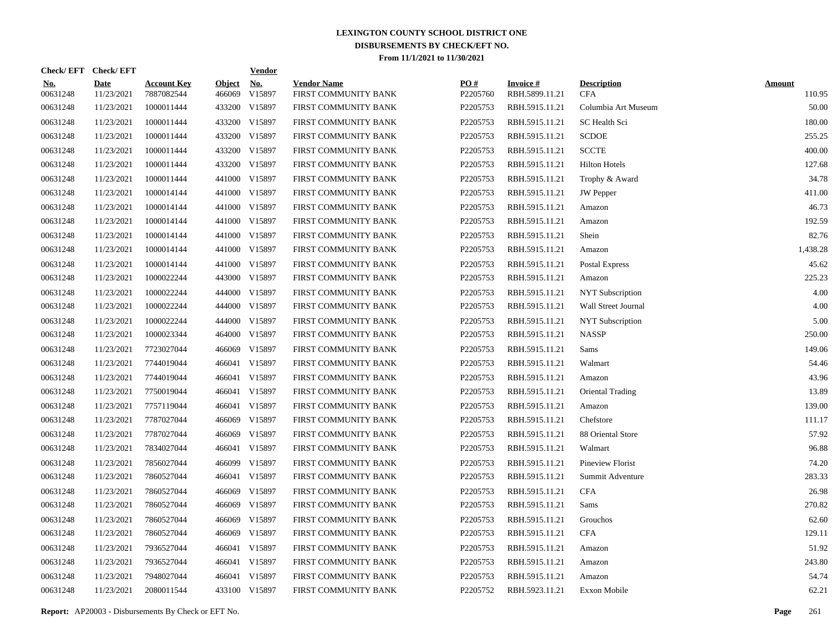|                        | Check/EFT Check/EFT       |                                  |                         | <b>Vendor</b>        |                                            |                 |                                   |                                  |                         |
|------------------------|---------------------------|----------------------------------|-------------------------|----------------------|--------------------------------------------|-----------------|-----------------------------------|----------------------------------|-------------------------|
| <u>No.</u><br>00631248 | <b>Date</b><br>11/23/2021 | <b>Account Key</b><br>7887082544 | <b>Object</b><br>466069 | <u>No.</u><br>V15897 | <b>Vendor Name</b><br>FIRST COMMUNITY BANK | PO#<br>P2205760 | <b>Invoice#</b><br>RBH.5899.11.21 | <b>Description</b><br><b>CFA</b> | <b>Amount</b><br>110.95 |
| 00631248               | 11/23/2021                | 1000011444                       |                         | 433200 V15897        | FIRST COMMUNITY BANK                       | P2205753        | RBH.5915.11.21                    | Columbia Art Museum              | 50.00                   |
| 00631248               | 11/23/2021                | 1000011444                       |                         | 433200 V15897        | FIRST COMMUNITY BANK                       | P2205753        | RBH.5915.11.21                    | SC Health Sci                    | 180.00                  |
| 00631248               | 11/23/2021                | 1000011444                       |                         | 433200 V15897        | FIRST COMMUNITY BANK                       | P2205753        | RBH.5915.11.21                    | <b>SCDOE</b>                     | 255.25                  |
| 00631248               | 11/23/2021                | 1000011444                       |                         | 433200 V15897        | FIRST COMMUNITY BANK                       | P2205753        | RBH.5915.11.21                    | <b>SCCTE</b>                     | 400.00                  |
| 00631248               | 11/23/2021                | 1000011444                       |                         | 433200 V15897        | FIRST COMMUNITY BANK                       | P2205753        | RBH.5915.11.21                    | <b>Hilton Hotels</b>             | 127.68                  |
| 00631248               | 11/23/2021                | 1000011444                       |                         | 441000 V15897        | FIRST COMMUNITY BANK                       | P2205753        | RBH.5915.11.21                    | Trophy & Award                   | 34.78                   |
| 00631248               | 11/23/2021                | 1000014144                       |                         | 441000 V15897        | FIRST COMMUNITY BANK                       | P2205753        | RBH.5915.11.21                    | <b>JW</b> Pepper                 | 411.00                  |
| 00631248               | 11/23/2021                | 1000014144                       |                         | 441000 V15897        | FIRST COMMUNITY BANK                       | P2205753        | RBH.5915.11.21                    | Amazon                           | 46.73                   |
| 00631248               | 11/23/2021                | 1000014144                       |                         | 441000 V15897        | FIRST COMMUNITY BANK                       | P2205753        | RBH.5915.11.21                    | Amazon                           | 192.59                  |
| 00631248               | 11/23/2021                | 1000014144                       |                         | 441000 V15897        | FIRST COMMUNITY BANK                       | P2205753        | RBH.5915.11.21                    | Shein                            | 82.76                   |
| 00631248               | 11/23/2021                | 1000014144                       |                         | 441000 V15897        | FIRST COMMUNITY BANK                       | P2205753        | RBH.5915.11.21                    | Amazon                           | 1,438.28                |
| 00631248               | 11/23/2021                | 1000014144                       |                         | 441000 V15897        | FIRST COMMUNITY BANK                       | P2205753        | RBH.5915.11.21                    | Postal Express                   | 45.62                   |
| 00631248               | 11/23/2021                | 1000022244                       |                         | 443000 V15897        | FIRST COMMUNITY BANK                       | P2205753        | RBH.5915.11.21                    | Amazon                           | 225.23                  |
| 00631248               | 11/23/2021                | 1000022244                       |                         | 444000 V15897        | FIRST COMMUNITY BANK                       | P2205753        | RBH.5915.11.21                    | <b>NYT</b> Subscription          | 4.00                    |
| 00631248               | 11/23/2021                | 1000022244                       |                         | 444000 V15897        | FIRST COMMUNITY BANK                       | P2205753        | RBH.5915.11.21                    | Wall Street Journal              | 4.00                    |
| 00631248               | 11/23/2021                | 1000022244                       |                         | 444000 V15897        | FIRST COMMUNITY BANK                       | P2205753        | RBH.5915.11.21                    | <b>NYT</b> Subscription          | 5.00                    |
| 00631248               | 11/23/2021                | 1000023344                       |                         | 464000 V15897        | FIRST COMMUNITY BANK                       | P2205753        | RBH.5915.11.21                    | <b>NASSP</b>                     | 250.00                  |
| 00631248               | 11/23/2021                | 7723027044                       | 466069                  | V15897               | FIRST COMMUNITY BANK                       | P2205753        | RBH.5915.11.21                    | Sams                             | 149.06                  |
| 00631248               | 11/23/2021                | 7744019044                       |                         | 466041 V15897        | FIRST COMMUNITY BANK                       | P2205753        | RBH.5915.11.21                    | Walmart                          | 54.46                   |
| 00631248               | 11/23/2021                | 7744019044                       |                         | 466041 V15897        | FIRST COMMUNITY BANK                       | P2205753        | RBH.5915.11.21                    | Amazon                           | 43.96                   |
| 00631248               | 11/23/2021                | 7750019044                       |                         | 466041 V15897        | FIRST COMMUNITY BANK                       | P2205753        | RBH.5915.11.21                    | Oriental Trading                 | 13.89                   |
| 00631248               | 11/23/2021                | 7757119044                       |                         | 466041 V15897        | FIRST COMMUNITY BANK                       | P2205753        | RBH.5915.11.21                    | Amazon                           | 139.00                  |
| 00631248               | 11/23/2021                | 7787027044                       | 466069                  | V15897               | FIRST COMMUNITY BANK                       | P2205753        | RBH.5915.11.21                    | Chefstore                        | 111.17                  |
| 00631248               | 11/23/2021                | 7787027044                       | 466069                  | V15897               | FIRST COMMUNITY BANK                       | P2205753        | RBH.5915.11.21                    | 88 Oriental Store                | 57.92                   |
| 00631248               | 11/23/2021                | 7834027044                       |                         | 466041 V15897        | FIRST COMMUNITY BANK                       | P2205753        | RBH.5915.11.21                    | Walmart                          | 96.88                   |
| 00631248               | 11/23/2021                | 7856027044                       |                         | 466099 V15897        | FIRST COMMUNITY BANK                       | P2205753        | RBH.5915.11.21                    | Pineview Florist                 | 74.20                   |
| 00631248               | 11/23/2021                | 7860527044                       |                         | 466041 V15897        | FIRST COMMUNITY BANK                       | P2205753        | RBH.5915.11.21                    | Summit Adventure                 | 283.33                  |
| 00631248               | 11/23/2021                | 7860527044                       | 466069                  | V15897               | FIRST COMMUNITY BANK                       | P2205753        | RBH.5915.11.21                    | <b>CFA</b>                       | 26.98                   |
| 00631248               | 11/23/2021                | 7860527044                       | 466069                  | V15897               | FIRST COMMUNITY BANK                       | P2205753        | RBH.5915.11.21                    | <b>Sams</b>                      | 270.82                  |
| 00631248               | 11/23/2021                | 7860527044                       | 466069                  | V15897               | FIRST COMMUNITY BANK                       | P2205753        | RBH.5915.11.21                    | Grouchos                         | 62.60                   |
| 00631248               | 11/23/2021                | 7860527044                       | 466069                  | V15897               | FIRST COMMUNITY BANK                       | P2205753        | RBH.5915.11.21                    | <b>CFA</b>                       | 129.11                  |
| 00631248               | 11/23/2021                | 7936527044                       |                         | 466041 V15897        | FIRST COMMUNITY BANK                       | P2205753        | RBH.5915.11.21                    | Amazon                           | 51.92                   |
| 00631248               | 11/23/2021                | 7936527044                       |                         | 466041 V15897        | FIRST COMMUNITY BANK                       | P2205753        | RBH.5915.11.21                    | Amazon                           | 243.80                  |
| 00631248               | 11/23/2021                | 7948027044                       |                         | 466041 V15897        | FIRST COMMUNITY BANK                       | P2205753        | RBH.5915.11.21                    | Amazon                           | 54.74                   |
| 00631248               | 11/23/2021                | 2080011544                       |                         | 433100 V15897        | FIRST COMMUNITY BANK                       | P2205752        | RBH.5923.11.21                    | <b>Exxon Mobile</b>              | 62.21                   |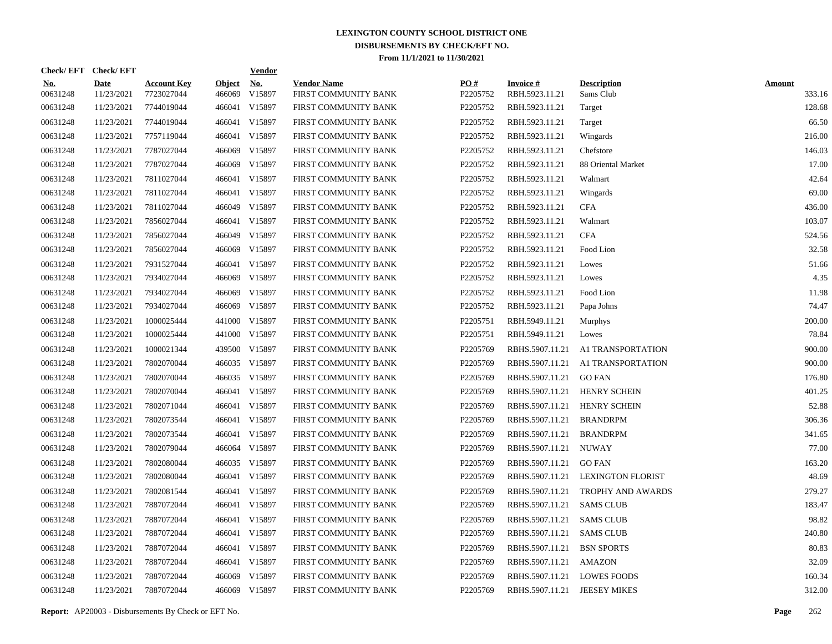|                        | Check/EFT Check/EFT       |                                  |                         | <b>Vendor</b> |                                            |                 |                                   |                                   |                         |
|------------------------|---------------------------|----------------------------------|-------------------------|---------------|--------------------------------------------|-----------------|-----------------------------------|-----------------------------------|-------------------------|
| <u>No.</u><br>00631248 | <b>Date</b><br>11/23/2021 | <b>Account Key</b><br>7723027044 | <b>Object</b><br>466069 | No.<br>V15897 | <b>Vendor Name</b><br>FIRST COMMUNITY BANK | PO#<br>P2205752 | <b>Invoice#</b><br>RBH.5923.11.21 | <b>Description</b><br>Sams Club   | <b>Amount</b><br>333.16 |
| 00631248               | 11/23/2021                | 7744019044                       | 466041                  | V15897        | FIRST COMMUNITY BANK                       | P2205752        | RBH.5923.11.21                    | Target                            | 128.68                  |
| 00631248               | 11/23/2021                | 7744019044                       | 466041                  | V15897        | FIRST COMMUNITY BANK                       | P2205752        | RBH.5923.11.21                    | Target                            | 66.50                   |
| 00631248               | 11/23/2021                | 7757119044                       | 466041                  | V15897        | FIRST COMMUNITY BANK                       | P2205752        | RBH.5923.11.21                    | Wingards                          | 216.00                  |
| 00631248               | 11/23/2021                | 7787027044                       | 466069                  | V15897        | FIRST COMMUNITY BANK                       | P2205752        | RBH.5923.11.21                    | Chefstore                         | 146.03                  |
| 00631248               | 11/23/2021                | 7787027044                       | 466069                  | V15897        | FIRST COMMUNITY BANK                       | P2205752        | RBH.5923.11.21                    | 88 Oriental Market                | 17.00                   |
| 00631248               | 11/23/2021                | 7811027044                       | 466041                  | V15897        | FIRST COMMUNITY BANK                       | P2205752        | RBH.5923.11.21                    | Walmart                           | 42.64                   |
| 00631248               | 11/23/2021                | 7811027044                       | 466041                  | V15897        | FIRST COMMUNITY BANK                       | P2205752        | RBH.5923.11.21                    | Wingards                          | 69.00                   |
| 00631248               | 11/23/2021                | 7811027044                       |                         | 466049 V15897 | FIRST COMMUNITY BANK                       | P2205752        | RBH.5923.11.21                    | <b>CFA</b>                        | 436.00                  |
| 00631248               | 11/23/2021                | 7856027044                       | 466041                  | V15897        | FIRST COMMUNITY BANK                       | P2205752        | RBH.5923.11.21                    | Walmart                           | 103.07                  |
| 00631248               | 11/23/2021                | 7856027044                       |                         | 466049 V15897 | FIRST COMMUNITY BANK                       | P2205752        | RBH.5923.11.21                    | <b>CFA</b>                        | 524.56                  |
| 00631248               | 11/23/2021                | 7856027044                       | 466069                  | V15897        | FIRST COMMUNITY BANK                       | P2205752        | RBH.5923.11.21                    | Food Lion                         | 32.58                   |
| 00631248               | 11/23/2021                | 7931527044                       |                         | 466041 V15897 | FIRST COMMUNITY BANK                       | P2205752        | RBH.5923.11.21                    | Lowes                             | 51.66                   |
| 00631248               | 11/23/2021                | 7934027044                       |                         | 466069 V15897 | FIRST COMMUNITY BANK                       | P2205752        | RBH.5923.11.21                    | Lowes                             | 4.35                    |
| 00631248               | 11/23/2021                | 7934027044                       | 466069                  | V15897        | FIRST COMMUNITY BANK                       | P2205752        | RBH.5923.11.21                    | Food Lion                         | 11.98                   |
| 00631248               | 11/23/2021                | 7934027044                       |                         | 466069 V15897 | FIRST COMMUNITY BANK                       | P2205752        | RBH.5923.11.21                    | Papa Johns                        | 74.47                   |
| 00631248               | 11/23/2021                | 1000025444                       |                         | 441000 V15897 | FIRST COMMUNITY BANK                       | P2205751        | RBH.5949.11.21                    | <b>Murphys</b>                    | 200.00                  |
| 00631248               | 11/23/2021                | 1000025444                       |                         | 441000 V15897 | FIRST COMMUNITY BANK                       | P2205751        | RBH.5949.11.21                    | Lowes                             | 78.84                   |
| 00631248               | 11/23/2021                | 1000021344                       |                         | 439500 V15897 | FIRST COMMUNITY BANK                       | P2205769        | RBHS.5907.11.21                   | A1 TRANSPORTATION                 | 900.00                  |
| 00631248               | 11/23/2021                | 7802070044                       |                         | 466035 V15897 | FIRST COMMUNITY BANK                       | P2205769        |                                   | RBHS.5907.11.21 A1 TRANSPORTATION | 900.00                  |
| 00631248               | 11/23/2021                | 7802070044                       |                         | 466035 V15897 | FIRST COMMUNITY BANK                       | P2205769        | RBHS.5907.11.21                   | <b>GO FAN</b>                     | 176.80                  |
| 00631248               | 11/23/2021                | 7802070044                       |                         | 466041 V15897 | FIRST COMMUNITY BANK                       | P2205769        | RBHS.5907.11.21                   | <b>HENRY SCHEIN</b>               | 401.25                  |
| 00631248               | 11/23/2021                | 7802071044                       | 466041                  | V15897        | FIRST COMMUNITY BANK                       | P2205769        | RBHS.5907.11.21                   | <b>HENRY SCHEIN</b>               | 52.88                   |
| 00631248               | 11/23/2021                | 7802073544                       |                         | 466041 V15897 | FIRST COMMUNITY BANK                       | P2205769        | RBHS.5907.11.21                   | <b>BRANDRPM</b>                   | 306.36                  |
| 00631248               | 11/23/2021                | 7802073544                       | 466041                  | V15897        | FIRST COMMUNITY BANK                       | P2205769        | RBHS.5907.11.21                   | <b>BRANDRPM</b>                   | 341.65                  |
| 00631248               | 11/23/2021                | 7802079044                       |                         | 466064 V15897 | FIRST COMMUNITY BANK                       | P2205769        | RBHS.5907.11.21                   | NUWAY                             | 77.00                   |
| 00631248               | 11/23/2021                | 7802080044                       |                         | 466035 V15897 | FIRST COMMUNITY BANK                       | P2205769        | RBHS.5907.11.21                   | <b>GO FAN</b>                     | 163.20                  |
| 00631248               | 11/23/2021                | 7802080044                       |                         | 466041 V15897 | FIRST COMMUNITY BANK                       | P2205769        | RBHS.5907.11.21                   | <b>LEXINGTON FLORIST</b>          | 48.69                   |
| 00631248               | 11/23/2021                | 7802081544                       | 466041                  | V15897        | FIRST COMMUNITY BANK                       | P2205769        | RBHS.5907.11.21                   | <b>TROPHY AND AWARDS</b>          | 279.27                  |
| 00631248               | 11/23/2021                | 7887072044                       |                         | 466041 V15897 | FIRST COMMUNITY BANK                       | P2205769        | RBHS.5907.11.21                   | <b>SAMS CLUB</b>                  | 183.47                  |
| 00631248               | 11/23/2021                | 7887072044                       | 466041                  | V15897        | FIRST COMMUNITY BANK                       | P2205769        | RBHS.5907.11.21                   | <b>SAMS CLUB</b>                  | 98.82                   |
| 00631248               | 11/23/2021                | 7887072044                       | 466041                  | V15897        | FIRST COMMUNITY BANK                       | P2205769        | RBHS.5907.11.21                   | SAMS CLUB                         | 240.80                  |
| 00631248               | 11/23/2021                | 7887072044                       | 466041                  | V15897        | FIRST COMMUNITY BANK                       | P2205769        | RBHS.5907.11.21                   | <b>BSN SPORTS</b>                 | 80.83                   |
| 00631248               | 11/23/2021                | 7887072044                       | 466041                  | V15897        | FIRST COMMUNITY BANK                       | P2205769        | RBHS.5907.11.21                   | AMAZON                            | 32.09                   |
| 00631248               | 11/23/2021                | 7887072044                       | 466069                  | V15897        | FIRST COMMUNITY BANK                       | P2205769        | RBHS.5907.11.21                   | <b>LOWES FOODS</b>                | 160.34                  |
| 00631248               | 11/23/2021                | 7887072044                       |                         | 466069 V15897 | FIRST COMMUNITY BANK                       | P2205769        | RBHS.5907.11.21 JEESEY MIKES      |                                   | 312.00                  |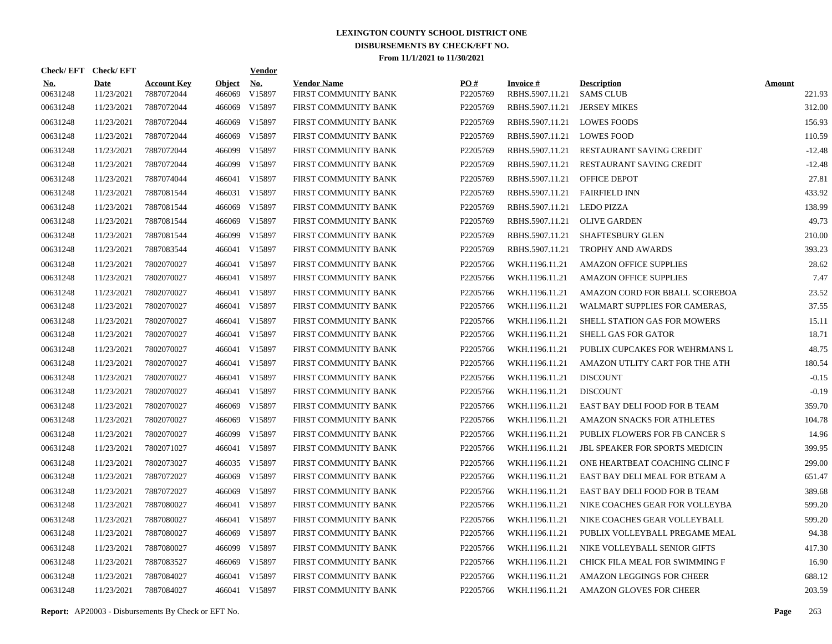| Check/EFT Check/EFT    |                           |                                  |                         | <b>Vendor</b>        |                                            |                 |                                    |                                        |                         |
|------------------------|---------------------------|----------------------------------|-------------------------|----------------------|--------------------------------------------|-----------------|------------------------------------|----------------------------------------|-------------------------|
| <b>No.</b><br>00631248 | <b>Date</b><br>11/23/2021 | <b>Account Key</b><br>7887072044 | <b>Object</b><br>466069 | <u>No.</u><br>V15897 | <b>Vendor Name</b><br>FIRST COMMUNITY BANK | PO#<br>P2205769 | <b>Invoice#</b><br>RBHS.5907.11.21 | <b>Description</b><br><b>SAMS CLUB</b> | <b>Amount</b><br>221.93 |
| 00631248               | 11/23/2021                | 7887072044                       | 466069                  | V15897               | FIRST COMMUNITY BANK                       | P2205769        | RBHS.5907.11.21                    | <b>JERSEY MIKES</b>                    | 312.00                  |
| 00631248               | 11/23/2021                | 7887072044                       | 466069                  | V15897               | FIRST COMMUNITY BANK                       | P2205769        | RBHS.5907.11.21                    | <b>LOWES FOODS</b>                     | 156.93                  |
| 00631248               | 11/23/2021                | 7887072044                       | 466069                  | V15897               | FIRST COMMUNITY BANK                       | P2205769        | RBHS.5907.11.21                    | <b>LOWES FOOD</b>                      | 110.59                  |
| 00631248               | 11/23/2021                | 7887072044                       | 466099                  | V15897               | FIRST COMMUNITY BANK                       | P2205769        | RBHS.5907.11.21                    | RESTAURANT SAVING CREDIT               | $-12.48$                |
| 00631248               | 11/23/2021                | 7887072044                       | 466099                  | V15897               | FIRST COMMUNITY BANK                       | P2205769        | RBHS.5907.11.21                    | <b>RESTAURANT SAVING CREDIT</b>        | $-12.48$                |
| 00631248               | 11/23/2021                | 7887074044                       |                         | 466041 V15897        | FIRST COMMUNITY BANK                       | P2205769        | RBHS.5907.11.21                    | <b>OFFICE DEPOT</b>                    | 27.81                   |
| 00631248               | 11/23/2021                | 7887081544                       |                         | 466031 V15897        | FIRST COMMUNITY BANK                       | P2205769        | RBHS.5907.11.21                    | <b>FAIRFIELD INN</b>                   | 433.92                  |
| 00631248               | 11/23/2021                | 7887081544                       | 466069                  | V15897               | FIRST COMMUNITY BANK                       | P2205769        | RBHS.5907.11.21                    | <b>LEDO PIZZA</b>                      | 138.99                  |
| 00631248               | 11/23/2021                | 7887081544                       | 466069                  | V15897               | FIRST COMMUNITY BANK                       | P2205769        | RBHS.5907.11.21                    | <b>OLIVE GARDEN</b>                    | 49.73                   |
| 00631248               | 11/23/2021                | 7887081544                       | 466099                  | V15897               | FIRST COMMUNITY BANK                       | P2205769        | RBHS.5907.11.21                    | SHAFTESBURY GLEN                       | 210.00                  |
| 00631248               | 11/23/2021                | 7887083544                       |                         | 466041 V15897        | FIRST COMMUNITY BANK                       | P2205769        | RBHS.5907.11.21                    | <b>TROPHY AND AWARDS</b>               | 393.23                  |
| 00631248               | 11/23/2021                | 7802070027                       |                         | 466041 V15897        | FIRST COMMUNITY BANK                       | P2205766        | WKH.1196.11.21                     | <b>AMAZON OFFICE SUPPLIES</b>          | 28.62                   |
| 00631248               | 11/23/2021                | 7802070027                       |                         | 466041 V15897        | FIRST COMMUNITY BANK                       | P2205766        | WKH.1196.11.21                     | <b>AMAZON OFFICE SUPPLIES</b>          | 7.47                    |
| 00631248               | 11/23/2021                | 7802070027                       |                         | 466041 V15897        | FIRST COMMUNITY BANK                       | P2205766        | WKH.1196.11.21                     | AMAZON CORD FOR BBALL SCOREBOA         | 23.52                   |
| 00631248               | 11/23/2021                | 7802070027                       |                         | 466041 V15897        | FIRST COMMUNITY BANK                       | P2205766        | WKH.1196.11.21                     | WALMART SUPPLIES FOR CAMERAS,          | 37.55                   |
| 00631248               | 11/23/2021                | 7802070027                       |                         | 466041 V15897        | FIRST COMMUNITY BANK                       | P2205766        | WKH.1196.11.21                     | SHELL STATION GAS FOR MOWERS           | 15.11                   |
| 00631248               | 11/23/2021                | 7802070027                       |                         | 466041 V15897        | FIRST COMMUNITY BANK                       | P2205766        | WKH.1196.11.21                     | SHELL GAS FOR GATOR                    | 18.71                   |
| 00631248               | 11/23/2021                | 7802070027                       |                         | 466041 V15897        | FIRST COMMUNITY BANK                       | P2205766        | WKH.1196.11.21                     | PUBLIX CUPCAKES FOR WEHRMANS L         | 48.75                   |
| 00631248               | 11/23/2021                | 7802070027                       |                         | 466041 V15897        | FIRST COMMUNITY BANK                       | P2205766        | WKH.1196.11.21                     | AMAZON UTLITY CART FOR THE ATH         | 180.54                  |
| 00631248               | 11/23/2021                | 7802070027                       |                         | 466041 V15897        | FIRST COMMUNITY BANK                       | P2205766        | WKH.1196.11.21                     | <b>DISCOUNT</b>                        | $-0.15$                 |
| 00631248               | 11/23/2021                | 7802070027                       |                         | 466041 V15897        | FIRST COMMUNITY BANK                       | P2205766        | WKH.1196.11.21                     | <b>DISCOUNT</b>                        | $-0.19$                 |
| 00631248               | 11/23/2021                | 7802070027                       | 466069                  | V15897               | FIRST COMMUNITY BANK                       | P2205766        | WKH.1196.11.21                     | EAST BAY DELI FOOD FOR B TEAM          | 359.70                  |
| 00631248               | 11/23/2021                | 7802070027                       | 466069                  | V15897               | FIRST COMMUNITY BANK                       | P2205766        | WKH.1196.11.21                     | <b>AMAZON SNACKS FOR ATHLETES</b>      | 104.78                  |
| 00631248               | 11/23/2021                | 7802070027                       | 466099                  | V15897               | FIRST COMMUNITY BANK                       | P2205766        | WKH.1196.11.21                     | PUBLIX FLOWERS FOR FB CANCER S         | 14.96                   |
| 00631248               | 11/23/2021                | 7802071027                       |                         | 466041 V15897        | FIRST COMMUNITY BANK                       | P2205766        | WKH.1196.11.21                     | <b>JBL SPEAKER FOR SPORTS MEDICIN</b>  | 399.95                  |
| 00631248               | 11/23/2021                | 7802073027                       |                         | 466035 V15897        | FIRST COMMUNITY BANK                       | P2205766        | WKH.1196.11.21                     | ONE HEARTBEAT COACHING CLINC F         | 299.00                  |
| 00631248               | 11/23/2021                | 7887072027                       | 466069                  | V15897               | FIRST COMMUNITY BANK                       | P2205766        | WKH.1196.11.21                     | EAST BAY DELI MEAL FOR BTEAM A         | 651.47                  |
| 00631248               | 11/23/2021                | 7887072027                       | 466069                  | V15897               | FIRST COMMUNITY BANK                       | P2205766        | WKH.1196.11.21                     | EAST BAY DELI FOOD FOR B TEAM          | 389.68                  |
| 00631248               | 11/23/2021                | 7887080027                       |                         | 466041 V15897        | FIRST COMMUNITY BANK                       | P2205766        | WKH.1196.11.21                     | NIKE COACHES GEAR FOR VOLLEYBA         | 599.20                  |
| 00631248               | 11/23/2021                | 7887080027                       |                         | 466041 V15897        | FIRST COMMUNITY BANK                       | P2205766        | WKH.1196.11.21                     | NIKE COACHES GEAR VOLLEYBALL           | 599.20                  |
| 00631248               | 11/23/2021                | 7887080027                       | 466069                  | V15897               | FIRST COMMUNITY BANK                       | P2205766        | WKH.1196.11.21                     | PUBLIX VOLLEYBALL PREGAME MEAL         | 94.38                   |
| 00631248               | 11/23/2021                | 7887080027                       | 466099                  | V15897               | FIRST COMMUNITY BANK                       | P2205766        | WKH.1196.11.21                     | NIKE VOLLEYBALL SENIOR GIFTS           | 417.30                  |
| 00631248               | 11/23/2021                | 7887083527                       | 466069                  | V15897               | FIRST COMMUNITY BANK                       | P2205766        | WKH.1196.11.21                     | CHICK FILA MEAL FOR SWIMMING F         | 16.90                   |
| 00631248               | 11/23/2021                | 7887084027                       |                         | 466041 V15897        | FIRST COMMUNITY BANK                       | P2205766        | WKH.1196.11.21                     | AMAZON LEGGINGS FOR CHEER              | 688.12                  |
| 00631248               | 11/23/2021                | 7887084027                       |                         | 466041 V15897        | FIRST COMMUNITY BANK                       | P2205766        | WKH.1196.11.21                     | <b>AMAZON GLOVES FOR CHEER</b>         | 203.59                  |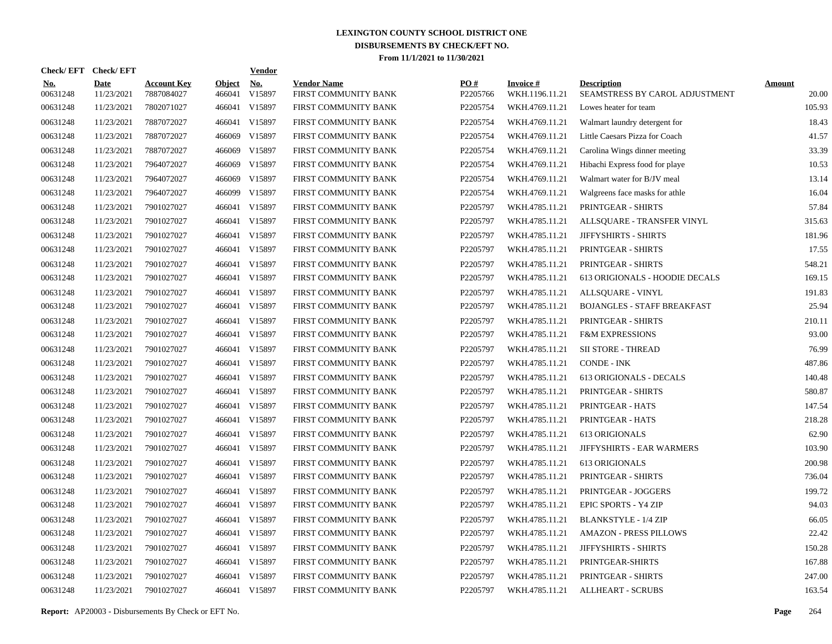| Check/EFT Check/EFT    |                           |                                  |                         | <b>Vendor</b>        |                                            |                 |                                   |                                                      |                        |
|------------------------|---------------------------|----------------------------------|-------------------------|----------------------|--------------------------------------------|-----------------|-----------------------------------|------------------------------------------------------|------------------------|
| <u>No.</u><br>00631248 | <b>Date</b><br>11/23/2021 | <b>Account Key</b><br>7887084027 | <b>Object</b><br>466041 | <u>No.</u><br>V15897 | <b>Vendor Name</b><br>FIRST COMMUNITY BANK | PO#<br>P2205766 | <b>Invoice#</b><br>WKH.1196.11.21 | <b>Description</b><br>SEAMSTRESS BY CAROL ADJUSTMENT | <b>Amount</b><br>20.00 |
| 00631248               | 11/23/2021                | 7802071027                       |                         | 466041 V15897        | FIRST COMMUNITY BANK                       | P2205754        | WKH.4769.11.21                    | Lowes heater for team                                | 105.93                 |
| 00631248               | 11/23/2021                | 7887072027                       |                         | 466041 V15897        | FIRST COMMUNITY BANK                       | P2205754        | WKH.4769.11.21                    | Walmart laundry detergent for                        | 18.43                  |
| 00631248               | 11/23/2021                | 7887072027                       | 466069                  | V15897               | FIRST COMMUNITY BANK                       | P2205754        | WKH.4769.11.21                    | Little Caesars Pizza for Coach                       | 41.57                  |
| 00631248               | 11/23/2021                | 7887072027                       | 466069                  | V15897               | FIRST COMMUNITY BANK                       | P2205754        | WKH.4769.11.21                    | Carolina Wings dinner meeting                        | 33.39                  |
| 00631248               | 11/23/2021                | 7964072027                       | 466069                  | V15897               | FIRST COMMUNITY BANK                       | P2205754        | WKH.4769.11.21                    | Hibachi Express food for playe                       | 10.53                  |
| 00631248               | 11/23/2021                | 7964072027                       | 466069                  | V15897               | FIRST COMMUNITY BANK                       | P2205754        | WKH.4769.11.21                    | Walmart water for B/JV meal                          | 13.14                  |
| 00631248               | 11/23/2021                | 7964072027                       | 466099                  | V15897               | FIRST COMMUNITY BANK                       | P2205754        | WKH.4769.11.21                    | Walgreens face masks for athle                       | 16.04                  |
| 00631248               | 11/23/2021                | 7901027027                       |                         | 466041 V15897        | FIRST COMMUNITY BANK                       | P2205797        | WKH.4785.11.21                    | PRINTGEAR - SHIRTS                                   | 57.84                  |
| 00631248               | 11/23/2021                | 7901027027                       |                         | 466041 V15897        | FIRST COMMUNITY BANK                       | P2205797        | WKH.4785.11.21                    | ALLSQUARE - TRANSFER VINYL                           | 315.63                 |
| 00631248               | 11/23/2021                | 7901027027                       |                         | 466041 V15897        | FIRST COMMUNITY BANK                       | P2205797        | WKH.4785.11.21                    | JIFFYSHIRTS - SHIRTS                                 | 181.96                 |
| 00631248               | 11/23/2021                | 7901027027                       |                         | 466041 V15897        | FIRST COMMUNITY BANK                       | P2205797        | WKH.4785.11.21                    | PRINTGEAR - SHIRTS                                   | 17.55                  |
| 00631248               | 11/23/2021                | 7901027027                       |                         | 466041 V15897        | FIRST COMMUNITY BANK                       | P2205797        | WKH.4785.11.21                    | PRINTGEAR - SHIRTS                                   | 548.21                 |
| 00631248               | 11/23/2021                | 7901027027                       |                         | 466041 V15897        | FIRST COMMUNITY BANK                       | P2205797        | WKH.4785.11.21                    | 613 ORIGIONALS - HOODIE DECALS                       | 169.15                 |
| 00631248               | 11/23/2021                | 7901027027                       |                         | 466041 V15897        | FIRST COMMUNITY BANK                       | P2205797        | WKH.4785.11.21                    | ALLSQUARE - VINYL                                    | 191.83                 |
| 00631248               | 11/23/2021                | 7901027027                       |                         | 466041 V15897        | FIRST COMMUNITY BANK                       | P2205797        | WKH.4785.11.21                    | <b>BOJANGLES - STAFF BREAKFAST</b>                   | 25.94                  |
| 00631248               | 11/23/2021                | 7901027027                       |                         | 466041 V15897        | FIRST COMMUNITY BANK                       | P2205797        | WKH.4785.11.21                    | PRINTGEAR - SHIRTS                                   | 210.11                 |
| 00631248               | 11/23/2021                | 7901027027                       |                         | 466041 V15897        | FIRST COMMUNITY BANK                       | P2205797        | WKH.4785.11.21                    | <b>F&amp;M EXPRESSIONS</b>                           | 93.00                  |
| 00631248               | 11/23/2021                | 7901027027                       |                         | 466041 V15897        | FIRST COMMUNITY BANK                       | P2205797        | WKH.4785.11.21                    | <b>SII STORE - THREAD</b>                            | 76.99                  |
| 00631248               | 11/23/2021                | 7901027027                       |                         | 466041 V15897        | FIRST COMMUNITY BANK                       | P2205797        | WKH.4785.11.21                    | <b>CONDE - INK</b>                                   | 487.86                 |
| 00631248               | 11/23/2021                | 7901027027                       |                         | 466041 V15897        | FIRST COMMUNITY BANK                       | P2205797        | WKH.4785.11.21                    | 613 ORIGIONALS - DECALS                              | 140.48                 |
| 00631248               | 11/23/2021                | 7901027027                       |                         | 466041 V15897        | FIRST COMMUNITY BANK                       | P2205797        | WKH.4785.11.21                    | PRINTGEAR - SHIRTS                                   | 580.87                 |
| 00631248               | 11/23/2021                | 7901027027                       |                         | 466041 V15897        | FIRST COMMUNITY BANK                       | P2205797        | WKH.4785.11.21                    | PRINTGEAR - HATS                                     | 147.54                 |
| 00631248               | 11/23/2021                | 7901027027                       |                         | 466041 V15897        | FIRST COMMUNITY BANK                       | P2205797        | WKH.4785.11.21                    | PRINTGEAR - HATS                                     | 218.28                 |
| 00631248               | 11/23/2021                | 7901027027                       |                         | 466041 V15897        | FIRST COMMUNITY BANK                       | P2205797        | WKH.4785.11.21                    | 613 ORIGIONALS                                       | 62.90                  |
| 00631248               | 11/23/2021                | 7901027027                       |                         | 466041 V15897        | FIRST COMMUNITY BANK                       | P2205797        | WKH.4785.11.21                    | JIFFYSHIRTS - EAR WARMERS                            | 103.90                 |
| 00631248               | 11/23/2021                | 7901027027                       |                         | 466041 V15897        | FIRST COMMUNITY BANK                       | P2205797        | WKH.4785.11.21                    | <b>613 ORIGIONALS</b>                                | 200.98                 |
| 00631248               | 11/23/2021                | 7901027027                       |                         | 466041 V15897        | FIRST COMMUNITY BANK                       | P2205797        | WKH.4785.11.21                    | PRINTGEAR - SHIRTS                                   | 736.04                 |
| 00631248               | 11/23/2021                | 7901027027                       |                         | 466041 V15897        | FIRST COMMUNITY BANK                       | P2205797        | WKH.4785.11.21                    | PRINTGEAR - JOGGERS                                  | 199.72                 |
| 00631248               | 11/23/2021                | 7901027027                       |                         | 466041 V15897        | FIRST COMMUNITY BANK                       | P2205797        | WKH.4785.11.21                    | EPIC SPORTS - Y4 ZIP                                 | 94.03                  |
| 00631248               | 11/23/2021                | 7901027027                       |                         | 466041 V15897        | FIRST COMMUNITY BANK                       | P2205797        | WKH.4785.11.21                    | <b>BLANKSTYLE - 1/4 ZIP</b>                          | 66.05                  |
| 00631248               | 11/23/2021                | 7901027027                       |                         | 466041 V15897        | FIRST COMMUNITY BANK                       | P2205797        | WKH.4785.11.21                    | <b>AMAZON - PRESS PILLOWS</b>                        | 22.42                  |
| 00631248               | 11/23/2021                | 7901027027                       |                         | 466041 V15897        | FIRST COMMUNITY BANK                       | P2205797        | WKH.4785.11.21                    | JIFFYSHIRTS - SHIRTS                                 | 150.28                 |
| 00631248               | 11/23/2021                | 7901027027                       |                         | 466041 V15897        | FIRST COMMUNITY BANK                       | P2205797        | WKH.4785.11.21                    | PRINTGEAR-SHIRTS                                     | 167.88                 |
| 00631248               | 11/23/2021                | 7901027027                       |                         | 466041 V15897        | FIRST COMMUNITY BANK                       | P2205797        | WKH.4785.11.21                    | PRINTGEAR - SHIRTS                                   | 247.00                 |
| 00631248               | 11/23/2021                | 7901027027                       |                         | 466041 V15897        | FIRST COMMUNITY BANK                       | P2205797        | WKH.4785.11.21                    | <b>ALLHEART - SCRUBS</b>                             | 163.54                 |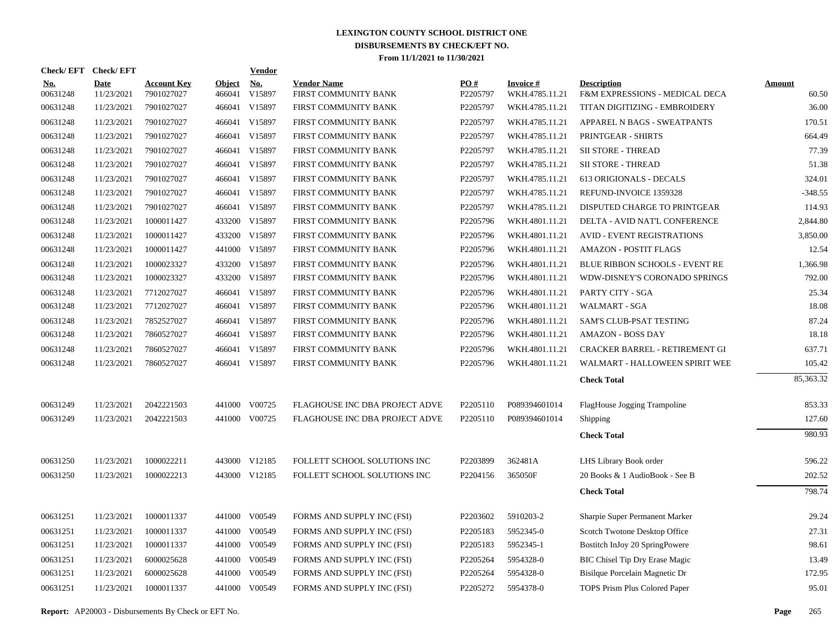|                        | Check/EFT Check/EFT |                                  |                         | <b>Vendor</b> |                                            |                        |                                   |                                                      |                        |
|------------------------|---------------------|----------------------------------|-------------------------|---------------|--------------------------------------------|------------------------|-----------------------------------|------------------------------------------------------|------------------------|
| <u>No.</u><br>00631248 | Date<br>11/23/2021  | <b>Account Key</b><br>7901027027 | <b>Object</b><br>466041 | No.<br>V15897 | <b>Vendor Name</b><br>FIRST COMMUNITY BANK | <b>PO#</b><br>P2205797 | <b>Invoice#</b><br>WKH.4785.11.21 | <b>Description</b><br>F&M EXPRESSIONS - MEDICAL DECA | <b>Amount</b><br>60.50 |
| 00631248               | 11/23/2021          | 7901027027                       |                         | 466041 V15897 | FIRST COMMUNITY BANK                       | P2205797               | WKH.4785.11.21                    | TITAN DIGITIZING - EMBROIDERY                        | 36.00                  |
| 00631248               | 11/23/2021          | 7901027027                       |                         | 466041 V15897 | FIRST COMMUNITY BANK                       | P2205797               | WKH.4785.11.21                    | APPAREL N BAGS - SWEATPANTS                          | 170.51                 |
| 00631248               | 11/23/2021          | 7901027027                       |                         | 466041 V15897 | FIRST COMMUNITY BANK                       | P2205797               | WKH.4785.11.21                    | PRINTGEAR - SHIRTS                                   | 664.49                 |
| 00631248               | 11/23/2021          | 7901027027                       |                         | 466041 V15897 | FIRST COMMUNITY BANK                       | P2205797               | WKH.4785.11.21                    | <b>SII STORE - THREAD</b>                            | 77.39                  |
| 00631248               | 11/23/2021          | 7901027027                       |                         | 466041 V15897 | FIRST COMMUNITY BANK                       | P2205797               | WKH.4785.11.21                    | SII STORE - THREAD                                   | 51.38                  |
| 00631248               | 11/23/2021          | 7901027027                       |                         | 466041 V15897 | FIRST COMMUNITY BANK                       | P2205797               | WKH.4785.11.21                    | 613 ORIGIONALS - DECALS                              | 324.01                 |
| 00631248               | 11/23/2021          | 7901027027                       |                         | 466041 V15897 | FIRST COMMUNITY BANK                       | P2205797               | WKH.4785.11.21                    | REFUND-INVOICE 1359328                               | $-348.55$              |
| 00631248               | 11/23/2021          | 7901027027                       |                         | 466041 V15897 | FIRST COMMUNITY BANK                       | P2205797               | WKH.4785.11.21                    | DISPUTED CHARGE TO PRINTGEAR                         | 114.93                 |
| 00631248               | 11/23/2021          | 1000011427                       | 433200                  | V15897        | FIRST COMMUNITY BANK                       | P2205796               | WKH.4801.11.21                    | DELTA - AVID NAT'L CONFERENCE                        | 2,844.80               |
| 00631248               | 11/23/2021          | 1000011427                       | 433200                  | V15897        | FIRST COMMUNITY BANK                       | P2205796               | WKH.4801.11.21                    | <b>AVID - EVENT REGISTRATIONS</b>                    | 3,850.00               |
| 00631248               | 11/23/2021          | 1000011427                       |                         | 441000 V15897 | FIRST COMMUNITY BANK                       | P2205796               | WKH.4801.11.21                    | <b>AMAZON - POSTIT FLAGS</b>                         | 12.54                  |
| 00631248               | 11/23/2021          | 1000023327                       | 433200                  | V15897        | FIRST COMMUNITY BANK                       | P2205796               | WKH.4801.11.21                    | BLUE RIBBON SCHOOLS - EVENT RE                       | 1,366.98               |
| 00631248               | 11/23/2021          | 1000023327                       |                         | 433200 V15897 | FIRST COMMUNITY BANK                       | P2205796               | WKH.4801.11.21                    | WDW-DISNEY'S CORONADO SPRINGS                        | 792.00                 |
| 00631248               | 11/23/2021          | 7712027027                       |                         | 466041 V15897 | FIRST COMMUNITY BANK                       | P2205796               | WKH.4801.11.21                    | PARTY CITY - SGA                                     | 25.34                  |
| 00631248               | 11/23/2021          | 7712027027                       |                         | 466041 V15897 | FIRST COMMUNITY BANK                       | P2205796               | WKH.4801.11.21                    | WALMART - SGA                                        | 18.08                  |
| 00631248               | 11/23/2021          | 7852527027                       |                         | 466041 V15897 | FIRST COMMUNITY BANK                       | P2205796               | WKH.4801.11.21                    | <b>SAM'S CLUB-PSAT TESTING</b>                       | 87.24                  |
| 00631248               | 11/23/2021          | 7860527027                       |                         | 466041 V15897 | FIRST COMMUNITY BANK                       | P2205796               | WKH.4801.11.21                    | <b>AMAZON - BOSS DAY</b>                             | 18.18                  |
| 00631248               | 11/23/2021          | 7860527027                       | 466041                  | V15897        | FIRST COMMUNITY BANK                       | P2205796               | WKH.4801.11.21                    | CRACKER BARREL - RETIREMENT GI                       | 637.71                 |
| 00631248               | 11/23/2021          | 7860527027                       |                         | 466041 V15897 | FIRST COMMUNITY BANK                       | P2205796               | WKH.4801.11.21                    | WALMART - HALLOWEEN SPIRIT WEE                       | 105.42                 |
|                        |                     |                                  |                         |               |                                            |                        |                                   | <b>Check Total</b>                                   | 85,363,32              |
| 00631249               | 11/23/2021          | 2042221503                       |                         | 441000 V00725 | FLAGHOUSE INC DBA PROJECT ADVE             | P <sub>2205110</sub>   | P089394601014                     | FlagHouse Jogging Trampoline                         | 853.33                 |
| 00631249               | 11/23/2021          | 2042221503                       | 441000                  | V00725        | FLAGHOUSE INC DBA PROJECT ADVE             | P2205110               | P089394601014                     | Shipping                                             | 127.60                 |
|                        |                     |                                  |                         |               |                                            |                        |                                   | <b>Check Total</b>                                   | 980.93                 |
| 00631250               | 11/23/2021          | 1000022211                       |                         | 443000 V12185 | FOLLETT SCHOOL SOLUTIONS INC               | P2203899               | 362481A                           | LHS Library Book order                               | 596.22                 |
| 00631250               | 11/23/2021          | 1000022213                       | 443000                  | V12185        | FOLLETT SCHOOL SOLUTIONS INC               | P2204156               | 365050F                           | 20 Books & 1 AudioBook - See B                       | 202.52                 |
|                        |                     |                                  |                         |               |                                            |                        |                                   | <b>Check Total</b>                                   | 798.74                 |
| 00631251               | 11/23/2021          | 1000011337                       |                         | 441000 V00549 | FORMS AND SUPPLY INC (FSI)                 | P2203602               | 5910203-2                         | Sharpie Super Permanent Marker                       | 29.24                  |
| 00631251               | 11/23/2021          | 1000011337                       | 441000                  | V00549        | FORMS AND SUPPLY INC (FSI)                 | P2205183               | 5952345-0                         | Scotch Twotone Desktop Office                        | 27.31                  |
| 00631251               | 11/23/2021          | 1000011337                       |                         | 441000 V00549 | FORMS AND SUPPLY INC (FSI)                 | P2205183               | 5952345-1                         | Bostitch InJoy 20 SpringPowere                       | 98.61                  |
| 00631251               | 11/23/2021          | 6000025628                       | 441000                  | V00549        | FORMS AND SUPPLY INC (FSI)                 | P2205264               | 5954328-0                         | BIC Chisel Tip Dry Erase Magic                       | 13.49                  |
| 00631251               | 11/23/2021          | 6000025628                       | 441000                  | V00549        | FORMS AND SUPPLY INC (FSI)                 | P2205264               | 5954328-0                         | Bisilque Porcelain Magnetic Dr                       | 172.95                 |
| 00631251               | 11/23/2021          | 1000011337                       |                         | 441000 V00549 | FORMS AND SUPPLY INC (FSI)                 | P2205272               | 5954378-0                         | TOPS Prism Plus Colored Paper                        | 95.01                  |
|                        |                     |                                  |                         |               |                                            |                        |                                   |                                                      |                        |

**Report:** AP20003 - Disbursements By Check or EFT No. **Page** 265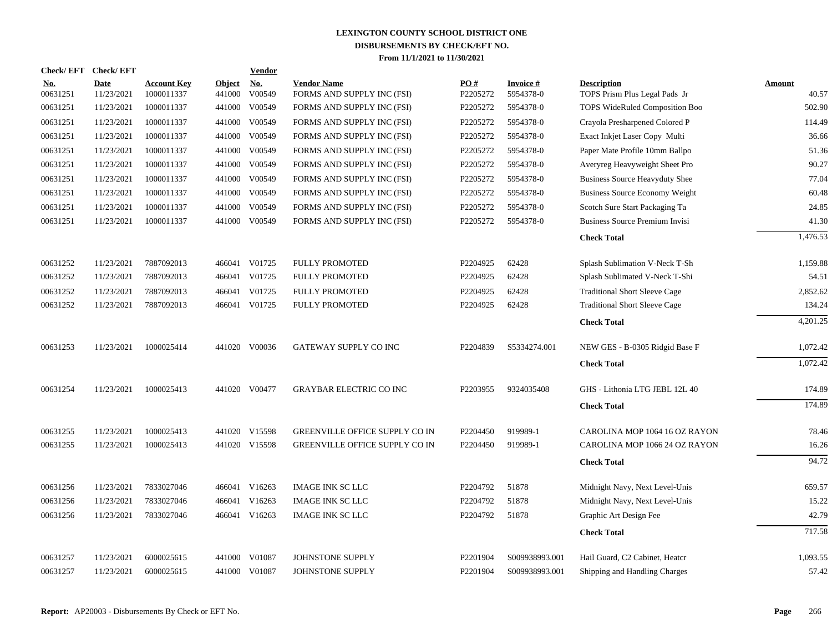|                        | Check/EFT Check/EFT       |                                  |                         | Vendor                   |                                                  |                      |                              |                                                     |                 |
|------------------------|---------------------------|----------------------------------|-------------------------|--------------------------|--------------------------------------------------|----------------------|------------------------------|-----------------------------------------------------|-----------------|
| <u>No.</u><br>00631251 | <b>Date</b><br>11/23/2021 | <b>Account Key</b><br>1000011337 | <b>Object</b><br>441000 | N <sub>0</sub><br>V00549 | <b>Vendor Name</b><br>FORMS AND SUPPLY INC (FSI) | PO#<br>P2205272      | <b>Invoice#</b><br>5954378-0 | <b>Description</b><br>TOPS Prism Plus Legal Pads Jr | Amount<br>40.57 |
| 00631251               | 11/23/2021                | 1000011337                       | 441000                  | V00549                   | FORMS AND SUPPLY INC (FSI)                       | P2205272             | 5954378-0                    | <b>TOPS WideRuled Composition Boo</b>               | 502.90          |
| 00631251               | 11/23/2021                | 1000011337                       | 441000                  | V00549                   | FORMS AND SUPPLY INC (FSI)                       | P2205272             | 5954378-0                    | Crayola Presharpened Colored P                      | 114.49          |
| 00631251               | 11/23/2021                | 1000011337                       | 441000                  | V00549                   | FORMS AND SUPPLY INC (FSI)                       | P2205272             | 5954378-0                    | Exact Inkjet Laser Copy Multi                       | 36.66           |
| 00631251               | 11/23/2021                | 1000011337                       | 441000                  | V00549                   | FORMS AND SUPPLY INC (FSI)                       | P2205272             | 5954378-0                    | Paper Mate Profile 10mm Ballpo                      | 51.36           |
| 00631251               | 11/23/2021                | 1000011337                       | 441000                  | V00549                   | FORMS AND SUPPLY INC (FSI)                       | P2205272             | 5954378-0                    | Averyreg Heavyweight Sheet Pro                      | 90.27           |
| 00631251               | 11/23/2021                | 1000011337                       | 441000                  | V00549                   | FORMS AND SUPPLY INC (FSI)                       | P2205272             | 5954378-0                    | <b>Business Source Heavyduty Shee</b>               | 77.04           |
| 00631251               | 11/23/2021                | 1000011337                       | 441000                  | V00549                   | FORMS AND SUPPLY INC (FSI)                       | P2205272             | 5954378-0                    | <b>Business Source Economy Weight</b>               | 60.48           |
| 00631251               | 11/23/2021                | 1000011337                       | 441000                  | V00549                   | FORMS AND SUPPLY INC (FSI)                       | P2205272             | 5954378-0                    | Scotch Sure Start Packaging Ta                      | 24.85           |
| 00631251               | 11/23/2021                | 1000011337                       | 441000                  | V00549                   | FORMS AND SUPPLY INC (FSI)                       | P2205272             | 5954378-0                    | <b>Business Source Premium Invisi</b>               | 41.30           |
|                        |                           |                                  |                         |                          |                                                  |                      |                              | <b>Check Total</b>                                  | 1,476.53        |
| 00631252               | 11/23/2021                | 7887092013                       |                         | 466041 V01725            | <b>FULLY PROMOTED</b>                            | P2204925             | 62428                        | Splash Sublimation V-Neck T-Sh                      | 1,159.88        |
| 00631252               | 11/23/2021                | 7887092013                       | 466041                  | V01725                   | <b>FULLY PROMOTED</b>                            | P2204925             | 62428                        | Splash Sublimated V-Neck T-Shi                      | 54.51           |
| 00631252               | 11/23/2021                | 7887092013                       |                         | 466041 V01725            | <b>FULLY PROMOTED</b>                            | P2204925             | 62428                        | <b>Traditional Short Sleeve Cage</b>                | 2,852.62        |
| 00631252               | 11/23/2021                | 7887092013                       |                         | 466041 V01725            | <b>FULLY PROMOTED</b>                            | P2204925             | 62428                        | <b>Traditional Short Sleeve Cage</b>                | 134.24          |
|                        |                           |                                  |                         |                          |                                                  |                      |                              | <b>Check Total</b>                                  | 4,201.25        |
| 00631253               | 11/23/2021                | 1000025414                       |                         | 441020 V00036            | GATEWAY SUPPLY CO INC                            | P2204839             | S5334274.001                 | NEW GES - B-0305 Ridgid Base F                      | 1,072.42        |
|                        |                           |                                  |                         |                          |                                                  |                      |                              | <b>Check Total</b>                                  | 1,072.42        |
| 00631254               | 11/23/2021                | 1000025413                       |                         | 441020 V00477            | <b>GRAYBAR ELECTRIC CO INC</b>                   | P2203955             | 9324035408                   | GHS - Lithonia LTG JEBL 12L 40                      | 174.89          |
|                        |                           |                                  |                         |                          |                                                  |                      |                              | <b>Check Total</b>                                  | 174.89          |
| 00631255               | 11/23/2021                | 1000025413                       |                         | 441020 V15598            | <b>GREENVILLE OFFICE SUPPLY CO IN</b>            | P2204450             | 919989-1                     | CAROLINA MOP 1064 16 OZ RAYON                       | 78.46           |
| 00631255               | 11/23/2021                | 1000025413                       |                         | 441020 V15598            | <b>GREENVILLE OFFICE SUPPLY CO IN</b>            | P2204450             | 919989-1                     | CAROLINA MOP 1066 24 OZ RAYON                       | 16.26           |
|                        |                           |                                  |                         |                          |                                                  |                      |                              | <b>Check Total</b>                                  | 94.72           |
| 00631256               | 11/23/2021                | 7833027046                       |                         | 466041 V16263            | <b>IMAGE INK SC LLC</b>                          | P2204792             | 51878                        | Midnight Navy, Next Level-Unis                      | 659.57          |
| 00631256               | 11/23/2021                | 7833027046                       |                         | 466041 V16263            | <b>IMAGE INK SC LLC</b>                          | P2204792             | 51878                        | Midnight Navy, Next Level-Unis                      | 15.22           |
| 00631256               | 11/23/2021                | 7833027046                       |                         | 466041 V16263            | <b>IMAGE INK SC LLC</b>                          | P2204792             | 51878                        | Graphic Art Design Fee                              | 42.79           |
|                        |                           |                                  |                         |                          |                                                  |                      |                              | <b>Check Total</b>                                  | 717.58          |
| 00631257               | 11/23/2021                | 6000025615                       | 441000                  | V01087                   | JOHNSTONE SUPPLY                                 | P <sub>2201904</sub> | S009938993.001               | Hail Guard, C2 Cabinet, Heatcr                      | 1,093.55        |
| 00631257               | 11/23/2021                | 6000025615                       | 441000                  | V01087                   | JOHNSTONE SUPPLY                                 | P2201904             | S009938993.001               | Shipping and Handling Charges                       | 57.42           |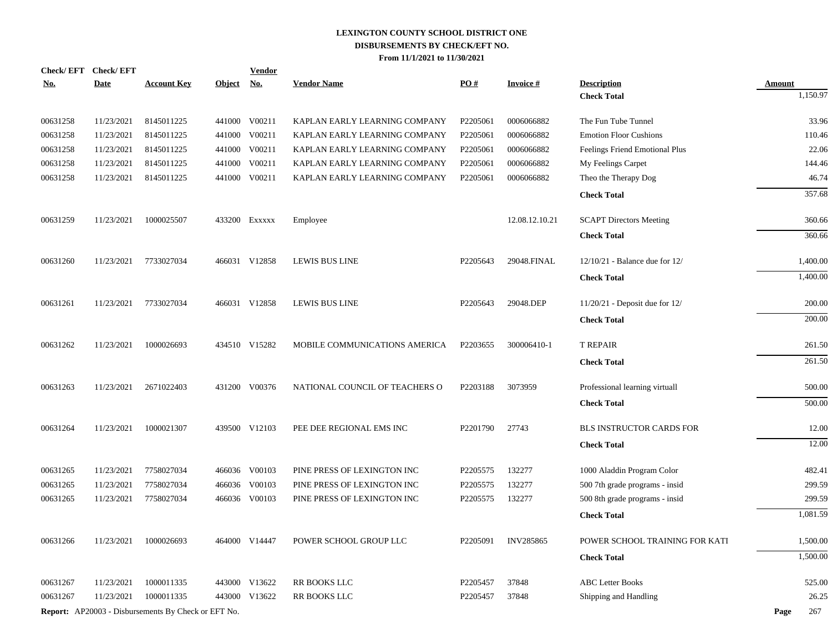| <u>No.</u> | Check/EFT Check/EFT<br><b>Date</b> | <b>Account Key</b>                                         | <b>Object</b> | <b>Vendor</b><br><u>No.</u> | <b>Vendor Name</b>             | $\underline{PO#}$ | <b>Invoice#</b>  | <b>Description</b>                 | <b>Amount</b> |
|------------|------------------------------------|------------------------------------------------------------|---------------|-----------------------------|--------------------------------|-------------------|------------------|------------------------------------|---------------|
|            |                                    |                                                            |               |                             |                                |                   |                  | <b>Check Total</b>                 | 1,150.97      |
| 00631258   | 11/23/2021                         | 8145011225                                                 |               | 441000 V00211               | KAPLAN EARLY LEARNING COMPANY  | P2205061          | 0006066882       | The Fun Tube Tunnel                | 33.96         |
| 00631258   | 11/23/2021                         | 8145011225                                                 |               | 441000 V00211               | KAPLAN EARLY LEARNING COMPANY  | P2205061          | 0006066882       | <b>Emotion Floor Cushions</b>      | 110.46        |
| 00631258   | 11/23/2021                         | 8145011225                                                 |               | 441000 V00211               | KAPLAN EARLY LEARNING COMPANY  | P2205061          | 0006066882       | Feelings Friend Emotional Plus     | 22.06         |
| 00631258   | 11/23/2021                         | 8145011225                                                 | 441000        | V00211                      | KAPLAN EARLY LEARNING COMPANY  | P2205061          | 0006066882       | My Feelings Carpet                 | 144.46        |
| 00631258   | 11/23/2021                         | 8145011225                                                 |               | 441000 V00211               | KAPLAN EARLY LEARNING COMPANY  | P2205061          | 0006066882       | Theo the Therapy Dog               | 46.74         |
|            |                                    |                                                            |               |                             |                                |                   |                  | <b>Check Total</b>                 | 357.68        |
| 00631259   | 11/23/2021                         | 1000025507                                                 |               | 433200 Exxxxx               | Employee                       |                   | 12.08.12.10.21   | <b>SCAPT Directors Meeting</b>     | 360.66        |
|            |                                    |                                                            |               |                             |                                |                   |                  | <b>Check Total</b>                 | 360.66        |
| 00631260   | 11/23/2021                         | 7733027034                                                 |               | 466031 V12858               | LEWIS BUS LINE                 | P2205643          | 29048.FINAL      | $12/10/21$ - Balance due for $12/$ | 1,400.00      |
|            |                                    |                                                            |               |                             |                                |                   |                  | <b>Check Total</b>                 | 1,400.00      |
| 00631261   | 11/23/2021                         | 7733027034                                                 |               | 466031 V12858               | LEWIS BUS LINE                 | P2205643          | 29048.DEP        | $11/20/21$ - Deposit due for $12/$ | 200.00        |
|            |                                    |                                                            |               |                             |                                |                   |                  | <b>Check Total</b>                 | 200.00        |
| 00631262   | 11/23/2021                         | 1000026693                                                 |               | 434510 V15282               | MOBILE COMMUNICATIONS AMERICA  | P2203655          | 300006410-1      | <b>T REPAIR</b>                    | 261.50        |
|            |                                    |                                                            |               |                             |                                |                   |                  | <b>Check Total</b>                 | 261.50        |
| 00631263   | 11/23/2021                         | 2671022403                                                 |               | 431200 V00376               | NATIONAL COUNCIL OF TEACHERS O | P2203188          | 3073959          | Professional learning virtuall     | 500.00        |
|            |                                    |                                                            |               |                             |                                |                   |                  | <b>Check Total</b>                 | 500.00        |
| 00631264   | 11/23/2021                         | 1000021307                                                 |               | 439500 V12103               | PEE DEE REGIONAL EMS INC       | P2201790          | 27743            | BLS INSTRUCTOR CARDS FOR           | 12.00         |
|            |                                    |                                                            |               |                             |                                |                   |                  | <b>Check Total</b>                 | 12.00         |
| 00631265   | 11/23/2021                         | 7758027034                                                 |               | 466036 V00103               | PINE PRESS OF LEXINGTON INC    | P2205575          | 132277           | 1000 Aladdin Program Color         | 482.41        |
| 00631265   | 11/23/2021                         | 7758027034                                                 | 466036        | V00103                      | PINE PRESS OF LEXINGTON INC    | P2205575          | 132277           | 500 7th grade programs - insid     | 299.59        |
| 00631265   | 11/23/2021                         | 7758027034                                                 |               | 466036 V00103               | PINE PRESS OF LEXINGTON INC    | P2205575          | 132277           | 500 8th grade programs - insid     | 299.59        |
|            |                                    |                                                            |               |                             |                                |                   |                  | <b>Check Total</b>                 | 1,081.59      |
| 00631266   | 11/23/2021                         | 1000026693                                                 |               | 464000 V14447               | POWER SCHOOL GROUP LLC         | P2205091          | <b>INV285865</b> | POWER SCHOOL TRAINING FOR KATI     | 1,500.00      |
|            |                                    |                                                            |               |                             |                                |                   |                  | <b>Check Total</b>                 | 1,500.00      |
| 00631267   | 11/23/2021                         | 1000011335                                                 |               | 443000 V13622               | RR BOOKS LLC                   | P2205457          | 37848            | <b>ABC Letter Books</b>            | 525.00        |
| 00631267   | 11/23/2021                         | 1000011335                                                 |               | 443000 V13622               | RR BOOKS LLC                   | P2205457          | 37848            | Shipping and Handling              | 26.25         |
|            |                                    | <b>Report:</b> AP20003 - Disbursements By Check or EFT No. |               |                             |                                |                   |                  |                                    | 267<br>Page   |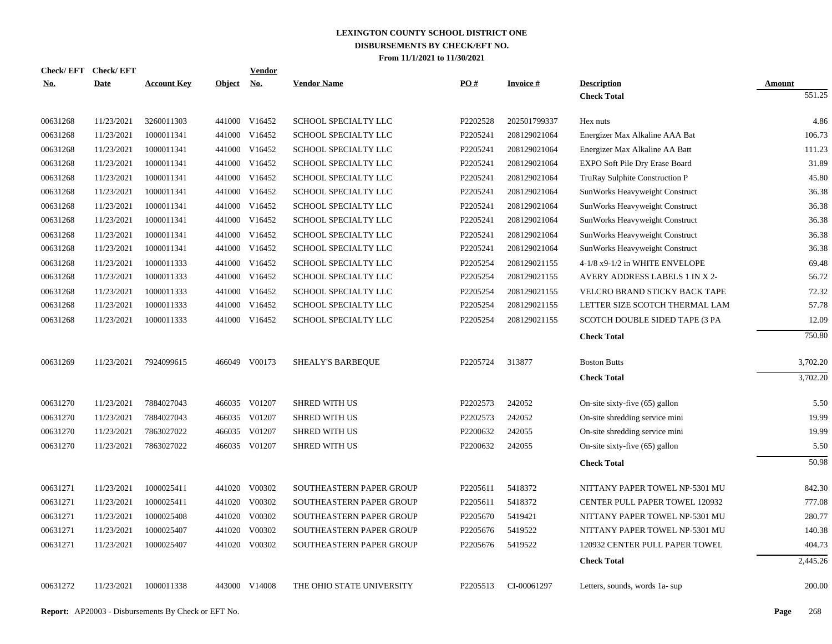| PO#<br><b>Date</b><br><b>Account Key</b><br>Object No.<br><b>Vendor Name</b><br><b>Invoice#</b><br><b>Description</b><br><u>No.</u><br><b>Amount</b><br><b>Check Total</b><br>441000 V16452<br>00631268<br>11/23/2021<br>3260011303<br>SCHOOL SPECIALTY LLC<br>P2202528<br>202501799337<br>Hex nuts<br>00631268<br>1000011341<br>441000 V16452<br>P2205241<br>11/23/2021<br><b>SCHOOL SPECIALTY LLC</b><br>208129021064<br>Energizer Max Alkaline AAA Bat<br>00631268<br>1000011341<br>441000 V16452<br>11/23/2021<br>SCHOOL SPECIALTY LLC<br>P2205241<br>208129021064<br>Energizer Max Alkaline AA Batt<br>00631268<br>11/23/2021<br>1000011341<br>441000 V16452<br>SCHOOL SPECIALTY LLC<br>P2205241<br>208129021064<br>EXPO Soft Pile Dry Erase Board<br>00631268<br>1000011341<br>441000<br>V16452<br>SCHOOL SPECIALTY LLC<br>P2205241<br>11/23/2021<br>208129021064<br>TruRay Sulphite Construction P<br>00631268<br>11/23/2021<br>1000011341<br>441000<br>V16452<br>SCHOOL SPECIALTY LLC<br>P2205241<br>208129021064<br>SunWorks Heavyweight Construct<br>V16452<br>00631268<br>11/23/2021<br>1000011341<br>441000<br>SCHOOL SPECIALTY LLC<br>P2205241<br>208129021064<br>SunWorks Heavyweight Construct<br>V16452<br>00631268<br>11/23/2021<br>1000011341<br>441000<br>SCHOOL SPECIALTY LLC<br>P2205241<br>208129021064<br>SunWorks Heavyweight Construct<br>V16452<br>00631268<br>11/23/2021<br>1000011341<br>441000<br>SCHOOL SPECIALTY LLC<br>P2205241<br>208129021064<br>SunWorks Heavyweight Construct<br>V16452<br>00631268<br>11/23/2021<br>1000011341<br>441000<br>SCHOOL SPECIALTY LLC<br>P2205241<br>208129021064<br>SunWorks Heavyweight Construct<br>00631268<br>1000011333<br>441000<br>V16452<br>SCHOOL SPECIALTY LLC<br>P2205254<br>11/23/2021<br>208129021155<br>4-1/8 x9-1/2 in WHITE ENVELOPE<br>00631268<br>1000011333<br>441000 V16452<br>P2205254<br>11/23/2021<br>SCHOOL SPECIALTY LLC<br>208129021155<br>AVERY ADDRESS LABELS 1 IN X 2-<br>00631268<br>1000011333<br>441000<br>V16452<br>SCHOOL SPECIALTY LLC<br>P2205254<br>11/23/2021<br>208129021155<br>VELCRO BRAND STICKY BACK TAPE<br>00631268<br>1000011333<br>441000<br>V16452<br>SCHOOL SPECIALTY LLC<br>P2205254<br>11/23/2021<br>208129021155<br>LETTER SIZE SCOTCH THERMAL LAM<br>441000 V16452<br>00631268<br>11/23/2021<br>1000011333<br>SCHOOL SPECIALTY LLC<br>P2205254<br>208129021155<br>SCOTCH DOUBLE SIDED TAPE (3 PA<br><b>Check Total</b><br>00631269<br>11/23/2021<br>466049 V00173<br>SHEALY'S BARBEQUE<br>P2205724<br>313877<br><b>Boston Butts</b><br>7924099615<br><b>Check Total</b><br>00631270<br>7884027043<br>466035 V01207<br>P2202573<br>242052<br>11/23/2021<br><b>SHRED WITH US</b><br>On-site sixty-five (65) gallon<br>466035 V01207<br>00631270<br>11/23/2021<br>7884027043<br>P2202573<br>242052<br>On-site shredding service mini<br><b>SHRED WITH US</b><br>00631270<br>7863027022<br>466035 V01207<br>P2200632<br>242055<br>11/23/2021<br><b>SHRED WITH US</b><br>On-site shredding service mini<br>00631270<br>466035 V01207<br>P2200632<br>242055<br>11/23/2021<br>7863027022<br><b>SHRED WITH US</b><br>On-site sixty-five $(65)$ gallon | Check/EFT Check/EFT | <b>Vendor</b> |  |  |                     |
|---------------------------------------------------------------------------------------------------------------------------------------------------------------------------------------------------------------------------------------------------------------------------------------------------------------------------------------------------------------------------------------------------------------------------------------------------------------------------------------------------------------------------------------------------------------------------------------------------------------------------------------------------------------------------------------------------------------------------------------------------------------------------------------------------------------------------------------------------------------------------------------------------------------------------------------------------------------------------------------------------------------------------------------------------------------------------------------------------------------------------------------------------------------------------------------------------------------------------------------------------------------------------------------------------------------------------------------------------------------------------------------------------------------------------------------------------------------------------------------------------------------------------------------------------------------------------------------------------------------------------------------------------------------------------------------------------------------------------------------------------------------------------------------------------------------------------------------------------------------------------------------------------------------------------------------------------------------------------------------------------------------------------------------------------------------------------------------------------------------------------------------------------------------------------------------------------------------------------------------------------------------------------------------------------------------------------------------------------------------------------------------------------------------------------------------------------------------------------------------------------------------------------------------------------------------------------------------------------------------------------------------------------------------------------------------------------------------------------------------------------------------------------------------------------------------------------------------------------------------------------------------------------------------------------------------------------------------------------------------------------------------------------------------------------------------------------------------------------------------------------------------------------------------------|---------------------|---------------|--|--|---------------------|
|                                                                                                                                                                                                                                                                                                                                                                                                                                                                                                                                                                                                                                                                                                                                                                                                                                                                                                                                                                                                                                                                                                                                                                                                                                                                                                                                                                                                                                                                                                                                                                                                                                                                                                                                                                                                                                                                                                                                                                                                                                                                                                                                                                                                                                                                                                                                                                                                                                                                                                                                                                                                                                                                                                                                                                                                                                                                                                                                                                                                                                                                                                                                                                     |                     |               |  |  |                     |
|                                                                                                                                                                                                                                                                                                                                                                                                                                                                                                                                                                                                                                                                                                                                                                                                                                                                                                                                                                                                                                                                                                                                                                                                                                                                                                                                                                                                                                                                                                                                                                                                                                                                                                                                                                                                                                                                                                                                                                                                                                                                                                                                                                                                                                                                                                                                                                                                                                                                                                                                                                                                                                                                                                                                                                                                                                                                                                                                                                                                                                                                                                                                                                     |                     |               |  |  | $\overline{551.25}$ |
|                                                                                                                                                                                                                                                                                                                                                                                                                                                                                                                                                                                                                                                                                                                                                                                                                                                                                                                                                                                                                                                                                                                                                                                                                                                                                                                                                                                                                                                                                                                                                                                                                                                                                                                                                                                                                                                                                                                                                                                                                                                                                                                                                                                                                                                                                                                                                                                                                                                                                                                                                                                                                                                                                                                                                                                                                                                                                                                                                                                                                                                                                                                                                                     |                     |               |  |  | 4.86                |
|                                                                                                                                                                                                                                                                                                                                                                                                                                                                                                                                                                                                                                                                                                                                                                                                                                                                                                                                                                                                                                                                                                                                                                                                                                                                                                                                                                                                                                                                                                                                                                                                                                                                                                                                                                                                                                                                                                                                                                                                                                                                                                                                                                                                                                                                                                                                                                                                                                                                                                                                                                                                                                                                                                                                                                                                                                                                                                                                                                                                                                                                                                                                                                     |                     |               |  |  | 106.73              |
|                                                                                                                                                                                                                                                                                                                                                                                                                                                                                                                                                                                                                                                                                                                                                                                                                                                                                                                                                                                                                                                                                                                                                                                                                                                                                                                                                                                                                                                                                                                                                                                                                                                                                                                                                                                                                                                                                                                                                                                                                                                                                                                                                                                                                                                                                                                                                                                                                                                                                                                                                                                                                                                                                                                                                                                                                                                                                                                                                                                                                                                                                                                                                                     |                     |               |  |  | 111.23              |
|                                                                                                                                                                                                                                                                                                                                                                                                                                                                                                                                                                                                                                                                                                                                                                                                                                                                                                                                                                                                                                                                                                                                                                                                                                                                                                                                                                                                                                                                                                                                                                                                                                                                                                                                                                                                                                                                                                                                                                                                                                                                                                                                                                                                                                                                                                                                                                                                                                                                                                                                                                                                                                                                                                                                                                                                                                                                                                                                                                                                                                                                                                                                                                     |                     |               |  |  | 31.89               |
|                                                                                                                                                                                                                                                                                                                                                                                                                                                                                                                                                                                                                                                                                                                                                                                                                                                                                                                                                                                                                                                                                                                                                                                                                                                                                                                                                                                                                                                                                                                                                                                                                                                                                                                                                                                                                                                                                                                                                                                                                                                                                                                                                                                                                                                                                                                                                                                                                                                                                                                                                                                                                                                                                                                                                                                                                                                                                                                                                                                                                                                                                                                                                                     |                     |               |  |  | 45.80               |
|                                                                                                                                                                                                                                                                                                                                                                                                                                                                                                                                                                                                                                                                                                                                                                                                                                                                                                                                                                                                                                                                                                                                                                                                                                                                                                                                                                                                                                                                                                                                                                                                                                                                                                                                                                                                                                                                                                                                                                                                                                                                                                                                                                                                                                                                                                                                                                                                                                                                                                                                                                                                                                                                                                                                                                                                                                                                                                                                                                                                                                                                                                                                                                     |                     |               |  |  | 36.38               |
|                                                                                                                                                                                                                                                                                                                                                                                                                                                                                                                                                                                                                                                                                                                                                                                                                                                                                                                                                                                                                                                                                                                                                                                                                                                                                                                                                                                                                                                                                                                                                                                                                                                                                                                                                                                                                                                                                                                                                                                                                                                                                                                                                                                                                                                                                                                                                                                                                                                                                                                                                                                                                                                                                                                                                                                                                                                                                                                                                                                                                                                                                                                                                                     |                     |               |  |  | 36.38               |
|                                                                                                                                                                                                                                                                                                                                                                                                                                                                                                                                                                                                                                                                                                                                                                                                                                                                                                                                                                                                                                                                                                                                                                                                                                                                                                                                                                                                                                                                                                                                                                                                                                                                                                                                                                                                                                                                                                                                                                                                                                                                                                                                                                                                                                                                                                                                                                                                                                                                                                                                                                                                                                                                                                                                                                                                                                                                                                                                                                                                                                                                                                                                                                     |                     |               |  |  | 36.38               |
|                                                                                                                                                                                                                                                                                                                                                                                                                                                                                                                                                                                                                                                                                                                                                                                                                                                                                                                                                                                                                                                                                                                                                                                                                                                                                                                                                                                                                                                                                                                                                                                                                                                                                                                                                                                                                                                                                                                                                                                                                                                                                                                                                                                                                                                                                                                                                                                                                                                                                                                                                                                                                                                                                                                                                                                                                                                                                                                                                                                                                                                                                                                                                                     |                     |               |  |  | 36.38               |
|                                                                                                                                                                                                                                                                                                                                                                                                                                                                                                                                                                                                                                                                                                                                                                                                                                                                                                                                                                                                                                                                                                                                                                                                                                                                                                                                                                                                                                                                                                                                                                                                                                                                                                                                                                                                                                                                                                                                                                                                                                                                                                                                                                                                                                                                                                                                                                                                                                                                                                                                                                                                                                                                                                                                                                                                                                                                                                                                                                                                                                                                                                                                                                     |                     |               |  |  | 36.38               |
|                                                                                                                                                                                                                                                                                                                                                                                                                                                                                                                                                                                                                                                                                                                                                                                                                                                                                                                                                                                                                                                                                                                                                                                                                                                                                                                                                                                                                                                                                                                                                                                                                                                                                                                                                                                                                                                                                                                                                                                                                                                                                                                                                                                                                                                                                                                                                                                                                                                                                                                                                                                                                                                                                                                                                                                                                                                                                                                                                                                                                                                                                                                                                                     |                     |               |  |  | 69.48               |
|                                                                                                                                                                                                                                                                                                                                                                                                                                                                                                                                                                                                                                                                                                                                                                                                                                                                                                                                                                                                                                                                                                                                                                                                                                                                                                                                                                                                                                                                                                                                                                                                                                                                                                                                                                                                                                                                                                                                                                                                                                                                                                                                                                                                                                                                                                                                                                                                                                                                                                                                                                                                                                                                                                                                                                                                                                                                                                                                                                                                                                                                                                                                                                     |                     |               |  |  | 56.72               |
|                                                                                                                                                                                                                                                                                                                                                                                                                                                                                                                                                                                                                                                                                                                                                                                                                                                                                                                                                                                                                                                                                                                                                                                                                                                                                                                                                                                                                                                                                                                                                                                                                                                                                                                                                                                                                                                                                                                                                                                                                                                                                                                                                                                                                                                                                                                                                                                                                                                                                                                                                                                                                                                                                                                                                                                                                                                                                                                                                                                                                                                                                                                                                                     |                     |               |  |  | 72.32               |
|                                                                                                                                                                                                                                                                                                                                                                                                                                                                                                                                                                                                                                                                                                                                                                                                                                                                                                                                                                                                                                                                                                                                                                                                                                                                                                                                                                                                                                                                                                                                                                                                                                                                                                                                                                                                                                                                                                                                                                                                                                                                                                                                                                                                                                                                                                                                                                                                                                                                                                                                                                                                                                                                                                                                                                                                                                                                                                                                                                                                                                                                                                                                                                     |                     |               |  |  | 57.78               |
|                                                                                                                                                                                                                                                                                                                                                                                                                                                                                                                                                                                                                                                                                                                                                                                                                                                                                                                                                                                                                                                                                                                                                                                                                                                                                                                                                                                                                                                                                                                                                                                                                                                                                                                                                                                                                                                                                                                                                                                                                                                                                                                                                                                                                                                                                                                                                                                                                                                                                                                                                                                                                                                                                                                                                                                                                                                                                                                                                                                                                                                                                                                                                                     |                     |               |  |  | 12.09               |
|                                                                                                                                                                                                                                                                                                                                                                                                                                                                                                                                                                                                                                                                                                                                                                                                                                                                                                                                                                                                                                                                                                                                                                                                                                                                                                                                                                                                                                                                                                                                                                                                                                                                                                                                                                                                                                                                                                                                                                                                                                                                                                                                                                                                                                                                                                                                                                                                                                                                                                                                                                                                                                                                                                                                                                                                                                                                                                                                                                                                                                                                                                                                                                     |                     |               |  |  | 750.80              |
|                                                                                                                                                                                                                                                                                                                                                                                                                                                                                                                                                                                                                                                                                                                                                                                                                                                                                                                                                                                                                                                                                                                                                                                                                                                                                                                                                                                                                                                                                                                                                                                                                                                                                                                                                                                                                                                                                                                                                                                                                                                                                                                                                                                                                                                                                                                                                                                                                                                                                                                                                                                                                                                                                                                                                                                                                                                                                                                                                                                                                                                                                                                                                                     |                     |               |  |  | 3,702.20            |
|                                                                                                                                                                                                                                                                                                                                                                                                                                                                                                                                                                                                                                                                                                                                                                                                                                                                                                                                                                                                                                                                                                                                                                                                                                                                                                                                                                                                                                                                                                                                                                                                                                                                                                                                                                                                                                                                                                                                                                                                                                                                                                                                                                                                                                                                                                                                                                                                                                                                                                                                                                                                                                                                                                                                                                                                                                                                                                                                                                                                                                                                                                                                                                     |                     |               |  |  | 3,702.20            |
|                                                                                                                                                                                                                                                                                                                                                                                                                                                                                                                                                                                                                                                                                                                                                                                                                                                                                                                                                                                                                                                                                                                                                                                                                                                                                                                                                                                                                                                                                                                                                                                                                                                                                                                                                                                                                                                                                                                                                                                                                                                                                                                                                                                                                                                                                                                                                                                                                                                                                                                                                                                                                                                                                                                                                                                                                                                                                                                                                                                                                                                                                                                                                                     |                     |               |  |  |                     |
|                                                                                                                                                                                                                                                                                                                                                                                                                                                                                                                                                                                                                                                                                                                                                                                                                                                                                                                                                                                                                                                                                                                                                                                                                                                                                                                                                                                                                                                                                                                                                                                                                                                                                                                                                                                                                                                                                                                                                                                                                                                                                                                                                                                                                                                                                                                                                                                                                                                                                                                                                                                                                                                                                                                                                                                                                                                                                                                                                                                                                                                                                                                                                                     |                     |               |  |  | 5.50                |
|                                                                                                                                                                                                                                                                                                                                                                                                                                                                                                                                                                                                                                                                                                                                                                                                                                                                                                                                                                                                                                                                                                                                                                                                                                                                                                                                                                                                                                                                                                                                                                                                                                                                                                                                                                                                                                                                                                                                                                                                                                                                                                                                                                                                                                                                                                                                                                                                                                                                                                                                                                                                                                                                                                                                                                                                                                                                                                                                                                                                                                                                                                                                                                     |                     |               |  |  | 19.99               |
|                                                                                                                                                                                                                                                                                                                                                                                                                                                                                                                                                                                                                                                                                                                                                                                                                                                                                                                                                                                                                                                                                                                                                                                                                                                                                                                                                                                                                                                                                                                                                                                                                                                                                                                                                                                                                                                                                                                                                                                                                                                                                                                                                                                                                                                                                                                                                                                                                                                                                                                                                                                                                                                                                                                                                                                                                                                                                                                                                                                                                                                                                                                                                                     |                     |               |  |  | 19.99               |
|                                                                                                                                                                                                                                                                                                                                                                                                                                                                                                                                                                                                                                                                                                                                                                                                                                                                                                                                                                                                                                                                                                                                                                                                                                                                                                                                                                                                                                                                                                                                                                                                                                                                                                                                                                                                                                                                                                                                                                                                                                                                                                                                                                                                                                                                                                                                                                                                                                                                                                                                                                                                                                                                                                                                                                                                                                                                                                                                                                                                                                                                                                                                                                     |                     |               |  |  | 5.50                |
| <b>Check Total</b>                                                                                                                                                                                                                                                                                                                                                                                                                                                                                                                                                                                                                                                                                                                                                                                                                                                                                                                                                                                                                                                                                                                                                                                                                                                                                                                                                                                                                                                                                                                                                                                                                                                                                                                                                                                                                                                                                                                                                                                                                                                                                                                                                                                                                                                                                                                                                                                                                                                                                                                                                                                                                                                                                                                                                                                                                                                                                                                                                                                                                                                                                                                                                  |                     |               |  |  | 50.98               |
| V00302<br>00631271<br>11/23/2021<br>1000025411<br>441020<br>SOUTHEASTERN PAPER GROUP<br>P2205611<br>5418372<br>NITTANY PAPER TOWEL NP-5301 MU                                                                                                                                                                                                                                                                                                                                                                                                                                                                                                                                                                                                                                                                                                                                                                                                                                                                                                                                                                                                                                                                                                                                                                                                                                                                                                                                                                                                                                                                                                                                                                                                                                                                                                                                                                                                                                                                                                                                                                                                                                                                                                                                                                                                                                                                                                                                                                                                                                                                                                                                                                                                                                                                                                                                                                                                                                                                                                                                                                                                                       |                     |               |  |  | 842.30              |
| 00631271<br>441020 V00302<br>11/23/2021<br>1000025411<br>SOUTHEASTERN PAPER GROUP<br>P2205611<br>5418372<br>CENTER PULL PAPER TOWEL 120932                                                                                                                                                                                                                                                                                                                                                                                                                                                                                                                                                                                                                                                                                                                                                                                                                                                                                                                                                                                                                                                                                                                                                                                                                                                                                                                                                                                                                                                                                                                                                                                                                                                                                                                                                                                                                                                                                                                                                                                                                                                                                                                                                                                                                                                                                                                                                                                                                                                                                                                                                                                                                                                                                                                                                                                                                                                                                                                                                                                                                          |                     |               |  |  | 777.08              |
| 00631271<br>1000025408<br>441020<br>V00302<br>P2205670<br>11/23/2021<br>SOUTHEASTERN PAPER GROUP<br>5419421<br>NITTANY PAPER TOWEL NP-5301 MU                                                                                                                                                                                                                                                                                                                                                                                                                                                                                                                                                                                                                                                                                                                                                                                                                                                                                                                                                                                                                                                                                                                                                                                                                                                                                                                                                                                                                                                                                                                                                                                                                                                                                                                                                                                                                                                                                                                                                                                                                                                                                                                                                                                                                                                                                                                                                                                                                                                                                                                                                                                                                                                                                                                                                                                                                                                                                                                                                                                                                       |                     |               |  |  | 280.77              |
| 00631271<br>1000025407<br>441020<br>V00302<br>SOUTHEASTERN PAPER GROUP<br>P2205676<br>11/23/2021<br>5419522<br>NITTANY PAPER TOWEL NP-5301 MU                                                                                                                                                                                                                                                                                                                                                                                                                                                                                                                                                                                                                                                                                                                                                                                                                                                                                                                                                                                                                                                                                                                                                                                                                                                                                                                                                                                                                                                                                                                                                                                                                                                                                                                                                                                                                                                                                                                                                                                                                                                                                                                                                                                                                                                                                                                                                                                                                                                                                                                                                                                                                                                                                                                                                                                                                                                                                                                                                                                                                       |                     |               |  |  | 140.38              |
| 00631271<br>11/23/2021<br>1000025407<br>441020<br>V00302<br>SOUTHEASTERN PAPER GROUP<br>P2205676<br>5419522<br>120932 CENTER PULL PAPER TOWEL                                                                                                                                                                                                                                                                                                                                                                                                                                                                                                                                                                                                                                                                                                                                                                                                                                                                                                                                                                                                                                                                                                                                                                                                                                                                                                                                                                                                                                                                                                                                                                                                                                                                                                                                                                                                                                                                                                                                                                                                                                                                                                                                                                                                                                                                                                                                                                                                                                                                                                                                                                                                                                                                                                                                                                                                                                                                                                                                                                                                                       |                     |               |  |  | 404.73              |
| <b>Check Total</b>                                                                                                                                                                                                                                                                                                                                                                                                                                                                                                                                                                                                                                                                                                                                                                                                                                                                                                                                                                                                                                                                                                                                                                                                                                                                                                                                                                                                                                                                                                                                                                                                                                                                                                                                                                                                                                                                                                                                                                                                                                                                                                                                                                                                                                                                                                                                                                                                                                                                                                                                                                                                                                                                                                                                                                                                                                                                                                                                                                                                                                                                                                                                                  |                     |               |  |  | 2,445.26            |
| 00631272<br>11/23/2021<br>1000011338<br>443000 V14008<br>THE OHIO STATE UNIVERSITY<br>P2205513<br>CI-00061297<br>Letters, sounds, words 1a-sup                                                                                                                                                                                                                                                                                                                                                                                                                                                                                                                                                                                                                                                                                                                                                                                                                                                                                                                                                                                                                                                                                                                                                                                                                                                                                                                                                                                                                                                                                                                                                                                                                                                                                                                                                                                                                                                                                                                                                                                                                                                                                                                                                                                                                                                                                                                                                                                                                                                                                                                                                                                                                                                                                                                                                                                                                                                                                                                                                                                                                      |                     |               |  |  | 200.00              |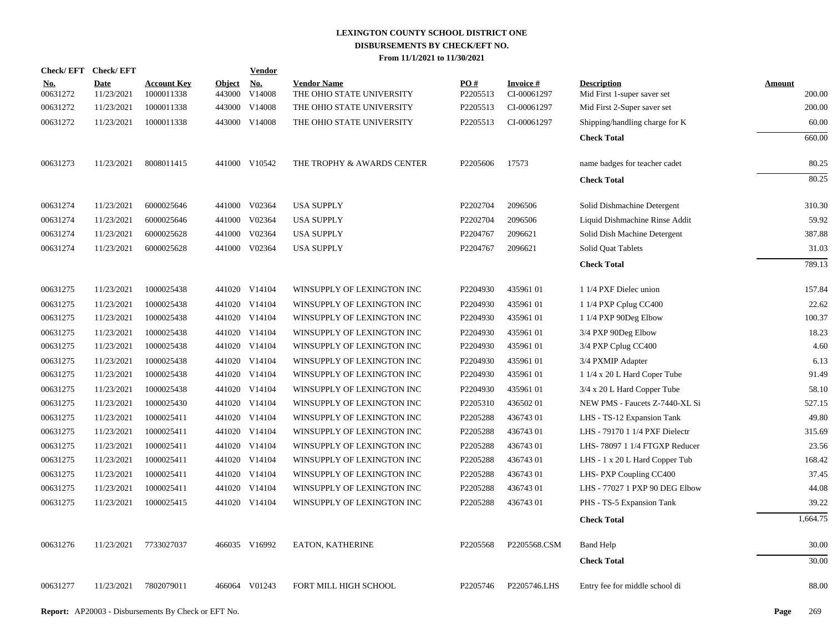| Check/EFT Check/EFT    |                           |                                  |                         | Vendor        |                                                 |                 |                                |                                                   |                  |
|------------------------|---------------------------|----------------------------------|-------------------------|---------------|-------------------------------------------------|-----------------|--------------------------------|---------------------------------------------------|------------------|
| <u>No.</u><br>00631272 | <b>Date</b><br>11/23/2021 | <b>Account Key</b><br>1000011338 | <b>Object</b><br>443000 | No.<br>V14008 | <b>Vendor Name</b><br>THE OHIO STATE UNIVERSITY | PO#<br>P2205513 | <b>Invoice#</b><br>CI-00061297 | <b>Description</b><br>Mid First 1-super saver set | Amount<br>200.00 |
| 00631272               | 11/23/2021                | 1000011338                       |                         | 443000 V14008 | THE OHIO STATE UNIVERSITY                       | P2205513        | CI-00061297                    | Mid First 2-Super saver set                       | 200.00           |
| 00631272               | 11/23/2021                | 1000011338                       |                         | 443000 V14008 | THE OHIO STATE UNIVERSITY                       | P2205513        | CI-00061297                    | Shipping/handling charge for K                    | 60.00            |
|                        |                           |                                  |                         |               |                                                 |                 |                                | <b>Check Total</b>                                | 660.00           |
| 00631273               | 11/23/2021                | 8008011415                       |                         | 441000 V10542 | THE TROPHY & AWARDS CENTER                      | P2205606        | 17573                          | name badges for teacher cadet                     | 80.25            |
|                        |                           |                                  |                         |               |                                                 |                 |                                | <b>Check Total</b>                                | 80.25            |
| 00631274               | 11/23/2021                | 6000025646                       |                         | 441000 V02364 | <b>USA SUPPLY</b>                               | P2202704        | 2096506                        | Solid Dishmachine Detergent                       | 310.30           |
| 00631274               | 11/23/2021                | 6000025646                       |                         | 441000 V02364 | <b>USA SUPPLY</b>                               | P2202704        | 2096506                        | Liquid Dishmachine Rinse Addit                    | 59.92            |
| 00631274               | 11/23/2021                | 6000025628                       |                         | 441000 V02364 | <b>USA SUPPLY</b>                               | P2204767        | 2096621                        | Solid Dish Machine Detergent                      | 387.88           |
| 00631274               | 11/23/2021                | 6000025628                       |                         | 441000 V02364 | <b>USA SUPPLY</b>                               | P2204767        | 2096621                        | Solid Quat Tablets                                | 31.03            |
|                        |                           |                                  |                         |               |                                                 |                 |                                | <b>Check Total</b>                                | 789.13           |
| 00631275               | 11/23/2021                | 1000025438                       |                         | 441020 V14104 | WINSUPPLY OF LEXINGTON INC                      | P2204930        | 43596101                       | 1 1/4 PXF Dielec union                            | 157.84           |
| 00631275               | 11/23/2021                | 1000025438                       |                         | 441020 V14104 | WINSUPPLY OF LEXINGTON INC                      | P2204930        | 43596101                       | 1 1/4 PXP Cplug CC400                             | 22.62            |
| 00631275               | 11/23/2021                | 1000025438                       |                         | 441020 V14104 | WINSUPPLY OF LEXINGTON INC                      | P2204930        | 43596101                       | 1 1/4 PXP 90Deg Elbow                             | 100.37           |
| 00631275               | 11/23/2021                | 1000025438                       |                         | 441020 V14104 | WINSUPPLY OF LEXINGTON INC                      | P2204930        | 43596101                       | 3/4 PXP 90Deg Elbow                               | 18.23            |
| 00631275               | 11/23/2021                | 1000025438                       |                         | 441020 V14104 | WINSUPPLY OF LEXINGTON INC                      | P2204930        | 43596101                       | 3/4 PXP Cplug CC400                               | 4.60             |
| 00631275               | 11/23/2021                | 1000025438                       |                         | 441020 V14104 | WINSUPPLY OF LEXINGTON INC                      | P2204930        | 43596101                       | 3/4 PXMIP Adapter                                 | 6.13             |
| 00631275               | 11/23/2021                | 1000025438                       |                         | 441020 V14104 | WINSUPPLY OF LEXINGTON INC                      | P2204930        | 43596101                       | 1 1/4 x 20 L Hard Coper Tube                      | 91.49            |
| 00631275               | 11/23/2021                | 1000025438                       |                         | 441020 V14104 | WINSUPPLY OF LEXINGTON INC                      | P2204930        | 43596101                       | 3/4 x 20 L Hard Copper Tube                       | 58.10            |
| 00631275               | 11/23/2021                | 1000025430                       |                         | 441020 V14104 | WINSUPPLY OF LEXINGTON INC                      | P2205310        | 43650201                       | NEW PMS - Faucets Z-7440-XL Si                    | 527.15           |
| 00631275               | 11/23/2021                | 1000025411                       |                         | 441020 V14104 | WINSUPPLY OF LEXINGTON INC                      | P2205288        | 43674301                       | LHS - TS-12 Expansion Tank                        | 49.80            |
| 00631275               | 11/23/2021                | 1000025411                       |                         | 441020 V14104 | WINSUPPLY OF LEXINGTON INC                      | P2205288        | 43674301                       | LHS - 79170 1 1/4 PXF Dielectr                    | 315.69           |
| 00631275               | 11/23/2021                | 1000025411                       |                         | 441020 V14104 | WINSUPPLY OF LEXINGTON INC                      | P2205288        | 43674301                       | LHS-78097 1 1/4 FTGXP Reducer                     | 23.56            |
| 00631275               | 11/23/2021                | 1000025411                       |                         | 441020 V14104 | WINSUPPLY OF LEXINGTON INC                      | P2205288        | 43674301                       | LHS - 1 x 20 L Hard Copper Tub                    | 168.42           |
| 00631275               | 11/23/2021                | 1000025411                       |                         | 441020 V14104 | WINSUPPLY OF LEXINGTON INC                      | P2205288        | 43674301                       | LHS-PXP Coupling CC400                            | 37.45            |
| 00631275               | 11/23/2021                | 1000025411                       |                         | 441020 V14104 | WINSUPPLY OF LEXINGTON INC                      | P2205288        | 43674301                       | LHS - 77027 1 PXP 90 DEG Elbow                    | 44.08            |
| 00631275               | 11/23/2021                | 1000025415                       |                         | 441020 V14104 | WINSUPPLY OF LEXINGTON INC                      | P2205288        | 43674301                       | PHS - TS-5 Expansion Tank                         | 39.22            |
|                        |                           |                                  |                         |               |                                                 |                 |                                | <b>Check Total</b>                                | 1,664.75         |
| 00631276               | 11/23/2021                | 7733027037                       |                         | 466035 V16992 | <b>EATON, KATHERINE</b>                         | P2205568        | P2205568.CSM                   | <b>Band Help</b>                                  | 30.00            |
|                        |                           |                                  |                         |               |                                                 |                 |                                | <b>Check Total</b>                                | 30.00            |
| 00631277               | 11/23/2021                | 7802079011                       |                         | 466064 V01243 | FORT MILL HIGH SCHOOL                           | P2205746        | P2205746.LHS                   | Entry fee for middle school di                    | 88.00            |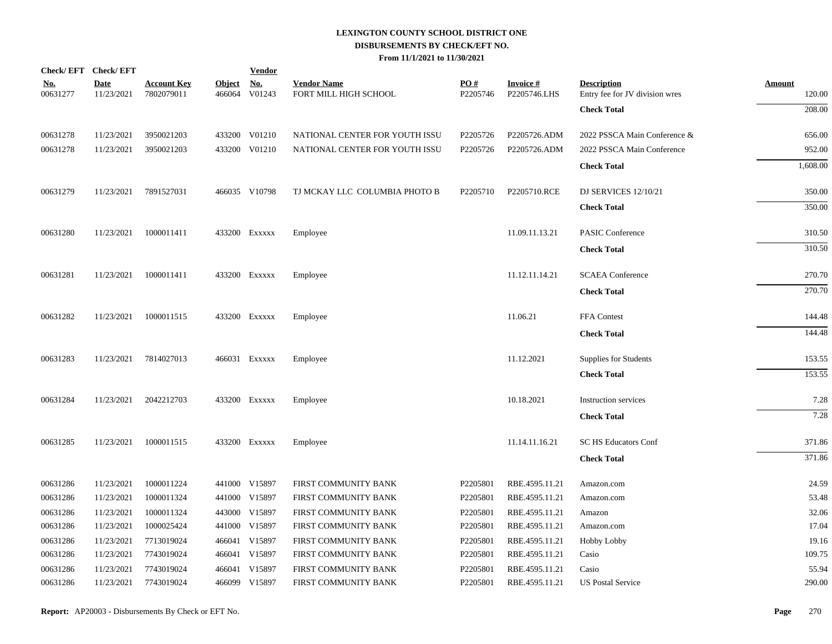| Check/EFT Check/EFT    |                           |                                  |                         | <b>Vendor</b>        |                                             |                               |                                 |                                                      |                         |
|------------------------|---------------------------|----------------------------------|-------------------------|----------------------|---------------------------------------------|-------------------------------|---------------------------------|------------------------------------------------------|-------------------------|
| <u>No.</u><br>00631277 | <b>Date</b><br>11/23/2021 | <b>Account Key</b><br>7802079011 | <b>Object</b><br>466064 | <u>No.</u><br>V01243 | <b>Vendor Name</b><br>FORT MILL HIGH SCHOOL | $\underline{PO#}$<br>P2205746 | <b>Invoice#</b><br>P2205746.LHS | <b>Description</b><br>Entry fee for JV division wres | <b>Amount</b><br>120.00 |
|                        |                           |                                  |                         |                      |                                             |                               |                                 | <b>Check Total</b>                                   | 208.00                  |
| 00631278               | 11/23/2021                | 3950021203                       |                         | 433200 V01210        | NATIONAL CENTER FOR YOUTH ISSU              | P2205726                      | P2205726.ADM                    | 2022 PSSCA Main Conference &                         | 656.00                  |
| 00631278               | 11/23/2021                | 3950021203                       |                         | 433200 V01210        | NATIONAL CENTER FOR YOUTH ISSU              | P2205726                      | P2205726.ADM                    | 2022 PSSCA Main Conference                           | 952.00                  |
|                        |                           |                                  |                         |                      |                                             |                               |                                 | <b>Check Total</b>                                   | 1,608.00                |
| 00631279               | 11/23/2021                | 7891527031                       |                         | 466035 V10798        | TJ MCKAY LLC COLUMBIA PHOTO B               | P2205710                      | P2205710.RCE                    | DJ SERVICES 12/10/21                                 | 350.00                  |
|                        |                           |                                  |                         |                      |                                             |                               |                                 | <b>Check Total</b>                                   | 350.00                  |
| 00631280               | 11/23/2021                | 1000011411                       |                         | 433200 Exxxxx        | Employee                                    |                               | 11.09.11.13.21                  | <b>PASIC Conference</b>                              | 310.50                  |
|                        |                           |                                  |                         |                      |                                             |                               |                                 | <b>Check Total</b>                                   | 310.50                  |
| 00631281               | 11/23/2021                | 1000011411                       |                         | 433200 Exxxxx        | Employee                                    |                               | 11.12.11.14.21                  | <b>SCAEA</b> Conference                              | 270.70                  |
|                        |                           |                                  |                         |                      |                                             |                               |                                 | <b>Check Total</b>                                   | 270.70                  |
| 00631282               | 11/23/2021                | 1000011515                       |                         | 433200 Exxxxx        | Employee                                    |                               | 11.06.21                        | FFA Contest                                          | 144.48                  |
|                        |                           |                                  |                         |                      |                                             |                               |                                 | <b>Check Total</b>                                   | 144.48                  |
| 00631283               | 11/23/2021                | 7814027013                       |                         | 466031 Exxxxx        | Employee                                    |                               | 11.12.2021                      | Supplies for Students                                | 153.55                  |
|                        |                           |                                  |                         |                      |                                             |                               |                                 | <b>Check Total</b>                                   | 153.55                  |
| 00631284               | 11/23/2021                | 2042212703                       |                         | 433200 EXXXXX        | Employee                                    |                               | 10.18.2021                      | <b>Instruction services</b>                          | 7.28                    |
|                        |                           |                                  |                         |                      |                                             |                               |                                 | <b>Check Total</b>                                   | 7.28                    |
| 00631285               | 11/23/2021                | 1000011515                       |                         | 433200 Exxxxx        | Employee                                    |                               | 11.14.11.16.21                  | <b>SC HS Educators Conf</b>                          | 371.86                  |
|                        |                           |                                  |                         |                      |                                             |                               |                                 | <b>Check Total</b>                                   | 371.86                  |
| 00631286               | 11/23/2021                | 1000011224                       |                         | 441000 V15897        | FIRST COMMUNITY BANK                        | P2205801                      | RBE.4595.11.21                  | Amazon.com                                           | 24.59                   |
| 00631286               | 11/23/2021                | 1000011324                       |                         | 441000 V15897        | FIRST COMMUNITY BANK                        | P2205801                      | RBE.4595.11.21                  | Amazon.com                                           | 53.48                   |
| 00631286               | 11/23/2021                | 1000011324                       |                         | 443000 V15897        | FIRST COMMUNITY BANK                        | P2205801                      | RBE.4595.11.21                  | Amazon                                               | 32.06                   |
| 00631286               | 11/23/2021                | 1000025424                       |                         | 441000 V15897        | FIRST COMMUNITY BANK                        | P2205801                      | RBE.4595.11.21                  | Amazon.com                                           | 17.04                   |
| 00631286               | 11/23/2021                | 7713019024                       |                         | 466041 V15897        | FIRST COMMUNITY BANK                        | P2205801                      | RBE.4595.11.21                  | Hobby Lobby                                          | 19.16                   |
| 00631286               | 11/23/2021                | 7743019024                       |                         | 466041 V15897        | FIRST COMMUNITY BANK                        | P2205801                      | RBE.4595.11.21                  | Casio                                                | 109.75                  |
| 00631286               | 11/23/2021                | 7743019024                       |                         | 466041 V15897        | FIRST COMMUNITY BANK                        | P2205801                      | RBE.4595.11.21                  | Casio                                                | 55.94                   |
| 00631286               | 11/23/2021                | 7743019024                       |                         | 466099 V15897        | FIRST COMMUNITY BANK                        | P2205801                      | RBE.4595.11.21                  | <b>US Postal Service</b>                             | 290.00                  |
|                        |                           |                                  |                         |                      |                                             |                               |                                 |                                                      |                         |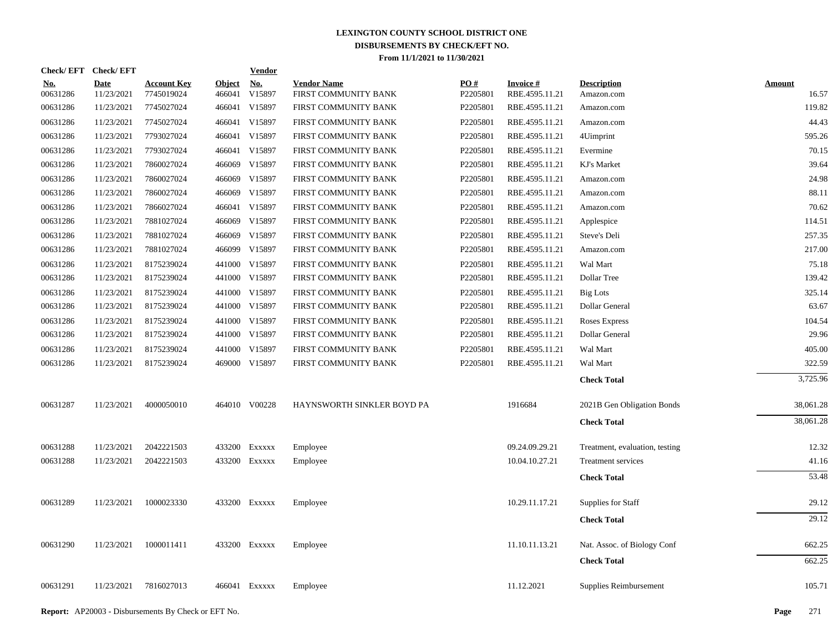| Check/EFT Check/EFT    |                           |                                  |                         | <b>Vendor</b> |                                            |                 |                                   |                                  |                        |
|------------------------|---------------------------|----------------------------------|-------------------------|---------------|--------------------------------------------|-----------------|-----------------------------------|----------------------------------|------------------------|
| <u>No.</u><br>00631286 | <b>Date</b><br>11/23/2021 | <b>Account Key</b><br>7745019024 | <b>Object</b><br>466041 | No.<br>V15897 | <b>Vendor Name</b><br>FIRST COMMUNITY BANK | PO#<br>P2205801 | <b>Invoice#</b><br>RBE.4595.11.21 | <b>Description</b><br>Amazon.com | <b>Amount</b><br>16.57 |
| 00631286               | 11/23/2021                | 7745027024                       | 466041                  | V15897        | FIRST COMMUNITY BANK                       | P2205801        | RBE.4595.11.21                    | Amazon.com                       | 119.82                 |
| 00631286               | 11/23/2021                | 7745027024                       | 466041                  | V15897        | FIRST COMMUNITY BANK                       | P2205801        | RBE.4595.11.21                    | Amazon.com                       | 44.43                  |
| 00631286               | 11/23/2021                | 7793027024                       | 466041                  | V15897        | FIRST COMMUNITY BANK                       | P2205801        | RBE.4595.11.21                    | 4Uimprint                        | 595.26                 |
| 00631286               | 11/23/2021                | 7793027024                       | 466041                  | V15897        | FIRST COMMUNITY BANK                       | P2205801        | RBE.4595.11.21                    | Evermine                         | 70.15                  |
| 00631286               | 11/23/2021                | 7860027024                       | 466069                  | V15897        | FIRST COMMUNITY BANK                       | P2205801        | RBE.4595.11.21                    | KJ's Market                      | 39.64                  |
| 00631286               | 11/23/2021                | 7860027024                       | 466069                  | V15897        | FIRST COMMUNITY BANK                       | P2205801        | RBE.4595.11.21                    | Amazon.com                       | 24.98                  |
| 00631286               | 11/23/2021                | 7860027024                       |                         | 466069 V15897 | FIRST COMMUNITY BANK                       | P2205801        | RBE.4595.11.21                    | Amazon.com                       | 88.11                  |
| 00631286               | 11/23/2021                | 7866027024                       | 466041                  | V15897        | FIRST COMMUNITY BANK                       | P2205801        | RBE.4595.11.21                    | Amazon.com                       | 70.62                  |
| 00631286               | 11/23/2021                | 7881027024                       |                         | 466069 V15897 | FIRST COMMUNITY BANK                       | P2205801        | RBE.4595.11.21                    | Applespice                       | 114.51                 |
| 00631286               | 11/23/2021                | 7881027024                       | 466069                  | V15897        | FIRST COMMUNITY BANK                       | P2205801        | RBE.4595.11.21                    | Steve's Deli                     | 257.35                 |
| 00631286               | 11/23/2021                | 7881027024                       |                         | 466099 V15897 | FIRST COMMUNITY BANK                       | P2205801        | RBE.4595.11.21                    | Amazon.com                       | 217.00                 |
| 00631286               | 11/23/2021                | 8175239024                       |                         | 441000 V15897 | FIRST COMMUNITY BANK                       | P2205801        | RBE.4595.11.21                    | Wal Mart                         | 75.18                  |
| 00631286               | 11/23/2021                | 8175239024                       |                         | 441000 V15897 | FIRST COMMUNITY BANK                       | P2205801        | RBE.4595.11.21                    | Dollar Tree                      | 139.42                 |
| 00631286               | 11/23/2021                | 8175239024                       |                         | 441000 V15897 | FIRST COMMUNITY BANK                       | P2205801        | RBE.4595.11.21                    | <b>Big Lots</b>                  | 325.14                 |
| 00631286               | 11/23/2021                | 8175239024                       |                         | 441000 V15897 | FIRST COMMUNITY BANK                       | P2205801        | RBE.4595.11.21                    | Dollar General                   | 63.67                  |
| 00631286               | 11/23/2021                | 8175239024                       |                         | 441000 V15897 | FIRST COMMUNITY BANK                       | P2205801        | RBE.4595.11.21                    | Roses Express                    | 104.54                 |
| 00631286               | 11/23/2021                | 8175239024                       |                         | 441000 V15897 | FIRST COMMUNITY BANK                       | P2205801        | RBE.4595.11.21                    | Dollar General                   | 29.96                  |
| 00631286               | 11/23/2021                | 8175239024                       |                         | 441000 V15897 | FIRST COMMUNITY BANK                       | P2205801        | RBE.4595.11.21                    | Wal Mart                         | 405.00                 |
| 00631286               | 11/23/2021                | 8175239024                       |                         | 469000 V15897 | FIRST COMMUNITY BANK                       | P2205801        | RBE.4595.11.21                    | Wal Mart                         | 322.59                 |
|                        |                           |                                  |                         |               |                                            |                 |                                   | <b>Check Total</b>               | 3,725.96               |
| 00631287               | 11/23/2021                | 4000050010                       |                         | 464010 V00228 | HAYNSWORTH SINKLER BOYD PA                 |                 | 1916684                           | 2021B Gen Obligation Bonds       | 38,061.28              |
|                        |                           |                                  |                         |               |                                            |                 |                                   | <b>Check Total</b>               | 38,061.28              |
| 00631288               | 11/23/2021                | 2042221503                       |                         | 433200 EXXXXX | Employee                                   |                 | 09.24.09.29.21                    | Treatment, evaluation, testing   | 12.32                  |
| 00631288               | 11/23/2021                | 2042221503                       |                         | 433200 Exxxxx | Employee                                   |                 | 10.04.10.27.21                    | Treatment services               | 41.16                  |
|                        |                           |                                  |                         |               |                                            |                 |                                   | <b>Check Total</b>               | 53.48                  |
| 00631289               | 11/23/2021                | 1000023330                       |                         | 433200 Exxxxx | Employee                                   |                 | 10.29.11.17.21                    | Supplies for Staff               | 29.12                  |
|                        |                           |                                  |                         |               |                                            |                 |                                   | <b>Check Total</b>               | 29.12                  |
| 00631290               | 11/23/2021                | 1000011411                       |                         | 433200 Exxxxx | Employee                                   |                 | 11.10.11.13.21                    | Nat. Assoc. of Biology Conf      | 662.25                 |
|                        |                           |                                  |                         |               |                                            |                 |                                   | <b>Check Total</b>               | 662.25                 |
| 00631291               | 11/23/2021                | 7816027013                       |                         | 466041 Exxxxx | Employee                                   |                 | 11.12.2021                        | Supplies Reimbursement           | 105.71                 |
|                        |                           |                                  |                         |               |                                            |                 |                                   |                                  |                        |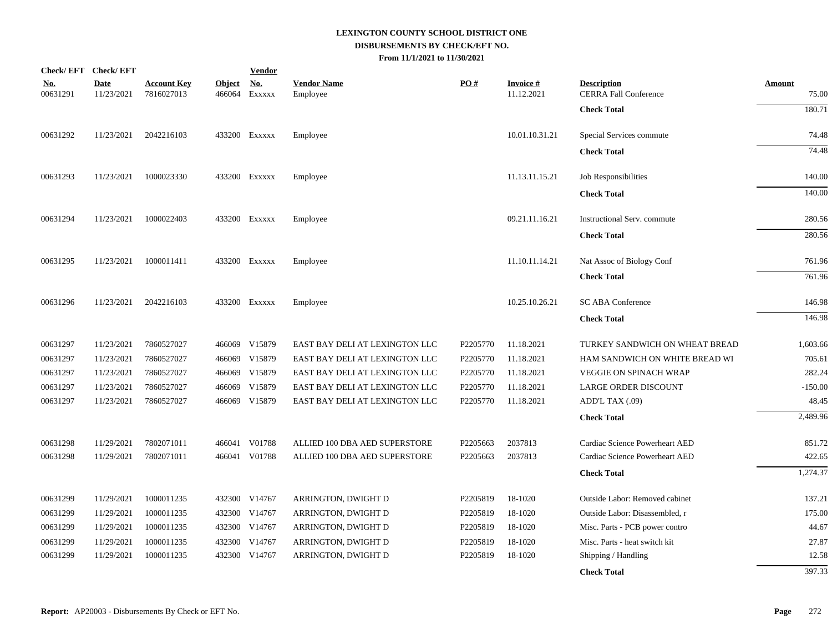| Check/EFT Check/EFT    |                           |                                  |                         | <b>Vendor</b>        |                                |          |                                |                                                    |                        |
|------------------------|---------------------------|----------------------------------|-------------------------|----------------------|--------------------------------|----------|--------------------------------|----------------------------------------------------|------------------------|
| <u>No.</u><br>00631291 | <b>Date</b><br>11/23/2021 | <b>Account Key</b><br>7816027013 | <b>Object</b><br>466064 | <u>No.</u><br>EXXXXX | <b>Vendor Name</b><br>Employee | PO#      | <b>Invoice #</b><br>11.12.2021 | <b>Description</b><br><b>CERRA Fall Conference</b> | <b>Amount</b><br>75.00 |
|                        |                           |                                  |                         |                      |                                |          |                                | <b>Check Total</b>                                 | 180.71                 |
| 00631292               | 11/23/2021                | 2042216103                       |                         | 433200 Exxxxx        | Employee                       |          | 10.01.10.31.21                 | Special Services commute                           | 74.48                  |
|                        |                           |                                  |                         |                      |                                |          |                                | <b>Check Total</b>                                 | 74.48                  |
| 00631293               | 11/23/2021                | 1000023330                       |                         | 433200 Exxxxx        | Employee                       |          | 11.13.11.15.21                 | Job Responsibilities                               | 140.00                 |
|                        |                           |                                  |                         |                      |                                |          |                                | <b>Check Total</b>                                 | 140.00                 |
| 00631294               | 11/23/2021                | 1000022403                       |                         | 433200 Exxxxx        | Employee                       |          | 09.21.11.16.21                 | Instructional Serv. commute                        | 280.56                 |
|                        |                           |                                  |                         |                      |                                |          |                                | <b>Check Total</b>                                 | 280.56                 |
| 00631295               | 11/23/2021                | 1000011411                       |                         | 433200 Exxxxx        | Employee                       |          | 11.10.11.14.21                 | Nat Assoc of Biology Conf                          | 761.96                 |
|                        |                           |                                  |                         |                      |                                |          |                                | <b>Check Total</b>                                 | 761.96                 |
| 00631296               | 11/23/2021                | 2042216103                       |                         | 433200 Exxxxx        | Employee                       |          | 10.25.10.26.21                 | <b>SC ABA Conference</b>                           | 146.98                 |
|                        |                           |                                  |                         |                      |                                |          |                                | <b>Check Total</b>                                 | 146.98                 |
| 00631297               | 11/23/2021                | 7860527027                       |                         | 466069 V15879        | EAST BAY DELI AT LEXINGTON LLC | P2205770 | 11.18.2021                     | TURKEY SANDWICH ON WHEAT BREAD                     | 1,603.66               |
| 00631297               | 11/23/2021                | 7860527027                       | 466069                  | V15879               | EAST BAY DELI AT LEXINGTON LLC | P2205770 | 11.18.2021                     | HAM SANDWICH ON WHITE BREAD WI                     | 705.61                 |
| 00631297               | 11/23/2021                | 7860527027                       | 466069                  | V15879               | EAST BAY DELI AT LEXINGTON LLC | P2205770 | 11.18.2021                     | <b>VEGGIE ON SPINACH WRAP</b>                      | 282.24                 |
| 00631297               | 11/23/2021                | 7860527027                       | 466069                  | V15879               | EAST BAY DELI AT LEXINGTON LLC | P2205770 | 11.18.2021                     | <b>LARGE ORDER DISCOUNT</b>                        | $-150.00$              |
| 00631297               | 11/23/2021                | 7860527027                       |                         | 466069 V15879        | EAST BAY DELI AT LEXINGTON LLC | P2205770 | 11.18.2021                     | ADD'L TAX (.09)                                    | 48.45                  |
|                        |                           |                                  |                         |                      |                                |          |                                | <b>Check Total</b>                                 | 2,489.96               |
| 00631298               | 11/29/2021                | 7802071011                       |                         | 466041 V01788        | ALLIED 100 DBA AED SUPERSTORE  | P2205663 | 2037813                        | Cardiac Science Powerheart AED                     | 851.72                 |
| 00631298               | 11/29/2021                | 7802071011                       |                         | 466041 V01788        | ALLIED 100 DBA AED SUPERSTORE  | P2205663 | 2037813                        | Cardiac Science Powerheart AED                     | 422.65                 |
|                        |                           |                                  |                         |                      |                                |          |                                | <b>Check Total</b>                                 | 1,274.37               |
| 00631299               | 11/29/2021                | 1000011235                       |                         | 432300 V14767        | ARRINGTON, DWIGHT D            | P2205819 | 18-1020                        | Outside Labor: Removed cabinet                     | 137.21                 |
| 00631299               | 11/29/2021                | 1000011235                       |                         | 432300 V14767        | ARRINGTON, DWIGHT D            | P2205819 | 18-1020                        | Outside Labor: Disassembled, r                     | 175.00                 |
| 00631299               | 11/29/2021                | 1000011235                       |                         | 432300 V14767        | ARRINGTON, DWIGHT D            | P2205819 | 18-1020                        | Misc. Parts - PCB power contro                     | 44.67                  |
| 00631299               | 11/29/2021                | 1000011235                       |                         | 432300 V14767        | ARRINGTON, DWIGHT D            | P2205819 | 18-1020                        | Misc. Parts - heat switch kit                      | 27.87                  |
| 00631299               | 11/29/2021                | 1000011235                       | 432300                  | V14767               | ARRINGTON, DWIGHT D            | P2205819 | 18-1020                        | Shipping / Handling                                | 12.58                  |
|                        |                           |                                  |                         |                      |                                |          |                                | <b>Check Total</b>                                 | 397.33                 |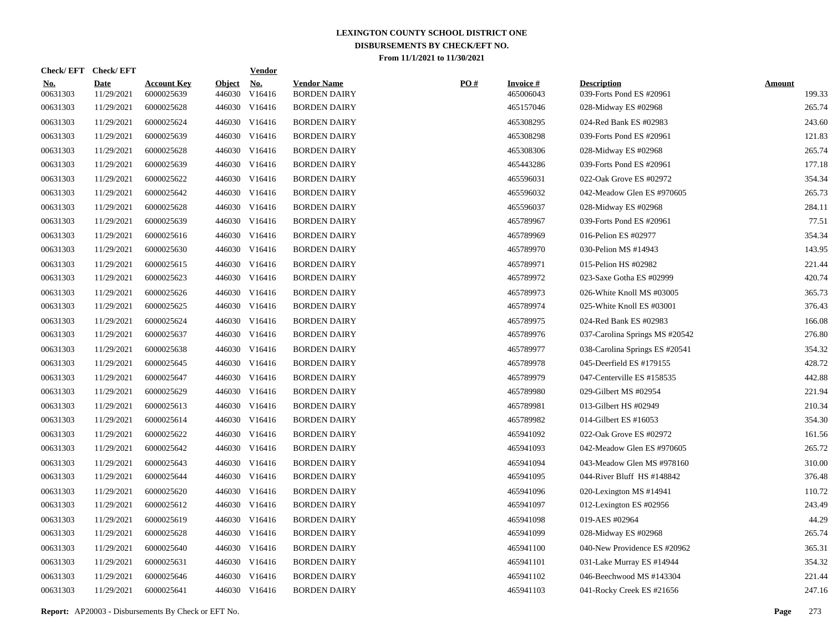|                        | Check/EFT Check/EFT       |                                  |                         | <b>Vendor</b>        |                                           |     |                              |                                                |                         |
|------------------------|---------------------------|----------------------------------|-------------------------|----------------------|-------------------------------------------|-----|------------------------------|------------------------------------------------|-------------------------|
| <u>No.</u><br>00631303 | <b>Date</b><br>11/29/2021 | <b>Account Key</b><br>6000025639 | <b>Object</b><br>446030 | <u>No.</u><br>V16416 | <b>Vendor Name</b><br><b>BORDEN DAIRY</b> | PO# | <b>Invoice#</b><br>465006043 | <b>Description</b><br>039-Forts Pond ES #20961 | <b>Amount</b><br>199.33 |
| 00631303               | 11/29/2021                | 6000025628                       |                         | 446030 V16416        | <b>BORDEN DAIRY</b>                       |     | 465157046                    | 028-Midway ES #02968                           | 265.74                  |
| 00631303               | 11/29/2021                | 6000025624                       |                         | 446030 V16416        | <b>BORDEN DAIRY</b>                       |     | 465308295                    | 024-Red Bank ES #02983                         | 243.60                  |
| 00631303               | 11/29/2021                | 6000025639                       |                         | 446030 V16416        | <b>BORDEN DAIRY</b>                       |     | 465308298                    | 039-Forts Pond ES #20961                       | 121.83                  |
| 00631303               | 11/29/2021                | 6000025628                       |                         | 446030 V16416        | <b>BORDEN DAIRY</b>                       |     | 465308306                    | 028-Midway ES #02968                           | 265.74                  |
| 00631303               | 11/29/2021                | 6000025639                       |                         | 446030 V16416        | <b>BORDEN DAIRY</b>                       |     | 465443286                    | 039-Forts Pond ES #20961                       | 177.18                  |
| 00631303               | 11/29/2021                | 6000025622                       |                         | 446030 V16416        | <b>BORDEN DAIRY</b>                       |     | 465596031                    | 022-Oak Grove ES #02972                        | 354.34                  |
| 00631303               | 11/29/2021                | 6000025642                       |                         | 446030 V16416        | <b>BORDEN DAIRY</b>                       |     | 465596032                    | 042-Meadow Glen ES #970605                     | 265.73                  |
| 00631303               | 11/29/2021                | 6000025628                       |                         | 446030 V16416        | <b>BORDEN DAIRY</b>                       |     | 465596037                    | 028-Midway ES #02968                           | 284.11                  |
| 00631303               | 11/29/2021                | 6000025639                       |                         | 446030 V16416        | <b>BORDEN DAIRY</b>                       |     | 465789967                    | 039-Forts Pond ES #20961                       | 77.51                   |
| 00631303               | 11/29/2021                | 6000025616                       |                         | 446030 V16416        | <b>BORDEN DAIRY</b>                       |     | 465789969                    | 016-Pelion ES #02977                           | 354.34                  |
| 00631303               | 11/29/2021                | 6000025630                       |                         | 446030 V16416        | <b>BORDEN DAIRY</b>                       |     | 465789970                    | 030-Pelion MS #14943                           | 143.95                  |
| 00631303               | 11/29/2021                | 6000025615                       |                         | 446030 V16416        | <b>BORDEN DAIRY</b>                       |     | 465789971                    | 015-Pelion HS #02982                           | 221.44                  |
| 00631303               | 11/29/2021                | 6000025623                       |                         | 446030 V16416        | <b>BORDEN DAIRY</b>                       |     | 465789972                    | 023-Saxe Gotha ES #02999                       | 420.74                  |
| 00631303               | 11/29/2021                | 6000025626                       |                         | 446030 V16416        | <b>BORDEN DAIRY</b>                       |     | 465789973                    | 026-White Knoll MS #03005                      | 365.73                  |
| 00631303               | 11/29/2021                | 6000025625                       |                         | 446030 V16416        | <b>BORDEN DAIRY</b>                       |     | 465789974                    | 025-White Knoll ES #03001                      | 376.43                  |
| 00631303               | 11/29/2021                | 6000025624                       |                         | 446030 V16416        | <b>BORDEN DAIRY</b>                       |     | 465789975                    | 024-Red Bank ES #02983                         | 166.08                  |
| 00631303               | 11/29/2021                | 6000025637                       |                         | 446030 V16416        | <b>BORDEN DAIRY</b>                       |     | 465789976                    | 037-Carolina Springs MS #20542                 | 276.80                  |
| 00631303               | 11/29/2021                | 6000025638                       |                         | 446030 V16416        | <b>BORDEN DAIRY</b>                       |     | 465789977                    | 038-Carolina Springs ES #20541                 | 354.32                  |
| 00631303               | 11/29/2021                | 6000025645                       |                         | 446030 V16416        | <b>BORDEN DAIRY</b>                       |     | 465789978                    | 045-Deerfield ES #179155                       | 428.72                  |
| 00631303               | 11/29/2021                | 6000025647                       |                         | 446030 V16416        | <b>BORDEN DAIRY</b>                       |     | 465789979                    | 047-Centerville ES #158535                     | 442.88                  |
| 00631303               | 11/29/2021                | 6000025629                       |                         | 446030 V16416        | <b>BORDEN DAIRY</b>                       |     | 465789980                    | 029-Gilbert MS #02954                          | 221.94                  |
| 00631303               | 11/29/2021                | 6000025613                       |                         | 446030 V16416        | <b>BORDEN DAIRY</b>                       |     | 465789981                    | 013-Gilbert HS #02949                          | 210.34                  |
| 00631303               | 11/29/2021                | 6000025614                       |                         | 446030 V16416        | <b>BORDEN DAIRY</b>                       |     | 465789982                    | 014-Gilbert ES #16053                          | 354.30                  |
| 00631303               | 11/29/2021                | 6000025622                       |                         | 446030 V16416        | <b>BORDEN DAIRY</b>                       |     | 465941092                    | 022-Oak Grove ES #02972                        | 161.56                  |
| 00631303               | 11/29/2021                | 6000025642                       |                         | 446030 V16416        | <b>BORDEN DAIRY</b>                       |     | 465941093                    | 042-Meadow Glen ES #970605                     | 265.72                  |
| 00631303               | 11/29/2021                | 6000025643                       |                         | 446030 V16416        | <b>BORDEN DAIRY</b>                       |     | 465941094                    | 043-Meadow Glen MS #978160                     | 310.00                  |
| 00631303               | 11/29/2021                | 6000025644                       |                         | 446030 V16416        | <b>BORDEN DAIRY</b>                       |     | 465941095                    | 044-River Bluff HS #148842                     | 376.48                  |
| 00631303               | 11/29/2021                | 6000025620                       |                         | 446030 V16416        | <b>BORDEN DAIRY</b>                       |     | 465941096                    | 020-Lexington MS #14941                        | 110.72                  |
| 00631303               | 11/29/2021                | 6000025612                       |                         | 446030 V16416        | <b>BORDEN DAIRY</b>                       |     | 465941097                    | 012-Lexington ES #02956                        | 243.49                  |
| 00631303               | 11/29/2021                | 6000025619                       |                         | 446030 V16416        | <b>BORDEN DAIRY</b>                       |     | 465941098                    | 019-AES #02964                                 | 44.29                   |
| 00631303               | 11/29/2021                | 6000025628                       |                         | 446030 V16416        | <b>BORDEN DAIRY</b>                       |     | 465941099                    | 028-Midway ES #02968                           | 265.74                  |
| 00631303               | 11/29/2021                | 6000025640                       |                         | 446030 V16416        | <b>BORDEN DAIRY</b>                       |     | 465941100                    | 040-New Providence ES #20962                   | 365.31                  |
| 00631303               | 11/29/2021                | 6000025631                       |                         | 446030 V16416        | <b>BORDEN DAIRY</b>                       |     | 465941101                    | 031-Lake Murray ES #14944                      | 354.32                  |
| 00631303               | 11/29/2021                | 6000025646                       |                         | 446030 V16416        | <b>BORDEN DAIRY</b>                       |     | 465941102                    | 046-Beechwood MS #143304                       | 221.44                  |
| 00631303               | 11/29/2021                | 6000025641                       |                         | 446030 V16416        | <b>BORDEN DAIRY</b>                       |     | 465941103                    | 041-Rocky Creek ES #21656                      | 247.16                  |
|                        |                           |                                  |                         |                      |                                           |     |                              |                                                |                         |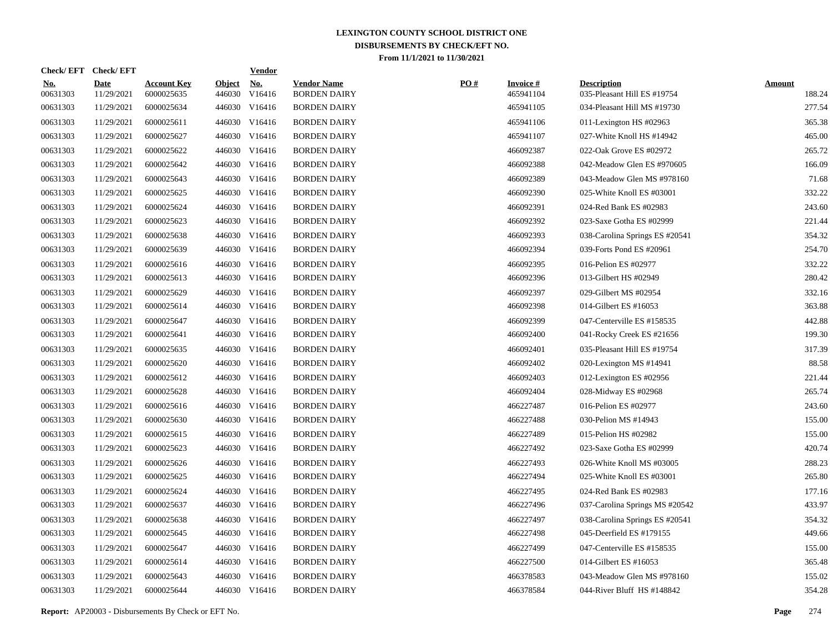|                        | Check/EFT Check/EFT       |                                  |                         | <b>Vendor</b>        |                                           |     |                               |                                                   |                         |
|------------------------|---------------------------|----------------------------------|-------------------------|----------------------|-------------------------------------------|-----|-------------------------------|---------------------------------------------------|-------------------------|
| <u>No.</u><br>00631303 | <b>Date</b><br>11/29/2021 | <b>Account Key</b><br>6000025635 | <b>Object</b><br>446030 | <u>No.</u><br>V16416 | <b>Vendor Name</b><br><b>BORDEN DAIRY</b> | PO# | <b>Invoice #</b><br>465941104 | <b>Description</b><br>035-Pleasant Hill ES #19754 | <b>Amount</b><br>188.24 |
| 00631303               | 11/29/2021                | 6000025634                       |                         | 446030 V16416        | <b>BORDEN DAIRY</b>                       |     | 465941105                     | 034-Pleasant Hill MS #19730                       | 277.54                  |
| 00631303               | 11/29/2021                | 6000025611                       |                         | 446030 V16416        | <b>BORDEN DAIRY</b>                       |     | 465941106                     | 011-Lexington HS #02963                           | 365.38                  |
| 00631303               | 11/29/2021                | 6000025627                       |                         | 446030 V16416        | <b>BORDEN DAIRY</b>                       |     | 465941107                     | 027-White Knoll HS #14942                         | 465.00                  |
| 00631303               | 11/29/2021                | 6000025622                       |                         | 446030 V16416        | <b>BORDEN DAIRY</b>                       |     | 466092387                     | 022-Oak Grove ES #02972                           | 265.72                  |
| 00631303               | 11/29/2021                | 6000025642                       |                         | 446030 V16416        | <b>BORDEN DAIRY</b>                       |     | 466092388                     | 042-Meadow Glen ES #970605                        | 166.09                  |
| 00631303               | 11/29/2021                | 6000025643                       |                         | 446030 V16416        | <b>BORDEN DAIRY</b>                       |     | 466092389                     | 043-Meadow Glen MS #978160                        | 71.68                   |
| 00631303               | 11/29/2021                | 6000025625                       |                         | 446030 V16416        | <b>BORDEN DAIRY</b>                       |     | 466092390                     | 025-White Knoll ES #03001                         | 332.22                  |
| 00631303               | 11/29/2021                | 6000025624                       |                         | 446030 V16416        | <b>BORDEN DAIRY</b>                       |     | 466092391                     | 024-Red Bank ES #02983                            | 243.60                  |
| 00631303               | 11/29/2021                | 6000025623                       |                         | 446030 V16416        | <b>BORDEN DAIRY</b>                       |     | 466092392                     | 023-Saxe Gotha ES #02999                          | 221.44                  |
| 00631303               | 11/29/2021                | 6000025638                       |                         | 446030 V16416        | <b>BORDEN DAIRY</b>                       |     | 466092393                     | 038-Carolina Springs ES #20541                    | 354.32                  |
| 00631303               | 11/29/2021                | 6000025639                       |                         | 446030 V16416        | <b>BORDEN DAIRY</b>                       |     | 466092394                     | 039-Forts Pond ES #20961                          | 254.70                  |
| 00631303               | 11/29/2021                | 6000025616                       |                         | 446030 V16416        | <b>BORDEN DAIRY</b>                       |     | 466092395                     | 016-Pelion ES #02977                              | 332.22                  |
| 00631303               | 11/29/2021                | 6000025613                       |                         | 446030 V16416        | <b>BORDEN DAIRY</b>                       |     | 466092396                     | 013-Gilbert HS #02949                             | 280.42                  |
| 00631303               | 11/29/2021                | 6000025629                       |                         | 446030 V16416        | <b>BORDEN DAIRY</b>                       |     | 466092397                     | 029-Gilbert MS #02954                             | 332.16                  |
| 00631303               | 11/29/2021                | 6000025614                       |                         | 446030 V16416        | <b>BORDEN DAIRY</b>                       |     | 466092398                     | 014-Gilbert ES #16053                             | 363.88                  |
| 00631303               | 11/29/2021                | 6000025647                       |                         | 446030 V16416        | <b>BORDEN DAIRY</b>                       |     | 466092399                     | 047-Centerville ES #158535                        | 442.88                  |
| 00631303               | 11/29/2021                | 6000025641                       |                         | 446030 V16416        | <b>BORDEN DAIRY</b>                       |     | 466092400                     | 041-Rocky Creek ES #21656                         | 199.30                  |
| 00631303               | 11/29/2021                | 6000025635                       |                         | 446030 V16416        | <b>BORDEN DAIRY</b>                       |     | 466092401                     | 035-Pleasant Hill ES #19754                       | 317.39                  |
| 00631303               | 11/29/2021                | 6000025620                       |                         | 446030 V16416        | <b>BORDEN DAIRY</b>                       |     | 466092402                     | 020-Lexington MS #14941                           | 88.58                   |
| 00631303               | 11/29/2021                | 6000025612                       |                         | 446030 V16416        | <b>BORDEN DAIRY</b>                       |     | 466092403                     | 012-Lexington ES #02956                           | 221.44                  |
| 00631303               | 11/29/2021                | 6000025628                       |                         | 446030 V16416        | <b>BORDEN DAIRY</b>                       |     | 466092404                     | 028-Midway ES #02968                              | 265.74                  |
| 00631303               | 11/29/2021                | 6000025616                       |                         | 446030 V16416        | <b>BORDEN DAIRY</b>                       |     | 466227487                     | 016-Pelion ES #02977                              | 243.60                  |
| 00631303               | 11/29/2021                | 6000025630                       |                         | 446030 V16416        | <b>BORDEN DAIRY</b>                       |     | 466227488                     | 030-Pelion MS #14943                              | 155.00                  |
| 00631303               | 11/29/2021                | 6000025615                       |                         | 446030 V16416        | <b>BORDEN DAIRY</b>                       |     | 466227489                     | 015-Pelion HS #02982                              | 155.00                  |
| 00631303               | 11/29/2021                | 6000025623                       |                         | 446030 V16416        | <b>BORDEN DAIRY</b>                       |     | 466227492                     | 023-Saxe Gotha ES #02999                          | 420.74                  |
| 00631303               | 11/29/2021                | 6000025626                       |                         | 446030 V16416        | <b>BORDEN DAIRY</b>                       |     | 466227493                     | 026-White Knoll MS #03005                         | 288.23                  |
| 00631303               | 11/29/2021                | 6000025625                       |                         | 446030 V16416        | <b>BORDEN DAIRY</b>                       |     | 466227494                     | 025-White Knoll ES #03001                         | 265.80                  |
| 00631303               | 11/29/2021                | 6000025624                       |                         | 446030 V16416        | <b>BORDEN DAIRY</b>                       |     | 466227495                     | 024-Red Bank ES #02983                            | 177.16                  |
| 00631303               | 11/29/2021                | 6000025637                       |                         | 446030 V16416        | <b>BORDEN DAIRY</b>                       |     | 466227496                     | 037-Carolina Springs MS #20542                    | 433.97                  |
| 00631303               | 11/29/2021                | 6000025638                       |                         | 446030 V16416        | <b>BORDEN DAIRY</b>                       |     | 466227497                     | 038-Carolina Springs ES #20541                    | 354.32                  |
| 00631303               | 11/29/2021                | 6000025645                       |                         | 446030 V16416        | <b>BORDEN DAIRY</b>                       |     | 466227498                     | 045-Deerfield ES #179155                          | 449.66                  |
| 00631303               | 11/29/2021                | 6000025647                       |                         | 446030 V16416        | <b>BORDEN DAIRY</b>                       |     | 466227499                     | 047-Centerville ES #158535                        | 155.00                  |
| 00631303               | 11/29/2021                | 6000025614                       |                         | 446030 V16416        | <b>BORDEN DAIRY</b>                       |     | 466227500                     | 014-Gilbert ES #16053                             | 365.48                  |
| 00631303               | 11/29/2021                | 6000025643                       | 446030                  | V16416               | <b>BORDEN DAIRY</b>                       |     | 466378583                     | 043-Meadow Glen MS #978160                        | 155.02                  |
| 00631303               | 11/29/2021                | 6000025644                       |                         | 446030 V16416        | <b>BORDEN DAIRY</b>                       |     | 466378584                     | 044-River Bluff HS #148842                        | 354.28                  |
|                        |                           |                                  |                         |                      |                                           |     |                               |                                                   |                         |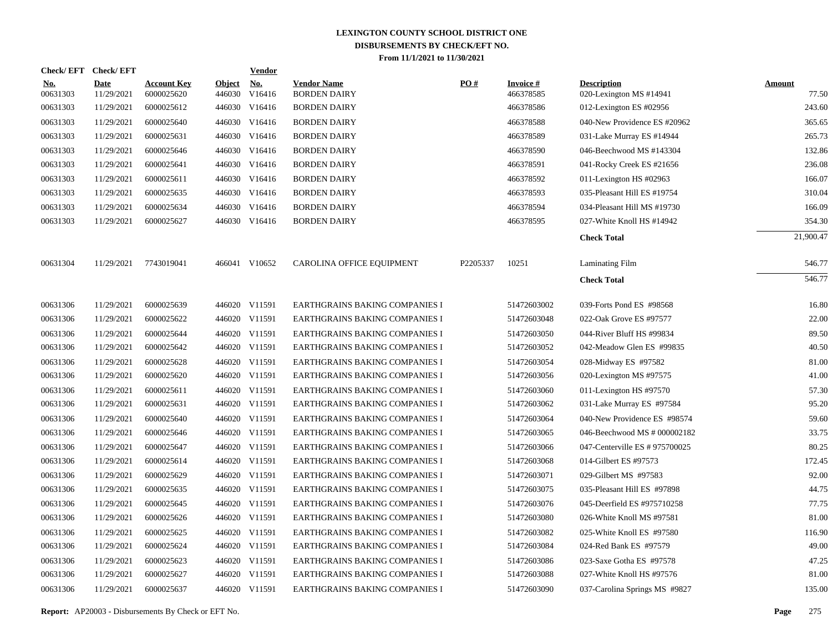| Check/EFT Check/EFT       |                                  |        | <b>Vendor</b>        |                                                                                                                                                                                                                                                                                                                                                                                                                                                                                                                                                              |          |                              |                                               |                        |
|---------------------------|----------------------------------|--------|----------------------|--------------------------------------------------------------------------------------------------------------------------------------------------------------------------------------------------------------------------------------------------------------------------------------------------------------------------------------------------------------------------------------------------------------------------------------------------------------------------------------------------------------------------------------------------------------|----------|------------------------------|-----------------------------------------------|------------------------|
| <b>Date</b><br>11/29/2021 | <b>Account Key</b><br>6000025620 | 446030 | <u>No.</u><br>V16416 | <b>Vendor Name</b><br><b>BORDEN DAIRY</b>                                                                                                                                                                                                                                                                                                                                                                                                                                                                                                                    | PO#      | <b>Invoice#</b><br>466378585 | <b>Description</b><br>020-Lexington MS #14941 | <b>Amount</b><br>77.50 |
| 11/29/2021                | 6000025612                       |        |                      | <b>BORDEN DAIRY</b>                                                                                                                                                                                                                                                                                                                                                                                                                                                                                                                                          |          | 466378586                    | 012-Lexington ES #02956                       | 243.60                 |
| 11/29/2021                | 6000025640                       |        |                      | <b>BORDEN DAIRY</b>                                                                                                                                                                                                                                                                                                                                                                                                                                                                                                                                          |          | 466378588                    | 040-New Providence ES #20962                  | 365.65                 |
| 11/29/2021                | 6000025631                       |        |                      | <b>BORDEN DAIRY</b>                                                                                                                                                                                                                                                                                                                                                                                                                                                                                                                                          |          | 466378589                    | 031-Lake Murray ES #14944                     | 265.73                 |
| 11/29/2021                | 6000025646                       |        |                      | <b>BORDEN DAIRY</b>                                                                                                                                                                                                                                                                                                                                                                                                                                                                                                                                          |          | 466378590                    | 046-Beechwood MS #143304                      | 132.86                 |
| 11/29/2021                | 6000025641                       |        |                      | <b>BORDEN DAIRY</b>                                                                                                                                                                                                                                                                                                                                                                                                                                                                                                                                          |          | 466378591                    | 041-Rocky Creek ES #21656                     | 236.08                 |
| 11/29/2021                | 6000025611                       |        |                      | <b>BORDEN DAIRY</b>                                                                                                                                                                                                                                                                                                                                                                                                                                                                                                                                          |          | 466378592                    | 011-Lexington HS #02963                       | 166.07                 |
| 11/29/2021                | 6000025635                       |        |                      | <b>BORDEN DAIRY</b>                                                                                                                                                                                                                                                                                                                                                                                                                                                                                                                                          |          | 466378593                    | 035-Pleasant Hill ES #19754                   | 310.04                 |
| 11/29/2021                | 6000025634                       |        |                      | <b>BORDEN DAIRY</b>                                                                                                                                                                                                                                                                                                                                                                                                                                                                                                                                          |          | 466378594                    | 034-Pleasant Hill MS #19730                   | 166.09                 |
| 11/29/2021                | 6000025627                       |        |                      | <b>BORDEN DAIRY</b>                                                                                                                                                                                                                                                                                                                                                                                                                                                                                                                                          |          | 466378595                    | 027-White Knoll HS #14942                     | 354.30                 |
|                           |                                  |        |                      |                                                                                                                                                                                                                                                                                                                                                                                                                                                                                                                                                              |          |                              | <b>Check Total</b>                            | 21,900.47              |
| 11/29/2021                | 7743019041                       |        |                      | CAROLINA OFFICE EQUIPMENT                                                                                                                                                                                                                                                                                                                                                                                                                                                                                                                                    | P2205337 | 10251                        | Laminating Film                               | 546.77                 |
|                           |                                  |        |                      |                                                                                                                                                                                                                                                                                                                                                                                                                                                                                                                                                              |          |                              | <b>Check Total</b>                            | 546.77                 |
| 11/29/2021                | 6000025639                       |        |                      | EARTHGRAINS BAKING COMPANIES I                                                                                                                                                                                                                                                                                                                                                                                                                                                                                                                               |          | 51472603002                  | 039-Forts Pond ES #98568                      | 16.80                  |
| 11/29/2021                | 6000025622                       |        |                      | <b>EARTHGRAINS BAKING COMPANIES I</b>                                                                                                                                                                                                                                                                                                                                                                                                                                                                                                                        |          | 51472603048                  | 022-Oak Grove ES #97577                       | 22.00                  |
| 11/29/2021                | 6000025644                       |        |                      | EARTHGRAINS BAKING COMPANIES I                                                                                                                                                                                                                                                                                                                                                                                                                                                                                                                               |          | 51472603050                  | 044-River Bluff HS #99834                     | 89.50                  |
| 11/29/2021                | 6000025642                       |        |                      | EARTHGRAINS BAKING COMPANIES I                                                                                                                                                                                                                                                                                                                                                                                                                                                                                                                               |          | 51472603052                  | 042-Meadow Glen ES #99835                     | 40.50                  |
| 11/29/2021                | 6000025628                       |        |                      | EARTHGRAINS BAKING COMPANIES I                                                                                                                                                                                                                                                                                                                                                                                                                                                                                                                               |          | 51472603054                  | 028-Midway ES #97582                          | 81.00                  |
| 11/29/2021                | 6000025620                       |        |                      | <b>EARTHGRAINS BAKING COMPANIES I</b>                                                                                                                                                                                                                                                                                                                                                                                                                                                                                                                        |          | 51472603056                  | 020-Lexington MS #97575                       | 41.00                  |
| 11/29/2021                | 6000025611                       |        |                      | <b>EARTHGRAINS BAKING COMPANIES I</b>                                                                                                                                                                                                                                                                                                                                                                                                                                                                                                                        |          | 51472603060                  | 011-Lexington HS #97570                       | 57.30                  |
| 11/29/2021                | 6000025631                       |        |                      | EARTHGRAINS BAKING COMPANIES I                                                                                                                                                                                                                                                                                                                                                                                                                                                                                                                               |          | 51472603062                  | 031-Lake Murray ES #97584                     | 95.20                  |
| 11/29/2021                | 6000025640                       |        |                      | EARTHGRAINS BAKING COMPANIES I                                                                                                                                                                                                                                                                                                                                                                                                                                                                                                                               |          | 51472603064                  | 040-New Providence ES #98574                  | 59.60                  |
| 11/29/2021                | 6000025646                       |        |                      | EARTHGRAINS BAKING COMPANIES I                                                                                                                                                                                                                                                                                                                                                                                                                                                                                                                               |          | 51472603065                  | 046-Beechwood MS # 000002182                  | 33.75                  |
| 11/29/2021                | 6000025647                       |        |                      | EARTHGRAINS BAKING COMPANIES I                                                                                                                                                                                                                                                                                                                                                                                                                                                                                                                               |          | 51472603066                  | 047-Centerville ES # 975700025                | 80.25                  |
| 11/29/2021                | 6000025614                       |        |                      | EARTHGRAINS BAKING COMPANIES I                                                                                                                                                                                                                                                                                                                                                                                                                                                                                                                               |          | 51472603068                  | 014-Gilbert ES #97573                         | 172.45                 |
| 11/29/2021                | 6000025629                       |        |                      | <b>EARTHGRAINS BAKING COMPANIES I</b>                                                                                                                                                                                                                                                                                                                                                                                                                                                                                                                        |          | 51472603071                  | 029-Gilbert MS #97583                         | 92.00                  |
| 11/29/2021                | 6000025635                       |        |                      | EARTHGRAINS BAKING COMPANIES I                                                                                                                                                                                                                                                                                                                                                                                                                                                                                                                               |          | 51472603075                  | 035-Pleasant Hill ES #97898                   | 44.75                  |
| 11/29/2021                | 6000025645                       |        |                      | EARTHGRAINS BAKING COMPANIES I                                                                                                                                                                                                                                                                                                                                                                                                                                                                                                                               |          | 51472603076                  | 045-Deerfield ES #975710258                   | 77.75                  |
| 11/29/2021                | 6000025626                       |        |                      | EARTHGRAINS BAKING COMPANIES I                                                                                                                                                                                                                                                                                                                                                                                                                                                                                                                               |          | 51472603080                  | 026-White Knoll MS #97581                     | 81.00                  |
| 11/29/2021                | 6000025625                       |        |                      | EARTHGRAINS BAKING COMPANIES I                                                                                                                                                                                                                                                                                                                                                                                                                                                                                                                               |          | 51472603082                  | 025-White Knoll ES #97580                     | 116.90                 |
| 11/29/2021                | 6000025624                       |        |                      | EARTHGRAINS BAKING COMPANIES I                                                                                                                                                                                                                                                                                                                                                                                                                                                                                                                               |          | 51472603084                  | 024-Red Bank ES #97579                        | 49.00                  |
| 11/29/2021                | 6000025623                       |        |                      | EARTHGRAINS BAKING COMPANIES I                                                                                                                                                                                                                                                                                                                                                                                                                                                                                                                               |          | 51472603086                  | 023-Saxe Gotha ES #97578                      | 47.25                  |
| 11/29/2021                | 6000025627                       |        |                      | <b>EARTHGRAINS BAKING COMPANIES I</b>                                                                                                                                                                                                                                                                                                                                                                                                                                                                                                                        |          | 51472603088                  | 027-White Knoll HS #97576                     | 81.00                  |
| 11/29/2021                | 6000025637                       |        |                      | <b>EARTHGRAINS BAKING COMPANIES I</b>                                                                                                                                                                                                                                                                                                                                                                                                                                                                                                                        |          | 51472603090                  | 037-Carolina Springs MS #9827                 | 135.00                 |
|                           |                                  |        |                      | <b>Object</b><br>446030 V16416<br>446030 V16416<br>446030 V16416<br>446030 V16416<br>446030 V16416<br>446030 V16416<br>446030 V16416<br>446030 V16416<br>446030 V16416<br>466041 V10652<br>446020 V11591<br>446020 V11591<br>446020 V11591<br>446020 V11591<br>446020 V11591<br>446020 V11591<br>446020 V11591<br>446020 V11591<br>446020 V11591<br>446020 V11591<br>446020 V11591<br>446020 V11591<br>446020 V11591<br>446020 V11591<br>446020 V11591<br>446020 V11591<br>446020 V11591<br>446020 V11591<br>446020 V11591<br>446020 V11591<br>446020 V11591 |          |                              |                                               |                        |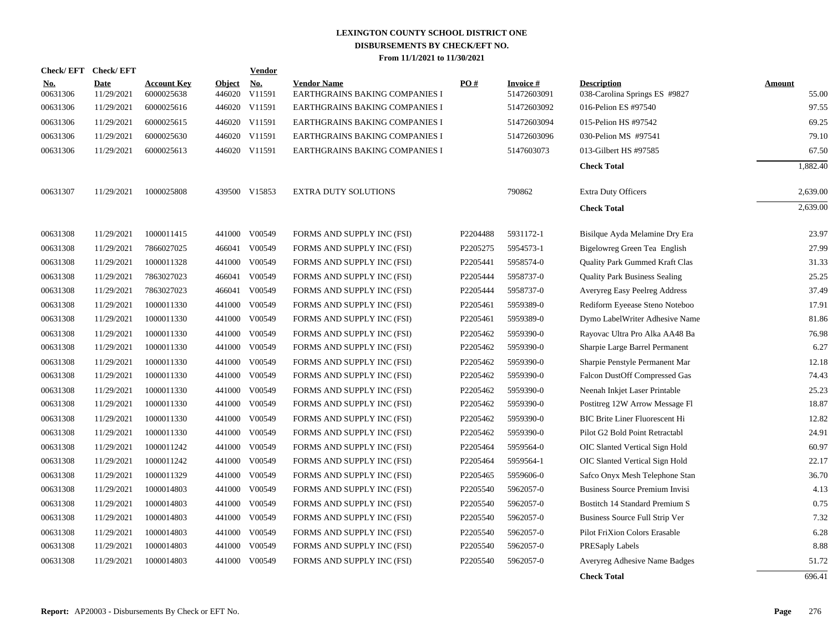|                        | Check/EFT Check/EFT       |                                  |                         | Vendor               |                                                      |          |                                 |                                                     |                        |
|------------------------|---------------------------|----------------------------------|-------------------------|----------------------|------------------------------------------------------|----------|---------------------------------|-----------------------------------------------------|------------------------|
| <b>No.</b><br>00631306 | <b>Date</b><br>11/29/2021 | <b>Account Key</b><br>6000025638 | <b>Object</b><br>446020 | <u>No.</u><br>V11591 | <b>Vendor Name</b><br>EARTHGRAINS BAKING COMPANIES I | PO#      | <b>Invoice #</b><br>51472603091 | <b>Description</b><br>038-Carolina Springs ES #9827 | <b>Amount</b><br>55.00 |
| 00631306               | 11/29/2021                | 6000025616                       |                         | 446020 V11591        | EARTHGRAINS BAKING COMPANIES I                       |          | 51472603092                     | 016-Pelion ES #97540                                | 97.55                  |
| 00631306               | 11/29/2021                | 6000025615                       | 446020                  | V11591               | EARTHGRAINS BAKING COMPANIES I                       |          | 51472603094                     | 015-Pelion HS #97542                                | 69.25                  |
| 00631306               | 11/29/2021                | 6000025630                       | 446020                  | V11591               | EARTHGRAINS BAKING COMPANIES I                       |          | 51472603096                     | 030-Pelion MS #97541                                | 79.10                  |
| 00631306               | 11/29/2021                | 6000025613                       | 446020                  | V11591               | EARTHGRAINS BAKING COMPANIES I                       |          | 5147603073                      | 013-Gilbert HS #97585                               | 67.50                  |
|                        |                           |                                  |                         |                      |                                                      |          |                                 | <b>Check Total</b>                                  | 1,882.40               |
| 00631307               | 11/29/2021                | 1000025808                       |                         | 439500 V15853        | <b>EXTRA DUTY SOLUTIONS</b>                          |          | 790862                          | Extra Duty Officers                                 | 2,639.00               |
|                        |                           |                                  |                         |                      |                                                      |          |                                 | <b>Check Total</b>                                  | 2,639.00               |
| 00631308               | 11/29/2021                | 1000011415                       | 441000                  | V00549               | FORMS AND SUPPLY INC (FSI)                           | P2204488 | 5931172-1                       | Bisilque Ayda Melamine Dry Era                      | 23.97                  |
| 00631308               | 11/29/2021                | 7866027025                       | 466041                  | V00549               | FORMS AND SUPPLY INC (FSI)                           | P2205275 | 5954573-1                       | Bigelowreg Green Tea English                        | 27.99                  |
| 00631308               | 11/29/2021                | 1000011328                       | 441000                  | V00549               | FORMS AND SUPPLY INC (FSI)                           | P2205441 | 5958574-0                       | <b>Quality Park Gummed Kraft Clas</b>               | 31.33                  |
| 00631308               | 11/29/2021                | 7863027023                       | 466041                  | V00549               | FORMS AND SUPPLY INC (FSI)                           | P2205444 | 5958737-0                       | <b>Quality Park Business Sealing</b>                | 25.25                  |
| 00631308               | 11/29/2021                | 7863027023                       | 466041                  | V00549               | FORMS AND SUPPLY INC (FSI)                           | P2205444 | 5958737-0                       | Averyreg Easy Peelreg Address                       | 37.49                  |
| 00631308               | 11/29/2021                | 1000011330                       | 441000                  | V00549               | FORMS AND SUPPLY INC (FSI)                           | P2205461 | 5959389-0                       | Rediform Eyeease Steno Noteboo                      | 17.91                  |
| 00631308               | 11/29/2021                | 1000011330                       | 441000                  | V00549               | FORMS AND SUPPLY INC (FSI)                           | P2205461 | 5959389-0                       | Dymo LabelWriter Adhesive Name                      | 81.86                  |
| 00631308               | 11/29/2021                | 1000011330                       | 441000                  | V00549               | FORMS AND SUPPLY INC (FSI)                           | P2205462 | 5959390-0                       | Rayovac Ultra Pro Alka AA48 Ba                      | 76.98                  |
| 00631308               | 11/29/2021                | 1000011330                       | 441000                  | V00549               | FORMS AND SUPPLY INC (FSI)                           | P2205462 | 5959390-0                       | Sharpie Large Barrel Permanent                      | 6.27                   |
| 00631308               | 11/29/2021                | 1000011330                       | 441000                  | V00549               | FORMS AND SUPPLY INC (FSI)                           | P2205462 | 5959390-0                       | Sharpie Penstyle Permanent Mar                      | 12.18                  |
| 00631308               | 11/29/2021                | 1000011330                       | 441000                  | V00549               | FORMS AND SUPPLY INC (FSI)                           | P2205462 | 5959390-0                       | <b>Falcon DustOff Compressed Gas</b>                | 74.43                  |
| 00631308               | 11/29/2021                | 1000011330                       | 441000                  | V00549               | FORMS AND SUPPLY INC (FSI)                           | P2205462 | 5959390-0                       | Neenah Inkjet Laser Printable                       | 25.23                  |
| 00631308               | 11/29/2021                | 1000011330                       | 441000                  | V00549               | FORMS AND SUPPLY INC (FSI)                           | P2205462 | 5959390-0                       | Postitreg 12W Arrow Message Fl                      | 18.87                  |
| 00631308               | 11/29/2021                | 1000011330                       | 441000                  | V00549               | FORMS AND SUPPLY INC (FSI)                           | P2205462 | 5959390-0                       | BIC Brite Liner Fluorescent Hi                      | 12.82                  |
| 00631308               | 11/29/2021                | 1000011330                       | 441000                  | V00549               | FORMS AND SUPPLY INC (FSI)                           | P2205462 | 5959390-0                       | Pilot G2 Bold Point Retractabl                      | 24.91                  |
| 00631308               | 11/29/2021                | 1000011242                       | 441000                  | V00549               | FORMS AND SUPPLY INC (FSI)                           | P2205464 | 5959564-0                       | OIC Slanted Vertical Sign Hold                      | 60.97                  |
| 00631308               | 11/29/2021                | 1000011242                       | 441000                  | V00549               | FORMS AND SUPPLY INC (FSI)                           | P2205464 | 5959564-1                       | OIC Slanted Vertical Sign Hold                      | 22.17                  |
| 00631308               | 11/29/2021                | 1000011329                       | 441000                  | V00549               | FORMS AND SUPPLY INC (FSI)                           | P2205465 | 5959606-0                       | Safco Onyx Mesh Telephone Stan                      | 36.70                  |
| 00631308               | 11/29/2021                | 1000014803                       | 441000                  | V00549               | FORMS AND SUPPLY INC (FSI)                           | P2205540 | 5962057-0                       | Business Source Premium Invisi                      | 4.13                   |
| 00631308               | 11/29/2021                | 1000014803                       | 441000                  | V00549               | FORMS AND SUPPLY INC (FSI)                           | P2205540 | 5962057-0                       | Bostitch 14 Standard Premium S                      | 0.75                   |
| 00631308               | 11/29/2021                | 1000014803                       | 441000                  | V00549               | FORMS AND SUPPLY INC (FSI)                           | P2205540 | 5962057-0                       | Business Source Full Strip Ver                      | 7.32                   |
| 00631308               | 11/29/2021                | 1000014803                       | 441000                  | V00549               | FORMS AND SUPPLY INC (FSI)                           | P2205540 | 5962057-0                       | Pilot FriXion Colors Erasable                       | 6.28                   |
| 00631308               | 11/29/2021                | 1000014803                       | 441000                  | V00549               | FORMS AND SUPPLY INC (FSI)                           | P2205540 | 5962057-0                       | PRESaply Labels                                     | 8.88                   |
| 00631308               | 11/29/2021                | 1000014803                       | 441000                  | V00549               | FORMS AND SUPPLY INC (FSI)                           | P2205540 | 5962057-0                       | Averyreg Adhesive Name Badges                       | 51.72                  |
|                        |                           |                                  |                         |                      |                                                      |          |                                 | <b>Check Total</b>                                  | 696.41                 |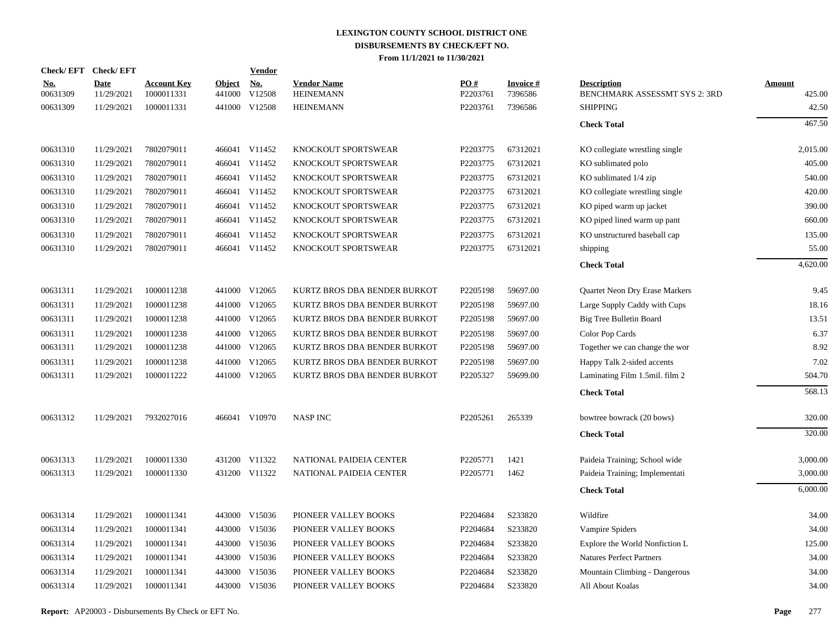| Check/EFT Check/EFT    |                           |                                  |                      | <b>Vendor</b> |                                        |                 |                            |                                                     |                         |
|------------------------|---------------------------|----------------------------------|----------------------|---------------|----------------------------------------|-----------------|----------------------------|-----------------------------------------------------|-------------------------|
| <u>No.</u><br>00631309 | <b>Date</b><br>11/29/2021 | <b>Account Key</b><br>1000011331 | Object No.<br>441000 | V12508        | <b>Vendor Name</b><br><b>HEINEMANN</b> | PO#<br>P2203761 | <b>Invoice#</b><br>7396586 | <b>Description</b><br>BENCHMARK ASSESSMT SYS 2: 3RD | <b>Amount</b><br>425.00 |
| 00631309               | 11/29/2021                | 1000011331                       |                      | 441000 V12508 | <b>HEINEMANN</b>                       | P2203761        | 7396586                    | <b>SHIPPING</b>                                     | 42.50                   |
|                        |                           |                                  |                      |               |                                        |                 |                            | <b>Check Total</b>                                  | 467.50                  |
| 00631310               | 11/29/2021                | 7802079011                       |                      | 466041 V11452 | KNOCKOUT SPORTSWEAR                    | P2203775        | 67312021                   | KO collegiate wrestling single                      | 2,015.00                |
| 00631310               | 11/29/2021                | 7802079011                       |                      | 466041 V11452 | KNOCKOUT SPORTSWEAR                    | P2203775        | 67312021                   | KO sublimated polo                                  | 405.00                  |
| 00631310               | 11/29/2021                | 7802079011                       |                      | 466041 V11452 | KNOCKOUT SPORTSWEAR                    | P2203775        | 67312021                   | KO sublimated 1/4 zip                               | 540.00                  |
| 00631310               | 11/29/2021                | 7802079011                       |                      | 466041 V11452 | KNOCKOUT SPORTSWEAR                    | P2203775        | 67312021                   | KO collegiate wrestling single                      | 420.00                  |
| 00631310               | 11/29/2021                | 7802079011                       |                      | 466041 V11452 | KNOCKOUT SPORTSWEAR                    | P2203775        | 67312021                   | KO piped warm up jacket                             | 390.00                  |
| 00631310               | 11/29/2021                | 7802079011                       |                      | 466041 V11452 | KNOCKOUT SPORTSWEAR                    | P2203775        | 67312021                   | KO piped lined warm up pant                         | 660.00                  |
| 00631310               | 11/29/2021                | 7802079011                       |                      | 466041 V11452 | KNOCKOUT SPORTSWEAR                    | P2203775        | 67312021                   | KO unstructured baseball cap                        | 135.00                  |
| 00631310               | 11/29/2021                | 7802079011                       |                      | 466041 V11452 | KNOCKOUT SPORTSWEAR                    | P2203775        | 67312021                   | shipping                                            | 55.00                   |
|                        |                           |                                  |                      |               |                                        |                 |                            | <b>Check Total</b>                                  | 4,620.00                |
| 00631311               | 11/29/2021                | 1000011238                       |                      | 441000 V12065 | KURTZ BROS DBA BENDER BURKOT           | P2205198        | 59697.00                   | Quartet Neon Dry Erase Markers                      | 9.45                    |
| 00631311               | 11/29/2021                | 1000011238                       | 441000               | V12065        | KURTZ BROS DBA BENDER BURKOT           | P2205198        | 59697.00                   | Large Supply Caddy with Cups                        | 18.16                   |
| 00631311               | 11/29/2021                | 1000011238                       |                      | 441000 V12065 | KURTZ BROS DBA BENDER BURKOT           | P2205198        | 59697.00                   | Big Tree Bulletin Board                             | 13.51                   |
| 00631311               | 11/29/2021                | 1000011238                       | 441000               | V12065        | KURTZ BROS DBA BENDER BURKOT           | P2205198        | 59697.00                   | Color Pop Cards                                     | 6.37                    |
| 00631311               | 11/29/2021                | 1000011238                       | 441000               | V12065        | KURTZ BROS DBA BENDER BURKOT           | P2205198        | 59697.00                   | Together we can change the wor                      | 8.92                    |
| 00631311               | 11/29/2021                | 1000011238                       | 441000               | V12065        | KURTZ BROS DBA BENDER BURKOT           | P2205198        | 59697.00                   | Happy Talk 2-sided accents                          | 7.02                    |
| 00631311               | 11/29/2021                | 1000011222                       |                      | 441000 V12065 | KURTZ BROS DBA BENDER BURKOT           | P2205327        | 59699.00                   | Laminating Film 1.5mil. film 2                      | 504.70                  |
|                        |                           |                                  |                      |               |                                        |                 |                            | <b>Check Total</b>                                  | 568.13                  |
| 00631312               | 11/29/2021                | 7932027016                       |                      | 466041 V10970 | <b>NASP INC</b>                        | P2205261        | 265339                     | bowtree bowrack (20 bows)                           | 320.00                  |
|                        |                           |                                  |                      |               |                                        |                 |                            | <b>Check Total</b>                                  | 320.00                  |
| 00631313               | 11/29/2021                | 1000011330                       |                      | 431200 V11322 | NATIONAL PAIDEIA CENTER                | P2205771        | 1421                       | Paideia Training; School wide                       | 3,000.00                |
| 00631313               | 11/29/2021                | 1000011330                       |                      | 431200 V11322 | NATIONAL PAIDEIA CENTER                | P2205771        | 1462                       | Paideia Training; Implementati                      | 3,000.00                |
|                        |                           |                                  |                      |               |                                        |                 |                            | <b>Check Total</b>                                  | 6,000.00                |
| 00631314               | 11/29/2021                | 1000011341                       | 443000               | V15036        | PIONEER VALLEY BOOKS                   | P2204684        | S233820                    | Wildfire                                            | 34.00                   |
| 00631314               | 11/29/2021                | 1000011341                       |                      | 443000 V15036 | PIONEER VALLEY BOOKS                   | P2204684        | S233820                    | Vampire Spiders                                     | 34.00                   |
| 00631314               | 11/29/2021                | 1000011341                       | 443000               | V15036        | PIONEER VALLEY BOOKS                   | P2204684        | S233820                    | Explore the World Nonfiction L                      | 125.00                  |
| 00631314               | 11/29/2021                | 1000011341                       |                      | 443000 V15036 | PIONEER VALLEY BOOKS                   | P2204684        | S233820                    | <b>Natures Perfect Partners</b>                     | 34.00                   |
| 00631314               | 11/29/2021                | 1000011341                       | 443000               | V15036        | PIONEER VALLEY BOOKS                   | P2204684        | S233820                    | Mountain Climbing - Dangerous                       | 34.00                   |
| 00631314               | 11/29/2021                | 1000011341                       |                      | 443000 V15036 | PIONEER VALLEY BOOKS                   | P2204684        | S233820                    | All About Koalas                                    | 34.00                   |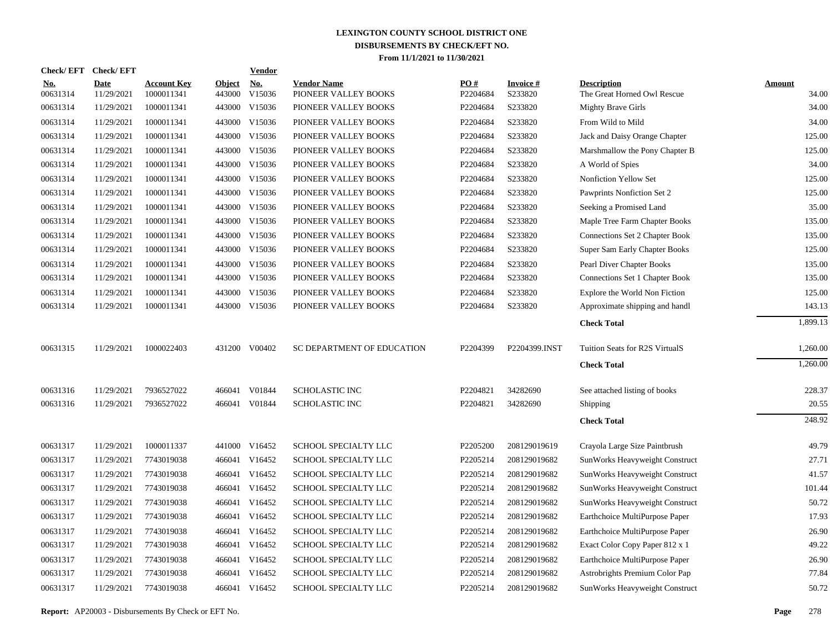| <b>Check/EFT</b>       | <b>Check/EFT</b>          |                                  |                         | <b>Vendor</b>        |                                            |                      |                            |                                                   |                        |
|------------------------|---------------------------|----------------------------------|-------------------------|----------------------|--------------------------------------------|----------------------|----------------------------|---------------------------------------------------|------------------------|
| <u>No.</u><br>00631314 | <b>Date</b><br>11/29/2021 | <b>Account Key</b><br>1000011341 | <b>Object</b><br>443000 | <u>No.</u><br>V15036 | <b>Vendor Name</b><br>PIONEER VALLEY BOOKS | PO#<br>P2204684      | <b>Invoice#</b><br>S233820 | <b>Description</b><br>The Great Horned Owl Rescue | <b>Amount</b><br>34.00 |
| 00631314               | 11/29/2021                | 1000011341                       | 443000                  | V15036               | PIONEER VALLEY BOOKS                       | P2204684             | S233820                    | <b>Mighty Brave Girls</b>                         | 34.00                  |
| 00631314               | 11/29/2021                | 1000011341                       | 443000                  | V15036               | PIONEER VALLEY BOOKS                       | P2204684             | S233820                    | From Wild to Mild                                 | 34.00                  |
| 00631314               | 11/29/2021                | 1000011341                       | 443000                  | V15036               | PIONEER VALLEY BOOKS                       | P2204684             | S233820                    | Jack and Daisy Orange Chapter                     | 125.00                 |
| 00631314               | 11/29/2021                | 1000011341                       | 443000                  | V15036               | PIONEER VALLEY BOOKS                       | P2204684             | S233820                    | Marshmallow the Pony Chapter B                    | 125.00                 |
| 00631314               | 11/29/2021                | 1000011341                       | 443000                  | V15036               | PIONEER VALLEY BOOKS                       | P2204684             | S233820                    | A World of Spies                                  | 34.00                  |
| 00631314               | 11/29/2021                | 1000011341                       | 443000                  | V15036               | PIONEER VALLEY BOOKS                       | P2204684             | S233820                    | Nonfiction Yellow Set                             | 125.00                 |
| 00631314               | 11/29/2021                | 1000011341                       | 443000                  | V15036               | PIONEER VALLEY BOOKS                       | P2204684             | S233820                    | Pawprints Nonfiction Set 2                        | 125.00                 |
| 00631314               | 11/29/2021                | 1000011341                       | 443000                  | V15036               | PIONEER VALLEY BOOKS                       | P2204684             | S233820                    | Seeking a Promised Land                           | 35.00                  |
| 00631314               | 11/29/2021                | 1000011341                       | 443000                  | V15036               | PIONEER VALLEY BOOKS                       | P2204684             | S233820                    | Maple Tree Farm Chapter Books                     | 135.00                 |
| 00631314               | 11/29/2021                | 1000011341                       | 443000                  | V15036               | PIONEER VALLEY BOOKS                       | P2204684             | S233820                    | Connections Set 2 Chapter Book                    | 135.00                 |
| 00631314               | 11/29/2021                | 1000011341                       | 443000                  | V15036               | PIONEER VALLEY BOOKS                       | P2204684             | S233820                    | Super Sam Early Chapter Books                     | 125.00                 |
| 00631314               | 11/29/2021                | 1000011341                       | 443000                  | V15036               | PIONEER VALLEY BOOKS                       | P2204684             | S233820                    | Pearl Diver Chapter Books                         | 135.00                 |
| 00631314               | 11/29/2021                | 1000011341                       |                         | 443000 V15036        | PIONEER VALLEY BOOKS                       | P2204684             | S233820                    | Connections Set 1 Chapter Book                    | 135.00                 |
| 00631314               | 11/29/2021                | 1000011341                       | 443000                  | V15036               | PIONEER VALLEY BOOKS                       | P2204684             | S233820                    | Explore the World Non Fiction                     | 125.00                 |
| 00631314               | 11/29/2021                | 1000011341                       |                         | 443000 V15036        | PIONEER VALLEY BOOKS                       | P2204684             | S233820                    | Approximate shipping and handl                    | 143.13                 |
|                        |                           |                                  |                         |                      |                                            |                      |                            | <b>Check Total</b>                                | 1,899.13               |
| 00631315               | 11/29/2021                | 1000022403                       |                         | 431200 V00402        | SC DEPARTMENT OF EDUCATION                 | P <sub>2204399</sub> | P2204399.INST              | Tuition Seats for R2S VirtualS                    | 1,260.00               |
|                        |                           |                                  |                         |                      |                                            |                      |                            | <b>Check Total</b>                                | 1,260.00               |
| 00631316               | 11/29/2021                | 7936527022                       |                         | 466041 V01844        | <b>SCHOLASTIC INC</b>                      | P2204821             | 34282690                   | See attached listing of books                     | 228.37                 |
| 00631316               | 11/29/2021                | 7936527022                       |                         | 466041 V01844        | <b>SCHOLASTIC INC</b>                      | P2204821             | 34282690                   | Shipping                                          | 20.55                  |
|                        |                           |                                  |                         |                      |                                            |                      |                            | <b>Check Total</b>                                | 248.92                 |
| 00631317               | 11/29/2021                | 1000011337                       |                         | 441000 V16452        | <b>SCHOOL SPECIALTY LLC</b>                | P2205200             | 208129019619               | Crayola Large Size Paintbrush                     | 49.79                  |
| 00631317               | 11/29/2021                | 7743019038                       |                         | 466041 V16452        | SCHOOL SPECIALTY LLC                       | P2205214             | 208129019682               | SunWorks Heavyweight Construct                    | 27.71                  |
| 00631317               | 11/29/2021                | 7743019038                       |                         | 466041 V16452        | SCHOOL SPECIALTY LLC                       | P2205214             | 208129019682               | SunWorks Heavyweight Construct                    | 41.57                  |
| 00631317               | 11/29/2021                | 7743019038                       |                         | 466041 V16452        | SCHOOL SPECIALTY LLC                       | P2205214             | 208129019682               | SunWorks Heavyweight Construct                    | 101.44                 |
| 00631317               | 11/29/2021                | 7743019038                       | 466041                  | V16452               | SCHOOL SPECIALTY LLC                       | P2205214             | 208129019682               | SunWorks Heavyweight Construct                    | 50.72                  |
| 00631317               | 11/29/2021                | 7743019038                       |                         | 466041 V16452        | SCHOOL SPECIALTY LLC                       | P2205214             | 208129019682               | Earthchoice MultiPurpose Paper                    | 17.93                  |
| 00631317               | 11/29/2021                | 7743019038                       | 466041                  | V16452               | SCHOOL SPECIALTY LLC                       | P2205214             | 208129019682               | Earthchoice MultiPurpose Paper                    | 26.90                  |
| 00631317               | 11/29/2021                | 7743019038                       |                         | 466041 V16452        | SCHOOL SPECIALTY LLC                       | P2205214             | 208129019682               | Exact Color Copy Paper 812 x 1                    | 49.22                  |
| 00631317               | 11/29/2021                | 7743019038                       | 466041                  | V16452               | SCHOOL SPECIALTY LLC                       | P2205214             | 208129019682               | Earthchoice MultiPurpose Paper                    | 26.90                  |
| 00631317               | 11/29/2021                | 7743019038                       | 466041                  | V16452               | SCHOOL SPECIALTY LLC                       | P2205214             | 208129019682               | Astrobrights Premium Color Pap                    | 77.84                  |
| 00631317               | 11/29/2021                | 7743019038                       |                         | 466041 V16452        | SCHOOL SPECIALTY LLC                       | P2205214             | 208129019682               | SunWorks Heavyweight Construct                    | 50.72                  |
|                        |                           |                                  |                         |                      |                                            |                      |                            |                                                   |                        |

**Report:** AP20003 - Disbursements By Check or EFT No. **Page** 278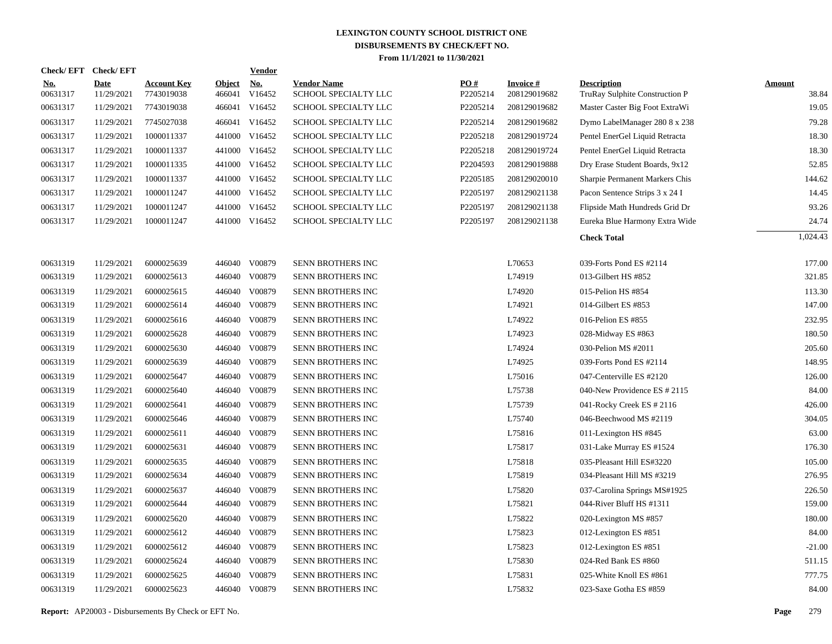| Check/EFT Check/EFT    |                           |                                  |                         | <b>Vendor</b>        |                                            |                 |                                 |                                                      |                        |
|------------------------|---------------------------|----------------------------------|-------------------------|----------------------|--------------------------------------------|-----------------|---------------------------------|------------------------------------------------------|------------------------|
| <b>No.</b><br>00631317 | <b>Date</b><br>11/29/2021 | <b>Account Key</b><br>7743019038 | <b>Object</b><br>466041 | <u>No.</u><br>V16452 | <b>Vendor Name</b><br>SCHOOL SPECIALTY LLC | PO#<br>P2205214 | <b>Invoice#</b><br>208129019682 | <b>Description</b><br>TruRay Sulphite Construction P | <b>Amount</b><br>38.84 |
| 00631317               | 11/29/2021                | 7743019038                       | 466041                  | V16452               | SCHOOL SPECIALTY LLC                       | P2205214        | 208129019682                    | Master Caster Big Foot ExtraWi                       | 19.05                  |
| 00631317               | 11/29/2021                | 7745027038                       |                         | 466041 V16452        | SCHOOL SPECIALTY LLC                       | P2205214        | 208129019682                    | Dymo LabelManager 280 8 x 238                        | 79.28                  |
| 00631317               | 11/29/2021                | 1000011337                       |                         | 441000 V16452        | SCHOOL SPECIALTY LLC                       | P2205218        | 208129019724                    | Pentel EnerGel Liquid Retracta                       | 18.30                  |
| 00631317               | 11/29/2021                | 1000011337                       |                         | 441000 V16452        | SCHOOL SPECIALTY LLC                       | P2205218        | 208129019724                    | Pentel EnerGel Liquid Retracta                       | 18.30                  |
| 00631317               | 11/29/2021                | 1000011335                       |                         | 441000 V16452        | SCHOOL SPECIALTY LLC                       | P2204593        | 208129019888                    | Dry Erase Student Boards, 9x12                       | 52.85                  |
| 00631317               | 11/29/2021                | 1000011337                       |                         | 441000 V16452        | SCHOOL SPECIALTY LLC                       | P2205185        | 208129020010                    | Sharpie Permanent Markers Chis                       | 144.62                 |
| 00631317               | 11/29/2021                | 1000011247                       |                         | 441000 V16452        | SCHOOL SPECIALTY LLC                       | P2205197        | 208129021138                    | Pacon Sentence Strips 3 x 24 I                       | 14.45                  |
| 00631317               | 11/29/2021                | 1000011247                       |                         | 441000 V16452        | SCHOOL SPECIALTY LLC                       | P2205197        | 208129021138                    | Flipside Math Hundreds Grid Dr                       | 93.26                  |
| 00631317               | 11/29/2021                | 1000011247                       |                         | 441000 V16452        | SCHOOL SPECIALTY LLC                       | P2205197        | 208129021138                    | Eureka Blue Harmony Extra Wide                       | 24.74                  |
|                        |                           |                                  |                         |                      |                                            |                 |                                 | <b>Check Total</b>                                   | 1,024.43               |
| 00631319               | 11/29/2021                | 6000025639                       |                         | 446040 V00879        | SENN BROTHERS INC                          |                 | L70653                          | 039-Forts Pond ES #2114                              | 177.00                 |
| 00631319               | 11/29/2021                | 6000025613                       | 446040                  | V00879               | SENN BROTHERS INC                          |                 | L74919                          | 013-Gilbert HS #852                                  | 321.85                 |
| 00631319               | 11/29/2021                | 6000025615                       | 446040                  | V00879               | SENN BROTHERS INC                          |                 | L74920                          | 015-Pelion HS #854                                   | 113.30                 |
| 00631319               | 11/29/2021                | 6000025614                       | 446040                  | V00879               | SENN BROTHERS INC                          |                 | L74921                          | 014-Gilbert ES #853                                  | 147.00                 |
| 00631319               | 11/29/2021                | 6000025616                       | 446040                  | V00879               | SENN BROTHERS INC                          |                 | L74922                          | 016-Pelion ES #855                                   | 232.95                 |
| 00631319               | 11/29/2021                | 6000025628                       | 446040                  | V00879               | SENN BROTHERS INC                          |                 | L74923                          | 028-Midway ES #863                                   | 180.50                 |
| 00631319               | 11/29/2021                | 6000025630                       | 446040                  | V00879               | SENN BROTHERS INC                          |                 | L74924                          | 030-Pelion MS #2011                                  | 205.60                 |
| 00631319               | 11/29/2021                | 6000025639                       | 446040                  | V00879               | SENN BROTHERS INC                          |                 | L74925                          | 039-Forts Pond ES #2114                              | 148.95                 |
| 00631319               | 11/29/2021                | 6000025647                       | 446040                  | V00879               | SENN BROTHERS INC                          |                 | L75016                          | 047-Centerville ES #2120                             | 126.00                 |
| 00631319               | 11/29/2021                | 6000025640                       | 446040                  | V00879               | SENN BROTHERS INC                          |                 | L75738                          | 040-New Providence ES # 2115                         | 84.00                  |
| 00631319               | 11/29/2021                | 6000025641                       | 446040                  | V00879               | SENN BROTHERS INC                          |                 | L75739                          | 041-Rocky Creek ES # 2116                            | 426.00                 |
| 00631319               | 11/29/2021                | 6000025646                       | 446040                  | V00879               | SENN BROTHERS INC                          |                 | L75740                          | 046-Beechwood MS #2119                               | 304.05                 |
| 00631319               | 11/29/2021                | 6000025611                       | 446040                  | V00879               | SENN BROTHERS INC                          |                 | L75816                          | 011-Lexington HS #845                                | 63.00                  |
| 00631319               | 11/29/2021                | 6000025631                       | 446040                  | V00879               | SENN BROTHERS INC                          |                 | L75817                          | 031-Lake Murray ES #1524                             | 176.30                 |
| 00631319               | 11/29/2021                | 6000025635                       | 446040                  | V00879               | SENN BROTHERS INC                          |                 | L75818                          | 035-Pleasant Hill ES#3220                            | 105.00                 |
| 00631319               | 11/29/2021                | 6000025634                       | 446040                  | V00879               | SENN BROTHERS INC                          |                 | L75819                          | 034-Pleasant Hill MS #3219                           | 276.95                 |
| 00631319               | 11/29/2021                | 6000025637                       | 446040                  | V00879               | SENN BROTHERS INC                          |                 | L75820                          | 037-Carolina Springs MS#1925                         | 226.50                 |
| 00631319               | 11/29/2021                | 6000025644                       | 446040                  | V00879               | SENN BROTHERS INC                          |                 | L75821                          | 044-River Bluff HS #1311                             | 159.00                 |
| 00631319               | 11/29/2021                | 6000025620                       | 446040                  | V00879               | SENN BROTHERS INC                          |                 | L75822                          | 020-Lexington MS #857                                | 180.00                 |
| 00631319               | 11/29/2021                | 6000025612                       | 446040                  | V00879               | SENN BROTHERS INC                          |                 | L75823                          | 012-Lexington ES #851                                | 84.00                  |
| 00631319               | 11/29/2021                | 6000025612                       | 446040                  | V00879               | SENN BROTHERS INC                          |                 | L75823                          | 012-Lexington ES #851                                | $-21.00$               |
| 00631319               | 11/29/2021                | 6000025624                       | 446040                  | V00879               | SENN BROTHERS INC                          |                 | L75830                          | 024-Red Bank ES #860                                 | 511.15                 |
| 00631319               | 11/29/2021                | 6000025625                       | 446040                  | V00879               | SENN BROTHERS INC                          |                 | L75831                          | 025-White Knoll ES #861                              | 777.75                 |
| 00631319               | 11/29/2021                | 6000025623                       |                         | 446040 V00879        | SENN BROTHERS INC                          |                 | L75832                          | 023-Saxe Gotha ES #859                               | 84.00                  |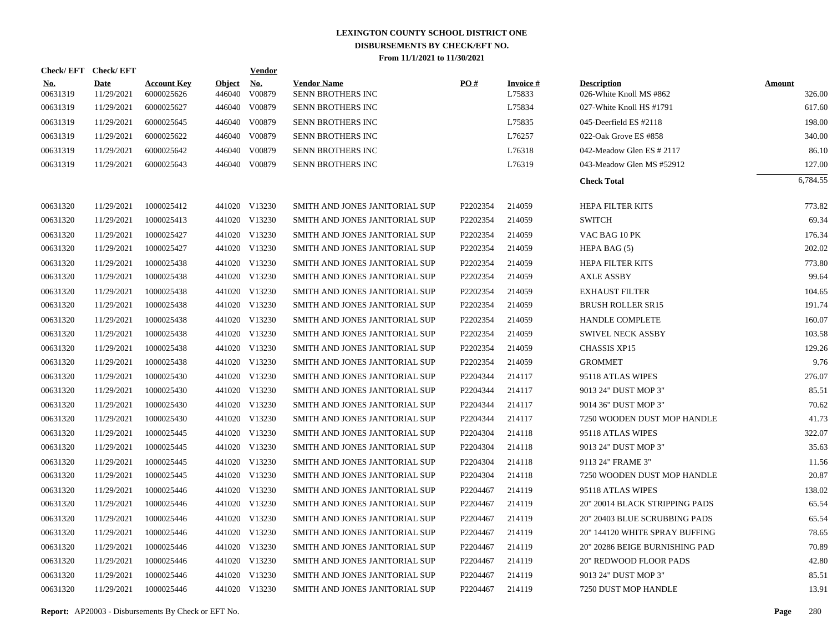|                        | Check/EFT Check/EFT       |                                  |                         | <b>Vendor</b>        |                                                |                      |                           |                                               |                         |
|------------------------|---------------------------|----------------------------------|-------------------------|----------------------|------------------------------------------------|----------------------|---------------------------|-----------------------------------------------|-------------------------|
| <u>No.</u><br>00631319 | <b>Date</b><br>11/29/2021 | <b>Account Key</b><br>6000025626 | <b>Object</b><br>446040 | <b>No.</b><br>V00879 | <b>Vendor Name</b><br><b>SENN BROTHERS INC</b> | PO#                  | <b>Invoice#</b><br>L75833 | <b>Description</b><br>026-White Knoll MS #862 | <b>Amount</b><br>326.00 |
| 00631319               | 11/29/2021                | 6000025627                       | 446040                  | V00879               | <b>SENN BROTHERS INC</b>                       |                      | L75834                    | 027-White Knoll HS #1791                      | 617.60                  |
| 00631319               | 11/29/2021                | 6000025645                       |                         | 446040 V00879        | <b>SENN BROTHERS INC</b>                       |                      | L75835                    | 045-Deerfield ES #2118                        | 198.00                  |
| 00631319               | 11/29/2021                | 6000025622                       | 446040                  | V00879               | <b>SENN BROTHERS INC</b>                       |                      | L76257                    | 022-Oak Grove ES #858                         | 340.00                  |
| 00631319               | 11/29/2021                | 6000025642                       |                         | 446040 V00879        | <b>SENN BROTHERS INC</b>                       |                      | L76318                    | 042-Meadow Glen ES # 2117                     | 86.10                   |
| 00631319               | 11/29/2021                | 6000025643                       |                         | 446040 V00879        | SENN BROTHERS INC                              |                      | L76319                    | 043-Meadow Glen MS #52912                     | 127.00                  |
|                        |                           |                                  |                         |                      |                                                |                      |                           | <b>Check Total</b>                            | 6.784.55                |
| 00631320               | 11/29/2021                | 1000025412                       |                         | 441020 V13230        | SMITH AND JONES JANITORIAL SUP                 | P2202354             | 214059                    | <b>HEPA FILTER KITS</b>                       | 773.82                  |
| 00631320               | 11/29/2021                | 1000025413                       |                         | 441020 V13230        | SMITH AND JONES JANITORIAL SUP                 | P2202354             | 214059                    | <b>SWITCH</b>                                 | 69.34                   |
| 00631320               | 11/29/2021                | 1000025427                       |                         | 441020 V13230        | SMITH AND JONES JANITORIAL SUP                 | P2202354             | 214059                    | VAC BAG 10 PK                                 | 176.34                  |
| 00631320               | 11/29/2021                | 1000025427                       |                         | 441020 V13230        | SMITH AND JONES JANITORIAL SUP                 | P2202354             | 214059                    | HEPA BAG (5)                                  | 202.02                  |
| 00631320               | 11/29/2021                | 1000025438                       |                         | 441020 V13230        | SMITH AND JONES JANITORIAL SUP                 | P2202354             | 214059                    | <b>HEPA FILTER KITS</b>                       | 773.80                  |
| 00631320               | 11/29/2021                | 1000025438                       |                         | 441020 V13230        | SMITH AND JONES JANITORIAL SUP                 | P2202354             | 214059                    | <b>AXLE ASSBY</b>                             | 99.64                   |
| 00631320               | 11/29/2021                | 1000025438                       |                         | 441020 V13230        | SMITH AND JONES JANITORIAL SUP                 | P2202354             | 214059                    | <b>EXHAUST FILTER</b>                         | 104.65                  |
| 00631320               | 11/29/2021                | 1000025438                       |                         | 441020 V13230        | SMITH AND JONES JANITORIAL SUP                 | P2202354             | 214059                    | <b>BRUSH ROLLER SR15</b>                      | 191.74                  |
| 00631320               | 11/29/2021                | 1000025438                       |                         | 441020 V13230        | SMITH AND JONES JANITORIAL SUP                 | P2202354             | 214059                    | <b>HANDLE COMPLETE</b>                        | 160.07                  |
| 00631320               | 11/29/2021                | 1000025438                       |                         | 441020 V13230        | SMITH AND JONES JANITORIAL SUP                 | P2202354             | 214059                    | <b>SWIVEL NECK ASSBY</b>                      | 103.58                  |
| 00631320               | 11/29/2021                | 1000025438                       |                         | 441020 V13230        | SMITH AND JONES JANITORIAL SUP                 | P2202354             | 214059                    | <b>CHASSIS XP15</b>                           | 129.26                  |
| 00631320               | 11/29/2021                | 1000025438                       |                         | 441020 V13230        | SMITH AND JONES JANITORIAL SUP                 | P2202354             | 214059                    | <b>GROMMET</b>                                | 9.76                    |
| 00631320               | 11/29/2021                | 1000025430                       |                         | 441020 V13230        | SMITH AND JONES JANITORIAL SUP                 | P2204344             | 214117                    | 95118 ATLAS WIPES                             | 276.07                  |
| 00631320               | 11/29/2021                | 1000025430                       |                         | 441020 V13230        | SMITH AND JONES JANITORIAL SUP                 | P2204344             | 214117                    | 9013 24" DUST MOP 3"                          | 85.51                   |
| 00631320               | 11/29/2021                | 1000025430                       |                         | 441020 V13230        | SMITH AND JONES JANITORIAL SUP                 | P2204344             | 214117                    | 9014 36" DUST MOP 3"                          | 70.62                   |
| 00631320               | 11/29/2021                | 1000025430                       |                         | 441020 V13230        | SMITH AND JONES JANITORIAL SUP                 | P2204344             | 214117                    | 7250 WOODEN DUST MOP HANDLE                   | 41.73                   |
| 00631320               | 11/29/2021                | 1000025445                       |                         | 441020 V13230        | SMITH AND JONES JANITORIAL SUP                 | P2204304             | 214118                    | 95118 ATLAS WIPES                             | 322.07                  |
| 00631320               | 11/29/2021                | 1000025445                       |                         | 441020 V13230        | SMITH AND JONES JANITORIAL SUP                 | P2204304             | 214118                    | 9013 24" DUST MOP 3"                          | 35.63                   |
| 00631320               | 11/29/2021                | 1000025445                       |                         | 441020 V13230        | SMITH AND JONES JANITORIAL SUP                 | P2204304             | 214118                    | 9113 24" FRAME 3"                             | 11.56                   |
| 00631320               | 11/29/2021                | 1000025445                       |                         | 441020 V13230        | SMITH AND JONES JANITORIAL SUP                 | P2204304             | 214118                    | 7250 WOODEN DUST MOP HANDLE                   | 20.87                   |
| 00631320               | 11/29/2021                | 1000025446                       |                         | 441020 V13230        | SMITH AND JONES JANITORIAL SUP                 | P2204467             | 214119                    | 95118 ATLAS WIPES                             | 138.02                  |
| 00631320               | 11/29/2021                | 1000025446                       |                         | 441020 V13230        | SMITH AND JONES JANITORIAL SUP                 | P2204467             | 214119                    | 20" 20014 BLACK STRIPPING PADS                | 65.54                   |
| 00631320               | 11/29/2021                | 1000025446                       |                         | 441020 V13230        | SMITH AND JONES JANITORIAL SUP                 | P2204467             | 214119                    | 20" 20403 BLUE SCRUBBING PADS                 | 65.54                   |
| 00631320               | 11/29/2021                | 1000025446                       |                         | 441020 V13230        | SMITH AND JONES JANITORIAL SUP                 | P <sub>2204467</sub> | 214119                    | 20" 144120 WHITE SPRAY BUFFING                | 78.65                   |
| 00631320               | 11/29/2021                | 1000025446                       |                         | 441020 V13230        | SMITH AND JONES JANITORIAL SUP                 | P2204467             | 214119                    | 20" 20286 BEIGE BURNISHING PAD                | 70.89                   |
| 00631320               | 11/29/2021                | 1000025446                       |                         | 441020 V13230        | SMITH AND JONES JANITORIAL SUP                 | P2204467             | 214119                    | 20" REDWOOD FLOOR PADS                        | 42.80                   |
| 00631320               | 11/29/2021                | 1000025446                       |                         | 441020 V13230        | SMITH AND JONES JANITORIAL SUP                 | P2204467             | 214119                    | 9013 24" DUST MOP 3"                          | 85.51                   |
| 00631320               | 11/29/2021                | 1000025446                       |                         | 441020 V13230        | SMITH AND JONES JANITORIAL SUP                 | P2204467             | 214119                    | 7250 DUST MOP HANDLE                          | 13.91                   |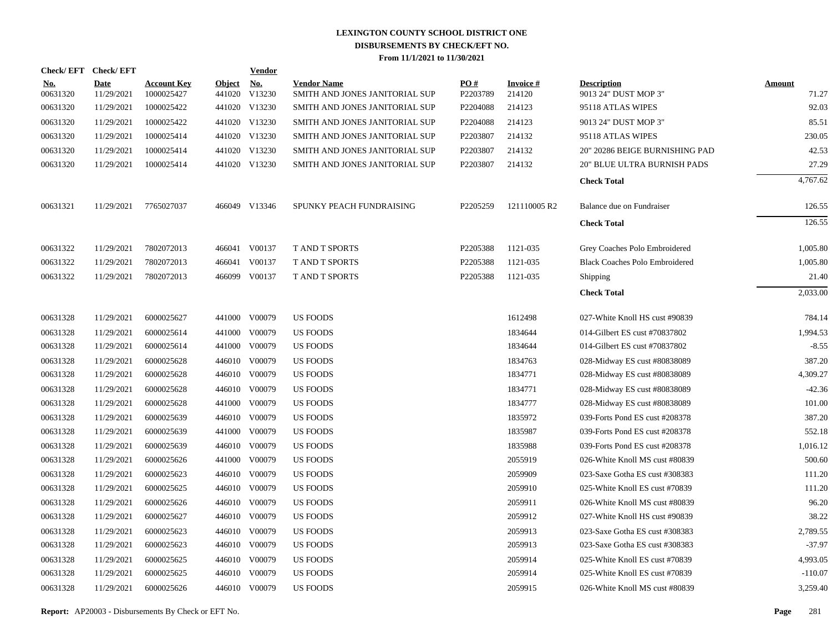|                        | Check/EFT Check/EFT       |                                  |               | <b>Vendor</b>               |                                                      |                               |                           |                                            |                        |
|------------------------|---------------------------|----------------------------------|---------------|-----------------------------|------------------------------------------------------|-------------------------------|---------------------------|--------------------------------------------|------------------------|
| <u>No.</u><br>00631320 | <b>Date</b><br>11/29/2021 | <b>Account Key</b><br>1000025427 | <b>Object</b> | <u>No.</u><br>441020 V13230 | <b>Vendor Name</b><br>SMITH AND JONES JANITORIAL SUP | $\underline{PO#}$<br>P2203789 | <b>Invoice#</b><br>214120 | <b>Description</b><br>9013 24" DUST MOP 3" | <b>Amount</b><br>71.27 |
| 00631320               | 11/29/2021                | 1000025422                       |               | 441020 V13230               | SMITH AND JONES JANITORIAL SUP                       | P2204088                      | 214123                    | 95118 ATLAS WIPES                          | 92.03                  |
| 00631320               | 11/29/2021                | 1000025422                       |               | 441020 V13230               | SMITH AND JONES JANITORIAL SUP                       | P2204088                      | 214123                    | 9013 24" DUST MOP 3"                       | 85.51                  |
| 00631320               | 11/29/2021                | 1000025414                       |               | 441020 V13230               | SMITH AND JONES JANITORIAL SUP                       | P2203807                      | 214132                    | 95118 ATLAS WIPES                          | 230.05                 |
| 00631320               | 11/29/2021                | 1000025414                       |               | 441020 V13230               | SMITH AND JONES JANITORIAL SUP                       | P2203807                      | 214132                    | 20" 20286 BEIGE BURNISHING PAD             | 42.53                  |
| 00631320               | 11/29/2021                | 1000025414                       |               | 441020 V13230               | SMITH AND JONES JANITORIAL SUP                       | P2203807                      | 214132                    | <b>20" BLUE ULTRA BURNISH PADS</b>         | 27.29                  |
|                        |                           |                                  |               |                             |                                                      |                               |                           | <b>Check Total</b>                         | 4,767.62               |
| 00631321               | 11/29/2021                | 7765027037                       |               | 466049 V13346               | SPUNKY PEACH FUNDRAISING                             | P2205259                      | 121110005 R2              | Balance due on Fundraiser                  | 126.55                 |
|                        |                           |                                  |               |                             |                                                      |                               |                           | <b>Check Total</b>                         | 126.55                 |
| 00631322               | 11/29/2021                | 7802072013                       |               | 466041 V00137               | <b>TAND T SPORTS</b>                                 | P2205388                      | 1121-035                  | Grey Coaches Polo Embroidered              | 1,005.80               |
| 00631322               | 11/29/2021                | 7802072013                       |               | 466041 V00137               | <b>TAND T SPORTS</b>                                 | P2205388                      | 1121-035                  | <b>Black Coaches Polo Embroidered</b>      | 1,005.80               |
| 00631322               | 11/29/2021                | 7802072013                       |               | 466099 V00137               | <b>T AND T SPORTS</b>                                | P2205388                      | 1121-035                  | Shipping                                   | 21.40                  |
|                        |                           |                                  |               |                             |                                                      |                               |                           | <b>Check Total</b>                         | 2,033.00               |
| 00631328               | 11/29/2021                | 6000025627                       |               | 441000 V00079               | <b>US FOODS</b>                                      |                               | 1612498                   | 027-White Knoll HS cust #90839             | 784.14                 |
| 00631328               | 11/29/2021                | 6000025614                       |               | 441000 V00079               | <b>US FOODS</b>                                      |                               | 1834644                   | 014-Gilbert ES cust #70837802              | 1,994.53               |
| 00631328               | 11/29/2021                | 6000025614                       |               | 441000 V00079               | <b>US FOODS</b>                                      |                               | 1834644                   | 014-Gilbert ES cust #70837802              | $-8.55$                |
| 00631328               | 11/29/2021                | 6000025628                       |               | 446010 V00079               | <b>US FOODS</b>                                      |                               | 1834763                   | 028-Midway ES cust #80838089               | 387.20                 |
| 00631328               | 11/29/2021                | 6000025628                       |               | 446010 V00079               | <b>US FOODS</b>                                      |                               | 1834771                   | 028-Midway ES cust #80838089               | 4,309.27               |
| 00631328               | 11/29/2021                | 6000025628                       |               | 446010 V00079               | <b>US FOODS</b>                                      |                               | 1834771                   | 028-Midway ES cust #80838089               | $-42.36$               |
| 00631328               | 11/29/2021                | 6000025628                       |               | 441000 V00079               | <b>US FOODS</b>                                      |                               | 1834777                   | 028-Midway ES cust #80838089               | 101.00                 |
| 00631328               | 11/29/2021                | 6000025639                       |               | 446010 V00079               | <b>US FOODS</b>                                      |                               | 1835972                   | 039-Forts Pond ES cust #208378             | 387.20                 |
| 00631328               | 11/29/2021                | 6000025639                       |               | 441000 V00079               | <b>US FOODS</b>                                      |                               | 1835987                   | 039-Forts Pond ES cust #208378             | 552.18                 |
| 00631328               | 11/29/2021                | 6000025639                       |               | 446010 V00079               | <b>US FOODS</b>                                      |                               | 1835988                   | 039-Forts Pond ES cust #208378             | 1,016.12               |
| 00631328               | 11/29/2021                | 6000025626                       |               | 441000 V00079               | <b>US FOODS</b>                                      |                               | 2055919                   | 026-White Knoll MS cust #80839             | 500.60                 |
| 00631328               | 11/29/2021                | 6000025623                       |               | 446010 V00079               | US FOODS                                             |                               | 2059909                   | 023-Saxe Gotha ES cust #308383             | 111.20                 |
| 00631328               | 11/29/2021                | 6000025625                       |               | 446010 V00079               | <b>US FOODS</b>                                      |                               | 2059910                   | 025-White Knoll ES cust #70839             | 111.20                 |
| 00631328               | 11/29/2021                | 6000025626                       |               | 446010 V00079               | US FOODS                                             |                               | 2059911                   | 026-White Knoll MS cust #80839             | 96.20                  |
| 00631328               | 11/29/2021                | 6000025627                       |               | 446010 V00079               | <b>US FOODS</b>                                      |                               | 2059912                   | 027-White Knoll HS cust #90839             | 38.22                  |
| 00631328               | 11/29/2021                | 6000025623                       |               | 446010 V00079               | US FOODS                                             |                               | 2059913                   | 023-Saxe Gotha ES cust #308383             | 2,789.55               |
| 00631328               | 11/29/2021                | 6000025623                       |               | 446010 V00079               | <b>US FOODS</b>                                      |                               | 2059913                   | 023-Saxe Gotha ES cust #308383             | $-37.97$               |
| 00631328               | 11/29/2021                | 6000025625                       |               | 446010 V00079               | US FOODS                                             |                               | 2059914                   | 025-White Knoll ES cust #70839             | 4,993.05               |
| 00631328               | 11/29/2021                | 6000025625                       |               | 446010 V00079               | <b>US FOODS</b>                                      |                               | 2059914                   | 025-White Knoll ES cust #70839             | $-110.07$              |
| 00631328               | 11/29/2021                | 6000025626                       |               | 446010 V00079               | <b>US FOODS</b>                                      |                               | 2059915                   | 026-White Knoll MS cust #80839             | 3,259.40               |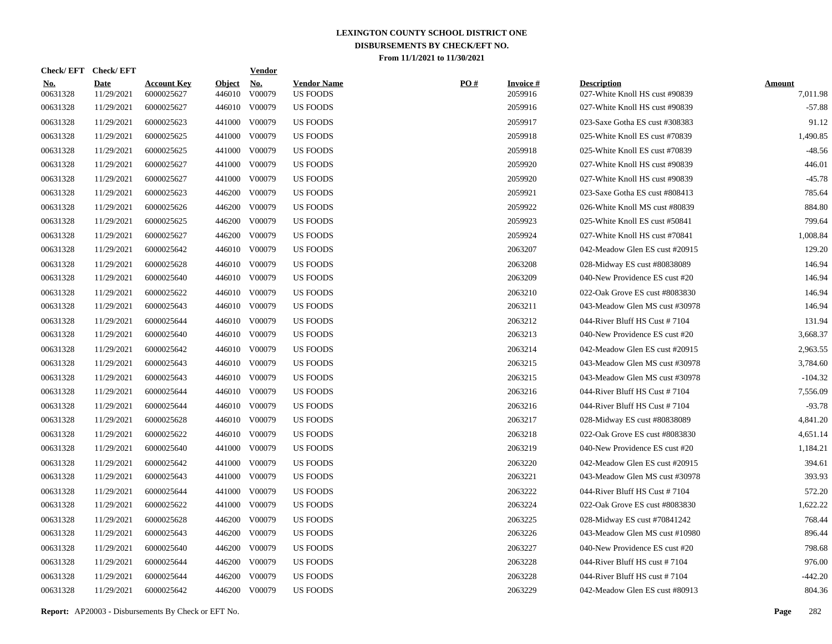|                        | Check/EFT Check/EFT       |                                  |                         | <b>Vendor</b>        |                                       |     |                            |                                                      |                           |
|------------------------|---------------------------|----------------------------------|-------------------------|----------------------|---------------------------------------|-----|----------------------------|------------------------------------------------------|---------------------------|
| <u>No.</u><br>00631328 | <b>Date</b><br>11/29/2021 | <b>Account Key</b><br>6000025627 | <b>Object</b><br>446010 | <u>No.</u><br>V00079 | <b>Vendor Name</b><br><b>US FOODS</b> | PO# | <b>Invoice#</b><br>2059916 | <b>Description</b><br>027-White Knoll HS cust #90839 | <b>Amount</b><br>7,011.98 |
| 00631328               | 11/29/2021                | 6000025627                       | 446010                  | V00079               | <b>US FOODS</b>                       |     | 2059916                    | 027-White Knoll HS cust #90839                       | $-57.88$                  |
| 00631328               | 11/29/2021                | 6000025623                       | 441000                  | V00079               | <b>US FOODS</b>                       |     | 2059917                    | 023-Saxe Gotha ES cust #308383                       | 91.12                     |
| 00631328               | 11/29/2021                | 6000025625                       | 441000                  | V00079               | <b>US FOODS</b>                       |     | 2059918                    | 025-White Knoll ES cust #70839                       | 1,490.85                  |
| 00631328               | 11/29/2021                | 6000025625                       | 441000                  | V00079               | US FOODS                              |     | 2059918                    | 025-White Knoll ES cust #70839                       | $-48.56$                  |
| 00631328               | 11/29/2021                | 6000025627                       | 441000                  | V00079               | <b>US FOODS</b>                       |     | 2059920                    | 027-White Knoll HS cust #90839                       | 446.01                    |
| 00631328               | 11/29/2021                | 6000025627                       | 441000                  | V00079               | <b>US FOODS</b>                       |     | 2059920                    | 027-White Knoll HS cust #90839                       | $-45.78$                  |
| 00631328               | 11/29/2021                | 6000025623                       | 446200                  | V00079               | <b>US FOODS</b>                       |     | 2059921                    | 023-Saxe Gotha ES cust #808413                       | 785.64                    |
| 00631328               | 11/29/2021                | 6000025626                       | 446200                  | V00079               | <b>US FOODS</b>                       |     | 2059922                    | 026-White Knoll MS cust #80839                       | 884.80                    |
| 00631328               | 11/29/2021                | 6000025625                       | 446200                  | V00079               | <b>US FOODS</b>                       |     | 2059923                    | 025-White Knoll ES cust #50841                       | 799.64                    |
| 00631328               | 11/29/2021                | 6000025627                       | 446200                  | V00079               | <b>US FOODS</b>                       |     | 2059924                    | 027-White Knoll HS cust #70841                       | 1,008.84                  |
| 00631328               | 11/29/2021                | 6000025642                       | 446010                  | V00079               | <b>US FOODS</b>                       |     | 2063207                    | 042-Meadow Glen ES cust #20915                       | 129.20                    |
| 00631328               | 11/29/2021                | 6000025628                       | 446010                  | V00079               | <b>US FOODS</b>                       |     | 2063208                    | 028-Midway ES cust #80838089                         | 146.94                    |
| 00631328               | 11/29/2021                | 6000025640                       | 446010                  | V00079               | US FOODS                              |     | 2063209                    | 040-New Providence ES cust #20                       | 146.94                    |
| 00631328               | 11/29/2021                | 6000025622                       |                         | 446010 V00079        | <b>US FOODS</b>                       |     | 2063210                    | 022-Oak Grove ES cust #8083830                       | 146.94                    |
| 00631328               | 11/29/2021                | 6000025643                       |                         | 446010 V00079        | <b>US FOODS</b>                       |     | 2063211                    | 043-Meadow Glen MS cust #30978                       | 146.94                    |
| 00631328               | 11/29/2021                | 6000025644                       |                         | 446010 V00079        | <b>US FOODS</b>                       |     | 2063212                    | 044-River Bluff HS Cust #7104                        | 131.94                    |
| 00631328               | 11/29/2021                | 6000025640                       |                         | 446010 V00079        | <b>US FOODS</b>                       |     | 2063213                    | 040-New Providence ES cust #20                       | 3,668.37                  |
| 00631328               | 11/29/2021                | 6000025642                       |                         | 446010 V00079        | <b>US FOODS</b>                       |     | 2063214                    | 042-Meadow Glen ES cust #20915                       | 2,963.55                  |
| 00631328               | 11/29/2021                | 6000025643                       |                         | 446010 V00079        | <b>US FOODS</b>                       |     | 2063215                    | 043-Meadow Glen MS cust #30978                       | 3,784.60                  |
| 00631328               | 11/29/2021                | 6000025643                       |                         | 446010 V00079        | <b>US FOODS</b>                       |     | 2063215                    | 043-Meadow Glen MS cust #30978                       | $-104.32$                 |
| 00631328               | 11/29/2021                | 6000025644                       |                         | 446010 V00079        | <b>US FOODS</b>                       |     | 2063216                    | 044-River Bluff HS Cust #7104                        | 7,556.09                  |
| 00631328               | 11/29/2021                | 6000025644                       |                         | 446010 V00079        | <b>US FOODS</b>                       |     | 2063216                    | 044-River Bluff HS Cust #7104                        | $-93.78$                  |
| 00631328               | 11/29/2021                | 6000025628                       |                         | 446010 V00079        | US FOODS                              |     | 2063217                    | 028-Midway ES cust #80838089                         | 4,841.20                  |
| 00631328               | 11/29/2021                | 6000025622                       |                         | 446010 V00079        | US FOODS                              |     | 2063218                    | 022-Oak Grove ES cust #8083830                       | 4,651.14                  |
| 00631328               | 11/29/2021                | 6000025640                       | 441000                  | V00079               | US FOODS                              |     | 2063219                    | 040-New Providence ES cust #20                       | 1,184.21                  |
| 00631328               | 11/29/2021                | 6000025642                       | 441000                  | V00079               | US FOODS                              |     | 2063220                    | 042-Meadow Glen ES cust #20915                       | 394.61                    |
| 00631328               | 11/29/2021                | 6000025643                       | 441000                  | V00079               | <b>US FOODS</b>                       |     | 2063221                    | 043-Meadow Glen MS cust #30978                       | 393.93                    |
| 00631328               | 11/29/2021                | 6000025644                       | 441000                  | V00079               | <b>US FOODS</b>                       |     | 2063222                    | 044-River Bluff HS Cust #7104                        | 572.20                    |
| 00631328               | 11/29/2021                | 6000025622                       | 441000                  | V00079               | <b>US FOODS</b>                       |     | 2063224                    | 022-Oak Grove ES cust #8083830                       | 1,622.22                  |
| 00631328               | 11/29/2021                | 6000025628                       | 446200                  | V00079               | <b>US FOODS</b>                       |     | 2063225                    | 028-Midway ES cust #70841242                         | 768.44                    |
| 00631328               | 11/29/2021                | 6000025643                       | 446200                  | V00079               | <b>US FOODS</b>                       |     | 2063226                    | 043-Meadow Glen MS cust #10980                       | 896.44                    |
| 00631328               | 11/29/2021                | 6000025640                       | 446200                  | V00079               | <b>US FOODS</b>                       |     | 2063227                    | 040-New Providence ES cust #20                       | 798.68                    |
| 00631328               | 11/29/2021                | 6000025644                       | 446200                  | V00079               | <b>US FOODS</b>                       |     | 2063228                    | 044-River Bluff HS cust #7104                        | 976.00                    |
| 00631328               | 11/29/2021                | 6000025644                       | 446200                  | V00079               | <b>US FOODS</b>                       |     | 2063228                    | 044-River Bluff HS cust #7104                        | $-442.20$                 |
| 00631328               | 11/29/2021                | 6000025642                       |                         | 446200 V00079        | <b>US FOODS</b>                       |     | 2063229                    | 042-Meadow Glen ES cust #80913                       | 804.36                    |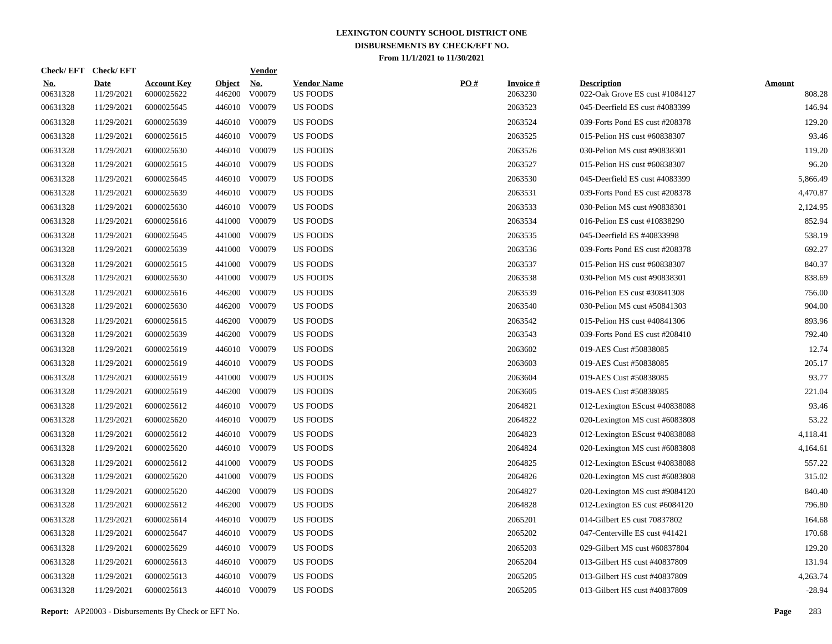| Check/EFT Check/EFT    |                           |                                  |                         | <b>Vendor</b>        |                                       |     |                            |                                                      |                         |
|------------------------|---------------------------|----------------------------------|-------------------------|----------------------|---------------------------------------|-----|----------------------------|------------------------------------------------------|-------------------------|
| <u>No.</u><br>00631328 | <b>Date</b><br>11/29/2021 | <b>Account Key</b><br>6000025622 | <b>Object</b><br>446200 | <u>No.</u><br>V00079 | <b>Vendor Name</b><br><b>US FOODS</b> | PO# | <b>Invoice#</b><br>2063230 | <b>Description</b><br>022-Oak Grove ES cust #1084127 | <b>Amount</b><br>808.28 |
| 00631328               | 11/29/2021                | 6000025645                       | 446010                  | V00079               | <b>US FOODS</b>                       |     | 2063523                    | 045-Deerfield ES cust #4083399                       | 146.94                  |
| 00631328               | 11/29/2021                | 6000025639                       | 446010                  | V00079               | US FOODS                              |     | 2063524                    | 039-Forts Pond ES cust #208378                       | 129.20                  |
| 00631328               | 11/29/2021                | 6000025615                       | 446010                  | V00079               | <b>US FOODS</b>                       |     | 2063525                    | 015-Pelion HS cust #60838307                         | 93.46                   |
| 00631328               | 11/29/2021                | 6000025630                       | 446010                  | V00079               | <b>US FOODS</b>                       |     | 2063526                    | 030-Pelion MS cust #90838301                         | 119.20                  |
| 00631328               | 11/29/2021                | 6000025615                       |                         | 446010 V00079        | <b>US FOODS</b>                       |     | 2063527                    | 015-Pelion HS cust #60838307                         | 96.20                   |
| 00631328               | 11/29/2021                | 6000025645                       |                         | 446010 V00079        | <b>US FOODS</b>                       |     | 2063530                    | 045-Deerfield ES cust #4083399                       | 5,866.49                |
| 00631328               | 11/29/2021                | 6000025639                       | 446010                  | V00079               | US FOODS                              |     | 2063531                    | 039-Forts Pond ES cust #208378                       | 4,470.87                |
| 00631328               | 11/29/2021                | 6000025630                       |                         | 446010 V00079        | US FOODS                              |     | 2063533                    | 030-Pelion MS cust #90838301                         | 2,124.95                |
| 00631328               | 11/29/2021                | 6000025616                       | 441000                  | V00079               | US FOODS                              |     | 2063534                    | 016-Pelion ES cust #10838290                         | 852.94                  |
| 00631328               | 11/29/2021                | 6000025645                       | 441000                  | V00079               | US FOODS                              |     | 2063535                    | 045-Deerfield ES #40833998                           | 538.19                  |
| 00631328               | 11/29/2021                | 6000025639                       | 441000                  | V00079               | <b>US FOODS</b>                       |     | 2063536                    | 039-Forts Pond ES cust #208378                       | 692.27                  |
| 00631328               | 11/29/2021                | 6000025615                       | 441000                  | V00079               | <b>US FOODS</b>                       |     | 2063537                    | 015-Pelion HS cust #60838307                         | 840.37                  |
| 00631328               | 11/29/2021                | 6000025630                       | 441000                  | V00079               | <b>US FOODS</b>                       |     | 2063538                    | 030-Pelion MS cust #90838301                         | 838.69                  |
| 00631328               | 11/29/2021                | 6000025616                       | 446200                  | V00079               | US FOODS                              |     | 2063539                    | 016-Pelion ES cust #30841308                         | 756.00                  |
| 00631328               | 11/29/2021                | 6000025630                       | 446200                  | V00079               | US FOODS                              |     | 2063540                    | 030-Pelion MS cust #50841303                         | 904.00                  |
| 00631328               | 11/29/2021                | 6000025615                       | 446200                  | V00079               | <b>US FOODS</b>                       |     | 2063542                    | 015-Pelion HS cust #40841306                         | 893.96                  |
| 00631328               | 11/29/2021                | 6000025639                       | 446200                  | V00079               | <b>US FOODS</b>                       |     | 2063543                    | 039-Forts Pond ES cust #208410                       | 792.40                  |
| 00631328               | 11/29/2021                | 6000025619                       |                         | 446010 V00079        | <b>US FOODS</b>                       |     | 2063602                    | 019-AES Cust #50838085                               | 12.74                   |
| 00631328               | 11/29/2021                | 6000025619                       |                         | 446010 V00079        | <b>US FOODS</b>                       |     | 2063603                    | 019-AES Cust #50838085                               | 205.17                  |
| 00631328               | 11/29/2021                | 6000025619                       | 441000                  | V00079               | <b>US FOODS</b>                       |     | 2063604                    | 019-AES Cust #50838085                               | 93.77                   |
| 00631328               | 11/29/2021                | 6000025619                       | 446200                  | V00079               | US FOODS                              |     | 2063605                    | 019-AES Cust #50838085                               | 221.04                  |
| 00631328               | 11/29/2021                | 6000025612                       |                         | 446010 V00079        | US FOODS                              |     | 2064821                    | 012-Lexington EScust #40838088                       | 93.46                   |
| 00631328               | 11/29/2021                | 6000025620                       |                         | 446010 V00079        | US FOODS                              |     | 2064822                    | 020-Lexington MS cust #6083808                       | 53.22                   |
| 00631328               | 11/29/2021                | 6000025612                       |                         | 446010 V00079        | US FOODS                              |     | 2064823                    | 012-Lexington EScust #40838088                       | 4,118.41                |
| 00631328               | 11/29/2021                | 6000025620                       |                         | 446010 V00079        | <b>US FOODS</b>                       |     | 2064824                    | 020-Lexington MS cust #6083808                       | 4,164.61                |
| 00631328               | 11/29/2021                | 6000025612                       | 441000                  | V00079               | US FOODS                              |     | 2064825                    | 012-Lexington EScust #40838088                       | 557.22                  |
| 00631328               | 11/29/2021                | 6000025620                       | 441000                  | V00079               | US FOODS                              |     | 2064826                    | 020-Lexington MS cust #6083808                       | 315.02                  |
| 00631328               | 11/29/2021                | 6000025620                       | 446200                  | V00079               | US FOODS                              |     | 2064827                    | 020-Lexington MS cust #9084120                       | 840.40                  |
| 00631328               | 11/29/2021                | 6000025612                       | 446200                  | V00079               | US FOODS                              |     | 2064828                    | 012-Lexington ES cust #6084120                       | 796.80                  |
| 00631328               | 11/29/2021                | 6000025614                       |                         | 446010 V00079        | US FOODS                              |     | 2065201                    | 014-Gilbert ES cust 70837802                         | 164.68                  |
| 00631328               | 11/29/2021                | 6000025647                       |                         | 446010 V00079        | <b>US FOODS</b>                       |     | 2065202                    | 047-Centerville ES cust #41421                       | 170.68                  |
| 00631328               | 11/29/2021                | 6000025629                       |                         | 446010 V00079        | <b>US FOODS</b>                       |     | 2065203                    | 029-Gilbert MS cust #60837804                        | 129.20                  |
| 00631328               | 11/29/2021                | 6000025613                       |                         | 446010 V00079        | <b>US FOODS</b>                       |     | 2065204                    | 013-Gilbert HS cust #40837809                        | 131.94                  |
| 00631328               | 11/29/2021                | 6000025613                       |                         | 446010 V00079        | <b>US FOODS</b>                       |     | 2065205                    | 013-Gilbert HS cust #40837809                        | 4,263.74                |
| 00631328               | 11/29/2021                | 6000025613                       |                         | 446010 V00079        | <b>US FOODS</b>                       |     | 2065205                    | 013-Gilbert HS cust #40837809                        | $-28.94$                |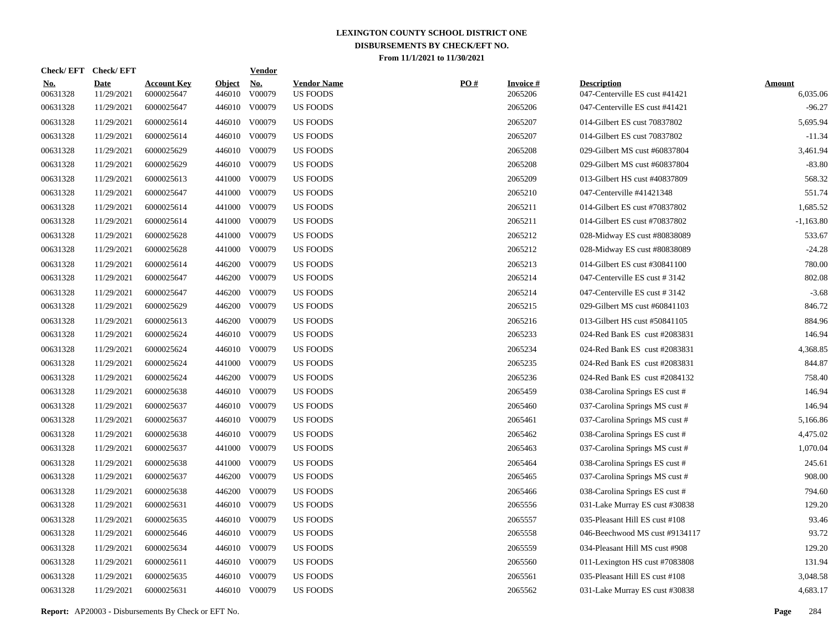| <b>Check/EFT</b>       | <b>Check/EFT</b>          |                                  |                         | <b>Vendor</b>                         |                                       |     |                            |                                                      |                           |
|------------------------|---------------------------|----------------------------------|-------------------------|---------------------------------------|---------------------------------------|-----|----------------------------|------------------------------------------------------|---------------------------|
| <u>No.</u><br>00631328 | <b>Date</b><br>11/29/2021 | <b>Account Key</b><br>6000025647 | <b>Object</b><br>446010 | $\underline{\mathrm{No}}$ .<br>V00079 | <b>Vendor Name</b><br><b>US FOODS</b> | PO# | <b>Invoice#</b><br>2065206 | <b>Description</b><br>047-Centerville ES cust #41421 | <b>Amount</b><br>6,035.06 |
| 00631328               | 11/29/2021                | 6000025647                       | 446010                  | V00079                                | <b>US FOODS</b>                       |     | 2065206                    | 047-Centerville ES cust #41421                       | $-96.27$                  |
| 00631328               | 11/29/2021                | 6000025614                       |                         | 446010 V00079                         | <b>US FOODS</b>                       |     | 2065207                    | 014-Gilbert ES cust 70837802                         | 5,695.94                  |
| 00631328               | 11/29/2021                | 6000025614                       | 446010                  | V00079                                | <b>US FOODS</b>                       |     | 2065207                    | 014-Gilbert ES cust 70837802                         | $-11.34$                  |
| 00631328               | 11/29/2021                | 6000025629                       |                         | 446010 V00079                         | US FOODS                              |     | 2065208                    | 029-Gilbert MS cust #60837804                        | 3,461.94                  |
| 00631328               | 11/29/2021                | 6000025629                       | 446010                  | V00079                                | <b>US FOODS</b>                       |     | 2065208                    | 029-Gilbert MS cust #60837804                        | $-83.80$                  |
| 00631328               | 11/29/2021                | 6000025613                       | 441000                  | V00079                                | <b>US FOODS</b>                       |     | 2065209                    | 013-Gilbert HS cust #40837809                        | 568.32                    |
| 00631328               | 11/29/2021                | 6000025647                       | 441000                  | V00079                                | <b>US FOODS</b>                       |     | 2065210                    | 047-Centerville #41421348                            | 551.74                    |
| 00631328               | 11/29/2021                | 6000025614                       | 441000                  | V00079                                | <b>US FOODS</b>                       |     | 2065211                    | 014-Gilbert ES cust #70837802                        | 1,685.52                  |
| 00631328               | 11/29/2021                | 6000025614                       | 441000                  | V00079                                | <b>US FOODS</b>                       |     | 2065211                    | 014-Gilbert ES cust #70837802                        | $-1,163.80$               |
| 00631328               | 11/29/2021                | 6000025628                       | 441000                  | V00079                                | <b>US FOODS</b>                       |     | 2065212                    | 028-Midway ES cust #80838089                         | 533.67                    |
| 00631328               | 11/29/2021                | 6000025628                       | 441000                  | V00079                                | <b>US FOODS</b>                       |     | 2065212                    | 028-Midway ES cust #80838089                         | $-24.28$                  |
| 00631328               | 11/29/2021                | 6000025614                       | 446200                  | V00079                                | <b>US FOODS</b>                       |     | 2065213                    | 014-Gilbert ES cust #30841100                        | 780.00                    |
| 00631328               | 11/29/2021                | 6000025647                       | 446200                  | V00079                                | US FOODS                              |     | 2065214                    | 047-Centerville ES cust #3142                        | 802.08                    |
| 00631328               | 11/29/2021                | 6000025647                       | 446200                  | V00079                                | <b>US FOODS</b>                       |     | 2065214                    | 047-Centerville ES cust #3142                        | $-3.68$                   |
| 00631328               | 11/29/2021                | 6000025629                       | 446200                  | V00079                                | <b>US FOODS</b>                       |     | 2065215                    | 029-Gilbert MS cust #60841103                        | 846.72                    |
| 00631328               | 11/29/2021                | 6000025613                       | 446200                  | V00079                                | <b>US FOODS</b>                       |     | 2065216                    | 013-Gilbert HS cust #50841105                        | 884.96                    |
| 00631328               | 11/29/2021                | 6000025624                       |                         | 446010 V00079                         | <b>US FOODS</b>                       |     | 2065233                    | 024-Red Bank ES cust #2083831                        | 146.94                    |
| 00631328               | 11/29/2021                | 6000025624                       |                         | 446010 V00079                         | <b>US FOODS</b>                       |     | 2065234                    | 024-Red Bank ES cust #2083831                        | 4,368.85                  |
| 00631328               | 11/29/2021                | 6000025624                       | 441000                  | V00079                                | <b>US FOODS</b>                       |     | 2065235                    | 024-Red Bank ES cust #2083831                        | 844.87                    |
| 00631328               | 11/29/2021                | 6000025624                       | 446200                  | V00079                                | <b>US FOODS</b>                       |     | 2065236                    | 024-Red Bank ES cust #2084132                        | 758.40                    |
| 00631328               | 11/29/2021                | 6000025638                       |                         | 446010 V00079                         | <b>US FOODS</b>                       |     | 2065459                    | 038-Carolina Springs ES cust #                       | 146.94                    |
| 00631328               | 11/29/2021                | 6000025637                       | 446010                  | V00079                                | <b>US FOODS</b>                       |     | 2065460                    | 037-Carolina Springs MS cust #                       | 146.94                    |
| 00631328               | 11/29/2021                | 6000025637                       |                         | 446010 V00079                         | US FOODS                              |     | 2065461                    | 037-Carolina Springs MS cust #                       | 5,166.86                  |
| 00631328               | 11/29/2021                | 6000025638                       | 446010                  | V00079                                | US FOODS                              |     | 2065462                    | 038-Carolina Springs ES cust #                       | 4,475.02                  |
| 00631328               | 11/29/2021                | 6000025637                       | 441000                  | V00079                                | US FOODS                              |     | 2065463                    | 037-Carolina Springs MS cust #                       | 1,070.04                  |
| 00631328               | 11/29/2021                | 6000025638                       | 441000                  | V00079                                | US FOODS                              |     | 2065464                    | 038-Carolina Springs ES cust #                       | 245.61                    |
| 00631328               | 11/29/2021                | 6000025637                       | 446200                  | V00079                                | <b>US FOODS</b>                       |     | 2065465                    | 037-Carolina Springs MS cust #                       | 908.00                    |
| 00631328               | 11/29/2021                | 6000025638                       | 446200                  | V00079                                | <b>US FOODS</b>                       |     | 2065466                    | 038-Carolina Springs ES cust #                       | 794.60                    |
| 00631328               | 11/29/2021                | 6000025631                       | 446010                  | V00079                                | <b>US FOODS</b>                       |     | 2065556                    | 031-Lake Murray ES cust #30838                       | 129.20                    |
| 00631328               | 11/29/2021                | 6000025635                       | 446010                  | V00079                                | <b>US FOODS</b>                       |     | 2065557                    | 035-Pleasant Hill ES cust #108                       | 93.46                     |
| 00631328               | 11/29/2021                | 6000025646                       | 446010                  | V00079                                | <b>US FOODS</b>                       |     | 2065558                    | 046-Beechwood MS cust #9134117                       | 93.72                     |
| 00631328               | 11/29/2021                | 6000025634                       | 446010                  | V00079                                | <b>US FOODS</b>                       |     | 2065559                    | 034-Pleasant Hill MS cust #908                       | 129.20                    |
| 00631328               | 11/29/2021                | 6000025611                       | 446010                  | V00079                                | <b>US FOODS</b>                       |     | 2065560                    | 011-Lexington HS cust #7083808                       | 131.94                    |
| 00631328               | 11/29/2021                | 6000025635                       | 446010                  | V00079                                | <b>US FOODS</b>                       |     | 2065561                    | 035-Pleasant Hill ES cust #108                       | 3,048.58                  |
| 00631328               | 11/29/2021                | 6000025631                       |                         | 446010 V00079                         | US FOODS                              |     | 2065562                    | 031-Lake Murray ES cust #30838                       | 4,683.17                  |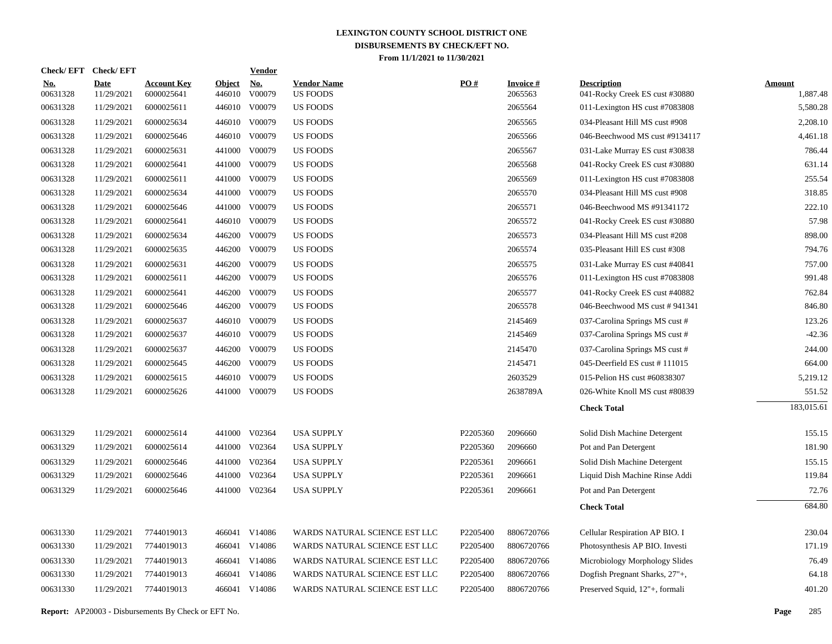| Check/EFT Check/EFT |                           |                                  |                         | <b>Vendor</b> |                                       |          |                            |                                                      |                           |
|---------------------|---------------------------|----------------------------------|-------------------------|---------------|---------------------------------------|----------|----------------------------|------------------------------------------------------|---------------------------|
| $No.$<br>00631328   | <b>Date</b><br>11/29/2021 | <b>Account Key</b><br>6000025641 | <b>Object</b><br>446010 | No.<br>V00079 | <b>Vendor Name</b><br><b>US FOODS</b> | PO#      | <b>Invoice#</b><br>2065563 | <b>Description</b><br>041-Rocky Creek ES cust #30880 | <b>Amount</b><br>1,887.48 |
| 00631328            | 11/29/2021                | 6000025611                       | 446010                  | V00079        | <b>US FOODS</b>                       |          | 2065564                    | 011-Lexington HS cust #7083808                       | 5,580.28                  |
| 00631328            | 11/29/2021                | 6000025634                       |                         | 446010 V00079 | <b>US FOODS</b>                       |          | 2065565                    | 034-Pleasant Hill MS cust #908                       | 2,208.10                  |
| 00631328            | 11/29/2021                | 6000025646                       |                         | 446010 V00079 | <b>US FOODS</b>                       |          | 2065566                    | 046-Beechwood MS cust #9134117                       | 4,461.18                  |
| 00631328            | 11/29/2021                | 6000025631                       | 441000                  | V00079        | <b>US FOODS</b>                       |          | 2065567                    | 031-Lake Murray ES cust #30838                       | 786.44                    |
| 00631328            | 11/29/2021                | 6000025641                       | 441000                  | V00079        | <b>US FOODS</b>                       |          | 2065568                    | 041-Rocky Creek ES cust #30880                       | 631.14                    |
| 00631328            | 11/29/2021                | 6000025611                       | 441000                  | V00079        | <b>US FOODS</b>                       |          | 2065569                    | 011-Lexington HS cust #7083808                       | 255.54                    |
| 00631328            | 11/29/2021                | 6000025634                       | 441000                  | V00079        | <b>US FOODS</b>                       |          | 2065570                    | 034-Pleasant Hill MS cust #908                       | 318.85                    |
| 00631328            | 11/29/2021                | 6000025646                       | 441000                  | V00079        | <b>US FOODS</b>                       |          | 2065571                    | 046-Beechwood MS #91341172                           | 222.10                    |
| 00631328            | 11/29/2021                | 6000025641                       |                         | 446010 V00079 | <b>US FOODS</b>                       |          | 2065572                    | 041-Rocky Creek ES cust #30880                       | 57.98                     |
| 00631328            | 11/29/2021                | 6000025634                       | 446200                  | V00079        | <b>US FOODS</b>                       |          | 2065573                    | 034-Pleasant Hill MS cust #208                       | 898.00                    |
| 00631328            | 11/29/2021                | 6000025635                       | 446200                  | V00079        | <b>US FOODS</b>                       |          | 2065574                    | 035-Pleasant Hill ES cust #308                       | 794.76                    |
| 00631328            | 11/29/2021                | 6000025631                       | 446200                  | V00079        | <b>US FOODS</b>                       |          | 2065575                    | 031-Lake Murray ES cust #40841                       | 757.00                    |
| 00631328            | 11/29/2021                | 6000025611                       | 446200                  | V00079        | <b>US FOODS</b>                       |          | 2065576                    | 011-Lexington HS cust #7083808                       | 991.48                    |
| 00631328            | 11/29/2021                | 6000025641                       | 446200                  | V00079        | <b>US FOODS</b>                       |          | 2065577                    | 041-Rocky Creek ES cust #40882                       | 762.84                    |
| 00631328            | 11/29/2021                | 6000025646                       | 446200                  | V00079        | <b>US FOODS</b>                       |          | 2065578                    | 046-Beechwood MS cust #941341                        | 846.80                    |
| 00631328            | 11/29/2021                | 6000025637                       | 446010                  | V00079        | <b>US FOODS</b>                       |          | 2145469                    | 037-Carolina Springs MS cust #                       | 123.26                    |
| 00631328            | 11/29/2021                | 6000025637                       |                         | 446010 V00079 | <b>US FOODS</b>                       |          | 2145469                    | 037-Carolina Springs MS cust #                       | $-42.36$                  |
| 00631328            | 11/29/2021                | 6000025637                       | 446200                  | V00079        | <b>US FOODS</b>                       |          | 2145470                    | 037-Carolina Springs MS cust #                       | 244.00                    |
| 00631328            | 11/29/2021                | 6000025645                       | 446200                  | V00079        | <b>US FOODS</b>                       |          | 2145471                    | 045-Deerfield ES cust #111015                        | 664.00                    |
| 00631328            | 11/29/2021                | 6000025615                       | 446010                  | V00079        | <b>US FOODS</b>                       |          | 2603529                    | 015-Pelion HS cust #60838307                         | 5,219.12                  |
| 00631328            | 11/29/2021                | 6000025626                       | 441000                  | V00079        | <b>US FOODS</b>                       |          | 2638789A                   | 026-White Knoll MS cust #80839                       | 551.52                    |
|                     |                           |                                  |                         |               |                                       |          |                            | <b>Check Total</b>                                   | 183,015.61                |
| 00631329            | 11/29/2021                | 6000025614                       |                         | 441000 V02364 | <b>USA SUPPLY</b>                     | P2205360 | 2096660                    | Solid Dish Machine Detergent                         | 155.15                    |
| 00631329            | 11/29/2021                | 6000025614                       | 441000                  | V02364        | <b>USA SUPPLY</b>                     | P2205360 | 2096660                    | Pot and Pan Detergent                                | 181.90                    |
| 00631329            | 11/29/2021                | 6000025646                       | 441000                  | V02364        | <b>USA SUPPLY</b>                     | P2205361 | 2096661                    | Solid Dish Machine Detergent                         | 155.15                    |
| 00631329            | 11/29/2021                | 6000025646                       | 441000                  | V02364        | <b>USA SUPPLY</b>                     | P2205361 | 2096661                    | Liquid Dish Machine Rinse Addi                       | 119.84                    |
| 00631329            | 11/29/2021                | 6000025646                       |                         | 441000 V02364 | <b>USA SUPPLY</b>                     | P2205361 | 2096661                    | Pot and Pan Detergent                                | 72.76                     |
|                     |                           |                                  |                         |               |                                       |          |                            | <b>Check Total</b>                                   | 684.80                    |
| 00631330            | 11/29/2021                | 7744019013                       |                         | 466041 V14086 | WARDS NATURAL SCIENCE EST LLC         | P2205400 | 8806720766                 | Cellular Respiration AP BIO. I                       | 230.04                    |
| 00631330            | 11/29/2021                | 7744019013                       |                         | 466041 V14086 | WARDS NATURAL SCIENCE EST LLC         | P2205400 | 8806720766                 | Photosynthesis AP BIO. Investi                       | 171.19                    |
| 00631330            | 11/29/2021                | 7744019013                       |                         | 466041 V14086 | WARDS NATURAL SCIENCE EST LLC         | P2205400 | 8806720766                 | Microbiology Morphology Slides                       | 76.49                     |
| 00631330            | 11/29/2021                | 7744019013                       |                         | 466041 V14086 | WARDS NATURAL SCIENCE EST LLC         | P2205400 | 8806720766                 | Dogfish Pregnant Sharks, 27"+,                       | 64.18                     |
| 00631330            | 11/29/2021                | 7744019013                       |                         | 466041 V14086 | WARDS NATURAL SCIENCE EST LLC         | P2205400 | 8806720766                 | Preserved Squid, 12"+, formali                       | 401.20                    |
|                     |                           |                                  |                         |               |                                       |          |                            |                                                      |                           |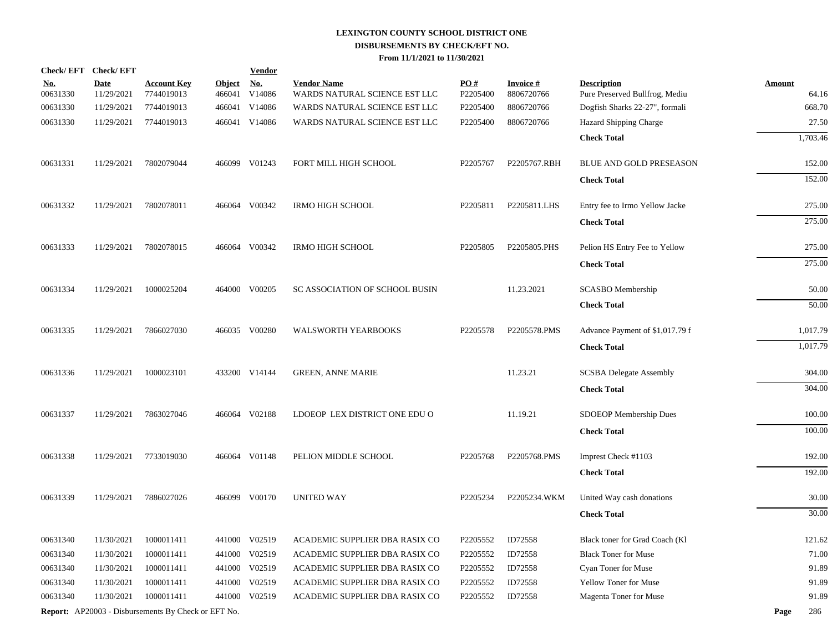| Check/EFT Check/EFT    |                           |                                                            |                         | <b>Vendor</b>        |                                                     |                 |                               |                                                      |               |          |
|------------------------|---------------------------|------------------------------------------------------------|-------------------------|----------------------|-----------------------------------------------------|-----------------|-------------------------------|------------------------------------------------------|---------------|----------|
| <u>No.</u><br>00631330 | <b>Date</b><br>11/29/2021 | <b>Account Key</b><br>7744019013                           | <b>Object</b><br>466041 | <u>No.</u><br>V14086 | <b>Vendor Name</b><br>WARDS NATURAL SCIENCE EST LLC | PO#<br>P2205400 | <b>Invoice#</b><br>8806720766 | <b>Description</b><br>Pure Preserved Bullfrog, Mediu | <b>Amount</b> | 64.16    |
| 00631330               | 11/29/2021                | 7744019013                                                 | 466041                  | V14086               | WARDS NATURAL SCIENCE EST LLC                       | P2205400        | 8806720766                    | Dogfish Sharks 22-27", formali                       |               | 668.70   |
| 00631330               | 11/29/2021                | 7744019013                                                 |                         | 466041 V14086        | WARDS NATURAL SCIENCE EST LLC                       | P2205400        | 8806720766                    | Hazard Shipping Charge                               |               | 27.50    |
|                        |                           |                                                            |                         |                      |                                                     |                 |                               | <b>Check Total</b>                                   |               | 1,703.46 |
| 00631331               | 11/29/2021                | 7802079044                                                 |                         | 466099 V01243        | FORT MILL HIGH SCHOOL                               | P2205767        | P2205767.RBH                  | BLUE AND GOLD PRESEASON                              |               | 152.00   |
|                        |                           |                                                            |                         |                      |                                                     |                 |                               |                                                      |               | 152.00   |
|                        |                           |                                                            |                         |                      |                                                     |                 |                               | <b>Check Total</b>                                   |               |          |
| 00631332               | 11/29/2021                | 7802078011                                                 |                         | 466064 V00342        | <b>IRMO HIGH SCHOOL</b>                             | P2205811        | P2205811.LHS                  | Entry fee to Irmo Yellow Jacke                       |               | 275.00   |
|                        |                           |                                                            |                         |                      |                                                     |                 |                               | <b>Check Total</b>                                   |               | 275.00   |
| 00631333               | 11/29/2021                | 7802078015                                                 |                         | 466064 V00342        | <b>IRMO HIGH SCHOOL</b>                             | P2205805        | P2205805.PHS                  | Pelion HS Entry Fee to Yellow                        |               | 275.00   |
|                        |                           |                                                            |                         |                      |                                                     |                 |                               | <b>Check Total</b>                                   |               | 275.00   |
| 00631334               | 11/29/2021                | 1000025204                                                 |                         | 464000 V00205        | SC ASSOCIATION OF SCHOOL BUSIN                      |                 | 11.23.2021                    | SCASBO Membership                                    |               | 50.00    |
|                        |                           |                                                            |                         |                      |                                                     |                 |                               | <b>Check Total</b>                                   |               | 50.00    |
|                        |                           |                                                            |                         |                      |                                                     |                 |                               |                                                      |               |          |
| 00631335               | 11/29/2021                | 7866027030                                                 |                         | 466035 V00280        | <b>WALSWORTH YEARBOOKS</b>                          | P2205578        | P2205578.PMS                  | Advance Payment of \$1,017.79 f                      |               | 1,017.79 |
|                        |                           |                                                            |                         |                      |                                                     |                 |                               | <b>Check Total</b>                                   |               | 1,017.79 |
| 00631336               | 11/29/2021                | 1000023101                                                 |                         | 433200 V14144        | <b>GREEN, ANNE MARIE</b>                            |                 | 11.23.21                      | <b>SCSBA Delegate Assembly</b>                       |               | 304.00   |
|                        |                           |                                                            |                         |                      |                                                     |                 |                               | <b>Check Total</b>                                   |               | 304.00   |
| 00631337               | 11/29/2021                | 7863027046                                                 |                         | 466064 V02188        | LDOEOP LEX DISTRICT ONE EDU O                       |                 | 11.19.21                      | SDOEOP Membership Dues                               |               | 100.00   |
|                        |                           |                                                            |                         |                      |                                                     |                 |                               |                                                      |               |          |
|                        |                           |                                                            |                         |                      |                                                     |                 |                               | <b>Check Total</b>                                   |               | 100.00   |
| 00631338               | 11/29/2021                | 7733019030                                                 |                         | 466064 V01148        | PELION MIDDLE SCHOOL                                | P2205768        | P2205768.PMS                  | Imprest Check #1103                                  |               | 192.00   |
|                        |                           |                                                            |                         |                      |                                                     |                 |                               | <b>Check Total</b>                                   |               | 192.00   |
| 00631339               | 11/29/2021                | 7886027026                                                 |                         | 466099 V00170        | <b>UNITED WAY</b>                                   | P2205234        | P2205234.WKM                  | United Way cash donations                            |               | 30.00    |
|                        |                           |                                                            |                         |                      |                                                     |                 |                               | <b>Check Total</b>                                   |               | 30.00    |
| 00631340               | 11/30/2021                | 1000011411                                                 |                         | 441000 V02519        | ACADEMIC SUPPLIER DBA RASIX CO                      | P2205552        | ID72558                       | Black toner for Grad Coach (Kl                       |               | 121.62   |
| 00631340               | 11/30/2021                | 1000011411                                                 | 441000                  | V02519               | ACADEMIC SUPPLIER DBA RASIX CO                      | P2205552        | ID72558                       | <b>Black Toner for Muse</b>                          |               | 71.00    |
| 00631340               | 11/30/2021                | 1000011411                                                 |                         | 441000 V02519        | ACADEMIC SUPPLIER DBA RASIX CO                      | P2205552        | ID72558                       | Cyan Toner for Muse                                  |               | 91.89    |
| 00631340               | 11/30/2021                | 1000011411                                                 | 441000                  | V02519               | ACADEMIC SUPPLIER DBA RASIX CO                      | P2205552        | ID72558                       | Yellow Toner for Muse                                |               | 91.89    |
| 00631340               | 11/30/2021                | 1000011411                                                 |                         | 441000 V02519        | ACADEMIC SUPPLIER DBA RASIX CO                      | P2205552        | ID72558                       | Magenta Toner for Muse                               |               | 91.89    |
|                        |                           | <b>Report:</b> AP20003 - Disbursements By Check or EFT No. |                         |                      |                                                     |                 |                               |                                                      | Page          | 286      |
|                        |                           |                                                            |                         |                      |                                                     |                 |                               |                                                      |               |          |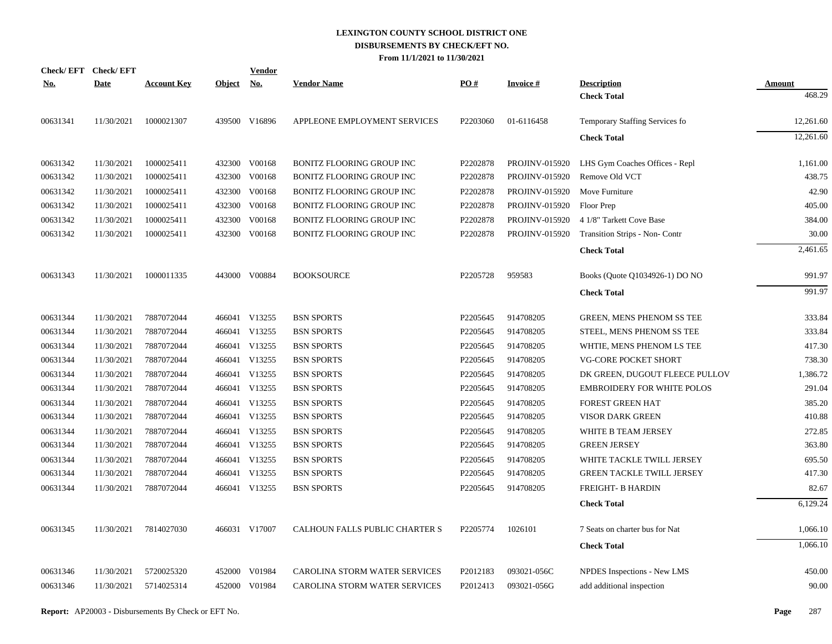| Check/EFT Check/EFT<br>No. | <b>Date</b> | <b>Account Key</b> | Object No. | <b>Vendor</b> | <b>Vendor Name</b>               | PO#                  | <b>Invoice#</b>       | <b>Description</b>                | Amount    |
|----------------------------|-------------|--------------------|------------|---------------|----------------------------------|----------------------|-----------------------|-----------------------------------|-----------|
|                            |             |                    |            |               |                                  |                      |                       | <b>Check Total</b>                | 468.29    |
| 00631341                   | 11/30/2021  | 1000021307         |            | 439500 V16896 | APPLEONE EMPLOYMENT SERVICES     | P <sub>2203060</sub> | 01-6116458            | Temporary Staffing Services fo    | 12,261.60 |
|                            |             |                    |            |               |                                  |                      |                       | <b>Check Total</b>                | 12,261.60 |
|                            |             |                    |            |               |                                  |                      |                       |                                   |           |
| 00631342                   | 11/30/2021  | 1000025411         |            | 432300 V00168 | <b>BONITZ FLOORING GROUP INC</b> | P2202878             | <b>PROJINV-015920</b> | LHS Gym Coaches Offices - Repl    | 1,161.00  |
| 00631342                   | 11/30/2021  | 1000025411         |            | 432300 V00168 | <b>BONITZ FLOORING GROUP INC</b> | P2202878             | PROJINV-015920        | Remove Old VCT                    | 438.75    |
| 00631342                   | 11/30/2021  | 1000025411         |            | 432300 V00168 | <b>BONITZ FLOORING GROUP INC</b> | P2202878             | PROJINV-015920        | Move Furniture                    | 42.90     |
| 00631342                   | 11/30/2021  | 1000025411         |            | 432300 V00168 | <b>BONITZ FLOORING GROUP INC</b> | P2202878             | <b>PROJINV-015920</b> | Floor Prep                        | 405.00    |
| 00631342                   | 11/30/2021  | 1000025411         | 432300     | V00168        | <b>BONITZ FLOORING GROUP INC</b> | P2202878             | <b>PROJINV-015920</b> | 4 1/8" Tarkett Cove Base          | 384.00    |
| 00631342                   | 11/30/2021  | 1000025411         |            | 432300 V00168 | <b>BONITZ FLOORING GROUP INC</b> | P2202878             | PROJINV-015920        | Transition Strips - Non- Contr    | 30.00     |
|                            |             |                    |            |               |                                  |                      |                       | <b>Check Total</b>                | 2,461.65  |
| 00631343                   | 11/30/2021  | 1000011335         |            | 443000 V00884 | <b>BOOKSOURCE</b>                | P2205728             | 959583                | Books (Quote Q1034926-1) DO NO    | 991.97    |
|                            |             |                    |            |               |                                  |                      |                       | <b>Check Total</b>                | 991.97    |
|                            |             |                    |            |               |                                  |                      |                       |                                   |           |
| 00631344                   | 11/30/2021  | 7887072044         |            | 466041 V13255 | <b>BSN SPORTS</b>                | P2205645             | 914708205             | <b>GREEN, MENS PHENOM SS TEE</b>  | 333.84    |
| 00631344                   | 11/30/2021  | 7887072044         |            | 466041 V13255 | <b>BSN SPORTS</b>                | P2205645             | 914708205             | STEEL, MENS PHENOM SS TEE         | 333.84    |
| 00631344                   | 11/30/2021  | 7887072044         |            | 466041 V13255 | <b>BSN SPORTS</b>                | P2205645             | 914708205             | WHTIE, MENS PHENOM LS TEE         | 417.30    |
| 00631344                   | 11/30/2021  | 7887072044         |            | 466041 V13255 | <b>BSN SPORTS</b>                | P2205645             | 914708205             | VG-CORE POCKET SHORT              | 738.30    |
| 00631344                   | 11/30/2021  | 7887072044         |            | 466041 V13255 | <b>BSN SPORTS</b>                | P2205645             | 914708205             | DK GREEN, DUGOUT FLEECE PULLOV    | 1,386.72  |
| 00631344                   | 11/30/2021  | 7887072044         |            | 466041 V13255 | <b>BSN SPORTS</b>                | P2205645             | 914708205             | <b>EMBROIDERY FOR WHITE POLOS</b> | 291.04    |
| 00631344                   | 11/30/2021  | 7887072044         |            | 466041 V13255 | <b>BSN SPORTS</b>                | P2205645             | 914708205             | <b>FOREST GREEN HAT</b>           | 385.20    |
| 00631344                   | 11/30/2021  | 7887072044         |            | 466041 V13255 | <b>BSN SPORTS</b>                | P2205645             | 914708205             | VISOR DARK GREEN                  | 410.88    |
| 00631344                   | 11/30/2021  | 7887072044         |            | 466041 V13255 | <b>BSN SPORTS</b>                | P2205645             | 914708205             | WHITE B TEAM JERSEY               | 272.85    |
| 00631344                   | 11/30/2021  | 7887072044         |            | 466041 V13255 | <b>BSN SPORTS</b>                | P2205645             | 914708205             | <b>GREEN JERSEY</b>               | 363.80    |
| 00631344                   | 11/30/2021  | 7887072044         |            | 466041 V13255 | <b>BSN SPORTS</b>                | P2205645             | 914708205             | WHITE TACKLE TWILL JERSEY         | 695.50    |
| 00631344                   | 11/30/2021  | 7887072044         |            | 466041 V13255 | <b>BSN SPORTS</b>                | P2205645             | 914708205             | <b>GREEN TACKLE TWILL JERSEY</b>  | 417.30    |
| 00631344                   | 11/30/2021  | 7887072044         |            | 466041 V13255 | <b>BSN SPORTS</b>                | P2205645             | 914708205             | FREIGHT- B HARDIN                 | 82.67     |
|                            |             |                    |            |               |                                  |                      |                       | <b>Check Total</b>                | 6,129.24  |
| 00631345                   | 11/30/2021  | 7814027030         |            | 466031 V17007 | CALHOUN FALLS PUBLIC CHARTER S   | P2205774             | 1026101               | 7 Seats on charter bus for Nat    | 1,066.10  |
|                            |             |                    |            |               |                                  |                      |                       | <b>Check Total</b>                | 1,066.10  |
|                            |             |                    |            |               |                                  |                      |                       |                                   |           |
| 00631346                   | 11/30/2021  | 5720025320         |            | 452000 V01984 | CAROLINA STORM WATER SERVICES    | P2012183             | 093021-056C           | NPDES Inspections - New LMS       | 450.00    |
| 00631346                   | 11/30/2021  | 5714025314         |            | 452000 V01984 | CAROLINA STORM WATER SERVICES    | P2012413             | 093021-056G           | add additional inspection         | 90.00     |
|                            |             |                    |            |               |                                  |                      |                       |                                   |           |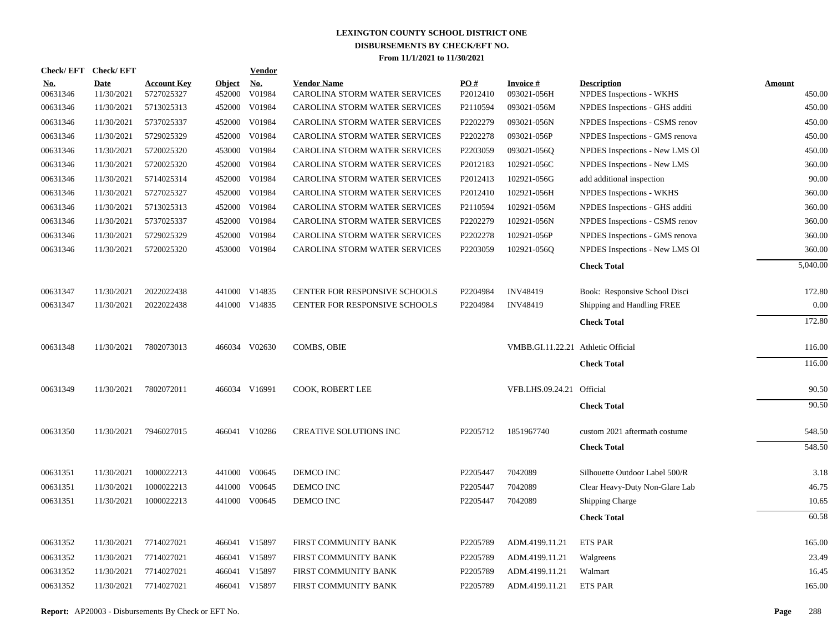| Check/EFT Check/EFT    |                           |                                  |                         | <b>Vendor</b>        |                                                     |                 |                                    |                                                |                  |
|------------------------|---------------------------|----------------------------------|-------------------------|----------------------|-----------------------------------------------------|-----------------|------------------------------------|------------------------------------------------|------------------|
| <u>No.</u><br>00631346 | <b>Date</b><br>11/30/2021 | <b>Account Key</b><br>5727025327 | <b>Object</b><br>452000 | <u>No.</u><br>V01984 | <b>Vendor Name</b><br>CAROLINA STORM WATER SERVICES | PO#<br>P2012410 | <b>Invoice#</b><br>093021-056H     | <b>Description</b><br>NPDES Inspections - WKHS | Amount<br>450.00 |
| 00631346               | 11/30/2021                | 5713025313                       | 452000                  | V01984               | CAROLINA STORM WATER SERVICES                       | P2110594        | 093021-056M                        | NPDES Inspections - GHS additi                 | 450.00           |
| 00631346               | 11/30/2021                | 5737025337                       | 452000                  | V01984               | CAROLINA STORM WATER SERVICES                       | P2202279        | 093021-056N                        | NPDES Inspections - CSMS renov                 | 450.00           |
| 00631346               | 11/30/2021                | 5729025329                       | 452000                  | V01984               | CAROLINA STORM WATER SERVICES                       | P2202278        | 093021-056P                        | NPDES Inspections - GMS renova                 | 450.00           |
| 00631346               | 11/30/2021                | 5720025320                       | 453000                  | V01984               | CAROLINA STORM WATER SERVICES                       | P2203059        | 093021-056Q                        | NPDES Inspections - New LMS OI                 | 450.00           |
| 00631346               | 11/30/2021                | 5720025320                       | 452000                  | V01984               | CAROLINA STORM WATER SERVICES                       | P2012183        | 102921-056C                        | NPDES Inspections - New LMS                    | 360.00           |
| 00631346               | 11/30/2021                | 5714025314                       | 452000                  | V01984               | CAROLINA STORM WATER SERVICES                       | P2012413        | 102921-056G                        | add additional inspection                      | 90.00            |
| 00631346               | 11/30/2021                | 5727025327                       | 452000                  | V01984               | CAROLINA STORM WATER SERVICES                       | P2012410        | 102921-056H                        | NPDES Inspections - WKHS                       | 360.00           |
| 00631346               | 11/30/2021                | 5713025313                       | 452000                  | V01984               | CAROLINA STORM WATER SERVICES                       | P2110594        | 102921-056M                        | NPDES Inspections - GHS additi                 | 360.00           |
| 00631346               | 11/30/2021                | 5737025337                       | 452000                  | V01984               | CAROLINA STORM WATER SERVICES                       | P2202279        | 102921-056N                        | NPDES Inspections - CSMS renov                 | 360.00           |
| 00631346               | 11/30/2021                | 5729025329                       | 452000                  | V01984               | CAROLINA STORM WATER SERVICES                       | P2202278        | 102921-056P                        | NPDES Inspections - GMS renova                 | 360.00           |
| 00631346               | 11/30/2021                | 5720025320                       | 453000                  | V01984               | CAROLINA STORM WATER SERVICES                       | P2203059        | 102921-056Q                        | NPDES Inspections - New LMS Ol                 | 360.00           |
|                        |                           |                                  |                         |                      |                                                     |                 |                                    | <b>Check Total</b>                             | 5,040.00         |
| 00631347               | 11/30/2021                | 2022022438                       |                         | 441000 V14835        | CENTER FOR RESPONSIVE SCHOOLS                       | P2204984        | <b>INV48419</b>                    | Book: Responsive School Disci                  | 172.80           |
| 00631347               | 11/30/2021                | 2022022438                       |                         | 441000 V14835        | CENTER FOR RESPONSIVE SCHOOLS                       | P2204984        | <b>INV48419</b>                    | Shipping and Handling FREE                     | 0.00             |
|                        |                           |                                  |                         |                      |                                                     |                 |                                    | <b>Check Total</b>                             | 172.80           |
| 00631348               | 11/30/2021                | 7802073013                       |                         | 466034 V02630        | <b>COMBS, OBIE</b>                                  |                 | VMBB.GI.11.22.21 Athletic Official |                                                | 116.00           |
|                        |                           |                                  |                         |                      |                                                     |                 |                                    | <b>Check Total</b>                             | 116.00           |
| 00631349               | 11/30/2021                | 7802072011                       |                         | 466034 V16991        | COOK, ROBERT LEE                                    |                 | VFB.LHS.09.24.21 Official          |                                                | 90.50            |
|                        |                           |                                  |                         |                      |                                                     |                 |                                    | <b>Check Total</b>                             | 90.50            |
| 00631350               | 11/30/2021                | 7946027015                       |                         | 466041 V10286        | <b>CREATIVE SOLUTIONS INC</b>                       | P2205712        | 1851967740                         | custom 2021 aftermath costume                  | 548.50           |
|                        |                           |                                  |                         |                      |                                                     |                 |                                    | <b>Check Total</b>                             | 548.50           |
| 00631351               | 11/30/2021                | 1000022213                       |                         | 441000 V00645        | DEMCO INC                                           | P2205447        | 7042089                            | Silhouette Outdoor Label 500/R                 | 3.18             |
| 00631351               | 11/30/2021                | 1000022213                       |                         | 441000 V00645        | DEMCO INC                                           | P2205447        | 7042089                            | Clear Heavy-Duty Non-Glare Lab                 | 46.75            |
| 00631351               | 11/30/2021                | 1000022213                       |                         | 441000 V00645        | DEMCO INC                                           | P2205447        | 7042089                            | <b>Shipping Charge</b>                         | 10.65            |
|                        |                           |                                  |                         |                      |                                                     |                 |                                    | <b>Check Total</b>                             | 60.58            |
| 00631352               | 11/30/2021                | 7714027021                       |                         | 466041 V15897        | FIRST COMMUNITY BANK                                | P2205789        | ADM.4199.11.21                     | <b>ETS PAR</b>                                 | 165.00           |
| 00631352               | 11/30/2021                | 7714027021                       |                         | 466041 V15897        | FIRST COMMUNITY BANK                                | P2205789        | ADM.4199.11.21                     | Walgreens                                      | 23.49            |
| 00631352               | 11/30/2021                | 7714027021                       |                         | 466041 V15897        | FIRST COMMUNITY BANK                                | P2205789        | ADM.4199.11.21                     | Walmart                                        | 16.45            |
| 00631352               | 11/30/2021                | 7714027021                       |                         | 466041 V15897        | FIRST COMMUNITY BANK                                | P2205789        | ADM.4199.11.21                     | <b>ETS PAR</b>                                 | 165.00           |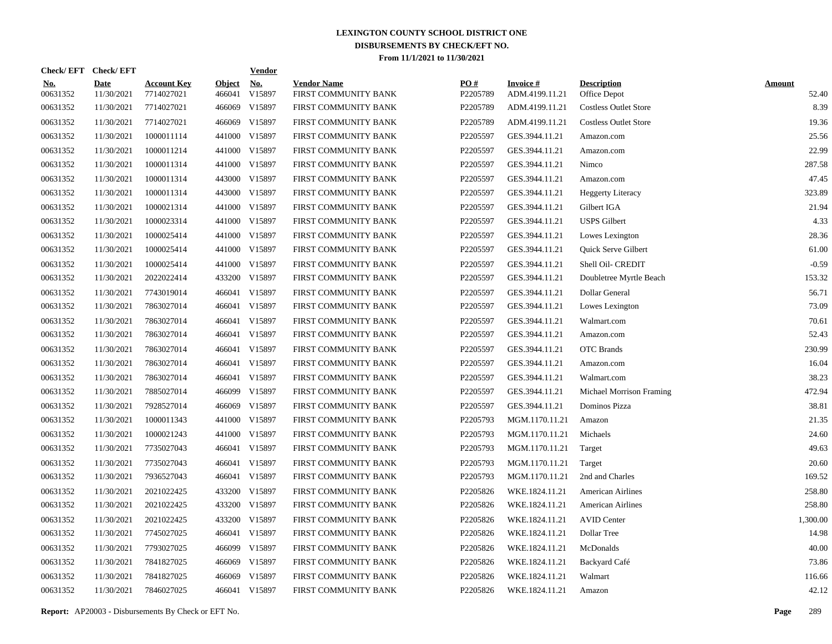| Check/EFT Check/EFT    |                           |                                  |                         | <b>Vendor</b> |                                            |                 |                                   |                                    |                        |
|------------------------|---------------------------|----------------------------------|-------------------------|---------------|--------------------------------------------|-----------------|-----------------------------------|------------------------------------|------------------------|
| <u>No.</u><br>00631352 | <b>Date</b><br>11/30/2021 | <b>Account Key</b><br>7714027021 | <b>Object</b><br>466041 | No.<br>V15897 | <b>Vendor Name</b><br>FIRST COMMUNITY BANK | PO#<br>P2205789 | <b>Invoice#</b><br>ADM.4199.11.21 | <b>Description</b><br>Office Depot | <b>Amount</b><br>52.40 |
| 00631352               | 11/30/2021                | 7714027021                       | 466069                  | V15897        | FIRST COMMUNITY BANK                       | P2205789        | ADM.4199.11.21                    | <b>Costless Outlet Store</b>       | 8.39                   |
| 00631352               | 11/30/2021                | 7714027021                       | 466069                  | V15897        | FIRST COMMUNITY BANK                       | P2205789        | ADM.4199.11.21                    | <b>Costless Outlet Store</b>       | 19.36                  |
| 00631352               | 11/30/2021                | 1000011114                       | 441000                  | V15897        | FIRST COMMUNITY BANK                       | P2205597        | GES.3944.11.21                    | Amazon.com                         | 25.56                  |
| 00631352               | 11/30/2021                | 1000011214                       |                         | 441000 V15897 | FIRST COMMUNITY BANK                       | P2205597        | GES.3944.11.21                    | Amazon.com                         | 22.99                  |
| 00631352               | 11/30/2021                | 1000011314                       |                         | 441000 V15897 | FIRST COMMUNITY BANK                       | P2205597        | GES.3944.11.21                    | Nimco                              | 287.58                 |
| 00631352               | 11/30/2021                | 1000011314                       |                         | 443000 V15897 | FIRST COMMUNITY BANK                       | P2205597        | GES.3944.11.21                    | Amazon.com                         | 47.45                  |
| 00631352               | 11/30/2021                | 1000011314                       |                         | 443000 V15897 | FIRST COMMUNITY BANK                       | P2205597        | GES.3944.11.21                    | <b>Heggerty Literacy</b>           | 323.89                 |
| 00631352               | 11/30/2021                | 1000021314                       |                         | 441000 V15897 | FIRST COMMUNITY BANK                       | P2205597        | GES.3944.11.21                    | Gilbert IGA                        | 21.94                  |
| 00631352               | 11/30/2021                | 1000023314                       |                         | 441000 V15897 | FIRST COMMUNITY BANK                       | P2205597        | GES.3944.11.21                    | <b>USPS</b> Gilbert                | 4.33                   |
| 00631352               | 11/30/2021                | 1000025414                       |                         | 441000 V15897 | FIRST COMMUNITY BANK                       | P2205597        | GES.3944.11.21                    | Lowes Lexington                    | 28.36                  |
| 00631352               | 11/30/2021                | 1000025414                       |                         | 441000 V15897 | FIRST COMMUNITY BANK                       | P2205597        | GES.3944.11.21                    | Quick Serve Gilbert                | 61.00                  |
| 00631352               | 11/30/2021                | 1000025414                       |                         | 441000 V15897 | FIRST COMMUNITY BANK                       | P2205597        | GES.3944.11.21                    | Shell Oil- CREDIT                  | $-0.59$                |
| 00631352               | 11/30/2021                | 2022022414                       |                         | 433200 V15897 | FIRST COMMUNITY BANK                       | P2205597        | GES.3944.11.21                    | Doubletree Myrtle Beach            | 153.32                 |
| 00631352               | 11/30/2021                | 7743019014                       |                         | 466041 V15897 | FIRST COMMUNITY BANK                       | P2205597        | GES.3944.11.21                    | Dollar General                     | 56.71                  |
| 00631352               | 11/30/2021                | 7863027014                       | 466041                  | V15897        | FIRST COMMUNITY BANK                       | P2205597        | GES.3944.11.21                    | Lowes Lexington                    | 73.09                  |
| 00631352               | 11/30/2021                | 7863027014                       | 466041                  | V15897        | FIRST COMMUNITY BANK                       | P2205597        | GES.3944.11.21                    | Walmart.com                        | 70.61                  |
| 00631352               | 11/30/2021                | 7863027014                       | 466041                  | V15897        | FIRST COMMUNITY BANK                       | P2205597        | GES.3944.11.21                    | Amazon.com                         | 52.43                  |
| 00631352               | 11/30/2021                | 7863027014                       | 466041                  | V15897        | FIRST COMMUNITY BANK                       | P2205597        | GES.3944.11.21                    | <b>OTC</b> Brands                  | 230.99                 |
| 00631352               | 11/30/2021                | 7863027014                       | 466041                  | V15897        | FIRST COMMUNITY BANK                       | P2205597        | GES.3944.11.21                    | Amazon.com                         | 16.04                  |
| 00631352               | 11/30/2021                | 7863027014                       | 466041                  | V15897        | FIRST COMMUNITY BANK                       | P2205597        | GES.3944.11.21                    | Walmart.com                        | 38.23                  |
| 00631352               | 11/30/2021                | 7885027014                       |                         | 466099 V15897 | FIRST COMMUNITY BANK                       | P2205597        | GES.3944.11.21                    | Michael Morrison Framing           | 472.94                 |
| 00631352               | 11/30/2021                | 7928527014                       | 466069                  | V15897        | FIRST COMMUNITY BANK                       | P2205597        | GES.3944.11.21                    | Dominos Pizza                      | 38.81                  |
| 00631352               | 11/30/2021                | 1000011343                       |                         | 441000 V15897 | FIRST COMMUNITY BANK                       | P2205793        | MGM.1170.11.21                    | Amazon                             | 21.35                  |
| 00631352               | 11/30/2021                | 1000021243                       |                         | 441000 V15897 | FIRST COMMUNITY BANK                       | P2205793        | MGM.1170.11.21                    | Michaels                           | 24.60                  |
| 00631352               | 11/30/2021                | 7735027043                       |                         | 466041 V15897 | FIRST COMMUNITY BANK                       | P2205793        | MGM.1170.11.21                    | Target                             | 49.63                  |
| 00631352               | 11/30/2021                | 7735027043                       | 466041                  | V15897        | FIRST COMMUNITY BANK                       | P2205793        | MGM.1170.11.21                    | Target                             | 20.60                  |
| 00631352               | 11/30/2021                | 7936527043                       |                         | 466041 V15897 | FIRST COMMUNITY BANK                       | P2205793        | MGM.1170.11.21                    | 2nd and Charles                    | 169.52                 |
| 00631352               | 11/30/2021                | 2021022425                       |                         | 433200 V15897 | FIRST COMMUNITY BANK                       | P2205826        | WKE.1824.11.21                    | <b>American Airlines</b>           | 258.80                 |
| 00631352               | 11/30/2021                | 2021022425                       |                         | 433200 V15897 | FIRST COMMUNITY BANK                       | P2205826        | WKE.1824.11.21                    | <b>American Airlines</b>           | 258.80                 |
| 00631352               | 11/30/2021                | 2021022425                       |                         | 433200 V15897 | FIRST COMMUNITY BANK                       | P2205826        | WKE.1824.11.21                    | <b>AVID Center</b>                 | 1,300.00               |
| 00631352               | 11/30/2021                | 7745027025                       | 466041                  | V15897        | FIRST COMMUNITY BANK                       | P2205826        | WKE.1824.11.21                    | Dollar Tree                        | 14.98                  |
| 00631352               | 11/30/2021                | 7793027025                       | 466099                  | V15897        | FIRST COMMUNITY BANK                       | P2205826        | WKE.1824.11.21                    | McDonalds                          | 40.00                  |
| 00631352               | 11/30/2021                | 7841827025                       | 466069                  | V15897        | FIRST COMMUNITY BANK                       | P2205826        | WKE.1824.11.21                    | Backyard Café                      | 73.86                  |
| 00631352               | 11/30/2021                | 7841827025                       | 466069                  | V15897        | FIRST COMMUNITY BANK                       | P2205826        | WKE.1824.11.21                    | Walmart                            | 116.66                 |
| 00631352               | 11/30/2021                | 7846027025                       |                         | 466041 V15897 | FIRST COMMUNITY BANK                       | P2205826        | WKE.1824.11.21                    | Amazon                             | 42.12                  |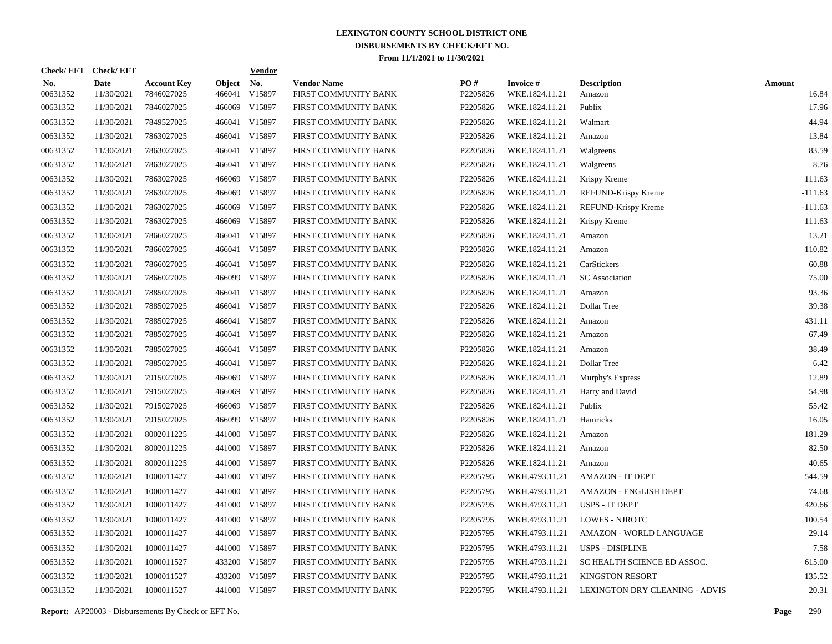| Check/EFT Check/EFT    |                           |                                  |                         | <b>Vendor</b>                       |                                            |                 |                                   |                                |                        |
|------------------------|---------------------------|----------------------------------|-------------------------|-------------------------------------|--------------------------------------------|-----------------|-----------------------------------|--------------------------------|------------------------|
| <u>No.</u><br>00631352 | <b>Date</b><br>11/30/2021 | <b>Account Key</b><br>7846027025 | <b>Object</b><br>466041 | $\underline{\mathrm{No}}$<br>V15897 | <b>Vendor Name</b><br>FIRST COMMUNITY BANK | PO#<br>P2205826 | <b>Invoice#</b><br>WKE.1824.11.21 | <b>Description</b><br>Amazon   | <b>Amount</b><br>16.84 |
| 00631352               | 11/30/2021                | 7846027025                       | 466069                  | V15897                              | FIRST COMMUNITY BANK                       | P2205826        | WKE.1824.11.21                    | Publix                         | 17.96                  |
| 00631352               | 11/30/2021                | 7849527025                       | 466041                  | V15897                              | FIRST COMMUNITY BANK                       | P2205826        | WKE.1824.11.21                    | Walmart                        | 44.94                  |
| 00631352               | 11/30/2021                | 7863027025                       | 466041                  | V15897                              | FIRST COMMUNITY BANK                       | P2205826        | WKE.1824.11.21                    | Amazon                         | 13.84                  |
| 00631352               | 11/30/2021                | 7863027025                       | 466041                  | V15897                              | FIRST COMMUNITY BANK                       | P2205826        | WKE.1824.11.21                    | Walgreens                      | 83.59                  |
| 00631352               | 11/30/2021                | 7863027025                       | 466041                  | V15897                              | FIRST COMMUNITY BANK                       | P2205826        | WKE.1824.11.21                    | Walgreens                      | 8.76                   |
| 00631352               | 11/30/2021                | 7863027025                       | 466069                  | V15897                              | FIRST COMMUNITY BANK                       | P2205826        | WKE.1824.11.21                    | Krispy Kreme                   | 111.63                 |
| 00631352               | 11/30/2021                | 7863027025                       | 466069                  | V15897                              | FIRST COMMUNITY BANK                       | P2205826        | WKE.1824.11.21                    | REFUND-Krispy Kreme            | $-111.63$              |
| 00631352               | 11/30/2021                | 7863027025                       | 466069                  | V15897                              | FIRST COMMUNITY BANK                       | P2205826        | WKE.1824.11.21                    | REFUND-Krispy Kreme            | $-111.63$              |
| 00631352               | 11/30/2021                | 7863027025                       | 466069                  | V15897                              | FIRST COMMUNITY BANK                       | P2205826        | WKE.1824.11.21                    | Krispy Kreme                   | 111.63                 |
| 00631352               | 11/30/2021                | 7866027025                       | 466041                  | V15897                              | FIRST COMMUNITY BANK                       | P2205826        | WKE.1824.11.21                    | Amazon                         | 13.21                  |
| 00631352               | 11/30/2021                | 7866027025                       | 466041                  | V15897                              | FIRST COMMUNITY BANK                       | P2205826        | WKE.1824.11.21                    | Amazon                         | 110.82                 |
| 00631352               | 11/30/2021                | 7866027025                       | 466041                  | V15897                              | FIRST COMMUNITY BANK                       | P2205826        | WKE.1824.11.21                    | CarStickers                    | 60.88                  |
| 00631352               | 11/30/2021                | 7866027025                       | 466099                  | V15897                              | FIRST COMMUNITY BANK                       | P2205826        | WKE.1824.11.21                    | <b>SC</b> Association          | 75.00                  |
| 00631352               | 11/30/2021                | 7885027025                       | 466041                  | V15897                              | FIRST COMMUNITY BANK                       | P2205826        | WKE.1824.11.21                    | Amazon                         | 93.36                  |
| 00631352               | 11/30/2021                | 7885027025                       | 466041                  | V15897                              | FIRST COMMUNITY BANK                       | P2205826        | WKE.1824.11.21                    | Dollar Tree                    | 39.38                  |
| 00631352               | 11/30/2021                | 7885027025                       | 466041                  | V15897                              | FIRST COMMUNITY BANK                       | P2205826        | WKE.1824.11.21                    | Amazon                         | 431.11                 |
| 00631352               | 11/30/2021                | 7885027025                       | 466041                  | V15897                              | FIRST COMMUNITY BANK                       | P2205826        | WKE.1824.11.21                    | Amazon                         | 67.49                  |
| 00631352               | 11/30/2021                | 7885027025                       | 466041                  | V15897                              | FIRST COMMUNITY BANK                       | P2205826        | WKE.1824.11.21                    | Amazon                         | 38.49                  |
| 00631352               | 11/30/2021                | 7885027025                       | 466041                  | V15897                              | FIRST COMMUNITY BANK                       | P2205826        | WKE.1824.11.21                    | Dollar Tree                    | 6.42                   |
| 00631352               | 11/30/2021                | 7915027025                       | 466069                  | V15897                              | FIRST COMMUNITY BANK                       | P2205826        | WKE.1824.11.21                    | Murphy's Express               | 12.89                  |
| 00631352               | 11/30/2021                | 7915027025                       |                         | 466069 V15897                       | FIRST COMMUNITY BANK                       | P2205826        | WKE.1824.11.21                    | Harry and David                | 54.98                  |
| 00631352               | 11/30/2021                | 7915027025                       | 466069                  | V15897                              | FIRST COMMUNITY BANK                       | P2205826        | WKE.1824.11.21                    | Publix                         | 55.42                  |
| 00631352               | 11/30/2021                | 7915027025                       |                         | 466099 V15897                       | FIRST COMMUNITY BANK                       | P2205826        | WKE.1824.11.21                    | Hamricks                       | 16.05                  |
| 00631352               | 11/30/2021                | 8002011225                       |                         | 441000 V15897                       | FIRST COMMUNITY BANK                       | P2205826        | WKE.1824.11.21                    | Amazon                         | 181.29                 |
| 00631352               | 11/30/2021                | 8002011225                       |                         | 441000 V15897                       | FIRST COMMUNITY BANK                       | P2205826        | WKE.1824.11.21                    | Amazon                         | 82.50                  |
| 00631352               | 11/30/2021                | 8002011225                       |                         | 441000 V15897                       | FIRST COMMUNITY BANK                       | P2205826        | WKE.1824.11.21                    | Amazon                         | 40.65                  |
| 00631352               | 11/30/2021                | 1000011427                       |                         | 441000 V15897                       | FIRST COMMUNITY BANK                       | P2205795        | WKH.4793.11.21                    | <b>AMAZON - IT DEPT</b>        | 544.59                 |
| 00631352               | 11/30/2021                | 1000011427                       |                         | 441000 V15897                       | FIRST COMMUNITY BANK                       | P2205795        | WKH.4793.11.21                    | <b>AMAZON - ENGLISH DEPT</b>   | 74.68                  |
| 00631352               | 11/30/2021                | 1000011427                       |                         | 441000 V15897                       | FIRST COMMUNITY BANK                       | P2205795        | WKH.4793.11.21                    | <b>USPS - IT DEPT</b>          | 420.66                 |
| 00631352               | 11/30/2021                | 1000011427                       |                         | 441000 V15897                       | FIRST COMMUNITY BANK                       | P2205795        | WKH.4793.11.21                    | <b>LOWES - NJROTC</b>          | 100.54                 |
| 00631352               | 11/30/2021                | 1000011427                       |                         | 441000 V15897                       | FIRST COMMUNITY BANK                       | P2205795        | WKH.4793.11.21                    | AMAZON - WORLD LANGUAGE        | 29.14                  |
| 00631352               | 11/30/2021                | 1000011427                       |                         | 441000 V15897                       | FIRST COMMUNITY BANK                       | P2205795        | WKH.4793.11.21                    | <b>USPS - DISIPLINE</b>        | 7.58                   |
| 00631352               | 11/30/2021                | 1000011527                       |                         | 433200 V15897                       | FIRST COMMUNITY BANK                       | P2205795        | WKH.4793.11.21                    | SC HEALTH SCIENCE ED ASSOC.    | 615.00                 |
| 00631352               | 11/30/2021                | 1000011527                       | 433200                  | V15897                              | FIRST COMMUNITY BANK                       | P2205795        | WKH.4793.11.21                    | <b>KINGSTON RESORT</b>         | 135.52                 |
| 00631352               | 11/30/2021                | 1000011527                       |                         | 441000 V15897                       | FIRST COMMUNITY BANK                       | P2205795        | WKH.4793.11.21                    | LEXINGTON DRY CLEANING - ADVIS | 20.31                  |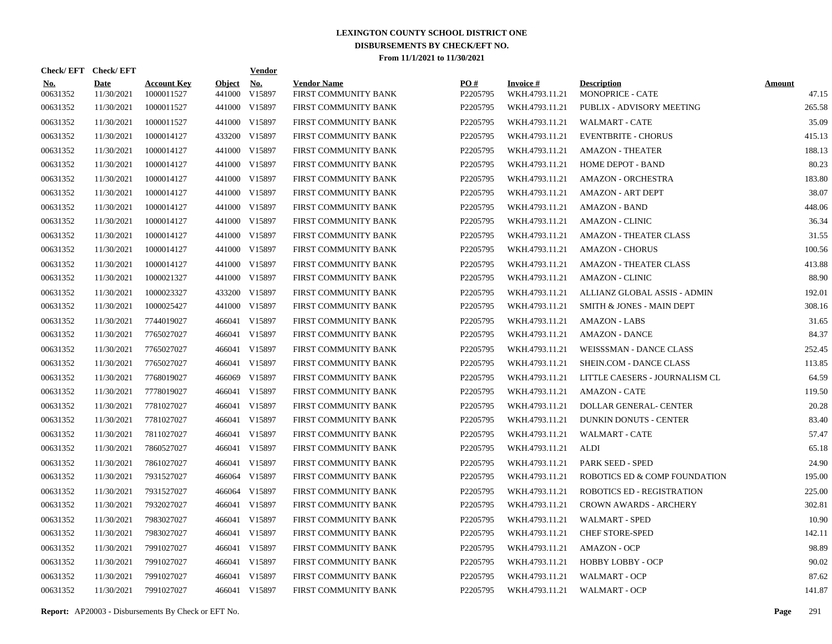| Check/EFT Check/EFT    |                           |                                  |                         | <b>Vendor</b>        |                                            |                 |                                   |                                        |                        |
|------------------------|---------------------------|----------------------------------|-------------------------|----------------------|--------------------------------------------|-----------------|-----------------------------------|----------------------------------------|------------------------|
| <b>No.</b><br>00631352 | <b>Date</b><br>11/30/2021 | <b>Account Key</b><br>1000011527 | <b>Object</b><br>441000 | <b>No.</b><br>V15897 | <b>Vendor Name</b><br>FIRST COMMUNITY BANK | PQ#<br>P2205795 | <b>Invoice#</b><br>WKH.4793.11.21 | <b>Description</b><br>MONOPRICE - CATE | <b>Amount</b><br>47.15 |
| 00631352               | 11/30/2021                | 1000011527                       |                         | 441000 V15897        | FIRST COMMUNITY BANK                       | P2205795        | WKH.4793.11.21                    | PUBLIX - ADVISORY MEETING              | 265.58                 |
| 00631352               | 11/30/2021                | 1000011527                       |                         | 441000 V15897        | FIRST COMMUNITY BANK                       | P2205795        | WKH.4793.11.21                    | <b>WALMART - CATE</b>                  | 35.09                  |
| 00631352               | 11/30/2021                | 1000014127                       |                         | 433200 V15897        | FIRST COMMUNITY BANK                       | P2205795        | WKH.4793.11.21                    | <b>EVENTBRITE - CHORUS</b>             | 415.13                 |
| 00631352               | 11/30/2021                | 1000014127                       |                         | 441000 V15897        | FIRST COMMUNITY BANK                       | P2205795        | WKH.4793.11.21                    | <b>AMAZON - THEATER</b>                | 188.13                 |
| 00631352               | 11/30/2021                | 1000014127                       |                         | 441000 V15897        | FIRST COMMUNITY BANK                       | P2205795        | WKH.4793.11.21                    | <b>HOME DEPOT - BAND</b>               | 80.23                  |
| 00631352               | 11/30/2021                | 1000014127                       |                         | 441000 V15897        | FIRST COMMUNITY BANK                       | P2205795        | WKH.4793.11.21                    | <b>AMAZON - ORCHESTRA</b>              | 183.80                 |
| 00631352               | 11/30/2021                | 1000014127                       |                         | 441000 V15897        | FIRST COMMUNITY BANK                       | P2205795        | WKH.4793.11.21                    | <b>AMAZON - ART DEPT</b>               | 38.07                  |
| 00631352               | 11/30/2021                | 1000014127                       |                         | 441000 V15897        | FIRST COMMUNITY BANK                       | P2205795        | WKH.4793.11.21                    | <b>AMAZON - BAND</b>                   | 448.06                 |
| 00631352               | 11/30/2021                | 1000014127                       |                         | 441000 V15897        | FIRST COMMUNITY BANK                       | P2205795        | WKH.4793.11.21                    | <b>AMAZON - CLINIC</b>                 | 36.34                  |
| 00631352               | 11/30/2021                | 1000014127                       |                         | 441000 V15897        | FIRST COMMUNITY BANK                       | P2205795        | WKH.4793.11.21                    | <b>AMAZON - THEATER CLASS</b>          | 31.55                  |
| 00631352               | 11/30/2021                | 1000014127                       |                         | 441000 V15897        | FIRST COMMUNITY BANK                       | P2205795        | WKH.4793.11.21                    | <b>AMAZON - CHORUS</b>                 | 100.56                 |
| 00631352               | 11/30/2021                | 1000014127                       |                         | 441000 V15897        | FIRST COMMUNITY BANK                       | P2205795        | WKH.4793.11.21                    | <b>AMAZON - THEATER CLASS</b>          | 413.88                 |
| 00631352               | 11/30/2021                | 1000021327                       |                         | 441000 V15897        | FIRST COMMUNITY BANK                       | P2205795        | WKH.4793.11.21                    | <b>AMAZON - CLINIC</b>                 | 88.90                  |
| 00631352               | 11/30/2021                | 1000023327                       |                         | 433200 V15897        | FIRST COMMUNITY BANK                       | P2205795        | WKH.4793.11.21                    | ALLIANZ GLOBAL ASSIS - ADMIN           | 192.01                 |
| 00631352               | 11/30/2021                | 1000025427                       |                         | 441000 V15897        | FIRST COMMUNITY BANK                       | P2205795        | WKH.4793.11.21                    | SMITH & JONES - MAIN DEPT              | 308.16                 |
| 00631352               | 11/30/2021                | 7744019027                       |                         | 466041 V15897        | FIRST COMMUNITY BANK                       | P2205795        | WKH.4793.11.21                    | AMAZON - LABS                          | 31.65                  |
| 00631352               | 11/30/2021                | 7765027027                       |                         | 466041 V15897        | FIRST COMMUNITY BANK                       | P2205795        | WKH.4793.11.21                    | <b>AMAZON - DANCE</b>                  | 84.37                  |
| 00631352               | 11/30/2021                | 7765027027                       |                         | 466041 V15897        | FIRST COMMUNITY BANK                       | P2205795        | WKH.4793.11.21                    | WEISSSMAN - DANCE CLASS                | 252.45                 |
| 00631352               | 11/30/2021                | 7765027027                       |                         | 466041 V15897        | FIRST COMMUNITY BANK                       | P2205795        | WKH.4793.11.21                    | SHEIN.COM - DANCE CLASS                | 113.85                 |
| 00631352               | 11/30/2021                | 7768019027                       |                         | 466069 V15897        | FIRST COMMUNITY BANK                       | P2205795        | WKH.4793.11.21                    | LITTLE CAESERS - JOURNALISM CL         | 64.59                  |
| 00631352               | 11/30/2021                | 7778019027                       |                         | 466041 V15897        | FIRST COMMUNITY BANK                       | P2205795        | WKH.4793.11.21                    | <b>AMAZON - CATE</b>                   | 119.50                 |
| 00631352               | 11/30/2021                | 7781027027                       |                         | 466041 V15897        | FIRST COMMUNITY BANK                       | P2205795        | WKH.4793.11.21                    | <b>DOLLAR GENERAL- CENTER</b>          | 20.28                  |
| 00631352               | 11/30/2021                | 7781027027                       |                         | 466041 V15897        | FIRST COMMUNITY BANK                       | P2205795        | WKH.4793.11.21                    | <b>DUNKIN DONUTS - CENTER</b>          | 83.40                  |
| 00631352               | 11/30/2021                | 7811027027                       |                         | 466041 V15897        | FIRST COMMUNITY BANK                       | P2205795        | WKH.4793.11.21                    | <b>WALMART - CATE</b>                  | 57.47                  |
| 00631352               | 11/30/2021                | 7860527027                       |                         | 466041 V15897        | FIRST COMMUNITY BANK                       | P2205795        | WKH.4793.11.21                    | ALDI                                   | 65.18                  |
| 00631352               | 11/30/2021                | 7861027027                       |                         | 466041 V15897        | FIRST COMMUNITY BANK                       | P2205795        | WKH.4793.11.21                    | PARK SEED - SPED                       | 24.90                  |
| 00631352               | 11/30/2021                | 7931527027                       |                         | 466064 V15897        | FIRST COMMUNITY BANK                       | P2205795        | WKH.4793.11.21                    | ROBOTICS ED & COMP FOUNDATION          | 195.00                 |
| 00631352               | 11/30/2021                | 7931527027                       |                         | 466064 V15897        | FIRST COMMUNITY BANK                       | P2205795        | WKH.4793.11.21                    | <b>ROBOTICS ED - REGISTRATION</b>      | 225.00                 |
| 00631352               | 11/30/2021                | 7932027027                       |                         | 466041 V15897        | FIRST COMMUNITY BANK                       | P2205795        | WKH.4793.11.21                    | <b>CROWN AWARDS - ARCHERY</b>          | 302.81                 |
| 00631352               | 11/30/2021                | 7983027027                       |                         | 466041 V15897        | FIRST COMMUNITY BANK                       | P2205795        | WKH.4793.11.21                    | <b>WALMART - SPED</b>                  | 10.90                  |
| 00631352               | 11/30/2021                | 7983027027                       |                         | 466041 V15897        | FIRST COMMUNITY BANK                       | P2205795        | WKH.4793.11.21                    | <b>CHEF STORE-SPED</b>                 | 142.11                 |
| 00631352               | 11/30/2021                | 7991027027                       |                         | 466041 V15897        | FIRST COMMUNITY BANK                       | P2205795        | WKH.4793.11.21                    | <b>AMAZON - OCP</b>                    | 98.89                  |
| 00631352               | 11/30/2021                | 7991027027                       |                         | 466041 V15897        | FIRST COMMUNITY BANK                       | P2205795        | WKH.4793.11.21                    | HOBBY LOBBY - OCP                      | 90.02                  |
| 00631352               | 11/30/2021                | 7991027027                       |                         | 466041 V15897        | FIRST COMMUNITY BANK                       | P2205795        | WKH.4793.11.21                    | <b>WALMART - OCP</b>                   | 87.62                  |
| 00631352               | 11/30/2021                | 7991027027                       |                         | 466041 V15897        | FIRST COMMUNITY BANK                       | P2205795        | WKH.4793.11.21                    | WALMART - OCP                          | 141.87                 |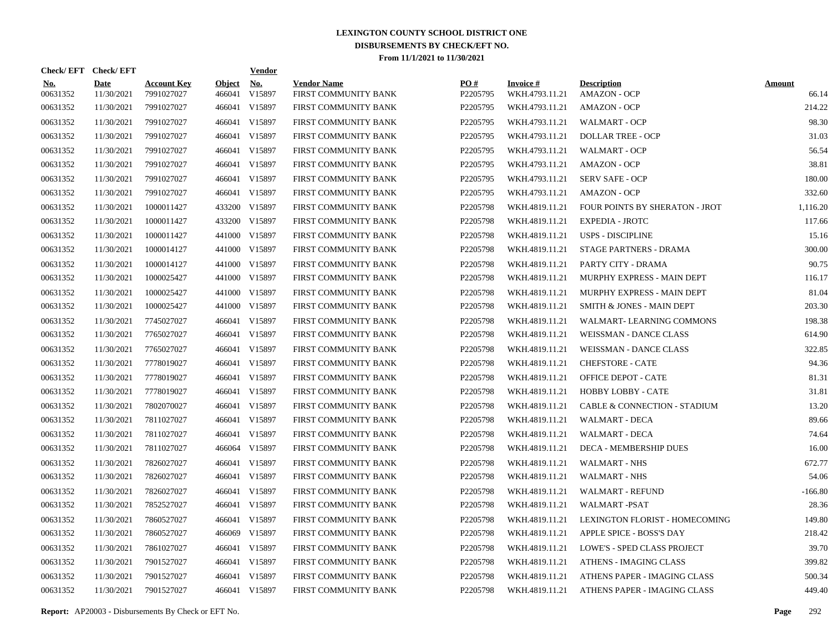| Check/EFT Check/EFT    |                           |                                  |                         | <u>Vendor</u> |                                            |                      |                                   |                                           |                        |
|------------------------|---------------------------|----------------------------------|-------------------------|---------------|--------------------------------------------|----------------------|-----------------------------------|-------------------------------------------|------------------------|
| <b>No.</b><br>00631352 | <b>Date</b><br>11/30/2021 | <b>Account Key</b><br>7991027027 | <b>Object</b><br>466041 | No.<br>V15897 | <b>Vendor Name</b><br>FIRST COMMUNITY BANK | PO#<br>P2205795      | <b>Invoice#</b><br>WKH.4793.11.21 | <b>Description</b><br><b>AMAZON - OCP</b> | <b>Amount</b><br>66.14 |
| 00631352               | 11/30/2021                | 7991027027                       | 466041                  | V15897        | FIRST COMMUNITY BANK                       | P2205795             | WKH.4793.11.21                    | <b>AMAZON - OCP</b>                       | 214.22                 |
| 00631352               | 11/30/2021                | 7991027027                       | 466041                  | V15897        | FIRST COMMUNITY BANK                       | P2205795             | WKH.4793.11.21                    | <b>WALMART - OCP</b>                      | 98.30                  |
| 00631352               | 11/30/2021                | 7991027027                       | 466041                  | V15897        | FIRST COMMUNITY BANK                       | P2205795             | WKH.4793.11.21                    | <b>DOLLAR TREE - OCP</b>                  | 31.03                  |
| 00631352               | 11/30/2021                | 7991027027                       | 466041                  | V15897        | FIRST COMMUNITY BANK                       | P2205795             | WKH.4793.11.21                    | <b>WALMART - OCP</b>                      | 56.54                  |
| 00631352               | 11/30/2021                | 7991027027                       | 466041                  | V15897        | FIRST COMMUNITY BANK                       | P2205795             | WKH.4793.11.21                    | <b>AMAZON - OCP</b>                       | 38.81                  |
| 00631352               | 11/30/2021                | 7991027027                       | 466041                  | V15897        | FIRST COMMUNITY BANK                       | P2205795             | WKH.4793.11.21                    | <b>SERV SAFE - OCP</b>                    | 180.00                 |
| 00631352               | 11/30/2021                | 7991027027                       | 466041                  | V15897        | FIRST COMMUNITY BANK                       | P2205795             | WKH.4793.11.21                    | <b>AMAZON - OCP</b>                       | 332.60                 |
| 00631352               | 11/30/2021                | 1000011427                       |                         | 433200 V15897 | FIRST COMMUNITY BANK                       | P2205798             | WKH.4819.11.21                    | FOUR POINTS BY SHERATON - JROT            | 1,116.20               |
| 00631352               | 11/30/2021                | 1000011427                       | 433200                  | V15897        | FIRST COMMUNITY BANK                       | P2205798             | WKH.4819.11.21                    | <b>EXPEDIA - JROTC</b>                    | 117.66                 |
| 00631352               | 11/30/2021                | 1000011427                       |                         | 441000 V15897 | FIRST COMMUNITY BANK                       | P2205798             | WKH.4819.11.21                    | <b>USPS - DISCIPLINE</b>                  | 15.16                  |
| 00631352               | 11/30/2021                | 1000014127                       |                         | 441000 V15897 | FIRST COMMUNITY BANK                       | P2205798             | WKH.4819.11.21                    | <b>STAGE PARTNERS - DRAMA</b>             | 300.00                 |
| 00631352               | 11/30/2021                | 1000014127                       |                         | 441000 V15897 | FIRST COMMUNITY BANK                       | P2205798             | WKH.4819.11.21                    | PARTY CITY - DRAMA                        | 90.75                  |
| 00631352               | 11/30/2021                | 1000025427                       |                         | 441000 V15897 | FIRST COMMUNITY BANK                       | P2205798             | WKH.4819.11.21                    | MURPHY EXPRESS - MAIN DEPT                | 116.17                 |
| 00631352               | 11/30/2021                | 1000025427                       |                         | 441000 V15897 | FIRST COMMUNITY BANK                       | P2205798             | WKH.4819.11.21                    | MURPHY EXPRESS - MAIN DEPT                | 81.04                  |
| 00631352               | 11/30/2021                | 1000025427                       |                         | 441000 V15897 | FIRST COMMUNITY BANK                       | P2205798             | WKH.4819.11.21                    | SMITH & JONES - MAIN DEPT                 | 203.30                 |
| 00631352               | 11/30/2021                | 7745027027                       |                         | 466041 V15897 | FIRST COMMUNITY BANK                       | P2205798             | WKH.4819.11.21                    | WALMART-LEARNING COMMONS                  | 198.38                 |
| 00631352               | 11/30/2021                | 7765027027                       | 466041                  | V15897        | FIRST COMMUNITY BANK                       | P2205798             | WKH.4819.11.21                    | WEISSMAN - DANCE CLASS                    | 614.90                 |
| 00631352               | 11/30/2021                | 7765027027                       | 466041                  | V15897        | FIRST COMMUNITY BANK                       | P2205798             | WKH.4819.11.21                    | WEISSMAN - DANCE CLASS                    | 322.85                 |
| 00631352               | 11/30/2021                | 7778019027                       | 466041                  | V15897        | FIRST COMMUNITY BANK                       | P2205798             | WKH.4819.11.21                    | <b>CHEFSTORE - CATE</b>                   | 94.36                  |
| 00631352               | 11/30/2021                | 7778019027                       | 466041                  | V15897        | FIRST COMMUNITY BANK                       | P2205798             | WKH.4819.11.21                    | OFFICE DEPOT - CATE                       | 81.31                  |
| 00631352               | 11/30/2021                | 7778019027                       | 466041                  | V15897        | FIRST COMMUNITY BANK                       | P2205798             | WKH.4819.11.21                    | HOBBY LOBBY - CATE                        | 31.81                  |
| 00631352               | 11/30/2021                | 7802070027                       | 466041                  | V15897        | FIRST COMMUNITY BANK                       | P2205798             | WKH.4819.11.21                    | CABLE & CONNECTION - STADIUM              | 13.20                  |
| 00631352               | 11/30/2021                | 7811027027                       | 466041                  | V15897        | FIRST COMMUNITY BANK                       | P2205798             | WKH.4819.11.21                    | <b>WALMART - DECA</b>                     | 89.66                  |
| 00631352               | 11/30/2021                | 7811027027                       | 466041                  | V15897        | FIRST COMMUNITY BANK                       | P2205798             | WKH.4819.11.21                    | <b>WALMART - DECA</b>                     | 74.64                  |
| 00631352               | 11/30/2021                | 7811027027                       |                         | 466064 V15897 | FIRST COMMUNITY BANK                       | P2205798             | WKH.4819.11.21                    | DECA - MEMBERSHIP DUES                    | 16.00                  |
| 00631352               | 11/30/2021                | 7826027027                       | 466041                  | V15897        | FIRST COMMUNITY BANK                       | P2205798             | WKH.4819.11.21                    | <b>WALMART - NHS</b>                      | 672.77                 |
| 00631352               | 11/30/2021                | 7826027027                       |                         | 466041 V15897 | FIRST COMMUNITY BANK                       | P2205798             | WKH.4819.11.21                    | <b>WALMART - NHS</b>                      | 54.06                  |
| 00631352               | 11/30/2021                | 7826027027                       | 466041                  | V15897        | FIRST COMMUNITY BANK                       | P2205798             | WKH.4819.11.21                    | <b>WALMART - REFUND</b>                   | $-166.80$              |
| 00631352               | 11/30/2021                | 7852527027                       |                         | 466041 V15897 | FIRST COMMUNITY BANK                       | P2205798             | WKH.4819.11.21                    | WALMART-PSAT                              | 28.36                  |
| 00631352               | 11/30/2021                | 7860527027                       | 466041                  | V15897        | FIRST COMMUNITY BANK                       | P2205798             | WKH.4819.11.21                    | LEXINGTON FLORIST - HOMECOMING            | 149.80                 |
| 00631352               | 11/30/2021                | 7860527027                       |                         | 466069 V15897 | FIRST COMMUNITY BANK                       | P2205798             | WKH.4819.11.21                    | APPLE SPICE - BOSS'S DAY                  | 218.42                 |
| 00631352               | 11/30/2021                | 7861027027                       | 466041                  | V15897        | FIRST COMMUNITY BANK                       | P2205798             | WKH.4819.11.21                    | <b>LOWE'S - SPED CLASS PROJECT</b>        | 39.70                  |
| 00631352               | 11/30/2021                | 7901527027                       |                         | 466041 V15897 | FIRST COMMUNITY BANK                       | P2205798             | WKH.4819.11.21                    | <b>ATHENS - IMAGING CLASS</b>             | 399.82                 |
| 00631352               | 11/30/2021                | 7901527027                       | 466041                  | V15897        | FIRST COMMUNITY BANK                       | P <sub>2205798</sub> | WKH.4819.11.21                    | ATHENS PAPER - IMAGING CLASS              | 500.34                 |
| 00631352               | 11/30/2021                | 7901527027                       |                         | 466041 V15897 | FIRST COMMUNITY BANK                       | P2205798             | WKH.4819.11.21                    | ATHENS PAPER - IMAGING CLASS              | 449.40                 |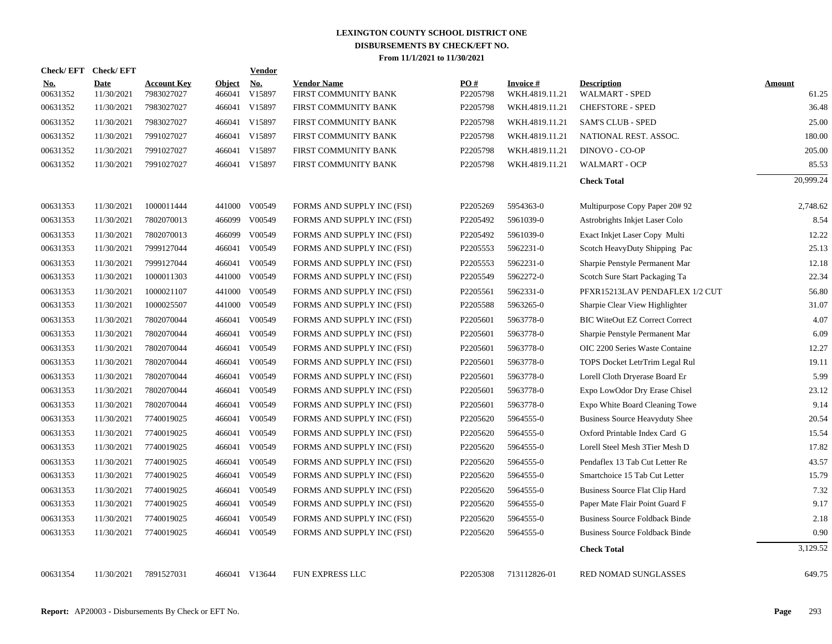| Check/EFT Check/EFT    |                           |                                  |                  | <b>Vendor</b>        |                                            |                 |                                   |                                             |                        |
|------------------------|---------------------------|----------------------------------|------------------|----------------------|--------------------------------------------|-----------------|-----------------------------------|---------------------------------------------|------------------------|
| <b>No.</b><br>00631352 | <b>Date</b><br>11/30/2021 | <b>Account Key</b><br>7983027027 | Object<br>466041 | <u>No.</u><br>V15897 | <b>Vendor Name</b><br>FIRST COMMUNITY BANK | PO#<br>P2205798 | <b>Invoice#</b><br>WKH.4819.11.21 | <b>Description</b><br><b>WALMART - SPED</b> | <b>Amount</b><br>61.25 |
| 00631352               | 11/30/2021                | 7983027027                       |                  | 466041 V15897        | FIRST COMMUNITY BANK                       | P2205798        | WKH.4819.11.21                    | <b>CHEFSTORE - SPED</b>                     | 36.48                  |
| 00631352               | 11/30/2021                | 7983027027                       |                  | 466041 V15897        | FIRST COMMUNITY BANK                       | P2205798        | WKH.4819.11.21                    | <b>SAM'S CLUB - SPED</b>                    | 25.00                  |
| 00631352               | 11/30/2021                | 7991027027                       |                  | 466041 V15897        | FIRST COMMUNITY BANK                       | P2205798        | WKH.4819.11.21                    | NATIONAL REST. ASSOC.                       | 180.00                 |
| 00631352               | 11/30/2021                | 7991027027                       | 466041           | V15897               | FIRST COMMUNITY BANK                       | P2205798        | WKH.4819.11.21                    | DINOVO - CO-OP                              | 205.00                 |
| 00631352               | 11/30/2021                | 7991027027                       |                  | 466041 V15897        | FIRST COMMUNITY BANK                       | P2205798        | WKH.4819.11.21                    | <b>WALMART - OCP</b>                        | 85.53                  |
|                        |                           |                                  |                  |                      |                                            |                 |                                   | <b>Check Total</b>                          | 20,999.24              |
| 00631353               | 11/30/2021                | 1000011444                       | 441000           | V00549               | FORMS AND SUPPLY INC (FSI)                 | P2205269        | 5954363-0                         | Multipurpose Copy Paper 20#92               | 2,748.62               |
| 00631353               | 11/30/2021                | 7802070013                       | 466099           | V00549               | FORMS AND SUPPLY INC (FSI)                 | P2205492        | 5961039-0                         | Astrobrights Inkjet Laser Colo              | 8.54                   |
| 00631353               | 11/30/2021                | 7802070013                       | 466099           | V00549               | FORMS AND SUPPLY INC (FSI)                 | P2205492        | 5961039-0                         | Exact Inkjet Laser Copy Multi               | 12.22                  |
| 00631353               | 11/30/2021                | 7999127044                       | 466041           | V00549               | FORMS AND SUPPLY INC (FSI)                 | P2205553        | 5962231-0                         | Scotch HeavyDuty Shipping Pac               | 25.13                  |
| 00631353               | 11/30/2021                | 7999127044                       | 466041           | V00549               | FORMS AND SUPPLY INC (FSI)                 | P2205553        | 5962231-0                         | Sharpie Penstyle Permanent Mar              | 12.18                  |
| 00631353               | 11/30/2021                | 1000011303                       | 441000           | V00549               | FORMS AND SUPPLY INC (FSI)                 | P2205549        | 5962272-0                         | Scotch Sure Start Packaging Ta              | 22.34                  |
| 00631353               | 11/30/2021                | 1000021107                       | 441000           | V00549               | FORMS AND SUPPLY INC (FSI)                 | P2205561        | 5962331-0                         | PFXR15213LAV PENDAFLEX 1/2 CUT              | 56.80                  |
| 00631353               | 11/30/2021                | 1000025507                       | 441000           | V00549               | FORMS AND SUPPLY INC (FSI)                 | P2205588        | 5963265-0                         | Sharpie Clear View Highlighter              | 31.07                  |
| 00631353               | 11/30/2021                | 7802070044                       | 466041           | V00549               | FORMS AND SUPPLY INC (FSI)                 | P2205601        | 5963778-0                         | <b>BIC WiteOut EZ Correct Correct</b>       | 4.07                   |
| 00631353               | 11/30/2021                | 7802070044                       | 466041           | V00549               | FORMS AND SUPPLY INC (FSI)                 | P2205601        | 5963778-0                         | Sharpie Penstyle Permanent Mar              | 6.09                   |
| 00631353               | 11/30/2021                | 7802070044                       | 466041           | V00549               | FORMS AND SUPPLY INC (FSI)                 | P2205601        | 5963778-0                         | OIC 2200 Series Waste Containe              | 12.27                  |
| 00631353               | 11/30/2021                | 7802070044                       | 466041           | V00549               | FORMS AND SUPPLY INC (FSI)                 | P2205601        | 5963778-0                         | TOPS Docket LetrTrim Legal Rul              | 19.11                  |
| 00631353               | 11/30/2021                | 7802070044                       | 466041           | V00549               | FORMS AND SUPPLY INC (FSI)                 | P2205601        | 5963778-0                         | Lorell Cloth Dryerase Board Er              | 5.99                   |
| 00631353               | 11/30/2021                | 7802070044                       | 466041           | V00549               | FORMS AND SUPPLY INC (FSI)                 | P2205601        | 5963778-0                         | Expo LowOdor Dry Erase Chisel               | 23.12                  |
| 00631353               | 11/30/2021                | 7802070044                       | 466041           | V00549               | FORMS AND SUPPLY INC (FSI)                 | P2205601        | 5963778-0                         | Expo White Board Cleaning Towe              | 9.14                   |
| 00631353               | 11/30/2021                | 7740019025                       | 466041           | V00549               | FORMS AND SUPPLY INC (FSI)                 | P2205620        | 5964555-0                         | Business Source Heavyduty Shee              | 20.54                  |
| 00631353               | 11/30/2021                | 7740019025                       | 466041           | V00549               | FORMS AND SUPPLY INC (FSI)                 | P2205620        | 5964555-0                         | Oxford Printable Index Card G               | 15.54                  |
| 00631353               | 11/30/2021                | 7740019025                       | 466041           | V00549               | FORMS AND SUPPLY INC (FSI)                 | P2205620        | 5964555-0                         | Lorell Steel Mesh 3Tier Mesh D              | 17.82                  |
| 00631353               | 11/30/2021                | 7740019025                       | 466041           | V00549               | FORMS AND SUPPLY INC (FSI)                 | P2205620        | 5964555-0                         | Pendaflex 13 Tab Cut Letter Re              | 43.57                  |
| 00631353               | 11/30/2021                | 7740019025                       | 466041           | V00549               | FORMS AND SUPPLY INC (FSI)                 | P2205620        | 5964555-0                         | Smartchoice 15 Tab Cut Letter               | 15.79                  |
| 00631353               | 11/30/2021                | 7740019025                       | 466041           | V00549               | FORMS AND SUPPLY INC (FSI)                 | P2205620        | 5964555-0                         | Business Source Flat Clip Hard              | 7.32                   |
| 00631353               | 11/30/2021                | 7740019025                       | 466041           | V00549               | FORMS AND SUPPLY INC (FSI)                 | P2205620        | 5964555-0                         | Paper Mate Flair Point Guard F              | 9.17                   |
| 00631353               | 11/30/2021                | 7740019025                       | 466041           | V00549               | FORMS AND SUPPLY INC (FSI)                 | P2205620        | 5964555-0                         | <b>Business Source Foldback Binde</b>       | 2.18                   |
| 00631353               | 11/30/2021                | 7740019025                       | 466041           | V00549               | FORMS AND SUPPLY INC (FSI)                 | P2205620        | 5964555-0                         | <b>Business Source Foldback Binde</b>       | 0.90                   |
|                        |                           |                                  |                  |                      |                                            |                 |                                   | <b>Check Total</b>                          | 3,129.52               |
| 00631354               | 11/30/2021                | 7891527031                       |                  | 466041 V13644        | FUN EXPRESS LLC                            | P2205308        | 713112826-01                      | RED NOMAD SUNGLASSES                        | 649.75                 |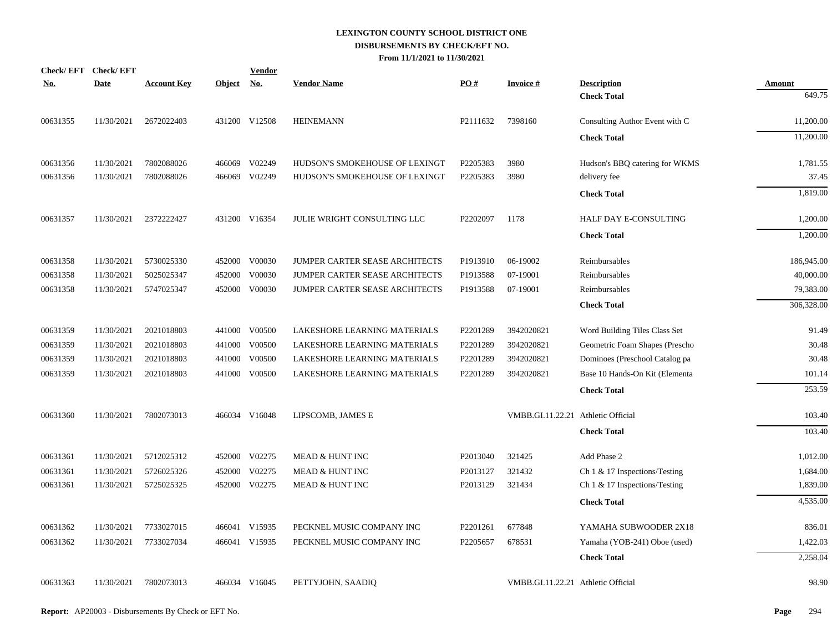|            | Check/EFT Check/EFT |                    |            | <b>Vendor</b> |                                |          |                                    |                                |               |
|------------|---------------------|--------------------|------------|---------------|--------------------------------|----------|------------------------------------|--------------------------------|---------------|
| <u>No.</u> | <b>Date</b>         | <b>Account Key</b> | Object No. |               | <b>Vendor Name</b>             | PO#      | <b>Invoice#</b>                    | <b>Description</b>             | <b>Amount</b> |
|            |                     |                    |            |               |                                |          |                                    | <b>Check Total</b>             | 649.75        |
| 00631355   | 11/30/2021          | 2672022403         |            | 431200 V12508 | <b>HEINEMANN</b>               | P2111632 | 7398160                            | Consulting Author Event with C | 11,200.00     |
|            |                     |                    |            |               |                                |          |                                    | <b>Check Total</b>             | 11,200.00     |
| 00631356   | 11/30/2021          | 7802088026         | 466069     | V02249        | HUDSON'S SMOKEHOUSE OF LEXINGT | P2205383 | 3980                               | Hudson's BBQ catering for WKMS | 1,781.55      |
| 00631356   | 11/30/2021          | 7802088026         | 466069     | V02249        | HUDSON'S SMOKEHOUSE OF LEXINGT | P2205383 | 3980                               | delivery fee                   | 37.45         |
|            |                     |                    |            |               |                                |          |                                    | <b>Check Total</b>             | 1,819.00      |
| 00631357   | 11/30/2021          | 2372222427         |            | 431200 V16354 | JULIE WRIGHT CONSULTING LLC    | P2202097 | 1178                               | HALF DAY E-CONSULTING          | 1,200.00      |
|            |                     |                    |            |               |                                |          |                                    | <b>Check Total</b>             | 1,200.00      |
| 00631358   | 11/30/2021          | 5730025330         |            | 452000 V00030 | JUMPER CARTER SEASE ARCHITECTS | P1913910 | 06-19002                           | Reimbursables                  | 186,945.00    |
| 00631358   | 11/30/2021          | 5025025347         | 452000     | V00030        | JUMPER CARTER SEASE ARCHITECTS | P1913588 | 07-19001                           | Reimbursables                  | 40,000.00     |
| 00631358   | 11/30/2021          | 5747025347         |            | 452000 V00030 | JUMPER CARTER SEASE ARCHITECTS | P1913588 | 07-19001                           | Reimbursables                  | 79,383.00     |
|            |                     |                    |            |               |                                |          |                                    | <b>Check Total</b>             | 306,328.00    |
| 00631359   | 11/30/2021          | 2021018803         |            | 441000 V00500 | LAKESHORE LEARNING MATERIALS   | P2201289 | 3942020821                         | Word Building Tiles Class Set  | 91.49         |
| 00631359   | 11/30/2021          | 2021018803         | 441000     | V00500        | LAKESHORE LEARNING MATERIALS   | P2201289 | 3942020821                         | Geometric Foam Shapes (Prescho | 30.48         |
| 00631359   | 11/30/2021          | 2021018803         | 441000     | V00500        | LAKESHORE LEARNING MATERIALS   | P2201289 | 3942020821                         | Dominoes (Preschool Catalog pa | 30.48         |
| 00631359   | 11/30/2021          | 2021018803         | 441000     | V00500        | LAKESHORE LEARNING MATERIALS   | P2201289 | 3942020821                         | Base 10 Hands-On Kit (Elementa | 101.14        |
|            |                     |                    |            |               |                                |          |                                    | <b>Check Total</b>             | 253.59        |
| 00631360   | 11/30/2021          | 7802073013         |            | 466034 V16048 | LIPSCOMB, JAMES E              |          | VMBB.GI.11.22.21 Athletic Official |                                | 103.40        |
|            |                     |                    |            |               |                                |          |                                    | <b>Check Total</b>             | 103.40        |
| 00631361   | 11/30/2021          | 5712025312         |            | 452000 V02275 | MEAD & HUNT INC                | P2013040 | 321425                             | Add Phase 2                    | 1,012.00      |
| 00631361   | 11/30/2021          | 5726025326         | 452000     | V02275        | MEAD & HUNT INC                | P2013127 | 321432                             | Ch 1 & 17 Inspections/Testing  | 1,684.00      |
| 00631361   | 11/30/2021          | 5725025325         |            | 452000 V02275 | MEAD & HUNT INC                | P2013129 | 321434                             | Ch 1 & 17 Inspections/Testing  | 1,839.00      |
|            |                     |                    |            |               |                                |          |                                    | <b>Check Total</b>             | 4,535.00      |
| 00631362   | 11/30/2021          | 7733027015         |            | 466041 V15935 | PECKNEL MUSIC COMPANY INC      | P2201261 | 677848                             | YAMAHA SUBWOODER 2X18          | 836.01        |
| 00631362   | 11/30/2021          | 7733027034         |            | 466041 V15935 | PECKNEL MUSIC COMPANY INC      | P2205657 | 678531                             | Yamaha (YOB-241) Oboe (used)   | 1,422.03      |
|            |                     |                    |            |               |                                |          |                                    | <b>Check Total</b>             | 2,258.04      |
| 00631363   | 11/30/2021          | 7802073013         |            | 466034 V16045 | PETTYJOHN, SAADIQ              |          | VMBB.GI.11.22.21 Athletic Official |                                | 98.90         |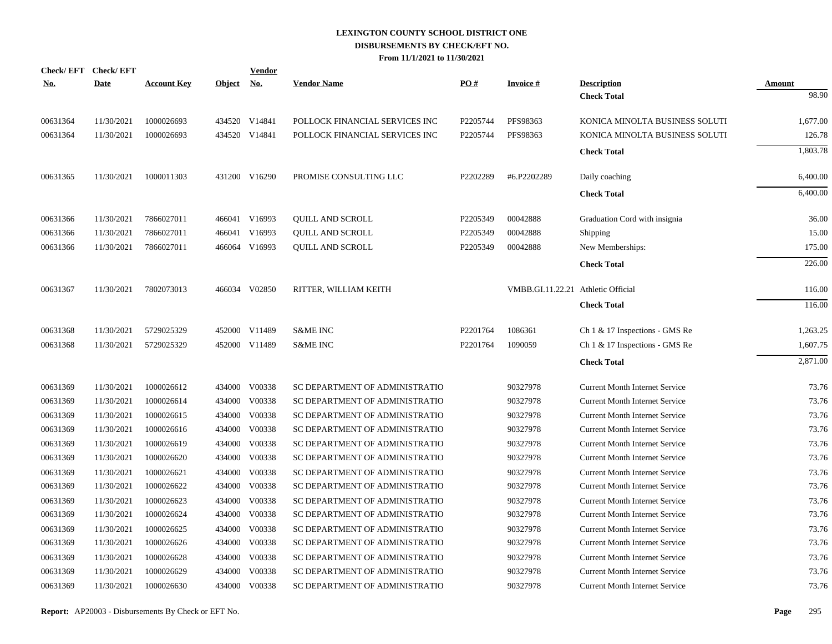| <b>No.</b> | Check/EFT Check/EFT<br><b>Date</b> | <b>Account Key</b> | Object No. | <b>Vendor</b> | <b>Vendor Name</b>             | PO#      | <b>Invoice#</b>                    | <b>Description</b>                    | Amount   |
|------------|------------------------------------|--------------------|------------|---------------|--------------------------------|----------|------------------------------------|---------------------------------------|----------|
|            |                                    |                    |            |               |                                |          |                                    | <b>Check Total</b>                    | 98.90    |
| 00631364   | 11/30/2021                         | 1000026693         |            | 434520 V14841 | POLLOCK FINANCIAL SERVICES INC | P2205744 | PFS98363                           | KONICA MINOLTA BUSINESS SOLUTI        | 1,677.00 |
| 00631364   | 11/30/2021                         | 1000026693         |            | 434520 V14841 | POLLOCK FINANCIAL SERVICES INC | P2205744 | PFS98363                           | KONICA MINOLTA BUSINESS SOLUTI        | 126.78   |
|            |                                    |                    |            |               |                                |          |                                    | <b>Check Total</b>                    | 1,803.78 |
| 00631365   | 11/30/2021                         | 1000011303         |            | 431200 V16290 | PROMISE CONSULTING LLC         | P2202289 | #6.P2202289                        | Daily coaching                        | 6,400.00 |
|            |                                    |                    |            |               |                                |          |                                    | <b>Check Total</b>                    | 6,400.00 |
| 00631366   | 11/30/2021                         | 7866027011         |            | 466041 V16993 | QUILL AND SCROLL               | P2205349 | 00042888                           | Graduation Cord with insignia         | 36.00    |
| 00631366   | 11/30/2021                         | 7866027011         |            | 466041 V16993 | <b>QUILL AND SCROLL</b>        | P2205349 | 00042888                           | Shipping                              | 15.00    |
| 00631366   | 11/30/2021                         | 7866027011         |            | 466064 V16993 | <b>QUILL AND SCROLL</b>        | P2205349 | 00042888                           | New Memberships:                      | 175.00   |
|            |                                    |                    |            |               |                                |          |                                    | <b>Check Total</b>                    | 226.00   |
| 00631367   | 11/30/2021                         | 7802073013         |            | 466034 V02850 | RITTER, WILLIAM KEITH          |          | VMBB.GI.11.22.21 Athletic Official |                                       | 116.00   |
|            |                                    |                    |            |               |                                |          |                                    | <b>Check Total</b>                    | 116.00   |
| 00631368   | 11/30/2021                         | 5729025329         |            | 452000 V11489 | <b>S&amp;ME INC</b>            | P2201764 | 1086361                            | Ch 1 & 17 Inspections - GMS Re        | 1,263.25 |
| 00631368   | 11/30/2021                         | 5729025329         |            | 452000 V11489 | <b>S&amp;ME INC</b>            | P2201764 | 1090059                            | Ch 1 & 17 Inspections - GMS Re        | 1,607.75 |
|            |                                    |                    |            |               |                                |          |                                    | <b>Check Total</b>                    | 2,871.00 |
| 00631369   | 11/30/2021                         | 1000026612         | 434000     | V00338        | SC DEPARTMENT OF ADMINISTRATIO |          | 90327978                           | <b>Current Month Internet Service</b> | 73.76    |
| 00631369   | 11/30/2021                         | 1000026614         | 434000     | V00338        | SC DEPARTMENT OF ADMINISTRATIO |          | 90327978                           | <b>Current Month Internet Service</b> | 73.76    |
| 00631369   | 11/30/2021                         | 1000026615         | 434000     | V00338        | SC DEPARTMENT OF ADMINISTRATIO |          | 90327978                           | <b>Current Month Internet Service</b> | 73.76    |
| 00631369   | 11/30/2021                         | 1000026616         | 434000     | V00338        | SC DEPARTMENT OF ADMINISTRATIO |          | 90327978                           | <b>Current Month Internet Service</b> | 73.76    |
| 00631369   | 11/30/2021                         | 1000026619         | 434000     | V00338        | SC DEPARTMENT OF ADMINISTRATIO |          | 90327978                           | <b>Current Month Internet Service</b> | 73.76    |
| 00631369   | 11/30/2021                         | 1000026620         | 434000     | V00338        | SC DEPARTMENT OF ADMINISTRATIO |          | 90327978                           | <b>Current Month Internet Service</b> | 73.76    |
| 00631369   | 11/30/2021                         | 1000026621         | 434000     | V00338        | SC DEPARTMENT OF ADMINISTRATIO |          | 90327978                           | <b>Current Month Internet Service</b> | 73.76    |
| 00631369   | 11/30/2021                         | 1000026622         | 434000     | V00338        | SC DEPARTMENT OF ADMINISTRATIO |          | 90327978                           | <b>Current Month Internet Service</b> | 73.76    |
| 00631369   | 11/30/2021                         | 1000026623         | 434000     | V00338        | SC DEPARTMENT OF ADMINISTRATIO |          | 90327978                           | <b>Current Month Internet Service</b> | 73.76    |
| 00631369   | 11/30/2021                         | 1000026624         | 434000     | V00338        | SC DEPARTMENT OF ADMINISTRATIO |          | 90327978                           | <b>Current Month Internet Service</b> | 73.76    |
| 00631369   | 11/30/2021                         | 1000026625         | 434000     | V00338        | SC DEPARTMENT OF ADMINISTRATIO |          | 90327978                           | <b>Current Month Internet Service</b> | 73.76    |
| 00631369   | 11/30/2021                         | 1000026626         | 434000     | V00338        | SC DEPARTMENT OF ADMINISTRATIO |          | 90327978                           | <b>Current Month Internet Service</b> | 73.76    |
| 00631369   | 11/30/2021                         | 1000026628         | 434000     | V00338        | SC DEPARTMENT OF ADMINISTRATIO |          | 90327978                           | <b>Current Month Internet Service</b> | 73.76    |
| 00631369   | 11/30/2021                         | 1000026629         | 434000     | V00338        | SC DEPARTMENT OF ADMINISTRATIO |          | 90327978                           | <b>Current Month Internet Service</b> | 73.76    |
| 00631369   | 11/30/2021                         | 1000026630         | 434000     | V00338        | SC DEPARTMENT OF ADMINISTRATIO |          | 90327978                           | <b>Current Month Internet Service</b> | 73.76    |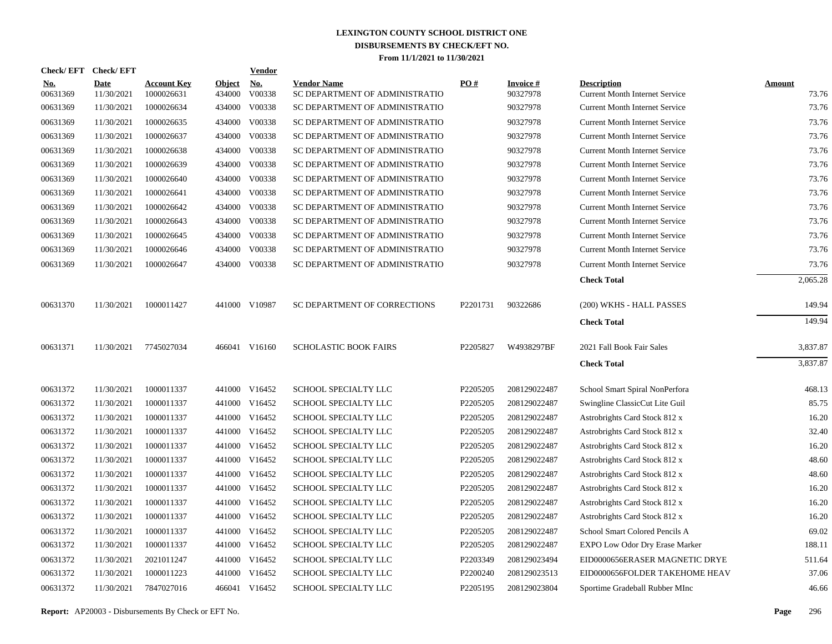|                        | Check/EFT Check/EFT       |                                  |                         | <b>Vendor</b> |                                                      |          |                             |                                                             |                        |
|------------------------|---------------------------|----------------------------------|-------------------------|---------------|------------------------------------------------------|----------|-----------------------------|-------------------------------------------------------------|------------------------|
| <u>No.</u><br>00631369 | <b>Date</b><br>11/30/2021 | <b>Account Key</b><br>1000026631 | <b>Object</b><br>434000 | No.<br>V00338 | <b>Vendor Name</b><br>SC DEPARTMENT OF ADMINISTRATIO | PO#      | <b>Invoice#</b><br>90327978 | <b>Description</b><br><b>Current Month Internet Service</b> | <b>Amount</b><br>73.76 |
| 00631369               | 11/30/2021                | 1000026634                       | 434000                  | V00338        | SC DEPARTMENT OF ADMINISTRATIO                       |          | 90327978                    | <b>Current Month Internet Service</b>                       | 73.76                  |
| 00631369               | 11/30/2021                | 1000026635                       | 434000                  | V00338        | SC DEPARTMENT OF ADMINISTRATIO                       |          | 90327978                    | <b>Current Month Internet Service</b>                       | 73.76                  |
| 00631369               | 11/30/2021                | 1000026637                       | 434000                  | V00338        | SC DEPARTMENT OF ADMINISTRATIO                       |          | 90327978                    | <b>Current Month Internet Service</b>                       | 73.76                  |
| 00631369               | 11/30/2021                | 1000026638                       | 434000                  | V00338        | SC DEPARTMENT OF ADMINISTRATIO                       |          | 90327978                    | <b>Current Month Internet Service</b>                       | 73.76                  |
| 00631369               | 11/30/2021                | 1000026639                       | 434000                  | V00338        | SC DEPARTMENT OF ADMINISTRATIO                       |          | 90327978                    | <b>Current Month Internet Service</b>                       | 73.76                  |
| 00631369               | 11/30/2021                | 1000026640                       | 434000                  | V00338        | SC DEPARTMENT OF ADMINISTRATIO                       |          | 90327978                    | <b>Current Month Internet Service</b>                       | 73.76                  |
| 00631369               | 11/30/2021                | 1000026641                       | 434000                  | V00338        | SC DEPARTMENT OF ADMINISTRATIO                       |          | 90327978                    | <b>Current Month Internet Service</b>                       | 73.76                  |
| 00631369               | 11/30/2021                | 1000026642                       | 434000                  | V00338        | SC DEPARTMENT OF ADMINISTRATIO                       |          | 90327978                    | <b>Current Month Internet Service</b>                       | 73.76                  |
| 00631369               | 11/30/2021                | 1000026643                       | 434000                  | V00338        | SC DEPARTMENT OF ADMINISTRATIO                       |          | 90327978                    | <b>Current Month Internet Service</b>                       | 73.76                  |
| 00631369               | 11/30/2021                | 1000026645                       | 434000                  | V00338        | SC DEPARTMENT OF ADMINISTRATIO                       |          | 90327978                    | <b>Current Month Internet Service</b>                       | 73.76                  |
| 00631369               | 11/30/2021                | 1000026646                       | 434000                  | V00338        | SC DEPARTMENT OF ADMINISTRATIO                       |          | 90327978                    | <b>Current Month Internet Service</b>                       | 73.76                  |
| 00631369               | 11/30/2021                | 1000026647                       |                         | 434000 V00338 | SC DEPARTMENT OF ADMINISTRATIO                       |          | 90327978                    | <b>Current Month Internet Service</b>                       | 73.76                  |
|                        |                           |                                  |                         |               |                                                      |          |                             | <b>Check Total</b>                                          | 2,065.28               |
| 00631370               | 11/30/2021                | 1000011427                       |                         | 441000 V10987 | SC DEPARTMENT OF CORRECTIONS                         | P2201731 | 90322686                    | (200) WKHS - HALL PASSES                                    | 149.94                 |
|                        |                           |                                  |                         |               |                                                      |          |                             | <b>Check Total</b>                                          | 149.94                 |
| 00631371               | 11/30/2021                | 7745027034                       |                         | 466041 V16160 | <b>SCHOLASTIC BOOK FAIRS</b>                         | P2205827 | W4938297BF                  | 2021 Fall Book Fair Sales                                   | 3,837.87               |
|                        |                           |                                  |                         |               |                                                      |          |                             | <b>Check Total</b>                                          | 3,837.87               |
| 00631372               | 11/30/2021                | 1000011337                       |                         | 441000 V16452 | SCHOOL SPECIALTY LLC                                 | P2205205 | 208129022487                | School Smart Spiral NonPerfora                              | 468.13                 |
| 00631372               | 11/30/2021                | 1000011337                       |                         | 441000 V16452 | SCHOOL SPECIALTY LLC                                 | P2205205 | 208129022487                | Swingline ClassicCut Lite Guil                              | 85.75                  |
| 00631372               | 11/30/2021                | 1000011337                       |                         | 441000 V16452 | SCHOOL SPECIALTY LLC                                 | P2205205 | 208129022487                | Astrobrights Card Stock 812 x                               | 16.20                  |
| 00631372               | 11/30/2021                | 1000011337                       |                         | 441000 V16452 | SCHOOL SPECIALTY LLC                                 | P2205205 | 208129022487                | Astrobrights Card Stock 812 x                               | 32.40                  |
| 00631372               | 11/30/2021                | 1000011337                       | 441000                  | V16452        | SCHOOL SPECIALTY LLC                                 | P2205205 | 208129022487                | Astrobrights Card Stock 812 x                               | 16.20                  |
| 00631372               | 11/30/2021                | 1000011337                       |                         | 441000 V16452 | SCHOOL SPECIALTY LLC                                 | P2205205 | 208129022487                | Astrobrights Card Stock 812 x                               | 48.60                  |
| 00631372               | 11/30/2021                | 1000011337                       | 441000                  | V16452        | SCHOOL SPECIALTY LLC                                 | P2205205 | 208129022487                | Astrobrights Card Stock 812 x                               | 48.60                  |
| 00631372               | 11/30/2021                | 1000011337                       |                         | 441000 V16452 | SCHOOL SPECIALTY LLC                                 | P2205205 | 208129022487                | Astrobrights Card Stock 812 x                               | 16.20                  |
| 00631372               | 11/30/2021                | 1000011337                       | 441000                  | V16452        | SCHOOL SPECIALTY LLC                                 | P2205205 | 208129022487                | Astrobrights Card Stock 812 x                               | 16.20                  |
| 00631372               | 11/30/2021                | 1000011337                       |                         | 441000 V16452 | SCHOOL SPECIALTY LLC                                 | P2205205 | 208129022487                | Astrobrights Card Stock 812 x                               | 16.20                  |
| 00631372               | 11/30/2021                | 1000011337                       |                         | 441000 V16452 | SCHOOL SPECIALTY LLC                                 | P2205205 | 208129022487                | School Smart Colored Pencils A                              | 69.02                  |
| 00631372               | 11/30/2021                | 1000011337                       |                         | 441000 V16452 | SCHOOL SPECIALTY LLC                                 | P2205205 | 208129022487                | EXPO Low Odor Dry Erase Marker                              | 188.11                 |
| 00631372               | 11/30/2021                | 2021011247                       |                         | 441000 V16452 | SCHOOL SPECIALTY LLC                                 | P2203349 | 208129023494                | EID0000656ERASER MAGNETIC DRYE                              | 511.64                 |
| 00631372               | 11/30/2021                | 1000011223                       |                         | 441000 V16452 | SCHOOL SPECIALTY LLC                                 | P2200240 | 208129023513                | EID0000656FOLDER TAKEHOME HEAV                              | 37.06                  |
| 00631372               | 11/30/2021                | 7847027016                       |                         | 466041 V16452 | SCHOOL SPECIALTY LLC                                 | P2205195 | 208129023804                | Sportime Gradeball Rubber MInc                              | 46.66                  |

**Report:** AP20003 - Disbursements By Check or EFT No. **Page** 296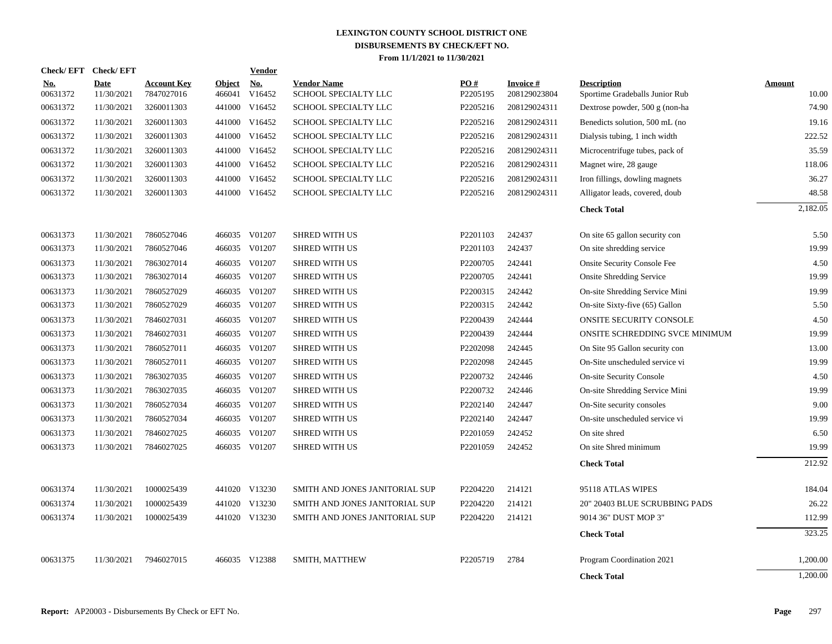|                        | Check/EFT Check/EFT       |                                  |                         | Vendor        |                                            |                 |                           |                                                      |                 |
|------------------------|---------------------------|----------------------------------|-------------------------|---------------|--------------------------------------------|-----------------|---------------------------|------------------------------------------------------|-----------------|
| <u>No.</u><br>00631372 | <b>Date</b><br>11/30/2021 | <b>Account Key</b><br>7847027016 | <b>Object</b><br>466041 | No.<br>V16452 | <b>Vendor Name</b><br>SCHOOL SPECIALTY LLC | PO#<br>P2205195 | Invoice #<br>208129023804 | <b>Description</b><br>Sportime Gradeballs Junior Rub | Amount<br>10.00 |
| 00631372               | 11/30/2021                | 3260011303                       |                         | 441000 V16452 | SCHOOL SPECIALTY LLC                       | P2205216        | 208129024311              | Dextrose powder, 500 g (non-ha                       | 74.90           |
| 00631372               | 11/30/2021                | 3260011303                       | 441000                  | V16452        | SCHOOL SPECIALTY LLC                       | P2205216        | 208129024311              | Benedicts solution, 500 mL (no                       | 19.16           |
| 00631372               | 11/30/2021                | 3260011303                       |                         | 441000 V16452 | SCHOOL SPECIALTY LLC                       | P2205216        | 208129024311              | Dialysis tubing, 1 inch width                        | 222.52          |
| 00631372               | 11/30/2021                | 3260011303                       | 441000                  | V16452        | SCHOOL SPECIALTY LLC                       | P2205216        | 208129024311              | Microcentrifuge tubes, pack of                       | 35.59           |
| 00631372               | 11/30/2021                | 3260011303                       | 441000                  | V16452        | SCHOOL SPECIALTY LLC                       | P2205216        | 208129024311              | Magnet wire, 28 gauge                                | 118.06          |
| 00631372               | 11/30/2021                | 3260011303                       | 441000                  | V16452        | SCHOOL SPECIALTY LLC                       | P2205216        | 208129024311              | Iron fillings, dowling magnets                       | 36.27           |
| 00631372               | 11/30/2021                | 3260011303                       |                         | 441000 V16452 | SCHOOL SPECIALTY LLC                       | P2205216        | 208129024311              | Alligator leads, covered, doub                       | 48.58           |
|                        |                           |                                  |                         |               |                                            |                 |                           | <b>Check Total</b>                                   | 2,182.05        |
| 00631373               | 11/30/2021                | 7860527046                       |                         | 466035 V01207 | <b>SHRED WITH US</b>                       | P2201103        | 242437                    | On site 65 gallon security con                       | 5.50            |
| 00631373               | 11/30/2021                | 7860527046                       | 466035                  | V01207        | <b>SHRED WITH US</b>                       | P2201103        | 242437                    | On site shredding service                            | 19.99           |
| 00631373               | 11/30/2021                | 7863027014                       |                         | 466035 V01207 | <b>SHRED WITH US</b>                       | P2200705        | 242441                    | <b>Onsite Security Console Fee</b>                   | 4.50            |
| 00631373               | 11/30/2021                | 7863027014                       | 466035                  | V01207        | <b>SHRED WITH US</b>                       | P2200705        | 242441                    | <b>Onsite Shredding Service</b>                      | 19.99           |
| 00631373               | 11/30/2021                | 7860527029                       | 466035                  | V01207        | <b>SHRED WITH US</b>                       | P2200315        | 242442                    | On-site Shredding Service Mini                       | 19.99           |
| 00631373               | 11/30/2021                | 7860527029                       | 466035                  | V01207        | <b>SHRED WITH US</b>                       | P2200315        | 242442                    | On-site Sixty-five (65) Gallon                       | 5.50            |
| 00631373               | 11/30/2021                | 7846027031                       |                         | 466035 V01207 | <b>SHRED WITH US</b>                       | P2200439        | 242444                    | ONSITE SECURITY CONSOLE                              | 4.50            |
| 00631373               | 11/30/2021                | 7846027031                       | 466035                  | V01207        | <b>SHRED WITH US</b>                       | P2200439        | 242444                    | ONSITE SCHREDDING SVCE MINIMUM                       | 19.99           |
| 00631373               | 11/30/2021                | 7860527011                       |                         | 466035 V01207 | <b>SHRED WITH US</b>                       | P2202098        | 242445                    | On Site 95 Gallon security con                       | 13.00           |
| 00631373               | 11/30/2021                | 7860527011                       |                         | 466035 V01207 | <b>SHRED WITH US</b>                       | P2202098        | 242445                    | On-Site unscheduled service vi                       | 19.99           |
| 00631373               | 11/30/2021                | 7863027035                       |                         | 466035 V01207 | <b>SHRED WITH US</b>                       | P2200732        | 242446                    | <b>On-site Security Console</b>                      | 4.50            |
| 00631373               | 11/30/2021                | 7863027035                       |                         | 466035 V01207 | <b>SHRED WITH US</b>                       | P2200732        | 242446                    | On-site Shredding Service Mini                       | 19.99           |
| 00631373               | 11/30/2021                | 7860527034                       |                         | 466035 V01207 | <b>SHRED WITH US</b>                       | P2202140        | 242447                    | On-Site security consoles                            | 9.00            |
| 00631373               | 11/30/2021                | 7860527034                       |                         | 466035 V01207 | SHRED WITH US                              | P2202140        | 242447                    | On-site unscheduled service vi                       | 19.99           |
| 00631373               | 11/30/2021                | 7846027025                       |                         | 466035 V01207 | <b>SHRED WITH US</b>                       | P2201059        | 242452                    | On site shred                                        | 6.50            |
| 00631373               | 11/30/2021                | 7846027025                       |                         | 466035 V01207 | <b>SHRED WITH US</b>                       | P2201059        | 242452                    | On site Shred minimum                                | 19.99           |
|                        |                           |                                  |                         |               |                                            |                 |                           | <b>Check Total</b>                                   | 212.92          |
| 00631374               | 11/30/2021                | 1000025439                       |                         | 441020 V13230 | SMITH AND JONES JANITORIAL SUP             | P2204220        | 214121                    | 95118 ATLAS WIPES                                    | 184.04          |
| 00631374               | 11/30/2021                | 1000025439                       |                         | 441020 V13230 | SMITH AND JONES JANITORIAL SUP             | P2204220        | 214121                    | 20" 20403 BLUE SCRUBBING PADS                        | 26.22           |
| 00631374               | 11/30/2021                | 1000025439                       |                         | 441020 V13230 | SMITH AND JONES JANITORIAL SUP             | P2204220        | 214121                    | 9014 36" DUST MOP 3"                                 | 112.99          |
|                        |                           |                                  |                         |               |                                            |                 |                           | <b>Check Total</b>                                   | 323.25          |
| 00631375               | 11/30/2021                | 7946027015                       |                         | 466035 V12388 | SMITH, MATTHEW                             | P2205719        | 2784                      | Program Coordination 2021                            | 1,200.00        |
|                        |                           |                                  |                         |               |                                            |                 |                           | <b>Check Total</b>                                   | 1,200.00        |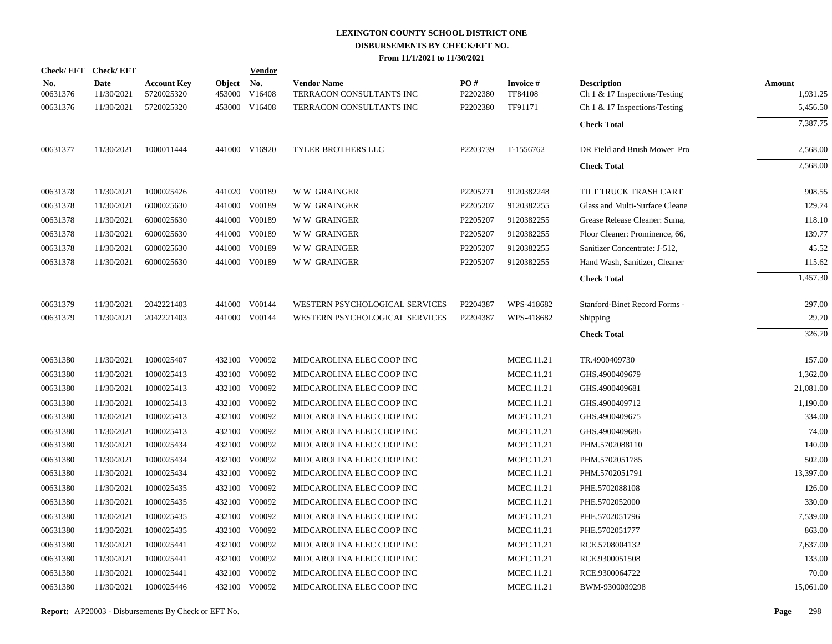|                        | Check/EFT Check/EFT       |                                  |                         | <b>Vendor</b>        |                                                |                 |                            |                                                        |                           |
|------------------------|---------------------------|----------------------------------|-------------------------|----------------------|------------------------------------------------|-----------------|----------------------------|--------------------------------------------------------|---------------------------|
| <u>No.</u><br>00631376 | <b>Date</b><br>11/30/2021 | <b>Account Key</b><br>5720025320 | <b>Object</b><br>453000 | <u>No.</u><br>V16408 | <b>Vendor Name</b><br>TERRACON CONSULTANTS INC | PO#<br>P2202380 | <b>Invoice#</b><br>TF84108 | <b>Description</b><br>Ch $1 \& 17$ Inspections/Testing | <b>Amount</b><br>1,931.25 |
| 00631376               | 11/30/2021                | 5720025320                       |                         | 453000 V16408        | TERRACON CONSULTANTS INC                       | P2202380        | TF91171                    | Ch $1 \& 17$ Inspections/Testing                       | 5,456.50                  |
|                        |                           |                                  |                         |                      |                                                |                 |                            | <b>Check Total</b>                                     | 7,387.75                  |
| 00631377               | 11/30/2021                | 1000011444                       |                         | 441000 V16920        | <b>TYLER BROTHERS LLC</b>                      | P2203739        | T-1556762                  | DR Field and Brush Mower Pro                           | 2,568.00                  |
|                        |                           |                                  |                         |                      |                                                |                 |                            | <b>Check Total</b>                                     | 2,568.00                  |
| 00631378               | 11/30/2021                | 1000025426                       |                         | 441020 V00189        | <b>WW GRAINGER</b>                             | P2205271        | 9120382248                 | TILT TRUCK TRASH CART                                  | 908.55                    |
| 00631378               | 11/30/2021                | 6000025630                       |                         | 441000 V00189        | <b>WW GRAINGER</b>                             | P2205207        | 9120382255                 | Glass and Multi-Surface Cleane                         | 129.74                    |
| 00631378               | 11/30/2021                | 6000025630                       |                         | 441000 V00189        | <b>WW GRAINGER</b>                             | P2205207        | 9120382255                 | Grease Release Cleaner: Suma,                          | 118.10                    |
| 00631378               | 11/30/2021                | 6000025630                       |                         | 441000 V00189        | <b>WW GRAINGER</b>                             | P2205207        | 9120382255                 | Floor Cleaner: Prominence, 66,                         | 139.77                    |
| 00631378               | 11/30/2021                | 6000025630                       |                         | 441000 V00189        | <b>WW GRAINGER</b>                             | P2205207        | 9120382255                 | Sanitizer Concentrate: J-512,                          | 45.52                     |
| 00631378               | 11/30/2021                | 6000025630                       |                         | 441000 V00189        | <b>WW GRAINGER</b>                             | P2205207        | 9120382255                 | Hand Wash, Sanitizer, Cleaner                          | 115.62                    |
|                        |                           |                                  |                         |                      |                                                |                 |                            | <b>Check Total</b>                                     | 1,457.30                  |
| 00631379               | 11/30/2021                | 2042221403                       |                         | 441000 V00144        | WESTERN PSYCHOLOGICAL SERVICES                 | P2204387        | WPS-418682                 | Stanford-Binet Record Forms -                          | 297.00                    |
| 00631379               | 11/30/2021                | 2042221403                       |                         | 441000 V00144        | WESTERN PSYCHOLOGICAL SERVICES                 | P2204387        | WPS-418682                 | Shipping                                               | 29.70                     |
|                        |                           |                                  |                         |                      |                                                |                 |                            | <b>Check Total</b>                                     | 326.70                    |
| 00631380               | 11/30/2021                | 1000025407                       |                         | 432100 V00092        | MIDCAROLINA ELEC COOP INC                      |                 | MCEC.11.21                 | TR.4900409730                                          | 157.00                    |
| 00631380               | 11/30/2021                | 1000025413                       |                         | 432100 V00092        | MIDCAROLINA ELEC COOP INC                      |                 | MCEC.11.21                 | GHS.4900409679                                         | 1,362.00                  |
| 00631380               | 11/30/2021                | 1000025413                       |                         | 432100 V00092        | MIDCAROLINA ELEC COOP INC                      |                 | MCEC.11.21                 | GHS.4900409681                                         | 21,081.00                 |
| 00631380               | 11/30/2021                | 1000025413                       |                         | 432100 V00092        | MIDCAROLINA ELEC COOP INC                      |                 | MCEC.11.21                 | GHS.4900409712                                         | 1,190.00                  |
| 00631380               | 11/30/2021                | 1000025413                       |                         | 432100 V00092        | MIDCAROLINA ELEC COOP INC                      |                 | MCEC.11.21                 | GHS.4900409675                                         | 334.00                    |
| 00631380               | 11/30/2021                | 1000025413                       | 432100                  | V00092               | MIDCAROLINA ELEC COOP INC                      |                 | MCEC.11.21                 | GHS.4900409686                                         | 74.00                     |
| 00631380               | 11/30/2021                | 1000025434                       |                         | 432100 V00092        | MIDCAROLINA ELEC COOP INC                      |                 | MCEC.11.21                 | PHM.5702088110                                         | 140.00                    |
| 00631380               | 11/30/2021                | 1000025434                       | 432100                  | V00092               | MIDCAROLINA ELEC COOP INC                      |                 | MCEC.11.21                 | PHM.5702051785                                         | 502.00                    |
| 00631380               | 11/30/2021                | 1000025434                       | 432100                  | V00092               | MIDCAROLINA ELEC COOP INC                      |                 | MCEC.11.21                 | PHM.5702051791                                         | 13,397.00                 |
| 00631380               | 11/30/2021                | 1000025435                       | 432100                  | V00092               | MIDCAROLINA ELEC COOP INC                      |                 | MCEC.11.21                 | PHE.5702088108                                         | 126.00                    |
| 00631380               | 11/30/2021                | 1000025435                       | 432100                  | V00092               | MIDCAROLINA ELEC COOP INC                      |                 | MCEC.11.21                 | PHE.5702052000                                         | 330.00                    |
| 00631380               | 11/30/2021                | 1000025435                       | 432100                  | V00092               | MIDCAROLINA ELEC COOP INC                      |                 | <b>MCEC.11.21</b>          | PHE.5702051796                                         | 7,539.00                  |
| 00631380               | 11/30/2021                | 1000025435                       |                         | 432100 V00092        | MIDCAROLINA ELEC COOP INC                      |                 | MCEC.11.21                 | PHE.5702051777                                         | 863.00                    |
| 00631380               | 11/30/2021                | 1000025441                       | 432100                  | V00092               | MIDCAROLINA ELEC COOP INC                      |                 | MCEC.11.21                 | RCE.5708004132                                         | 7,637.00                  |
| 00631380               | 11/30/2021                | 1000025441                       | 432100                  | V00092               | MIDCAROLINA ELEC COOP INC                      |                 | MCEC.11.21                 | RCE.9300051508                                         | 133.00                    |
| 00631380               | 11/30/2021                | 1000025441                       |                         | 432100 V00092        | MIDCAROLINA ELEC COOP INC                      |                 | MCEC.11.21                 | RCE.9300064722                                         | 70.00                     |
| 00631380               | 11/30/2021                | 1000025446                       |                         | 432100 V00092        | MIDCAROLINA ELEC COOP INC                      |                 | <b>MCEC.11.21</b>          | BWM-9300039298                                         | 15,061.00                 |